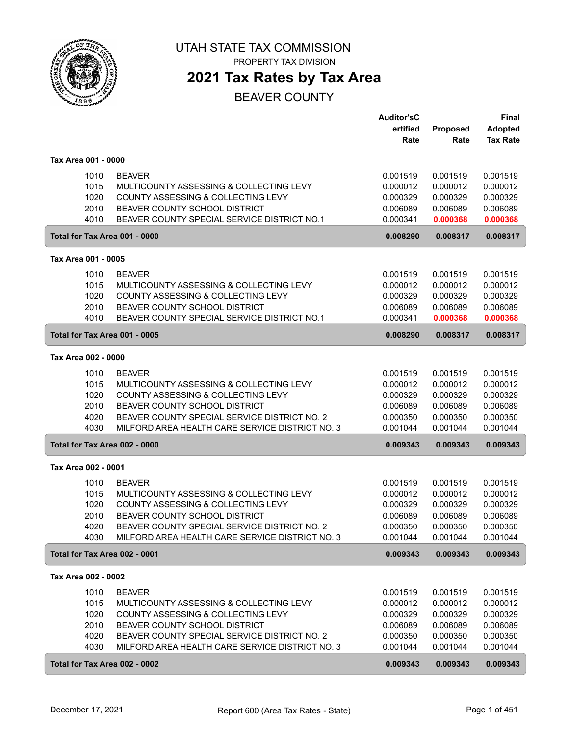

# **2021 Tax Rates by Tax Area**

|                               |                                                                                                 | <b>Auditor'sC</b>    |                      | Final                             |
|-------------------------------|-------------------------------------------------------------------------------------------------|----------------------|----------------------|-----------------------------------|
|                               |                                                                                                 | ertified<br>Rate     | Proposed<br>Rate     | <b>Adopted</b><br><b>Tax Rate</b> |
|                               |                                                                                                 |                      |                      |                                   |
| Tax Area 001 - 0000           |                                                                                                 |                      |                      |                                   |
| 1010                          | <b>BEAVER</b>                                                                                   | 0.001519             | 0.001519             | 0.001519                          |
| 1015                          | MULTICOUNTY ASSESSING & COLLECTING LEVY                                                         | 0.000012             | 0.000012             | 0.000012                          |
| 1020                          | COUNTY ASSESSING & COLLECTING LEVY                                                              | 0.000329             | 0.000329             | 0.000329                          |
| 2010<br>4010                  | BEAVER COUNTY SCHOOL DISTRICT<br>BEAVER COUNTY SPECIAL SERVICE DISTRICT NO.1                    | 0.006089<br>0.000341 | 0.006089<br>0.000368 | 0.006089<br>0.000368              |
| Total for Tax Area 001 - 0000 |                                                                                                 | 0.008290             | 0.008317             | 0.008317                          |
|                               |                                                                                                 |                      |                      |                                   |
| Tax Area 001 - 0005           |                                                                                                 |                      |                      |                                   |
| 1010                          | <b>BEAVER</b>                                                                                   | 0.001519             | 0.001519             | 0.001519                          |
| 1015                          | MULTICOUNTY ASSESSING & COLLECTING LEVY                                                         | 0.000012             | 0.000012             | 0.000012                          |
| 1020<br>2010                  | COUNTY ASSESSING & COLLECTING LEVY<br>BEAVER COUNTY SCHOOL DISTRICT                             | 0.000329<br>0.006089 | 0.000329<br>0.006089 | 0.000329<br>0.006089              |
| 4010                          | BEAVER COUNTY SPECIAL SERVICE DISTRICT NO.1                                                     | 0.000341             | 0.000368             | 0.000368                          |
| Total for Tax Area 001 - 0005 |                                                                                                 | 0.008290             | 0.008317             | 0.008317                          |
|                               |                                                                                                 |                      |                      |                                   |
| Tax Area 002 - 0000           |                                                                                                 |                      |                      |                                   |
| 1010                          | <b>BEAVER</b>                                                                                   | 0.001519             | 0.001519             | 0.001519                          |
| 1015                          | MULTICOUNTY ASSESSING & COLLECTING LEVY                                                         | 0.000012             | 0.000012             | 0.000012                          |
| 1020                          | COUNTY ASSESSING & COLLECTING LEVY                                                              | 0.000329             | 0.000329             | 0.000329                          |
| 2010                          | BEAVER COUNTY SCHOOL DISTRICT                                                                   | 0.006089             | 0.006089             | 0.006089                          |
| 4020<br>4030                  | BEAVER COUNTY SPECIAL SERVICE DISTRICT NO. 2<br>MILFORD AREA HEALTH CARE SERVICE DISTRICT NO. 3 | 0.000350<br>0.001044 | 0.000350<br>0.001044 | 0.000350<br>0.001044              |
|                               |                                                                                                 |                      |                      |                                   |
| Total for Tax Area 002 - 0000 |                                                                                                 | 0.009343             | 0.009343             | 0.009343                          |
| Tax Area 002 - 0001           |                                                                                                 |                      |                      |                                   |
| 1010                          | <b>BEAVER</b>                                                                                   | 0.001519             | 0.001519             | 0.001519                          |
| 1015                          | MULTICOUNTY ASSESSING & COLLECTING LEVY                                                         | 0.000012             | 0.000012             | 0.000012                          |
| 1020                          | COUNTY ASSESSING & COLLECTING LEVY                                                              | 0.000329             | 0.000329             | 0.000329                          |
| 2010                          | BEAVER COUNTY SCHOOL DISTRICT                                                                   | 0.006089             | 0.006089             | 0.006089                          |
| 4020                          | BEAVER COUNTY SPECIAL SERVICE DISTRICT NO. 2                                                    | 0.000350             | 0.000350             | 0.000350                          |
| 4030                          | MILFORD AREA HEALTH CARE SERVICE DISTRICT NO. 3                                                 | 0.001044             | 0.001044             | 0.001044                          |
| Total for Tax Area 002 - 0001 |                                                                                                 | 0.009343             | 0.009343             | 0.009343                          |
| Tax Area 002 - 0002           |                                                                                                 |                      |                      |                                   |
| 1010                          | <b>BEAVER</b>                                                                                   | 0.001519             | 0.001519             | 0.001519                          |
| 1015                          | MULTICOUNTY ASSESSING & COLLECTING LEVY                                                         | 0.000012             | 0.000012             | 0.000012                          |
| 1020                          | COUNTY ASSESSING & COLLECTING LEVY                                                              | 0.000329             | 0.000329             | 0.000329                          |
| 2010                          | BEAVER COUNTY SCHOOL DISTRICT                                                                   | 0.006089             | 0.006089             | 0.006089                          |
| 4020                          | BEAVER COUNTY SPECIAL SERVICE DISTRICT NO. 2                                                    | 0.000350             | 0.000350             | 0.000350                          |
| 4030                          | MILFORD AREA HEALTH CARE SERVICE DISTRICT NO. 3                                                 | 0.001044             | 0.001044             | 0.001044                          |
| Total for Tax Area 002 - 0002 |                                                                                                 | 0.009343             | 0.009343             | 0.009343                          |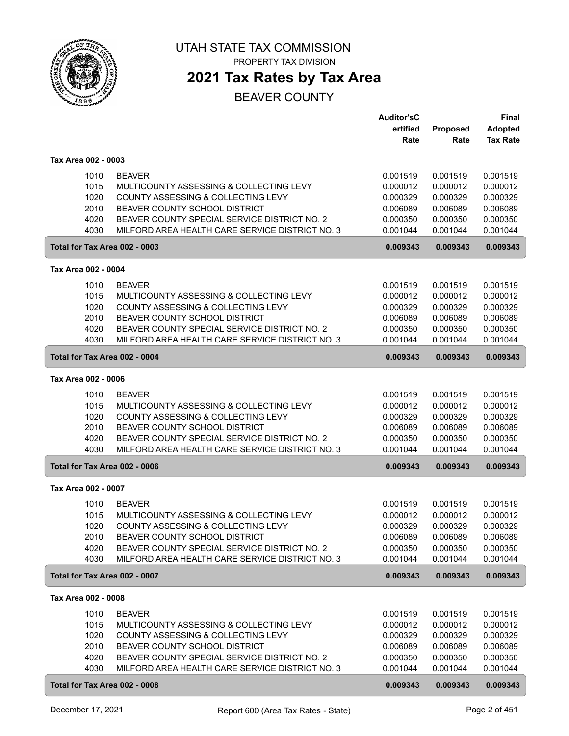

**2021 Tax Rates by Tax Area**

|                               |                                                                                                 | <b>Auditor'sC</b><br>ertified | Proposed             | <b>Final</b><br><b>Adopted</b> |
|-------------------------------|-------------------------------------------------------------------------------------------------|-------------------------------|----------------------|--------------------------------|
|                               |                                                                                                 | Rate                          | Rate                 | <b>Tax Rate</b>                |
| Tax Area 002 - 0003           |                                                                                                 |                               |                      |                                |
| 1010                          | <b>BEAVER</b>                                                                                   | 0.001519                      | 0.001519             | 0.001519                       |
| 1015                          | MULTICOUNTY ASSESSING & COLLECTING LEVY                                                         | 0.000012                      | 0.000012             | 0.000012                       |
| 1020<br>2010                  | COUNTY ASSESSING & COLLECTING LEVY<br>BEAVER COUNTY SCHOOL DISTRICT                             | 0.000329<br>0.006089          | 0.000329<br>0.006089 | 0.000329<br>0.006089           |
| 4020                          | BEAVER COUNTY SPECIAL SERVICE DISTRICT NO. 2                                                    | 0.000350                      | 0.000350             | 0.000350                       |
| 4030                          | MILFORD AREA HEALTH CARE SERVICE DISTRICT NO. 3                                                 | 0.001044                      | 0.001044             | 0.001044                       |
| Total for Tax Area 002 - 0003 |                                                                                                 | 0.009343                      | 0.009343             | 0.009343                       |
| Tax Area 002 - 0004           |                                                                                                 |                               |                      |                                |
| 1010                          | <b>BEAVER</b>                                                                                   | 0.001519                      | 0.001519             | 0.001519                       |
| 1015                          | MULTICOUNTY ASSESSING & COLLECTING LEVY                                                         | 0.000012                      | 0.000012             | 0.000012                       |
| 1020                          | COUNTY ASSESSING & COLLECTING LEVY                                                              | 0.000329                      | 0.000329             | 0.000329                       |
| 2010                          | BEAVER COUNTY SCHOOL DISTRICT                                                                   | 0.006089                      | 0.006089             | 0.006089                       |
| 4020<br>4030                  | BEAVER COUNTY SPECIAL SERVICE DISTRICT NO. 2<br>MILFORD AREA HEALTH CARE SERVICE DISTRICT NO. 3 | 0.000350<br>0.001044          | 0.000350<br>0.001044 | 0.000350<br>0.001044           |
| Total for Tax Area 002 - 0004 |                                                                                                 | 0.009343                      | 0.009343             | 0.009343                       |
| Tax Area 002 - 0006           |                                                                                                 |                               |                      |                                |
| 1010                          | <b>BEAVER</b>                                                                                   | 0.001519                      | 0.001519             | 0.001519                       |
| 1015                          | MULTICOUNTY ASSESSING & COLLECTING LEVY                                                         | 0.000012                      | 0.000012             | 0.000012                       |
| 1020                          | COUNTY ASSESSING & COLLECTING LEVY                                                              | 0.000329                      | 0.000329             | 0.000329                       |
| 2010                          | BEAVER COUNTY SCHOOL DISTRICT                                                                   | 0.006089                      | 0.006089             | 0.006089                       |
| 4020<br>4030                  | BEAVER COUNTY SPECIAL SERVICE DISTRICT NO. 2<br>MILFORD AREA HEALTH CARE SERVICE DISTRICT NO. 3 | 0.000350<br>0.001044          | 0.000350<br>0.001044 | 0.000350<br>0.001044           |
| Total for Tax Area 002 - 0006 |                                                                                                 | 0.009343                      | 0.009343             | 0.009343                       |
| Tax Area 002 - 0007           |                                                                                                 |                               |                      |                                |
|                               |                                                                                                 |                               |                      |                                |
| 1010<br>1015                  | <b>BEAVER</b><br>MULTICOUNTY ASSESSING & COLLECTING LEVY                                        | 0.001519<br>0.000012          | 0.001519<br>0.000012 | 0.001519<br>0.000012           |
| 1020                          | COUNTY ASSESSING & COLLECTING LEVY                                                              | 0.000329                      | 0.000329             | 0.000329                       |
| 2010                          | BEAVER COUNTY SCHOOL DISTRICT                                                                   | 0.006089                      | 0.006089             | 0.006089                       |
| 4020                          | BEAVER COUNTY SPECIAL SERVICE DISTRICT NO. 2                                                    | 0.000350                      | 0.000350             | 0.000350                       |
| 4030                          | MILFORD AREA HEALTH CARE SERVICE DISTRICT NO. 3                                                 | 0.001044                      | 0.001044             | 0.001044                       |
| Total for Tax Area 002 - 0007 |                                                                                                 | 0.009343                      | 0.009343             | 0.009343                       |
| Tax Area 002 - 0008           |                                                                                                 |                               |                      |                                |
| 1010                          | <b>BEAVER</b>                                                                                   | 0.001519                      | 0.001519             | 0.001519                       |
| 1015                          | MULTICOUNTY ASSESSING & COLLECTING LEVY                                                         | 0.000012                      | 0.000012             | 0.000012                       |
| 1020                          | COUNTY ASSESSING & COLLECTING LEVY                                                              | 0.000329                      | 0.000329             | 0.000329                       |
| 2010<br>4020                  | BEAVER COUNTY SCHOOL DISTRICT<br>BEAVER COUNTY SPECIAL SERVICE DISTRICT NO. 2                   | 0.006089<br>0.000350          | 0.006089<br>0.000350 | 0.006089<br>0.000350           |
| 4030                          | MILFORD AREA HEALTH CARE SERVICE DISTRICT NO. 3                                                 | 0.001044                      | 0.001044             | 0.001044                       |
| Total for Tax Area 002 - 0008 |                                                                                                 | 0.009343                      | 0.009343             | 0.009343                       |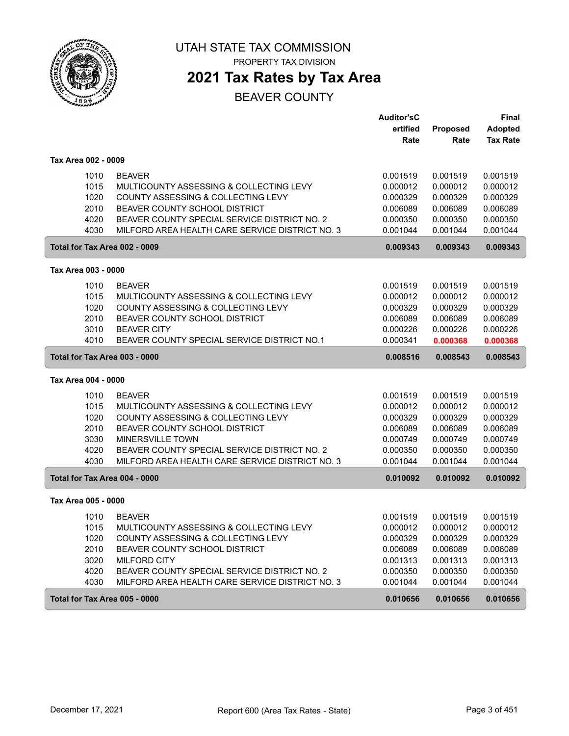

## **2021 Tax Rates by Tax Area**

|                               |                                                                     | <b>Auditor'sC</b>    |          | <b>Final</b>    |
|-------------------------------|---------------------------------------------------------------------|----------------------|----------|-----------------|
|                               |                                                                     | ertified             | Proposed | Adopted         |
|                               |                                                                     | Rate                 | Rate     | <b>Tax Rate</b> |
| Tax Area 002 - 0009           |                                                                     |                      |          |                 |
| 1010                          | <b>BEAVER</b>                                                       | 0.001519             | 0.001519 | 0.001519        |
| 1015                          | MULTICOUNTY ASSESSING & COLLECTING LEVY                             | 0.000012             | 0.000012 | 0.000012        |
| 1020                          | COUNTY ASSESSING & COLLECTING LEVY                                  | 0.000329             | 0.000329 | 0.000329        |
| 2010                          | BEAVER COUNTY SCHOOL DISTRICT                                       | 0.006089             | 0.006089 | 0.006089        |
| 4020                          | BEAVER COUNTY SPECIAL SERVICE DISTRICT NO. 2                        | 0.000350             | 0.000350 | 0.000350        |
| 4030                          | MILFORD AREA HEALTH CARE SERVICE DISTRICT NO. 3                     | 0.001044             | 0.001044 | 0.001044        |
| Total for Tax Area 002 - 0009 |                                                                     | 0.009343             | 0.009343 | 0.009343        |
| Tax Area 003 - 0000           |                                                                     |                      |          |                 |
| 1010                          | <b>BEAVER</b>                                                       | 0.001519             | 0.001519 | 0.001519        |
| 1015                          | MULTICOUNTY ASSESSING & COLLECTING LEVY                             | 0.000012             | 0.000012 | 0.000012        |
| 1020                          | COUNTY ASSESSING & COLLECTING LEVY                                  | 0.000329             | 0.000329 | 0.000329        |
| 2010                          | BEAVER COUNTY SCHOOL DISTRICT                                       |                      |          | 0.006089        |
|                               | <b>BEAVER CITY</b>                                                  | 0.006089             | 0.006089 |                 |
| 3010<br>4010                  | BEAVER COUNTY SPECIAL SERVICE DISTRICT NO.1                         | 0.000226             | 0.000226 | 0.000226        |
|                               |                                                                     | 0.000341             | 0.000368 | 0.000368        |
| Total for Tax Area 003 - 0000 |                                                                     | 0.008516             | 0.008543 | 0.008543        |
| Tax Area 004 - 0000           |                                                                     |                      |          |                 |
| 1010                          | <b>BEAVER</b>                                                       | 0.001519             | 0.001519 | 0.001519        |
| 1015                          | MULTICOUNTY ASSESSING & COLLECTING LEVY                             | 0.000012             | 0.000012 | 0.000012        |
| 1020                          | COUNTY ASSESSING & COLLECTING LEVY                                  | 0.000329             | 0.000329 | 0.000329        |
| 2010                          | BEAVER COUNTY SCHOOL DISTRICT                                       | 0.006089             | 0.006089 | 0.006089        |
| 3030                          | MINERSVILLE TOWN                                                    | 0.000749             | 0.000749 | 0.000749        |
| 4020                          | BEAVER COUNTY SPECIAL SERVICE DISTRICT NO. 2                        | 0.000350             | 0.000350 | 0.000350        |
| 4030                          | MILFORD AREA HEALTH CARE SERVICE DISTRICT NO. 3                     | 0.001044             | 0.001044 | 0.001044        |
| Total for Tax Area 004 - 0000 |                                                                     | 0.010092             | 0.010092 | 0.010092        |
| Tax Area 005 - 0000           |                                                                     |                      |          |                 |
| 1010                          | <b>BEAVER</b>                                                       | 0.001519             | 0.001519 | 0.001519        |
| 1015                          | MULTICOUNTY ASSESSING & COLLECTING LEVY                             | 0.000012             | 0.000012 | 0.000012        |
| 1020                          | COUNTY ASSESSING & COLLECTING LEVY                                  | 0.000329             | 0.000329 | 0.000329        |
| 2010                          | BEAVER COUNTY SCHOOL DISTRICT                                       | 0.006089             | 0.006089 | 0.006089        |
| 3020                          |                                                                     |                      |          |                 |
| 4020                          | <b>MILFORD CITY</b><br>BEAVER COUNTY SPECIAL SERVICE DISTRICT NO. 2 | 0.001313<br>0.000350 | 0.001313 | 0.001313        |
|                               |                                                                     |                      | 0.000350 | 0.000350        |
| 4030                          | MILFORD AREA HEALTH CARE SERVICE DISTRICT NO. 3                     | 0.001044             | 0.001044 | 0.001044        |
| Total for Tax Area 005 - 0000 |                                                                     | 0.010656             | 0.010656 | 0.010656        |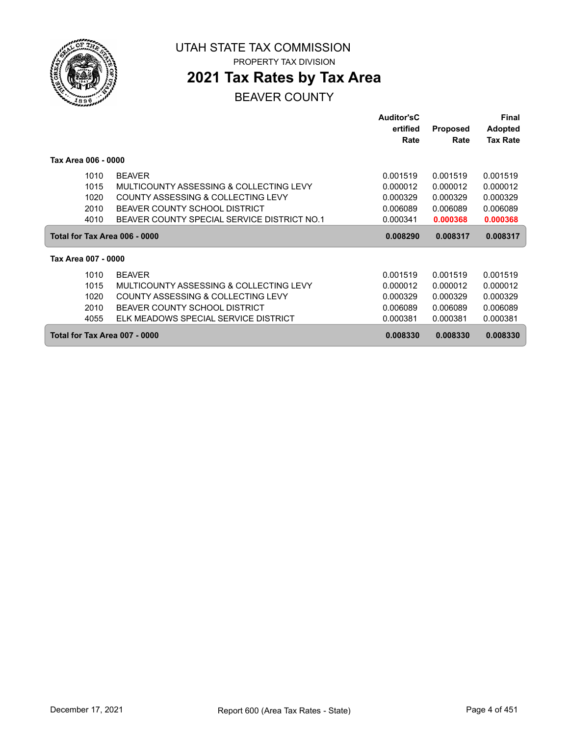

# **2021 Tax Rates by Tax Area**

|                     |                                             | <b>Auditor'sC</b> |                 | Final           |
|---------------------|---------------------------------------------|-------------------|-----------------|-----------------|
|                     |                                             | ertified          | <b>Proposed</b> | <b>Adopted</b>  |
|                     |                                             | Rate              | Rate            | <b>Tax Rate</b> |
| Tax Area 006 - 0000 |                                             |                   |                 |                 |
| 1010                | <b>BEAVER</b>                               | 0.001519          | 0.001519        | 0.001519        |
| 1015                | MULTICOUNTY ASSESSING & COLLECTING LEVY     | 0.000012          | 0.000012        | 0.000012        |
| 1020                | COUNTY ASSESSING & COLLECTING LEVY          | 0.000329          | 0.000329        | 0.000329        |
| 2010                | BEAVER COUNTY SCHOOL DISTRICT               | 0.006089          | 0.006089        | 0.006089        |
| 4010                | BEAVER COUNTY SPECIAL SERVICE DISTRICT NO.1 | 0.000341          | 0.000368        | 0.000368        |
|                     | Total for Tax Area 006 - 0000               | 0.008290          | 0.008317        | 0.008317        |
| Tax Area 007 - 0000 |                                             |                   |                 |                 |
| 1010                | <b>BEAVER</b>                               | 0.001519          | 0.001519        | 0.001519        |
| 1015                | MULTICOUNTY ASSESSING & COLLECTING LEVY     | 0.000012          | 0.000012        | 0.000012        |
| 1020                | COUNTY ASSESSING & COLLECTING LEVY          | 0.000329          | 0.000329        | 0.000329        |
| 2010                | BEAVER COUNTY SCHOOL DISTRICT               | 0.006089          | 0.006089        | 0.006089        |
| 4055                | ELK MEADOWS SPECIAL SERVICE DISTRICT        | 0.000381          | 0.000381        | 0.000381        |
|                     | Total for Tax Area 007 - 0000               | 0.008330          | 0.008330        | 0.008330        |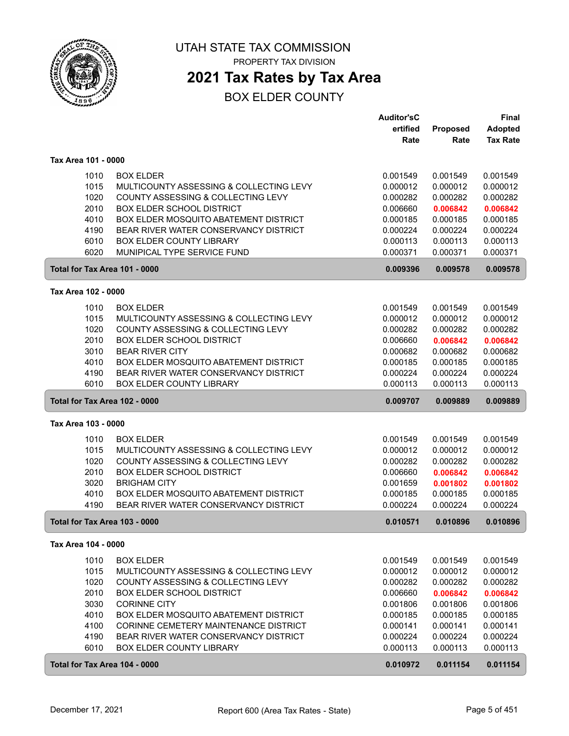

**2021 Tax Rates by Tax Area**

|                               |                                                                   | <b>Auditor'sC</b>    |                      | <b>Final</b>         |
|-------------------------------|-------------------------------------------------------------------|----------------------|----------------------|----------------------|
|                               |                                                                   | ertified             | Proposed             | <b>Adopted</b>       |
|                               |                                                                   | Rate                 | Rate                 | <b>Tax Rate</b>      |
| Tax Area 101 - 0000           |                                                                   |                      |                      |                      |
| 1010                          | <b>BOX ELDER</b>                                                  | 0.001549             | 0.001549             | 0.001549             |
| 1015                          | MULTICOUNTY ASSESSING & COLLECTING LEVY                           | 0.000012             | 0.000012             | 0.000012             |
| 1020                          | COUNTY ASSESSING & COLLECTING LEVY                                | 0.000282             | 0.000282             | 0.000282             |
| 2010                          | <b>BOX ELDER SCHOOL DISTRICT</b>                                  | 0.006660             | 0.006842             | 0.006842             |
| 4010                          | BOX ELDER MOSQUITO ABATEMENT DISTRICT                             | 0.000185             | 0.000185             | 0.000185             |
| 4190                          | BEAR RIVER WATER CONSERVANCY DISTRICT                             | 0.000224             | 0.000224             | 0.000224             |
| 6010                          | <b>BOX ELDER COUNTY LIBRARY</b>                                   | 0.000113             | 0.000113             | 0.000113             |
| 6020                          | MUNIPICAL TYPE SERVICE FUND                                       | 0.000371             | 0.000371             | 0.000371             |
| Total for Tax Area 101 - 0000 |                                                                   | 0.009396             | 0.009578             | 0.009578             |
|                               |                                                                   |                      |                      |                      |
| Tax Area 102 - 0000           |                                                                   |                      |                      |                      |
| 1010                          | <b>BOX ELDER</b>                                                  | 0.001549             | 0.001549             | 0.001549             |
| 1015                          | MULTICOUNTY ASSESSING & COLLECTING LEVY                           | 0.000012             | 0.000012             | 0.000012             |
| 1020                          | COUNTY ASSESSING & COLLECTING LEVY                                | 0.000282             | 0.000282             | 0.000282             |
| 2010                          | <b>BOX ELDER SCHOOL DISTRICT</b>                                  | 0.006660             | 0.006842             | 0.006842             |
| 3010                          | <b>BEAR RIVER CITY</b>                                            | 0.000682             | 0.000682             | 0.000682             |
| 4010                          | BOX ELDER MOSQUITO ABATEMENT DISTRICT                             | 0.000185             | 0.000185             | 0.000185             |
| 4190                          | BEAR RIVER WATER CONSERVANCY DISTRICT                             | 0.000224             | 0.000224             | 0.000224             |
| 6010                          | <b>BOX ELDER COUNTY LIBRARY</b>                                   | 0.000113             | 0.000113             | 0.000113             |
| Total for Tax Area 102 - 0000 |                                                                   | 0.009707             | 0.009889             | 0.009889             |
| Tax Area 103 - 0000           |                                                                   |                      |                      |                      |
| 1010                          | <b>BOX ELDER</b>                                                  | 0.001549             | 0.001549             | 0.001549             |
| 1015                          | MULTICOUNTY ASSESSING & COLLECTING LEVY                           | 0.000012             | 0.000012             | 0.000012             |
| 1020                          | COUNTY ASSESSING & COLLECTING LEVY                                | 0.000282             | 0.000282             | 0.000282             |
| 2010                          | <b>BOX ELDER SCHOOL DISTRICT</b>                                  | 0.006660             | 0.006842             | 0.006842             |
| 3020                          | <b>BRIGHAM CITY</b>                                               | 0.001659             | 0.001802             | 0.001802             |
| 4010                          | <b>BOX ELDER MOSQUITO ABATEMENT DISTRICT</b>                      | 0.000185             | 0.000185             | 0.000185             |
| 4190                          | BEAR RIVER WATER CONSERVANCY DISTRICT                             | 0.000224             | 0.000224             | 0.000224             |
| Total for Tax Area 103 - 0000 |                                                                   | 0.010571             | 0.010896             | 0.010896             |
| Tax Area 104 - 0000           |                                                                   |                      |                      |                      |
| 1010                          | <b>BOX ELDER</b>                                                  | 0.001549             | 0.001549             | 0.001549             |
| 1015                          | MULTICOUNTY ASSESSING & COLLECTING LEVY                           | 0.000012             | 0.000012             | 0.000012             |
| 1020                          | COUNTY ASSESSING & COLLECTING LEVY                                | 0.000282             | 0.000282             | 0.000282             |
| 2010                          | <b>BOX ELDER SCHOOL DISTRICT</b>                                  | 0.006660             | 0.006842             | 0.006842             |
| 3030                          | <b>CORINNE CITY</b>                                               | 0.001806             | 0.001806             | 0.001806             |
| 4010                          | BOX ELDER MOSQUITO ABATEMENT DISTRICT                             | 0.000185             | 0.000185             | 0.000185             |
| 4100                          | CORINNE CEMETERY MAINTENANCE DISTRICT                             | 0.000141             | 0.000141             | 0.000141             |
| 4190                          |                                                                   |                      |                      |                      |
|                               |                                                                   |                      |                      |                      |
| 6010                          | BEAR RIVER WATER CONSERVANCY DISTRICT<br>BOX ELDER COUNTY LIBRARY | 0.000224<br>0.000113 | 0.000224<br>0.000113 | 0.000224<br>0.000113 |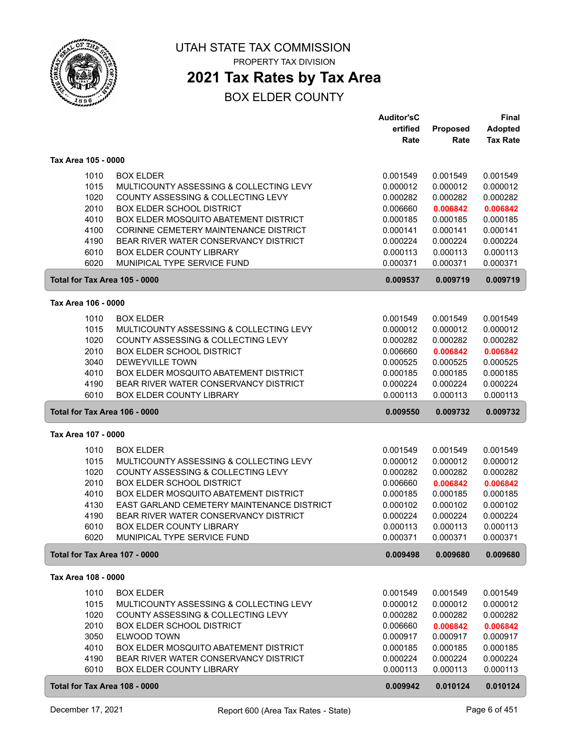

## **2021 Tax Rates by Tax Area**

|                               |                                                                        | <b>Auditor'sC</b>    |                      | <b>Final</b>         |
|-------------------------------|------------------------------------------------------------------------|----------------------|----------------------|----------------------|
|                               |                                                                        | ertified             | <b>Proposed</b>      | <b>Adopted</b>       |
|                               |                                                                        | Rate                 | Rate                 | <b>Tax Rate</b>      |
| Tax Area 105 - 0000           |                                                                        |                      |                      |                      |
|                               |                                                                        |                      |                      |                      |
| 1010                          | <b>BOX ELDER</b>                                                       | 0.001549<br>0.000012 | 0.001549             | 0.001549             |
| 1015<br>1020                  | MULTICOUNTY ASSESSING & COLLECTING LEVY                                |                      | 0.000012             | 0.000012             |
| 2010                          | COUNTY ASSESSING & COLLECTING LEVY<br><b>BOX ELDER SCHOOL DISTRICT</b> | 0.000282<br>0.006660 | 0.000282             | 0.000282<br>0.006842 |
| 4010                          | BOX ELDER MOSQUITO ABATEMENT DISTRICT                                  |                      | 0.006842<br>0.000185 |                      |
|                               | CORINNE CEMETERY MAINTENANCE DISTRICT                                  | 0.000185             |                      | 0.000185             |
| 4100                          | BEAR RIVER WATER CONSERVANCY DISTRICT                                  | 0.000141             | 0.000141             | 0.000141             |
| 4190                          |                                                                        | 0.000224             | 0.000224             | 0.000224             |
| 6010                          | <b>BOX ELDER COUNTY LIBRARY</b>                                        | 0.000113             | 0.000113             | 0.000113             |
| 6020                          | MUNIPICAL TYPE SERVICE FUND                                            | 0.000371             | 0.000371             | 0.000371             |
| Total for Tax Area 105 - 0000 |                                                                        | 0.009537             | 0.009719             | 0.009719             |
| Tax Area 106 - 0000           |                                                                        |                      |                      |                      |
| 1010                          | <b>BOX ELDER</b>                                                       | 0.001549             | 0.001549             | 0.001549             |
| 1015                          | MULTICOUNTY ASSESSING & COLLECTING LEVY                                | 0.000012             | 0.000012             | 0.000012             |
| 1020                          | COUNTY ASSESSING & COLLECTING LEVY                                     | 0.000282             | 0.000282             | 0.000282             |
| 2010                          | <b>BOX ELDER SCHOOL DISTRICT</b>                                       | 0.006660             | 0.006842             | 0.006842             |
| 3040                          | <b>DEWEYVILLE TOWN</b>                                                 | 0.000525             | 0.000525             | 0.000525             |
| 4010                          | BOX ELDER MOSQUITO ABATEMENT DISTRICT                                  | 0.000185             | 0.000185             | 0.000185             |
| 4190                          | BEAR RIVER WATER CONSERVANCY DISTRICT                                  | 0.000224             | 0.000224             | 0.000224             |
| 6010                          | <b>BOX ELDER COUNTY LIBRARY</b>                                        | 0.000113             | 0.000113             | 0.000113             |
| Total for Tax Area 106 - 0000 |                                                                        | 0.009550             | 0.009732             | 0.009732             |
| Tax Area 107 - 0000           |                                                                        |                      |                      |                      |
|                               |                                                                        |                      |                      |                      |
| 1010                          | <b>BOX ELDER</b>                                                       | 0.001549             | 0.001549             | 0.001549             |
| 1015                          | MULTICOUNTY ASSESSING & COLLECTING LEVY                                | 0.000012             | 0.000012             | 0.000012             |
| 1020                          | COUNTY ASSESSING & COLLECTING LEVY                                     | 0.000282             | 0.000282             | 0.000282             |
| 2010                          | <b>BOX ELDER SCHOOL DISTRICT</b>                                       | 0.006660             | 0.006842             | 0.006842             |
| 4010                          | BOX ELDER MOSQUITO ABATEMENT DISTRICT                                  | 0.000185             | 0.000185             | 0.000185             |
| 4130                          | EAST GARLAND CEMETERY MAINTENANCE DISTRICT                             | 0.000102             | 0.000102             | 0.000102             |
| 4190                          | BEAR RIVER WATER CONSERVANCY DISTRICT                                  | 0.000224             | 0.000224             | 0.000224             |
| 6010                          | <b>BOX ELDER COUNTY LIBRARY</b>                                        | 0.000113             | 0.000113             | 0.000113             |
| 6020                          | MUNIPICAL TYPE SERVICE FUND                                            | 0.000371             | 0.000371             | 0.000371             |
| Total for Tax Area 107 - 0000 |                                                                        | 0.009498             | 0.009680             | 0.009680             |
| Tax Area 108 - 0000           |                                                                        |                      |                      |                      |
| 1010                          | <b>BOX ELDER</b>                                                       | 0.001549             | 0.001549             | 0.001549             |
| 1015                          | MULTICOUNTY ASSESSING & COLLECTING LEVY                                | 0.000012             | 0.000012             | 0.000012             |
| 1020                          | COUNTY ASSESSING & COLLECTING LEVY                                     | 0.000282             | 0.000282             | 0.000282             |
| 2010                          | <b>BOX ELDER SCHOOL DISTRICT</b>                                       | 0.006660             | 0.006842             | 0.006842             |
| 3050                          | ELWOOD TOWN                                                            | 0.000917             | 0.000917             | 0.000917             |
| 4010                          | BOX ELDER MOSQUITO ABATEMENT DISTRICT                                  | 0.000185             | 0.000185             | 0.000185             |
| 4190                          | BEAR RIVER WATER CONSERVANCY DISTRICT                                  | 0.000224             | 0.000224             | 0.000224             |
| 6010                          | BOX ELDER COUNTY LIBRARY                                               | 0.000113             | 0.000113             | 0.000113             |
|                               | Total for Tax Area 108 - 0000                                          | 0.009942             | 0.010124             | 0.010124             |
|                               |                                                                        |                      |                      |                      |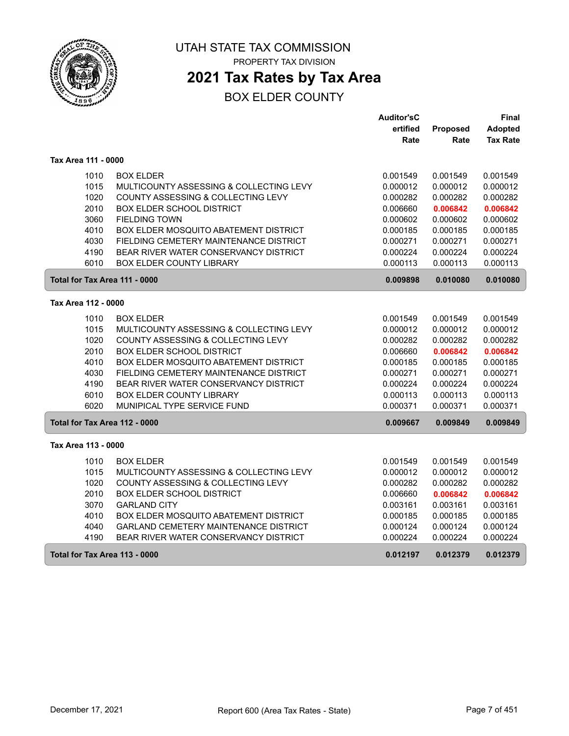

## **2021 Tax Rates by Tax Area**

|                               |                                              | <b>Auditor'sC</b> |          | Final           |
|-------------------------------|----------------------------------------------|-------------------|----------|-----------------|
|                               |                                              | ertified          | Proposed | <b>Adopted</b>  |
|                               |                                              | Rate              | Rate     | <b>Tax Rate</b> |
| Tax Area 111 - 0000           |                                              |                   |          |                 |
| 1010                          | <b>BOX ELDER</b>                             | 0.001549          | 0.001549 | 0.001549        |
| 1015                          | MULTICOUNTY ASSESSING & COLLECTING LEVY      | 0.000012          | 0.000012 | 0.000012        |
| 1020                          | COUNTY ASSESSING & COLLECTING LEVY           | 0.000282          | 0.000282 | 0.000282        |
| 2010                          | <b>BOX ELDER SCHOOL DISTRICT</b>             | 0.006660          | 0.006842 | 0.006842        |
| 3060                          | <b>FIELDING TOWN</b>                         | 0.000602          | 0.000602 | 0.000602        |
| 4010                          | <b>BOX ELDER MOSQUITO ABATEMENT DISTRICT</b> | 0.000185          | 0.000185 | 0.000185        |
| 4030                          | FIELDING CEMETERY MAINTENANCE DISTRICT       | 0.000271          | 0.000271 | 0.000271        |
| 4190                          | BEAR RIVER WATER CONSERVANCY DISTRICT        | 0.000224          | 0.000224 | 0.000224        |
| 6010                          | <b>BOX ELDER COUNTY LIBRARY</b>              | 0.000113          | 0.000113 | 0.000113        |
| Total for Tax Area 111 - 0000 |                                              | 0.009898          | 0.010080 | 0.010080        |
| Tax Area 112 - 0000           |                                              |                   |          |                 |
| 1010                          | <b>BOX ELDER</b>                             | 0.001549          | 0.001549 | 0.001549        |
| 1015                          | MULTICOUNTY ASSESSING & COLLECTING LEVY      | 0.000012          | 0.000012 | 0.000012        |
| 1020                          | COUNTY ASSESSING & COLLECTING LEVY           | 0.000282          | 0.000282 | 0.000282        |
| 2010                          | BOX ELDER SCHOOL DISTRICT                    | 0.006660          | 0.006842 | 0.006842        |
| 4010                          | BOX ELDER MOSQUITO ABATEMENT DISTRICT        | 0.000185          | 0.000185 | 0.000185        |
| 4030                          | FIELDING CEMETERY MAINTENANCE DISTRICT       | 0.000271          | 0.000271 | 0.000271        |
| 4190                          | BEAR RIVER WATER CONSERVANCY DISTRICT        | 0.000224          | 0.000224 | 0.000224        |
| 6010                          | <b>BOX ELDER COUNTY LIBRARY</b>              | 0.000113          | 0.000113 | 0.000113        |
| 6020                          | MUNIPICAL TYPE SERVICE FUND                  | 0.000371          | 0.000371 | 0.000371        |
| Total for Tax Area 112 - 0000 |                                              | 0.009667          | 0.009849 | 0.009849        |
| Tax Area 113 - 0000           |                                              |                   |          |                 |
| 1010                          | <b>BOX ELDER</b>                             | 0.001549          | 0.001549 | 0.001549        |
| 1015                          | MULTICOUNTY ASSESSING & COLLECTING LEVY      | 0.000012          | 0.000012 | 0.000012        |
| 1020                          | COUNTY ASSESSING & COLLECTING LEVY           | 0.000282          | 0.000282 | 0.000282        |
| 2010                          | <b>BOX ELDER SCHOOL DISTRICT</b>             | 0.006660          | 0.006842 | 0.006842        |
| 3070                          | <b>GARLAND CITY</b>                          | 0.003161          | 0.003161 | 0.003161        |
| 4010                          | BOX ELDER MOSQUITO ABATEMENT DISTRICT        | 0.000185          | 0.000185 | 0.000185        |
| 4040                          | GARLAND CEMETERY MAINTENANCE DISTRICT        | 0.000124          | 0.000124 | 0.000124        |
| 4190                          | BEAR RIVER WATER CONSERVANCY DISTRICT        | 0.000224          | 0.000224 | 0.000224        |
| Total for Tax Area 113 - 0000 |                                              | 0.012197          | 0.012379 | 0.012379        |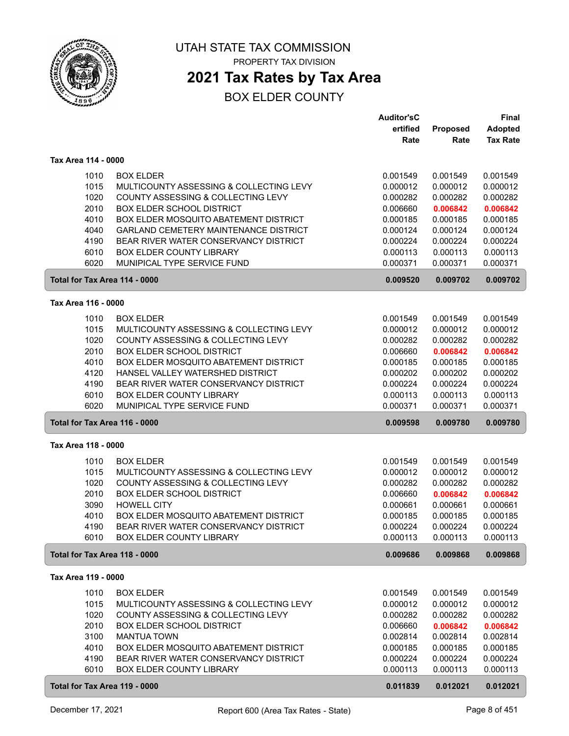

## **2021 Tax Rates by Tax Area**

|                               |                                         | <b>Auditor'sC</b> |          | Final           |
|-------------------------------|-----------------------------------------|-------------------|----------|-----------------|
|                               |                                         | ertified          | Proposed | <b>Adopted</b>  |
|                               |                                         | Rate              | Rate     | <b>Tax Rate</b> |
| Tax Area 114 - 0000           |                                         |                   |          |                 |
|                               |                                         |                   |          |                 |
| 1010                          | <b>BOX ELDER</b>                        | 0.001549          | 0.001549 | 0.001549        |
| 1015                          | MULTICOUNTY ASSESSING & COLLECTING LEVY | 0.000012          | 0.000012 | 0.000012        |
| 1020                          | COUNTY ASSESSING & COLLECTING LEVY      | 0.000282          | 0.000282 | 0.000282        |
| 2010                          | <b>BOX ELDER SCHOOL DISTRICT</b>        | 0.006660          | 0.006842 | 0.006842        |
| 4010                          | BOX ELDER MOSQUITO ABATEMENT DISTRICT   | 0.000185          | 0.000185 | 0.000185        |
| 4040                          | GARLAND CEMETERY MAINTENANCE DISTRICT   | 0.000124          | 0.000124 | 0.000124        |
| 4190                          | BEAR RIVER WATER CONSERVANCY DISTRICT   | 0.000224          | 0.000224 | 0.000224        |
| 6010                          | BOX ELDER COUNTY LIBRARY                | 0.000113          | 0.000113 | 0.000113        |
| 6020                          | MUNIPICAL TYPE SERVICE FUND             | 0.000371          | 0.000371 | 0.000371        |
| Total for Tax Area 114 - 0000 |                                         | 0.009520          | 0.009702 | 0.009702        |
| Tax Area 116 - 0000           |                                         |                   |          |                 |
| 1010                          | <b>BOX ELDER</b>                        | 0.001549          | 0.001549 | 0.001549        |
| 1015                          | MULTICOUNTY ASSESSING & COLLECTING LEVY | 0.000012          | 0.000012 | 0.000012        |
| 1020                          | COUNTY ASSESSING & COLLECTING LEVY      | 0.000282          | 0.000282 | 0.000282        |
| 2010                          | <b>BOX ELDER SCHOOL DISTRICT</b>        | 0.006660          | 0.006842 | 0.006842        |
| 4010                          | BOX ELDER MOSQUITO ABATEMENT DISTRICT   | 0.000185          | 0.000185 | 0.000185        |
| 4120                          | HANSEL VALLEY WATERSHED DISTRICT        | 0.000202          | 0.000202 | 0.000202        |
| 4190                          | BEAR RIVER WATER CONSERVANCY DISTRICT   | 0.000224          | 0.000224 | 0.000224        |
| 6010                          | BOX ELDER COUNTY LIBRARY                | 0.000113          | 0.000113 | 0.000113        |
| 6020                          | MUNIPICAL TYPE SERVICE FUND             | 0.000371          | 0.000371 | 0.000371        |
| Total for Tax Area 116 - 0000 |                                         | 0.009598          | 0.009780 | 0.009780        |
| Tax Area 118 - 0000           |                                         |                   |          |                 |
|                               |                                         |                   |          |                 |
| 1010                          | <b>BOX ELDER</b>                        | 0.001549          | 0.001549 | 0.001549        |
| 1015                          | MULTICOUNTY ASSESSING & COLLECTING LEVY | 0.000012          | 0.000012 | 0.000012        |
| 1020                          | COUNTY ASSESSING & COLLECTING LEVY      | 0.000282          | 0.000282 | 0.000282        |
| 2010                          | <b>BOX ELDER SCHOOL DISTRICT</b>        | 0.006660          | 0.006842 | 0.006842        |
| 3090                          | <b>HOWELL CITY</b>                      | 0.000661          | 0.000661 | 0.000661        |
| 4010                          | BOX ELDER MOSQUITO ABATEMENT DISTRICT   | 0.000185          | 0.000185 | 0.000185        |
| 4190                          | BEAR RIVER WATER CONSERVANCY DISTRICT   | 0.000224          | 0.000224 | 0.000224        |
| 6010                          | <b>BOX ELDER COUNTY LIBRARY</b>         | 0.000113          | 0.000113 | 0.000113        |
| Total for Tax Area 118 - 0000 |                                         | 0.009686          | 0.009868 | 0.009868        |
| Tax Area 119 - 0000           |                                         |                   |          |                 |
| 1010                          | <b>BOX ELDER</b>                        | 0.001549          | 0.001549 | 0.001549        |
| 1015                          | MULTICOUNTY ASSESSING & COLLECTING LEVY | 0.000012          | 0.000012 | 0.000012        |
| 1020                          | COUNTY ASSESSING & COLLECTING LEVY      | 0.000282          | 0.000282 | 0.000282        |
| 2010                          | <b>BOX ELDER SCHOOL DISTRICT</b>        | 0.006660          | 0.006842 | 0.006842        |
| 3100                          | <b>MANTUA TOWN</b>                      | 0.002814          | 0.002814 | 0.002814        |
| 4010                          | BOX ELDER MOSQUITO ABATEMENT DISTRICT   | 0.000185          | 0.000185 | 0.000185        |
| 4190                          | BEAR RIVER WATER CONSERVANCY DISTRICT   | 0.000224          | 0.000224 | 0.000224        |
| 6010                          | <b>BOX ELDER COUNTY LIBRARY</b>         | 0.000113          | 0.000113 | 0.000113        |
| Total for Tax Area 119 - 0000 |                                         | 0.011839          | 0.012021 | 0.012021        |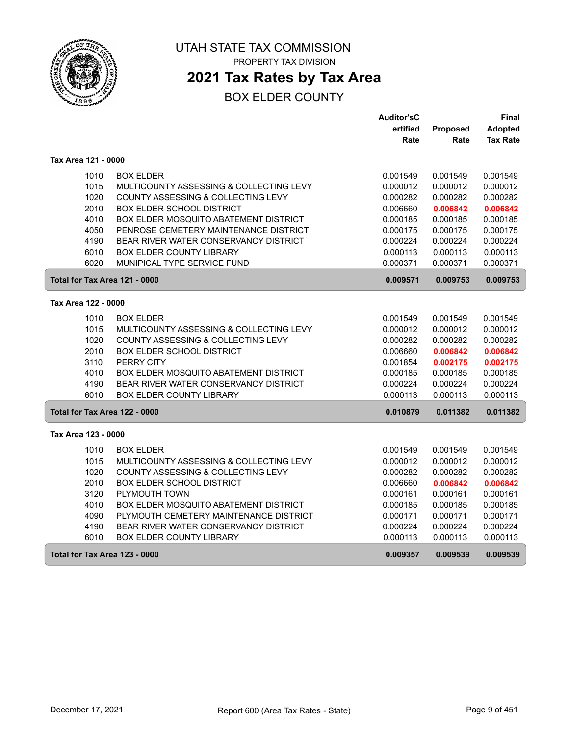

## **2021 Tax Rates by Tax Area**

|                               |                                              | <b>Auditor'sC</b> |          | Final           |
|-------------------------------|----------------------------------------------|-------------------|----------|-----------------|
|                               |                                              | ertified          | Proposed | Adopted         |
|                               |                                              | Rate              | Rate     | <b>Tax Rate</b> |
| Tax Area 121 - 0000           |                                              |                   |          |                 |
| 1010                          | <b>BOX ELDER</b>                             | 0.001549          | 0.001549 | 0.001549        |
| 1015                          | MULTICOUNTY ASSESSING & COLLECTING LEVY      | 0.000012          | 0.000012 | 0.000012        |
| 1020                          | COUNTY ASSESSING & COLLECTING LEVY           | 0.000282          | 0.000282 | 0.000282        |
| 2010                          | <b>BOX ELDER SCHOOL DISTRICT</b>             | 0.006660          | 0.006842 | 0.006842        |
| 4010                          | BOX ELDER MOSQUITO ABATEMENT DISTRICT        | 0.000185          | 0.000185 | 0.000185        |
| 4050                          | PENROSE CEMETERY MAINTENANCE DISTRICT        | 0.000175          | 0.000175 | 0.000175        |
| 4190                          | BEAR RIVER WATER CONSERVANCY DISTRICT        | 0.000224          | 0.000224 | 0.000224        |
| 6010                          | BOX ELDER COUNTY LIBRARY                     | 0.000113          | 0.000113 | 0.000113        |
| 6020                          | MUNIPICAL TYPE SERVICE FUND                  | 0.000371          | 0.000371 | 0.000371        |
| Total for Tax Area 121 - 0000 |                                              | 0.009571          | 0.009753 | 0.009753        |
| Tax Area 122 - 0000           |                                              |                   |          |                 |
| 1010                          | <b>BOX ELDER</b>                             | 0.001549          | 0.001549 | 0.001549        |
| 1015                          | MULTICOUNTY ASSESSING & COLLECTING LEVY      | 0.000012          | 0.000012 | 0.000012        |
| 1020                          | COUNTY ASSESSING & COLLECTING LEVY           | 0.000282          | 0.000282 | 0.000282        |
| 2010                          | BOX ELDER SCHOOL DISTRICT                    | 0.006660          | 0.006842 | 0.006842        |
| 3110                          | PERRY CITY                                   | 0.001854          | 0.002175 | 0.002175        |
| 4010                          | BOX ELDER MOSQUITO ABATEMENT DISTRICT        | 0.000185          | 0.000185 | 0.000185        |
| 4190                          | BEAR RIVER WATER CONSERVANCY DISTRICT        | 0.000224          | 0.000224 | 0.000224        |
| 6010                          | <b>BOX ELDER COUNTY LIBRARY</b>              | 0.000113          | 0.000113 | 0.000113        |
| Total for Tax Area 122 - 0000 |                                              | 0.010879          | 0.011382 | 0.011382        |
| Tax Area 123 - 0000           |                                              |                   |          |                 |
| 1010                          | <b>BOX ELDER</b>                             | 0.001549          | 0.001549 | 0.001549        |
| 1015                          | MULTICOUNTY ASSESSING & COLLECTING LEVY      | 0.000012          | 0.000012 | 0.000012        |
| 1020                          | COUNTY ASSESSING & COLLECTING LEVY           | 0.000282          | 0.000282 | 0.000282        |
| 2010                          | <b>BOX ELDER SCHOOL DISTRICT</b>             | 0.006660          | 0.006842 | 0.006842        |
| 3120                          | PLYMOUTH TOWN                                | 0.000161          | 0.000161 | 0.000161        |
| 4010                          | <b>BOX ELDER MOSQUITO ABATEMENT DISTRICT</b> | 0.000185          | 0.000185 | 0.000185        |
| 4090                          | PLYMOUTH CEMETERY MAINTENANCE DISTRICT       | 0.000171          | 0.000171 | 0.000171        |
| 4190                          | BEAR RIVER WATER CONSERVANCY DISTRICT        | 0.000224          | 0.000224 | 0.000224        |
| 6010                          | <b>BOX ELDER COUNTY LIBRARY</b>              | 0.000113          | 0.000113 | 0.000113        |
| Total for Tax Area 123 - 0000 |                                              | 0.009357          | 0.009539 | 0.009539        |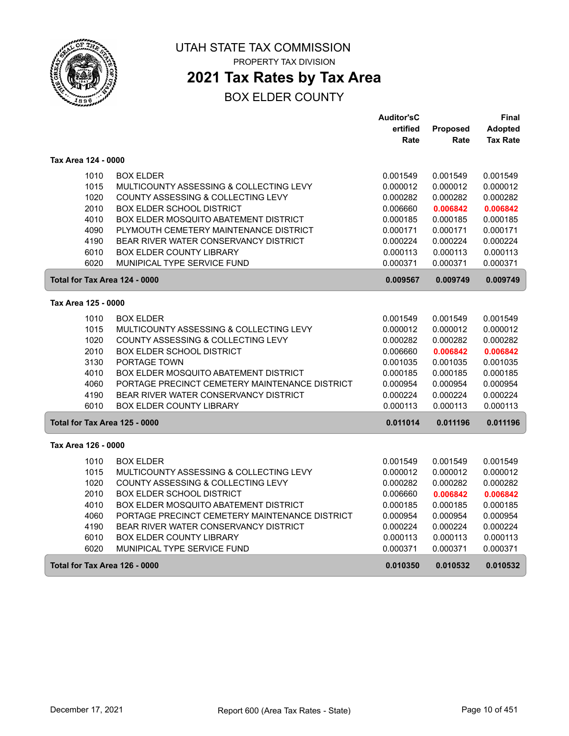

## **2021 Tax Rates by Tax Area**

|                               |                                                | <b>Auditor'sC</b> |          | Final           |
|-------------------------------|------------------------------------------------|-------------------|----------|-----------------|
|                               |                                                | ertified          | Proposed | <b>Adopted</b>  |
|                               |                                                | Rate              | Rate     | <b>Tax Rate</b> |
| Tax Area 124 - 0000           |                                                |                   |          |                 |
| 1010                          | <b>BOX ELDER</b>                               | 0.001549          | 0.001549 | 0.001549        |
| 1015                          | MULTICOUNTY ASSESSING & COLLECTING LEVY        | 0.000012          | 0.000012 | 0.000012        |
| 1020                          | COUNTY ASSESSING & COLLECTING LEVY             | 0.000282          | 0.000282 | 0.000282        |
| 2010                          | BOX ELDER SCHOOL DISTRICT                      | 0.006660          | 0.006842 | 0.006842        |
| 4010                          | BOX ELDER MOSQUITO ABATEMENT DISTRICT          | 0.000185          | 0.000185 | 0.000185        |
| 4090                          | PLYMOUTH CEMETERY MAINTENANCE DISTRICT         | 0.000171          | 0.000171 | 0.000171        |
| 4190                          | BEAR RIVER WATER CONSERVANCY DISTRICT          | 0.000224          | 0.000224 | 0.000224        |
| 6010                          | <b>BOX ELDER COUNTY LIBRARY</b>                | 0.000113          | 0.000113 | 0.000113        |
| 6020                          | MUNIPICAL TYPE SERVICE FUND                    | 0.000371          | 0.000371 | 0.000371        |
| Total for Tax Area 124 - 0000 |                                                | 0.009567          | 0.009749 | 0.009749        |
| Tax Area 125 - 0000           |                                                |                   |          |                 |
| 1010                          | <b>BOX ELDER</b>                               | 0.001549          | 0.001549 | 0.001549        |
| 1015                          | MULTICOUNTY ASSESSING & COLLECTING LEVY        | 0.000012          | 0.000012 | 0.000012        |
| 1020                          | COUNTY ASSESSING & COLLECTING LEVY             | 0.000282          | 0.000282 | 0.000282        |
| 2010                          | <b>BOX ELDER SCHOOL DISTRICT</b>               | 0.006660          | 0.006842 | 0.006842        |
| 3130                          | PORTAGE TOWN                                   | 0.001035          | 0.001035 | 0.001035        |
| 4010                          | <b>BOX ELDER MOSQUITO ABATEMENT DISTRICT</b>   | 0.000185          | 0.000185 | 0.000185        |
| 4060                          | PORTAGE PRECINCT CEMETERY MAINTENANCE DISTRICT | 0.000954          | 0.000954 | 0.000954        |
| 4190                          | BEAR RIVER WATER CONSERVANCY DISTRICT          | 0.000224          | 0.000224 | 0.000224        |
| 6010                          | <b>BOX ELDER COUNTY LIBRARY</b>                | 0.000113          | 0.000113 | 0.000113        |
| Total for Tax Area 125 - 0000 |                                                | 0.011014          | 0.011196 | 0.011196        |
| Tax Area 126 - 0000           |                                                |                   |          |                 |
| 1010                          | <b>BOX ELDER</b>                               | 0.001549          | 0.001549 | 0.001549        |
| 1015                          | MULTICOUNTY ASSESSING & COLLECTING LEVY        | 0.000012          | 0.000012 | 0.000012        |
| 1020                          | COUNTY ASSESSING & COLLECTING LEVY             | 0.000282          | 0.000282 | 0.000282        |
| 2010                          | <b>BOX ELDER SCHOOL DISTRICT</b>               | 0.006660          | 0.006842 | 0.006842        |
| 4010                          | <b>BOX ELDER MOSQUITO ABATEMENT DISTRICT</b>   | 0.000185          | 0.000185 | 0.000185        |
| 4060                          | PORTAGE PRECINCT CEMETERY MAINTENANCE DISTRICT | 0.000954          | 0.000954 | 0.000954        |
| 4190                          | BEAR RIVER WATER CONSERVANCY DISTRICT          | 0.000224          | 0.000224 | 0.000224        |
| 6010                          | <b>BOX ELDER COUNTY LIBRARY</b>                | 0.000113          | 0.000113 | 0.000113        |
| 6020                          | MUNIPICAL TYPE SERVICE FUND                    | 0.000371          | 0.000371 | 0.000371        |
| Total for Tax Area 126 - 0000 |                                                | 0.010350          | 0.010532 | 0.010532        |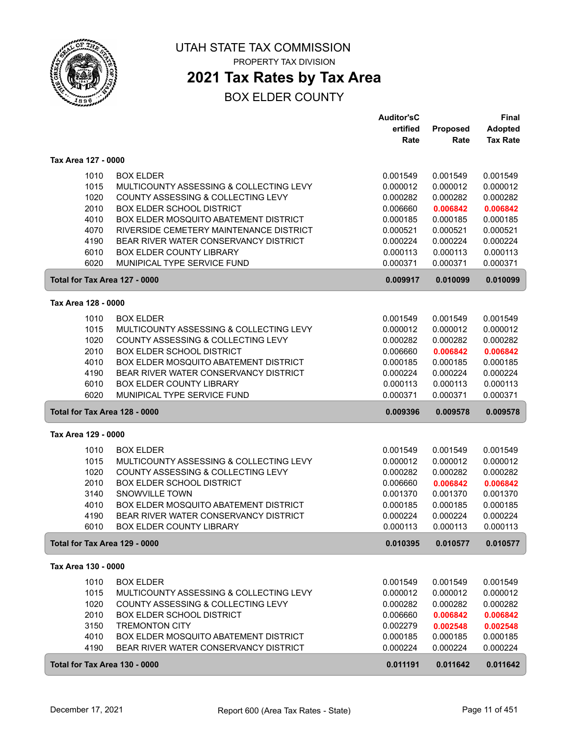

## **2021 Tax Rates by Tax Area**

|                               |                                                                 | <b>Auditor'sC</b>    |                      | <b>Final</b>         |
|-------------------------------|-----------------------------------------------------------------|----------------------|----------------------|----------------------|
|                               |                                                                 | ertified             | Proposed             | <b>Adopted</b>       |
|                               |                                                                 | Rate                 | Rate                 | <b>Tax Rate</b>      |
| Tax Area 127 - 0000           |                                                                 |                      |                      |                      |
| 1010                          | <b>BOX ELDER</b>                                                | 0.001549             | 0.001549             | 0.001549             |
| 1015                          | MULTICOUNTY ASSESSING & COLLECTING LEVY                         | 0.000012             | 0.000012             | 0.000012             |
| 1020                          | COUNTY ASSESSING & COLLECTING LEVY                              | 0.000282             | 0.000282             | 0.000282             |
| 2010                          | <b>BOX ELDER SCHOOL DISTRICT</b>                                | 0.006660             | 0.006842             | 0.006842             |
| 4010                          | BOX ELDER MOSQUITO ABATEMENT DISTRICT                           | 0.000185             | 0.000185             | 0.000185             |
| 4070                          | RIVERSIDE CEMETERY MAINTENANCE DISTRICT                         | 0.000521             | 0.000521             | 0.000521             |
| 4190                          | BEAR RIVER WATER CONSERVANCY DISTRICT                           | 0.000224             | 0.000224             | 0.000224             |
| 6010                          | <b>BOX ELDER COUNTY LIBRARY</b>                                 | 0.000113             | 0.000113             | 0.000113             |
| 6020                          | MUNIPICAL TYPE SERVICE FUND                                     | 0.000371             | 0.000371             | 0.000371             |
| Total for Tax Area 127 - 0000 |                                                                 | 0.009917             | 0.010099             | 0.010099             |
| Tax Area 128 - 0000           |                                                                 |                      |                      |                      |
|                               |                                                                 |                      |                      |                      |
| 1010                          | <b>BOX ELDER</b>                                                | 0.001549             | 0.001549             | 0.001549             |
| 1015<br>1020                  | MULTICOUNTY ASSESSING & COLLECTING LEVY                         | 0.000012             | 0.000012             | 0.000012             |
| 2010                          | COUNTY ASSESSING & COLLECTING LEVY<br>BOX ELDER SCHOOL DISTRICT | 0.000282             | 0.000282             | 0.000282             |
| 4010                          | BOX ELDER MOSQUITO ABATEMENT DISTRICT                           | 0.006660             | 0.006842<br>0.000185 | 0.006842<br>0.000185 |
| 4190                          | BEAR RIVER WATER CONSERVANCY DISTRICT                           | 0.000185<br>0.000224 | 0.000224             | 0.000224             |
| 6010                          | BOX ELDER COUNTY LIBRARY                                        | 0.000113             | 0.000113             | 0.000113             |
| 6020                          | MUNIPICAL TYPE SERVICE FUND                                     | 0.000371             | 0.000371             | 0.000371             |
| Total for Tax Area 128 - 0000 |                                                                 | 0.009396             | 0.009578             | 0.009578             |
| Tax Area 129 - 0000           |                                                                 |                      |                      |                      |
|                               |                                                                 |                      |                      |                      |
| 1010<br>1015                  | <b>BOX ELDER</b><br>MULTICOUNTY ASSESSING & COLLECTING LEVY     | 0.001549             | 0.001549<br>0.000012 | 0.001549<br>0.000012 |
| 1020                          | COUNTY ASSESSING & COLLECTING LEVY                              | 0.000012<br>0.000282 | 0.000282             | 0.000282             |
| 2010                          | <b>BOX ELDER SCHOOL DISTRICT</b>                                | 0.006660             | 0.006842             | 0.006842             |
| 3140                          | <b>SNOWVILLE TOWN</b>                                           | 0.001370             | 0.001370             | 0.001370             |
| 4010                          | BOX ELDER MOSQUITO ABATEMENT DISTRICT                           | 0.000185             | 0.000185             | 0.000185             |
| 4190                          | BEAR RIVER WATER CONSERVANCY DISTRICT                           | 0.000224             | 0.000224             | 0.000224             |
| 6010                          | <b>BOX ELDER COUNTY LIBRARY</b>                                 | 0.000113             | 0.000113             | 0.000113             |
| Total for Tax Area 129 - 0000 |                                                                 | 0.010395             | 0.010577             | 0.010577             |
| Tax Area 130 - 0000           |                                                                 |                      |                      |                      |
| 1010                          | <b>BOX ELDER</b>                                                | 0.001549             | 0.001549             | 0.001549             |
| 1015                          | MULTICOUNTY ASSESSING & COLLECTING LEVY                         | 0.000012             | 0.000012             | 0.000012             |
| 1020                          | COUNTY ASSESSING & COLLECTING LEVY                              | 0.000282             | 0.000282             | 0.000282             |
| 2010                          | <b>BOX ELDER SCHOOL DISTRICT</b>                                | 0.006660             | 0.006842             | 0.006842             |
| 3150                          | <b>TREMONTON CITY</b>                                           | 0.002279             | 0.002548             | 0.002548             |
| 4010                          | BOX ELDER MOSQUITO ABATEMENT DISTRICT                           | 0.000185             | 0.000185             | 0.000185             |
| 4190                          | BEAR RIVER WATER CONSERVANCY DISTRICT                           | 0.000224             | 0.000224             | 0.000224             |
| Total for Tax Area 130 - 0000 |                                                                 | 0.011191             | 0.011642             | 0.011642             |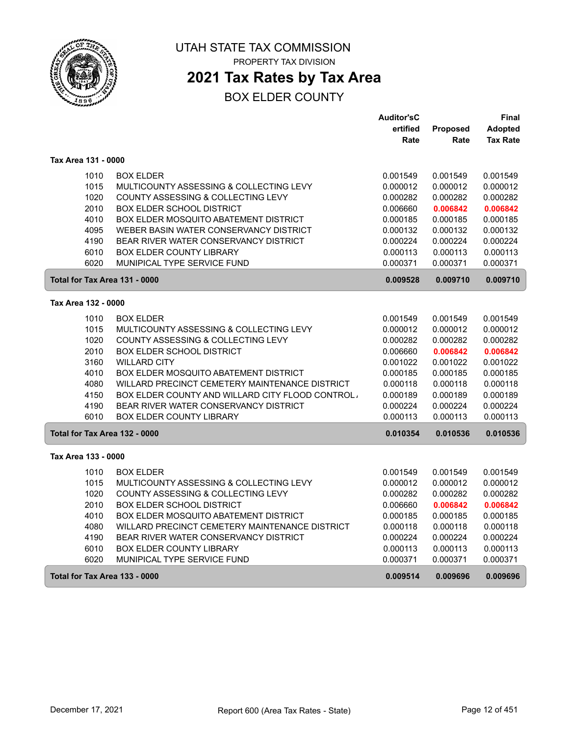

## **2021 Tax Rates by Tax Area**

|                               |                                                 | <b>Auditor'sC</b> |          | Final           |
|-------------------------------|-------------------------------------------------|-------------------|----------|-----------------|
|                               |                                                 | ertified          | Proposed | Adopted         |
|                               |                                                 | Rate              | Rate     | <b>Tax Rate</b> |
| Tax Area 131 - 0000           |                                                 |                   |          |                 |
| 1010                          | <b>BOX ELDER</b>                                | 0.001549          | 0.001549 | 0.001549        |
| 1015                          | MULTICOUNTY ASSESSING & COLLECTING LEVY         | 0.000012          | 0.000012 | 0.000012        |
| 1020                          | COUNTY ASSESSING & COLLECTING LEVY              | 0.000282          | 0.000282 | 0.000282        |
| 2010                          | <b>BOX ELDER SCHOOL DISTRICT</b>                | 0.006660          | 0.006842 | 0.006842        |
| 4010                          | BOX ELDER MOSQUITO ABATEMENT DISTRICT           | 0.000185          | 0.000185 | 0.000185        |
| 4095                          | WEBER BASIN WATER CONSERVANCY DISTRICT          | 0.000132          | 0.000132 | 0.000132        |
| 4190                          | BEAR RIVER WATER CONSERVANCY DISTRICT           | 0.000224          | 0.000224 | 0.000224        |
| 6010                          | BOX ELDER COUNTY LIBRARY                        | 0.000113          | 0.000113 | 0.000113        |
| 6020                          | MUNIPICAL TYPE SERVICE FUND                     | 0.000371          | 0.000371 | 0.000371        |
| Total for Tax Area 131 - 0000 |                                                 | 0.009528          | 0.009710 | 0.009710        |
| Tax Area 132 - 0000           |                                                 |                   |          |                 |
|                               |                                                 |                   |          |                 |
| 1010                          | <b>BOX ELDER</b>                                | 0.001549          | 0.001549 | 0.001549        |
| 1015                          | MULTICOUNTY ASSESSING & COLLECTING LEVY         | 0.000012          | 0.000012 | 0.000012        |
| 1020                          | COUNTY ASSESSING & COLLECTING LEVY              | 0.000282          | 0.000282 | 0.000282        |
| 2010                          | <b>BOX ELDER SCHOOL DISTRICT</b>                | 0.006660          | 0.006842 | 0.006842        |
| 3160                          | <b>WILLARD CITY</b>                             | 0.001022          | 0.001022 | 0.001022        |
| 4010                          | <b>BOX ELDER MOSQUITO ABATEMENT DISTRICT</b>    | 0.000185          | 0.000185 | 0.000185        |
| 4080                          | WILLARD PRECINCT CEMETERY MAINTENANCE DISTRICT  | 0.000118          | 0.000118 | 0.000118        |
| 4150                          | BOX ELDER COUNTY AND WILLARD CITY FLOOD CONTROL | 0.000189          | 0.000189 | 0.000189        |
| 4190                          | BEAR RIVER WATER CONSERVANCY DISTRICT           | 0.000224          | 0.000224 | 0.000224        |
| 6010                          | <b>BOX ELDER COUNTY LIBRARY</b>                 | 0.000113          | 0.000113 | 0.000113        |
| Total for Tax Area 132 - 0000 |                                                 | 0.010354          | 0.010536 | 0.010536        |
| Tax Area 133 - 0000           |                                                 |                   |          |                 |
| 1010                          | <b>BOX ELDER</b>                                | 0.001549          | 0.001549 | 0.001549        |
| 1015                          | MULTICOUNTY ASSESSING & COLLECTING LEVY         | 0.000012          | 0.000012 | 0.000012        |
| 1020                          | COUNTY ASSESSING & COLLECTING LEVY              | 0.000282          | 0.000282 | 0.000282        |
| 2010                          | <b>BOX ELDER SCHOOL DISTRICT</b>                | 0.006660          | 0.006842 | 0.006842        |
| 4010                          | BOX ELDER MOSQUITO ABATEMENT DISTRICT           | 0.000185          | 0.000185 | 0.000185        |
| 4080                          | WILLARD PRECINCT CEMETERY MAINTENANCE DISTRICT  | 0.000118          | 0.000118 | 0.000118        |
| 4190                          | BEAR RIVER WATER CONSERVANCY DISTRICT           | 0.000224          | 0.000224 | 0.000224        |
| 6010                          | <b>BOX ELDER COUNTY LIBRARY</b>                 | 0.000113          | 0.000113 | 0.000113        |
| 6020                          | MUNIPICAL TYPE SERVICE FUND                     | 0.000371          | 0.000371 | 0.000371        |
| Total for Tax Area 133 - 0000 |                                                 | 0.009514          | 0.009696 | 0.009696        |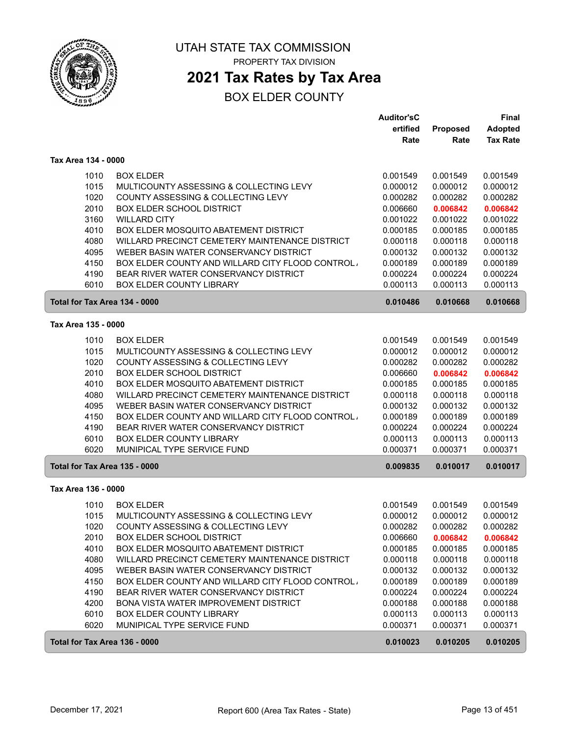

## **2021 Tax Rates by Tax Area**

|                               |                                                                           | <b>Auditor'sC</b>    |                      | Final                |
|-------------------------------|---------------------------------------------------------------------------|----------------------|----------------------|----------------------|
|                               |                                                                           | ertified             | Proposed             | <b>Adopted</b>       |
|                               |                                                                           | Rate                 | Rate                 | <b>Tax Rate</b>      |
| Tax Area 134 - 0000           |                                                                           |                      |                      |                      |
| 1010                          | <b>BOX ELDER</b>                                                          | 0.001549             | 0.001549             | 0.001549             |
| 1015                          | MULTICOUNTY ASSESSING & COLLECTING LEVY                                   | 0.000012             | 0.000012             | 0.000012             |
| 1020                          | COUNTY ASSESSING & COLLECTING LEVY                                        | 0.000282             | 0.000282             | 0.000282             |
| 2010                          | <b>BOX ELDER SCHOOL DISTRICT</b>                                          | 0.006660             | 0.006842             | 0.006842             |
| 3160                          | <b>WILLARD CITY</b>                                                       | 0.001022             | 0.001022             | 0.001022             |
| 4010                          | BOX ELDER MOSQUITO ABATEMENT DISTRICT                                     | 0.000185             | 0.000185             | 0.000185             |
| 4080                          | WILLARD PRECINCT CEMETERY MAINTENANCE DISTRICT                            | 0.000118             | 0.000118             | 0.000118             |
| 4095                          | WEBER BASIN WATER CONSERVANCY DISTRICT                                    | 0.000132             | 0.000132             | 0.000132             |
| 4150                          | BOX ELDER COUNTY AND WILLARD CITY FLOOD CONTROL.                          | 0.000189             | 0.000189             | 0.000189             |
| 4190                          | BEAR RIVER WATER CONSERVANCY DISTRICT                                     | 0.000224             | 0.000224             | 0.000224             |
| 6010                          | <b>BOX ELDER COUNTY LIBRARY</b>                                           | 0.000113             | 0.000113             | 0.000113             |
| Total for Tax Area 134 - 0000 |                                                                           | 0.010486             | 0.010668             | 0.010668             |
| Tax Area 135 - 0000           |                                                                           |                      |                      |                      |
| 1010                          | <b>BOX ELDER</b>                                                          | 0.001549             | 0.001549             | 0.001549             |
| 1015                          | MULTICOUNTY ASSESSING & COLLECTING LEVY                                   | 0.000012             | 0.000012             | 0.000012             |
| 1020                          | COUNTY ASSESSING & COLLECTING LEVY                                        | 0.000282             | 0.000282             | 0.000282             |
| 2010                          | <b>BOX ELDER SCHOOL DISTRICT</b>                                          | 0.006660             | 0.006842             | 0.006842             |
| 4010                          | BOX ELDER MOSQUITO ABATEMENT DISTRICT                                     | 0.000185             | 0.000185             | 0.000185             |
| 4080                          | WILLARD PRECINCT CEMETERY MAINTENANCE DISTRICT                            | 0.000118             | 0.000118             | 0.000118             |
| 4095                          | WEBER BASIN WATER CONSERVANCY DISTRICT                                    | 0.000132             | 0.000132             | 0.000132             |
| 4150                          | BOX ELDER COUNTY AND WILLARD CITY FLOOD CONTROL,                          | 0.000189             | 0.000189             | 0.000189             |
| 4190                          | BEAR RIVER WATER CONSERVANCY DISTRICT                                     | 0.000224             | 0.000224             | 0.000224             |
| 6010                          | BOX ELDER COUNTY LIBRARY                                                  | 0.000113             | 0.000113             | 0.000113             |
| 6020                          | MUNIPICAL TYPE SERVICE FUND                                               | 0.000371             | 0.000371             | 0.000371             |
| Total for Tax Area 135 - 0000 |                                                                           | 0.009835             | 0.010017             | 0.010017             |
| Tax Area 136 - 0000           |                                                                           |                      |                      |                      |
|                               |                                                                           |                      |                      |                      |
| 1010                          | <b>BOX ELDER</b>                                                          | 0.001549             | 0.001549             | 0.001549             |
| 1015                          | MULTICOUNTY ASSESSING & COLLECTING LEVY                                   | 0.000012             | 0.000012             | 0.000012<br>0.000282 |
| 1020                          | COUNTY ASSESSING & COLLECTING LEVY                                        | 0.000282             | 0.000282             |                      |
| 2010<br>4010                  | <b>BOX ELDER SCHOOL DISTRICT</b><br>BOX ELDER MOSQUITO ABATEMENT DISTRICT | 0.006660<br>0.000185 | 0.006842<br>0.000185 | 0.006842<br>0.000185 |
| 4080                          | WILLARD PRECINCT CEMETERY MAINTENANCE DISTRICT                            | 0.000118             | 0.000118             | 0.000118             |
| 4095                          | WEBER BASIN WATER CONSERVANCY DISTRICT                                    |                      | 0.000132             | 0.000132             |
| 4150                          | BOX ELDER COUNTY AND WILLARD CITY FLOOD CONTROL                           | 0.000132<br>0.000189 | 0.000189             | 0.000189             |
| 4190                          | BEAR RIVER WATER CONSERVANCY DISTRICT                                     | 0.000224             | 0.000224             | 0.000224             |
| 4200                          | BONA VISTA WATER IMPROVEMENT DISTRICT                                     | 0.000188             | 0.000188             | 0.000188             |
| 6010                          | <b>BOX ELDER COUNTY LIBRARY</b>                                           | 0.000113             | 0.000113             | 0.000113             |
| 6020                          | MUNIPICAL TYPE SERVICE FUND                                               | 0.000371             | 0.000371             | 0.000371             |
| Total for Tax Area 136 - 0000 |                                                                           | 0.010023             | 0.010205             | 0.010205             |
|                               |                                                                           |                      |                      |                      |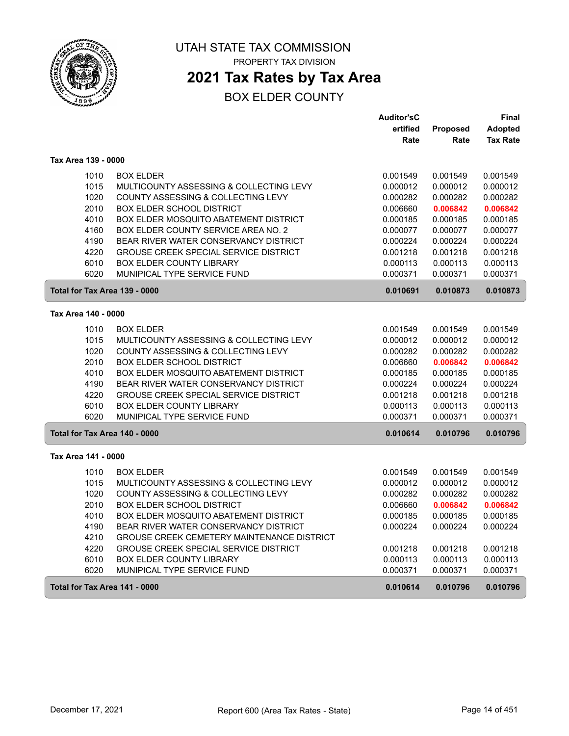

## **2021 Tax Rates by Tax Area**

|                               |                                                   | <b>Auditor'sC</b> |          | Final           |
|-------------------------------|---------------------------------------------------|-------------------|----------|-----------------|
|                               |                                                   | ertified          | Proposed | <b>Adopted</b>  |
|                               |                                                   | Rate              | Rate     | <b>Tax Rate</b> |
| Tax Area 139 - 0000           |                                                   |                   |          |                 |
| 1010                          | <b>BOX ELDER</b>                                  | 0.001549          | 0.001549 | 0.001549        |
| 1015                          | MULTICOUNTY ASSESSING & COLLECTING LEVY           | 0.000012          | 0.000012 | 0.000012        |
| 1020                          | COUNTY ASSESSING & COLLECTING LEVY                | 0.000282          | 0.000282 | 0.000282        |
| 2010                          | <b>BOX ELDER SCHOOL DISTRICT</b>                  | 0.006660          | 0.006842 | 0.006842        |
| 4010                          | BOX ELDER MOSQUITO ABATEMENT DISTRICT             | 0.000185          | 0.000185 | 0.000185        |
| 4160                          | BOX ELDER COUNTY SERVICE AREA NO. 2               | 0.000077          | 0.000077 | 0.000077        |
| 4190                          | BEAR RIVER WATER CONSERVANCY DISTRICT             | 0.000224          | 0.000224 | 0.000224        |
| 4220                          | <b>GROUSE CREEK SPECIAL SERVICE DISTRICT</b>      | 0.001218          | 0.001218 | 0.001218        |
| 6010                          | <b>BOX ELDER COUNTY LIBRARY</b>                   | 0.000113          | 0.000113 | 0.000113        |
| 6020                          | MUNIPICAL TYPE SERVICE FUND                       | 0.000371          | 0.000371 | 0.000371        |
| Total for Tax Area 139 - 0000 |                                                   | 0.010691          | 0.010873 | 0.010873        |
| Tax Area 140 - 0000           |                                                   |                   |          |                 |
| 1010                          | <b>BOX ELDER</b>                                  | 0.001549          | 0.001549 | 0.001549        |
| 1015                          | MULTICOUNTY ASSESSING & COLLECTING LEVY           | 0.000012          | 0.000012 | 0.000012        |
| 1020                          | COUNTY ASSESSING & COLLECTING LEVY                | 0.000282          | 0.000282 | 0.000282        |
| 2010                          | <b>BOX ELDER SCHOOL DISTRICT</b>                  | 0.006660          | 0.006842 | 0.006842        |
| 4010                          | BOX ELDER MOSQUITO ABATEMENT DISTRICT             | 0.000185          | 0.000185 | 0.000185        |
| 4190                          | BEAR RIVER WATER CONSERVANCY DISTRICT             | 0.000224          | 0.000224 | 0.000224        |
| 4220                          | <b>GROUSE CREEK SPECIAL SERVICE DISTRICT</b>      | 0.001218          | 0.001218 | 0.001218        |
| 6010                          | <b>BOX ELDER COUNTY LIBRARY</b>                   | 0.000113          | 0.000113 | 0.000113        |
| 6020                          | MUNIPICAL TYPE SERVICE FUND                       | 0.000371          | 0.000371 | 0.000371        |
| Total for Tax Area 140 - 0000 |                                                   | 0.010614          | 0.010796 | 0.010796        |
| Tax Area 141 - 0000           |                                                   |                   |          |                 |
| 1010                          | <b>BOX ELDER</b>                                  | 0.001549          | 0.001549 | 0.001549        |
| 1015                          | MULTICOUNTY ASSESSING & COLLECTING LEVY           | 0.000012          | 0.000012 | 0.000012        |
| 1020                          | COUNTY ASSESSING & COLLECTING LEVY                | 0.000282          | 0.000282 | 0.000282        |
| 2010                          | <b>BOX ELDER SCHOOL DISTRICT</b>                  | 0.006660          | 0.006842 | 0.006842        |
| 4010                          | BOX ELDER MOSQUITO ABATEMENT DISTRICT             | 0.000185          | 0.000185 | 0.000185        |
| 4190                          | BEAR RIVER WATER CONSERVANCY DISTRICT             | 0.000224          | 0.000224 | 0.000224        |
| 4210                          | <b>GROUSE CREEK CEMETERY MAINTENANCE DISTRICT</b> |                   |          |                 |
| 4220                          | <b>GROUSE CREEK SPECIAL SERVICE DISTRICT</b>      | 0.001218          | 0.001218 | 0.001218        |
| 6010                          | <b>BOX ELDER COUNTY LIBRARY</b>                   | 0.000113          | 0.000113 | 0.000113        |
| 6020                          | MUNIPICAL TYPE SERVICE FUND                       | 0.000371          | 0.000371 | 0.000371        |
| Total for Tax Area 141 - 0000 |                                                   | 0.010614          | 0.010796 | 0.010796        |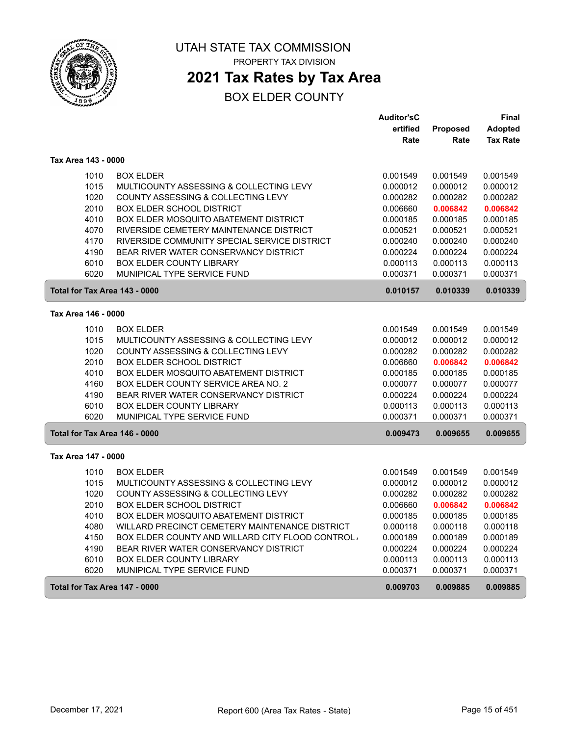

## **2021 Tax Rates by Tax Area**

|                     |                                                         | <b>Auditor'sC</b> |          | Final           |
|---------------------|---------------------------------------------------------|-------------------|----------|-----------------|
|                     |                                                         | ertified          | Proposed | <b>Adopted</b>  |
|                     |                                                         | Rate              | Rate     | <b>Tax Rate</b> |
| Tax Area 143 - 0000 |                                                         |                   |          |                 |
| 1010                | <b>BOX ELDER</b>                                        | 0.001549          | 0.001549 | 0.001549        |
| 1015                | MULTICOUNTY ASSESSING & COLLECTING LEVY                 | 0.000012          | 0.000012 | 0.000012        |
| 1020                | COUNTY ASSESSING & COLLECTING LEVY                      | 0.000282          | 0.000282 | 0.000282        |
| 2010                | <b>BOX ELDER SCHOOL DISTRICT</b>                        | 0.006660          | 0.006842 | 0.006842        |
| 4010                | BOX ELDER MOSQUITO ABATEMENT DISTRICT                   | 0.000185          | 0.000185 | 0.000185        |
| 4070                | RIVERSIDE CEMETERY MAINTENANCE DISTRICT                 | 0.000521          | 0.000521 | 0.000521        |
| 4170                | RIVERSIDE COMMUNITY SPECIAL SERVICE DISTRICT            | 0.000240          | 0.000240 | 0.000240        |
| 4190                | BEAR RIVER WATER CONSERVANCY DISTRICT                   | 0.000224          | 0.000224 | 0.000224        |
| 6010                | BOX ELDER COUNTY LIBRARY                                | 0.000113          | 0.000113 | 0.000113        |
| 6020                | MUNIPICAL TYPE SERVICE FUND                             | 0.000371          | 0.000371 | 0.000371        |
|                     | Total for Tax Area 143 - 0000                           | 0.010157          | 0.010339 | 0.010339        |
| Tax Area 146 - 0000 |                                                         |                   |          |                 |
| 1010                | <b>BOX ELDER</b>                                        | 0.001549          | 0.001549 | 0.001549        |
| 1015                | MULTICOUNTY ASSESSING & COLLECTING LEVY                 | 0.000012          | 0.000012 | 0.000012        |
| 1020                | COUNTY ASSESSING & COLLECTING LEVY                      | 0.000282          | 0.000282 | 0.000282        |
| 2010                | <b>BOX ELDER SCHOOL DISTRICT</b>                        | 0.006660          | 0.006842 | 0.006842        |
| 4010                | <b>BOX ELDER MOSQUITO ABATEMENT DISTRICT</b>            | 0.000185          | 0.000185 | 0.000185        |
| 4160                | <b>BOX ELDER COUNTY SERVICE AREA NO. 2</b>              | 0.000077          | 0.000077 | 0.000077        |
| 4190                | BEAR RIVER WATER CONSERVANCY DISTRICT                   | 0.000224          | 0.000224 | 0.000224        |
| 6010                | <b>BOX ELDER COUNTY LIBRARY</b>                         | 0.000113          | 0.000113 | 0.000113        |
| 6020                | MUNIPICAL TYPE SERVICE FUND                             | 0.000371          | 0.000371 | 0.000371        |
|                     | Total for Tax Area 146 - 0000                           | 0.009473          | 0.009655 | 0.009655        |
| Tax Area 147 - 0000 |                                                         |                   |          |                 |
| 1010                | <b>BOX ELDER</b>                                        | 0.001549          | 0.001549 | 0.001549        |
| 1015                | MULTICOUNTY ASSESSING & COLLECTING LEVY                 | 0.000012          | 0.000012 | 0.000012        |
| 1020                | COUNTY ASSESSING & COLLECTING LEVY                      | 0.000282          | 0.000282 | 0.000282        |
| 2010                | <b>BOX ELDER SCHOOL DISTRICT</b>                        | 0.006660          | 0.006842 | 0.006842        |
| 4010                | BOX ELDER MOSQUITO ABATEMENT DISTRICT                   | 0.000185          | 0.000185 | 0.000185        |
| 4080                | WILLARD PRECINCT CEMETERY MAINTENANCE DISTRICT          | 0.000118          | 0.000118 | 0.000118        |
| 4150                | <b>BOX ELDER COUNTY AND WILLARD CITY FLOOD CONTROL,</b> | 0.000189          | 0.000189 | 0.000189        |
| 4190                | BEAR RIVER WATER CONSERVANCY DISTRICT                   | 0.000224          | 0.000224 | 0.000224        |
| 6010                | <b>BOX ELDER COUNTY LIBRARY</b>                         | 0.000113          | 0.000113 | 0.000113        |
| 6020                | MUNIPICAL TYPE SERVICE FUND                             | 0.000371          | 0.000371 | 0.000371        |
|                     | Total for Tax Area 147 - 0000                           | 0.009703          | 0.009885 | 0.009885        |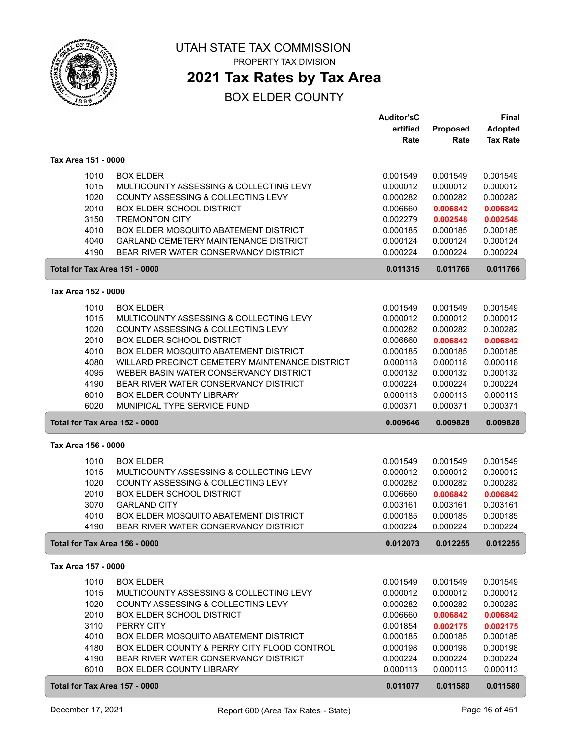

PROPERTY TAX DIVISION

## **2021 Tax Rates by Tax Area**

|                               |                                                | <b>Auditor'sC</b> |                      | <b>Final</b>    |
|-------------------------------|------------------------------------------------|-------------------|----------------------|-----------------|
|                               |                                                | ertified          | Proposed             | <b>Adopted</b>  |
|                               |                                                | Rate              | Rate                 | <b>Tax Rate</b> |
|                               |                                                |                   |                      |                 |
| Tax Area 151 - 0000           |                                                |                   |                      |                 |
| 1010                          | <b>BOX ELDER</b>                               | 0.001549          | 0.001549             | 0.001549        |
| 1015                          | MULTICOUNTY ASSESSING & COLLECTING LEVY        | 0.000012          | 0.000012             | 0.000012        |
| 1020                          | COUNTY ASSESSING & COLLECTING LEVY             | 0.000282          | 0.000282             | 0.000282        |
| 2010                          | <b>BOX ELDER SCHOOL DISTRICT</b>               | 0.006660          | 0.006842             | 0.006842        |
| 3150                          | <b>TREMONTON CITY</b>                          | 0.002279          | 0.002548             | 0.002548        |
| 4010                          | BOX ELDER MOSQUITO ABATEMENT DISTRICT          | 0.000185          | 0.000185             | 0.000185        |
| 4040                          | GARLAND CEMETERY MAINTENANCE DISTRICT          | 0.000124          | 0.000124             | 0.000124        |
| 4190                          | BEAR RIVER WATER CONSERVANCY DISTRICT          | 0.000224          | 0.000224             | 0.000224        |
| Total for Tax Area 151 - 0000 |                                                | 0.011315          | 0.011766             | 0.011766        |
| Tax Area 152 - 0000           |                                                |                   |                      |                 |
| 1010                          | <b>BOX ELDER</b>                               | 0.001549          |                      | 0.001549        |
| 1015                          | MULTICOUNTY ASSESSING & COLLECTING LEVY        | 0.000012          | 0.001549<br>0.000012 | 0.000012        |
| 1020                          | COUNTY ASSESSING & COLLECTING LEVY             | 0.000282          | 0.000282             | 0.000282        |
| 2010                          | <b>BOX ELDER SCHOOL DISTRICT</b>               | 0.006660          | 0.006842             | 0.006842        |
| 4010                          | BOX ELDER MOSQUITO ABATEMENT DISTRICT          | 0.000185          | 0.000185             | 0.000185        |
| 4080                          | WILLARD PRECINCT CEMETERY MAINTENANCE DISTRICT | 0.000118          | 0.000118             | 0.000118        |
| 4095                          | WEBER BASIN WATER CONSERVANCY DISTRICT         | 0.000132          | 0.000132             | 0.000132        |
| 4190                          | BEAR RIVER WATER CONSERVANCY DISTRICT          | 0.000224          | 0.000224             | 0.000224        |
| 6010                          | BOX ELDER COUNTY LIBRARY                       | 0.000113          | 0.000113             | 0.000113        |
| 6020                          | MUNIPICAL TYPE SERVICE FUND                    | 0.000371          | 0.000371             | 0.000371        |
| Total for Tax Area 152 - 0000 |                                                | 0.009646          | 0.009828             | 0.009828        |
| Tax Area 156 - 0000           |                                                |                   |                      |                 |
|                               |                                                |                   |                      |                 |
| 1010                          | <b>BOX ELDER</b>                               | 0.001549          | 0.001549             | 0.001549        |
| 1015                          | MULTICOUNTY ASSESSING & COLLECTING LEVY        | 0.000012          | 0.000012             | 0.000012        |
| 1020                          | COUNTY ASSESSING & COLLECTING LEVY             | 0.000282          | 0.000282             | 0.000282        |
| 2010                          | <b>BOX ELDER SCHOOL DISTRICT</b>               | 0.006660          | 0.006842             | 0.006842        |
| 3070                          | <b>GARLAND CITY</b>                            | 0.003161          | 0.003161             | 0.003161        |
| 4010                          | BOX ELDER MOSQUITO ABATEMENT DISTRICT          | 0.000185          | 0.000185             | 0.000185        |
| 4190                          | BEAR RIVER WATER CONSERVANCY DISTRICT          | 0.000224          | 0.000224             | 0.000224        |
| Total for Tax Area 156 - 0000 |                                                | 0.012073          | 0.012255             | 0.012255        |
| Tax Area 157 - 0000           |                                                |                   |                      |                 |
| 1010                          | <b>BOX ELDER</b>                               | 0.001549          | 0.001549             | 0.001549        |
| 1015                          | MULTICOUNTY ASSESSING & COLLECTING LEVY        | 0.000012          | 0.000012             | 0.000012        |
| 1020                          | COUNTY ASSESSING & COLLECTING LEVY             | 0.000282          | 0.000282             | 0.000282        |
| 2010                          | <b>BOX ELDER SCHOOL DISTRICT</b>               | 0.006660          | 0.006842             | 0.006842        |
| 3110                          | PERRY CITY                                     | 0.001854          | 0.002175             | 0.002175        |
| 4010                          | BOX ELDER MOSQUITO ABATEMENT DISTRICT          | 0.000185          | 0.000185             | 0.000185        |
| 4180                          | BOX ELDER COUNTY & PERRY CITY FLOOD CONTROL    | 0.000198          | 0.000198             | 0.000198        |
| 4190                          | BEAR RIVER WATER CONSERVANCY DISTRICT          | 0.000224          | 0.000224             | 0.000224        |
| 6010                          | BOX ELDER COUNTY LIBRARY                       | 0.000113          | 0.000113             | 0.000113        |
| Total for Tax Area 157 - 0000 |                                                | 0.011077          | 0.011580             | 0.011580        |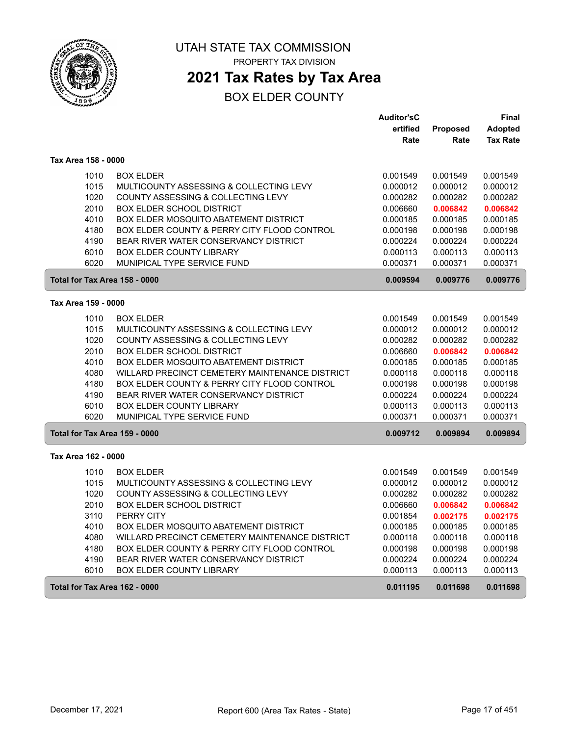

## **2021 Tax Rates by Tax Area**

|                               |                                                | <b>Auditor'sC</b> |                 | Final           |
|-------------------------------|------------------------------------------------|-------------------|-----------------|-----------------|
|                               |                                                | ertified          | <b>Proposed</b> | <b>Adopted</b>  |
|                               |                                                | Rate              | Rate            | <b>Tax Rate</b> |
| Tax Area 158 - 0000           |                                                |                   |                 |                 |
| 1010                          | <b>BOX ELDER</b>                               | 0.001549          | 0.001549        | 0.001549        |
| 1015                          | MULTICOUNTY ASSESSING & COLLECTING LEVY        | 0.000012          | 0.000012        | 0.000012        |
| 1020                          | COUNTY ASSESSING & COLLECTING LEVY             | 0.000282          | 0.000282        | 0.000282        |
| 2010                          | <b>BOX ELDER SCHOOL DISTRICT</b>               | 0.006660          | 0.006842        | 0.006842        |
| 4010                          | BOX ELDER MOSQUITO ABATEMENT DISTRICT          | 0.000185          | 0.000185        | 0.000185        |
| 4180                          | BOX ELDER COUNTY & PERRY CITY FLOOD CONTROL    | 0.000198          | 0.000198        | 0.000198        |
| 4190                          | BEAR RIVER WATER CONSERVANCY DISTRICT          | 0.000224          | 0.000224        | 0.000224        |
| 6010                          | BOX ELDER COUNTY LIBRARY                       | 0.000113          | 0.000113        | 0.000113        |
| 6020                          | MUNIPICAL TYPE SERVICE FUND                    | 0.000371          | 0.000371        | 0.000371        |
| Total for Tax Area 158 - 0000 |                                                | 0.009594          | 0.009776        | 0.009776        |
| Tax Area 159 - 0000           |                                                |                   |                 |                 |
| 1010                          | <b>BOX ELDER</b>                               | 0.001549          | 0.001549        | 0.001549        |
| 1015                          | MULTICOUNTY ASSESSING & COLLECTING LEVY        | 0.000012          | 0.000012        | 0.000012        |
| 1020                          | COUNTY ASSESSING & COLLECTING LEVY             | 0.000282          | 0.000282        | 0.000282        |
| 2010                          | <b>BOX ELDER SCHOOL DISTRICT</b>               | 0.006660          | 0.006842        | 0.006842        |
| 4010                          | BOX ELDER MOSQUITO ABATEMENT DISTRICT          | 0.000185          | 0.000185        | 0.000185        |
| 4080                          | WILLARD PRECINCT CEMETERY MAINTENANCE DISTRICT | 0.000118          | 0.000118        | 0.000118        |
| 4180                          | BOX ELDER COUNTY & PERRY CITY FLOOD CONTROL    | 0.000198          | 0.000198        | 0.000198        |
| 4190                          | BEAR RIVER WATER CONSERVANCY DISTRICT          | 0.000224          | 0.000224        | 0.000224        |
| 6010                          | <b>BOX ELDER COUNTY LIBRARY</b>                | 0.000113          | 0.000113        | 0.000113        |
| 6020                          | MUNIPICAL TYPE SERVICE FUND                    | 0.000371          | 0.000371        | 0.000371        |
| Total for Tax Area 159 - 0000 |                                                | 0.009712          | 0.009894        | 0.009894        |
| Tax Area 162 - 0000           |                                                |                   |                 |                 |
| 1010                          | <b>BOX ELDER</b>                               | 0.001549          | 0.001549        | 0.001549        |
| 1015                          | MULTICOUNTY ASSESSING & COLLECTING LEVY        | 0.000012          | 0.000012        | 0.000012        |
| 1020                          | COUNTY ASSESSING & COLLECTING LEVY             | 0.000282          | 0.000282        | 0.000282        |
| 2010                          | <b>BOX ELDER SCHOOL DISTRICT</b>               | 0.006660          | 0.006842        | 0.006842        |
| 3110                          | PERRY CITY                                     | 0.001854          | 0.002175        | 0.002175        |
| 4010                          | BOX ELDER MOSQUITO ABATEMENT DISTRICT          | 0.000185          | 0.000185        | 0.000185        |
| 4080                          | WILLARD PRECINCT CEMETERY MAINTENANCE DISTRICT | 0.000118          | 0.000118        | 0.000118        |
| 4180                          | BOX ELDER COUNTY & PERRY CITY FLOOD CONTROL    | 0.000198          | 0.000198        | 0.000198        |
| 4190                          | BEAR RIVER WATER CONSERVANCY DISTRICT          | 0.000224          | 0.000224        | 0.000224        |
| 6010                          | <b>BOX ELDER COUNTY LIBRARY</b>                | 0.000113          | 0.000113        | 0.000113        |
| Total for Tax Area 162 - 0000 |                                                | 0.011195          | 0.011698        | 0.011698        |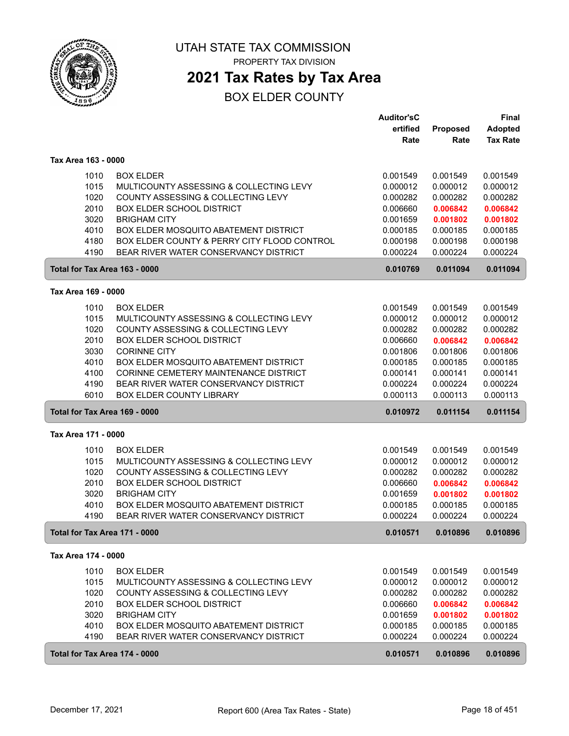

**2021 Tax Rates by Tax Area**

|                               |                                             | <b>Auditor'sC</b> |          | <b>Final</b>    |
|-------------------------------|---------------------------------------------|-------------------|----------|-----------------|
|                               |                                             | ertified          | Proposed | <b>Adopted</b>  |
|                               |                                             | Rate              | Rate     | <b>Tax Rate</b> |
| Tax Area 163 - 0000           |                                             |                   |          |                 |
| 1010                          | <b>BOX ELDER</b>                            | 0.001549          | 0.001549 | 0.001549        |
| 1015                          | MULTICOUNTY ASSESSING & COLLECTING LEVY     | 0.000012          | 0.000012 | 0.000012        |
| 1020                          | COUNTY ASSESSING & COLLECTING LEVY          | 0.000282          | 0.000282 | 0.000282        |
| 2010                          | <b>BOX ELDER SCHOOL DISTRICT</b>            | 0.006660          | 0.006842 | 0.006842        |
| 3020                          | <b>BRIGHAM CITY</b>                         | 0.001659          | 0.001802 | 0.001802        |
| 4010                          | BOX ELDER MOSQUITO ABATEMENT DISTRICT       | 0.000185          | 0.000185 | 0.000185        |
| 4180                          | BOX ELDER COUNTY & PERRY CITY FLOOD CONTROL | 0.000198          | 0.000198 | 0.000198        |
| 4190                          | BEAR RIVER WATER CONSERVANCY DISTRICT       | 0.000224          | 0.000224 | 0.000224        |
| Total for Tax Area 163 - 0000 |                                             | 0.010769          | 0.011094 | 0.011094        |
| Tax Area 169 - 0000           |                                             |                   |          |                 |
| 1010                          | <b>BOX ELDER</b>                            | 0.001549          | 0.001549 | 0.001549        |
| 1015                          | MULTICOUNTY ASSESSING & COLLECTING LEVY     | 0.000012          | 0.000012 | 0.000012        |
| 1020                          | COUNTY ASSESSING & COLLECTING LEVY          | 0.000282          | 0.000282 | 0.000282        |
| 2010                          | <b>BOX ELDER SCHOOL DISTRICT</b>            | 0.006660          | 0.006842 | 0.006842        |
| 3030                          | <b>CORINNE CITY</b>                         | 0.001806          | 0.001806 | 0.001806        |
| 4010                          | BOX ELDER MOSQUITO ABATEMENT DISTRICT       | 0.000185          | 0.000185 | 0.000185        |
| 4100                          | CORINNE CEMETERY MAINTENANCE DISTRICT       | 0.000141          | 0.000141 | 0.000141        |
| 4190                          | BEAR RIVER WATER CONSERVANCY DISTRICT       | 0.000224          | 0.000224 | 0.000224        |
| 6010                          | <b>BOX ELDER COUNTY LIBRARY</b>             | 0.000113          | 0.000113 | 0.000113        |
| Total for Tax Area 169 - 0000 |                                             | 0.010972          | 0.011154 | 0.011154        |
| Tax Area 171 - 0000           |                                             |                   |          |                 |
| 1010                          | <b>BOX ELDER</b>                            | 0.001549          | 0.001549 | 0.001549        |
| 1015                          | MULTICOUNTY ASSESSING & COLLECTING LEVY     | 0.000012          | 0.000012 | 0.000012        |
| 1020                          | COUNTY ASSESSING & COLLECTING LEVY          | 0.000282          | 0.000282 | 0.000282        |
| 2010                          | <b>BOX ELDER SCHOOL DISTRICT</b>            | 0.006660          | 0.006842 | 0.006842        |
| 3020                          | <b>BRIGHAM CITY</b>                         | 0.001659          | 0.001802 | 0.001802        |
| 4010                          | BOX ELDER MOSQUITO ABATEMENT DISTRICT       | 0.000185          | 0.000185 | 0.000185        |
| 4190                          | BEAR RIVER WATER CONSERVANCY DISTRICT       | 0.000224          | 0.000224 | 0.000224        |
| Total for Tax Area 171 - 0000 |                                             | 0.010571          | 0.010896 | 0.010896        |
| Tax Area 174 - 0000           |                                             |                   |          |                 |
| 1010                          | <b>BOX ELDER</b>                            | 0.001549          | 0.001549 | 0.001549        |
| 1015                          | MULTICOUNTY ASSESSING & COLLECTING LEVY     | 0.000012          | 0.000012 | 0.000012        |
| 1020                          | COUNTY ASSESSING & COLLECTING LEVY          | 0.000282          | 0.000282 | 0.000282        |
| 2010                          | <b>BOX ELDER SCHOOL DISTRICT</b>            | 0.006660          | 0.006842 | 0.006842        |
| 3020                          | <b>BRIGHAM CITY</b>                         | 0.001659          | 0.001802 | 0.001802        |
| 4010                          | BOX ELDER MOSQUITO ABATEMENT DISTRICT       | 0.000185          | 0.000185 | 0.000185        |
| 4190                          | BEAR RIVER WATER CONSERVANCY DISTRICT       | 0.000224          | 0.000224 | 0.000224        |
| Total for Tax Area 174 - 0000 |                                             | 0.010571          | 0.010896 | 0.010896        |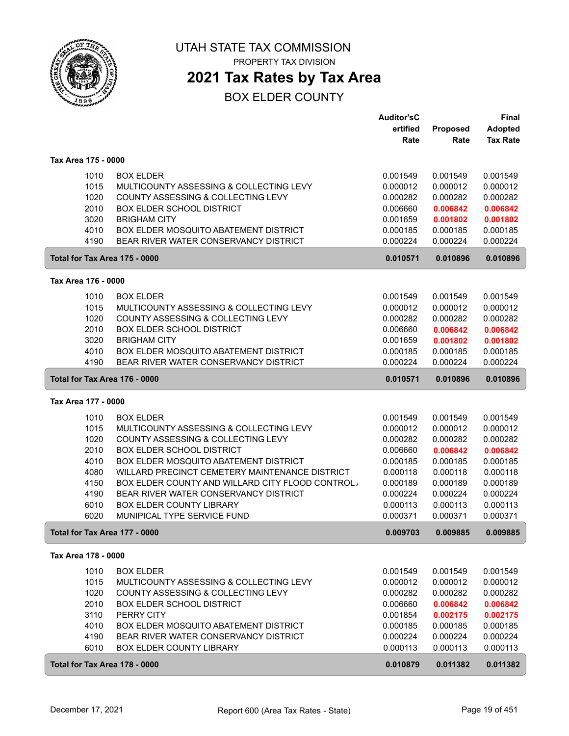

PROPERTY TAX DIVISION

## **2021 Tax Rates by Tax Area**

|                               |                                                                                | <b>Auditor'sC</b>    |                      | <b>Final</b>         |
|-------------------------------|--------------------------------------------------------------------------------|----------------------|----------------------|----------------------|
|                               |                                                                                | ertified             | Proposed             | <b>Adopted</b>       |
|                               |                                                                                | Rate                 | Rate                 | <b>Tax Rate</b>      |
| Tax Area 175 - 0000           |                                                                                |                      |                      |                      |
|                               |                                                                                |                      |                      |                      |
| 1010                          | <b>BOX ELDER</b>                                                               | 0.001549             | 0.001549             | 0.001549             |
| 1015                          | MULTICOUNTY ASSESSING & COLLECTING LEVY                                        | 0.000012             | 0.000012             | 0.000012             |
| 1020                          | COUNTY ASSESSING & COLLECTING LEVY                                             | 0.000282             | 0.000282             | 0.000282             |
| 2010                          | <b>BOX ELDER SCHOOL DISTRICT</b>                                               | 0.006660             | 0.006842             | 0.006842             |
| 3020                          | <b>BRIGHAM CITY</b>                                                            | 0.001659             | 0.001802             | 0.001802             |
| 4010<br>4190                  | BOX ELDER MOSQUITO ABATEMENT DISTRICT<br>BEAR RIVER WATER CONSERVANCY DISTRICT | 0.000185<br>0.000224 | 0.000185<br>0.000224 | 0.000185<br>0.000224 |
|                               |                                                                                |                      |                      |                      |
| Total for Tax Area 175 - 0000 |                                                                                | 0.010571             | 0.010896             | 0.010896             |
| Tax Area 176 - 0000           |                                                                                |                      |                      |                      |
| 1010                          | <b>BOX ELDER</b>                                                               | 0.001549             | 0.001549             | 0.001549             |
| 1015                          | MULTICOUNTY ASSESSING & COLLECTING LEVY                                        | 0.000012             | 0.000012             | 0.000012             |
| 1020                          | COUNTY ASSESSING & COLLECTING LEVY                                             | 0.000282             | 0.000282             | 0.000282             |
| 2010                          | <b>BOX ELDER SCHOOL DISTRICT</b>                                               | 0.006660             | 0.006842             | 0.006842             |
| 3020                          | <b>BRIGHAM CITY</b>                                                            | 0.001659             | 0.001802             | 0.001802             |
| 4010                          | BOX ELDER MOSQUITO ABATEMENT DISTRICT                                          | 0.000185             | 0.000185             | 0.000185             |
| 4190                          | BEAR RIVER WATER CONSERVANCY DISTRICT                                          | 0.000224             | 0.000224             | 0.000224             |
|                               | Total for Tax Area 176 - 0000                                                  | 0.010571             | 0.010896             | 0.010896             |
| Tax Area 177 - 0000           |                                                                                |                      |                      |                      |
| 1010                          | <b>BOX ELDER</b>                                                               | 0.001549             | 0.001549             | 0.001549             |
| 1015                          | MULTICOUNTY ASSESSING & COLLECTING LEVY                                        | 0.000012             | 0.000012             | 0.000012             |
| 1020                          | COUNTY ASSESSING & COLLECTING LEVY                                             | 0.000282             | 0.000282             | 0.000282             |
| 2010                          | BOX ELDER SCHOOL DISTRICT                                                      | 0.006660             | 0.006842             | 0.006842             |
| 4010                          | BOX ELDER MOSQUITO ABATEMENT DISTRICT                                          | 0.000185             | 0.000185             | 0.000185             |
| 4080                          | WILLARD PRECINCT CEMETERY MAINTENANCE DISTRICT                                 | 0.000118             | 0.000118             | 0.000118             |
| 4150                          | BOX ELDER COUNTY AND WILLARD CITY FLOOD CONTROL                                | 0.000189             | 0.000189             | 0.000189             |
| 4190                          | BEAR RIVER WATER CONSERVANCY DISTRICT                                          | 0.000224             | 0.000224             | 0.000224             |
| 6010                          | BOX ELDER COUNTY LIBRARY                                                       | 0.000113             | 0.000113             | 0.000113             |
| 6020                          | MUNIPICAL TYPE SERVICE FUND                                                    | 0.000371             | 0.000371             | 0.000371             |
|                               | Total for Tax Area 177 - 0000                                                  | 0.009703             | 0.009885             | 0.009885             |
| Tax Area 178 - 0000           |                                                                                |                      |                      |                      |
| 1010                          | <b>BOX ELDER</b>                                                               | 0.001549             | 0.001549             | 0.001549             |
| 1015                          | MULTICOUNTY ASSESSING & COLLECTING LEVY                                        | 0.000012             | 0.000012             | 0.000012             |
| 1020                          | COUNTY ASSESSING & COLLECTING LEVY                                             | 0.000282             | 0.000282             | 0.000282             |
| 2010                          | <b>BOX ELDER SCHOOL DISTRICT</b>                                               | 0.006660             | 0.006842             | 0.006842             |
| 3110                          | PERRY CITY                                                                     | 0.001854             | 0.002175             | 0.002175             |
| 4010                          | BOX ELDER MOSQUITO ABATEMENT DISTRICT                                          | 0.000185             | 0.000185             | 0.000185             |
| 4190                          | BEAR RIVER WATER CONSERVANCY DISTRICT                                          | 0.000224             | 0.000224             | 0.000224             |
| 6010                          | <b>BOX ELDER COUNTY LIBRARY</b>                                                | 0.000113             | 0.000113             | 0.000113             |
|                               | Total for Tax Area 178 - 0000                                                  | 0.010879             | 0.011382             | 0.011382             |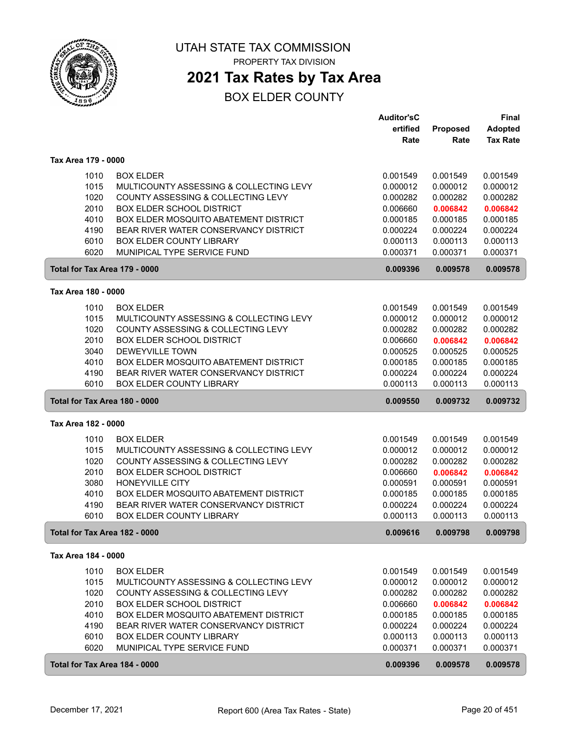

## **2021 Tax Rates by Tax Area**

|                               |                                                                          | <b>Auditor'sC</b>    |                      | <b>Final</b>         |
|-------------------------------|--------------------------------------------------------------------------|----------------------|----------------------|----------------------|
|                               |                                                                          | ertified             | Proposed             | <b>Adopted</b>       |
|                               |                                                                          | Rate                 | Rate                 | <b>Tax Rate</b>      |
|                               |                                                                          |                      |                      |                      |
| Tax Area 179 - 0000           |                                                                          |                      |                      |                      |
| 1010                          | <b>BOX ELDER</b>                                                         | 0.001549             | 0.001549             | 0.001549             |
| 1015                          | MULTICOUNTY ASSESSING & COLLECTING LEVY                                  | 0.000012             | 0.000012             | 0.000012             |
| 1020                          | COUNTY ASSESSING & COLLECTING LEVY                                       | 0.000282             | 0.000282             | 0.000282             |
| 2010                          | <b>BOX ELDER SCHOOL DISTRICT</b>                                         | 0.006660             | 0.006842             | 0.006842             |
| 4010                          | BOX ELDER MOSQUITO ABATEMENT DISTRICT                                    | 0.000185             | 0.000185             | 0.000185             |
| 4190                          | BEAR RIVER WATER CONSERVANCY DISTRICT                                    | 0.000224             | 0.000224             | 0.000224             |
| 6010                          | <b>BOX ELDER COUNTY LIBRARY</b>                                          | 0.000113             | 0.000113             | 0.000113             |
| 6020                          | MUNIPICAL TYPE SERVICE FUND                                              | 0.000371             | 0.000371             | 0.000371             |
| Total for Tax Area 179 - 0000 |                                                                          | 0.009396             | 0.009578             | 0.009578             |
| Tax Area 180 - 0000           |                                                                          |                      |                      |                      |
|                               |                                                                          |                      |                      |                      |
| 1010                          | <b>BOX ELDER</b>                                                         | 0.001549             | 0.001549             | 0.001549             |
| 1015                          | MULTICOUNTY ASSESSING & COLLECTING LEVY                                  | 0.000012             | 0.000012             | 0.000012             |
| 1020                          | COUNTY ASSESSING & COLLECTING LEVY                                       | 0.000282             | 0.000282             | 0.000282             |
| 2010                          | <b>BOX ELDER SCHOOL DISTRICT</b>                                         | 0.006660             | 0.006842             | 0.006842             |
| 3040                          | <b>DEWEYVILLE TOWN</b>                                                   | 0.000525             | 0.000525             | 0.000525             |
| 4010                          | BOX ELDER MOSQUITO ABATEMENT DISTRICT                                    | 0.000185             | 0.000185             | 0.000185             |
| 4190                          | BEAR RIVER WATER CONSERVANCY DISTRICT                                    | 0.000224             | 0.000224             | 0.000224             |
| 6010                          | <b>BOX ELDER COUNTY LIBRARY</b>                                          | 0.000113             | 0.000113             | 0.000113             |
| Total for Tax Area 180 - 0000 |                                                                          | 0.009550             | 0.009732             | 0.009732             |
|                               |                                                                          |                      |                      |                      |
| Tax Area 182 - 0000           |                                                                          |                      |                      |                      |
|                               |                                                                          |                      |                      |                      |
| 1010                          | <b>BOX ELDER</b>                                                         | 0.001549             | 0.001549             | 0.001549             |
| 1015                          | MULTICOUNTY ASSESSING & COLLECTING LEVY                                  | 0.000012             | 0.000012             | 0.000012             |
| 1020                          | COUNTY ASSESSING & COLLECTING LEVY                                       | 0.000282             | 0.000282             | 0.000282             |
| 2010                          | <b>BOX ELDER SCHOOL DISTRICT</b>                                         | 0.006660             | 0.006842             | 0.006842             |
| 3080                          | HONEYVILLE CITY                                                          | 0.000591             | 0.000591             | 0.000591             |
| 4010                          | BOX ELDER MOSQUITO ABATEMENT DISTRICT                                    | 0.000185             | 0.000185             | 0.000185             |
| 4190<br>6010                  | BEAR RIVER WATER CONSERVANCY DISTRICT<br><b>BOX ELDER COUNTY LIBRARY</b> | 0.000224             | 0.000224             | 0.000224<br>0.000113 |
| Total for Tax Area 182 - 0000 |                                                                          | 0.000113<br>0.009616 | 0.000113<br>0.009798 | 0.009798             |
|                               |                                                                          |                      |                      |                      |
| Tax Area 184 - 0000           |                                                                          |                      |                      |                      |
| 1010                          | <b>BOX ELDER</b>                                                         | 0.001549             | 0.001549             | 0.001549             |
| 1015                          | MULTICOUNTY ASSESSING & COLLECTING LEVY                                  | 0.000012             | 0.000012             | 0.000012             |
| 1020                          | COUNTY ASSESSING & COLLECTING LEVY                                       | 0.000282             | 0.000282             | 0.000282             |
| 2010                          | <b>BOX ELDER SCHOOL DISTRICT</b>                                         | 0.006660             | 0.006842             | 0.006842             |
| 4010                          | <b>BOX ELDER MOSQUITO ABATEMENT DISTRICT</b>                             | 0.000185             | 0.000185             | 0.000185             |
| 4190                          | BEAR RIVER WATER CONSERVANCY DISTRICT                                    | 0.000224             | 0.000224             | 0.000224             |
| 6010                          | BOX ELDER COUNTY LIBRARY                                                 | 0.000113             | 0.000113             | 0.000113             |
| 6020                          | MUNIPICAL TYPE SERVICE FUND                                              | 0.000371             | 0.000371             | 0.000371             |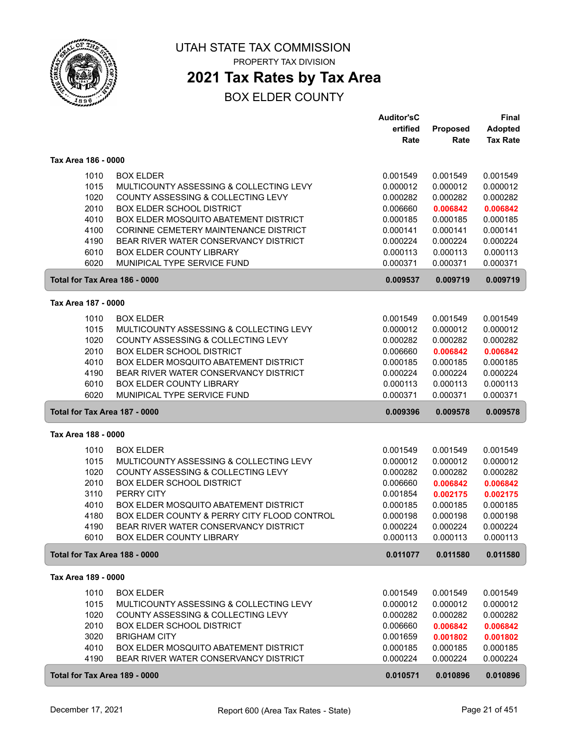

## **2021 Tax Rates by Tax Area**

| ertified<br>Proposed<br><b>Adopted</b><br><b>Tax Rate</b><br>Rate<br>Rate<br>Tax Area 186 - 0000<br>1010<br><b>BOX ELDER</b><br>0.001549<br>0.001549<br>0.001549<br>1015<br>MULTICOUNTY ASSESSING & COLLECTING LEVY<br>0.000012<br>0.000012<br>0.000012<br>1020<br>COUNTY ASSESSING & COLLECTING LEVY<br>0.000282<br>0.000282<br>0.000282<br>2010<br><b>BOX ELDER SCHOOL DISTRICT</b><br>0.006660<br>0.006842<br>0.006842<br>4010<br>BOX ELDER MOSQUITO ABATEMENT DISTRICT<br>0.000185<br>0.000185<br>0.000185<br>CORINNE CEMETERY MAINTENANCE DISTRICT<br>4100<br>0.000141<br>0.000141<br>0.000141<br>4190<br>BEAR RIVER WATER CONSERVANCY DISTRICT<br>0.000224<br>0.000224<br>0.000224<br>6010<br>BOX ELDER COUNTY LIBRARY<br>0.000113<br>0.000113<br>0.000113<br>6020<br>MUNIPICAL TYPE SERVICE FUND<br>0.000371<br>0.000371<br>0.000371<br>Total for Tax Area 186 - 0000<br>0.009537<br>0.009719<br>0.009719<br>Tax Area 187 - 0000<br>1010<br><b>BOX ELDER</b><br>0.001549<br>0.001549<br>0.001549<br>1015<br>MULTICOUNTY ASSESSING & COLLECTING LEVY<br>0.000012<br>0.000012<br>0.000012<br>1020<br>COUNTY ASSESSING & COLLECTING LEVY<br>0.000282<br>0.000282<br>0.000282<br>2010<br><b>BOX ELDER SCHOOL DISTRICT</b><br>0.006842<br>0.006660<br>0.006842<br>4010<br>BOX ELDER MOSQUITO ABATEMENT DISTRICT<br>0.000185<br>0.000185<br>0.000185<br>4190<br>BEAR RIVER WATER CONSERVANCY DISTRICT<br>0.000224<br>0.000224<br>0.000224<br>6010<br><b>BOX ELDER COUNTY LIBRARY</b><br>0.000113<br>0.000113<br>0.000113<br>6020<br>MUNIPICAL TYPE SERVICE FUND<br>0.000371<br>0.000371<br>0.000371<br>Total for Tax Area 187 - 0000<br>0.009396<br>0.009578<br>0.009578<br>Tax Area 188 - 0000<br>1010<br><b>BOX ELDER</b><br>0.001549<br>0.001549<br>0.001549<br>1015<br>MULTICOUNTY ASSESSING & COLLECTING LEVY<br>0.000012<br>0.000012<br>0.000012<br>COUNTY ASSESSING & COLLECTING LEVY<br>1020<br>0.000282<br>0.000282<br>0.000282<br>2010<br><b>BOX ELDER SCHOOL DISTRICT</b><br>0.006660<br>0.006842<br>0.006842<br>3110<br>PERRY CITY<br>0.001854<br>0.002175<br>0.002175<br>4010<br>BOX ELDER MOSQUITO ABATEMENT DISTRICT<br>0.000185<br>0.000185<br>0.000185<br>4180<br>BOX ELDER COUNTY & PERRY CITY FLOOD CONTROL<br>0.000198<br>0.000198<br>0.000198<br>4190<br>BEAR RIVER WATER CONSERVANCY DISTRICT<br>0.000224<br>0.000224<br>0.000224<br>0.000113<br>6010<br><b>BOX ELDER COUNTY LIBRARY</b><br>0.000113<br>0.000113<br>0.011077<br>Total for Tax Area 188 - 0000<br>0.011580<br>0.011580<br>Tax Area 189 - 0000<br>1010<br><b>BOX ELDER</b><br>0.001549<br>0.001549<br>0.001549<br>1015<br>0.000012<br>0.000012<br>MULTICOUNTY ASSESSING & COLLECTING LEVY<br>0.000012<br>1020<br>COUNTY ASSESSING & COLLECTING LEVY<br>0.000282<br>0.000282<br>0.000282<br>2010<br><b>BOX ELDER SCHOOL DISTRICT</b><br>0.006660<br>0.006842<br>0.006842<br>3020<br><b>BRIGHAM CITY</b><br>0.001659<br>0.001802<br>0.001802<br>4010<br>BOX ELDER MOSQUITO ABATEMENT DISTRICT<br>0.000185<br>0.000185<br>0.000185<br>4190<br>BEAR RIVER WATER CONSERVANCY DISTRICT<br>0.000224<br>0.000224<br>0.000224<br>Total for Tax Area 189 - 0000<br>0.010571<br>0.010896<br>0.010896 |  | <b>Auditor'sC</b> | Final |
|--------------------------------------------------------------------------------------------------------------------------------------------------------------------------------------------------------------------------------------------------------------------------------------------------------------------------------------------------------------------------------------------------------------------------------------------------------------------------------------------------------------------------------------------------------------------------------------------------------------------------------------------------------------------------------------------------------------------------------------------------------------------------------------------------------------------------------------------------------------------------------------------------------------------------------------------------------------------------------------------------------------------------------------------------------------------------------------------------------------------------------------------------------------------------------------------------------------------------------------------------------------------------------------------------------------------------------------------------------------------------------------------------------------------------------------------------------------------------------------------------------------------------------------------------------------------------------------------------------------------------------------------------------------------------------------------------------------------------------------------------------------------------------------------------------------------------------------------------------------------------------------------------------------------------------------------------------------------------------------------------------------------------------------------------------------------------------------------------------------------------------------------------------------------------------------------------------------------------------------------------------------------------------------------------------------------------------------------------------------------------------------------------------------------------------------------------------------------------------------------------------------------------------------------------------------------------------------------------------------------------------------------------------------------------------------------------------------------------------------------------------------------------------------------------------------------------------------------------------------------------------------------------------------------------------------------------------------------------------------------------------------------------------------------------------------------------------------------------------------------------------------------------------------------------------|--|-------------------|-------|
|                                                                                                                                                                                                                                                                                                                                                                                                                                                                                                                                                                                                                                                                                                                                                                                                                                                                                                                                                                                                                                                                                                                                                                                                                                                                                                                                                                                                                                                                                                                                                                                                                                                                                                                                                                                                                                                                                                                                                                                                                                                                                                                                                                                                                                                                                                                                                                                                                                                                                                                                                                                                                                                                                                                                                                                                                                                                                                                                                                                                                                                                                                                                                                                |  |                   |       |
|                                                                                                                                                                                                                                                                                                                                                                                                                                                                                                                                                                                                                                                                                                                                                                                                                                                                                                                                                                                                                                                                                                                                                                                                                                                                                                                                                                                                                                                                                                                                                                                                                                                                                                                                                                                                                                                                                                                                                                                                                                                                                                                                                                                                                                                                                                                                                                                                                                                                                                                                                                                                                                                                                                                                                                                                                                                                                                                                                                                                                                                                                                                                                                                |  |                   |       |
|                                                                                                                                                                                                                                                                                                                                                                                                                                                                                                                                                                                                                                                                                                                                                                                                                                                                                                                                                                                                                                                                                                                                                                                                                                                                                                                                                                                                                                                                                                                                                                                                                                                                                                                                                                                                                                                                                                                                                                                                                                                                                                                                                                                                                                                                                                                                                                                                                                                                                                                                                                                                                                                                                                                                                                                                                                                                                                                                                                                                                                                                                                                                                                                |  |                   |       |
|                                                                                                                                                                                                                                                                                                                                                                                                                                                                                                                                                                                                                                                                                                                                                                                                                                                                                                                                                                                                                                                                                                                                                                                                                                                                                                                                                                                                                                                                                                                                                                                                                                                                                                                                                                                                                                                                                                                                                                                                                                                                                                                                                                                                                                                                                                                                                                                                                                                                                                                                                                                                                                                                                                                                                                                                                                                                                                                                                                                                                                                                                                                                                                                |  |                   |       |
|                                                                                                                                                                                                                                                                                                                                                                                                                                                                                                                                                                                                                                                                                                                                                                                                                                                                                                                                                                                                                                                                                                                                                                                                                                                                                                                                                                                                                                                                                                                                                                                                                                                                                                                                                                                                                                                                                                                                                                                                                                                                                                                                                                                                                                                                                                                                                                                                                                                                                                                                                                                                                                                                                                                                                                                                                                                                                                                                                                                                                                                                                                                                                                                |  |                   |       |
|                                                                                                                                                                                                                                                                                                                                                                                                                                                                                                                                                                                                                                                                                                                                                                                                                                                                                                                                                                                                                                                                                                                                                                                                                                                                                                                                                                                                                                                                                                                                                                                                                                                                                                                                                                                                                                                                                                                                                                                                                                                                                                                                                                                                                                                                                                                                                                                                                                                                                                                                                                                                                                                                                                                                                                                                                                                                                                                                                                                                                                                                                                                                                                                |  |                   |       |
|                                                                                                                                                                                                                                                                                                                                                                                                                                                                                                                                                                                                                                                                                                                                                                                                                                                                                                                                                                                                                                                                                                                                                                                                                                                                                                                                                                                                                                                                                                                                                                                                                                                                                                                                                                                                                                                                                                                                                                                                                                                                                                                                                                                                                                                                                                                                                                                                                                                                                                                                                                                                                                                                                                                                                                                                                                                                                                                                                                                                                                                                                                                                                                                |  |                   |       |
|                                                                                                                                                                                                                                                                                                                                                                                                                                                                                                                                                                                                                                                                                                                                                                                                                                                                                                                                                                                                                                                                                                                                                                                                                                                                                                                                                                                                                                                                                                                                                                                                                                                                                                                                                                                                                                                                                                                                                                                                                                                                                                                                                                                                                                                                                                                                                                                                                                                                                                                                                                                                                                                                                                                                                                                                                                                                                                                                                                                                                                                                                                                                                                                |  |                   |       |
|                                                                                                                                                                                                                                                                                                                                                                                                                                                                                                                                                                                                                                                                                                                                                                                                                                                                                                                                                                                                                                                                                                                                                                                                                                                                                                                                                                                                                                                                                                                                                                                                                                                                                                                                                                                                                                                                                                                                                                                                                                                                                                                                                                                                                                                                                                                                                                                                                                                                                                                                                                                                                                                                                                                                                                                                                                                                                                                                                                                                                                                                                                                                                                                |  |                   |       |
|                                                                                                                                                                                                                                                                                                                                                                                                                                                                                                                                                                                                                                                                                                                                                                                                                                                                                                                                                                                                                                                                                                                                                                                                                                                                                                                                                                                                                                                                                                                                                                                                                                                                                                                                                                                                                                                                                                                                                                                                                                                                                                                                                                                                                                                                                                                                                                                                                                                                                                                                                                                                                                                                                                                                                                                                                                                                                                                                                                                                                                                                                                                                                                                |  |                   |       |
|                                                                                                                                                                                                                                                                                                                                                                                                                                                                                                                                                                                                                                                                                                                                                                                                                                                                                                                                                                                                                                                                                                                                                                                                                                                                                                                                                                                                                                                                                                                                                                                                                                                                                                                                                                                                                                                                                                                                                                                                                                                                                                                                                                                                                                                                                                                                                                                                                                                                                                                                                                                                                                                                                                                                                                                                                                                                                                                                                                                                                                                                                                                                                                                |  |                   |       |
|                                                                                                                                                                                                                                                                                                                                                                                                                                                                                                                                                                                                                                                                                                                                                                                                                                                                                                                                                                                                                                                                                                                                                                                                                                                                                                                                                                                                                                                                                                                                                                                                                                                                                                                                                                                                                                                                                                                                                                                                                                                                                                                                                                                                                                                                                                                                                                                                                                                                                                                                                                                                                                                                                                                                                                                                                                                                                                                                                                                                                                                                                                                                                                                |  |                   |       |
|                                                                                                                                                                                                                                                                                                                                                                                                                                                                                                                                                                                                                                                                                                                                                                                                                                                                                                                                                                                                                                                                                                                                                                                                                                                                                                                                                                                                                                                                                                                                                                                                                                                                                                                                                                                                                                                                                                                                                                                                                                                                                                                                                                                                                                                                                                                                                                                                                                                                                                                                                                                                                                                                                                                                                                                                                                                                                                                                                                                                                                                                                                                                                                                |  |                   |       |
|                                                                                                                                                                                                                                                                                                                                                                                                                                                                                                                                                                                                                                                                                                                                                                                                                                                                                                                                                                                                                                                                                                                                                                                                                                                                                                                                                                                                                                                                                                                                                                                                                                                                                                                                                                                                                                                                                                                                                                                                                                                                                                                                                                                                                                                                                                                                                                                                                                                                                                                                                                                                                                                                                                                                                                                                                                                                                                                                                                                                                                                                                                                                                                                |  |                   |       |
|                                                                                                                                                                                                                                                                                                                                                                                                                                                                                                                                                                                                                                                                                                                                                                                                                                                                                                                                                                                                                                                                                                                                                                                                                                                                                                                                                                                                                                                                                                                                                                                                                                                                                                                                                                                                                                                                                                                                                                                                                                                                                                                                                                                                                                                                                                                                                                                                                                                                                                                                                                                                                                                                                                                                                                                                                                                                                                                                                                                                                                                                                                                                                                                |  |                   |       |
|                                                                                                                                                                                                                                                                                                                                                                                                                                                                                                                                                                                                                                                                                                                                                                                                                                                                                                                                                                                                                                                                                                                                                                                                                                                                                                                                                                                                                                                                                                                                                                                                                                                                                                                                                                                                                                                                                                                                                                                                                                                                                                                                                                                                                                                                                                                                                                                                                                                                                                                                                                                                                                                                                                                                                                                                                                                                                                                                                                                                                                                                                                                                                                                |  |                   |       |
|                                                                                                                                                                                                                                                                                                                                                                                                                                                                                                                                                                                                                                                                                                                                                                                                                                                                                                                                                                                                                                                                                                                                                                                                                                                                                                                                                                                                                                                                                                                                                                                                                                                                                                                                                                                                                                                                                                                                                                                                                                                                                                                                                                                                                                                                                                                                                                                                                                                                                                                                                                                                                                                                                                                                                                                                                                                                                                                                                                                                                                                                                                                                                                                |  |                   |       |
|                                                                                                                                                                                                                                                                                                                                                                                                                                                                                                                                                                                                                                                                                                                                                                                                                                                                                                                                                                                                                                                                                                                                                                                                                                                                                                                                                                                                                                                                                                                                                                                                                                                                                                                                                                                                                                                                                                                                                                                                                                                                                                                                                                                                                                                                                                                                                                                                                                                                                                                                                                                                                                                                                                                                                                                                                                                                                                                                                                                                                                                                                                                                                                                |  |                   |       |
|                                                                                                                                                                                                                                                                                                                                                                                                                                                                                                                                                                                                                                                                                                                                                                                                                                                                                                                                                                                                                                                                                                                                                                                                                                                                                                                                                                                                                                                                                                                                                                                                                                                                                                                                                                                                                                                                                                                                                                                                                                                                                                                                                                                                                                                                                                                                                                                                                                                                                                                                                                                                                                                                                                                                                                                                                                                                                                                                                                                                                                                                                                                                                                                |  |                   |       |
|                                                                                                                                                                                                                                                                                                                                                                                                                                                                                                                                                                                                                                                                                                                                                                                                                                                                                                                                                                                                                                                                                                                                                                                                                                                                                                                                                                                                                                                                                                                                                                                                                                                                                                                                                                                                                                                                                                                                                                                                                                                                                                                                                                                                                                                                                                                                                                                                                                                                                                                                                                                                                                                                                                                                                                                                                                                                                                                                                                                                                                                                                                                                                                                |  |                   |       |
|                                                                                                                                                                                                                                                                                                                                                                                                                                                                                                                                                                                                                                                                                                                                                                                                                                                                                                                                                                                                                                                                                                                                                                                                                                                                                                                                                                                                                                                                                                                                                                                                                                                                                                                                                                                                                                                                                                                                                                                                                                                                                                                                                                                                                                                                                                                                                                                                                                                                                                                                                                                                                                                                                                                                                                                                                                                                                                                                                                                                                                                                                                                                                                                |  |                   |       |
|                                                                                                                                                                                                                                                                                                                                                                                                                                                                                                                                                                                                                                                                                                                                                                                                                                                                                                                                                                                                                                                                                                                                                                                                                                                                                                                                                                                                                                                                                                                                                                                                                                                                                                                                                                                                                                                                                                                                                                                                                                                                                                                                                                                                                                                                                                                                                                                                                                                                                                                                                                                                                                                                                                                                                                                                                                                                                                                                                                                                                                                                                                                                                                                |  |                   |       |
|                                                                                                                                                                                                                                                                                                                                                                                                                                                                                                                                                                                                                                                                                                                                                                                                                                                                                                                                                                                                                                                                                                                                                                                                                                                                                                                                                                                                                                                                                                                                                                                                                                                                                                                                                                                                                                                                                                                                                                                                                                                                                                                                                                                                                                                                                                                                                                                                                                                                                                                                                                                                                                                                                                                                                                                                                                                                                                                                                                                                                                                                                                                                                                                |  |                   |       |
|                                                                                                                                                                                                                                                                                                                                                                                                                                                                                                                                                                                                                                                                                                                                                                                                                                                                                                                                                                                                                                                                                                                                                                                                                                                                                                                                                                                                                                                                                                                                                                                                                                                                                                                                                                                                                                                                                                                                                                                                                                                                                                                                                                                                                                                                                                                                                                                                                                                                                                                                                                                                                                                                                                                                                                                                                                                                                                                                                                                                                                                                                                                                                                                |  |                   |       |
|                                                                                                                                                                                                                                                                                                                                                                                                                                                                                                                                                                                                                                                                                                                                                                                                                                                                                                                                                                                                                                                                                                                                                                                                                                                                                                                                                                                                                                                                                                                                                                                                                                                                                                                                                                                                                                                                                                                                                                                                                                                                                                                                                                                                                                                                                                                                                                                                                                                                                                                                                                                                                                                                                                                                                                                                                                                                                                                                                                                                                                                                                                                                                                                |  |                   |       |
|                                                                                                                                                                                                                                                                                                                                                                                                                                                                                                                                                                                                                                                                                                                                                                                                                                                                                                                                                                                                                                                                                                                                                                                                                                                                                                                                                                                                                                                                                                                                                                                                                                                                                                                                                                                                                                                                                                                                                                                                                                                                                                                                                                                                                                                                                                                                                                                                                                                                                                                                                                                                                                                                                                                                                                                                                                                                                                                                                                                                                                                                                                                                                                                |  |                   |       |
|                                                                                                                                                                                                                                                                                                                                                                                                                                                                                                                                                                                                                                                                                                                                                                                                                                                                                                                                                                                                                                                                                                                                                                                                                                                                                                                                                                                                                                                                                                                                                                                                                                                                                                                                                                                                                                                                                                                                                                                                                                                                                                                                                                                                                                                                                                                                                                                                                                                                                                                                                                                                                                                                                                                                                                                                                                                                                                                                                                                                                                                                                                                                                                                |  |                   |       |
|                                                                                                                                                                                                                                                                                                                                                                                                                                                                                                                                                                                                                                                                                                                                                                                                                                                                                                                                                                                                                                                                                                                                                                                                                                                                                                                                                                                                                                                                                                                                                                                                                                                                                                                                                                                                                                                                                                                                                                                                                                                                                                                                                                                                                                                                                                                                                                                                                                                                                                                                                                                                                                                                                                                                                                                                                                                                                                                                                                                                                                                                                                                                                                                |  |                   |       |
|                                                                                                                                                                                                                                                                                                                                                                                                                                                                                                                                                                                                                                                                                                                                                                                                                                                                                                                                                                                                                                                                                                                                                                                                                                                                                                                                                                                                                                                                                                                                                                                                                                                                                                                                                                                                                                                                                                                                                                                                                                                                                                                                                                                                                                                                                                                                                                                                                                                                                                                                                                                                                                                                                                                                                                                                                                                                                                                                                                                                                                                                                                                                                                                |  |                   |       |
|                                                                                                                                                                                                                                                                                                                                                                                                                                                                                                                                                                                                                                                                                                                                                                                                                                                                                                                                                                                                                                                                                                                                                                                                                                                                                                                                                                                                                                                                                                                                                                                                                                                                                                                                                                                                                                                                                                                                                                                                                                                                                                                                                                                                                                                                                                                                                                                                                                                                                                                                                                                                                                                                                                                                                                                                                                                                                                                                                                                                                                                                                                                                                                                |  |                   |       |
|                                                                                                                                                                                                                                                                                                                                                                                                                                                                                                                                                                                                                                                                                                                                                                                                                                                                                                                                                                                                                                                                                                                                                                                                                                                                                                                                                                                                                                                                                                                                                                                                                                                                                                                                                                                                                                                                                                                                                                                                                                                                                                                                                                                                                                                                                                                                                                                                                                                                                                                                                                                                                                                                                                                                                                                                                                                                                                                                                                                                                                                                                                                                                                                |  |                   |       |
|                                                                                                                                                                                                                                                                                                                                                                                                                                                                                                                                                                                                                                                                                                                                                                                                                                                                                                                                                                                                                                                                                                                                                                                                                                                                                                                                                                                                                                                                                                                                                                                                                                                                                                                                                                                                                                                                                                                                                                                                                                                                                                                                                                                                                                                                                                                                                                                                                                                                                                                                                                                                                                                                                                                                                                                                                                                                                                                                                                                                                                                                                                                                                                                |  |                   |       |
|                                                                                                                                                                                                                                                                                                                                                                                                                                                                                                                                                                                                                                                                                                                                                                                                                                                                                                                                                                                                                                                                                                                                                                                                                                                                                                                                                                                                                                                                                                                                                                                                                                                                                                                                                                                                                                                                                                                                                                                                                                                                                                                                                                                                                                                                                                                                                                                                                                                                                                                                                                                                                                                                                                                                                                                                                                                                                                                                                                                                                                                                                                                                                                                |  |                   |       |
|                                                                                                                                                                                                                                                                                                                                                                                                                                                                                                                                                                                                                                                                                                                                                                                                                                                                                                                                                                                                                                                                                                                                                                                                                                                                                                                                                                                                                                                                                                                                                                                                                                                                                                                                                                                                                                                                                                                                                                                                                                                                                                                                                                                                                                                                                                                                                                                                                                                                                                                                                                                                                                                                                                                                                                                                                                                                                                                                                                                                                                                                                                                                                                                |  |                   |       |
|                                                                                                                                                                                                                                                                                                                                                                                                                                                                                                                                                                                                                                                                                                                                                                                                                                                                                                                                                                                                                                                                                                                                                                                                                                                                                                                                                                                                                                                                                                                                                                                                                                                                                                                                                                                                                                                                                                                                                                                                                                                                                                                                                                                                                                                                                                                                                                                                                                                                                                                                                                                                                                                                                                                                                                                                                                                                                                                                                                                                                                                                                                                                                                                |  |                   |       |
|                                                                                                                                                                                                                                                                                                                                                                                                                                                                                                                                                                                                                                                                                                                                                                                                                                                                                                                                                                                                                                                                                                                                                                                                                                                                                                                                                                                                                                                                                                                                                                                                                                                                                                                                                                                                                                                                                                                                                                                                                                                                                                                                                                                                                                                                                                                                                                                                                                                                                                                                                                                                                                                                                                                                                                                                                                                                                                                                                                                                                                                                                                                                                                                |  |                   |       |
|                                                                                                                                                                                                                                                                                                                                                                                                                                                                                                                                                                                                                                                                                                                                                                                                                                                                                                                                                                                                                                                                                                                                                                                                                                                                                                                                                                                                                                                                                                                                                                                                                                                                                                                                                                                                                                                                                                                                                                                                                                                                                                                                                                                                                                                                                                                                                                                                                                                                                                                                                                                                                                                                                                                                                                                                                                                                                                                                                                                                                                                                                                                                                                                |  |                   |       |
|                                                                                                                                                                                                                                                                                                                                                                                                                                                                                                                                                                                                                                                                                                                                                                                                                                                                                                                                                                                                                                                                                                                                                                                                                                                                                                                                                                                                                                                                                                                                                                                                                                                                                                                                                                                                                                                                                                                                                                                                                                                                                                                                                                                                                                                                                                                                                                                                                                                                                                                                                                                                                                                                                                                                                                                                                                                                                                                                                                                                                                                                                                                                                                                |  |                   |       |
|                                                                                                                                                                                                                                                                                                                                                                                                                                                                                                                                                                                                                                                                                                                                                                                                                                                                                                                                                                                                                                                                                                                                                                                                                                                                                                                                                                                                                                                                                                                                                                                                                                                                                                                                                                                                                                                                                                                                                                                                                                                                                                                                                                                                                                                                                                                                                                                                                                                                                                                                                                                                                                                                                                                                                                                                                                                                                                                                                                                                                                                                                                                                                                                |  |                   |       |
|                                                                                                                                                                                                                                                                                                                                                                                                                                                                                                                                                                                                                                                                                                                                                                                                                                                                                                                                                                                                                                                                                                                                                                                                                                                                                                                                                                                                                                                                                                                                                                                                                                                                                                                                                                                                                                                                                                                                                                                                                                                                                                                                                                                                                                                                                                                                                                                                                                                                                                                                                                                                                                                                                                                                                                                                                                                                                                                                                                                                                                                                                                                                                                                |  |                   |       |
|                                                                                                                                                                                                                                                                                                                                                                                                                                                                                                                                                                                                                                                                                                                                                                                                                                                                                                                                                                                                                                                                                                                                                                                                                                                                                                                                                                                                                                                                                                                                                                                                                                                                                                                                                                                                                                                                                                                                                                                                                                                                                                                                                                                                                                                                                                                                                                                                                                                                                                                                                                                                                                                                                                                                                                                                                                                                                                                                                                                                                                                                                                                                                                                |  |                   |       |
|                                                                                                                                                                                                                                                                                                                                                                                                                                                                                                                                                                                                                                                                                                                                                                                                                                                                                                                                                                                                                                                                                                                                                                                                                                                                                                                                                                                                                                                                                                                                                                                                                                                                                                                                                                                                                                                                                                                                                                                                                                                                                                                                                                                                                                                                                                                                                                                                                                                                                                                                                                                                                                                                                                                                                                                                                                                                                                                                                                                                                                                                                                                                                                                |  |                   |       |
|                                                                                                                                                                                                                                                                                                                                                                                                                                                                                                                                                                                                                                                                                                                                                                                                                                                                                                                                                                                                                                                                                                                                                                                                                                                                                                                                                                                                                                                                                                                                                                                                                                                                                                                                                                                                                                                                                                                                                                                                                                                                                                                                                                                                                                                                                                                                                                                                                                                                                                                                                                                                                                                                                                                                                                                                                                                                                                                                                                                                                                                                                                                                                                                |  |                   |       |
|                                                                                                                                                                                                                                                                                                                                                                                                                                                                                                                                                                                                                                                                                                                                                                                                                                                                                                                                                                                                                                                                                                                                                                                                                                                                                                                                                                                                                                                                                                                                                                                                                                                                                                                                                                                                                                                                                                                                                                                                                                                                                                                                                                                                                                                                                                                                                                                                                                                                                                                                                                                                                                                                                                                                                                                                                                                                                                                                                                                                                                                                                                                                                                                |  |                   |       |
|                                                                                                                                                                                                                                                                                                                                                                                                                                                                                                                                                                                                                                                                                                                                                                                                                                                                                                                                                                                                                                                                                                                                                                                                                                                                                                                                                                                                                                                                                                                                                                                                                                                                                                                                                                                                                                                                                                                                                                                                                                                                                                                                                                                                                                                                                                                                                                                                                                                                                                                                                                                                                                                                                                                                                                                                                                                                                                                                                                                                                                                                                                                                                                                |  |                   |       |
|                                                                                                                                                                                                                                                                                                                                                                                                                                                                                                                                                                                                                                                                                                                                                                                                                                                                                                                                                                                                                                                                                                                                                                                                                                                                                                                                                                                                                                                                                                                                                                                                                                                                                                                                                                                                                                                                                                                                                                                                                                                                                                                                                                                                                                                                                                                                                                                                                                                                                                                                                                                                                                                                                                                                                                                                                                                                                                                                                                                                                                                                                                                                                                                |  |                   |       |
|                                                                                                                                                                                                                                                                                                                                                                                                                                                                                                                                                                                                                                                                                                                                                                                                                                                                                                                                                                                                                                                                                                                                                                                                                                                                                                                                                                                                                                                                                                                                                                                                                                                                                                                                                                                                                                                                                                                                                                                                                                                                                                                                                                                                                                                                                                                                                                                                                                                                                                                                                                                                                                                                                                                                                                                                                                                                                                                                                                                                                                                                                                                                                                                |  |                   |       |
|                                                                                                                                                                                                                                                                                                                                                                                                                                                                                                                                                                                                                                                                                                                                                                                                                                                                                                                                                                                                                                                                                                                                                                                                                                                                                                                                                                                                                                                                                                                                                                                                                                                                                                                                                                                                                                                                                                                                                                                                                                                                                                                                                                                                                                                                                                                                                                                                                                                                                                                                                                                                                                                                                                                                                                                                                                                                                                                                                                                                                                                                                                                                                                                |  |                   |       |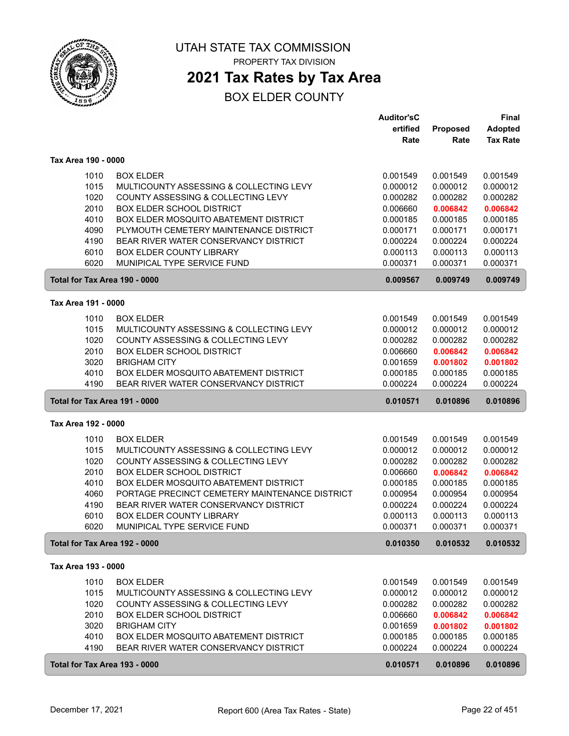

## **2021 Tax Rates by Tax Area**

|                               |                                                | <b>Auditor'sC</b> |          | <b>Final</b>    |
|-------------------------------|------------------------------------------------|-------------------|----------|-----------------|
|                               |                                                | ertified          | Proposed | Adopted         |
|                               |                                                | Rate              | Rate     | <b>Tax Rate</b> |
| Tax Area 190 - 0000           |                                                |                   |          |                 |
|                               |                                                |                   |          |                 |
| 1010                          | <b>BOX ELDER</b>                               | 0.001549          | 0.001549 | 0.001549        |
| 1015                          | MULTICOUNTY ASSESSING & COLLECTING LEVY        | 0.000012          | 0.000012 | 0.000012        |
| 1020                          | COUNTY ASSESSING & COLLECTING LEVY             | 0.000282          | 0.000282 | 0.000282        |
| 2010                          | <b>BOX ELDER SCHOOL DISTRICT</b>               | 0.006660          | 0.006842 | 0.006842        |
| 4010                          | BOX ELDER MOSQUITO ABATEMENT DISTRICT          | 0.000185          | 0.000185 | 0.000185        |
| 4090                          | PLYMOUTH CEMETERY MAINTENANCE DISTRICT         | 0.000171          | 0.000171 | 0.000171        |
| 4190                          | BEAR RIVER WATER CONSERVANCY DISTRICT          | 0.000224          | 0.000224 | 0.000224        |
| 6010                          | BOX ELDER COUNTY LIBRARY                       | 0.000113          | 0.000113 | 0.000113        |
| 6020                          | MUNIPICAL TYPE SERVICE FUND                    | 0.000371          | 0.000371 | 0.000371        |
| Total for Tax Area 190 - 0000 |                                                | 0.009567          | 0.009749 | 0.009749        |
| Tax Area 191 - 0000           |                                                |                   |          |                 |
| 1010                          | <b>BOX ELDER</b>                               | 0.001549          | 0.001549 | 0.001549        |
| 1015                          | MULTICOUNTY ASSESSING & COLLECTING LEVY        | 0.000012          | 0.000012 | 0.000012        |
| 1020                          | COUNTY ASSESSING & COLLECTING LEVY             | 0.000282          | 0.000282 | 0.000282        |
| 2010                          | <b>BOX ELDER SCHOOL DISTRICT</b>               | 0.006660          | 0.006842 | 0.006842        |
| 3020                          | <b>BRIGHAM CITY</b>                            | 0.001659          | 0.001802 | 0.001802        |
| 4010                          | BOX ELDER MOSQUITO ABATEMENT DISTRICT          | 0.000185          | 0.000185 | 0.000185        |
| 4190                          | BEAR RIVER WATER CONSERVANCY DISTRICT          | 0.000224          | 0.000224 | 0.000224        |
| Total for Tax Area 191 - 0000 |                                                | 0.010571          | 0.010896 | 0.010896        |
| Tax Area 192 - 0000           |                                                |                   |          |                 |
| 1010                          | <b>BOX ELDER</b>                               | 0.001549          | 0.001549 | 0.001549        |
| 1015                          | MULTICOUNTY ASSESSING & COLLECTING LEVY        | 0.000012          | 0.000012 | 0.000012        |
| 1020                          | COUNTY ASSESSING & COLLECTING LEVY             | 0.000282          | 0.000282 | 0.000282        |
| 2010                          | <b>BOX ELDER SCHOOL DISTRICT</b>               | 0.006660          | 0.006842 | 0.006842        |
| 4010                          | BOX ELDER MOSQUITO ABATEMENT DISTRICT          | 0.000185          | 0.000185 | 0.000185        |
| 4060                          | PORTAGE PRECINCT CEMETERY MAINTENANCE DISTRICT | 0.000954          | 0.000954 | 0.000954        |
| 4190                          | BEAR RIVER WATER CONSERVANCY DISTRICT          | 0.000224          | 0.000224 | 0.000224        |
| 6010                          | BOX ELDER COUNTY LIBRARY                       | 0.000113          | 0.000113 | 0.000113        |
| 6020                          | MUNIPICAL TYPE SERVICE FUND                    | 0.000371          | 0.000371 | 0.000371        |
| Total for Tax Area 192 - 0000 |                                                | 0.010350          | 0.010532 | 0.010532        |
| Tax Area 193 - 0000           |                                                |                   |          |                 |
| 1010                          | <b>BOX ELDER</b>                               | 0.001549          | 0.001549 | 0.001549        |
| 1015                          | MULTICOUNTY ASSESSING & COLLECTING LEVY        | 0.000012          | 0.000012 | 0.000012        |
| 1020                          | COUNTY ASSESSING & COLLECTING LEVY             | 0.000282          | 0.000282 | 0.000282        |
| 2010                          | <b>BOX ELDER SCHOOL DISTRICT</b>               | 0.006660          | 0.006842 | 0.006842        |
| 3020                          | <b>BRIGHAM CITY</b>                            | 0.001659          | 0.001802 | 0.001802        |
| 4010                          | BOX ELDER MOSQUITO ABATEMENT DISTRICT          | 0.000185          | 0.000185 | 0.000185        |
| 4190                          | BEAR RIVER WATER CONSERVANCY DISTRICT          | 0.000224          | 0.000224 | 0.000224        |
| Total for Tax Area 193 - 0000 |                                                | 0.010571          | 0.010896 | 0.010896        |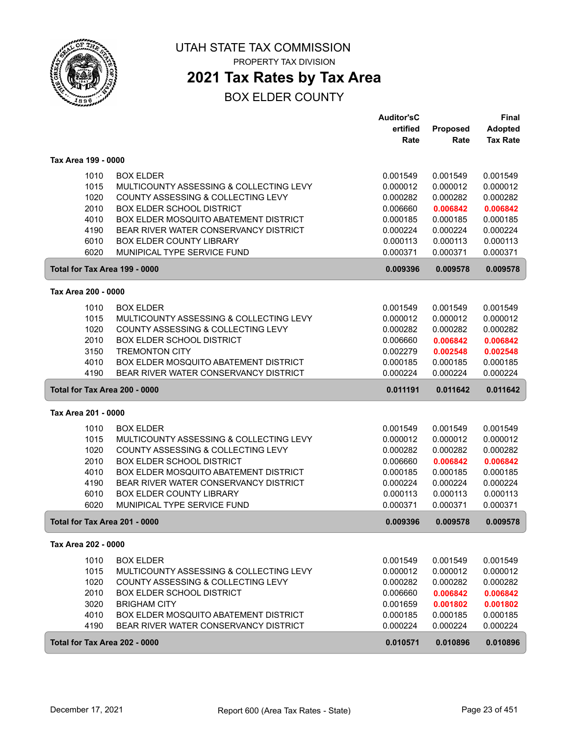

**2021 Tax Rates by Tax Area**

|                               |                                              | <b>Auditor'sC</b> |          | <b>Final</b>    |
|-------------------------------|----------------------------------------------|-------------------|----------|-----------------|
|                               |                                              | ertified          | Proposed | <b>Adopted</b>  |
|                               |                                              | Rate              | Rate     | <b>Tax Rate</b> |
| Tax Area 199 - 0000           |                                              |                   |          |                 |
| 1010                          | <b>BOX ELDER</b>                             | 0.001549          | 0.001549 | 0.001549        |
| 1015                          | MULTICOUNTY ASSESSING & COLLECTING LEVY      | 0.000012          | 0.000012 | 0.000012        |
| 1020                          | COUNTY ASSESSING & COLLECTING LEVY           | 0.000282          | 0.000282 | 0.000282        |
| 2010                          | <b>BOX ELDER SCHOOL DISTRICT</b>             | 0.006660          | 0.006842 | 0.006842        |
| 4010                          | BOX ELDER MOSQUITO ABATEMENT DISTRICT        | 0.000185          | 0.000185 | 0.000185        |
| 4190                          | BEAR RIVER WATER CONSERVANCY DISTRICT        | 0.000224          | 0.000224 | 0.000224        |
| 6010                          | <b>BOX ELDER COUNTY LIBRARY</b>              | 0.000113          | 0.000113 | 0.000113        |
| 6020                          | MUNIPICAL TYPE SERVICE FUND                  | 0.000371          | 0.000371 | 0.000371        |
| Total for Tax Area 199 - 0000 |                                              | 0.009396          | 0.009578 | 0.009578        |
| Tax Area 200 - 0000           |                                              |                   |          |                 |
| 1010                          | <b>BOX ELDER</b>                             | 0.001549          | 0.001549 | 0.001549        |
| 1015                          | MULTICOUNTY ASSESSING & COLLECTING LEVY      | 0.000012          | 0.000012 | 0.000012        |
| 1020                          | COUNTY ASSESSING & COLLECTING LEVY           | 0.000282          | 0.000282 | 0.000282        |
| 2010                          | <b>BOX ELDER SCHOOL DISTRICT</b>             | 0.006660          | 0.006842 | 0.006842        |
| 3150                          | <b>TREMONTON CITY</b>                        | 0.002279          | 0.002548 | 0.002548        |
| 4010                          | <b>BOX ELDER MOSQUITO ABATEMENT DISTRICT</b> | 0.000185          | 0.000185 | 0.000185        |
| 4190                          | BEAR RIVER WATER CONSERVANCY DISTRICT        | 0.000224          | 0.000224 | 0.000224        |
| Total for Tax Area 200 - 0000 |                                              | 0.011191          | 0.011642 | 0.011642        |
| Tax Area 201 - 0000           |                                              |                   |          |                 |
| 1010                          | <b>BOX ELDER</b>                             | 0.001549          | 0.001549 | 0.001549        |
| 1015                          | MULTICOUNTY ASSESSING & COLLECTING LEVY      | 0.000012          | 0.000012 | 0.000012        |
| 1020                          | COUNTY ASSESSING & COLLECTING LEVY           | 0.000282          | 0.000282 | 0.000282        |
| 2010                          | <b>BOX ELDER SCHOOL DISTRICT</b>             | 0.006660          | 0.006842 | 0.006842        |
| 4010                          | BOX ELDER MOSQUITO ABATEMENT DISTRICT        | 0.000185          | 0.000185 | 0.000185        |
| 4190                          | BEAR RIVER WATER CONSERVANCY DISTRICT        | 0.000224          | 0.000224 | 0.000224        |
| 6010                          | BOX ELDER COUNTY LIBRARY                     | 0.000113          | 0.000113 | 0.000113        |
| 6020                          | MUNIPICAL TYPE SERVICE FUND                  | 0.000371          | 0.000371 | 0.000371        |
| Total for Tax Area 201 - 0000 |                                              | 0.009396          | 0.009578 | 0.009578        |
| Tax Area 202 - 0000           |                                              |                   |          |                 |
| 1010                          | <b>BOX ELDER</b>                             | 0.001549          | 0.001549 | 0.001549        |
| 1015                          | MULTICOUNTY ASSESSING & COLLECTING LEVY      | 0.000012          | 0.000012 | 0.000012        |
| 1020                          | COUNTY ASSESSING & COLLECTING LEVY           | 0.000282          | 0.000282 | 0.000282        |
| 2010                          | <b>BOX ELDER SCHOOL DISTRICT</b>             | 0.006660          | 0.006842 | 0.006842        |
| 3020                          | <b>BRIGHAM CITY</b>                          | 0.001659          | 0.001802 | 0.001802        |
| 4010                          | BOX ELDER MOSQUITO ABATEMENT DISTRICT        | 0.000185          | 0.000185 | 0.000185        |
| 4190                          | BEAR RIVER WATER CONSERVANCY DISTRICT        | 0.000224          | 0.000224 | 0.000224        |
| Total for Tax Area 202 - 0000 |                                              | 0.010571          | 0.010896 | 0.010896        |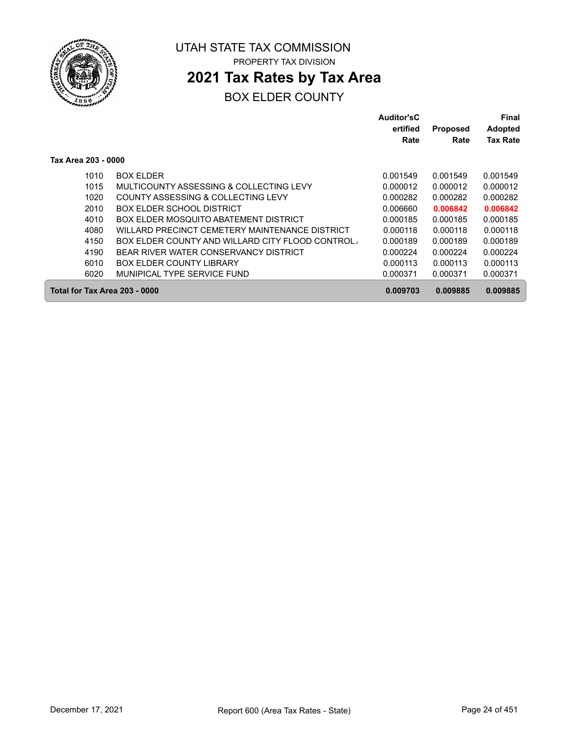

## **2021 Tax Rates by Tax Area**

|                               |                                                 | Auditor'sC<br>ertified | <b>Proposed</b> | Final<br><b>Adopted</b> |
|-------------------------------|-------------------------------------------------|------------------------|-----------------|-------------------------|
|                               |                                                 | Rate                   | Rate            | <b>Tax Rate</b>         |
| Tax Area 203 - 0000           |                                                 |                        |                 |                         |
| 1010                          | <b>BOX ELDER</b>                                | 0.001549               | 0.001549        | 0.001549                |
| 1015                          | MULTICOUNTY ASSESSING & COLLECTING LEVY         | 0.000012               | 0.000012        | 0.000012                |
| 1020                          | COUNTY ASSESSING & COLLECTING LEVY              | 0.000282               | 0.000282        | 0.000282                |
| 2010                          | <b>BOX ELDER SCHOOL DISTRICT</b>                | 0.006660               | 0.006842        | 0.006842                |
| 4010                          | BOX ELDER MOSQUITO ABATEMENT DISTRICT           | 0.000185               | 0.000185        | 0.000185                |
| 4080                          | WILLARD PRECINCT CEMETERY MAINTENANCE DISTRICT  | 0.000118               | 0.000118        | 0.000118                |
| 4150                          | BOX ELDER COUNTY AND WILLARD CITY FLOOD CONTROL | 0.000189               | 0.000189        | 0.000189                |
| 4190                          | BEAR RIVER WATER CONSERVANCY DISTRICT           | 0.000224               | 0.000224        | 0.000224                |
| 6010                          | <b>BOX ELDER COUNTY LIBRARY</b>                 | 0.000113               | 0.000113        | 0.000113                |
| 6020                          | MUNIPICAL TYPE SERVICE FUND                     | 0.000371               | 0.000371        | 0.000371                |
| Total for Tax Area 203 - 0000 |                                                 | 0.009703               | 0.009885        | 0.009885                |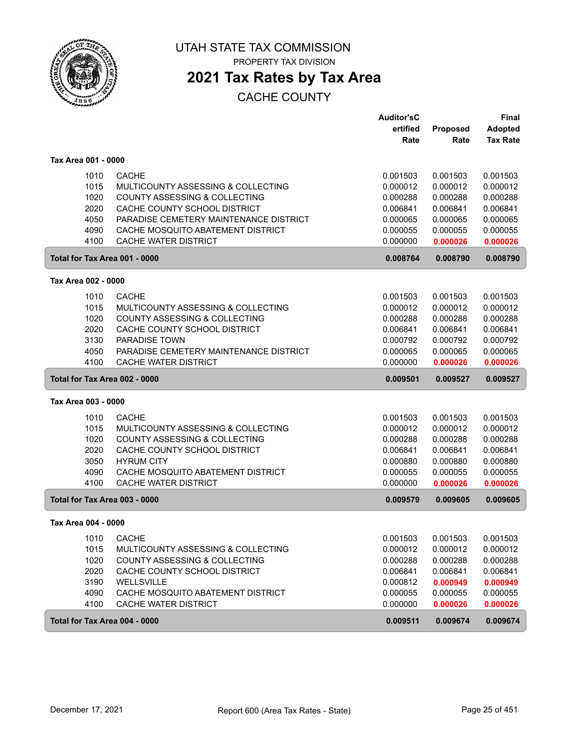

PROPERTY TAX DIVISION

## **2021 Tax Rates by Tax Area**

|                               |                                          | <b>Auditor'sC</b> |          | <b>Final</b>    |
|-------------------------------|------------------------------------------|-------------------|----------|-----------------|
|                               |                                          | ertified          | Proposed | <b>Adopted</b>  |
|                               |                                          | Rate              | Rate     | <b>Tax Rate</b> |
| Tax Area 001 - 0000           |                                          |                   |          |                 |
| 1010                          | <b>CACHE</b>                             | 0.001503          | 0.001503 | 0.001503        |
| 1015                          | MULTICOUNTY ASSESSING & COLLECTING       | 0.000012          | 0.000012 | 0.000012        |
| 1020                          | <b>COUNTY ASSESSING &amp; COLLECTING</b> | 0.000288          | 0.000288 | 0.000288        |
| 2020                          | CACHE COUNTY SCHOOL DISTRICT             | 0.006841          | 0.006841 | 0.006841        |
| 4050                          | PARADISE CEMETERY MAINTENANCE DISTRICT   | 0.000065          | 0.000065 | 0.000065        |
| 4090                          | CACHE MOSQUITO ABATEMENT DISTRICT        | 0.000055          | 0.000055 | 0.000055        |
| 4100                          | CACHE WATER DISTRICT                     | 0.000000          | 0.000026 | 0.000026        |
| Total for Tax Area 001 - 0000 |                                          | 0.008764          | 0.008790 | 0.008790        |
| Tax Area 002 - 0000           |                                          |                   |          |                 |
| 1010                          | <b>CACHE</b>                             | 0.001503          | 0.001503 | 0.001503        |
| 1015                          | MULTICOUNTY ASSESSING & COLLECTING       | 0.000012          | 0.000012 | 0.000012        |
| 1020                          | COUNTY ASSESSING & COLLECTING            | 0.000288          | 0.000288 | 0.000288        |
| 2020                          | CACHE COUNTY SCHOOL DISTRICT             | 0.006841          | 0.006841 | 0.006841        |
| 3130                          | <b>PARADISE TOWN</b>                     | 0.000792          | 0.000792 | 0.000792        |
| 4050                          | PARADISE CEMETERY MAINTENANCE DISTRICT   | 0.000065          | 0.000065 | 0.000065        |
| 4100                          | <b>CACHE WATER DISTRICT</b>              | 0.000000          | 0.000026 | 0.000026        |
| Total for Tax Area 002 - 0000 |                                          | 0.009501          | 0.009527 | 0.009527        |
| Tax Area 003 - 0000           |                                          |                   |          |                 |
| 1010                          | <b>CACHE</b>                             | 0.001503          | 0.001503 | 0.001503        |
| 1015                          | MULTICOUNTY ASSESSING & COLLECTING       | 0.000012          | 0.000012 | 0.000012        |
| 1020                          | COUNTY ASSESSING & COLLECTING            | 0.000288          | 0.000288 | 0.000288        |
| 2020                          | CACHE COUNTY SCHOOL DISTRICT             | 0.006841          | 0.006841 | 0.006841        |
| 3050                          | <b>HYRUM CITY</b>                        | 0.000880          | 0.000880 | 0.000880        |
| 4090                          | CACHE MOSQUITO ABATEMENT DISTRICT        | 0.000055          | 0.000055 | 0.000055        |
| 4100                          | <b>CACHE WATER DISTRICT</b>              | 0.000000          | 0.000026 | 0.000026        |
| Total for Tax Area 003 - 0000 |                                          | 0.009579          | 0.009605 | 0.009605        |
| Tax Area 004 - 0000           |                                          |                   |          |                 |
| 1010                          | <b>CACHE</b>                             | 0.001503          | 0.001503 | 0.001503        |
| 1015                          | MULTICOUNTY ASSESSING & COLLECTING       | 0.000012          | 0.000012 | 0.000012        |
| 1020                          | <b>COUNTY ASSESSING &amp; COLLECTING</b> | 0.000288          | 0.000288 | 0.000288        |
| 2020                          | CACHE COUNTY SCHOOL DISTRICT             | 0.006841          | 0.006841 | 0.006841        |
| 3190                          | WELLSVILLE                               | 0.000812          | 0.000949 | 0.000949        |
| 4090                          | CACHE MOSQUITO ABATEMENT DISTRICT        | 0.000055          | 0.000055 | 0.000055        |
| 4100                          | CACHE WATER DISTRICT                     | 0.000000          | 0.000026 | 0.000026        |
|                               |                                          |                   |          |                 |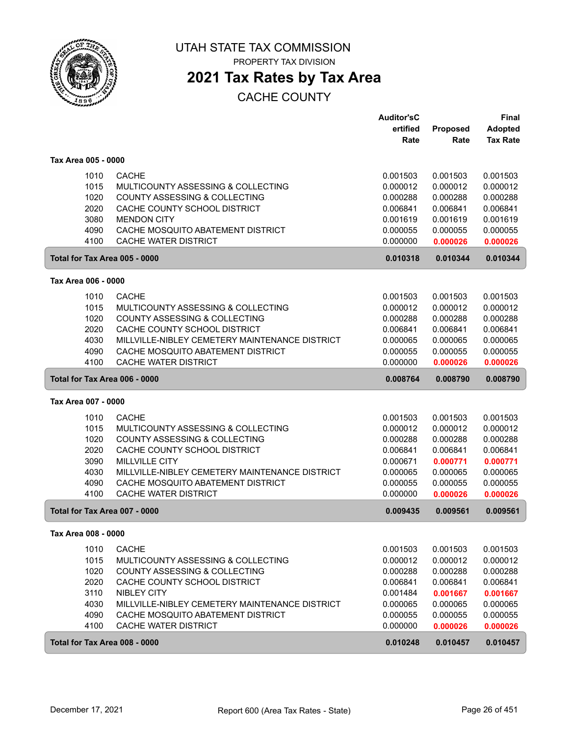

PROPERTY TAX DIVISION

# **2021 Tax Rates by Tax Area**

|                               |                                                           | <b>Auditor'sC</b>    |                      | Final                |
|-------------------------------|-----------------------------------------------------------|----------------------|----------------------|----------------------|
|                               |                                                           | ertified             | Proposed             | <b>Adopted</b>       |
|                               |                                                           | Rate                 | Rate                 | <b>Tax Rate</b>      |
| Tax Area 005 - 0000           |                                                           |                      |                      |                      |
| 1010                          | <b>CACHE</b>                                              | 0.001503             | 0.001503             | 0.001503             |
| 1015                          | MULTICOUNTY ASSESSING & COLLECTING                        | 0.000012             | 0.000012             | 0.000012             |
| 1020                          | <b>COUNTY ASSESSING &amp; COLLECTING</b>                  | 0.000288             | 0.000288             | 0.000288             |
| 2020                          | CACHE COUNTY SCHOOL DISTRICT                              | 0.006841             | 0.006841             | 0.006841             |
| 3080                          | <b>MENDON CITY</b>                                        | 0.001619             | 0.001619             | 0.001619             |
|                               |                                                           |                      |                      |                      |
| 4090<br>4100                  | CACHE MOSQUITO ABATEMENT DISTRICT<br>CACHE WATER DISTRICT | 0.000055<br>0.000000 | 0.000055<br>0.000026 | 0.000055<br>0.000026 |
| Total for Tax Area 005 - 0000 |                                                           | 0.010318             | 0.010344             | 0.010344             |
|                               |                                                           |                      |                      |                      |
| Tax Area 006 - 0000           |                                                           |                      |                      |                      |
| 1010                          | <b>CACHE</b>                                              | 0.001503             | 0.001503             | 0.001503             |
| 1015                          | MULTICOUNTY ASSESSING & COLLECTING                        | 0.000012             | 0.000012             | 0.000012             |
| 1020                          | COUNTY ASSESSING & COLLECTING                             | 0.000288             | 0.000288             | 0.000288             |
| 2020                          | CACHE COUNTY SCHOOL DISTRICT                              | 0.006841             | 0.006841             | 0.006841             |
| 4030                          | MILLVILLE-NIBLEY CEMETERY MAINTENANCE DISTRICT            | 0.000065             | 0.000065             | 0.000065             |
| 4090                          | CACHE MOSQUITO ABATEMENT DISTRICT                         | 0.000055             | 0.000055             | 0.000055             |
| 4100                          | CACHE WATER DISTRICT                                      | 0.000000             | 0.000026             | 0.000026             |
| Total for Tax Area 006 - 0000 |                                                           | 0.008764             | 0.008790             | 0.008790             |
| Tax Area 007 - 0000           |                                                           |                      |                      |                      |
| 1010                          | <b>CACHE</b>                                              | 0.001503             | 0.001503             | 0.001503             |
| 1015                          | MULTICOUNTY ASSESSING & COLLECTING                        | 0.000012             | 0.000012             | 0.000012             |
|                               |                                                           |                      |                      |                      |
| 1020<br>2020                  | COUNTY ASSESSING & COLLECTING                             | 0.000288             | 0.000288             | 0.000288             |
|                               | CACHE COUNTY SCHOOL DISTRICT                              | 0.006841             | 0.006841             | 0.006841             |
| 3090                          | <b>MILLVILLE CITY</b>                                     | 0.000671             | 0.000771             | 0.000771             |
| 4030                          | MILLVILLE-NIBLEY CEMETERY MAINTENANCE DISTRICT            | 0.000065             | 0.000065             | 0.000065             |
| 4090<br>4100                  | CACHE MOSQUITO ABATEMENT DISTRICT<br>CACHE WATER DISTRICT | 0.000055<br>0.000000 | 0.000055<br>0.000026 | 0.000055<br>0.000026 |
|                               |                                                           |                      |                      |                      |
| Total for Tax Area 007 - 0000 |                                                           | 0.009435             | 0.009561             | 0.009561             |
| Tax Area 008 - 0000           |                                                           |                      |                      |                      |
| 1010                          | <b>CACHE</b>                                              | 0.001503             | 0.001503             | 0.001503             |
| 1015                          | MULTICOUNTY ASSESSING & COLLECTING                        | 0.000012             | 0.000012             | 0.000012             |
| 1020                          | COUNTY ASSESSING & COLLECTING                             | 0.000288             | 0.000288             | 0.000288             |
| 2020                          | CACHE COUNTY SCHOOL DISTRICT                              | 0.006841             | 0.006841             | 0.006841             |
| 3110                          | <b>NIBLEY CITY</b>                                        | 0.001484             | 0.001667             | 0.001667             |
| 4030                          | MILLVILLE-NIBLEY CEMETERY MAINTENANCE DISTRICT            | 0.000065             | 0.000065             | 0.000065             |
| 4090                          | CACHE MOSQUITO ABATEMENT DISTRICT                         | 0.000055             | 0.000055             | 0.000055             |
| 4100                          | CACHE WATER DISTRICT                                      | 0.000000             | 0.000026             | 0.000026             |
|                               |                                                           |                      |                      |                      |
| Total for Tax Area 008 - 0000 |                                                           | 0.010248             | 0.010457             | 0.010457             |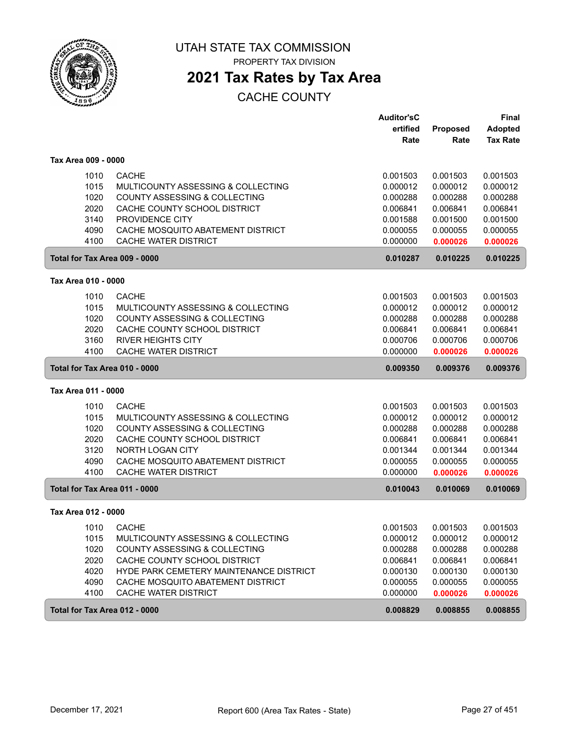

PROPERTY TAX DIVISION

## **2021 Tax Rates by Tax Area**

|                               |                                          | <b>Auditor'sC</b> |          | <b>Final</b>    |
|-------------------------------|------------------------------------------|-------------------|----------|-----------------|
|                               |                                          | ertified          | Proposed | <b>Adopted</b>  |
|                               |                                          | Rate              | Rate     | <b>Tax Rate</b> |
| Tax Area 009 - 0000           |                                          |                   |          |                 |
| 1010                          | <b>CACHE</b>                             | 0.001503          | 0.001503 | 0.001503        |
| 1015                          | MULTICOUNTY ASSESSING & COLLECTING       | 0.000012          | 0.000012 | 0.000012        |
| 1020                          | <b>COUNTY ASSESSING &amp; COLLECTING</b> | 0.000288          | 0.000288 | 0.000288        |
| 2020                          | CACHE COUNTY SCHOOL DISTRICT             | 0.006841          | 0.006841 | 0.006841        |
| 3140                          | PROVIDENCE CITY                          | 0.001588          | 0.001500 | 0.001500        |
| 4090                          | CACHE MOSQUITO ABATEMENT DISTRICT        | 0.000055          | 0.000055 | 0.000055        |
| 4100                          | <b>CACHE WATER DISTRICT</b>              | 0.000000          | 0.000026 | 0.000026        |
| Total for Tax Area 009 - 0000 |                                          | 0.010287          | 0.010225 | 0.010225        |
| Tax Area 010 - 0000           |                                          |                   |          |                 |
| 1010                          | <b>CACHE</b>                             | 0.001503          | 0.001503 | 0.001503        |
| 1015                          | MULTICOUNTY ASSESSING & COLLECTING       | 0.000012          | 0.000012 | 0.000012        |
| 1020                          | COUNTY ASSESSING & COLLECTING            | 0.000288          | 0.000288 | 0.000288        |
| 2020                          | CACHE COUNTY SCHOOL DISTRICT             | 0.006841          | 0.006841 | 0.006841        |
| 3160                          | <b>RIVER HEIGHTS CITY</b>                | 0.000706          | 0.000706 | 0.000706        |
| 4100                          | CACHE WATER DISTRICT                     | 0.000000          | 0.000026 | 0.000026        |
| Total for Tax Area 010 - 0000 |                                          | 0.009350          | 0.009376 | 0.009376        |
| Tax Area 011 - 0000           |                                          |                   |          |                 |
| 1010                          | <b>CACHE</b>                             | 0.001503          | 0.001503 | 0.001503        |
| 1015                          | MULTICOUNTY ASSESSING & COLLECTING       | 0.000012          | 0.000012 | 0.000012        |
| 1020                          | COUNTY ASSESSING & COLLECTING            | 0.000288          | 0.000288 | 0.000288        |
| 2020                          | CACHE COUNTY SCHOOL DISTRICT             | 0.006841          | 0.006841 | 0.006841        |
| 3120                          | <b>NORTH LOGAN CITY</b>                  | 0.001344          | 0.001344 | 0.001344        |
| 4090                          | CACHE MOSQUITO ABATEMENT DISTRICT        | 0.000055          | 0.000055 | 0.000055        |
| 4100                          | <b>CACHE WATER DISTRICT</b>              | 0.000000          | 0.000026 | 0.000026        |
| Total for Tax Area 011 - 0000 |                                          | 0.010043          | 0.010069 | 0.010069        |
| Tax Area 012 - 0000           |                                          |                   |          |                 |
| 1010                          | <b>CACHE</b>                             | 0.001503          | 0.001503 | 0.001503        |
| 1015                          | MULTICOUNTY ASSESSING & COLLECTING       | 0.000012          | 0.000012 | 0.000012        |
| 1020                          | COUNTY ASSESSING & COLLECTING            | 0.000288          | 0.000288 | 0.000288        |
| 2020                          | CACHE COUNTY SCHOOL DISTRICT             | 0.006841          | 0.006841 | 0.006841        |
| 4020                          | HYDE PARK CEMETERY MAINTENANCE DISTRICT  | 0.000130          | 0.000130 | 0.000130        |
| 4090                          | CACHE MOSQUITO ABATEMENT DISTRICT        | 0.000055          | 0.000055 | 0.000055        |
| 4100                          | CACHE WATER DISTRICT                     | 0.000000          | 0.000026 | 0.000026        |
| Total for Tax Area 012 - 0000 |                                          | 0.008829          | 0.008855 | 0.008855        |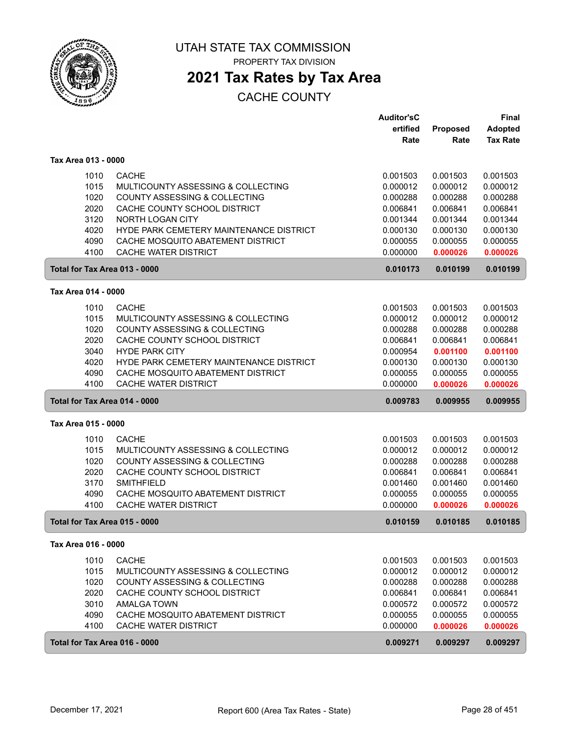

PROPERTY TAX DIVISION

# **2021 Tax Rates by Tax Area**

|                               |                                          | <b>Auditor'sC</b> |          | Final           |
|-------------------------------|------------------------------------------|-------------------|----------|-----------------|
|                               |                                          | ertified          | Proposed | <b>Adopted</b>  |
|                               |                                          | Rate              | Rate     | <b>Tax Rate</b> |
| Tax Area 013 - 0000           |                                          |                   |          |                 |
| 1010                          | <b>CACHE</b>                             | 0.001503          | 0.001503 | 0.001503        |
| 1015                          | MULTICOUNTY ASSESSING & COLLECTING       | 0.000012          | 0.000012 | 0.000012        |
| 1020                          | <b>COUNTY ASSESSING &amp; COLLECTING</b> | 0.000288          | 0.000288 | 0.000288        |
| 2020                          | CACHE COUNTY SCHOOL DISTRICT             | 0.006841          | 0.006841 | 0.006841        |
| 3120                          | <b>NORTH LOGAN CITY</b>                  | 0.001344          | 0.001344 | 0.001344        |
| 4020                          | HYDE PARK CEMETERY MAINTENANCE DISTRICT  | 0.000130          | 0.000130 | 0.000130        |
| 4090                          | CACHE MOSQUITO ABATEMENT DISTRICT        | 0.000055          | 0.000055 | 0.000055        |
| 4100                          | <b>CACHE WATER DISTRICT</b>              | 0.000000          | 0.000026 | 0.000026        |
| Total for Tax Area 013 - 0000 |                                          | 0.010173          | 0.010199 | 0.010199        |
| Tax Area 014 - 0000           |                                          |                   |          |                 |
| 1010                          | <b>CACHE</b>                             | 0.001503          | 0.001503 | 0.001503        |
| 1015                          | MULTICOUNTY ASSESSING & COLLECTING       | 0.000012          | 0.000012 | 0.000012        |
| 1020                          | COUNTY ASSESSING & COLLECTING            | 0.000288          | 0.000288 | 0.000288        |
| 2020                          | CACHE COUNTY SCHOOL DISTRICT             | 0.006841          | 0.006841 | 0.006841        |
| 3040                          | <b>HYDE PARK CITY</b>                    | 0.000954          | 0.001100 | 0.001100        |
| 4020                          | HYDE PARK CEMETERY MAINTENANCE DISTRICT  | 0.000130          | 0.000130 | 0.000130        |
| 4090                          | CACHE MOSQUITO ABATEMENT DISTRICT        | 0.000055          | 0.000055 | 0.000055        |
| 4100                          | <b>CACHE WATER DISTRICT</b>              | 0.000000          | 0.000026 | 0.000026        |
| Total for Tax Area 014 - 0000 |                                          | 0.009783          | 0.009955 | 0.009955        |
| Tax Area 015 - 0000           |                                          |                   |          |                 |
|                               |                                          |                   |          |                 |
| 1010                          | <b>CACHE</b>                             | 0.001503          | 0.001503 | 0.001503        |
| 1015                          | MULTICOUNTY ASSESSING & COLLECTING       | 0.000012          | 0.000012 | 0.000012        |
| 1020                          | COUNTY ASSESSING & COLLECTING            | 0.000288          | 0.000288 | 0.000288        |
| 2020                          | CACHE COUNTY SCHOOL DISTRICT             | 0.006841          | 0.006841 | 0.006841        |
| 3170                          | <b>SMITHFIELD</b>                        | 0.001460          | 0.001460 | 0.001460        |
| 4090                          | CACHE MOSQUITO ABATEMENT DISTRICT        | 0.000055          | 0.000055 | 0.000055        |
| 4100                          | <b>CACHE WATER DISTRICT</b>              | 0.000000          | 0.000026 | 0.000026        |
| Total for Tax Area 015 - 0000 |                                          | 0.010159          | 0.010185 | 0.010185        |
| Tax Area 016 - 0000           |                                          |                   |          |                 |
| 1010                          | <b>CACHE</b>                             | 0.001503          | 0.001503 | 0.001503        |
| 1015                          | MULTICOUNTY ASSESSING & COLLECTING       | 0.000012          | 0.000012 | 0.000012        |
| 1020                          | COUNTY ASSESSING & COLLECTING            | 0.000288          | 0.000288 | 0.000288        |
| 2020                          | CACHE COUNTY SCHOOL DISTRICT             | 0.006841          | 0.006841 | 0.006841        |
| 3010                          | <b>AMALGA TOWN</b>                       | 0.000572          | 0.000572 | 0.000572        |
| 4090                          | CACHE MOSQUITO ABATEMENT DISTRICT        | 0.000055          | 0.000055 | 0.000055        |
| 4100                          | CACHE WATER DISTRICT                     | 0.000000          | 0.000026 | 0.000026        |
| Total for Tax Area 016 - 0000 |                                          | 0.009271          | 0.009297 | 0.009297        |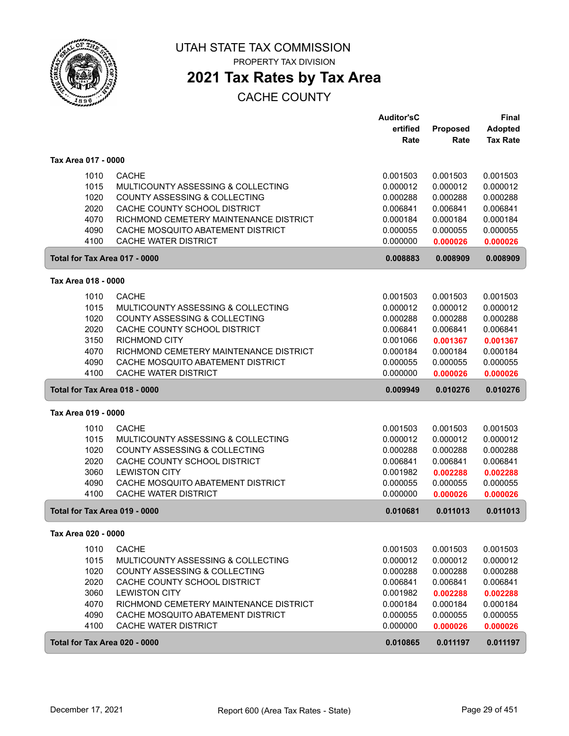

PROPERTY TAX DIVISION

# **2021 Tax Rates by Tax Area**

|                     |      |                                                                  | <b>Auditor'sC</b> |          | <b>Final</b>    |
|---------------------|------|------------------------------------------------------------------|-------------------|----------|-----------------|
|                     |      |                                                                  | ertified          | Proposed | <b>Adopted</b>  |
|                     |      |                                                                  | Rate              | Rate     | <b>Tax Rate</b> |
| Tax Area 017 - 0000 |      |                                                                  |                   |          |                 |
|                     | 1010 | <b>CACHE</b>                                                     | 0.001503          | 0.001503 | 0.001503        |
|                     | 1015 | MULTICOUNTY ASSESSING & COLLECTING                               | 0.000012          | 0.000012 | 0.000012        |
|                     | 1020 | <b>COUNTY ASSESSING &amp; COLLECTING</b>                         | 0.000288          | 0.000288 | 0.000288        |
|                     | 2020 | CACHE COUNTY SCHOOL DISTRICT                                     | 0.006841          | 0.006841 | 0.006841        |
|                     | 4070 | RICHMOND CEMETERY MAINTENANCE DISTRICT                           | 0.000184          | 0.000184 | 0.000184        |
|                     |      |                                                                  |                   |          |                 |
|                     | 4090 | CACHE MOSQUITO ABATEMENT DISTRICT<br><b>CACHE WATER DISTRICT</b> | 0.000055          | 0.000055 | 0.000055        |
|                     | 4100 |                                                                  | 0.000000          | 0.000026 | 0.000026        |
|                     |      | Total for Tax Area 017 - 0000                                    | 0.008883          | 0.008909 | 0.008909        |
| Tax Area 018 - 0000 |      |                                                                  |                   |          |                 |
|                     | 1010 | <b>CACHE</b>                                                     | 0.001503          | 0.001503 | 0.001503        |
|                     | 1015 | MULTICOUNTY ASSESSING & COLLECTING                               | 0.000012          | 0.000012 | 0.000012        |
|                     | 1020 | COUNTY ASSESSING & COLLECTING                                    | 0.000288          | 0.000288 | 0.000288        |
|                     | 2020 | CACHE COUNTY SCHOOL DISTRICT                                     | 0.006841          | 0.006841 | 0.006841        |
|                     | 3150 | <b>RICHMOND CITY</b>                                             | 0.001066          | 0.001367 | 0.001367        |
|                     | 4070 | RICHMOND CEMETERY MAINTENANCE DISTRICT                           | 0.000184          | 0.000184 | 0.000184        |
|                     | 4090 | CACHE MOSQUITO ABATEMENT DISTRICT                                | 0.000055          | 0.000055 | 0.000055        |
|                     | 4100 | CACHE WATER DISTRICT                                             | 0.000000          | 0.000026 | 0.000026        |
|                     |      | Total for Tax Area 018 - 0000                                    | 0.009949          | 0.010276 | 0.010276        |
| Tax Area 019 - 0000 |      |                                                                  |                   |          |                 |
|                     |      |                                                                  |                   |          |                 |
|                     | 1010 | <b>CACHE</b>                                                     | 0.001503          | 0.001503 | 0.001503        |
|                     | 1015 | MULTICOUNTY ASSESSING & COLLECTING                               | 0.000012          | 0.000012 | 0.000012        |
|                     | 1020 | COUNTY ASSESSING & COLLECTING                                    | 0.000288          | 0.000288 | 0.000288        |
|                     | 2020 | CACHE COUNTY SCHOOL DISTRICT                                     | 0.006841          | 0.006841 | 0.006841        |
|                     | 3060 | <b>LEWISTON CITY</b>                                             | 0.001982          | 0.002288 | 0.002288        |
|                     | 4090 | CACHE MOSQUITO ABATEMENT DISTRICT                                | 0.000055          | 0.000055 | 0.000055        |
|                     | 4100 | CACHE WATER DISTRICT                                             | 0.000000          | 0.000026 | 0.000026        |
|                     |      | Total for Tax Area 019 - 0000                                    | 0.010681          | 0.011013 | 0.011013        |
| Tax Area 020 - 0000 |      |                                                                  |                   |          |                 |
|                     | 1010 | <b>CACHE</b>                                                     | 0.001503          | 0.001503 | 0.001503        |
|                     | 1015 | MULTICOUNTY ASSESSING & COLLECTING                               | 0.000012          | 0.000012 | 0.000012        |
|                     | 1020 | COUNTY ASSESSING & COLLECTING                                    | 0.000288          | 0.000288 | 0.000288        |
|                     | 2020 | CACHE COUNTY SCHOOL DISTRICT                                     | 0.006841          | 0.006841 | 0.006841        |
|                     | 3060 | <b>LEWISTON CITY</b>                                             | 0.001982          | 0.002288 | 0.002288        |
|                     | 4070 | RICHMOND CEMETERY MAINTENANCE DISTRICT                           | 0.000184          | 0.000184 | 0.000184        |
|                     | 4090 | CACHE MOSQUITO ABATEMENT DISTRICT                                | 0.000055          | 0.000055 | 0.000055        |
|                     | 4100 | <b>CACHE WATER DISTRICT</b>                                      | 0.000000          | 0.000026 | 0.000026        |
|                     |      | Total for Tax Area 020 - 0000                                    | 0.010865          | 0.011197 | 0.011197        |
|                     |      |                                                                  |                   |          |                 |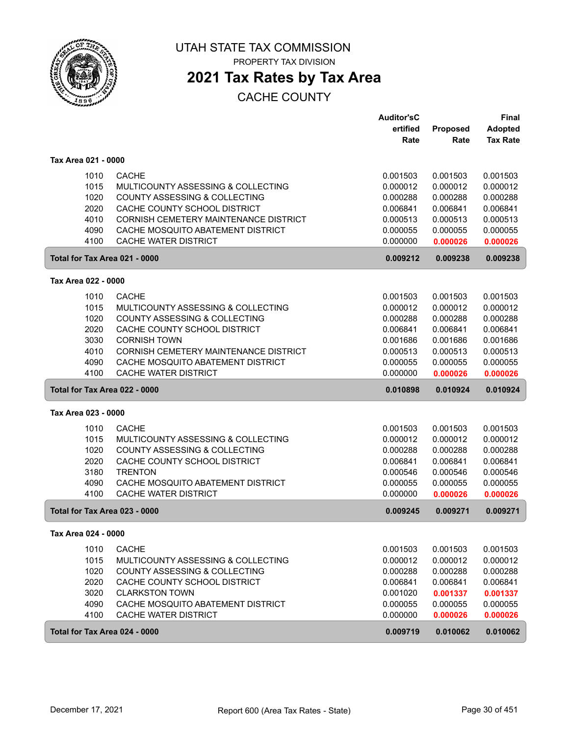

PROPERTY TAX DIVISION

## **2021 Tax Rates by Tax Area**

|                     |                                              | <b>Auditor'sC</b><br>ertified | <b>Proposed</b> | <b>Final</b><br><b>Adopted</b> |
|---------------------|----------------------------------------------|-------------------------------|-----------------|--------------------------------|
|                     |                                              | Rate                          | Rate            | <b>Tax Rate</b>                |
| Tax Area 021 - 0000 |                                              |                               |                 |                                |
| 1010                | <b>CACHE</b>                                 | 0.001503                      | 0.001503        | 0.001503                       |
| 1015                | MULTICOUNTY ASSESSING & COLLECTING           | 0.000012                      | 0.000012        | 0.000012                       |
| 1020                | <b>COUNTY ASSESSING &amp; COLLECTING</b>     | 0.000288                      | 0.000288        | 0.000288                       |
| 2020                | CACHE COUNTY SCHOOL DISTRICT                 | 0.006841                      | 0.006841        | 0.006841                       |
| 4010                | CORNISH CEMETERY MAINTENANCE DISTRICT        | 0.000513                      | 0.000513        | 0.000513                       |
| 4090                | CACHE MOSQUITO ABATEMENT DISTRICT            | 0.000055                      | 0.000055        | 0.000055                       |
| 4100                | <b>CACHE WATER DISTRICT</b>                  | 0.000000                      | 0.000026        | 0.000026                       |
|                     | Total for Tax Area 021 - 0000                | 0.009212                      | 0.009238        | 0.009238                       |
| Tax Area 022 - 0000 |                                              |                               |                 |                                |
| 1010                | <b>CACHE</b>                                 | 0.001503                      | 0.001503        | 0.001503                       |
| 1015                | MULTICOUNTY ASSESSING & COLLECTING           | 0.000012                      | 0.000012        | 0.000012                       |
| 1020                | COUNTY ASSESSING & COLLECTING                | 0.000288                      | 0.000288        | 0.000288                       |
| 2020                | CACHE COUNTY SCHOOL DISTRICT                 | 0.006841                      | 0.006841        | 0.006841                       |
| 3030                | <b>CORNISH TOWN</b>                          | 0.001686                      | 0.001686        | 0.001686                       |
| 4010                | <b>CORNISH CEMETERY MAINTENANCE DISTRICT</b> | 0.000513                      | 0.000513        | 0.000513                       |
| 4090                | CACHE MOSQUITO ABATEMENT DISTRICT            | 0.000055                      | 0.000055        | 0.000055                       |
| 4100                | <b>CACHE WATER DISTRICT</b>                  | 0.000000                      | 0.000026        | 0.000026                       |
|                     | Total for Tax Area 022 - 0000                | 0.010898                      | 0.010924        | 0.010924                       |
| Tax Area 023 - 0000 |                                              |                               |                 |                                |
| 1010                | <b>CACHE</b>                                 | 0.001503                      | 0.001503        | 0.001503                       |
| 1015                | MULTICOUNTY ASSESSING & COLLECTING           | 0.000012                      | 0.000012        | 0.000012                       |
| 1020                | COUNTY ASSESSING & COLLECTING                | 0.000288                      | 0.000288        | 0.000288                       |
| 2020                | CACHE COUNTY SCHOOL DISTRICT                 | 0.006841                      | 0.006841        | 0.006841                       |
| 3180                | <b>TRENTON</b>                               | 0.000546                      | 0.000546        | 0.000546                       |
| 4090                | CACHE MOSQUITO ABATEMENT DISTRICT            | 0.000055                      | 0.000055        | 0.000055                       |
| 4100                | CACHE WATER DISTRICT                         | 0.000000                      | 0.000026        | 0.000026                       |
|                     | Total for Tax Area 023 - 0000                | 0.009245                      | 0.009271        | 0.009271                       |
| Tax Area 024 - 0000 |                                              |                               |                 |                                |
| 1010                | <b>CACHE</b>                                 | 0.001503                      | 0.001503        | 0.001503                       |
| 1015                | MULTICOUNTY ASSESSING & COLLECTING           | 0.000012                      | 0.000012        | 0.000012                       |
| 1020                | COUNTY ASSESSING & COLLECTING                | 0.000288                      | 0.000288        | 0.000288                       |
| 2020                | CACHE COUNTY SCHOOL DISTRICT                 | 0.006841                      | 0.006841        | 0.006841                       |
| 3020                | <b>CLARKSTON TOWN</b>                        | 0.001020                      | 0.001337        | 0.001337                       |
| 4090                | CACHE MOSQUITO ABATEMENT DISTRICT            | 0.000055                      | 0.000055        | 0.000055                       |
| 4100                | CACHE WATER DISTRICT                         | 0.000000                      | 0.000026        | 0.000026                       |
|                     | Total for Tax Area 024 - 0000                | 0.009719                      | 0.010062        | 0.010062                       |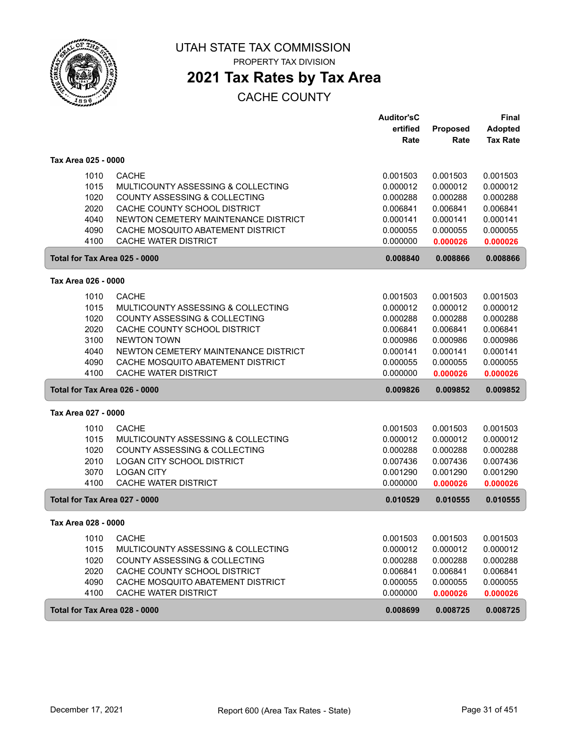

PROPERTY TAX DIVISION

# **2021 Tax Rates by Tax Area**

|                               |                                          | <b>Auditor'sC</b> |          | <b>Final</b>    |
|-------------------------------|------------------------------------------|-------------------|----------|-----------------|
|                               |                                          | ertified          | Proposed | <b>Adopted</b>  |
|                               |                                          | Rate              | Rate     | <b>Tax Rate</b> |
| Tax Area 025 - 0000           |                                          |                   |          |                 |
| 1010                          | <b>CACHE</b>                             | 0.001503          | 0.001503 | 0.001503        |
| 1015                          | MULTICOUNTY ASSESSING & COLLECTING       | 0.000012          | 0.000012 | 0.000012        |
| 1020                          | <b>COUNTY ASSESSING &amp; COLLECTING</b> | 0.000288          | 0.000288 | 0.000288        |
| 2020                          | CACHE COUNTY SCHOOL DISTRICT             | 0.006841          | 0.006841 | 0.006841        |
| 4040                          | NEWTON CEMETERY MAINTENANCE DISTRICT     | 0.000141          | 0.000141 | 0.000141        |
| 4090                          | CACHE MOSQUITO ABATEMENT DISTRICT        | 0.000055          | 0.000055 | 0.000055        |
| 4100                          | <b>CACHE WATER DISTRICT</b>              | 0.000000          | 0.000026 | 0.000026        |
| Total for Tax Area 025 - 0000 |                                          | 0.008840          | 0.008866 | 0.008866        |
| Tax Area 026 - 0000           |                                          |                   |          |                 |
|                               |                                          |                   |          |                 |
| 1010                          | <b>CACHE</b>                             | 0.001503          | 0.001503 | 0.001503        |
| 1015                          | MULTICOUNTY ASSESSING & COLLECTING       | 0.000012          | 0.000012 | 0.000012        |
| 1020                          | COUNTY ASSESSING & COLLECTING            | 0.000288          | 0.000288 | 0.000288        |
| 2020                          | CACHE COUNTY SCHOOL DISTRICT             | 0.006841          | 0.006841 | 0.006841        |
| 3100                          | <b>NEWTON TOWN</b>                       | 0.000986          | 0.000986 | 0.000986        |
| 4040                          | NEWTON CEMETERY MAINTENANCE DISTRICT     | 0.000141          | 0.000141 | 0.000141        |
| 4090                          | CACHE MOSQUITO ABATEMENT DISTRICT        | 0.000055          | 0.000055 | 0.000055        |
| 4100                          | <b>CACHE WATER DISTRICT</b>              | 0.000000          | 0.000026 | 0.000026        |
| Total for Tax Area 026 - 0000 |                                          | 0.009826          | 0.009852 | 0.009852        |
| Tax Area 027 - 0000           |                                          |                   |          |                 |
| 1010                          | <b>CACHE</b>                             | 0.001503          | 0.001503 | 0.001503        |
| 1015                          | MULTICOUNTY ASSESSING & COLLECTING       | 0.000012          | 0.000012 | 0.000012        |
| 1020                          | COUNTY ASSESSING & COLLECTING            | 0.000288          | 0.000288 | 0.000288        |
| 2010                          | LOGAN CITY SCHOOL DISTRICT               | 0.007436          | 0.007436 | 0.007436        |
| 3070                          | <b>LOGAN CITY</b>                        | 0.001290          | 0.001290 | 0.001290        |
| 4100                          | CACHE WATER DISTRICT                     | 0.000000          | 0.000026 | 0.000026        |
| Total for Tax Area 027 - 0000 |                                          | 0.010529          | 0.010555 | 0.010555        |
| Tax Area 028 - 0000           |                                          |                   |          |                 |
| 1010                          | <b>CACHE</b>                             | 0.001503          | 0.001503 | 0.001503        |
| 1015                          | MULTICOUNTY ASSESSING & COLLECTING       | 0.000012          | 0.000012 | 0.000012        |
| 1020                          | COUNTY ASSESSING & COLLECTING            | 0.000288          | 0.000288 | 0.000288        |
| 2020                          | CACHE COUNTY SCHOOL DISTRICT             | 0.006841          | 0.006841 | 0.006841        |
| 4090                          | CACHE MOSQUITO ABATEMENT DISTRICT        | 0.000055          | 0.000055 | 0.000055        |
| 4100                          | CACHE WATER DISTRICT                     | 0.000000          | 0.000026 | 0.000026        |
| Total for Tax Area 028 - 0000 |                                          | 0.008699          | 0.008725 | 0.008725        |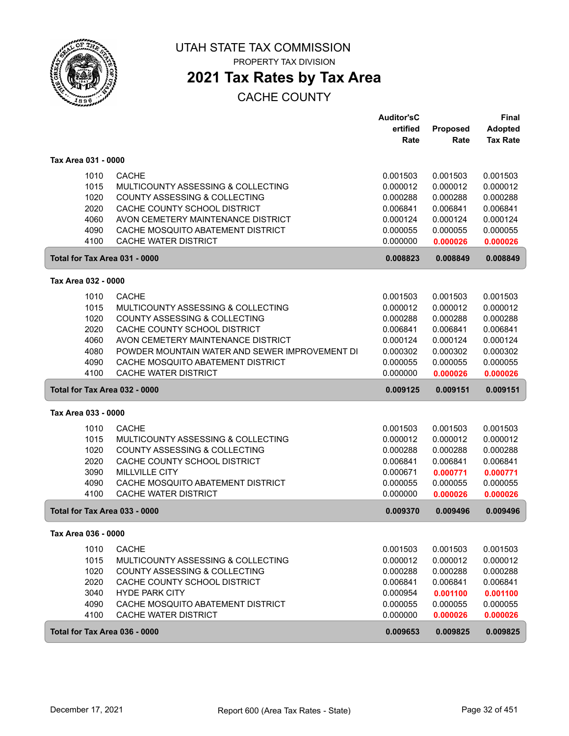

PROPERTY TAX DIVISION

## **2021 Tax Rates by Tax Area**

|                               |                                                | <b>Auditor'sC</b> |          | <b>Final</b>    |
|-------------------------------|------------------------------------------------|-------------------|----------|-----------------|
|                               |                                                | ertified          | Proposed | <b>Adopted</b>  |
|                               |                                                | Rate              | Rate     | <b>Tax Rate</b> |
| Tax Area 031 - 0000           |                                                |                   |          |                 |
| 1010                          | <b>CACHE</b>                                   | 0.001503          | 0.001503 | 0.001503        |
| 1015                          | MULTICOUNTY ASSESSING & COLLECTING             | 0.000012          | 0.000012 | 0.000012        |
| 1020                          | <b>COUNTY ASSESSING &amp; COLLECTING</b>       | 0.000288          | 0.000288 | 0.000288        |
| 2020                          | CACHE COUNTY SCHOOL DISTRICT                   | 0.006841          | 0.006841 | 0.006841        |
| 4060                          | AVON CEMETERY MAINTENANCE DISTRICT             | 0.000124          | 0.000124 | 0.000124        |
| 4090                          | CACHE MOSQUITO ABATEMENT DISTRICT              | 0.000055          | 0.000055 | 0.000055        |
| 4100                          | CACHE WATER DISTRICT                           | 0.000000          | 0.000026 | 0.000026        |
| Total for Tax Area 031 - 0000 |                                                | 0.008823          | 0.008849 | 0.008849        |
| Tax Area 032 - 0000           |                                                |                   |          |                 |
| 1010                          | <b>CACHE</b>                                   | 0.001503          | 0.001503 | 0.001503        |
| 1015                          | MULTICOUNTY ASSESSING & COLLECTING             | 0.000012          | 0.000012 | 0.000012        |
| 1020                          | COUNTY ASSESSING & COLLECTING                  | 0.000288          | 0.000288 | 0.000288        |
| 2020                          | CACHE COUNTY SCHOOL DISTRICT                   | 0.006841          | 0.006841 | 0.006841        |
| 4060                          | AVON CEMETERY MAINTENANCE DISTRICT             | 0.000124          | 0.000124 | 0.000124        |
| 4080                          | POWDER MOUNTAIN WATER AND SEWER IMPROVEMENT DI | 0.000302          | 0.000302 | 0.000302        |
| 4090                          | CACHE MOSQUITO ABATEMENT DISTRICT              | 0.000055          | 0.000055 | 0.000055        |
| 4100                          | CACHE WATER DISTRICT                           | 0.000000          | 0.000026 | 0.000026        |
| Total for Tax Area 032 - 0000 |                                                | 0.009125          | 0.009151 | 0.009151        |
| Tax Area 033 - 0000           |                                                |                   |          |                 |
| 1010                          | <b>CACHE</b>                                   | 0.001503          | 0.001503 | 0.001503        |
| 1015                          | MULTICOUNTY ASSESSING & COLLECTING             | 0.000012          | 0.000012 | 0.000012        |
| 1020                          | COUNTY ASSESSING & COLLECTING                  | 0.000288          | 0.000288 | 0.000288        |
| 2020                          | CACHE COUNTY SCHOOL DISTRICT                   | 0.006841          | 0.006841 | 0.006841        |
| 3090                          | <b>MILLVILLE CITY</b>                          | 0.000671          | 0.000771 | 0.000771        |
| 4090                          | CACHE MOSQUITO ABATEMENT DISTRICT              | 0.000055          | 0.000055 | 0.000055        |
| 4100                          | CACHE WATER DISTRICT                           | 0.000000          | 0.000026 | 0.000026        |
| Total for Tax Area 033 - 0000 |                                                | 0.009370          | 0.009496 | 0.009496        |
| Tax Area 036 - 0000           |                                                |                   |          |                 |
| 1010                          | <b>CACHE</b>                                   | 0.001503          | 0.001503 | 0.001503        |
| 1015                          | MULTICOUNTY ASSESSING & COLLECTING             | 0.000012          | 0.000012 | 0.000012        |
| 1020                          | COUNTY ASSESSING & COLLECTING                  | 0.000288          | 0.000288 | 0.000288        |
| 2020                          | CACHE COUNTY SCHOOL DISTRICT                   | 0.006841          | 0.006841 | 0.006841        |
| 3040                          | <b>HYDE PARK CITY</b>                          | 0.000954          | 0.001100 | 0.001100        |
| 4090                          | CACHE MOSQUITO ABATEMENT DISTRICT              | 0.000055          | 0.000055 | 0.000055        |
| 4100                          | CACHE WATER DISTRICT                           | 0.000000          | 0.000026 | 0.000026        |
|                               | Total for Tax Area 036 - 0000                  | 0.009653          | 0.009825 | 0.009825        |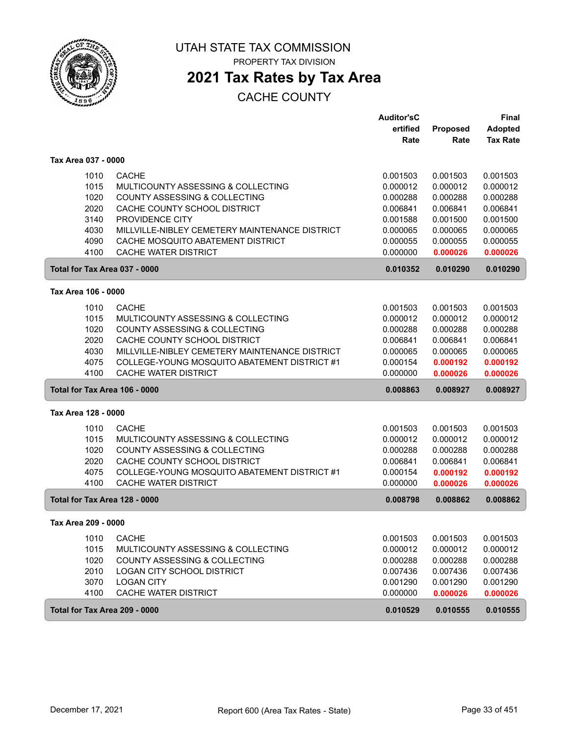

PROPERTY TAX DIVISION

# **2021 Tax Rates by Tax Area**

|                               |                                                | <b>Auditor'sC</b> |          | <b>Final</b>    |
|-------------------------------|------------------------------------------------|-------------------|----------|-----------------|
|                               |                                                | ertified          | Proposed | <b>Adopted</b>  |
|                               |                                                | Rate              | Rate     | <b>Tax Rate</b> |
| Tax Area 037 - 0000           |                                                |                   |          |                 |
| 1010                          | <b>CACHE</b>                                   | 0.001503          | 0.001503 | 0.001503        |
| 1015                          | MULTICOUNTY ASSESSING & COLLECTING             | 0.000012          | 0.000012 | 0.000012        |
| 1020                          | <b>COUNTY ASSESSING &amp; COLLECTING</b>       | 0.000288          | 0.000288 | 0.000288        |
| 2020                          | CACHE COUNTY SCHOOL DISTRICT                   | 0.006841          | 0.006841 | 0.006841        |
| 3140                          | PROVIDENCE CITY                                | 0.001588          | 0.001500 | 0.001500        |
| 4030                          | MILLVILLE-NIBLEY CEMETERY MAINTENANCE DISTRICT | 0.000065          | 0.000065 | 0.000065        |
| 4090                          | CACHE MOSQUITO ABATEMENT DISTRICT              | 0.000055          | 0.000055 | 0.000055        |
| 4100                          | CACHE WATER DISTRICT                           | 0.000000          | 0.000026 | 0.000026        |
| Total for Tax Area 037 - 0000 |                                                | 0.010352          | 0.010290 | 0.010290        |
| Tax Area 106 - 0000           |                                                |                   |          |                 |
| 1010                          | <b>CACHE</b>                                   | 0.001503          | 0.001503 | 0.001503        |
| 1015                          | MULTICOUNTY ASSESSING & COLLECTING             | 0.000012          | 0.000012 | 0.000012        |
| 1020                          | COUNTY ASSESSING & COLLECTING                  | 0.000288          | 0.000288 | 0.000288        |
| 2020                          | CACHE COUNTY SCHOOL DISTRICT                   | 0.006841          | 0.006841 | 0.006841        |
| 4030                          | MILLVILLE-NIBLEY CEMETERY MAINTENANCE DISTRICT | 0.000065          | 0.000065 | 0.000065        |
| 4075                          | COLLEGE-YOUNG MOSQUITO ABATEMENT DISTRICT #1   | 0.000154          | 0.000192 | 0.000192        |
| 4100                          | CACHE WATER DISTRICT                           | 0.000000          | 0.000026 | 0.000026        |
| Total for Tax Area 106 - 0000 |                                                | 0.008863          | 0.008927 | 0.008927        |
| Tax Area 128 - 0000           |                                                |                   |          |                 |
| 1010                          | <b>CACHE</b>                                   | 0.001503          | 0.001503 | 0.001503        |
| 1015                          | MULTICOUNTY ASSESSING & COLLECTING             | 0.000012          | 0.000012 | 0.000012        |
| 1020                          | COUNTY ASSESSING & COLLECTING                  | 0.000288          | 0.000288 | 0.000288        |
| 2020                          | CACHE COUNTY SCHOOL DISTRICT                   | 0.006841          | 0.006841 | 0.006841        |
| 4075                          | COLLEGE-YOUNG MOSQUITO ABATEMENT DISTRICT #1   | 0.000154          | 0.000192 | 0.000192        |
| 4100                          | CACHE WATER DISTRICT                           | 0.000000          | 0.000026 | 0.000026        |
| Total for Tax Area 128 - 0000 |                                                | 0.008798          | 0.008862 | 0.008862        |
| Tax Area 209 - 0000           |                                                |                   |          |                 |
| 1010                          | <b>CACHE</b>                                   | 0.001503          | 0.001503 | 0.001503        |
| 1015                          | MULTICOUNTY ASSESSING & COLLECTING             | 0.000012          | 0.000012 | 0.000012        |
| 1020                          | <b>COUNTY ASSESSING &amp; COLLECTING</b>       | 0.000288          | 0.000288 | 0.000288        |
| 2010                          | LOGAN CITY SCHOOL DISTRICT                     | 0.007436          | 0.007436 | 0.007436        |
| 3070                          | <b>LOGAN CITY</b>                              | 0.001290          | 0.001290 | 0.001290        |
| 4100                          | CACHE WATER DISTRICT                           | 0.000000          | 0.000026 | 0.000026        |
| Total for Tax Area 209 - 0000 |                                                | 0.010529          | 0.010555 | 0.010555        |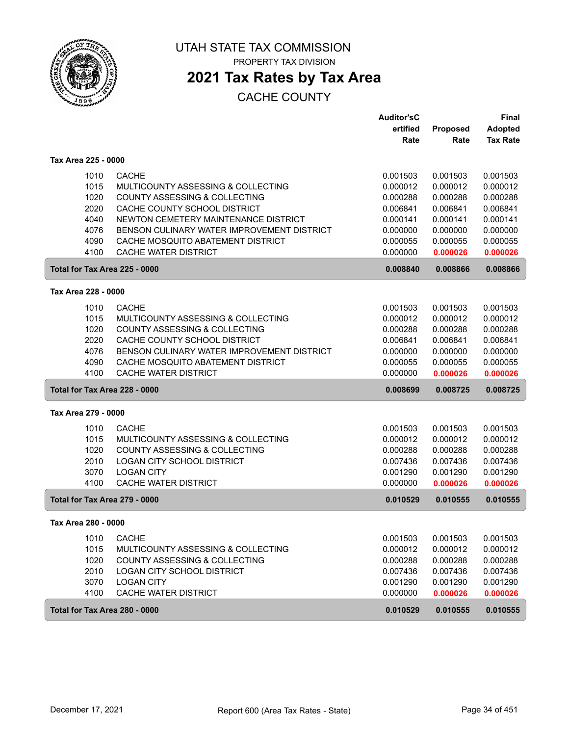

PROPERTY TAX DIVISION

# **2021 Tax Rates by Tax Area**

|                               |                                               | <b>Auditor'sC</b> |          | Final           |
|-------------------------------|-----------------------------------------------|-------------------|----------|-----------------|
|                               |                                               | ertified          | Proposed | <b>Adopted</b>  |
|                               |                                               | Rate              | Rate     | <b>Tax Rate</b> |
| Tax Area 225 - 0000           |                                               |                   |          |                 |
| 1010                          | <b>CACHE</b>                                  | 0.001503          | 0.001503 | 0.001503        |
| 1015                          | MULTICOUNTY ASSESSING & COLLECTING            | 0.000012          | 0.000012 | 0.000012        |
| 1020                          | <b>COUNTY ASSESSING &amp; COLLECTING</b>      | 0.000288          | 0.000288 | 0.000288        |
| 2020                          | CACHE COUNTY SCHOOL DISTRICT                  | 0.006841          | 0.006841 | 0.006841        |
| 4040                          | NEWTON CEMETERY MAINTENANCE DISTRICT          | 0.000141          | 0.000141 | 0.000141        |
| 4076                          | BENSON CULINARY WATER IMPROVEMENT DISTRICT    | 0.000000          | 0.000000 | 0.000000        |
| 4090                          | CACHE MOSQUITO ABATEMENT DISTRICT             | 0.000055          | 0.000055 | 0.000055        |
| 4100                          | <b>CACHE WATER DISTRICT</b>                   | 0.000000          | 0.000026 | 0.000026        |
| Total for Tax Area 225 - 0000 |                                               | 0.008840          | 0.008866 | 0.008866        |
| Tax Area 228 - 0000           |                                               |                   |          |                 |
| 1010                          | <b>CACHE</b>                                  | 0.001503          | 0.001503 | 0.001503        |
| 1015                          | MULTICOUNTY ASSESSING & COLLECTING            | 0.000012          | 0.000012 | 0.000012        |
| 1020                          | COUNTY ASSESSING & COLLECTING                 | 0.000288          | 0.000288 | 0.000288        |
| 2020                          | CACHE COUNTY SCHOOL DISTRICT                  | 0.006841          | 0.006841 | 0.006841        |
| 4076                          | BENSON CULINARY WATER IMPROVEMENT DISTRICT    | 0.000000          | 0.000000 | 0.000000        |
| 4090                          | CACHE MOSQUITO ABATEMENT DISTRICT             | 0.000055          | 0.000055 | 0.000055        |
| 4100                          | <b>CACHE WATER DISTRICT</b>                   | 0.000000          | 0.000026 | 0.000026        |
| Total for Tax Area 228 - 0000 |                                               | 0.008699          | 0.008725 | 0.008725        |
| Tax Area 279 - 0000           |                                               |                   |          |                 |
| 1010                          | <b>CACHE</b>                                  | 0.001503          | 0.001503 | 0.001503        |
| 1015                          | MULTICOUNTY ASSESSING & COLLECTING            | 0.000012          | 0.000012 | 0.000012        |
| 1020                          | COUNTY ASSESSING & COLLECTING                 | 0.000288          | 0.000288 | 0.000288        |
| 2010                          | LOGAN CITY SCHOOL DISTRICT                    | 0.007436          | 0.007436 | 0.007436        |
| 3070                          | <b>LOGAN CITY</b>                             | 0.001290          | 0.001290 | 0.001290        |
| 4100                          | CACHE WATER DISTRICT                          | 0.000000          | 0.000026 | 0.000026        |
| Total for Tax Area 279 - 0000 |                                               | 0.010529          | 0.010555 | 0.010555        |
| Tax Area 280 - 0000           |                                               |                   |          |                 |
| 1010                          | <b>CACHE</b>                                  | 0.001503          | 0.001503 | 0.001503        |
| 1015                          | <b>MULTICOUNTY ASSESSING &amp; COLLECTING</b> | 0.000012          | 0.000012 | 0.000012        |
| 1020                          | <b>COUNTY ASSESSING &amp; COLLECTING</b>      | 0.000288          | 0.000288 | 0.000288        |
| 2010                          | <b>LOGAN CITY SCHOOL DISTRICT</b>             | 0.007436          | 0.007436 | 0.007436        |
| 3070                          | <b>LOGAN CITY</b>                             | 0.001290          | 0.001290 | 0.001290        |
| 4100                          | CACHE WATER DISTRICT                          | 0.000000          | 0.000026 | 0.000026        |
| Total for Tax Area 280 - 0000 |                                               | 0.010529          | 0.010555 | 0.010555        |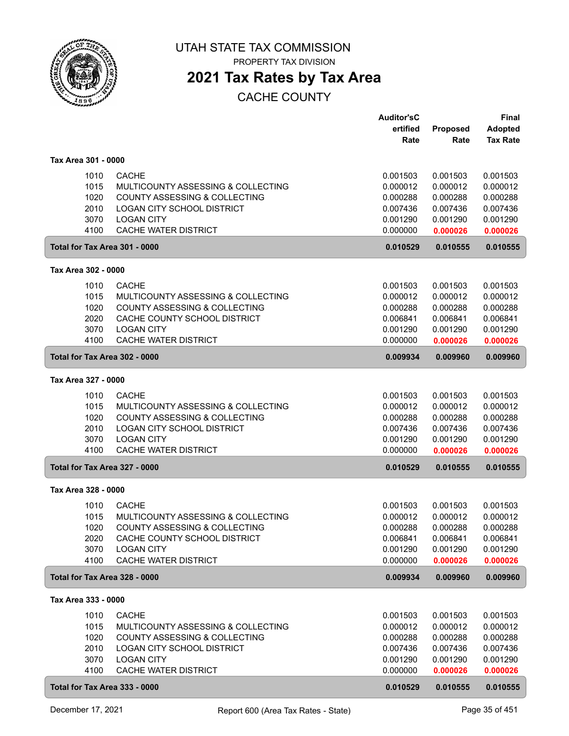

PROPERTY TAX DIVISION

## **2021 Tax Rates by Tax Area**

|                               |                                                             | <b>Auditor'sC</b><br>ertified | Proposed             | Final<br><b>Adopted</b> |
|-------------------------------|-------------------------------------------------------------|-------------------------------|----------------------|-------------------------|
|                               |                                                             | Rate                          | Rate                 | <b>Tax Rate</b>         |
| Tax Area 301 - 0000           |                                                             |                               |                      |                         |
|                               |                                                             |                               |                      |                         |
| 1010<br>1015                  | <b>CACHE</b><br>MULTICOUNTY ASSESSING & COLLECTING          | 0.001503<br>0.000012          | 0.001503<br>0.000012 | 0.001503<br>0.000012    |
| 1020                          | <b>COUNTY ASSESSING &amp; COLLECTING</b>                    | 0.000288                      | 0.000288             | 0.000288                |
| 2010                          | LOGAN CITY SCHOOL DISTRICT                                  | 0.007436                      | 0.007436             | 0.007436                |
| 3070                          | <b>LOGAN CITY</b>                                           | 0.001290                      | 0.001290             | 0.001290                |
| 4100                          | <b>CACHE WATER DISTRICT</b>                                 | 0.000000                      | 0.000026             | 0.000026                |
| Total for Tax Area 301 - 0000 |                                                             | 0.010529                      | 0.010555             | 0.010555                |
| Tax Area 302 - 0000           |                                                             |                               |                      |                         |
| 1010                          | <b>CACHE</b>                                                | 0.001503                      | 0.001503             | 0.001503                |
| 1015                          | MULTICOUNTY ASSESSING & COLLECTING                          | 0.000012                      | 0.000012             | 0.000012                |
| 1020                          | COUNTY ASSESSING & COLLECTING                               | 0.000288                      | 0.000288             | 0.000288                |
| 2020                          | CACHE COUNTY SCHOOL DISTRICT                                | 0.006841                      | 0.006841             | 0.006841                |
| 3070<br>4100                  | <b>LOGAN CITY</b><br><b>CACHE WATER DISTRICT</b>            | 0.001290<br>0.000000          | 0.001290<br>0.000026 | 0.001290<br>0.000026    |
| Total for Tax Area 302 - 0000 |                                                             | 0.009934                      | 0.009960             | 0.009960                |
|                               |                                                             |                               |                      |                         |
| Tax Area 327 - 0000           |                                                             |                               |                      |                         |
| 1010                          | <b>CACHE</b>                                                | 0.001503                      | 0.001503             | 0.001503                |
| 1015                          | MULTICOUNTY ASSESSING & COLLECTING                          | 0.000012                      | 0.000012             | 0.000012                |
| 1020<br>2010                  | COUNTY ASSESSING & COLLECTING<br>LOGAN CITY SCHOOL DISTRICT | 0.000288<br>0.007436          | 0.000288<br>0.007436 | 0.000288<br>0.007436    |
| 3070                          | <b>LOGAN CITY</b>                                           | 0.001290                      | 0.001290             | 0.001290                |
| 4100                          | CACHE WATER DISTRICT                                        | 0.000000                      | 0.000026             | 0.000026                |
| Total for Tax Area 327 - 0000 |                                                             | 0.010529                      | 0.010555             | 0.010555                |
| Tax Area 328 - 0000           |                                                             |                               |                      |                         |
| 1010                          | <b>CACHE</b>                                                | 0.001503                      | 0.001503             | 0.001503                |
| 1015                          | MULTICOUNTY ASSESSING & COLLECTING                          | 0.000012                      | 0.000012             | 0.000012                |
| 1020                          | COUNTY ASSESSING & COLLECTING                               | 0.000288                      | 0.000288             | 0.000288                |
| 2020                          | CACHE COUNTY SCHOOL DISTRICT                                | 0.006841                      | 0.006841             | 0.006841                |
| 3070                          | <b>LOGAN CITY</b>                                           | 0.001290                      | 0.001290             | 0.001290                |
| 4100                          | <b>CACHE WATER DISTRICT</b>                                 | 0.000000                      | 0.000026             | 0.000026                |
| Total for Tax Area 328 - 0000 |                                                             | 0.009934                      | 0.009960             | 0.009960                |
| Tax Area 333 - 0000           |                                                             |                               |                      |                         |
| 1010                          | <b>CACHE</b>                                                | 0.001503                      | 0.001503             | 0.001503                |
| 1015                          | MULTICOUNTY ASSESSING & COLLECTING                          | 0.000012                      | 0.000012             | 0.000012                |
| 1020                          | COUNTY ASSESSING & COLLECTING                               | 0.000288                      | 0.000288             | 0.000288                |
| 2010                          | LOGAN CITY SCHOOL DISTRICT                                  | 0.007436                      | 0.007436             | 0.007436                |
| 3070<br>4100                  | <b>LOGAN CITY</b><br>CACHE WATER DISTRICT                   | 0.001290<br>0.000000          | 0.001290<br>0.000026 | 0.001290<br>0.000026    |
| Total for Tax Area 333 - 0000 |                                                             | 0.010529                      | 0.010555             | 0.010555                |
|                               |                                                             |                               |                      |                         |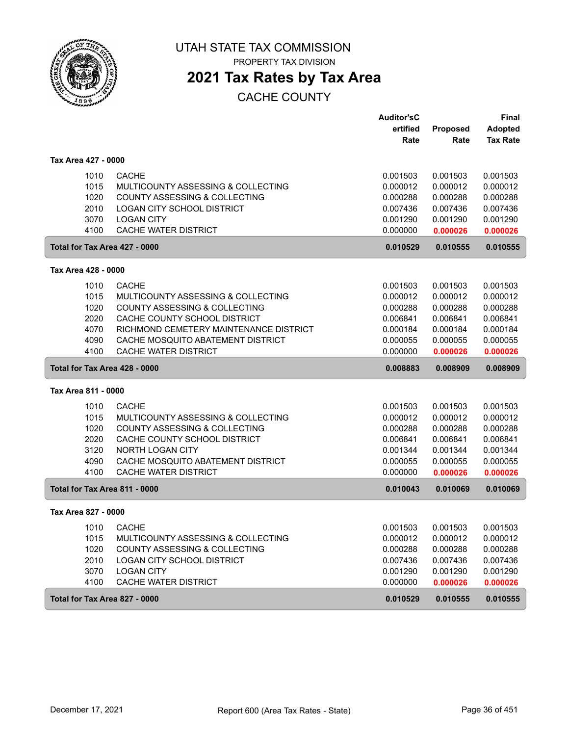

PROPERTY TAX DIVISION

## **2021 Tax Rates by Tax Area**

|                               |                                        | <b>Auditor'sC</b> |          | <b>Final</b>    |
|-------------------------------|----------------------------------------|-------------------|----------|-----------------|
|                               |                                        | ertified          | Proposed | <b>Adopted</b>  |
|                               |                                        | Rate              | Rate     | <b>Tax Rate</b> |
| Tax Area 427 - 0000           |                                        |                   |          |                 |
| 1010                          | <b>CACHE</b>                           | 0.001503          | 0.001503 | 0.001503        |
| 1015                          | MULTICOUNTY ASSESSING & COLLECTING     | 0.000012          | 0.000012 | 0.000012        |
| 1020                          | COUNTY ASSESSING & COLLECTING          | 0.000288          | 0.000288 | 0.000288        |
| 2010                          | <b>LOGAN CITY SCHOOL DISTRICT</b>      | 0.007436          | 0.007436 | 0.007436        |
| 3070                          | <b>LOGAN CITY</b>                      | 0.001290          | 0.001290 | 0.001290        |
| 4100                          | CACHE WATER DISTRICT                   | 0.000000          | 0.000026 | 0.000026        |
| Total for Tax Area 427 - 0000 |                                        | 0.010529          | 0.010555 | 0.010555        |
| Tax Area 428 - 0000           |                                        |                   |          |                 |
| 1010                          | <b>CACHE</b>                           | 0.001503          | 0.001503 | 0.001503        |
| 1015                          | MULTICOUNTY ASSESSING & COLLECTING     | 0.000012          | 0.000012 | 0.000012        |
| 1020                          | COUNTY ASSESSING & COLLECTING          | 0.000288          | 0.000288 | 0.000288        |
| 2020                          | CACHE COUNTY SCHOOL DISTRICT           | 0.006841          | 0.006841 | 0.006841        |
| 4070                          | RICHMOND CEMETERY MAINTENANCE DISTRICT | 0.000184          | 0.000184 | 0.000184        |
| 4090                          | CACHE MOSQUITO ABATEMENT DISTRICT      | 0.000055          | 0.000055 | 0.000055        |
| 4100                          | CACHE WATER DISTRICT                   | 0.000000          | 0.000026 | 0.000026        |
| Total for Tax Area 428 - 0000 |                                        | 0.008883          | 0.008909 | 0.008909        |
| Tax Area 811 - 0000           |                                        |                   |          |                 |
| 1010                          | <b>CACHE</b>                           | 0.001503          | 0.001503 | 0.001503        |
| 1015                          | MULTICOUNTY ASSESSING & COLLECTING     | 0.000012          | 0.000012 | 0.000012        |
| 1020                          | COUNTY ASSESSING & COLLECTING          | 0.000288          | 0.000288 | 0.000288        |
| 2020                          | CACHE COUNTY SCHOOL DISTRICT           | 0.006841          | 0.006841 | 0.006841        |
| 3120                          | NORTH LOGAN CITY                       | 0.001344          | 0.001344 | 0.001344        |
| 4090                          | CACHE MOSQUITO ABATEMENT DISTRICT      | 0.000055          | 0.000055 | 0.000055        |
| 4100                          | CACHE WATER DISTRICT                   | 0.000000          | 0.000026 | 0.000026        |
| Total for Tax Area 811 - 0000 |                                        | 0.010043          | 0.010069 | 0.010069        |
| Tax Area 827 - 0000           |                                        |                   |          |                 |
| 1010                          | <b>CACHE</b>                           | 0.001503          | 0.001503 | 0.001503        |
| 1015                          | MULTICOUNTY ASSESSING & COLLECTING     | 0.000012          | 0.000012 | 0.000012        |
| 1020                          |                                        |                   |          |                 |
|                               | COUNTY ASSESSING & COLLECTING          | 0.000288          | 0.000288 | 0.000288        |
| 2010                          | LOGAN CITY SCHOOL DISTRICT             | 0.007436          | 0.007436 | 0.007436        |
| 3070                          | <b>LOGAN CITY</b>                      | 0.001290          | 0.001290 | 0.001290        |
| 4100                          | CACHE WATER DISTRICT                   | 0.000000          | 0.000026 | 0.000026        |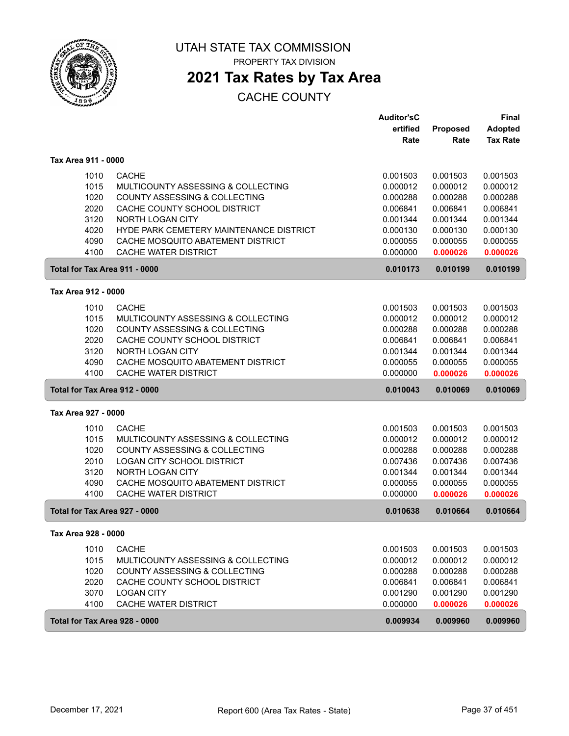

PROPERTY TAX DIVISION

### **2021 Tax Rates by Tax Area**

#### CACHE COUNTY

|                               |                                         | <b>Auditor'sC</b> |          | <b>Final</b>    |
|-------------------------------|-----------------------------------------|-------------------|----------|-----------------|
|                               |                                         | ertified          | Proposed | <b>Adopted</b>  |
|                               |                                         | Rate              | Rate     | <b>Tax Rate</b> |
| Tax Area 911 - 0000           |                                         |                   |          |                 |
| 1010                          | <b>CACHE</b>                            | 0.001503          | 0.001503 | 0.001503        |
| 1015                          | MULTICOUNTY ASSESSING & COLLECTING      | 0.000012          | 0.000012 | 0.000012        |
| 1020                          | COUNTY ASSESSING & COLLECTING           | 0.000288          | 0.000288 | 0.000288        |
| 2020                          | CACHE COUNTY SCHOOL DISTRICT            | 0.006841          | 0.006841 | 0.006841        |
| 3120                          | NORTH LOGAN CITY                        | 0.001344          | 0.001344 | 0.001344        |
| 4020                          | HYDE PARK CEMETERY MAINTENANCE DISTRICT | 0.000130          | 0.000130 | 0.000130        |
| 4090                          | CACHE MOSQUITO ABATEMENT DISTRICT       | 0.000055          | 0.000055 | 0.000055        |
| 4100                          | <b>CACHE WATER DISTRICT</b>             | 0.000000          | 0.000026 | 0.000026        |
| Total for Tax Area 911 - 0000 |                                         | 0.010173          | 0.010199 | 0.010199        |
| Tax Area 912 - 0000           |                                         |                   |          |                 |
| 1010                          | <b>CACHE</b>                            | 0.001503          | 0.001503 | 0.001503        |
| 1015                          | MULTICOUNTY ASSESSING & COLLECTING      | 0.000012          | 0.000012 | 0.000012        |
| 1020                          | COUNTY ASSESSING & COLLECTING           | 0.000288          | 0.000288 | 0.000288        |
| 2020                          | CACHE COUNTY SCHOOL DISTRICT            | 0.006841          | 0.006841 | 0.006841        |
| 3120                          | <b>NORTH LOGAN CITY</b>                 | 0.001344          | 0.001344 | 0.001344        |
| 4090                          | CACHE MOSQUITO ABATEMENT DISTRICT       | 0.000055          | 0.000055 | 0.000055        |
| 4100                          | CACHE WATER DISTRICT                    | 0.000000          | 0.000026 | 0.000026        |
| Total for Tax Area 912 - 0000 |                                         | 0.010043          | 0.010069 | 0.010069        |
| Tax Area 927 - 0000           |                                         |                   |          |                 |
| 1010                          | <b>CACHE</b>                            | 0.001503          | 0.001503 | 0.001503        |
| 1015                          | MULTICOUNTY ASSESSING & COLLECTING      | 0.000012          | 0.000012 | 0.000012        |
| 1020                          | COUNTY ASSESSING & COLLECTING           | 0.000288          | 0.000288 | 0.000288        |
| 2010                          | <b>LOGAN CITY SCHOOL DISTRICT</b>       | 0.007436          | 0.007436 | 0.007436        |
| 3120                          | NORTH LOGAN CITY                        | 0.001344          | 0.001344 | 0.001344        |
| 4090                          | CACHE MOSQUITO ABATEMENT DISTRICT       | 0.000055          | 0.000055 | 0.000055        |
| 4100                          | CACHE WATER DISTRICT                    | 0.000000          | 0.000026 | 0.000026        |
| Total for Tax Area 927 - 0000 |                                         | 0.010638          | 0.010664 | 0.010664        |
| Tax Area 928 - 0000           |                                         |                   |          |                 |
| 1010                          | <b>CACHE</b>                            | 0.001503          | 0.001503 | 0.001503        |
| 1015                          | MULTICOUNTY ASSESSING & COLLECTING      | 0.000012          | 0.000012 | 0.000012        |
| 1020                          | COUNTY ASSESSING & COLLECTING           | 0.000288          | 0.000288 | 0.000288        |
| 2020                          | CACHE COUNTY SCHOOL DISTRICT            | 0.006841          | 0.006841 | 0.006841        |
| 3070                          | <b>LOGAN CITY</b>                       | 0.001290          | 0.001290 | 0.001290        |
| 4100                          | CACHE WATER DISTRICT                    | 0.000000          | 0.000026 | 0.000026        |
| Total for Tax Area 928 - 0000 |                                         | 0.009934          | 0.009960 | 0.009960        |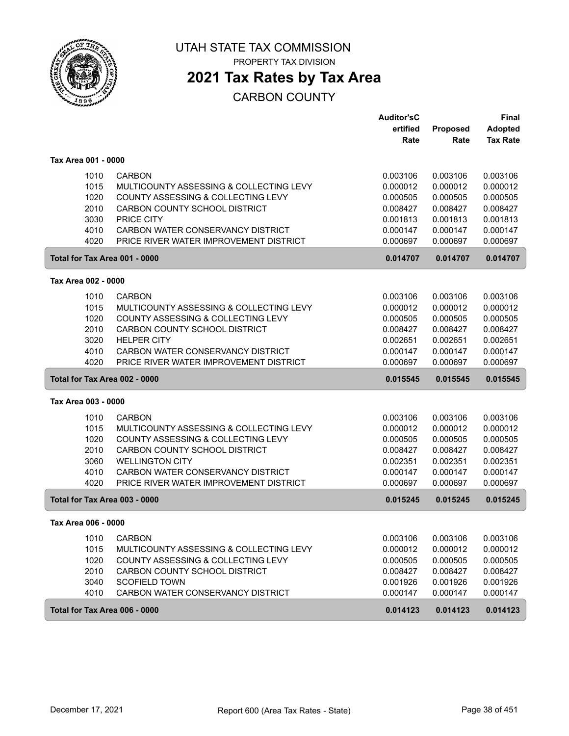

PROPERTY TAX DIVISION

### **2021 Tax Rates by Tax Area**

|                               |                                                                     | <b>Auditor'sC</b>    |                      | <b>Final</b>    |
|-------------------------------|---------------------------------------------------------------------|----------------------|----------------------|-----------------|
|                               |                                                                     | ertified             | <b>Proposed</b>      | <b>Adopted</b>  |
|                               |                                                                     | Rate                 | Rate                 | <b>Tax Rate</b> |
| Tax Area 001 - 0000           |                                                                     |                      |                      |                 |
| 1010                          | <b>CARBON</b>                                                       | 0.003106             | 0.003106             | 0.003106        |
| 1015                          | MULTICOUNTY ASSESSING & COLLECTING LEVY                             | 0.000012             | 0.000012             | 0.000012        |
| 1020                          | COUNTY ASSESSING & COLLECTING LEVY                                  | 0.000505             | 0.000505             | 0.000505        |
| 2010                          | CARBON COUNTY SCHOOL DISTRICT                                       | 0.008427             | 0.008427             | 0.008427        |
| 3030                          | <b>PRICE CITY</b>                                                   | 0.001813             | 0.001813             | 0.001813        |
| 4010                          | CARBON WATER CONSERVANCY DISTRICT                                   | 0.000147             | 0.000147             | 0.000147        |
| 4020                          | PRICE RIVER WATER IMPROVEMENT DISTRICT                              | 0.000697             | 0.000697             | 0.000697        |
| Total for Tax Area 001 - 0000 |                                                                     | 0.014707             | 0.014707             | 0.014707        |
| Tax Area 002 - 0000           |                                                                     |                      |                      |                 |
| 1010                          | <b>CARBON</b>                                                       | 0.003106             | 0.003106             | 0.003106        |
| 1015                          | MULTICOUNTY ASSESSING & COLLECTING LEVY                             | 0.000012             | 0.000012             | 0.000012        |
|                               |                                                                     |                      |                      | 0.000505        |
| 1020<br>2010                  | COUNTY ASSESSING & COLLECTING LEVY<br>CARBON COUNTY SCHOOL DISTRICT | 0.000505<br>0.008427 | 0.000505<br>0.008427 | 0.008427        |
| 3020                          | <b>HELPER CITY</b>                                                  | 0.002651             | 0.002651             | 0.002651        |
| 4010                          | CARBON WATER CONSERVANCY DISTRICT                                   | 0.000147             | 0.000147             | 0.000147        |
| 4020                          | PRICE RIVER WATER IMPROVEMENT DISTRICT                              | 0.000697             | 0.000697             | 0.000697        |
|                               |                                                                     |                      |                      |                 |
| Total for Tax Area 002 - 0000 |                                                                     | 0.015545             | 0.015545             | 0.015545        |
| Tax Area 003 - 0000           |                                                                     |                      |                      |                 |
| 1010                          | <b>CARBON</b>                                                       | 0.003106             | 0.003106             | 0.003106        |
| 1015                          | MULTICOUNTY ASSESSING & COLLECTING LEVY                             | 0.000012             | 0.000012             | 0.000012        |
| 1020                          | COUNTY ASSESSING & COLLECTING LEVY                                  | 0.000505             | 0.000505             | 0.000505        |
| 2010                          | CARBON COUNTY SCHOOL DISTRICT                                       | 0.008427             | 0.008427             | 0.008427        |
| 3060                          | <b>WELLINGTON CITY</b>                                              | 0.002351             | 0.002351             | 0.002351        |
| 4010                          | CARBON WATER CONSERVANCY DISTRICT                                   | 0.000147             | 0.000147             | 0.000147        |
| 4020                          | PRICE RIVER WATER IMPROVEMENT DISTRICT                              | 0.000697             | 0.000697             | 0.000697        |
| Total for Tax Area 003 - 0000 |                                                                     | 0.015245             | 0.015245             | 0.015245        |
| Tax Area 006 - 0000           |                                                                     |                      |                      |                 |
| 1010                          | <b>CARBON</b>                                                       | 0.003106             | 0.003106             | 0.003106        |
| 1015                          | MULTICOUNTY ASSESSING & COLLECTING LEVY                             | 0.000012             | 0.000012             | 0.000012        |
| 1020                          | COUNTY ASSESSING & COLLECTING LEVY                                  | 0.000505             | 0.000505             | 0.000505        |
| 2010                          | CARBON COUNTY SCHOOL DISTRICT                                       | 0.008427             | 0.008427             | 0.008427        |
| 3040                          | <b>SCOFIELD TOWN</b>                                                | 0.001926             | 0.001926             | 0.001926        |
| 4010                          | CARBON WATER CONSERVANCY DISTRICT                                   | 0.000147             | 0.000147             | 0.000147        |
| Total for Tax Area 006 - 0000 |                                                                     | 0.014123             | 0.014123             | 0.014123        |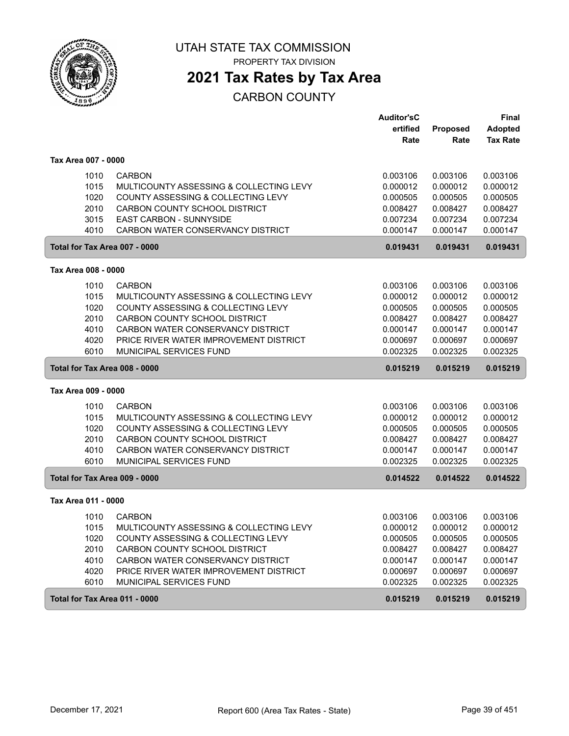

PROPERTY TAX DIVISION

### **2021 Tax Rates by Tax Area**

|                               |                                         | <b>Auditor'sC</b> |          | <b>Final</b>    |
|-------------------------------|-----------------------------------------|-------------------|----------|-----------------|
|                               |                                         | ertified          | Proposed | <b>Adopted</b>  |
|                               |                                         | Rate              | Rate     | <b>Tax Rate</b> |
| Tax Area 007 - 0000           |                                         |                   |          |                 |
| 1010                          | <b>CARBON</b>                           | 0.003106          | 0.003106 | 0.003106        |
| 1015                          | MULTICOUNTY ASSESSING & COLLECTING LEVY | 0.000012          | 0.000012 | 0.000012        |
| 1020                          | COUNTY ASSESSING & COLLECTING LEVY      | 0.000505          | 0.000505 | 0.000505        |
| 2010                          | CARBON COUNTY SCHOOL DISTRICT           | 0.008427          | 0.008427 | 0.008427        |
| 3015                          | EAST CARBON - SUNNYSIDE                 | 0.007234          | 0.007234 | 0.007234        |
| 4010                          | CARBON WATER CONSERVANCY DISTRICT       | 0.000147          | 0.000147 | 0.000147        |
| Total for Tax Area 007 - 0000 |                                         | 0.019431          | 0.019431 | 0.019431        |
| Tax Area 008 - 0000           |                                         |                   |          |                 |
| 1010                          | <b>CARBON</b>                           | 0.003106          | 0.003106 | 0.003106        |
| 1015                          | MULTICOUNTY ASSESSING & COLLECTING LEVY | 0.000012          | 0.000012 | 0.000012        |
| 1020                          | COUNTY ASSESSING & COLLECTING LEVY      | 0.000505          | 0.000505 | 0.000505        |
| 2010                          | CARBON COUNTY SCHOOL DISTRICT           | 0.008427          | 0.008427 | 0.008427        |
| 4010                          | CARBON WATER CONSERVANCY DISTRICT       | 0.000147          | 0.000147 | 0.000147        |
| 4020                          | PRICE RIVER WATER IMPROVEMENT DISTRICT  | 0.000697          | 0.000697 | 0.000697        |
| 6010                          | MUNICIPAL SERVICES FUND                 | 0.002325          | 0.002325 | 0.002325        |
| Total for Tax Area 008 - 0000 |                                         | 0.015219          | 0.015219 | 0.015219        |
| Tax Area 009 - 0000           |                                         |                   |          |                 |
| 1010                          | <b>CARBON</b>                           | 0.003106          | 0.003106 | 0.003106        |
| 1015                          | MULTICOUNTY ASSESSING & COLLECTING LEVY | 0.000012          | 0.000012 | 0.000012        |
| 1020                          | COUNTY ASSESSING & COLLECTING LEVY      | 0.000505          | 0.000505 | 0.000505        |
| 2010                          | CARBON COUNTY SCHOOL DISTRICT           | 0.008427          | 0.008427 | 0.008427        |
| 4010                          | CARBON WATER CONSERVANCY DISTRICT       | 0.000147          | 0.000147 | 0.000147        |
| 6010                          | MUNICIPAL SERVICES FUND                 | 0.002325          | 0.002325 | 0.002325        |
| Total for Tax Area 009 - 0000 |                                         | 0.014522          | 0.014522 | 0.014522        |
| Tax Area 011 - 0000           |                                         |                   |          |                 |
| 1010                          | <b>CARBON</b>                           | 0.003106          | 0.003106 | 0.003106        |
| 1015                          | MULTICOUNTY ASSESSING & COLLECTING LEVY | 0.000012          | 0.000012 | 0.000012        |
| 1020                          | COUNTY ASSESSING & COLLECTING LEVY      | 0.000505          | 0.000505 | 0.000505        |
| 2010                          | CARBON COUNTY SCHOOL DISTRICT           | 0.008427          | 0.008427 | 0.008427        |
| 4010                          | CARBON WATER CONSERVANCY DISTRICT       | 0.000147          | 0.000147 | 0.000147        |
| 4020                          | PRICE RIVER WATER IMPROVEMENT DISTRICT  | 0.000697          | 0.000697 | 0.000697        |
| 6010                          | MUNICIPAL SERVICES FUND                 | 0.002325          | 0.002325 | 0.002325        |
| Total for Tax Area 011 - 0000 |                                         | 0.015219          | 0.015219 | 0.015219        |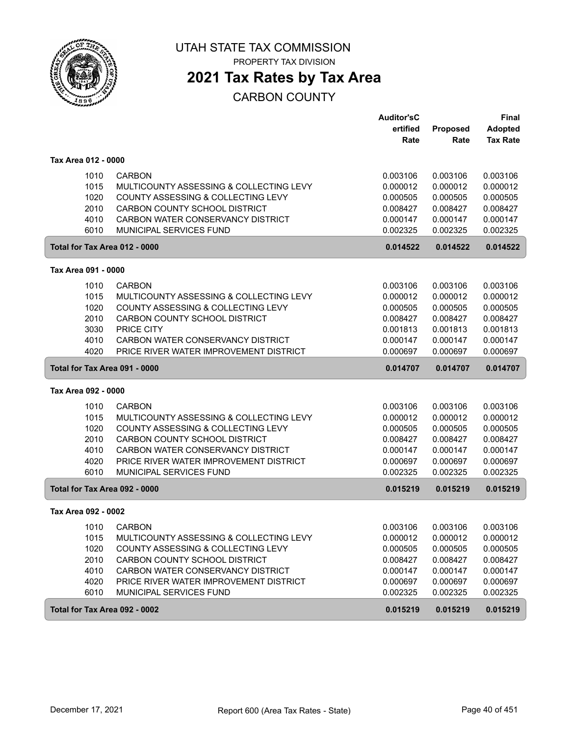

PROPERTY TAX DIVISION

# **2021 Tax Rates by Tax Area**

|                               |                                         | <b>Auditor'sC</b> |          | <b>Final</b>    |
|-------------------------------|-----------------------------------------|-------------------|----------|-----------------|
|                               |                                         | ertified          | Proposed | <b>Adopted</b>  |
|                               |                                         | Rate              | Rate     | <b>Tax Rate</b> |
| Tax Area 012 - 0000           |                                         |                   |          |                 |
| 1010                          | <b>CARBON</b>                           | 0.003106          | 0.003106 | 0.003106        |
| 1015                          | MULTICOUNTY ASSESSING & COLLECTING LEVY | 0.000012          | 0.000012 | 0.000012        |
| 1020                          | COUNTY ASSESSING & COLLECTING LEVY      | 0.000505          | 0.000505 | 0.000505        |
| 2010                          | CARBON COUNTY SCHOOL DISTRICT           | 0.008427          | 0.008427 | 0.008427        |
| 4010                          | CARBON WATER CONSERVANCY DISTRICT       | 0.000147          | 0.000147 | 0.000147        |
| 6010                          | MUNICIPAL SERVICES FUND                 | 0.002325          | 0.002325 | 0.002325        |
| Total for Tax Area 012 - 0000 |                                         | 0.014522          | 0.014522 | 0.014522        |
| Tax Area 091 - 0000           |                                         |                   |          |                 |
| 1010                          | <b>CARBON</b>                           | 0.003106          | 0.003106 | 0.003106        |
| 1015                          | MULTICOUNTY ASSESSING & COLLECTING LEVY | 0.000012          | 0.000012 | 0.000012        |
| 1020                          | COUNTY ASSESSING & COLLECTING LEVY      | 0.000505          | 0.000505 | 0.000505        |
| 2010                          | CARBON COUNTY SCHOOL DISTRICT           | 0.008427          | 0.008427 | 0.008427        |
| 3030                          | PRICE CITY                              | 0.001813          | 0.001813 | 0.001813        |
| 4010                          | CARBON WATER CONSERVANCY DISTRICT       | 0.000147          | 0.000147 | 0.000147        |
| 4020                          | PRICE RIVER WATER IMPROVEMENT DISTRICT  | 0.000697          | 0.000697 | 0.000697        |
| Total for Tax Area 091 - 0000 |                                         | 0.014707          | 0.014707 | 0.014707        |
| Tax Area 092 - 0000           |                                         |                   |          |                 |
| 1010                          | <b>CARBON</b>                           | 0.003106          | 0.003106 | 0.003106        |
| 1015                          | MULTICOUNTY ASSESSING & COLLECTING LEVY | 0.000012          | 0.000012 | 0.000012        |
| 1020                          | COUNTY ASSESSING & COLLECTING LEVY      | 0.000505          | 0.000505 | 0.000505        |
| 2010                          | CARBON COUNTY SCHOOL DISTRICT           | 0.008427          | 0.008427 | 0.008427        |
| 4010                          | CARBON WATER CONSERVANCY DISTRICT       | 0.000147          | 0.000147 | 0.000147        |
| 4020                          | PRICE RIVER WATER IMPROVEMENT DISTRICT  | 0.000697          | 0.000697 | 0.000697        |
| 6010                          | MUNICIPAL SERVICES FUND                 | 0.002325          | 0.002325 | 0.002325        |
| Total for Tax Area 092 - 0000 |                                         | 0.015219          | 0.015219 | 0.015219        |
| Tax Area 092 - 0002           |                                         |                   |          |                 |
| 1010                          | <b>CARBON</b>                           | 0.003106          | 0.003106 | 0.003106        |
| 1015                          | MULTICOUNTY ASSESSING & COLLECTING LEVY | 0.000012          | 0.000012 | 0.000012        |
| 1020                          | COUNTY ASSESSING & COLLECTING LEVY      | 0.000505          | 0.000505 | 0.000505        |
| 2010                          | CARBON COUNTY SCHOOL DISTRICT           | 0.008427          | 0.008427 | 0.008427        |
| 4010                          | CARBON WATER CONSERVANCY DISTRICT       | 0.000147          | 0.000147 | 0.000147        |
| 4020                          | PRICE RIVER WATER IMPROVEMENT DISTRICT  | 0.000697          | 0.000697 | 0.000697        |
| 6010                          | MUNICIPAL SERVICES FUND                 | 0.002325          | 0.002325 | 0.002325        |
| Total for Tax Area 092 - 0002 |                                         | 0.015219          | 0.015219 | 0.015219        |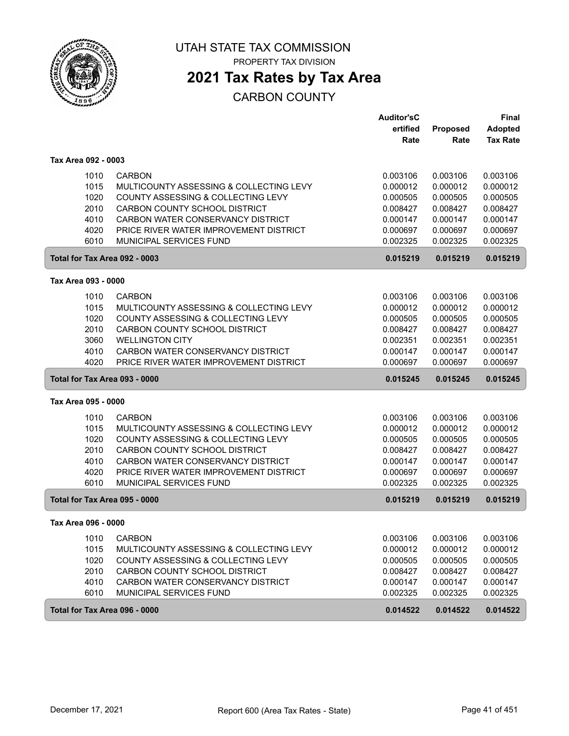

PROPERTY TAX DIVISION

# **2021 Tax Rates by Tax Area**

|                               |                                                                   | <b>Auditor'sC</b>    |                      | <b>Final</b>         |
|-------------------------------|-------------------------------------------------------------------|----------------------|----------------------|----------------------|
|                               |                                                                   | ertified             | Proposed             | <b>Adopted</b>       |
|                               |                                                                   | Rate                 | Rate                 | <b>Tax Rate</b>      |
| Tax Area 092 - 0003           |                                                                   |                      |                      |                      |
| 1010                          | <b>CARBON</b>                                                     | 0.003106             | 0.003106             | 0.003106             |
| 1015                          | MULTICOUNTY ASSESSING & COLLECTING LEVY                           | 0.000012             | 0.000012             | 0.000012             |
| 1020                          | COUNTY ASSESSING & COLLECTING LEVY                                | 0.000505             | 0.000505             | 0.000505             |
| 2010                          | CARBON COUNTY SCHOOL DISTRICT                                     | 0.008427             | 0.008427             | 0.008427             |
| 4010                          | CARBON WATER CONSERVANCY DISTRICT                                 | 0.000147             | 0.000147             | 0.000147             |
| 4020                          | PRICE RIVER WATER IMPROVEMENT DISTRICT                            | 0.000697             | 0.000697             | 0.000697             |
| 6010                          | <b>MUNICIPAL SERVICES FUND</b>                                    | 0.002325             | 0.002325             | 0.002325             |
| Total for Tax Area 092 - 0003 |                                                                   | 0.015219             | 0.015219             | 0.015219             |
| Tax Area 093 - 0000           |                                                                   |                      |                      |                      |
| 1010                          | <b>CARBON</b>                                                     | 0.003106             | 0.003106             | 0.003106             |
| 1015                          | MULTICOUNTY ASSESSING & COLLECTING LEVY                           | 0.000012             | 0.000012             | 0.000012             |
| 1020                          | COUNTY ASSESSING & COLLECTING LEVY                                | 0.000505             | 0.000505             | 0.000505             |
| 2010                          | CARBON COUNTY SCHOOL DISTRICT                                     | 0.008427             | 0.008427             | 0.008427             |
| 3060                          | <b>WELLINGTON CITY</b>                                            | 0.002351             | 0.002351             | 0.002351             |
| 4010                          | CARBON WATER CONSERVANCY DISTRICT                                 | 0.000147             | 0.000147             | 0.000147             |
| 4020                          | PRICE RIVER WATER IMPROVEMENT DISTRICT                            | 0.000697             | 0.000697             | 0.000697             |
| Total for Tax Area 093 - 0000 |                                                                   | 0.015245             | 0.015245             | 0.015245             |
| Tax Area 095 - 0000           |                                                                   |                      |                      |                      |
|                               |                                                                   |                      |                      |                      |
| 1010                          | <b>CARBON</b>                                                     | 0.003106             | 0.003106             | 0.003106             |
| 1015                          | MULTICOUNTY ASSESSING & COLLECTING LEVY                           | 0.000012             | 0.000012             | 0.000012             |
| 1020                          | COUNTY ASSESSING & COLLECTING LEVY                                | 0.000505             | 0.000505             | 0.000505             |
| 2010                          | CARBON COUNTY SCHOOL DISTRICT                                     | 0.008427             | 0.008427             | 0.008427             |
| 4010                          | CARBON WATER CONSERVANCY DISTRICT                                 | 0.000147             | 0.000147             | 0.000147             |
| 4020<br>6010                  | PRICE RIVER WATER IMPROVEMENT DISTRICT<br>MUNICIPAL SERVICES FUND | 0.000697<br>0.002325 | 0.000697<br>0.002325 | 0.000697<br>0.002325 |
| Total for Tax Area 095 - 0000 |                                                                   | 0.015219             | 0.015219             | 0.015219             |
| Tax Area 096 - 0000           |                                                                   |                      |                      |                      |
|                               |                                                                   |                      |                      |                      |
| 1010                          | <b>CARBON</b>                                                     | 0.003106             | 0.003106             | 0.003106             |
| 1015                          | MULTICOUNTY ASSESSING & COLLECTING LEVY                           | 0.000012             | 0.000012             | 0.000012             |
| 1020                          | COUNTY ASSESSING & COLLECTING LEVY                                | 0.000505             | 0.000505             | 0.000505             |
| 2010                          | CARBON COUNTY SCHOOL DISTRICT                                     | 0.008427             | 0.008427             | 0.008427             |
| 4010                          | CARBON WATER CONSERVANCY DISTRICT                                 | 0.000147             | 0.000147             | 0.000147             |
| 6010                          | MUNICIPAL SERVICES FUND                                           | 0.002325             | 0.002325             | 0.002325             |
| Total for Tax Area 096 - 0000 |                                                                   | 0.014522             | 0.014522             | 0.014522             |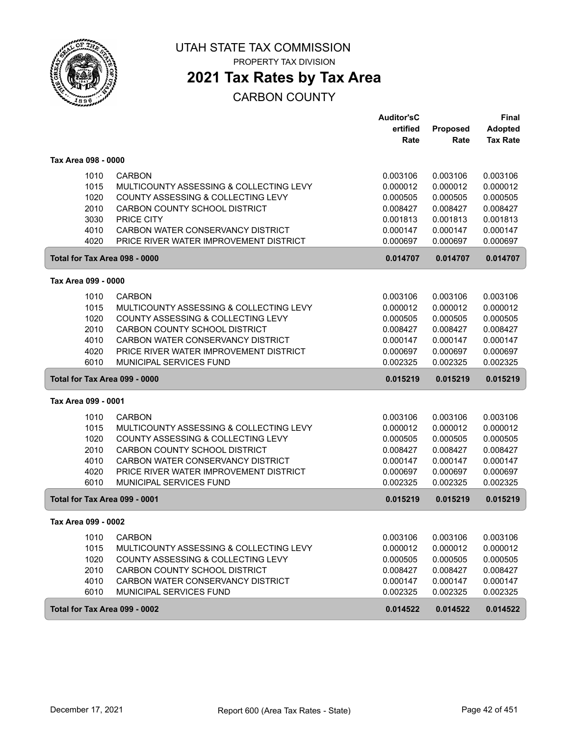

PROPERTY TAX DIVISION

### **2021 Tax Rates by Tax Area**

|                               |                                         | <b>Auditor'sC</b> |          | <b>Final</b>    |
|-------------------------------|-----------------------------------------|-------------------|----------|-----------------|
|                               |                                         | ertified          | Proposed | <b>Adopted</b>  |
|                               |                                         | Rate              | Rate     | <b>Tax Rate</b> |
| Tax Area 098 - 0000           |                                         |                   |          |                 |
| 1010                          | <b>CARBON</b>                           | 0.003106          | 0.003106 | 0.003106        |
| 1015                          | MULTICOUNTY ASSESSING & COLLECTING LEVY | 0.000012          | 0.000012 | 0.000012        |
| 1020                          | COUNTY ASSESSING & COLLECTING LEVY      | 0.000505          | 0.000505 | 0.000505        |
| 2010                          | CARBON COUNTY SCHOOL DISTRICT           | 0.008427          | 0.008427 | 0.008427        |
| 3030                          | PRICE CITY                              | 0.001813          | 0.001813 | 0.001813        |
| 4010                          | CARBON WATER CONSERVANCY DISTRICT       | 0.000147          | 0.000147 | 0.000147        |
| 4020                          | PRICE RIVER WATER IMPROVEMENT DISTRICT  | 0.000697          | 0.000697 | 0.000697        |
| Total for Tax Area 098 - 0000 |                                         | 0.014707          | 0.014707 | 0.014707        |
| Tax Area 099 - 0000           |                                         |                   |          |                 |
| 1010                          | <b>CARBON</b>                           | 0.003106          | 0.003106 | 0.003106        |
| 1015                          | MULTICOUNTY ASSESSING & COLLECTING LEVY | 0.000012          | 0.000012 | 0.000012        |
| 1020                          | COUNTY ASSESSING & COLLECTING LEVY      | 0.000505          | 0.000505 | 0.000505        |
| 2010                          | CARBON COUNTY SCHOOL DISTRICT           | 0.008427          | 0.008427 | 0.008427        |
| 4010                          | CARBON WATER CONSERVANCY DISTRICT       | 0.000147          | 0.000147 | 0.000147        |
| 4020                          | PRICE RIVER WATER IMPROVEMENT DISTRICT  | 0.000697          | 0.000697 | 0.000697        |
| 6010                          | MUNICIPAL SERVICES FUND                 | 0.002325          | 0.002325 | 0.002325        |
|                               |                                         |                   |          |                 |
| Total for Tax Area 099 - 0000 |                                         | 0.015219          | 0.015219 | 0.015219        |
| Tax Area 099 - 0001           |                                         |                   |          |                 |
| 1010                          | <b>CARBON</b>                           | 0.003106          | 0.003106 | 0.003106        |
| 1015                          | MULTICOUNTY ASSESSING & COLLECTING LEVY | 0.000012          | 0.000012 | 0.000012        |
| 1020                          | COUNTY ASSESSING & COLLECTING LEVY      | 0.000505          | 0.000505 | 0.000505        |
| 2010                          | CARBON COUNTY SCHOOL DISTRICT           | 0.008427          | 0.008427 | 0.008427        |
| 4010                          | CARBON WATER CONSERVANCY DISTRICT       | 0.000147          | 0.000147 | 0.000147        |
| 4020                          | PRICE RIVER WATER IMPROVEMENT DISTRICT  | 0.000697          | 0.000697 | 0.000697        |
| 6010                          | MUNICIPAL SERVICES FUND                 | 0.002325          | 0.002325 | 0.002325        |
| Total for Tax Area 099 - 0001 |                                         | 0.015219          | 0.015219 | 0.015219        |
| Tax Area 099 - 0002           |                                         |                   |          |                 |
| 1010                          | <b>CARBON</b>                           | 0.003106          | 0.003106 | 0.003106        |
| 1015                          | MULTICOUNTY ASSESSING & COLLECTING LEVY | 0.000012          | 0.000012 | 0.000012        |
| 1020                          | COUNTY ASSESSING & COLLECTING LEVY      | 0.000505          | 0.000505 | 0.000505        |
| 2010                          | CARBON COUNTY SCHOOL DISTRICT           | 0.008427          | 0.008427 | 0.008427        |
| 4010                          | CARBON WATER CONSERVANCY DISTRICT       | 0.000147          | 0.000147 | 0.000147        |
| 6010                          | MUNICIPAL SERVICES FUND                 | 0.002325          | 0.002325 | 0.002325        |
| Total for Tax Area 099 - 0002 |                                         | 0.014522          | 0.014522 | 0.014522        |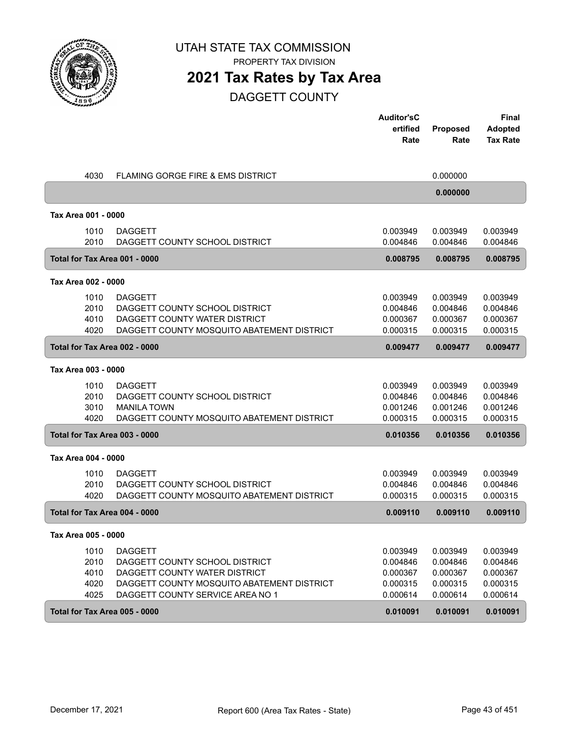

PROPERTY TAX DIVISION

#### **2021 Tax Rates by Tax Area**

DAGGETT COUNTY

|                                      |                                                                                                                                                                     | <b>Auditor'sC</b><br>ertified<br>Rate                    | <b>Proposed</b><br>Rate                                  | Final<br><b>Adopted</b><br><b>Tax Rate</b>               |
|--------------------------------------|---------------------------------------------------------------------------------------------------------------------------------------------------------------------|----------------------------------------------------------|----------------------------------------------------------|----------------------------------------------------------|
|                                      |                                                                                                                                                                     |                                                          |                                                          |                                                          |
| 4030                                 | FLAMING GORGE FIRE & EMS DISTRICT                                                                                                                                   |                                                          | 0.000000                                                 |                                                          |
|                                      |                                                                                                                                                                     |                                                          | 0.000000                                                 |                                                          |
| Tax Area 001 - 0000                  |                                                                                                                                                                     |                                                          |                                                          |                                                          |
| 1010<br>2010                         | <b>DAGGETT</b><br>DAGGETT COUNTY SCHOOL DISTRICT                                                                                                                    | 0.003949<br>0.004846                                     | 0.003949<br>0.004846                                     | 0.003949<br>0.004846                                     |
| Total for Tax Area 001 - 0000        |                                                                                                                                                                     | 0.008795                                                 | 0.008795                                                 | 0.008795                                                 |
| Tax Area 002 - 0000                  |                                                                                                                                                                     |                                                          |                                                          |                                                          |
| 1010<br>2010<br>4010<br>4020         | <b>DAGGETT</b><br>DAGGETT COUNTY SCHOOL DISTRICT<br>DAGGETT COUNTY WATER DISTRICT<br>DAGGETT COUNTY MOSQUITO ABATEMENT DISTRICT                                     | 0.003949<br>0.004846<br>0.000367<br>0.000315             | 0.003949<br>0.004846<br>0.000367<br>0.000315             | 0.003949<br>0.004846<br>0.000367<br>0.000315             |
| Total for Tax Area 002 - 0000        |                                                                                                                                                                     | 0.009477                                                 | 0.009477                                                 | 0.009477                                                 |
| Tax Area 003 - 0000                  |                                                                                                                                                                     |                                                          |                                                          |                                                          |
| 1010<br>2010<br>3010<br>4020         | <b>DAGGETT</b><br>DAGGETT COUNTY SCHOOL DISTRICT<br><b>MANILA TOWN</b><br>DAGGETT COUNTY MOSQUITO ABATEMENT DISTRICT                                                | 0.003949<br>0.004846<br>0.001246<br>0.000315             | 0.003949<br>0.004846<br>0.001246<br>0.000315             | 0.003949<br>0.004846<br>0.001246<br>0.000315             |
| Total for Tax Area 003 - 0000        |                                                                                                                                                                     | 0.010356                                                 | 0.010356                                                 | 0.010356                                                 |
| Tax Area 004 - 0000                  |                                                                                                                                                                     |                                                          |                                                          |                                                          |
| 1010<br>2010<br>4020                 | <b>DAGGETT</b><br>DAGGETT COUNTY SCHOOL DISTRICT<br>DAGGETT COUNTY MOSQUITO ABATEMENT DISTRICT                                                                      | 0.003949<br>0.004846<br>0.000315                         | 0.003949<br>0.004846<br>0.000315                         | 0.003949<br>0.004846<br>0.000315                         |
| Total for Tax Area 004 - 0000        |                                                                                                                                                                     | 0.009110                                                 | 0.009110                                                 | 0.009110                                                 |
| Tax Area 005 - 0000                  |                                                                                                                                                                     |                                                          |                                                          |                                                          |
| 1010<br>2010<br>4010<br>4020<br>4025 | <b>DAGGETT</b><br>DAGGETT COUNTY SCHOOL DISTRICT<br>DAGGETT COUNTY WATER DISTRICT<br>DAGGETT COUNTY MOSQUITO ABATEMENT DISTRICT<br>DAGGETT COUNTY SERVICE AREA NO 1 | 0.003949<br>0.004846<br>0.000367<br>0.000315<br>0.000614 | 0.003949<br>0.004846<br>0.000367<br>0.000315<br>0.000614 | 0.003949<br>0.004846<br>0.000367<br>0.000315<br>0.000614 |
| Total for Tax Area 005 - 0000        |                                                                                                                                                                     | 0.010091                                                 | 0.010091                                                 | 0.010091                                                 |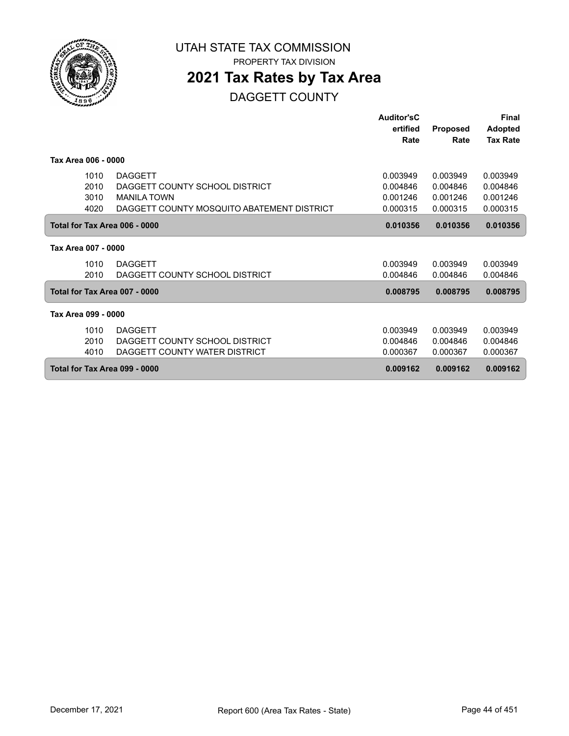

PROPERTY TAX DIVISION

### **2021 Tax Rates by Tax Area**

DAGGETT COUNTY

|                               |                                            | Auditor'sC |                 | <b>Final</b>    |
|-------------------------------|--------------------------------------------|------------|-----------------|-----------------|
|                               |                                            | ertified   | <b>Proposed</b> | <b>Adopted</b>  |
|                               |                                            | Rate       | Rate            | <b>Tax Rate</b> |
| Tax Area 006 - 0000           |                                            |            |                 |                 |
| 1010                          | <b>DAGGETT</b>                             | 0.003949   | 0.003949        | 0.003949        |
| 2010                          | DAGGETT COUNTY SCHOOL DISTRICT             | 0.004846   | 0.004846        | 0.004846        |
| 3010                          | <b>MANILA TOWN</b>                         | 0.001246   | 0.001246        | 0.001246        |
| 4020                          | DAGGETT COUNTY MOSQUITO ABATEMENT DISTRICT | 0.000315   | 0.000315        | 0.000315        |
| Total for Tax Area 006 - 0000 |                                            | 0.010356   | 0.010356        | 0.010356        |
| Tax Area 007 - 0000           |                                            |            |                 |                 |
| 1010                          | <b>DAGGETT</b>                             | 0.003949   | 0.003949        | 0.003949        |
| 2010                          | DAGGETT COUNTY SCHOOL DISTRICT             | 0.004846   | 0.004846        | 0.004846        |
| Total for Tax Area 007 - 0000 |                                            | 0.008795   | 0.008795        | 0.008795        |
| Tax Area 099 - 0000           |                                            |            |                 |                 |
| 1010                          | <b>DAGGETT</b>                             | 0.003949   | 0.003949        | 0.003949        |
| 2010                          | DAGGETT COUNTY SCHOOL DISTRICT             | 0.004846   | 0.004846        | 0.004846        |
| 4010                          | DAGGETT COUNTY WATER DISTRICT              | 0.000367   | 0.000367        | 0.000367        |
| Total for Tax Area 099 - 0000 |                                            | 0.009162   | 0.009162        | 0.009162        |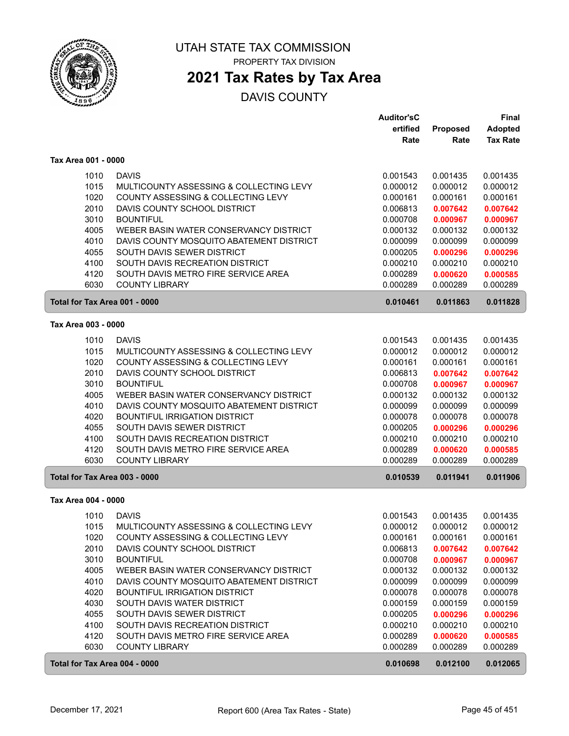

PROPERTY TAX DIVISION

#### **2021 Tax Rates by Tax Area**

|                               |                                          | <b>Auditor'sC</b> |          | Final           |
|-------------------------------|------------------------------------------|-------------------|----------|-----------------|
|                               |                                          | ertified          | Proposed | <b>Adopted</b>  |
|                               |                                          | Rate              | Rate     | <b>Tax Rate</b> |
| Tax Area 001 - 0000           |                                          |                   |          |                 |
| 1010                          | <b>DAVIS</b>                             | 0.001543          | 0.001435 | 0.001435        |
| 1015                          | MULTICOUNTY ASSESSING & COLLECTING LEVY  | 0.000012          | 0.000012 | 0.000012        |
| 1020                          | COUNTY ASSESSING & COLLECTING LEVY       | 0.000161          | 0.000161 | 0.000161        |
| 2010                          | DAVIS COUNTY SCHOOL DISTRICT             | 0.006813          | 0.007642 | 0.007642        |
| 3010                          | <b>BOUNTIFUL</b>                         | 0.000708          | 0.000967 | 0.000967        |
| 4005                          | WEBER BASIN WATER CONSERVANCY DISTRICT   | 0.000132          | 0.000132 | 0.000132        |
| 4010                          | DAVIS COUNTY MOSQUITO ABATEMENT DISTRICT | 0.000099          | 0.000099 | 0.000099        |
| 4055                          | SOUTH DAVIS SEWER DISTRICT               | 0.000205          | 0.000296 | 0.000296        |
| 4100                          | SOUTH DAVIS RECREATION DISTRICT          | 0.000210          | 0.000210 | 0.000210        |
| 4120                          | SOUTH DAVIS METRO FIRE SERVICE AREA      | 0.000289          | 0.000620 | 0.000585        |
| 6030                          | <b>COUNTY LIBRARY</b>                    | 0.000289          | 0.000289 | 0.000289        |
|                               |                                          |                   |          |                 |
| Total for Tax Area 001 - 0000 |                                          | 0.010461          | 0.011863 | 0.011828        |
| Tax Area 003 - 0000           |                                          |                   |          |                 |
| 1010                          | <b>DAVIS</b>                             | 0.001543          | 0.001435 | 0.001435        |
| 1015                          | MULTICOUNTY ASSESSING & COLLECTING LEVY  | 0.000012          | 0.000012 | 0.000012        |
| 1020                          | COUNTY ASSESSING & COLLECTING LEVY       | 0.000161          | 0.000161 | 0.000161        |
| 2010                          | DAVIS COUNTY SCHOOL DISTRICT             | 0.006813          | 0.007642 | 0.007642        |
| 3010                          | <b>BOUNTIFUL</b>                         | 0.000708          | 0.000967 | 0.000967        |
| 4005                          | WEBER BASIN WATER CONSERVANCY DISTRICT   | 0.000132          | 0.000132 | 0.000132        |
| 4010                          | DAVIS COUNTY MOSQUITO ABATEMENT DISTRICT | 0.000099          | 0.000099 | 0.000099        |
| 4020                          | <b>BOUNTIFUL IRRIGATION DISTRICT</b>     | 0.000078          | 0.000078 | 0.000078        |
| 4055                          | SOUTH DAVIS SEWER DISTRICT               | 0.000205          | 0.000296 | 0.000296        |
| 4100                          | SOUTH DAVIS RECREATION DISTRICT          | 0.000210          | 0.000210 | 0.000210        |
| 4120                          | SOUTH DAVIS METRO FIRE SERVICE AREA      | 0.000289          | 0.000620 | 0.000585        |
| 6030                          | <b>COUNTY LIBRARY</b>                    | 0.000289          | 0.000289 | 0.000289        |
| Total for Tax Area 003 - 0000 |                                          | 0.010539          | 0.011941 | 0.011906        |
| Tax Area 004 - 0000           |                                          |                   |          |                 |
| 1010                          | <b>DAVIS</b>                             | 0.001543          | 0.001435 | 0.001435        |
| 1015                          | MULTICOUNTY ASSESSING & COLLECTING LEVY  | 0.000012          | 0.000012 | 0.000012        |
| 1020                          | COUNTY ASSESSING & COLLECTING LEVY       | 0.000161          | 0.000161 | 0.000161        |
| 2010                          | DAVIS COUNTY SCHOOL DISTRICT             | 0.006813          | 0.007642 | 0.007642        |
| 3010                          | <b>BOUNTIFUL</b>                         | 0.000708          | 0.000967 | 0.000967        |
| 4005                          | WEBER BASIN WATER CONSERVANCY DISTRICT   | 0.000132          | 0.000132 | 0.000132        |
| 4010                          | DAVIS COUNTY MOSQUITO ABATEMENT DISTRICT | 0.000099          | 0.000099 | 0.000099        |
| 4020                          | <b>BOUNTIFUL IRRIGATION DISTRICT</b>     | 0.000078          | 0.000078 | 0.000078        |
| 4030                          | SOUTH DAVIS WATER DISTRICT               | 0.000159          | 0.000159 | 0.000159        |
| 4055                          | SOUTH DAVIS SEWER DISTRICT               | 0.000205          | 0.000296 | 0.000296        |
| 4100                          | SOUTH DAVIS RECREATION DISTRICT          | 0.000210          | 0.000210 | 0.000210        |
| 4120                          | SOUTH DAVIS METRO FIRE SERVICE AREA      | 0.000289          | 0.000620 | 0.000585        |
| 6030                          | <b>COUNTY LIBRARY</b>                    | 0.000289          | 0.000289 | 0.000289        |
| Total for Tax Area 004 - 0000 |                                          | 0.010698          | 0.012100 | 0.012065        |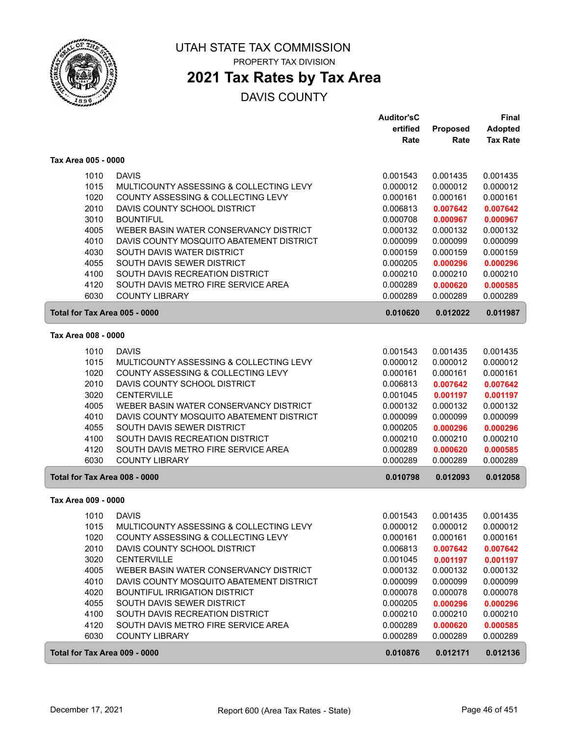

# **2021 Tax Rates by Tax Area**

|                               |                                          | <b>Auditor'sC</b> |          | <b>Final</b>    |
|-------------------------------|------------------------------------------|-------------------|----------|-----------------|
|                               |                                          | ertified          | Proposed | <b>Adopted</b>  |
|                               |                                          | Rate              | Rate     | <b>Tax Rate</b> |
| Tax Area 005 - 0000           |                                          |                   |          |                 |
| 1010                          | <b>DAVIS</b>                             | 0.001543          | 0.001435 | 0.001435        |
| 1015                          | MULTICOUNTY ASSESSING & COLLECTING LEVY  | 0.000012          | 0.000012 | 0.000012        |
| 1020                          | COUNTY ASSESSING & COLLECTING LEVY       | 0.000161          | 0.000161 | 0.000161        |
| 2010                          | DAVIS COUNTY SCHOOL DISTRICT             | 0.006813          | 0.007642 | 0.007642        |
| 3010                          | <b>BOUNTIFUL</b>                         | 0.000708          | 0.000967 | 0.000967        |
| 4005                          | WEBER BASIN WATER CONSERVANCY DISTRICT   | 0.000132          | 0.000132 | 0.000132        |
| 4010                          | DAVIS COUNTY MOSQUITO ABATEMENT DISTRICT | 0.000099          | 0.000099 | 0.000099        |
| 4030                          | SOUTH DAVIS WATER DISTRICT               | 0.000159          | 0.000159 | 0.000159        |
| 4055                          | SOUTH DAVIS SEWER DISTRICT               | 0.000205          | 0.000296 | 0.000296        |
| 4100                          | SOUTH DAVIS RECREATION DISTRICT          | 0.000210          | 0.000210 | 0.000210        |
| 4120                          | SOUTH DAVIS METRO FIRE SERVICE AREA      | 0.000289          | 0.000620 | 0.000585        |
| 6030                          | <b>COUNTY LIBRARY</b>                    | 0.000289          | 0.000289 | 0.000289        |
| Total for Tax Area 005 - 0000 |                                          | 0.010620          | 0.012022 | 0.011987        |
|                               |                                          |                   |          |                 |
| Tax Area 008 - 0000           |                                          |                   |          |                 |
| 1010                          | <b>DAVIS</b>                             | 0.001543          | 0.001435 | 0.001435        |
| 1015                          | MULTICOUNTY ASSESSING & COLLECTING LEVY  | 0.000012          | 0.000012 | 0.000012        |
| 1020                          | COUNTY ASSESSING & COLLECTING LEVY       | 0.000161          | 0.000161 | 0.000161        |
| 2010                          | DAVIS COUNTY SCHOOL DISTRICT             | 0.006813          | 0.007642 | 0.007642        |
| 3020                          | <b>CENTERVILLE</b>                       | 0.001045          | 0.001197 | 0.001197        |
| 4005                          | WEBER BASIN WATER CONSERVANCY DISTRICT   | 0.000132          | 0.000132 | 0.000132        |
| 4010                          | DAVIS COUNTY MOSQUITO ABATEMENT DISTRICT | 0.000099          | 0.000099 | 0.000099        |
| 4055                          | SOUTH DAVIS SEWER DISTRICT               | 0.000205          | 0.000296 | 0.000296        |
| 4100                          | SOUTH DAVIS RECREATION DISTRICT          | 0.000210          | 0.000210 | 0.000210        |
| 4120                          | SOUTH DAVIS METRO FIRE SERVICE AREA      | 0.000289          | 0.000620 | 0.000585        |
| 6030                          | <b>COUNTY LIBRARY</b>                    | 0.000289          | 0.000289 | 0.000289        |
| Total for Tax Area 008 - 0000 |                                          | 0.010798          | 0.012093 | 0.012058        |
| Tax Area 009 - 0000           |                                          |                   |          |                 |
| 1010                          | <b>DAVIS</b>                             | 0.001543          | 0.001435 | 0.001435        |
| 1015                          | MULTICOUNTY ASSESSING & COLLECTING LEVY  | 0.000012          | 0.000012 | 0.000012        |
| 1020                          | COUNTY ASSESSING & COLLECTING LEVY       | 0.000161          | 0.000161 | 0.000161        |
| 2010                          | DAVIS COUNTY SCHOOL DISTRICT             | 0.006813          | 0.007642 | 0.007642        |
| 3020                          | <b>CENTERVILLE</b>                       | 0.001045          | 0.001197 | 0.001197        |
| 4005                          | WEBER BASIN WATER CONSERVANCY DISTRICT   | 0.000132          | 0.000132 | 0.000132        |
| 4010                          | DAVIS COUNTY MOSQUITO ABATEMENT DISTRICT | 0.000099          | 0.000099 | 0.000099        |
| 4020                          | <b>BOUNTIFUL IRRIGATION DISTRICT</b>     | 0.000078          | 0.000078 | 0.000078        |
| 4055                          | SOUTH DAVIS SEWER DISTRICT               | 0.000205          | 0.000296 | 0.000296        |
| 4100                          | SOUTH DAVIS RECREATION DISTRICT          | 0.000210          | 0.000210 | 0.000210        |
| 4120                          | SOUTH DAVIS METRO FIRE SERVICE AREA      | 0.000289          | 0.000620 | 0.000585        |
| 6030                          | <b>COUNTY LIBRARY</b>                    | 0.000289          | 0.000289 | 0.000289        |
| Total for Tax Area 009 - 0000 |                                          | 0.010876          | 0.012171 | 0.012136        |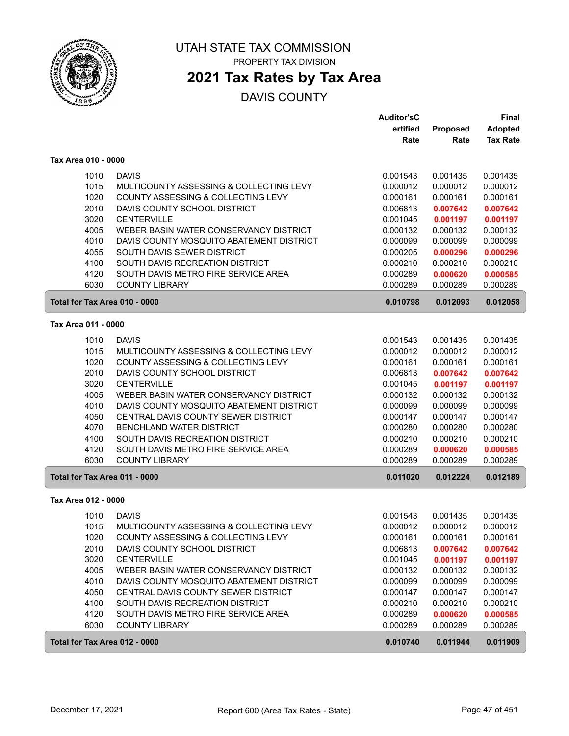

PROPERTY TAX DIVISION

# **2021 Tax Rates by Tax Area**

|                               |                                          | <b>Auditor'sC</b> |          | Final           |
|-------------------------------|------------------------------------------|-------------------|----------|-----------------|
|                               |                                          | ertified          | Proposed | <b>Adopted</b>  |
|                               |                                          | Rate              | Rate     | <b>Tax Rate</b> |
| Tax Area 010 - 0000           |                                          |                   |          |                 |
| 1010                          | <b>DAVIS</b>                             | 0.001543          | 0.001435 | 0.001435        |
| 1015                          | MULTICOUNTY ASSESSING & COLLECTING LEVY  | 0.000012          | 0.000012 | 0.000012        |
| 1020                          | COUNTY ASSESSING & COLLECTING LEVY       | 0.000161          | 0.000161 | 0.000161        |
| 2010                          | DAVIS COUNTY SCHOOL DISTRICT             | 0.006813          | 0.007642 | 0.007642        |
| 3020                          | <b>CENTERVILLE</b>                       | 0.001045          | 0.001197 | 0.001197        |
| 4005                          | WEBER BASIN WATER CONSERVANCY DISTRICT   | 0.000132          | 0.000132 | 0.000132        |
| 4010                          | DAVIS COUNTY MOSQUITO ABATEMENT DISTRICT | 0.000099          | 0.000099 | 0.000099        |
| 4055                          | SOUTH DAVIS SEWER DISTRICT               | 0.000205          | 0.000296 | 0.000296        |
| 4100                          | SOUTH DAVIS RECREATION DISTRICT          | 0.000210          | 0.000210 | 0.000210        |
| 4120                          | SOUTH DAVIS METRO FIRE SERVICE AREA      | 0.000289          | 0.000620 | 0.000585        |
| 6030                          | <b>COUNTY LIBRARY</b>                    | 0.000289          | 0.000289 | 0.000289        |
| Total for Tax Area 010 - 0000 |                                          | 0.010798          | 0.012093 | 0.012058        |
| Tax Area 011 - 0000           |                                          |                   |          |                 |
| 1010                          | <b>DAVIS</b>                             | 0.001543          | 0.001435 | 0.001435        |
| 1015                          | MULTICOUNTY ASSESSING & COLLECTING LEVY  | 0.000012          | 0.000012 | 0.000012        |
| 1020                          | COUNTY ASSESSING & COLLECTING LEVY       | 0.000161          | 0.000161 | 0.000161        |
| 2010                          | DAVIS COUNTY SCHOOL DISTRICT             | 0.006813          | 0.007642 | 0.007642        |
| 3020                          | <b>CENTERVILLE</b>                       | 0.001045          | 0.001197 | 0.001197        |
| 4005                          | WEBER BASIN WATER CONSERVANCY DISTRICT   | 0.000132          | 0.000132 | 0.000132        |
| 4010                          | DAVIS COUNTY MOSQUITO ABATEMENT DISTRICT | 0.000099          | 0.000099 | 0.000099        |
| 4050                          | CENTRAL DAVIS COUNTY SEWER DISTRICT      | 0.000147          | 0.000147 | 0.000147        |
| 4070                          | BENCHLAND WATER DISTRICT                 | 0.000280          | 0.000280 | 0.000280        |
| 4100                          | SOUTH DAVIS RECREATION DISTRICT          | 0.000210          | 0.000210 | 0.000210        |
| 4120                          | SOUTH DAVIS METRO FIRE SERVICE AREA      | 0.000289          | 0.000620 | 0.000585        |
| 6030                          | <b>COUNTY LIBRARY</b>                    | 0.000289          | 0.000289 | 0.000289        |
| Total for Tax Area 011 - 0000 |                                          | 0.011020          | 0.012224 | 0.012189        |
| Tax Area 012 - 0000           |                                          |                   |          |                 |
| 1010                          | <b>DAVIS</b>                             | 0.001543          | 0.001435 | 0.001435        |
| 1015                          | MULTICOUNTY ASSESSING & COLLECTING LEVY  | 0.000012          | 0.000012 | 0.000012        |
| 1020                          | COUNTY ASSESSING & COLLECTING LEVY       | 0.000161          | 0.000161 | 0.000161        |
| 2010                          | DAVIS COUNTY SCHOOL DISTRICT             | 0.006813          | 0.007642 | 0.007642        |
| 3020                          | <b>CENTERVILLE</b>                       | 0.001045          | 0.001197 | 0.001197        |
| 4005                          | WEBER BASIN WATER CONSERVANCY DISTRICT   | 0.000132          | 0.000132 | 0.000132        |
| 4010                          | DAVIS COUNTY MOSQUITO ABATEMENT DISTRICT | 0.000099          | 0.000099 | 0.000099        |
| 4050                          | CENTRAL DAVIS COUNTY SEWER DISTRICT      | 0.000147          | 0.000147 | 0.000147        |
| 4100                          | SOUTH DAVIS RECREATION DISTRICT          | 0.000210          | 0.000210 | 0.000210        |
| 4120                          | SOUTH DAVIS METRO FIRE SERVICE AREA      | 0.000289          | 0.000620 | 0.000585        |
| 6030                          | <b>COUNTY LIBRARY</b>                    | 0.000289          | 0.000289 | 0.000289        |
| Total for Tax Area 012 - 0000 |                                          | 0.010740          | 0.011944 | 0.011909        |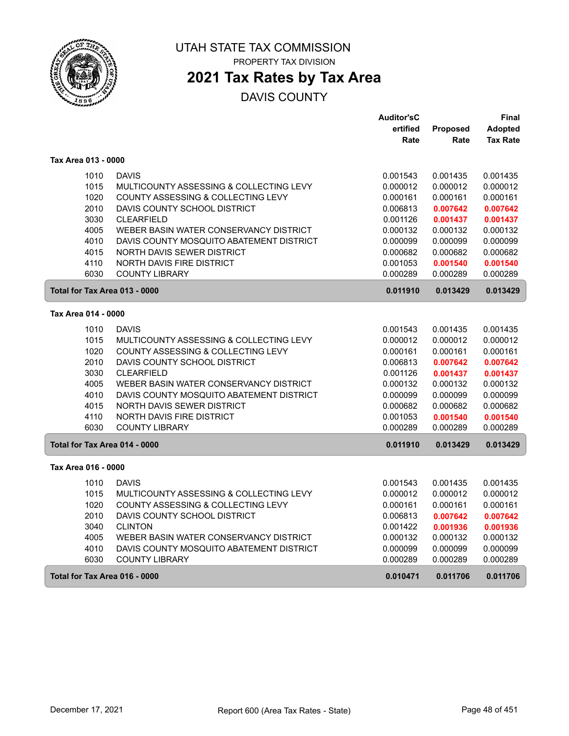

PROPERTY TAX DIVISION

# **2021 Tax Rates by Tax Area**

|                               |                                          | <b>Auditor'sC</b> |          | Final           |
|-------------------------------|------------------------------------------|-------------------|----------|-----------------|
|                               |                                          | ertified          | Proposed | <b>Adopted</b>  |
|                               |                                          | Rate              | Rate     | <b>Tax Rate</b> |
| Tax Area 013 - 0000           |                                          |                   |          |                 |
| 1010                          | <b>DAVIS</b>                             | 0.001543          | 0.001435 | 0.001435        |
| 1015                          | MULTICOUNTY ASSESSING & COLLECTING LEVY  | 0.000012          | 0.000012 | 0.000012        |
| 1020                          | COUNTY ASSESSING & COLLECTING LEVY       | 0.000161          | 0.000161 | 0.000161        |
| 2010                          | DAVIS COUNTY SCHOOL DISTRICT             | 0.006813          | 0.007642 | 0.007642        |
| 3030                          | <b>CLEARFIELD</b>                        | 0.001126          | 0.001437 | 0.001437        |
| 4005                          | WEBER BASIN WATER CONSERVANCY DISTRICT   | 0.000132          | 0.000132 | 0.000132        |
| 4010                          | DAVIS COUNTY MOSQUITO ABATEMENT DISTRICT | 0.000099          | 0.000099 | 0.000099        |
| 4015                          | NORTH DAVIS SEWER DISTRICT               | 0.000682          | 0.000682 | 0.000682        |
| 4110                          | NORTH DAVIS FIRE DISTRICT                | 0.001053          | 0.001540 | 0.001540        |
| 6030                          | <b>COUNTY LIBRARY</b>                    | 0.000289          | 0.000289 | 0.000289        |
| Total for Tax Area 013 - 0000 |                                          | 0.011910          | 0.013429 | 0.013429        |
| Tax Area 014 - 0000           |                                          |                   |          |                 |
| 1010                          | <b>DAVIS</b>                             | 0.001543          | 0.001435 | 0.001435        |
| 1015                          | MULTICOUNTY ASSESSING & COLLECTING LEVY  | 0.000012          | 0.000012 | 0.000012        |
| 1020                          | COUNTY ASSESSING & COLLECTING LEVY       | 0.000161          | 0.000161 | 0.000161        |
| 2010                          | DAVIS COUNTY SCHOOL DISTRICT             | 0.006813          | 0.007642 | 0.007642        |
| 3030                          | <b>CLEARFIELD</b>                        | 0.001126          | 0.001437 | 0.001437        |
| 4005                          | WEBER BASIN WATER CONSERVANCY DISTRICT   | 0.000132          | 0.000132 | 0.000132        |
| 4010                          | DAVIS COUNTY MOSQUITO ABATEMENT DISTRICT | 0.000099          | 0.000099 | 0.000099        |
| 4015                          | NORTH DAVIS SEWER DISTRICT               | 0.000682          | 0.000682 | 0.000682        |
| 4110                          | NORTH DAVIS FIRE DISTRICT                | 0.001053          | 0.001540 | 0.001540        |
| 6030                          | <b>COUNTY LIBRARY</b>                    | 0.000289          | 0.000289 | 0.000289        |
| Total for Tax Area 014 - 0000 |                                          | 0.011910          | 0.013429 | 0.013429        |
| Tax Area 016 - 0000           |                                          |                   |          |                 |
| 1010                          | <b>DAVIS</b>                             | 0.001543          | 0.001435 | 0.001435        |
| 1015                          | MULTICOUNTY ASSESSING & COLLECTING LEVY  | 0.000012          | 0.000012 | 0.000012        |
| 1020                          | COUNTY ASSESSING & COLLECTING LEVY       | 0.000161          | 0.000161 | 0.000161        |
| 2010                          | DAVIS COUNTY SCHOOL DISTRICT             | 0.006813          | 0.007642 | 0.007642        |
| 3040                          | <b>CLINTON</b>                           | 0.001422          | 0.001936 | 0.001936        |
| 4005                          | WEBER BASIN WATER CONSERVANCY DISTRICT   | 0.000132          | 0.000132 | 0.000132        |
| 4010                          | DAVIS COUNTY MOSQUITO ABATEMENT DISTRICT | 0.000099          | 0.000099 | 0.000099        |
| 6030                          | <b>COUNTY LIBRARY</b>                    | 0.000289          | 0.000289 | 0.000289        |
| Total for Tax Area 016 - 0000 |                                          | 0.010471          | 0.011706 | 0.011706        |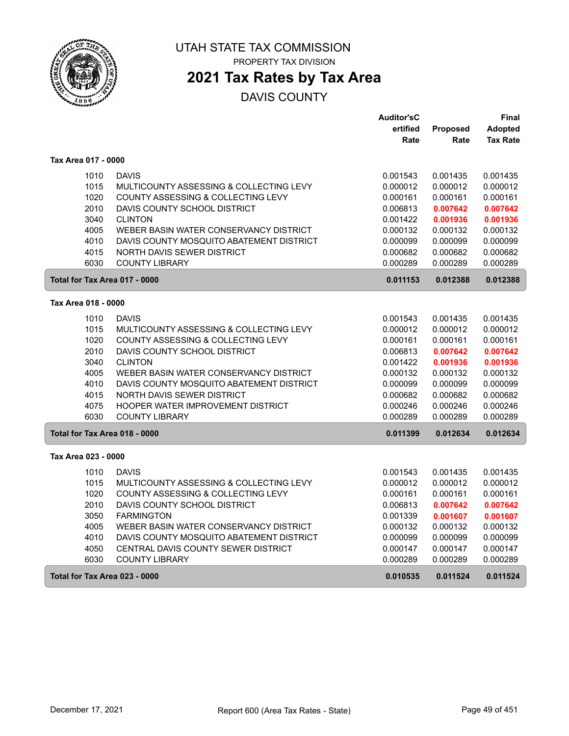

PROPERTY TAX DIVISION

### **2021 Tax Rates by Tax Area**

|                               |                                                         | <b>Auditor'sC</b>    |                      | Final                |
|-------------------------------|---------------------------------------------------------|----------------------|----------------------|----------------------|
|                               |                                                         | ertified             | Proposed             | <b>Adopted</b>       |
|                               |                                                         | Rate                 | Rate                 | <b>Tax Rate</b>      |
| Tax Area 017 - 0000           |                                                         |                      |                      |                      |
| 1010                          | <b>DAVIS</b>                                            | 0.001543             | 0.001435             | 0.001435             |
| 1015                          | MULTICOUNTY ASSESSING & COLLECTING LEVY                 | 0.000012             | 0.000012             | 0.000012             |
| 1020                          | COUNTY ASSESSING & COLLECTING LEVY                      | 0.000161             | 0.000161             | 0.000161             |
| 2010                          | DAVIS COUNTY SCHOOL DISTRICT                            | 0.006813             | 0.007642             | 0.007642             |
| 3040                          | <b>CLINTON</b>                                          | 0.001422             | 0.001936             | 0.001936             |
| 4005                          | WEBER BASIN WATER CONSERVANCY DISTRICT                  | 0.000132             | 0.000132             | 0.000132             |
| 4010                          | DAVIS COUNTY MOSQUITO ABATEMENT DISTRICT                | 0.000099             | 0.000099             | 0.000099             |
| 4015                          | <b>NORTH DAVIS SEWER DISTRICT</b>                       | 0.000682             | 0.000682             | 0.000682             |
| 6030                          | <b>COUNTY LIBRARY</b>                                   | 0.000289             | 0.000289             | 0.000289             |
| Total for Tax Area 017 - 0000 |                                                         | 0.011153             | 0.012388             | 0.012388             |
| Tax Area 018 - 0000           |                                                         |                      |                      |                      |
| 1010                          | <b>DAVIS</b>                                            | 0.001543             | 0.001435             | 0.001435             |
| 1015                          | MULTICOUNTY ASSESSING & COLLECTING LEVY                 | 0.000012             | 0.000012             | 0.000012             |
| 1020                          | COUNTY ASSESSING & COLLECTING LEVY                      | 0.000161             | 0.000161             | 0.000161             |
| 2010                          | DAVIS COUNTY SCHOOL DISTRICT                            | 0.006813             | 0.007642             | 0.007642             |
| 3040                          | <b>CLINTON</b>                                          | 0.001422             | 0.001936             | 0.001936             |
| 4005                          | WEBER BASIN WATER CONSERVANCY DISTRICT                  | 0.000132             | 0.000132             | 0.000132             |
| 4010                          | DAVIS COUNTY MOSQUITO ABATEMENT DISTRICT                | 0.000099             | 0.000099             | 0.000099             |
| 4015                          | <b>NORTH DAVIS SEWER DISTRICT</b>                       | 0.000682             | 0.000682             | 0.000682             |
| 4075                          | HOOPER WATER IMPROVEMENT DISTRICT                       | 0.000246             | 0.000246             | 0.000246             |
| 6030                          | <b>COUNTY LIBRARY</b>                                   | 0.000289             | 0.000289             | 0.000289             |
| Total for Tax Area 018 - 0000 |                                                         | 0.011399             | 0.012634             | 0.012634             |
| Tax Area 023 - 0000           |                                                         |                      |                      |                      |
|                               |                                                         |                      |                      |                      |
| 1010<br>1015                  | <b>DAVIS</b><br>MULTICOUNTY ASSESSING & COLLECTING LEVY | 0.001543<br>0.000012 | 0.001435<br>0.000012 | 0.001435<br>0.000012 |
| 1020                          | COUNTY ASSESSING & COLLECTING LEVY                      | 0.000161             | 0.000161             | 0.000161             |
| 2010                          | DAVIS COUNTY SCHOOL DISTRICT                            | 0.006813             | 0.007642             | 0.007642             |
| 3050                          | <b>FARMINGTON</b>                                       | 0.001339             | 0.001607             | 0.001607             |
| 4005                          | WEBER BASIN WATER CONSERVANCY DISTRICT                  | 0.000132             | 0.000132             | 0.000132             |
| 4010                          | DAVIS COUNTY MOSQUITO ABATEMENT DISTRICT                | 0.000099             | 0.000099             | 0.000099             |
| 4050                          | CENTRAL DAVIS COUNTY SEWER DISTRICT                     | 0.000147             | 0.000147             | 0.000147             |
| 6030                          | <b>COUNTY LIBRARY</b>                                   | 0.000289             | 0.000289             | 0.000289             |
|                               |                                                         |                      |                      |                      |
| Total for Tax Area 023 - 0000 |                                                         | 0.010535             | 0.011524             | 0.011524             |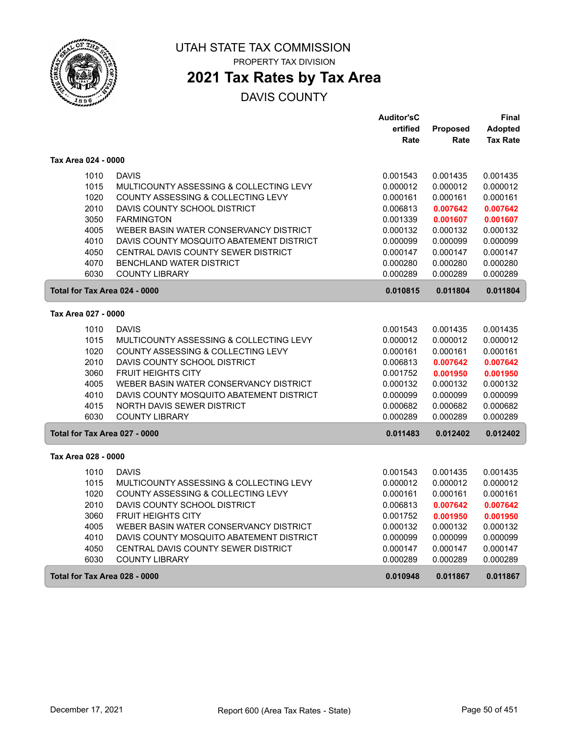

PROPERTY TAX DIVISION

### **2021 Tax Rates by Tax Area**

|                               |                                          | <b>Auditor'sC</b> |                 | Final           |
|-------------------------------|------------------------------------------|-------------------|-----------------|-----------------|
|                               |                                          | ertified          | <b>Proposed</b> | Adopted         |
|                               |                                          | Rate              | Rate            | <b>Tax Rate</b> |
| Tax Area 024 - 0000           |                                          |                   |                 |                 |
| 1010                          | <b>DAVIS</b>                             | 0.001543          | 0.001435        | 0.001435        |
| 1015                          | MULTICOUNTY ASSESSING & COLLECTING LEVY  | 0.000012          | 0.000012        | 0.000012        |
| 1020                          | COUNTY ASSESSING & COLLECTING LEVY       | 0.000161          | 0.000161        | 0.000161        |
| 2010                          | DAVIS COUNTY SCHOOL DISTRICT             | 0.006813          | 0.007642        | 0.007642        |
| 3050                          | <b>FARMINGTON</b>                        | 0.001339          | 0.001607        | 0.001607        |
| 4005                          | WEBER BASIN WATER CONSERVANCY DISTRICT   | 0.000132          | 0.000132        | 0.000132        |
| 4010                          | DAVIS COUNTY MOSQUITO ABATEMENT DISTRICT | 0.000099          | 0.000099        | 0.000099        |
| 4050                          | CENTRAL DAVIS COUNTY SEWER DISTRICT      | 0.000147          | 0.000147        | 0.000147        |
| 4070                          | <b>BENCHLAND WATER DISTRICT</b>          | 0.000280          | 0.000280        | 0.000280        |
| 6030                          | <b>COUNTY LIBRARY</b>                    | 0.000289          | 0.000289        | 0.000289        |
| Total for Tax Area 024 - 0000 |                                          | 0.010815          | 0.011804        | 0.011804        |
| Tax Area 027 - 0000           |                                          |                   |                 |                 |
| 1010                          | <b>DAVIS</b>                             | 0.001543          | 0.001435        | 0.001435        |
| 1015                          | MULTICOUNTY ASSESSING & COLLECTING LEVY  | 0.000012          | 0.000012        | 0.000012        |
| 1020                          | COUNTY ASSESSING & COLLECTING LEVY       | 0.000161          | 0.000161        | 0.000161        |
| 2010                          | DAVIS COUNTY SCHOOL DISTRICT             | 0.006813          | 0.007642        | 0.007642        |
| 3060                          | <b>FRUIT HEIGHTS CITY</b>                | 0.001752          | 0.001950        | 0.001950        |
| 4005                          | WEBER BASIN WATER CONSERVANCY DISTRICT   | 0.000132          | 0.000132        | 0.000132        |
| 4010                          | DAVIS COUNTY MOSQUITO ABATEMENT DISTRICT | 0.000099          | 0.000099        | 0.000099        |
| 4015                          | NORTH DAVIS SEWER DISTRICT               | 0.000682          | 0.000682        | 0.000682        |
| 6030                          | <b>COUNTY LIBRARY</b>                    | 0.000289          | 0.000289        | 0.000289        |
| Total for Tax Area 027 - 0000 |                                          | 0.011483          | 0.012402        | 0.012402        |
| Tax Area 028 - 0000           |                                          |                   |                 |                 |
| 1010                          | <b>DAVIS</b>                             | 0.001543          | 0.001435        | 0.001435        |
| 1015                          | MULTICOUNTY ASSESSING & COLLECTING LEVY  | 0.000012          | 0.000012        | 0.000012        |
| 1020                          | COUNTY ASSESSING & COLLECTING LEVY       | 0.000161          | 0.000161        | 0.000161        |
| 2010                          | DAVIS COUNTY SCHOOL DISTRICT             | 0.006813          | 0.007642        | 0.007642        |
| 3060                          | <b>FRUIT HEIGHTS CITY</b>                | 0.001752          | 0.001950        | 0.001950        |
| 4005                          | WEBER BASIN WATER CONSERVANCY DISTRICT   | 0.000132          | 0.000132        | 0.000132        |
| 4010                          | DAVIS COUNTY MOSQUITO ABATEMENT DISTRICT | 0.000099          | 0.000099        | 0.000099        |
| 4050                          | CENTRAL DAVIS COUNTY SEWER DISTRICT      | 0.000147          | 0.000147        | 0.000147        |
| 6030                          | <b>COUNTY LIBRARY</b>                    | 0.000289          | 0.000289        | 0.000289        |
| Total for Tax Area 028 - 0000 |                                          | 0.010948          | 0.011867        | 0.011867        |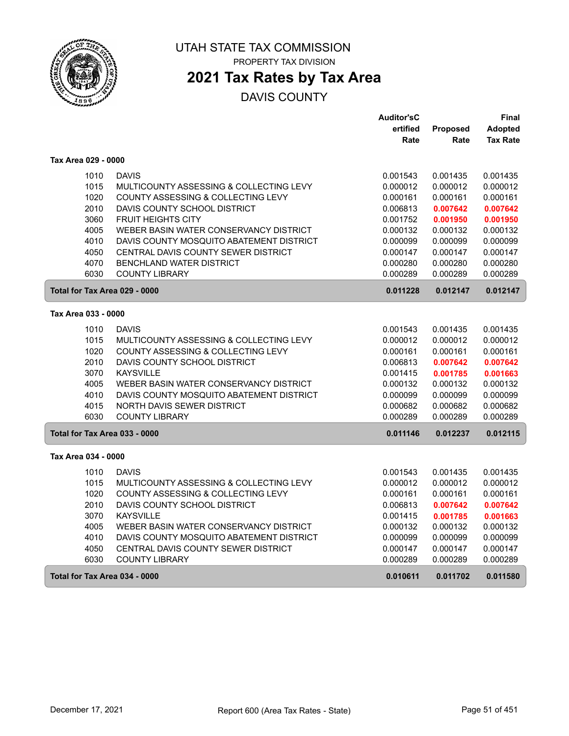

PROPERTY TAX DIVISION

### **2021 Tax Rates by Tax Area**

|                               |                                          | <b>Auditor'sC</b> |          | Final           |
|-------------------------------|------------------------------------------|-------------------|----------|-----------------|
|                               |                                          | ertified          | Proposed | <b>Adopted</b>  |
|                               |                                          | Rate              | Rate     | <b>Tax Rate</b> |
| Tax Area 029 - 0000           |                                          |                   |          |                 |
| 1010                          | <b>DAVIS</b>                             | 0.001543          | 0.001435 | 0.001435        |
| 1015                          | MULTICOUNTY ASSESSING & COLLECTING LEVY  | 0.000012          | 0.000012 | 0.000012        |
| 1020                          | COUNTY ASSESSING & COLLECTING LEVY       | 0.000161          | 0.000161 | 0.000161        |
| 2010                          | DAVIS COUNTY SCHOOL DISTRICT             | 0.006813          | 0.007642 | 0.007642        |
| 3060                          | <b>FRUIT HEIGHTS CITY</b>                | 0.001752          | 0.001950 | 0.001950        |
| 4005                          | WEBER BASIN WATER CONSERVANCY DISTRICT   | 0.000132          | 0.000132 | 0.000132        |
| 4010                          | DAVIS COUNTY MOSQUITO ABATEMENT DISTRICT | 0.000099          | 0.000099 | 0.000099        |
| 4050                          | CENTRAL DAVIS COUNTY SEWER DISTRICT      | 0.000147          | 0.000147 | 0.000147        |
| 4070                          | <b>BENCHLAND WATER DISTRICT</b>          | 0.000280          | 0.000280 | 0.000280        |
| 6030                          | <b>COUNTY LIBRARY</b>                    | 0.000289          | 0.000289 | 0.000289        |
| Total for Tax Area 029 - 0000 |                                          | 0.011228          | 0.012147 | 0.012147        |
| Tax Area 033 - 0000           |                                          |                   |          |                 |
| 1010                          | <b>DAVIS</b>                             | 0.001543          | 0.001435 | 0.001435        |
| 1015                          | MULTICOUNTY ASSESSING & COLLECTING LEVY  | 0.000012          | 0.000012 | 0.000012        |
| 1020                          | COUNTY ASSESSING & COLLECTING LEVY       | 0.000161          | 0.000161 | 0.000161        |
| 2010                          | DAVIS COUNTY SCHOOL DISTRICT             | 0.006813          | 0.007642 | 0.007642        |
| 3070                          | <b>KAYSVILLE</b>                         | 0.001415          | 0.001785 | 0.001663        |
| 4005                          | WEBER BASIN WATER CONSERVANCY DISTRICT   | 0.000132          | 0.000132 | 0.000132        |
| 4010                          | DAVIS COUNTY MOSQUITO ABATEMENT DISTRICT | 0.000099          | 0.000099 | 0.000099        |
| 4015                          | <b>NORTH DAVIS SEWER DISTRICT</b>        | 0.000682          | 0.000682 | 0.000682        |
| 6030                          | <b>COUNTY LIBRARY</b>                    | 0.000289          | 0.000289 | 0.000289        |
| Total for Tax Area 033 - 0000 |                                          | 0.011146          | 0.012237 | 0.012115        |
| Tax Area 034 - 0000           |                                          |                   |          |                 |
| 1010                          | <b>DAVIS</b>                             | 0.001543          | 0.001435 | 0.001435        |
| 1015                          | MULTICOUNTY ASSESSING & COLLECTING LEVY  | 0.000012          | 0.000012 | 0.000012        |
| 1020                          | COUNTY ASSESSING & COLLECTING LEVY       | 0.000161          | 0.000161 | 0.000161        |
| 2010                          | DAVIS COUNTY SCHOOL DISTRICT             | 0.006813          | 0.007642 | 0.007642        |
| 3070                          | <b>KAYSVILLE</b>                         | 0.001415          | 0.001785 | 0.001663        |
| 4005                          | WEBER BASIN WATER CONSERVANCY DISTRICT   | 0.000132          | 0.000132 | 0.000132        |
| 4010                          | DAVIS COUNTY MOSQUITO ABATEMENT DISTRICT | 0.000099          | 0.000099 | 0.000099        |
| 4050                          | CENTRAL DAVIS COUNTY SEWER DISTRICT      | 0.000147          | 0.000147 | 0.000147        |
| 6030                          | <b>COUNTY LIBRARY</b>                    | 0.000289          | 0.000289 | 0.000289        |
| Total for Tax Area 034 - 0000 |                                          | 0.010611          | 0.011702 | 0.011580        |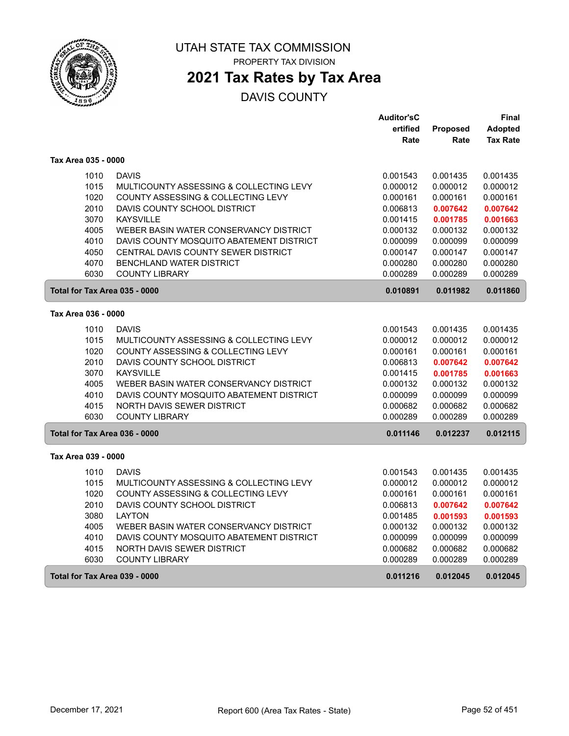

PROPERTY TAX DIVISION

# **2021 Tax Rates by Tax Area**

|                               |                                          | <b>Auditor'sC</b> |          | Final           |
|-------------------------------|------------------------------------------|-------------------|----------|-----------------|
|                               |                                          | ertified          | Proposed | <b>Adopted</b>  |
|                               |                                          | Rate              | Rate     | <b>Tax Rate</b> |
| Tax Area 035 - 0000           |                                          |                   |          |                 |
| 1010                          | <b>DAVIS</b>                             | 0.001543          | 0.001435 | 0.001435        |
| 1015                          | MULTICOUNTY ASSESSING & COLLECTING LEVY  | 0.000012          | 0.000012 | 0.000012        |
| 1020                          | COUNTY ASSESSING & COLLECTING LEVY       | 0.000161          | 0.000161 | 0.000161        |
| 2010                          | DAVIS COUNTY SCHOOL DISTRICT             | 0.006813          | 0.007642 | 0.007642        |
| 3070                          | <b>KAYSVILLE</b>                         | 0.001415          | 0.001785 | 0.001663        |
| 4005                          | WEBER BASIN WATER CONSERVANCY DISTRICT   | 0.000132          | 0.000132 | 0.000132        |
| 4010                          | DAVIS COUNTY MOSQUITO ABATEMENT DISTRICT | 0.000099          | 0.000099 | 0.000099        |
| 4050                          | CENTRAL DAVIS COUNTY SEWER DISTRICT      | 0.000147          | 0.000147 | 0.000147        |
| 4070                          | <b>BENCHLAND WATER DISTRICT</b>          | 0.000280          | 0.000280 | 0.000280        |
| 6030                          | <b>COUNTY LIBRARY</b>                    | 0.000289          | 0.000289 | 0.000289        |
| Total for Tax Area 035 - 0000 |                                          | 0.010891          | 0.011982 | 0.011860        |
| Tax Area 036 - 0000           |                                          |                   |          |                 |
| 1010                          | <b>DAVIS</b>                             | 0.001543          | 0.001435 | 0.001435        |
| 1015                          | MULTICOUNTY ASSESSING & COLLECTING LEVY  | 0.000012          | 0.000012 | 0.000012        |
| 1020                          | COUNTY ASSESSING & COLLECTING LEVY       | 0.000161          | 0.000161 | 0.000161        |
| 2010                          | DAVIS COUNTY SCHOOL DISTRICT             | 0.006813          | 0.007642 | 0.007642        |
| 3070                          | <b>KAYSVILLE</b>                         | 0.001415          | 0.001785 | 0.001663        |
| 4005                          | WEBER BASIN WATER CONSERVANCY DISTRICT   | 0.000132          | 0.000132 | 0.000132        |
| 4010                          | DAVIS COUNTY MOSQUITO ABATEMENT DISTRICT | 0.000099          | 0.000099 | 0.000099        |
| 4015                          | NORTH DAVIS SEWER DISTRICT               | 0.000682          | 0.000682 | 0.000682        |
| 6030                          | <b>COUNTY LIBRARY</b>                    | 0.000289          | 0.000289 | 0.000289        |
| Total for Tax Area 036 - 0000 |                                          | 0.011146          | 0.012237 | 0.012115        |
| Tax Area 039 - 0000           |                                          |                   |          |                 |
| 1010                          | <b>DAVIS</b>                             | 0.001543          | 0.001435 | 0.001435        |
| 1015                          | MULTICOUNTY ASSESSING & COLLECTING LEVY  | 0.000012          | 0.000012 | 0.000012        |
| 1020                          | COUNTY ASSESSING & COLLECTING LEVY       | 0.000161          | 0.000161 | 0.000161        |
| 2010                          | DAVIS COUNTY SCHOOL DISTRICT             | 0.006813          | 0.007642 | 0.007642        |
| 3080                          | <b>LAYTON</b>                            | 0.001485          | 0.001593 | 0.001593        |
| 4005                          | WEBER BASIN WATER CONSERVANCY DISTRICT   | 0.000132          | 0.000132 | 0.000132        |
| 4010                          | DAVIS COUNTY MOSQUITO ABATEMENT DISTRICT | 0.000099          | 0.000099 | 0.000099        |
| 4015                          | NORTH DAVIS SEWER DISTRICT               | 0.000682          | 0.000682 | 0.000682        |
| 6030                          | <b>COUNTY LIBRARY</b>                    | 0.000289          | 0.000289 | 0.000289        |
| Total for Tax Area 039 - 0000 |                                          | 0.011216          | 0.012045 | 0.012045        |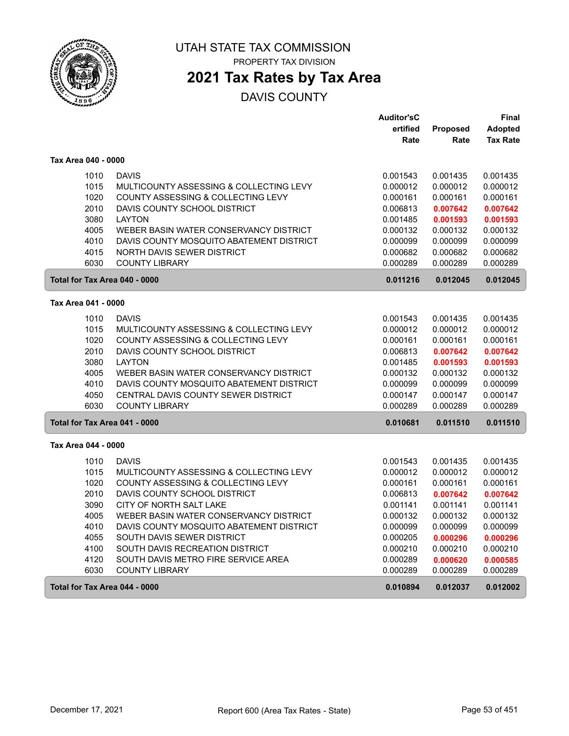

PROPERTY TAX DIVISION

### **2021 Tax Rates by Tax Area**

|                               |                                          | <b>Auditor'sC</b> |                 | Final           |
|-------------------------------|------------------------------------------|-------------------|-----------------|-----------------|
|                               |                                          | ertified          | <b>Proposed</b> | <b>Adopted</b>  |
|                               |                                          | Rate              | Rate            | <b>Tax Rate</b> |
| Tax Area 040 - 0000           |                                          |                   |                 |                 |
| 1010                          | <b>DAVIS</b>                             | 0.001543          | 0.001435        | 0.001435        |
| 1015                          | MULTICOUNTY ASSESSING & COLLECTING LEVY  | 0.000012          | 0.000012        | 0.000012        |
| 1020                          | COUNTY ASSESSING & COLLECTING LEVY       | 0.000161          | 0.000161        | 0.000161        |
| 2010                          | DAVIS COUNTY SCHOOL DISTRICT             | 0.006813          | 0.007642        | 0.007642        |
| 3080                          | <b>LAYTON</b>                            | 0.001485          | 0.001593        | 0.001593        |
| 4005                          | WEBER BASIN WATER CONSERVANCY DISTRICT   | 0.000132          | 0.000132        | 0.000132        |
| 4010                          | DAVIS COUNTY MOSQUITO ABATEMENT DISTRICT | 0.000099          | 0.000099        | 0.000099        |
| 4015                          | NORTH DAVIS SEWER DISTRICT               | 0.000682          | 0.000682        | 0.000682        |
| 6030                          | <b>COUNTY LIBRARY</b>                    | 0.000289          | 0.000289        | 0.000289        |
| Total for Tax Area 040 - 0000 |                                          | 0.011216          | 0.012045        | 0.012045        |
| Tax Area 041 - 0000           |                                          |                   |                 |                 |
| 1010                          | <b>DAVIS</b>                             | 0.001543          | 0.001435        | 0.001435        |
| 1015                          | MULTICOUNTY ASSESSING & COLLECTING LEVY  | 0.000012          | 0.000012        | 0.000012        |
| 1020                          | COUNTY ASSESSING & COLLECTING LEVY       | 0.000161          | 0.000161        | 0.000161        |
| 2010                          | DAVIS COUNTY SCHOOL DISTRICT             | 0.006813          | 0.007642        | 0.007642        |
| 3080                          | <b>LAYTON</b>                            | 0.001485          | 0.001593        | 0.001593        |
| 4005                          | WEBER BASIN WATER CONSERVANCY DISTRICT   | 0.000132          | 0.000132        | 0.000132        |
| 4010                          | DAVIS COUNTY MOSQUITO ABATEMENT DISTRICT | 0.000099          | 0.000099        | 0.000099        |
| 4050                          | CENTRAL DAVIS COUNTY SEWER DISTRICT      | 0.000147          | 0.000147        | 0.000147        |
| 6030                          | <b>COUNTY LIBRARY</b>                    | 0.000289          | 0.000289        | 0.000289        |
| Total for Tax Area 041 - 0000 |                                          | 0.010681          | 0.011510        | 0.011510        |
| Tax Area 044 - 0000           |                                          |                   |                 |                 |
| 1010                          | <b>DAVIS</b>                             | 0.001543          | 0.001435        | 0.001435        |
| 1015                          | MULTICOUNTY ASSESSING & COLLECTING LEVY  | 0.000012          | 0.000012        | 0.000012        |
| 1020                          | COUNTY ASSESSING & COLLECTING LEVY       | 0.000161          | 0.000161        | 0.000161        |
| 2010                          | DAVIS COUNTY SCHOOL DISTRICT             | 0.006813          | 0.007642        | 0.007642        |
| 3090                          | CITY OF NORTH SALT LAKE                  | 0.001141          | 0.001141        | 0.001141        |
| 4005                          | WEBER BASIN WATER CONSERVANCY DISTRICT   | 0.000132          | 0.000132        | 0.000132        |
| 4010                          | DAVIS COUNTY MOSQUITO ABATEMENT DISTRICT | 0.000099          | 0.000099        | 0.000099        |
| 4055                          | SOUTH DAVIS SEWER DISTRICT               | 0.000205          | 0.000296        | 0.000296        |
| 4100                          | SOUTH DAVIS RECREATION DISTRICT          | 0.000210          | 0.000210        | 0.000210        |
| 4120                          | SOUTH DAVIS METRO FIRE SERVICE AREA      | 0.000289          | 0.000620        | 0.000585        |
| 6030                          | <b>COUNTY LIBRARY</b>                    | 0.000289          | 0.000289        | 0.000289        |
| Total for Tax Area 044 - 0000 |                                          | 0.010894          | 0.012037        | 0.012002        |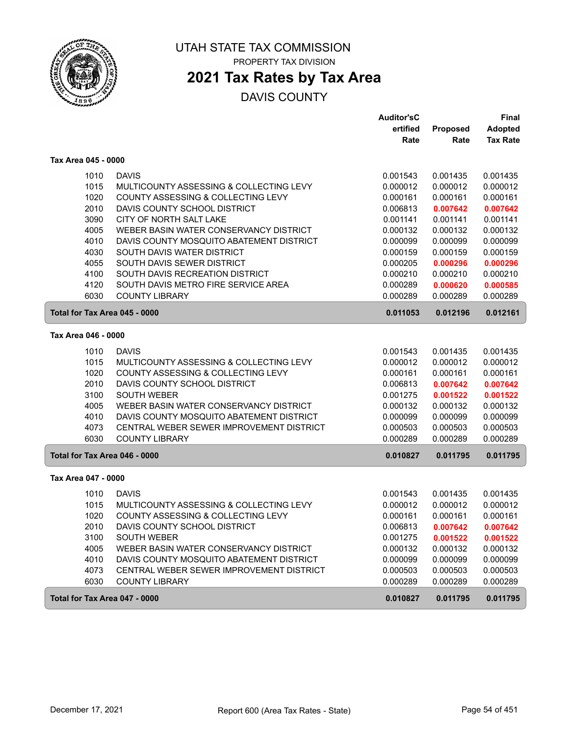

# **2021 Tax Rates by Tax Area**

|                               |                                                                                      | <b>Auditor'sC</b>    |                      | Final                |
|-------------------------------|--------------------------------------------------------------------------------------|----------------------|----------------------|----------------------|
|                               |                                                                                      | ertified             | Proposed             | <b>Adopted</b>       |
|                               |                                                                                      | Rate                 | Rate                 | <b>Tax Rate</b>      |
| Tax Area 045 - 0000           |                                                                                      |                      |                      |                      |
| 1010                          | <b>DAVIS</b>                                                                         | 0.001543             | 0.001435             | 0.001435             |
| 1015                          | MULTICOUNTY ASSESSING & COLLECTING LEVY                                              | 0.000012             | 0.000012             | 0.000012             |
| 1020                          | COUNTY ASSESSING & COLLECTING LEVY                                                   | 0.000161             | 0.000161             | 0.000161             |
| 2010                          | DAVIS COUNTY SCHOOL DISTRICT                                                         | 0.006813             | 0.007642             | 0.007642             |
| 3090                          | CITY OF NORTH SALT LAKE                                                              | 0.001141             | 0.001141             | 0.001141             |
| 4005                          | WEBER BASIN WATER CONSERVANCY DISTRICT                                               | 0.000132             | 0.000132             | 0.000132             |
| 4010                          | DAVIS COUNTY MOSQUITO ABATEMENT DISTRICT                                             | 0.000099             | 0.000099             | 0.000099             |
| 4030                          | SOUTH DAVIS WATER DISTRICT                                                           | 0.000159             | 0.000159             | 0.000159             |
| 4055                          | SOUTH DAVIS SEWER DISTRICT                                                           | 0.000205             | 0.000296             | 0.000296             |
| 4100                          | SOUTH DAVIS RECREATION DISTRICT                                                      | 0.000210             | 0.000210             | 0.000210             |
| 4120                          | SOUTH DAVIS METRO FIRE SERVICE AREA                                                  | 0.000289             | 0.000620             | 0.000585             |
| 6030                          | <b>COUNTY LIBRARY</b>                                                                | 0.000289             | 0.000289             | 0.000289             |
| Total for Tax Area 045 - 0000 |                                                                                      | 0.011053             | 0.012196             | 0.012161             |
| Tax Area 046 - 0000           |                                                                                      |                      |                      |                      |
| 1010                          | <b>DAVIS</b>                                                                         | 0.001543             | 0.001435             | 0.001435             |
| 1015                          | MULTICOUNTY ASSESSING & COLLECTING LEVY                                              | 0.000012             | 0.000012             | 0.000012             |
| 1020                          | COUNTY ASSESSING & COLLECTING LEVY                                                   | 0.000161             | 0.000161             | 0.000161             |
| 2010                          | DAVIS COUNTY SCHOOL DISTRICT                                                         | 0.006813             | 0.007642             | 0.007642             |
| 3100                          | <b>SOUTH WEBER</b>                                                                   | 0.001275             | 0.001522             | 0.001522             |
| 4005                          | WEBER BASIN WATER CONSERVANCY DISTRICT                                               | 0.000132             | 0.000132             | 0.000132             |
| 4010                          | DAVIS COUNTY MOSQUITO ABATEMENT DISTRICT                                             | 0.000099             | 0.000099             | 0.000099             |
| 4073                          | CENTRAL WEBER SEWER IMPROVEMENT DISTRICT                                             | 0.000503             | 0.000503             | 0.000503             |
| 6030                          | <b>COUNTY LIBRARY</b>                                                                | 0.000289             | 0.000289             | 0.000289             |
| Total for Tax Area 046 - 0000 |                                                                                      | 0.010827             | 0.011795             | 0.011795             |
| Tax Area 047 - 0000           |                                                                                      |                      |                      |                      |
|                               |                                                                                      |                      |                      |                      |
| 1010                          | <b>DAVIS</b>                                                                         | 0.001543             | 0.001435             | 0.001435             |
| 1015                          | MULTICOUNTY ASSESSING & COLLECTING LEVY                                              | 0.000012             | 0.000012             | 0.000012             |
| 1020                          | COUNTY ASSESSING & COLLECTING LEVY                                                   | 0.000161             | 0.000161             | 0.000161             |
| 2010                          | DAVIS COUNTY SCHOOL DISTRICT                                                         | 0.006813             | 0.007642             | 0.007642             |
| 3100                          | <b>SOUTH WEBER</b>                                                                   | 0.001275             | 0.001522             | 0.001522             |
| 4005                          | WEBER BASIN WATER CONSERVANCY DISTRICT                                               | 0.000132             | 0.000132             | 0.000132             |
| 4010                          | DAVIS COUNTY MOSQUITO ABATEMENT DISTRICT<br>CENTRAL WEBER SEWER IMPROVEMENT DISTRICT | 0.000099             | 0.000099             | 0.000099             |
| 4073<br>6030                  | <b>COUNTY LIBRARY</b>                                                                | 0.000503<br>0.000289 | 0.000503<br>0.000289 | 0.000503<br>0.000289 |
|                               |                                                                                      |                      |                      |                      |
| Total for Tax Area 047 - 0000 |                                                                                      | 0.010827             | 0.011795             | 0.011795             |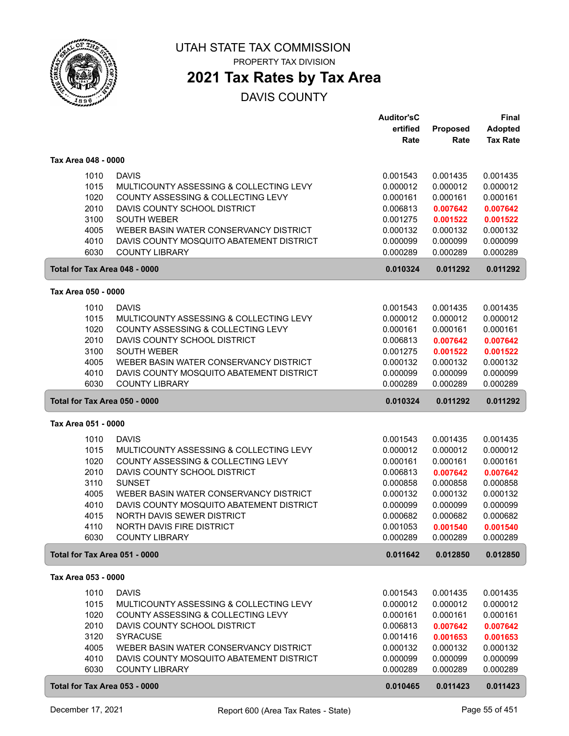

PROPERTY TAX DIVISION

#### **2021 Tax Rates by Tax Area**

|                               |                                                    | <b>Auditor'sC</b> |          | Final           |
|-------------------------------|----------------------------------------------------|-------------------|----------|-----------------|
|                               |                                                    | ertified          | Proposed | <b>Adopted</b>  |
|                               |                                                    | Rate              | Rate     | <b>Tax Rate</b> |
| Tax Area 048 - 0000           |                                                    |                   |          |                 |
|                               |                                                    |                   |          |                 |
| 1010                          | <b>DAVIS</b>                                       | 0.001543          | 0.001435 | 0.001435        |
| 1015                          | MULTICOUNTY ASSESSING & COLLECTING LEVY            | 0.000012          | 0.000012 | 0.000012        |
| 1020                          | COUNTY ASSESSING & COLLECTING LEVY                 | 0.000161          | 0.000161 | 0.000161        |
| 2010                          | DAVIS COUNTY SCHOOL DISTRICT                       | 0.006813          | 0.007642 | 0.007642        |
| 3100                          | <b>SOUTH WEBER</b>                                 | 0.001275          | 0.001522 | 0.001522        |
| 4005                          | WEBER BASIN WATER CONSERVANCY DISTRICT             | 0.000132          | 0.000132 | 0.000132        |
| 4010                          | DAVIS COUNTY MOSQUITO ABATEMENT DISTRICT           | 0.000099          | 0.000099 | 0.000099        |
| 6030                          | <b>COUNTY LIBRARY</b>                              | 0.000289          | 0.000289 | 0.000289        |
| Total for Tax Area 048 - 0000 |                                                    | 0.010324          | 0.011292 | 0.011292        |
| Tax Area 050 - 0000           |                                                    |                   |          |                 |
| 1010                          | <b>DAVIS</b>                                       | 0.001543          | 0.001435 | 0.001435        |
| 1015                          | MULTICOUNTY ASSESSING & COLLECTING LEVY            | 0.000012          | 0.000012 | 0.000012        |
| 1020                          | COUNTY ASSESSING & COLLECTING LEVY                 | 0.000161          | 0.000161 | 0.000161        |
| 2010                          | DAVIS COUNTY SCHOOL DISTRICT                       | 0.006813          | 0.007642 | 0.007642        |
| 3100                          | <b>SOUTH WEBER</b>                                 | 0.001275          | 0.001522 | 0.001522        |
| 4005                          | WEBER BASIN WATER CONSERVANCY DISTRICT             | 0.000132          | 0.000132 | 0.000132        |
| 4010                          | DAVIS COUNTY MOSQUITO ABATEMENT DISTRICT           | 0.000099          | 0.000099 | 0.000099        |
| 6030                          | <b>COUNTY LIBRARY</b>                              | 0.000289          | 0.000289 | 0.000289        |
| Total for Tax Area 050 - 0000 |                                                    | 0.010324          | 0.011292 | 0.011292        |
| Tax Area 051 - 0000           |                                                    |                   |          |                 |
|                               |                                                    |                   |          |                 |
| 1010                          | <b>DAVIS</b>                                       | 0.001543          | 0.001435 | 0.001435        |
| 1015                          | MULTICOUNTY ASSESSING & COLLECTING LEVY            | 0.000012          | 0.000012 | 0.000012        |
| 1020                          | COUNTY ASSESSING & COLLECTING LEVY                 | 0.000161          | 0.000161 | 0.000161        |
| 2010                          | DAVIS COUNTY SCHOOL DISTRICT                       | 0.006813          | 0.007642 | 0.007642        |
| 3110                          | <b>SUNSET</b>                                      | 0.000858          | 0.000858 | 0.000858        |
| 4005                          | WEBER BASIN WATER CONSERVANCY DISTRICT             | 0.000132          | 0.000132 | 0.000132        |
| 4010                          | DAVIS COUNTY MOSQUITO ABATEMENT DISTRICT           | 0.000099          | 0.000099 | 0.000099        |
| 4015                          | NORTH DAVIS SEWER DISTRICT                         | 0.000682          | 0.000682 | 0.000682        |
| 4110                          | NORTH DAVIS FIRE DISTRICT<br><b>COUNTY LIBRARY</b> | 0.001053          | 0.001540 | 0.001540        |
| 6030                          |                                                    | 0.000289          | 0.000289 | 0.000289        |
| Total for Tax Area 051 - 0000 |                                                    | 0.011642          | 0.012850 | 0.012850        |
| Tax Area 053 - 0000           |                                                    |                   |          |                 |
| 1010                          | <b>DAVIS</b>                                       | 0.001543          | 0.001435 | 0.001435        |
| 1015                          | MULTICOUNTY ASSESSING & COLLECTING LEVY            | 0.000012          | 0.000012 | 0.000012        |
| 1020                          | COUNTY ASSESSING & COLLECTING LEVY                 | 0.000161          | 0.000161 | 0.000161        |
| 2010                          | DAVIS COUNTY SCHOOL DISTRICT                       | 0.006813          | 0.007642 | 0.007642        |
| 3120                          | <b>SYRACUSE</b>                                    | 0.001416          | 0.001653 | 0.001653        |
| 4005                          | WEBER BASIN WATER CONSERVANCY DISTRICT             | 0.000132          | 0.000132 | 0.000132        |
| 4010                          | DAVIS COUNTY MOSQUITO ABATEMENT DISTRICT           | 0.000099          | 0.000099 | 0.000099        |
| 6030                          | <b>COUNTY LIBRARY</b>                              | 0.000289          | 0.000289 | 0.000289        |
| Total for Tax Area 053 - 0000 |                                                    | 0.010465          | 0.011423 | 0.011423        |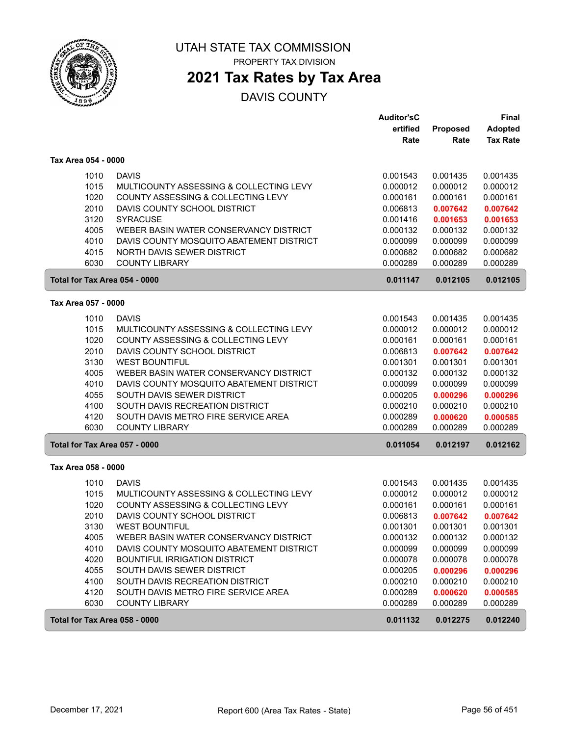

PROPERTY TAX DIVISION

### **2021 Tax Rates by Tax Area**

|                               |                                          | <b>Auditor'sC</b> |          | Final           |
|-------------------------------|------------------------------------------|-------------------|----------|-----------------|
|                               |                                          | ertified          | Proposed | <b>Adopted</b>  |
|                               |                                          | Rate              | Rate     | <b>Tax Rate</b> |
| Tax Area 054 - 0000           |                                          |                   |          |                 |
| 1010                          | <b>DAVIS</b>                             | 0.001543          | 0.001435 | 0.001435        |
| 1015                          | MULTICOUNTY ASSESSING & COLLECTING LEVY  | 0.000012          | 0.000012 | 0.000012        |
| 1020                          | COUNTY ASSESSING & COLLECTING LEVY       | 0.000161          | 0.000161 | 0.000161        |
| 2010                          | DAVIS COUNTY SCHOOL DISTRICT             | 0.006813          | 0.007642 | 0.007642        |
| 3120                          | <b>SYRACUSE</b>                          | 0.001416          | 0.001653 | 0.001653        |
| 4005                          | WEBER BASIN WATER CONSERVANCY DISTRICT   | 0.000132          | 0.000132 | 0.000132        |
| 4010                          | DAVIS COUNTY MOSQUITO ABATEMENT DISTRICT | 0.000099          | 0.000099 | 0.000099        |
| 4015                          | NORTH DAVIS SEWER DISTRICT               | 0.000682          | 0.000682 | 0.000682        |
| 6030                          | <b>COUNTY LIBRARY</b>                    | 0.000289          | 0.000289 | 0.000289        |
| Total for Tax Area 054 - 0000 |                                          | 0.011147          | 0.012105 | 0.012105        |
| Tax Area 057 - 0000           |                                          |                   |          |                 |
| 1010                          | <b>DAVIS</b>                             | 0.001543          | 0.001435 | 0.001435        |
| 1015                          | MULTICOUNTY ASSESSING & COLLECTING LEVY  | 0.000012          | 0.000012 | 0.000012        |
| 1020                          | COUNTY ASSESSING & COLLECTING LEVY       | 0.000161          | 0.000161 | 0.000161        |
| 2010                          | DAVIS COUNTY SCHOOL DISTRICT             | 0.006813          | 0.007642 | 0.007642        |
| 3130                          | <b>WEST BOUNTIFUL</b>                    | 0.001301          | 0.001301 | 0.001301        |
| 4005                          | WEBER BASIN WATER CONSERVANCY DISTRICT   | 0.000132          | 0.000132 | 0.000132        |
| 4010                          | DAVIS COUNTY MOSQUITO ABATEMENT DISTRICT | 0.000099          | 0.000099 | 0.000099        |
| 4055                          | SOUTH DAVIS SEWER DISTRICT               | 0.000205          | 0.000296 | 0.000296        |
| 4100                          | SOUTH DAVIS RECREATION DISTRICT          | 0.000210          | 0.000210 | 0.000210        |
| 4120                          | SOUTH DAVIS METRO FIRE SERVICE AREA      | 0.000289          | 0.000620 | 0.000585        |
| 6030                          | <b>COUNTY LIBRARY</b>                    | 0.000289          | 0.000289 | 0.000289        |
| Total for Tax Area 057 - 0000 |                                          | 0.011054          | 0.012197 | 0.012162        |
| Tax Area 058 - 0000           |                                          |                   |          |                 |
| 1010                          | <b>DAVIS</b>                             | 0.001543          | 0.001435 | 0.001435        |
| 1015                          | MULTICOUNTY ASSESSING & COLLECTING LEVY  | 0.000012          | 0.000012 | 0.000012        |
| 1020                          | COUNTY ASSESSING & COLLECTING LEVY       | 0.000161          | 0.000161 | 0.000161        |
| 2010                          | DAVIS COUNTY SCHOOL DISTRICT             | 0.006813          | 0.007642 | 0.007642        |
| 3130                          | <b>WEST BOUNTIFUL</b>                    | 0.001301          | 0.001301 | 0.001301        |
| 4005                          | WEBER BASIN WATER CONSERVANCY DISTRICT   | 0.000132          | 0.000132 | 0.000132        |
| 4010                          | DAVIS COUNTY MOSQUITO ABATEMENT DISTRICT | 0.000099          | 0.000099 | 0.000099        |
| 4020                          | <b>BOUNTIFUL IRRIGATION DISTRICT</b>     | 0.000078          | 0.000078 | 0.000078        |
| 4055                          | SOUTH DAVIS SEWER DISTRICT               | 0.000205          | 0.000296 | 0.000296        |
| 4100                          | SOUTH DAVIS RECREATION DISTRICT          | 0.000210          | 0.000210 | 0.000210        |
| 4120                          | SOUTH DAVIS METRO FIRE SERVICE AREA      | 0.000289          | 0.000620 | 0.000585        |
| 6030                          | <b>COUNTY LIBRARY</b>                    | 0.000289          | 0.000289 | 0.000289        |
| Total for Tax Area 058 - 0000 |                                          | 0.011132          | 0.012275 | 0.012240        |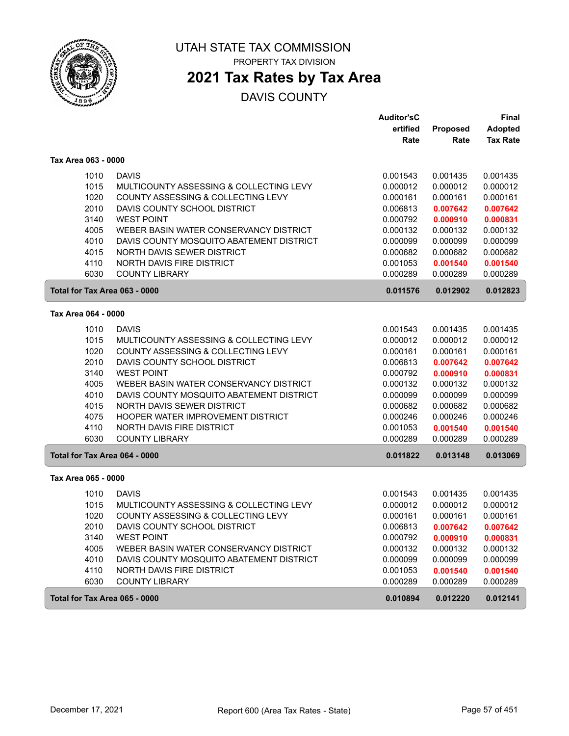

PROPERTY TAX DIVISION

# **2021 Tax Rates by Tax Area**

|                     |                                          | <b>Auditor'sC</b> |          | Final           |
|---------------------|------------------------------------------|-------------------|----------|-----------------|
|                     |                                          | ertified          | Proposed | <b>Adopted</b>  |
|                     |                                          | Rate              | Rate     | <b>Tax Rate</b> |
| Tax Area 063 - 0000 |                                          |                   |          |                 |
| 1010                | <b>DAVIS</b>                             | 0.001543          | 0.001435 | 0.001435        |
| 1015                | MULTICOUNTY ASSESSING & COLLECTING LEVY  | 0.000012          | 0.000012 | 0.000012        |
| 1020                | COUNTY ASSESSING & COLLECTING LEVY       | 0.000161          | 0.000161 | 0.000161        |
| 2010                | DAVIS COUNTY SCHOOL DISTRICT             | 0.006813          | 0.007642 | 0.007642        |
| 3140                | <b>WEST POINT</b>                        | 0.000792          | 0.000910 | 0.000831        |
| 4005                | WEBER BASIN WATER CONSERVANCY DISTRICT   | 0.000132          | 0.000132 | 0.000132        |
| 4010                | DAVIS COUNTY MOSQUITO ABATEMENT DISTRICT | 0.000099          | 0.000099 | 0.000099        |
| 4015                | NORTH DAVIS SEWER DISTRICT               | 0.000682          | 0.000682 | 0.000682        |
| 4110                | NORTH DAVIS FIRE DISTRICT                | 0.001053          | 0.001540 | 0.001540        |
| 6030                | <b>COUNTY LIBRARY</b>                    | 0.000289          | 0.000289 | 0.000289        |
|                     | Total for Tax Area 063 - 0000            | 0.011576          | 0.012902 | 0.012823        |
| Tax Area 064 - 0000 |                                          |                   |          |                 |
| 1010                | <b>DAVIS</b>                             | 0.001543          | 0.001435 | 0.001435        |
| 1015                | MULTICOUNTY ASSESSING & COLLECTING LEVY  | 0.000012          | 0.000012 | 0.000012        |
| 1020                | COUNTY ASSESSING & COLLECTING LEVY       | 0.000161          | 0.000161 | 0.000161        |
| 2010                | DAVIS COUNTY SCHOOL DISTRICT             | 0.006813          | 0.007642 | 0.007642        |
| 3140                | <b>WEST POINT</b>                        | 0.000792          | 0.000910 | 0.000831        |
| 4005                | WEBER BASIN WATER CONSERVANCY DISTRICT   | 0.000132          | 0.000132 | 0.000132        |
| 4010                | DAVIS COUNTY MOSQUITO ABATEMENT DISTRICT | 0.000099          | 0.000099 | 0.000099        |
| 4015                | NORTH DAVIS SEWER DISTRICT               | 0.000682          | 0.000682 | 0.000682        |
| 4075                | <b>HOOPER WATER IMPROVEMENT DISTRICT</b> | 0.000246          | 0.000246 | 0.000246        |
| 4110                | NORTH DAVIS FIRE DISTRICT                | 0.001053          | 0.001540 | 0.001540        |
| 6030                | <b>COUNTY LIBRARY</b>                    | 0.000289          | 0.000289 | 0.000289        |
|                     | Total for Tax Area 064 - 0000            | 0.011822          | 0.013148 | 0.013069        |
| Tax Area 065 - 0000 |                                          |                   |          |                 |
| 1010                | <b>DAVIS</b>                             | 0.001543          | 0.001435 | 0.001435        |
| 1015                | MULTICOUNTY ASSESSING & COLLECTING LEVY  | 0.000012          | 0.000012 | 0.000012        |
| 1020                | COUNTY ASSESSING & COLLECTING LEVY       | 0.000161          | 0.000161 | 0.000161        |
| 2010                | DAVIS COUNTY SCHOOL DISTRICT             | 0.006813          | 0.007642 | 0.007642        |
| 3140                | <b>WEST POINT</b>                        | 0.000792          | 0.000910 | 0.000831        |
| 4005                | WEBER BASIN WATER CONSERVANCY DISTRICT   | 0.000132          | 0.000132 | 0.000132        |
| 4010                | DAVIS COUNTY MOSQUITO ABATEMENT DISTRICT | 0.000099          | 0.000099 | 0.000099        |
| 4110                | NORTH DAVIS FIRE DISTRICT                | 0.001053          | 0.001540 | 0.001540        |
| 6030                | <b>COUNTY LIBRARY</b>                    | 0.000289          | 0.000289 | 0.000289        |
|                     | Total for Tax Area 065 - 0000            | 0.010894          | 0.012220 | 0.012141        |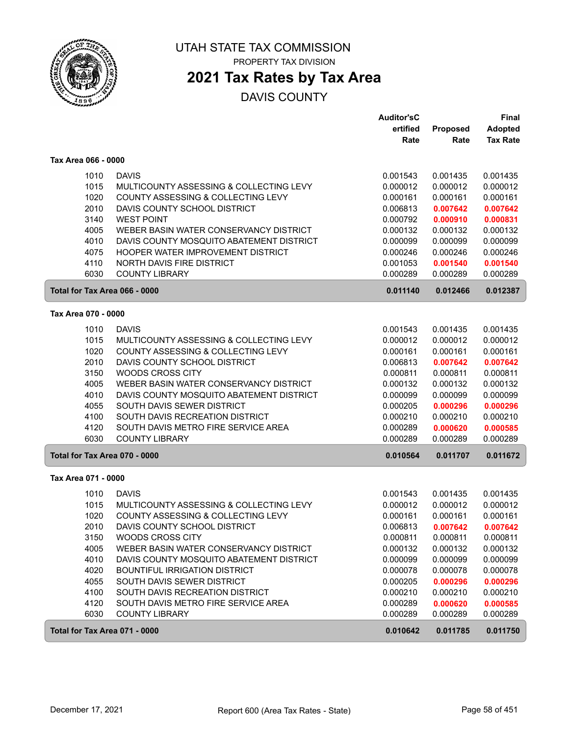

PROPERTY TAX DIVISION

# **2021 Tax Rates by Tax Area**

|                               |                                                               | <b>Auditor'sC</b><br>ertified | Proposed             | Final<br><b>Adopted</b> |
|-------------------------------|---------------------------------------------------------------|-------------------------------|----------------------|-------------------------|
|                               |                                                               | Rate                          | Rate                 | <b>Tax Rate</b>         |
| Tax Area 066 - 0000           |                                                               |                               |                      |                         |
| 1010                          | <b>DAVIS</b>                                                  | 0.001543                      | 0.001435             | 0.001435                |
| 1015                          | MULTICOUNTY ASSESSING & COLLECTING LEVY                       | 0.000012                      | 0.000012             | 0.000012                |
| 1020                          | COUNTY ASSESSING & COLLECTING LEVY                            | 0.000161                      | 0.000161             | 0.000161                |
| 2010                          | DAVIS COUNTY SCHOOL DISTRICT                                  | 0.006813                      | 0.007642             | 0.007642                |
| 3140<br>4005                  | <b>WEST POINT</b><br>WEBER BASIN WATER CONSERVANCY DISTRICT   | 0.000792<br>0.000132          | 0.000910             | 0.000831                |
| 4010                          | DAVIS COUNTY MOSQUITO ABATEMENT DISTRICT                      | 0.000099                      | 0.000132<br>0.000099 | 0.000132<br>0.000099    |
| 4075                          | HOOPER WATER IMPROVEMENT DISTRICT                             | 0.000246                      | 0.000246             | 0.000246                |
| 4110                          | NORTH DAVIS FIRE DISTRICT                                     | 0.001053                      | 0.001540             | 0.001540                |
| 6030                          | <b>COUNTY LIBRARY</b>                                         | 0.000289                      | 0.000289             | 0.000289                |
| Total for Tax Area 066 - 0000 |                                                               | 0.011140                      | 0.012466             | 0.012387                |
| Tax Area 070 - 0000           |                                                               |                               |                      |                         |
| 1010                          | <b>DAVIS</b>                                                  | 0.001543                      | 0.001435             | 0.001435                |
| 1015                          | MULTICOUNTY ASSESSING & COLLECTING LEVY                       | 0.000012                      | 0.000012             | 0.000012                |
| 1020                          | COUNTY ASSESSING & COLLECTING LEVY                            | 0.000161                      | 0.000161             | 0.000161                |
| 2010                          | DAVIS COUNTY SCHOOL DISTRICT                                  | 0.006813                      | 0.007642             | 0.007642                |
| 3150                          | <b>WOODS CROSS CITY</b>                                       | 0.000811                      | 0.000811             | 0.000811                |
| 4005                          | WEBER BASIN WATER CONSERVANCY DISTRICT                        | 0.000132                      | 0.000132             | 0.000132                |
| 4010                          | DAVIS COUNTY MOSQUITO ABATEMENT DISTRICT                      | 0.000099                      | 0.000099             | 0.000099                |
| 4055<br>4100                  | SOUTH DAVIS SEWER DISTRICT<br>SOUTH DAVIS RECREATION DISTRICT | 0.000205<br>0.000210          | 0.000296<br>0.000210 | 0.000296<br>0.000210    |
| 4120                          | SOUTH DAVIS METRO FIRE SERVICE AREA                           | 0.000289                      | 0.000620             | 0.000585                |
| 6030                          | <b>COUNTY LIBRARY</b>                                         | 0.000289                      | 0.000289             | 0.000289                |
| Total for Tax Area 070 - 0000 |                                                               | 0.010564                      | 0.011707             | 0.011672                |
| Tax Area 071 - 0000           |                                                               |                               |                      |                         |
| 1010                          | <b>DAVIS</b>                                                  | 0.001543                      | 0.001435             | 0.001435                |
| 1015                          | MULTICOUNTY ASSESSING & COLLECTING LEVY                       | 0.000012                      | 0.000012             | 0.000012                |
| 1020                          | COUNTY ASSESSING & COLLECTING LEVY                            | 0.000161                      | 0.000161             | 0.000161                |
| 2010                          | DAVIS COUNTY SCHOOL DISTRICT                                  | 0.006813                      | 0.007642             | 0.007642                |
| 3150                          | WOODS CROSS CITY                                              | 0.000811                      | 0.000811             | 0.000811                |
| 4005                          | WEBER BASIN WATER CONSERVANCY DISTRICT                        | 0.000132                      | 0.000132             | 0.000132                |
| 4010                          | DAVIS COUNTY MOSQUITO ABATEMENT DISTRICT                      | 0.000099                      | 0.000099             | 0.000099                |
| 4020                          | BOUNTIFUL IRRIGATION DISTRICT                                 | 0.000078                      | 0.000078             | 0.000078                |
| 4055<br>4100                  | SOUTH DAVIS SEWER DISTRICT<br>SOUTH DAVIS RECREATION DISTRICT | 0.000205<br>0.000210          | 0.000296<br>0.000210 | 0.000296<br>0.000210    |
| 4120                          | SOUTH DAVIS METRO FIRE SERVICE AREA                           | 0.000289                      | 0.000620             | 0.000585                |
| 6030                          | <b>COUNTY LIBRARY</b>                                         | 0.000289                      | 0.000289             | 0.000289                |
| Total for Tax Area 071 - 0000 |                                                               | 0.010642                      | 0.011785             | 0.011750                |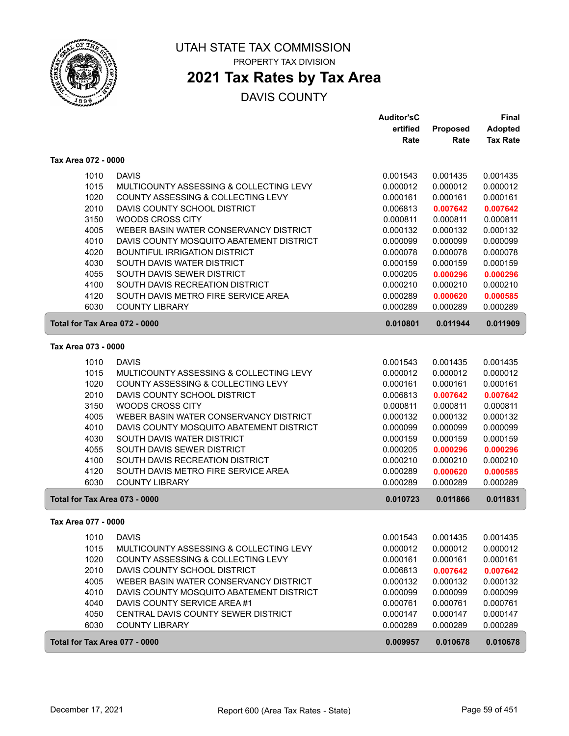

### **2021 Tax Rates by Tax Area**

|                               |                                          | <b>Auditor'sC</b>    |                      | <b>Final</b>         |
|-------------------------------|------------------------------------------|----------------------|----------------------|----------------------|
|                               |                                          | ertified             | <b>Proposed</b>      | <b>Adopted</b>       |
|                               |                                          | Rate                 | Rate                 | <b>Tax Rate</b>      |
| Tax Area 072 - 0000           |                                          |                      |                      |                      |
| 1010                          | <b>DAVIS</b>                             | 0.001543             | 0.001435             | 0.001435             |
| 1015                          | MULTICOUNTY ASSESSING & COLLECTING LEVY  | 0.000012             | 0.000012             | 0.000012             |
| 1020                          | COUNTY ASSESSING & COLLECTING LEVY       | 0.000161             | 0.000161             | 0.000161             |
| 2010                          | DAVIS COUNTY SCHOOL DISTRICT             | 0.006813             | 0.007642             | 0.007642             |
| 3150                          | <b>WOODS CROSS CITY</b>                  | 0.000811             | 0.000811             | 0.000811             |
| 4005                          | WEBER BASIN WATER CONSERVANCY DISTRICT   | 0.000132             | 0.000132             | 0.000132             |
| 4010                          | DAVIS COUNTY MOSQUITO ABATEMENT DISTRICT | 0.000099             | 0.000099             | 0.000099             |
| 4020                          | BOUNTIFUL IRRIGATION DISTRICT            | 0.000078             | 0.000078             | 0.000078             |
| 4030                          | SOUTH DAVIS WATER DISTRICT               | 0.000159             | 0.000159             | 0.000159             |
| 4055                          | SOUTH DAVIS SEWER DISTRICT               | 0.000205             | 0.000296             | 0.000296             |
| 4100                          | SOUTH DAVIS RECREATION DISTRICT          | 0.000210             | 0.000210             | 0.000210             |
| 4120                          | SOUTH DAVIS METRO FIRE SERVICE AREA      | 0.000289             | 0.000620             | 0.000585             |
| 6030                          | <b>COUNTY LIBRARY</b>                    | 0.000289             | 0.000289             | 0.000289             |
| Total for Tax Area 072 - 0000 |                                          | 0.010801             | 0.011944             | 0.011909             |
| Tax Area 073 - 0000           |                                          |                      |                      |                      |
|                               | <b>DAVIS</b>                             |                      |                      |                      |
| 1010                          | MULTICOUNTY ASSESSING & COLLECTING LEVY  | 0.001543             | 0.001435             | 0.001435             |
| 1015<br>1020                  | COUNTY ASSESSING & COLLECTING LEVY       | 0.000012             | 0.000012             | 0.000012             |
| 2010                          | DAVIS COUNTY SCHOOL DISTRICT             | 0.000161<br>0.006813 | 0.000161<br>0.007642 | 0.000161<br>0.007642 |
| 3150                          | <b>WOODS CROSS CITY</b>                  | 0.000811             | 0.000811             | 0.000811             |
| 4005                          | WEBER BASIN WATER CONSERVANCY DISTRICT   | 0.000132             | 0.000132             | 0.000132             |
| 4010                          | DAVIS COUNTY MOSQUITO ABATEMENT DISTRICT | 0.000099             | 0.000099             | 0.000099             |
| 4030                          | SOUTH DAVIS WATER DISTRICT               | 0.000159             | 0.000159             | 0.000159             |
| 4055                          | SOUTH DAVIS SEWER DISTRICT               | 0.000205             | 0.000296             | 0.000296             |
| 4100                          | SOUTH DAVIS RECREATION DISTRICT          | 0.000210             | 0.000210             | 0.000210             |
| 4120                          | SOUTH DAVIS METRO FIRE SERVICE AREA      | 0.000289             | 0.000620             | 0.000585             |
| 6030                          | <b>COUNTY LIBRARY</b>                    | 0.000289             | 0.000289             | 0.000289             |
| Total for Tax Area 073 - 0000 |                                          | 0.010723             | 0.011866             | 0.011831             |
| Tax Area 077 - 0000           |                                          |                      |                      |                      |
|                               |                                          |                      |                      |                      |
| 1010                          | <b>DAVIS</b>                             | 0.001543             | 0.001435             | 0.001435             |
| 1015                          | MULTICOUNTY ASSESSING & COLLECTING LEVY  | 0.000012             | 0.000012             | 0.000012             |
| 1020                          | COUNTY ASSESSING & COLLECTING LEVY       | 0.000161             | 0.000161             | 0.000161             |
| 2010                          | DAVIS COUNTY SCHOOL DISTRICT             | 0.006813             | 0.007642             | 0.007642             |
| 4005                          | WEBER BASIN WATER CONSERVANCY DISTRICT   | 0.000132             | 0.000132             | 0.000132             |
| 4010                          | DAVIS COUNTY MOSQUITO ABATEMENT DISTRICT | 0.000099             | 0.000099             | 0.000099             |
| 4040                          | DAVIS COUNTY SERVICE AREA #1             | 0.000761             | 0.000761             | 0.000761             |
| 4050                          | CENTRAL DAVIS COUNTY SEWER DISTRICT      | 0.000147             | 0.000147             | 0.000147             |
| 6030                          | <b>COUNTY LIBRARY</b>                    | 0.000289             | 0.000289             | 0.000289             |
| Total for Tax Area 077 - 0000 |                                          | 0.009957             | 0.010678             | 0.010678             |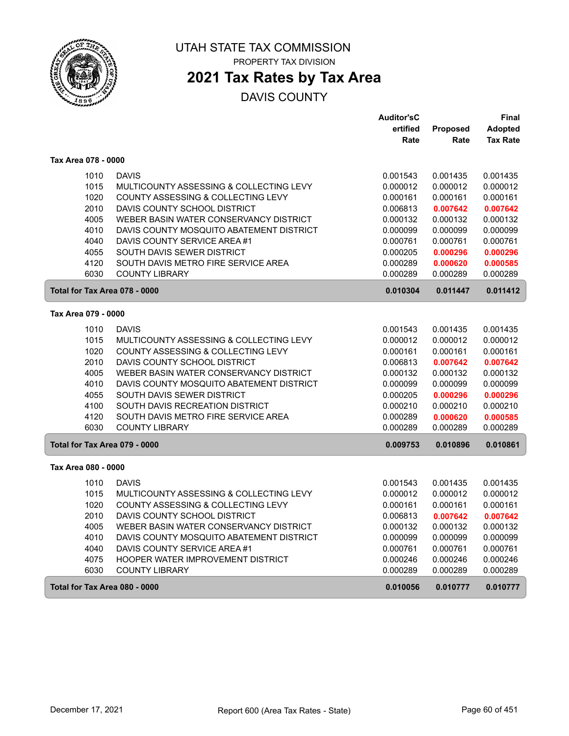

# **2021 Tax Rates by Tax Area**

|                               |                                          | <b>Auditor'sC</b> |                 | Final           |
|-------------------------------|------------------------------------------|-------------------|-----------------|-----------------|
|                               |                                          | ertified          | <b>Proposed</b> | <b>Adopted</b>  |
|                               |                                          | Rate              | Rate            | <b>Tax Rate</b> |
| Tax Area 078 - 0000           |                                          |                   |                 |                 |
| 1010                          | <b>DAVIS</b>                             | 0.001543          | 0.001435        | 0.001435        |
| 1015                          | MULTICOUNTY ASSESSING & COLLECTING LEVY  | 0.000012          | 0.000012        | 0.000012        |
| 1020                          | COUNTY ASSESSING & COLLECTING LEVY       | 0.000161          | 0.000161        | 0.000161        |
| 2010                          | DAVIS COUNTY SCHOOL DISTRICT             | 0.006813          | 0.007642        | 0.007642        |
| 4005                          | WEBER BASIN WATER CONSERVANCY DISTRICT   | 0.000132          | 0.000132        | 0.000132        |
| 4010                          | DAVIS COUNTY MOSQUITO ABATEMENT DISTRICT | 0.000099          | 0.000099        | 0.000099        |
| 4040                          | DAVIS COUNTY SERVICE AREA #1             | 0.000761          | 0.000761        | 0.000761        |
| 4055                          | SOUTH DAVIS SEWER DISTRICT               | 0.000205          | 0.000296        | 0.000296        |
| 4120                          | SOUTH DAVIS METRO FIRE SERVICE AREA      | 0.000289          | 0.000620        | 0.000585        |
| 6030                          | <b>COUNTY LIBRARY</b>                    | 0.000289          | 0.000289        | 0.000289        |
| Total for Tax Area 078 - 0000 |                                          | 0.010304          | 0.011447        | 0.011412        |
| Tax Area 079 - 0000           |                                          |                   |                 |                 |
| 1010                          | <b>DAVIS</b>                             | 0.001543          | 0.001435        | 0.001435        |
| 1015                          | MULTICOUNTY ASSESSING & COLLECTING LEVY  | 0.000012          | 0.000012        | 0.000012        |
| 1020                          | COUNTY ASSESSING & COLLECTING LEVY       | 0.000161          | 0.000161        | 0.000161        |
| 2010                          | DAVIS COUNTY SCHOOL DISTRICT             | 0.006813          | 0.007642        | 0.007642        |
| 4005                          | WEBER BASIN WATER CONSERVANCY DISTRICT   | 0.000132          | 0.000132        | 0.000132        |
| 4010                          | DAVIS COUNTY MOSQUITO ABATEMENT DISTRICT | 0.000099          | 0.000099        | 0.000099        |
| 4055                          | SOUTH DAVIS SEWER DISTRICT               | 0.000205          | 0.000296        | 0.000296        |
| 4100                          | SOUTH DAVIS RECREATION DISTRICT          | 0.000210          | 0.000210        | 0.000210        |
| 4120                          | SOUTH DAVIS METRO FIRE SERVICE AREA      | 0.000289          | 0.000620        | 0.000585        |
| 6030                          | <b>COUNTY LIBRARY</b>                    | 0.000289          | 0.000289        | 0.000289        |
| Total for Tax Area 079 - 0000 |                                          | 0.009753          | 0.010896        | 0.010861        |
| Tax Area 080 - 0000           |                                          |                   |                 |                 |
| 1010                          | <b>DAVIS</b>                             | 0.001543          | 0.001435        | 0.001435        |
| 1015                          | MULTICOUNTY ASSESSING & COLLECTING LEVY  | 0.000012          | 0.000012        | 0.000012        |
| 1020                          | COUNTY ASSESSING & COLLECTING LEVY       | 0.000161          | 0.000161        | 0.000161        |
| 2010                          | DAVIS COUNTY SCHOOL DISTRICT             | 0.006813          | 0.007642        | 0.007642        |
| 4005                          | WEBER BASIN WATER CONSERVANCY DISTRICT   | 0.000132          | 0.000132        | 0.000132        |
| 4010                          | DAVIS COUNTY MOSQUITO ABATEMENT DISTRICT | 0.000099          | 0.000099        | 0.000099        |
| 4040                          | DAVIS COUNTY SERVICE AREA #1             | 0.000761          | 0.000761        | 0.000761        |
| 4075                          | <b>HOOPER WATER IMPROVEMENT DISTRICT</b> | 0.000246          | 0.000246        | 0.000246        |
| 6030                          | <b>COUNTY LIBRARY</b>                    | 0.000289          | 0.000289        | 0.000289        |
| Total for Tax Area 080 - 0000 |                                          | 0.010056          | 0.010777        | 0.010777        |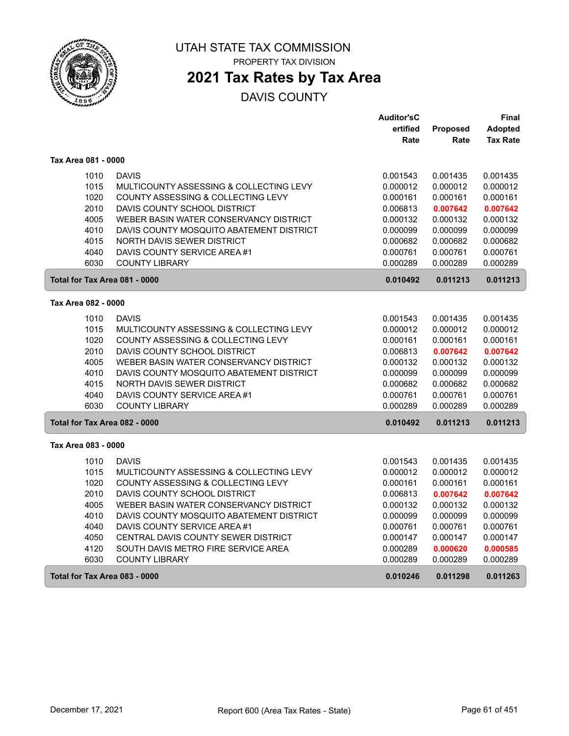

### **2021 Tax Rates by Tax Area**

|                               |                                          | <b>Auditor'sC</b> |          | Final           |
|-------------------------------|------------------------------------------|-------------------|----------|-----------------|
|                               |                                          | ertified          | Proposed | Adopted         |
|                               |                                          | Rate              | Rate     | <b>Tax Rate</b> |
| Tax Area 081 - 0000           |                                          |                   |          |                 |
| 1010                          | <b>DAVIS</b>                             | 0.001543          | 0.001435 | 0.001435        |
| 1015                          | MULTICOUNTY ASSESSING & COLLECTING LEVY  | 0.000012          | 0.000012 | 0.000012        |
| 1020                          | COUNTY ASSESSING & COLLECTING LEVY       | 0.000161          | 0.000161 | 0.000161        |
| 2010                          | DAVIS COUNTY SCHOOL DISTRICT             | 0.006813          | 0.007642 | 0.007642        |
| 4005                          | WEBER BASIN WATER CONSERVANCY DISTRICT   | 0.000132          | 0.000132 | 0.000132        |
| 4010                          | DAVIS COUNTY MOSQUITO ABATEMENT DISTRICT | 0.000099          | 0.000099 | 0.000099        |
| 4015                          | NORTH DAVIS SEWER DISTRICT               | 0.000682          | 0.000682 | 0.000682        |
| 4040                          | DAVIS COUNTY SERVICE AREA #1             | 0.000761          | 0.000761 | 0.000761        |
| 6030                          | <b>COUNTY LIBRARY</b>                    | 0.000289          | 0.000289 | 0.000289        |
| Total for Tax Area 081 - 0000 |                                          | 0.010492          | 0.011213 | 0.011213        |
| Tax Area 082 - 0000           |                                          |                   |          |                 |
| 1010                          | <b>DAVIS</b>                             | 0.001543          | 0.001435 | 0.001435        |
| 1015                          | MULTICOUNTY ASSESSING & COLLECTING LEVY  | 0.000012          | 0.000012 | 0.000012        |
| 1020                          | COUNTY ASSESSING & COLLECTING LEVY       | 0.000161          | 0.000161 | 0.000161        |
| 2010                          | DAVIS COUNTY SCHOOL DISTRICT             | 0.006813          | 0.007642 | 0.007642        |
| 4005                          | WEBER BASIN WATER CONSERVANCY DISTRICT   | 0.000132          | 0.000132 | 0.000132        |
| 4010                          | DAVIS COUNTY MOSQUITO ABATEMENT DISTRICT | 0.000099          | 0.000099 | 0.000099        |
| 4015                          | NORTH DAVIS SEWER DISTRICT               | 0.000682          | 0.000682 | 0.000682        |
| 4040                          | DAVIS COUNTY SERVICE AREA #1             | 0.000761          | 0.000761 | 0.000761        |
| 6030                          | <b>COUNTY LIBRARY</b>                    | 0.000289          | 0.000289 | 0.000289        |
| Total for Tax Area 082 - 0000 |                                          | 0.010492          | 0.011213 | 0.011213        |
| Tax Area 083 - 0000           |                                          |                   |          |                 |
| 1010                          | <b>DAVIS</b>                             | 0.001543          | 0.001435 | 0.001435        |
| 1015                          | MULTICOUNTY ASSESSING & COLLECTING LEVY  | 0.000012          | 0.000012 | 0.000012        |
| 1020                          | COUNTY ASSESSING & COLLECTING LEVY       | 0.000161          | 0.000161 | 0.000161        |
| 2010                          | DAVIS COUNTY SCHOOL DISTRICT             | 0.006813          | 0.007642 | 0.007642        |
| 4005                          | WEBER BASIN WATER CONSERVANCY DISTRICT   | 0.000132          | 0.000132 | 0.000132        |
| 4010                          | DAVIS COUNTY MOSQUITO ABATEMENT DISTRICT | 0.000099          | 0.000099 | 0.000099        |
| 4040                          | DAVIS COUNTY SERVICE AREA #1             | 0.000761          | 0.000761 | 0.000761        |
| 4050                          | CENTRAL DAVIS COUNTY SEWER DISTRICT      | 0.000147          | 0.000147 | 0.000147        |
| 4120                          | SOUTH DAVIS METRO FIRE SERVICE AREA      | 0.000289          | 0.000620 | 0.000585        |
| 6030                          | <b>COUNTY LIBRARY</b>                    | 0.000289          | 0.000289 | 0.000289        |
| Total for Tax Area 083 - 0000 |                                          | 0.010246          | 0.011298 | 0.011263        |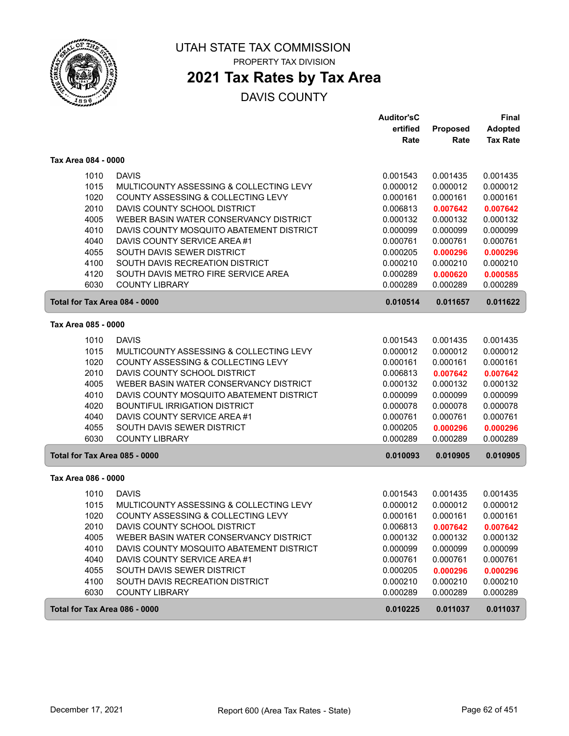

# **2021 Tax Rates by Tax Area**

|                               |                                          | <b>Auditor'sC</b> |          | <b>Final</b>    |
|-------------------------------|------------------------------------------|-------------------|----------|-----------------|
|                               |                                          | ertified          | Proposed | <b>Adopted</b>  |
|                               |                                          | Rate              | Rate     | <b>Tax Rate</b> |
| Tax Area 084 - 0000           |                                          |                   |          |                 |
| 1010                          | <b>DAVIS</b>                             | 0.001543          | 0.001435 | 0.001435        |
| 1015                          | MULTICOUNTY ASSESSING & COLLECTING LEVY  | 0.000012          | 0.000012 | 0.000012        |
| 1020                          | COUNTY ASSESSING & COLLECTING LEVY       | 0.000161          | 0.000161 | 0.000161        |
| 2010                          | DAVIS COUNTY SCHOOL DISTRICT             | 0.006813          | 0.007642 | 0.007642        |
| 4005                          | WEBER BASIN WATER CONSERVANCY DISTRICT   | 0.000132          | 0.000132 | 0.000132        |
| 4010                          | DAVIS COUNTY MOSQUITO ABATEMENT DISTRICT | 0.000099          | 0.000099 | 0.000099        |
| 4040                          | DAVIS COUNTY SERVICE AREA #1             | 0.000761          | 0.000761 | 0.000761        |
| 4055                          | SOUTH DAVIS SEWER DISTRICT               | 0.000205          | 0.000296 | 0.000296        |
| 4100                          | SOUTH DAVIS RECREATION DISTRICT          | 0.000210          | 0.000210 | 0.000210        |
| 4120                          | SOUTH DAVIS METRO FIRE SERVICE AREA      | 0.000289          | 0.000620 | 0.000585        |
| 6030                          | <b>COUNTY LIBRARY</b>                    | 0.000289          | 0.000289 | 0.000289        |
| Total for Tax Area 084 - 0000 |                                          | 0.010514          | 0.011657 | 0.011622        |
| Tax Area 085 - 0000           |                                          |                   |          |                 |
| 1010                          | <b>DAVIS</b>                             | 0.001543          | 0.001435 | 0.001435        |
| 1015                          | MULTICOUNTY ASSESSING & COLLECTING LEVY  | 0.000012          | 0.000012 | 0.000012        |
| 1020                          | COUNTY ASSESSING & COLLECTING LEVY       | 0.000161          | 0.000161 | 0.000161        |
| 2010                          | DAVIS COUNTY SCHOOL DISTRICT             | 0.006813          | 0.007642 | 0.007642        |
| 4005                          | WEBER BASIN WATER CONSERVANCY DISTRICT   | 0.000132          | 0.000132 | 0.000132        |
| 4010                          | DAVIS COUNTY MOSQUITO ABATEMENT DISTRICT | 0.000099          | 0.000099 | 0.000099        |
| 4020                          | <b>BOUNTIFUL IRRIGATION DISTRICT</b>     | 0.000078          | 0.000078 | 0.000078        |
| 4040                          | DAVIS COUNTY SERVICE AREA #1             | 0.000761          | 0.000761 | 0.000761        |
| 4055                          | SOUTH DAVIS SEWER DISTRICT               | 0.000205          | 0.000296 | 0.000296        |
| 6030                          | <b>COUNTY LIBRARY</b>                    | 0.000289          | 0.000289 | 0.000289        |
| Total for Tax Area 085 - 0000 |                                          | 0.010093          | 0.010905 | 0.010905        |
| Tax Area 086 - 0000           |                                          |                   |          |                 |
| 1010                          | <b>DAVIS</b>                             | 0.001543          | 0.001435 | 0.001435        |
| 1015                          | MULTICOUNTY ASSESSING & COLLECTING LEVY  | 0.000012          | 0.000012 | 0.000012        |
| 1020                          | COUNTY ASSESSING & COLLECTING LEVY       | 0.000161          | 0.000161 | 0.000161        |
| 2010                          | DAVIS COUNTY SCHOOL DISTRICT             | 0.006813          | 0.007642 | 0.007642        |
| 4005                          | WEBER BASIN WATER CONSERVANCY DISTRICT   | 0.000132          | 0.000132 | 0.000132        |
| 4010                          | DAVIS COUNTY MOSQUITO ABATEMENT DISTRICT | 0.000099          | 0.000099 | 0.000099        |
| 4040                          | DAVIS COUNTY SERVICE AREA #1             | 0.000761          | 0.000761 | 0.000761        |
| 4055                          | SOUTH DAVIS SEWER DISTRICT               | 0.000205          | 0.000296 | 0.000296        |
| 4100                          | SOUTH DAVIS RECREATION DISTRICT          | 0.000210          | 0.000210 | 0.000210        |
| 6030                          | <b>COUNTY LIBRARY</b>                    | 0.000289          | 0.000289 | 0.000289        |
| Total for Tax Area 086 - 0000 |                                          | 0.010225          | 0.011037 | 0.011037        |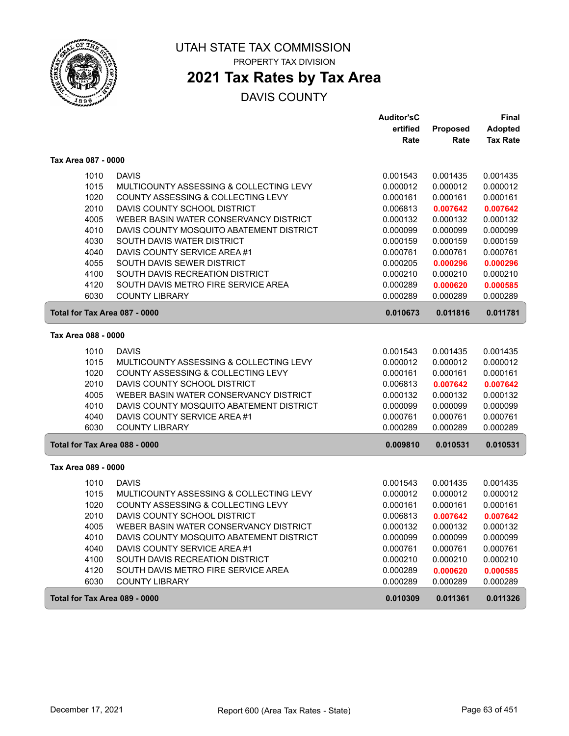

# **2021 Tax Rates by Tax Area**

|                               |                                          | <b>Auditor'sC</b> |          | <b>Final</b>    |
|-------------------------------|------------------------------------------|-------------------|----------|-----------------|
|                               |                                          | ertified          | Proposed | <b>Adopted</b>  |
|                               |                                          | Rate              | Rate     | <b>Tax Rate</b> |
| Tax Area 087 - 0000           |                                          |                   |          |                 |
| 1010                          | <b>DAVIS</b>                             | 0.001543          | 0.001435 | 0.001435        |
| 1015                          | MULTICOUNTY ASSESSING & COLLECTING LEVY  | 0.000012          | 0.000012 | 0.000012        |
| 1020                          | COUNTY ASSESSING & COLLECTING LEVY       | 0.000161          | 0.000161 | 0.000161        |
| 2010                          | DAVIS COUNTY SCHOOL DISTRICT             | 0.006813          | 0.007642 | 0.007642        |
| 4005                          | WEBER BASIN WATER CONSERVANCY DISTRICT   | 0.000132          | 0.000132 | 0.000132        |
| 4010                          | DAVIS COUNTY MOSQUITO ABATEMENT DISTRICT | 0.000099          | 0.000099 | 0.000099        |
| 4030                          | SOUTH DAVIS WATER DISTRICT               | 0.000159          | 0.000159 | 0.000159        |
| 4040                          | DAVIS COUNTY SERVICE AREA #1             | 0.000761          | 0.000761 | 0.000761        |
| 4055                          | SOUTH DAVIS SEWER DISTRICT               | 0.000205          | 0.000296 | 0.000296        |
| 4100                          | SOUTH DAVIS RECREATION DISTRICT          | 0.000210          | 0.000210 | 0.000210        |
| 4120                          | SOUTH DAVIS METRO FIRE SERVICE AREA      | 0.000289          | 0.000620 | 0.000585        |
| 6030                          | <b>COUNTY LIBRARY</b>                    | 0.000289          | 0.000289 | 0.000289        |
| Total for Tax Area 087 - 0000 |                                          | 0.010673          | 0.011816 | 0.011781        |
| Tax Area 088 - 0000           |                                          |                   |          |                 |
| 1010                          | <b>DAVIS</b>                             | 0.001543          | 0.001435 | 0.001435        |
| 1015                          | MULTICOUNTY ASSESSING & COLLECTING LEVY  | 0.000012          | 0.000012 | 0.000012        |
| 1020                          | COUNTY ASSESSING & COLLECTING LEVY       | 0.000161          | 0.000161 | 0.000161        |
| 2010                          | DAVIS COUNTY SCHOOL DISTRICT             | 0.006813          | 0.007642 | 0.007642        |
| 4005                          | WEBER BASIN WATER CONSERVANCY DISTRICT   | 0.000132          | 0.000132 | 0.000132        |
| 4010                          | DAVIS COUNTY MOSQUITO ABATEMENT DISTRICT | 0.000099          | 0.000099 | 0.000099        |
| 4040                          | DAVIS COUNTY SERVICE AREA #1             | 0.000761          | 0.000761 | 0.000761        |
| 6030                          | <b>COUNTY LIBRARY</b>                    | 0.000289          | 0.000289 | 0.000289        |
| Total for Tax Area 088 - 0000 |                                          | 0.009810          | 0.010531 | 0.010531        |
| Tax Area 089 - 0000           |                                          |                   |          |                 |
| 1010                          | <b>DAVIS</b>                             | 0.001543          | 0.001435 | 0.001435        |
| 1015                          | MULTICOUNTY ASSESSING & COLLECTING LEVY  | 0.000012          | 0.000012 | 0.000012        |
| 1020                          | COUNTY ASSESSING & COLLECTING LEVY       | 0.000161          | 0.000161 | 0.000161        |
| 2010                          | DAVIS COUNTY SCHOOL DISTRICT             | 0.006813          | 0.007642 | 0.007642        |
| 4005                          | WEBER BASIN WATER CONSERVANCY DISTRICT   | 0.000132          | 0.000132 | 0.000132        |
| 4010                          | DAVIS COUNTY MOSQUITO ABATEMENT DISTRICT | 0.000099          | 0.000099 | 0.000099        |
| 4040                          | DAVIS COUNTY SERVICE AREA #1             | 0.000761          | 0.000761 | 0.000761        |
| 4100                          | SOUTH DAVIS RECREATION DISTRICT          | 0.000210          | 0.000210 | 0.000210        |
| 4120                          | SOUTH DAVIS METRO FIRE SERVICE AREA      | 0.000289          | 0.000620 | 0.000585        |
| 6030                          | <b>COUNTY LIBRARY</b>                    | 0.000289          | 0.000289 | 0.000289        |
| Total for Tax Area 089 - 0000 |                                          | 0.010309          | 0.011361 | 0.011326        |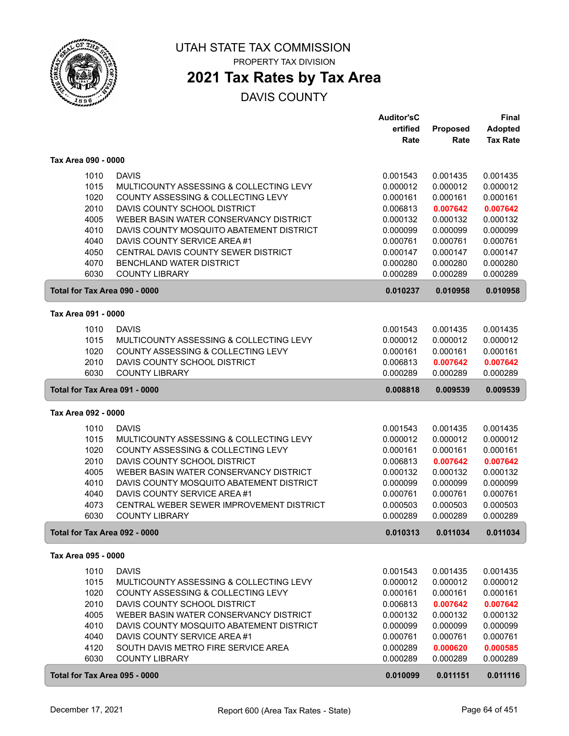

### **2021 Tax Rates by Tax Area**

|                               |                                          | <b>Auditor'sC</b> |          | Final           |
|-------------------------------|------------------------------------------|-------------------|----------|-----------------|
|                               |                                          | ertified          | Proposed | <b>Adopted</b>  |
|                               |                                          | Rate              | Rate     | <b>Tax Rate</b> |
| Tax Area 090 - 0000           |                                          |                   |          |                 |
| 1010                          | <b>DAVIS</b>                             | 0.001543          | 0.001435 | 0.001435        |
| 1015                          | MULTICOUNTY ASSESSING & COLLECTING LEVY  | 0.000012          | 0.000012 | 0.000012        |
| 1020                          | COUNTY ASSESSING & COLLECTING LEVY       | 0.000161          | 0.000161 | 0.000161        |
| 2010                          | DAVIS COUNTY SCHOOL DISTRICT             | 0.006813          | 0.007642 | 0.007642        |
| 4005                          | WEBER BASIN WATER CONSERVANCY DISTRICT   | 0.000132          | 0.000132 | 0.000132        |
| 4010                          | DAVIS COUNTY MOSQUITO ABATEMENT DISTRICT | 0.000099          | 0.000099 | 0.000099        |
| 4040                          | DAVIS COUNTY SERVICE AREA #1             | 0.000761          | 0.000761 | 0.000761        |
| 4050                          | CENTRAL DAVIS COUNTY SEWER DISTRICT      | 0.000147          | 0.000147 | 0.000147        |
| 4070                          | BENCHLAND WATER DISTRICT                 | 0.000280          | 0.000280 | 0.000280        |
| 6030                          | <b>COUNTY LIBRARY</b>                    | 0.000289          | 0.000289 | 0.000289        |
| Total for Tax Area 090 - 0000 |                                          | 0.010237          | 0.010958 | 0.010958        |
| Tax Area 091 - 0000           |                                          |                   |          |                 |
| 1010                          | <b>DAVIS</b>                             | 0.001543          | 0.001435 | 0.001435        |
| 1015                          | MULTICOUNTY ASSESSING & COLLECTING LEVY  | 0.000012          | 0.000012 | 0.000012        |
| 1020                          | COUNTY ASSESSING & COLLECTING LEVY       | 0.000161          | 0.000161 | 0.000161        |
| 2010                          | DAVIS COUNTY SCHOOL DISTRICT             | 0.006813          | 0.007642 | 0.007642        |
| 6030                          | <b>COUNTY LIBRARY</b>                    | 0.000289          | 0.000289 | 0.000289        |
| Total for Tax Area 091 - 0000 |                                          | 0.008818          | 0.009539 | 0.009539        |
|                               |                                          |                   |          |                 |
| Tax Area 092 - 0000           |                                          |                   |          |                 |
| 1010                          | <b>DAVIS</b>                             | 0.001543          | 0.001435 | 0.001435        |
| 1015                          | MULTICOUNTY ASSESSING & COLLECTING LEVY  | 0.000012          | 0.000012 | 0.000012        |
| 1020                          | COUNTY ASSESSING & COLLECTING LEVY       | 0.000161          | 0.000161 | 0.000161        |
| 2010                          | DAVIS COUNTY SCHOOL DISTRICT             | 0.006813          | 0.007642 | 0.007642        |
| 4005                          | WEBER BASIN WATER CONSERVANCY DISTRICT   | 0.000132          | 0.000132 | 0.000132        |
| 4010                          | DAVIS COUNTY MOSQUITO ABATEMENT DISTRICT | 0.000099          | 0.000099 | 0.000099        |
| 4040                          | DAVIS COUNTY SERVICE AREA #1             | 0.000761          | 0.000761 | 0.000761        |
| 4073                          | CENTRAL WEBER SEWER IMPROVEMENT DISTRICT | 0.000503          | 0.000503 | 0.000503        |
| 6030                          | <b>COUNTY LIBRARY</b>                    | 0.000289          | 0.000289 | 0.000289        |
| Total for Tax Area 092 - 0000 |                                          | 0.010313          | 0.011034 | 0.011034        |
| Tax Area 095 - 0000           |                                          |                   |          |                 |
| 1010                          | <b>DAVIS</b>                             | 0.001543          | 0.001435 | 0.001435        |
| 1015                          | MULTICOUNTY ASSESSING & COLLECTING LEVY  | 0.000012          | 0.000012 | 0.000012        |
| 1020                          | COUNTY ASSESSING & COLLECTING LEVY       | 0.000161          | 0.000161 | 0.000161        |
| 2010                          | DAVIS COUNTY SCHOOL DISTRICT             | 0.006813          | 0.007642 | 0.007642        |
| 4005                          | WEBER BASIN WATER CONSERVANCY DISTRICT   | 0.000132          | 0.000132 | 0.000132        |
| 4010                          | DAVIS COUNTY MOSQUITO ABATEMENT DISTRICT | 0.000099          | 0.000099 | 0.000099        |
| 4040                          | DAVIS COUNTY SERVICE AREA #1             | 0.000761          | 0.000761 | 0.000761        |
| 4120                          | SOUTH DAVIS METRO FIRE SERVICE AREA      | 0.000289          | 0.000620 | 0.000585        |
| 6030                          | <b>COUNTY LIBRARY</b>                    | 0.000289          | 0.000289 | 0.000289        |
| Total for Tax Area 095 - 0000 |                                          | 0.010099          | 0.011151 | 0.011116        |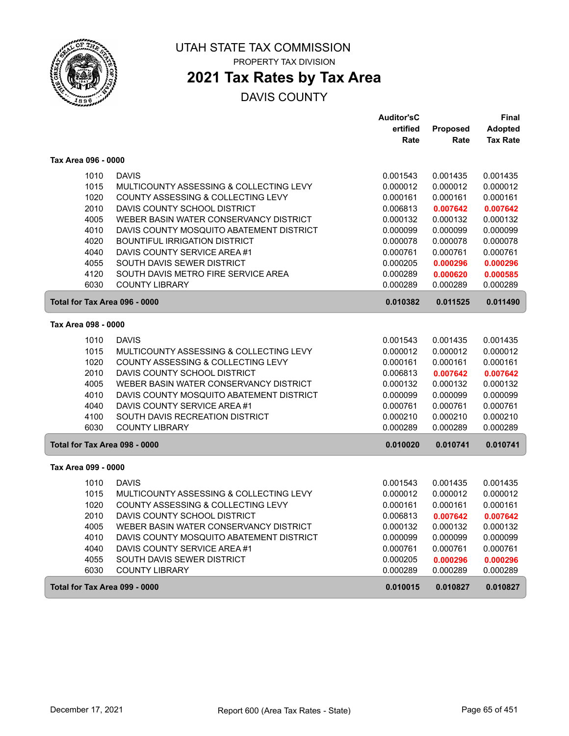

# **2021 Tax Rates by Tax Area**

|                               |                                          | <b>Auditor'sC</b> |          | Final           |
|-------------------------------|------------------------------------------|-------------------|----------|-----------------|
|                               |                                          | ertified          | Proposed | <b>Adopted</b>  |
|                               |                                          | Rate              | Rate     | <b>Tax Rate</b> |
| Tax Area 096 - 0000           |                                          |                   |          |                 |
| 1010                          | <b>DAVIS</b>                             | 0.001543          | 0.001435 | 0.001435        |
| 1015                          | MULTICOUNTY ASSESSING & COLLECTING LEVY  | 0.000012          | 0.000012 | 0.000012        |
| 1020                          | COUNTY ASSESSING & COLLECTING LEVY       | 0.000161          | 0.000161 | 0.000161        |
| 2010                          | DAVIS COUNTY SCHOOL DISTRICT             | 0.006813          | 0.007642 | 0.007642        |
| 4005                          | WEBER BASIN WATER CONSERVANCY DISTRICT   | 0.000132          | 0.000132 | 0.000132        |
| 4010                          | DAVIS COUNTY MOSQUITO ABATEMENT DISTRICT | 0.000099          | 0.000099 | 0.000099        |
| 4020                          | <b>BOUNTIFUL IRRIGATION DISTRICT</b>     | 0.000078          | 0.000078 | 0.000078        |
| 4040                          | DAVIS COUNTY SERVICE AREA #1             | 0.000761          | 0.000761 | 0.000761        |
| 4055                          | SOUTH DAVIS SEWER DISTRICT               | 0.000205          | 0.000296 | 0.000296        |
| 4120                          | SOUTH DAVIS METRO FIRE SERVICE AREA      | 0.000289          | 0.000620 | 0.000585        |
| 6030                          | <b>COUNTY LIBRARY</b>                    | 0.000289          | 0.000289 | 0.000289        |
| Total for Tax Area 096 - 0000 |                                          | 0.010382          | 0.011525 | 0.011490        |
| Tax Area 098 - 0000           |                                          |                   |          |                 |
| 1010                          | <b>DAVIS</b>                             | 0.001543          | 0.001435 | 0.001435        |
| 1015                          | MULTICOUNTY ASSESSING & COLLECTING LEVY  | 0.000012          | 0.000012 | 0.000012        |
| 1020                          | COUNTY ASSESSING & COLLECTING LEVY       | 0.000161          | 0.000161 | 0.000161        |
| 2010                          | DAVIS COUNTY SCHOOL DISTRICT             | 0.006813          | 0.007642 | 0.007642        |
| 4005                          | WEBER BASIN WATER CONSERVANCY DISTRICT   | 0.000132          | 0.000132 | 0.000132        |
| 4010                          | DAVIS COUNTY MOSQUITO ABATEMENT DISTRICT | 0.000099          | 0.000099 | 0.000099        |
| 4040                          | DAVIS COUNTY SERVICE AREA #1             | 0.000761          | 0.000761 | 0.000761        |
| 4100                          | SOUTH DAVIS RECREATION DISTRICT          | 0.000210          | 0.000210 | 0.000210        |
| 6030                          | <b>COUNTY LIBRARY</b>                    | 0.000289          | 0.000289 | 0.000289        |
| Total for Tax Area 098 - 0000 |                                          | 0.010020          | 0.010741 | 0.010741        |
| Tax Area 099 - 0000           |                                          |                   |          |                 |
| 1010                          | <b>DAVIS</b>                             | 0.001543          | 0.001435 | 0.001435        |
| 1015                          | MULTICOUNTY ASSESSING & COLLECTING LEVY  | 0.000012          | 0.000012 | 0.000012        |
| 1020                          | COUNTY ASSESSING & COLLECTING LEVY       | 0.000161          | 0.000161 | 0.000161        |
| 2010                          | DAVIS COUNTY SCHOOL DISTRICT             | 0.006813          | 0.007642 | 0.007642        |
| 4005                          | WEBER BASIN WATER CONSERVANCY DISTRICT   | 0.000132          | 0.000132 | 0.000132        |
| 4010                          | DAVIS COUNTY MOSQUITO ABATEMENT DISTRICT | 0.000099          | 0.000099 | 0.000099        |
| 4040                          | DAVIS COUNTY SERVICE AREA #1             | 0.000761          | 0.000761 | 0.000761        |
| 4055                          | SOUTH DAVIS SEWER DISTRICT               | 0.000205          | 0.000296 | 0.000296        |
| 6030                          | <b>COUNTY LIBRARY</b>                    | 0.000289          | 0.000289 | 0.000289        |
| Total for Tax Area 099 - 0000 |                                          | 0.010015          | 0.010827 | 0.010827        |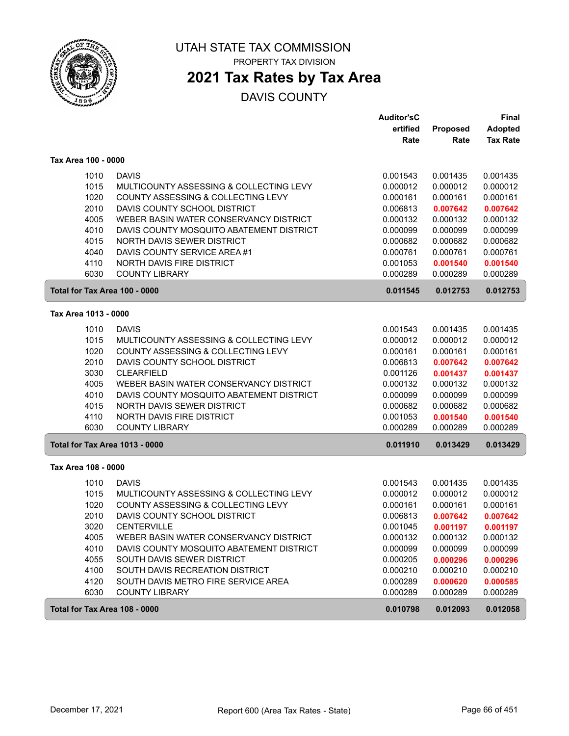

# **2021 Tax Rates by Tax Area**

|                                       |                                          | <b>Auditor'sC</b> |          | Final           |
|---------------------------------------|------------------------------------------|-------------------|----------|-----------------|
|                                       |                                          | ertified          | Proposed | <b>Adopted</b>  |
|                                       |                                          | Rate              | Rate     | <b>Tax Rate</b> |
| Tax Area 100 - 0000                   |                                          |                   |          |                 |
| 1010                                  | <b>DAVIS</b>                             | 0.001543          | 0.001435 | 0.001435        |
| 1015                                  | MULTICOUNTY ASSESSING & COLLECTING LEVY  | 0.000012          | 0.000012 | 0.000012        |
| 1020                                  | COUNTY ASSESSING & COLLECTING LEVY       | 0.000161          | 0.000161 | 0.000161        |
| 2010                                  | DAVIS COUNTY SCHOOL DISTRICT             | 0.006813          | 0.007642 | 0.007642        |
| 4005                                  | WEBER BASIN WATER CONSERVANCY DISTRICT   | 0.000132          | 0.000132 | 0.000132        |
| 4010                                  | DAVIS COUNTY MOSQUITO ABATEMENT DISTRICT | 0.000099          | 0.000099 | 0.000099        |
| 4015                                  | NORTH DAVIS SEWER DISTRICT               | 0.000682          | 0.000682 | 0.000682        |
| 4040                                  | DAVIS COUNTY SERVICE AREA #1             | 0.000761          | 0.000761 | 0.000761        |
| 4110                                  | NORTH DAVIS FIRE DISTRICT                | 0.001053          | 0.001540 | 0.001540        |
| 6030                                  | <b>COUNTY LIBRARY</b>                    | 0.000289          | 0.000289 | 0.000289        |
| Total for Tax Area 100 - 0000         |                                          | 0.011545          | 0.012753 | 0.012753        |
| Tax Area 1013 - 0000                  |                                          |                   |          |                 |
| 1010                                  | <b>DAVIS</b>                             | 0.001543          | 0.001435 | 0.001435        |
| 1015                                  | MULTICOUNTY ASSESSING & COLLECTING LEVY  | 0.000012          | 0.000012 | 0.000012        |
| 1020                                  | COUNTY ASSESSING & COLLECTING LEVY       | 0.000161          | 0.000161 | 0.000161        |
| 2010                                  | DAVIS COUNTY SCHOOL DISTRICT             | 0.006813          | 0.007642 | 0.007642        |
| 3030                                  | <b>CLEARFIELD</b>                        | 0.001126          | 0.001437 | 0.001437        |
| 4005                                  | WEBER BASIN WATER CONSERVANCY DISTRICT   | 0.000132          | 0.000132 | 0.000132        |
| 4010                                  | DAVIS COUNTY MOSQUITO ABATEMENT DISTRICT | 0.000099          | 0.000099 | 0.000099        |
| 4015                                  | NORTH DAVIS SEWER DISTRICT               | 0.000682          | 0.000682 | 0.000682        |
| 4110                                  | <b>NORTH DAVIS FIRE DISTRICT</b>         | 0.001053          | 0.001540 | 0.001540        |
| 6030                                  | <b>COUNTY LIBRARY</b>                    | 0.000289          | 0.000289 | 0.000289        |
| <b>Total for Tax Area 1013 - 0000</b> |                                          | 0.011910          | 0.013429 | 0.013429        |
| Tax Area 108 - 0000                   |                                          |                   |          |                 |
| 1010                                  | <b>DAVIS</b>                             | 0.001543          | 0.001435 | 0.001435        |
| 1015                                  | MULTICOUNTY ASSESSING & COLLECTING LEVY  | 0.000012          | 0.000012 | 0.000012        |
| 1020                                  | COUNTY ASSESSING & COLLECTING LEVY       | 0.000161          | 0.000161 | 0.000161        |
| 2010                                  | DAVIS COUNTY SCHOOL DISTRICT             | 0.006813          | 0.007642 | 0.007642        |
| 3020                                  | <b>CENTERVILLE</b>                       | 0.001045          | 0.001197 | 0.001197        |
| 4005                                  | WEBER BASIN WATER CONSERVANCY DISTRICT   | 0.000132          | 0.000132 | 0.000132        |
| 4010                                  | DAVIS COUNTY MOSQUITO ABATEMENT DISTRICT | 0.000099          | 0.000099 | 0.000099        |
| 4055                                  | SOUTH DAVIS SEWER DISTRICT               | 0.000205          | 0.000296 | 0.000296        |
| 4100                                  | SOUTH DAVIS RECREATION DISTRICT          | 0.000210          | 0.000210 | 0.000210        |
| 4120                                  | SOUTH DAVIS METRO FIRE SERVICE AREA      | 0.000289          | 0.000620 | 0.000585        |
| 6030                                  | <b>COUNTY LIBRARY</b>                    | 0.000289          | 0.000289 | 0.000289        |
| Total for Tax Area 108 - 0000         |                                          | 0.010798          | 0.012093 | 0.012058        |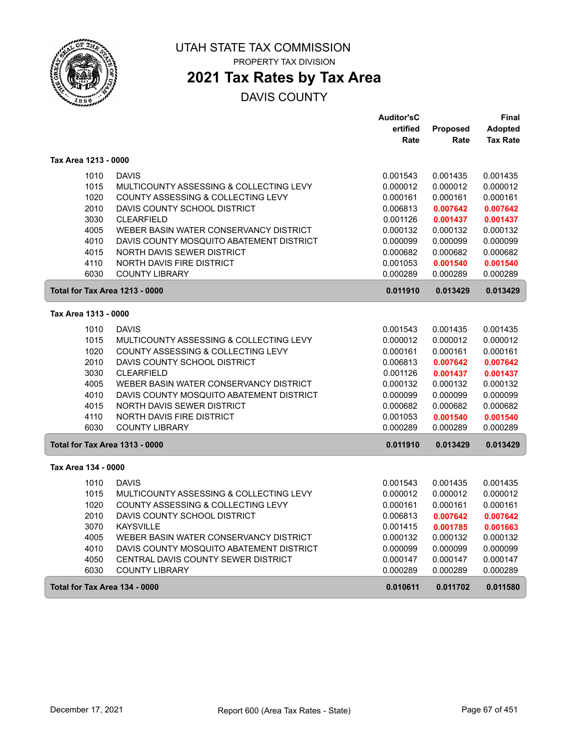

PROPERTY TAX DIVISION

# **2021 Tax Rates by Tax Area**

|                                       |                                            | <b>Auditor'sC</b> |          | Final           |
|---------------------------------------|--------------------------------------------|-------------------|----------|-----------------|
|                                       |                                            | ertified          | Proposed | <b>Adopted</b>  |
|                                       |                                            | Rate              | Rate     | <b>Tax Rate</b> |
| Tax Area 1213 - 0000                  |                                            |                   |          |                 |
| 1010                                  | <b>DAVIS</b>                               | 0.001543          | 0.001435 | 0.001435        |
| 1015                                  | MULTICOUNTY ASSESSING & COLLECTING LEVY    | 0.000012          | 0.000012 | 0.000012        |
| 1020                                  | COUNTY ASSESSING & COLLECTING LEVY         | 0.000161          | 0.000161 | 0.000161        |
| 2010                                  | DAVIS COUNTY SCHOOL DISTRICT               | 0.006813          | 0.007642 | 0.007642        |
| 3030                                  | <b>CLEARFIELD</b>                          | 0.001126          | 0.001437 | 0.001437        |
| 4005                                  | WEBER BASIN WATER CONSERVANCY DISTRICT     | 0.000132          | 0.000132 | 0.000132        |
| 4010                                  | DAVIS COUNTY MOSQUITO ABATEMENT DISTRICT   | 0.000099          | 0.000099 | 0.000099        |
| 4015                                  | <b>NORTH DAVIS SEWER DISTRICT</b>          | 0.000682          | 0.000682 | 0.000682        |
| 4110                                  | <b>NORTH DAVIS FIRE DISTRICT</b>           | 0.001053          | 0.001540 | 0.001540        |
| 6030                                  | <b>COUNTY LIBRARY</b>                      | 0.000289          | 0.000289 | 0.000289        |
| <b>Total for Tax Area 1213 - 0000</b> |                                            | 0.011910          | 0.013429 | 0.013429        |
| Tax Area 1313 - 0000                  |                                            |                   |          |                 |
| 1010                                  | <b>DAVIS</b>                               | 0.001543          | 0.001435 | 0.001435        |
| 1015                                  | MULTICOUNTY ASSESSING & COLLECTING LEVY    | 0.000012          | 0.000012 | 0.000012        |
| 1020                                  | COUNTY ASSESSING & COLLECTING LEVY         | 0.000161          | 0.000161 | 0.000161        |
| 2010                                  | DAVIS COUNTY SCHOOL DISTRICT               | 0.006813          | 0.007642 | 0.007642        |
| 3030                                  | <b>CLEARFIELD</b>                          | 0.001126          | 0.001437 | 0.001437        |
| 4005                                  | WEBER BASIN WATER CONSERVANCY DISTRICT     | 0.000132          | 0.000132 | 0.000132        |
| 4010                                  | DAVIS COUNTY MOSQUITO ABATEMENT DISTRICT   | 0.000099          | 0.000099 | 0.000099        |
| 4015                                  | NORTH DAVIS SEWER DISTRICT                 | 0.000682          | 0.000682 | 0.000682        |
| 4110                                  | NORTH DAVIS FIRE DISTRICT                  | 0.001053          | 0.001540 | 0.001540        |
| 6030                                  | <b>COUNTY LIBRARY</b>                      | 0.000289          | 0.000289 | 0.000289        |
| Total for Tax Area 1313 - 0000        |                                            | 0.011910          | 0.013429 | 0.013429        |
| Tax Area 134 - 0000                   |                                            |                   |          |                 |
| 1010                                  | <b>DAVIS</b>                               | 0.001543          | 0.001435 | 0.001435        |
| 1015                                  | MULTICOUNTY ASSESSING & COLLECTING LEVY    | 0.000012          | 0.000012 | 0.000012        |
| 1020                                  | COUNTY ASSESSING & COLLECTING LEVY         | 0.000161          | 0.000161 | 0.000161        |
| 2010                                  | DAVIS COUNTY SCHOOL DISTRICT               | 0.006813          | 0.007642 | 0.007642        |
| 3070                                  | <b>KAYSVILLE</b>                           | 0.001415          | 0.001785 | 0.001663        |
| 4005                                  | WEBER BASIN WATER CONSERVANCY DISTRICT     | 0.000132          | 0.000132 | 0.000132        |
| 4010                                  | DAVIS COUNTY MOSQUITO ABATEMENT DISTRICT   | 0.000099          | 0.000099 | 0.000099        |
| 4050                                  | <b>CENTRAL DAVIS COUNTY SEWER DISTRICT</b> | 0.000147          | 0.000147 | 0.000147        |
| 6030                                  | <b>COUNTY LIBRARY</b>                      | 0.000289          | 0.000289 | 0.000289        |
| Total for Tax Area 134 - 0000         |                                            | 0.010611          | 0.011702 | 0.011580        |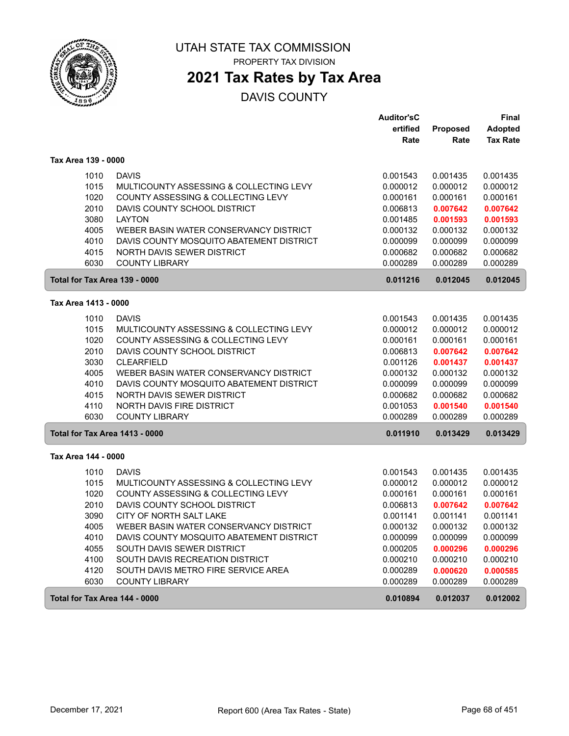

PROPERTY TAX DIVISION

# **2021 Tax Rates by Tax Area**

|                                |                                               | <b>Auditor'sC</b> |          | <b>Final</b>    |
|--------------------------------|-----------------------------------------------|-------------------|----------|-----------------|
|                                |                                               | ertified          | Proposed | <b>Adopted</b>  |
|                                |                                               | Rate              | Rate     | <b>Tax Rate</b> |
| Tax Area 139 - 0000            |                                               |                   |          |                 |
| 1010                           | <b>DAVIS</b>                                  | 0.001543          | 0.001435 | 0.001435        |
| 1015                           | MULTICOUNTY ASSESSING & COLLECTING LEVY       | 0.000012          | 0.000012 | 0.000012        |
| 1020                           | <b>COUNTY ASSESSING &amp; COLLECTING LEVY</b> | 0.000161          | 0.000161 | 0.000161        |
| 2010                           | DAVIS COUNTY SCHOOL DISTRICT                  | 0.006813          | 0.007642 | 0.007642        |
| 3080                           | <b>LAYTON</b>                                 | 0.001485          | 0.001593 | 0.001593        |
| 4005                           | WEBER BASIN WATER CONSERVANCY DISTRICT        | 0.000132          | 0.000132 | 0.000132        |
| 4010                           | DAVIS COUNTY MOSQUITO ABATEMENT DISTRICT      | 0.000099          | 0.000099 | 0.000099        |
| 4015                           | NORTH DAVIS SEWER DISTRICT                    | 0.000682          | 0.000682 | 0.000682        |
| 6030                           | <b>COUNTY LIBRARY</b>                         | 0.000289          | 0.000289 | 0.000289        |
| Total for Tax Area 139 - 0000  |                                               | 0.011216          | 0.012045 | 0.012045        |
| Tax Area 1413 - 0000           |                                               |                   |          |                 |
| 1010                           | <b>DAVIS</b>                                  | 0.001543          | 0.001435 | 0.001435        |
| 1015                           | MULTICOUNTY ASSESSING & COLLECTING LEVY       | 0.000012          | 0.000012 | 0.000012        |
| 1020                           | COUNTY ASSESSING & COLLECTING LEVY            | 0.000161          | 0.000161 | 0.000161        |
| 2010                           | DAVIS COUNTY SCHOOL DISTRICT                  | 0.006813          | 0.007642 | 0.007642        |
| 3030                           | <b>CLEARFIELD</b>                             | 0.001126          | 0.001437 | 0.001437        |
| 4005                           | WEBER BASIN WATER CONSERVANCY DISTRICT        | 0.000132          | 0.000132 | 0.000132        |
| 4010                           | DAVIS COUNTY MOSQUITO ABATEMENT DISTRICT      | 0.000099          | 0.000099 | 0.000099        |
| 4015                           | NORTH DAVIS SEWER DISTRICT                    | 0.000682          | 0.000682 | 0.000682        |
| 4110                           | NORTH DAVIS FIRE DISTRICT                     | 0.001053          | 0.001540 | 0.001540        |
| 6030                           | <b>COUNTY LIBRARY</b>                         | 0.000289          | 0.000289 | 0.000289        |
| Total for Tax Area 1413 - 0000 |                                               | 0.011910          | 0.013429 | 0.013429        |
| Tax Area 144 - 0000            |                                               |                   |          |                 |
| 1010                           | <b>DAVIS</b>                                  | 0.001543          | 0.001435 | 0.001435        |
| 1015                           | MULTICOUNTY ASSESSING & COLLECTING LEVY       | 0.000012          | 0.000012 | 0.000012        |
| 1020                           | COUNTY ASSESSING & COLLECTING LEVY            | 0.000161          | 0.000161 | 0.000161        |
| 2010                           | DAVIS COUNTY SCHOOL DISTRICT                  | 0.006813          | 0.007642 | 0.007642        |
| 3090                           | CITY OF NORTH SALT LAKE                       | 0.001141          | 0.001141 | 0.001141        |
| 4005                           | WEBER BASIN WATER CONSERVANCY DISTRICT        | 0.000132          | 0.000132 | 0.000132        |
| 4010                           | DAVIS COUNTY MOSQUITO ABATEMENT DISTRICT      | 0.000099          | 0.000099 | 0.000099        |
| 4055                           | SOUTH DAVIS SEWER DISTRICT                    | 0.000205          | 0.000296 | 0.000296        |
| 4100                           | SOUTH DAVIS RECREATION DISTRICT               | 0.000210          | 0.000210 | 0.000210        |
| 4120                           | SOUTH DAVIS METRO FIRE SERVICE AREA           | 0.000289          | 0.000620 | 0.000585        |
| 6030                           | <b>COUNTY LIBRARY</b>                         | 0.000289          | 0.000289 | 0.000289        |
| Total for Tax Area 144 - 0000  |                                               | 0.010894          | 0.012037 | 0.012002        |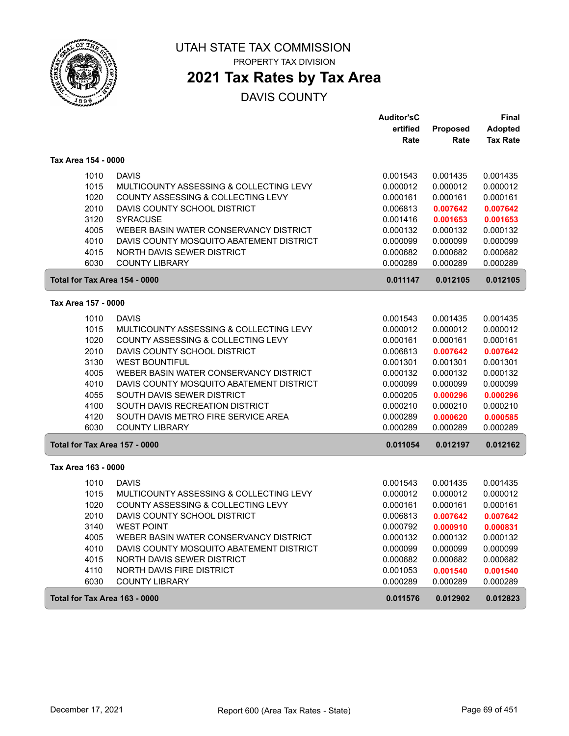

PROPERTY TAX DIVISION

# **2021 Tax Rates by Tax Area**

|                               |                                          | <b>Auditor'sC</b> |          | <b>Final</b>    |
|-------------------------------|------------------------------------------|-------------------|----------|-----------------|
|                               |                                          | ertified          | Proposed | <b>Adopted</b>  |
|                               |                                          | Rate              | Rate     | <b>Tax Rate</b> |
| Tax Area 154 - 0000           |                                          |                   |          |                 |
| 1010                          | <b>DAVIS</b>                             | 0.001543          | 0.001435 | 0.001435        |
| 1015                          | MULTICOUNTY ASSESSING & COLLECTING LEVY  | 0.000012          | 0.000012 | 0.000012        |
| 1020                          | COUNTY ASSESSING & COLLECTING LEVY       | 0.000161          | 0.000161 | 0.000161        |
| 2010                          | DAVIS COUNTY SCHOOL DISTRICT             | 0.006813          | 0.007642 | 0.007642        |
| 3120                          | <b>SYRACUSE</b>                          | 0.001416          | 0.001653 | 0.001653        |
| 4005                          | WEBER BASIN WATER CONSERVANCY DISTRICT   | 0.000132          | 0.000132 | 0.000132        |
| 4010                          | DAVIS COUNTY MOSQUITO ABATEMENT DISTRICT | 0.000099          | 0.000099 | 0.000099        |
| 4015                          | NORTH DAVIS SEWER DISTRICT               | 0.000682          | 0.000682 | 0.000682        |
| 6030                          | <b>COUNTY LIBRARY</b>                    | 0.000289          | 0.000289 | 0.000289        |
| Total for Tax Area 154 - 0000 |                                          | 0.011147          | 0.012105 | 0.012105        |
| Tax Area 157 - 0000           |                                          |                   |          |                 |
| 1010                          | <b>DAVIS</b>                             | 0.001543          | 0.001435 | 0.001435        |
| 1015                          | MULTICOUNTY ASSESSING & COLLECTING LEVY  | 0.000012          | 0.000012 | 0.000012        |
| 1020                          | COUNTY ASSESSING & COLLECTING LEVY       | 0.000161          | 0.000161 | 0.000161        |
| 2010                          | DAVIS COUNTY SCHOOL DISTRICT             | 0.006813          | 0.007642 | 0.007642        |
| 3130                          | <b>WEST BOUNTIFUL</b>                    | 0.001301          | 0.001301 | 0.001301        |
| 4005                          | WEBER BASIN WATER CONSERVANCY DISTRICT   | 0.000132          | 0.000132 | 0.000132        |
| 4010                          | DAVIS COUNTY MOSQUITO ABATEMENT DISTRICT | 0.000099          | 0.000099 | 0.000099        |
| 4055                          | SOUTH DAVIS SEWER DISTRICT               | 0.000205          | 0.000296 | 0.000296        |
| 4100                          | SOUTH DAVIS RECREATION DISTRICT          | 0.000210          | 0.000210 | 0.000210        |
| 4120                          | SOUTH DAVIS METRO FIRE SERVICE AREA      | 0.000289          | 0.000620 | 0.000585        |
| 6030                          | <b>COUNTY LIBRARY</b>                    | 0.000289          | 0.000289 | 0.000289        |
| Total for Tax Area 157 - 0000 |                                          | 0.011054          | 0.012197 | 0.012162        |
| Tax Area 163 - 0000           |                                          |                   |          |                 |
| 1010                          | <b>DAVIS</b>                             | 0.001543          | 0.001435 | 0.001435        |
| 1015                          | MULTICOUNTY ASSESSING & COLLECTING LEVY  | 0.000012          | 0.000012 | 0.000012        |
| 1020                          | COUNTY ASSESSING & COLLECTING LEVY       | 0.000161          | 0.000161 | 0.000161        |
| 2010                          | DAVIS COUNTY SCHOOL DISTRICT             | 0.006813          | 0.007642 | 0.007642        |
| 3140                          | <b>WEST POINT</b>                        | 0.000792          | 0.000910 | 0.000831        |
| 4005                          | WEBER BASIN WATER CONSERVANCY DISTRICT   | 0.000132          | 0.000132 | 0.000132        |
| 4010                          | DAVIS COUNTY MOSQUITO ABATEMENT DISTRICT | 0.000099          | 0.000099 | 0.000099        |
| 4015                          | NORTH DAVIS SEWER DISTRICT               | 0.000682          | 0.000682 | 0.000682        |
| 4110                          | NORTH DAVIS FIRE DISTRICT                | 0.001053          | 0.001540 | 0.001540        |
| 6030                          | <b>COUNTY LIBRARY</b>                    | 0.000289          | 0.000289 | 0.000289        |
| Total for Tax Area 163 - 0000 |                                          | 0.011576          | 0.012902 | 0.012823        |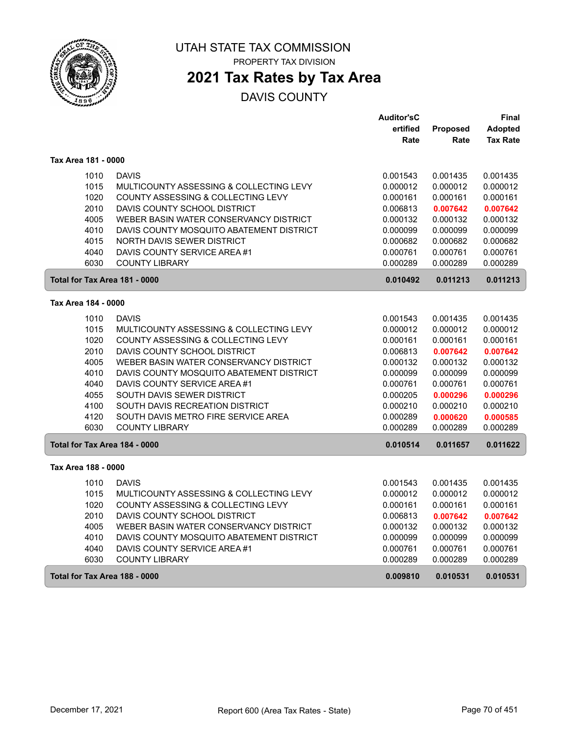

# **2021 Tax Rates by Tax Area**

|                               |                                          | <b>Auditor'sC</b> |                 | Final           |
|-------------------------------|------------------------------------------|-------------------|-----------------|-----------------|
|                               |                                          | ertified          | <b>Proposed</b> | <b>Adopted</b>  |
|                               |                                          | Rate              | Rate            | <b>Tax Rate</b> |
| Tax Area 181 - 0000           |                                          |                   |                 |                 |
| 1010                          | <b>DAVIS</b>                             | 0.001543          | 0.001435        | 0.001435        |
| 1015                          | MULTICOUNTY ASSESSING & COLLECTING LEVY  | 0.000012          | 0.000012        | 0.000012        |
| 1020                          | COUNTY ASSESSING & COLLECTING LEVY       | 0.000161          | 0.000161        | 0.000161        |
| 2010                          | DAVIS COUNTY SCHOOL DISTRICT             | 0.006813          | 0.007642        | 0.007642        |
| 4005                          | WEBER BASIN WATER CONSERVANCY DISTRICT   | 0.000132          | 0.000132        | 0.000132        |
| 4010                          | DAVIS COUNTY MOSQUITO ABATEMENT DISTRICT | 0.000099          | 0.000099        | 0.000099        |
| 4015                          | NORTH DAVIS SEWER DISTRICT               | 0.000682          | 0.000682        | 0.000682        |
| 4040                          | DAVIS COUNTY SERVICE AREA #1             | 0.000761          | 0.000761        | 0.000761        |
| 6030                          | <b>COUNTY LIBRARY</b>                    | 0.000289          | 0.000289        | 0.000289        |
| Total for Tax Area 181 - 0000 |                                          | 0.010492          | 0.011213        | 0.011213        |
| Tax Area 184 - 0000           |                                          |                   |                 |                 |
| 1010                          | <b>DAVIS</b>                             | 0.001543          | 0.001435        | 0.001435        |
| 1015                          | MULTICOUNTY ASSESSING & COLLECTING LEVY  | 0.000012          | 0.000012        | 0.000012        |
| 1020                          | COUNTY ASSESSING & COLLECTING LEVY       | 0.000161          | 0.000161        | 0.000161        |
| 2010                          | DAVIS COUNTY SCHOOL DISTRICT             | 0.006813          | 0.007642        | 0.007642        |
| 4005                          | WEBER BASIN WATER CONSERVANCY DISTRICT   | 0.000132          | 0.000132        | 0.000132        |
| 4010                          | DAVIS COUNTY MOSQUITO ABATEMENT DISTRICT | 0.000099          | 0.000099        | 0.000099        |
| 4040                          | DAVIS COUNTY SERVICE AREA #1             | 0.000761          | 0.000761        | 0.000761        |
| 4055                          | SOUTH DAVIS SEWER DISTRICT               | 0.000205          | 0.000296        | 0.000296        |
| 4100                          | SOUTH DAVIS RECREATION DISTRICT          | 0.000210          | 0.000210        | 0.000210        |
| 4120                          | SOUTH DAVIS METRO FIRE SERVICE AREA      | 0.000289          | 0.000620        | 0.000585        |
| 6030                          | <b>COUNTY LIBRARY</b>                    | 0.000289          | 0.000289        | 0.000289        |
| Total for Tax Area 184 - 0000 |                                          | 0.010514          | 0.011657        | 0.011622        |
| Tax Area 188 - 0000           |                                          |                   |                 |                 |
| 1010                          | <b>DAVIS</b>                             | 0.001543          | 0.001435        | 0.001435        |
| 1015                          | MULTICOUNTY ASSESSING & COLLECTING LEVY  | 0.000012          | 0.000012        | 0.000012        |
| 1020                          | COUNTY ASSESSING & COLLECTING LEVY       | 0.000161          | 0.000161        | 0.000161        |
| 2010                          | DAVIS COUNTY SCHOOL DISTRICT             | 0.006813          | 0.007642        | 0.007642        |
| 4005                          | WEBER BASIN WATER CONSERVANCY DISTRICT   | 0.000132          | 0.000132        | 0.000132        |
| 4010                          | DAVIS COUNTY MOSQUITO ABATEMENT DISTRICT | 0.000099          | 0.000099        | 0.000099        |
| 4040                          | DAVIS COUNTY SERVICE AREA #1             | 0.000761          | 0.000761        | 0.000761        |
| 6030                          | <b>COUNTY LIBRARY</b>                    | 0.000289          | 0.000289        | 0.000289        |
| Total for Tax Area 188 - 0000 |                                          | 0.009810          | 0.010531        | 0.010531        |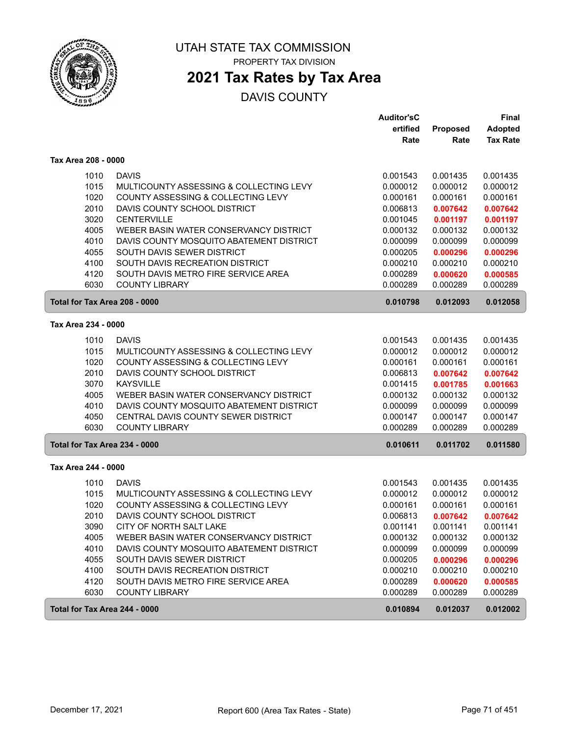

PROPERTY TAX DIVISION

# **2021 Tax Rates by Tax Area**

|                               |                                          | <b>Auditor'sC</b> |          | <b>Final</b>    |
|-------------------------------|------------------------------------------|-------------------|----------|-----------------|
|                               |                                          | ertified          | Proposed | <b>Adopted</b>  |
|                               |                                          | Rate              | Rate     | <b>Tax Rate</b> |
| Tax Area 208 - 0000           |                                          |                   |          |                 |
| 1010                          | <b>DAVIS</b>                             | 0.001543          | 0.001435 | 0.001435        |
| 1015                          | MULTICOUNTY ASSESSING & COLLECTING LEVY  | 0.000012          | 0.000012 | 0.000012        |
| 1020                          | COUNTY ASSESSING & COLLECTING LEVY       | 0.000161          | 0.000161 | 0.000161        |
| 2010                          | DAVIS COUNTY SCHOOL DISTRICT             | 0.006813          | 0.007642 | 0.007642        |
| 3020                          | <b>CENTERVILLE</b>                       | 0.001045          | 0.001197 | 0.001197        |
| 4005                          | WEBER BASIN WATER CONSERVANCY DISTRICT   | 0.000132          | 0.000132 | 0.000132        |
| 4010                          | DAVIS COUNTY MOSQUITO ABATEMENT DISTRICT | 0.000099          | 0.000099 | 0.000099        |
| 4055                          | SOUTH DAVIS SEWER DISTRICT               | 0.000205          | 0.000296 | 0.000296        |
| 4100                          | SOUTH DAVIS RECREATION DISTRICT          | 0.000210          | 0.000210 | 0.000210        |
| 4120                          | SOUTH DAVIS METRO FIRE SERVICE AREA      | 0.000289          | 0.000620 | 0.000585        |
| 6030                          | <b>COUNTY LIBRARY</b>                    | 0.000289          | 0.000289 | 0.000289        |
| Total for Tax Area 208 - 0000 |                                          | 0.010798          | 0.012093 | 0.012058        |
| Tax Area 234 - 0000           |                                          |                   |          |                 |
| 1010                          | <b>DAVIS</b>                             | 0.001543          | 0.001435 | 0.001435        |
| 1015                          | MULTICOUNTY ASSESSING & COLLECTING LEVY  | 0.000012          | 0.000012 | 0.000012        |
| 1020                          | COUNTY ASSESSING & COLLECTING LEVY       | 0.000161          | 0.000161 | 0.000161        |
| 2010                          | DAVIS COUNTY SCHOOL DISTRICT             | 0.006813          | 0.007642 | 0.007642        |
| 3070                          | <b>KAYSVILLE</b>                         | 0.001415          | 0.001785 | 0.001663        |
| 4005                          | WEBER BASIN WATER CONSERVANCY DISTRICT   | 0.000132          | 0.000132 | 0.000132        |
| 4010                          | DAVIS COUNTY MOSQUITO ABATEMENT DISTRICT | 0.000099          | 0.000099 | 0.000099        |
| 4050                          | CENTRAL DAVIS COUNTY SEWER DISTRICT      | 0.000147          | 0.000147 | 0.000147        |
| 6030                          | <b>COUNTY LIBRARY</b>                    | 0.000289          | 0.000289 | 0.000289        |
| Total for Tax Area 234 - 0000 |                                          | 0.010611          | 0.011702 | 0.011580        |
| Tax Area 244 - 0000           |                                          |                   |          |                 |
| 1010                          | <b>DAVIS</b>                             | 0.001543          | 0.001435 | 0.001435        |
| 1015                          | MULTICOUNTY ASSESSING & COLLECTING LEVY  | 0.000012          | 0.000012 | 0.000012        |
| 1020                          | COUNTY ASSESSING & COLLECTING LEVY       | 0.000161          | 0.000161 | 0.000161        |
| 2010                          | DAVIS COUNTY SCHOOL DISTRICT             | 0.006813          | 0.007642 | 0.007642        |
| 3090                          | CITY OF NORTH SALT LAKE                  | 0.001141          | 0.001141 | 0.001141        |
| 4005                          | WEBER BASIN WATER CONSERVANCY DISTRICT   | 0.000132          | 0.000132 | 0.000132        |
| 4010                          | DAVIS COUNTY MOSQUITO ABATEMENT DISTRICT | 0.000099          | 0.000099 | 0.000099        |
| 4055                          | SOUTH DAVIS SEWER DISTRICT               | 0.000205          | 0.000296 | 0.000296        |
| 4100                          | SOUTH DAVIS RECREATION DISTRICT          | 0.000210          | 0.000210 | 0.000210        |
| 4120                          | SOUTH DAVIS METRO FIRE SERVICE AREA      | 0.000289          | 0.000620 | 0.000585        |
| 6030                          | <b>COUNTY LIBRARY</b>                    | 0.000289          | 0.000289 | 0.000289        |
| Total for Tax Area 244 - 0000 |                                          | 0.010894          | 0.012037 | 0.012002        |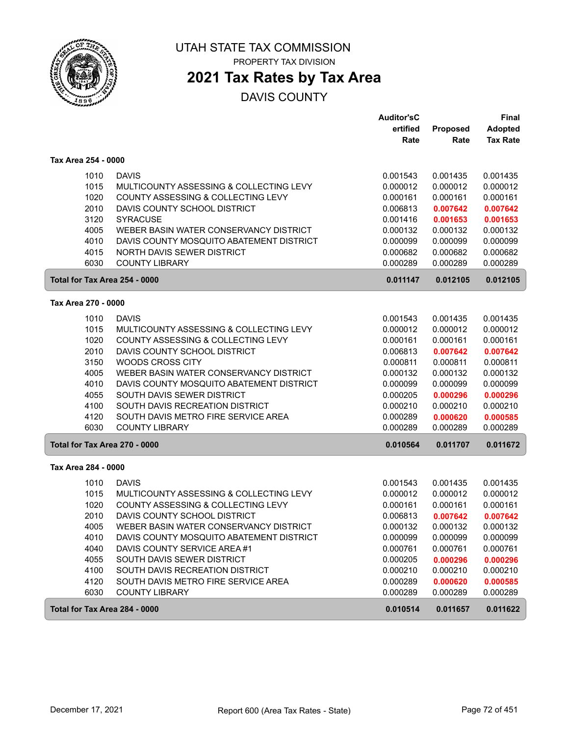

PROPERTY TAX DIVISION

# **2021 Tax Rates by Tax Area**

|                               |                                          | <b>Auditor'sC</b> |          | <b>Final</b>    |
|-------------------------------|------------------------------------------|-------------------|----------|-----------------|
|                               |                                          | ertified          | Proposed | <b>Adopted</b>  |
|                               |                                          | Rate              | Rate     | <b>Tax Rate</b> |
| Tax Area 254 - 0000           |                                          |                   |          |                 |
| 1010                          | <b>DAVIS</b>                             | 0.001543          | 0.001435 | 0.001435        |
| 1015                          | MULTICOUNTY ASSESSING & COLLECTING LEVY  | 0.000012          | 0.000012 | 0.000012        |
| 1020                          | COUNTY ASSESSING & COLLECTING LEVY       | 0.000161          | 0.000161 | 0.000161        |
| 2010                          | DAVIS COUNTY SCHOOL DISTRICT             | 0.006813          | 0.007642 | 0.007642        |
| 3120                          | <b>SYRACUSE</b>                          | 0.001416          | 0.001653 | 0.001653        |
| 4005                          | WEBER BASIN WATER CONSERVANCY DISTRICT   | 0.000132          | 0.000132 | 0.000132        |
| 4010                          | DAVIS COUNTY MOSQUITO ABATEMENT DISTRICT | 0.000099          | 0.000099 | 0.000099        |
| 4015                          | NORTH DAVIS SEWER DISTRICT               | 0.000682          | 0.000682 | 0.000682        |
| 6030                          | <b>COUNTY LIBRARY</b>                    | 0.000289          | 0.000289 | 0.000289        |
| Total for Tax Area 254 - 0000 |                                          | 0.011147          | 0.012105 | 0.012105        |
| Tax Area 270 - 0000           |                                          |                   |          |                 |
| 1010                          | <b>DAVIS</b>                             | 0.001543          | 0.001435 | 0.001435        |
| 1015                          | MULTICOUNTY ASSESSING & COLLECTING LEVY  | 0.000012          | 0.000012 | 0.000012        |
| 1020                          | COUNTY ASSESSING & COLLECTING LEVY       | 0.000161          | 0.000161 | 0.000161        |
| 2010                          | DAVIS COUNTY SCHOOL DISTRICT             | 0.006813          | 0.007642 | 0.007642        |
| 3150                          | <b>WOODS CROSS CITY</b>                  | 0.000811          | 0.000811 | 0.000811        |
| 4005                          | WEBER BASIN WATER CONSERVANCY DISTRICT   | 0.000132          | 0.000132 | 0.000132        |
| 4010                          | DAVIS COUNTY MOSQUITO ABATEMENT DISTRICT | 0.000099          | 0.000099 | 0.000099        |
| 4055                          | SOUTH DAVIS SEWER DISTRICT               | 0.000205          | 0.000296 | 0.000296        |
| 4100                          | SOUTH DAVIS RECREATION DISTRICT          | 0.000210          | 0.000210 | 0.000210        |
| 4120                          | SOUTH DAVIS METRO FIRE SERVICE AREA      | 0.000289          | 0.000620 | 0.000585        |
| 6030                          | <b>COUNTY LIBRARY</b>                    | 0.000289          | 0.000289 | 0.000289        |
| Total for Tax Area 270 - 0000 |                                          | 0.010564          | 0.011707 | 0.011672        |
| Tax Area 284 - 0000           |                                          |                   |          |                 |
| 1010                          | <b>DAVIS</b>                             | 0.001543          | 0.001435 | 0.001435        |
| 1015                          | MULTICOUNTY ASSESSING & COLLECTING LEVY  | 0.000012          | 0.000012 | 0.000012        |
| 1020                          | COUNTY ASSESSING & COLLECTING LEVY       | 0.000161          | 0.000161 | 0.000161        |
| 2010                          | DAVIS COUNTY SCHOOL DISTRICT             | 0.006813          | 0.007642 | 0.007642        |
| 4005                          | WEBER BASIN WATER CONSERVANCY DISTRICT   | 0.000132          | 0.000132 | 0.000132        |
| 4010                          | DAVIS COUNTY MOSQUITO ABATEMENT DISTRICT | 0.000099          | 0.000099 | 0.000099        |
| 4040                          | DAVIS COUNTY SERVICE AREA #1             | 0.000761          | 0.000761 | 0.000761        |
| 4055                          | SOUTH DAVIS SEWER DISTRICT               | 0.000205          | 0.000296 | 0.000296        |
| 4100                          | SOUTH DAVIS RECREATION DISTRICT          | 0.000210          | 0.000210 | 0.000210        |
| 4120                          | SOUTH DAVIS METRO FIRE SERVICE AREA      | 0.000289          | 0.000620 | 0.000585        |
| 6030                          | <b>COUNTY LIBRARY</b>                    | 0.000289          | 0.000289 | 0.000289        |
| Total for Tax Area 284 - 0000 |                                          | 0.010514          | 0.011657 | 0.011622        |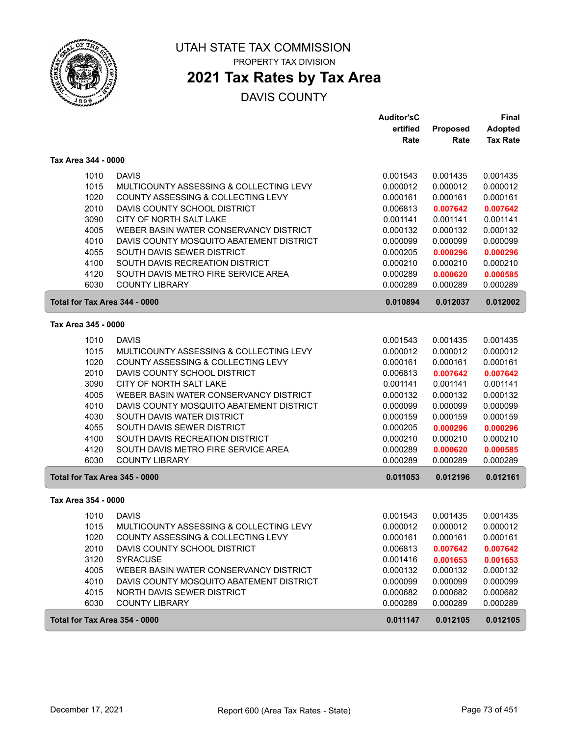

# **2021 Tax Rates by Tax Area**

|                               |                                          | <b>Auditor'sC</b> |                 | <b>Final</b>    |
|-------------------------------|------------------------------------------|-------------------|-----------------|-----------------|
|                               |                                          | ertified          | <b>Proposed</b> | <b>Adopted</b>  |
|                               |                                          | Rate              | Rate            | <b>Tax Rate</b> |
| Tax Area 344 - 0000           |                                          |                   |                 |                 |
| 1010                          | <b>DAVIS</b>                             | 0.001543          | 0.001435        | 0.001435        |
| 1015                          | MULTICOUNTY ASSESSING & COLLECTING LEVY  | 0.000012          | 0.000012        | 0.000012        |
| 1020                          | COUNTY ASSESSING & COLLECTING LEVY       | 0.000161          | 0.000161        | 0.000161        |
| 2010                          | DAVIS COUNTY SCHOOL DISTRICT             | 0.006813          | 0.007642        | 0.007642        |
| 3090                          | CITY OF NORTH SALT LAKE                  | 0.001141          | 0.001141        | 0.001141        |
| 4005                          | WEBER BASIN WATER CONSERVANCY DISTRICT   | 0.000132          | 0.000132        | 0.000132        |
| 4010                          | DAVIS COUNTY MOSQUITO ABATEMENT DISTRICT | 0.000099          | 0.000099        | 0.000099        |
| 4055                          | SOUTH DAVIS SEWER DISTRICT               | 0.000205          | 0.000296        | 0.000296        |
| 4100                          | SOUTH DAVIS RECREATION DISTRICT          | 0.000210          | 0.000210        | 0.000210        |
| 4120                          | SOUTH DAVIS METRO FIRE SERVICE AREA      | 0.000289          | 0.000620        | 0.000585        |
| 6030                          | <b>COUNTY LIBRARY</b>                    | 0.000289          | 0.000289        | 0.000289        |
| Total for Tax Area 344 - 0000 |                                          | 0.010894          | 0.012037        | 0.012002        |
| Tax Area 345 - 0000           |                                          |                   |                 |                 |
| 1010                          | <b>DAVIS</b>                             | 0.001543          | 0.001435        | 0.001435        |
| 1015                          | MULTICOUNTY ASSESSING & COLLECTING LEVY  | 0.000012          | 0.000012        | 0.000012        |
| 1020                          | COUNTY ASSESSING & COLLECTING LEVY       | 0.000161          | 0.000161        | 0.000161        |
| 2010                          | DAVIS COUNTY SCHOOL DISTRICT             | 0.006813          | 0.007642        | 0.007642        |
| 3090                          | CITY OF NORTH SALT LAKE                  | 0.001141          | 0.001141        | 0.001141        |
| 4005                          | WEBER BASIN WATER CONSERVANCY DISTRICT   | 0.000132          | 0.000132        | 0.000132        |
| 4010                          | DAVIS COUNTY MOSQUITO ABATEMENT DISTRICT | 0.000099          | 0.000099        | 0.000099        |
| 4030                          | SOUTH DAVIS WATER DISTRICT               | 0.000159          | 0.000159        | 0.000159        |
| 4055                          | SOUTH DAVIS SEWER DISTRICT               | 0.000205          | 0.000296        | 0.000296        |
| 4100                          | SOUTH DAVIS RECREATION DISTRICT          | 0.000210          | 0.000210        | 0.000210        |
| 4120                          | SOUTH DAVIS METRO FIRE SERVICE AREA      | 0.000289          | 0.000620        | 0.000585        |
| 6030                          | <b>COUNTY LIBRARY</b>                    | 0.000289          | 0.000289        | 0.000289        |
| Total for Tax Area 345 - 0000 |                                          | 0.011053          | 0.012196        | 0.012161        |
| Tax Area 354 - 0000           |                                          |                   |                 |                 |
| 1010                          | <b>DAVIS</b>                             | 0.001543          | 0.001435        | 0.001435        |
| 1015                          | MULTICOUNTY ASSESSING & COLLECTING LEVY  | 0.000012          | 0.000012        | 0.000012        |
| 1020                          | COUNTY ASSESSING & COLLECTING LEVY       | 0.000161          | 0.000161        | 0.000161        |
| 2010                          | DAVIS COUNTY SCHOOL DISTRICT             | 0.006813          | 0.007642        | 0.007642        |
| 3120                          | <b>SYRACUSE</b>                          | 0.001416          | 0.001653        | 0.001653        |
| 4005                          | WEBER BASIN WATER CONSERVANCY DISTRICT   | 0.000132          | 0.000132        | 0.000132        |
| 4010                          | DAVIS COUNTY MOSQUITO ABATEMENT DISTRICT | 0.000099          | 0.000099        | 0.000099        |
| 4015                          | NORTH DAVIS SEWER DISTRICT               | 0.000682          | 0.000682        | 0.000682        |
| 6030                          | <b>COUNTY LIBRARY</b>                    | 0.000289          | 0.000289        | 0.000289        |
| Total for Tax Area 354 - 0000 |                                          | 0.011147          | 0.012105        | 0.012105        |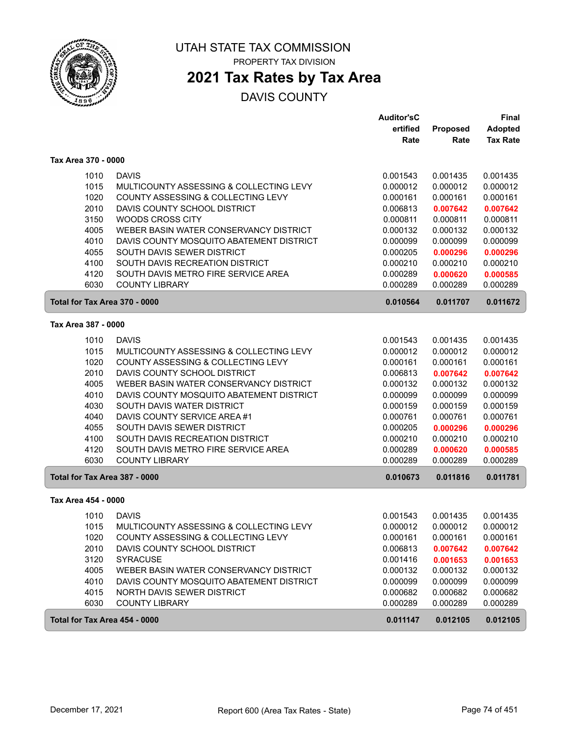

# **2021 Tax Rates by Tax Area**

|                               |                                          | <b>Auditor'sC</b> |                 | <b>Final</b>    |
|-------------------------------|------------------------------------------|-------------------|-----------------|-----------------|
|                               |                                          | ertified          | <b>Proposed</b> | <b>Adopted</b>  |
|                               |                                          | Rate              | Rate            | <b>Tax Rate</b> |
| Tax Area 370 - 0000           |                                          |                   |                 |                 |
| 1010                          | <b>DAVIS</b>                             | 0.001543          | 0.001435        | 0.001435        |
| 1015                          | MULTICOUNTY ASSESSING & COLLECTING LEVY  | 0.000012          | 0.000012        | 0.000012        |
| 1020                          | COUNTY ASSESSING & COLLECTING LEVY       | 0.000161          | 0.000161        | 0.000161        |
| 2010                          | DAVIS COUNTY SCHOOL DISTRICT             | 0.006813          | 0.007642        | 0.007642        |
| 3150                          | <b>WOODS CROSS CITY</b>                  | 0.000811          | 0.000811        | 0.000811        |
| 4005                          | WEBER BASIN WATER CONSERVANCY DISTRICT   | 0.000132          | 0.000132        | 0.000132        |
| 4010                          | DAVIS COUNTY MOSQUITO ABATEMENT DISTRICT | 0.000099          | 0.000099        | 0.000099        |
| 4055                          | SOUTH DAVIS SEWER DISTRICT               | 0.000205          | 0.000296        | 0.000296        |
| 4100                          | SOUTH DAVIS RECREATION DISTRICT          | 0.000210          | 0.000210        | 0.000210        |
| 4120                          | SOUTH DAVIS METRO FIRE SERVICE AREA      | 0.000289          | 0.000620        | 0.000585        |
| 6030                          | <b>COUNTY LIBRARY</b>                    | 0.000289          | 0.000289        | 0.000289        |
| Total for Tax Area 370 - 0000 |                                          | 0.010564          | 0.011707        | 0.011672        |
| Tax Area 387 - 0000           |                                          |                   |                 |                 |
| 1010                          | <b>DAVIS</b>                             | 0.001543          | 0.001435        | 0.001435        |
| 1015                          | MULTICOUNTY ASSESSING & COLLECTING LEVY  | 0.000012          | 0.000012        | 0.000012        |
| 1020                          | COUNTY ASSESSING & COLLECTING LEVY       | 0.000161          | 0.000161        | 0.000161        |
| 2010                          | DAVIS COUNTY SCHOOL DISTRICT             | 0.006813          | 0.007642        | 0.007642        |
| 4005                          | WEBER BASIN WATER CONSERVANCY DISTRICT   | 0.000132          | 0.000132        | 0.000132        |
| 4010                          | DAVIS COUNTY MOSQUITO ABATEMENT DISTRICT | 0.000099          | 0.000099        | 0.000099        |
| 4030                          | SOUTH DAVIS WATER DISTRICT               | 0.000159          | 0.000159        | 0.000159        |
| 4040                          | DAVIS COUNTY SERVICE AREA #1             | 0.000761          | 0.000761        | 0.000761        |
| 4055                          | SOUTH DAVIS SEWER DISTRICT               | 0.000205          | 0.000296        | 0.000296        |
| 4100                          | SOUTH DAVIS RECREATION DISTRICT          | 0.000210          | 0.000210        | 0.000210        |
| 4120                          | SOUTH DAVIS METRO FIRE SERVICE AREA      | 0.000289          | 0.000620        | 0.000585        |
| 6030                          | <b>COUNTY LIBRARY</b>                    | 0.000289          | 0.000289        | 0.000289        |
| Total for Tax Area 387 - 0000 |                                          | 0.010673          | 0.011816        | 0.011781        |
| Tax Area 454 - 0000           |                                          |                   |                 |                 |
| 1010                          | <b>DAVIS</b>                             | 0.001543          | 0.001435        | 0.001435        |
| 1015                          | MULTICOUNTY ASSESSING & COLLECTING LEVY  | 0.000012          | 0.000012        | 0.000012        |
| 1020                          | COUNTY ASSESSING & COLLECTING LEVY       | 0.000161          | 0.000161        | 0.000161        |
| 2010                          | DAVIS COUNTY SCHOOL DISTRICT             | 0.006813          | 0.007642        | 0.007642        |
| 3120                          | <b>SYRACUSE</b>                          | 0.001416          | 0.001653        | 0.001653        |
| 4005                          | WEBER BASIN WATER CONSERVANCY DISTRICT   | 0.000132          | 0.000132        | 0.000132        |
| 4010                          | DAVIS COUNTY MOSQUITO ABATEMENT DISTRICT | 0.000099          | 0.000099        | 0.000099        |
| 4015                          | NORTH DAVIS SEWER DISTRICT               | 0.000682          | 0.000682        | 0.000682        |
| 6030                          | <b>COUNTY LIBRARY</b>                    | 0.000289          | 0.000289        | 0.000289        |
| Total for Tax Area 454 - 0000 |                                          | 0.011147          | 0.012105        | 0.012105        |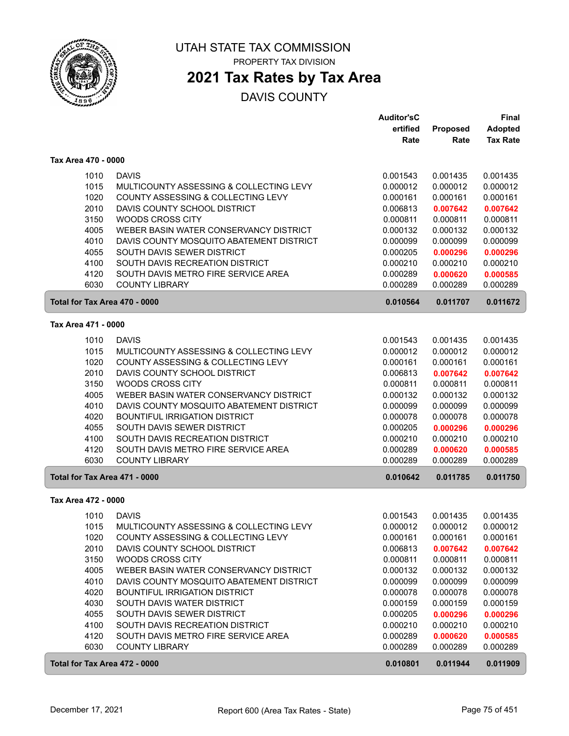

### **2021 Tax Rates by Tax Area**

|                               |                                                                               | <b>Auditor'sC</b>    |                      | Final                |
|-------------------------------|-------------------------------------------------------------------------------|----------------------|----------------------|----------------------|
|                               |                                                                               | ertified             | <b>Proposed</b>      | <b>Adopted</b>       |
|                               |                                                                               | Rate                 | Rate                 | <b>Tax Rate</b>      |
| Tax Area 470 - 0000           |                                                                               |                      |                      |                      |
| 1010                          | <b>DAVIS</b>                                                                  | 0.001543             | 0.001435             | 0.001435             |
| 1015                          | MULTICOUNTY ASSESSING & COLLECTING LEVY                                       | 0.000012             | 0.000012             | 0.000012             |
| 1020                          | COUNTY ASSESSING & COLLECTING LEVY                                            | 0.000161             | 0.000161             | 0.000161             |
| 2010                          | DAVIS COUNTY SCHOOL DISTRICT                                                  | 0.006813             | 0.007642             | 0.007642             |
| 3150                          | WOODS CROSS CITY                                                              | 0.000811             | 0.000811             | 0.000811             |
| 4005                          | WEBER BASIN WATER CONSERVANCY DISTRICT                                        | 0.000132             | 0.000132             | 0.000132             |
| 4010                          | DAVIS COUNTY MOSQUITO ABATEMENT DISTRICT                                      | 0.000099             | 0.000099             | 0.000099             |
| 4055                          | SOUTH DAVIS SEWER DISTRICT                                                    | 0.000205             | 0.000296             | 0.000296             |
| 4100                          | SOUTH DAVIS RECREATION DISTRICT                                               | 0.000210             | 0.000210             | 0.000210             |
| 4120                          | SOUTH DAVIS METRO FIRE SERVICE AREA                                           | 0.000289             | 0.000620             | 0.000585             |
| 6030                          | <b>COUNTY LIBRARY</b>                                                         | 0.000289             | 0.000289             | 0.000289             |
| Total for Tax Area 470 - 0000 |                                                                               | 0.010564             | 0.011707             | 0.011672             |
| Tax Area 471 - 0000           |                                                                               |                      |                      |                      |
|                               |                                                                               |                      |                      |                      |
| 1010                          | <b>DAVIS</b>                                                                  | 0.001543             | 0.001435             | 0.001435             |
| 1015<br>1020                  | MULTICOUNTY ASSESSING & COLLECTING LEVY<br>COUNTY ASSESSING & COLLECTING LEVY | 0.000012             | 0.000012             | 0.000012             |
| 2010                          | DAVIS COUNTY SCHOOL DISTRICT                                                  | 0.000161<br>0.006813 | 0.000161<br>0.007642 | 0.000161             |
| 3150                          | <b>WOODS CROSS CITY</b>                                                       | 0.000811             | 0.000811             | 0.007642<br>0.000811 |
| 4005                          | WEBER BASIN WATER CONSERVANCY DISTRICT                                        | 0.000132             | 0.000132             | 0.000132             |
| 4010                          | DAVIS COUNTY MOSQUITO ABATEMENT DISTRICT                                      | 0.000099             | 0.000099             | 0.000099             |
| 4020                          | <b>BOUNTIFUL IRRIGATION DISTRICT</b>                                          | 0.000078             | 0.000078             | 0.000078             |
| 4055                          | SOUTH DAVIS SEWER DISTRICT                                                    | 0.000205             | 0.000296             | 0.000296             |
| 4100                          | SOUTH DAVIS RECREATION DISTRICT                                               | 0.000210             | 0.000210             | 0.000210             |
| 4120                          | SOUTH DAVIS METRO FIRE SERVICE AREA                                           | 0.000289             | 0.000620             | 0.000585             |
| 6030                          | <b>COUNTY LIBRARY</b>                                                         | 0.000289             | 0.000289             | 0.000289             |
| Total for Tax Area 471 - 0000 |                                                                               | 0.010642             | 0.011785             | 0.011750             |
| Tax Area 472 - 0000           |                                                                               |                      |                      |                      |
|                               |                                                                               |                      |                      |                      |
| 1010                          | <b>DAVIS</b>                                                                  | 0.001543             | 0.001435             | 0.001435             |
| 1015                          | MULTICOUNTY ASSESSING & COLLECTING LEVY                                       | 0.000012             | 0.000012             | 0.000012             |
| 1020                          | COUNTY ASSESSING & COLLECTING LEVY                                            | 0.000161             | 0.000161             | 0.000161             |
| 2010                          | DAVIS COUNTY SCHOOL DISTRICT                                                  | 0.006813             | 0.007642             | 0.007642             |
| 3150                          | WOODS CROSS CITY                                                              | 0.000811             | 0.000811             | 0.000811             |
| 4005                          | WEBER BASIN WATER CONSERVANCY DISTRICT                                        | 0.000132             | 0.000132             | 0.000132             |
| 4010                          | DAVIS COUNTY MOSQUITO ABATEMENT DISTRICT                                      | 0.000099             | 0.000099             | 0.000099             |
| 4020                          | <b>BOUNTIFUL IRRIGATION DISTRICT</b>                                          | 0.000078             | 0.000078             | 0.000078             |
| 4030<br>4055                  | SOUTH DAVIS WATER DISTRICT                                                    | 0.000159             | 0.000159             | 0.000159             |
| 4100                          | SOUTH DAVIS SEWER DISTRICT<br>SOUTH DAVIS RECREATION DISTRICT                 | 0.000205<br>0.000210 | 0.000296<br>0.000210 | 0.000296<br>0.000210 |
| 4120                          | SOUTH DAVIS METRO FIRE SERVICE AREA                                           | 0.000289             | 0.000620             | 0.000585             |
| 6030                          | <b>COUNTY LIBRARY</b>                                                         | 0.000289             | 0.000289             | 0.000289             |
|                               |                                                                               |                      |                      |                      |
| Total for Tax Area 472 - 0000 |                                                                               | 0.010801             | 0.011944             | 0.011909             |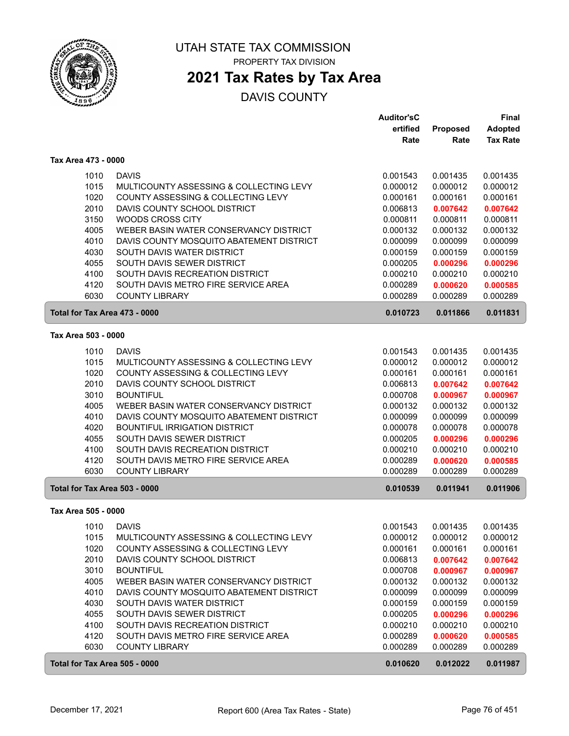

## **2021 Tax Rates by Tax Area**

|                               |                                          | <b>Auditor'sC</b> |          | <b>Final</b>    |
|-------------------------------|------------------------------------------|-------------------|----------|-----------------|
|                               |                                          | ertified          | Proposed | <b>Adopted</b>  |
|                               |                                          | Rate              | Rate     | <b>Tax Rate</b> |
| Tax Area 473 - 0000           |                                          |                   |          |                 |
| 1010                          | <b>DAVIS</b>                             | 0.001543          | 0.001435 | 0.001435        |
| 1015                          | MULTICOUNTY ASSESSING & COLLECTING LEVY  | 0.000012          | 0.000012 | 0.000012        |
| 1020                          | COUNTY ASSESSING & COLLECTING LEVY       | 0.000161          | 0.000161 | 0.000161        |
| 2010                          | DAVIS COUNTY SCHOOL DISTRICT             | 0.006813          | 0.007642 | 0.007642        |
| 3150                          | <b>WOODS CROSS CITY</b>                  | 0.000811          | 0.000811 | 0.000811        |
| 4005                          | WEBER BASIN WATER CONSERVANCY DISTRICT   | 0.000132          | 0.000132 | 0.000132        |
| 4010                          | DAVIS COUNTY MOSQUITO ABATEMENT DISTRICT | 0.000099          | 0.000099 | 0.000099        |
| 4030                          | SOUTH DAVIS WATER DISTRICT               | 0.000159          | 0.000159 | 0.000159        |
| 4055                          | SOUTH DAVIS SEWER DISTRICT               | 0.000205          | 0.000296 | 0.000296        |
| 4100                          | SOUTH DAVIS RECREATION DISTRICT          | 0.000210          | 0.000210 | 0.000210        |
| 4120                          | SOUTH DAVIS METRO FIRE SERVICE AREA      | 0.000289          | 0.000620 | 0.000585        |
| 6030                          | <b>COUNTY LIBRARY</b>                    | 0.000289          | 0.000289 | 0.000289        |
| Total for Tax Area 473 - 0000 |                                          | 0.010723          | 0.011866 | 0.011831        |
| Tax Area 503 - 0000           |                                          |                   |          |                 |
| 1010                          | <b>DAVIS</b>                             | 0.001543          | 0.001435 | 0.001435        |
| 1015                          | MULTICOUNTY ASSESSING & COLLECTING LEVY  | 0.000012          | 0.000012 | 0.000012        |
| 1020                          | COUNTY ASSESSING & COLLECTING LEVY       | 0.000161          | 0.000161 | 0.000161        |
| 2010                          | DAVIS COUNTY SCHOOL DISTRICT             | 0.006813          | 0.007642 | 0.007642        |
| 3010                          | <b>BOUNTIFUL</b>                         | 0.000708          | 0.000967 | 0.000967        |
| 4005                          | WEBER BASIN WATER CONSERVANCY DISTRICT   | 0.000132          | 0.000132 | 0.000132        |
| 4010                          | DAVIS COUNTY MOSQUITO ABATEMENT DISTRICT | 0.000099          | 0.000099 | 0.000099        |
| 4020                          | <b>BOUNTIFUL IRRIGATION DISTRICT</b>     | 0.000078          | 0.000078 | 0.000078        |
| 4055                          | SOUTH DAVIS SEWER DISTRICT               | 0.000205          | 0.000296 | 0.000296        |
| 4100                          | SOUTH DAVIS RECREATION DISTRICT          | 0.000210          | 0.000210 | 0.000210        |
| 4120                          | SOUTH DAVIS METRO FIRE SERVICE AREA      | 0.000289          | 0.000620 | 0.000585        |
| 6030                          | <b>COUNTY LIBRARY</b>                    | 0.000289          | 0.000289 | 0.000289        |
| Total for Tax Area 503 - 0000 |                                          | 0.010539          | 0.011941 | 0.011906        |
| Tax Area 505 - 0000           |                                          |                   |          |                 |
| 1010                          | <b>DAVIS</b>                             | 0.001543          | 0.001435 | 0.001435        |
| 1015                          | MULTICOUNTY ASSESSING & COLLECTING LEVY  | 0.000012          | 0.000012 | 0.000012        |
| 1020                          | COUNTY ASSESSING & COLLECTING LEVY       | 0.000161          | 0.000161 | 0.000161        |
| 2010                          | DAVIS COUNTY SCHOOL DISTRICT             | 0.006813          | 0.007642 | 0.007642        |
| 3010                          | <b>BOUNTIFUL</b>                         | 0.000708          | 0.000967 | 0.000967        |
| 4005                          | WEBER BASIN WATER CONSERVANCY DISTRICT   | 0.000132          | 0.000132 | 0.000132        |
| 4010                          | DAVIS COUNTY MOSQUITO ABATEMENT DISTRICT | 0.000099          | 0.000099 | 0.000099        |
| 4030                          | SOUTH DAVIS WATER DISTRICT               | 0.000159          | 0.000159 | 0.000159        |
| 4055                          | SOUTH DAVIS SEWER DISTRICT               | 0.000205          | 0.000296 | 0.000296        |
| 4100                          | SOUTH DAVIS RECREATION DISTRICT          | 0.000210          | 0.000210 | 0.000210        |
| 4120                          | SOUTH DAVIS METRO FIRE SERVICE AREA      | 0.000289          | 0.000620 | 0.000585        |
| 6030                          | <b>COUNTY LIBRARY</b>                    | 0.000289          | 0.000289 | 0.000289        |
| Total for Tax Area 505 - 0000 |                                          | 0.010620          | 0.012022 | 0.011987        |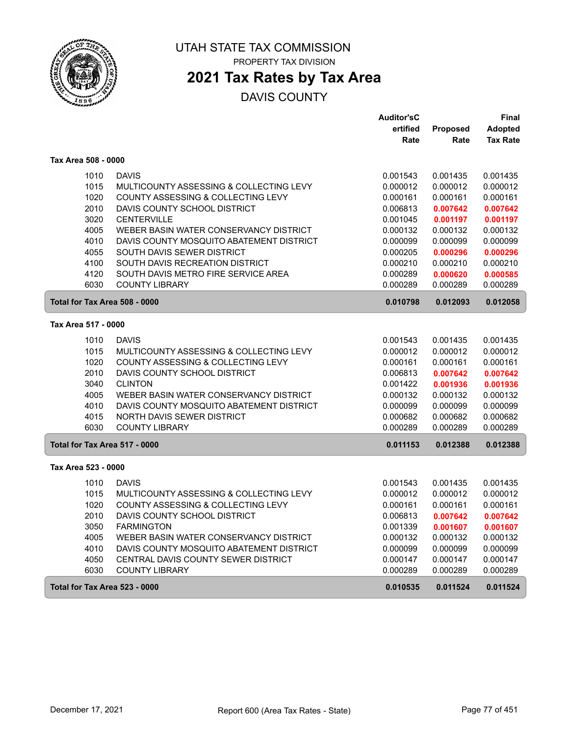

PROPERTY TAX DIVISION

## **2021 Tax Rates by Tax Area**

|                               |                                          | <b>Auditor'sC</b> |          | Final           |
|-------------------------------|------------------------------------------|-------------------|----------|-----------------|
|                               |                                          | ertified          | Proposed | <b>Adopted</b>  |
|                               |                                          | Rate              | Rate     | <b>Tax Rate</b> |
| Tax Area 508 - 0000           |                                          |                   |          |                 |
| 1010                          | <b>DAVIS</b>                             | 0.001543          | 0.001435 | 0.001435        |
| 1015                          | MULTICOUNTY ASSESSING & COLLECTING LEVY  | 0.000012          | 0.000012 | 0.000012        |
| 1020                          | COUNTY ASSESSING & COLLECTING LEVY       | 0.000161          | 0.000161 | 0.000161        |
| 2010                          | DAVIS COUNTY SCHOOL DISTRICT             | 0.006813          | 0.007642 | 0.007642        |
| 3020                          | <b>CENTERVILLE</b>                       | 0.001045          | 0.001197 | 0.001197        |
| 4005                          | WEBER BASIN WATER CONSERVANCY DISTRICT   | 0.000132          | 0.000132 | 0.000132        |
| 4010                          | DAVIS COUNTY MOSQUITO ABATEMENT DISTRICT | 0.000099          | 0.000099 | 0.000099        |
| 4055                          | SOUTH DAVIS SEWER DISTRICT               | 0.000205          | 0.000296 | 0.000296        |
| 4100                          | SOUTH DAVIS RECREATION DISTRICT          | 0.000210          | 0.000210 | 0.000210        |
| 4120                          | SOUTH DAVIS METRO FIRE SERVICE AREA      | 0.000289          | 0.000620 | 0.000585        |
| 6030                          | <b>COUNTY LIBRARY</b>                    | 0.000289          | 0.000289 | 0.000289        |
| Total for Tax Area 508 - 0000 |                                          | 0.010798          | 0.012093 | 0.012058        |
| Tax Area 517 - 0000           |                                          |                   |          |                 |
| 1010                          | <b>DAVIS</b>                             | 0.001543          | 0.001435 | 0.001435        |
| 1015                          | MULTICOUNTY ASSESSING & COLLECTING LEVY  | 0.000012          | 0.000012 | 0.000012        |
| 1020                          | COUNTY ASSESSING & COLLECTING LEVY       | 0.000161          | 0.000161 | 0.000161        |
| 2010                          | DAVIS COUNTY SCHOOL DISTRICT             | 0.006813          | 0.007642 | 0.007642        |
| 3040                          | <b>CLINTON</b>                           | 0.001422          | 0.001936 | 0.001936        |
| 4005                          | WEBER BASIN WATER CONSERVANCY DISTRICT   | 0.000132          | 0.000132 | 0.000132        |
| 4010                          | DAVIS COUNTY MOSQUITO ABATEMENT DISTRICT | 0.000099          | 0.000099 | 0.000099        |
| 4015                          | <b>NORTH DAVIS SEWER DISTRICT</b>        | 0.000682          | 0.000682 | 0.000682        |
| 6030                          | <b>COUNTY LIBRARY</b>                    | 0.000289          | 0.000289 | 0.000289        |
| Total for Tax Area 517 - 0000 |                                          | 0.011153          | 0.012388 | 0.012388        |
| Tax Area 523 - 0000           |                                          |                   |          |                 |
| 1010                          | <b>DAVIS</b>                             | 0.001543          | 0.001435 | 0.001435        |
| 1015                          | MULTICOUNTY ASSESSING & COLLECTING LEVY  | 0.000012          | 0.000012 | 0.000012        |
| 1020                          | COUNTY ASSESSING & COLLECTING LEVY       | 0.000161          | 0.000161 | 0.000161        |
| 2010                          | DAVIS COUNTY SCHOOL DISTRICT             | 0.006813          | 0.007642 | 0.007642        |
| 3050                          | <b>FARMINGTON</b>                        | 0.001339          | 0.001607 | 0.001607        |
| 4005                          | WEBER BASIN WATER CONSERVANCY DISTRICT   | 0.000132          | 0.000132 | 0.000132        |
| 4010                          | DAVIS COUNTY MOSQUITO ABATEMENT DISTRICT | 0.000099          | 0.000099 | 0.000099        |
| 4050                          | CENTRAL DAVIS COUNTY SEWER DISTRICT      | 0.000147          | 0.000147 | 0.000147        |
| 6030                          | <b>COUNTY LIBRARY</b>                    | 0.000289          | 0.000289 | 0.000289        |
| Total for Tax Area 523 - 0000 |                                          | 0.010535          | 0.011524 | 0.011524        |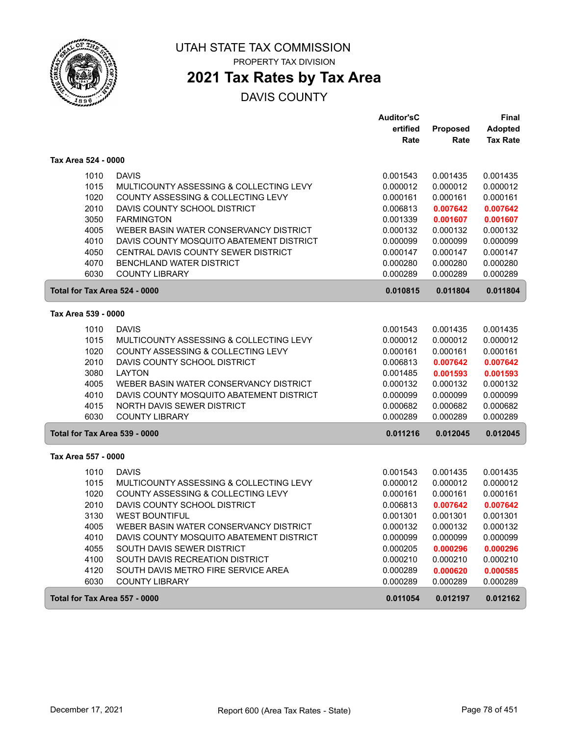

PROPERTY TAX DIVISION

# **2021 Tax Rates by Tax Area**

|                               |                                          | <b>Auditor'sC</b>    |                      | <b>Final</b>         |
|-------------------------------|------------------------------------------|----------------------|----------------------|----------------------|
|                               |                                          | ertified             | <b>Proposed</b>      | <b>Adopted</b>       |
|                               |                                          | Rate                 | Rate                 | <b>Tax Rate</b>      |
| Tax Area 524 - 0000           |                                          |                      |                      |                      |
| 1010                          | <b>DAVIS</b>                             | 0.001543             | 0.001435             | 0.001435             |
| 1015                          | MULTICOUNTY ASSESSING & COLLECTING LEVY  | 0.000012             | 0.000012             | 0.000012             |
| 1020                          | COUNTY ASSESSING & COLLECTING LEVY       | 0.000161             | 0.000161             | 0.000161             |
| 2010                          | DAVIS COUNTY SCHOOL DISTRICT             | 0.006813             | 0.007642             | 0.007642             |
| 3050                          | <b>FARMINGTON</b>                        | 0.001339             | 0.001607             | 0.001607             |
| 4005                          | WEBER BASIN WATER CONSERVANCY DISTRICT   | 0.000132             | 0.000132             | 0.000132             |
| 4010                          | DAVIS COUNTY MOSQUITO ABATEMENT DISTRICT | 0.000099             | 0.000099             | 0.000099             |
| 4050                          | CENTRAL DAVIS COUNTY SEWER DISTRICT      | 0.000147             | 0.000147             | 0.000147             |
| 4070                          | <b>BENCHLAND WATER DISTRICT</b>          | 0.000280             | 0.000280             | 0.000280             |
| 6030                          | <b>COUNTY LIBRARY</b>                    | 0.000289             | 0.000289             | 0.000289             |
| Total for Tax Area 524 - 0000 |                                          | 0.010815             | 0.011804             | 0.011804             |
| Tax Area 539 - 0000           |                                          |                      |                      |                      |
|                               | <b>DAVIS</b>                             |                      |                      |                      |
| 1010<br>1015                  | MULTICOUNTY ASSESSING & COLLECTING LEVY  | 0.001543<br>0.000012 | 0.001435<br>0.000012 | 0.001435<br>0.000012 |
| 1020                          | COUNTY ASSESSING & COLLECTING LEVY       | 0.000161             | 0.000161             | 0.000161             |
| 2010                          | DAVIS COUNTY SCHOOL DISTRICT             | 0.006813             | 0.007642             | 0.007642             |
| 3080                          | <b>LAYTON</b>                            | 0.001485             | 0.001593             | 0.001593             |
| 4005                          | WEBER BASIN WATER CONSERVANCY DISTRICT   | 0.000132             | 0.000132             | 0.000132             |
| 4010                          | DAVIS COUNTY MOSQUITO ABATEMENT DISTRICT | 0.000099             | 0.000099             | 0.000099             |
| 4015                          | <b>NORTH DAVIS SEWER DISTRICT</b>        | 0.000682             | 0.000682             | 0.000682             |
| 6030                          | <b>COUNTY LIBRARY</b>                    | 0.000289             | 0.000289             | 0.000289             |
| Total for Tax Area 539 - 0000 |                                          | 0.011216             | 0.012045             | 0.012045             |
| Tax Area 557 - 0000           |                                          |                      |                      |                      |
|                               |                                          |                      |                      |                      |
| 1010                          | <b>DAVIS</b>                             | 0.001543             | 0.001435             | 0.001435             |
| 1015                          | MULTICOUNTY ASSESSING & COLLECTING LEVY  | 0.000012             | 0.000012             | 0.000012             |
| 1020                          | COUNTY ASSESSING & COLLECTING LEVY       | 0.000161             | 0.000161             | 0.000161             |
| 2010                          | DAVIS COUNTY SCHOOL DISTRICT             | 0.006813             | 0.007642             | 0.007642             |
| 3130                          | <b>WEST BOUNTIFUL</b>                    | 0.001301             | 0.001301             | 0.001301             |
| 4005                          | WEBER BASIN WATER CONSERVANCY DISTRICT   | 0.000132             | 0.000132             | 0.000132             |
| 4010                          | DAVIS COUNTY MOSQUITO ABATEMENT DISTRICT | 0.000099             | 0.000099             | 0.000099             |
| 4055                          | SOUTH DAVIS SEWER DISTRICT               | 0.000205             | 0.000296             | 0.000296             |
| 4100                          | SOUTH DAVIS RECREATION DISTRICT          | 0.000210             | 0.000210             | 0.000210             |
| 4120                          | SOUTH DAVIS METRO FIRE SERVICE AREA      | 0.000289             | 0.000620             | 0.000585             |
| 6030                          | <b>COUNTY LIBRARY</b>                    | 0.000289             | 0.000289             | 0.000289             |
| Total for Tax Area 557 - 0000 |                                          | 0.011054             | 0.012197             | 0.012162             |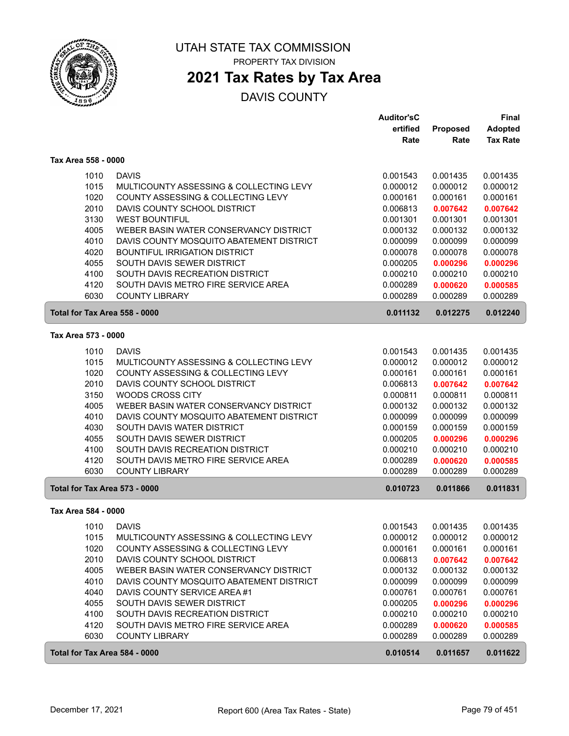

# **2021 Tax Rates by Tax Area**

|                               |                                          | <b>Auditor'sC</b> |          | <b>Final</b>    |
|-------------------------------|------------------------------------------|-------------------|----------|-----------------|
|                               |                                          | ertified          | Proposed | <b>Adopted</b>  |
|                               |                                          | Rate              | Rate     | <b>Tax Rate</b> |
| Tax Area 558 - 0000           |                                          |                   |          |                 |
| 1010                          | <b>DAVIS</b>                             | 0.001543          | 0.001435 | 0.001435        |
| 1015                          | MULTICOUNTY ASSESSING & COLLECTING LEVY  | 0.000012          | 0.000012 | 0.000012        |
| 1020                          | COUNTY ASSESSING & COLLECTING LEVY       | 0.000161          | 0.000161 | 0.000161        |
| 2010                          | DAVIS COUNTY SCHOOL DISTRICT             | 0.006813          | 0.007642 | 0.007642        |
| 3130                          | <b>WEST BOUNTIFUL</b>                    | 0.001301          | 0.001301 | 0.001301        |
| 4005                          | WEBER BASIN WATER CONSERVANCY DISTRICT   | 0.000132          | 0.000132 | 0.000132        |
| 4010                          | DAVIS COUNTY MOSQUITO ABATEMENT DISTRICT | 0.000099          | 0.000099 | 0.000099        |
| 4020                          | <b>BOUNTIFUL IRRIGATION DISTRICT</b>     | 0.000078          | 0.000078 | 0.000078        |
| 4055                          | SOUTH DAVIS SEWER DISTRICT               | 0.000205          | 0.000296 | 0.000296        |
| 4100                          | SOUTH DAVIS RECREATION DISTRICT          | 0.000210          | 0.000210 | 0.000210        |
| 4120                          | SOUTH DAVIS METRO FIRE SERVICE AREA      | 0.000289          | 0.000620 | 0.000585        |
| 6030                          | <b>COUNTY LIBRARY</b>                    | 0.000289          | 0.000289 | 0.000289        |
| Total for Tax Area 558 - 0000 |                                          | 0.011132          | 0.012275 | 0.012240        |
| Tax Area 573 - 0000           |                                          |                   |          |                 |
| 1010                          | <b>DAVIS</b>                             | 0.001543          | 0.001435 | 0.001435        |
| 1015                          | MULTICOUNTY ASSESSING & COLLECTING LEVY  | 0.000012          | 0.000012 | 0.000012        |
| 1020                          | COUNTY ASSESSING & COLLECTING LEVY       | 0.000161          | 0.000161 | 0.000161        |
| 2010                          | DAVIS COUNTY SCHOOL DISTRICT             | 0.006813          | 0.007642 | 0.007642        |
| 3150                          | WOODS CROSS CITY                         | 0.000811          | 0.000811 | 0.000811        |
| 4005                          | WEBER BASIN WATER CONSERVANCY DISTRICT   | 0.000132          | 0.000132 | 0.000132        |
| 4010                          | DAVIS COUNTY MOSQUITO ABATEMENT DISTRICT | 0.000099          | 0.000099 | 0.000099        |
| 4030                          | SOUTH DAVIS WATER DISTRICT               | 0.000159          | 0.000159 | 0.000159        |
| 4055                          | SOUTH DAVIS SEWER DISTRICT               | 0.000205          | 0.000296 | 0.000296        |
| 4100                          | SOUTH DAVIS RECREATION DISTRICT          | 0.000210          | 0.000210 | 0.000210        |
| 4120                          | SOUTH DAVIS METRO FIRE SERVICE AREA      | 0.000289          | 0.000620 | 0.000585        |
| 6030                          | <b>COUNTY LIBRARY</b>                    | 0.000289          | 0.000289 | 0.000289        |
| Total for Tax Area 573 - 0000 |                                          | 0.010723          | 0.011866 | 0.011831        |
| Tax Area 584 - 0000           |                                          |                   |          |                 |
| 1010                          | <b>DAVIS</b>                             | 0.001543          | 0.001435 | 0.001435        |
| 1015                          | MULTICOUNTY ASSESSING & COLLECTING LEVY  | 0.000012          | 0.000012 | 0.000012        |
| 1020                          | COUNTY ASSESSING & COLLECTING LEVY       | 0.000161          | 0.000161 | 0.000161        |
| 2010                          | DAVIS COUNTY SCHOOL DISTRICT             | 0.006813          | 0.007642 | 0.007642        |
| 4005                          | WEBER BASIN WATER CONSERVANCY DISTRICT   | 0.000132          | 0.000132 | 0.000132        |
| 4010                          | DAVIS COUNTY MOSQUITO ABATEMENT DISTRICT | 0.000099          | 0.000099 | 0.000099        |
| 4040                          | DAVIS COUNTY SERVICE AREA #1             | 0.000761          | 0.000761 | 0.000761        |
| 4055                          | SOUTH DAVIS SEWER DISTRICT               | 0.000205          | 0.000296 | 0.000296        |
| 4100                          | SOUTH DAVIS RECREATION DISTRICT          | 0.000210          | 0.000210 | 0.000210        |
| 4120                          | SOUTH DAVIS METRO FIRE SERVICE AREA      | 0.000289          | 0.000620 | 0.000585        |
| 6030                          | <b>COUNTY LIBRARY</b>                    | 0.000289          | 0.000289 | 0.000289        |
| Total for Tax Area 584 - 0000 |                                          | 0.010514          | 0.011657 | 0.011622        |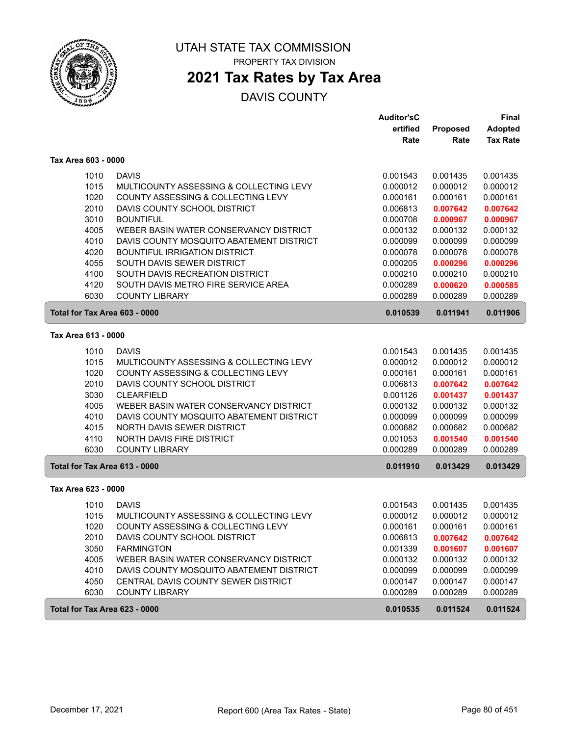

# **2021 Tax Rates by Tax Area**

|                               |                                                                               | Auditor'sC           |                      | Final                |
|-------------------------------|-------------------------------------------------------------------------------|----------------------|----------------------|----------------------|
|                               |                                                                               | ertified             | Proposed             | <b>Adopted</b>       |
|                               |                                                                               | Rate                 | Rate                 | <b>Tax Rate</b>      |
| Tax Area 603 - 0000           |                                                                               |                      |                      |                      |
| 1010                          | <b>DAVIS</b>                                                                  | 0.001543             | 0.001435             | 0.001435             |
| 1015                          | MULTICOUNTY ASSESSING & COLLECTING LEVY                                       | 0.000012             | 0.000012             | 0.000012             |
| 1020                          | COUNTY ASSESSING & COLLECTING LEVY                                            | 0.000161             | 0.000161             | 0.000161             |
| 2010                          | DAVIS COUNTY SCHOOL DISTRICT                                                  | 0.006813             | 0.007642             | 0.007642             |
| 3010                          | <b>BOUNTIFUL</b>                                                              | 0.000708             | 0.000967             | 0.000967             |
| 4005                          | WEBER BASIN WATER CONSERVANCY DISTRICT                                        | 0.000132             | 0.000132             | 0.000132             |
| 4010                          | DAVIS COUNTY MOSQUITO ABATEMENT DISTRICT                                      | 0.000099             | 0.000099             | 0.000099             |
| 4020                          | <b>BOUNTIFUL IRRIGATION DISTRICT</b>                                          | 0.000078             | 0.000078             | 0.000078             |
| 4055                          | SOUTH DAVIS SEWER DISTRICT                                                    | 0.000205             | 0.000296             | 0.000296             |
| 4100                          | SOUTH DAVIS RECREATION DISTRICT                                               | 0.000210             | 0.000210             | 0.000210             |
| 4120                          | SOUTH DAVIS METRO FIRE SERVICE AREA                                           | 0.000289             | 0.000620             | 0.000585             |
| 6030                          | <b>COUNTY LIBRARY</b>                                                         | 0.000289             | 0.000289             | 0.000289             |
| Total for Tax Area 603 - 0000 |                                                                               | 0.010539             | 0.011941             | 0.011906             |
| Tax Area 613 - 0000           |                                                                               |                      |                      |                      |
| 1010                          | <b>DAVIS</b>                                                                  | 0.001543             | 0.001435             | 0.001435             |
| 1015                          | MULTICOUNTY ASSESSING & COLLECTING LEVY                                       | 0.000012             | 0.000012             | 0.000012             |
| 1020                          | COUNTY ASSESSING & COLLECTING LEVY                                            | 0.000161             | 0.000161             | 0.000161             |
| 2010                          | DAVIS COUNTY SCHOOL DISTRICT                                                  | 0.006813             | 0.007642             | 0.007642             |
| 3030                          | <b>CLEARFIELD</b>                                                             | 0.001126             | 0.001437             | 0.001437             |
| 4005                          | WEBER BASIN WATER CONSERVANCY DISTRICT                                        | 0.000132             | 0.000132             | 0.000132             |
| 4010                          | DAVIS COUNTY MOSQUITO ABATEMENT DISTRICT                                      | 0.000099             | 0.000099             | 0.000099             |
| 4015                          | NORTH DAVIS SEWER DISTRICT                                                    | 0.000682             | 0.000682             | 0.000682             |
| 4110                          | <b>NORTH DAVIS FIRE DISTRICT</b>                                              | 0.001053             | 0.001540             | 0.001540             |
| 6030                          | <b>COUNTY LIBRARY</b>                                                         | 0.000289             | 0.000289             | 0.000289             |
| Total for Tax Area 613 - 0000 |                                                                               | 0.011910             | 0.013429             | 0.013429             |
| Tax Area 623 - 0000           |                                                                               |                      |                      |                      |
|                               | <b>DAVIS</b>                                                                  |                      | 0.001435             |                      |
| 1010                          |                                                                               | 0.001543<br>0.000012 |                      | 0.001435             |
| 1015<br>1020                  | MULTICOUNTY ASSESSING & COLLECTING LEVY<br>COUNTY ASSESSING & COLLECTING LEVY | 0.000161             | 0.000012<br>0.000161 | 0.000012<br>0.000161 |
|                               | DAVIS COUNTY SCHOOL DISTRICT                                                  | 0.006813             |                      |                      |
| 2010<br>3050                  | <b>FARMINGTON</b>                                                             | 0.001339             | 0.007642<br>0.001607 | 0.007642<br>0.001607 |
| 4005                          | WEBER BASIN WATER CONSERVANCY DISTRICT                                        | 0.000132             | 0.000132             | 0.000132             |
| 4010                          | DAVIS COUNTY MOSQUITO ABATEMENT DISTRICT                                      | 0.000099             | 0.000099             | 0.000099             |
| 4050                          | CENTRAL DAVIS COUNTY SEWER DISTRICT                                           | 0.000147             | 0.000147             | 0.000147             |
| 6030                          | <b>COUNTY LIBRARY</b>                                                         | 0.000289             | 0.000289             | 0.000289             |
| Total for Tax Area 623 - 0000 |                                                                               | 0.010535             | 0.011524             | 0.011524             |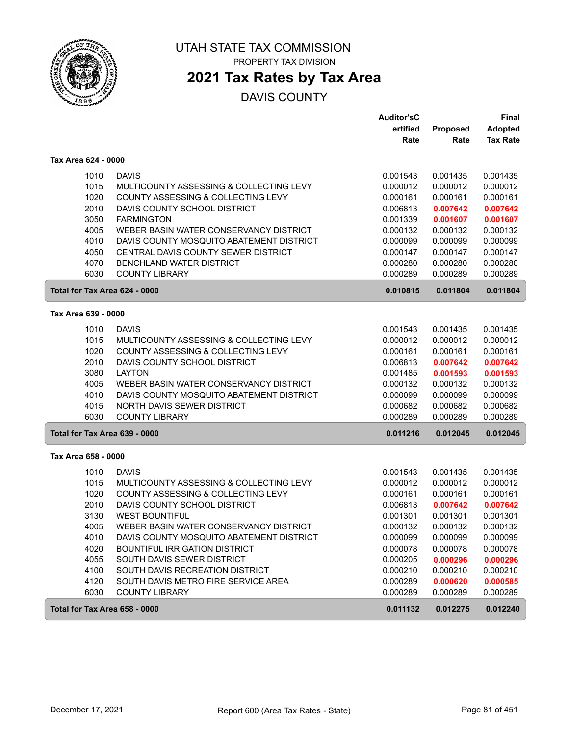

PROPERTY TAX DIVISION

# **2021 Tax Rates by Tax Area**

|                               |                                          | <b>Auditor'sC</b> |                 | <b>Final</b>    |
|-------------------------------|------------------------------------------|-------------------|-----------------|-----------------|
|                               |                                          | ertified          | <b>Proposed</b> | <b>Adopted</b>  |
|                               |                                          | Rate              | Rate            | <b>Tax Rate</b> |
| Tax Area 624 - 0000           |                                          |                   |                 |                 |
| 1010                          | <b>DAVIS</b>                             | 0.001543          | 0.001435        | 0.001435        |
| 1015                          | MULTICOUNTY ASSESSING & COLLECTING LEVY  | 0.000012          | 0.000012        | 0.000012        |
| 1020                          | COUNTY ASSESSING & COLLECTING LEVY       | 0.000161          | 0.000161        | 0.000161        |
| 2010                          | DAVIS COUNTY SCHOOL DISTRICT             | 0.006813          | 0.007642        | 0.007642        |
| 3050                          | <b>FARMINGTON</b>                        | 0.001339          | 0.001607        | 0.001607        |
| 4005                          | WEBER BASIN WATER CONSERVANCY DISTRICT   | 0.000132          | 0.000132        | 0.000132        |
| 4010                          | DAVIS COUNTY MOSQUITO ABATEMENT DISTRICT | 0.000099          | 0.000099        | 0.000099        |
| 4050                          | CENTRAL DAVIS COUNTY SEWER DISTRICT      | 0.000147          | 0.000147        | 0.000147        |
| 4070                          | BENCHLAND WATER DISTRICT                 | 0.000280          | 0.000280        | 0.000280        |
| 6030                          | <b>COUNTY LIBRARY</b>                    | 0.000289          | 0.000289        | 0.000289        |
| Total for Tax Area 624 - 0000 |                                          | 0.010815          | 0.011804        | 0.011804        |
| Tax Area 639 - 0000           |                                          |                   |                 |                 |
| 1010                          | <b>DAVIS</b>                             | 0.001543          | 0.001435        | 0.001435        |
| 1015                          | MULTICOUNTY ASSESSING & COLLECTING LEVY  | 0.000012          | 0.000012        | 0.000012        |
| 1020                          | COUNTY ASSESSING & COLLECTING LEVY       | 0.000161          | 0.000161        | 0.000161        |
| 2010                          | DAVIS COUNTY SCHOOL DISTRICT             | 0.006813          | 0.007642        | 0.007642        |
| 3080                          | <b>LAYTON</b>                            | 0.001485          | 0.001593        | 0.001593        |
| 4005                          | WEBER BASIN WATER CONSERVANCY DISTRICT   | 0.000132          | 0.000132        | 0.000132        |
| 4010                          | DAVIS COUNTY MOSQUITO ABATEMENT DISTRICT | 0.000099          | 0.000099        | 0.000099        |
| 4015                          | NORTH DAVIS SEWER DISTRICT               | 0.000682          | 0.000682        | 0.000682        |
| 6030                          | <b>COUNTY LIBRARY</b>                    | 0.000289          | 0.000289        | 0.000289        |
| Total for Tax Area 639 - 0000 |                                          | 0.011216          | 0.012045        | 0.012045        |
| Tax Area 658 - 0000           |                                          |                   |                 |                 |
| 1010                          | <b>DAVIS</b>                             | 0.001543          | 0.001435        | 0.001435        |
| 1015                          | MULTICOUNTY ASSESSING & COLLECTING LEVY  | 0.000012          | 0.000012        | 0.000012        |
| 1020                          | COUNTY ASSESSING & COLLECTING LEVY       | 0.000161          | 0.000161        | 0.000161        |
| 2010                          | DAVIS COUNTY SCHOOL DISTRICT             | 0.006813          | 0.007642        | 0.007642        |
| 3130                          | <b>WEST BOUNTIFUL</b>                    | 0.001301          | 0.001301        | 0.001301        |
| 4005                          | WEBER BASIN WATER CONSERVANCY DISTRICT   | 0.000132          | 0.000132        | 0.000132        |
| 4010                          | DAVIS COUNTY MOSQUITO ABATEMENT DISTRICT | 0.000099          | 0.000099        | 0.000099        |
| 4020                          | BOUNTIFUL IRRIGATION DISTRICT            | 0.000078          | 0.000078        | 0.000078        |
| 4055                          | SOUTH DAVIS SEWER DISTRICT               | 0.000205          | 0.000296        | 0.000296        |
| 4100                          | SOUTH DAVIS RECREATION DISTRICT          | 0.000210          | 0.000210        | 0.000210        |
| 4120                          | SOUTH DAVIS METRO FIRE SERVICE AREA      | 0.000289          | 0.000620        | 0.000585        |
| 6030                          | <b>COUNTY LIBRARY</b>                    | 0.000289          | 0.000289        | 0.000289        |
| Total for Tax Area 658 - 0000 |                                          | 0.011132          | 0.012275        | 0.012240        |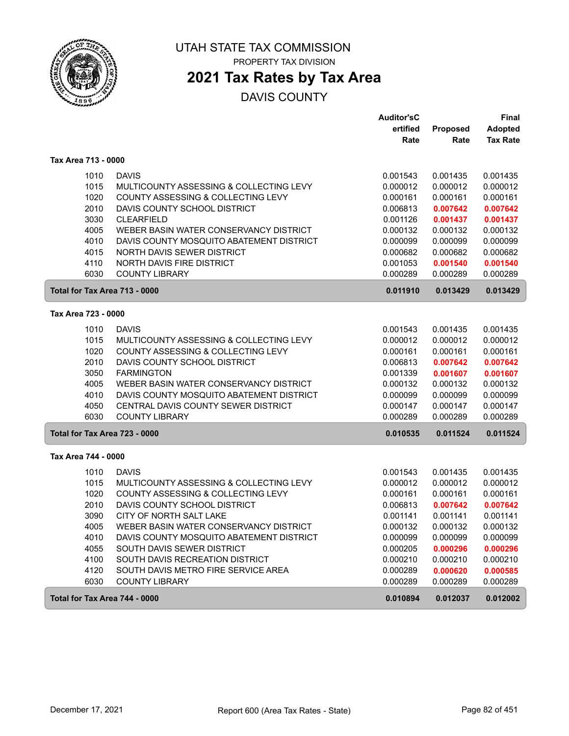

PROPERTY TAX DIVISION

# **2021 Tax Rates by Tax Area**

|                               |                                          | <b>Auditor'sC</b> |          | <b>Final</b>    |
|-------------------------------|------------------------------------------|-------------------|----------|-----------------|
|                               |                                          | ertified          | Proposed | <b>Adopted</b>  |
|                               |                                          | Rate              | Rate     | <b>Tax Rate</b> |
| Tax Area 713 - 0000           |                                          |                   |          |                 |
| 1010                          | <b>DAVIS</b>                             | 0.001543          | 0.001435 | 0.001435        |
| 1015                          | MULTICOUNTY ASSESSING & COLLECTING LEVY  | 0.000012          | 0.000012 | 0.000012        |
| 1020                          | COUNTY ASSESSING & COLLECTING LEVY       | 0.000161          | 0.000161 | 0.000161        |
| 2010                          | DAVIS COUNTY SCHOOL DISTRICT             | 0.006813          | 0.007642 | 0.007642        |
| 3030                          | <b>CLEARFIELD</b>                        | 0.001126          | 0.001437 | 0.001437        |
| 4005                          | WEBER BASIN WATER CONSERVANCY DISTRICT   | 0.000132          | 0.000132 | 0.000132        |
| 4010                          | DAVIS COUNTY MOSQUITO ABATEMENT DISTRICT | 0.000099          | 0.000099 | 0.000099        |
| 4015                          | NORTH DAVIS SEWER DISTRICT               | 0.000682          | 0.000682 | 0.000682        |
| 4110                          | NORTH DAVIS FIRE DISTRICT                | 0.001053          | 0.001540 | 0.001540        |
| 6030                          | <b>COUNTY LIBRARY</b>                    | 0.000289          | 0.000289 | 0.000289        |
| Total for Tax Area 713 - 0000 |                                          | 0.011910          | 0.013429 | 0.013429        |
| Tax Area 723 - 0000           |                                          |                   |          |                 |
|                               |                                          |                   |          |                 |
| 1010                          | <b>DAVIS</b>                             | 0.001543          | 0.001435 | 0.001435        |
| 1015                          | MULTICOUNTY ASSESSING & COLLECTING LEVY  | 0.000012          | 0.000012 | 0.000012        |
| 1020                          | COUNTY ASSESSING & COLLECTING LEVY       | 0.000161          | 0.000161 | 0.000161        |
| 2010                          | DAVIS COUNTY SCHOOL DISTRICT             | 0.006813          | 0.007642 | 0.007642        |
| 3050                          | <b>FARMINGTON</b>                        | 0.001339          | 0.001607 | 0.001607        |
| 4005                          | WEBER BASIN WATER CONSERVANCY DISTRICT   | 0.000132          | 0.000132 | 0.000132        |
| 4010                          | DAVIS COUNTY MOSQUITO ABATEMENT DISTRICT | 0.000099          | 0.000099 | 0.000099        |
| 4050                          | CENTRAL DAVIS COUNTY SEWER DISTRICT      | 0.000147          | 0.000147 | 0.000147        |
| 6030                          | <b>COUNTY LIBRARY</b>                    | 0.000289          | 0.000289 | 0.000289        |
| Total for Tax Area 723 - 0000 |                                          | 0.010535          | 0.011524 | 0.011524        |
| Tax Area 744 - 0000           |                                          |                   |          |                 |
| 1010                          | <b>DAVIS</b>                             | 0.001543          | 0.001435 | 0.001435        |
| 1015                          | MULTICOUNTY ASSESSING & COLLECTING LEVY  | 0.000012          | 0.000012 | 0.000012        |
| 1020                          | COUNTY ASSESSING & COLLECTING LEVY       | 0.000161          | 0.000161 | 0.000161        |
| 2010                          | DAVIS COUNTY SCHOOL DISTRICT             | 0.006813          | 0.007642 | 0.007642        |
| 3090                          | CITY OF NORTH SALT LAKE                  | 0.001141          | 0.001141 | 0.001141        |
| 4005                          | WEBER BASIN WATER CONSERVANCY DISTRICT   | 0.000132          | 0.000132 | 0.000132        |
| 4010                          | DAVIS COUNTY MOSQUITO ABATEMENT DISTRICT | 0.000099          | 0.000099 | 0.000099        |
| 4055                          | SOUTH DAVIS SEWER DISTRICT               | 0.000205          | 0.000296 | 0.000296        |
| 4100                          | SOUTH DAVIS RECREATION DISTRICT          | 0.000210          | 0.000210 | 0.000210        |
| 4120                          | SOUTH DAVIS METRO FIRE SERVICE AREA      | 0.000289          | 0.000620 | 0.000585        |
| 6030                          | <b>COUNTY LIBRARY</b>                    | 0.000289          | 0.000289 | 0.000289        |
| Total for Tax Area 744 - 0000 |                                          | 0.010894          | 0.012037 | 0.012002        |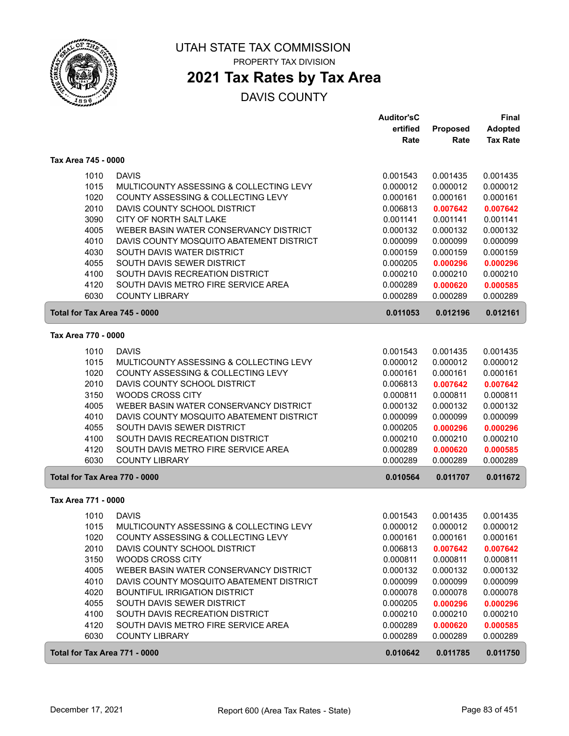

### **2021 Tax Rates by Tax Area**

|                               |                                          | <b>Auditor'sC</b> |          | Final           |
|-------------------------------|------------------------------------------|-------------------|----------|-----------------|
|                               |                                          | ertified          | Proposed | <b>Adopted</b>  |
|                               |                                          | Rate              | Rate     | <b>Tax Rate</b> |
| Tax Area 745 - 0000           |                                          |                   |          |                 |
| 1010                          | <b>DAVIS</b>                             | 0.001543          | 0.001435 | 0.001435        |
| 1015                          | MULTICOUNTY ASSESSING & COLLECTING LEVY  | 0.000012          | 0.000012 | 0.000012        |
| 1020                          | COUNTY ASSESSING & COLLECTING LEVY       | 0.000161          | 0.000161 | 0.000161        |
| 2010                          | DAVIS COUNTY SCHOOL DISTRICT             | 0.006813          | 0.007642 | 0.007642        |
| 3090                          | CITY OF NORTH SALT LAKE                  | 0.001141          | 0.001141 | 0.001141        |
| 4005                          | WEBER BASIN WATER CONSERVANCY DISTRICT   | 0.000132          | 0.000132 | 0.000132        |
| 4010                          | DAVIS COUNTY MOSQUITO ABATEMENT DISTRICT | 0.000099          | 0.000099 | 0.000099        |
| 4030                          | SOUTH DAVIS WATER DISTRICT               | 0.000159          | 0.000159 | 0.000159        |
| 4055                          | SOUTH DAVIS SEWER DISTRICT               | 0.000205          | 0.000296 | 0.000296        |
| 4100                          | SOUTH DAVIS RECREATION DISTRICT          | 0.000210          | 0.000210 | 0.000210        |
| 4120                          | SOUTH DAVIS METRO FIRE SERVICE AREA      | 0.000289          | 0.000620 | 0.000585        |
| 6030                          | <b>COUNTY LIBRARY</b>                    | 0.000289          | 0.000289 | 0.000289        |
| Total for Tax Area 745 - 0000 |                                          | 0.011053          | 0.012196 | 0.012161        |
| Tax Area 770 - 0000           |                                          |                   |          |                 |
| 1010                          | <b>DAVIS</b>                             | 0.001543          | 0.001435 | 0.001435        |
| 1015                          | MULTICOUNTY ASSESSING & COLLECTING LEVY  | 0.000012          | 0.000012 | 0.000012        |
| 1020                          | COUNTY ASSESSING & COLLECTING LEVY       | 0.000161          | 0.000161 | 0.000161        |
| 2010                          | DAVIS COUNTY SCHOOL DISTRICT             | 0.006813          | 0.007642 | 0.007642        |
| 3150                          | WOODS CROSS CITY                         | 0.000811          | 0.000811 | 0.000811        |
| 4005                          | WEBER BASIN WATER CONSERVANCY DISTRICT   | 0.000132          | 0.000132 | 0.000132        |
| 4010                          | DAVIS COUNTY MOSQUITO ABATEMENT DISTRICT | 0.000099          | 0.000099 | 0.000099        |
| 4055                          | SOUTH DAVIS SEWER DISTRICT               | 0.000205          | 0.000296 | 0.000296        |
| 4100                          | SOUTH DAVIS RECREATION DISTRICT          | 0.000210          | 0.000210 | 0.000210        |
| 4120                          | SOUTH DAVIS METRO FIRE SERVICE AREA      | 0.000289          | 0.000620 | 0.000585        |
| 6030                          | <b>COUNTY LIBRARY</b>                    | 0.000289          | 0.000289 | 0.000289        |
| Total for Tax Area 770 - 0000 |                                          | 0.010564          | 0.011707 | 0.011672        |
| Tax Area 771 - 0000           |                                          |                   |          |                 |
| 1010                          | <b>DAVIS</b>                             | 0.001543          | 0.001435 | 0.001435        |
| 1015                          | MULTICOUNTY ASSESSING & COLLECTING LEVY  | 0.000012          | 0.000012 | 0.000012        |
| 1020                          | COUNTY ASSESSING & COLLECTING LEVY       | 0.000161          | 0.000161 | 0.000161        |
| 2010                          | DAVIS COUNTY SCHOOL DISTRICT             | 0.006813          | 0.007642 | 0.007642        |
| 3150                          | WOODS CROSS CITY                         | 0.000811          | 0.000811 | 0.000811        |
| 4005                          | WEBER BASIN WATER CONSERVANCY DISTRICT   | 0.000132          | 0.000132 | 0.000132        |
| 4010                          | DAVIS COUNTY MOSQUITO ABATEMENT DISTRICT | 0.000099          | 0.000099 | 0.000099        |
| 4020                          | <b>BOUNTIFUL IRRIGATION DISTRICT</b>     | 0.000078          | 0.000078 | 0.000078        |
| 4055                          | SOUTH DAVIS SEWER DISTRICT               | 0.000205          | 0.000296 | 0.000296        |
| 4100                          | SOUTH DAVIS RECREATION DISTRICT          | 0.000210          | 0.000210 | 0.000210        |
| 4120                          | SOUTH DAVIS METRO FIRE SERVICE AREA      | 0.000289          | 0.000620 | 0.000585        |
| 6030                          | <b>COUNTY LIBRARY</b>                    | 0.000289          | 0.000289 | 0.000289        |
| Total for Tax Area 771 - 0000 |                                          | 0.010642          | 0.011785 | 0.011750        |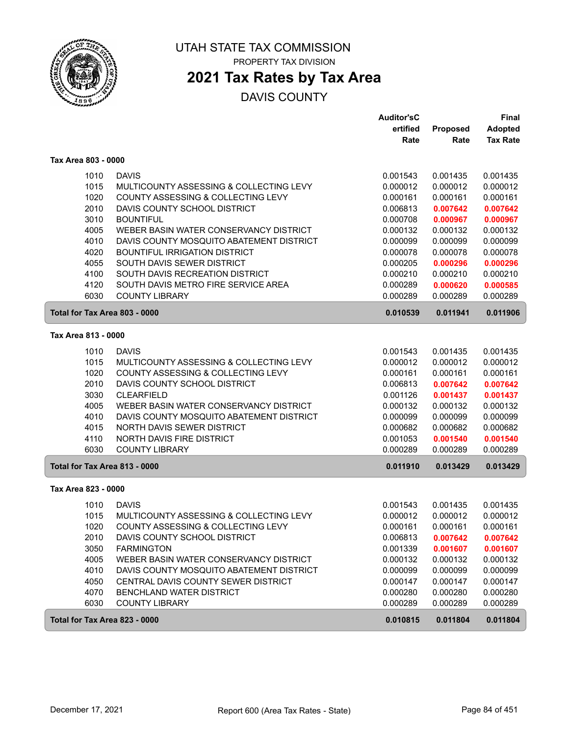

## **2021 Tax Rates by Tax Area**

|                     |                                                                               | Auditor'sC           |                      | Final                |
|---------------------|-------------------------------------------------------------------------------|----------------------|----------------------|----------------------|
|                     |                                                                               | ertified             | Proposed             | <b>Adopted</b>       |
|                     |                                                                               | Rate                 | Rate                 | <b>Tax Rate</b>      |
| Tax Area 803 - 0000 |                                                                               |                      |                      |                      |
| 1010                | <b>DAVIS</b>                                                                  | 0.001543             | 0.001435             | 0.001435             |
| 1015                | MULTICOUNTY ASSESSING & COLLECTING LEVY                                       | 0.000012             | 0.000012             | 0.000012             |
| 1020                | COUNTY ASSESSING & COLLECTING LEVY                                            | 0.000161             | 0.000161             | 0.000161             |
| 2010                | DAVIS COUNTY SCHOOL DISTRICT                                                  | 0.006813             | 0.007642             | 0.007642             |
| 3010                | <b>BOUNTIFUL</b>                                                              | 0.000708             | 0.000967             | 0.000967             |
| 4005                | WEBER BASIN WATER CONSERVANCY DISTRICT                                        | 0.000132             | 0.000132             | 0.000132             |
| 4010                | DAVIS COUNTY MOSQUITO ABATEMENT DISTRICT                                      | 0.000099             | 0.000099             | 0.000099             |
| 4020                | <b>BOUNTIFUL IRRIGATION DISTRICT</b>                                          | 0.000078             | 0.000078             | 0.000078             |
| 4055                | SOUTH DAVIS SEWER DISTRICT                                                    | 0.000205             | 0.000296             | 0.000296             |
| 4100                | SOUTH DAVIS RECREATION DISTRICT                                               | 0.000210             | 0.000210             | 0.000210             |
| 4120                | SOUTH DAVIS METRO FIRE SERVICE AREA                                           | 0.000289             | 0.000620             | 0.000585             |
| 6030                | <b>COUNTY LIBRARY</b>                                                         | 0.000289             | 0.000289             | 0.000289             |
|                     | Total for Tax Area 803 - 0000                                                 | 0.010539             | 0.011941             | 0.011906             |
| Tax Area 813 - 0000 |                                                                               |                      |                      |                      |
|                     |                                                                               |                      |                      |                      |
| 1010<br>1015        | <b>DAVIS</b>                                                                  | 0.001543<br>0.000012 | 0.001435<br>0.000012 | 0.001435             |
| 1020                | MULTICOUNTY ASSESSING & COLLECTING LEVY<br>COUNTY ASSESSING & COLLECTING LEVY | 0.000161             | 0.000161             | 0.000012<br>0.000161 |
| 2010                | DAVIS COUNTY SCHOOL DISTRICT                                                  | 0.006813             | 0.007642             | 0.007642             |
| 3030                | <b>CLEARFIELD</b>                                                             | 0.001126             | 0.001437             | 0.001437             |
| 4005                | WEBER BASIN WATER CONSERVANCY DISTRICT                                        | 0.000132             | 0.000132             | 0.000132             |
| 4010                | DAVIS COUNTY MOSQUITO ABATEMENT DISTRICT                                      | 0.000099             | 0.000099             | 0.000099             |
| 4015                | NORTH DAVIS SEWER DISTRICT                                                    | 0.000682             | 0.000682             | 0.000682             |
| 4110                | <b>NORTH DAVIS FIRE DISTRICT</b>                                              | 0.001053             | 0.001540             | 0.001540             |
| 6030                | <b>COUNTY LIBRARY</b>                                                         | 0.000289             | 0.000289             | 0.000289             |
|                     | Total for Tax Area 813 - 0000                                                 | 0.011910             | 0.013429             | 0.013429             |
| Tax Area 823 - 0000 |                                                                               |                      |                      |                      |
|                     |                                                                               |                      |                      |                      |
| 1010                | <b>DAVIS</b>                                                                  | 0.001543             | 0.001435             | 0.001435             |
| 1015                | MULTICOUNTY ASSESSING & COLLECTING LEVY                                       | 0.000012             | 0.000012             | 0.000012             |
| 1020                | COUNTY ASSESSING & COLLECTING LEVY                                            | 0.000161             | 0.000161             | 0.000161             |
| 2010                | DAVIS COUNTY SCHOOL DISTRICT                                                  | 0.006813             | 0.007642             | 0.007642             |
| 3050                | <b>FARMINGTON</b>                                                             | 0.001339             | 0.001607             | 0.001607             |
| 4005                | WEBER BASIN WATER CONSERVANCY DISTRICT                                        | 0.000132             | 0.000132             | 0.000132             |
| 4010                | DAVIS COUNTY MOSQUITO ABATEMENT DISTRICT                                      | 0.000099             | 0.000099             | 0.000099             |
| 4050                | CENTRAL DAVIS COUNTY SEWER DISTRICT                                           | 0.000147             | 0.000147             | 0.000147             |
| 4070                | BENCHLAND WATER DISTRICT<br><b>COUNTY LIBRARY</b>                             | 0.000280             | 0.000280             | 0.000280             |
| 6030                |                                                                               | 0.000289             | 0.000289             | 0.000289             |
|                     | Total for Tax Area 823 - 0000                                                 | 0.010815             | 0.011804             | 0.011804             |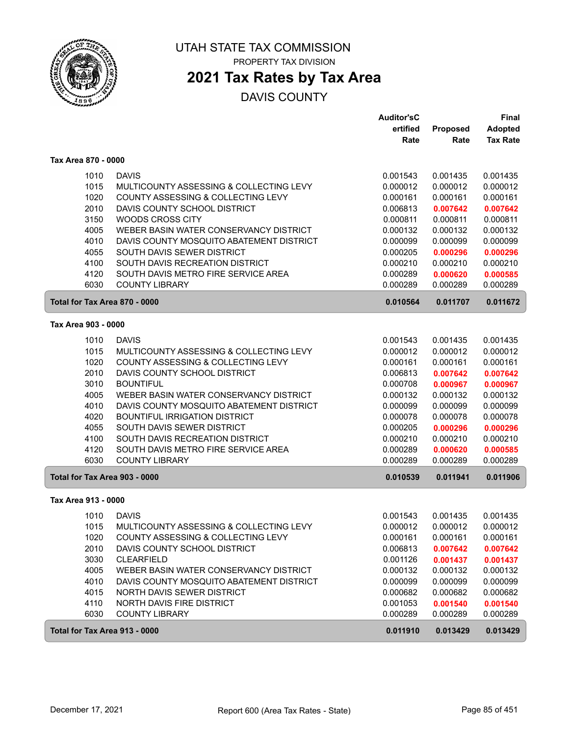

# **2021 Tax Rates by Tax Area**

| <b>Adopted</b><br>ertified<br>Proposed<br><b>Tax Rate</b><br>Rate<br>Rate<br>Tax Area 870 - 0000<br><b>DAVIS</b><br>1010<br>0.001543<br>0.001435<br>0.001435<br>1015<br>MULTICOUNTY ASSESSING & COLLECTING LEVY<br>0.000012<br>0.000012<br>0.000012<br>1020<br>COUNTY ASSESSING & COLLECTING LEVY<br>0.000161<br>0.000161<br>0.000161<br>2010<br>DAVIS COUNTY SCHOOL DISTRICT<br>0.006813<br>0.007642<br>0.007642<br>3150<br>WOODS CROSS CITY<br>0.000811<br>0.000811<br>0.000811<br>4005<br>WEBER BASIN WATER CONSERVANCY DISTRICT<br>0.000132<br>0.000132<br>0.000132<br>4010<br>DAVIS COUNTY MOSQUITO ABATEMENT DISTRICT<br>0.000099<br>0.000099<br>0.000099<br>4055<br>SOUTH DAVIS SEWER DISTRICT<br>0.000205<br>0.000296<br>0.000296<br>4100<br>SOUTH DAVIS RECREATION DISTRICT<br>0.000210<br>0.000210<br>0.000210<br>4120<br>SOUTH DAVIS METRO FIRE SERVICE AREA<br>0.000289<br>0.000620<br>0.000585<br>6030<br><b>COUNTY LIBRARY</b><br>0.000289<br>0.000289<br>0.000289<br>Total for Tax Area 870 - 0000<br>0.010564<br>0.011707<br>0.011672<br>Tax Area 903 - 0000<br><b>DAVIS</b><br>1010<br>0.001543<br>0.001435<br>0.001435<br>1015<br>MULTICOUNTY ASSESSING & COLLECTING LEVY<br>0.000012<br>0.000012<br>0.000012<br>1020<br>COUNTY ASSESSING & COLLECTING LEVY<br>0.000161<br>0.000161<br>0.000161<br>2010<br>DAVIS COUNTY SCHOOL DISTRICT<br>0.006813<br>0.007642<br>0.007642<br>3010<br><b>BOUNTIFUL</b><br>0.000708<br>0.000967<br>0.000967<br>4005<br>WEBER BASIN WATER CONSERVANCY DISTRICT<br>0.000132<br>0.000132<br>0.000132<br>4010<br>DAVIS COUNTY MOSQUITO ABATEMENT DISTRICT<br>0.000099<br>0.000099<br>0.000099<br>4020<br><b>BOUNTIFUL IRRIGATION DISTRICT</b><br>0.000078<br>0.000078<br>0.000078<br>4055<br>SOUTH DAVIS SEWER DISTRICT<br>0.000205<br>0.000296<br>0.000296<br>4100<br>SOUTH DAVIS RECREATION DISTRICT<br>0.000210<br>0.000210<br>0.000210<br>4120<br>SOUTH DAVIS METRO FIRE SERVICE AREA<br>0.000289<br>0.000620<br>0.000585<br>6030<br><b>COUNTY LIBRARY</b><br>0.000289<br>0.000289<br>0.000289<br>Total for Tax Area 903 - 0000<br>0.010539<br>0.011941<br>0.011906<br>Tax Area 913 - 0000<br><b>DAVIS</b><br>1010<br>0.001543<br>0.001435<br>0.001435<br>MULTICOUNTY ASSESSING & COLLECTING LEVY<br>1015<br>0.000012<br>0.000012<br>0.000012<br>COUNTY ASSESSING & COLLECTING LEVY<br>0.000161<br>1020<br>0.000161<br>0.000161<br>2010<br>DAVIS COUNTY SCHOOL DISTRICT<br>0.006813<br>0.007642<br>0.007642<br>3030<br><b>CLEARFIELD</b><br>0.001126<br>0.001437<br>0.001437<br>4005<br>WEBER BASIN WATER CONSERVANCY DISTRICT<br>0.000132<br>0.000132<br>0.000132<br>4010<br>DAVIS COUNTY MOSQUITO ABATEMENT DISTRICT<br>0.000099<br>0.000099<br>0.000099<br>4015<br>NORTH DAVIS SEWER DISTRICT<br>0.000682<br>0.000682<br>0.000682<br>4110<br><b>NORTH DAVIS FIRE DISTRICT</b><br>0.001053<br>0.001540<br>0.001540<br>6030<br><b>COUNTY LIBRARY</b><br>0.000289<br>0.000289<br>0.000289<br>Total for Tax Area 913 - 0000<br>0.011910<br>0.013429<br>0.013429 |  | <b>Auditor'sC</b> | Final |
|------------------------------------------------------------------------------------------------------------------------------------------------------------------------------------------------------------------------------------------------------------------------------------------------------------------------------------------------------------------------------------------------------------------------------------------------------------------------------------------------------------------------------------------------------------------------------------------------------------------------------------------------------------------------------------------------------------------------------------------------------------------------------------------------------------------------------------------------------------------------------------------------------------------------------------------------------------------------------------------------------------------------------------------------------------------------------------------------------------------------------------------------------------------------------------------------------------------------------------------------------------------------------------------------------------------------------------------------------------------------------------------------------------------------------------------------------------------------------------------------------------------------------------------------------------------------------------------------------------------------------------------------------------------------------------------------------------------------------------------------------------------------------------------------------------------------------------------------------------------------------------------------------------------------------------------------------------------------------------------------------------------------------------------------------------------------------------------------------------------------------------------------------------------------------------------------------------------------------------------------------------------------------------------------------------------------------------------------------------------------------------------------------------------------------------------------------------------------------------------------------------------------------------------------------------------------------------------------------------------------------------------------------------------------------------------------------------------------------------------------------------------------------------------------------------------------------------------------------------------------------------------------------------------------------------------------------------------------------------------------------------------|--|-------------------|-------|
|                                                                                                                                                                                                                                                                                                                                                                                                                                                                                                                                                                                                                                                                                                                                                                                                                                                                                                                                                                                                                                                                                                                                                                                                                                                                                                                                                                                                                                                                                                                                                                                                                                                                                                                                                                                                                                                                                                                                                                                                                                                                                                                                                                                                                                                                                                                                                                                                                                                                                                                                                                                                                                                                                                                                                                                                                                                                                                                                                                                                                  |  |                   |       |
|                                                                                                                                                                                                                                                                                                                                                                                                                                                                                                                                                                                                                                                                                                                                                                                                                                                                                                                                                                                                                                                                                                                                                                                                                                                                                                                                                                                                                                                                                                                                                                                                                                                                                                                                                                                                                                                                                                                                                                                                                                                                                                                                                                                                                                                                                                                                                                                                                                                                                                                                                                                                                                                                                                                                                                                                                                                                                                                                                                                                                  |  |                   |       |
|                                                                                                                                                                                                                                                                                                                                                                                                                                                                                                                                                                                                                                                                                                                                                                                                                                                                                                                                                                                                                                                                                                                                                                                                                                                                                                                                                                                                                                                                                                                                                                                                                                                                                                                                                                                                                                                                                                                                                                                                                                                                                                                                                                                                                                                                                                                                                                                                                                                                                                                                                                                                                                                                                                                                                                                                                                                                                                                                                                                                                  |  |                   |       |
|                                                                                                                                                                                                                                                                                                                                                                                                                                                                                                                                                                                                                                                                                                                                                                                                                                                                                                                                                                                                                                                                                                                                                                                                                                                                                                                                                                                                                                                                                                                                                                                                                                                                                                                                                                                                                                                                                                                                                                                                                                                                                                                                                                                                                                                                                                                                                                                                                                                                                                                                                                                                                                                                                                                                                                                                                                                                                                                                                                                                                  |  |                   |       |
|                                                                                                                                                                                                                                                                                                                                                                                                                                                                                                                                                                                                                                                                                                                                                                                                                                                                                                                                                                                                                                                                                                                                                                                                                                                                                                                                                                                                                                                                                                                                                                                                                                                                                                                                                                                                                                                                                                                                                                                                                                                                                                                                                                                                                                                                                                                                                                                                                                                                                                                                                                                                                                                                                                                                                                                                                                                                                                                                                                                                                  |  |                   |       |
|                                                                                                                                                                                                                                                                                                                                                                                                                                                                                                                                                                                                                                                                                                                                                                                                                                                                                                                                                                                                                                                                                                                                                                                                                                                                                                                                                                                                                                                                                                                                                                                                                                                                                                                                                                                                                                                                                                                                                                                                                                                                                                                                                                                                                                                                                                                                                                                                                                                                                                                                                                                                                                                                                                                                                                                                                                                                                                                                                                                                                  |  |                   |       |
|                                                                                                                                                                                                                                                                                                                                                                                                                                                                                                                                                                                                                                                                                                                                                                                                                                                                                                                                                                                                                                                                                                                                                                                                                                                                                                                                                                                                                                                                                                                                                                                                                                                                                                                                                                                                                                                                                                                                                                                                                                                                                                                                                                                                                                                                                                                                                                                                                                                                                                                                                                                                                                                                                                                                                                                                                                                                                                                                                                                                                  |  |                   |       |
|                                                                                                                                                                                                                                                                                                                                                                                                                                                                                                                                                                                                                                                                                                                                                                                                                                                                                                                                                                                                                                                                                                                                                                                                                                                                                                                                                                                                                                                                                                                                                                                                                                                                                                                                                                                                                                                                                                                                                                                                                                                                                                                                                                                                                                                                                                                                                                                                                                                                                                                                                                                                                                                                                                                                                                                                                                                                                                                                                                                                                  |  |                   |       |
|                                                                                                                                                                                                                                                                                                                                                                                                                                                                                                                                                                                                                                                                                                                                                                                                                                                                                                                                                                                                                                                                                                                                                                                                                                                                                                                                                                                                                                                                                                                                                                                                                                                                                                                                                                                                                                                                                                                                                                                                                                                                                                                                                                                                                                                                                                                                                                                                                                                                                                                                                                                                                                                                                                                                                                                                                                                                                                                                                                                                                  |  |                   |       |
|                                                                                                                                                                                                                                                                                                                                                                                                                                                                                                                                                                                                                                                                                                                                                                                                                                                                                                                                                                                                                                                                                                                                                                                                                                                                                                                                                                                                                                                                                                                                                                                                                                                                                                                                                                                                                                                                                                                                                                                                                                                                                                                                                                                                                                                                                                                                                                                                                                                                                                                                                                                                                                                                                                                                                                                                                                                                                                                                                                                                                  |  |                   |       |
|                                                                                                                                                                                                                                                                                                                                                                                                                                                                                                                                                                                                                                                                                                                                                                                                                                                                                                                                                                                                                                                                                                                                                                                                                                                                                                                                                                                                                                                                                                                                                                                                                                                                                                                                                                                                                                                                                                                                                                                                                                                                                                                                                                                                                                                                                                                                                                                                                                                                                                                                                                                                                                                                                                                                                                                                                                                                                                                                                                                                                  |  |                   |       |
|                                                                                                                                                                                                                                                                                                                                                                                                                                                                                                                                                                                                                                                                                                                                                                                                                                                                                                                                                                                                                                                                                                                                                                                                                                                                                                                                                                                                                                                                                                                                                                                                                                                                                                                                                                                                                                                                                                                                                                                                                                                                                                                                                                                                                                                                                                                                                                                                                                                                                                                                                                                                                                                                                                                                                                                                                                                                                                                                                                                                                  |  |                   |       |
|                                                                                                                                                                                                                                                                                                                                                                                                                                                                                                                                                                                                                                                                                                                                                                                                                                                                                                                                                                                                                                                                                                                                                                                                                                                                                                                                                                                                                                                                                                                                                                                                                                                                                                                                                                                                                                                                                                                                                                                                                                                                                                                                                                                                                                                                                                                                                                                                                                                                                                                                                                                                                                                                                                                                                                                                                                                                                                                                                                                                                  |  |                   |       |
|                                                                                                                                                                                                                                                                                                                                                                                                                                                                                                                                                                                                                                                                                                                                                                                                                                                                                                                                                                                                                                                                                                                                                                                                                                                                                                                                                                                                                                                                                                                                                                                                                                                                                                                                                                                                                                                                                                                                                                                                                                                                                                                                                                                                                                                                                                                                                                                                                                                                                                                                                                                                                                                                                                                                                                                                                                                                                                                                                                                                                  |  |                   |       |
|                                                                                                                                                                                                                                                                                                                                                                                                                                                                                                                                                                                                                                                                                                                                                                                                                                                                                                                                                                                                                                                                                                                                                                                                                                                                                                                                                                                                                                                                                                                                                                                                                                                                                                                                                                                                                                                                                                                                                                                                                                                                                                                                                                                                                                                                                                                                                                                                                                                                                                                                                                                                                                                                                                                                                                                                                                                                                                                                                                                                                  |  |                   |       |
|                                                                                                                                                                                                                                                                                                                                                                                                                                                                                                                                                                                                                                                                                                                                                                                                                                                                                                                                                                                                                                                                                                                                                                                                                                                                                                                                                                                                                                                                                                                                                                                                                                                                                                                                                                                                                                                                                                                                                                                                                                                                                                                                                                                                                                                                                                                                                                                                                                                                                                                                                                                                                                                                                                                                                                                                                                                                                                                                                                                                                  |  |                   |       |
|                                                                                                                                                                                                                                                                                                                                                                                                                                                                                                                                                                                                                                                                                                                                                                                                                                                                                                                                                                                                                                                                                                                                                                                                                                                                                                                                                                                                                                                                                                                                                                                                                                                                                                                                                                                                                                                                                                                                                                                                                                                                                                                                                                                                                                                                                                                                                                                                                                                                                                                                                                                                                                                                                                                                                                                                                                                                                                                                                                                                                  |  |                   |       |
|                                                                                                                                                                                                                                                                                                                                                                                                                                                                                                                                                                                                                                                                                                                                                                                                                                                                                                                                                                                                                                                                                                                                                                                                                                                                                                                                                                                                                                                                                                                                                                                                                                                                                                                                                                                                                                                                                                                                                                                                                                                                                                                                                                                                                                                                                                                                                                                                                                                                                                                                                                                                                                                                                                                                                                                                                                                                                                                                                                                                                  |  |                   |       |
|                                                                                                                                                                                                                                                                                                                                                                                                                                                                                                                                                                                                                                                                                                                                                                                                                                                                                                                                                                                                                                                                                                                                                                                                                                                                                                                                                                                                                                                                                                                                                                                                                                                                                                                                                                                                                                                                                                                                                                                                                                                                                                                                                                                                                                                                                                                                                                                                                                                                                                                                                                                                                                                                                                                                                                                                                                                                                                                                                                                                                  |  |                   |       |
|                                                                                                                                                                                                                                                                                                                                                                                                                                                                                                                                                                                                                                                                                                                                                                                                                                                                                                                                                                                                                                                                                                                                                                                                                                                                                                                                                                                                                                                                                                                                                                                                                                                                                                                                                                                                                                                                                                                                                                                                                                                                                                                                                                                                                                                                                                                                                                                                                                                                                                                                                                                                                                                                                                                                                                                                                                                                                                                                                                                                                  |  |                   |       |
|                                                                                                                                                                                                                                                                                                                                                                                                                                                                                                                                                                                                                                                                                                                                                                                                                                                                                                                                                                                                                                                                                                                                                                                                                                                                                                                                                                                                                                                                                                                                                                                                                                                                                                                                                                                                                                                                                                                                                                                                                                                                                                                                                                                                                                                                                                                                                                                                                                                                                                                                                                                                                                                                                                                                                                                                                                                                                                                                                                                                                  |  |                   |       |
|                                                                                                                                                                                                                                                                                                                                                                                                                                                                                                                                                                                                                                                                                                                                                                                                                                                                                                                                                                                                                                                                                                                                                                                                                                                                                                                                                                                                                                                                                                                                                                                                                                                                                                                                                                                                                                                                                                                                                                                                                                                                                                                                                                                                                                                                                                                                                                                                                                                                                                                                                                                                                                                                                                                                                                                                                                                                                                                                                                                                                  |  |                   |       |
|                                                                                                                                                                                                                                                                                                                                                                                                                                                                                                                                                                                                                                                                                                                                                                                                                                                                                                                                                                                                                                                                                                                                                                                                                                                                                                                                                                                                                                                                                                                                                                                                                                                                                                                                                                                                                                                                                                                                                                                                                                                                                                                                                                                                                                                                                                                                                                                                                                                                                                                                                                                                                                                                                                                                                                                                                                                                                                                                                                                                                  |  |                   |       |
|                                                                                                                                                                                                                                                                                                                                                                                                                                                                                                                                                                                                                                                                                                                                                                                                                                                                                                                                                                                                                                                                                                                                                                                                                                                                                                                                                                                                                                                                                                                                                                                                                                                                                                                                                                                                                                                                                                                                                                                                                                                                                                                                                                                                                                                                                                                                                                                                                                                                                                                                                                                                                                                                                                                                                                                                                                                                                                                                                                                                                  |  |                   |       |
|                                                                                                                                                                                                                                                                                                                                                                                                                                                                                                                                                                                                                                                                                                                                                                                                                                                                                                                                                                                                                                                                                                                                                                                                                                                                                                                                                                                                                                                                                                                                                                                                                                                                                                                                                                                                                                                                                                                                                                                                                                                                                                                                                                                                                                                                                                                                                                                                                                                                                                                                                                                                                                                                                                                                                                                                                                                                                                                                                                                                                  |  |                   |       |
|                                                                                                                                                                                                                                                                                                                                                                                                                                                                                                                                                                                                                                                                                                                                                                                                                                                                                                                                                                                                                                                                                                                                                                                                                                                                                                                                                                                                                                                                                                                                                                                                                                                                                                                                                                                                                                                                                                                                                                                                                                                                                                                                                                                                                                                                                                                                                                                                                                                                                                                                                                                                                                                                                                                                                                                                                                                                                                                                                                                                                  |  |                   |       |
|                                                                                                                                                                                                                                                                                                                                                                                                                                                                                                                                                                                                                                                                                                                                                                                                                                                                                                                                                                                                                                                                                                                                                                                                                                                                                                                                                                                                                                                                                                                                                                                                                                                                                                                                                                                                                                                                                                                                                                                                                                                                                                                                                                                                                                                                                                                                                                                                                                                                                                                                                                                                                                                                                                                                                                                                                                                                                                                                                                                                                  |  |                   |       |
|                                                                                                                                                                                                                                                                                                                                                                                                                                                                                                                                                                                                                                                                                                                                                                                                                                                                                                                                                                                                                                                                                                                                                                                                                                                                                                                                                                                                                                                                                                                                                                                                                                                                                                                                                                                                                                                                                                                                                                                                                                                                                                                                                                                                                                                                                                                                                                                                                                                                                                                                                                                                                                                                                                                                                                                                                                                                                                                                                                                                                  |  |                   |       |
|                                                                                                                                                                                                                                                                                                                                                                                                                                                                                                                                                                                                                                                                                                                                                                                                                                                                                                                                                                                                                                                                                                                                                                                                                                                                                                                                                                                                                                                                                                                                                                                                                                                                                                                                                                                                                                                                                                                                                                                                                                                                                                                                                                                                                                                                                                                                                                                                                                                                                                                                                                                                                                                                                                                                                                                                                                                                                                                                                                                                                  |  |                   |       |
|                                                                                                                                                                                                                                                                                                                                                                                                                                                                                                                                                                                                                                                                                                                                                                                                                                                                                                                                                                                                                                                                                                                                                                                                                                                                                                                                                                                                                                                                                                                                                                                                                                                                                                                                                                                                                                                                                                                                                                                                                                                                                                                                                                                                                                                                                                                                                                                                                                                                                                                                                                                                                                                                                                                                                                                                                                                                                                                                                                                                                  |  |                   |       |
|                                                                                                                                                                                                                                                                                                                                                                                                                                                                                                                                                                                                                                                                                                                                                                                                                                                                                                                                                                                                                                                                                                                                                                                                                                                                                                                                                                                                                                                                                                                                                                                                                                                                                                                                                                                                                                                                                                                                                                                                                                                                                                                                                                                                                                                                                                                                                                                                                                                                                                                                                                                                                                                                                                                                                                                                                                                                                                                                                                                                                  |  |                   |       |
|                                                                                                                                                                                                                                                                                                                                                                                                                                                                                                                                                                                                                                                                                                                                                                                                                                                                                                                                                                                                                                                                                                                                                                                                                                                                                                                                                                                                                                                                                                                                                                                                                                                                                                                                                                                                                                                                                                                                                                                                                                                                                                                                                                                                                                                                                                                                                                                                                                                                                                                                                                                                                                                                                                                                                                                                                                                                                                                                                                                                                  |  |                   |       |
|                                                                                                                                                                                                                                                                                                                                                                                                                                                                                                                                                                                                                                                                                                                                                                                                                                                                                                                                                                                                                                                                                                                                                                                                                                                                                                                                                                                                                                                                                                                                                                                                                                                                                                                                                                                                                                                                                                                                                                                                                                                                                                                                                                                                                                                                                                                                                                                                                                                                                                                                                                                                                                                                                                                                                                                                                                                                                                                                                                                                                  |  |                   |       |
|                                                                                                                                                                                                                                                                                                                                                                                                                                                                                                                                                                                                                                                                                                                                                                                                                                                                                                                                                                                                                                                                                                                                                                                                                                                                                                                                                                                                                                                                                                                                                                                                                                                                                                                                                                                                                                                                                                                                                                                                                                                                                                                                                                                                                                                                                                                                                                                                                                                                                                                                                                                                                                                                                                                                                                                                                                                                                                                                                                                                                  |  |                   |       |
|                                                                                                                                                                                                                                                                                                                                                                                                                                                                                                                                                                                                                                                                                                                                                                                                                                                                                                                                                                                                                                                                                                                                                                                                                                                                                                                                                                                                                                                                                                                                                                                                                                                                                                                                                                                                                                                                                                                                                                                                                                                                                                                                                                                                                                                                                                                                                                                                                                                                                                                                                                                                                                                                                                                                                                                                                                                                                                                                                                                                                  |  |                   |       |
|                                                                                                                                                                                                                                                                                                                                                                                                                                                                                                                                                                                                                                                                                                                                                                                                                                                                                                                                                                                                                                                                                                                                                                                                                                                                                                                                                                                                                                                                                                                                                                                                                                                                                                                                                                                                                                                                                                                                                                                                                                                                                                                                                                                                                                                                                                                                                                                                                                                                                                                                                                                                                                                                                                                                                                                                                                                                                                                                                                                                                  |  |                   |       |
|                                                                                                                                                                                                                                                                                                                                                                                                                                                                                                                                                                                                                                                                                                                                                                                                                                                                                                                                                                                                                                                                                                                                                                                                                                                                                                                                                                                                                                                                                                                                                                                                                                                                                                                                                                                                                                                                                                                                                                                                                                                                                                                                                                                                                                                                                                                                                                                                                                                                                                                                                                                                                                                                                                                                                                                                                                                                                                                                                                                                                  |  |                   |       |
|                                                                                                                                                                                                                                                                                                                                                                                                                                                                                                                                                                                                                                                                                                                                                                                                                                                                                                                                                                                                                                                                                                                                                                                                                                                                                                                                                                                                                                                                                                                                                                                                                                                                                                                                                                                                                                                                                                                                                                                                                                                                                                                                                                                                                                                                                                                                                                                                                                                                                                                                                                                                                                                                                                                                                                                                                                                                                                                                                                                                                  |  |                   |       |
|                                                                                                                                                                                                                                                                                                                                                                                                                                                                                                                                                                                                                                                                                                                                                                                                                                                                                                                                                                                                                                                                                                                                                                                                                                                                                                                                                                                                                                                                                                                                                                                                                                                                                                                                                                                                                                                                                                                                                                                                                                                                                                                                                                                                                                                                                                                                                                                                                                                                                                                                                                                                                                                                                                                                                                                                                                                                                                                                                                                                                  |  |                   |       |
|                                                                                                                                                                                                                                                                                                                                                                                                                                                                                                                                                                                                                                                                                                                                                                                                                                                                                                                                                                                                                                                                                                                                                                                                                                                                                                                                                                                                                                                                                                                                                                                                                                                                                                                                                                                                                                                                                                                                                                                                                                                                                                                                                                                                                                                                                                                                                                                                                                                                                                                                                                                                                                                                                                                                                                                                                                                                                                                                                                                                                  |  |                   |       |
|                                                                                                                                                                                                                                                                                                                                                                                                                                                                                                                                                                                                                                                                                                                                                                                                                                                                                                                                                                                                                                                                                                                                                                                                                                                                                                                                                                                                                                                                                                                                                                                                                                                                                                                                                                                                                                                                                                                                                                                                                                                                                                                                                                                                                                                                                                                                                                                                                                                                                                                                                                                                                                                                                                                                                                                                                                                                                                                                                                                                                  |  |                   |       |
|                                                                                                                                                                                                                                                                                                                                                                                                                                                                                                                                                                                                                                                                                                                                                                                                                                                                                                                                                                                                                                                                                                                                                                                                                                                                                                                                                                                                                                                                                                                                                                                                                                                                                                                                                                                                                                                                                                                                                                                                                                                                                                                                                                                                                                                                                                                                                                                                                                                                                                                                                                                                                                                                                                                                                                                                                                                                                                                                                                                                                  |  |                   |       |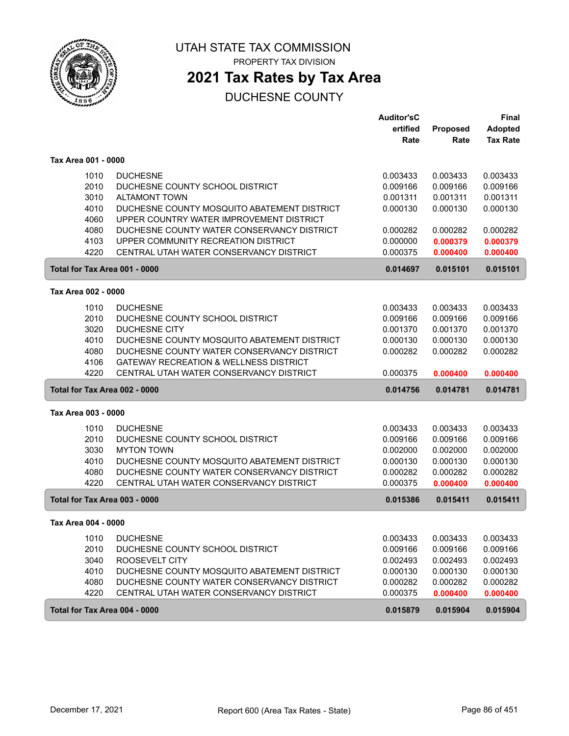

PROPERTY TAX DIVISION

## **2021 Tax Rates by Tax Area**

|                               |                                             | <b>Auditor'sC</b> |          | <b>Final</b>    |
|-------------------------------|---------------------------------------------|-------------------|----------|-----------------|
|                               |                                             | ertified          | Proposed | <b>Adopted</b>  |
|                               |                                             | Rate              | Rate     | <b>Tax Rate</b> |
| Tax Area 001 - 0000           |                                             |                   |          |                 |
| 1010                          | <b>DUCHESNE</b>                             | 0.003433          | 0.003433 | 0.003433        |
| 2010                          | DUCHESNE COUNTY SCHOOL DISTRICT             | 0.009166          | 0.009166 | 0.009166        |
| 3010                          | <b>ALTAMONT TOWN</b>                        | 0.001311          | 0.001311 | 0.001311        |
| 4010                          | DUCHESNE COUNTY MOSQUITO ABATEMENT DISTRICT | 0.000130          | 0.000130 | 0.000130        |
| 4060                          | UPPER COUNTRY WATER IMPROVEMENT DISTRICT    |                   |          |                 |
| 4080                          | DUCHESNE COUNTY WATER CONSERVANCY DISTRICT  | 0.000282          | 0.000282 | 0.000282        |
| 4103                          | UPPER COMMUNITY RECREATION DISTRICT         | 0.000000          | 0.000379 | 0.000379        |
| 4220                          | CENTRAL UTAH WATER CONSERVANCY DISTRICT     | 0.000375          | 0.000400 | 0.000400        |
| Total for Tax Area 001 - 0000 |                                             | 0.014697          | 0.015101 | 0.015101        |
| Tax Area 002 - 0000           |                                             |                   |          |                 |
| 1010                          | <b>DUCHESNE</b>                             | 0.003433          | 0.003433 | 0.003433        |
| 2010                          | DUCHESNE COUNTY SCHOOL DISTRICT             | 0.009166          | 0.009166 | 0.009166        |
| 3020                          | <b>DUCHESNE CITY</b>                        | 0.001370          | 0.001370 | 0.001370        |
| 4010                          | DUCHESNE COUNTY MOSQUITO ABATEMENT DISTRICT | 0.000130          | 0.000130 | 0.000130        |
| 4080                          | DUCHESNE COUNTY WATER CONSERVANCY DISTRICT  | 0.000282          | 0.000282 | 0.000282        |
| 4106                          | GATEWAY RECREATION & WELLNESS DISTRICT      |                   |          |                 |
| 4220                          | CENTRAL UTAH WATER CONSERVANCY DISTRICT     | 0.000375          | 0.000400 | 0.000400        |
| Total for Tax Area 002 - 0000 |                                             | 0.014756          | 0.014781 | 0.014781        |
| Tax Area 003 - 0000           |                                             |                   |          |                 |
| 1010                          | <b>DUCHESNE</b>                             | 0.003433          | 0.003433 | 0.003433        |
| 2010                          | DUCHESNE COUNTY SCHOOL DISTRICT             | 0.009166          | 0.009166 | 0.009166        |
| 3030                          | <b>MYTON TOWN</b>                           | 0.002000          | 0.002000 | 0.002000        |
| 4010                          | DUCHESNE COUNTY MOSQUITO ABATEMENT DISTRICT | 0.000130          | 0.000130 | 0.000130        |
| 4080                          | DUCHESNE COUNTY WATER CONSERVANCY DISTRICT  | 0.000282          | 0.000282 | 0.000282        |
| 4220                          | CENTRAL UTAH WATER CONSERVANCY DISTRICT     | 0.000375          | 0.000400 | 0.000400        |
| Total for Tax Area 003 - 0000 |                                             | 0.015386          | 0.015411 | 0.015411        |
| Tax Area 004 - 0000           |                                             |                   |          |                 |
| 1010                          | <b>DUCHESNE</b>                             | 0.003433          | 0.003433 | 0.003433        |
| 2010                          | DUCHESNE COUNTY SCHOOL DISTRICT             | 0.009166          | 0.009166 | 0.009166        |
| 3040                          | ROOSEVELT CITY                              | 0.002493          | 0.002493 | 0.002493        |
| 4010                          | DUCHESNE COUNTY MOSQUITO ABATEMENT DISTRICT | 0.000130          | 0.000130 | 0.000130        |
| 4080                          | DUCHESNE COUNTY WATER CONSERVANCY DISTRICT  | 0.000282          | 0.000282 | 0.000282        |
| 4220                          | CENTRAL UTAH WATER CONSERVANCY DISTRICT     | 0.000375          | 0.000400 | 0.000400        |
| Total for Tax Area 004 - 0000 |                                             | 0.015879          | 0.015904 | 0.015904        |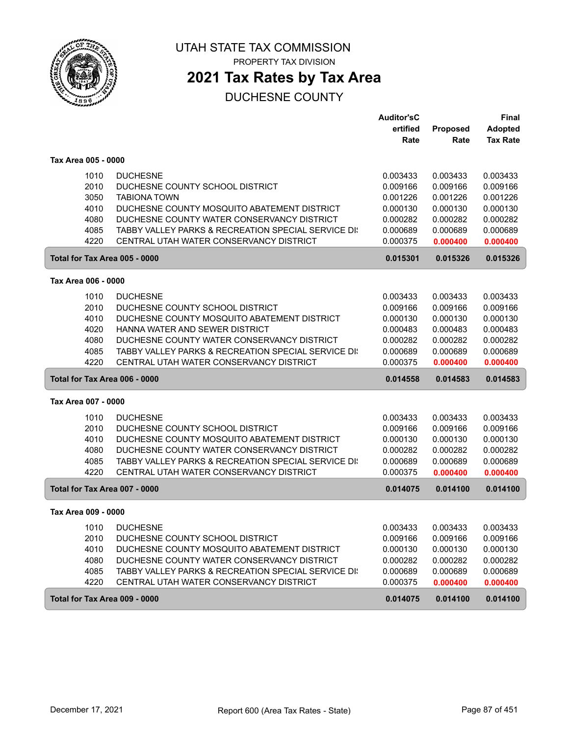

PROPERTY TAX DIVISION

## **2021 Tax Rates by Tax Area**

|                               |                                                     | <b>Auditor'sC</b> |                 | <b>Final</b>    |
|-------------------------------|-----------------------------------------------------|-------------------|-----------------|-----------------|
|                               |                                                     | ertified          | <b>Proposed</b> | <b>Adopted</b>  |
|                               |                                                     | Rate              | Rate            | <b>Tax Rate</b> |
| Tax Area 005 - 0000           |                                                     |                   |                 |                 |
| 1010                          | <b>DUCHESNE</b>                                     | 0.003433          | 0.003433        | 0.003433        |
| 2010                          | DUCHESNE COUNTY SCHOOL DISTRICT                     | 0.009166          | 0.009166        | 0.009166        |
| 3050                          | <b>TABIONA TOWN</b>                                 | 0.001226          | 0.001226        | 0.001226        |
| 4010                          | DUCHESNE COUNTY MOSQUITO ABATEMENT DISTRICT         | 0.000130          | 0.000130        | 0.000130        |
| 4080                          | DUCHESNE COUNTY WATER CONSERVANCY DISTRICT          | 0.000282          | 0.000282        | 0.000282        |
| 4085                          | TABBY VALLEY PARKS & RECREATION SPECIAL SERVICE DI: | 0.000689          | 0.000689        | 0.000689        |
| 4220                          | CENTRAL UTAH WATER CONSERVANCY DISTRICT             | 0.000375          | 0.000400        | 0.000400        |
| Total for Tax Area 005 - 0000 |                                                     | 0.015301          | 0.015326        | 0.015326        |
| Tax Area 006 - 0000           |                                                     |                   |                 |                 |
| 1010                          | <b>DUCHESNE</b>                                     | 0.003433          | 0.003433        | 0.003433        |
| 2010                          | DUCHESNE COUNTY SCHOOL DISTRICT                     | 0.009166          | 0.009166        | 0.009166        |
| 4010                          | DUCHESNE COUNTY MOSQUITO ABATEMENT DISTRICT         | 0.000130          | 0.000130        | 0.000130        |
| 4020                          | HANNA WATER AND SEWER DISTRICT                      | 0.000483          | 0.000483        | 0.000483        |
| 4080                          | DUCHESNE COUNTY WATER CONSERVANCY DISTRICT          | 0.000282          | 0.000282        | 0.000282        |
| 4085                          | TABBY VALLEY PARKS & RECREATION SPECIAL SERVICE DI: | 0.000689          | 0.000689        | 0.000689        |
| 4220                          | CENTRAL UTAH WATER CONSERVANCY DISTRICT             | 0.000375          | 0.000400        | 0.000400        |
| Total for Tax Area 006 - 0000 |                                                     | 0.014558          | 0.014583        | 0.014583        |
| Tax Area 007 - 0000           |                                                     |                   |                 |                 |
| 1010                          | <b>DUCHESNE</b>                                     | 0.003433          | 0.003433        | 0.003433        |
| 2010                          | DUCHESNE COUNTY SCHOOL DISTRICT                     | 0.009166          | 0.009166        | 0.009166        |
| 4010                          | DUCHESNE COUNTY MOSQUITO ABATEMENT DISTRICT         | 0.000130          | 0.000130        | 0.000130        |
| 4080                          | DUCHESNE COUNTY WATER CONSERVANCY DISTRICT          | 0.000282          | 0.000282        | 0.000282        |
| 4085                          | TABBY VALLEY PARKS & RECREATION SPECIAL SERVICE DI: | 0.000689          | 0.000689        | 0.000689        |
| 4220                          | CENTRAL UTAH WATER CONSERVANCY DISTRICT             | 0.000375          | 0.000400        | 0.000400        |
| Total for Tax Area 007 - 0000 |                                                     | 0.014075          | 0.014100        | 0.014100        |
| Tax Area 009 - 0000           |                                                     |                   |                 |                 |
| 1010                          | <b>DUCHESNE</b>                                     | 0.003433          | 0.003433        | 0.003433        |
| 2010                          | DUCHESNE COUNTY SCHOOL DISTRICT                     | 0.009166          | 0.009166        | 0.009166        |
| 4010                          | DUCHESNE COUNTY MOSQUITO ABATEMENT DISTRICT         | 0.000130          | 0.000130        | 0.000130        |
| 4080                          | DUCHESNE COUNTY WATER CONSERVANCY DISTRICT          | 0.000282          | 0.000282        | 0.000282        |
| 4085                          | TABBY VALLEY PARKS & RECREATION SPECIAL SERVICE DI: | 0.000689          | 0.000689        | 0.000689        |
| 4220                          | CENTRAL UTAH WATER CONSERVANCY DISTRICT             | 0.000375          | 0.000400        | 0.000400        |
| Total for Tax Area 009 - 0000 |                                                     | 0.014075          | 0.014100        | 0.014100        |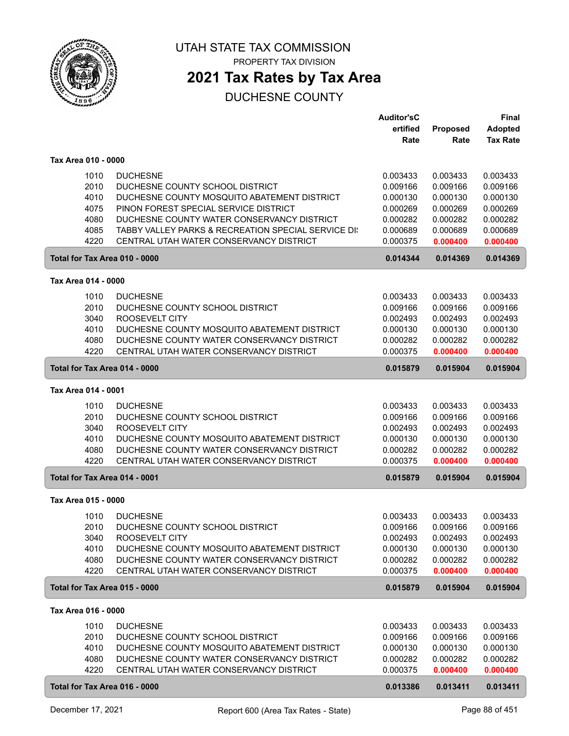

PROPERTY TAX DIVISION

### **2021 Tax Rates by Tax Area**

|                               |                                                    | Auditor'sC           |                      | Final                |
|-------------------------------|----------------------------------------------------|----------------------|----------------------|----------------------|
|                               |                                                    | ertified             | Proposed             | <b>Adopted</b>       |
|                               |                                                    | Rate                 | Rate                 | <b>Tax Rate</b>      |
| Tax Area 010 - 0000           |                                                    |                      |                      |                      |
| 1010                          | <b>DUCHESNE</b>                                    | 0.003433             | 0.003433             | 0.003433             |
| 2010                          | DUCHESNE COUNTY SCHOOL DISTRICT                    | 0.009166             | 0.009166             | 0.009166             |
| 4010                          | DUCHESNE COUNTY MOSQUITO ABATEMENT DISTRICT        | 0.000130             | 0.000130             | 0.000130             |
| 4075                          | PINON FOREST SPECIAL SERVICE DISTRICT              | 0.000269             | 0.000269             | 0.000269             |
| 4080                          | DUCHESNE COUNTY WATER CONSERVANCY DISTRICT         | 0.000282             | 0.000282             | 0.000282             |
| 4085                          | TABBY VALLEY PARKS & RECREATION SPECIAL SERVICE DI | 0.000689             | 0.000689             | 0.000689             |
| 4220                          | CENTRAL UTAH WATER CONSERVANCY DISTRICT            | 0.000375             | 0.000400             | 0.000400             |
| Total for Tax Area 010 - 0000 |                                                    | 0.014344             | 0.014369             | 0.014369             |
|                               |                                                    |                      |                      |                      |
| Tax Area 014 - 0000           |                                                    |                      |                      |                      |
| 1010                          | <b>DUCHESNE</b>                                    | 0.003433             | 0.003433             | 0.003433             |
| 2010                          | DUCHESNE COUNTY SCHOOL DISTRICT                    | 0.009166             | 0.009166             | 0.009166             |
| 3040                          | ROOSEVELT CITY                                     | 0.002493             | 0.002493             | 0.002493             |
| 4010                          | DUCHESNE COUNTY MOSQUITO ABATEMENT DISTRICT        | 0.000130             | 0.000130             | 0.000130             |
| 4080                          | DUCHESNE COUNTY WATER CONSERVANCY DISTRICT         | 0.000282             | 0.000282             | 0.000282             |
| 4220                          | CENTRAL UTAH WATER CONSERVANCY DISTRICT            | 0.000375             | 0.000400             | 0.000400             |
| Total for Tax Area 014 - 0000 |                                                    | 0.015879             | 0.015904             | 0.015904             |
| Tax Area 014 - 0001           |                                                    |                      |                      |                      |
|                               |                                                    |                      |                      |                      |
| 1010                          | <b>DUCHESNE</b>                                    | 0.003433             | 0.003433             | 0.003433             |
| 2010                          | DUCHESNE COUNTY SCHOOL DISTRICT<br>ROOSEVELT CITY  | 0.009166             | 0.009166             | 0.009166             |
| 3040<br>4010                  | DUCHESNE COUNTY MOSQUITO ABATEMENT DISTRICT        | 0.002493<br>0.000130 | 0.002493<br>0.000130 | 0.002493<br>0.000130 |
| 4080                          | DUCHESNE COUNTY WATER CONSERVANCY DISTRICT         | 0.000282             | 0.000282             | 0.000282             |
| 4220                          | CENTRAL UTAH WATER CONSERVANCY DISTRICT            | 0.000375             | 0.000400             | 0.000400             |
| Total for Tax Area 014 - 0001 |                                                    | 0.015879             | 0.015904             | 0.015904             |
|                               |                                                    |                      |                      |                      |
| Tax Area 015 - 0000           |                                                    |                      |                      |                      |
| 1010                          | <b>DUCHESNE</b>                                    | 0.003433             | 0.003433             | 0.003433             |
| 2010                          | DUCHESNE COUNTY SCHOOL DISTRICT                    | 0.009166             | 0.009166             | 0.009166             |
| 3040                          | ROOSEVELT CITY                                     | 0.002493             | 0.002493             | 0.002493             |
| 4010                          | DUCHESNE COUNTY MOSQUITO ABATEMENT DISTRICT        | 0.000130             | 0.000130             | 0.000130             |
| 4080                          | DUCHESNE COUNTY WATER CONSERVANCY DISTRICT         | 0.000282             | 0.000282             | 0.000282             |
| 4220                          | CENTRAL UTAH WATER CONSERVANCY DISTRICT            | 0.000375             | 0.000400             | 0.000400             |
| Total for Tax Area 015 - 0000 |                                                    | 0.015879             | 0.015904             | 0.015904             |
| Tax Area 016 - 0000           |                                                    |                      |                      |                      |
| 1010                          | <b>DUCHESNE</b>                                    | 0.003433             | 0.003433             | 0.003433             |
| 2010                          | DUCHESNE COUNTY SCHOOL DISTRICT                    | 0.009166             | 0.009166             | 0.009166             |
| 4010                          | DUCHESNE COUNTY MOSQUITO ABATEMENT DISTRICT        | 0.000130             | 0.000130             | 0.000130             |
| 4080                          | DUCHESNE COUNTY WATER CONSERVANCY DISTRICT         | 0.000282             | 0.000282             | 0.000282             |
| 4220                          | CENTRAL UTAH WATER CONSERVANCY DISTRICT            | 0.000375             | 0.000400             | 0.000400             |
| Total for Tax Area 016 - 0000 |                                                    | 0.013386             | 0.013411             | 0.013411             |
|                               |                                                    |                      |                      |                      |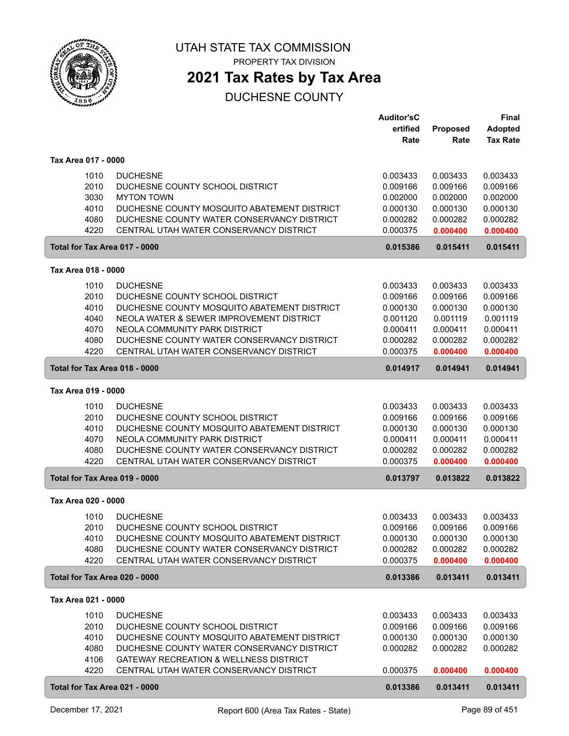

PROPERTY TAX DIVISION

## **2021 Tax Rates by Tax Area**

|                               |                                                                                           | <b>Auditor'sC</b><br>ertified | Proposed             | <b>Final</b><br><b>Adopted</b> |
|-------------------------------|-------------------------------------------------------------------------------------------|-------------------------------|----------------------|--------------------------------|
|                               |                                                                                           | Rate                          | Rate                 | <b>Tax Rate</b>                |
| Tax Area 017 - 0000           |                                                                                           |                               |                      |                                |
| 1010                          | <b>DUCHESNE</b>                                                                           | 0.003433                      | 0.003433             | 0.003433                       |
| 2010                          | DUCHESNE COUNTY SCHOOL DISTRICT                                                           | 0.009166                      | 0.009166             | 0.009166                       |
| 3030                          | <b>MYTON TOWN</b>                                                                         | 0.002000                      | 0.002000             | 0.002000                       |
| 4010<br>4080                  | DUCHESNE COUNTY MOSQUITO ABATEMENT DISTRICT<br>DUCHESNE COUNTY WATER CONSERVANCY DISTRICT | 0.000130<br>0.000282          | 0.000130<br>0.000282 | 0.000130<br>0.000282           |
| 4220                          | CENTRAL UTAH WATER CONSERVANCY DISTRICT                                                   | 0.000375                      | 0.000400             | 0.000400                       |
| Total for Tax Area 017 - 0000 |                                                                                           | 0.015386                      | 0.015411             | 0.015411                       |
| Tax Area 018 - 0000           |                                                                                           |                               |                      |                                |
| 1010                          | <b>DUCHESNE</b>                                                                           | 0.003433                      | 0.003433             | 0.003433                       |
| 2010                          | DUCHESNE COUNTY SCHOOL DISTRICT                                                           | 0.009166                      | 0.009166             | 0.009166                       |
| 4010                          | DUCHESNE COUNTY MOSQUITO ABATEMENT DISTRICT                                               | 0.000130                      | 0.000130             | 0.000130                       |
| 4040                          | NEOLA WATER & SEWER IMPROVEMENT DISTRICT                                                  | 0.001120                      | 0.001119             | 0.001119                       |
| 4070                          | NEOLA COMMUNITY PARK DISTRICT                                                             | 0.000411                      | 0.000411             | 0.000411                       |
| 4080                          | DUCHESNE COUNTY WATER CONSERVANCY DISTRICT                                                | 0.000282                      | 0.000282             | 0.000282                       |
| 4220                          | CENTRAL UTAH WATER CONSERVANCY DISTRICT                                                   | 0.000375                      | 0.000400             | 0.000400                       |
| Total for Tax Area 018 - 0000 |                                                                                           | 0.014917                      | 0.014941             | 0.014941                       |
| Tax Area 019 - 0000           |                                                                                           |                               |                      |                                |
| 1010                          | <b>DUCHESNE</b>                                                                           | 0.003433                      | 0.003433             | 0.003433                       |
| 2010                          | DUCHESNE COUNTY SCHOOL DISTRICT                                                           | 0.009166                      | 0.009166             | 0.009166                       |
| 4010                          | DUCHESNE COUNTY MOSQUITO ABATEMENT DISTRICT                                               | 0.000130                      | 0.000130             | 0.000130                       |
| 4070                          | NEOLA COMMUNITY PARK DISTRICT                                                             | 0.000411                      | 0.000411             | 0.000411                       |
| 4080                          | DUCHESNE COUNTY WATER CONSERVANCY DISTRICT                                                | 0.000282                      | 0.000282             | 0.000282                       |
| 4220                          | CENTRAL UTAH WATER CONSERVANCY DISTRICT                                                   | 0.000375                      | 0.000400             | 0.000400                       |
| Total for Tax Area 019 - 0000 |                                                                                           | 0.013797                      | 0.013822             | 0.013822                       |
| Tax Area 020 - 0000           |                                                                                           |                               |                      |                                |
| 1010                          | <b>DUCHESNE</b>                                                                           | 0.003433                      | 0.003433             | 0.003433                       |
| 2010                          | DUCHESNE COUNTY SCHOOL DISTRICT                                                           | 0.009166                      | 0.009166             | 0.009166                       |
| 4010                          | DUCHESNE COUNTY MOSQUITO ABATEMENT DISTRICT                                               | 0.000130                      | 0.000130             | 0.000130                       |
| 4080                          | DUCHESNE COUNTY WATER CONSERVANCY DISTRICT                                                | 0.000282                      | 0.000282             | 0.000282                       |
| 4220                          | CENTRAL UTAH WATER CONSERVANCY DISTRICT                                                   | 0.000375                      | 0.000400             | 0.000400                       |
| Total for Tax Area 020 - 0000 |                                                                                           | 0.013386                      | 0.013411             | 0.013411                       |
| Tax Area 021 - 0000           |                                                                                           |                               |                      |                                |
| 1010                          | <b>DUCHESNE</b>                                                                           | 0.003433                      | 0.003433             | 0.003433                       |
| 2010                          | DUCHESNE COUNTY SCHOOL DISTRICT                                                           | 0.009166                      | 0.009166             | 0.009166                       |
| 4010                          | DUCHESNE COUNTY MOSQUITO ABATEMENT DISTRICT                                               | 0.000130                      | 0.000130             | 0.000130                       |
| 4080                          | DUCHESNE COUNTY WATER CONSERVANCY DISTRICT                                                | 0.000282                      | 0.000282             | 0.000282                       |
| 4106                          | GATEWAY RECREATION & WELLNESS DISTRICT                                                    |                               |                      |                                |
| 4220                          | CENTRAL UTAH WATER CONSERVANCY DISTRICT                                                   | 0.000375                      | 0.000400             | 0.000400                       |
| Total for Tax Area 021 - 0000 |                                                                                           | 0.013386                      | 0.013411             | 0.013411                       |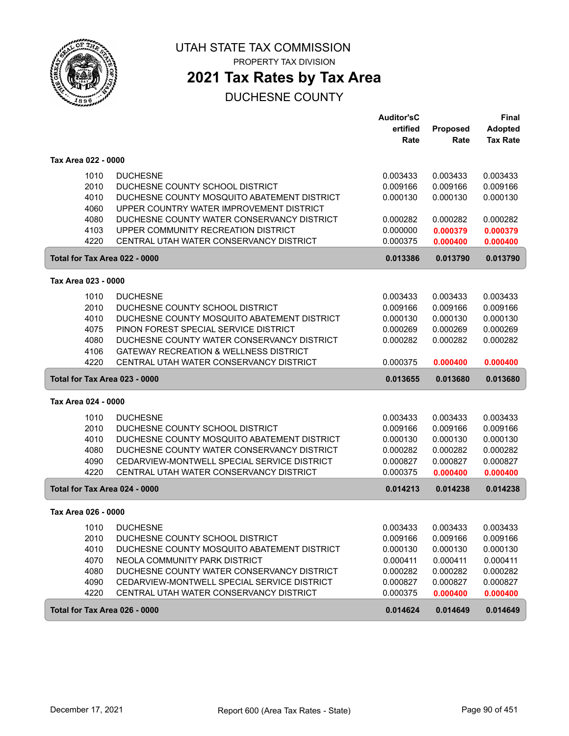

PROPERTY TAX DIVISION

## **2021 Tax Rates by Tax Area**

|                               |                                                   | <b>Auditor'sC</b> |          | <b>Final</b>    |
|-------------------------------|---------------------------------------------------|-------------------|----------|-----------------|
|                               |                                                   | ertified          | Proposed | <b>Adopted</b>  |
|                               |                                                   | Rate              | Rate     | <b>Tax Rate</b> |
| Tax Area 022 - 0000           |                                                   |                   |          |                 |
| 1010                          | <b>DUCHESNE</b>                                   | 0.003433          | 0.003433 | 0.003433        |
| 2010                          | DUCHESNE COUNTY SCHOOL DISTRICT                   | 0.009166          | 0.009166 | 0.009166        |
| 4010                          | DUCHESNE COUNTY MOSQUITO ABATEMENT DISTRICT       | 0.000130          | 0.000130 | 0.000130        |
| 4060                          | UPPER COUNTRY WATER IMPROVEMENT DISTRICT          |                   |          |                 |
| 4080                          | DUCHESNE COUNTY WATER CONSERVANCY DISTRICT        | 0.000282          | 0.000282 | 0.000282        |
| 4103                          | UPPER COMMUNITY RECREATION DISTRICT               | 0.000000          | 0.000379 | 0.000379        |
| 4220                          | CENTRAL UTAH WATER CONSERVANCY DISTRICT           | 0.000375          | 0.000400 | 0.000400        |
| Total for Tax Area 022 - 0000 |                                                   | 0.013386          | 0.013790 | 0.013790        |
| Tax Area 023 - 0000           |                                                   |                   |          |                 |
|                               |                                                   |                   |          |                 |
| 1010                          | <b>DUCHESNE</b>                                   | 0.003433          | 0.003433 | 0.003433        |
| 2010                          | DUCHESNE COUNTY SCHOOL DISTRICT                   | 0.009166          | 0.009166 | 0.009166        |
| 4010                          | DUCHESNE COUNTY MOSQUITO ABATEMENT DISTRICT       | 0.000130          | 0.000130 | 0.000130        |
| 4075                          | PINON FOREST SPECIAL SERVICE DISTRICT             | 0.000269          | 0.000269 | 0.000269        |
| 4080                          | DUCHESNE COUNTY WATER CONSERVANCY DISTRICT        | 0.000282          | 0.000282 | 0.000282        |
| 4106                          | <b>GATEWAY RECREATION &amp; WELLNESS DISTRICT</b> |                   |          |                 |
| 4220                          | CENTRAL UTAH WATER CONSERVANCY DISTRICT           | 0.000375          | 0.000400 | 0.000400        |
| Total for Tax Area 023 - 0000 |                                                   | 0.013655          | 0.013680 | 0.013680        |
| Tax Area 024 - 0000           |                                                   |                   |          |                 |
| 1010                          | <b>DUCHESNE</b>                                   | 0.003433          | 0.003433 | 0.003433        |
| 2010                          | DUCHESNE COUNTY SCHOOL DISTRICT                   | 0.009166          | 0.009166 | 0.009166        |
| 4010                          | DUCHESNE COUNTY MOSQUITO ABATEMENT DISTRICT       | 0.000130          | 0.000130 | 0.000130        |
| 4080                          | DUCHESNE COUNTY WATER CONSERVANCY DISTRICT        | 0.000282          | 0.000282 | 0.000282        |
| 4090                          | CEDARVIEW-MONTWELL SPECIAL SERVICE DISTRICT       | 0.000827          | 0.000827 | 0.000827        |
| 4220                          | CENTRAL UTAH WATER CONSERVANCY DISTRICT           | 0.000375          | 0.000400 | 0.000400        |
| Total for Tax Area 024 - 0000 |                                                   | 0.014213          | 0.014238 | 0.014238        |
| Tax Area 026 - 0000           |                                                   |                   |          |                 |
| 1010                          | <b>DUCHESNE</b>                                   | 0.003433          | 0.003433 | 0.003433        |
| 2010                          | DUCHESNE COUNTY SCHOOL DISTRICT                   | 0.009166          | 0.009166 | 0.009166        |
| 4010                          | DUCHESNE COUNTY MOSQUITO ABATEMENT DISTRICT       | 0.000130          | 0.000130 | 0.000130        |
| 4070                          | NEOLA COMMUNITY PARK DISTRICT                     | 0.000411          | 0.000411 | 0.000411        |
| 4080                          | DUCHESNE COUNTY WATER CONSERVANCY DISTRICT        | 0.000282          | 0.000282 | 0.000282        |
| 4090                          | CEDARVIEW-MONTWELL SPECIAL SERVICE DISTRICT       | 0.000827          | 0.000827 | 0.000827        |
| 4220                          | CENTRAL UTAH WATER CONSERVANCY DISTRICT           | 0.000375          | 0.000400 | 0.000400        |
| Total for Tax Area 026 - 0000 |                                                   | 0.014624          | 0.014649 | 0.014649        |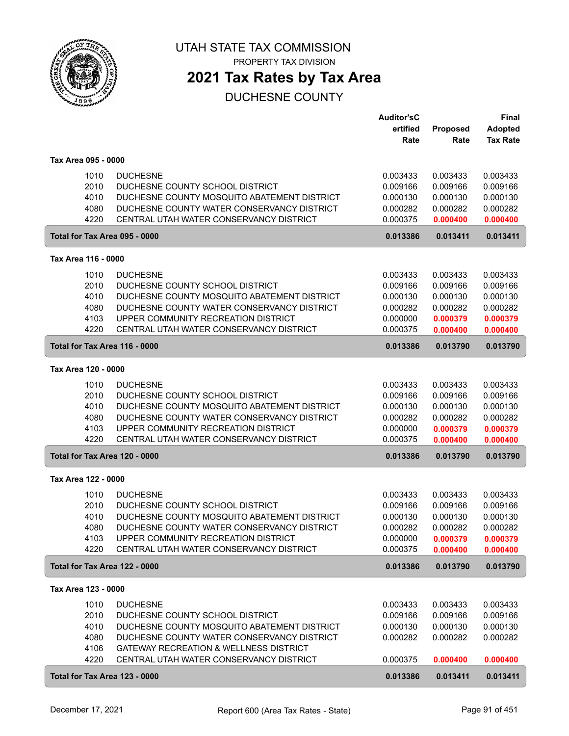

**2021 Tax Rates by Tax Area**

|                     |              |                                                                                | <b>Auditor'sC</b>    |                      | <b>Final</b>         |
|---------------------|--------------|--------------------------------------------------------------------------------|----------------------|----------------------|----------------------|
|                     |              |                                                                                | ertified             | Proposed             | <b>Adopted</b>       |
|                     |              |                                                                                | Rate                 | Rate                 | <b>Tax Rate</b>      |
|                     |              |                                                                                |                      |                      |                      |
| Tax Area 095 - 0000 |              |                                                                                |                      |                      |                      |
|                     | 1010         | <b>DUCHESNE</b>                                                                | 0.003433             | 0.003433             | 0.003433             |
|                     | 2010         | DUCHESNE COUNTY SCHOOL DISTRICT                                                | 0.009166             | 0.009166             | 0.009166             |
|                     | 4010         | DUCHESNE COUNTY MOSQUITO ABATEMENT DISTRICT                                    | 0.000130             | 0.000130             | 0.000130             |
|                     | 4080         | DUCHESNE COUNTY WATER CONSERVANCY DISTRICT                                     | 0.000282             | 0.000282             | 0.000282             |
|                     | 4220         | CENTRAL UTAH WATER CONSERVANCY DISTRICT                                        | 0.000375             | 0.000400             | 0.000400             |
|                     |              | Total for Tax Area 095 - 0000                                                  | 0.013386             | 0.013411             | 0.013411             |
| Tax Area 116 - 0000 |              |                                                                                |                      |                      |                      |
|                     | 1010         | <b>DUCHESNE</b>                                                                | 0.003433             | 0.003433             | 0.003433             |
|                     | 2010         | DUCHESNE COUNTY SCHOOL DISTRICT                                                | 0.009166             | 0.009166             | 0.009166             |
|                     | 4010         | DUCHESNE COUNTY MOSQUITO ABATEMENT DISTRICT                                    | 0.000130             | 0.000130             | 0.000130             |
|                     | 4080         | DUCHESNE COUNTY WATER CONSERVANCY DISTRICT                                     | 0.000282             | 0.000282             | 0.000282             |
|                     | 4103         | UPPER COMMUNITY RECREATION DISTRICT                                            | 0.000000             | 0.000379             | 0.000379             |
|                     | 4220         | CENTRAL UTAH WATER CONSERVANCY DISTRICT                                        | 0.000375             | 0.000400             | 0.000400             |
|                     |              | Total for Tax Area 116 - 0000                                                  | 0.013386             | 0.013790             | 0.013790             |
| Tax Area 120 - 0000 |              |                                                                                |                      |                      |                      |
|                     |              |                                                                                |                      |                      |                      |
|                     | 1010         | <b>DUCHESNE</b>                                                                | 0.003433             | 0.003433             | 0.003433             |
|                     | 2010         | DUCHESNE COUNTY SCHOOL DISTRICT                                                | 0.009166             | 0.009166             | 0.009166             |
|                     | 4010         | DUCHESNE COUNTY MOSQUITO ABATEMENT DISTRICT                                    | 0.000130             | 0.000130             | 0.000130             |
|                     | 4080         | DUCHESNE COUNTY WATER CONSERVANCY DISTRICT                                     | 0.000282             | 0.000282             | 0.000282             |
|                     | 4103<br>4220 | UPPER COMMUNITY RECREATION DISTRICT<br>CENTRAL UTAH WATER CONSERVANCY DISTRICT | 0.000000<br>0.000375 | 0.000379<br>0.000400 | 0.000379<br>0.000400 |
|                     |              |                                                                                |                      |                      |                      |
|                     |              | Total for Tax Area 120 - 0000                                                  | 0.013386             | 0.013790             | 0.013790             |
| Tax Area 122 - 0000 |              |                                                                                |                      |                      |                      |
|                     | 1010         | <b>DUCHESNE</b>                                                                | 0.003433             | 0.003433             | 0.003433             |
|                     | 2010         | DUCHESNE COUNTY SCHOOL DISTRICT                                                | 0.009166             | 0.009166             | 0.009166             |
|                     | 4010         | DUCHESNE COUNTY MOSQUITO ABATEMENT DISTRICT                                    | 0.000130             | 0.000130             | 0.000130             |
|                     | 4080         | DUCHESNE COUNTY WATER CONSERVANCY DISTRICT                                     | 0.000282             | 0.000282             | 0.000282             |
|                     | 4103         | UPPER COMMUNITY RECREATION DISTRICT                                            | 0.000000             | 0.000379             | 0.000379             |
|                     | 4220         | CENTRAL UTAH WATER CONSERVANCY DISTRICT                                        | 0.000375             | 0.000400             | 0.000400             |
|                     |              | Total for Tax Area 122 - 0000                                                  | 0.013386             | 0.013790             | 0.013790             |
| Tax Area 123 - 0000 |              |                                                                                |                      |                      |                      |
|                     | 1010         | <b>DUCHESNE</b>                                                                | 0.003433             | 0.003433             | 0.003433             |
|                     | 2010         | DUCHESNE COUNTY SCHOOL DISTRICT                                                | 0.009166             | 0.009166             | 0.009166             |
|                     | 4010         | DUCHESNE COUNTY MOSQUITO ABATEMENT DISTRICT                                    | 0.000130             | 0.000130             | 0.000130             |
|                     | 4080         | DUCHESNE COUNTY WATER CONSERVANCY DISTRICT                                     | 0.000282             | 0.000282             | 0.000282             |
|                     | 4106         | GATEWAY RECREATION & WELLNESS DISTRICT                                         |                      |                      |                      |
|                     | 4220         | CENTRAL UTAH WATER CONSERVANCY DISTRICT                                        | 0.000375             | 0.000400             | 0.000400             |
|                     |              | Total for Tax Area 123 - 0000                                                  | 0.013386             | 0.013411             | 0.013411             |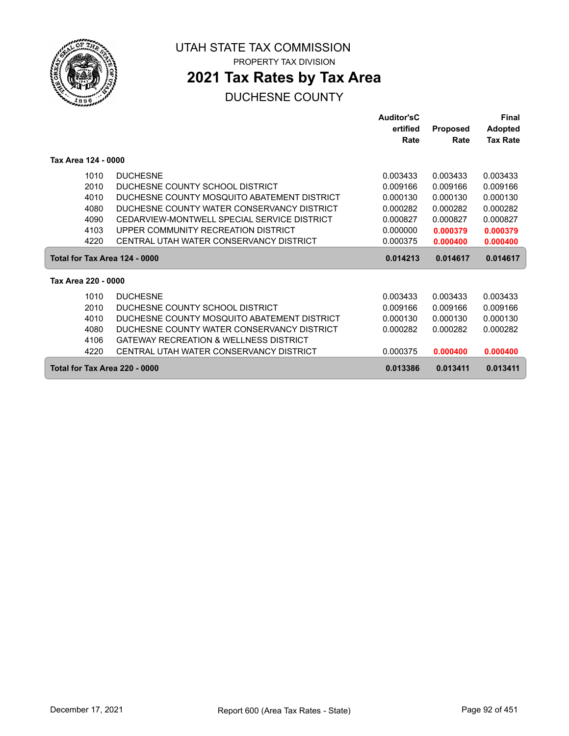

ſ

UTAH STATE TAX COMMISSION PROPERTY TAX DIVISION

## **2021 Tax Rates by Tax Area**

|                               |                                                   | <b>Auditor'sC</b> |                 | <b>Final</b>    |
|-------------------------------|---------------------------------------------------|-------------------|-----------------|-----------------|
|                               |                                                   | ertified          | <b>Proposed</b> | <b>Adopted</b>  |
|                               |                                                   | Rate              | Rate            | <b>Tax Rate</b> |
| Tax Area 124 - 0000           |                                                   |                   |                 |                 |
| 1010                          | <b>DUCHESNE</b>                                   | 0.003433          | 0.003433        | 0.003433        |
| 2010                          | DUCHESNE COUNTY SCHOOL DISTRICT                   | 0.009166          | 0.009166        | 0.009166        |
| 4010                          | DUCHESNE COUNTY MOSQUITO ABATEMENT DISTRICT       | 0.000130          | 0.000130        | 0.000130        |
| 4080                          | DUCHESNE COUNTY WATER CONSERVANCY DISTRICT        | 0.000282          | 0.000282        | 0.000282        |
| 4090                          | CEDARVIEW-MONTWELL SPECIAL SERVICE DISTRICT       | 0.000827          | 0.000827        | 0.000827        |
| 4103                          | UPPER COMMUNITY RECREATION DISTRICT               | 0.000000          | 0.000379        | 0.000379        |
| 4220                          | CENTRAL UTAH WATER CONSERVANCY DISTRICT           | 0.000375          | 0.000400        | 0.000400        |
| Total for Tax Area 124 - 0000 |                                                   | 0.014213          | 0.014617        | 0.014617        |
| Tax Area 220 - 0000           |                                                   |                   |                 |                 |
| 1010                          | <b>DUCHESNE</b>                                   | 0.003433          | 0.003433        | 0.003433        |
| 2010                          | DUCHESNE COUNTY SCHOOL DISTRICT                   | 0.009166          | 0.009166        | 0.009166        |
| 4010                          | DUCHESNE COUNTY MOSQUITO ABATEMENT DISTRICT       | 0.000130          | 0.000130        | 0.000130        |
| 4080                          | DUCHESNE COUNTY WATER CONSERVANCY DISTRICT        | 0.000282          | 0.000282        | 0.000282        |
| 4106                          | <b>GATEWAY RECREATION &amp; WELLNESS DISTRICT</b> |                   |                 |                 |
| 4220                          | CENTRAL UTAH WATER CONSERVANCY DISTRICT           | 0.000375          | 0.000400        | 0.000400        |
| Total for Tax Area 220 - 0000 |                                                   | 0.013386          | 0.013411        | 0.013411        |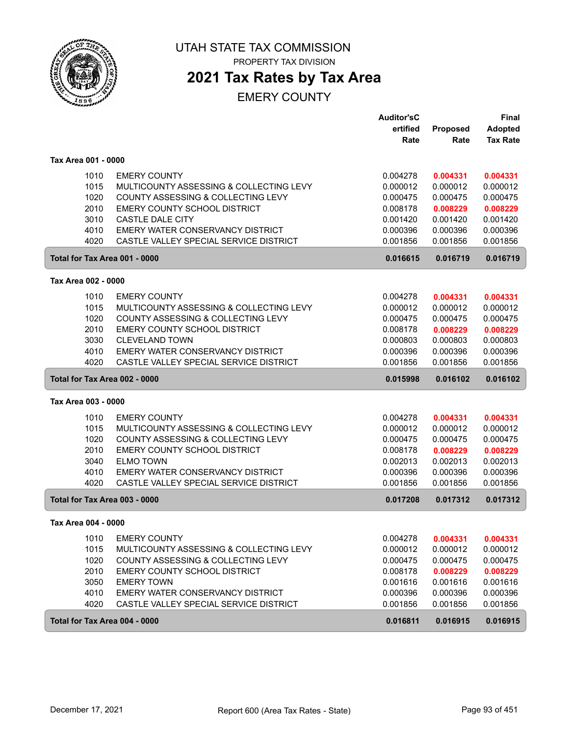

PROPERTY TAX DIVISION

## **2021 Tax Rates by Tax Area**

|                               |                                         | <b>Auditor'sC</b> |          | <b>Final</b>    |
|-------------------------------|-----------------------------------------|-------------------|----------|-----------------|
|                               |                                         | ertified          | Proposed | <b>Adopted</b>  |
|                               |                                         | Rate              | Rate     | <b>Tax Rate</b> |
| Tax Area 001 - 0000           |                                         |                   |          |                 |
| 1010                          | <b>EMERY COUNTY</b>                     | 0.004278          | 0.004331 | 0.004331        |
| 1015                          | MULTICOUNTY ASSESSING & COLLECTING LEVY | 0.000012          | 0.000012 | 0.000012        |
| 1020                          | COUNTY ASSESSING & COLLECTING LEVY      | 0.000475          | 0.000475 | 0.000475        |
| 2010                          | EMERY COUNTY SCHOOL DISTRICT            | 0.008178          | 0.008229 | 0.008229        |
| 3010                          | <b>CASTLE DALE CITY</b>                 | 0.001420          | 0.001420 | 0.001420        |
| 4010                          | EMERY WATER CONSERVANCY DISTRICT        | 0.000396          | 0.000396 | 0.000396        |
| 4020                          | CASTLE VALLEY SPECIAL SERVICE DISTRICT  | 0.001856          | 0.001856 | 0.001856        |
| Total for Tax Area 001 - 0000 |                                         | 0.016615          | 0.016719 | 0.016719        |
| Tax Area 002 - 0000           |                                         |                   |          |                 |
| 1010                          | <b>EMERY COUNTY</b>                     | 0.004278          | 0.004331 | 0.004331        |
| 1015                          | MULTICOUNTY ASSESSING & COLLECTING LEVY | 0.000012          | 0.000012 | 0.000012        |
| 1020                          | COUNTY ASSESSING & COLLECTING LEVY      | 0.000475          | 0.000475 | 0.000475        |
| 2010                          | <b>EMERY COUNTY SCHOOL DISTRICT</b>     | 0.008178          | 0.008229 | 0.008229        |
| 3030                          | <b>CLEVELAND TOWN</b>                   | 0.000803          | 0.000803 | 0.000803        |
| 4010                          | EMERY WATER CONSERVANCY DISTRICT        | 0.000396          | 0.000396 | 0.000396        |
| 4020                          | CASTLE VALLEY SPECIAL SERVICE DISTRICT  | 0.001856          | 0.001856 | 0.001856        |
| Total for Tax Area 002 - 0000 |                                         | 0.015998          | 0.016102 | 0.016102        |
| Tax Area 003 - 0000           |                                         |                   |          |                 |
| 1010                          | <b>EMERY COUNTY</b>                     | 0.004278          | 0.004331 | 0.004331        |
| 1015                          | MULTICOUNTY ASSESSING & COLLECTING LEVY | 0.000012          | 0.000012 | 0.000012        |
| 1020                          | COUNTY ASSESSING & COLLECTING LEVY      | 0.000475          | 0.000475 | 0.000475        |
| 2010                          | EMERY COUNTY SCHOOL DISTRICT            | 0.008178          | 0.008229 | 0.008229        |
| 3040                          | <b>ELMO TOWN</b>                        | 0.002013          | 0.002013 | 0.002013        |
| 4010                          | EMERY WATER CONSERVANCY DISTRICT        | 0.000396          | 0.000396 | 0.000396        |
| 4020                          | CASTLE VALLEY SPECIAL SERVICE DISTRICT  | 0.001856          | 0.001856 | 0.001856        |
| Total for Tax Area 003 - 0000 |                                         | 0.017208          | 0.017312 | 0.017312        |
| Tax Area 004 - 0000           |                                         |                   |          |                 |
| 1010                          | <b>EMERY COUNTY</b>                     | 0.004278          | 0.004331 | 0.004331        |
| 1015                          | MULTICOUNTY ASSESSING & COLLECTING LEVY | 0.000012          | 0.000012 | 0.000012        |
| 1020                          | COUNTY ASSESSING & COLLECTING LEVY      | 0.000475          | 0.000475 | 0.000475        |
| 2010                          | EMERY COUNTY SCHOOL DISTRICT            | 0.008178          | 0.008229 | 0.008229        |
| 3050                          | <b>EMERY TOWN</b>                       | 0.001616          | 0.001616 | 0.001616        |
| 4010                          | EMERY WATER CONSERVANCY DISTRICT        | 0.000396          | 0.000396 | 0.000396        |
| 4020                          | CASTLE VALLEY SPECIAL SERVICE DISTRICT  | 0.001856          | 0.001856 | 0.001856        |
| Total for Tax Area 004 - 0000 |                                         | 0.016811          | 0.016915 | 0.016915        |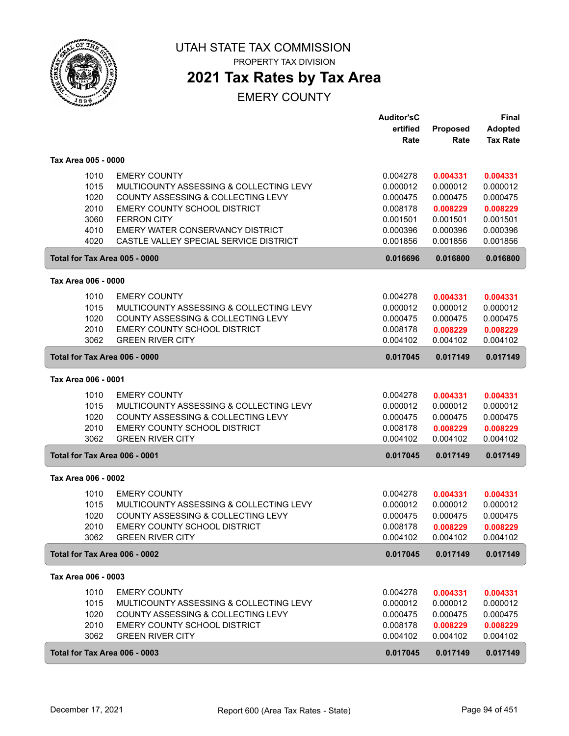

PROPERTY TAX DIVISION

## **2021 Tax Rates by Tax Area**

|                     |                                                                 | <b>Auditor'sC</b>    |                      | <b>Final</b>         |
|---------------------|-----------------------------------------------------------------|----------------------|----------------------|----------------------|
|                     |                                                                 | ertified             | <b>Proposed</b>      | <b>Adopted</b>       |
|                     |                                                                 | Rate                 | Rate                 | <b>Tax Rate</b>      |
| Tax Area 005 - 0000 |                                                                 |                      |                      |                      |
|                     | 1010<br><b>EMERY COUNTY</b>                                     | 0.004278             | 0.004331             | 0.004331             |
|                     | 1015<br>MULTICOUNTY ASSESSING & COLLECTING LEVY                 | 0.000012             | 0.000012             | 0.000012             |
|                     | 1020<br>COUNTY ASSESSING & COLLECTING LEVY                      | 0.000475             | 0.000475             | 0.000475             |
|                     | 2010<br>EMERY COUNTY SCHOOL DISTRICT                            | 0.008178             | 0.008229             | 0.008229             |
|                     | 3060<br><b>FERRON CITY</b>                                      | 0.001501             | 0.001501             | 0.001501             |
|                     | 4010<br>EMERY WATER CONSERVANCY DISTRICT                        | 0.000396             | 0.000396             | 0.000396             |
|                     | 4020<br>CASTLE VALLEY SPECIAL SERVICE DISTRICT                  | 0.001856             | 0.001856             | 0.001856             |
|                     | Total for Tax Area 005 - 0000                                   | 0.016696             | 0.016800             | 0.016800             |
| Tax Area 006 - 0000 |                                                                 |                      |                      |                      |
|                     | 1010<br><b>EMERY COUNTY</b>                                     | 0.004278             |                      |                      |
|                     |                                                                 |                      | 0.004331             | 0.004331             |
|                     | 1015<br>MULTICOUNTY ASSESSING & COLLECTING LEVY                 | 0.000012             | 0.000012             | 0.000012             |
|                     | 1020<br>COUNTY ASSESSING & COLLECTING LEVY                      | 0.000475             | 0.000475             | 0.000475             |
|                     | 2010<br><b>EMERY COUNTY SCHOOL DISTRICT</b>                     | 0.008178             | 0.008229             | 0.008229             |
|                     | 3062<br><b>GREEN RIVER CITY</b>                                 | 0.004102             | 0.004102             | 0.004102             |
|                     | Total for Tax Area 006 - 0000                                   | 0.017045             | 0.017149             | 0.017149             |
| Tax Area 006 - 0001 |                                                                 |                      |                      |                      |
|                     | <b>EMERY COUNTY</b><br>1010                                     | 0.004278             | 0.004331             | 0.004331             |
|                     | 1015<br>MULTICOUNTY ASSESSING & COLLECTING LEVY                 | 0.000012             | 0.000012             | 0.000012             |
|                     | 1020<br>COUNTY ASSESSING & COLLECTING LEVY                      | 0.000475             | 0.000475             | 0.000475             |
|                     | 2010<br>EMERY COUNTY SCHOOL DISTRICT                            | 0.008178             | 0.008229             | 0.008229             |
|                     | 3062<br><b>GREEN RIVER CITY</b>                                 | 0.004102             | 0.004102             | 0.004102             |
|                     | Total for Tax Area 006 - 0001                                   | 0.017045             | 0.017149             | 0.017149             |
| Tax Area 006 - 0002 |                                                                 |                      |                      |                      |
|                     | <b>EMERY COUNTY</b><br>1010                                     | 0.004278             | 0.004331             | 0.004331             |
|                     | 1015<br>MULTICOUNTY ASSESSING & COLLECTING LEVY                 | 0.000012             | 0.000012             | 0.000012             |
|                     | 1020<br>COUNTY ASSESSING & COLLECTING LEVY                      | 0.000475             | 0.000475             | 0.000475             |
|                     | 2010                                                            |                      |                      |                      |
|                     | EMERY COUNTY SCHOOL DISTRICT<br><b>GREEN RIVER CITY</b><br>3062 | 0.008178<br>0.004102 | 0.008229<br>0.004102 | 0.008229<br>0.004102 |
|                     | Total for Tax Area 006 - 0002                                   | 0.017045             | 0.017149             | 0.017149             |
| Tax Area 006 - 0003 |                                                                 |                      |                      |                      |
|                     | 1010<br><b>EMERY COUNTY</b>                                     | 0.004278             | 0.004331             | 0.004331             |
|                     | 1015<br>MULTICOUNTY ASSESSING & COLLECTING LEVY                 | 0.000012             | 0.000012             | 0.000012             |
|                     | 1020<br>COUNTY ASSESSING & COLLECTING LEVY                      | 0.000475             | 0.000475             | 0.000475             |
|                     | 2010<br>EMERY COUNTY SCHOOL DISTRICT                            | 0.008178             | 0.008229             | 0.008229             |
|                     | 3062<br><b>GREEN RIVER CITY</b>                                 | 0.004102             | 0.004102             | 0.004102             |
|                     |                                                                 |                      |                      |                      |
|                     | Total for Tax Area 006 - 0003                                   | 0.017045             | 0.017149             | 0.017149             |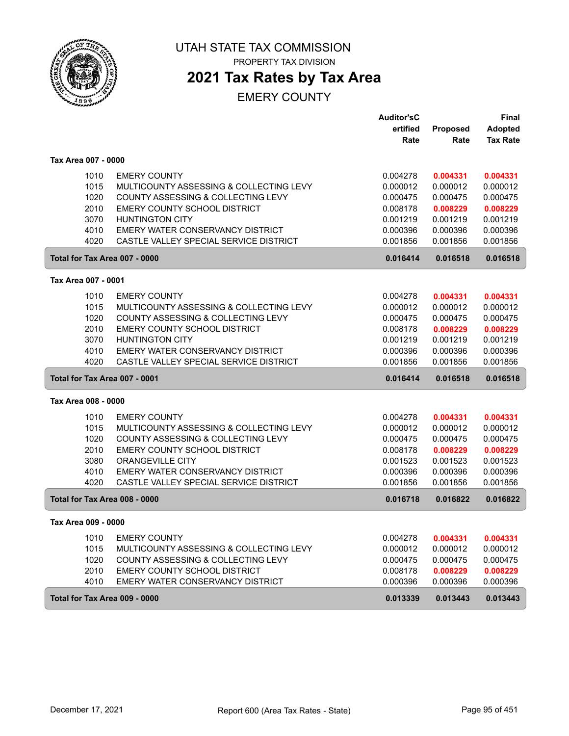

PROPERTY TAX DIVISION

## **2021 Tax Rates by Tax Area**

|                     |                                                                | <b>Auditor'sC</b><br>ertified<br>Rate | <b>Proposed</b><br>Rate | Final<br><b>Adopted</b><br><b>Tax Rate</b> |
|---------------------|----------------------------------------------------------------|---------------------------------------|-------------------------|--------------------------------------------|
| Tax Area 007 - 0000 |                                                                |                                       |                         |                                            |
|                     |                                                                |                                       |                         |                                            |
| 1010<br>1015        | <b>EMERY COUNTY</b><br>MULTICOUNTY ASSESSING & COLLECTING LEVY | 0.004278<br>0.000012                  | 0.004331<br>0.000012    | 0.004331<br>0.000012                       |
| 1020                | COUNTY ASSESSING & COLLECTING LEVY                             | 0.000475                              | 0.000475                | 0.000475                                   |
| 2010                | EMERY COUNTY SCHOOL DISTRICT                                   | 0.008178                              | 0.008229                | 0.008229                                   |
| 3070                | <b>HUNTINGTON CITY</b>                                         | 0.001219                              | 0.001219                | 0.001219                                   |
| 4010                | EMERY WATER CONSERVANCY DISTRICT                               | 0.000396                              | 0.000396                | 0.000396                                   |
| 4020                | CASTLE VALLEY SPECIAL SERVICE DISTRICT                         | 0.001856                              | 0.001856                | 0.001856                                   |
|                     | Total for Tax Area 007 - 0000                                  | 0.016414                              | 0.016518                | 0.016518                                   |
| Tax Area 007 - 0001 |                                                                |                                       |                         |                                            |
| 1010                | <b>EMERY COUNTY</b>                                            | 0.004278                              | 0.004331                | 0.004331                                   |
| 1015                | MULTICOUNTY ASSESSING & COLLECTING LEVY                        | 0.000012                              | 0.000012                | 0.000012                                   |
| 1020                | COUNTY ASSESSING & COLLECTING LEVY                             | 0.000475                              | 0.000475                | 0.000475                                   |
| 2010                | <b>EMERY COUNTY SCHOOL DISTRICT</b>                            | 0.008178                              | 0.008229                | 0.008229                                   |
| 3070                | <b>HUNTINGTON CITY</b>                                         | 0.001219                              | 0.001219                | 0.001219                                   |
| 4010                | EMERY WATER CONSERVANCY DISTRICT                               | 0.000396                              | 0.000396                | 0.000396                                   |
| 4020                | CASTLE VALLEY SPECIAL SERVICE DISTRICT                         | 0.001856                              | 0.001856                | 0.001856                                   |
|                     | Total for Tax Area 007 - 0001                                  | 0.016414                              | 0.016518                | 0.016518                                   |
| Tax Area 008 - 0000 |                                                                |                                       |                         |                                            |
| 1010                | <b>EMERY COUNTY</b>                                            | 0.004278                              | 0.004331                | 0.004331                                   |
| 1015                | MULTICOUNTY ASSESSING & COLLECTING LEVY                        | 0.000012                              | 0.000012                | 0.000012                                   |
| 1020                | COUNTY ASSESSING & COLLECTING LEVY                             | 0.000475                              | 0.000475                | 0.000475                                   |
| 2010                | EMERY COUNTY SCHOOL DISTRICT                                   | 0.008178                              | 0.008229                | 0.008229                                   |
| 3080                | ORANGEVILLE CITY                                               | 0.001523                              | 0.001523                | 0.001523                                   |
| 4010                | EMERY WATER CONSERVANCY DISTRICT                               | 0.000396                              | 0.000396                | 0.000396                                   |
| 4020                | CASTLE VALLEY SPECIAL SERVICE DISTRICT                         | 0.001856                              | 0.001856                | 0.001856                                   |
|                     | Total for Tax Area 008 - 0000                                  | 0.016718                              | 0.016822                | 0.016822                                   |
| Tax Area 009 - 0000 |                                                                |                                       |                         |                                            |
| 1010                | <b>EMERY COUNTY</b>                                            | 0.004278                              | 0.004331                | 0.004331                                   |
| 1015                | MULTICOUNTY ASSESSING & COLLECTING LEVY                        | 0.000012                              | 0.000012                | 0.000012                                   |
| 1020                | COUNTY ASSESSING & COLLECTING LEVY                             | 0.000475                              | 0.000475                | 0.000475                                   |
| 2010                | EMERY COUNTY SCHOOL DISTRICT                                   | 0.008178                              | 0.008229                | 0.008229                                   |
| 4010                | EMERY WATER CONSERVANCY DISTRICT                               | 0.000396                              | 0.000396                | 0.000396                                   |
|                     | Total for Tax Area 009 - 0000                                  | 0.013339                              | 0.013443                | 0.013443                                   |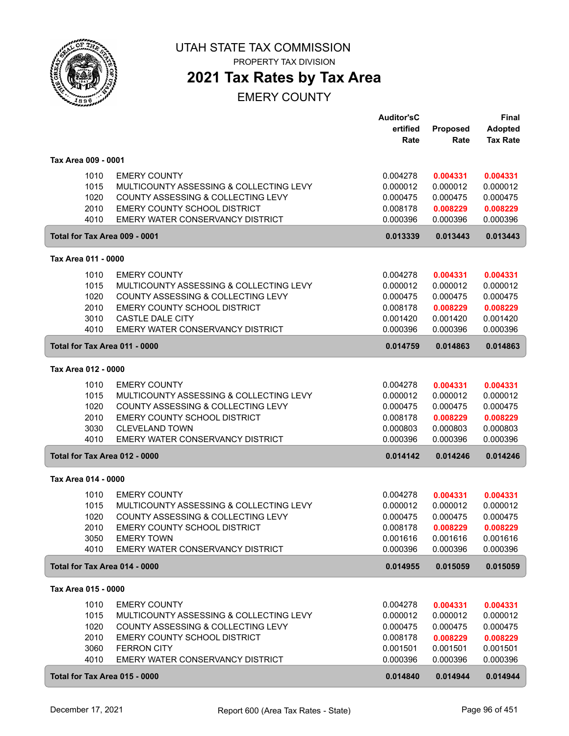

# **2021 Tax Rates by Tax Area**

|                               |                                         | <b>Auditor'sC</b><br>ertified | Proposed | <b>Final</b><br><b>Adopted</b> |
|-------------------------------|-----------------------------------------|-------------------------------|----------|--------------------------------|
|                               |                                         | Rate                          | Rate     | <b>Tax Rate</b>                |
| Tax Area 009 - 0001           |                                         |                               |          |                                |
| 1010                          | <b>EMERY COUNTY</b>                     | 0.004278                      | 0.004331 | 0.004331                       |
| 1015                          | MULTICOUNTY ASSESSING & COLLECTING LEVY | 0.000012                      | 0.000012 | 0.000012                       |
| 1020                          | COUNTY ASSESSING & COLLECTING LEVY      | 0.000475                      | 0.000475 | 0.000475                       |
| 2010                          | <b>EMERY COUNTY SCHOOL DISTRICT</b>     | 0.008178                      | 0.008229 | 0.008229                       |
| 4010                          | EMERY WATER CONSERVANCY DISTRICT        | 0.000396                      | 0.000396 | 0.000396                       |
| Total for Tax Area 009 - 0001 |                                         | 0.013339                      | 0.013443 | 0.013443                       |
| Tax Area 011 - 0000           |                                         |                               |          |                                |
| 1010                          | <b>EMERY COUNTY</b>                     | 0.004278                      | 0.004331 | 0.004331                       |
| 1015                          | MULTICOUNTY ASSESSING & COLLECTING LEVY | 0.000012                      | 0.000012 | 0.000012                       |
| 1020                          | COUNTY ASSESSING & COLLECTING LEVY      | 0.000475                      | 0.000475 | 0.000475                       |
| 2010                          | EMERY COUNTY SCHOOL DISTRICT            | 0.008178                      | 0.008229 | 0.008229                       |
| 3010                          | <b>CASTLE DALE CITY</b>                 | 0.001420                      | 0.001420 | 0.001420                       |
| 4010                          | EMERY WATER CONSERVANCY DISTRICT        | 0.000396                      | 0.000396 | 0.000396                       |
| Total for Tax Area 011 - 0000 |                                         | 0.014759                      | 0.014863 | 0.014863                       |
| Tax Area 012 - 0000           |                                         |                               |          |                                |
| 1010                          | <b>EMERY COUNTY</b>                     | 0.004278                      | 0.004331 | 0.004331                       |
| 1015                          | MULTICOUNTY ASSESSING & COLLECTING LEVY | 0.000012                      | 0.000012 | 0.000012                       |
| 1020                          | COUNTY ASSESSING & COLLECTING LEVY      | 0.000475                      | 0.000475 | 0.000475                       |
| 2010                          | EMERY COUNTY SCHOOL DISTRICT            | 0.008178                      | 0.008229 | 0.008229                       |
| 3030                          | <b>CLEVELAND TOWN</b>                   | 0.000803                      | 0.000803 | 0.000803                       |
| 4010                          | EMERY WATER CONSERVANCY DISTRICT        | 0.000396                      | 0.000396 | 0.000396                       |
| Total for Tax Area 012 - 0000 |                                         | 0.014142                      | 0.014246 | 0.014246                       |
| Tax Area 014 - 0000           |                                         |                               |          |                                |
| 1010                          | <b>EMERY COUNTY</b>                     | 0.004278                      | 0.004331 | 0.004331                       |
| 1015                          | MULTICOUNTY ASSESSING & COLLECTING LEVY | 0.000012                      | 0.000012 | 0.000012                       |
| 1020                          | COUNTY ASSESSING & COLLECTING LEVY      | 0.000475                      | 0.000475 | 0.000475                       |
| 2010                          | EMERY COUNTY SCHOOL DISTRICT            | 0.008178                      | 0.008229 | 0.008229                       |
| 3050                          | <b>EMERY TOWN</b>                       | 0.001616                      | 0.001616 | 0.001616                       |
| 4010                          | EMERY WATER CONSERVANCY DISTRICT        | 0.000396                      | 0.000396 | 0.000396                       |
| Total for Tax Area 014 - 0000 |                                         | 0.014955                      | 0.015059 | 0.015059                       |
| Tax Area 015 - 0000           |                                         |                               |          |                                |
| 1010                          | <b>EMERY COUNTY</b>                     | 0.004278                      | 0.004331 | 0.004331                       |
| 1015                          | MULTICOUNTY ASSESSING & COLLECTING LEVY | 0.000012                      | 0.000012 | 0.000012                       |
| 1020                          | COUNTY ASSESSING & COLLECTING LEVY      | 0.000475                      | 0.000475 | 0.000475                       |
| 2010                          | EMERY COUNTY SCHOOL DISTRICT            | 0.008178                      | 0.008229 | 0.008229                       |
| 3060                          | <b>FERRON CITY</b>                      | 0.001501                      | 0.001501 | 0.001501                       |
| 4010                          | EMERY WATER CONSERVANCY DISTRICT        | 0.000396                      | 0.000396 | 0.000396                       |
| Total for Tax Area 015 - 0000 |                                         | 0.014840                      | 0.014944 | 0.014944                       |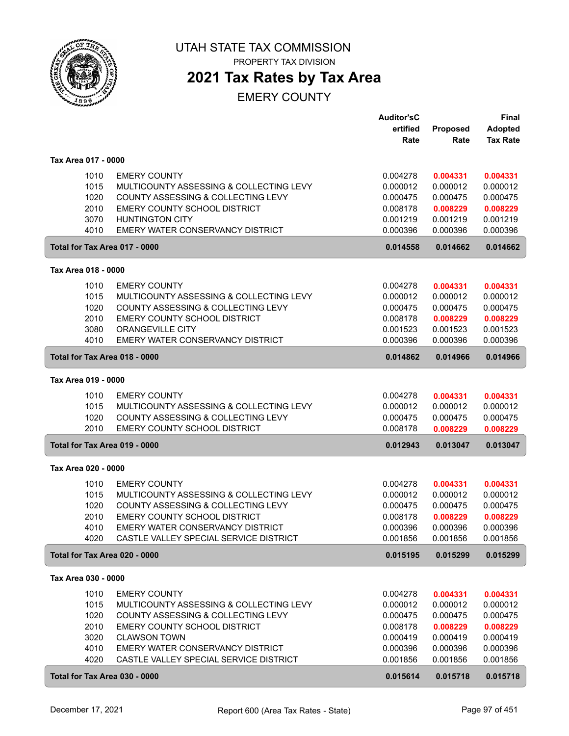

PROPERTY TAX DIVISION

### **2021 Tax Rates by Tax Area**

|                     |                                         | <b>Auditor'sC</b> |          | <b>Final</b>    |
|---------------------|-----------------------------------------|-------------------|----------|-----------------|
|                     |                                         | ertified          | Proposed | Adopted         |
|                     |                                         | Rate              | Rate     | <b>Tax Rate</b> |
| Tax Area 017 - 0000 |                                         |                   |          |                 |
| 1010                | <b>EMERY COUNTY</b>                     | 0.004278          | 0.004331 | 0.004331        |
| 1015                | MULTICOUNTY ASSESSING & COLLECTING LEVY | 0.000012          | 0.000012 | 0.000012        |
| 1020                | COUNTY ASSESSING & COLLECTING LEVY      | 0.000475          | 0.000475 | 0.000475        |
| 2010                | EMERY COUNTY SCHOOL DISTRICT            | 0.008178          | 0.008229 | 0.008229        |
| 3070                | <b>HUNTINGTON CITY</b>                  | 0.001219          | 0.001219 | 0.001219        |
| 4010                | EMERY WATER CONSERVANCY DISTRICT        | 0.000396          | 0.000396 | 0.000396        |
|                     | Total for Tax Area 017 - 0000           | 0.014558          | 0.014662 | 0.014662        |
| Tax Area 018 - 0000 |                                         |                   |          |                 |
| 1010                | <b>EMERY COUNTY</b>                     | 0.004278          | 0.004331 | 0.004331        |
| 1015                | MULTICOUNTY ASSESSING & COLLECTING LEVY | 0.000012          | 0.000012 | 0.000012        |
| 1020                | COUNTY ASSESSING & COLLECTING LEVY      | 0.000475          | 0.000475 | 0.000475        |
| 2010                | EMERY COUNTY SCHOOL DISTRICT            | 0.008178          | 0.008229 | 0.008229        |
| 3080                | <b>ORANGEVILLE CITY</b>                 | 0.001523          | 0.001523 | 0.001523        |
| 4010                | EMERY WATER CONSERVANCY DISTRICT        | 0.000396          | 0.000396 | 0.000396        |
|                     | Total for Tax Area 018 - 0000           | 0.014862          | 0.014966 | 0.014966        |
| Tax Area 019 - 0000 |                                         |                   |          |                 |
| 1010                | <b>EMERY COUNTY</b>                     | 0.004278          | 0.004331 | 0.004331        |
| 1015                | MULTICOUNTY ASSESSING & COLLECTING LEVY | 0.000012          | 0.000012 | 0.000012        |
| 1020                | COUNTY ASSESSING & COLLECTING LEVY      | 0.000475          | 0.000475 | 0.000475        |
| 2010                | EMERY COUNTY SCHOOL DISTRICT            | 0.008178          | 0.008229 | 0.008229        |
|                     | Total for Tax Area 019 - 0000           | 0.012943          | 0.013047 | 0.013047        |
| Tax Area 020 - 0000 |                                         |                   |          |                 |
| 1010                | <b>EMERY COUNTY</b>                     | 0.004278          | 0.004331 | 0.004331        |
| 1015                | MULTICOUNTY ASSESSING & COLLECTING LEVY | 0.000012          | 0.000012 | 0.000012        |
| 1020                | COUNTY ASSESSING & COLLECTING LEVY      | 0.000475          | 0.000475 | 0.000475        |
| 2010                | EMERY COUNTY SCHOOL DISTRICT            | 0.008178          | 0.008229 | 0.008229        |
| 4010                | EMERY WATER CONSERVANCY DISTRICT        | 0.000396          | 0.000396 | 0.000396        |
| 4020                | CASTLE VALLEY SPECIAL SERVICE DISTRICT  | 0.001856          | 0.001856 | 0.001856        |
|                     | Total for Tax Area 020 - 0000           | 0.015195          | 0.015299 | 0.015299        |
| Tax Area 030 - 0000 |                                         |                   |          |                 |
| 1010                | <b>EMERY COUNTY</b>                     | 0.004278          | 0.004331 | 0.004331        |
| 1015                | MULTICOUNTY ASSESSING & COLLECTING LEVY | 0.000012          | 0.000012 | 0.000012        |
| 1020                | COUNTY ASSESSING & COLLECTING LEVY      | 0.000475          | 0.000475 | 0.000475        |
| 2010                | EMERY COUNTY SCHOOL DISTRICT            | 0.008178          | 0.008229 | 0.008229        |
| 3020                | <b>CLAWSON TOWN</b>                     | 0.000419          | 0.000419 | 0.000419        |
| 4010                | EMERY WATER CONSERVANCY DISTRICT        | 0.000396          | 0.000396 | 0.000396        |
| 4020                | CASTLE VALLEY SPECIAL SERVICE DISTRICT  | 0.001856          | 0.001856 | 0.001856        |
|                     | Total for Tax Area 030 - 0000           | 0.015614          | 0.015718 | 0.015718        |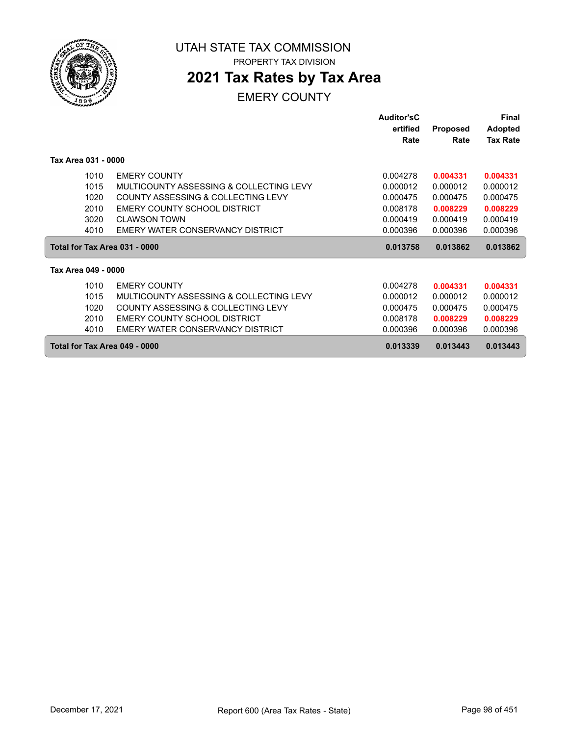

## **2021 Tax Rates by Tax Area**

|                               |                                         | <b>Auditor'sC</b> |          | Final           |
|-------------------------------|-----------------------------------------|-------------------|----------|-----------------|
|                               |                                         | ertified          | Proposed | <b>Adopted</b>  |
|                               |                                         | Rate              | Rate     | <b>Tax Rate</b> |
| Tax Area 031 - 0000           |                                         |                   |          |                 |
| 1010                          | <b>EMERY COUNTY</b>                     | 0.004278          | 0.004331 | 0.004331        |
| 1015                          | MULTICOUNTY ASSESSING & COLLECTING LEVY | 0.000012          | 0.000012 | 0.000012        |
| 1020                          | COUNTY ASSESSING & COLLECTING LEVY      | 0.000475          | 0.000475 | 0.000475        |
| 2010                          | EMERY COUNTY SCHOOL DISTRICT            | 0.008178          | 0.008229 | 0.008229        |
| 3020                          | <b>CLAWSON TOWN</b>                     | 0.000419          | 0.000419 | 0.000419        |
| 4010                          | EMERY WATER CONSERVANCY DISTRICT        | 0.000396          | 0.000396 | 0.000396        |
| Total for Tax Area 031 - 0000 |                                         | 0.013758          | 0.013862 | 0.013862        |
| Tax Area 049 - 0000           |                                         |                   |          |                 |
| 1010                          | <b>EMERY COUNTY</b>                     | 0.004278          | 0.004331 | 0.004331        |
| 1015                          | MULTICOUNTY ASSESSING & COLLECTING LEVY | 0.000012          | 0.000012 | 0.000012        |
| 1020                          | COUNTY ASSESSING & COLLECTING LEVY      | 0.000475          | 0.000475 | 0.000475        |
| 2010                          | EMERY COUNTY SCHOOL DISTRICT            | 0.008178          | 0.008229 | 0.008229        |
| 4010                          | EMERY WATER CONSERVANCY DISTRICT        | 0.000396          | 0.000396 | 0.000396        |
|                               | Total for Tax Area 049 - 0000           | 0.013339          | 0.013443 | 0.013443        |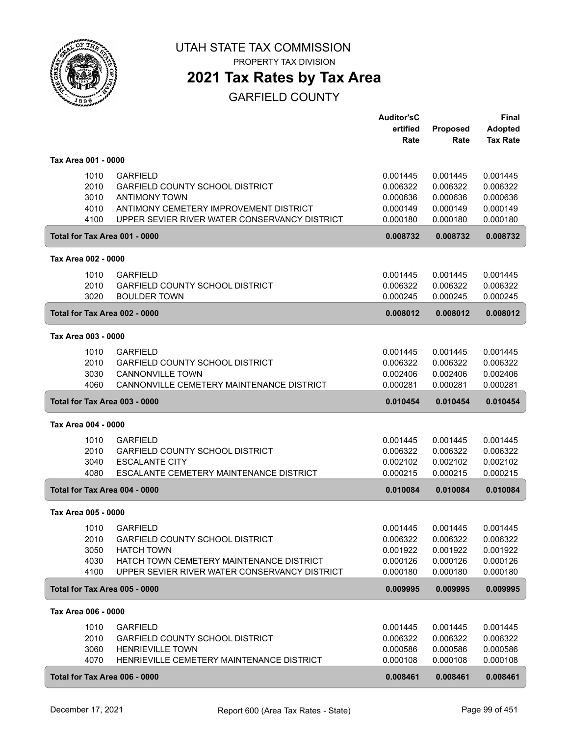

PROPERTY TAX DIVISION

### **2021 Tax Rates by Tax Area**

|                               |                                               | <b>Auditor'sC</b> |                 | <b>Final</b>    |
|-------------------------------|-----------------------------------------------|-------------------|-----------------|-----------------|
|                               |                                               | ertified          | <b>Proposed</b> | <b>Adopted</b>  |
|                               |                                               | Rate              | Rate            | <b>Tax Rate</b> |
|                               |                                               |                   |                 |                 |
| Tax Area 001 - 0000           |                                               |                   |                 |                 |
| 1010                          | <b>GARFIELD</b>                               | 0.001445          | 0.001445        | 0.001445        |
| 2010                          | <b>GARFIELD COUNTY SCHOOL DISTRICT</b>        | 0.006322          | 0.006322        | 0.006322        |
| 3010                          | <b>ANTIMONY TOWN</b>                          | 0.000636          | 0.000636        | 0.000636        |
| 4010                          | ANTIMONY CEMETERY IMPROVEMENT DISTRICT        | 0.000149          | 0.000149        | 0.000149        |
| 4100                          | UPPER SEVIER RIVER WATER CONSERVANCY DISTRICT | 0.000180          | 0.000180        | 0.000180        |
| Total for Tax Area 001 - 0000 |                                               | 0.008732          | 0.008732        | 0.008732        |
| Tax Area 002 - 0000           |                                               |                   |                 |                 |
| 1010                          | <b>GARFIELD</b>                               | 0.001445          | 0.001445        | 0.001445        |
| 2010                          | GARFIELD COUNTY SCHOOL DISTRICT               | 0.006322          | 0.006322        | 0.006322        |
| 3020                          | <b>BOULDER TOWN</b>                           | 0.000245          | 0.000245        | 0.000245        |
|                               |                                               |                   |                 |                 |
| Total for Tax Area 002 - 0000 |                                               | 0.008012          | 0.008012        | 0.008012        |
| Tax Area 003 - 0000           |                                               |                   |                 |                 |
| 1010                          | <b>GARFIELD</b>                               | 0.001445          | 0.001445        | 0.001445        |
| 2010                          | <b>GARFIELD COUNTY SCHOOL DISTRICT</b>        | 0.006322          | 0.006322        | 0.006322        |
| 3030                          | <b>CANNONVILLE TOWN</b>                       | 0.002406          | 0.002406        | 0.002406        |
| 4060                          | CANNONVILLE CEMETERY MAINTENANCE DISTRICT     | 0.000281          | 0.000281        | 0.000281        |
| Total for Tax Area 003 - 0000 |                                               | 0.010454          | 0.010454        | 0.010454        |
| Tax Area 004 - 0000           |                                               |                   |                 |                 |
| 1010                          | <b>GARFIELD</b>                               | 0.001445          | 0.001445        | 0.001445        |
| 2010                          | <b>GARFIELD COUNTY SCHOOL DISTRICT</b>        | 0.006322          | 0.006322        | 0.006322        |
| 3040                          | <b>ESCALANTE CITY</b>                         | 0.002102          | 0.002102        | 0.002102        |
| 4080                          | ESCALANTE CEMETERY MAINTENANCE DISTRICT       | 0.000215          | 0.000215        | 0.000215        |
| Total for Tax Area 004 - 0000 |                                               | 0.010084          | 0.010084        | 0.010084        |
|                               |                                               |                   |                 |                 |
| Tax Area 005 - 0000           |                                               |                   |                 |                 |
| 1010                          | <b>GARFIELD</b>                               | 0.001445          | 0.001445        | 0.001445        |
| 2010                          | <b>GARFIELD COUNTY SCHOOL DISTRICT</b>        | 0.006322          | 0.006322        | 0.006322        |
| 3050                          | <b>HATCH TOWN</b>                             | 0.001922          | 0.001922        | 0.001922        |
| 4030                          | HATCH TOWN CEMETERY MAINTENANCE DISTRICT      | 0.000126          | 0.000126        | 0.000126        |
| 4100                          | UPPER SEVIER RIVER WATER CONSERVANCY DISTRICT | 0.000180          | 0.000180        | 0.000180        |
| Total for Tax Area 005 - 0000 |                                               | 0.009995          | 0.009995        | 0.009995        |
| Tax Area 006 - 0000           |                                               |                   |                 |                 |
| 1010                          | <b>GARFIELD</b>                               | 0.001445          | 0.001445        | 0.001445        |
| 2010                          | <b>GARFIELD COUNTY SCHOOL DISTRICT</b>        | 0.006322          | 0.006322        | 0.006322        |
| 3060                          | <b>HENRIEVILLE TOWN</b>                       | 0.000586          | 0.000586        | 0.000586        |
| 4070                          | HENRIEVILLE CEMETERY MAINTENANCE DISTRICT     | 0.000108          | 0.000108        | 0.000108        |
|                               |                                               |                   |                 |                 |
| Total for Tax Area 006 - 0000 |                                               | 0.008461          | 0.008461        | 0.008461        |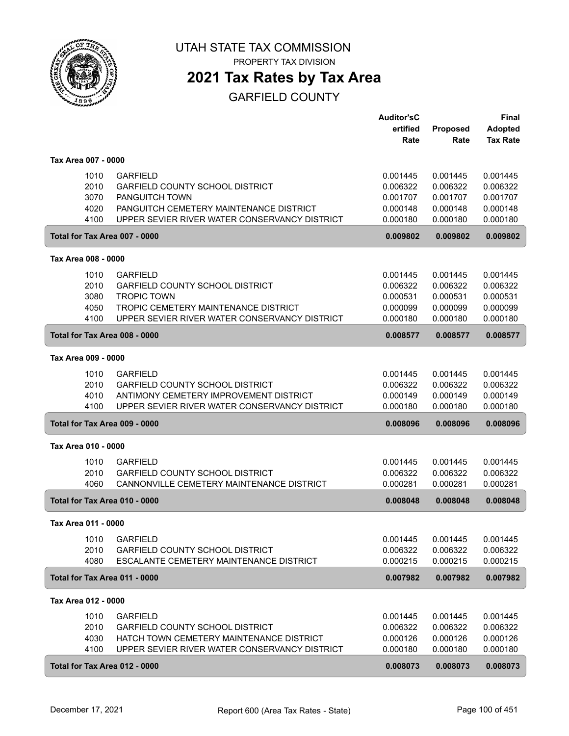

PROPERTY TAX DIVISION

# **2021 Tax Rates by Tax Area**

|                     |                                                       | <b>Auditor'sC</b> |          | Final           |
|---------------------|-------------------------------------------------------|-------------------|----------|-----------------|
|                     |                                                       | ertified          | Proposed | <b>Adopted</b>  |
|                     |                                                       | Rate              | Rate     | <b>Tax Rate</b> |
| Tax Area 007 - 0000 |                                                       |                   |          |                 |
|                     | 1010<br><b>GARFIELD</b>                               | 0.001445          | 0.001445 | 0.001445        |
|                     | 2010<br><b>GARFIELD COUNTY SCHOOL DISTRICT</b>        | 0.006322          | 0.006322 | 0.006322        |
|                     | 3070<br><b>PANGUITCH TOWN</b>                         | 0.001707          | 0.001707 | 0.001707        |
|                     | 4020<br>PANGUITCH CEMETERY MAINTENANCE DISTRICT       | 0.000148          | 0.000148 | 0.000148        |
|                     | 4100<br>UPPER SEVIER RIVER WATER CONSERVANCY DISTRICT | 0.000180          | 0.000180 | 0.000180        |
|                     | Total for Tax Area 007 - 0000                         | 0.009802          | 0.009802 | 0.009802        |
| Tax Area 008 - 0000 |                                                       |                   |          |                 |
|                     | <b>GARFIELD</b><br>1010                               | 0.001445          | 0.001445 | 0.001445        |
|                     | 2010<br>GARFIELD COUNTY SCHOOL DISTRICT               | 0.006322          | 0.006322 | 0.006322        |
|                     | 3080<br><b>TROPIC TOWN</b>                            | 0.000531          | 0.000531 | 0.000531        |
|                     | 4050<br>TROPIC CEMETERY MAINTENANCE DISTRICT          | 0.000099          | 0.000099 | 0.000099        |
|                     | 4100<br>UPPER SEVIER RIVER WATER CONSERVANCY DISTRICT | 0.000180          | 0.000180 | 0.000180        |
|                     | Total for Tax Area 008 - 0000                         | 0.008577          | 0.008577 | 0.008577        |
|                     |                                                       |                   |          |                 |
| Tax Area 009 - 0000 |                                                       |                   |          |                 |
|                     | <b>GARFIELD</b><br>1010                               | 0.001445          | 0.001445 | 0.001445        |
|                     | 2010<br><b>GARFIELD COUNTY SCHOOL DISTRICT</b>        | 0.006322          | 0.006322 | 0.006322        |
|                     | 4010<br>ANTIMONY CEMETERY IMPROVEMENT DISTRICT        | 0.000149          | 0.000149 | 0.000149        |
|                     | 4100<br>UPPER SEVIER RIVER WATER CONSERVANCY DISTRICT | 0.000180          | 0.000180 | 0.000180        |
|                     | Total for Tax Area 009 - 0000                         | 0.008096          | 0.008096 | 0.008096        |
| Tax Area 010 - 0000 |                                                       |                   |          |                 |
|                     | 1010<br><b>GARFIELD</b>                               | 0.001445          | 0.001445 | 0.001445        |
|                     | 2010<br><b>GARFIELD COUNTY SCHOOL DISTRICT</b>        | 0.006322          | 0.006322 | 0.006322        |
|                     | 4060<br>CANNONVILLE CEMETERY MAINTENANCE DISTRICT     | 0.000281          | 0.000281 | 0.000281        |
|                     | Total for Tax Area 010 - 0000                         | 0.008048          | 0.008048 | 0.008048        |
| Tax Area 011 - 0000 |                                                       |                   |          |                 |
|                     | <b>GARFIELD</b><br>1010                               | 0.001445          | 0.001445 | 0.001445        |
|                     | 2010<br><b>GARFIELD COUNTY SCHOOL DISTRICT</b>        | 0.006322          | 0.006322 | 0.006322        |
|                     | 4080<br>ESCALANTE CEMETERY MAINTENANCE DISTRICT       | 0.000215          | 0.000215 | 0.000215        |
|                     | Total for Tax Area 011 - 0000                         | 0.007982          | 0.007982 | 0.007982        |
| Tax Area 012 - 0000 |                                                       |                   |          |                 |
|                     |                                                       |                   |          |                 |
|                     | 1010<br><b>GARFIELD</b>                               | 0.001445          | 0.001445 | 0.001445        |
|                     | 2010<br><b>GARFIELD COUNTY SCHOOL DISTRICT</b>        | 0.006322          | 0.006322 | 0.006322        |
|                     | 4030<br>HATCH TOWN CEMETERY MAINTENANCE DISTRICT      | 0.000126          | 0.000126 | 0.000126        |
|                     | 4100<br>UPPER SEVIER RIVER WATER CONSERVANCY DISTRICT | 0.000180          | 0.000180 | 0.000180        |
|                     | Total for Tax Area 012 - 0000                         | 0.008073          | 0.008073 | 0.008073        |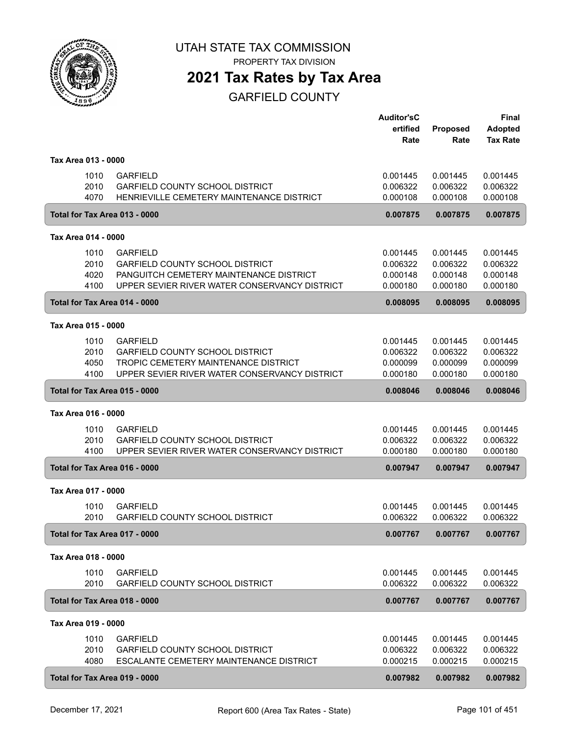

PROPERTY TAX DIVISION

# **2021 Tax Rates by Tax Area**

|                     |                                                                                                   | <b>Auditor'sC</b><br>ertified | Proposed             | <b>Final</b><br><b>Adopted</b> |
|---------------------|---------------------------------------------------------------------------------------------------|-------------------------------|----------------------|--------------------------------|
|                     |                                                                                                   | Rate                          | Rate                 | <b>Tax Rate</b>                |
| Tax Area 013 - 0000 |                                                                                                   |                               |                      |                                |
|                     | 1010<br><b>GARFIELD</b>                                                                           | 0.001445                      | 0.001445             | 0.001445                       |
| 4070                | 2010<br><b>GARFIELD COUNTY SCHOOL DISTRICT</b><br>HENRIEVILLE CEMETERY MAINTENANCE DISTRICT       | 0.006322<br>0.000108          | 0.006322<br>0.000108 | 0.006322<br>0.000108           |
|                     | Total for Tax Area 013 - 0000                                                                     | 0.007875                      | 0.007875             | 0.007875                       |
|                     |                                                                                                   |                               |                      |                                |
| Tax Area 014 - 0000 |                                                                                                   |                               |                      |                                |
|                     | 1010<br><b>GARFIELD</b>                                                                           | 0.001445                      | 0.001445             | 0.001445                       |
|                     | 2010<br><b>GARFIELD COUNTY SCHOOL DISTRICT</b><br>PANGUITCH CEMETERY MAINTENANCE DISTRICT<br>4020 | 0.006322<br>0.000148          | 0.006322<br>0.000148 | 0.006322<br>0.000148           |
| 4100                | UPPER SEVIER RIVER WATER CONSERVANCY DISTRICT                                                     | 0.000180                      | 0.000180             | 0.000180                       |
|                     | Total for Tax Area 014 - 0000                                                                     | 0.008095                      | 0.008095             | 0.008095                       |
| Tax Area 015 - 0000 |                                                                                                   |                               |                      |                                |
|                     | <b>GARFIELD</b><br>1010                                                                           | 0.001445                      | 0.001445             | 0.001445                       |
|                     | 2010<br><b>GARFIELD COUNTY SCHOOL DISTRICT</b>                                                    | 0.006322                      | 0.006322             | 0.006322                       |
|                     | 4050<br>TROPIC CEMETERY MAINTENANCE DISTRICT                                                      | 0.000099                      | 0.000099             | 0.000099                       |
| 4100                | UPPER SEVIER RIVER WATER CONSERVANCY DISTRICT                                                     | 0.000180                      | 0.000180             | 0.000180                       |
|                     | Total for Tax Area 015 - 0000                                                                     | 0.008046                      | 0.008046             | 0.008046                       |
| Tax Area 016 - 0000 |                                                                                                   |                               |                      |                                |
|                     | <b>GARFIELD</b><br>1010                                                                           | 0.001445                      | 0.001445             | 0.001445                       |
| 4100                | 2010<br><b>GARFIELD COUNTY SCHOOL DISTRICT</b><br>UPPER SEVIER RIVER WATER CONSERVANCY DISTRICT   | 0.006322<br>0.000180          | 0.006322<br>0.000180 | 0.006322<br>0.000180           |
|                     | Total for Tax Area 016 - 0000                                                                     | 0.007947                      | 0.007947             | 0.007947                       |
|                     |                                                                                                   |                               |                      |                                |
| Tax Area 017 - 0000 |                                                                                                   |                               |                      |                                |
|                     | 1010<br><b>GARFIELD</b><br>2010<br><b>GARFIELD COUNTY SCHOOL DISTRICT</b>                         | 0.001445<br>0.006322          | 0.001445<br>0.006322 | 0.001445<br>0.006322           |
|                     | Total for Tax Area 017 - 0000                                                                     | 0.007767                      | 0.007767             | 0.007767                       |
| Tax Area 018 - 0000 |                                                                                                   |                               |                      |                                |
|                     | 1010<br><b>GARFIELD</b>                                                                           | 0.001445                      | 0.001445             | 0.001445                       |
|                     | 2010<br>GARFIELD COUNTY SCHOOL DISTRICT                                                           | 0.006322                      | 0.006322             | 0.006322                       |
|                     | Total for Tax Area 018 - 0000                                                                     | 0.007767                      | 0.007767             | 0.007767                       |
| Tax Area 019 - 0000 |                                                                                                   |                               |                      |                                |
|                     | 1010<br><b>GARFIELD</b>                                                                           | 0.001445                      | 0.001445             | 0.001445                       |
|                     | 2010<br><b>GARFIELD COUNTY SCHOOL DISTRICT</b>                                                    | 0.006322                      | 0.006322             | 0.006322                       |
|                     | 4080<br>ESCALANTE CEMETERY MAINTENANCE DISTRICT                                                   | 0.000215                      | 0.000215             | 0.000215                       |
|                     | Total for Tax Area 019 - 0000                                                                     | 0.007982                      | 0.007982             | 0.007982                       |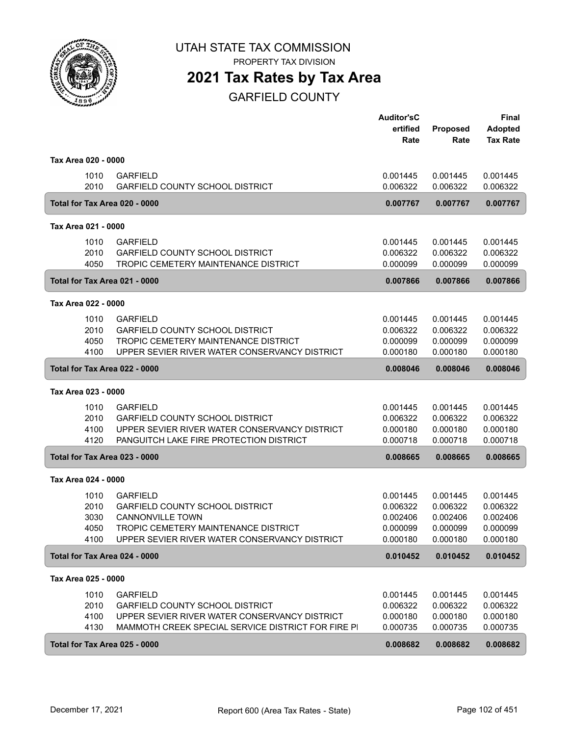

PROPERTY TAX DIVISION

### **2021 Tax Rates by Tax Area**

|                               |                                                                                       | <b>Auditor'sC</b><br>ertified<br>Rate | Proposed<br>Rate     | <b>Final</b><br><b>Adopted</b><br><b>Tax Rate</b> |
|-------------------------------|---------------------------------------------------------------------------------------|---------------------------------------|----------------------|---------------------------------------------------|
| Tax Area 020 - 0000           |                                                                                       |                                       |                      |                                                   |
| 1010<br>2010                  | <b>GARFIELD</b><br><b>GARFIELD COUNTY SCHOOL DISTRICT</b>                             | 0.001445<br>0.006322                  | 0.001445<br>0.006322 | 0.001445<br>0.006322                              |
| Total for Tax Area 020 - 0000 |                                                                                       | 0.007767                              | 0.007767             | 0.007767                                          |
| Tax Area 021 - 0000           |                                                                                       |                                       |                      |                                                   |
| 1010                          | <b>GARFIELD</b>                                                                       | 0.001445                              | 0.001445             | 0.001445                                          |
| 2010                          | <b>GARFIELD COUNTY SCHOOL DISTRICT</b>                                                | 0.006322                              | 0.006322             | 0.006322                                          |
| 4050                          | TROPIC CEMETERY MAINTENANCE DISTRICT                                                  | 0.000099                              | 0.000099             | 0.000099                                          |
| Total for Tax Area 021 - 0000 |                                                                                       | 0.007866                              | 0.007866             | 0.007866                                          |
| Tax Area 022 - 0000           |                                                                                       |                                       |                      |                                                   |
| 1010                          | <b>GARFIELD</b>                                                                       | 0.001445                              | 0.001445             | 0.001445                                          |
| 2010                          | <b>GARFIELD COUNTY SCHOOL DISTRICT</b>                                                | 0.006322                              | 0.006322             | 0.006322                                          |
| 4050<br>4100                  | TROPIC CEMETERY MAINTENANCE DISTRICT<br>UPPER SEVIER RIVER WATER CONSERVANCY DISTRICT | 0.000099<br>0.000180                  | 0.000099<br>0.000180 | 0.000099<br>0.000180                              |
| Total for Tax Area 022 - 0000 |                                                                                       | 0.008046                              | 0.008046             | 0.008046                                          |
| Tax Area 023 - 0000           |                                                                                       |                                       |                      |                                                   |
| 1010                          | <b>GARFIELD</b>                                                                       | 0.001445                              | 0.001445             | 0.001445                                          |
| 2010                          | <b>GARFIELD COUNTY SCHOOL DISTRICT</b>                                                | 0.006322                              | 0.006322             | 0.006322                                          |
| 4100<br>4120                  | UPPER SEVIER RIVER WATER CONSERVANCY DISTRICT                                         | 0.000180                              | 0.000180             | 0.000180                                          |
|                               | PANGUITCH LAKE FIRE PROTECTION DISTRICT                                               | 0.000718                              | 0.000718             | 0.000718                                          |
| Total for Tax Area 023 - 0000 |                                                                                       | 0.008665                              | 0.008665             | 0.008665                                          |
| Tax Area 024 - 0000           |                                                                                       |                                       |                      |                                                   |
| 1010                          | <b>GARFIELD</b>                                                                       | 0.001445                              | 0.001445             | 0.001445                                          |
| 2010<br>3030                  | <b>GARFIELD COUNTY SCHOOL DISTRICT</b><br><b>CANNONVILLE TOWN</b>                     | 0.006322<br>0.002406                  | 0.006322<br>0.002406 | 0.006322<br>0.002406                              |
| 4050                          | TROPIC CEMETERY MAINTENANCE DISTRICT                                                  | 0.000099                              | 0.000099             | 0.000099                                          |
| 4100                          | UPPER SEVIER RIVER WATER CONSERVANCY DISTRICT                                         | 0.000180                              | 0.000180             | 0.000180                                          |
| Total for Tax Area 024 - 0000 |                                                                                       | 0.010452                              | 0.010452             | 0.010452                                          |
| Tax Area 025 - 0000           |                                                                                       |                                       |                      |                                                   |
| 1010                          | <b>GARFIELD</b>                                                                       | 0.001445                              | 0.001445             | 0.001445                                          |
| 2010                          | <b>GARFIELD COUNTY SCHOOL DISTRICT</b>                                                | 0.006322                              | 0.006322             | 0.006322                                          |
| 4100                          | UPPER SEVIER RIVER WATER CONSERVANCY DISTRICT                                         | 0.000180                              | 0.000180             | 0.000180                                          |
| 4130                          | MAMMOTH CREEK SPECIAL SERVICE DISTRICT FOR FIRE PI                                    | 0.000735                              | 0.000735             | 0.000735                                          |
| Total for Tax Area 025 - 0000 |                                                                                       | 0.008682                              | 0.008682             | 0.008682                                          |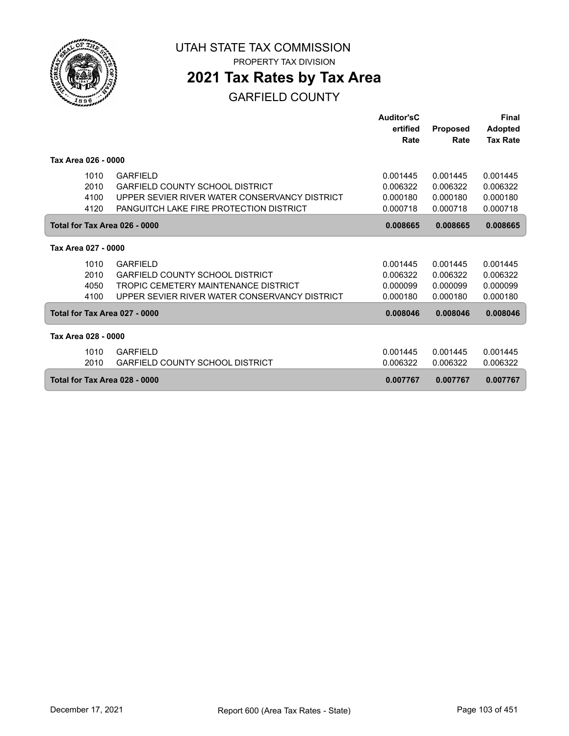

### **2021 Tax Rates by Tax Area**

|                               |                                                | Auditor'sC |                 | <b>Final</b>    |
|-------------------------------|------------------------------------------------|------------|-----------------|-----------------|
|                               |                                                | ertified   | <b>Proposed</b> | <b>Adopted</b>  |
|                               |                                                | Rate       | Rate            | <b>Tax Rate</b> |
|                               |                                                |            |                 |                 |
| Tax Area 026 - 0000           |                                                |            |                 |                 |
| 1010                          | <b>GARFIELD</b>                                | 0.001445   | 0.001445        | 0.001445        |
| 2010                          | <b>GARFIELD COUNTY SCHOOL DISTRICT</b>         | 0.006322   | 0.006322        | 0.006322        |
| 4100                          | UPPER SEVIER RIVER WATER CONSERVANCY DISTRICT  | 0.000180   | 0.000180        | 0.000180        |
| 4120                          | <b>PANGUITCH LAKE FIRE PROTECTION DISTRICT</b> | 0.000718   | 0.000718        | 0.000718        |
|                               |                                                |            |                 |                 |
| Total for Tax Area 026 - 0000 |                                                | 0.008665   | 0.008665        | 0.008665        |
| Tax Area 027 - 0000           |                                                |            |                 |                 |
|                               |                                                |            |                 |                 |
| 1010                          | <b>GARFIELD</b>                                | 0.001445   | 0.001445        | 0.001445        |
| 2010                          | <b>GARFIELD COUNTY SCHOOL DISTRICT</b>         | 0.006322   | 0.006322        | 0.006322        |
| 4050                          | TROPIC CEMETERY MAINTENANCE DISTRICT           | 0.000099   | 0.000099        | 0.000099        |
| 4100                          | UPPER SEVIER RIVER WATER CONSERVANCY DISTRICT  | 0.000180   | 0.000180        | 0.000180        |
| Total for Tax Area 027 - 0000 |                                                | 0.008046   | 0.008046        | 0.008046        |
| Tax Area 028 - 0000           |                                                |            |                 |                 |
| 1010                          | <b>GARFIELD</b>                                | 0.001445   | 0.001445        | 0.001445        |
| 2010                          | <b>GARFIELD COUNTY SCHOOL DISTRICT</b>         | 0.006322   | 0.006322        | 0.006322        |
|                               |                                                |            |                 |                 |
| Total for Tax Area 028 - 0000 |                                                | 0.007767   | 0.007767        | 0.007767        |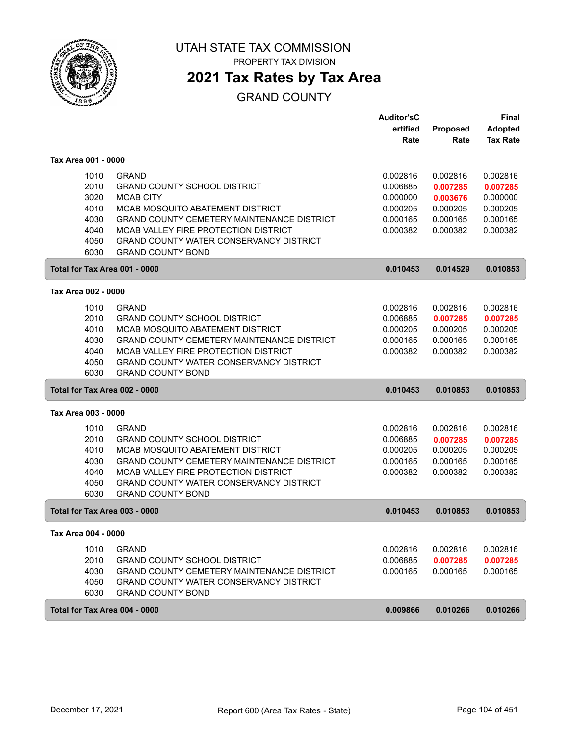

### **2021 Tax Rates by Tax Area**

### GRAND COUNTY

|                               |                                                   | <b>Auditor'sC</b> |                 | <b>Final</b>    |
|-------------------------------|---------------------------------------------------|-------------------|-----------------|-----------------|
|                               |                                                   | ertified          | <b>Proposed</b> | <b>Adopted</b>  |
|                               |                                                   | Rate              | Rate            | <b>Tax Rate</b> |
| Tax Area 001 - 0000           |                                                   |                   |                 |                 |
| 1010                          | <b>GRAND</b>                                      | 0.002816          | 0.002816        | 0.002816        |
| 2010                          | <b>GRAND COUNTY SCHOOL DISTRICT</b>               | 0.006885          | 0.007285        | 0.007285        |
| 3020                          | <b>MOAB CITY</b>                                  | 0.000000          | 0.003676        | 0.000000        |
| 4010                          | MOAB MOSQUITO ABATEMENT DISTRICT                  | 0.000205          | 0.000205        | 0.000205        |
| 4030                          | <b>GRAND COUNTY CEMETERY MAINTENANCE DISTRICT</b> | 0.000165          | 0.000165        | 0.000165        |
| 4040                          | MOAB VALLEY FIRE PROTECTION DISTRICT              | 0.000382          | 0.000382        | 0.000382        |
| 4050                          | GRAND COUNTY WATER CONSERVANCY DISTRICT           |                   |                 |                 |
| 6030                          | <b>GRAND COUNTY BOND</b>                          |                   |                 |                 |
| Total for Tax Area 001 - 0000 |                                                   | 0.010453          | 0.014529        | 0.010853        |
|                               |                                                   |                   |                 |                 |
| Tax Area 002 - 0000           |                                                   |                   |                 |                 |
| 1010                          | <b>GRAND</b>                                      | 0.002816          | 0.002816        | 0.002816        |
| 2010                          | <b>GRAND COUNTY SCHOOL DISTRICT</b>               | 0.006885          | 0.007285        | 0.007285        |
| 4010                          | MOAB MOSQUITO ABATEMENT DISTRICT                  | 0.000205          | 0.000205        | 0.000205        |
| 4030                          | <b>GRAND COUNTY CEMETERY MAINTENANCE DISTRICT</b> | 0.000165          | 0.000165        | 0.000165        |
| 4040                          | MOAB VALLEY FIRE PROTECTION DISTRICT              | 0.000382          | 0.000382        | 0.000382        |
| 4050                          | <b>GRAND COUNTY WATER CONSERVANCY DISTRICT</b>    |                   |                 |                 |
| 6030                          | <b>GRAND COUNTY BOND</b>                          |                   |                 |                 |
| Total for Tax Area 002 - 0000 |                                                   | 0.010453          | 0.010853        | 0.010853        |
| Tax Area 003 - 0000           |                                                   |                   |                 |                 |
| 1010                          | <b>GRAND</b>                                      | 0.002816          | 0.002816        | 0.002816        |
| 2010                          | <b>GRAND COUNTY SCHOOL DISTRICT</b>               | 0.006885          | 0.007285        | 0.007285        |
| 4010                          | MOAB MOSQUITO ABATEMENT DISTRICT                  | 0.000205          | 0.000205        | 0.000205        |
| 4030                          | <b>GRAND COUNTY CEMETERY MAINTENANCE DISTRICT</b> | 0.000165          | 0.000165        | 0.000165        |
| 4040                          | MOAB VALLEY FIRE PROTECTION DISTRICT              | 0.000382          | 0.000382        | 0.000382        |
| 4050                          | GRAND COUNTY WATER CONSERVANCY DISTRICT           |                   |                 |                 |
| 6030                          | <b>GRAND COUNTY BOND</b>                          |                   |                 |                 |
| Total for Tax Area 003 - 0000 |                                                   | 0.010453          | 0.010853        | 0.010853        |
| Tax Area 004 - 0000           |                                                   |                   |                 |                 |
| 1010                          | <b>GRAND</b>                                      | 0.002816          | 0.002816        | 0.002816        |
| 2010                          | <b>GRAND COUNTY SCHOOL DISTRICT</b>               | 0.006885          | 0.007285        | 0.007285        |
| 4030                          | <b>GRAND COUNTY CEMETERY MAINTENANCE DISTRICT</b> | 0.000165          | 0.000165        | 0.000165        |
| 4050                          | <b>GRAND COUNTY WATER CONSERVANCY DISTRICT</b>    |                   |                 |                 |
| 6030                          | <b>GRAND COUNTY BOND</b>                          |                   |                 |                 |
| Total for Tax Area 004 - 0000 |                                                   |                   |                 |                 |
|                               |                                                   | 0.009866          | 0.010266        | 0.010266        |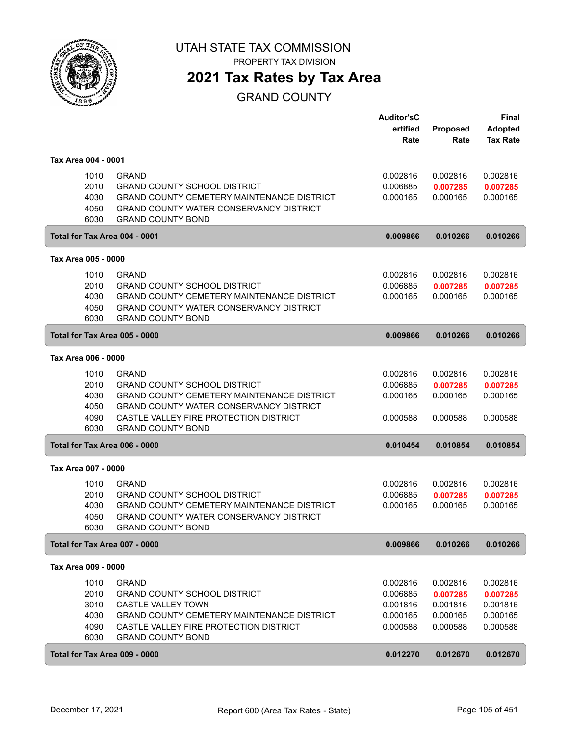

### **2021 Tax Rates by Tax Area**

#### GRAND COUNTY

|                               |                                                   | <b>Auditor'sC</b> |          | <b>Final</b>    |
|-------------------------------|---------------------------------------------------|-------------------|----------|-----------------|
|                               |                                                   | ertified          | Proposed | <b>Adopted</b>  |
|                               |                                                   | Rate              | Rate     | <b>Tax Rate</b> |
| Tax Area 004 - 0001           |                                                   |                   |          |                 |
| 1010                          | <b>GRAND</b>                                      | 0.002816          | 0.002816 | 0.002816        |
| 2010                          | <b>GRAND COUNTY SCHOOL DISTRICT</b>               | 0.006885          | 0.007285 | 0.007285        |
| 4030                          | GRAND COUNTY CEMETERY MAINTENANCE DISTRICT        | 0.000165          | 0.000165 | 0.000165        |
| 4050                          | GRAND COUNTY WATER CONSERVANCY DISTRICT           |                   |          |                 |
| 6030                          | <b>GRAND COUNTY BOND</b>                          |                   |          |                 |
| Total for Tax Area 004 - 0001 |                                                   | 0.009866          | 0.010266 | 0.010266        |
| Tax Area 005 - 0000           |                                                   |                   |          |                 |
| 1010                          | <b>GRAND</b>                                      | 0.002816          | 0.002816 | 0.002816        |
| 2010                          | <b>GRAND COUNTY SCHOOL DISTRICT</b>               | 0.006885          | 0.007285 | 0.007285        |
| 4030                          | <b>GRAND COUNTY CEMETERY MAINTENANCE DISTRICT</b> | 0.000165          | 0.000165 | 0.000165        |
| 4050                          | <b>GRAND COUNTY WATER CONSERVANCY DISTRICT</b>    |                   |          |                 |
| 6030                          | <b>GRAND COUNTY BOND</b>                          |                   |          |                 |
| Total for Tax Area 005 - 0000 |                                                   | 0.009866          | 0.010266 | 0.010266        |
| Tax Area 006 - 0000           |                                                   |                   |          |                 |
| 1010                          | <b>GRAND</b>                                      | 0.002816          | 0.002816 | 0.002816        |
| 2010                          | <b>GRAND COUNTY SCHOOL DISTRICT</b>               | 0.006885          | 0.007285 | 0.007285        |
| 4030                          | <b>GRAND COUNTY CEMETERY MAINTENANCE DISTRICT</b> | 0.000165          | 0.000165 | 0.000165        |
| 4050                          | <b>GRAND COUNTY WATER CONSERVANCY DISTRICT</b>    |                   |          |                 |
| 4090                          | CASTLE VALLEY FIRE PROTECTION DISTRICT            | 0.000588          | 0.000588 | 0.000588        |
| 6030                          | <b>GRAND COUNTY BOND</b>                          |                   |          |                 |
| Total for Tax Area 006 - 0000 |                                                   | 0.010454          | 0.010854 | 0.010854        |
| Tax Area 007 - 0000           |                                                   |                   |          |                 |
| 1010                          | <b>GRAND</b>                                      | 0.002816          | 0.002816 | 0.002816        |
| 2010                          | <b>GRAND COUNTY SCHOOL DISTRICT</b>               | 0.006885          | 0.007285 | 0.007285        |
| 4030                          | GRAND COUNTY CEMETERY MAINTENANCE DISTRICT        | 0.000165          | 0.000165 | 0.000165        |
| 4050                          | GRAND COUNTY WATER CONSERVANCY DISTRICT           |                   |          |                 |
| 6030                          | <b>GRAND COUNTY BOND</b>                          |                   |          |                 |
| Total for Tax Area 007 - 0000 |                                                   | 0.009866          | 0.010266 | 0.010266        |
| Tax Area 009 - 0000           |                                                   |                   |          |                 |
| 1010                          | <b>GRAND</b>                                      | 0.002816          | 0.002816 | 0.002816        |
| 2010                          | <b>GRAND COUNTY SCHOOL DISTRICT</b>               | 0.006885          | 0.007285 | 0.007285        |
| 3010                          | CASTLE VALLEY TOWN                                | 0.001816          | 0.001816 | 0.001816        |
| 4030                          | <b>GRAND COUNTY CEMETERY MAINTENANCE DISTRICT</b> | 0.000165          | 0.000165 | 0.000165        |
| 4090                          | CASTLE VALLEY FIRE PROTECTION DISTRICT            | 0.000588          | 0.000588 | 0.000588        |
| 6030                          | <b>GRAND COUNTY BOND</b>                          |                   |          |                 |
| Total for Tax Area 009 - 0000 |                                                   | 0.012270          | 0.012670 | 0.012670        |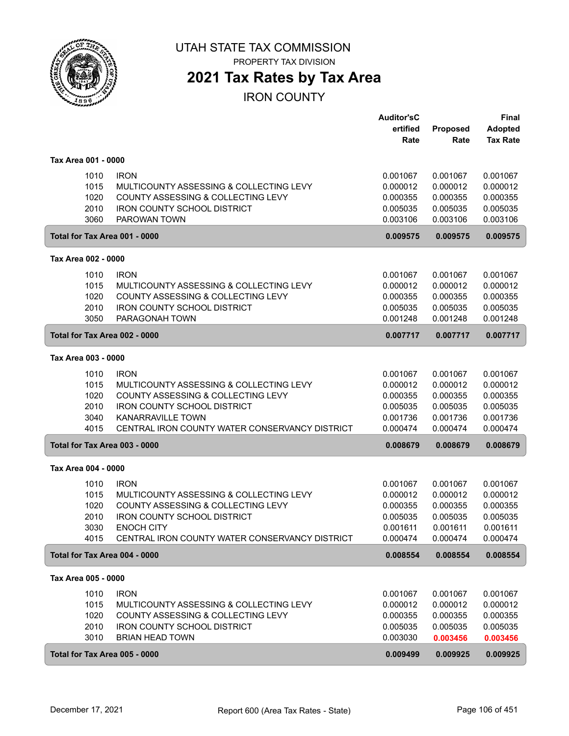

PROPERTY TAX DIVISION

### **2021 Tax Rates by Tax Area**

#### IRON COUNTY

|                     |              |                                                    | <b>Auditor'sC</b><br>ertified | Proposed             | Final<br><b>Adopted</b> |
|---------------------|--------------|----------------------------------------------------|-------------------------------|----------------------|-------------------------|
|                     |              |                                                    | Rate                          | Rate                 | <b>Tax Rate</b>         |
| Tax Area 001 - 0000 |              |                                                    |                               |                      |                         |
|                     | 1010         | <b>IRON</b>                                        | 0.001067                      | 0.001067             | 0.001067                |
|                     | 1015         | MULTICOUNTY ASSESSING & COLLECTING LEVY            | 0.000012                      | 0.000012             | 0.000012                |
|                     | 1020         | COUNTY ASSESSING & COLLECTING LEVY                 | 0.000355                      | 0.000355             | 0.000355                |
|                     | 2010<br>3060 | <b>IRON COUNTY SCHOOL DISTRICT</b><br>PAROWAN TOWN | 0.005035<br>0.003106          | 0.005035<br>0.003106 | 0.005035<br>0.003106    |
|                     |              | Total for Tax Area 001 - 0000                      | 0.009575                      | 0.009575             | 0.009575                |
| Tax Area 002 - 0000 |              |                                                    |                               |                      |                         |
|                     | 1010         | <b>IRON</b>                                        | 0.001067                      | 0.001067             | 0.001067                |
|                     | 1015         | MULTICOUNTY ASSESSING & COLLECTING LEVY            | 0.000012                      | 0.000012             | 0.000012                |
|                     | 1020         | COUNTY ASSESSING & COLLECTING LEVY                 | 0.000355                      | 0.000355             | 0.000355                |
|                     | 2010         | <b>IRON COUNTY SCHOOL DISTRICT</b>                 | 0.005035                      | 0.005035             | 0.005035                |
|                     | 3050         | PARAGONAH TOWN                                     | 0.001248                      | 0.001248             | 0.001248                |
|                     |              | Total for Tax Area 002 - 0000                      | 0.007717                      | 0.007717             | 0.007717                |
| Tax Area 003 - 0000 |              |                                                    |                               |                      |                         |
|                     | 1010         | <b>IRON</b>                                        | 0.001067                      | 0.001067             | 0.001067                |
|                     | 1015         | MULTICOUNTY ASSESSING & COLLECTING LEVY            | 0.000012                      | 0.000012             | 0.000012                |
|                     | 1020         | COUNTY ASSESSING & COLLECTING LEVY                 | 0.000355                      | 0.000355             | 0.000355                |
|                     | 2010         | <b>IRON COUNTY SCHOOL DISTRICT</b>                 | 0.005035                      | 0.005035             | 0.005035                |
|                     | 3040         | <b>KANARRAVILLE TOWN</b>                           | 0.001736                      | 0.001736             | 0.001736                |
|                     | 4015         | CENTRAL IRON COUNTY WATER CONSERVANCY DISTRICT     | 0.000474                      | 0.000474             | 0.000474                |
|                     |              | Total for Tax Area 003 - 0000                      | 0.008679                      | 0.008679             | 0.008679                |
| Tax Area 004 - 0000 |              |                                                    |                               |                      |                         |
|                     | 1010         | <b>IRON</b>                                        | 0.001067                      | 0.001067             | 0.001067                |
|                     | 1015         | MULTICOUNTY ASSESSING & COLLECTING LEVY            | 0.000012                      | 0.000012             | 0.000012                |
|                     | 1020         | COUNTY ASSESSING & COLLECTING LEVY                 | 0.000355                      | 0.000355             | 0.000355                |
|                     | 2010         | <b>IRON COUNTY SCHOOL DISTRICT</b>                 | 0.005035                      | 0.005035             | 0.005035                |
|                     | 3030         | <b>ENOCH CITY</b>                                  | 0.001611                      | 0.001611             | 0.001611                |
|                     | 4015         | CENTRAL IRON COUNTY WATER CONSERVANCY DISTRICT     | 0.000474                      | 0.000474             | 0.000474                |
|                     |              | Total for Tax Area 004 - 0000                      | 0.008554                      | 0.008554             | 0.008554                |
| Tax Area 005 - 0000 |              |                                                    |                               |                      |                         |
|                     | 1010         | <b>IRON</b>                                        | 0.001067                      | 0.001067             | 0.001067                |
|                     | 1015         | MULTICOUNTY ASSESSING & COLLECTING LEVY            | 0.000012                      | 0.000012             | 0.000012                |
|                     | 1020         | COUNTY ASSESSING & COLLECTING LEVY                 | 0.000355                      | 0.000355             | 0.000355                |
|                     | 2010         | IRON COUNTY SCHOOL DISTRICT                        | 0.005035                      | 0.005035             | 0.005035                |
|                     | 3010         | <b>BRIAN HEAD TOWN</b>                             | 0.003030                      | 0.003456             | 0.003456                |
|                     |              | Total for Tax Area 005 - 0000                      | 0.009499                      | 0.009925             | 0.009925                |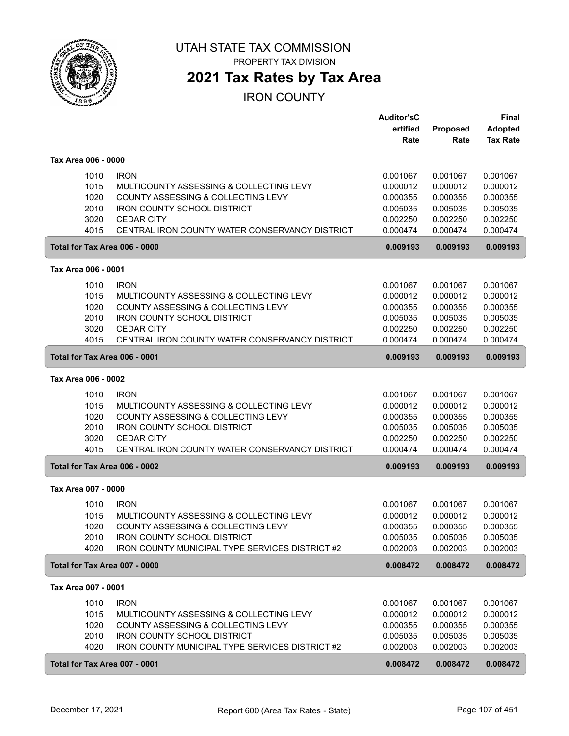

### **2021 Tax Rates by Tax Area**

#### IRON COUNTY

| ertified<br>Proposed<br>Rate<br>Rate                                            | <b>Adopted</b><br><b>Tax Rate</b> |
|---------------------------------------------------------------------------------|-----------------------------------|
|                                                                                 |                                   |
|                                                                                 |                                   |
| Tax Area 006 - 0000                                                             |                                   |
| <b>IRON</b><br>1010<br>0.001067<br>0.001067                                     | 0.001067                          |
| 1015<br>MULTICOUNTY ASSESSING & COLLECTING LEVY<br>0.000012<br>0.000012         | 0.000012                          |
| 1020<br><b>COUNTY ASSESSING &amp; COLLECTING LEVY</b><br>0.000355<br>0.000355   | 0.000355                          |
| 2010<br><b>IRON COUNTY SCHOOL DISTRICT</b><br>0.005035<br>0.005035              | 0.005035                          |
| 3020<br><b>CEDAR CITY</b><br>0.002250<br>0.002250                               | 0.002250                          |
| 4015<br>CENTRAL IRON COUNTY WATER CONSERVANCY DISTRICT<br>0.000474<br>0.000474  | 0.000474                          |
| Total for Tax Area 006 - 0000<br>0.009193<br>0.009193                           | 0.009193                          |
|                                                                                 |                                   |
| Tax Area 006 - 0001                                                             |                                   |
| <b>IRON</b><br>1010<br>0.001067<br>0.001067                                     | 0.001067                          |
| 1015<br>MULTICOUNTY ASSESSING & COLLECTING LEVY<br>0.000012<br>0.000012         | 0.000012                          |
| 1020<br>COUNTY ASSESSING & COLLECTING LEVY<br>0.000355<br>0.000355              | 0.000355                          |
| 2010<br><b>IRON COUNTY SCHOOL DISTRICT</b><br>0.005035<br>0.005035              | 0.005035                          |
| 3020<br><b>CEDAR CITY</b><br>0.002250<br>0.002250                               | 0.002250                          |
| 4015<br>CENTRAL IRON COUNTY WATER CONSERVANCY DISTRICT<br>0.000474<br>0.000474  | 0.000474                          |
| Total for Tax Area 006 - 0001<br>0.009193<br>0.009193                           | 0.009193                          |
| Tax Area 006 - 0002                                                             |                                   |
| <b>IRON</b><br>1010<br>0.001067<br>0.001067                                     | 0.001067                          |
| 1015<br>MULTICOUNTY ASSESSING & COLLECTING LEVY<br>0.000012<br>0.000012         | 0.000012                          |
| 1020<br>COUNTY ASSESSING & COLLECTING LEVY<br>0.000355<br>0.000355              | 0.000355                          |
| 2010<br><b>IRON COUNTY SCHOOL DISTRICT</b><br>0.005035<br>0.005035              | 0.005035                          |
| 3020<br><b>CEDAR CITY</b><br>0.002250<br>0.002250                               | 0.002250                          |
| 4015<br>CENTRAL IRON COUNTY WATER CONSERVANCY DISTRICT<br>0.000474<br>0.000474  | 0.000474                          |
| Total for Tax Area 006 - 0002<br>0.009193<br>0.009193                           | 0.009193                          |
| Tax Area 007 - 0000                                                             |                                   |
|                                                                                 |                                   |
| 1010<br><b>IRON</b><br>0.001067<br>0.001067                                     | 0.001067                          |
| 1015<br>MULTICOUNTY ASSESSING & COLLECTING LEVY<br>0.000012<br>0.000012         | 0.000012                          |
| 1020<br>COUNTY ASSESSING & COLLECTING LEVY<br>0.000355<br>0.000355              | 0.000355                          |
| IRON COUNTY SCHOOL DISTRICT<br>2010<br>0.005035<br>0.005035                     | 0.005035                          |
| 4020<br>IRON COUNTY MUNICIPAL TYPE SERVICES DISTRICT #2<br>0.002003<br>0.002003 | 0.002003                          |
| Total for Tax Area 007 - 0000<br>0.008472<br>0.008472                           | 0.008472                          |
| Tax Area 007 - 0001                                                             |                                   |
| 1010<br><b>IRON</b><br>0.001067<br>0.001067                                     | 0.001067                          |
| 1015<br>0.000012<br>0.000012<br>MULTICOUNTY ASSESSING & COLLECTING LEVY         | 0.000012                          |
| 1020<br>COUNTY ASSESSING & COLLECTING LEVY<br>0.000355<br>0.000355              | 0.000355                          |
| 2010<br><b>IRON COUNTY SCHOOL DISTRICT</b><br>0.005035<br>0.005035              | 0.005035                          |
| 4020<br>IRON COUNTY MUNICIPAL TYPE SERVICES DISTRICT #2<br>0.002003<br>0.002003 | 0.002003                          |
| Total for Tax Area 007 - 0001<br>0.008472<br>0.008472                           | 0.008472                          |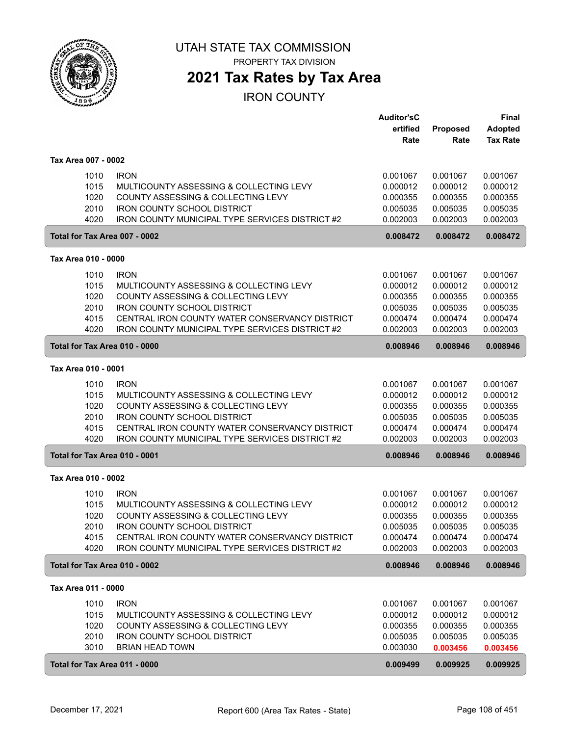

### **2021 Tax Rates by Tax Area**

IRON COUNTY

|                               |                                                        | <b>Auditor'sC</b> |          | <b>Final</b>    |
|-------------------------------|--------------------------------------------------------|-------------------|----------|-----------------|
|                               |                                                        | ertified          | Proposed | <b>Adopted</b>  |
|                               |                                                        | Rate              | Rate     | <b>Tax Rate</b> |
| Tax Area 007 - 0002           |                                                        |                   |          |                 |
| 1010                          | <b>IRON</b>                                            | 0.001067          | 0.001067 | 0.001067        |
| 1015                          | MULTICOUNTY ASSESSING & COLLECTING LEVY                | 0.000012          | 0.000012 | 0.000012        |
| 1020                          | COUNTY ASSESSING & COLLECTING LEVY                     | 0.000355          | 0.000355 | 0.000355        |
| 2010                          | <b>IRON COUNTY SCHOOL DISTRICT</b>                     | 0.005035          | 0.005035 | 0.005035        |
| 4020                          | IRON COUNTY MUNICIPAL TYPE SERVICES DISTRICT #2        | 0.002003          | 0.002003 | 0.002003        |
| Total for Tax Area 007 - 0002 |                                                        | 0.008472          | 0.008472 | 0.008472        |
| Tax Area 010 - 0000           |                                                        |                   |          |                 |
| 1010                          | <b>IRON</b>                                            | 0.001067          | 0.001067 | 0.001067        |
| 1015                          | MULTICOUNTY ASSESSING & COLLECTING LEVY                | 0.000012          | 0.000012 | 0.000012        |
| 1020                          | COUNTY ASSESSING & COLLECTING LEVY                     | 0.000355          | 0.000355 | 0.000355        |
| 2010                          | <b>IRON COUNTY SCHOOL DISTRICT</b>                     | 0.005035          | 0.005035 | 0.005035        |
| 4015                          | CENTRAL IRON COUNTY WATER CONSERVANCY DISTRICT         | 0.000474          | 0.000474 | 0.000474        |
| 4020                          | <b>IRON COUNTY MUNICIPAL TYPE SERVICES DISTRICT #2</b> | 0.002003          | 0.002003 | 0.002003        |
| Total for Tax Area 010 - 0000 |                                                        | 0.008946          | 0.008946 | 0.008946        |
| Tax Area 010 - 0001           |                                                        |                   |          |                 |
| 1010                          | <b>IRON</b>                                            | 0.001067          | 0.001067 | 0.001067        |
| 1015                          | MULTICOUNTY ASSESSING & COLLECTING LEVY                | 0.000012          | 0.000012 | 0.000012        |
| 1020                          | COUNTY ASSESSING & COLLECTING LEVY                     | 0.000355          | 0.000355 | 0.000355        |
| 2010                          | <b>IRON COUNTY SCHOOL DISTRICT</b>                     | 0.005035          | 0.005035 | 0.005035        |
| 4015                          | CENTRAL IRON COUNTY WATER CONSERVANCY DISTRICT         | 0.000474          | 0.000474 | 0.000474        |
| 4020                          | IRON COUNTY MUNICIPAL TYPE SERVICES DISTRICT #2        | 0.002003          | 0.002003 | 0.002003        |
| Total for Tax Area 010 - 0001 |                                                        | 0.008946          | 0.008946 | 0.008946        |
| Tax Area 010 - 0002           |                                                        |                   |          |                 |
| 1010                          | <b>IRON</b>                                            | 0.001067          | 0.001067 | 0.001067        |
| 1015                          | MULTICOUNTY ASSESSING & COLLECTING LEVY                | 0.000012          | 0.000012 | 0.000012        |
| 1020                          | COUNTY ASSESSING & COLLECTING LEVY                     | 0.000355          | 0.000355 | 0.000355        |
| 2010                          | <b>IRON COUNTY SCHOOL DISTRICT</b>                     | 0.005035          | 0.005035 | 0.005035        |
| 4015                          | CENTRAL IRON COUNTY WATER CONSERVANCY DISTRICT         | 0.000474          | 0.000474 | 0.000474        |
| 4020                          | IRON COUNTY MUNICIPAL TYPE SERVICES DISTRICT #2        | 0.002003          | 0.002003 | 0.002003        |
| Total for Tax Area 010 - 0002 |                                                        | 0.008946          | 0.008946 | 0.008946        |
| Tax Area 011 - 0000           |                                                        |                   |          |                 |
| 1010                          | <b>IRON</b>                                            | 0.001067          | 0.001067 | 0.001067        |
| 1015                          | MULTICOUNTY ASSESSING & COLLECTING LEVY                | 0.000012          | 0.000012 | 0.000012        |
| 1020                          | COUNTY ASSESSING & COLLECTING LEVY                     | 0.000355          | 0.000355 | 0.000355        |
| 2010                          | <b>IRON COUNTY SCHOOL DISTRICT</b>                     | 0.005035          | 0.005035 | 0.005035        |
| 3010                          | <b>BRIAN HEAD TOWN</b>                                 | 0.003030          | 0.003456 | 0.003456        |
| Total for Tax Area 011 - 0000 |                                                        | 0.009499          | 0.009925 | 0.009925        |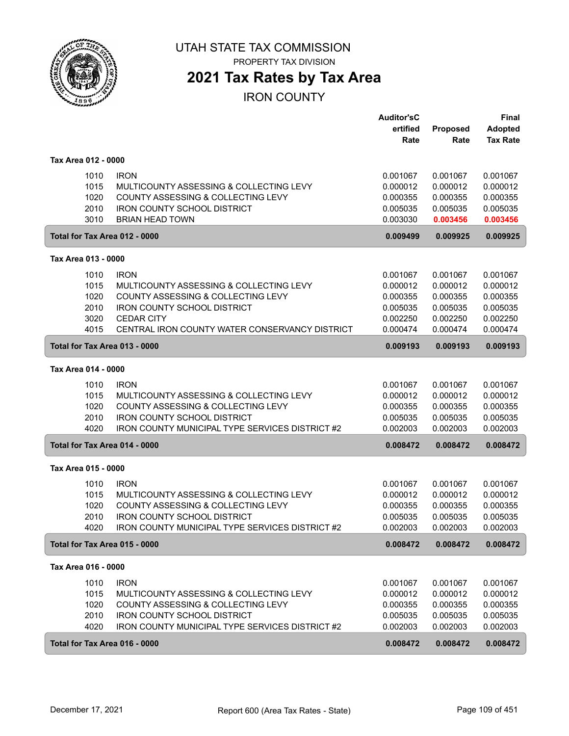

PROPERTY TAX DIVISION

## **2021 Tax Rates by Tax Area**

|                               |                                                 | <b>Auditor'sC</b> |          | <b>Final</b>    |
|-------------------------------|-------------------------------------------------|-------------------|----------|-----------------|
|                               |                                                 | ertified          | Proposed | <b>Adopted</b>  |
|                               |                                                 | Rate              | Rate     | <b>Tax Rate</b> |
| Tax Area 012 - 0000           |                                                 |                   |          |                 |
| 1010                          | <b>IRON</b>                                     | 0.001067          | 0.001067 | 0.001067        |
| 1015                          | MULTICOUNTY ASSESSING & COLLECTING LEVY         | 0.000012          | 0.000012 | 0.000012        |
| 1020                          | COUNTY ASSESSING & COLLECTING LEVY              | 0.000355          | 0.000355 | 0.000355        |
| 2010                          | <b>IRON COUNTY SCHOOL DISTRICT</b>              | 0.005035          | 0.005035 | 0.005035        |
| 3010                          | <b>BRIAN HEAD TOWN</b>                          | 0.003030          | 0.003456 | 0.003456        |
| Total for Tax Area 012 - 0000 |                                                 | 0.009499          | 0.009925 | 0.009925        |
| Tax Area 013 - 0000           |                                                 |                   |          |                 |
| 1010                          | <b>IRON</b>                                     | 0.001067          | 0.001067 | 0.001067        |
| 1015                          | MULTICOUNTY ASSESSING & COLLECTING LEVY         | 0.000012          | 0.000012 | 0.000012        |
| 1020                          | COUNTY ASSESSING & COLLECTING LEVY              | 0.000355          | 0.000355 | 0.000355        |
| 2010                          | <b>IRON COUNTY SCHOOL DISTRICT</b>              | 0.005035          | 0.005035 | 0.005035        |
| 3020                          | <b>CEDAR CITY</b>                               | 0.002250          | 0.002250 | 0.002250        |
| 4015                          | CENTRAL IRON COUNTY WATER CONSERVANCY DISTRICT  | 0.000474          | 0.000474 | 0.000474        |
| Total for Tax Area 013 - 0000 |                                                 | 0.009193          | 0.009193 | 0.009193        |
| Tax Area 014 - 0000           |                                                 |                   |          |                 |
| 1010                          | <b>IRON</b>                                     | 0.001067          | 0.001067 | 0.001067        |
| 1015                          | MULTICOUNTY ASSESSING & COLLECTING LEVY         | 0.000012          | 0.000012 | 0.000012        |
| 1020                          | COUNTY ASSESSING & COLLECTING LEVY              | 0.000355          | 0.000355 | 0.000355        |
| 2010                          | <b>IRON COUNTY SCHOOL DISTRICT</b>              | 0.005035          | 0.005035 | 0.005035        |
| 4020                          | IRON COUNTY MUNICIPAL TYPE SERVICES DISTRICT #2 | 0.002003          | 0.002003 | 0.002003        |
| Total for Tax Area 014 - 0000 |                                                 | 0.008472          | 0.008472 | 0.008472        |
| Tax Area 015 - 0000           |                                                 |                   |          |                 |
| 1010                          | <b>IRON</b>                                     | 0.001067          | 0.001067 | 0.001067        |
| 1015                          | MULTICOUNTY ASSESSING & COLLECTING LEVY         | 0.000012          | 0.000012 | 0.000012        |
| 1020                          | COUNTY ASSESSING & COLLECTING LEVY              | 0.000355          | 0.000355 | 0.000355        |
| 2010                          | <b>IRON COUNTY SCHOOL DISTRICT</b>              | 0.005035          | 0.005035 | 0.005035        |
| 4020                          | IRON COUNTY MUNICIPAL TYPE SERVICES DISTRICT #2 | 0.002003          | 0.002003 | 0.002003        |
| Total for Tax Area 015 - 0000 |                                                 | 0.008472          | 0.008472 | 0.008472        |
| Tax Area 016 - 0000           |                                                 |                   |          |                 |
| 1010                          | <b>IRON</b>                                     | 0.001067          | 0.001067 | 0.001067        |
| 1015                          | MULTICOUNTY ASSESSING & COLLECTING LEVY         | 0.000012          | 0.000012 | 0.000012        |
| 1020                          | COUNTY ASSESSING & COLLECTING LEVY              | 0.000355          | 0.000355 | 0.000355        |
| 2010                          | <b>IRON COUNTY SCHOOL DISTRICT</b>              | 0.005035          | 0.005035 | 0.005035        |
| 4020                          | IRON COUNTY MUNICIPAL TYPE SERVICES DISTRICT #2 | 0.002003          | 0.002003 | 0.002003        |
| Total for Tax Area 016 - 0000 |                                                 | 0.008472          | 0.008472 | 0.008472        |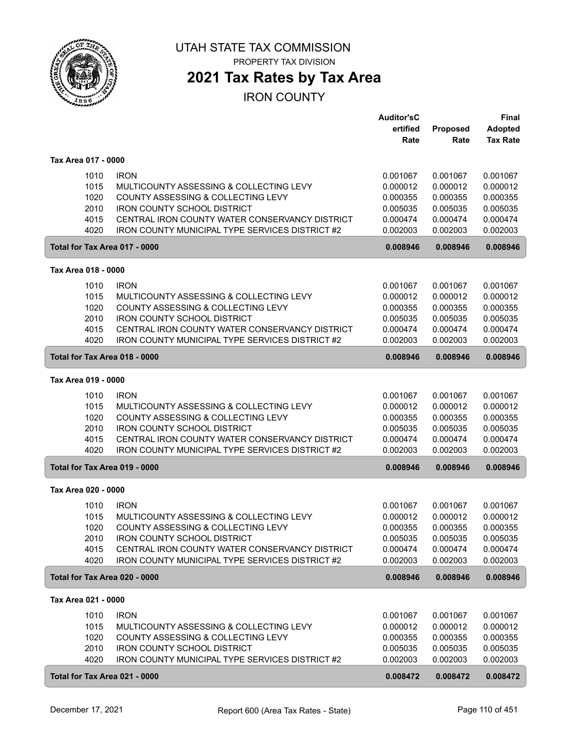

## **2021 Tax Rates by Tax Area**

|                               |                                                                          | <b>Auditor'sC</b>    |                      | <b>Final</b>         |
|-------------------------------|--------------------------------------------------------------------------|----------------------|----------------------|----------------------|
|                               |                                                                          | ertified             | Proposed             | <b>Adopted</b>       |
|                               |                                                                          | Rate                 | Rate                 | <b>Tax Rate</b>      |
| Tax Area 017 - 0000           |                                                                          |                      |                      |                      |
| 1010                          | <b>IRON</b>                                                              | 0.001067             | 0.001067             | 0.001067             |
| 1015                          | MULTICOUNTY ASSESSING & COLLECTING LEVY                                  | 0.000012             | 0.000012             | 0.000012             |
| 1020                          | COUNTY ASSESSING & COLLECTING LEVY                                       | 0.000355             | 0.000355             | 0.000355             |
| 2010                          | <b>IRON COUNTY SCHOOL DISTRICT</b>                                       | 0.005035             | 0.005035             | 0.005035             |
| 4015                          | CENTRAL IRON COUNTY WATER CONSERVANCY DISTRICT                           | 0.000474             | 0.000474             | 0.000474             |
| 4020                          | <b>IRON COUNTY MUNICIPAL TYPE SERVICES DISTRICT #2</b>                   | 0.002003             | 0.002003             | 0.002003             |
| Total for Tax Area 017 - 0000 |                                                                          | 0.008946             | 0.008946             | 0.008946             |
| Tax Area 018 - 0000           |                                                                          |                      |                      |                      |
| 1010                          | <b>IRON</b>                                                              | 0.001067             | 0.001067             | 0.001067             |
| 1015                          | MULTICOUNTY ASSESSING & COLLECTING LEVY                                  | 0.000012             | 0.000012             | 0.000012             |
| 1020                          | COUNTY ASSESSING & COLLECTING LEVY                                       | 0.000355             | 0.000355             | 0.000355             |
| 2010                          | <b>IRON COUNTY SCHOOL DISTRICT</b>                                       | 0.005035             | 0.005035             | 0.005035             |
| 4015                          | CENTRAL IRON COUNTY WATER CONSERVANCY DISTRICT                           | 0.000474             | 0.000474             | 0.000474             |
| 4020                          | IRON COUNTY MUNICIPAL TYPE SERVICES DISTRICT #2                          | 0.002003             | 0.002003             | 0.002003             |
| Total for Tax Area 018 - 0000 |                                                                          | 0.008946             | 0.008946             | 0.008946             |
| Tax Area 019 - 0000           |                                                                          |                      |                      |                      |
| 1010                          | <b>IRON</b>                                                              | 0.001067             | 0.001067             | 0.001067             |
| 1015                          | MULTICOUNTY ASSESSING & COLLECTING LEVY                                  | 0.000012             | 0.000012             | 0.000012             |
| 1020                          | COUNTY ASSESSING & COLLECTING LEVY                                       | 0.000355             | 0.000355             | 0.000355             |
| 2010                          | <b>IRON COUNTY SCHOOL DISTRICT</b>                                       | 0.005035             | 0.005035             | 0.005035             |
| 4015                          | CENTRAL IRON COUNTY WATER CONSERVANCY DISTRICT                           | 0.000474             | 0.000474             | 0.000474             |
| 4020                          | IRON COUNTY MUNICIPAL TYPE SERVICES DISTRICT #2                          | 0.002003             | 0.002003             | 0.002003             |
| Total for Tax Area 019 - 0000 |                                                                          | 0.008946             | 0.008946             | 0.008946             |
| Tax Area 020 - 0000           |                                                                          |                      |                      |                      |
|                               |                                                                          |                      |                      |                      |
| 1010                          | <b>IRON</b>                                                              | 0.001067             | 0.001067             | 0.001067             |
| 1015                          | MULTICOUNTY ASSESSING & COLLECTING LEVY                                  | 0.000012             | 0.000012             | 0.000012             |
| 1020                          | COUNTY ASSESSING & COLLECTING LEVY<br><b>IRON COUNTY SCHOOL DISTRICT</b> | 0.000355             | 0.000355<br>0.005035 | 0.000355<br>0.005035 |
| 2010<br>4015                  | CENTRAL IRON COUNTY WATER CONSERVANCY DISTRICT                           | 0.005035<br>0.000474 | 0.000474             | 0.000474             |
| 4020                          | IRON COUNTY MUNICIPAL TYPE SERVICES DISTRICT #2                          | 0.002003             | 0.002003             | 0.002003             |
| Total for Tax Area 020 - 0000 |                                                                          | 0.008946             | 0.008946             | 0.008946             |
| Tax Area 021 - 0000           |                                                                          |                      |                      |                      |
|                               |                                                                          |                      |                      |                      |
| 1010                          | <b>IRON</b>                                                              | 0.001067             | 0.001067             | 0.001067             |
| 1015                          | MULTICOUNTY ASSESSING & COLLECTING LEVY                                  | 0.000012             | 0.000012             | 0.000012             |
| 1020                          | COUNTY ASSESSING & COLLECTING LEVY                                       | 0.000355             | 0.000355             | 0.000355             |
| 2010                          | <b>IRON COUNTY SCHOOL DISTRICT</b>                                       | 0.005035             | 0.005035             | 0.005035             |
| 4020                          | IRON COUNTY MUNICIPAL TYPE SERVICES DISTRICT #2                          | 0.002003             | 0.002003             | 0.002003             |
| Total for Tax Area 021 - 0000 |                                                                          | 0.008472             | 0.008472             | 0.008472             |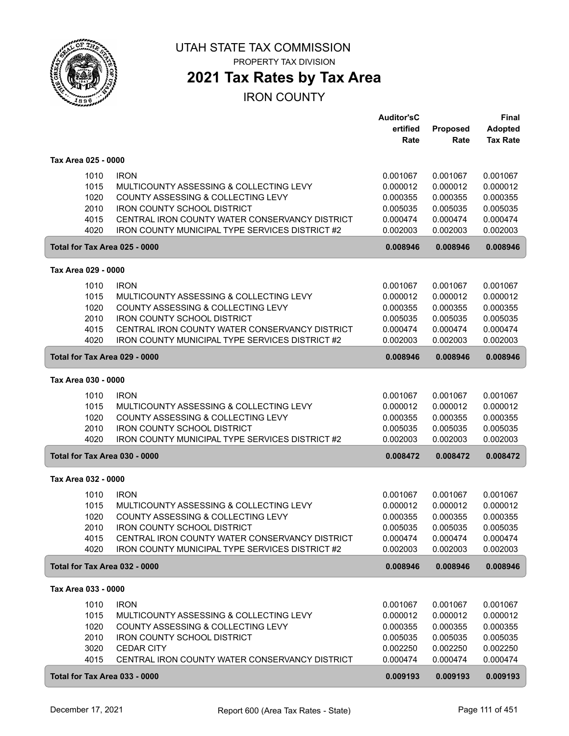

## **2021 Tax Rates by Tax Area**

|                               |                                                        | <b>Auditor'sC</b> |          | <b>Final</b>    |
|-------------------------------|--------------------------------------------------------|-------------------|----------|-----------------|
|                               |                                                        | ertified          | Proposed | <b>Adopted</b>  |
|                               |                                                        | Rate              | Rate     | <b>Tax Rate</b> |
| Tax Area 025 - 0000           |                                                        |                   |          |                 |
| 1010                          | <b>IRON</b>                                            | 0.001067          | 0.001067 | 0.001067        |
| 1015                          | MULTICOUNTY ASSESSING & COLLECTING LEVY                | 0.000012          | 0.000012 | 0.000012        |
| 1020                          | COUNTY ASSESSING & COLLECTING LEVY                     | 0.000355          | 0.000355 | 0.000355        |
| 2010                          | <b>IRON COUNTY SCHOOL DISTRICT</b>                     | 0.005035          | 0.005035 | 0.005035        |
|                               | CENTRAL IRON COUNTY WATER CONSERVANCY DISTRICT         |                   |          | 0.000474        |
| 4015                          |                                                        | 0.000474          | 0.000474 |                 |
| 4020                          | <b>IRON COUNTY MUNICIPAL TYPE SERVICES DISTRICT #2</b> | 0.002003          | 0.002003 | 0.002003        |
| Total for Tax Area 025 - 0000 |                                                        | 0.008946          | 0.008946 | 0.008946        |
| Tax Area 029 - 0000           |                                                        |                   |          |                 |
| 1010                          | <b>IRON</b>                                            | 0.001067          | 0.001067 | 0.001067        |
| 1015                          | MULTICOUNTY ASSESSING & COLLECTING LEVY                | 0.000012          | 0.000012 | 0.000012        |
| 1020                          | COUNTY ASSESSING & COLLECTING LEVY                     | 0.000355          | 0.000355 | 0.000355        |
| 2010                          | <b>IRON COUNTY SCHOOL DISTRICT</b>                     | 0.005035          | 0.005035 | 0.005035        |
| 4015                          | CENTRAL IRON COUNTY WATER CONSERVANCY DISTRICT         | 0.000474          | 0.000474 | 0.000474        |
| 4020                          | IRON COUNTY MUNICIPAL TYPE SERVICES DISTRICT #2        | 0.002003          | 0.002003 | 0.002003        |
| Total for Tax Area 029 - 0000 |                                                        | 0.008946          | 0.008946 | 0.008946        |
|                               |                                                        |                   |          |                 |
| Tax Area 030 - 0000           |                                                        |                   |          |                 |
| 1010                          | <b>IRON</b>                                            | 0.001067          | 0.001067 | 0.001067        |
| 1015                          | MULTICOUNTY ASSESSING & COLLECTING LEVY                | 0.000012          | 0.000012 | 0.000012        |
| 1020                          | COUNTY ASSESSING & COLLECTING LEVY                     | 0.000355          | 0.000355 | 0.000355        |
| 2010                          | <b>IRON COUNTY SCHOOL DISTRICT</b>                     | 0.005035          | 0.005035 | 0.005035        |
| 4020                          | IRON COUNTY MUNICIPAL TYPE SERVICES DISTRICT #2        | 0.002003          | 0.002003 | 0.002003        |
| Total for Tax Area 030 - 0000 |                                                        | 0.008472          | 0.008472 | 0.008472        |
|                               |                                                        |                   |          |                 |
| Tax Area 032 - 0000           |                                                        |                   |          |                 |
| 1010                          | <b>IRON</b>                                            | 0.001067          | 0.001067 | 0.001067        |
| 1015                          | MULTICOUNTY ASSESSING & COLLECTING LEVY                | 0.000012          | 0.000012 | 0.000012        |
| 1020                          | COUNTY ASSESSING & COLLECTING LEVY                     | 0.000355          | 0.000355 | 0.000355        |
| 2010                          | <b>IRON COUNTY SCHOOL DISTRICT</b>                     | 0.005035          | 0.005035 | 0.005035        |
| 4015                          | CENTRAL IRON COUNTY WATER CONSERVANCY DISTRICT         | 0.000474          | 0.000474 | 0.000474        |
| 4020                          | <b>IRON COUNTY MUNICIPAL TYPE SERVICES DISTRICT #2</b> | 0.002003          | 0.002003 | 0.002003        |
| Total for Tax Area 032 - 0000 |                                                        | 0.008946          | 0.008946 | 0.008946        |
| Tax Area 033 - 0000           |                                                        |                   |          |                 |
| 1010                          | <b>IRON</b>                                            | 0.001067          | 0.001067 | 0.001067        |
| 1015                          | MULTICOUNTY ASSESSING & COLLECTING LEVY                | 0.000012          | 0.000012 | 0.000012        |
|                               |                                                        |                   |          |                 |
| 1020                          | COUNTY ASSESSING & COLLECTING LEVY                     | 0.000355          | 0.000355 | 0.000355        |
| 2010                          | <b>IRON COUNTY SCHOOL DISTRICT</b>                     | 0.005035          | 0.005035 | 0.005035        |
| 3020                          | <b>CEDAR CITY</b>                                      | 0.002250          | 0.002250 | 0.002250        |
| 4015                          | CENTRAL IRON COUNTY WATER CONSERVANCY DISTRICT         | 0.000474          | 0.000474 | 0.000474        |
| Total for Tax Area 033 - 0000 |                                                        | 0.009193          | 0.009193 | 0.009193        |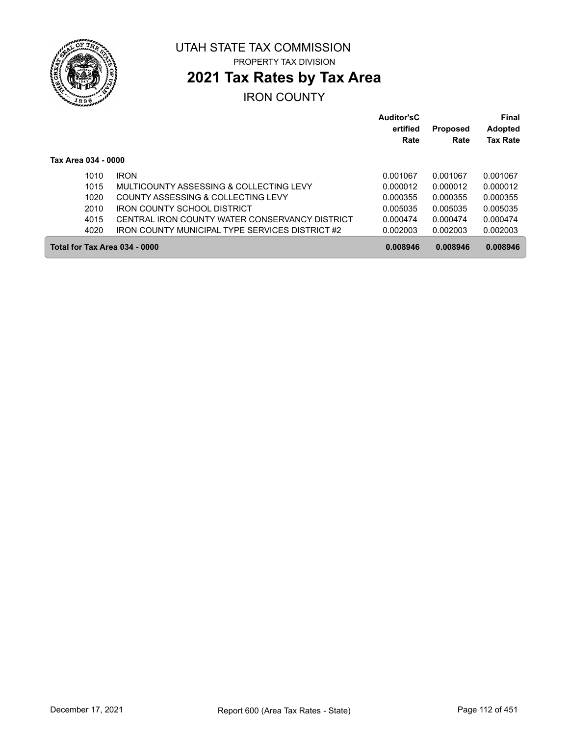

# **2021 Tax Rates by Tax Area**

|                     |                                                        | <b>Auditor'sC</b><br>ertified<br>Rate | <b>Proposed</b><br>Rate | Final<br><b>Adopted</b><br><b>Tax Rate</b> |
|---------------------|--------------------------------------------------------|---------------------------------------|-------------------------|--------------------------------------------|
| Tax Area 034 - 0000 |                                                        |                                       |                         |                                            |
| 1010                | <b>IRON</b>                                            | 0.001067                              | 0.001067                | 0.001067                                   |
| 1015                | MULTICOUNTY ASSESSING & COLLECTING LEVY                | 0.000012                              | 0.000012                | 0.000012                                   |
| 1020                | COUNTY ASSESSING & COLLECTING LEVY                     | 0.000355                              | 0.000355                | 0.000355                                   |
| 2010                | IRON COUNTY SCHOOL DISTRICT                            | 0.005035                              | 0.005035                | 0.005035                                   |
| 4015                | CENTRAL IRON COUNTY WATER CONSERVANCY DISTRICT         | 0.000474                              | 0.000474                | 0.000474                                   |
| 4020                | <b>IRON COUNTY MUNICIPAL TYPE SERVICES DISTRICT #2</b> | 0.002003                              | 0.002003                | 0.002003                                   |
|                     | Total for Tax Area 034 - 0000                          | 0.008946                              | 0.008946                | 0.008946                                   |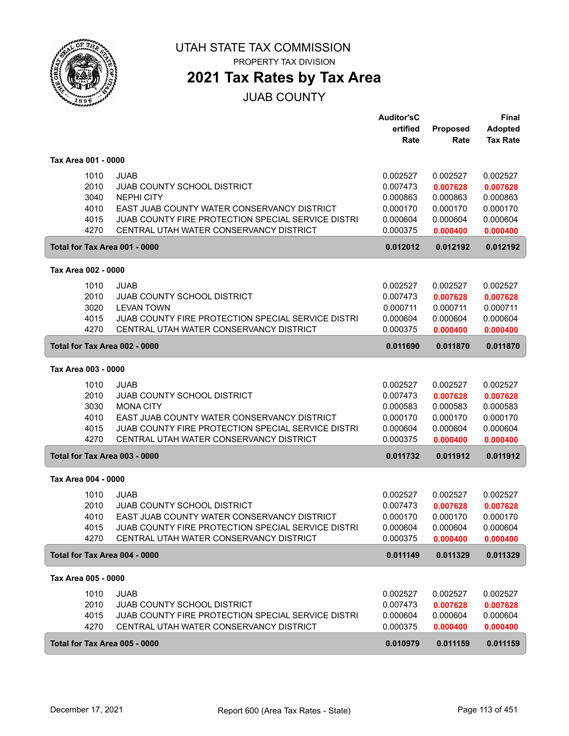

PROPERTY TAX DIVISION

## **2021 Tax Rates by Tax Area**

JUAB COUNTY

|                               |                                                    | <b>Auditor'sC</b> |                      | Final           |
|-------------------------------|----------------------------------------------------|-------------------|----------------------|-----------------|
|                               |                                                    | ertified          | Proposed             | <b>Adopted</b>  |
|                               |                                                    | Rate              | Rate                 | <b>Tax Rate</b> |
|                               |                                                    |                   |                      |                 |
| Tax Area 001 - 0000           |                                                    |                   |                      |                 |
| 1010                          | JUAB                                               | 0.002527          | 0.002527             | 0.002527        |
| 2010                          | <b>JUAB COUNTY SCHOOL DISTRICT</b>                 | 0.007473          | 0.007628             | 0.007628        |
| 3040                          | <b>NEPHI CITY</b>                                  | 0.000863          | 0.000863             | 0.000863        |
| 4010                          | EAST JUAB COUNTY WATER CONSERVANCY DISTRICT        | 0.000170          | 0.000170             | 0.000170        |
| 4015                          | JUAB COUNTY FIRE PROTECTION SPECIAL SERVICE DISTRI | 0.000604          | 0.000604             | 0.000604        |
| 4270                          | CENTRAL UTAH WATER CONSERVANCY DISTRICT            | 0.000375          | 0.000400             | 0.000400        |
| Total for Tax Area 001 - 0000 |                                                    | 0.012012          | 0.012192             | 0.012192        |
|                               |                                                    |                   |                      |                 |
| Tax Area 002 - 0000           |                                                    |                   |                      |                 |
| 1010                          | <b>JUAB</b>                                        | 0.002527          | 0.002527             | 0.002527        |
| 2010                          | JUAB COUNTY SCHOOL DISTRICT                        | 0.007473          | 0.007628             | 0.007628        |
| 3020                          | <b>LEVAN TOWN</b>                                  | 0.000711          | 0.000711             | 0.000711        |
| 4015                          | JUAB COUNTY FIRE PROTECTION SPECIAL SERVICE DISTRI | 0.000604          | 0.000604             | 0.000604        |
| 4270                          | CENTRAL UTAH WATER CONSERVANCY DISTRICT            | 0.000375          | 0.000400             | 0.000400        |
| Total for Tax Area 002 - 0000 |                                                    | 0.011690          | 0.011870             | 0.011870        |
|                               |                                                    |                   |                      |                 |
| Tax Area 003 - 0000           |                                                    |                   |                      |                 |
| 1010                          | <b>JUAB</b>                                        | 0.002527          | 0.002527             | 0.002527        |
| 2010                          | JUAB COUNTY SCHOOL DISTRICT                        | 0.007473          | 0.007628             | 0.007628        |
| 3030                          | <b>MONA CITY</b>                                   | 0.000583          | 0.000583             | 0.000583        |
| 4010                          | EAST JUAB COUNTY WATER CONSERVANCY DISTRICT        | 0.000170          | 0.000170             | 0.000170        |
| 4015                          | JUAB COUNTY FIRE PROTECTION SPECIAL SERVICE DISTRI | 0.000604          | 0.000604             | 0.000604        |
| 4270                          | CENTRAL UTAH WATER CONSERVANCY DISTRICT            | 0.000375          | 0.000400             | 0.000400        |
|                               |                                                    |                   |                      |                 |
| Total for Tax Area 003 - 0000 |                                                    | 0.011732          | 0.011912             | 0.011912        |
| Tax Area 004 - 0000           |                                                    |                   |                      |                 |
| 1010                          | JUAB                                               | 0.002527          | 0.002527             | 0.002527        |
| 2010                          | <b>JUAB COUNTY SCHOOL DISTRICT</b>                 | 0.007473          |                      |                 |
|                               |                                                    | 0.000170          | 0.007628             | 0.007628        |
| 4010                          | EAST JUAB COUNTY WATER CONSERVANCY DISTRICT        |                   | 0.000170             | 0.000170        |
| 4015                          | JUAB COUNTY FIRE PROTECTION SPECIAL SERVICE DISTRI | 0.000604          | 0.000604             | 0.000604        |
| 4270                          | CENTRAL UTAH WATER CONSERVANCY DISTRICT            | 0.000375          | 0.000400             | 0.000400        |
| Total for Tax Area 004 - 0000 |                                                    | 0.011149          | 0.011329             | 0.011329        |
| Tax Area 005 - 0000           |                                                    |                   |                      |                 |
| 1010                          | <b>JUAB</b>                                        | 0.002527          | 0.002527             | 0.002527        |
| 2010                          | <b>JUAB COUNTY SCHOOL DISTRICT</b>                 | 0.007473          |                      |                 |
| 4015                          | JUAB COUNTY FIRE PROTECTION SPECIAL SERVICE DISTRI |                   | 0.007628<br>0.000604 | 0.007628        |
|                               |                                                    | 0.000604          |                      | 0.000604        |
| 4270                          | CENTRAL UTAH WATER CONSERVANCY DISTRICT            | 0.000375          | 0.000400             | 0.000400        |
| Total for Tax Area 005 - 0000 |                                                    | 0.010979          | 0.011159             | 0.011159        |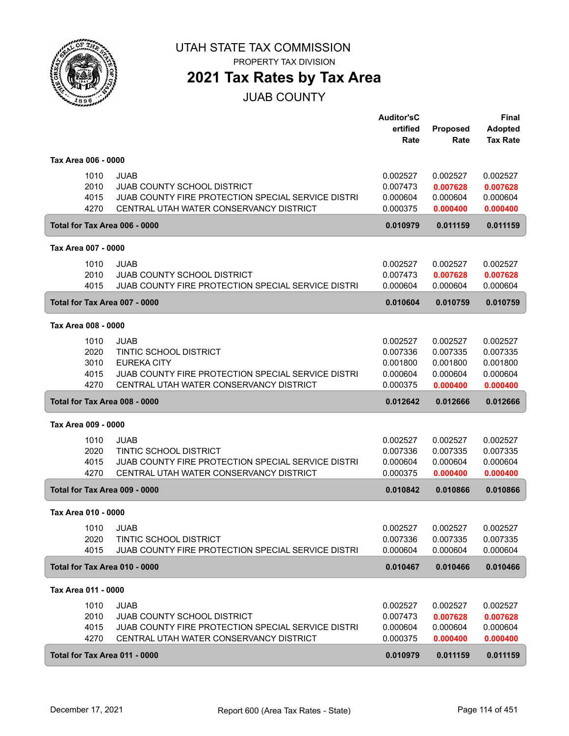

**2021 Tax Rates by Tax Area**

JUAB COUNTY

|                     |                                                    | <b>Auditor'sC</b> |                 | <b>Final</b>    |
|---------------------|----------------------------------------------------|-------------------|-----------------|-----------------|
|                     |                                                    | ertified          | <b>Proposed</b> | <b>Adopted</b>  |
|                     |                                                    | Rate              | Rate            | <b>Tax Rate</b> |
| Tax Area 006 - 0000 |                                                    |                   |                 |                 |
| 1010                | <b>JUAB</b>                                        | 0.002527          | 0.002527        | 0.002527        |
| 2010                | JUAB COUNTY SCHOOL DISTRICT                        | 0.007473          | 0.007628        | 0.007628        |
| 4015                | JUAB COUNTY FIRE PROTECTION SPECIAL SERVICE DISTRI | 0.000604          | 0.000604        | 0.000604        |
| 4270                | CENTRAL UTAH WATER CONSERVANCY DISTRICT            | 0.000375          | 0.000400        | 0.000400        |
|                     | Total for Tax Area 006 - 0000                      | 0.010979          | 0.011159        | 0.011159        |
| Tax Area 007 - 0000 |                                                    |                   |                 |                 |
| 1010                | <b>JUAB</b>                                        | 0.002527          | 0.002527        | 0.002527        |
| 2010                | <b>JUAB COUNTY SCHOOL DISTRICT</b>                 | 0.007473          | 0.007628        | 0.007628        |
| 4015                | JUAB COUNTY FIRE PROTECTION SPECIAL SERVICE DISTRI | 0.000604          | 0.000604        | 0.000604        |
|                     | Total for Tax Area 007 - 0000                      | 0.010604          | 0.010759        | 0.010759        |
| Tax Area 008 - 0000 |                                                    |                   |                 |                 |
| 1010                | <b>JUAB</b>                                        | 0.002527          | 0.002527        | 0.002527        |
| 2020                | TINTIC SCHOOL DISTRICT                             | 0.007336          | 0.007335        | 0.007335        |
| 3010                | <b>EUREKA CITY</b>                                 | 0.001800          | 0.001800        | 0.001800        |
| 4015                | JUAB COUNTY FIRE PROTECTION SPECIAL SERVICE DISTRI | 0.000604          | 0.000604        | 0.000604        |
| 4270                | CENTRAL UTAH WATER CONSERVANCY DISTRICT            | 0.000375          | 0.000400        | 0.000400        |
|                     | Total for Tax Area 008 - 0000                      | 0.012642          | 0.012666        | 0.012666        |
| Tax Area 009 - 0000 |                                                    |                   |                 |                 |
| 1010                | <b>JUAB</b>                                        | 0.002527          | 0.002527        | 0.002527        |
| 2020                | <b>TINTIC SCHOOL DISTRICT</b>                      | 0.007336          | 0.007335        | 0.007335        |
| 4015                | JUAB COUNTY FIRE PROTECTION SPECIAL SERVICE DISTRI | 0.000604          | 0.000604        | 0.000604        |
| 4270                | CENTRAL UTAH WATER CONSERVANCY DISTRICT            | 0.000375          | 0.000400        | 0.000400        |
|                     | Total for Tax Area 009 - 0000                      | 0.010842          | 0.010866        | 0.010866        |
| Tax Area 010 - 0000 |                                                    |                   |                 |                 |
|                     | 1010 JUAB                                          | 0.002527          | 0.002527        | 0.002527        |
| 2020                | TINTIC SCHOOL DISTRICT                             | 0.007336          | 0.007335        | 0.007335        |
| 4015                | JUAB COUNTY FIRE PROTECTION SPECIAL SERVICE DISTRI | 0.000604          | 0.000604        | 0.000604        |
|                     | Total for Tax Area 010 - 0000                      | 0.010467          | 0.010466        | 0.010466        |
| Tax Area 011 - 0000 |                                                    |                   |                 |                 |
| 1010                | <b>JUAB</b>                                        | 0.002527          | 0.002527        | 0.002527        |
| 2010                | <b>JUAB COUNTY SCHOOL DISTRICT</b>                 | 0.007473          | 0.007628        | 0.007628        |
| 4015                | JUAB COUNTY FIRE PROTECTION SPECIAL SERVICE DISTRI | 0.000604          | 0.000604        | 0.000604        |
| 4270                | CENTRAL UTAH WATER CONSERVANCY DISTRICT            | 0.000375          | 0.000400        | 0.000400        |
|                     | Total for Tax Area 011 - 0000                      | 0.010979          | 0.011159        | 0.011159        |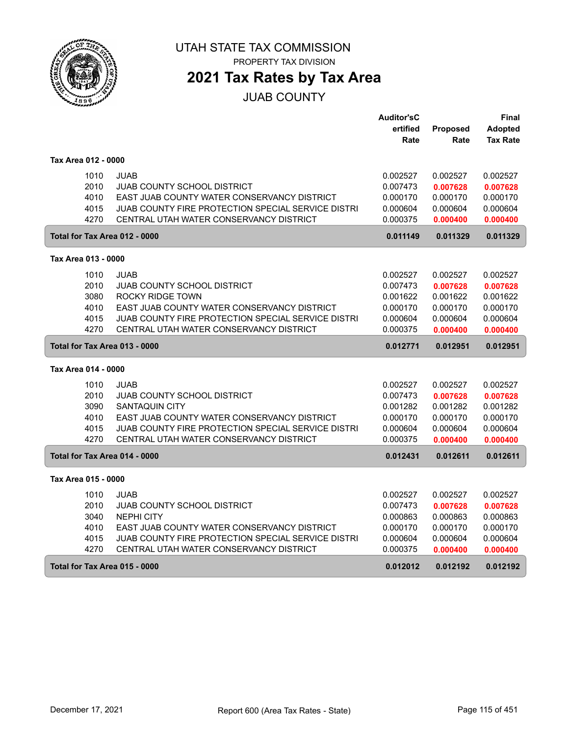

**2021 Tax Rates by Tax Area**

JUAB COUNTY

|                     |                                                    | <b>Auditor'sC</b> |          | Final           |
|---------------------|----------------------------------------------------|-------------------|----------|-----------------|
|                     |                                                    | ertified          | Proposed | <b>Adopted</b>  |
|                     |                                                    | Rate              | Rate     | <b>Tax Rate</b> |
| Tax Area 012 - 0000 |                                                    |                   |          |                 |
| 1010                | <b>JUAB</b>                                        | 0.002527          | 0.002527 | 0.002527        |
| 2010                | <b>JUAB COUNTY SCHOOL DISTRICT</b>                 | 0.007473          | 0.007628 | 0.007628        |
| 4010                | EAST JUAB COUNTY WATER CONSERVANCY DISTRICT        | 0.000170          | 0.000170 | 0.000170        |
| 4015                | JUAB COUNTY FIRE PROTECTION SPECIAL SERVICE DISTRI | 0.000604          | 0.000604 | 0.000604        |
| 4270                | CENTRAL UTAH WATER CONSERVANCY DISTRICT            | 0.000375          | 0.000400 | 0.000400        |
|                     | Total for Tax Area 012 - 0000                      | 0.011149          | 0.011329 | 0.011329        |
| Tax Area 013 - 0000 |                                                    |                   |          |                 |
| 1010                | <b>JUAB</b>                                        | 0.002527          | 0.002527 | 0.002527        |
| 2010                | <b>JUAB COUNTY SCHOOL DISTRICT</b>                 | 0.007473          | 0.007628 | 0.007628        |
| 3080                | <b>ROCKY RIDGE TOWN</b>                            | 0.001622          | 0.001622 | 0.001622        |
| 4010                | EAST JUAB COUNTY WATER CONSERVANCY DISTRICT        | 0.000170          | 0.000170 | 0.000170        |
| 4015                | JUAB COUNTY FIRE PROTECTION SPECIAL SERVICE DISTRI | 0.000604          | 0.000604 | 0.000604        |
| 4270                | CENTRAL UTAH WATER CONSERVANCY DISTRICT            | 0.000375          | 0.000400 | 0.000400        |
|                     | Total for Tax Area 013 - 0000                      | 0.012771          | 0.012951 | 0.012951        |
| Tax Area 014 - 0000 |                                                    |                   |          |                 |
| 1010                | <b>JUAB</b>                                        | 0.002527          | 0.002527 | 0.002527        |
| 2010                | <b>JUAB COUNTY SCHOOL DISTRICT</b>                 | 0.007473          | 0.007628 | 0.007628        |
| 3090                | <b>SANTAQUIN CITY</b>                              | 0.001282          | 0.001282 | 0.001282        |
| 4010                | EAST JUAB COUNTY WATER CONSERVANCY DISTRICT        | 0.000170          | 0.000170 | 0.000170        |
| 4015                | JUAB COUNTY FIRE PROTECTION SPECIAL SERVICE DISTRI | 0.000604          | 0.000604 | 0.000604        |
| 4270                | CENTRAL UTAH WATER CONSERVANCY DISTRICT            | 0.000375          | 0.000400 | 0.000400        |
|                     | Total for Tax Area 014 - 0000                      | 0.012431          | 0.012611 | 0.012611        |
| Tax Area 015 - 0000 |                                                    |                   |          |                 |
| 1010                | <b>JUAB</b>                                        | 0.002527          | 0.002527 | 0.002527        |
| 2010                | <b>JUAB COUNTY SCHOOL DISTRICT</b>                 | 0.007473          | 0.007628 | 0.007628        |
| 3040                | <b>NEPHI CITY</b>                                  | 0.000863          | 0.000863 | 0.000863        |
| 4010                | EAST JUAB COUNTY WATER CONSERVANCY DISTRICT        | 0.000170          | 0.000170 | 0.000170        |
| 4015                | JUAB COUNTY FIRE PROTECTION SPECIAL SERVICE DISTRI | 0.000604          | 0.000604 | 0.000604        |
| 4270                | CENTRAL UTAH WATER CONSERVANCY DISTRICT            | 0.000375          | 0.000400 | 0.000400        |
|                     | <b>Total for Tax Area 015 - 0000</b>               | 0.012012          | 0.012192 | 0.012192        |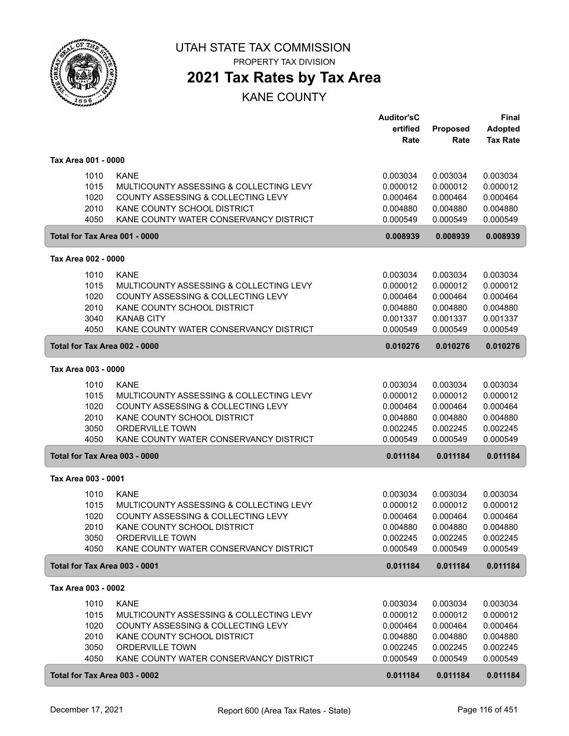

**2021 Tax Rates by Tax Area**

|                     |                                                                   | <b>Auditor'sC</b><br>ertified | Proposed             | <b>Final</b><br><b>Adopted</b> |
|---------------------|-------------------------------------------------------------------|-------------------------------|----------------------|--------------------------------|
|                     |                                                                   | Rate                          | Rate                 | <b>Tax Rate</b>                |
| Tax Area 001 - 0000 |                                                                   |                               |                      |                                |
| 1010                | <b>KANE</b>                                                       | 0.003034                      | 0.003034             | 0.003034                       |
| 1015                | MULTICOUNTY ASSESSING & COLLECTING LEVY                           | 0.000012                      | 0.000012             | 0.000012                       |
| 1020<br>2010        | COUNTY ASSESSING & COLLECTING LEVY<br>KANE COUNTY SCHOOL DISTRICT | 0.000464<br>0.004880          | 0.000464<br>0.004880 | 0.000464<br>0.004880           |
| 4050                | KANE COUNTY WATER CONSERVANCY DISTRICT                            | 0.000549                      | 0.000549             | 0.000549                       |
|                     | Total for Tax Area 001 - 0000                                     | 0.008939                      | 0.008939             | 0.008939                       |
| Tax Area 002 - 0000 |                                                                   |                               |                      |                                |
| 1010                | <b>KANE</b>                                                       | 0.003034                      | 0.003034             | 0.003034                       |
| 1015                | MULTICOUNTY ASSESSING & COLLECTING LEVY                           | 0.000012                      | 0.000012             | 0.000012                       |
| 1020                | COUNTY ASSESSING & COLLECTING LEVY                                | 0.000464                      | 0.000464             | 0.000464                       |
| 2010                | KANE COUNTY SCHOOL DISTRICT                                       | 0.004880                      | 0.004880             | 0.004880                       |
| 3040                | <b>KANAB CITY</b>                                                 | 0.001337                      | 0.001337             | 0.001337                       |
| 4050                | KANE COUNTY WATER CONSERVANCY DISTRICT                            | 0.000549                      | 0.000549             | 0.000549                       |
|                     | Total for Tax Area 002 - 0000                                     | 0.010276                      | 0.010276             | 0.010276                       |
| Tax Area 003 - 0000 |                                                                   |                               |                      |                                |
| 1010                | <b>KANE</b>                                                       | 0.003034                      | 0.003034             | 0.003034                       |
| 1015                | MULTICOUNTY ASSESSING & COLLECTING LEVY                           | 0.000012                      | 0.000012             | 0.000012                       |
| 1020                | COUNTY ASSESSING & COLLECTING LEVY                                | 0.000464                      | 0.000464             | 0.000464                       |
| 2010                | KANE COUNTY SCHOOL DISTRICT                                       | 0.004880                      | 0.004880             | 0.004880                       |
| 3050<br>4050        | <b>ORDERVILLE TOWN</b><br>KANE COUNTY WATER CONSERVANCY DISTRICT  | 0.002245<br>0.000549          | 0.002245<br>0.000549 | 0.002245<br>0.000549           |
|                     |                                                                   |                               |                      |                                |
|                     | Total for Tax Area 003 - 0000                                     | 0.011184                      | 0.011184             | 0.011184                       |
| Tax Area 003 - 0001 |                                                                   |                               |                      |                                |
| 1010                | <b>KANE</b>                                                       | 0.003034                      | 0.003034             | 0.003034                       |
| 1015                | MULTICOUNTY ASSESSING & COLLECTING LEVY                           | 0.000012                      | 0.000012             | 0.000012                       |
| 1020                | COUNTY ASSESSING & COLLECTING LEVY<br>KANE COUNTY SCHOOL DISTRICT | 0.000464                      | 0.000464             | 0.000464                       |
| 2010                | ORDERVILLE TOWN                                                   | 0.004880<br>0.002245          | 0.004880<br>0.002245 | 0.004880<br>0.002245           |
| 3050<br>4050        | KANE COUNTY WATER CONSERVANCY DISTRICT                            | 0.000549                      | 0.000549             | 0.000549                       |
|                     | Total for Tax Area 003 - 0001                                     | 0.011184                      | 0.011184             | 0.011184                       |
| Tax Area 003 - 0002 |                                                                   |                               |                      |                                |
| 1010                | <b>KANE</b>                                                       | 0.003034                      | 0.003034             | 0.003034                       |
| 1015                | MULTICOUNTY ASSESSING & COLLECTING LEVY                           | 0.000012                      | 0.000012             | 0.000012                       |
| 1020                | COUNTY ASSESSING & COLLECTING LEVY                                | 0.000464                      | 0.000464             | 0.000464                       |
| 2010                | KANE COUNTY SCHOOL DISTRICT                                       | 0.004880                      | 0.004880             | 0.004880                       |
| 3050                | ORDERVILLE TOWN                                                   | 0.002245                      | 0.002245             | 0.002245                       |
| 4050                | KANE COUNTY WATER CONSERVANCY DISTRICT                            | 0.000549                      | 0.000549             | 0.000549                       |
|                     | Total for Tax Area 003 - 0002                                     | 0.011184                      | 0.011184             | 0.011184                       |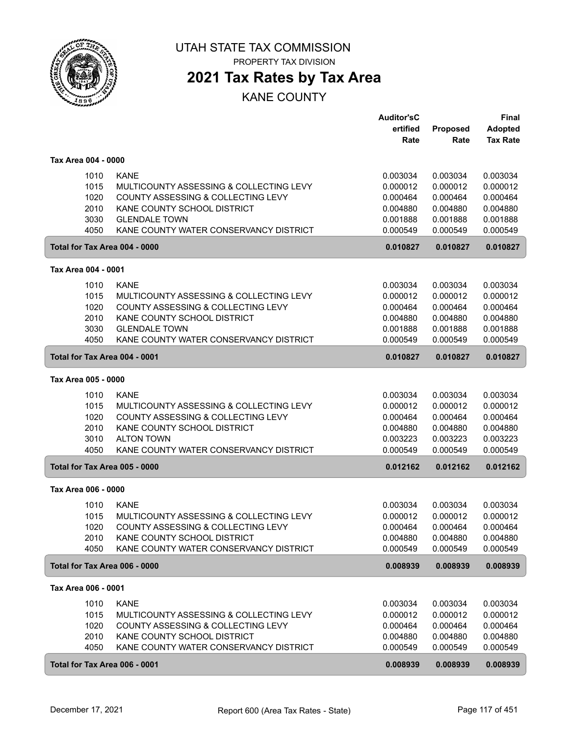

PROPERTY TAX DIVISION

## **2021 Tax Rates by Tax Area**

|                                                 | <b>Auditor'sC</b>    |                      | Final                |
|-------------------------------------------------|----------------------|----------------------|----------------------|
|                                                 | ertified             | Proposed             | <b>Adopted</b>       |
|                                                 | Rate                 | Rate                 | <b>Tax Rate</b>      |
| Tax Area 004 - 0000                             |                      |                      |                      |
| <b>KANE</b><br>1010                             | 0.003034             | 0.003034             | 0.003034             |
| 1015<br>MULTICOUNTY ASSESSING & COLLECTING LEVY | 0.000012             | 0.000012             | 0.000012             |
| 1020<br>COUNTY ASSESSING & COLLECTING LEVY      |                      |                      |                      |
| 2010<br>KANE COUNTY SCHOOL DISTRICT             | 0.000464<br>0.004880 | 0.000464<br>0.004880 | 0.000464<br>0.004880 |
| 3030<br><b>GLENDALE TOWN</b>                    | 0.001888             | 0.001888             | 0.001888             |
| 4050<br>KANE COUNTY WATER CONSERVANCY DISTRICT  | 0.000549             | 0.000549             | 0.000549             |
|                                                 |                      |                      |                      |
| Total for Tax Area 004 - 0000                   | 0.010827             | 0.010827             | 0.010827             |
| Tax Area 004 - 0001                             |                      |                      |                      |
| <b>KANE</b><br>1010                             | 0.003034             | 0.003034             | 0.003034             |
| 1015<br>MULTICOUNTY ASSESSING & COLLECTING LEVY | 0.000012             | 0.000012             | 0.000012             |
| 1020<br>COUNTY ASSESSING & COLLECTING LEVY      | 0.000464             | 0.000464             | 0.000464             |
| 2010<br>KANE COUNTY SCHOOL DISTRICT             | 0.004880             | 0.004880             | 0.004880             |
| 3030<br><b>GLENDALE TOWN</b>                    | 0.001888             | 0.001888             | 0.001888             |
| 4050<br>KANE COUNTY WATER CONSERVANCY DISTRICT  | 0.000549             | 0.000549             | 0.000549             |
| Total for Tax Area 004 - 0001                   | 0.010827             | 0.010827             | 0.010827             |
| Tax Area 005 - 0000                             |                      |                      |                      |
| <b>KANE</b><br>1010                             | 0.003034             | 0.003034             | 0.003034             |
| 1015<br>MULTICOUNTY ASSESSING & COLLECTING LEVY | 0.000012             | 0.000012             | 0.000012             |
| 1020<br>COUNTY ASSESSING & COLLECTING LEVY      | 0.000464             | 0.000464             | 0.000464             |
| 2010<br>KANE COUNTY SCHOOL DISTRICT             | 0.004880             | 0.004880             | 0.004880             |
| 3010<br><b>ALTON TOWN</b>                       | 0.003223             | 0.003223             | 0.003223             |
| 4050<br>KANE COUNTY WATER CONSERVANCY DISTRICT  | 0.000549             | 0.000549             | 0.000549             |
| Total for Tax Area 005 - 0000                   | 0.012162             | 0.012162             | 0.012162             |
| Tax Area 006 - 0000                             |                      |                      |                      |
|                                                 |                      |                      |                      |
| <b>KANE</b><br>1010                             | 0.003034             | 0.003034             | 0.003034             |
| 1015<br>MULTICOUNTY ASSESSING & COLLECTING LEVY | 0.000012             | 0.000012             | 0.000012             |
| 1020<br>COUNTY ASSESSING & COLLECTING LEVY      | 0.000464             | 0.000464             | 0.000464             |
| 2010<br>KANE COUNTY SCHOOL DISTRICT             | 0.004880             | 0.004880             | 0.004880             |
| 4050<br>KANE COUNTY WATER CONSERVANCY DISTRICT  | 0.000549             | 0.000549             | 0.000549             |
| Total for Tax Area 006 - 0000                   | 0.008939             | 0.008939             | 0.008939             |
| Tax Area 006 - 0001                             |                      |                      |                      |
| 1010<br><b>KANE</b>                             | 0.003034             | 0.003034             | 0.003034             |
| 1015<br>MULTICOUNTY ASSESSING & COLLECTING LEVY | 0.000012             | 0.000012             | 0.000012             |
| 1020<br>COUNTY ASSESSING & COLLECTING LEVY      | 0.000464             | 0.000464             | 0.000464             |
| 2010<br>KANE COUNTY SCHOOL DISTRICT             | 0.004880             | 0.004880             | 0.004880             |
| 4050<br>KANE COUNTY WATER CONSERVANCY DISTRICT  | 0.000549             | 0.000549             | 0.000549             |
| Total for Tax Area 006 - 0001                   | 0.008939             | 0.008939             | 0.008939             |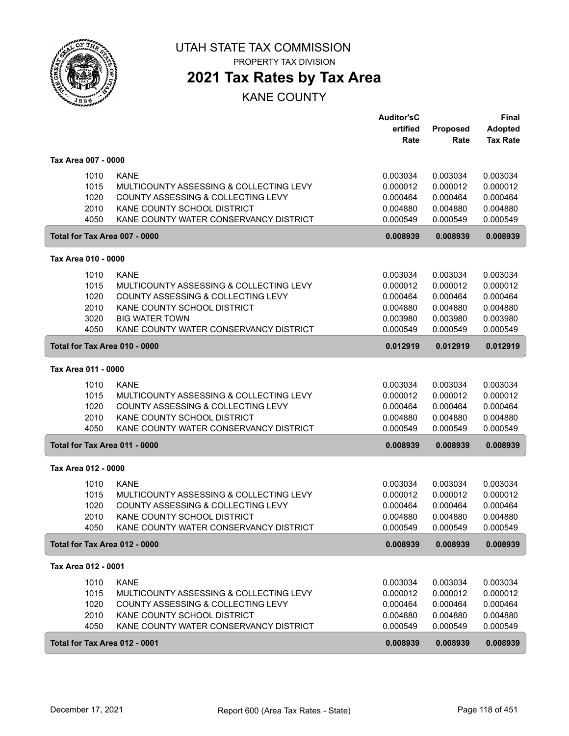

**2021 Tax Rates by Tax Area**

|                     |                                         | <b>Auditor'sC</b> |          | <b>Final</b>    |
|---------------------|-----------------------------------------|-------------------|----------|-----------------|
|                     |                                         | ertified          | Proposed | <b>Adopted</b>  |
|                     |                                         | Rate              | Rate     | <b>Tax Rate</b> |
| Tax Area 007 - 0000 |                                         |                   |          |                 |
| 1010                | <b>KANE</b>                             | 0.003034          | 0.003034 | 0.003034        |
| 1015                | MULTICOUNTY ASSESSING & COLLECTING LEVY | 0.000012          | 0.000012 | 0.000012        |
| 1020                | COUNTY ASSESSING & COLLECTING LEVY      | 0.000464          | 0.000464 | 0.000464        |
| 2010                | KANE COUNTY SCHOOL DISTRICT             | 0.004880          | 0.004880 | 0.004880        |
| 4050                | KANE COUNTY WATER CONSERVANCY DISTRICT  | 0.000549          | 0.000549 | 0.000549        |
|                     | Total for Tax Area 007 - 0000           | 0.008939          | 0.008939 | 0.008939        |
| Tax Area 010 - 0000 |                                         |                   |          |                 |
| 1010                | <b>KANE</b>                             | 0.003034          | 0.003034 | 0.003034        |
| 1015                | MULTICOUNTY ASSESSING & COLLECTING LEVY | 0.000012          | 0.000012 | 0.000012        |
| 1020                | COUNTY ASSESSING & COLLECTING LEVY      | 0.000464          | 0.000464 | 0.000464        |
| 2010                | KANE COUNTY SCHOOL DISTRICT             | 0.004880          | 0.004880 | 0.004880        |
| 3020                | <b>BIG WATER TOWN</b>                   | 0.003980          | 0.003980 | 0.003980        |
| 4050                | KANE COUNTY WATER CONSERVANCY DISTRICT  | 0.000549          | 0.000549 | 0.000549        |
|                     | Total for Tax Area 010 - 0000           | 0.012919          | 0.012919 | 0.012919        |
| Tax Area 011 - 0000 |                                         |                   |          |                 |
| 1010                | <b>KANE</b>                             | 0.003034          | 0.003034 | 0.003034        |
| 1015                | MULTICOUNTY ASSESSING & COLLECTING LEVY | 0.000012          | 0.000012 | 0.000012        |
| 1020                | COUNTY ASSESSING & COLLECTING LEVY      | 0.000464          | 0.000464 | 0.000464        |
| 2010                | KANE COUNTY SCHOOL DISTRICT             | 0.004880          | 0.004880 | 0.004880        |
| 4050                | KANE COUNTY WATER CONSERVANCY DISTRICT  | 0.000549          | 0.000549 | 0.000549        |
|                     | Total for Tax Area 011 - 0000           | 0.008939          | 0.008939 | 0.008939        |
| Tax Area 012 - 0000 |                                         |                   |          |                 |
| 1010                | <b>KANE</b>                             | 0.003034          | 0.003034 | 0.003034        |
| 1015                | MULTICOUNTY ASSESSING & COLLECTING LEVY | 0.000012          | 0.000012 | 0.000012        |
| 1020                | COUNTY ASSESSING & COLLECTING LEVY      | 0.000464          | 0.000464 | 0.000464        |
| 2010                | KANE COUNTY SCHOOL DISTRICT             | 0.004880          | 0.004880 | 0.004880        |
| 4050                | KANE COUNTY WATER CONSERVANCY DISTRICT  | 0.000549          | 0.000549 | 0.000549        |
|                     | Total for Tax Area 012 - 0000           | 0.008939          | 0.008939 | 0.008939        |
| Tax Area 012 - 0001 |                                         |                   |          |                 |
| 1010                | <b>KANE</b>                             | 0.003034          | 0.003034 | 0.003034        |
| 1015                | MULTICOUNTY ASSESSING & COLLECTING LEVY | 0.000012          | 0.000012 | 0.000012        |
| 1020                | COUNTY ASSESSING & COLLECTING LEVY      | 0.000464          | 0.000464 | 0.000464        |
| 2010                | KANE COUNTY SCHOOL DISTRICT             | 0.004880          | 0.004880 | 0.004880        |
| 4050                | KANE COUNTY WATER CONSERVANCY DISTRICT  | 0.000549          | 0.000549 | 0.000549        |
|                     | Total for Tax Area 012 - 0001           | 0.008939          | 0.008939 | 0.008939        |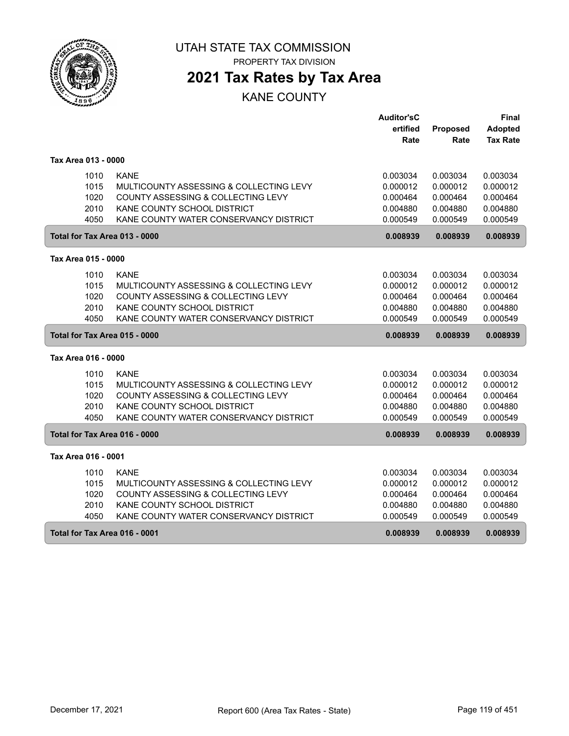

**2021 Tax Rates by Tax Area**

|                               |                                         | <b>Auditor'sC</b> |          | Final           |
|-------------------------------|-----------------------------------------|-------------------|----------|-----------------|
|                               |                                         | ertified          | Proposed | Adopted         |
|                               |                                         | Rate              | Rate     | <b>Tax Rate</b> |
|                               |                                         |                   |          |                 |
| Tax Area 013 - 0000           |                                         |                   |          |                 |
| 1010                          | <b>KANE</b>                             | 0.003034          | 0.003034 | 0.003034        |
| 1015                          | MULTICOUNTY ASSESSING & COLLECTING LEVY | 0.000012          | 0.000012 | 0.000012        |
| 1020                          | COUNTY ASSESSING & COLLECTING LEVY      | 0.000464          | 0.000464 | 0.000464        |
| 2010                          | KANE COUNTY SCHOOL DISTRICT             | 0.004880          | 0.004880 | 0.004880        |
| 4050                          | KANE COUNTY WATER CONSERVANCY DISTRICT  | 0.000549          | 0.000549 | 0.000549        |
| Total for Tax Area 013 - 0000 |                                         | 0.008939          | 0.008939 | 0.008939        |
|                               |                                         |                   |          |                 |
| Tax Area 015 - 0000           |                                         |                   |          |                 |
| 1010                          | <b>KANE</b>                             | 0.003034          | 0.003034 | 0.003034        |
| 1015                          | MULTICOUNTY ASSESSING & COLLECTING LEVY | 0.000012          | 0.000012 | 0.000012        |
| 1020                          | COUNTY ASSESSING & COLLECTING LEVY      | 0.000464          | 0.000464 | 0.000464        |
| 2010                          | KANE COUNTY SCHOOL DISTRICT             | 0.004880          | 0.004880 | 0.004880        |
| 4050                          | KANE COUNTY WATER CONSERVANCY DISTRICT  | 0.000549          | 0.000549 | 0.000549        |
| Total for Tax Area 015 - 0000 |                                         | 0.008939          | 0.008939 | 0.008939        |
| Tax Area 016 - 0000           |                                         |                   |          |                 |
| 1010                          | <b>KANE</b>                             | 0.003034          | 0.003034 | 0.003034        |
| 1015                          | MULTICOUNTY ASSESSING & COLLECTING LEVY | 0.000012          | 0.000012 | 0.000012        |
| 1020                          | COUNTY ASSESSING & COLLECTING LEVY      | 0.000464          | 0.000464 | 0.000464        |
| 2010                          | KANE COUNTY SCHOOL DISTRICT             | 0.004880          | 0.004880 | 0.004880        |
| 4050                          | KANE COUNTY WATER CONSERVANCY DISTRICT  | 0.000549          | 0.000549 | 0.000549        |
| Total for Tax Area 016 - 0000 |                                         | 0.008939          | 0.008939 | 0.008939        |
| Tax Area 016 - 0001           |                                         |                   |          |                 |
| 1010                          | <b>KANE</b>                             | 0.003034          | 0.003034 | 0.003034        |
| 1015                          | MULTICOUNTY ASSESSING & COLLECTING LEVY | 0.000012          | 0.000012 | 0.000012        |
| 1020                          | COUNTY ASSESSING & COLLECTING LEVY      | 0.000464          | 0.000464 | 0.000464        |
| 2010                          | KANE COUNTY SCHOOL DISTRICT             | 0.004880          | 0.004880 | 0.004880        |
| 4050                          | KANE COUNTY WATER CONSERVANCY DISTRICT  | 0.000549          | 0.000549 | 0.000549        |
| Total for Tax Area 016 - 0001 |                                         | 0.008939          | 0.008939 | 0.008939        |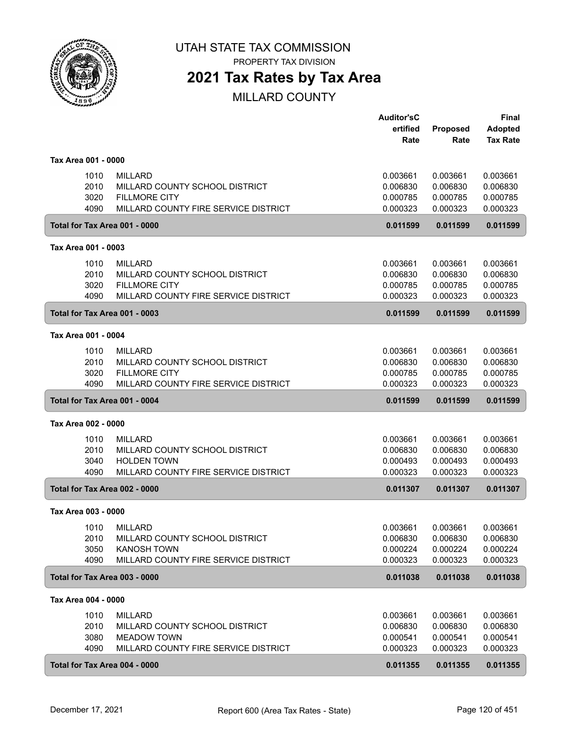

PROPERTY TAX DIVISION

## **2021 Tax Rates by Tax Area**

|                     |                                              | <b>Auditor'sC</b> |          | Final           |
|---------------------|----------------------------------------------|-------------------|----------|-----------------|
|                     |                                              | ertified          | Proposed | <b>Adopted</b>  |
|                     |                                              | Rate              | Rate     | <b>Tax Rate</b> |
| Tax Area 001 - 0000 |                                              |                   |          |                 |
|                     | 1010<br><b>MILLARD</b>                       | 0.003661          | 0.003661 | 0.003661        |
|                     | 2010<br>MILLARD COUNTY SCHOOL DISTRICT       | 0.006830          | 0.006830 | 0.006830        |
|                     | 3020<br><b>FILLMORE CITY</b>                 | 0.000785          | 0.000785 | 0.000785        |
|                     | 4090<br>MILLARD COUNTY FIRE SERVICE DISTRICT | 0.000323          | 0.000323 | 0.000323        |
|                     | Total for Tax Area 001 - 0000                | 0.011599          | 0.011599 | 0.011599        |
| Tax Area 001 - 0003 |                                              |                   |          |                 |
|                     | 1010<br><b>MILLARD</b>                       | 0.003661          | 0.003661 | 0.003661        |
|                     | 2010<br>MILLARD COUNTY SCHOOL DISTRICT       | 0.006830          | 0.006830 | 0.006830        |
|                     | 3020<br><b>FILLMORE CITY</b>                 | 0.000785          | 0.000785 | 0.000785        |
|                     | 4090<br>MILLARD COUNTY FIRE SERVICE DISTRICT | 0.000323          | 0.000323 | 0.000323        |
|                     | Total for Tax Area 001 - 0003                | 0.011599          | 0.011599 | 0.011599        |
| Tax Area 001 - 0004 |                                              |                   |          |                 |
|                     | 1010<br><b>MILLARD</b>                       | 0.003661          | 0.003661 | 0.003661        |
|                     | 2010<br>MILLARD COUNTY SCHOOL DISTRICT       | 0.006830          | 0.006830 | 0.006830        |
|                     | 3020<br><b>FILLMORE CITY</b>                 | 0.000785          | 0.000785 | 0.000785        |
|                     | 4090<br>MILLARD COUNTY FIRE SERVICE DISTRICT | 0.000323          | 0.000323 | 0.000323        |
|                     | Total for Tax Area 001 - 0004                | 0.011599          | 0.011599 | 0.011599        |
| Tax Area 002 - 0000 |                                              |                   |          |                 |
|                     | 1010<br><b>MILLARD</b>                       | 0.003661          | 0.003661 | 0.003661        |
|                     | 2010<br>MILLARD COUNTY SCHOOL DISTRICT       | 0.006830          | 0.006830 | 0.006830        |
|                     | 3040<br><b>HOLDEN TOWN</b>                   | 0.000493          | 0.000493 | 0.000493        |
|                     | 4090<br>MILLARD COUNTY FIRE SERVICE DISTRICT | 0.000323          | 0.000323 | 0.000323        |
|                     | Total for Tax Area 002 - 0000                | 0.011307          | 0.011307 | 0.011307        |
| Tax Area 003 - 0000 |                                              |                   |          |                 |
|                     | 1010<br><b>MILLARD</b>                       | 0.003661          | 0.003661 | 0.003661        |
|                     | MILLARD COUNTY SCHOOL DISTRICT<br>2010       | 0.006830          | 0.006830 | 0.006830        |
|                     | 3050<br><b>KANOSH TOWN</b>                   | 0.000224          | 0.000224 | 0.000224        |
|                     | 4090<br>MILLARD COUNTY FIRE SERVICE DISTRICT | 0.000323          | 0.000323 | 0.000323        |
|                     | Total for Tax Area 003 - 0000                | 0.011038          | 0.011038 | 0.011038        |
| Tax Area 004 - 0000 |                                              |                   |          |                 |
|                     | 1010<br><b>MILLARD</b>                       | 0.003661          | 0.003661 | 0.003661        |
|                     | 2010<br>MILLARD COUNTY SCHOOL DISTRICT       | 0.006830          | 0.006830 | 0.006830        |
|                     | 3080<br><b>MEADOW TOWN</b>                   | 0.000541          | 0.000541 | 0.000541        |
|                     | 4090<br>MILLARD COUNTY FIRE SERVICE DISTRICT | 0.000323          | 0.000323 | 0.000323        |
|                     | Total for Tax Area 004 - 0000                | 0.011355          | 0.011355 | 0.011355        |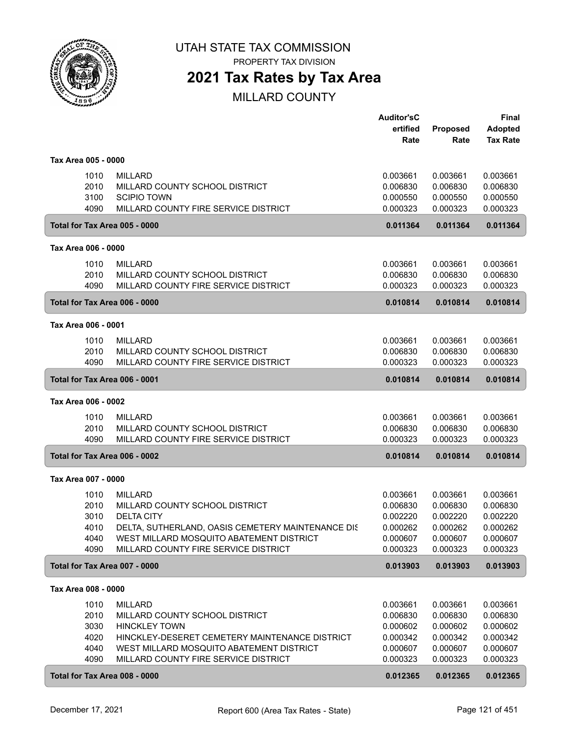

PROPERTY TAX DIVISION

## **2021 Tax Rates by Tax Area**

|                     |                                                                                        | <b>Auditor'sC</b><br>ertified | <b>Proposed</b>      | <b>Final</b><br><b>Adopted</b> |
|---------------------|----------------------------------------------------------------------------------------|-------------------------------|----------------------|--------------------------------|
|                     |                                                                                        | Rate                          | Rate                 | <b>Tax Rate</b>                |
| Tax Area 005 - 0000 |                                                                                        |                               |                      |                                |
|                     | 1010<br><b>MILLARD</b>                                                                 | 0.003661                      | 0.003661             | 0.003661                       |
|                     | 2010<br>MILLARD COUNTY SCHOOL DISTRICT<br>3100<br><b>SCIPIO TOWN</b>                   | 0.006830<br>0.000550          | 0.006830<br>0.000550 | 0.006830<br>0.000550           |
|                     | 4090<br>MILLARD COUNTY FIRE SERVICE DISTRICT                                           | 0.000323                      | 0.000323             | 0.000323                       |
|                     | Total for Tax Area 005 - 0000                                                          | 0.011364                      | 0.011364             | 0.011364                       |
| Tax Area 006 - 0000 |                                                                                        |                               |                      |                                |
|                     | 1010<br><b>MILLARD</b>                                                                 | 0.003661                      | 0.003661             | 0.003661                       |
|                     | 2010<br>MILLARD COUNTY SCHOOL DISTRICT                                                 | 0.006830                      | 0.006830             | 0.006830                       |
|                     | 4090<br>MILLARD COUNTY FIRE SERVICE DISTRICT                                           | 0.000323                      | 0.000323             | 0.000323                       |
|                     | Total for Tax Area 006 - 0000                                                          | 0.010814                      | 0.010814             | 0.010814                       |
| Tax Area 006 - 0001 |                                                                                        |                               |                      |                                |
|                     | 1010<br><b>MILLARD</b>                                                                 | 0.003661                      | 0.003661             | 0.003661                       |
|                     | 2010<br>MILLARD COUNTY SCHOOL DISTRICT<br>4090<br>MILLARD COUNTY FIRE SERVICE DISTRICT | 0.006830<br>0.000323          | 0.006830<br>0.000323 | 0.006830<br>0.000323           |
|                     | Total for Tax Area 006 - 0001                                                          | 0.010814                      | 0.010814             | 0.010814                       |
| Tax Area 006 - 0002 |                                                                                        |                               |                      |                                |
|                     | <b>MILLARD</b><br>1010                                                                 | 0.003661                      | 0.003661             | 0.003661                       |
|                     | 2010<br>MILLARD COUNTY SCHOOL DISTRICT                                                 | 0.006830                      | 0.006830             | 0.006830                       |
|                     | MILLARD COUNTY FIRE SERVICE DISTRICT<br>4090                                           | 0.000323                      | 0.000323             | 0.000323                       |
|                     | Total for Tax Area 006 - 0002                                                          | 0.010814                      | 0.010814             | 0.010814                       |
| Tax Area 007 - 0000 |                                                                                        |                               |                      |                                |
|                     | <b>MILLARD</b><br>1010                                                                 | 0.003661                      | 0.003661             | 0.003661                       |
|                     | 2010<br>MILLARD COUNTY SCHOOL DISTRICT                                                 | 0.006830                      | 0.006830             | 0.006830                       |
|                     | 3010<br><b>DELTA CITY</b><br>DELTA, SUTHERLAND, OASIS CEMETERY MAINTENANCE DIS<br>4010 | 0.002220<br>0.000262          | 0.002220<br>0.000262 | 0.002220<br>0.000262           |
|                     | WEST MILLARD MOSQUITO ABATEMENT DISTRICT<br>4040                                       | 0.000607                      | 0.000607             | 0.000607                       |
|                     | 4090<br>MILLARD COUNTY FIRE SERVICE DISTRICT                                           | 0.000323                      | 0.000323             | 0.000323                       |
|                     | Total for Tax Area 007 - 0000                                                          | 0.013903                      | 0.013903             | 0.013903                       |
| Tax Area 008 - 0000 |                                                                                        |                               |                      |                                |
|                     | 1010<br><b>MILLARD</b>                                                                 | 0.003661                      | 0.003661             | 0.003661                       |
|                     | 2010<br>MILLARD COUNTY SCHOOL DISTRICT                                                 | 0.006830                      | 0.006830             | 0.006830                       |
|                     | 3030<br><b>HINCKLEY TOWN</b><br>4020<br>HINCKLEY-DESERET CEMETERY MAINTENANCE DISTRICT | 0.000602<br>0.000342          | 0.000602<br>0.000342 | 0.000602<br>0.000342           |
|                     | WEST MILLARD MOSQUITO ABATEMENT DISTRICT<br>4040                                       | 0.000607                      | 0.000607             | 0.000607                       |
|                     | 4090<br>MILLARD COUNTY FIRE SERVICE DISTRICT                                           | 0.000323                      | 0.000323             | 0.000323                       |
|                     | Total for Tax Area 008 - 0000                                                          | 0.012365                      | 0.012365             | 0.012365                       |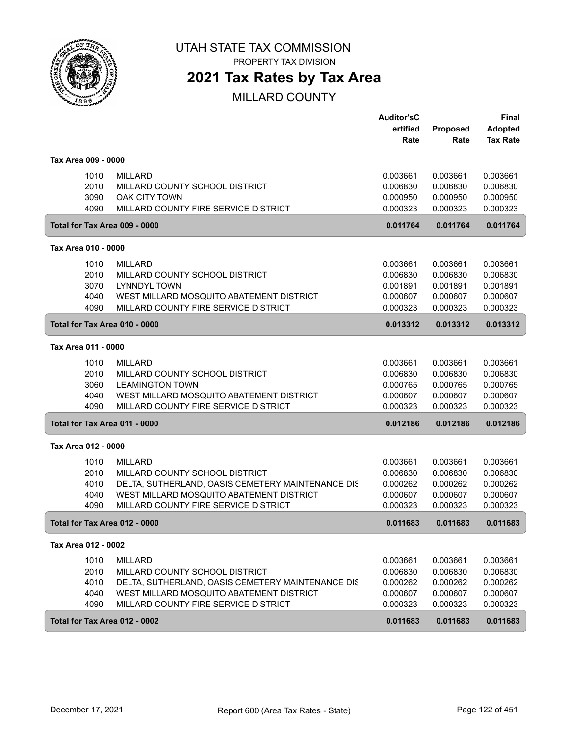

PROPERTY TAX DIVISION

## **2021 Tax Rates by Tax Area**

|                                      |                                                                                                                                                                                           | <b>Auditor'sC</b><br>ertified<br>Rate                    | Proposed<br>Rate                                         | Final<br><b>Adopted</b><br><b>Tax Rate</b>               |
|--------------------------------------|-------------------------------------------------------------------------------------------------------------------------------------------------------------------------------------------|----------------------------------------------------------|----------------------------------------------------------|----------------------------------------------------------|
| Tax Area 009 - 0000                  |                                                                                                                                                                                           |                                                          |                                                          |                                                          |
| 1010<br>2010<br>3090<br>4090         | <b>MILLARD</b><br>MILLARD COUNTY SCHOOL DISTRICT<br><b>OAK CITY TOWN</b><br>MILLARD COUNTY FIRE SERVICE DISTRICT                                                                          | 0.003661<br>0.006830<br>0.000950<br>0.000323             | 0.003661<br>0.006830<br>0.000950<br>0.000323             | 0.003661<br>0.006830<br>0.000950<br>0.000323             |
| Total for Tax Area 009 - 0000        |                                                                                                                                                                                           | 0.011764                                                 | 0.011764                                                 | 0.011764                                                 |
| Tax Area 010 - 0000                  |                                                                                                                                                                                           |                                                          |                                                          |                                                          |
| 1010<br>2010<br>3070<br>4040<br>4090 | <b>MILLARD</b><br>MILLARD COUNTY SCHOOL DISTRICT<br><b>LYNNDYL TOWN</b><br>WEST MILLARD MOSQUITO ABATEMENT DISTRICT<br>MILLARD COUNTY FIRE SERVICE DISTRICT                               | 0.003661<br>0.006830<br>0.001891<br>0.000607<br>0.000323 | 0.003661<br>0.006830<br>0.001891<br>0.000607<br>0.000323 | 0.003661<br>0.006830<br>0.001891<br>0.000607<br>0.000323 |
| Total for Tax Area 010 - 0000        |                                                                                                                                                                                           | 0.013312                                                 | 0.013312                                                 | 0.013312                                                 |
| Tax Area 011 - 0000                  |                                                                                                                                                                                           |                                                          |                                                          |                                                          |
| 1010<br>2010<br>3060<br>4040<br>4090 | <b>MILLARD</b><br>MILLARD COUNTY SCHOOL DISTRICT<br><b>LEAMINGTON TOWN</b><br>WEST MILLARD MOSQUITO ABATEMENT DISTRICT<br>MILLARD COUNTY FIRE SERVICE DISTRICT                            | 0.003661<br>0.006830<br>0.000765<br>0.000607<br>0.000323 | 0.003661<br>0.006830<br>0.000765<br>0.000607<br>0.000323 | 0.003661<br>0.006830<br>0.000765<br>0.000607<br>0.000323 |
| Total for Tax Area 011 - 0000        |                                                                                                                                                                                           | 0.012186                                                 | 0.012186                                                 | 0.012186                                                 |
| Tax Area 012 - 0000                  |                                                                                                                                                                                           |                                                          |                                                          |                                                          |
| 1010<br>2010<br>4010<br>4040<br>4090 | <b>MILLARD</b><br>MILLARD COUNTY SCHOOL DISTRICT<br>DELTA, SUTHERLAND, OASIS CEMETERY MAINTENANCE DIS<br>WEST MILLARD MOSQUITO ABATEMENT DISTRICT<br>MILLARD COUNTY FIRE SERVICE DISTRICT | 0.003661<br>0.006830<br>0.000262<br>0.000607<br>0.000323 | 0.003661<br>0.006830<br>0.000262<br>0.000607<br>0.000323 | 0.003661<br>0.006830<br>0.000262<br>0.000607<br>0.000323 |
| Total for Tax Area 012 - 0000        |                                                                                                                                                                                           | 0.011683                                                 | 0.011683                                                 | 0.011683                                                 |
| Tax Area 012 - 0002                  |                                                                                                                                                                                           |                                                          |                                                          |                                                          |
| 1010<br>2010<br>4010<br>4040<br>4090 | <b>MILLARD</b><br>MILLARD COUNTY SCHOOL DISTRICT<br>DELTA, SUTHERLAND, OASIS CEMETERY MAINTENANCE DIS<br>WEST MILLARD MOSQUITO ABATEMENT DISTRICT<br>MILLARD COUNTY FIRE SERVICE DISTRICT | 0.003661<br>0.006830<br>0.000262<br>0.000607<br>0.000323 | 0.003661<br>0.006830<br>0.000262<br>0.000607<br>0.000323 | 0.003661<br>0.006830<br>0.000262<br>0.000607<br>0.000323 |
| Total for Tax Area 012 - 0002        |                                                                                                                                                                                           | 0.011683                                                 | 0.011683                                                 | 0.011683                                                 |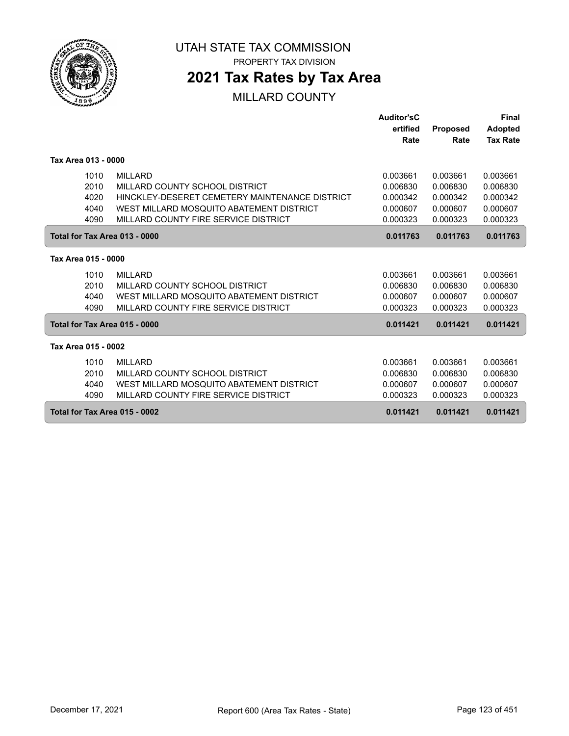

PROPERTY TAX DIVISION

## **2021 Tax Rates by Tax Area**

|                               |                                                | Auditor'sC |                 | Final           |
|-------------------------------|------------------------------------------------|------------|-----------------|-----------------|
|                               |                                                | ertified   | <b>Proposed</b> | <b>Adopted</b>  |
|                               |                                                | Rate       | Rate            | <b>Tax Rate</b> |
|                               |                                                |            |                 |                 |
| Tax Area 013 - 0000           |                                                |            |                 |                 |
| 1010                          | <b>MILLARD</b>                                 | 0.003661   | 0.003661        | 0.003661        |
| 2010                          | MILLARD COUNTY SCHOOL DISTRICT                 | 0.006830   | 0.006830        | 0.006830        |
| 4020                          | HINCKLEY-DESERET CEMETERY MAINTENANCE DISTRICT | 0.000342   | 0.000342        | 0.000342        |
| 4040                          | WEST MILLARD MOSQUITO ABATEMENT DISTRICT       | 0.000607   | 0.000607        | 0.000607        |
| 4090                          | MILLARD COUNTY FIRE SERVICE DISTRICT           | 0.000323   | 0.000323        | 0.000323        |
| Total for Tax Area 013 - 0000 |                                                | 0.011763   | 0.011763        | 0.011763        |
|                               |                                                |            |                 |                 |
| Tax Area 015 - 0000           |                                                |            |                 |                 |
| 1010                          | <b>MILLARD</b>                                 | 0.003661   | 0.003661        | 0.003661        |
| 2010                          | MILLARD COUNTY SCHOOL DISTRICT                 | 0.006830   | 0.006830        | 0.006830        |
| 4040                          | WEST MILLARD MOSQUITO ABATEMENT DISTRICT       | 0.000607   | 0.000607        | 0.000607        |
| 4090                          | MILLARD COUNTY FIRE SERVICE DISTRICT           | 0.000323   | 0.000323        | 0.000323        |
| Total for Tax Area 015 - 0000 |                                                | 0.011421   | 0.011421        | 0.011421        |
| Tax Area 015 - 0002           |                                                |            |                 |                 |
| 1010                          | <b>MILLARD</b>                                 | 0.003661   | 0.003661        | 0.003661        |
| 2010                          | MILLARD COUNTY SCHOOL DISTRICT                 | 0.006830   | 0.006830        | 0.006830        |
| 4040                          | WEST MILLARD MOSQUITO ABATEMENT DISTRICT       | 0.000607   | 0.000607        | 0.000607        |
| 4090                          | MILLARD COUNTY FIRE SERVICE DISTRICT           | 0.000323   | 0.000323        | 0.000323        |
| Total for Tax Area 015 - 0002 |                                                | 0.011421   | 0.011421        | 0.011421        |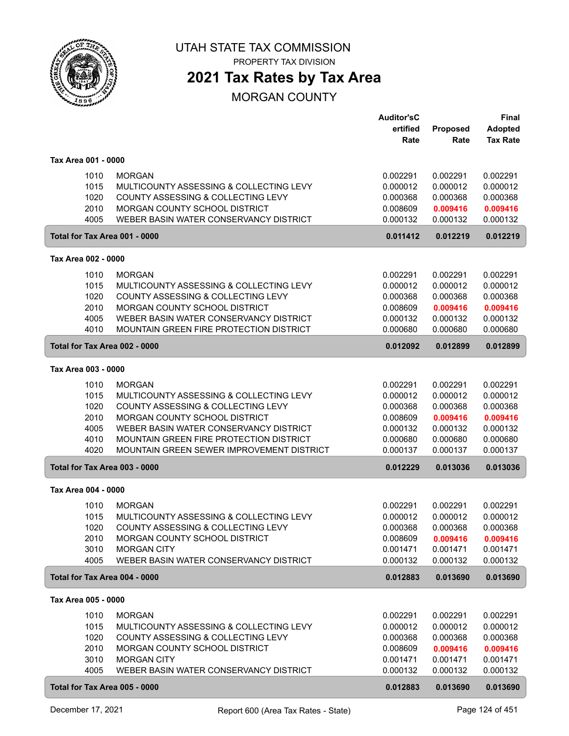

PROPERTY TAX DIVISION

## **2021 Tax Rates by Tax Area**

#### MORGAN COUNTY

|                               |                                                                                      | <b>Auditor'sC</b><br>ertified | Proposed             | <b>Final</b><br><b>Adopted</b> |
|-------------------------------|--------------------------------------------------------------------------------------|-------------------------------|----------------------|--------------------------------|
|                               |                                                                                      | Rate                          | Rate                 | <b>Tax Rate</b>                |
| Tax Area 001 - 0000           |                                                                                      |                               |                      |                                |
| 1010                          | <b>MORGAN</b>                                                                        | 0.002291                      | 0.002291             | 0.002291                       |
| 1015                          | MULTICOUNTY ASSESSING & COLLECTING LEVY                                              | 0.000012                      | 0.000012             | 0.000012                       |
| 1020                          | COUNTY ASSESSING & COLLECTING LEVY                                                   | 0.000368                      | 0.000368             | 0.000368                       |
| 2010<br>4005                  | MORGAN COUNTY SCHOOL DISTRICT<br>WEBER BASIN WATER CONSERVANCY DISTRICT              | 0.008609<br>0.000132          | 0.009416<br>0.000132 | 0.009416<br>0.000132           |
| Total for Tax Area 001 - 0000 |                                                                                      | 0.011412                      | 0.012219             | 0.012219                       |
| Tax Area 002 - 0000           |                                                                                      |                               |                      |                                |
|                               | <b>MORGAN</b>                                                                        |                               |                      |                                |
| 1010<br>1015                  | MULTICOUNTY ASSESSING & COLLECTING LEVY                                              | 0.002291<br>0.000012          | 0.002291<br>0.000012 | 0.002291<br>0.000012           |
| 1020                          | COUNTY ASSESSING & COLLECTING LEVY                                                   | 0.000368                      | 0.000368             | 0.000368                       |
| 2010                          | MORGAN COUNTY SCHOOL DISTRICT                                                        | 0.008609                      | 0.009416             | 0.009416                       |
| 4005                          | WEBER BASIN WATER CONSERVANCY DISTRICT                                               | 0.000132                      | 0.000132             | 0.000132                       |
| 4010                          | <b>MOUNTAIN GREEN FIRE PROTECTION DISTRICT</b>                                       | 0.000680                      | 0.000680             | 0.000680                       |
| Total for Tax Area 002 - 0000 |                                                                                      | 0.012092                      | 0.012899             | 0.012899                       |
| Tax Area 003 - 0000           |                                                                                      |                               |                      |                                |
| 1010                          | <b>MORGAN</b>                                                                        | 0.002291                      | 0.002291             | 0.002291                       |
| 1015                          | MULTICOUNTY ASSESSING & COLLECTING LEVY                                              | 0.000012                      | 0.000012             | 0.000012                       |
| 1020                          | COUNTY ASSESSING & COLLECTING LEVY                                                   | 0.000368                      | 0.000368             | 0.000368                       |
| 2010                          | MORGAN COUNTY SCHOOL DISTRICT                                                        | 0.008609                      | 0.009416             | 0.009416                       |
| 4005                          | WEBER BASIN WATER CONSERVANCY DISTRICT                                               | 0.000132                      | 0.000132             | 0.000132                       |
| 4010<br>4020                  | MOUNTAIN GREEN FIRE PROTECTION DISTRICT<br>MOUNTAIN GREEN SEWER IMPROVEMENT DISTRICT | 0.000680<br>0.000137          | 0.000680<br>0.000137 | 0.000680<br>0.000137           |
| Total for Tax Area 003 - 0000 |                                                                                      | 0.012229                      | 0.013036             | 0.013036                       |
|                               |                                                                                      |                               |                      |                                |
| Tax Area 004 - 0000           |                                                                                      |                               |                      |                                |
| 1010                          | <b>MORGAN</b>                                                                        | 0.002291                      | 0.002291             | 0.002291                       |
| 1015                          | MULTICOUNTY ASSESSING & COLLECTING LEVY                                              | 0.000012                      | 0.000012             | 0.000012                       |
| 1020                          | COUNTY ASSESSING & COLLECTING LEVY                                                   | 0.000368                      | 0.000368             | 0.000368                       |
| 2010<br>3010                  | MORGAN COUNTY SCHOOL DISTRICT<br><b>MORGAN CITY</b>                                  | 0.008609<br>0.001471          | 0.009416<br>0.001471 | 0.009416<br>0.001471           |
| 4005                          | WEBER BASIN WATER CONSERVANCY DISTRICT                                               | 0.000132                      | 0.000132             | 0.000132                       |
| Total for Tax Area 004 - 0000 |                                                                                      | 0.012883                      | 0.013690             | 0.013690                       |
| Tax Area 005 - 0000           |                                                                                      |                               |                      |                                |
| 1010                          | <b>MORGAN</b>                                                                        | 0.002291                      | 0.002291             | 0.002291                       |
| 1015                          | MULTICOUNTY ASSESSING & COLLECTING LEVY                                              | 0.000012                      | 0.000012             | 0.000012                       |
| 1020                          | COUNTY ASSESSING & COLLECTING LEVY                                                   | 0.000368                      | 0.000368             | 0.000368                       |
| 2010                          | MORGAN COUNTY SCHOOL DISTRICT                                                        | 0.008609                      | 0.009416             | 0.009416                       |
| 3010                          | <b>MORGAN CITY</b>                                                                   | 0.001471                      | 0.001471             | 0.001471                       |
| 4005                          | WEBER BASIN WATER CONSERVANCY DISTRICT                                               | 0.000132                      | 0.000132             | 0.000132                       |
| Total for Tax Area 005 - 0000 |                                                                                      | 0.012883                      | 0.013690             | 0.013690                       |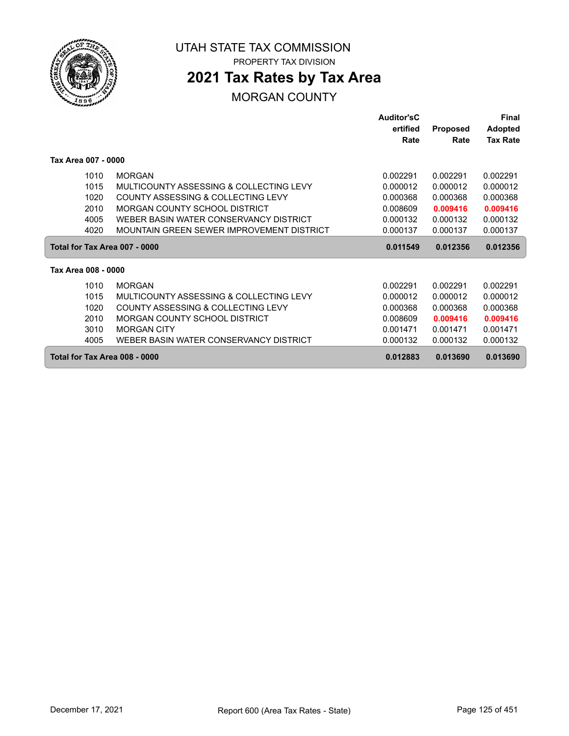

PROPERTY TAX DIVISION

## **2021 Tax Rates by Tax Area**

#### MORGAN COUNTY

|                               |                                           | <b>Auditor'sC</b> |                 | Final           |
|-------------------------------|-------------------------------------------|-------------------|-----------------|-----------------|
|                               |                                           | ertified          | <b>Proposed</b> | <b>Adopted</b>  |
|                               |                                           | Rate              | Rate            | <b>Tax Rate</b> |
| Tax Area 007 - 0000           |                                           |                   |                 |                 |
| 1010                          | <b>MORGAN</b>                             | 0.002291          | 0.002291        | 0.002291        |
| 1015                          | MULTICOUNTY ASSESSING & COLLECTING LEVY   | 0.000012          | 0.000012        | 0.000012        |
| 1020                          | COUNTY ASSESSING & COLLECTING LEVY        | 0.000368          | 0.000368        | 0.000368        |
| 2010                          | MORGAN COUNTY SCHOOL DISTRICT             | 0.008609          | 0.009416        | 0.009416        |
| 4005                          | WEBER BASIN WATER CONSERVANCY DISTRICT    | 0.000132          | 0.000132        | 0.000132        |
| 4020                          | MOUNTAIN GREEN SEWER IMPROVEMENT DISTRICT | 0.000137          | 0.000137        | 0.000137        |
| Total for Tax Area 007 - 0000 |                                           | 0.011549          | 0.012356        | 0.012356        |
| Tax Area 008 - 0000           |                                           |                   |                 |                 |
| 1010                          | <b>MORGAN</b>                             | 0.002291          | 0.002291        | 0.002291        |
| 1015                          | MULTICOUNTY ASSESSING & COLLECTING LEVY   | 0.000012          | 0.000012        | 0.000012        |
| 1020                          | COUNTY ASSESSING & COLLECTING LEVY        | 0.000368          | 0.000368        | 0.000368        |
| 2010                          | MORGAN COUNTY SCHOOL DISTRICT             | 0.008609          | 0.009416        | 0.009416        |
| 3010                          | <b>MORGAN CITY</b>                        | 0.001471          | 0.001471        | 0.001471        |
| 4005                          | WEBER BASIN WATER CONSERVANCY DISTRICT    | 0.000132          | 0.000132        | 0.000132        |
| Total for Tax Area 008 - 0000 |                                           | 0.012883          | 0.013690        | 0.013690        |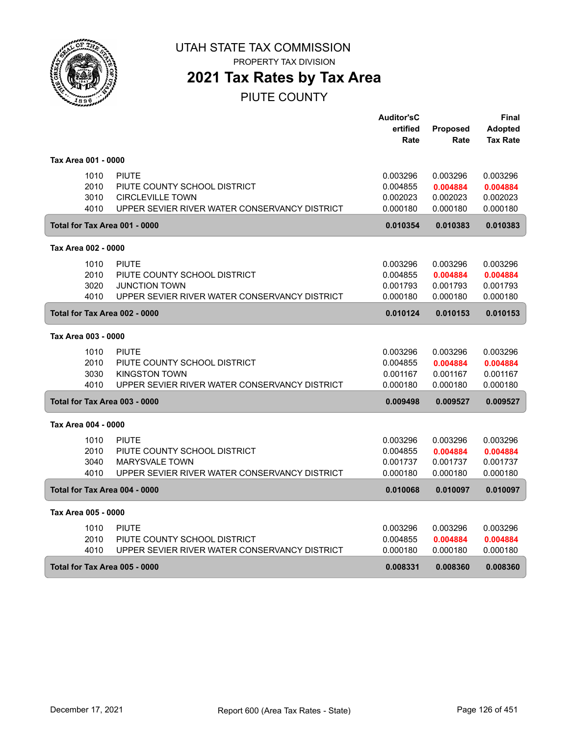

# **2021 Tax Rates by Tax Area**

PIUTE COUNTY

|                     |                                               | <b>Auditor'sC</b> |          | Final           |
|---------------------|-----------------------------------------------|-------------------|----------|-----------------|
|                     |                                               | ertified          | Proposed | <b>Adopted</b>  |
|                     |                                               | Rate              | Rate     | <b>Tax Rate</b> |
| Tax Area 001 - 0000 |                                               |                   |          |                 |
| 1010                | <b>PIUTE</b>                                  | 0.003296          | 0.003296 | 0.003296        |
| 2010                | PIUTE COUNTY SCHOOL DISTRICT                  | 0.004855          | 0.004884 | 0.004884        |
| 3010                | <b>CIRCLEVILLE TOWN</b>                       | 0.002023          | 0.002023 | 0.002023        |
| 4010                | UPPER SEVIER RIVER WATER CONSERVANCY DISTRICT | 0.000180          | 0.000180 | 0.000180        |
|                     | Total for Tax Area 001 - 0000                 | 0.010354          | 0.010383 | 0.010383        |
| Tax Area 002 - 0000 |                                               |                   |          |                 |
| 1010                | <b>PIUTE</b>                                  | 0.003296          | 0.003296 | 0.003296        |
| 2010                | PIUTE COUNTY SCHOOL DISTRICT                  | 0.004855          | 0.004884 | 0.004884        |
| 3020                | <b>JUNCTION TOWN</b>                          | 0.001793          | 0.001793 | 0.001793        |
| 4010                | UPPER SEVIER RIVER WATER CONSERVANCY DISTRICT | 0.000180          | 0.000180 | 0.000180        |
|                     | Total for Tax Area 002 - 0000                 | 0.010124          | 0.010153 | 0.010153        |
| Tax Area 003 - 0000 |                                               |                   |          |                 |
| 1010                | <b>PIUTE</b>                                  | 0.003296          | 0.003296 | 0.003296        |
| 2010                | PIUTE COUNTY SCHOOL DISTRICT                  | 0.004855          | 0.004884 | 0.004884        |
| 3030                | <b>KINGSTON TOWN</b>                          | 0.001167          | 0.001167 | 0.001167        |
| 4010                | UPPER SEVIER RIVER WATER CONSERVANCY DISTRICT | 0.000180          | 0.000180 | 0.000180        |
|                     | Total for Tax Area 003 - 0000                 | 0.009498          | 0.009527 | 0.009527        |
| Tax Area 004 - 0000 |                                               |                   |          |                 |
| 1010                | <b>PIUTE</b>                                  | 0.003296          | 0.003296 | 0.003296        |
| 2010                | PIUTE COUNTY SCHOOL DISTRICT                  | 0.004855          | 0.004884 | 0.004884        |
| 3040                | <b>MARYSVALE TOWN</b>                         | 0.001737          | 0.001737 | 0.001737        |
| 4010                | UPPER SEVIER RIVER WATER CONSERVANCY DISTRICT | 0.000180          | 0.000180 | 0.000180        |
|                     | Total for Tax Area 004 - 0000                 | 0.010068          | 0.010097 | 0.010097        |
| Tax Area 005 - 0000 |                                               |                   |          |                 |
| 1010                | <b>PIUTE</b>                                  | 0.003296          | 0.003296 | 0.003296        |
| 2010                | PIUTE COUNTY SCHOOL DISTRICT                  | 0.004855          | 0.004884 | 0.004884        |
| 4010                | UPPER SEVIER RIVER WATER CONSERVANCY DISTRICT | 0.000180          | 0.000180 | 0.000180        |
|                     | Total for Tax Area 005 - 0000                 | 0.008331          | 0.008360 | 0.008360        |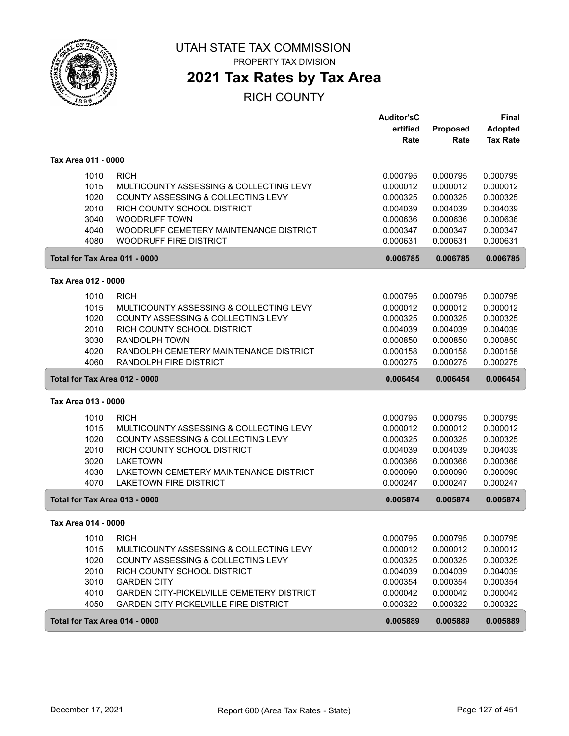

PROPERTY TAX DIVISION

# **2021 Tax Rates by Tax Area**

|                               |                                              | <b>Auditor'sC</b> |          | <b>Final</b>    |
|-------------------------------|----------------------------------------------|-------------------|----------|-----------------|
|                               |                                              | ertified          | Proposed | <b>Adopted</b>  |
|                               |                                              | Rate              | Rate     | <b>Tax Rate</b> |
| Tax Area 011 - 0000           |                                              |                   |          |                 |
| 1010                          | <b>RICH</b>                                  | 0.000795          | 0.000795 | 0.000795        |
| 1015                          | MULTICOUNTY ASSESSING & COLLECTING LEVY      | 0.000012          | 0.000012 | 0.000012        |
| 1020                          | COUNTY ASSESSING & COLLECTING LEVY           | 0.000325          | 0.000325 | 0.000325        |
| 2010                          | RICH COUNTY SCHOOL DISTRICT                  | 0.004039          | 0.004039 | 0.004039        |
| 3040                          | <b>WOODRUFF TOWN</b>                         | 0.000636          | 0.000636 | 0.000636        |
| 4040                          | WOODRUFF CEMETERY MAINTENANCE DISTRICT       | 0.000347          | 0.000347 | 0.000347        |
| 4080                          | <b>WOODRUFF FIRE DISTRICT</b>                | 0.000631          | 0.000631 | 0.000631        |
| Total for Tax Area 011 - 0000 |                                              | 0.006785          | 0.006785 | 0.006785        |
| Tax Area 012 - 0000           |                                              |                   |          |                 |
| 1010                          | <b>RICH</b>                                  | 0.000795          | 0.000795 | 0.000795        |
| 1015                          | MULTICOUNTY ASSESSING & COLLECTING LEVY      | 0.000012          | 0.000012 | 0.000012        |
| 1020                          | COUNTY ASSESSING & COLLECTING LEVY           | 0.000325          | 0.000325 | 0.000325        |
| 2010                          | RICH COUNTY SCHOOL DISTRICT                  | 0.004039          | 0.004039 | 0.004039        |
| 3030                          | <b>RANDOLPH TOWN</b>                         | 0.000850          | 0.000850 | 0.000850        |
| 4020                          | RANDOLPH CEMETERY MAINTENANCE DISTRICT       | 0.000158          | 0.000158 | 0.000158        |
| 4060                          | RANDOLPH FIRE DISTRICT                       | 0.000275          | 0.000275 | 0.000275        |
| Total for Tax Area 012 - 0000 |                                              | 0.006454          | 0.006454 | 0.006454        |
|                               |                                              |                   |          |                 |
| Tax Area 013 - 0000           |                                              |                   |          |                 |
| 1010                          | <b>RICH</b>                                  | 0.000795          | 0.000795 | 0.000795        |
| 1015                          | MULTICOUNTY ASSESSING & COLLECTING LEVY      | 0.000012          | 0.000012 | 0.000012        |
| 1020                          | COUNTY ASSESSING & COLLECTING LEVY           | 0.000325          | 0.000325 | 0.000325        |
| 2010                          | RICH COUNTY SCHOOL DISTRICT                  | 0.004039          | 0.004039 | 0.004039        |
| 3020                          | <b>LAKETOWN</b>                              | 0.000366          | 0.000366 | 0.000366        |
| 4030                          | LAKETOWN CEMETERY MAINTENANCE DISTRICT       | 0.000090          | 0.000090 | 0.000090        |
| 4070                          | <b>LAKETOWN FIRE DISTRICT</b>                | 0.000247          | 0.000247 | 0.000247        |
| Total for Tax Area 013 - 0000 |                                              | 0.005874          | 0.005874 | 0.005874        |
| Tax Area 014 - 0000           |                                              |                   |          |                 |
| 1010                          | <b>RICH</b>                                  | 0.000795          | 0.000795 | 0.000795        |
| 1015                          | MULTICOUNTY ASSESSING & COLLECTING LEVY      | 0.000012          | 0.000012 | 0.000012        |
| 1020                          | COUNTY ASSESSING & COLLECTING LEVY           | 0.000325          | 0.000325 | 0.000325        |
| 2010                          | RICH COUNTY SCHOOL DISTRICT                  | 0.004039          | 0.004039 | 0.004039        |
| 3010                          | <b>GARDEN CITY</b>                           | 0.000354          | 0.000354 | 0.000354        |
| 4010                          | GARDEN CITY-PICKELVILLE CEMETERY DISTRICT    | 0.000042          | 0.000042 | 0.000042        |
| 4050                          | <b>GARDEN CITY PICKELVILLE FIRE DISTRICT</b> | 0.000322          | 0.000322 | 0.000322        |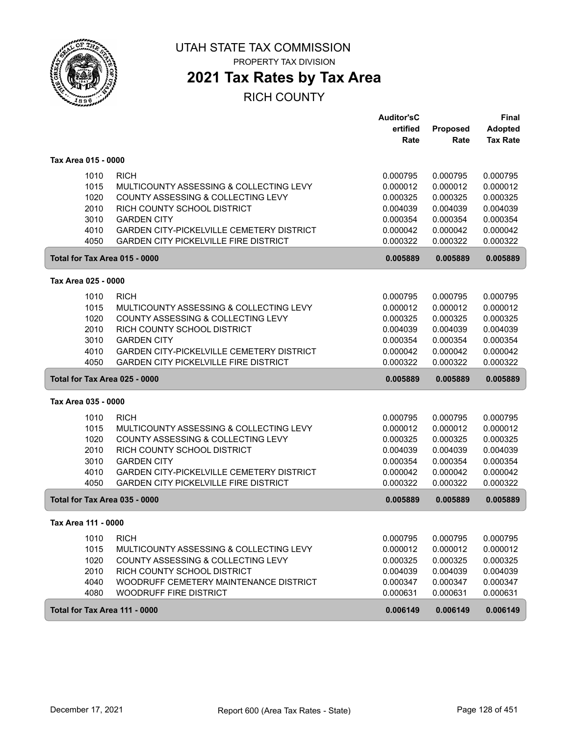

PROPERTY TAX DIVISION

## **2021 Tax Rates by Tax Area**

|                               |                                                  | <b>Auditor'sC</b> |                 | <b>Final</b>    |
|-------------------------------|--------------------------------------------------|-------------------|-----------------|-----------------|
|                               |                                                  | ertified          | <b>Proposed</b> | <b>Adopted</b>  |
|                               |                                                  | Rate              | Rate            | <b>Tax Rate</b> |
| Tax Area 015 - 0000           |                                                  |                   |                 |                 |
| 1010                          | <b>RICH</b>                                      | 0.000795          | 0.000795        | 0.000795        |
| 1015                          | MULTICOUNTY ASSESSING & COLLECTING LEVY          | 0.000012          | 0.000012        | 0.000012        |
| 1020                          | COUNTY ASSESSING & COLLECTING LEVY               | 0.000325          | 0.000325        | 0.000325        |
| 2010                          | RICH COUNTY SCHOOL DISTRICT                      | 0.004039          | 0.004039        | 0.004039        |
| 3010                          | <b>GARDEN CITY</b>                               | 0.000354          | 0.000354        | 0.000354        |
| 4010                          | <b>GARDEN CITY-PICKELVILLE CEMETERY DISTRICT</b> | 0.000042          | 0.000042        | 0.000042        |
| 4050                          | <b>GARDEN CITY PICKELVILLE FIRE DISTRICT</b>     | 0.000322          | 0.000322        | 0.000322        |
| Total for Tax Area 015 - 0000 |                                                  | 0.005889          | 0.005889        | 0.005889        |
| Tax Area 025 - 0000           |                                                  |                   |                 |                 |
| 1010                          | <b>RICH</b>                                      | 0.000795          | 0.000795        | 0.000795        |
| 1015                          | MULTICOUNTY ASSESSING & COLLECTING LEVY          | 0.000012          | 0.000012        | 0.000012        |
| 1020                          | COUNTY ASSESSING & COLLECTING LEVY               | 0.000325          | 0.000325        | 0.000325        |
| 2010                          | RICH COUNTY SCHOOL DISTRICT                      | 0.004039          | 0.004039        | 0.004039        |
| 3010                          | <b>GARDEN CITY</b>                               | 0.000354          | 0.000354        | 0.000354        |
| 4010                          | <b>GARDEN CITY-PICKELVILLE CEMETERY DISTRICT</b> | 0.000042          | 0.000042        | 0.000042        |
| 4050                          | <b>GARDEN CITY PICKELVILLE FIRE DISTRICT</b>     | 0.000322          | 0.000322        | 0.000322        |
| Total for Tax Area 025 - 0000 |                                                  | 0.005889          | 0.005889        | 0.005889        |
| Tax Area 035 - 0000           |                                                  |                   |                 |                 |
| 1010                          | <b>RICH</b>                                      | 0.000795          | 0.000795        | 0.000795        |
| 1015                          | MULTICOUNTY ASSESSING & COLLECTING LEVY          | 0.000012          | 0.000012        | 0.000012        |
| 1020                          | COUNTY ASSESSING & COLLECTING LEVY               | 0.000325          | 0.000325        | 0.000325        |
| 2010                          | RICH COUNTY SCHOOL DISTRICT                      | 0.004039          | 0.004039        | 0.004039        |
| 3010                          | <b>GARDEN CITY</b>                               | 0.000354          | 0.000354        | 0.000354        |
| 4010                          | GARDEN CITY-PICKELVILLE CEMETERY DISTRICT        | 0.000042          | 0.000042        | 0.000042        |
| 4050                          | <b>GARDEN CITY PICKELVILLE FIRE DISTRICT</b>     | 0.000322          | 0.000322        | 0.000322        |
| Total for Tax Area 035 - 0000 |                                                  | 0.005889          | 0.005889        | 0.005889        |
| Tax Area 111 - 0000           |                                                  |                   |                 |                 |
| 1010                          | <b>RICH</b>                                      | 0.000795          | 0.000795        | 0.000795        |
| 1015                          | MULTICOUNTY ASSESSING & COLLECTING LEVY          | 0.000012          | 0.000012        | 0.000012        |
| 1020                          | COUNTY ASSESSING & COLLECTING LEVY               | 0.000325          | 0.000325        | 0.000325        |
| 2010                          | RICH COUNTY SCHOOL DISTRICT                      | 0.004039          | 0.004039        | 0.004039        |
| 4040                          | WOODRUFF CEMETERY MAINTENANCE DISTRICT           | 0.000347          | 0.000347        | 0.000347        |
| 4080                          | WOODRUFF FIRE DISTRICT                           | 0.000631          | 0.000631        | 0.000631        |
| Total for Tax Area 111 - 0000 |                                                  | 0.006149          | 0.006149        | 0.006149        |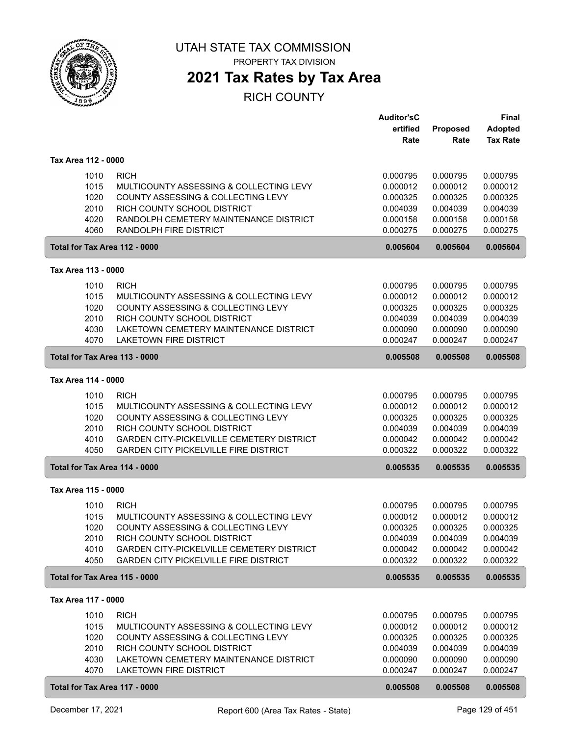

## **2021 Tax Rates by Tax Area**

|                                                                               |                                                                                                                                                                                                                          | <b>Auditor'sC</b><br>ertified<br>Rate                                            | Proposed<br>Rate                                                                 | <b>Final</b><br><b>Adopted</b><br><b>Tax Rate</b>                                |
|-------------------------------------------------------------------------------|--------------------------------------------------------------------------------------------------------------------------------------------------------------------------------------------------------------------------|----------------------------------------------------------------------------------|----------------------------------------------------------------------------------|----------------------------------------------------------------------------------|
| Tax Area 112 - 0000                                                           |                                                                                                                                                                                                                          |                                                                                  |                                                                                  |                                                                                  |
| 1010<br>1015<br>1020<br>2010<br>4020<br>4060                                  | <b>RICH</b><br>MULTICOUNTY ASSESSING & COLLECTING LEVY<br>COUNTY ASSESSING & COLLECTING LEVY<br>RICH COUNTY SCHOOL DISTRICT<br>RANDOLPH CEMETERY MAINTENANCE DISTRICT<br><b>RANDOLPH FIRE DISTRICT</b>                   | 0.000795<br>0.000012<br>0.000325<br>0.004039<br>0.000158<br>0.000275             | 0.000795<br>0.000012<br>0.000325<br>0.004039<br>0.000158<br>0.000275             | 0.000795<br>0.000012<br>0.000325<br>0.004039<br>0.000158<br>0.000275             |
| Total for Tax Area 112 - 0000                                                 |                                                                                                                                                                                                                          | 0.005604                                                                         | 0.005604                                                                         | 0.005604                                                                         |
| Tax Area 113 - 0000                                                           |                                                                                                                                                                                                                          |                                                                                  |                                                                                  |                                                                                  |
| 1010<br>1015<br>1020<br>2010<br>4030<br>4070                                  | <b>RICH</b><br>MULTICOUNTY ASSESSING & COLLECTING LEVY<br>COUNTY ASSESSING & COLLECTING LEVY<br>RICH COUNTY SCHOOL DISTRICT<br>LAKETOWN CEMETERY MAINTENANCE DISTRICT<br><b>LAKETOWN FIRE DISTRICT</b>                   | 0.000795<br>0.000012<br>0.000325<br>0.004039<br>0.000090<br>0.000247             | 0.000795<br>0.000012<br>0.000325<br>0.004039<br>0.000090<br>0.000247             | 0.000795<br>0.000012<br>0.000325<br>0.004039<br>0.000090<br>0.000247             |
| Total for Tax Area 113 - 0000                                                 |                                                                                                                                                                                                                          | 0.005508                                                                         | 0.005508                                                                         | 0.005508                                                                         |
| Tax Area 114 - 0000                                                           |                                                                                                                                                                                                                          |                                                                                  |                                                                                  |                                                                                  |
| 1010<br>1015<br>1020<br>2010<br>4010<br>4050                                  | <b>RICH</b><br>MULTICOUNTY ASSESSING & COLLECTING LEVY<br>COUNTY ASSESSING & COLLECTING LEVY<br>RICH COUNTY SCHOOL DISTRICT<br>GARDEN CITY-PICKELVILLE CEMETERY DISTRICT<br><b>GARDEN CITY PICKELVILLE FIRE DISTRICT</b> | 0.000795<br>0.000012<br>0.000325<br>0.004039<br>0.000042<br>0.000322             | 0.000795<br>0.000012<br>0.000325<br>0.004039<br>0.000042<br>0.000322             | 0.000795<br>0.000012<br>0.000325<br>0.004039<br>0.000042<br>0.000322             |
| Total for Tax Area 114 - 0000                                                 |                                                                                                                                                                                                                          | 0.005535                                                                         | 0.005535                                                                         | 0.005535                                                                         |
| Tax Area 115 - 0000                                                           |                                                                                                                                                                                                                          |                                                                                  |                                                                                  |                                                                                  |
| 1010<br>1015<br>1020<br>2010<br>4010<br>4050                                  | <b>RICH</b><br>MULTICOUNTY ASSESSING & COLLECTING LEVY<br>COUNTY ASSESSING & COLLECTING LEVY<br>RICH COUNTY SCHOOL DISTRICT<br>GARDEN CITY-PICKELVILLE CEMETERY DISTRICT<br><b>GARDEN CITY PICKELVILLE FIRE DISTRICT</b> | 0.000795<br>0.000012<br>0.000325<br>0.004039<br>0.000042<br>0.000322             | 0.000795<br>0.000012<br>0.000325<br>0.004039<br>0.000042<br>0.000322             | 0.000795<br>0.000012<br>0.000325<br>0.004039<br>0.000042<br>0.000322             |
| Total for Tax Area 115 - 0000                                                 |                                                                                                                                                                                                                          | 0.005535                                                                         | 0.005535                                                                         | 0.005535                                                                         |
| Tax Area 117 - 0000                                                           |                                                                                                                                                                                                                          |                                                                                  |                                                                                  |                                                                                  |
| 1010<br>1015<br>1020<br>2010<br>4030<br>4070<br>Total for Tax Area 117 - 0000 | <b>RICH</b><br>MULTICOUNTY ASSESSING & COLLECTING LEVY<br>COUNTY ASSESSING & COLLECTING LEVY<br>RICH COUNTY SCHOOL DISTRICT<br>LAKETOWN CEMETERY MAINTENANCE DISTRICT<br><b>LAKETOWN FIRE DISTRICT</b>                   | 0.000795<br>0.000012<br>0.000325<br>0.004039<br>0.000090<br>0.000247<br>0.005508 | 0.000795<br>0.000012<br>0.000325<br>0.004039<br>0.000090<br>0.000247<br>0.005508 | 0.000795<br>0.000012<br>0.000325<br>0.004039<br>0.000090<br>0.000247<br>0.005508 |
|                                                                               |                                                                                                                                                                                                                          |                                                                                  |                                                                                  |                                                                                  |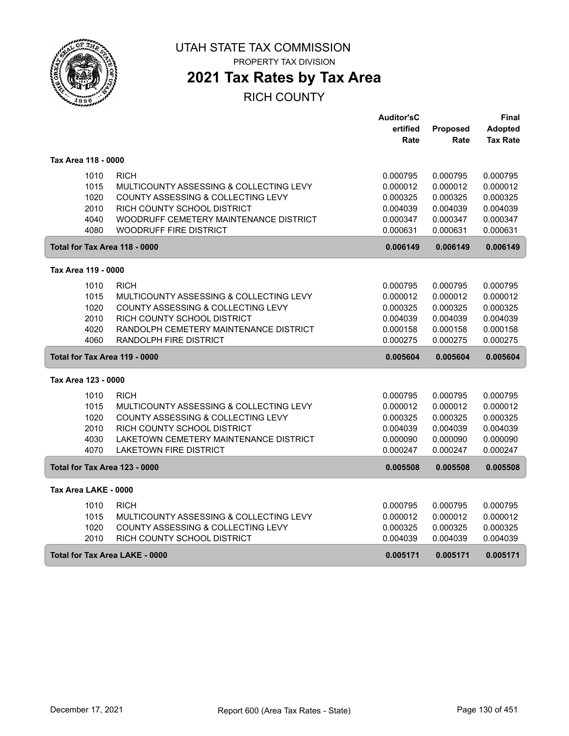

## **2021 Tax Rates by Tax Area**

|                                |                                                        | <b>Auditor'sC</b>    |                      | Final                |
|--------------------------------|--------------------------------------------------------|----------------------|----------------------|----------------------|
|                                |                                                        | ertified             | <b>Proposed</b>      | <b>Adopted</b>       |
|                                |                                                        | Rate                 | Rate                 | <b>Tax Rate</b>      |
|                                |                                                        |                      |                      |                      |
| Tax Area 118 - 0000            |                                                        |                      |                      |                      |
| 1010                           | <b>RICH</b>                                            | 0.000795             | 0.000795             | 0.000795             |
| 1015                           | MULTICOUNTY ASSESSING & COLLECTING LEVY                | 0.000012             | 0.000012             | 0.000012             |
| 1020                           | COUNTY ASSESSING & COLLECTING LEVY                     | 0.000325             | 0.000325             | 0.000325             |
| 2010                           | RICH COUNTY SCHOOL DISTRICT                            | 0.004039             | 0.004039             | 0.004039             |
| 4040                           | WOODRUFF CEMETERY MAINTENANCE DISTRICT                 | 0.000347             | 0.000347             | 0.000347             |
| 4080                           | <b>WOODRUFF FIRE DISTRICT</b>                          | 0.000631             | 0.000631             | 0.000631             |
| Total for Tax Area 118 - 0000  |                                                        | 0.006149             | 0.006149             | 0.006149             |
|                                |                                                        |                      |                      |                      |
| Tax Area 119 - 0000            |                                                        |                      |                      |                      |
| 1010                           | <b>RICH</b>                                            | 0.000795             | 0.000795             | 0.000795             |
| 1015                           | MULTICOUNTY ASSESSING & COLLECTING LEVY                | 0.000012             | 0.000012             | 0.000012             |
| 1020                           | COUNTY ASSESSING & COLLECTING LEVY                     | 0.000325             | 0.000325             | 0.000325             |
| 2010                           | RICH COUNTY SCHOOL DISTRICT                            | 0.004039             | 0.004039             | 0.004039             |
| 4020                           | RANDOLPH CEMETERY MAINTENANCE DISTRICT                 | 0.000158             | 0.000158             | 0.000158             |
| 4060                           | RANDOLPH FIRE DISTRICT                                 | 0.000275             | 0.000275             | 0.000275             |
| Total for Tax Area 119 - 0000  |                                                        | 0.005604             | 0.005604             | 0.005604             |
| Tax Area 123 - 0000            |                                                        |                      |                      |                      |
|                                |                                                        |                      |                      |                      |
| 1010<br>1015                   | <b>RICH</b><br>MULTICOUNTY ASSESSING & COLLECTING LEVY | 0.000795<br>0.000012 | 0.000795<br>0.000012 | 0.000795<br>0.000012 |
| 1020                           | COUNTY ASSESSING & COLLECTING LEVY                     | 0.000325             | 0.000325             | 0.000325             |
| 2010                           | RICH COUNTY SCHOOL DISTRICT                            | 0.004039             | 0.004039             | 0.004039             |
| 4030                           | LAKETOWN CEMETERY MAINTENANCE DISTRICT                 | 0.000090             | 0.000090             | 0.000090             |
| 4070                           | <b>LAKETOWN FIRE DISTRICT</b>                          | 0.000247             | 0.000247             | 0.000247             |
| Total for Tax Area 123 - 0000  |                                                        | 0.005508             | 0.005508             | 0.005508             |
|                                |                                                        |                      |                      |                      |
| Tax Area LAKE - 0000           |                                                        |                      |                      |                      |
| 1010                           | <b>RICH</b>                                            | 0.000795             | 0.000795             | 0.000795             |
| 1015                           | MULTICOUNTY ASSESSING & COLLECTING LEVY                | 0.000012             | 0.000012             | 0.000012             |
| 1020                           | COUNTY ASSESSING & COLLECTING LEVY                     | 0.000325             | 0.000325             | 0.000325             |
| 2010                           | RICH COUNTY SCHOOL DISTRICT                            | 0.004039             | 0.004039             | 0.004039             |
| Total for Tax Area LAKE - 0000 |                                                        | 0.005171             | 0.005171             | 0.005171             |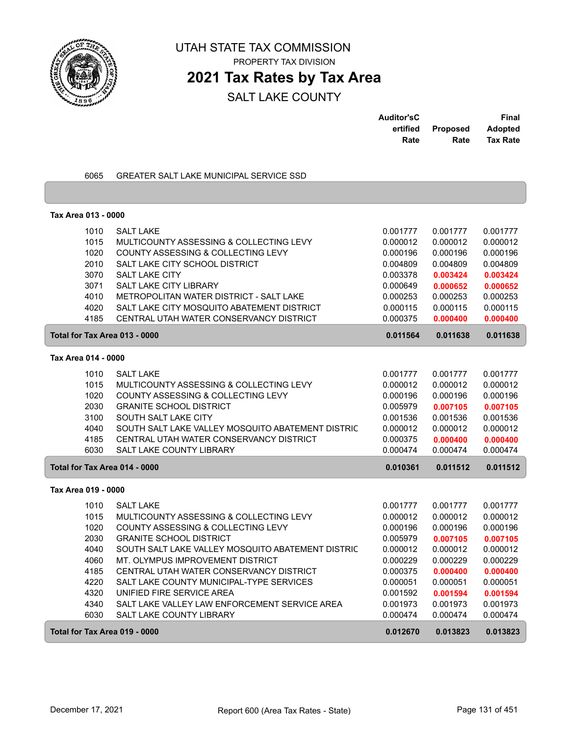

## **2021 Tax Rates by Tax Area**

| <b>Auditor'sC</b> |                 | Final           |
|-------------------|-----------------|-----------------|
| ertified          | <b>Proposed</b> | <b>Adopted</b>  |
| Rate              | Rate            | <b>Tax Rate</b> |

| 6065                          | GREATER SALT LAKE MUNICIPAL SERVICE SSD           |          |          |          |
|-------------------------------|---------------------------------------------------|----------|----------|----------|
|                               |                                                   |          |          |          |
|                               |                                                   |          |          |          |
| Tax Area 013 - 0000           |                                                   |          |          |          |
| 1010                          | <b>SALT LAKE</b>                                  | 0.001777 | 0.001777 | 0.001777 |
| 1015                          | MULTICOUNTY ASSESSING & COLLECTING LEVY           | 0.000012 | 0.000012 | 0.000012 |
| 1020                          | COUNTY ASSESSING & COLLECTING LEVY                | 0.000196 | 0.000196 | 0.000196 |
| 2010                          | SALT LAKE CITY SCHOOL DISTRICT                    | 0.004809 | 0.004809 | 0.004809 |
| 3070                          | <b>SALT LAKE CITY</b>                             | 0.003378 | 0.003424 | 0.003424 |
| 3071                          | SALT LAKE CITY LIBRARY                            | 0.000649 | 0.000652 | 0.000652 |
| 4010                          | METROPOLITAN WATER DISTRICT - SALT LAKE           | 0.000253 | 0.000253 | 0.000253 |
| 4020                          | SALT LAKE CITY MOSQUITO ABATEMENT DISTRICT        | 0.000115 | 0.000115 | 0.000115 |
| 4185                          | CENTRAL UTAH WATER CONSERVANCY DISTRICT           | 0.000375 | 0.000400 | 0.000400 |
| Total for Tax Area 013 - 0000 |                                                   | 0.011564 | 0.011638 | 0.011638 |
| Tax Area 014 - 0000           |                                                   |          |          |          |
| 1010                          | <b>SALT LAKE</b>                                  | 0.001777 | 0.001777 | 0.001777 |
| 1015                          | MULTICOUNTY ASSESSING & COLLECTING LEVY           | 0.000012 | 0.000012 | 0.000012 |
| 1020                          | COUNTY ASSESSING & COLLECTING LEVY                | 0.000196 | 0.000196 | 0.000196 |
| 2030                          | <b>GRANITE SCHOOL DISTRICT</b>                    | 0.005979 | 0.007105 | 0.007105 |
| 3100                          | SOUTH SALT LAKE CITY                              | 0.001536 | 0.001536 | 0.001536 |
| 4040                          | SOUTH SALT LAKE VALLEY MOSQUITO ABATEMENT DISTRIC | 0.000012 | 0.000012 | 0.000012 |
| 4185                          | CENTRAL UTAH WATER CONSERVANCY DISTRICT           | 0.000375 | 0.000400 | 0.000400 |
| 6030                          | SALT LAKE COUNTY LIBRARY                          | 0.000474 | 0.000474 | 0.000474 |
| Total for Tax Area 014 - 0000 |                                                   | 0.010361 | 0.011512 | 0.011512 |
|                               |                                                   |          |          |          |
| Tax Area 019 - 0000           |                                                   |          |          |          |
| 1010                          | <b>SALT LAKE</b>                                  | 0.001777 | 0.001777 | 0.001777 |
| 1015                          | MULTICOUNTY ASSESSING & COLLECTING LEVY           | 0.000012 | 0.000012 | 0.000012 |
| 1020                          | COUNTY ASSESSING & COLLECTING LEVY                | 0.000196 | 0.000196 | 0.000196 |
| 2030                          | <b>GRANITE SCHOOL DISTRICT</b>                    | 0.005979 | 0.007105 | 0.007105 |
| 4040                          | SOUTH SALT LAKE VALLEY MOSQUITO ABATEMENT DISTRIC | 0.000012 | 0.000012 | 0.000012 |
| 4060                          | MT. OLYMPUS IMPROVEMENT DISTRICT                  | 0.000229 | 0.000229 | 0.000229 |
| 4185                          | CENTRAL UTAH WATER CONSERVANCY DISTRICT           | 0.000375 | 0.000400 | 0.000400 |
| 4220                          | SALT LAKE COUNTY MUNICIPAL-TYPE SERVICES          | 0.000051 | 0.000051 | 0.000051 |
| 4320                          | UNIFIED FIRE SERVICE AREA                         | 0.001592 | 0.001594 | 0.001594 |
| 4340                          | SALT LAKE VALLEY LAW ENFORCEMENT SERVICE AREA     | 0.001973 | 0.001973 | 0.001973 |
| 6030                          | <b>SALT LAKE COUNTY LIBRARY</b>                   | 0.000474 | 0.000474 | 0.000474 |
| Total for Tax Area 019 - 0000 |                                                   | 0.012670 | 0.013823 | 0.013823 |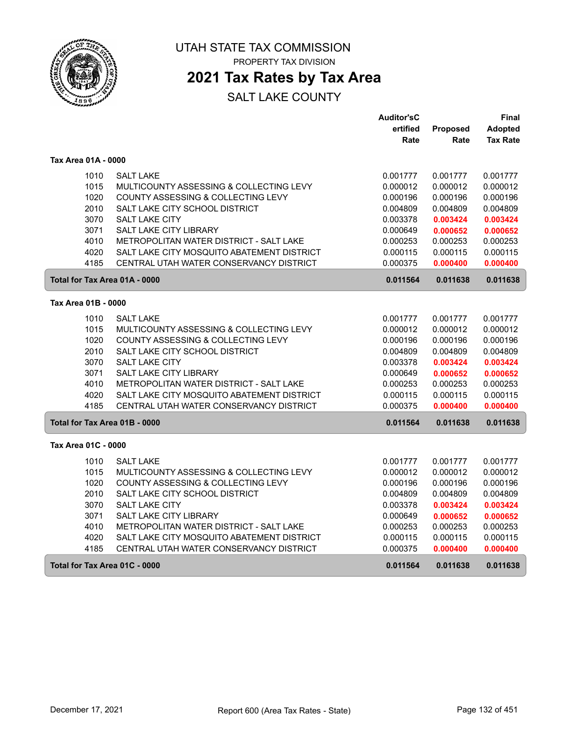

PROPERTY TAX DIVISION

## **2021 Tax Rates by Tax Area**

|                               |                                            | <b>Auditor'sC</b> |          | Final           |
|-------------------------------|--------------------------------------------|-------------------|----------|-----------------|
|                               |                                            | ertified          | Proposed | Adopted         |
|                               |                                            | Rate              | Rate     | <b>Tax Rate</b> |
| Tax Area 01A - 0000           |                                            |                   |          |                 |
| 1010                          | <b>SALT LAKE</b>                           | 0.001777          | 0.001777 | 0.001777        |
| 1015                          | MULTICOUNTY ASSESSING & COLLECTING LEVY    | 0.000012          | 0.000012 | 0.000012        |
| 1020                          | COUNTY ASSESSING & COLLECTING LEVY         | 0.000196          | 0.000196 | 0.000196        |
| 2010                          | SALT LAKE CITY SCHOOL DISTRICT             | 0.004809          | 0.004809 | 0.004809        |
| 3070                          | <b>SALT LAKE CITY</b>                      | 0.003378          | 0.003424 | 0.003424        |
| 3071                          | SALT LAKE CITY LIBRARY                     | 0.000649          | 0.000652 | 0.000652        |
| 4010                          | METROPOLITAN WATER DISTRICT - SALT LAKE    | 0.000253          | 0.000253 | 0.000253        |
| 4020                          | SALT LAKE CITY MOSQUITO ABATEMENT DISTRICT | 0.000115          | 0.000115 | 0.000115        |
| 4185                          | CENTRAL UTAH WATER CONSERVANCY DISTRICT    | 0.000375          | 0.000400 | 0.000400        |
| Total for Tax Area 01A - 0000 |                                            | 0.011564          | 0.011638 | 0.011638        |
| Tax Area 01B - 0000           |                                            |                   |          |                 |
| 1010                          | <b>SALT LAKE</b>                           | 0.001777          | 0.001777 | 0.001777        |
| 1015                          | MULTICOUNTY ASSESSING & COLLECTING LEVY    | 0.000012          | 0.000012 | 0.000012        |
| 1020                          | COUNTY ASSESSING & COLLECTING LEVY         | 0.000196          | 0.000196 | 0.000196        |
| 2010                          | SALT LAKE CITY SCHOOL DISTRICT             | 0.004809          | 0.004809 | 0.004809        |
| 3070                          | <b>SALT LAKE CITY</b>                      | 0.003378          | 0.003424 | 0.003424        |
| 3071                          | SALT LAKE CITY LIBRARY                     | 0.000649          | 0.000652 | 0.000652        |
| 4010                          | METROPOLITAN WATER DISTRICT - SALT LAKE    | 0.000253          | 0.000253 | 0.000253        |
| 4020                          | SALT LAKE CITY MOSQUITO ABATEMENT DISTRICT | 0.000115          | 0.000115 | 0.000115        |
| 4185                          | CENTRAL UTAH WATER CONSERVANCY DISTRICT    | 0.000375          | 0.000400 | 0.000400        |
| Total for Tax Area 01B - 0000 |                                            | 0.011564          | 0.011638 | 0.011638        |
| Tax Area 01C - 0000           |                                            |                   |          |                 |
| 1010                          | <b>SALT LAKE</b>                           | 0.001777          | 0.001777 | 0.001777        |
| 1015                          | MULTICOUNTY ASSESSING & COLLECTING LEVY    | 0.000012          | 0.000012 | 0.000012        |
| 1020                          | COUNTY ASSESSING & COLLECTING LEVY         | 0.000196          | 0.000196 | 0.000196        |
| 2010                          | SALT LAKE CITY SCHOOL DISTRICT             | 0.004809          | 0.004809 | 0.004809        |
| 3070                          | SALT LAKE CITY                             | 0.003378          | 0.003424 | 0.003424        |
| 3071                          | SALT LAKE CITY LIBRARY                     | 0.000649          | 0.000652 | 0.000652        |
| 4010                          | METROPOLITAN WATER DISTRICT - SALT LAKE    | 0.000253          | 0.000253 | 0.000253        |
| 4020                          | SALT LAKE CITY MOSQUITO ABATEMENT DISTRICT | 0.000115          | 0.000115 | 0.000115        |
| 4185                          | CENTRAL UTAH WATER CONSERVANCY DISTRICT    | 0.000375          | 0.000400 | 0.000400        |
| Total for Tax Area 01C - 0000 |                                            | 0.011564          | 0.011638 | 0.011638        |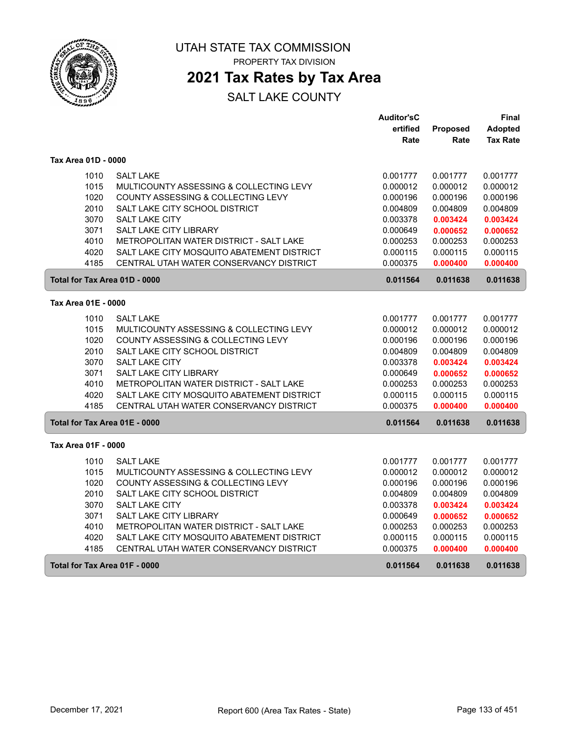

PROPERTY TAX DIVISION

## **2021 Tax Rates by Tax Area**

|                               |                                            | <b>Auditor'sC</b> |          | Final           |
|-------------------------------|--------------------------------------------|-------------------|----------|-----------------|
|                               |                                            | ertified          | Proposed | Adopted         |
|                               |                                            | Rate              | Rate     | <b>Tax Rate</b> |
| Tax Area 01D - 0000           |                                            |                   |          |                 |
| 1010                          | <b>SALT LAKE</b>                           | 0.001777          | 0.001777 | 0.001777        |
| 1015                          | MULTICOUNTY ASSESSING & COLLECTING LEVY    | 0.000012          | 0.000012 | 0.000012        |
| 1020                          | COUNTY ASSESSING & COLLECTING LEVY         | 0.000196          | 0.000196 | 0.000196        |
| 2010                          | SALT LAKE CITY SCHOOL DISTRICT             | 0.004809          | 0.004809 | 0.004809        |
| 3070                          | <b>SALT LAKE CITY</b>                      | 0.003378          | 0.003424 | 0.003424        |
| 3071                          | SALT LAKE CITY LIBRARY                     | 0.000649          | 0.000652 | 0.000652        |
| 4010                          | METROPOLITAN WATER DISTRICT - SALT LAKE    | 0.000253          | 0.000253 | 0.000253        |
| 4020                          | SALT LAKE CITY MOSQUITO ABATEMENT DISTRICT | 0.000115          | 0.000115 | 0.000115        |
| 4185                          | CENTRAL UTAH WATER CONSERVANCY DISTRICT    | 0.000375          | 0.000400 | 0.000400        |
| Total for Tax Area 01D - 0000 |                                            | 0.011564          | 0.011638 | 0.011638        |
| Tax Area 01E - 0000           |                                            |                   |          |                 |
| 1010                          | <b>SALT LAKE</b>                           | 0.001777          | 0.001777 | 0.001777        |
| 1015                          | MULTICOUNTY ASSESSING & COLLECTING LEVY    | 0.000012          | 0.000012 | 0.000012        |
| 1020                          | COUNTY ASSESSING & COLLECTING LEVY         | 0.000196          | 0.000196 | 0.000196        |
| 2010                          | SALT LAKE CITY SCHOOL DISTRICT             | 0.004809          | 0.004809 | 0.004809        |
| 3070                          | <b>SALT LAKE CITY</b>                      | 0.003378          | 0.003424 | 0.003424        |
| 3071                          | SALT LAKE CITY LIBRARY                     | 0.000649          | 0.000652 | 0.000652        |
| 4010                          | METROPOLITAN WATER DISTRICT - SALT LAKE    | 0.000253          | 0.000253 | 0.000253        |
| 4020                          | SALT LAKE CITY MOSQUITO ABATEMENT DISTRICT | 0.000115          | 0.000115 | 0.000115        |
| 4185                          | CENTRAL UTAH WATER CONSERVANCY DISTRICT    | 0.000375          | 0.000400 | 0.000400        |
| Total for Tax Area 01E - 0000 |                                            | 0.011564          | 0.011638 | 0.011638        |
| Tax Area 01F - 0000           |                                            |                   |          |                 |
| 1010                          | <b>SALT LAKE</b>                           | 0.001777          | 0.001777 | 0.001777        |
| 1015                          | MULTICOUNTY ASSESSING & COLLECTING LEVY    | 0.000012          | 0.000012 | 0.000012        |
| 1020                          | COUNTY ASSESSING & COLLECTING LEVY         | 0.000196          | 0.000196 | 0.000196        |
| 2010                          | SALT LAKE CITY SCHOOL DISTRICT             | 0.004809          | 0.004809 | 0.004809        |
| 3070                          | SALT LAKE CITY                             | 0.003378          | 0.003424 | 0.003424        |
| 3071                          | SALT LAKE CITY LIBRARY                     | 0.000649          | 0.000652 | 0.000652        |
| 4010                          | METROPOLITAN WATER DISTRICT - SALT LAKE    | 0.000253          | 0.000253 | 0.000253        |
| 4020                          | SALT LAKE CITY MOSQUITO ABATEMENT DISTRICT | 0.000115          | 0.000115 | 0.000115        |
| 4185                          | CENTRAL UTAH WATER CONSERVANCY DISTRICT    | 0.000375          | 0.000400 | 0.000400        |
| Total for Tax Area 01F - 0000 |                                            | 0.011564          | 0.011638 | 0.011638        |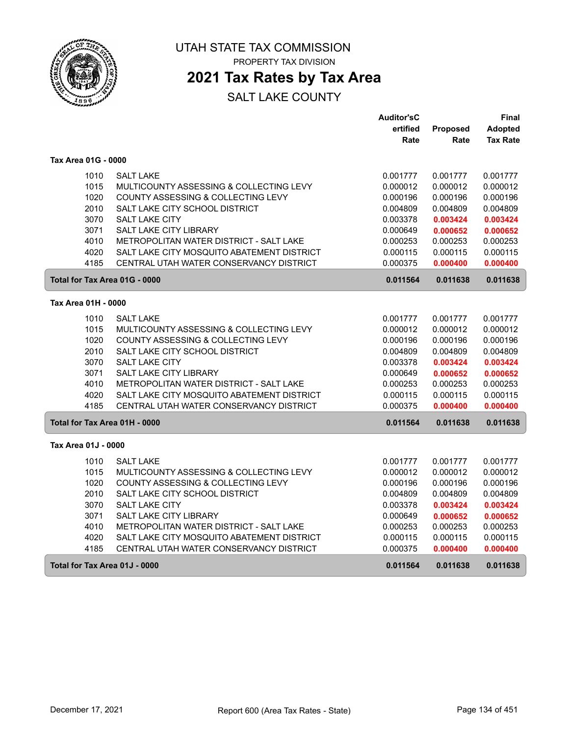

PROPERTY TAX DIVISION

## **2021 Tax Rates by Tax Area**

|                               |                                            | <b>Auditor'sC</b> |          | Final           |
|-------------------------------|--------------------------------------------|-------------------|----------|-----------------|
|                               |                                            | ertified          | Proposed | <b>Adopted</b>  |
|                               |                                            | Rate              | Rate     | <b>Tax Rate</b> |
| Tax Area 01G - 0000           |                                            |                   |          |                 |
| 1010                          | <b>SALT LAKE</b>                           | 0.001777          | 0.001777 | 0.001777        |
| 1015                          | MULTICOUNTY ASSESSING & COLLECTING LEVY    | 0.000012          | 0.000012 | 0.000012        |
| 1020                          | COUNTY ASSESSING & COLLECTING LEVY         | 0.000196          | 0.000196 | 0.000196        |
| 2010                          | SALT LAKE CITY SCHOOL DISTRICT             | 0.004809          | 0.004809 | 0.004809        |
| 3070                          | <b>SALT LAKE CITY</b>                      | 0.003378          | 0.003424 | 0.003424        |
| 3071                          | SALT LAKE CITY LIBRARY                     | 0.000649          | 0.000652 | 0.000652        |
| 4010                          | METROPOLITAN WATER DISTRICT - SALT LAKE    | 0.000253          | 0.000253 | 0.000253        |
| 4020                          | SALT LAKE CITY MOSQUITO ABATEMENT DISTRICT | 0.000115          | 0.000115 | 0.000115        |
| 4185                          | CENTRAL UTAH WATER CONSERVANCY DISTRICT    | 0.000375          | 0.000400 | 0.000400        |
| Total for Tax Area 01G - 0000 |                                            | 0.011564          | 0.011638 | 0.011638        |
| Tax Area 01H - 0000           |                                            |                   |          |                 |
| 1010                          | <b>SALT LAKE</b>                           | 0.001777          | 0.001777 | 0.001777        |
| 1015                          | MULTICOUNTY ASSESSING & COLLECTING LEVY    | 0.000012          | 0.000012 | 0.000012        |
| 1020                          | COUNTY ASSESSING & COLLECTING LEVY         | 0.000196          | 0.000196 | 0.000196        |
| 2010                          | SALT LAKE CITY SCHOOL DISTRICT             | 0.004809          | 0.004809 | 0.004809        |
| 3070                          | <b>SALT LAKE CITY</b>                      | 0.003378          | 0.003424 | 0.003424        |
| 3071                          | SALT LAKE CITY LIBRARY                     | 0.000649          | 0.000652 | 0.000652        |
| 4010                          | METROPOLITAN WATER DISTRICT - SALT LAKE    | 0.000253          | 0.000253 | 0.000253        |
| 4020                          | SALT LAKE CITY MOSQUITO ABATEMENT DISTRICT | 0.000115          | 0.000115 | 0.000115        |
| 4185                          | CENTRAL UTAH WATER CONSERVANCY DISTRICT    | 0.000375          | 0.000400 | 0.000400        |
| Total for Tax Area 01H - 0000 |                                            | 0.011564          | 0.011638 | 0.011638        |
| Tax Area 01J - 0000           |                                            |                   |          |                 |
| 1010                          | <b>SALT LAKE</b>                           | 0.001777          | 0.001777 | 0.001777        |
| 1015                          | MULTICOUNTY ASSESSING & COLLECTING LEVY    | 0.000012          | 0.000012 | 0.000012        |
| 1020                          | COUNTY ASSESSING & COLLECTING LEVY         | 0.000196          | 0.000196 | 0.000196        |
| 2010                          | SALT LAKE CITY SCHOOL DISTRICT             | 0.004809          | 0.004809 | 0.004809        |
| 3070                          | SALT LAKE CITY                             | 0.003378          | 0.003424 | 0.003424        |
| 3071                          | SALT LAKE CITY LIBRARY                     | 0.000649          | 0.000652 | 0.000652        |
| 4010                          | METROPOLITAN WATER DISTRICT - SALT LAKE    | 0.000253          | 0.000253 | 0.000253        |
| 4020                          | SALT LAKE CITY MOSQUITO ABATEMENT DISTRICT | 0.000115          | 0.000115 | 0.000115        |
| 4185                          | CENTRAL UTAH WATER CONSERVANCY DISTRICT    | 0.000375          | 0.000400 | 0.000400        |
| Total for Tax Area 01J - 0000 |                                            | 0.011564          | 0.011638 | 0.011638        |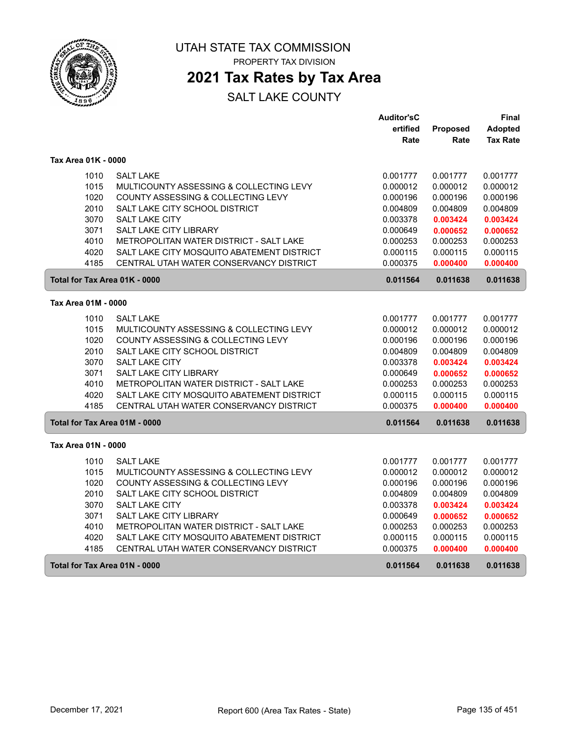

PROPERTY TAX DIVISION

## **2021 Tax Rates by Tax Area**

|                               |                                            | <b>Auditor'sC</b> |          | Final           |
|-------------------------------|--------------------------------------------|-------------------|----------|-----------------|
|                               |                                            | ertified          | Proposed | Adopted         |
|                               |                                            | Rate              | Rate     | <b>Tax Rate</b> |
| Tax Area 01K - 0000           |                                            |                   |          |                 |
| 1010                          | <b>SALT LAKE</b>                           | 0.001777          | 0.001777 | 0.001777        |
| 1015                          | MULTICOUNTY ASSESSING & COLLECTING LEVY    | 0.000012          | 0.000012 | 0.000012        |
| 1020                          | COUNTY ASSESSING & COLLECTING LEVY         | 0.000196          | 0.000196 | 0.000196        |
| 2010                          | SALT LAKE CITY SCHOOL DISTRICT             | 0.004809          | 0.004809 | 0.004809        |
| 3070                          | SALT LAKE CITY                             | 0.003378          | 0.003424 | 0.003424        |
| 3071                          | SALT LAKE CITY LIBRARY                     | 0.000649          | 0.000652 | 0.000652        |
| 4010                          | METROPOLITAN WATER DISTRICT - SALT LAKE    | 0.000253          | 0.000253 | 0.000253        |
| 4020                          | SALT LAKE CITY MOSQUITO ABATEMENT DISTRICT | 0.000115          | 0.000115 | 0.000115        |
| 4185                          | CENTRAL UTAH WATER CONSERVANCY DISTRICT    | 0.000375          | 0.000400 | 0.000400        |
| Total for Tax Area 01K - 0000 |                                            | 0.011564          | 0.011638 | 0.011638        |
| Tax Area 01M - 0000           |                                            |                   |          |                 |
| 1010                          | <b>SALT LAKE</b>                           | 0.001777          | 0.001777 | 0.001777        |
| 1015                          | MULTICOUNTY ASSESSING & COLLECTING LEVY    | 0.000012          | 0.000012 | 0.000012        |
| 1020                          | COUNTY ASSESSING & COLLECTING LEVY         | 0.000196          | 0.000196 | 0.000196        |
| 2010                          | SALT LAKE CITY SCHOOL DISTRICT             | 0.004809          | 0.004809 | 0.004809        |
| 3070                          | <b>SALT LAKE CITY</b>                      | 0.003378          | 0.003424 | 0.003424        |
| 3071                          | SALT LAKE CITY LIBRARY                     | 0.000649          | 0.000652 | 0.000652        |
| 4010                          | METROPOLITAN WATER DISTRICT - SALT LAKE    | 0.000253          | 0.000253 | 0.000253        |
| 4020                          | SALT LAKE CITY MOSQUITO ABATEMENT DISTRICT | 0.000115          | 0.000115 | 0.000115        |
| 4185                          | CENTRAL UTAH WATER CONSERVANCY DISTRICT    | 0.000375          | 0.000400 | 0.000400        |
| Total for Tax Area 01M - 0000 |                                            | 0.011564          | 0.011638 | 0.011638        |
| Tax Area 01N - 0000           |                                            |                   |          |                 |
| 1010                          | <b>SALT LAKE</b>                           | 0.001777          | 0.001777 | 0.001777        |
| 1015                          | MULTICOUNTY ASSESSING & COLLECTING LEVY    | 0.000012          | 0.000012 | 0.000012        |
| 1020                          | COUNTY ASSESSING & COLLECTING LEVY         | 0.000196          | 0.000196 | 0.000196        |
| 2010                          | SALT LAKE CITY SCHOOL DISTRICT             | 0.004809          | 0.004809 | 0.004809        |
| 3070                          | SALT LAKE CITY                             | 0.003378          | 0.003424 | 0.003424        |
| 3071                          | SALT LAKE CITY LIBRARY                     | 0.000649          | 0.000652 | 0.000652        |
| 4010                          | METROPOLITAN WATER DISTRICT - SALT LAKE    | 0.000253          | 0.000253 | 0.000253        |
| 4020                          | SALT LAKE CITY MOSQUITO ABATEMENT DISTRICT | 0.000115          | 0.000115 | 0.000115        |
| 4185                          | CENTRAL UTAH WATER CONSERVANCY DISTRICT    | 0.000375          | 0.000400 | 0.000400        |
| Total for Tax Area 01N - 0000 |                                            | 0.011564          | 0.011638 | 0.011638        |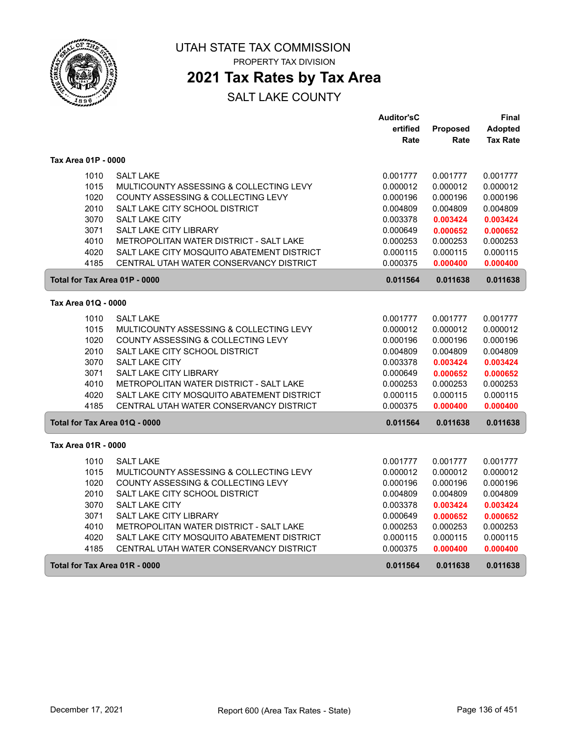

PROPERTY TAX DIVISION

## **2021 Tax Rates by Tax Area**

|                               |                                            | <b>Auditor'sC</b> |          | Final           |
|-------------------------------|--------------------------------------------|-------------------|----------|-----------------|
|                               |                                            | ertified          | Proposed | Adopted         |
|                               |                                            | Rate              | Rate     | <b>Tax Rate</b> |
| Tax Area 01P - 0000           |                                            |                   |          |                 |
| 1010                          | <b>SALT LAKE</b>                           | 0.001777          | 0.001777 | 0.001777        |
| 1015                          | MULTICOUNTY ASSESSING & COLLECTING LEVY    | 0.000012          | 0.000012 | 0.000012        |
| 1020                          | COUNTY ASSESSING & COLLECTING LEVY         | 0.000196          | 0.000196 | 0.000196        |
| 2010                          | SALT LAKE CITY SCHOOL DISTRICT             | 0.004809          | 0.004809 | 0.004809        |
| 3070                          | SALT LAKE CITY                             | 0.003378          | 0.003424 | 0.003424        |
| 3071                          | SALT LAKE CITY LIBRARY                     | 0.000649          | 0.000652 | 0.000652        |
| 4010                          | METROPOLITAN WATER DISTRICT - SALT LAKE    | 0.000253          | 0.000253 | 0.000253        |
| 4020                          | SALT LAKE CITY MOSQUITO ABATEMENT DISTRICT | 0.000115          | 0.000115 | 0.000115        |
| 4185                          | CENTRAL UTAH WATER CONSERVANCY DISTRICT    | 0.000375          | 0.000400 | 0.000400        |
| Total for Tax Area 01P - 0000 |                                            | 0.011564          | 0.011638 | 0.011638        |
| Tax Area 01Q - 0000           |                                            |                   |          |                 |
| 1010                          | <b>SALT LAKE</b>                           | 0.001777          | 0.001777 | 0.001777        |
| 1015                          | MULTICOUNTY ASSESSING & COLLECTING LEVY    | 0.000012          | 0.000012 | 0.000012        |
| 1020                          | COUNTY ASSESSING & COLLECTING LEVY         | 0.000196          | 0.000196 | 0.000196        |
| 2010                          | SALT LAKE CITY SCHOOL DISTRICT             | 0.004809          | 0.004809 | 0.004809        |
| 3070                          | <b>SALT LAKE CITY</b>                      | 0.003378          | 0.003424 | 0.003424        |
| 3071                          | SALT LAKE CITY LIBRARY                     | 0.000649          | 0.000652 | 0.000652        |
| 4010                          | METROPOLITAN WATER DISTRICT - SALT LAKE    | 0.000253          | 0.000253 | 0.000253        |
| 4020                          | SALT LAKE CITY MOSQUITO ABATEMENT DISTRICT | 0.000115          | 0.000115 | 0.000115        |
| 4185                          | CENTRAL UTAH WATER CONSERVANCY DISTRICT    | 0.000375          | 0.000400 | 0.000400        |
| Total for Tax Area 01Q - 0000 |                                            | 0.011564          | 0.011638 | 0.011638        |
| Tax Area 01R - 0000           |                                            |                   |          |                 |
| 1010                          | <b>SALT LAKE</b>                           | 0.001777          | 0.001777 | 0.001777        |
| 1015                          | MULTICOUNTY ASSESSING & COLLECTING LEVY    | 0.000012          | 0.000012 | 0.000012        |
| 1020                          | COUNTY ASSESSING & COLLECTING LEVY         | 0.000196          | 0.000196 | 0.000196        |
| 2010                          | SALT LAKE CITY SCHOOL DISTRICT             | 0.004809          | 0.004809 | 0.004809        |
| 3070                          | SALT LAKE CITY                             | 0.003378          | 0.003424 | 0.003424        |
| 3071                          | <b>SALT LAKE CITY LIBRARY</b>              | 0.000649          | 0.000652 | 0.000652        |
| 4010                          | METROPOLITAN WATER DISTRICT - SALT LAKE    | 0.000253          | 0.000253 | 0.000253        |
| 4020                          | SALT LAKE CITY MOSQUITO ABATEMENT DISTRICT | 0.000115          | 0.000115 | 0.000115        |
| 4185                          | CENTRAL UTAH WATER CONSERVANCY DISTRICT    | 0.000375          | 0.000400 | 0.000400        |
| Total for Tax Area 01R - 0000 |                                            | 0.011564          | 0.011638 | 0.011638        |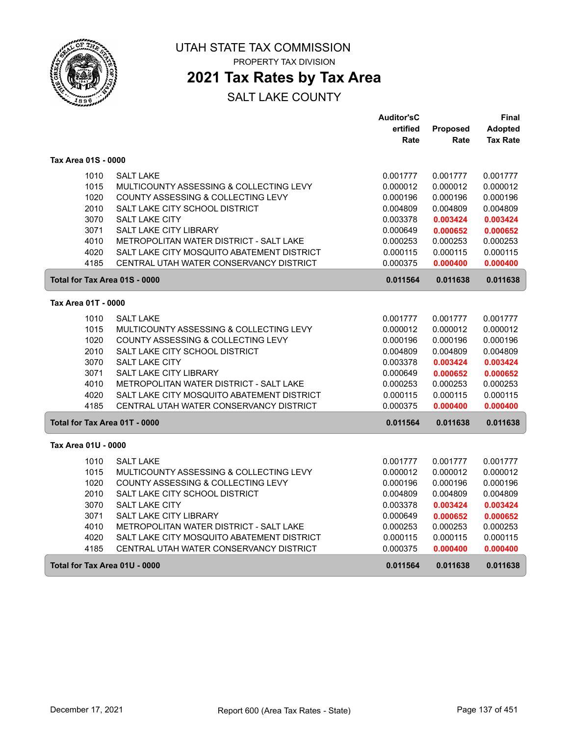

PROPERTY TAX DIVISION

## **2021 Tax Rates by Tax Area**

|                               |                                            | <b>Auditor'sC</b> |          | Final           |
|-------------------------------|--------------------------------------------|-------------------|----------|-----------------|
|                               |                                            | ertified          | Proposed | Adopted         |
|                               |                                            | Rate              | Rate     | <b>Tax Rate</b> |
| Tax Area 01S - 0000           |                                            |                   |          |                 |
| 1010                          | <b>SALT LAKE</b>                           | 0.001777          | 0.001777 | 0.001777        |
| 1015                          | MULTICOUNTY ASSESSING & COLLECTING LEVY    | 0.000012          | 0.000012 | 0.000012        |
| 1020                          | COUNTY ASSESSING & COLLECTING LEVY         | 0.000196          | 0.000196 | 0.000196        |
| 2010                          | SALT LAKE CITY SCHOOL DISTRICT             | 0.004809          | 0.004809 | 0.004809        |
| 3070                          | SALT LAKE CITY                             | 0.003378          | 0.003424 | 0.003424        |
| 3071                          | SALT LAKE CITY LIBRARY                     | 0.000649          | 0.000652 | 0.000652        |
| 4010                          | METROPOLITAN WATER DISTRICT - SALT LAKE    | 0.000253          | 0.000253 | 0.000253        |
| 4020                          | SALT LAKE CITY MOSQUITO ABATEMENT DISTRICT | 0.000115          | 0.000115 | 0.000115        |
| 4185                          | CENTRAL UTAH WATER CONSERVANCY DISTRICT    | 0.000375          | 0.000400 | 0.000400        |
| Total for Tax Area 01S - 0000 |                                            | 0.011564          | 0.011638 | 0.011638        |
| Tax Area 01T - 0000           |                                            |                   |          |                 |
| 1010                          | <b>SALT LAKE</b>                           | 0.001777          | 0.001777 | 0.001777        |
| 1015                          | MULTICOUNTY ASSESSING & COLLECTING LEVY    | 0.000012          | 0.000012 | 0.000012        |
| 1020                          | COUNTY ASSESSING & COLLECTING LEVY         | 0.000196          | 0.000196 | 0.000196        |
| 2010                          | SALT LAKE CITY SCHOOL DISTRICT             | 0.004809          | 0.004809 | 0.004809        |
| 3070                          | <b>SALT LAKE CITY</b>                      | 0.003378          | 0.003424 | 0.003424        |
| 3071                          | SALT LAKE CITY LIBRARY                     | 0.000649          | 0.000652 | 0.000652        |
| 4010                          | METROPOLITAN WATER DISTRICT - SALT LAKE    | 0.000253          | 0.000253 | 0.000253        |
| 4020                          | SALT LAKE CITY MOSQUITO ABATEMENT DISTRICT | 0.000115          | 0.000115 | 0.000115        |
| 4185                          | CENTRAL UTAH WATER CONSERVANCY DISTRICT    | 0.000375          | 0.000400 | 0.000400        |
| Total for Tax Area 01T - 0000 |                                            | 0.011564          | 0.011638 | 0.011638        |
| Tax Area 01U - 0000           |                                            |                   |          |                 |
| 1010                          | <b>SALT LAKE</b>                           | 0.001777          | 0.001777 | 0.001777        |
| 1015                          | MULTICOUNTY ASSESSING & COLLECTING LEVY    | 0.000012          | 0.000012 | 0.000012        |
| 1020                          | COUNTY ASSESSING & COLLECTING LEVY         | 0.000196          | 0.000196 | 0.000196        |
| 2010                          | SALT LAKE CITY SCHOOL DISTRICT             | 0.004809          | 0.004809 | 0.004809        |
| 3070                          | SALT LAKE CITY                             | 0.003378          | 0.003424 | 0.003424        |
| 3071                          | SALT LAKE CITY LIBRARY                     | 0.000649          | 0.000652 | 0.000652        |
| 4010                          | METROPOLITAN WATER DISTRICT - SALT LAKE    | 0.000253          | 0.000253 | 0.000253        |
| 4020                          | SALT LAKE CITY MOSQUITO ABATEMENT DISTRICT | 0.000115          | 0.000115 | 0.000115        |
| 4185                          | CENTRAL UTAH WATER CONSERVANCY DISTRICT    | 0.000375          | 0.000400 | 0.000400        |
| Total for Tax Area 01U - 0000 |                                            | 0.011564          | 0.011638 | 0.011638        |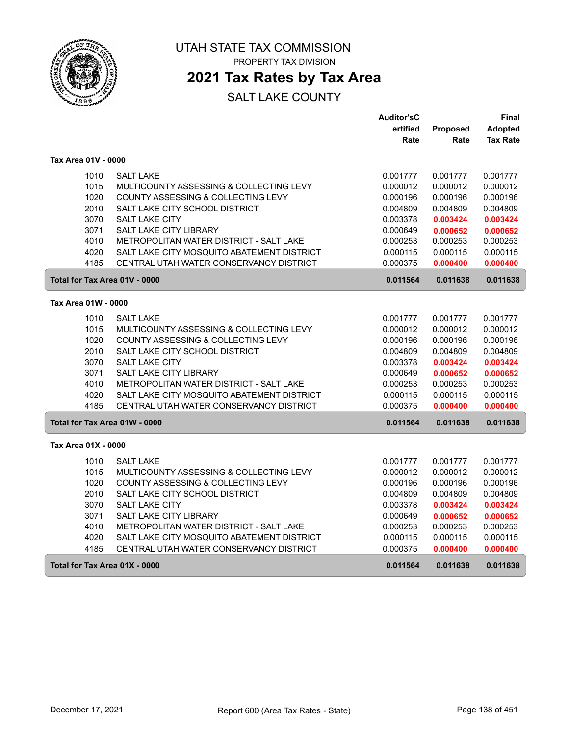

PROPERTY TAX DIVISION

## **2021 Tax Rates by Tax Area**

|                               |                                            | <b>Auditor'sC</b> |          | Final           |
|-------------------------------|--------------------------------------------|-------------------|----------|-----------------|
|                               |                                            | ertified          | Proposed | Adopted         |
|                               |                                            | Rate              | Rate     | <b>Tax Rate</b> |
| Tax Area 01V - 0000           |                                            |                   |          |                 |
| 1010                          | <b>SALT LAKE</b>                           | 0.001777          | 0.001777 | 0.001777        |
| 1015                          | MULTICOUNTY ASSESSING & COLLECTING LEVY    | 0.000012          | 0.000012 | 0.000012        |
| 1020                          | COUNTY ASSESSING & COLLECTING LEVY         | 0.000196          | 0.000196 | 0.000196        |
| 2010                          | SALT LAKE CITY SCHOOL DISTRICT             | 0.004809          | 0.004809 | 0.004809        |
| 3070                          | SALT LAKE CITY                             | 0.003378          | 0.003424 | 0.003424        |
| 3071                          | SALT LAKE CITY LIBRARY                     | 0.000649          | 0.000652 | 0.000652        |
| 4010                          | METROPOLITAN WATER DISTRICT - SALT LAKE    | 0.000253          | 0.000253 | 0.000253        |
| 4020                          | SALT LAKE CITY MOSQUITO ABATEMENT DISTRICT | 0.000115          | 0.000115 | 0.000115        |
| 4185                          | CENTRAL UTAH WATER CONSERVANCY DISTRICT    | 0.000375          | 0.000400 | 0.000400        |
| Total for Tax Area 01V - 0000 |                                            | 0.011564          | 0.011638 | 0.011638        |
| Tax Area 01W - 0000           |                                            |                   |          |                 |
| 1010                          | <b>SALT LAKE</b>                           | 0.001777          | 0.001777 | 0.001777        |
| 1015                          | MULTICOUNTY ASSESSING & COLLECTING LEVY    | 0.000012          | 0.000012 | 0.000012        |
| 1020                          | COUNTY ASSESSING & COLLECTING LEVY         | 0.000196          | 0.000196 | 0.000196        |
| 2010                          | SALT LAKE CITY SCHOOL DISTRICT             | 0.004809          | 0.004809 | 0.004809        |
| 3070                          | SALT LAKE CITY                             | 0.003378          | 0.003424 | 0.003424        |
| 3071                          | SALT LAKE CITY LIBRARY                     | 0.000649          | 0.000652 | 0.000652        |
| 4010                          | METROPOLITAN WATER DISTRICT - SALT LAKE    | 0.000253          | 0.000253 | 0.000253        |
| 4020                          | SALT LAKE CITY MOSQUITO ABATEMENT DISTRICT | 0.000115          | 0.000115 | 0.000115        |
| 4185                          | CENTRAL UTAH WATER CONSERVANCY DISTRICT    | 0.000375          | 0.000400 | 0.000400        |
| Total for Tax Area 01W - 0000 |                                            | 0.011564          | 0.011638 | 0.011638        |
| Tax Area 01X - 0000           |                                            |                   |          |                 |
| 1010                          | <b>SALT LAKE</b>                           | 0.001777          | 0.001777 | 0.001777        |
| 1015                          | MULTICOUNTY ASSESSING & COLLECTING LEVY    | 0.000012          | 0.000012 | 0.000012        |
| 1020                          | COUNTY ASSESSING & COLLECTING LEVY         | 0.000196          | 0.000196 | 0.000196        |
| 2010                          | SALT LAKE CITY SCHOOL DISTRICT             | 0.004809          | 0.004809 | 0.004809        |
| 3070                          | SALT LAKE CITY                             | 0.003378          | 0.003424 | 0.003424        |
| 3071                          | <b>SALT LAKE CITY LIBRARY</b>              | 0.000649          | 0.000652 | 0.000652        |
| 4010                          | METROPOLITAN WATER DISTRICT - SALT LAKE    | 0.000253          | 0.000253 | 0.000253        |
| 4020                          | SALT LAKE CITY MOSQUITO ABATEMENT DISTRICT | 0.000115          | 0.000115 | 0.000115        |
| 4185                          | CENTRAL UTAH WATER CONSERVANCY DISTRICT    | 0.000375          | 0.000400 | 0.000400        |
| Total for Tax Area 01X - 0000 |                                            | 0.011564          | 0.011638 | 0.011638        |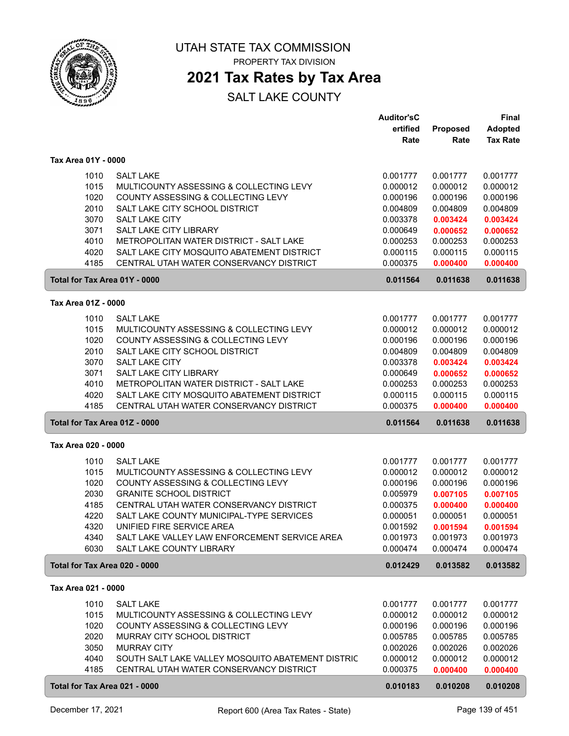

PROPERTY TAX DIVISION

## **2021 Tax Rates by Tax Area**

|                               |                                                   | <b>Auditor'sC</b> |          | Final           |
|-------------------------------|---------------------------------------------------|-------------------|----------|-----------------|
|                               |                                                   | ertified          | Proposed | <b>Adopted</b>  |
|                               |                                                   | Rate              | Rate     | <b>Tax Rate</b> |
|                               |                                                   |                   |          |                 |
| Tax Area 01Y - 0000           |                                                   |                   |          |                 |
| 1010                          | <b>SALT LAKE</b>                                  | 0.001777          | 0.001777 | 0.001777        |
| 1015                          | MULTICOUNTY ASSESSING & COLLECTING LEVY           | 0.000012          | 0.000012 | 0.000012        |
| 1020                          | COUNTY ASSESSING & COLLECTING LEVY                | 0.000196          | 0.000196 | 0.000196        |
| 2010                          | SALT LAKE CITY SCHOOL DISTRICT                    | 0.004809          | 0.004809 | 0.004809        |
| 3070                          | <b>SALT LAKE CITY</b>                             | 0.003378          | 0.003424 | 0.003424        |
| 3071                          | SALT LAKE CITY LIBRARY                            | 0.000649          | 0.000652 | 0.000652        |
| 4010                          | METROPOLITAN WATER DISTRICT - SALT LAKE           | 0.000253          | 0.000253 | 0.000253        |
| 4020                          | SALT LAKE CITY MOSQUITO ABATEMENT DISTRICT        | 0.000115          | 0.000115 | 0.000115        |
| 4185                          | CENTRAL UTAH WATER CONSERVANCY DISTRICT           | 0.000375          | 0.000400 | 0.000400        |
| Total for Tax Area 01Y - 0000 |                                                   | 0.011564          | 0.011638 | 0.011638        |
| Tax Area 01Z - 0000           |                                                   |                   |          |                 |
| 1010                          | <b>SALT LAKE</b>                                  | 0.001777          | 0.001777 | 0.001777        |
| 1015                          | MULTICOUNTY ASSESSING & COLLECTING LEVY           | 0.000012          | 0.000012 | 0.000012        |
| 1020                          | COUNTY ASSESSING & COLLECTING LEVY                | 0.000196          | 0.000196 | 0.000196        |
| 2010                          | SALT LAKE CITY SCHOOL DISTRICT                    | 0.004809          | 0.004809 | 0.004809        |
| 3070                          | <b>SALT LAKE CITY</b>                             | 0.003378          | 0.003424 | 0.003424        |
| 3071                          | SALT LAKE CITY LIBRARY                            | 0.000649          | 0.000652 | 0.000652        |
| 4010                          | METROPOLITAN WATER DISTRICT - SALT LAKE           | 0.000253          | 0.000253 | 0.000253        |
| 4020                          | SALT LAKE CITY MOSQUITO ABATEMENT DISTRICT        | 0.000115          | 0.000115 | 0.000115        |
| 4185                          | CENTRAL UTAH WATER CONSERVANCY DISTRICT           | 0.000375          | 0.000400 | 0.000400        |
| Total for Tax Area 01Z - 0000 |                                                   | 0.011564          | 0.011638 | 0.011638        |
|                               |                                                   |                   |          |                 |
| Tax Area 020 - 0000           |                                                   |                   |          |                 |
| 1010                          | <b>SALT LAKE</b>                                  | 0.001777          | 0.001777 | 0.001777        |
| 1015                          | MULTICOUNTY ASSESSING & COLLECTING LEVY           | 0.000012          | 0.000012 | 0.000012        |
| 1020                          | COUNTY ASSESSING & COLLECTING LEVY                | 0.000196          | 0.000196 | 0.000196        |
| 2030                          | <b>GRANITE SCHOOL DISTRICT</b>                    | 0.005979          | 0.007105 | 0.007105        |
| 4185                          | CENTRAL UTAH WATER CONSERVANCY DISTRICT           | 0.000375          | 0.000400 | 0.000400        |
| 4220                          | SALT LAKE COUNTY MUNICIPAL-TYPE SERVICES          | 0.000051          | 0.000051 | 0.000051        |
| 4320                          | UNIFIED FIRE SERVICE AREA                         | 0.001592          | 0.001594 | 0.001594        |
| 4340                          | SALT LAKE VALLEY LAW ENFORCEMENT SERVICE AREA     | 0.001973          | 0.001973 | 0.001973        |
| 6030                          | SALT LAKE COUNTY LIBRARY                          | 0.000474          | 0.000474 | 0.000474        |
| Total for Tax Area 020 - 0000 |                                                   | 0.012429          | 0.013582 | 0.013582        |
| Tax Area 021 - 0000           |                                                   |                   |          |                 |
| 1010                          | <b>SALT LAKE</b>                                  | 0.001777          | 0.001777 | 0.001777        |
| 1015                          | MULTICOUNTY ASSESSING & COLLECTING LEVY           | 0.000012          | 0.000012 | 0.000012        |
| 1020                          | COUNTY ASSESSING & COLLECTING LEVY                | 0.000196          | 0.000196 | 0.000196        |
| 2020                          | MURRAY CITY SCHOOL DISTRICT                       | 0.005785          | 0.005785 | 0.005785        |
| 3050                          | <b>MURRAY CITY</b>                                | 0.002026          | 0.002026 | 0.002026        |
| 4040                          | SOUTH SALT LAKE VALLEY MOSQUITO ABATEMENT DISTRIC | 0.000012          | 0.000012 | 0.000012        |
| 4185                          | CENTRAL UTAH WATER CONSERVANCY DISTRICT           | 0.000375          | 0.000400 | 0.000400        |
|                               |                                                   |                   |          |                 |
| Total for Tax Area 021 - 0000 |                                                   | 0.010183          | 0.010208 | 0.010208        |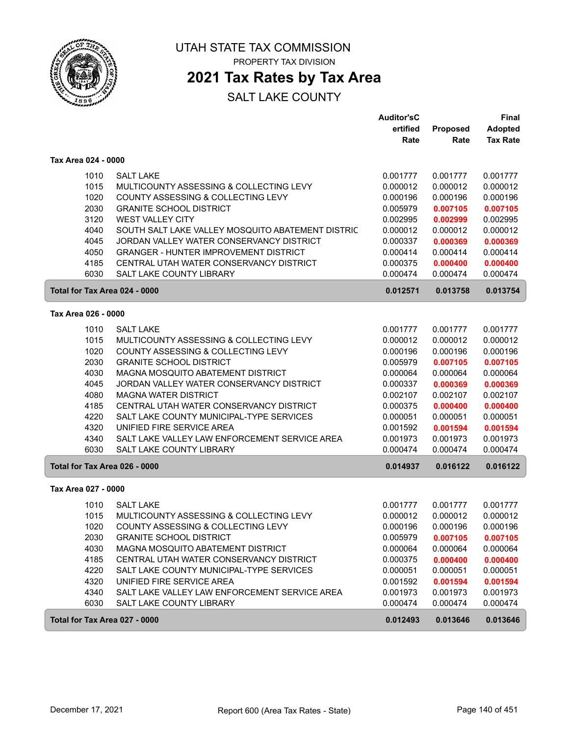

## **2021 Tax Rates by Tax Area**

|                     |                                                   | <b>Auditor'sC</b><br>ertified | Proposed | <b>Final</b><br><b>Adopted</b> |
|---------------------|---------------------------------------------------|-------------------------------|----------|--------------------------------|
|                     |                                                   | Rate                          | Rate     | <b>Tax Rate</b>                |
| Tax Area 024 - 0000 |                                                   |                               |          |                                |
| 1010                | <b>SALT LAKE</b>                                  | 0.001777                      | 0.001777 | 0.001777                       |
| 1015                | MULTICOUNTY ASSESSING & COLLECTING LEVY           | 0.000012                      | 0.000012 | 0.000012                       |
| 1020                | COUNTY ASSESSING & COLLECTING LEVY                | 0.000196                      | 0.000196 | 0.000196                       |
| 2030                | <b>GRANITE SCHOOL DISTRICT</b>                    | 0.005979                      | 0.007105 | 0.007105                       |
| 3120                | <b>WEST VALLEY CITY</b>                           | 0.002995                      | 0.002999 | 0.002995                       |
| 4040                | SOUTH SALT LAKE VALLEY MOSQUITO ABATEMENT DISTRIC | 0.000012                      | 0.000012 | 0.000012                       |
| 4045                | JORDAN VALLEY WATER CONSERVANCY DISTRICT          | 0.000337                      | 0.000369 | 0.000369                       |
| 4050                | <b>GRANGER - HUNTER IMPROVEMENT DISTRICT</b>      | 0.000414                      | 0.000414 | 0.000414                       |
| 4185                | CENTRAL UTAH WATER CONSERVANCY DISTRICT           | 0.000375                      | 0.000400 | 0.000400                       |
| 6030                | <b>SALT LAKE COUNTY LIBRARY</b>                   | 0.000474                      | 0.000474 | 0.000474                       |
|                     | Total for Tax Area 024 - 0000                     | 0.012571                      | 0.013758 | 0.013754                       |
| Tax Area 026 - 0000 |                                                   |                               |          |                                |
| 1010                | <b>SALT LAKE</b>                                  | 0.001777                      | 0.001777 | 0.001777                       |
| 1015                | MULTICOUNTY ASSESSING & COLLECTING LEVY           | 0.000012                      | 0.000012 | 0.000012                       |
| 1020                | COUNTY ASSESSING & COLLECTING LEVY                | 0.000196                      | 0.000196 | 0.000196                       |
| 2030                | <b>GRANITE SCHOOL DISTRICT</b>                    | 0.005979                      | 0.007105 | 0.007105                       |
| 4030                | MAGNA MOSQUITO ABATEMENT DISTRICT                 | 0.000064                      | 0.000064 | 0.000064                       |
| 4045                | JORDAN VALLEY WATER CONSERVANCY DISTRICT          | 0.000337                      | 0.000369 | 0.000369                       |
| 4080                | <b>MAGNA WATER DISTRICT</b>                       | 0.002107                      | 0.002107 | 0.002107                       |
| 4185                | CENTRAL UTAH WATER CONSERVANCY DISTRICT           | 0.000375                      | 0.000400 | 0.000400                       |
| 4220                | SALT LAKE COUNTY MUNICIPAL-TYPE SERVICES          | 0.000051                      | 0.000051 | 0.000051                       |
| 4320                | UNIFIED FIRE SERVICE AREA                         | 0.001592                      | 0.001594 | 0.001594                       |
| 4340                | SALT LAKE VALLEY LAW ENFORCEMENT SERVICE AREA     | 0.001973                      | 0.001973 | 0.001973                       |
| 6030                | <b>SALT LAKE COUNTY LIBRARY</b>                   | 0.000474                      | 0.000474 | 0.000474                       |
|                     | Total for Tax Area 026 - 0000                     | 0.014937                      | 0.016122 | 0.016122                       |
| Tax Area 027 - 0000 |                                                   |                               |          |                                |
| 1010                | <b>SALT LAKE</b>                                  | 0.001777                      | 0.001777 | 0.001777                       |
| 1015                | MULTICOUNTY ASSESSING & COLLECTING LEVY           | 0.000012                      | 0.000012 | 0.000012                       |
| 1020                | COUNTY ASSESSING & COLLECTING LEVY                | 0.000196                      | 0.000196 | 0.000196                       |
| 2030                | <b>GRANITE SCHOOL DISTRICT</b>                    | 0.005979                      | 0.007105 | 0.007105                       |
| 4030                | MAGNA MOSQUITO ABATEMENT DISTRICT                 | 0.000064                      | 0.000064 | 0.000064                       |
| 4185                | CENTRAL UTAH WATER CONSERVANCY DISTRICT           | 0.000375                      | 0.000400 | 0.000400                       |
| 4220                | SALT LAKE COUNTY MUNICIPAL-TYPE SERVICES          | 0.000051                      | 0.000051 | 0.000051                       |
| 4320                | UNIFIED FIRE SERVICE AREA                         | 0.001592                      | 0.001594 | 0.001594                       |
| 4340                | SALT LAKE VALLEY LAW ENFORCEMENT SERVICE AREA     | 0.001973                      | 0.001973 | 0.001973                       |
| 6030                | SALT LAKE COUNTY LIBRARY                          | 0.000474                      | 0.000474 | 0.000474                       |
|                     | Total for Tax Area 027 - 0000                     | 0.012493                      | 0.013646 | 0.013646                       |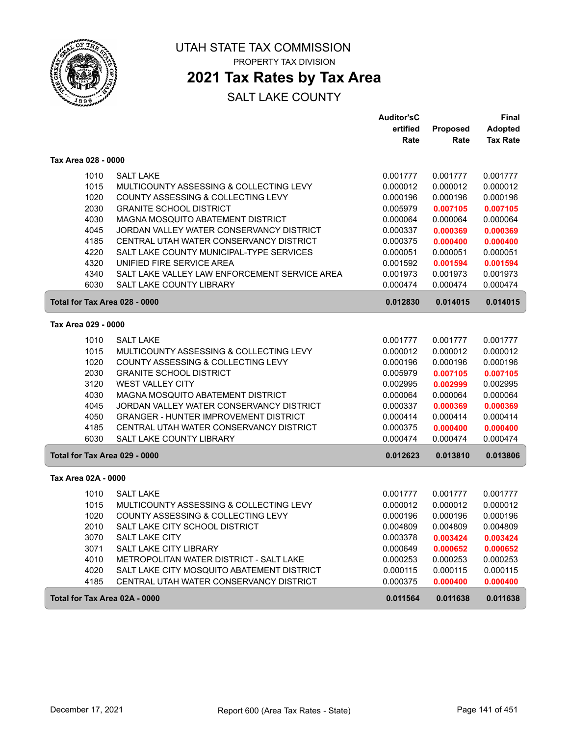

# **2021 Tax Rates by Tax Area**

|                     |                                               | <b>Auditor'sC</b> |          | Final           |
|---------------------|-----------------------------------------------|-------------------|----------|-----------------|
|                     |                                               | ertified          | Proposed | <b>Adopted</b>  |
|                     |                                               | Rate              | Rate     | <b>Tax Rate</b> |
| Tax Area 028 - 0000 |                                               |                   |          |                 |
| 1010                | <b>SALT LAKE</b>                              | 0.001777          | 0.001777 | 0.001777        |
| 1015                | MULTICOUNTY ASSESSING & COLLECTING LEVY       | 0.000012          | 0.000012 | 0.000012        |
| 1020                | COUNTY ASSESSING & COLLECTING LEVY            | 0.000196          | 0.000196 | 0.000196        |
| 2030                | <b>GRANITE SCHOOL DISTRICT</b>                | 0.005979          | 0.007105 | 0.007105        |
| 4030                | MAGNA MOSQUITO ABATEMENT DISTRICT             | 0.000064          | 0.000064 | 0.000064        |
| 4045                | JORDAN VALLEY WATER CONSERVANCY DISTRICT      | 0.000337          | 0.000369 | 0.000369        |
| 4185                | CENTRAL UTAH WATER CONSERVANCY DISTRICT       | 0.000375          | 0.000400 | 0.000400        |
| 4220                | SALT LAKE COUNTY MUNICIPAL-TYPE SERVICES      | 0.000051          | 0.000051 | 0.000051        |
| 4320                | UNIFIED FIRE SERVICE AREA                     | 0.001592          | 0.001594 | 0.001594        |
| 4340                | SALT LAKE VALLEY LAW ENFORCEMENT SERVICE AREA | 0.001973          | 0.001973 | 0.001973        |
| 6030                | SALT LAKE COUNTY LIBRARY                      | 0.000474          | 0.000474 | 0.000474        |
|                     | Total for Tax Area 028 - 0000                 | 0.012830          | 0.014015 | 0.014015        |
| Tax Area 029 - 0000 |                                               |                   |          |                 |
|                     |                                               |                   |          |                 |
| 1010                | <b>SALT LAKE</b>                              | 0.001777          | 0.001777 | 0.001777        |
| 1015                | MULTICOUNTY ASSESSING & COLLECTING LEVY       | 0.000012          | 0.000012 | 0.000012        |
| 1020                | COUNTY ASSESSING & COLLECTING LEVY            | 0.000196          | 0.000196 | 0.000196        |
| 2030                | <b>GRANITE SCHOOL DISTRICT</b>                | 0.005979          | 0.007105 | 0.007105        |
| 3120                | <b>WEST VALLEY CITY</b>                       | 0.002995          | 0.002999 | 0.002995        |
| 4030                | MAGNA MOSQUITO ABATEMENT DISTRICT             | 0.000064          | 0.000064 | 0.000064        |
| 4045                | JORDAN VALLEY WATER CONSERVANCY DISTRICT      | 0.000337          | 0.000369 | 0.000369        |
| 4050                | <b>GRANGER - HUNTER IMPROVEMENT DISTRICT</b>  | 0.000414          | 0.000414 | 0.000414        |
| 4185                | CENTRAL UTAH WATER CONSERVANCY DISTRICT       | 0.000375          | 0.000400 | 0.000400        |
| 6030                | SALT LAKE COUNTY LIBRARY                      | 0.000474          | 0.000474 | 0.000474        |
|                     | Total for Tax Area 029 - 0000                 | 0.012623          | 0.013810 | 0.013806        |
| Tax Area 02A - 0000 |                                               |                   |          |                 |
| 1010                | <b>SALT LAKE</b>                              | 0.001777          | 0.001777 | 0.001777        |
| 1015                | MULTICOUNTY ASSESSING & COLLECTING LEVY       | 0.000012          | 0.000012 | 0.000012        |
| 1020                | COUNTY ASSESSING & COLLECTING LEVY            | 0.000196          | 0.000196 | 0.000196        |
| 2010                | SALT LAKE CITY SCHOOL DISTRICT                | 0.004809          | 0.004809 | 0.004809        |
| 3070                | SALT LAKE CITY                                | 0.003378          | 0.003424 | 0.003424        |
| 3071                | <b>SALT LAKE CITY LIBRARY</b>                 | 0.000649          | 0.000652 | 0.000652        |
| 4010                | METROPOLITAN WATER DISTRICT - SALT LAKE       | 0.000253          | 0.000253 | 0.000253        |
| 4020                | SALT LAKE CITY MOSQUITO ABATEMENT DISTRICT    | 0.000115          | 0.000115 | 0.000115        |
| 4185                | CENTRAL UTAH WATER CONSERVANCY DISTRICT       | 0.000375          | 0.000400 | 0.000400        |
|                     | Total for Tax Area 02A - 0000                 | 0.011564          | 0.011638 | 0.011638        |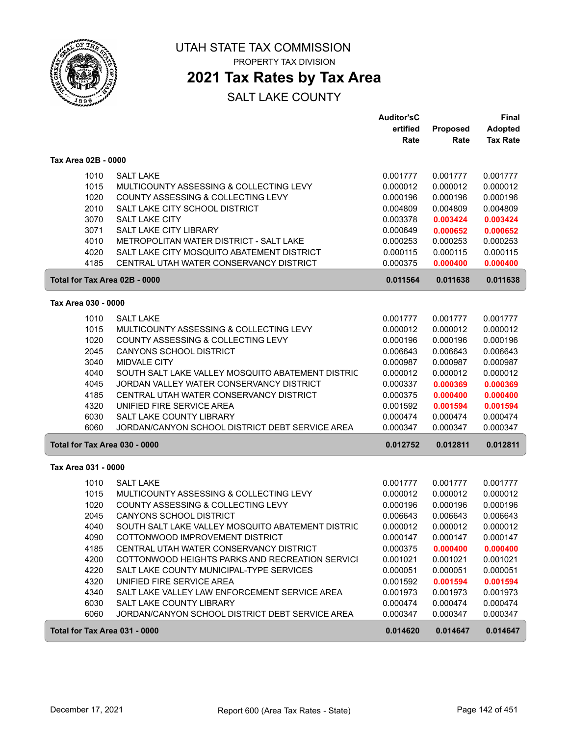

PROPERTY TAX DIVISION

## **2021 Tax Rates by Tax Area**

|                               |                                                                       | <b>Auditor'sC</b><br>ertified | <b>Proposed</b>      | <b>Final</b><br><b>Adopted</b> |
|-------------------------------|-----------------------------------------------------------------------|-------------------------------|----------------------|--------------------------------|
|                               |                                                                       | Rate                          | Rate                 | <b>Tax Rate</b>                |
| Tax Area 02B - 0000           |                                                                       |                               |                      |                                |
| 1010                          | <b>SALT LAKE</b>                                                      | 0.001777                      | 0.001777             | 0.001777                       |
| 1015                          | MULTICOUNTY ASSESSING & COLLECTING LEVY                               | 0.000012                      | 0.000012             | 0.000012                       |
| 1020                          | COUNTY ASSESSING & COLLECTING LEVY                                    | 0.000196                      | 0.000196             | 0.000196                       |
| 2010                          | SALT LAKE CITY SCHOOL DISTRICT                                        | 0.004809                      | 0.004809             | 0.004809                       |
| 3070                          | <b>SALT LAKE CITY</b>                                                 | 0.003378                      | 0.003424             | 0.003424                       |
| 3071<br>4010                  | SALT LAKE CITY LIBRARY<br>METROPOLITAN WATER DISTRICT - SALT LAKE     | 0.000649<br>0.000253          | 0.000652<br>0.000253 | 0.000652<br>0.000253           |
| 4020                          | SALT LAKE CITY MOSQUITO ABATEMENT DISTRICT                            | 0.000115                      | 0.000115             | 0.000115                       |
| 4185                          | CENTRAL UTAH WATER CONSERVANCY DISTRICT                               | 0.000375                      | 0.000400             | 0.000400                       |
| Total for Tax Area 02B - 0000 |                                                                       | 0.011564                      | 0.011638             | 0.011638                       |
| Tax Area 030 - 0000           |                                                                       |                               |                      |                                |
| 1010                          | <b>SALT LAKE</b>                                                      | 0.001777                      | 0.001777             | 0.001777                       |
| 1015                          | MULTICOUNTY ASSESSING & COLLECTING LEVY                               | 0.000012                      | 0.000012             | 0.000012                       |
| 1020                          | COUNTY ASSESSING & COLLECTING LEVY                                    | 0.000196                      | 0.000196             | 0.000196                       |
| 2045                          | CANYONS SCHOOL DISTRICT                                               | 0.006643                      | 0.006643             | 0.006643                       |
| 3040                          | <b>MIDVALE CITY</b>                                                   | 0.000987                      | 0.000987             | 0.000987                       |
| 4040                          | SOUTH SALT LAKE VALLEY MOSQUITO ABATEMENT DISTRIC                     | 0.000012                      | 0.000012             | 0.000012                       |
| 4045                          | JORDAN VALLEY WATER CONSERVANCY DISTRICT                              | 0.000337                      | 0.000369             | 0.000369                       |
| 4185<br>4320                  | CENTRAL UTAH WATER CONSERVANCY DISTRICT<br>UNIFIED FIRE SERVICE AREA  | 0.000375<br>0.001592          | 0.000400             | 0.000400                       |
| 6030                          | SALT LAKE COUNTY LIBRARY                                              | 0.000474                      | 0.001594<br>0.000474 | 0.001594<br>0.000474           |
| 6060                          | JORDAN/CANYON SCHOOL DISTRICT DEBT SERVICE AREA                       | 0.000347                      | 0.000347             | 0.000347                       |
| Total for Tax Area 030 - 0000 |                                                                       | 0.012752                      | 0.012811             | 0.012811                       |
| Tax Area 031 - 0000           |                                                                       |                               |                      |                                |
| 1010                          | <b>SALT LAKE</b>                                                      | 0.001777                      | 0.001777             | 0.001777                       |
| 1015                          | MULTICOUNTY ASSESSING & COLLECTING LEVY                               | 0.000012                      | 0.000012             | 0.000012                       |
| 1020                          | COUNTY ASSESSING & COLLECTING LEVY                                    | 0.000196                      | 0.000196             | 0.000196                       |
| 2045                          | CANYONS SCHOOL DISTRICT                                               | 0.006643                      | 0.006643             | 0.006643                       |
| 4040                          | SOUTH SALT LAKE VALLEY MOSQUITO ABATEMENT DISTRIC                     | 0.000012                      | 0.000012             | 0.000012                       |
| 4090                          | COTTONWOOD IMPROVEMENT DISTRICT                                       | 0.000147                      | 0.000147             | 0.000147                       |
| 4185                          | CENTRAL UTAH WATER CONSERVANCY DISTRICT                               | 0.000375                      | 0.000400             | 0.000400                       |
| 4200                          | COTTONWOOD HEIGHTS PARKS AND RECREATION SERVICI                       | 0.001021                      | 0.001021             | 0.001021                       |
| 4220<br>4320                  | SALT LAKE COUNTY MUNICIPAL-TYPE SERVICES<br>UNIFIED FIRE SERVICE AREA | 0.000051<br>0.001592          | 0.000051<br>0.001594 | 0.000051<br>0.001594           |
| 4340                          | SALT LAKE VALLEY LAW ENFORCEMENT SERVICE AREA                         | 0.001973                      | 0.001973             | 0.001973                       |
| 6030                          | SALT LAKE COUNTY LIBRARY                                              | 0.000474                      | 0.000474             | 0.000474                       |
| 6060                          | JORDAN/CANYON SCHOOL DISTRICT DEBT SERVICE AREA                       | 0.000347                      | 0.000347             | 0.000347                       |
| Total for Tax Area 031 - 0000 |                                                                       | 0.014620                      | 0.014647             | 0.014647                       |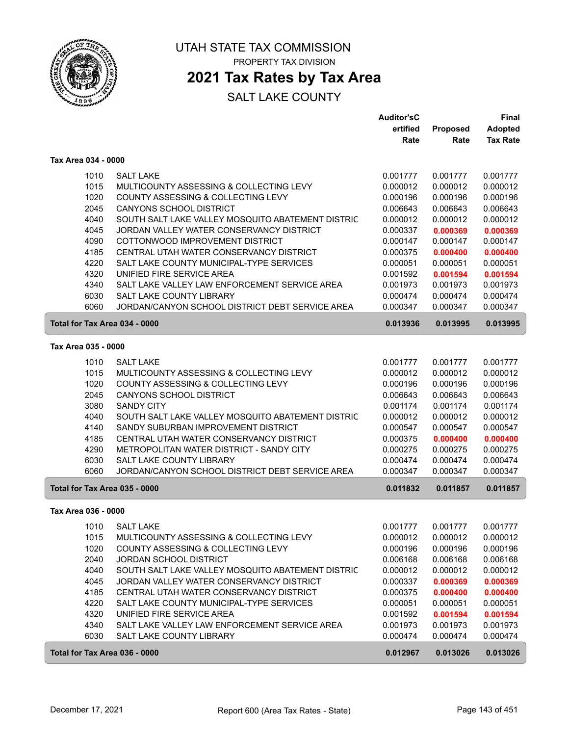

## **2021 Tax Rates by Tax Area**

|                               |                                                   | <b>Auditor'sC</b> |          | <b>Final</b>    |
|-------------------------------|---------------------------------------------------|-------------------|----------|-----------------|
|                               |                                                   | ertified          | Proposed | <b>Adopted</b>  |
|                               |                                                   | Rate              | Rate     | <b>Tax Rate</b> |
| Tax Area 034 - 0000           |                                                   |                   |          |                 |
| 1010                          | <b>SALT LAKE</b>                                  | 0.001777          | 0.001777 | 0.001777        |
| 1015                          | MULTICOUNTY ASSESSING & COLLECTING LEVY           | 0.000012          | 0.000012 | 0.000012        |
| 1020                          | COUNTY ASSESSING & COLLECTING LEVY                | 0.000196          | 0.000196 | 0.000196        |
| 2045                          | CANYONS SCHOOL DISTRICT                           | 0.006643          | 0.006643 | 0.006643        |
| 4040                          | SOUTH SALT LAKE VALLEY MOSQUITO ABATEMENT DISTRIC | 0.000012          | 0.000012 | 0.000012        |
| 4045                          | JORDAN VALLEY WATER CONSERVANCY DISTRICT          | 0.000337          | 0.000369 | 0.000369        |
| 4090                          | COTTONWOOD IMPROVEMENT DISTRICT                   | 0.000147          | 0.000147 | 0.000147        |
| 4185                          | CENTRAL UTAH WATER CONSERVANCY DISTRICT           | 0.000375          | 0.000400 | 0.000400        |
| 4220                          | SALT LAKE COUNTY MUNICIPAL-TYPE SERVICES          | 0.000051          | 0.000051 | 0.000051        |
| 4320                          | UNIFIED FIRE SERVICE AREA                         | 0.001592          | 0.001594 | 0.001594        |
| 4340                          | SALT LAKE VALLEY LAW ENFORCEMENT SERVICE AREA     | 0.001973          | 0.001973 | 0.001973        |
| 6030                          | SALT LAKE COUNTY LIBRARY                          | 0.000474          | 0.000474 | 0.000474        |
| 6060                          | JORDAN/CANYON SCHOOL DISTRICT DEBT SERVICE AREA   | 0.000347          | 0.000347 | 0.000347        |
| Total for Tax Area 034 - 0000 |                                                   | 0.013936          | 0.013995 | 0.013995        |
| Tax Area 035 - 0000           |                                                   |                   |          |                 |
| 1010                          | <b>SALT LAKE</b>                                  | 0.001777          | 0.001777 | 0.001777        |
| 1015                          | MULTICOUNTY ASSESSING & COLLECTING LEVY           | 0.000012          | 0.000012 | 0.000012        |
| 1020                          | COUNTY ASSESSING & COLLECTING LEVY                | 0.000196          | 0.000196 | 0.000196        |
| 2045                          | CANYONS SCHOOL DISTRICT                           | 0.006643          | 0.006643 | 0.006643        |
| 3080                          | <b>SANDY CITY</b>                                 | 0.001174          | 0.001174 | 0.001174        |
| 4040                          | SOUTH SALT LAKE VALLEY MOSQUITO ABATEMENT DISTRIC | 0.000012          | 0.000012 | 0.000012        |
| 4140                          | SANDY SUBURBAN IMPROVEMENT DISTRICT               | 0.000547          | 0.000547 | 0.000547        |
| 4185                          | CENTRAL UTAH WATER CONSERVANCY DISTRICT           | 0.000375          | 0.000400 | 0.000400        |
| 4290                          | METROPOLITAN WATER DISTRICT - SANDY CITY          | 0.000275          | 0.000275 | 0.000275        |
| 6030                          | SALT LAKE COUNTY LIBRARY                          | 0.000474          | 0.000474 | 0.000474        |
| 6060                          | JORDAN/CANYON SCHOOL DISTRICT DEBT SERVICE AREA   | 0.000347          | 0.000347 | 0.000347        |
| Total for Tax Area 035 - 0000 |                                                   | 0.011832          | 0.011857 | 0.011857        |
| Tax Area 036 - 0000           |                                                   |                   |          |                 |
| 1010                          | <b>SALT LAKE</b>                                  | 0.001777          | 0.001777 | 0.001777        |
| 1015                          | MULTICOUNTY ASSESSING & COLLECTING LEVY           | 0.000012          | 0.000012 | 0.000012        |
| 1020                          | COUNTY ASSESSING & COLLECTING LEVY                | 0.000196          | 0.000196 | 0.000196        |
| 2040                          | <b>JORDAN SCHOOL DISTRICT</b>                     | 0.006168          | 0.006168 | 0.006168        |
| 4040                          | SOUTH SALT LAKE VALLEY MOSQUITO ABATEMENT DISTRIC | 0.000012          | 0.000012 | 0.000012        |
| 4045                          | JORDAN VALLEY WATER CONSERVANCY DISTRICT          | 0.000337          | 0.000369 | 0.000369        |
| 4185                          | CENTRAL UTAH WATER CONSERVANCY DISTRICT           | 0.000375          | 0.000400 | 0.000400        |
| 4220                          | SALT LAKE COUNTY MUNICIPAL-TYPE SERVICES          | 0.000051          | 0.000051 | 0.000051        |
| 4320                          | UNIFIED FIRE SERVICE AREA                         | 0.001592          | 0.001594 | 0.001594        |
| 4340                          | SALT LAKE VALLEY LAW ENFORCEMENT SERVICE AREA     | 0.001973          | 0.001973 | 0.001973        |
| 6030                          | SALT LAKE COUNTY LIBRARY                          | 0.000474          | 0.000474 | 0.000474        |
| Total for Tax Area 036 - 0000 |                                                   | 0.012967          | 0.013026 | 0.013026        |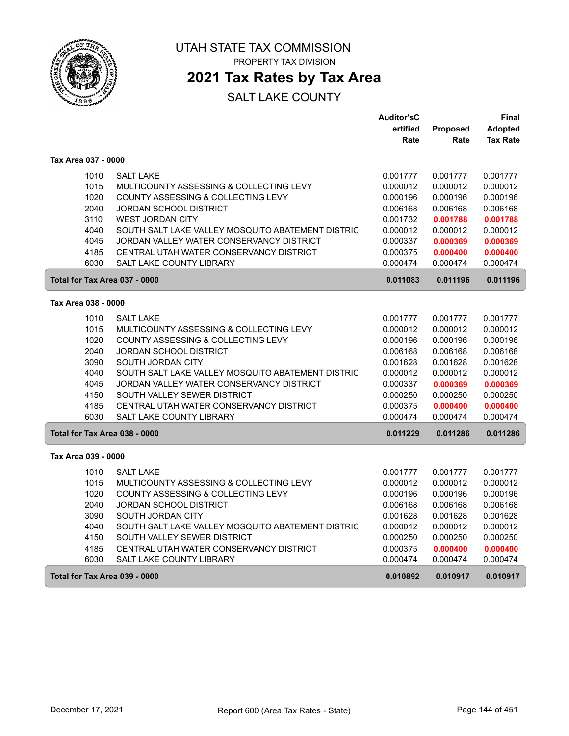

## **2021 Tax Rates by Tax Area**

|                               |                                                   | <b>Auditor'sC</b>    |                      | Final                |
|-------------------------------|---------------------------------------------------|----------------------|----------------------|----------------------|
|                               |                                                   | ertified             | Proposed             | <b>Adopted</b>       |
|                               |                                                   | Rate                 | Rate                 | <b>Tax Rate</b>      |
| Tax Area 037 - 0000           |                                                   |                      |                      |                      |
| 1010                          | <b>SALT LAKE</b>                                  | 0.001777             | 0.001777             | 0.001777             |
| 1015                          | MULTICOUNTY ASSESSING & COLLECTING LEVY           | 0.000012             | 0.000012             | 0.000012             |
| 1020                          | COUNTY ASSESSING & COLLECTING LEVY                | 0.000196             | 0.000196             | 0.000196             |
| 2040                          | JORDAN SCHOOL DISTRICT                            | 0.006168             | 0.006168             | 0.006168             |
| 3110                          | <b>WEST JORDAN CITY</b>                           | 0.001732             | 0.001788             | 0.001788             |
| 4040                          | SOUTH SALT LAKE VALLEY MOSQUITO ABATEMENT DISTRIC | 0.000012             | 0.000012             | 0.000012             |
| 4045                          | JORDAN VALLEY WATER CONSERVANCY DISTRICT          | 0.000337             | 0.000369             | 0.000369             |
| 4185                          | CENTRAL UTAH WATER CONSERVANCY DISTRICT           | 0.000375             | 0.000400             | 0.000400             |
| 6030                          | <b>SALT LAKE COUNTY LIBRARY</b>                   | 0.000474             | 0.000474             | 0.000474             |
| Total for Tax Area 037 - 0000 |                                                   | 0.011083             | 0.011196             | 0.011196             |
| Tax Area 038 - 0000           |                                                   |                      |                      |                      |
| 1010                          | <b>SALT LAKE</b>                                  |                      |                      |                      |
| 1015                          | MULTICOUNTY ASSESSING & COLLECTING LEVY           | 0.001777<br>0.000012 | 0.001777<br>0.000012 | 0.001777<br>0.000012 |
| 1020                          | COUNTY ASSESSING & COLLECTING LEVY                | 0.000196             | 0.000196             | 0.000196             |
| 2040                          | JORDAN SCHOOL DISTRICT                            | 0.006168             | 0.006168             | 0.006168             |
| 3090                          | SOUTH JORDAN CITY                                 | 0.001628             | 0.001628             | 0.001628             |
| 4040                          | SOUTH SALT LAKE VALLEY MOSQUITO ABATEMENT DISTRIC | 0.000012             | 0.000012             | 0.000012             |
| 4045                          | JORDAN VALLEY WATER CONSERVANCY DISTRICT          | 0.000337             | 0.000369             | 0.000369             |
| 4150                          | SOUTH VALLEY SEWER DISTRICT                       | 0.000250             | 0.000250             | 0.000250             |
| 4185                          | CENTRAL UTAH WATER CONSERVANCY DISTRICT           | 0.000375             | 0.000400             | 0.000400             |
| 6030                          | <b>SALT LAKE COUNTY LIBRARY</b>                   | 0.000474             | 0.000474             | 0.000474             |
| Total for Tax Area 038 - 0000 |                                                   | 0.011229             | 0.011286             | 0.011286             |
| Tax Area 039 - 0000           |                                                   |                      |                      |                      |
|                               |                                                   |                      |                      |                      |
| 1010                          | <b>SALT LAKE</b>                                  | 0.001777             | 0.001777             | 0.001777             |
| 1015                          | MULTICOUNTY ASSESSING & COLLECTING LEVY           | 0.000012             | 0.000012             | 0.000012             |
| 1020                          | COUNTY ASSESSING & COLLECTING LEVY                | 0.000196             | 0.000196             | 0.000196             |
| 2040                          | JORDAN SCHOOL DISTRICT                            | 0.006168             | 0.006168             | 0.006168             |
| 3090                          | SOUTH JORDAN CITY                                 | 0.001628             | 0.001628             | 0.001628             |
| 4040                          | SOUTH SALT LAKE VALLEY MOSQUITO ABATEMENT DISTRIC | 0.000012             | 0.000012             | 0.000012             |
| 4150                          | SOUTH VALLEY SEWER DISTRICT                       | 0.000250             | 0.000250             | 0.000250             |
| 4185                          | CENTRAL UTAH WATER CONSERVANCY DISTRICT           | 0.000375             | 0.000400             | 0.000400             |
| 6030                          | <b>SALT LAKE COUNTY LIBRARY</b>                   | 0.000474             | 0.000474             | 0.000474             |
| Total for Tax Area 039 - 0000 |                                                   | 0.010892             | 0.010917             | 0.010917             |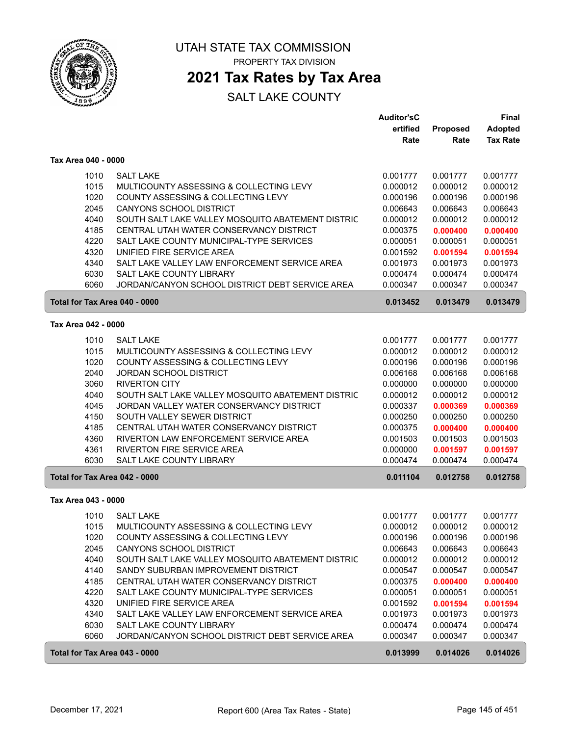

## **2021 Tax Rates by Tax Area**

|                               |                                                   | <b>Auditor'sC</b> |                 | <b>Final</b>    |
|-------------------------------|---------------------------------------------------|-------------------|-----------------|-----------------|
|                               |                                                   | ertified          | <b>Proposed</b> | <b>Adopted</b>  |
|                               |                                                   | Rate              | Rate            | <b>Tax Rate</b> |
| Tax Area 040 - 0000           |                                                   |                   |                 |                 |
| 1010                          | <b>SALT LAKE</b>                                  | 0.001777          | 0.001777        | 0.001777        |
| 1015                          | MULTICOUNTY ASSESSING & COLLECTING LEVY           | 0.000012          | 0.000012        | 0.000012        |
| 1020                          | COUNTY ASSESSING & COLLECTING LEVY                | 0.000196          | 0.000196        | 0.000196        |
| 2045                          | <b>CANYONS SCHOOL DISTRICT</b>                    | 0.006643          | 0.006643        | 0.006643        |
| 4040                          | SOUTH SALT LAKE VALLEY MOSQUITO ABATEMENT DISTRIC | 0.000012          | 0.000012        | 0.000012        |
| 4185                          | CENTRAL UTAH WATER CONSERVANCY DISTRICT           | 0.000375          | 0.000400        | 0.000400        |
| 4220                          | SALT LAKE COUNTY MUNICIPAL-TYPE SERVICES          | 0.000051          | 0.000051        | 0.000051        |
| 4320                          | UNIFIED FIRE SERVICE AREA                         | 0.001592          | 0.001594        | 0.001594        |
| 4340                          | SALT LAKE VALLEY LAW ENFORCEMENT SERVICE AREA     | 0.001973          | 0.001973        | 0.001973        |
| 6030                          | SALT LAKE COUNTY LIBRARY                          | 0.000474          | 0.000474        | 0.000474        |
| 6060                          | JORDAN/CANYON SCHOOL DISTRICT DEBT SERVICE AREA   | 0.000347          | 0.000347        | 0.000347        |
| Total for Tax Area 040 - 0000 |                                                   | 0.013452          | 0.013479        | 0.013479        |
|                               |                                                   |                   |                 |                 |
| Tax Area 042 - 0000           |                                                   |                   |                 |                 |
| 1010                          | <b>SALT LAKE</b>                                  | 0.001777          | 0.001777        | 0.001777        |
| 1015                          | MULTICOUNTY ASSESSING & COLLECTING LEVY           | 0.000012          | 0.000012        | 0.000012        |
| 1020                          | COUNTY ASSESSING & COLLECTING LEVY                | 0.000196          | 0.000196        | 0.000196        |
| 2040                          | <b>JORDAN SCHOOL DISTRICT</b>                     | 0.006168          | 0.006168        | 0.006168        |
| 3060                          | <b>RIVERTON CITY</b>                              | 0.000000          | 0.000000        | 0.000000        |
| 4040                          | SOUTH SALT LAKE VALLEY MOSQUITO ABATEMENT DISTRIC | 0.000012          | 0.000012        | 0.000012        |
| 4045                          | JORDAN VALLEY WATER CONSERVANCY DISTRICT          | 0.000337          | 0.000369        | 0.000369        |
| 4150                          | SOUTH VALLEY SEWER DISTRICT                       | 0.000250          | 0.000250        | 0.000250        |
| 4185                          | CENTRAL UTAH WATER CONSERVANCY DISTRICT           | 0.000375          | 0.000400        | 0.000400        |
| 4360                          | RIVERTON LAW ENFORCEMENT SERVICE AREA             | 0.001503          | 0.001503        | 0.001503        |
| 4361                          | RIVERTON FIRE SERVICE AREA                        | 0.000000          | 0.001597        | 0.001597        |
| 6030                          | SALT LAKE COUNTY LIBRARY                          | 0.000474          | 0.000474        | 0.000474        |
| Total for Tax Area 042 - 0000 |                                                   | 0.011104          | 0.012758        | 0.012758        |
| Tax Area 043 - 0000           |                                                   |                   |                 |                 |
| 1010                          | <b>SALT LAKE</b>                                  | 0.001777          | 0.001777        | 0.001777        |
| 1015                          | MULTICOUNTY ASSESSING & COLLECTING LEVY           | 0.000012          | 0.000012        | 0.000012        |
| 1020                          | COUNTY ASSESSING & COLLECTING LEVY                | 0.000196          | 0.000196        | 0.000196        |
| 2045                          | <b>CANYONS SCHOOL DISTRICT</b>                    | 0.006643          | 0.006643        | 0.006643        |
| 4040                          | SOUTH SALT LAKE VALLEY MOSQUITO ABATEMENT DISTRIC | 0.000012          | 0.000012        | 0.000012        |
| 4140                          | SANDY SUBURBAN IMPROVEMENT DISTRICT               | 0.000547          | 0.000547        | 0.000547        |
| 4185                          | CENTRAL UTAH WATER CONSERVANCY DISTRICT           | 0.000375          | 0.000400        | 0.000400        |
| 4220                          | SALT LAKE COUNTY MUNICIPAL-TYPE SERVICES          | 0.000051          | 0.000051        | 0.000051        |
| 4320                          | UNIFIED FIRE SERVICE AREA                         | 0.001592          | 0.001594        | 0.001594        |
| 4340                          | SALT LAKE VALLEY LAW ENFORCEMENT SERVICE AREA     | 0.001973          | 0.001973        | 0.001973        |
| 6030                          | SALT LAKE COUNTY LIBRARY                          | 0.000474          | 0.000474        | 0.000474        |
| 6060                          | JORDAN/CANYON SCHOOL DISTRICT DEBT SERVICE AREA   | 0.000347          | 0.000347        | 0.000347        |
| Total for Tax Area 043 - 0000 |                                                   | 0.013999          | 0.014026        | 0.014026        |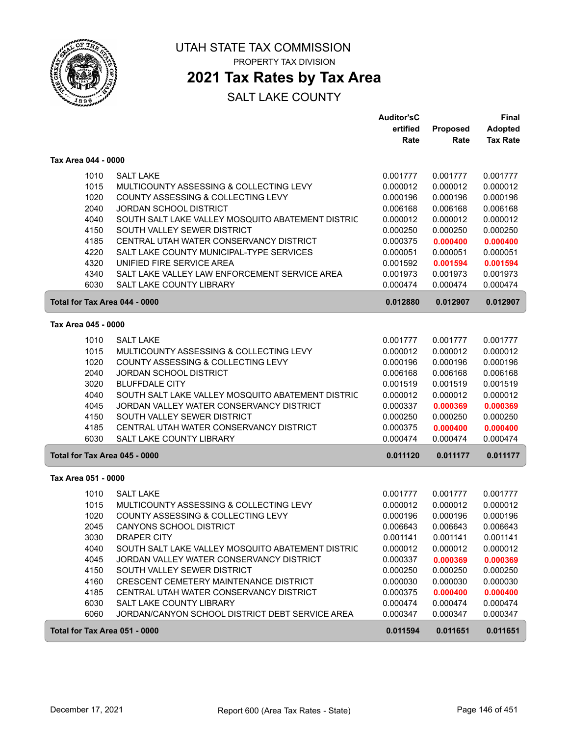

## **2021 Tax Rates by Tax Area**

|                     |                                                                                  | <b>Auditor'sC</b><br>ertified | Proposed             | Final<br><b>Adopted</b> |
|---------------------|----------------------------------------------------------------------------------|-------------------------------|----------------------|-------------------------|
|                     |                                                                                  | Rate                          | Rate                 | <b>Tax Rate</b>         |
| Tax Area 044 - 0000 |                                                                                  |                               |                      |                         |
| 1010                | <b>SALT LAKE</b>                                                                 | 0.001777                      | 0.001777             | 0.001777                |
| 1015                | MULTICOUNTY ASSESSING & COLLECTING LEVY                                          | 0.000012                      | 0.000012             | 0.000012                |
| 1020                | COUNTY ASSESSING & COLLECTING LEVY                                               | 0.000196                      | 0.000196             | 0.000196                |
| 2040                | <b>JORDAN SCHOOL DISTRICT</b>                                                    | 0.006168                      | 0.006168             | 0.006168                |
| 4040                | SOUTH SALT LAKE VALLEY MOSQUITO ABATEMENT DISTRIC                                | 0.000012                      | 0.000012             | 0.000012                |
| 4150                | SOUTH VALLEY SEWER DISTRICT                                                      | 0.000250                      | 0.000250             | 0.000250                |
| 4185                | CENTRAL UTAH WATER CONSERVANCY DISTRICT                                          | 0.000375                      | 0.000400             | 0.000400                |
| 4220                | SALT LAKE COUNTY MUNICIPAL-TYPE SERVICES                                         | 0.000051                      | 0.000051             | 0.000051                |
| 4320                | UNIFIED FIRE SERVICE AREA                                                        | 0.001592                      | 0.001594             | 0.001594                |
| 4340<br>6030        | SALT LAKE VALLEY LAW ENFORCEMENT SERVICE AREA<br><b>SALT LAKE COUNTY LIBRARY</b> | 0.001973<br>0.000474          | 0.001973<br>0.000474 | 0.001973<br>0.000474    |
|                     | Total for Tax Area 044 - 0000                                                    | 0.012880                      | 0.012907             | 0.012907                |
|                     |                                                                                  |                               |                      |                         |
| Tax Area 045 - 0000 |                                                                                  |                               |                      |                         |
| 1010                | <b>SALT LAKE</b>                                                                 | 0.001777                      | 0.001777             | 0.001777                |
| 1015                | MULTICOUNTY ASSESSING & COLLECTING LEVY                                          | 0.000012                      | 0.000012             | 0.000012                |
| 1020                | COUNTY ASSESSING & COLLECTING LEVY                                               | 0.000196                      | 0.000196             | 0.000196                |
| 2040                | <b>JORDAN SCHOOL DISTRICT</b>                                                    | 0.006168                      | 0.006168             | 0.006168                |
| 3020                | <b>BLUFFDALE CITY</b>                                                            | 0.001519                      | 0.001519             | 0.001519                |
| 4040                | SOUTH SALT LAKE VALLEY MOSQUITO ABATEMENT DISTRIC                                | 0.000012                      | 0.000012             | 0.000012                |
| 4045                | JORDAN VALLEY WATER CONSERVANCY DISTRICT                                         | 0.000337                      | 0.000369             | 0.000369                |
| 4150<br>4185        | SOUTH VALLEY SEWER DISTRICT<br>CENTRAL UTAH WATER CONSERVANCY DISTRICT           | 0.000250<br>0.000375          | 0.000250             | 0.000250                |
| 6030                | SALT LAKE COUNTY LIBRARY                                                         | 0.000474                      | 0.000400<br>0.000474 | 0.000400<br>0.000474    |
|                     | Total for Tax Area 045 - 0000                                                    | 0.011120                      | 0.011177             | 0.011177                |
|                     |                                                                                  |                               |                      |                         |
| Tax Area 051 - 0000 |                                                                                  |                               |                      |                         |
| 1010                | <b>SALT LAKE</b>                                                                 | 0.001777                      | 0.001777             | 0.001777                |
| 1015                | MULTICOUNTY ASSESSING & COLLECTING LEVY                                          | 0.000012                      | 0.000012             | 0.000012                |
| 1020                | COUNTY ASSESSING & COLLECTING LEVY                                               | 0.000196                      | 0.000196             | 0.000196                |
| 2045                | CANYONS SCHOOL DISTRICT                                                          | 0.006643                      | 0.006643             | 0.006643                |
| 3030<br>4040        | <b>DRAPER CITY</b><br>SOUTH SALT LAKE VALLEY MOSQUITO ABATEMENT DISTRIC          | 0.001141<br>0.000012          | 0.001141<br>0.000012 | 0.001141<br>0.000012    |
| 4045                | JORDAN VALLEY WATER CONSERVANCY DISTRICT                                         | 0.000337                      | 0.000369             | 0.000369                |
| 4150                | SOUTH VALLEY SEWER DISTRICT                                                      | 0.000250                      | 0.000250             | 0.000250                |
| 4160                | CRESCENT CEMETERY MAINTENANCE DISTRICT                                           | 0.000030                      | 0.000030             | 0.000030                |
| 4185                | CENTRAL UTAH WATER CONSERVANCY DISTRICT                                          | 0.000375                      | 0.000400             | 0.000400                |
| 6030                | SALT LAKE COUNTY LIBRARY                                                         | 0.000474                      | 0.000474             | 0.000474                |
| 6060                | JORDAN/CANYON SCHOOL DISTRICT DEBT SERVICE AREA                                  | 0.000347                      | 0.000347             | 0.000347                |
|                     | Total for Tax Area 051 - 0000                                                    | 0.011594                      | 0.011651             | 0.011651                |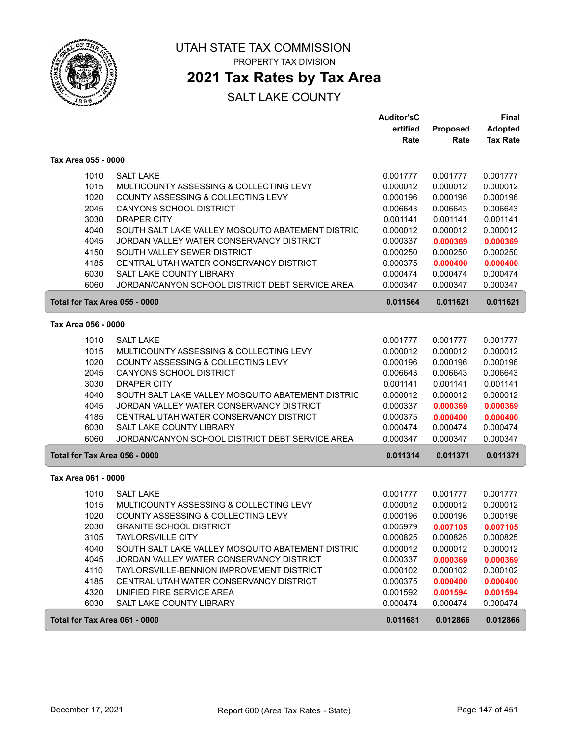

# **2021 Tax Rates by Tax Area**

|                               |                                                                                       | <b>Auditor'sC</b>    |                      | Final                |
|-------------------------------|---------------------------------------------------------------------------------------|----------------------|----------------------|----------------------|
|                               |                                                                                       | ertified             | Proposed             | <b>Adopted</b>       |
|                               |                                                                                       | Rate                 | Rate                 | <b>Tax Rate</b>      |
| Tax Area 055 - 0000           |                                                                                       |                      |                      |                      |
| 1010                          | <b>SALT LAKE</b>                                                                      | 0.001777             | 0.001777             | 0.001777             |
| 1015                          | MULTICOUNTY ASSESSING & COLLECTING LEVY                                               | 0.000012             | 0.000012             | 0.000012             |
| 1020                          | COUNTY ASSESSING & COLLECTING LEVY                                                    | 0.000196             | 0.000196             | 0.000196             |
| 2045                          | <b>CANYONS SCHOOL DISTRICT</b>                                                        | 0.006643             | 0.006643             | 0.006643             |
| 3030                          | <b>DRAPER CITY</b>                                                                    | 0.001141             | 0.001141             | 0.001141             |
| 4040                          | SOUTH SALT LAKE VALLEY MOSQUITO ABATEMENT DISTRIC                                     | 0.000012             | 0.000012             | 0.000012             |
| 4045                          | JORDAN VALLEY WATER CONSERVANCY DISTRICT                                              | 0.000337             | 0.000369             | 0.000369             |
| 4150                          | SOUTH VALLEY SEWER DISTRICT                                                           | 0.000250             | 0.000250             | 0.000250             |
| 4185                          | CENTRAL UTAH WATER CONSERVANCY DISTRICT                                               | 0.000375             | 0.000400             | 0.000400             |
| 6030                          | SALT LAKE COUNTY LIBRARY                                                              | 0.000474             | 0.000474             | 0.000474             |
| 6060                          | JORDAN/CANYON SCHOOL DISTRICT DEBT SERVICE AREA                                       | 0.000347             | 0.000347             | 0.000347             |
| Total for Tax Area 055 - 0000 |                                                                                       | 0.011564             | 0.011621             | 0.011621             |
| Tax Area 056 - 0000           |                                                                                       |                      |                      |                      |
| 1010                          | <b>SALT LAKE</b>                                                                      | 0.001777             | 0.001777             | 0.001777             |
| 1015                          | MULTICOUNTY ASSESSING & COLLECTING LEVY                                               | 0.000012             | 0.000012             | 0.000012             |
| 1020                          | COUNTY ASSESSING & COLLECTING LEVY                                                    | 0.000196             | 0.000196             | 0.000196             |
| 2045                          | CANYONS SCHOOL DISTRICT                                                               | 0.006643             | 0.006643             | 0.006643             |
| 3030                          | <b>DRAPER CITY</b>                                                                    | 0.001141             | 0.001141             | 0.001141             |
| 4040                          | SOUTH SALT LAKE VALLEY MOSQUITO ABATEMENT DISTRIC                                     | 0.000012             | 0.000012             | 0.000012             |
| 4045                          | JORDAN VALLEY WATER CONSERVANCY DISTRICT                                              | 0.000337             | 0.000369             | 0.000369             |
| 4185                          | CENTRAL UTAH WATER CONSERVANCY DISTRICT                                               | 0.000375             | 0.000400             | 0.000400             |
| 6030                          | SALT LAKE COUNTY LIBRARY                                                              | 0.000474             | 0.000474             | 0.000474             |
| 6060                          | JORDAN/CANYON SCHOOL DISTRICT DEBT SERVICE AREA                                       | 0.000347             | 0.000347             | 0.000347             |
| Total for Tax Area 056 - 0000 |                                                                                       | 0.011314             | 0.011371             | 0.011371             |
| Tax Area 061 - 0000           |                                                                                       |                      |                      |                      |
|                               |                                                                                       |                      |                      |                      |
| 1010                          | <b>SALT LAKE</b>                                                                      | 0.001777             | 0.001777             | 0.001777             |
| 1015                          | MULTICOUNTY ASSESSING & COLLECTING LEVY                                               | 0.000012             | 0.000012             | 0.000012             |
| 1020                          | COUNTY ASSESSING & COLLECTING LEVY                                                    | 0.000196             | 0.000196             | 0.000196             |
| 2030                          | <b>GRANITE SCHOOL DISTRICT</b>                                                        | 0.005979             | 0.007105             | 0.007105             |
| 3105                          | <b>TAYLORSVILLE CITY</b>                                                              | 0.000825             | 0.000825             | 0.000825             |
| 4040                          | SOUTH SALT LAKE VALLEY MOSQUITO ABATEMENT DISTRIC                                     | 0.000012             | 0.000012             | 0.000012             |
| 4045                          | JORDAN VALLEY WATER CONSERVANCY DISTRICT<br>TAYLORSVILLE-BENNION IMPROVEMENT DISTRICT | 0.000337             | 0.000369             | 0.000369             |
| 4110                          |                                                                                       | 0.000102             | 0.000102             | 0.000102             |
| 4185<br>4320                  | CENTRAL UTAH WATER CONSERVANCY DISTRICT<br>UNIFIED FIRE SERVICE AREA                  | 0.000375             | 0.000400             | 0.000400             |
| 6030                          | SALT LAKE COUNTY LIBRARY                                                              | 0.001592<br>0.000474 | 0.001594<br>0.000474 | 0.001594<br>0.000474 |
|                               |                                                                                       |                      |                      |                      |
| Total for Tax Area 061 - 0000 |                                                                                       | 0.011681             | 0.012866             | 0.012866             |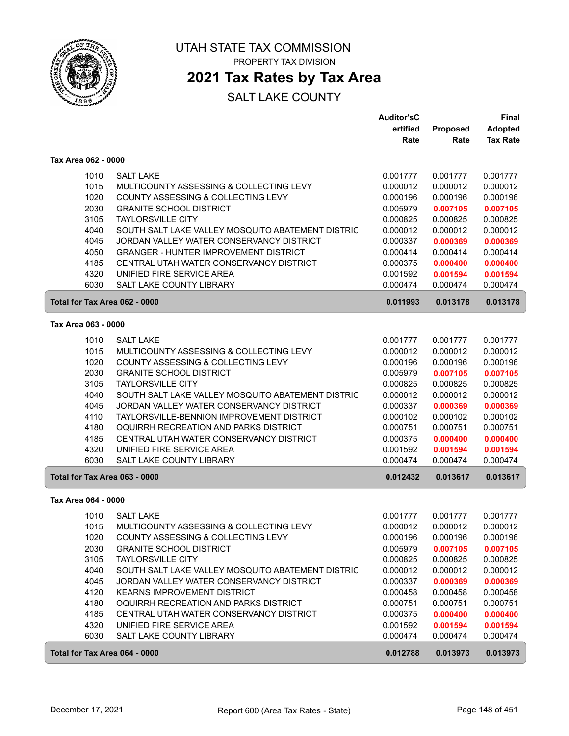

## **2021 Tax Rates by Tax Area**

|                               |                                                   | <b>Auditor'sC</b> |                 | <b>Final</b>    |
|-------------------------------|---------------------------------------------------|-------------------|-----------------|-----------------|
|                               |                                                   | ertified          | <b>Proposed</b> | <b>Adopted</b>  |
|                               |                                                   | Rate              | Rate            | <b>Tax Rate</b> |
| Tax Area 062 - 0000           |                                                   |                   |                 |                 |
| 1010                          | <b>SALT LAKE</b>                                  | 0.001777          | 0.001777        | 0.001777        |
| 1015                          | MULTICOUNTY ASSESSING & COLLECTING LEVY           | 0.000012          | 0.000012        | 0.000012        |
| 1020                          | COUNTY ASSESSING & COLLECTING LEVY                | 0.000196          | 0.000196        | 0.000196        |
| 2030                          | <b>GRANITE SCHOOL DISTRICT</b>                    | 0.005979          | 0.007105        | 0.007105        |
| 3105                          | <b>TAYLORSVILLE CITY</b>                          | 0.000825          | 0.000825        | 0.000825        |
| 4040                          | SOUTH SALT LAKE VALLEY MOSQUITO ABATEMENT DISTRIC | 0.000012          | 0.000012        | 0.000012        |
| 4045                          | JORDAN VALLEY WATER CONSERVANCY DISTRICT          | 0.000337          | 0.000369        | 0.000369        |
| 4050                          | <b>GRANGER - HUNTER IMPROVEMENT DISTRICT</b>      | 0.000414          | 0.000414        | 0.000414        |
| 4185                          | CENTRAL UTAH WATER CONSERVANCY DISTRICT           | 0.000375          | 0.000400        | 0.000400        |
| 4320                          | UNIFIED FIRE SERVICE AREA                         | 0.001592          | 0.001594        | 0.001594        |
| 6030                          | SALT LAKE COUNTY LIBRARY                          | 0.000474          | 0.000474        | 0.000474        |
| Total for Tax Area 062 - 0000 |                                                   | 0.011993          | 0.013178        | 0.013178        |
| Tax Area 063 - 0000           |                                                   |                   |                 |                 |
|                               |                                                   |                   |                 |                 |
| 1010                          | <b>SALT LAKE</b>                                  | 0.001777          | 0.001777        | 0.001777        |
| 1015                          | MULTICOUNTY ASSESSING & COLLECTING LEVY           | 0.000012          | 0.000012        | 0.000012        |
| 1020                          | COUNTY ASSESSING & COLLECTING LEVY                | 0.000196          | 0.000196        | 0.000196        |
| 2030                          | <b>GRANITE SCHOOL DISTRICT</b>                    | 0.005979          | 0.007105        | 0.007105        |
| 3105                          | <b>TAYLORSVILLE CITY</b>                          | 0.000825          | 0.000825        | 0.000825        |
| 4040                          | SOUTH SALT LAKE VALLEY MOSQUITO ABATEMENT DISTRIC | 0.000012          | 0.000012        | 0.000012        |
| 4045                          | JORDAN VALLEY WATER CONSERVANCY DISTRICT          | 0.000337          | 0.000369        | 0.000369        |
| 4110                          | TAYLORSVILLE-BENNION IMPROVEMENT DISTRICT         | 0.000102          | 0.000102        | 0.000102        |
| 4180                          | OQUIRRH RECREATION AND PARKS DISTRICT             | 0.000751          | 0.000751        | 0.000751        |
| 4185                          | CENTRAL UTAH WATER CONSERVANCY DISTRICT           | 0.000375          | 0.000400        | 0.000400        |
| 4320                          | UNIFIED FIRE SERVICE AREA                         | 0.001592          | 0.001594        | 0.001594        |
| 6030                          | SALT LAKE COUNTY LIBRARY                          | 0.000474          | 0.000474        | 0.000474        |
| Total for Tax Area 063 - 0000 |                                                   | 0.012432          | 0.013617        | 0.013617        |
| Tax Area 064 - 0000           |                                                   |                   |                 |                 |
| 1010                          | <b>SALT LAKE</b>                                  | 0.001777          | 0.001777        | 0.001777        |
| 1015                          | MULTICOUNTY ASSESSING & COLLECTING LEVY           | 0.000012          | 0.000012        | 0.000012        |
| 1020                          | COUNTY ASSESSING & COLLECTING LEVY                | 0.000196          | 0.000196        | 0.000196        |
| 2030                          | <b>GRANITE SCHOOL DISTRICT</b>                    | 0.005979          | 0.007105        | 0.007105        |
| 3105                          | <b>TAYLORSVILLE CITY</b>                          | 0.000825          | 0.000825        | 0.000825        |
| 4040                          | SOUTH SALT LAKE VALLEY MOSQUITO ABATEMENT DISTRIC | 0.000012          | 0.000012        | 0.000012        |
| 4045                          | JORDAN VALLEY WATER CONSERVANCY DISTRICT          | 0.000337          | 0.000369        | 0.000369        |
| 4120                          | KEARNS IMPROVEMENT DISTRICT                       | 0.000458          | 0.000458        | 0.000458        |
| 4180                          | OQUIRRH RECREATION AND PARKS DISTRICT             | 0.000751          | 0.000751        | 0.000751        |
| 4185                          | CENTRAL UTAH WATER CONSERVANCY DISTRICT           | 0.000375          | 0.000400        | 0.000400        |
| 4320                          | UNIFIED FIRE SERVICE AREA                         | 0.001592          | 0.001594        | 0.001594        |
| 6030                          | SALT LAKE COUNTY LIBRARY                          | 0.000474          | 0.000474        | 0.000474        |
| Total for Tax Area 064 - 0000 |                                                   | 0.012788          | 0.013973        | 0.013973        |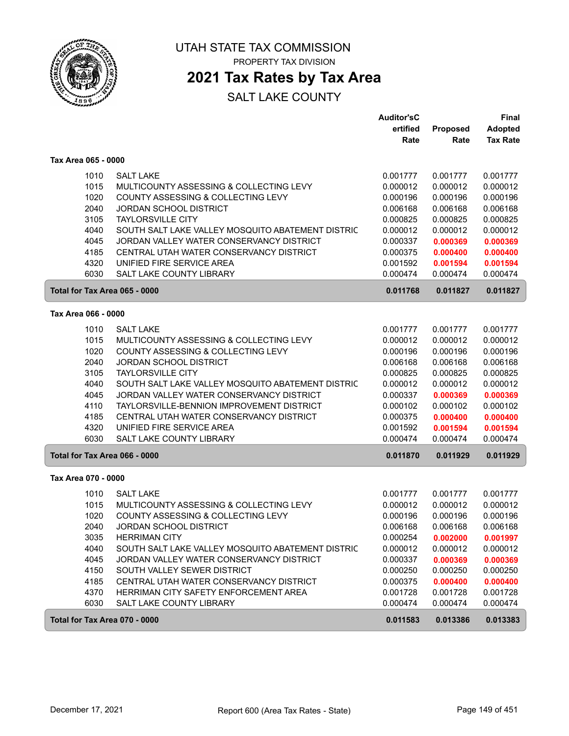

## **2021 Tax Rates by Tax Area**

|                               |                                                   | <b>Auditor'sC</b><br>ertified | Proposed | Final<br>Adopted |
|-------------------------------|---------------------------------------------------|-------------------------------|----------|------------------|
|                               |                                                   | Rate                          | Rate     | <b>Tax Rate</b>  |
| Tax Area 065 - 0000           |                                                   |                               |          |                  |
| 1010                          | <b>SALT LAKE</b>                                  | 0.001777                      | 0.001777 | 0.001777         |
| 1015                          | MULTICOUNTY ASSESSING & COLLECTING LEVY           | 0.000012                      | 0.000012 | 0.000012         |
| 1020                          | COUNTY ASSESSING & COLLECTING LEVY                | 0.000196                      | 0.000196 | 0.000196         |
| 2040                          | JORDAN SCHOOL DISTRICT                            | 0.006168                      | 0.006168 | 0.006168         |
| 3105                          | <b>TAYLORSVILLE CITY</b>                          | 0.000825                      | 0.000825 | 0.000825         |
| 4040                          | SOUTH SALT LAKE VALLEY MOSQUITO ABATEMENT DISTRIC | 0.000012                      | 0.000012 | 0.000012         |
| 4045                          | JORDAN VALLEY WATER CONSERVANCY DISTRICT          | 0.000337                      | 0.000369 | 0.000369         |
| 4185                          | CENTRAL UTAH WATER CONSERVANCY DISTRICT           | 0.000375                      | 0.000400 | 0.000400         |
| 4320                          | UNIFIED FIRE SERVICE AREA                         | 0.001592                      | 0.001594 | 0.001594         |
| 6030                          | SALT LAKE COUNTY LIBRARY                          | 0.000474                      | 0.000474 | 0.000474         |
| Total for Tax Area 065 - 0000 |                                                   | 0.011768                      | 0.011827 | 0.011827         |
| Tax Area 066 - 0000           |                                                   |                               |          |                  |
| 1010                          | <b>SALT LAKE</b>                                  | 0.001777                      | 0.001777 | 0.001777         |
| 1015                          | MULTICOUNTY ASSESSING & COLLECTING LEVY           | 0.000012                      | 0.000012 | 0.000012         |
| 1020                          | COUNTY ASSESSING & COLLECTING LEVY                | 0.000196                      | 0.000196 | 0.000196         |
| 2040                          | JORDAN SCHOOL DISTRICT                            | 0.006168                      | 0.006168 | 0.006168         |
| 3105                          | <b>TAYLORSVILLE CITY</b>                          | 0.000825                      | 0.000825 | 0.000825         |
| 4040                          | SOUTH SALT LAKE VALLEY MOSQUITO ABATEMENT DISTRIC | 0.000012                      | 0.000012 | 0.000012         |
| 4045                          | JORDAN VALLEY WATER CONSERVANCY DISTRICT          | 0.000337                      | 0.000369 | 0.000369         |
| 4110                          | TAYLORSVILLE-BENNION IMPROVEMENT DISTRICT         | 0.000102                      | 0.000102 | 0.000102         |
| 4185                          | CENTRAL UTAH WATER CONSERVANCY DISTRICT           | 0.000375                      | 0.000400 | 0.000400         |
| 4320                          | UNIFIED FIRE SERVICE AREA                         | 0.001592                      | 0.001594 | 0.001594         |
| 6030                          | SALT LAKE COUNTY LIBRARY                          | 0.000474                      | 0.000474 | 0.000474         |
| Total for Tax Area 066 - 0000 |                                                   | 0.011870                      | 0.011929 | 0.011929         |
| Tax Area 070 - 0000           |                                                   |                               |          |                  |
| 1010                          | <b>SALT LAKE</b>                                  | 0.001777                      | 0.001777 | 0.001777         |
| 1015                          | MULTICOUNTY ASSESSING & COLLECTING LEVY           | 0.000012                      | 0.000012 | 0.000012         |
| 1020                          | COUNTY ASSESSING & COLLECTING LEVY                | 0.000196                      | 0.000196 | 0.000196         |
| 2040                          | <b>JORDAN SCHOOL DISTRICT</b>                     | 0.006168                      | 0.006168 | 0.006168         |
| 3035                          | <b>HERRIMAN CITY</b>                              | 0.000254                      | 0.002000 | 0.001997         |
| 4040                          | SOUTH SALT LAKE VALLEY MOSQUITO ABATEMENT DISTRIC | 0.000012                      | 0.000012 | 0.000012         |
| 4045                          | JORDAN VALLEY WATER CONSERVANCY DISTRICT          | 0.000337                      | 0.000369 | 0.000369         |
| 4150                          | SOUTH VALLEY SEWER DISTRICT                       | 0.000250                      | 0.000250 | 0.000250         |
| 4185                          | CENTRAL UTAH WATER CONSERVANCY DISTRICT           | 0.000375                      | 0.000400 | 0.000400         |
| 4370                          | HERRIMAN CITY SAFETY ENFORCEMENT AREA             | 0.001728                      | 0.001728 | 0.001728         |
| 6030                          | SALT LAKE COUNTY LIBRARY                          | 0.000474                      | 0.000474 | 0.000474         |
| Total for Tax Area 070 - 0000 |                                                   | 0.011583                      | 0.013386 | 0.013383         |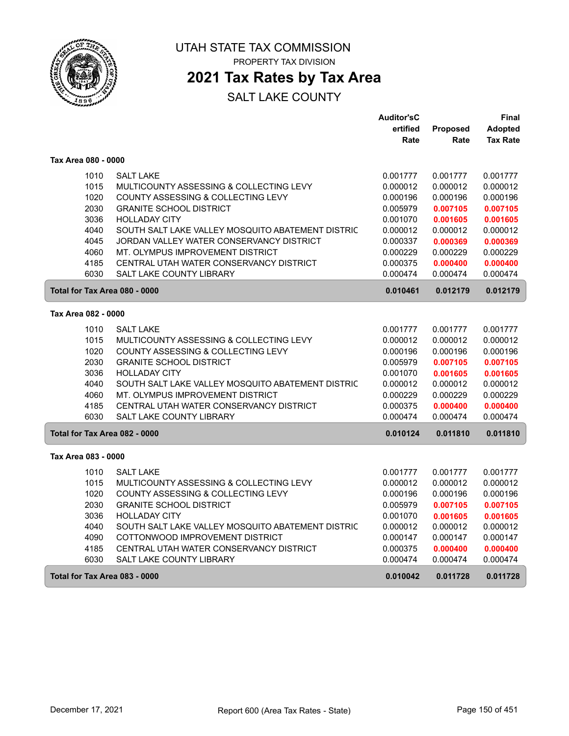

PROPERTY TAX DIVISION

### **2021 Tax Rates by Tax Area**

|                               |                                                   | <b>Auditor'sC</b> |                 | Final           |
|-------------------------------|---------------------------------------------------|-------------------|-----------------|-----------------|
|                               |                                                   | ertified          | <b>Proposed</b> | <b>Adopted</b>  |
|                               |                                                   | Rate              | Rate            | <b>Tax Rate</b> |
| Tax Area 080 - 0000           |                                                   |                   |                 |                 |
| 1010                          | <b>SALT LAKE</b>                                  | 0.001777          | 0.001777        | 0.001777        |
| 1015                          | MULTICOUNTY ASSESSING & COLLECTING LEVY           | 0.000012          | 0.000012        | 0.000012        |
| 1020                          | COUNTY ASSESSING & COLLECTING LEVY                | 0.000196          | 0.000196        | 0.000196        |
| 2030                          | <b>GRANITE SCHOOL DISTRICT</b>                    | 0.005979          | 0.007105        | 0.007105        |
| 3036                          | <b>HOLLADAY CITY</b>                              | 0.001070          | 0.001605        | 0.001605        |
| 4040                          | SOUTH SALT LAKE VALLEY MOSQUITO ABATEMENT DISTRIC | 0.000012          | 0.000012        | 0.000012        |
| 4045                          | JORDAN VALLEY WATER CONSERVANCY DISTRICT          | 0.000337          | 0.000369        | 0.000369        |
| 4060                          | MT. OLYMPUS IMPROVEMENT DISTRICT                  | 0.000229          | 0.000229        | 0.000229        |
| 4185                          | CENTRAL UTAH WATER CONSERVANCY DISTRICT           | 0.000375          | 0.000400        | 0.000400        |
| 6030                          | <b>SALT LAKE COUNTY LIBRARY</b>                   | 0.000474          | 0.000474        | 0.000474        |
| Total for Tax Area 080 - 0000 |                                                   | 0.010461          | 0.012179        | 0.012179        |
| Tax Area 082 - 0000           |                                                   |                   |                 |                 |
| 1010                          | <b>SALT LAKE</b>                                  | 0.001777          | 0.001777        | 0.001777        |
| 1015                          | MULTICOUNTY ASSESSING & COLLECTING LEVY           | 0.000012          | 0.000012        | 0.000012        |
| 1020                          | <b>COUNTY ASSESSING &amp; COLLECTING LEVY</b>     | 0.000196          | 0.000196        | 0.000196        |
| 2030                          | <b>GRANITE SCHOOL DISTRICT</b>                    | 0.005979          | 0.007105        | 0.007105        |
| 3036                          | <b>HOLLADAY CITY</b>                              | 0.001070          | 0.001605        | 0.001605        |
| 4040                          | SOUTH SALT LAKE VALLEY MOSQUITO ABATEMENT DISTRIC | 0.000012          | 0.000012        | 0.000012        |
| 4060                          | MT. OLYMPUS IMPROVEMENT DISTRICT                  | 0.000229          | 0.000229        | 0.000229        |
| 4185                          | CENTRAL UTAH WATER CONSERVANCY DISTRICT           | 0.000375          | 0.000400        | 0.000400        |
| 6030                          | <b>SALT LAKE COUNTY LIBRARY</b>                   | 0.000474          | 0.000474        | 0.000474        |
| Total for Tax Area 082 - 0000 |                                                   | 0.010124          | 0.011810        | 0.011810        |
| Tax Area 083 - 0000           |                                                   |                   |                 |                 |
| 1010                          | <b>SALT LAKE</b>                                  | 0.001777          | 0.001777        | 0.001777        |
| 1015                          | MULTICOUNTY ASSESSING & COLLECTING LEVY           | 0.000012          | 0.000012        | 0.000012        |
| 1020                          | COUNTY ASSESSING & COLLECTING LEVY                | 0.000196          | 0.000196        | 0.000196        |
| 2030                          | <b>GRANITE SCHOOL DISTRICT</b>                    | 0.005979          | 0.007105        | 0.007105        |
| 3036                          | <b>HOLLADAY CITY</b>                              | 0.001070          | 0.001605        | 0.001605        |
| 4040                          | SOUTH SALT LAKE VALLEY MOSQUITO ABATEMENT DISTRIC | 0.000012          | 0.000012        | 0.000012        |
| 4090                          | COTTONWOOD IMPROVEMENT DISTRICT                   | 0.000147          | 0.000147        | 0.000147        |
| 4185                          | CENTRAL UTAH WATER CONSERVANCY DISTRICT           | 0.000375          | 0.000400        | 0.000400        |
| 6030                          | SALT LAKE COUNTY LIBRARY                          | 0.000474          | 0.000474        | 0.000474        |
| Total for Tax Area 083 - 0000 |                                                   | 0.010042          | 0.011728        | 0.011728        |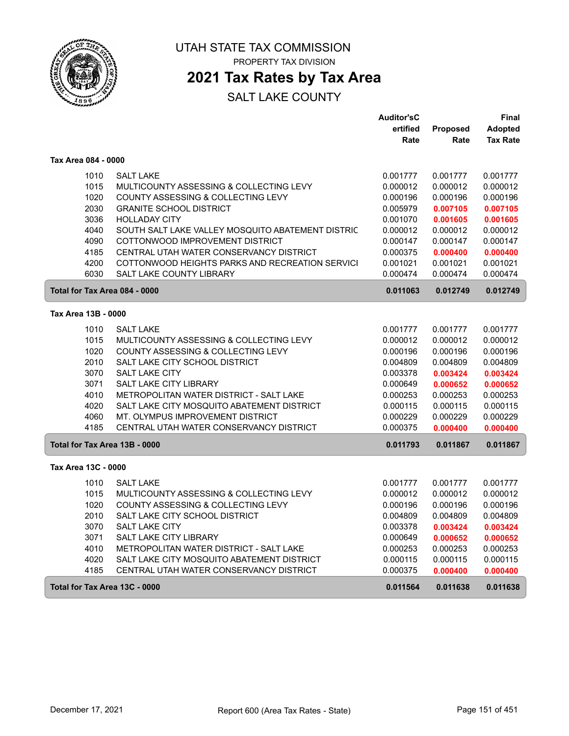

PROPERTY TAX DIVISION

### **2021 Tax Rates by Tax Area**

|                               |                                                   | <b>Auditor'sC</b> |                 | Final           |
|-------------------------------|---------------------------------------------------|-------------------|-----------------|-----------------|
|                               |                                                   | ertified          | <b>Proposed</b> | <b>Adopted</b>  |
|                               |                                                   | Rate              | Rate            | <b>Tax Rate</b> |
| Tax Area 084 - 0000           |                                                   |                   |                 |                 |
| 1010                          | <b>SALT LAKE</b>                                  | 0.001777          | 0.001777        | 0.001777        |
| 1015                          | MULTICOUNTY ASSESSING & COLLECTING LEVY           | 0.000012          | 0.000012        | 0.000012        |
| 1020                          | COUNTY ASSESSING & COLLECTING LEVY                | 0.000196          | 0.000196        | 0.000196        |
| 2030                          | <b>GRANITE SCHOOL DISTRICT</b>                    | 0.005979          | 0.007105        | 0.007105        |
| 3036                          | <b>HOLLADAY CITY</b>                              | 0.001070          | 0.001605        | 0.001605        |
| 4040                          | SOUTH SALT LAKE VALLEY MOSQUITO ABATEMENT DISTRIC | 0.000012          | 0.000012        | 0.000012        |
| 4090                          | COTTONWOOD IMPROVEMENT DISTRICT                   | 0.000147          | 0.000147        | 0.000147        |
| 4185                          | CENTRAL UTAH WATER CONSERVANCY DISTRICT           | 0.000375          | 0.000400        | 0.000400        |
| 4200                          | COTTONWOOD HEIGHTS PARKS AND RECREATION SERVICI   | 0.001021          | 0.001021        | 0.001021        |
| 6030                          | <b>SALT LAKE COUNTY LIBRARY</b>                   | 0.000474          | 0.000474        | 0.000474        |
| Total for Tax Area 084 - 0000 |                                                   | 0.011063          | 0.012749        | 0.012749        |
| Tax Area 13B - 0000           |                                                   |                   |                 |                 |
| 1010                          | <b>SALT LAKE</b>                                  | 0.001777          | 0.001777        | 0.001777        |
| 1015                          | MULTICOUNTY ASSESSING & COLLECTING LEVY           | 0.000012          | 0.000012        | 0.000012        |
| 1020                          | COUNTY ASSESSING & COLLECTING LEVY                | 0.000196          | 0.000196        | 0.000196        |
| 2010                          | SALT LAKE CITY SCHOOL DISTRICT                    | 0.004809          | 0.004809        | 0.004809        |
| 3070                          | <b>SALT LAKE CITY</b>                             | 0.003378          | 0.003424        | 0.003424        |
| 3071                          | <b>SALT LAKE CITY LIBRARY</b>                     | 0.000649          | 0.000652        | 0.000652        |
| 4010                          | METROPOLITAN WATER DISTRICT - SALT LAKE           | 0.000253          | 0.000253        | 0.000253        |
| 4020                          | SALT LAKE CITY MOSQUITO ABATEMENT DISTRICT        | 0.000115          | 0.000115        | 0.000115        |
| 4060                          | MT. OLYMPUS IMPROVEMENT DISTRICT                  | 0.000229          | 0.000229        | 0.000229        |
| 4185                          | CENTRAL UTAH WATER CONSERVANCY DISTRICT           | 0.000375          | 0.000400        | 0.000400        |
| Total for Tax Area 13B - 0000 |                                                   | 0.011793          | 0.011867        | 0.011867        |
| Tax Area 13C - 0000           |                                                   |                   |                 |                 |
| 1010                          | <b>SALT LAKE</b>                                  | 0.001777          | 0.001777        | 0.001777        |
| 1015                          | MULTICOUNTY ASSESSING & COLLECTING LEVY           | 0.000012          | 0.000012        | 0.000012        |
| 1020                          | COUNTY ASSESSING & COLLECTING LEVY                | 0.000196          | 0.000196        | 0.000196        |
| 2010                          | SALT LAKE CITY SCHOOL DISTRICT                    | 0.004809          | 0.004809        | 0.004809        |
| 3070                          | <b>SALT LAKE CITY</b>                             | 0.003378          | 0.003424        | 0.003424        |
| 3071                          | <b>SALT LAKE CITY LIBRARY</b>                     | 0.000649          | 0.000652        | 0.000652        |
| 4010                          | METROPOLITAN WATER DISTRICT - SALT LAKE           | 0.000253          | 0.000253        | 0.000253        |
| 4020                          | SALT LAKE CITY MOSQUITO ABATEMENT DISTRICT        | 0.000115          | 0.000115        | 0.000115        |
| 4185                          | CENTRAL UTAH WATER CONSERVANCY DISTRICT           | 0.000375          | 0.000400        | 0.000400        |
| Total for Tax Area 13C - 0000 |                                                   | 0.011564          | 0.011638        | 0.011638        |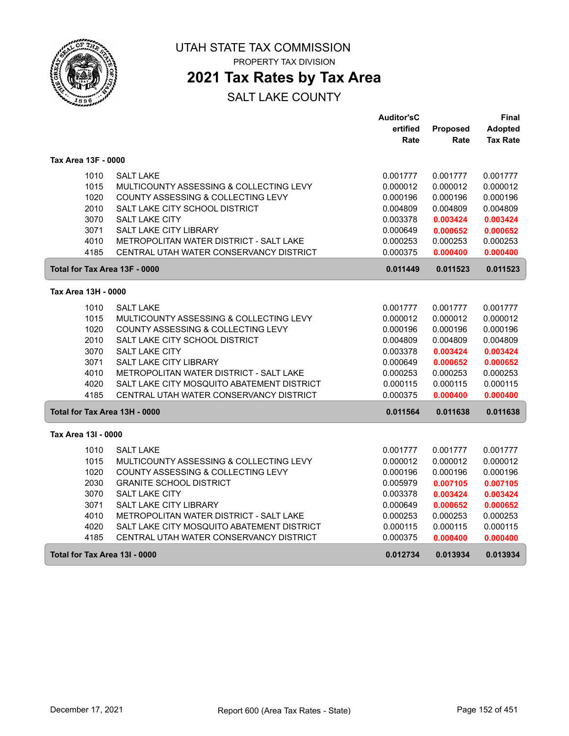

PROPERTY TAX DIVISION

### **2021 Tax Rates by Tax Area**

|                               |                                            | <b>Auditor'sC</b> |                 | Final           |
|-------------------------------|--------------------------------------------|-------------------|-----------------|-----------------|
|                               |                                            | ertified          | <b>Proposed</b> | <b>Adopted</b>  |
|                               |                                            | Rate              | Rate            | <b>Tax Rate</b> |
| Tax Area 13F - 0000           |                                            |                   |                 |                 |
| 1010                          | <b>SALT LAKE</b>                           | 0.001777          | 0.001777        | 0.001777        |
| 1015                          | MULTICOUNTY ASSESSING & COLLECTING LEVY    | 0.000012          | 0.000012        | 0.000012        |
| 1020                          | COUNTY ASSESSING & COLLECTING LEVY         | 0.000196          | 0.000196        | 0.000196        |
| 2010                          | SALT LAKE CITY SCHOOL DISTRICT             | 0.004809          | 0.004809        | 0.004809        |
| 3070                          | <b>SALT LAKE CITY</b>                      | 0.003378          | 0.003424        | 0.003424        |
| 3071                          | SALT LAKE CITY LIBRARY                     | 0.000649          | 0.000652        | 0.000652        |
| 4010                          | METROPOLITAN WATER DISTRICT - SALT LAKE    | 0.000253          | 0.000253        | 0.000253        |
| 4185                          | CENTRAL UTAH WATER CONSERVANCY DISTRICT    | 0.000375          | 0.000400        | 0.000400        |
| Total for Tax Area 13F - 0000 |                                            | 0.011449          | 0.011523        | 0.011523        |
| Tax Area 13H - 0000           |                                            |                   |                 |                 |
| 1010                          | <b>SALT LAKE</b>                           | 0.001777          | 0.001777        | 0.001777        |
| 1015                          | MULTICOUNTY ASSESSING & COLLECTING LEVY    | 0.000012          | 0.000012        | 0.000012        |
| 1020                          | COUNTY ASSESSING & COLLECTING LEVY         | 0.000196          | 0.000196        | 0.000196        |
| 2010                          | SALT LAKE CITY SCHOOL DISTRICT             | 0.004809          | 0.004809        | 0.004809        |
| 3070                          | SALT LAKE CITY                             | 0.003378          | 0.003424        | 0.003424        |
| 3071                          | <b>SALT LAKE CITY LIBRARY</b>              | 0.000649          | 0.000652        | 0.000652        |
| 4010                          | METROPOLITAN WATER DISTRICT - SALT LAKE    | 0.000253          | 0.000253        | 0.000253        |
| 4020                          | SALT LAKE CITY MOSQUITO ABATEMENT DISTRICT | 0.000115          | 0.000115        | 0.000115        |
| 4185                          | CENTRAL UTAH WATER CONSERVANCY DISTRICT    | 0.000375          | 0.000400        | 0.000400        |
| Total for Tax Area 13H - 0000 |                                            | 0.011564          | 0.011638        | 0.011638        |
| Tax Area 13I - 0000           |                                            |                   |                 |                 |
| 1010                          | <b>SALT LAKE</b>                           | 0.001777          | 0.001777        | 0.001777        |
| 1015                          | MULTICOUNTY ASSESSING & COLLECTING LEVY    | 0.000012          | 0.000012        | 0.000012        |
| 1020                          | COUNTY ASSESSING & COLLECTING LEVY         | 0.000196          | 0.000196        | 0.000196        |
| 2030                          | <b>GRANITE SCHOOL DISTRICT</b>             | 0.005979          | 0.007105        | 0.007105        |
| 3070                          | <b>SALT LAKE CITY</b>                      | 0.003378          | 0.003424        | 0.003424        |
| 3071                          | SALT LAKE CITY LIBRARY                     | 0.000649          | 0.000652        | 0.000652        |
| 4010                          | METROPOLITAN WATER DISTRICT - SALT LAKE    | 0.000253          | 0.000253        | 0.000253        |
| 4020                          | SALT LAKE CITY MOSQUITO ABATEMENT DISTRICT | 0.000115          | 0.000115        | 0.000115        |
| 4185                          | CENTRAL UTAH WATER CONSERVANCY DISTRICT    | 0.000375          | 0.000400        | 0.000400        |
| Total for Tax Area 13I - 0000 |                                            | 0.012734          | 0.013934        | 0.013934        |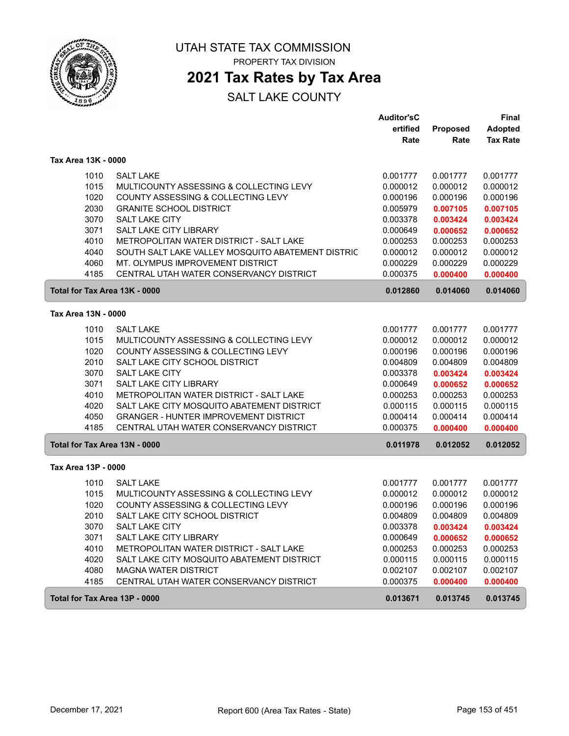

PROPERTY TAX DIVISION

## **2021 Tax Rates by Tax Area**

|                               |                                                   | <b>Auditor'sC</b> |          | <b>Final</b>    |
|-------------------------------|---------------------------------------------------|-------------------|----------|-----------------|
|                               |                                                   | ertified          | Proposed | <b>Adopted</b>  |
|                               |                                                   | Rate              | Rate     | <b>Tax Rate</b> |
| Tax Area 13K - 0000           |                                                   |                   |          |                 |
| 1010                          | <b>SALT LAKE</b>                                  | 0.001777          | 0.001777 | 0.001777        |
| 1015                          | MULTICOUNTY ASSESSING & COLLECTING LEVY           | 0.000012          | 0.000012 | 0.000012        |
| 1020                          | COUNTY ASSESSING & COLLECTING LEVY                | 0.000196          | 0.000196 | 0.000196        |
| 2030                          | <b>GRANITE SCHOOL DISTRICT</b>                    | 0.005979          | 0.007105 | 0.007105        |
| 3070                          | <b>SALT LAKE CITY</b>                             | 0.003378          | 0.003424 | 0.003424        |
| 3071                          | SALT LAKE CITY LIBRARY                            | 0.000649          | 0.000652 | 0.000652        |
| 4010                          | METROPOLITAN WATER DISTRICT - SALT LAKE           | 0.000253          | 0.000253 | 0.000253        |
| 4040                          | SOUTH SALT LAKE VALLEY MOSQUITO ABATEMENT DISTRIC | 0.000012          | 0.000012 | 0.000012        |
| 4060                          | MT. OLYMPUS IMPROVEMENT DISTRICT                  | 0.000229          | 0.000229 | 0.000229        |
| 4185                          | CENTRAL UTAH WATER CONSERVANCY DISTRICT           | 0.000375          | 0.000400 | 0.000400        |
| Total for Tax Area 13K - 0000 |                                                   | 0.012860          | 0.014060 | 0.014060        |
| Tax Area 13N - 0000           |                                                   |                   |          |                 |
|                               |                                                   |                   |          |                 |
| 1010                          | <b>SALT LAKE</b>                                  | 0.001777          | 0.001777 | 0.001777        |
| 1015                          | MULTICOUNTY ASSESSING & COLLECTING LEVY           | 0.000012          | 0.000012 | 0.000012        |
| 1020                          | COUNTY ASSESSING & COLLECTING LEVY                | 0.000196          | 0.000196 | 0.000196        |
| 2010                          | SALT LAKE CITY SCHOOL DISTRICT                    | 0.004809          | 0.004809 | 0.004809        |
| 3070                          | <b>SALT LAKE CITY</b>                             | 0.003378          | 0.003424 | 0.003424        |
| 3071                          | <b>SALT LAKE CITY LIBRARY</b>                     | 0.000649          | 0.000652 | 0.000652        |
| 4010                          | METROPOLITAN WATER DISTRICT - SALT LAKE           | 0.000253          | 0.000253 | 0.000253        |
| 4020                          | SALT LAKE CITY MOSQUITO ABATEMENT DISTRICT        | 0.000115          | 0.000115 | 0.000115        |
| 4050                          | <b>GRANGER - HUNTER IMPROVEMENT DISTRICT</b>      | 0.000414          | 0.000414 | 0.000414        |
| 4185                          | CENTRAL UTAH WATER CONSERVANCY DISTRICT           | 0.000375          | 0.000400 | 0.000400        |
| Total for Tax Area 13N - 0000 |                                                   | 0.011978          | 0.012052 | 0.012052        |
| Tax Area 13P - 0000           |                                                   |                   |          |                 |
| 1010                          | <b>SALT LAKE</b>                                  | 0.001777          | 0.001777 | 0.001777        |
| 1015                          | MULTICOUNTY ASSESSING & COLLECTING LEVY           | 0.000012          | 0.000012 | 0.000012        |
| 1020                          | COUNTY ASSESSING & COLLECTING LEVY                | 0.000196          | 0.000196 | 0.000196        |
| 2010                          | SALT LAKE CITY SCHOOL DISTRICT                    | 0.004809          | 0.004809 | 0.004809        |
| 3070                          | <b>SALT LAKE CITY</b>                             | 0.003378          | 0.003424 | 0.003424        |
| 3071                          | SALT LAKE CITY LIBRARY                            | 0.000649          | 0.000652 | 0.000652        |
| 4010                          | METROPOLITAN WATER DISTRICT - SALT LAKE           | 0.000253          | 0.000253 | 0.000253        |
| 4020                          | SALT LAKE CITY MOSQUITO ABATEMENT DISTRICT        | 0.000115          | 0.000115 | 0.000115        |
| 4080                          | <b>MAGNA WATER DISTRICT</b>                       | 0.002107          | 0.002107 | 0.002107        |
| 4185                          | CENTRAL UTAH WATER CONSERVANCY DISTRICT           | 0.000375          | 0.000400 | 0.000400        |
| Total for Tax Area 13P - 0000 |                                                   | 0.013671          | 0.013745 | 0.013745        |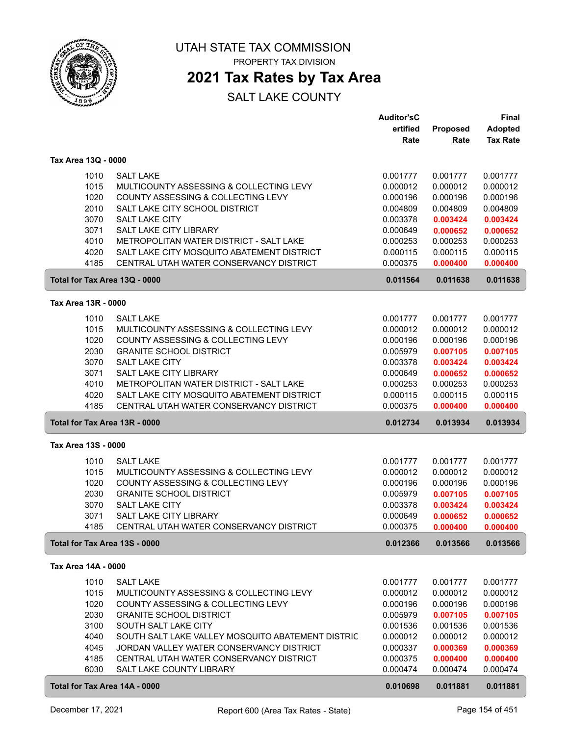

PROPERTY TAX DIVISION

### **2021 Tax Rates by Tax Area**

|                               |                                                                               | <b>Auditor'sC</b>    |                      | <b>Final</b>         |
|-------------------------------|-------------------------------------------------------------------------------|----------------------|----------------------|----------------------|
|                               |                                                                               | ertified             | Proposed             | <b>Adopted</b>       |
|                               |                                                                               | Rate                 | Rate                 | <b>Tax Rate</b>      |
| Tax Area 13Q - 0000           |                                                                               |                      |                      |                      |
|                               | <b>SALT LAKE</b>                                                              |                      |                      |                      |
| 1010<br>1015                  | MULTICOUNTY ASSESSING & COLLECTING LEVY                                       | 0.001777<br>0.000012 | 0.001777<br>0.000012 | 0.001777<br>0.000012 |
| 1020                          | COUNTY ASSESSING & COLLECTING LEVY                                            | 0.000196             | 0.000196             | 0.000196             |
| 2010                          | SALT LAKE CITY SCHOOL DISTRICT                                                | 0.004809             | 0.004809             | 0.004809             |
| 3070                          | <b>SALT LAKE CITY</b>                                                         | 0.003378             | 0.003424             | 0.003424             |
| 3071                          | SALT LAKE CITY LIBRARY                                                        | 0.000649             | 0.000652             | 0.000652             |
| 4010                          | METROPOLITAN WATER DISTRICT - SALT LAKE                                       | 0.000253             | 0.000253             | 0.000253             |
| 4020                          | SALT LAKE CITY MOSQUITO ABATEMENT DISTRICT                                    | 0.000115             | 0.000115             | 0.000115             |
| 4185                          | CENTRAL UTAH WATER CONSERVANCY DISTRICT                                       | 0.000375             | 0.000400             | 0.000400             |
| Total for Tax Area 13Q - 0000 |                                                                               | 0.011564             | 0.011638             | 0.011638             |
|                               |                                                                               |                      |                      |                      |
| Tax Area 13R - 0000           |                                                                               |                      |                      |                      |
| 1010                          | <b>SALT LAKE</b>                                                              | 0.001777             | 0.001777             | 0.001777             |
| 1015                          | MULTICOUNTY ASSESSING & COLLECTING LEVY                                       | 0.000012             | 0.000012             | 0.000012             |
| 1020                          | COUNTY ASSESSING & COLLECTING LEVY                                            | 0.000196             | 0.000196             | 0.000196             |
| 2030                          | <b>GRANITE SCHOOL DISTRICT</b>                                                | 0.005979             | 0.007105             | 0.007105             |
| 3070                          | <b>SALT LAKE CITY</b>                                                         | 0.003378             | 0.003424             | 0.003424             |
| 3071                          | SALT LAKE CITY LIBRARY                                                        | 0.000649             | 0.000652             | 0.000652             |
| 4010                          | METROPOLITAN WATER DISTRICT - SALT LAKE                                       | 0.000253             | 0.000253             | 0.000253             |
| 4020                          | SALT LAKE CITY MOSQUITO ABATEMENT DISTRICT                                    | 0.000115             | 0.000115             | 0.000115             |
| 4185                          | CENTRAL UTAH WATER CONSERVANCY DISTRICT                                       | 0.000375             | 0.000400             | 0.000400             |
| Total for Tax Area 13R - 0000 |                                                                               | 0.012734             | 0.013934             | 0.013934             |
| Tax Area 13S - 0000           |                                                                               |                      |                      |                      |
|                               |                                                                               |                      |                      |                      |
| 1010                          | <b>SALT LAKE</b>                                                              | 0.001777             | 0.001777             | 0.001777             |
| 1015                          | MULTICOUNTY ASSESSING & COLLECTING LEVY<br>COUNTY ASSESSING & COLLECTING LEVY | 0.000012             | 0.000012             | 0.000012             |
| 1020<br>2030                  | <b>GRANITE SCHOOL DISTRICT</b>                                                | 0.000196             | 0.000196<br>0.007105 | 0.000196             |
| 3070                          | <b>SALT LAKE CITY</b>                                                         | 0.005979<br>0.003378 |                      | 0.007105             |
| 3071                          | SALT LAKE CITY LIBRARY                                                        | 0.000649             | 0.003424<br>0.000652 | 0.003424<br>0.000652 |
| 4185                          | CENTRAL UTAH WATER CONSERVANCY DISTRICT                                       | 0.000375             | 0.000400             | 0.000400             |
| Total for Tax Area 13S - 0000 |                                                                               | 0.012366             | 0.013566             | 0.013566             |
|                               |                                                                               |                      |                      |                      |
| Tax Area 14A - 0000           |                                                                               |                      |                      |                      |
| 1010                          | <b>SALT LAKE</b>                                                              | 0.001777             | 0.001777             | 0.001777             |
| 1015                          | MULTICOUNTY ASSESSING & COLLECTING LEVY                                       | 0.000012             | 0.000012             | 0.000012             |
| 1020                          | COUNTY ASSESSING & COLLECTING LEVY                                            | 0.000196             | 0.000196             | 0.000196             |
| 2030                          | <b>GRANITE SCHOOL DISTRICT</b>                                                | 0.005979             | 0.007105             | 0.007105             |
| 3100                          | SOUTH SALT LAKE CITY                                                          | 0.001536             | 0.001536             | 0.001536             |
| 4040                          | SOUTH SALT LAKE VALLEY MOSQUITO ABATEMENT DISTRIC                             | 0.000012             | 0.000012             | 0.000012             |
| 4045                          | JORDAN VALLEY WATER CONSERVANCY DISTRICT                                      | 0.000337             | 0.000369             | 0.000369             |
| 4185                          | CENTRAL UTAH WATER CONSERVANCY DISTRICT                                       | 0.000375             | 0.000400             | 0.000400             |
| 6030                          | SALT LAKE COUNTY LIBRARY                                                      | 0.000474             | 0.000474             | 0.000474             |
| Total for Tax Area 14A - 0000 |                                                                               | 0.010698             | 0.011881             | 0.011881             |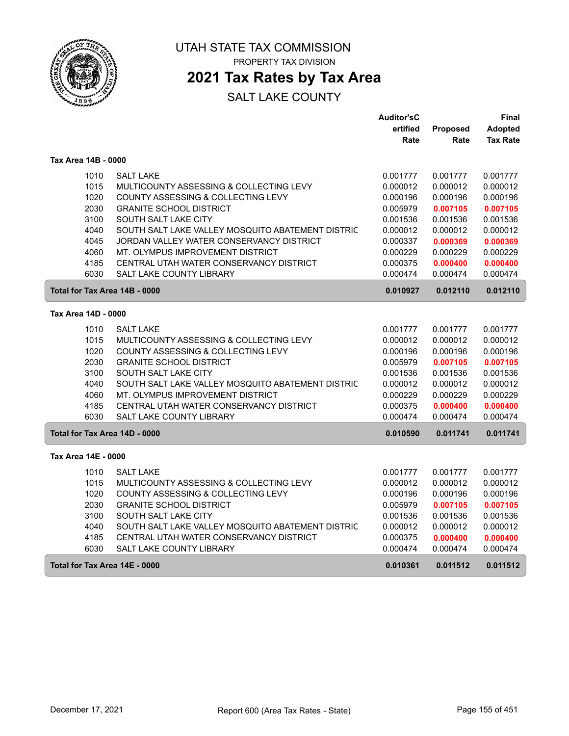

## **2021 Tax Rates by Tax Area**

|                               |                                                                               | <b>Auditor'sC</b>    |                      | Final                |
|-------------------------------|-------------------------------------------------------------------------------|----------------------|----------------------|----------------------|
|                               |                                                                               | ertified             | Proposed             | <b>Adopted</b>       |
|                               |                                                                               | Rate                 | Rate                 | <b>Tax Rate</b>      |
| Tax Area 14B - 0000           |                                                                               |                      |                      |                      |
| 1010                          | <b>SALT LAKE</b>                                                              | 0.001777             | 0.001777             | 0.001777             |
| 1015                          | MULTICOUNTY ASSESSING & COLLECTING LEVY                                       | 0.000012             | 0.000012             | 0.000012             |
| 1020                          | COUNTY ASSESSING & COLLECTING LEVY                                            | 0.000196             | 0.000196             | 0.000196             |
| 2030                          | <b>GRANITE SCHOOL DISTRICT</b>                                                | 0.005979             | 0.007105             | 0.007105             |
| 3100                          | SOUTH SALT LAKE CITY                                                          | 0.001536             | 0.001536             | 0.001536             |
| 4040                          | SOUTH SALT LAKE VALLEY MOSQUITO ABATEMENT DISTRIC                             | 0.000012             | 0.000012             | 0.000012             |
| 4045                          | JORDAN VALLEY WATER CONSERVANCY DISTRICT                                      | 0.000337             | 0.000369             | 0.000369             |
| 4060                          | MT. OLYMPUS IMPROVEMENT DISTRICT                                              | 0.000229             | 0.000229             | 0.000229             |
| 4185                          | CENTRAL UTAH WATER CONSERVANCY DISTRICT                                       | 0.000375             | 0.000400             | 0.000400             |
| 6030                          | <b>SALT LAKE COUNTY LIBRARY</b>                                               | 0.000474             | 0.000474             | 0.000474             |
| Total for Tax Area 14B - 0000 |                                                                               | 0.010927             | 0.012110             | 0.012110             |
| Tax Area 14D - 0000           |                                                                               |                      |                      |                      |
|                               | <b>SALT LAKE</b>                                                              |                      |                      |                      |
| 1010<br>1015                  | MULTICOUNTY ASSESSING & COLLECTING LEVY                                       | 0.001777<br>0.000012 | 0.001777<br>0.000012 | 0.001777<br>0.000012 |
| 1020                          | COUNTY ASSESSING & COLLECTING LEVY                                            | 0.000196             | 0.000196             | 0.000196             |
| 2030                          | <b>GRANITE SCHOOL DISTRICT</b>                                                | 0.005979             | 0.007105             | 0.007105             |
| 3100                          | SOUTH SALT LAKE CITY                                                          | 0.001536             | 0.001536             | 0.001536             |
| 4040                          | SOUTH SALT LAKE VALLEY MOSQUITO ABATEMENT DISTRIC                             | 0.000012             | 0.000012             | 0.000012             |
| 4060                          | MT. OLYMPUS IMPROVEMENT DISTRICT                                              | 0.000229             | 0.000229             | 0.000229             |
| 4185                          | CENTRAL UTAH WATER CONSERVANCY DISTRICT                                       | 0.000375             | 0.000400             | 0.000400             |
| 6030                          | <b>SALT LAKE COUNTY LIBRARY</b>                                               | 0.000474             | 0.000474             | 0.000474             |
| Total for Tax Area 14D - 0000 |                                                                               | 0.010590             | 0.011741             | 0.011741             |
| Tax Area 14E - 0000           |                                                                               |                      |                      |                      |
|                               | <b>SALT LAKE</b>                                                              |                      |                      |                      |
| 1010<br>1015                  |                                                                               | 0.001777             | 0.001777             | 0.001777             |
| 1020                          | MULTICOUNTY ASSESSING & COLLECTING LEVY<br>COUNTY ASSESSING & COLLECTING LEVY | 0.000012<br>0.000196 | 0.000012<br>0.000196 | 0.000012<br>0.000196 |
| 2030                          | <b>GRANITE SCHOOL DISTRICT</b>                                                | 0.005979             | 0.007105             | 0.007105             |
| 3100                          | SOUTH SALT LAKE CITY                                                          | 0.001536             | 0.001536             | 0.001536             |
| 4040                          | SOUTH SALT LAKE VALLEY MOSQUITO ABATEMENT DISTRIC                             | 0.000012             | 0.000012             | 0.000012             |
| 4185                          | CENTRAL UTAH WATER CONSERVANCY DISTRICT                                       | 0.000375             | 0.000400             | 0.000400             |
| 6030                          | <b>SALT LAKE COUNTY LIBRARY</b>                                               | 0.000474             | 0.000474             | 0.000474             |
| Total for Tax Area 14E - 0000 |                                                                               | 0.010361             | 0.011512             | 0.011512             |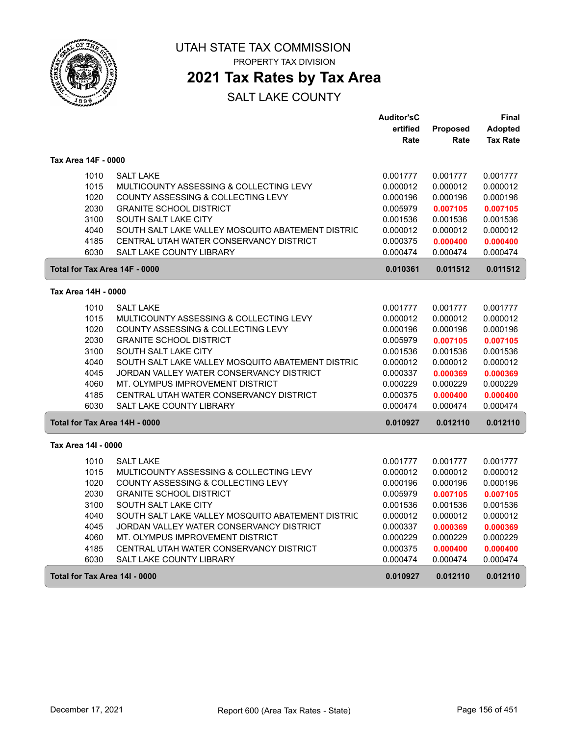

PROPERTY TAX DIVISION

### **2021 Tax Rates by Tax Area**

|                               |                                                   | <b>Auditor'sC</b> |          | Final           |
|-------------------------------|---------------------------------------------------|-------------------|----------|-----------------|
|                               |                                                   | ertified          | Proposed | Adopted         |
|                               |                                                   | Rate              | Rate     | <b>Tax Rate</b> |
| Tax Area 14F - 0000           |                                                   |                   |          |                 |
| 1010                          | <b>SALT LAKE</b>                                  | 0.001777          | 0.001777 | 0.001777        |
| 1015                          | MULTICOUNTY ASSESSING & COLLECTING LEVY           | 0.000012          | 0.000012 | 0.000012        |
| 1020                          | COUNTY ASSESSING & COLLECTING LEVY                | 0.000196          | 0.000196 | 0.000196        |
| 2030                          | <b>GRANITE SCHOOL DISTRICT</b>                    | 0.005979          | 0.007105 | 0.007105        |
| 3100                          | SOUTH SALT LAKE CITY                              | 0.001536          | 0.001536 | 0.001536        |
| 4040                          | SOUTH SALT LAKE VALLEY MOSQUITO ABATEMENT DISTRIC | 0.000012          | 0.000012 | 0.000012        |
| 4185                          | CENTRAL UTAH WATER CONSERVANCY DISTRICT           | 0.000375          | 0.000400 | 0.000400        |
| 6030                          | <b>SALT LAKE COUNTY LIBRARY</b>                   | 0.000474          | 0.000474 | 0.000474        |
| Total for Tax Area 14F - 0000 |                                                   | 0.010361          | 0.011512 | 0.011512        |
| Tax Area 14H - 0000           |                                                   |                   |          |                 |
| 1010                          | <b>SALT LAKE</b>                                  | 0.001777          | 0.001777 | 0.001777        |
| 1015                          | MULTICOUNTY ASSESSING & COLLECTING LEVY           | 0.000012          | 0.000012 | 0.000012        |
| 1020                          | COUNTY ASSESSING & COLLECTING LEVY                | 0.000196          | 0.000196 | 0.000196        |
| 2030                          | <b>GRANITE SCHOOL DISTRICT</b>                    | 0.005979          | 0.007105 | 0.007105        |
| 3100                          | SOUTH SALT LAKE CITY                              | 0.001536          | 0.001536 | 0.001536        |
| 4040                          | SOUTH SALT LAKE VALLEY MOSQUITO ABATEMENT DISTRIC | 0.000012          | 0.000012 | 0.000012        |
| 4045                          | JORDAN VALLEY WATER CONSERVANCY DISTRICT          | 0.000337          | 0.000369 | 0.000369        |
| 4060                          | MT. OLYMPUS IMPROVEMENT DISTRICT                  | 0.000229          | 0.000229 | 0.000229        |
| 4185                          | CENTRAL UTAH WATER CONSERVANCY DISTRICT           | 0.000375          | 0.000400 | 0.000400        |
| 6030                          | <b>SALT LAKE COUNTY LIBRARY</b>                   | 0.000474          | 0.000474 | 0.000474        |
| Total for Tax Area 14H - 0000 |                                                   | 0.010927          | 0.012110 | 0.012110        |
| Tax Area 14I - 0000           |                                                   |                   |          |                 |
| 1010                          | <b>SALT LAKE</b>                                  | 0.001777          | 0.001777 | 0.001777        |
| 1015                          | MULTICOUNTY ASSESSING & COLLECTING LEVY           | 0.000012          | 0.000012 | 0.000012        |
| 1020                          | COUNTY ASSESSING & COLLECTING LEVY                | 0.000196          | 0.000196 | 0.000196        |
| 2030                          | <b>GRANITE SCHOOL DISTRICT</b>                    | 0.005979          | 0.007105 | 0.007105        |
| 3100                          | SOUTH SALT LAKE CITY                              | 0.001536          | 0.001536 | 0.001536        |
| 4040                          | SOUTH SALT LAKE VALLEY MOSQUITO ABATEMENT DISTRIC | 0.000012          | 0.000012 | 0.000012        |
| 4045                          | JORDAN VALLEY WATER CONSERVANCY DISTRICT          | 0.000337          | 0.000369 | 0.000369        |
| 4060                          | MT. OLYMPUS IMPROVEMENT DISTRICT                  | 0.000229          | 0.000229 | 0.000229        |
| 4185                          | CENTRAL UTAH WATER CONSERVANCY DISTRICT           | 0.000375          | 0.000400 | 0.000400        |
| 6030                          | <b>SALT LAKE COUNTY LIBRARY</b>                   | 0.000474          | 0.000474 | 0.000474        |
| Total for Tax Area 14I - 0000 |                                                   | 0.010927          | 0.012110 | 0.012110        |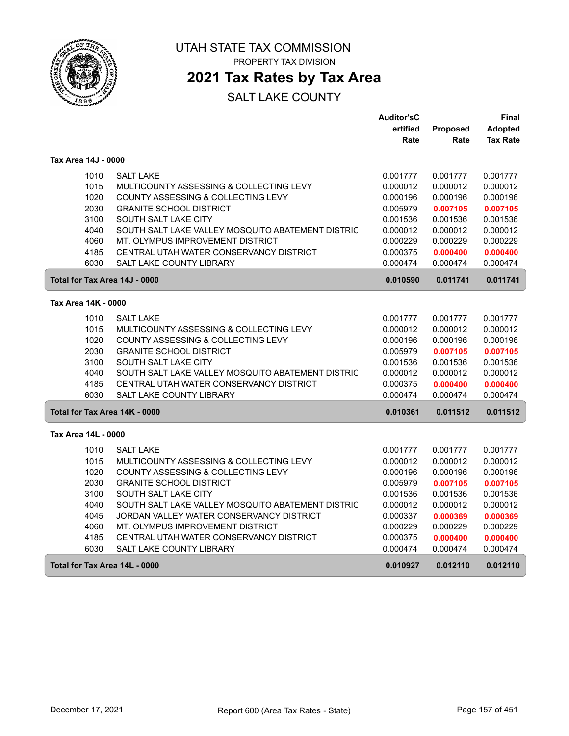

## **2021 Tax Rates by Tax Area**

|                               |                                                   | <b>Auditor'sC</b> |          | Final           |
|-------------------------------|---------------------------------------------------|-------------------|----------|-----------------|
|                               |                                                   | ertified          | Proposed | Adopted         |
|                               |                                                   | Rate              | Rate     | <b>Tax Rate</b> |
| Tax Area 14J - 0000           |                                                   |                   |          |                 |
| 1010                          | <b>SALT LAKE</b>                                  | 0.001777          | 0.001777 | 0.001777        |
| 1015                          | MULTICOUNTY ASSESSING & COLLECTING LEVY           | 0.000012          | 0.000012 | 0.000012        |
| 1020                          | COUNTY ASSESSING & COLLECTING LEVY                | 0.000196          | 0.000196 | 0.000196        |
| 2030                          | <b>GRANITE SCHOOL DISTRICT</b>                    | 0.005979          | 0.007105 | 0.007105        |
| 3100                          | SOUTH SALT LAKE CITY                              | 0.001536          | 0.001536 | 0.001536        |
| 4040                          | SOUTH SALT LAKE VALLEY MOSQUITO ABATEMENT DISTRIC | 0.000012          | 0.000012 | 0.000012        |
| 4060                          | MT. OLYMPUS IMPROVEMENT DISTRICT                  | 0.000229          | 0.000229 | 0.000229        |
| 4185                          | CENTRAL UTAH WATER CONSERVANCY DISTRICT           | 0.000375          | 0.000400 | 0.000400        |
| 6030                          | <b>SALT LAKE COUNTY LIBRARY</b>                   | 0.000474          | 0.000474 | 0.000474        |
| Total for Tax Area 14J - 0000 |                                                   | 0.010590          | 0.011741 | 0.011741        |
| Tax Area 14K - 0000           |                                                   |                   |          |                 |
| 1010                          | <b>SALT LAKE</b>                                  | 0.001777          | 0.001777 | 0.001777        |
| 1015                          | MULTICOUNTY ASSESSING & COLLECTING LEVY           | 0.000012          | 0.000012 | 0.000012        |
| 1020                          | COUNTY ASSESSING & COLLECTING LEVY                | 0.000196          | 0.000196 | 0.000196        |
| 2030                          | <b>GRANITE SCHOOL DISTRICT</b>                    | 0.005979          | 0.007105 | 0.007105        |
| 3100                          | SOUTH SALT LAKE CITY                              | 0.001536          | 0.001536 | 0.001536        |
| 4040                          | SOUTH SALT LAKE VALLEY MOSQUITO ABATEMENT DISTRIC | 0.000012          | 0.000012 | 0.000012        |
| 4185                          | CENTRAL UTAH WATER CONSERVANCY DISTRICT           | 0.000375          | 0.000400 | 0.000400        |
| 6030                          | SALT LAKE COUNTY LIBRARY                          | 0.000474          | 0.000474 | 0.000474        |
| Total for Tax Area 14K - 0000 |                                                   | 0.010361          | 0.011512 | 0.011512        |
| Tax Area 14L - 0000           |                                                   |                   |          |                 |
| 1010                          | <b>SALT LAKE</b>                                  | 0.001777          | 0.001777 | 0.001777        |
| 1015                          | MULTICOUNTY ASSESSING & COLLECTING LEVY           | 0.000012          | 0.000012 | 0.000012        |
| 1020                          | COUNTY ASSESSING & COLLECTING LEVY                | 0.000196          | 0.000196 | 0.000196        |
| 2030                          | <b>GRANITE SCHOOL DISTRICT</b>                    | 0.005979          | 0.007105 | 0.007105        |
| 3100                          | SOUTH SALT LAKE CITY                              | 0.001536          | 0.001536 | 0.001536        |
| 4040                          | SOUTH SALT LAKE VALLEY MOSQUITO ABATEMENT DISTRIC | 0.000012          | 0.000012 | 0.000012        |
| 4045                          | JORDAN VALLEY WATER CONSERVANCY DISTRICT          | 0.000337          | 0.000369 | 0.000369        |
| 4060                          | MT. OLYMPUS IMPROVEMENT DISTRICT                  | 0.000229          | 0.000229 | 0.000229        |
| 4185                          | CENTRAL UTAH WATER CONSERVANCY DISTRICT           | 0.000375          | 0.000400 | 0.000400        |
| 6030                          | <b>SALT LAKE COUNTY LIBRARY</b>                   | 0.000474          | 0.000474 | 0.000474        |
| Total for Tax Area 14L - 0000 |                                                   | 0.010927          | 0.012110 | 0.012110        |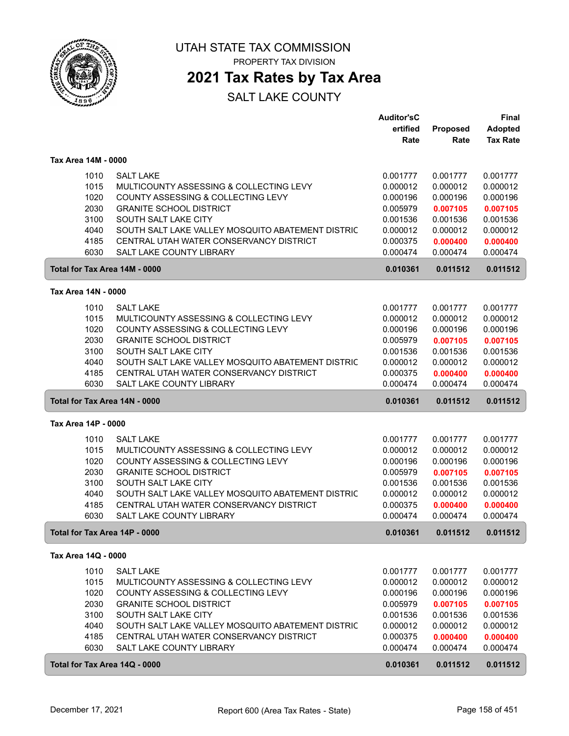

PROPERTY TAX DIVISION

### **2021 Tax Rates by Tax Area**

|                               |                                                                            | <b>Auditor'sC</b>    |                      | Final                |
|-------------------------------|----------------------------------------------------------------------------|----------------------|----------------------|----------------------|
|                               |                                                                            | ertified             | Proposed             | Adopted              |
|                               |                                                                            | Rate                 | Rate                 | <b>Tax Rate</b>      |
| Tax Area 14M - 0000           |                                                                            |                      |                      |                      |
| 1010                          | <b>SALT LAKE</b>                                                           | 0.001777             | 0.001777             | 0.001777             |
| 1015                          | MULTICOUNTY ASSESSING & COLLECTING LEVY                                    | 0.000012             | 0.000012             | 0.000012             |
| 1020                          | COUNTY ASSESSING & COLLECTING LEVY                                         | 0.000196             | 0.000196             | 0.000196             |
| 2030                          | <b>GRANITE SCHOOL DISTRICT</b>                                             | 0.005979             | 0.007105             | 0.007105             |
| 3100                          | SOUTH SALT LAKE CITY                                                       | 0.001536             | 0.001536             | 0.001536             |
| 4040                          | SOUTH SALT LAKE VALLEY MOSQUITO ABATEMENT DISTRIC                          | 0.000012             | 0.000012             | 0.000012             |
| 4185                          | CENTRAL UTAH WATER CONSERVANCY DISTRICT                                    | 0.000375             | 0.000400             | 0.000400             |
| 6030                          | SALT LAKE COUNTY LIBRARY                                                   | 0.000474             | 0.000474             | 0.000474             |
| Total for Tax Area 14M - 0000 |                                                                            | 0.010361             | 0.011512             | 0.011512             |
| Tax Area 14N - 0000           |                                                                            |                      |                      |                      |
|                               |                                                                            |                      |                      |                      |
| 1010                          | <b>SALT LAKE</b>                                                           | 0.001777             | 0.001777             | 0.001777             |
| 1015                          | MULTICOUNTY ASSESSING & COLLECTING LEVY                                    | 0.000012             | 0.000012             | 0.000012             |
| 1020                          | COUNTY ASSESSING & COLLECTING LEVY                                         | 0.000196             | 0.000196             | 0.000196             |
| 2030                          | <b>GRANITE SCHOOL DISTRICT</b>                                             | 0.005979             | 0.007105             | 0.007105             |
| 3100                          | SOUTH SALT LAKE CITY                                                       | 0.001536             | 0.001536             | 0.001536             |
| 4040                          | SOUTH SALT LAKE VALLEY MOSQUITO ABATEMENT DISTRIC                          | 0.000012             | 0.000012             | 0.000012             |
| 4185<br>6030                  | CENTRAL UTAH WATER CONSERVANCY DISTRICT<br><b>SALT LAKE COUNTY LIBRARY</b> | 0.000375<br>0.000474 | 0.000400<br>0.000474 | 0.000400<br>0.000474 |
|                               |                                                                            |                      |                      |                      |
| Total for Tax Area 14N - 0000 |                                                                            | 0.010361             | 0.011512             | 0.011512             |
| Tax Area 14P - 0000           |                                                                            |                      |                      |                      |
| 1010                          | <b>SALT LAKE</b>                                                           | 0.001777             | 0.001777             | 0.001777             |
| 1015                          | MULTICOUNTY ASSESSING & COLLECTING LEVY                                    | 0.000012             | 0.000012             | 0.000012             |
| 1020                          | COUNTY ASSESSING & COLLECTING LEVY                                         | 0.000196             | 0.000196             | 0.000196             |
| 2030                          | <b>GRANITE SCHOOL DISTRICT</b>                                             | 0.005979             | 0.007105             | 0.007105             |
| 3100                          | SOUTH SALT LAKE CITY                                                       | 0.001536             | 0.001536             | 0.001536             |
| 4040                          | SOUTH SALT LAKE VALLEY MOSQUITO ABATEMENT DISTRIC                          | 0.000012             | 0.000012             | 0.000012             |
| 4185                          | CENTRAL UTAH WATER CONSERVANCY DISTRICT                                    | 0.000375             | 0.000400             | 0.000400             |
| 6030                          | <b>SALT LAKE COUNTY LIBRARY</b>                                            | 0.000474             | 0.000474             | 0.000474             |
| Total for Tax Area 14P - 0000 |                                                                            | 0.010361             | 0.011512             | 0.011512             |
| Tax Area 14Q - 0000           |                                                                            |                      |                      |                      |
| 1010                          | <b>SALT LAKE</b>                                                           | 0.001777             | 0.001777             | 0.001777             |
| 1015                          | MULTICOUNTY ASSESSING & COLLECTING LEVY                                    | 0.000012             | 0.000012             | 0.000012             |
| 1020                          | COUNTY ASSESSING & COLLECTING LEVY                                         | 0.000196             | 0.000196             | 0.000196             |
| 2030                          | <b>GRANITE SCHOOL DISTRICT</b>                                             | 0.005979             | 0.007105             | 0.007105             |
| 3100                          | SOUTH SALT LAKE CITY                                                       | 0.001536             | 0.001536             | 0.001536             |
| 4040                          | SOUTH SALT LAKE VALLEY MOSQUITO ABATEMENT DISTRIC                          | 0.000012             | 0.000012             | 0.000012             |
| 4185                          | CENTRAL UTAH WATER CONSERVANCY DISTRICT                                    | 0.000375             | 0.000400             | 0.000400             |
| 6030                          | SALT LAKE COUNTY LIBRARY                                                   | 0.000474             | 0.000474             | 0.000474             |
| Total for Tax Area 14Q - 0000 |                                                                            | 0.010361             | 0.011512             | 0.011512             |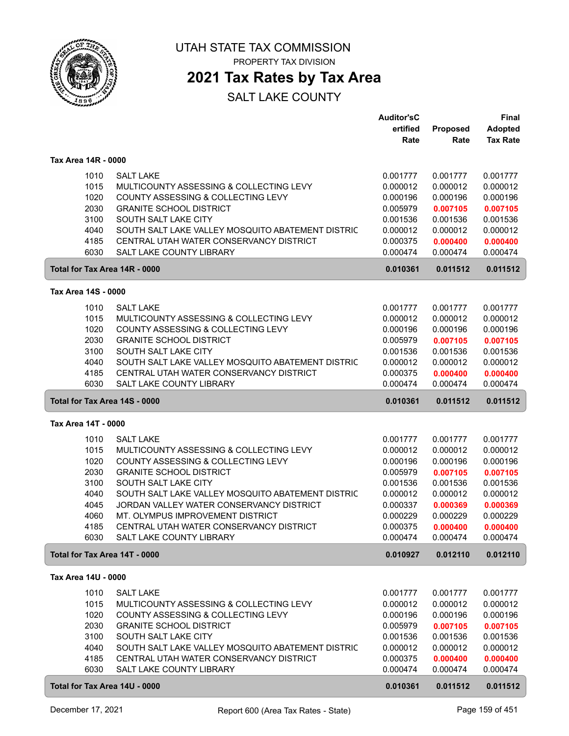

PROPERTY TAX DIVISION

### **2021 Tax Rates by Tax Area**

|                               |                                                                     | <b>Auditor'sC</b><br>ertified | Proposed             | <b>Final</b><br><b>Adopted</b> |
|-------------------------------|---------------------------------------------------------------------|-------------------------------|----------------------|--------------------------------|
|                               |                                                                     | Rate                          | Rate                 | <b>Tax Rate</b>                |
| Tax Area 14R - 0000           |                                                                     |                               |                      |                                |
| 1010                          | <b>SALT LAKE</b>                                                    | 0.001777                      | 0.001777             | 0.001777                       |
| 1015                          | MULTICOUNTY ASSESSING & COLLECTING LEVY                             | 0.000012                      | 0.000012             | 0.000012                       |
| 1020                          | COUNTY ASSESSING & COLLECTING LEVY                                  | 0.000196                      | 0.000196             | 0.000196                       |
| 2030                          | <b>GRANITE SCHOOL DISTRICT</b>                                      | 0.005979                      | 0.007105             | 0.007105                       |
| 3100                          | SOUTH SALT LAKE CITY                                                | 0.001536                      | 0.001536             | 0.001536                       |
| 4040                          | SOUTH SALT LAKE VALLEY MOSQUITO ABATEMENT DISTRIC                   | 0.000012                      | 0.000012             | 0.000012                       |
| 4185<br>6030                  | CENTRAL UTAH WATER CONSERVANCY DISTRICT<br>SALT LAKE COUNTY LIBRARY | 0.000375<br>0.000474          | 0.000400<br>0.000474 | 0.000400<br>0.000474           |
| Total for Tax Area 14R - 0000 |                                                                     | 0.010361                      | 0.011512             | 0.011512                       |
| Tax Area 14S - 0000           |                                                                     |                               |                      |                                |
| 1010                          | <b>SALT LAKE</b>                                                    | 0.001777                      | 0.001777             | 0.001777                       |
| 1015                          | MULTICOUNTY ASSESSING & COLLECTING LEVY                             | 0.000012                      | 0.000012             | 0.000012                       |
| 1020                          | COUNTY ASSESSING & COLLECTING LEVY                                  | 0.000196                      | 0.000196             | 0.000196                       |
| 2030                          | <b>GRANITE SCHOOL DISTRICT</b>                                      | 0.005979                      | 0.007105             | 0.007105                       |
| 3100                          | SOUTH SALT LAKE CITY                                                | 0.001536                      | 0.001536             | 0.001536                       |
| 4040                          | SOUTH SALT LAKE VALLEY MOSQUITO ABATEMENT DISTRIC                   | 0.000012                      | 0.000012             | 0.000012                       |
| 4185                          | CENTRAL UTAH WATER CONSERVANCY DISTRICT                             | 0.000375                      | 0.000400             | 0.000400                       |
| 6030                          | <b>SALT LAKE COUNTY LIBRARY</b>                                     | 0.000474                      | 0.000474             | 0.000474                       |
| Total for Tax Area 14S - 0000 |                                                                     | 0.010361                      | 0.011512             | 0.011512                       |
| Tax Area 14T - 0000           |                                                                     |                               |                      |                                |
| 1010                          | <b>SALT LAKE</b>                                                    | 0.001777                      | 0.001777             | 0.001777                       |
| 1015                          | MULTICOUNTY ASSESSING & COLLECTING LEVY                             | 0.000012                      | 0.000012             | 0.000012                       |
| 1020                          | COUNTY ASSESSING & COLLECTING LEVY                                  | 0.000196                      | 0.000196             | 0.000196                       |
| 2030                          | <b>GRANITE SCHOOL DISTRICT</b>                                      | 0.005979                      | 0.007105             | 0.007105                       |
| 3100                          | SOUTH SALT LAKE CITY                                                | 0.001536                      | 0.001536             | 0.001536                       |
| 4040                          | SOUTH SALT LAKE VALLEY MOSQUITO ABATEMENT DISTRIC                   | 0.000012                      | 0.000012             | 0.000012                       |
| 4045                          | JORDAN VALLEY WATER CONSERVANCY DISTRICT                            | 0.000337                      | 0.000369             | 0.000369                       |
| 4060                          | MT. OLYMPUS IMPROVEMENT DISTRICT                                    | 0.000229                      | 0.000229             | 0.000229                       |
| 4185                          | CENTRAL UTAH WATER CONSERVANCY DISTRICT                             | 0.000375                      | 0.000400             | 0.000400                       |
| 6030                          | SALT LAKE COUNTY LIBRARY                                            | 0.000474                      | 0.000474             | 0.000474                       |
| Total for Tax Area 14T - 0000 |                                                                     | 0.010927                      | 0.012110             | 0.012110                       |
| Tax Area 14U - 0000           |                                                                     |                               |                      |                                |
| 1010                          | <b>SALT LAKE</b>                                                    | 0.001777                      | 0.001777             | 0.001777                       |
| 1015                          | MULTICOUNTY ASSESSING & COLLECTING LEVY                             | 0.000012                      | 0.000012             | 0.000012                       |
| 1020                          | COUNTY ASSESSING & COLLECTING LEVY                                  | 0.000196                      | 0.000196             | 0.000196                       |
| 2030                          | <b>GRANITE SCHOOL DISTRICT</b>                                      | 0.005979                      | 0.007105             | 0.007105                       |
| 3100                          | SOUTH SALT LAKE CITY                                                | 0.001536                      | 0.001536             | 0.001536                       |
| 4040                          | SOUTH SALT LAKE VALLEY MOSQUITO ABATEMENT DISTRIC                   | 0.000012                      | 0.000012             | 0.000012                       |
| 4185                          | CENTRAL UTAH WATER CONSERVANCY DISTRICT                             | 0.000375                      | 0.000400             | 0.000400                       |
| 6030                          | SALT LAKE COUNTY LIBRARY                                            | 0.000474                      | 0.000474             | 0.000474                       |
| Total for Tax Area 14U - 0000 |                                                                     | 0.010361                      | 0.011512             | 0.011512                       |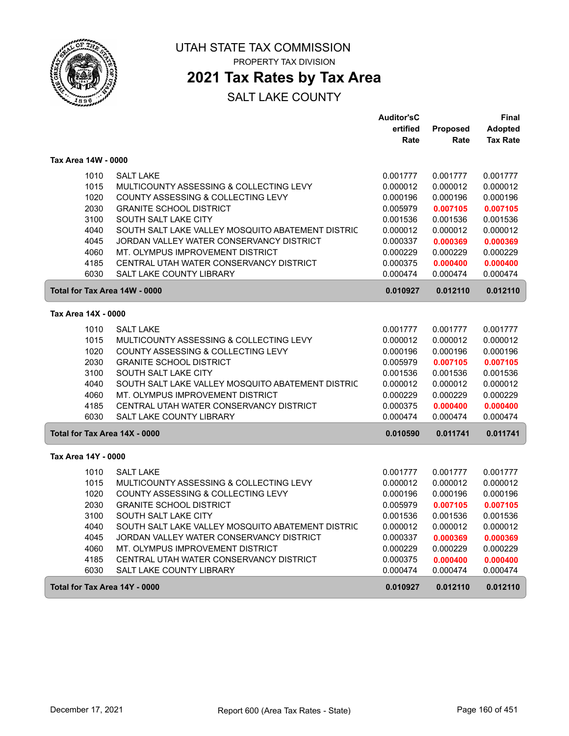

## **2021 Tax Rates by Tax Area**

|                               |                                                   | <b>Auditor'sC</b> |          | Final           |
|-------------------------------|---------------------------------------------------|-------------------|----------|-----------------|
|                               |                                                   | ertified          | Proposed | <b>Adopted</b>  |
|                               |                                                   | Rate              | Rate     | <b>Tax Rate</b> |
| Tax Area 14W - 0000           |                                                   |                   |          |                 |
| 1010                          | <b>SALT LAKE</b>                                  | 0.001777          | 0.001777 | 0.001777        |
| 1015                          | MULTICOUNTY ASSESSING & COLLECTING LEVY           | 0.000012          | 0.000012 | 0.000012        |
| 1020                          | COUNTY ASSESSING & COLLECTING LEVY                | 0.000196          | 0.000196 | 0.000196        |
| 2030                          | <b>GRANITE SCHOOL DISTRICT</b>                    | 0.005979          | 0.007105 | 0.007105        |
| 3100                          | SOUTH SALT LAKE CITY                              | 0.001536          | 0.001536 | 0.001536        |
| 4040                          | SOUTH SALT LAKE VALLEY MOSQUITO ABATEMENT DISTRIC | 0.000012          | 0.000012 | 0.000012        |
| 4045                          | JORDAN VALLEY WATER CONSERVANCY DISTRICT          | 0.000337          | 0.000369 | 0.000369        |
| 4060                          | MT. OLYMPUS IMPROVEMENT DISTRICT                  | 0.000229          | 0.000229 | 0.000229        |
| 4185                          | CENTRAL UTAH WATER CONSERVANCY DISTRICT           | 0.000375          | 0.000400 | 0.000400        |
| 6030                          | SALT LAKE COUNTY LIBRARY                          | 0.000474          | 0.000474 | 0.000474        |
| Total for Tax Area 14W - 0000 |                                                   | 0.010927          | 0.012110 | 0.012110        |
| Tax Area 14X - 0000           |                                                   |                   |          |                 |
| 1010                          | <b>SALT LAKE</b>                                  | 0.001777          | 0.001777 | 0.001777        |
| 1015                          | MULTICOUNTY ASSESSING & COLLECTING LEVY           | 0.000012          | 0.000012 | 0.000012        |
| 1020                          | COUNTY ASSESSING & COLLECTING LEVY                | 0.000196          | 0.000196 | 0.000196        |
| 2030                          | <b>GRANITE SCHOOL DISTRICT</b>                    | 0.005979          | 0.007105 | 0.007105        |
| 3100                          | SOUTH SALT LAKE CITY                              | 0.001536          | 0.001536 | 0.001536        |
| 4040                          | SOUTH SALT LAKE VALLEY MOSQUITO ABATEMENT DISTRIC | 0.000012          | 0.000012 | 0.000012        |
| 4060                          | MT. OLYMPUS IMPROVEMENT DISTRICT                  | 0.000229          | 0.000229 | 0.000229        |
| 4185                          | CENTRAL UTAH WATER CONSERVANCY DISTRICT           | 0.000375          | 0.000400 | 0.000400        |
| 6030                          | <b>SALT LAKE COUNTY LIBRARY</b>                   | 0.000474          | 0.000474 | 0.000474        |
| Total for Tax Area 14X - 0000 |                                                   | 0.010590          | 0.011741 | 0.011741        |
| Tax Area 14Y - 0000           |                                                   |                   |          |                 |
| 1010                          | <b>SALT LAKE</b>                                  | 0.001777          | 0.001777 | 0.001777        |
| 1015                          | MULTICOUNTY ASSESSING & COLLECTING LEVY           | 0.000012          | 0.000012 | 0.000012        |
| 1020                          | COUNTY ASSESSING & COLLECTING LEVY                | 0.000196          | 0.000196 | 0.000196        |
| 2030                          | <b>GRANITE SCHOOL DISTRICT</b>                    | 0.005979          | 0.007105 | 0.007105        |
| 3100                          | SOUTH SALT LAKE CITY                              | 0.001536          | 0.001536 | 0.001536        |
| 4040                          | SOUTH SALT LAKE VALLEY MOSQUITO ABATEMENT DISTRIC | 0.000012          | 0.000012 | 0.000012        |
| 4045                          | JORDAN VALLEY WATER CONSERVANCY DISTRICT          | 0.000337          | 0.000369 | 0.000369        |
| 4060                          | MT. OLYMPUS IMPROVEMENT DISTRICT                  | 0.000229          | 0.000229 | 0.000229        |
| 4185                          | CENTRAL UTAH WATER CONSERVANCY DISTRICT           | 0.000375          | 0.000400 | 0.000400        |
| 6030                          | SALT LAKE COUNTY LIBRARY                          | 0.000474          | 0.000474 | 0.000474        |
| Total for Tax Area 14Y - 0000 |                                                   | 0.010927          | 0.012110 | 0.012110        |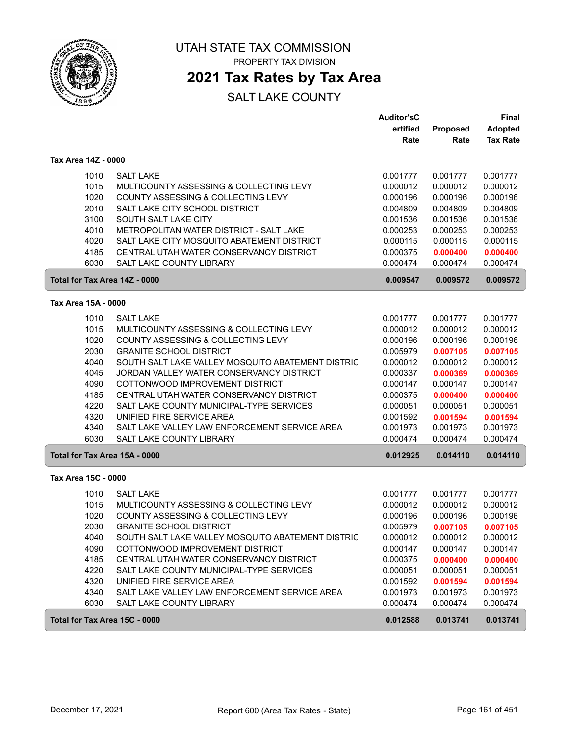

PROPERTY TAX DIVISION

### **2021 Tax Rates by Tax Area**

|                               |                                                   | <b>Auditor'sC</b> |                  | Final                             |
|-------------------------------|---------------------------------------------------|-------------------|------------------|-----------------------------------|
|                               |                                                   | ertified<br>Rate  | Proposed<br>Rate | <b>Adopted</b><br><b>Tax Rate</b> |
| Tax Area 14Z - 0000           |                                                   |                   |                  |                                   |
| 1010                          | <b>SALT LAKE</b>                                  | 0.001777          | 0.001777         | 0.001777                          |
| 1015                          | MULTICOUNTY ASSESSING & COLLECTING LEVY           | 0.000012          | 0.000012         | 0.000012                          |
| 1020                          | COUNTY ASSESSING & COLLECTING LEVY                | 0.000196          | 0.000196         | 0.000196                          |
| 2010                          | SALT LAKE CITY SCHOOL DISTRICT                    | 0.004809          | 0.004809         | 0.004809                          |
| 3100                          | SOUTH SALT LAKE CITY                              | 0.001536          | 0.001536         | 0.001536                          |
| 4010                          | METROPOLITAN WATER DISTRICT - SALT LAKE           | 0.000253          | 0.000253         | 0.000253                          |
| 4020                          | SALT LAKE CITY MOSQUITO ABATEMENT DISTRICT        | 0.000115          | 0.000115         | 0.000115                          |
| 4185                          | CENTRAL UTAH WATER CONSERVANCY DISTRICT           | 0.000375          | 0.000400         | 0.000400                          |
| 6030                          | SALT LAKE COUNTY LIBRARY                          | 0.000474          | 0.000474         | 0.000474                          |
| Total for Tax Area 14Z - 0000 |                                                   | 0.009547          | 0.009572         | 0.009572                          |
| Tax Area 15A - 0000           |                                                   |                   |                  |                                   |
| 1010                          | <b>SALT LAKE</b>                                  | 0.001777          | 0.001777         | 0.001777                          |
| 1015                          | MULTICOUNTY ASSESSING & COLLECTING LEVY           | 0.000012          | 0.000012         | 0.000012                          |
| 1020                          | COUNTY ASSESSING & COLLECTING LEVY                | 0.000196          | 0.000196         | 0.000196                          |
| 2030                          | <b>GRANITE SCHOOL DISTRICT</b>                    | 0.005979          | 0.007105         | 0.007105                          |
| 4040                          | SOUTH SALT LAKE VALLEY MOSQUITO ABATEMENT DISTRIC | 0.000012          | 0.000012         | 0.000012                          |
| 4045                          | JORDAN VALLEY WATER CONSERVANCY DISTRICT          | 0.000337          | 0.000369         | 0.000369                          |
| 4090                          | COTTONWOOD IMPROVEMENT DISTRICT                   | 0.000147          | 0.000147         | 0.000147                          |
| 4185                          | CENTRAL UTAH WATER CONSERVANCY DISTRICT           | 0.000375          | 0.000400         | 0.000400                          |
| 4220                          | SALT LAKE COUNTY MUNICIPAL-TYPE SERVICES          | 0.000051          | 0.000051         | 0.000051                          |
| 4320                          | UNIFIED FIRE SERVICE AREA                         | 0.001592          | 0.001594         | 0.001594                          |
| 4340                          | SALT LAKE VALLEY LAW ENFORCEMENT SERVICE AREA     | 0.001973          | 0.001973         | 0.001973                          |
| 6030                          | SALT LAKE COUNTY LIBRARY                          | 0.000474          | 0.000474         | 0.000474                          |
| Total for Tax Area 15A - 0000 |                                                   | 0.012925          | 0.014110         | 0.014110                          |
| Tax Area 15C - 0000           |                                                   |                   |                  |                                   |
| 1010                          | <b>SALT LAKE</b>                                  | 0.001777          | 0.001777         | 0.001777                          |
| 1015                          | MULTICOUNTY ASSESSING & COLLECTING LEVY           | 0.000012          | 0.000012         | 0.000012                          |
| 1020                          | COUNTY ASSESSING & COLLECTING LEVY                | 0.000196          | 0.000196         | 0.000196                          |
| 2030                          | <b>GRANITE SCHOOL DISTRICT</b>                    | 0.005979          | 0.007105         | 0.007105                          |
| 4040                          | SOUTH SALT LAKE VALLEY MOSQUITO ABATEMENT DISTRIC | 0.000012          | 0.000012         | 0.000012                          |
| 4090                          | COTTONWOOD IMPROVEMENT DISTRICT                   | 0.000147          | 0.000147         | 0.000147                          |
| 4185                          | CENTRAL UTAH WATER CONSERVANCY DISTRICT           | 0.000375          | 0.000400         | 0.000400                          |
| 4220                          | SALT LAKE COUNTY MUNICIPAL-TYPE SERVICES          | 0.000051          | 0.000051         | 0.000051                          |
| 4320                          | UNIFIED FIRE SERVICE AREA                         | 0.001592          | 0.001594         | 0.001594                          |
| 4340                          | SALT LAKE VALLEY LAW ENFORCEMENT SERVICE AREA     | 0.001973          | 0.001973         | 0.001973                          |
| 6030                          | SALT LAKE COUNTY LIBRARY                          | 0.000474          | 0.000474         | 0.000474                          |
| Total for Tax Area 15C - 0000 |                                                   | 0.012588          | 0.013741         | 0.013741                          |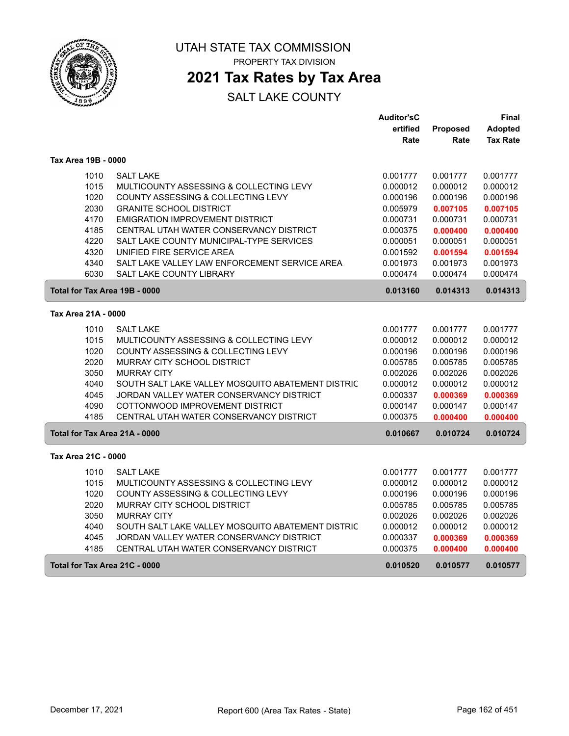

PROPERTY TAX DIVISION

### **2021 Tax Rates by Tax Area**

|                     |                                                   | <b>Auditor'sC</b> |          | Final           |
|---------------------|---------------------------------------------------|-------------------|----------|-----------------|
|                     |                                                   | ertified          | Proposed | <b>Adopted</b>  |
|                     |                                                   | Rate              | Rate     | <b>Tax Rate</b> |
| Tax Area 19B - 0000 |                                                   |                   |          |                 |
| 1010                | <b>SALT LAKE</b>                                  | 0.001777          | 0.001777 | 0.001777        |
| 1015                | MULTICOUNTY ASSESSING & COLLECTING LEVY           | 0.000012          | 0.000012 | 0.000012        |
| 1020                | COUNTY ASSESSING & COLLECTING LEVY                | 0.000196          | 0.000196 | 0.000196        |
| 2030                | <b>GRANITE SCHOOL DISTRICT</b>                    | 0.005979          | 0.007105 | 0.007105        |
| 4170                | <b>EMIGRATION IMPROVEMENT DISTRICT</b>            | 0.000731          | 0.000731 | 0.000731        |
| 4185                | CENTRAL UTAH WATER CONSERVANCY DISTRICT           | 0.000375          | 0.000400 | 0.000400        |
| 4220                | SALT LAKE COUNTY MUNICIPAL-TYPE SERVICES          | 0.000051          | 0.000051 | 0.000051        |
| 4320                | UNIFIED FIRE SERVICE AREA                         | 0.001592          | 0.001594 | 0.001594        |
| 4340                | SALT LAKE VALLEY LAW ENFORCEMENT SERVICE AREA     | 0.001973          | 0.001973 | 0.001973        |
| 6030                | SALT LAKE COUNTY LIBRARY                          | 0.000474          | 0.000474 | 0.000474        |
|                     | Total for Tax Area 19B - 0000                     | 0.013160          | 0.014313 | 0.014313        |
| Tax Area 21A - 0000 |                                                   |                   |          |                 |
| 1010                | <b>SALT LAKE</b>                                  | 0.001777          | 0.001777 | 0.001777        |
| 1015                | MULTICOUNTY ASSESSING & COLLECTING LEVY           | 0.000012          | 0.000012 | 0.000012        |
| 1020                | COUNTY ASSESSING & COLLECTING LEVY                | 0.000196          | 0.000196 | 0.000196        |
| 2020                | MURRAY CITY SCHOOL DISTRICT                       | 0.005785          | 0.005785 | 0.005785        |
| 3050                | <b>MURRAY CITY</b>                                | 0.002026          | 0.002026 | 0.002026        |
| 4040                | SOUTH SALT LAKE VALLEY MOSQUITO ABATEMENT DISTRIC | 0.000012          | 0.000012 | 0.000012        |
| 4045                | JORDAN VALLEY WATER CONSERVANCY DISTRICT          | 0.000337          | 0.000369 | 0.000369        |
| 4090                | COTTONWOOD IMPROVEMENT DISTRICT                   | 0.000147          | 0.000147 | 0.000147        |
| 4185                | CENTRAL UTAH WATER CONSERVANCY DISTRICT           | 0.000375          | 0.000400 | 0.000400        |
|                     | Total for Tax Area 21A - 0000                     | 0.010667          | 0.010724 | 0.010724        |
| Tax Area 21C - 0000 |                                                   |                   |          |                 |
| 1010                | <b>SALT LAKE</b>                                  | 0.001777          | 0.001777 | 0.001777        |
| 1015                | MULTICOUNTY ASSESSING & COLLECTING LEVY           | 0.000012          | 0.000012 | 0.000012        |
| 1020                | COUNTY ASSESSING & COLLECTING LEVY                | 0.000196          | 0.000196 | 0.000196        |
| 2020                | MURRAY CITY SCHOOL DISTRICT                       | 0.005785          | 0.005785 | 0.005785        |
| 3050                | <b>MURRAY CITY</b>                                | 0.002026          | 0.002026 | 0.002026        |
| 4040                | SOUTH SALT LAKE VALLEY MOSQUITO ABATEMENT DISTRIC | 0.000012          | 0.000012 | 0.000012        |
| 4045                | JORDAN VALLEY WATER CONSERVANCY DISTRICT          | 0.000337          | 0.000369 | 0.000369        |
| 4185                | CENTRAL UTAH WATER CONSERVANCY DISTRICT           | 0.000375          | 0.000400 | 0.000400        |
|                     | Total for Tax Area 21C - 0000                     | 0.010520          | 0.010577 | 0.010577        |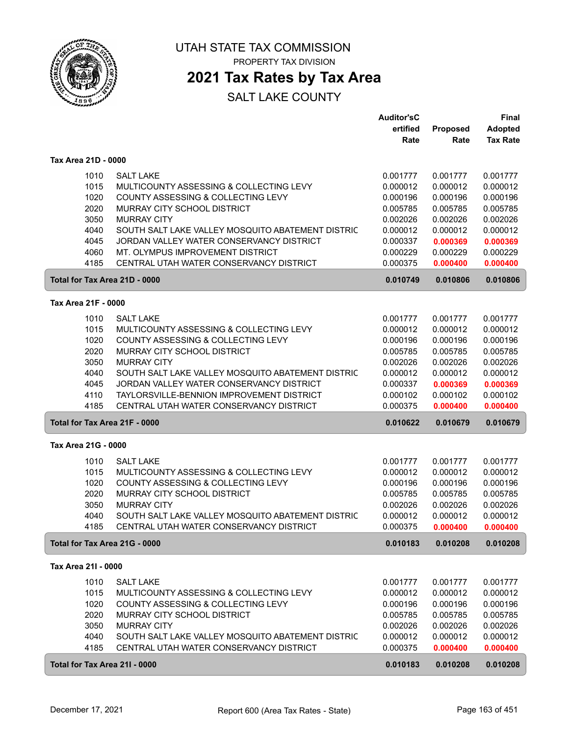

**2021 Tax Rates by Tax Area**

|                               |                                                   | <b>Auditor'sC</b> |                      | <b>Final</b>    |
|-------------------------------|---------------------------------------------------|-------------------|----------------------|-----------------|
|                               |                                                   | ertified          | Proposed             | <b>Adopted</b>  |
|                               |                                                   | Rate              | Rate                 | <b>Tax Rate</b> |
| Tax Area 21D - 0000           |                                                   |                   |                      |                 |
| 1010                          | <b>SALT LAKE</b>                                  | 0.001777          | 0.001777             | 0.001777        |
| 1015                          | MULTICOUNTY ASSESSING & COLLECTING LEVY           | 0.000012          | 0.000012             | 0.000012        |
| 1020                          | COUNTY ASSESSING & COLLECTING LEVY                | 0.000196          | 0.000196             | 0.000196        |
| 2020                          | MURRAY CITY SCHOOL DISTRICT                       | 0.005785          | 0.005785             | 0.005785        |
| 3050                          | <b>MURRAY CITY</b>                                | 0.002026          | 0.002026             | 0.002026        |
| 4040                          | SOUTH SALT LAKE VALLEY MOSQUITO ABATEMENT DISTRIC | 0.000012          | 0.000012             | 0.000012        |
| 4045                          | JORDAN VALLEY WATER CONSERVANCY DISTRICT          | 0.000337          |                      | 0.000369        |
| 4060                          | MT. OLYMPUS IMPROVEMENT DISTRICT                  | 0.000229          | 0.000369<br>0.000229 | 0.000229        |
| 4185                          | CENTRAL UTAH WATER CONSERVANCY DISTRICT           | 0.000375          |                      |                 |
|                               |                                                   |                   | 0.000400             | 0.000400        |
| Total for Tax Area 21D - 0000 |                                                   | 0.010749          | 0.010806             | 0.010806        |
| Tax Area 21F - 0000           |                                                   |                   |                      |                 |
| 1010                          | <b>SALT LAKE</b>                                  | 0.001777          | 0.001777             | 0.001777        |
| 1015                          | MULTICOUNTY ASSESSING & COLLECTING LEVY           | 0.000012          | 0.000012             | 0.000012        |
| 1020                          | COUNTY ASSESSING & COLLECTING LEVY                | 0.000196          | 0.000196             | 0.000196        |
| 2020                          | MURRAY CITY SCHOOL DISTRICT                       | 0.005785          | 0.005785             | 0.005785        |
| 3050                          | <b>MURRAY CITY</b>                                | 0.002026          | 0.002026             | 0.002026        |
| 4040                          | SOUTH SALT LAKE VALLEY MOSQUITO ABATEMENT DISTRIC | 0.000012          | 0.000012             | 0.000012        |
| 4045                          | JORDAN VALLEY WATER CONSERVANCY DISTRICT          | 0.000337          | 0.000369             | 0.000369        |
| 4110                          | TAYLORSVILLE-BENNION IMPROVEMENT DISTRICT         | 0.000102          | 0.000102             | 0.000102        |
| 4185                          | CENTRAL UTAH WATER CONSERVANCY DISTRICT           | 0.000375          | 0.000400             | 0.000400        |
| Total for Tax Area 21F - 0000 |                                                   | 0.010622          | 0.010679             | 0.010679        |
| Tax Area 21G - 0000           |                                                   |                   |                      |                 |
|                               |                                                   |                   |                      |                 |
| 1010                          | <b>SALT LAKE</b>                                  | 0.001777          | 0.001777             | 0.001777        |
| 1015                          | MULTICOUNTY ASSESSING & COLLECTING LEVY           | 0.000012          | 0.000012             | 0.000012        |
| 1020                          | COUNTY ASSESSING & COLLECTING LEVY                | 0.000196          | 0.000196             | 0.000196        |
| 2020                          | MURRAY CITY SCHOOL DISTRICT                       | 0.005785          | 0.005785             | 0.005785        |
| 3050                          | <b>MURRAY CITY</b>                                | 0.002026          | 0.002026             | 0.002026        |
| 4040                          | SOUTH SALT LAKE VALLEY MOSQUITO ABATEMENT DISTRIC | 0.000012          | 0.000012             | 0.000012        |
| 4185                          | CENTRAL UTAH WATER CONSERVANCY DISTRICT           | 0.000375          | 0.000400             | 0.000400        |
| Total for Tax Area 21G - 0000 |                                                   | 0.010183          | 0.010208             | 0.010208        |
| Tax Area 21I - 0000           |                                                   |                   |                      |                 |
| 1010                          | <b>SALT LAKE</b>                                  | 0.001777          | 0.001777             | 0.001777        |
| 1015                          | MULTICOUNTY ASSESSING & COLLECTING LEVY           | 0.000012          | 0.000012             | 0.000012        |
| 1020                          | COUNTY ASSESSING & COLLECTING LEVY                | 0.000196          | 0.000196             | 0.000196        |
| 2020                          | MURRAY CITY SCHOOL DISTRICT                       | 0.005785          | 0.005785             | 0.005785        |
| 3050                          | <b>MURRAY CITY</b>                                | 0.002026          | 0.002026             | 0.002026        |
| 4040                          | SOUTH SALT LAKE VALLEY MOSQUITO ABATEMENT DISTRIC | 0.000012          | 0.000012             | 0.000012        |
| 4185                          | CENTRAL UTAH WATER CONSERVANCY DISTRICT           | 0.000375          | 0.000400             | 0.000400        |
| Total for Tax Area 211 - 0000 |                                                   | 0.010183          | 0.010208             | 0.010208        |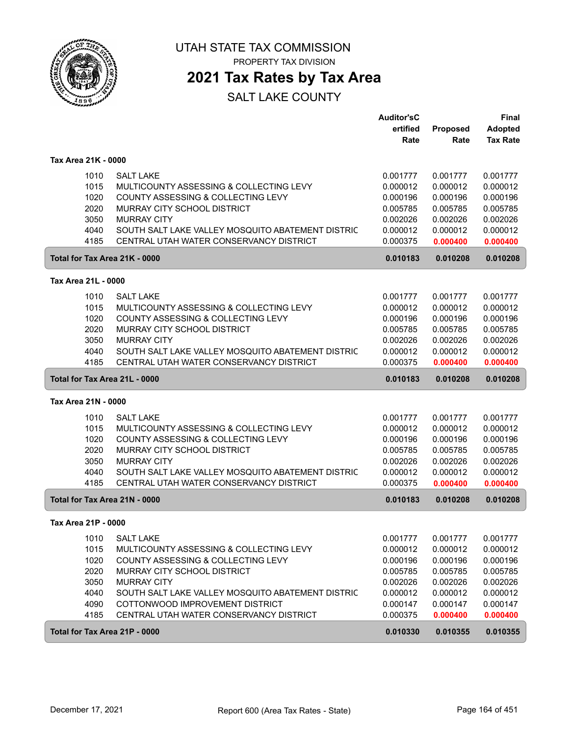

PROPERTY TAX DIVISION

### **2021 Tax Rates by Tax Area**

|                     |                                                                                              | <b>Auditor'sC</b><br>ertified | <b>Proposed</b>      | <b>Final</b><br><b>Adopted</b> |
|---------------------|----------------------------------------------------------------------------------------------|-------------------------------|----------------------|--------------------------------|
|                     |                                                                                              | Rate                          | Rate                 | <b>Tax Rate</b>                |
| Tax Area 21K - 0000 |                                                                                              |                               |                      |                                |
| 1010                | <b>SALT LAKE</b>                                                                             | 0.001777                      | 0.001777             | 0.001777                       |
| 1015                | MULTICOUNTY ASSESSING & COLLECTING LEVY                                                      | 0.000012                      | 0.000012             | 0.000012                       |
| 1020                | COUNTY ASSESSING & COLLECTING LEVY                                                           | 0.000196                      | 0.000196             | 0.000196                       |
| 2020                | MURRAY CITY SCHOOL DISTRICT                                                                  | 0.005785                      | 0.005785             | 0.005785                       |
| 3050                | <b>MURRAY CITY</b>                                                                           | 0.002026                      | 0.002026             | 0.002026                       |
| 4040                | SOUTH SALT LAKE VALLEY MOSQUITO ABATEMENT DISTRIC                                            | 0.000012                      | 0.000012             | 0.000012                       |
| 4185                | CENTRAL UTAH WATER CONSERVANCY DISTRICT                                                      | 0.000375                      | 0.000400             | 0.000400                       |
|                     | Total for Tax Area 21K - 0000                                                                | 0.010183                      | 0.010208             | 0.010208                       |
| Tax Area 21L - 0000 |                                                                                              |                               |                      |                                |
| 1010                | <b>SALT LAKE</b>                                                                             | 0.001777                      | 0.001777             | 0.001777                       |
| 1015                | MULTICOUNTY ASSESSING & COLLECTING LEVY                                                      | 0.000012                      | 0.000012             | 0.000012                       |
| 1020                | COUNTY ASSESSING & COLLECTING LEVY                                                           | 0.000196                      | 0.000196             | 0.000196                       |
| 2020                | MURRAY CITY SCHOOL DISTRICT                                                                  | 0.005785                      | 0.005785             | 0.005785                       |
| 3050                | <b>MURRAY CITY</b>                                                                           | 0.002026                      | 0.002026             | 0.002026                       |
| 4040<br>4185        | SOUTH SALT LAKE VALLEY MOSQUITO ABATEMENT DISTRIC<br>CENTRAL UTAH WATER CONSERVANCY DISTRICT | 0.000012<br>0.000375          | 0.000012<br>0.000400 | 0.000012                       |
|                     |                                                                                              |                               |                      | 0.000400                       |
|                     | Total for Tax Area 21L - 0000                                                                | 0.010183                      | 0.010208             | 0.010208                       |
| Tax Area 21N - 0000 |                                                                                              |                               |                      |                                |
| 1010                | <b>SALT LAKE</b>                                                                             | 0.001777                      | 0.001777             | 0.001777                       |
| 1015                | MULTICOUNTY ASSESSING & COLLECTING LEVY                                                      | 0.000012                      | 0.000012             | 0.000012                       |
| 1020                | COUNTY ASSESSING & COLLECTING LEVY                                                           | 0.000196                      | 0.000196             | 0.000196                       |
| 2020                | MURRAY CITY SCHOOL DISTRICT                                                                  | 0.005785                      | 0.005785             | 0.005785                       |
| 3050                | <b>MURRAY CITY</b>                                                                           | 0.002026                      | 0.002026             | 0.002026                       |
| 4040                | SOUTH SALT LAKE VALLEY MOSQUITO ABATEMENT DISTRIC<br>CENTRAL UTAH WATER CONSERVANCY DISTRICT | 0.000012<br>0.000375          | 0.000012             | 0.000012                       |
| 4185                |                                                                                              |                               | 0.000400             | 0.000400                       |
|                     | Total for Tax Area 21N - 0000                                                                | 0.010183                      | 0.010208             | 0.010208                       |
| Tax Area 21P - 0000 |                                                                                              |                               |                      |                                |
| 1010                | <b>SALT LAKE</b>                                                                             | 0.001777                      | 0.001777             | 0.001777                       |
| 1015                | MULTICOUNTY ASSESSING & COLLECTING LEVY                                                      | 0.000012                      | 0.000012             | 0.000012                       |
| 1020                | COUNTY ASSESSING & COLLECTING LEVY                                                           | 0.000196                      | 0.000196             | 0.000196                       |
| 2020                | MURRAY CITY SCHOOL DISTRICT                                                                  | 0.005785                      | 0.005785             | 0.005785                       |
| 3050                | <b>MURRAY CITY</b>                                                                           | 0.002026                      | 0.002026             | 0.002026                       |
| 4040                | SOUTH SALT LAKE VALLEY MOSQUITO ABATEMENT DISTRIC                                            | 0.000012                      | 0.000012             | 0.000012                       |
| 4090                | COTTONWOOD IMPROVEMENT DISTRICT                                                              | 0.000147                      | 0.000147             | 0.000147                       |
| 4185                | CENTRAL UTAH WATER CONSERVANCY DISTRICT                                                      | 0.000375                      | 0.000400             | 0.000400                       |
|                     | Total for Tax Area 21P - 0000                                                                | 0.010330                      | 0.010355             | 0.010355                       |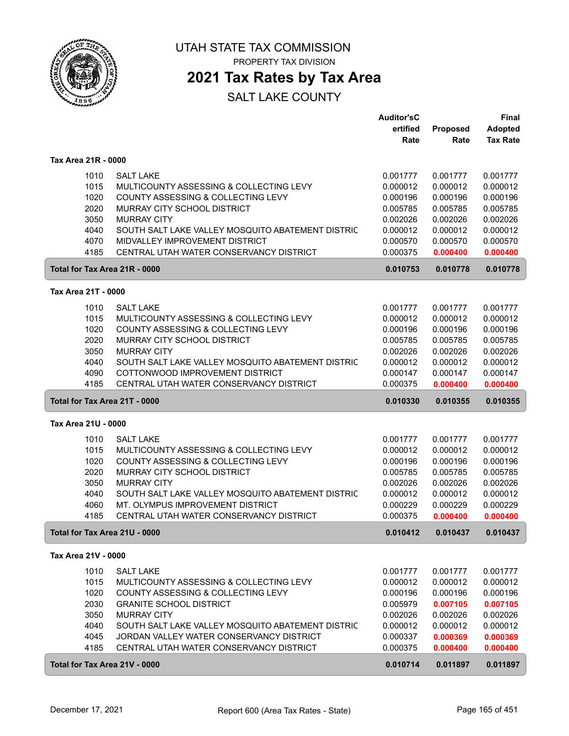

PROPERTY TAX DIVISION

### **2021 Tax Rates by Tax Area**

|                               |                                                                   | <b>Auditor'sC</b>    |                      | <b>Final</b>         |
|-------------------------------|-------------------------------------------------------------------|----------------------|----------------------|----------------------|
|                               |                                                                   | ertified             | Proposed             | <b>Adopted</b>       |
|                               |                                                                   | Rate                 | Rate                 | <b>Tax Rate</b>      |
| Tax Area 21R - 0000           |                                                                   |                      |                      |                      |
| 1010                          | <b>SALT LAKE</b>                                                  | 0.001777             | 0.001777             | 0.001777             |
| 1015                          | MULTICOUNTY ASSESSING & COLLECTING LEVY                           | 0.000012             | 0.000012             | 0.000012             |
| 1020                          | COUNTY ASSESSING & COLLECTING LEVY                                | 0.000196             | 0.000196             | 0.000196             |
| 2020                          | MURRAY CITY SCHOOL DISTRICT                                       | 0.005785             | 0.005785             | 0.005785             |
| 3050                          | <b>MURRAY CITY</b>                                                | 0.002026             | 0.002026             | 0.002026             |
| 4040                          | SOUTH SALT LAKE VALLEY MOSQUITO ABATEMENT DISTRIC                 | 0.000012             | 0.000012             | 0.000012             |
| 4070                          | MIDVALLEY IMPROVEMENT DISTRICT                                    | 0.000570             | 0.000570             | 0.000570             |
| 4185                          | CENTRAL UTAH WATER CONSERVANCY DISTRICT                           | 0.000375             | 0.000400             | 0.000400             |
| Total for Tax Area 21R - 0000 |                                                                   | 0.010753             | 0.010778             | 0.010778             |
|                               |                                                                   |                      |                      |                      |
| Tax Area 21T - 0000           |                                                                   |                      |                      |                      |
| 1010                          | <b>SALT LAKE</b>                                                  | 0.001777             | 0.001777             | 0.001777             |
| 1015                          | MULTICOUNTY ASSESSING & COLLECTING LEVY                           | 0.000012             | 0.000012             | 0.000012             |
| 1020                          | COUNTY ASSESSING & COLLECTING LEVY                                | 0.000196             | 0.000196             | 0.000196             |
| 2020                          | MURRAY CITY SCHOOL DISTRICT                                       | 0.005785             | 0.005785             | 0.005785             |
| 3050                          | <b>MURRAY CITY</b>                                                | 0.002026             | 0.002026             | 0.002026             |
| 4040                          | SOUTH SALT LAKE VALLEY MOSQUITO ABATEMENT DISTRIC                 | 0.000012             | 0.000012             | 0.000012             |
| 4090                          | COTTONWOOD IMPROVEMENT DISTRICT                                   | 0.000147             | 0.000147             | 0.000147             |
| 4185                          | CENTRAL UTAH WATER CONSERVANCY DISTRICT                           | 0.000375             | 0.000400             | 0.000400             |
| Total for Tax Area 21T - 0000 |                                                                   | 0.010330             | 0.010355             | 0.010355             |
|                               |                                                                   |                      |                      |                      |
| Tax Area 21U - 0000           |                                                                   |                      |                      |                      |
|                               |                                                                   |                      |                      |                      |
| 1010                          | <b>SALT LAKE</b>                                                  | 0.001777             | 0.001777             | 0.001777             |
| 1015                          | MULTICOUNTY ASSESSING & COLLECTING LEVY                           | 0.000012             | 0.000012             | 0.000012             |
| 1020<br>2020                  | COUNTY ASSESSING & COLLECTING LEVY<br>MURRAY CITY SCHOOL DISTRICT | 0.000196<br>0.005785 | 0.000196<br>0.005785 | 0.000196<br>0.005785 |
| 3050                          | <b>MURRAY CITY</b>                                                | 0.002026             | 0.002026             | 0.002026             |
| 4040                          | SOUTH SALT LAKE VALLEY MOSQUITO ABATEMENT DISTRIC                 | 0.000012             | 0.000012             | 0.000012             |
| 4060                          | MT. OLYMPUS IMPROVEMENT DISTRICT                                  | 0.000229             | 0.000229             | 0.000229             |
| 4185                          | CENTRAL UTAH WATER CONSERVANCY DISTRICT                           | 0.000375             | 0.000400             | 0.000400             |
| Total for Tax Area 21U - 0000 |                                                                   | 0.010412             | 0.010437             | 0.010437             |
|                               |                                                                   |                      |                      |                      |
| Tax Area 21V - 0000           |                                                                   |                      |                      |                      |
| 1010                          | <b>SALT LAKE</b>                                                  | 0.001777             | 0.001777             | 0.001777             |
| 1015                          | MULTICOUNTY ASSESSING & COLLECTING LEVY                           | 0.000012             | 0.000012             | 0.000012             |
| 1020                          | COUNTY ASSESSING & COLLECTING LEVY                                | 0.000196             | 0.000196             | 0.000196             |
| 2030                          | <b>GRANITE SCHOOL DISTRICT</b>                                    | 0.005979             | 0.007105             | 0.007105             |
| 3050                          | <b>MURRAY CITY</b>                                                | 0.002026             | 0.002026             | 0.002026             |
| 4040                          | SOUTH SALT LAKE VALLEY MOSQUITO ABATEMENT DISTRIC                 | 0.000012             | 0.000012             | 0.000012             |
| 4045                          | JORDAN VALLEY WATER CONSERVANCY DISTRICT                          | 0.000337             | 0.000369             | 0.000369             |
| 4185                          | CENTRAL UTAH WATER CONSERVANCY DISTRICT                           | 0.000375<br>0.010714 | 0.000400             | 0.000400             |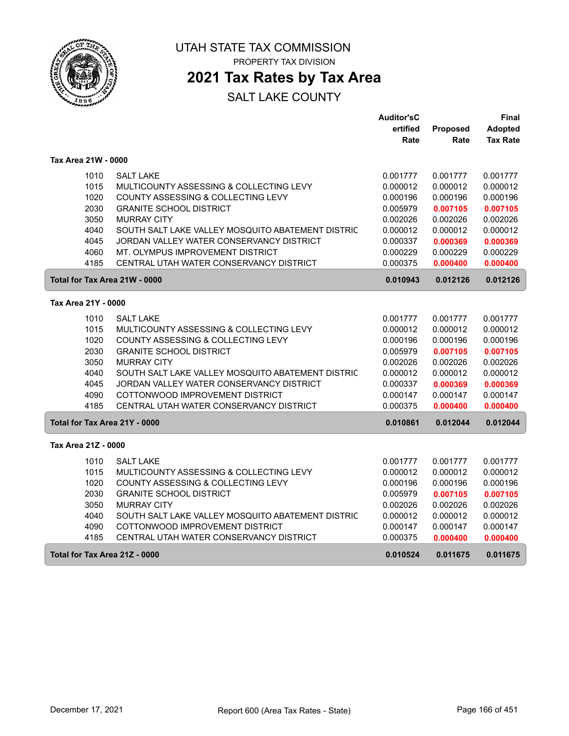

## **2021 Tax Rates by Tax Area**

|                     |                                                   | <b>Auditor'sC</b> |          | Final           |
|---------------------|---------------------------------------------------|-------------------|----------|-----------------|
|                     |                                                   | ertified          | Proposed | <b>Adopted</b>  |
|                     |                                                   | Rate              | Rate     | <b>Tax Rate</b> |
| Tax Area 21W - 0000 |                                                   |                   |          |                 |
| 1010                | <b>SALT LAKE</b>                                  | 0.001777          | 0.001777 | 0.001777        |
| 1015                | MULTICOUNTY ASSESSING & COLLECTING LEVY           | 0.000012          | 0.000012 | 0.000012        |
| 1020                | COUNTY ASSESSING & COLLECTING LEVY                | 0.000196          | 0.000196 | 0.000196        |
| 2030                | <b>GRANITE SCHOOL DISTRICT</b>                    | 0.005979          | 0.007105 | 0.007105        |
| 3050                | <b>MURRAY CITY</b>                                | 0.002026          | 0.002026 | 0.002026        |
| 4040                | SOUTH SALT LAKE VALLEY MOSQUITO ABATEMENT DISTRIC | 0.000012          | 0.000012 | 0.000012        |
| 4045                | JORDAN VALLEY WATER CONSERVANCY DISTRICT          | 0.000337          | 0.000369 | 0.000369        |
| 4060                | MT. OLYMPUS IMPROVEMENT DISTRICT                  | 0.000229          | 0.000229 | 0.000229        |
| 4185                | CENTRAL UTAH WATER CONSERVANCY DISTRICT           | 0.000375          | 0.000400 | 0.000400        |
|                     | Total for Tax Area 21W - 0000                     | 0.010943          | 0.012126 | 0.012126        |
| Tax Area 21Y - 0000 |                                                   |                   |          |                 |
| 1010                | <b>SALT LAKE</b>                                  | 0.001777          | 0.001777 | 0.001777        |
| 1015                | MULTICOUNTY ASSESSING & COLLECTING LEVY           | 0.000012          | 0.000012 | 0.000012        |
| 1020                | COUNTY ASSESSING & COLLECTING LEVY                | 0.000196          | 0.000196 | 0.000196        |
| 2030                | <b>GRANITE SCHOOL DISTRICT</b>                    | 0.005979          | 0.007105 | 0.007105        |
| 3050                | <b>MURRAY CITY</b>                                | 0.002026          | 0.002026 | 0.002026        |
| 4040                | SOUTH SALT LAKE VALLEY MOSQUITO ABATEMENT DISTRIC | 0.000012          | 0.000012 | 0.000012        |
| 4045                | JORDAN VALLEY WATER CONSERVANCY DISTRICT          | 0.000337          | 0.000369 | 0.000369        |
| 4090                | COTTONWOOD IMPROVEMENT DISTRICT                   | 0.000147          | 0.000147 | 0.000147        |
| 4185                | CENTRAL UTAH WATER CONSERVANCY DISTRICT           | 0.000375          | 0.000400 | 0.000400        |
|                     | Total for Tax Area 21Y - 0000                     | 0.010861          | 0.012044 | 0.012044        |
| Tax Area 21Z - 0000 |                                                   |                   |          |                 |
| 1010                | <b>SALT LAKE</b>                                  | 0.001777          | 0.001777 | 0.001777        |
| 1015                | MULTICOUNTY ASSESSING & COLLECTING LEVY           | 0.000012          | 0.000012 | 0.000012        |
| 1020                | COUNTY ASSESSING & COLLECTING LEVY                | 0.000196          | 0.000196 | 0.000196        |
| 2030                | <b>GRANITE SCHOOL DISTRICT</b>                    | 0.005979          | 0.007105 | 0.007105        |
| 3050                | <b>MURRAY CITY</b>                                | 0.002026          | 0.002026 | 0.002026        |
| 4040                | SOUTH SALT LAKE VALLEY MOSQUITO ABATEMENT DISTRIC | 0.000012          | 0.000012 | 0.000012        |
| 4090                | COTTONWOOD IMPROVEMENT DISTRICT                   | 0.000147          | 0.000147 | 0.000147        |
| 4185                | CENTRAL UTAH WATER CONSERVANCY DISTRICT           | 0.000375          | 0.000400 | 0.000400        |
|                     | Total for Tax Area 21Z - 0000                     | 0.010524          | 0.011675 | 0.011675        |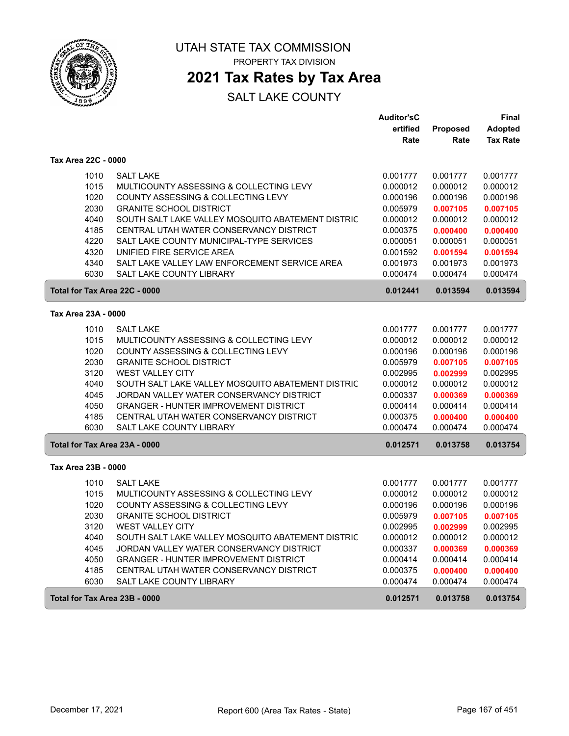

## **2021 Tax Rates by Tax Area**

|                               |                                                   | <b>Auditor'sC</b> |          | <b>Final</b>    |
|-------------------------------|---------------------------------------------------|-------------------|----------|-----------------|
|                               |                                                   | ertified          | Proposed | <b>Adopted</b>  |
|                               |                                                   | Rate              | Rate     | <b>Tax Rate</b> |
| Tax Area 22C - 0000           |                                                   |                   |          |                 |
| 1010                          | <b>SALT LAKE</b>                                  | 0.001777          | 0.001777 | 0.001777        |
| 1015                          | MULTICOUNTY ASSESSING & COLLECTING LEVY           | 0.000012          | 0.000012 | 0.000012        |
| 1020                          | COUNTY ASSESSING & COLLECTING LEVY                | 0.000196          | 0.000196 | 0.000196        |
| 2030                          | <b>GRANITE SCHOOL DISTRICT</b>                    | 0.005979          | 0.007105 | 0.007105        |
| 4040                          | SOUTH SALT LAKE VALLEY MOSQUITO ABATEMENT DISTRIC | 0.000012          | 0.000012 | 0.000012        |
| 4185                          | CENTRAL UTAH WATER CONSERVANCY DISTRICT           | 0.000375          | 0.000400 | 0.000400        |
| 4220                          | SALT LAKE COUNTY MUNICIPAL-TYPE SERVICES          | 0.000051          | 0.000051 | 0.000051        |
| 4320                          | UNIFIED FIRE SERVICE AREA                         | 0.001592          | 0.001594 | 0.001594        |
| 4340                          | SALT LAKE VALLEY LAW ENFORCEMENT SERVICE AREA     | 0.001973          | 0.001973 | 0.001973        |
| 6030                          | SALT LAKE COUNTY LIBRARY                          | 0.000474          | 0.000474 | 0.000474        |
| Total for Tax Area 22C - 0000 |                                                   | 0.012441          | 0.013594 | 0.013594        |
| Tax Area 23A - 0000           |                                                   |                   |          |                 |
|                               |                                                   |                   |          |                 |
| 1010                          | <b>SALT LAKE</b>                                  | 0.001777          | 0.001777 | 0.001777        |
| 1015                          | MULTICOUNTY ASSESSING & COLLECTING LEVY           | 0.000012          | 0.000012 | 0.000012        |
| 1020                          | COUNTY ASSESSING & COLLECTING LEVY                | 0.000196          | 0.000196 | 0.000196        |
| 2030                          | <b>GRANITE SCHOOL DISTRICT</b>                    | 0.005979          | 0.007105 | 0.007105        |
| 3120                          | <b>WEST VALLEY CITY</b>                           | 0.002995          | 0.002999 | 0.002995        |
| 4040                          | SOUTH SALT LAKE VALLEY MOSQUITO ABATEMENT DISTRIC | 0.000012          | 0.000012 | 0.000012        |
| 4045                          | JORDAN VALLEY WATER CONSERVANCY DISTRICT          | 0.000337          | 0.000369 | 0.000369        |
| 4050                          | <b>GRANGER - HUNTER IMPROVEMENT DISTRICT</b>      | 0.000414          | 0.000414 | 0.000414        |
| 4185                          | CENTRAL UTAH WATER CONSERVANCY DISTRICT           | 0.000375          | 0.000400 | 0.000400        |
| 6030                          | SALT LAKE COUNTY LIBRARY                          | 0.000474          | 0.000474 | 0.000474        |
| Total for Tax Area 23A - 0000 |                                                   | 0.012571          | 0.013758 | 0.013754        |
| Tax Area 23B - 0000           |                                                   |                   |          |                 |
| 1010                          | <b>SALT LAKE</b>                                  | 0.001777          | 0.001777 | 0.001777        |
| 1015                          | MULTICOUNTY ASSESSING & COLLECTING LEVY           | 0.000012          | 0.000012 | 0.000012        |
| 1020                          | COUNTY ASSESSING & COLLECTING LEVY                | 0.000196          | 0.000196 | 0.000196        |
| 2030                          | <b>GRANITE SCHOOL DISTRICT</b>                    | 0.005979          | 0.007105 | 0.007105        |
| 3120                          | <b>WEST VALLEY CITY</b>                           | 0.002995          | 0.002999 | 0.002995        |
| 4040                          | SOUTH SALT LAKE VALLEY MOSQUITO ABATEMENT DISTRIC | 0.000012          | 0.000012 | 0.000012        |
| 4045                          | JORDAN VALLEY WATER CONSERVANCY DISTRICT          | 0.000337          | 0.000369 | 0.000369        |
| 4050                          | <b>GRANGER - HUNTER IMPROVEMENT DISTRICT</b>      | 0.000414          | 0.000414 | 0.000414        |
| 4185                          | CENTRAL UTAH WATER CONSERVANCY DISTRICT           | 0.000375          | 0.000400 | 0.000400        |
| 6030                          | SALT LAKE COUNTY LIBRARY                          | 0.000474          | 0.000474 | 0.000474        |
| Total for Tax Area 23B - 0000 |                                                   | 0.012571          | 0.013758 | 0.013754        |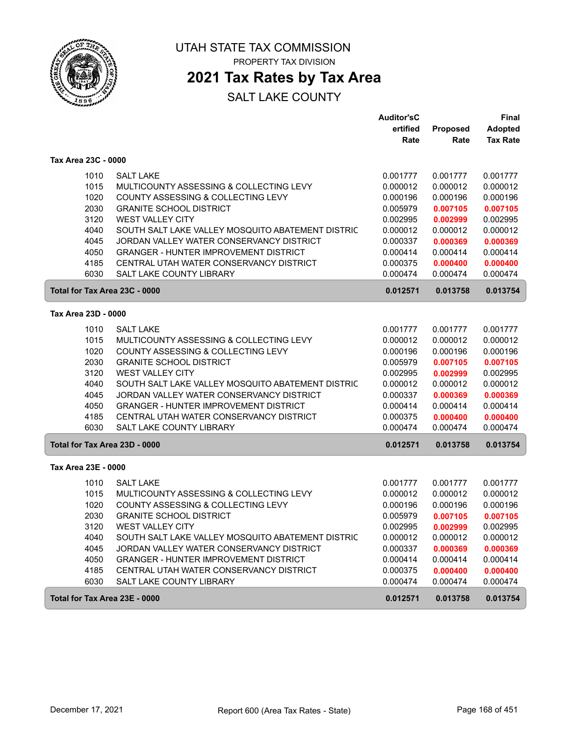

# **2021 Tax Rates by Tax Area**

|                               |                                                   | <b>Auditor'sC</b> |                 | <b>Final</b>    |
|-------------------------------|---------------------------------------------------|-------------------|-----------------|-----------------|
|                               |                                                   | ertified          | <b>Proposed</b> | <b>Adopted</b>  |
|                               |                                                   | Rate              | Rate            | <b>Tax Rate</b> |
| Tax Area 23C - 0000           |                                                   |                   |                 |                 |
| 1010                          | <b>SALT LAKE</b>                                  | 0.001777          | 0.001777        | 0.001777        |
| 1015                          | MULTICOUNTY ASSESSING & COLLECTING LEVY           | 0.000012          | 0.000012        | 0.000012        |
| 1020                          | COUNTY ASSESSING & COLLECTING LEVY                | 0.000196          | 0.000196        | 0.000196        |
| 2030                          | <b>GRANITE SCHOOL DISTRICT</b>                    | 0.005979          | 0.007105        | 0.007105        |
| 3120                          | WEST VALLEY CITY                                  | 0.002995          | 0.002999        | 0.002995        |
| 4040                          | SOUTH SALT LAKE VALLEY MOSQUITO ABATEMENT DISTRIC | 0.000012          | 0.000012        | 0.000012        |
| 4045                          | JORDAN VALLEY WATER CONSERVANCY DISTRICT          | 0.000337          | 0.000369        | 0.000369        |
| 4050                          | <b>GRANGER - HUNTER IMPROVEMENT DISTRICT</b>      | 0.000414          | 0.000414        | 0.000414        |
| 4185                          | CENTRAL UTAH WATER CONSERVANCY DISTRICT           | 0.000375          | 0.000400        | 0.000400        |
| 6030                          | SALT LAKE COUNTY LIBRARY                          | 0.000474          | 0.000474        | 0.000474        |
| Total for Tax Area 23C - 0000 |                                                   | 0.012571          | 0.013758        | 0.013754        |
| Tax Area 23D - 0000           |                                                   |                   |                 |                 |
|                               |                                                   |                   |                 |                 |
| 1010                          | <b>SALT LAKE</b>                                  | 0.001777          | 0.001777        | 0.001777        |
| 1015                          | MULTICOUNTY ASSESSING & COLLECTING LEVY           | 0.000012          | 0.000012        | 0.000012        |
| 1020                          | COUNTY ASSESSING & COLLECTING LEVY                | 0.000196          | 0.000196        | 0.000196        |
| 2030                          | <b>GRANITE SCHOOL DISTRICT</b>                    | 0.005979          | 0.007105        | 0.007105        |
| 3120                          | <b>WEST VALLEY CITY</b>                           | 0.002995          | 0.002999        | 0.002995        |
| 4040                          | SOUTH SALT LAKE VALLEY MOSQUITO ABATEMENT DISTRIC | 0.000012          | 0.000012        | 0.000012        |
| 4045                          | JORDAN VALLEY WATER CONSERVANCY DISTRICT          | 0.000337          | 0.000369        | 0.000369        |
| 4050                          | <b>GRANGER - HUNTER IMPROVEMENT DISTRICT</b>      | 0.000414          | 0.000414        | 0.000414        |
| 4185                          | CENTRAL UTAH WATER CONSERVANCY DISTRICT           | 0.000375          | 0.000400        | 0.000400        |
| 6030                          | SALT LAKE COUNTY LIBRARY                          | 0.000474          | 0.000474        | 0.000474        |
| Total for Tax Area 23D - 0000 |                                                   | 0.012571          | 0.013758        | 0.013754        |
| Tax Area 23E - 0000           |                                                   |                   |                 |                 |
| 1010                          | <b>SALT LAKE</b>                                  | 0.001777          | 0.001777        | 0.001777        |
| 1015                          | MULTICOUNTY ASSESSING & COLLECTING LEVY           | 0.000012          | 0.000012        | 0.000012        |
| 1020                          | COUNTY ASSESSING & COLLECTING LEVY                | 0.000196          | 0.000196        | 0.000196        |
| 2030                          | <b>GRANITE SCHOOL DISTRICT</b>                    | 0.005979          | 0.007105        | 0.007105        |
| 3120                          | <b>WEST VALLEY CITY</b>                           | 0.002995          | 0.002999        | 0.002995        |
| 4040                          | SOUTH SALT LAKE VALLEY MOSQUITO ABATEMENT DISTRIC | 0.000012          | 0.000012        | 0.000012        |
| 4045                          | JORDAN VALLEY WATER CONSERVANCY DISTRICT          | 0.000337          | 0.000369        | 0.000369        |
| 4050                          | <b>GRANGER - HUNTER IMPROVEMENT DISTRICT</b>      | 0.000414          | 0.000414        | 0.000414        |
| 4185                          | CENTRAL UTAH WATER CONSERVANCY DISTRICT           | 0.000375          | 0.000400        | 0.000400        |
| 6030                          | SALT LAKE COUNTY LIBRARY                          | 0.000474          | 0.000474        | 0.000474        |
| Total for Tax Area 23E - 0000 |                                                   | 0.012571          | 0.013758        | 0.013754        |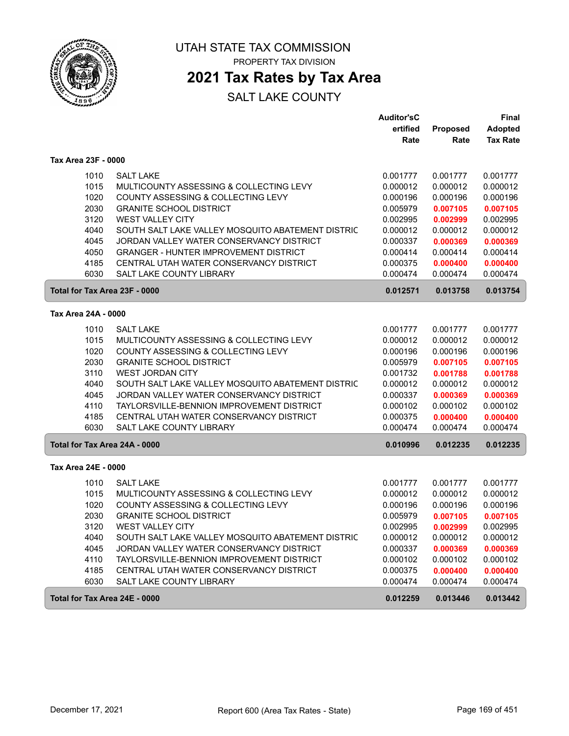

## **2021 Tax Rates by Tax Area**

|                     |                                                   | <b>Auditor'sC</b> |                 | <b>Final</b>    |
|---------------------|---------------------------------------------------|-------------------|-----------------|-----------------|
|                     |                                                   | ertified          | <b>Proposed</b> | <b>Adopted</b>  |
|                     |                                                   | Rate              | Rate            | <b>Tax Rate</b> |
| Tax Area 23F - 0000 |                                                   |                   |                 |                 |
| 1010                | <b>SALT LAKE</b>                                  | 0.001777          | 0.001777        | 0.001777        |
| 1015                | MULTICOUNTY ASSESSING & COLLECTING LEVY           | 0.000012          | 0.000012        | 0.000012        |
| 1020                | COUNTY ASSESSING & COLLECTING LEVY                | 0.000196          | 0.000196        | 0.000196        |
| 2030                | <b>GRANITE SCHOOL DISTRICT</b>                    | 0.005979          | 0.007105        | 0.007105        |
| 3120                | WEST VALLEY CITY                                  | 0.002995          | 0.002999        | 0.002995        |
| 4040                | SOUTH SALT LAKE VALLEY MOSQUITO ABATEMENT DISTRIC | 0.000012          | 0.000012        | 0.000012        |
| 4045                | JORDAN VALLEY WATER CONSERVANCY DISTRICT          | 0.000337          | 0.000369        | 0.000369        |
| 4050                | <b>GRANGER - HUNTER IMPROVEMENT DISTRICT</b>      | 0.000414          | 0.000414        | 0.000414        |
| 4185                | CENTRAL UTAH WATER CONSERVANCY DISTRICT           | 0.000375          | 0.000400        | 0.000400        |
| 6030                | SALT LAKE COUNTY LIBRARY                          | 0.000474          | 0.000474        | 0.000474        |
|                     | Total for Tax Area 23F - 0000                     | 0.012571          | 0.013758        | 0.013754        |
|                     |                                                   |                   |                 |                 |
| Tax Area 24A - 0000 |                                                   |                   |                 |                 |
| 1010                | <b>SALT LAKE</b>                                  | 0.001777          | 0.001777        | 0.001777        |
| 1015                | MULTICOUNTY ASSESSING & COLLECTING LEVY           | 0.000012          | 0.000012        | 0.000012        |
| 1020                | COUNTY ASSESSING & COLLECTING LEVY                | 0.000196          | 0.000196        | 0.000196        |
| 2030                | <b>GRANITE SCHOOL DISTRICT</b>                    | 0.005979          | 0.007105        | 0.007105        |
| 3110                | <b>WEST JORDAN CITY</b>                           | 0.001732          | 0.001788        | 0.001788        |
| 4040                | SOUTH SALT LAKE VALLEY MOSQUITO ABATEMENT DISTRIC | 0.000012          | 0.000012        | 0.000012        |
| 4045                | JORDAN VALLEY WATER CONSERVANCY DISTRICT          | 0.000337          | 0.000369        | 0.000369        |
| 4110                | TAYLORSVILLE-BENNION IMPROVEMENT DISTRICT         | 0.000102          | 0.000102        | 0.000102        |
| 4185                | CENTRAL UTAH WATER CONSERVANCY DISTRICT           | 0.000375          | 0.000400        | 0.000400        |
| 6030                | SALT LAKE COUNTY LIBRARY                          | 0.000474          | 0.000474        | 0.000474        |
|                     | Total for Tax Area 24A - 0000                     | 0.010996          | 0.012235        | 0.012235        |
| Tax Area 24E - 0000 |                                                   |                   |                 |                 |
| 1010                | <b>SALT LAKE</b>                                  | 0.001777          | 0.001777        | 0.001777        |
| 1015                | MULTICOUNTY ASSESSING & COLLECTING LEVY           | 0.000012          | 0.000012        | 0.000012        |
| 1020                | COUNTY ASSESSING & COLLECTING LEVY                | 0.000196          | 0.000196        | 0.000196        |
| 2030                | <b>GRANITE SCHOOL DISTRICT</b>                    | 0.005979          | 0.007105        | 0.007105        |
| 3120                | WEST VALLEY CITY                                  | 0.002995          | 0.002999        | 0.002995        |
| 4040                | SOUTH SALT LAKE VALLEY MOSQUITO ABATEMENT DISTRIC | 0.000012          | 0.000012        | 0.000012        |
| 4045                | JORDAN VALLEY WATER CONSERVANCY DISTRICT          | 0.000337          | 0.000369        | 0.000369        |
| 4110                | TAYLORSVILLE-BENNION IMPROVEMENT DISTRICT         | 0.000102          | 0.000102        | 0.000102        |
| 4185                | CENTRAL UTAH WATER CONSERVANCY DISTRICT           | 0.000375          | 0.000400        | 0.000400        |
| 6030                | SALT LAKE COUNTY LIBRARY                          | 0.000474          | 0.000474        | 0.000474        |
|                     |                                                   |                   |                 |                 |
|                     | Total for Tax Area 24E - 0000                     | 0.012259          | 0.013446        | 0.013442        |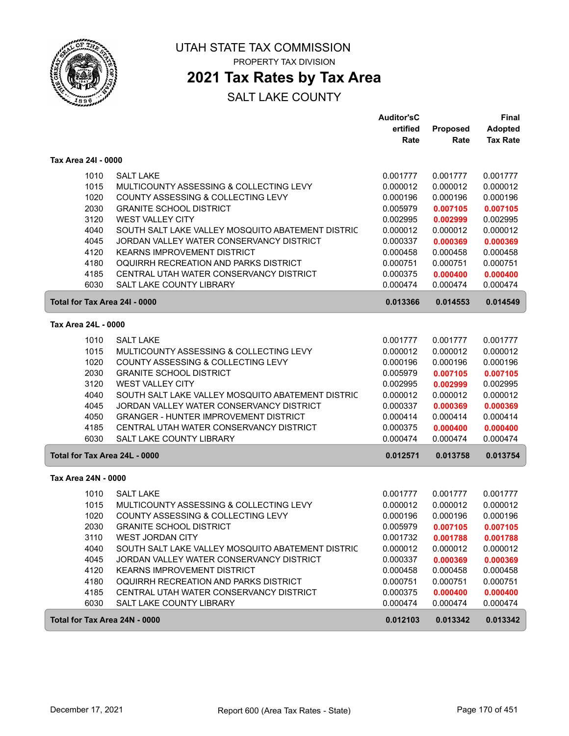

## **2021 Tax Rates by Tax Area**

|                               |                                                   | <b>Auditor'sC</b><br>ertified | Proposed | <b>Final</b><br><b>Adopted</b> |
|-------------------------------|---------------------------------------------------|-------------------------------|----------|--------------------------------|
|                               |                                                   | Rate                          | Rate     | <b>Tax Rate</b>                |
| Tax Area 24I - 0000           |                                                   |                               |          |                                |
| 1010                          | <b>SALT LAKE</b>                                  | 0.001777                      | 0.001777 | 0.001777                       |
| 1015                          | MULTICOUNTY ASSESSING & COLLECTING LEVY           | 0.000012                      | 0.000012 | 0.000012                       |
| 1020                          | COUNTY ASSESSING & COLLECTING LEVY                | 0.000196                      | 0.000196 | 0.000196                       |
| 2030                          | <b>GRANITE SCHOOL DISTRICT</b>                    | 0.005979                      | 0.007105 | 0.007105                       |
| 3120                          | WEST VALLEY CITY                                  | 0.002995                      | 0.002999 | 0.002995                       |
| 4040                          | SOUTH SALT LAKE VALLEY MOSQUITO ABATEMENT DISTRIC | 0.000012                      | 0.000012 | 0.000012                       |
| 4045                          | JORDAN VALLEY WATER CONSERVANCY DISTRICT          | 0.000337                      | 0.000369 | 0.000369                       |
| 4120                          | <b>KEARNS IMPROVEMENT DISTRICT</b>                | 0.000458                      | 0.000458 | 0.000458                       |
| 4180                          | OQUIRRH RECREATION AND PARKS DISTRICT             | 0.000751                      | 0.000751 | 0.000751                       |
| 4185                          | CENTRAL UTAH WATER CONSERVANCY DISTRICT           | 0.000375                      | 0.000400 | 0.000400                       |
| 6030                          | <b>SALT LAKE COUNTY LIBRARY</b>                   | 0.000474                      | 0.000474 | 0.000474                       |
| Total for Tax Area 24I - 0000 |                                                   | 0.013366                      | 0.014553 | 0.014549                       |
| Tax Area 24L - 0000           |                                                   |                               |          |                                |
| 1010                          | <b>SALT LAKE</b>                                  | 0.001777                      | 0.001777 | 0.001777                       |
| 1015                          | MULTICOUNTY ASSESSING & COLLECTING LEVY           | 0.000012                      | 0.000012 | 0.000012                       |
| 1020                          | COUNTY ASSESSING & COLLECTING LEVY                | 0.000196                      | 0.000196 | 0.000196                       |
| 2030                          | <b>GRANITE SCHOOL DISTRICT</b>                    | 0.005979                      | 0.007105 | 0.007105                       |
| 3120                          | WEST VALLEY CITY                                  | 0.002995                      | 0.002999 | 0.002995                       |
| 4040                          | SOUTH SALT LAKE VALLEY MOSQUITO ABATEMENT DISTRIC | 0.000012                      | 0.000012 | 0.000012                       |
| 4045                          | JORDAN VALLEY WATER CONSERVANCY DISTRICT          | 0.000337                      | 0.000369 | 0.000369                       |
| 4050                          | <b>GRANGER - HUNTER IMPROVEMENT DISTRICT</b>      | 0.000414                      | 0.000414 | 0.000414                       |
| 4185                          | CENTRAL UTAH WATER CONSERVANCY DISTRICT           | 0.000375                      | 0.000400 | 0.000400                       |
| 6030                          | SALT LAKE COUNTY LIBRARY                          | 0.000474                      | 0.000474 | 0.000474                       |
| Total for Tax Area 24L - 0000 |                                                   | 0.012571                      | 0.013758 | 0.013754                       |
| Tax Area 24N - 0000           |                                                   |                               |          |                                |
| 1010                          | <b>SALT LAKE</b>                                  | 0.001777                      | 0.001777 | 0.001777                       |
| 1015                          | MULTICOUNTY ASSESSING & COLLECTING LEVY           | 0.000012                      | 0.000012 | 0.000012                       |
| 1020                          | COUNTY ASSESSING & COLLECTING LEVY                | 0.000196                      | 0.000196 | 0.000196                       |
| 2030                          | <b>GRANITE SCHOOL DISTRICT</b>                    | 0.005979                      | 0.007105 | 0.007105                       |
| 3110                          | <b>WEST JORDAN CITY</b>                           | 0.001732                      | 0.001788 | 0.001788                       |
| 4040                          | SOUTH SALT LAKE VALLEY MOSQUITO ABATEMENT DISTRIC | 0.000012                      | 0.000012 | 0.000012                       |
| 4045                          | JORDAN VALLEY WATER CONSERVANCY DISTRICT          | 0.000337                      | 0.000369 | 0.000369                       |
| 4120                          | KEARNS IMPROVEMENT DISTRICT                       | 0.000458                      | 0.000458 | 0.000458                       |
| 4180                          | OQUIRRH RECREATION AND PARKS DISTRICT             | 0.000751                      | 0.000751 | 0.000751                       |
| 4185                          | CENTRAL UTAH WATER CONSERVANCY DISTRICT           | 0.000375                      | 0.000400 | 0.000400                       |
| 6030                          | SALT LAKE COUNTY LIBRARY                          | 0.000474                      | 0.000474 | 0.000474                       |
| Total for Tax Area 24N - 0000 |                                                   | 0.012103                      | 0.013342 | 0.013342                       |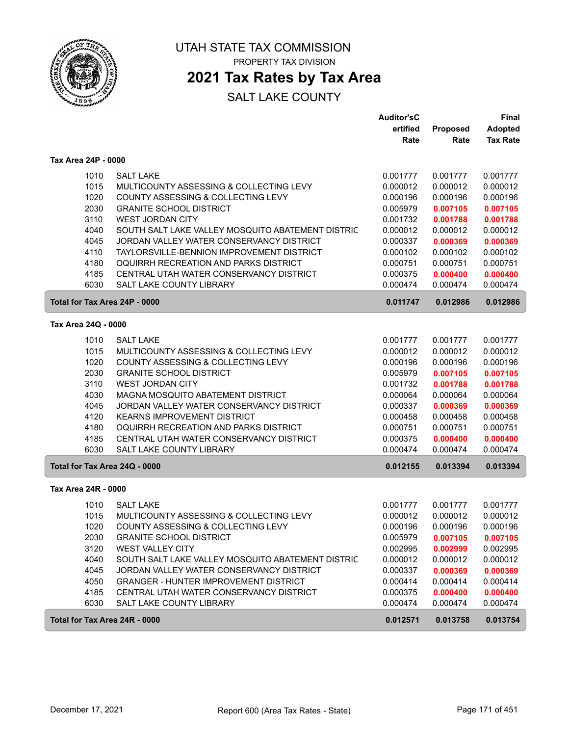

## **2021 Tax Rates by Tax Area**

|                               |                                                   | <b>Auditor'sC</b> |          | Final           |
|-------------------------------|---------------------------------------------------|-------------------|----------|-----------------|
|                               |                                                   | ertified          | Proposed | <b>Adopted</b>  |
|                               |                                                   | Rate              | Rate     | <b>Tax Rate</b> |
| Tax Area 24P - 0000           |                                                   |                   |          |                 |
| 1010                          | <b>SALT LAKE</b>                                  | 0.001777          | 0.001777 | 0.001777        |
| 1015                          | MULTICOUNTY ASSESSING & COLLECTING LEVY           | 0.000012          | 0.000012 | 0.000012        |
| 1020                          | COUNTY ASSESSING & COLLECTING LEVY                | 0.000196          | 0.000196 | 0.000196        |
| 2030                          | <b>GRANITE SCHOOL DISTRICT</b>                    | 0.005979          | 0.007105 | 0.007105        |
| 3110                          | <b>WEST JORDAN CITY</b>                           | 0.001732          | 0.001788 | 0.001788        |
| 4040                          | SOUTH SALT LAKE VALLEY MOSQUITO ABATEMENT DISTRIC | 0.000012          | 0.000012 | 0.000012        |
| 4045                          | JORDAN VALLEY WATER CONSERVANCY DISTRICT          | 0.000337          | 0.000369 | 0.000369        |
| 4110                          | TAYLORSVILLE-BENNION IMPROVEMENT DISTRICT         | 0.000102          | 0.000102 | 0.000102        |
| 4180                          | OQUIRRH RECREATION AND PARKS DISTRICT             | 0.000751          | 0.000751 | 0.000751        |
| 4185                          | CENTRAL UTAH WATER CONSERVANCY DISTRICT           | 0.000375          | 0.000400 | 0.000400        |
| 6030                          | <b>SALT LAKE COUNTY LIBRARY</b>                   | 0.000474          | 0.000474 | 0.000474        |
| Total for Tax Area 24P - 0000 |                                                   | 0.011747          | 0.012986 | 0.012986        |
| Tax Area 24Q - 0000           |                                                   |                   |          |                 |
| 1010                          | <b>SALT LAKE</b>                                  | 0.001777          | 0.001777 | 0.001777        |
| 1015                          | MULTICOUNTY ASSESSING & COLLECTING LEVY           | 0.000012          | 0.000012 | 0.000012        |
| 1020                          | COUNTY ASSESSING & COLLECTING LEVY                | 0.000196          | 0.000196 | 0.000196        |
| 2030                          | <b>GRANITE SCHOOL DISTRICT</b>                    | 0.005979          | 0.007105 | 0.007105        |
| 3110                          | <b>WEST JORDAN CITY</b>                           | 0.001732          | 0.001788 | 0.001788        |
| 4030                          | MAGNA MOSQUITO ABATEMENT DISTRICT                 | 0.000064          | 0.000064 | 0.000064        |
| 4045                          | JORDAN VALLEY WATER CONSERVANCY DISTRICT          | 0.000337          | 0.000369 | 0.000369        |
| 4120                          | <b>KEARNS IMPROVEMENT DISTRICT</b>                | 0.000458          | 0.000458 | 0.000458        |
| 4180                          | OQUIRRH RECREATION AND PARKS DISTRICT             | 0.000751          | 0.000751 | 0.000751        |
| 4185                          | CENTRAL UTAH WATER CONSERVANCY DISTRICT           | 0.000375          | 0.000400 | 0.000400        |
| 6030                          | <b>SALT LAKE COUNTY LIBRARY</b>                   | 0.000474          | 0.000474 | 0.000474        |
| Total for Tax Area 24Q - 0000 |                                                   | 0.012155          | 0.013394 | 0.013394        |
| Tax Area 24R - 0000           |                                                   |                   |          |                 |
| 1010                          | <b>SALT LAKE</b>                                  | 0.001777          | 0.001777 | 0.001777        |
| 1015                          | MULTICOUNTY ASSESSING & COLLECTING LEVY           | 0.000012          | 0.000012 | 0.000012        |
| 1020                          | COUNTY ASSESSING & COLLECTING LEVY                | 0.000196          | 0.000196 | 0.000196        |
| 2030                          | <b>GRANITE SCHOOL DISTRICT</b>                    | 0.005979          | 0.007105 | 0.007105        |
| 3120                          | <b>WEST VALLEY CITY</b>                           | 0.002995          | 0.002999 | 0.002995        |
| 4040                          | SOUTH SALT LAKE VALLEY MOSQUITO ABATEMENT DISTRIC | 0.000012          | 0.000012 | 0.000012        |
| 4045                          | JORDAN VALLEY WATER CONSERVANCY DISTRICT          | 0.000337          | 0.000369 | 0.000369        |
| 4050                          | <b>GRANGER - HUNTER IMPROVEMENT DISTRICT</b>      | 0.000414          | 0.000414 | 0.000414        |
| 4185                          | CENTRAL UTAH WATER CONSERVANCY DISTRICT           | 0.000375          | 0.000400 | 0.000400        |
| 6030                          | SALT LAKE COUNTY LIBRARY                          | 0.000474          | 0.000474 | 0.000474        |
| Total for Tax Area 24R - 0000 |                                                   | 0.012571          | 0.013758 | 0.013754        |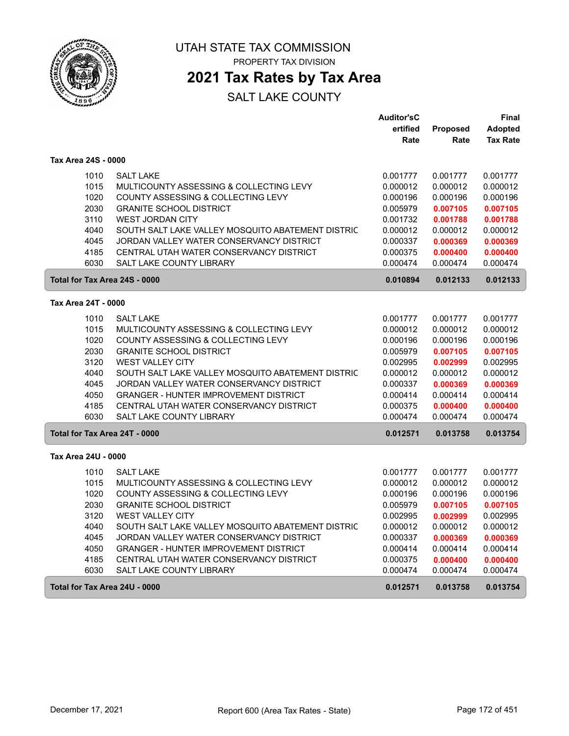

## **2021 Tax Rates by Tax Area**

|                               |                                                                                          | <b>Auditor'sC</b>    |                      | Final                |
|-------------------------------|------------------------------------------------------------------------------------------|----------------------|----------------------|----------------------|
|                               |                                                                                          | ertified             | <b>Proposed</b>      | <b>Adopted</b>       |
|                               |                                                                                          | Rate                 | Rate                 | <b>Tax Rate</b>      |
| Tax Area 24S - 0000           |                                                                                          |                      |                      |                      |
| 1010                          | <b>SALT LAKE</b>                                                                         | 0.001777             | 0.001777             | 0.001777             |
| 1015                          | MULTICOUNTY ASSESSING & COLLECTING LEVY                                                  | 0.000012             | 0.000012             | 0.000012             |
| 1020                          | COUNTY ASSESSING & COLLECTING LEVY                                                       | 0.000196             | 0.000196             | 0.000196             |
| 2030                          | <b>GRANITE SCHOOL DISTRICT</b>                                                           | 0.005979             | 0.007105             | 0.007105             |
| 3110                          | <b>WEST JORDAN CITY</b>                                                                  | 0.001732             | 0.001788             | 0.001788             |
| 4040                          | SOUTH SALT LAKE VALLEY MOSQUITO ABATEMENT DISTRIC                                        | 0.000012             | 0.000012             | 0.000012             |
| 4045                          | JORDAN VALLEY WATER CONSERVANCY DISTRICT                                                 | 0.000337             | 0.000369             | 0.000369             |
| 4185                          | CENTRAL UTAH WATER CONSERVANCY DISTRICT                                                  | 0.000375             | 0.000400             | 0.000400             |
| 6030                          | <b>SALT LAKE COUNTY LIBRARY</b>                                                          | 0.000474             | 0.000474             | 0.000474             |
| Total for Tax Area 24S - 0000 |                                                                                          | 0.010894             | 0.012133             | 0.012133             |
| Tax Area 24T - 0000           |                                                                                          |                      |                      |                      |
|                               |                                                                                          |                      |                      |                      |
| 1010                          | <b>SALT LAKE</b>                                                                         | 0.001777             | 0.001777             | 0.001777             |
| 1015                          | MULTICOUNTY ASSESSING & COLLECTING LEVY                                                  | 0.000012             | 0.000012             | 0.000012             |
| 1020                          | COUNTY ASSESSING & COLLECTING LEVY                                                       | 0.000196             | 0.000196             | 0.000196             |
| 2030                          | <b>GRANITE SCHOOL DISTRICT</b>                                                           | 0.005979             | 0.007105             | 0.007105             |
| 3120                          | <b>WEST VALLEY CITY</b>                                                                  | 0.002995             | 0.002999             | 0.002995             |
| 4040                          | SOUTH SALT LAKE VALLEY MOSQUITO ABATEMENT DISTRIC                                        | 0.000012             | 0.000012             | 0.000012             |
| 4045<br>4050                  | JORDAN VALLEY WATER CONSERVANCY DISTRICT<br><b>GRANGER - HUNTER IMPROVEMENT DISTRICT</b> | 0.000337             | 0.000369             | 0.000369             |
| 4185                          | CENTRAL UTAH WATER CONSERVANCY DISTRICT                                                  | 0.000414<br>0.000375 | 0.000414             | 0.000414             |
| 6030                          | <b>SALT LAKE COUNTY LIBRARY</b>                                                          | 0.000474             | 0.000400<br>0.000474 | 0.000400<br>0.000474 |
|                               |                                                                                          |                      |                      |                      |
| Total for Tax Area 24T - 0000 |                                                                                          | 0.012571             | 0.013758             | 0.013754             |
| Tax Area 24U - 0000           |                                                                                          |                      |                      |                      |
| 1010                          | <b>SALT LAKE</b>                                                                         | 0.001777             | 0.001777             | 0.001777             |
| 1015                          | MULTICOUNTY ASSESSING & COLLECTING LEVY                                                  | 0.000012             | 0.000012             | 0.000012             |
| 1020                          | COUNTY ASSESSING & COLLECTING LEVY                                                       | 0.000196             | 0.000196             | 0.000196             |
| 2030                          | <b>GRANITE SCHOOL DISTRICT</b>                                                           | 0.005979             | 0.007105             | 0.007105             |
| 3120                          | <b>WEST VALLEY CITY</b>                                                                  | 0.002995             | 0.002999             | 0.002995             |
| 4040                          | SOUTH SALT LAKE VALLEY MOSQUITO ABATEMENT DISTRIC                                        | 0.000012             | 0.000012             | 0.000012             |
| 4045                          | JORDAN VALLEY WATER CONSERVANCY DISTRICT                                                 | 0.000337             | 0.000369             | 0.000369             |
| 4050                          | <b>GRANGER - HUNTER IMPROVEMENT DISTRICT</b>                                             | 0.000414             | 0.000414             | 0.000414             |
| 4185                          | CENTRAL UTAH WATER CONSERVANCY DISTRICT                                                  | 0.000375             | 0.000400             | 0.000400             |
| 6030                          | <b>SALT LAKE COUNTY LIBRARY</b>                                                          | 0.000474             | 0.000474             | 0.000474             |
| Total for Tax Area 24U - 0000 |                                                                                          | 0.012571             | 0.013758             | 0.013754             |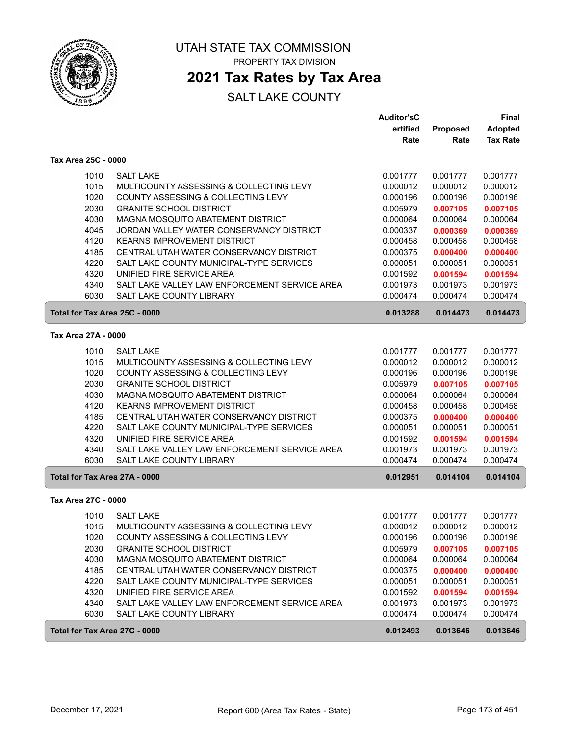

## **2021 Tax Rates by Tax Area**

|                     |                                               | <b>Auditor'sC</b> |          | <b>Final</b>    |
|---------------------|-----------------------------------------------|-------------------|----------|-----------------|
|                     |                                               | ertified          | Proposed | <b>Adopted</b>  |
|                     |                                               | Rate              | Rate     | <b>Tax Rate</b> |
| Tax Area 25C - 0000 |                                               |                   |          |                 |
| 1010                | <b>SALT LAKE</b>                              | 0.001777          | 0.001777 | 0.001777        |
| 1015                | MULTICOUNTY ASSESSING & COLLECTING LEVY       | 0.000012          | 0.000012 | 0.000012        |
| 1020                | COUNTY ASSESSING & COLLECTING LEVY            | 0.000196          | 0.000196 | 0.000196        |
| 2030                | <b>GRANITE SCHOOL DISTRICT</b>                | 0.005979          | 0.007105 | 0.007105        |
| 4030                | MAGNA MOSQUITO ABATEMENT DISTRICT             | 0.000064          | 0.000064 | 0.000064        |
| 4045                | JORDAN VALLEY WATER CONSERVANCY DISTRICT      | 0.000337          | 0.000369 | 0.000369        |
| 4120                | <b>KEARNS IMPROVEMENT DISTRICT</b>            | 0.000458          | 0.000458 | 0.000458        |
| 4185                | CENTRAL UTAH WATER CONSERVANCY DISTRICT       | 0.000375          | 0.000400 | 0.000400        |
| 4220                | SALT LAKE COUNTY MUNICIPAL-TYPE SERVICES      | 0.000051          | 0.000051 | 0.000051        |
| 4320                | UNIFIED FIRE SERVICE AREA                     | 0.001592          | 0.001594 | 0.001594        |
| 4340                | SALT LAKE VALLEY LAW ENFORCEMENT SERVICE AREA | 0.001973          | 0.001973 | 0.001973        |
| 6030                | <b>SALT LAKE COUNTY LIBRARY</b>               | 0.000474          | 0.000474 | 0.000474        |
|                     | Total for Tax Area 25C - 0000                 | 0.013288          | 0.014473 | 0.014473        |
| Tax Area 27A - 0000 |                                               |                   |          |                 |
| 1010                | <b>SALT LAKE</b>                              | 0.001777          | 0.001777 | 0.001777        |
| 1015                | MULTICOUNTY ASSESSING & COLLECTING LEVY       | 0.000012          | 0.000012 | 0.000012        |
| 1020                | COUNTY ASSESSING & COLLECTING LEVY            | 0.000196          | 0.000196 | 0.000196        |
| 2030                | <b>GRANITE SCHOOL DISTRICT</b>                | 0.005979          | 0.007105 | 0.007105        |
| 4030                | MAGNA MOSQUITO ABATEMENT DISTRICT             | 0.000064          | 0.000064 | 0.000064        |
| 4120                | <b>KEARNS IMPROVEMENT DISTRICT</b>            | 0.000458          | 0.000458 | 0.000458        |
| 4185                | CENTRAL UTAH WATER CONSERVANCY DISTRICT       | 0.000375          | 0.000400 | 0.000400        |
| 4220                | SALT LAKE COUNTY MUNICIPAL-TYPE SERVICES      | 0.000051          | 0.000051 | 0.000051        |
| 4320                | UNIFIED FIRE SERVICE AREA                     | 0.001592          | 0.001594 | 0.001594        |
| 4340                | SALT LAKE VALLEY LAW ENFORCEMENT SERVICE AREA | 0.001973          | 0.001973 | 0.001973        |
| 6030                | SALT LAKE COUNTY LIBRARY                      | 0.000474          | 0.000474 | 0.000474        |
|                     | Total for Tax Area 27A - 0000                 | 0.012951          | 0.014104 | 0.014104        |
| Tax Area 27C - 0000 |                                               |                   |          |                 |
| 1010                | <b>SALT LAKE</b>                              | 0.001777          | 0.001777 | 0.001777        |
| 1015                | MULTICOUNTY ASSESSING & COLLECTING LEVY       | 0.000012          | 0.000012 | 0.000012        |
| 1020                | COUNTY ASSESSING & COLLECTING LEVY            | 0.000196          | 0.000196 | 0.000196        |
| 2030                | <b>GRANITE SCHOOL DISTRICT</b>                | 0.005979          | 0.007105 | 0.007105        |
| 4030                | MAGNA MOSQUITO ABATEMENT DISTRICT             | 0.000064          | 0.000064 | 0.000064        |
| 4185                | CENTRAL UTAH WATER CONSERVANCY DISTRICT       | 0.000375          | 0.000400 | 0.000400        |
| 4220                | SALT LAKE COUNTY MUNICIPAL-TYPE SERVICES      | 0.000051          | 0.000051 | 0.000051        |
| 4320                | UNIFIED FIRE SERVICE AREA                     | 0.001592          | 0.001594 | 0.001594        |
| 4340                | SALT LAKE VALLEY LAW ENFORCEMENT SERVICE AREA | 0.001973          | 0.001973 | 0.001973        |
| 6030                | SALT LAKE COUNTY LIBRARY                      | 0.000474          | 0.000474 | 0.000474        |
|                     | Total for Tax Area 27C - 0000                 | 0.012493          | 0.013646 | 0.013646        |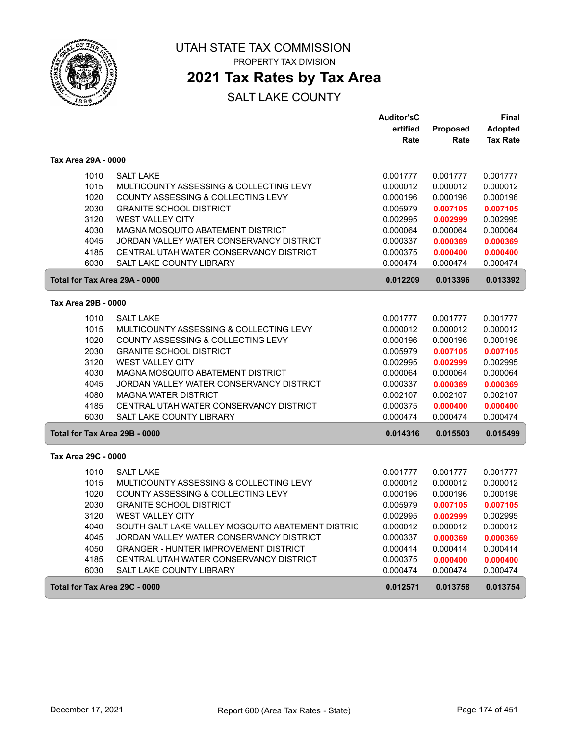

## **2021 Tax Rates by Tax Area**

|                     |                                                   | <b>Auditor'sC</b> |                 | Final           |
|---------------------|---------------------------------------------------|-------------------|-----------------|-----------------|
|                     |                                                   | ertified          | <b>Proposed</b> | <b>Adopted</b>  |
|                     |                                                   | Rate              | Rate            | <b>Tax Rate</b> |
| Tax Area 29A - 0000 |                                                   |                   |                 |                 |
| 1010                | <b>SALT LAKE</b>                                  | 0.001777          | 0.001777        | 0.001777        |
| 1015                | MULTICOUNTY ASSESSING & COLLECTING LEVY           | 0.000012          | 0.000012        | 0.000012        |
| 1020                | COUNTY ASSESSING & COLLECTING LEVY                | 0.000196          | 0.000196        | 0.000196        |
| 2030                | <b>GRANITE SCHOOL DISTRICT</b>                    | 0.005979          | 0.007105        | 0.007105        |
| 3120                | WEST VALLEY CITY                                  | 0.002995          | 0.002999        | 0.002995        |
| 4030                | MAGNA MOSQUITO ABATEMENT DISTRICT                 | 0.000064          | 0.000064        | 0.000064        |
| 4045                | JORDAN VALLEY WATER CONSERVANCY DISTRICT          | 0.000337          | 0.000369        | 0.000369        |
| 4185                | CENTRAL UTAH WATER CONSERVANCY DISTRICT           | 0.000375          | 0.000400        | 0.000400        |
| 6030                | <b>SALT LAKE COUNTY LIBRARY</b>                   | 0.000474          | 0.000474        | 0.000474        |
|                     | Total for Tax Area 29A - 0000                     | 0.012209          | 0.013396        | 0.013392        |
| Tax Area 29B - 0000 |                                                   |                   |                 |                 |
| 1010                | <b>SALT LAKE</b>                                  | 0.001777          | 0.001777        | 0.001777        |
| 1015                | MULTICOUNTY ASSESSING & COLLECTING LEVY           | 0.000012          | 0.000012        | 0.000012        |
| 1020                | COUNTY ASSESSING & COLLECTING LEVY                | 0.000196          | 0.000196        | 0.000196        |
| 2030                | <b>GRANITE SCHOOL DISTRICT</b>                    | 0.005979          | 0.007105        | 0.007105        |
| 3120                | <b>WEST VALLEY CITY</b>                           | 0.002995          | 0.002999        | 0.002995        |
| 4030                | MAGNA MOSQUITO ABATEMENT DISTRICT                 | 0.000064          | 0.000064        | 0.000064        |
| 4045                | JORDAN VALLEY WATER CONSERVANCY DISTRICT          | 0.000337          | 0.000369        | 0.000369        |
| 4080                | <b>MAGNA WATER DISTRICT</b>                       | 0.002107          | 0.002107        | 0.002107        |
| 4185                | CENTRAL UTAH WATER CONSERVANCY DISTRICT           | 0.000375          | 0.000400        | 0.000400        |
| 6030                | SALT LAKE COUNTY LIBRARY                          | 0.000474          | 0.000474        | 0.000474        |
|                     | Total for Tax Area 29B - 0000                     | 0.014316          | 0.015503        | 0.015499        |
| Tax Area 29C - 0000 |                                                   |                   |                 |                 |
| 1010                | <b>SALT LAKE</b>                                  | 0.001777          | 0.001777        | 0.001777        |
| 1015                | MULTICOUNTY ASSESSING & COLLECTING LEVY           | 0.000012          | 0.000012        | 0.000012        |
| 1020                | COUNTY ASSESSING & COLLECTING LEVY                | 0.000196          | 0.000196        | 0.000196        |
| 2030                | <b>GRANITE SCHOOL DISTRICT</b>                    | 0.005979          | 0.007105        | 0.007105        |
| 3120                | <b>WEST VALLEY CITY</b>                           | 0.002995          | 0.002999        | 0.002995        |
| 4040                | SOUTH SALT LAKE VALLEY MOSQUITO ABATEMENT DISTRIC | 0.000012          | 0.000012        | 0.000012        |
| 4045                | JORDAN VALLEY WATER CONSERVANCY DISTRICT          | 0.000337          | 0.000369        | 0.000369        |
| 4050                | <b>GRANGER - HUNTER IMPROVEMENT DISTRICT</b>      | 0.000414          | 0.000414        | 0.000414        |
| 4185                | CENTRAL UTAH WATER CONSERVANCY DISTRICT           | 0.000375          | 0.000400        | 0.000400        |
| 6030                | <b>SALT LAKE COUNTY LIBRARY</b>                   | 0.000474          | 0.000474        | 0.000474        |
|                     | Total for Tax Area 29C - 0000                     | 0.012571          | 0.013758        | 0.013754        |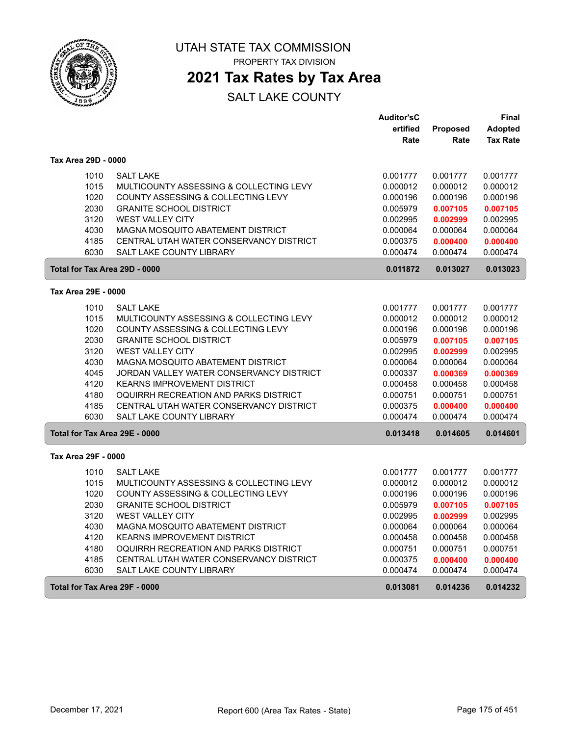

PROPERTY TAX DIVISION

### **2021 Tax Rates by Tax Area**

|                               |                                          | <b>Auditor'sC</b> |          | Final                |
|-------------------------------|------------------------------------------|-------------------|----------|----------------------|
|                               |                                          | ertified          | Proposed | <b>Adopted</b>       |
|                               |                                          | Rate              | Rate     | <b>Tax Rate</b>      |
| Tax Area 29D - 0000           |                                          |                   |          |                      |
| 1010                          | <b>SALT LAKE</b>                         | 0.001777          | 0.001777 | 0.001777             |
| 1015                          | MULTICOUNTY ASSESSING & COLLECTING LEVY  | 0.000012          | 0.000012 | 0.000012             |
| 1020                          | COUNTY ASSESSING & COLLECTING LEVY       | 0.000196          | 0.000196 | 0.000196             |
| 2030                          | <b>GRANITE SCHOOL DISTRICT</b>           | 0.005979          | 0.007105 | 0.007105             |
| 3120                          | <b>WEST VALLEY CITY</b>                  | 0.002995          | 0.002999 | 0.002995             |
| 4030                          | MAGNA MOSQUITO ABATEMENT DISTRICT        | 0.000064          | 0.000064 | 0.000064             |
| 4185                          | CENTRAL UTAH WATER CONSERVANCY DISTRICT  | 0.000375          | 0.000400 | 0.000400             |
| 6030                          | <b>SALT LAKE COUNTY LIBRARY</b>          | 0.000474          | 0.000474 | 0.000474             |
| Total for Tax Area 29D - 0000 |                                          | 0.011872          | 0.013027 | 0.013023             |
| Tax Area 29E - 0000           |                                          |                   |          |                      |
| 1010                          | <b>SALT LAKE</b>                         | 0.001777          | 0.001777 |                      |
| 1015                          | MULTICOUNTY ASSESSING & COLLECTING LEVY  | 0.000012          | 0.000012 | 0.001777<br>0.000012 |
| 1020                          | COUNTY ASSESSING & COLLECTING LEVY       | 0.000196          | 0.000196 | 0.000196             |
| 2030                          | <b>GRANITE SCHOOL DISTRICT</b>           | 0.005979          | 0.007105 | 0.007105             |
| 3120                          | <b>WEST VALLEY CITY</b>                  | 0.002995          | 0.002999 | 0.002995             |
| 4030                          | MAGNA MOSQUITO ABATEMENT DISTRICT        | 0.000064          | 0.000064 | 0.000064             |
| 4045                          | JORDAN VALLEY WATER CONSERVANCY DISTRICT | 0.000337          | 0.000369 | 0.000369             |
| 4120                          | <b>KEARNS IMPROVEMENT DISTRICT</b>       | 0.000458          | 0.000458 | 0.000458             |
| 4180                          | OQUIRRH RECREATION AND PARKS DISTRICT    | 0.000751          | 0.000751 | 0.000751             |
| 4185                          | CENTRAL UTAH WATER CONSERVANCY DISTRICT  | 0.000375          | 0.000400 | 0.000400             |
| 6030                          | <b>SALT LAKE COUNTY LIBRARY</b>          | 0.000474          | 0.000474 | 0.000474             |
| Total for Tax Area 29E - 0000 |                                          | 0.013418          | 0.014605 | 0.014601             |
|                               |                                          |                   |          |                      |
| Tax Area 29F - 0000           |                                          |                   |          |                      |
| 1010                          | <b>SALT LAKE</b>                         | 0.001777          | 0.001777 | 0.001777             |
| 1015                          | MULTICOUNTY ASSESSING & COLLECTING LEVY  | 0.000012          | 0.000012 | 0.000012             |
| 1020                          | COUNTY ASSESSING & COLLECTING LEVY       | 0.000196          | 0.000196 | 0.000196             |
| 2030                          | <b>GRANITE SCHOOL DISTRICT</b>           | 0.005979          | 0.007105 | 0.007105             |
| 3120                          | <b>WEST VALLEY CITY</b>                  | 0.002995          | 0.002999 | 0.002995             |
| 4030                          | MAGNA MOSQUITO ABATEMENT DISTRICT        | 0.000064          | 0.000064 | 0.000064             |
| 4120                          | <b>KEARNS IMPROVEMENT DISTRICT</b>       | 0.000458          | 0.000458 | 0.000458             |
| 4180                          | OQUIRRH RECREATION AND PARKS DISTRICT    | 0.000751          | 0.000751 | 0.000751             |
| 4185                          | CENTRAL UTAH WATER CONSERVANCY DISTRICT  | 0.000375          | 0.000400 | 0.000400             |
| 6030                          | SALT LAKE COUNTY LIBRARY                 | 0.000474          | 0.000474 | 0.000474             |
| Total for Tax Area 29F - 0000 |                                          | 0.013081          | 0.014236 | 0.014232             |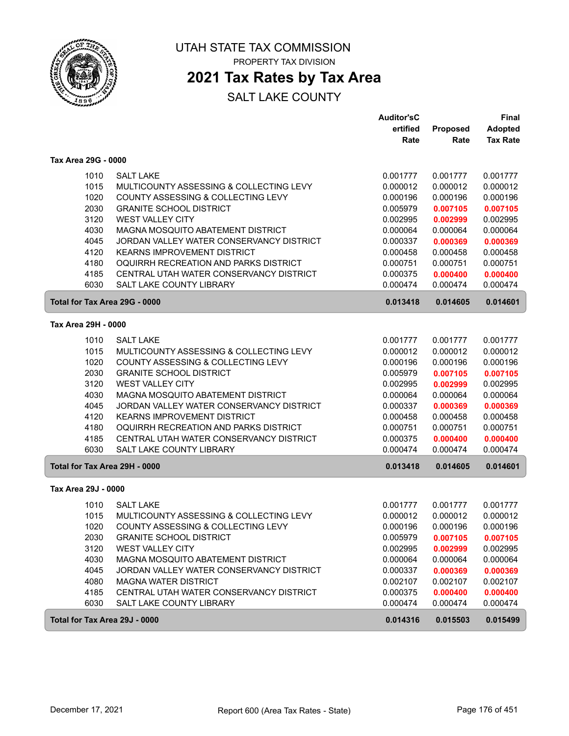

PROPERTY TAX DIVISION

## **2021 Tax Rates by Tax Area**

|                               |                                          | <b>Auditor'sC</b> |          | Final           |
|-------------------------------|------------------------------------------|-------------------|----------|-----------------|
|                               |                                          | ertified          | Proposed | <b>Adopted</b>  |
|                               |                                          | Rate              | Rate     | <b>Tax Rate</b> |
| Tax Area 29G - 0000           |                                          |                   |          |                 |
| 1010                          | <b>SALT LAKE</b>                         | 0.001777          | 0.001777 | 0.001777        |
| 1015                          | MULTICOUNTY ASSESSING & COLLECTING LEVY  | 0.000012          | 0.000012 | 0.000012        |
| 1020                          | COUNTY ASSESSING & COLLECTING LEVY       | 0.000196          | 0.000196 | 0.000196        |
| 2030                          | <b>GRANITE SCHOOL DISTRICT</b>           | 0.005979          | 0.007105 | 0.007105        |
| 3120                          | <b>WEST VALLEY CITY</b>                  | 0.002995          | 0.002999 | 0.002995        |
| 4030                          | MAGNA MOSQUITO ABATEMENT DISTRICT        | 0.000064          | 0.000064 | 0.000064        |
| 4045                          | JORDAN VALLEY WATER CONSERVANCY DISTRICT | 0.000337          | 0.000369 | 0.000369        |
| 4120                          | <b>KEARNS IMPROVEMENT DISTRICT</b>       | 0.000458          | 0.000458 | 0.000458        |
| 4180                          | OQUIRRH RECREATION AND PARKS DISTRICT    | 0.000751          | 0.000751 | 0.000751        |
| 4185                          | CENTRAL UTAH WATER CONSERVANCY DISTRICT  | 0.000375          | 0.000400 | 0.000400        |
| 6030                          | SALT LAKE COUNTY LIBRARY                 | 0.000474          | 0.000474 | 0.000474        |
| Total for Tax Area 29G - 0000 |                                          | 0.013418          | 0.014605 | 0.014601        |
| Tax Area 29H - 0000           |                                          |                   |          |                 |
| 1010                          | <b>SALT LAKE</b>                         | 0.001777          | 0.001777 | 0.001777        |
| 1015                          | MULTICOUNTY ASSESSING & COLLECTING LEVY  | 0.000012          | 0.000012 | 0.000012        |
| 1020                          | COUNTY ASSESSING & COLLECTING LEVY       | 0.000196          | 0.000196 | 0.000196        |
| 2030                          | <b>GRANITE SCHOOL DISTRICT</b>           | 0.005979          | 0.007105 | 0.007105        |
| 3120                          | WEST VALLEY CITY                         | 0.002995          | 0.002999 | 0.002995        |
| 4030                          | MAGNA MOSQUITO ABATEMENT DISTRICT        | 0.000064          | 0.000064 | 0.000064        |
| 4045                          | JORDAN VALLEY WATER CONSERVANCY DISTRICT | 0.000337          | 0.000369 | 0.000369        |
| 4120                          | <b>KEARNS IMPROVEMENT DISTRICT</b>       | 0.000458          | 0.000458 | 0.000458        |
| 4180                          | OQUIRRH RECREATION AND PARKS DISTRICT    | 0.000751          | 0.000751 | 0.000751        |
| 4185                          | CENTRAL UTAH WATER CONSERVANCY DISTRICT  | 0.000375          | 0.000400 | 0.000400        |
| 6030                          | SALT LAKE COUNTY LIBRARY                 | 0.000474          | 0.000474 | 0.000474        |
| Total for Tax Area 29H - 0000 |                                          | 0.013418          | 0.014605 | 0.014601        |
| Tax Area 29J - 0000           |                                          |                   |          |                 |
| 1010                          | <b>SALT LAKE</b>                         | 0.001777          | 0.001777 | 0.001777        |
| 1015                          | MULTICOUNTY ASSESSING & COLLECTING LEVY  | 0.000012          | 0.000012 | 0.000012        |
| 1020                          | COUNTY ASSESSING & COLLECTING LEVY       | 0.000196          | 0.000196 | 0.000196        |
| 2030                          | <b>GRANITE SCHOOL DISTRICT</b>           | 0.005979          | 0.007105 | 0.007105        |
| 3120                          | <b>WEST VALLEY CITY</b>                  | 0.002995          | 0.002999 | 0.002995        |
| 4030                          | MAGNA MOSQUITO ABATEMENT DISTRICT        | 0.000064          | 0.000064 | 0.000064        |
| 4045                          | JORDAN VALLEY WATER CONSERVANCY DISTRICT | 0.000337          | 0.000369 | 0.000369        |
| 4080                          | <b>MAGNA WATER DISTRICT</b>              | 0.002107          | 0.002107 | 0.002107        |
| 4185                          | CENTRAL UTAH WATER CONSERVANCY DISTRICT  | 0.000375          | 0.000400 | 0.000400        |
| 6030                          | SALT LAKE COUNTY LIBRARY                 | 0.000474          | 0.000474 | 0.000474        |
| Total for Tax Area 29J - 0000 |                                          | 0.014316          | 0.015503 | 0.015499        |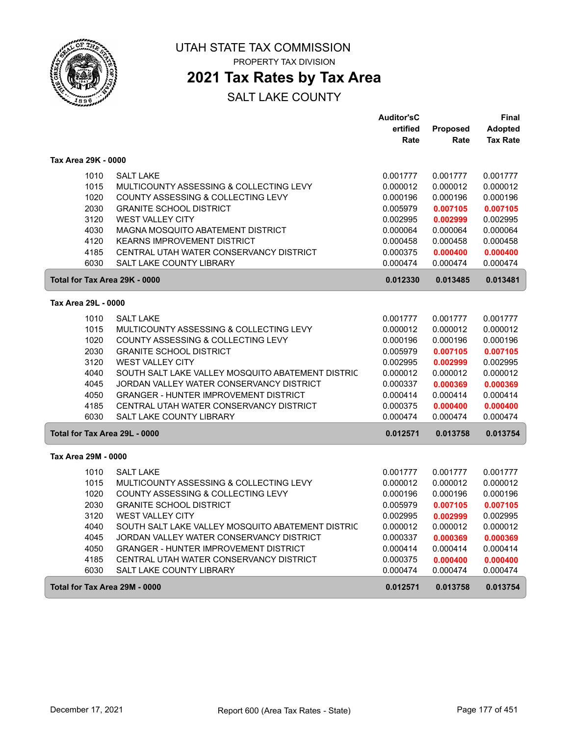

PROPERTY TAX DIVISION

### **2021 Tax Rates by Tax Area**

|                               |                                                   | <b>Auditor'sC</b> |                 | Final           |
|-------------------------------|---------------------------------------------------|-------------------|-----------------|-----------------|
|                               |                                                   | ertified          | <b>Proposed</b> | <b>Adopted</b>  |
|                               |                                                   | Rate              | Rate            | <b>Tax Rate</b> |
| Tax Area 29K - 0000           |                                                   |                   |                 |                 |
| 1010                          | <b>SALT LAKE</b>                                  | 0.001777          | 0.001777        | 0.001777        |
| 1015                          | MULTICOUNTY ASSESSING & COLLECTING LEVY           | 0.000012          | 0.000012        | 0.000012        |
| 1020                          | COUNTY ASSESSING & COLLECTING LEVY                | 0.000196          | 0.000196        | 0.000196        |
| 2030                          | <b>GRANITE SCHOOL DISTRICT</b>                    | 0.005979          | 0.007105        | 0.007105        |
| 3120                          | <b>WEST VALLEY CITY</b>                           | 0.002995          | 0.002999        | 0.002995        |
| 4030                          | MAGNA MOSQUITO ABATEMENT DISTRICT                 | 0.000064          | 0.000064        | 0.000064        |
| 4120                          | <b>KEARNS IMPROVEMENT DISTRICT</b>                | 0.000458          | 0.000458        | 0.000458        |
| 4185                          | CENTRAL UTAH WATER CONSERVANCY DISTRICT           | 0.000375          | 0.000400        | 0.000400        |
| 6030                          | <b>SALT LAKE COUNTY LIBRARY</b>                   | 0.000474          | 0.000474        | 0.000474        |
| Total for Tax Area 29K - 0000 |                                                   | 0.012330          | 0.013485        | 0.013481        |
| Tax Area 29L - 0000           |                                                   |                   |                 |                 |
|                               |                                                   |                   |                 |                 |
| 1010                          | <b>SALT LAKE</b>                                  | 0.001777          | 0.001777        | 0.001777        |
| 1015                          | MULTICOUNTY ASSESSING & COLLECTING LEVY           | 0.000012          | 0.000012        | 0.000012        |
| 1020                          | COUNTY ASSESSING & COLLECTING LEVY                | 0.000196          | 0.000196        | 0.000196        |
| 2030                          | <b>GRANITE SCHOOL DISTRICT</b>                    | 0.005979          | 0.007105        | 0.007105        |
| 3120                          | WEST VALLEY CITY                                  | 0.002995          | 0.002999        | 0.002995        |
| 4040                          | SOUTH SALT LAKE VALLEY MOSQUITO ABATEMENT DISTRIC | 0.000012          | 0.000012        | 0.000012        |
| 4045                          | JORDAN VALLEY WATER CONSERVANCY DISTRICT          | 0.000337          | 0.000369        | 0.000369        |
| 4050                          | <b>GRANGER - HUNTER IMPROVEMENT DISTRICT</b>      | 0.000414          | 0.000414        | 0.000414        |
| 4185                          | CENTRAL UTAH WATER CONSERVANCY DISTRICT           | 0.000375          | 0.000400        | 0.000400        |
| 6030                          | <b>SALT LAKE COUNTY LIBRARY</b>                   | 0.000474          | 0.000474        | 0.000474        |
| Total for Tax Area 29L - 0000 |                                                   | 0.012571          | 0.013758        | 0.013754        |
| Tax Area 29M - 0000           |                                                   |                   |                 |                 |
| 1010                          | <b>SALT LAKE</b>                                  | 0.001777          | 0.001777        | 0.001777        |
| 1015                          | MULTICOUNTY ASSESSING & COLLECTING LEVY           | 0.000012          | 0.000012        | 0.000012        |
| 1020                          | COUNTY ASSESSING & COLLECTING LEVY                | 0.000196          | 0.000196        | 0.000196        |
| 2030                          | <b>GRANITE SCHOOL DISTRICT</b>                    | 0.005979          | 0.007105        | 0.007105        |
| 3120                          | <b>WEST VALLEY CITY</b>                           | 0.002995          | 0.002999        | 0.002995        |
| 4040                          | SOUTH SALT LAKE VALLEY MOSQUITO ABATEMENT DISTRIC | 0.000012          | 0.000012        | 0.000012        |
| 4045                          | JORDAN VALLEY WATER CONSERVANCY DISTRICT          | 0.000337          | 0.000369        | 0.000369        |
| 4050                          | <b>GRANGER - HUNTER IMPROVEMENT DISTRICT</b>      | 0.000414          | 0.000414        | 0.000414        |
| 4185                          | CENTRAL UTAH WATER CONSERVANCY DISTRICT           | 0.000375          | 0.000400        | 0.000400        |
| 6030                          | <b>SALT LAKE COUNTY LIBRARY</b>                   | 0.000474          | 0.000474        | 0.000474        |
| Total for Tax Area 29M - 0000 |                                                   | 0.012571          | 0.013758        | 0.013754        |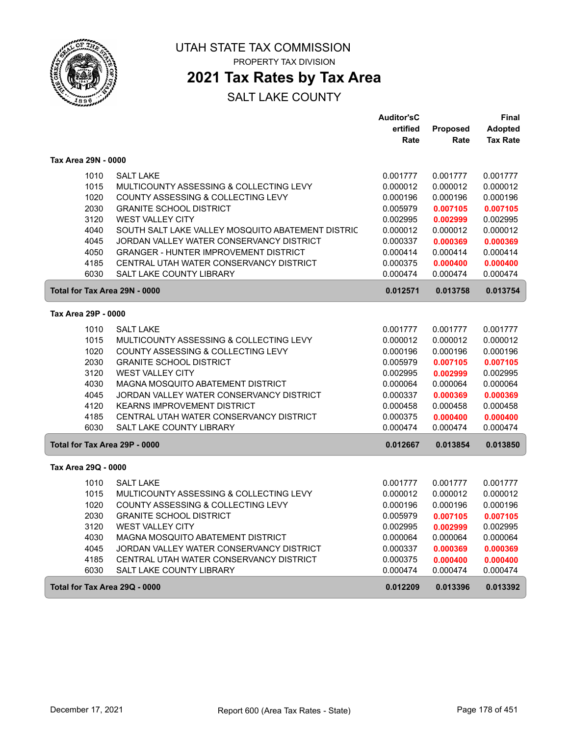

 $\sqrt{2}$ 

UTAH STATE TAX COMMISSION PROPERTY TAX DIVISION

# **2021 Tax Rates by Tax Area**

|                               |                                                                      | <b>Auditor'sC</b>    |                      | Final                |
|-------------------------------|----------------------------------------------------------------------|----------------------|----------------------|----------------------|
|                               |                                                                      | ertified             | Proposed             | <b>Adopted</b>       |
|                               |                                                                      | Rate                 | Rate                 | <b>Tax Rate</b>      |
| Tax Area 29N - 0000           |                                                                      |                      |                      |                      |
| 1010                          | <b>SALT LAKE</b>                                                     | 0.001777             | 0.001777             | 0.001777             |
| 1015                          | MULTICOUNTY ASSESSING & COLLECTING LEVY                              | 0.000012             | 0.000012             | 0.000012             |
| 1020                          | COUNTY ASSESSING & COLLECTING LEVY                                   | 0.000196             | 0.000196             | 0.000196             |
| 2030                          | <b>GRANITE SCHOOL DISTRICT</b>                                       | 0.005979             | 0.007105             | 0.007105             |
| 3120                          | <b>WEST VALLEY CITY</b>                                              | 0.002995             | 0.002999             | 0.002995             |
| 4040                          | SOUTH SALT LAKE VALLEY MOSQUITO ABATEMENT DISTRIC                    | 0.000012             | 0.000012             | 0.000012             |
| 4045                          | JORDAN VALLEY WATER CONSERVANCY DISTRICT                             | 0.000337             | 0.000369             | 0.000369             |
| 4050                          | <b>GRANGER - HUNTER IMPROVEMENT DISTRICT</b>                         | 0.000414             | 0.000414             | 0.000414             |
| 4185                          | CENTRAL UTAH WATER CONSERVANCY DISTRICT                              | 0.000375             | 0.000400             | 0.000400             |
| 6030                          | SALT LAKE COUNTY LIBRARY                                             | 0.000474             | 0.000474             | 0.000474             |
| Total for Tax Area 29N - 0000 |                                                                      | 0.012571             | 0.013758             | 0.013754             |
| Tax Area 29P - 0000           |                                                                      |                      |                      |                      |
|                               |                                                                      |                      |                      |                      |
| 1010<br>1015                  | <b>SALT LAKE</b>                                                     | 0.001777             | 0.001777             | 0.001777             |
|                               | MULTICOUNTY ASSESSING & COLLECTING LEVY                              | 0.000012             | 0.000012             | 0.000012             |
| 1020<br>2030                  | COUNTY ASSESSING & COLLECTING LEVY<br><b>GRANITE SCHOOL DISTRICT</b> | 0.000196             | 0.000196             | 0.000196             |
| 3120                          | WEST VALLEY CITY                                                     | 0.005979<br>0.002995 | 0.007105             | 0.007105<br>0.002995 |
| 4030                          | MAGNA MOSQUITO ABATEMENT DISTRICT                                    | 0.000064             | 0.002999<br>0.000064 | 0.000064             |
| 4045                          | JORDAN VALLEY WATER CONSERVANCY DISTRICT                             | 0.000337             | 0.000369             | 0.000369             |
| 4120                          | <b>KEARNS IMPROVEMENT DISTRICT</b>                                   | 0.000458             | 0.000458             | 0.000458             |
| 4185                          | CENTRAL UTAH WATER CONSERVANCY DISTRICT                              | 0.000375             | 0.000400             | 0.000400             |
| 6030                          | <b>SALT LAKE COUNTY LIBRARY</b>                                      | 0.000474             | 0.000474             | 0.000474             |
|                               |                                                                      |                      |                      |                      |
| Total for Tax Area 29P - 0000 |                                                                      | 0.012667             | 0.013854             | 0.013850             |
| Tax Area 29Q - 0000           |                                                                      |                      |                      |                      |
| 1010                          | <b>SALT LAKE</b>                                                     | 0.001777             | 0.001777             | 0.001777             |
| 1015                          | MULTICOUNTY ASSESSING & COLLECTING LEVY                              | 0.000012             | 0.000012             | 0.000012             |
| 1020                          | COUNTY ASSESSING & COLLECTING LEVY                                   | 0.000196             | 0.000196             | 0.000196             |
| 2030                          | <b>GRANITE SCHOOL DISTRICT</b>                                       | 0.005979             | 0.007105             | 0.007105             |
| 3120                          | <b>WEST VALLEY CITY</b>                                              | 0.002995             | 0.002999             | 0.002995             |
| 4030                          | MAGNA MOSQUITO ABATEMENT DISTRICT                                    | 0.000064             | 0.000064             | 0.000064             |
| 4045                          | JORDAN VALLEY WATER CONSERVANCY DISTRICT                             | 0.000337             | 0.000369             | 0.000369             |
| 4185                          | CENTRAL UTAH WATER CONSERVANCY DISTRICT                              | 0.000375             | 0.000400             | 0.000400             |
| 6030                          | SALT LAKE COUNTY LIBRARY                                             | 0.000474             | 0.000474             | 0.000474             |
| Total for Tax Area 29Q - 0000 |                                                                      | 0.012209             | 0.013396             | 0.013392             |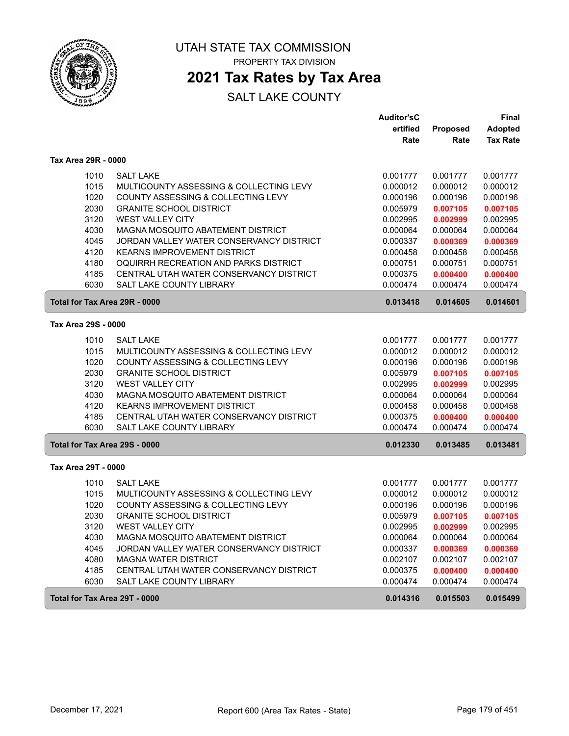

## **2021 Tax Rates by Tax Area**

|                               |                                          | <b>Auditor'sC</b> |          | <b>Final</b>    |
|-------------------------------|------------------------------------------|-------------------|----------|-----------------|
|                               |                                          | ertified          | Proposed | <b>Adopted</b>  |
|                               |                                          | Rate              | Rate     | <b>Tax Rate</b> |
| Tax Area 29R - 0000           |                                          |                   |          |                 |
| 1010                          | <b>SALT LAKE</b>                         | 0.001777          | 0.001777 | 0.001777        |
| 1015                          | MULTICOUNTY ASSESSING & COLLECTING LEVY  | 0.000012          | 0.000012 | 0.000012        |
| 1020                          | COUNTY ASSESSING & COLLECTING LEVY       | 0.000196          | 0.000196 | 0.000196        |
| 2030                          | <b>GRANITE SCHOOL DISTRICT</b>           | 0.005979          | 0.007105 | 0.007105        |
| 3120                          | <b>WEST VALLEY CITY</b>                  | 0.002995          | 0.002999 | 0.002995        |
| 4030                          | MAGNA MOSQUITO ABATEMENT DISTRICT        | 0.000064          | 0.000064 | 0.000064        |
| 4045                          | JORDAN VALLEY WATER CONSERVANCY DISTRICT | 0.000337          | 0.000369 | 0.000369        |
| 4120                          | <b>KEARNS IMPROVEMENT DISTRICT</b>       | 0.000458          | 0.000458 | 0.000458        |
| 4180                          | OQUIRRH RECREATION AND PARKS DISTRICT    | 0.000751          | 0.000751 | 0.000751        |
| 4185                          | CENTRAL UTAH WATER CONSERVANCY DISTRICT  | 0.000375          | 0.000400 | 0.000400        |
| 6030                          | <b>SALT LAKE COUNTY LIBRARY</b>          | 0.000474          | 0.000474 | 0.000474        |
| Total for Tax Area 29R - 0000 |                                          | 0.013418          | 0.014605 | 0.014601        |
| Tax Area 29S - 0000           |                                          |                   |          |                 |
| 1010                          | <b>SALT LAKE</b>                         | 0.001777          | 0.001777 | 0.001777        |
| 1015                          | MULTICOUNTY ASSESSING & COLLECTING LEVY  | 0.000012          | 0.000012 | 0.000012        |
| 1020                          | COUNTY ASSESSING & COLLECTING LEVY       | 0.000196          | 0.000196 | 0.000196        |
| 2030                          | <b>GRANITE SCHOOL DISTRICT</b>           | 0.005979          | 0.007105 | 0.007105        |
| 3120                          | <b>WEST VALLEY CITY</b>                  | 0.002995          | 0.002999 | 0.002995        |
| 4030                          | MAGNA MOSQUITO ABATEMENT DISTRICT        | 0.000064          | 0.000064 | 0.000064        |
| 4120                          | <b>KEARNS IMPROVEMENT DISTRICT</b>       | 0.000458          | 0.000458 | 0.000458        |
| 4185                          | CENTRAL UTAH WATER CONSERVANCY DISTRICT  | 0.000375          | 0.000400 | 0.000400        |
| 6030                          | SALT LAKE COUNTY LIBRARY                 | 0.000474          | 0.000474 | 0.000474        |
| Total for Tax Area 29S - 0000 |                                          | 0.012330          | 0.013485 | 0.013481        |
| Tax Area 29T - 0000           |                                          |                   |          |                 |
| 1010                          | <b>SALT LAKE</b>                         | 0.001777          | 0.001777 | 0.001777        |
| 1015                          | MULTICOUNTY ASSESSING & COLLECTING LEVY  | 0.000012          | 0.000012 | 0.000012        |
| 1020                          | COUNTY ASSESSING & COLLECTING LEVY       | 0.000196          | 0.000196 | 0.000196        |
| 2030                          | <b>GRANITE SCHOOL DISTRICT</b>           | 0.005979          | 0.007105 | 0.007105        |
| 3120                          | <b>WEST VALLEY CITY</b>                  | 0.002995          | 0.002999 | 0.002995        |
| 4030                          | MAGNA MOSQUITO ABATEMENT DISTRICT        | 0.000064          | 0.000064 | 0.000064        |
| 4045                          | JORDAN VALLEY WATER CONSERVANCY DISTRICT | 0.000337          | 0.000369 | 0.000369        |
| 4080                          | <b>MAGNA WATER DISTRICT</b>              | 0.002107          | 0.002107 | 0.002107        |
| 4185                          | CENTRAL UTAH WATER CONSERVANCY DISTRICT  | 0.000375          | 0.000400 | 0.000400        |
| 6030                          | SALT LAKE COUNTY LIBRARY                 | 0.000474          | 0.000474 | 0.000474        |
| Total for Tax Area 29T - 0000 |                                          | 0.014316          | 0.015503 | 0.015499        |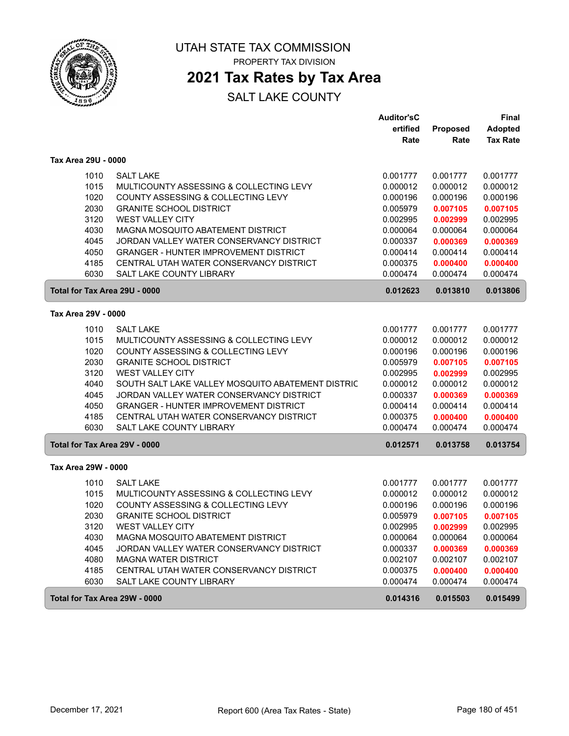

## **2021 Tax Rates by Tax Area**

|                               |                                                   | <b>Auditor'sC</b> |          | <b>Final</b>    |
|-------------------------------|---------------------------------------------------|-------------------|----------|-----------------|
|                               |                                                   | ertified          | Proposed | <b>Adopted</b>  |
|                               |                                                   | Rate              | Rate     | <b>Tax Rate</b> |
| Tax Area 29U - 0000           |                                                   |                   |          |                 |
| 1010                          | <b>SALT LAKE</b>                                  | 0.001777          | 0.001777 | 0.001777        |
| 1015                          | MULTICOUNTY ASSESSING & COLLECTING LEVY           | 0.000012          | 0.000012 | 0.000012        |
| 1020                          | COUNTY ASSESSING & COLLECTING LEVY                | 0.000196          | 0.000196 | 0.000196        |
| 2030                          | <b>GRANITE SCHOOL DISTRICT</b>                    | 0.005979          | 0.007105 | 0.007105        |
| 3120                          | <b>WEST VALLEY CITY</b>                           | 0.002995          | 0.002999 | 0.002995        |
| 4030                          | MAGNA MOSQUITO ABATEMENT DISTRICT                 | 0.000064          | 0.000064 | 0.000064        |
| 4045                          | JORDAN VALLEY WATER CONSERVANCY DISTRICT          | 0.000337          | 0.000369 | 0.000369        |
| 4050                          | <b>GRANGER - HUNTER IMPROVEMENT DISTRICT</b>      | 0.000414          | 0.000414 | 0.000414        |
| 4185                          | CENTRAL UTAH WATER CONSERVANCY DISTRICT           | 0.000375          | 0.000400 | 0.000400        |
| 6030                          | <b>SALT LAKE COUNTY LIBRARY</b>                   | 0.000474          | 0.000474 | 0.000474        |
| Total for Tax Area 29U - 0000 |                                                   | 0.012623          | 0.013810 | 0.013806        |
| Tax Area 29V - 0000           |                                                   |                   |          |                 |
| 1010                          | <b>SALT LAKE</b>                                  | 0.001777          | 0.001777 | 0.001777        |
| 1015                          | MULTICOUNTY ASSESSING & COLLECTING LEVY           | 0.000012          | 0.000012 | 0.000012        |
| 1020                          | COUNTY ASSESSING & COLLECTING LEVY                | 0.000196          | 0.000196 | 0.000196        |
| 2030                          | <b>GRANITE SCHOOL DISTRICT</b>                    | 0.005979          | 0.007105 | 0.007105        |
| 3120                          | <b>WEST VALLEY CITY</b>                           | 0.002995          | 0.002999 | 0.002995        |
| 4040                          | SOUTH SALT LAKE VALLEY MOSQUITO ABATEMENT DISTRIC | 0.000012          | 0.000012 | 0.000012        |
| 4045                          | JORDAN VALLEY WATER CONSERVANCY DISTRICT          | 0.000337          | 0.000369 | 0.000369        |
| 4050                          | <b>GRANGER - HUNTER IMPROVEMENT DISTRICT</b>      | 0.000414          | 0.000414 | 0.000414        |
| 4185                          | CENTRAL UTAH WATER CONSERVANCY DISTRICT           | 0.000375          | 0.000400 | 0.000400        |
| 6030                          | <b>SALT LAKE COUNTY LIBRARY</b>                   | 0.000474          | 0.000474 | 0.000474        |
| Total for Tax Area 29V - 0000 |                                                   | 0.012571          | 0.013758 | 0.013754        |
| Tax Area 29W - 0000           |                                                   |                   |          |                 |
| 1010                          | <b>SALT LAKE</b>                                  | 0.001777          | 0.001777 | 0.001777        |
| 1015                          | MULTICOUNTY ASSESSING & COLLECTING LEVY           | 0.000012          | 0.000012 | 0.000012        |
| 1020                          | COUNTY ASSESSING & COLLECTING LEVY                | 0.000196          | 0.000196 | 0.000196        |
| 2030                          | <b>GRANITE SCHOOL DISTRICT</b>                    | 0.005979          | 0.007105 | 0.007105        |
| 3120                          | <b>WEST VALLEY CITY</b>                           | 0.002995          | 0.002999 | 0.002995        |
| 4030                          | MAGNA MOSQUITO ABATEMENT DISTRICT                 | 0.000064          | 0.000064 | 0.000064        |
| 4045                          | JORDAN VALLEY WATER CONSERVANCY DISTRICT          | 0.000337          | 0.000369 | 0.000369        |
| 4080                          | <b>MAGNA WATER DISTRICT</b>                       | 0.002107          | 0.002107 | 0.002107        |
| 4185                          | CENTRAL UTAH WATER CONSERVANCY DISTRICT           | 0.000375          | 0.000400 | 0.000400        |
| 6030                          | SALT LAKE COUNTY LIBRARY                          | 0.000474          | 0.000474 | 0.000474        |
| Total for Tax Area 29W - 0000 |                                                   | 0.014316          | 0.015503 | 0.015499        |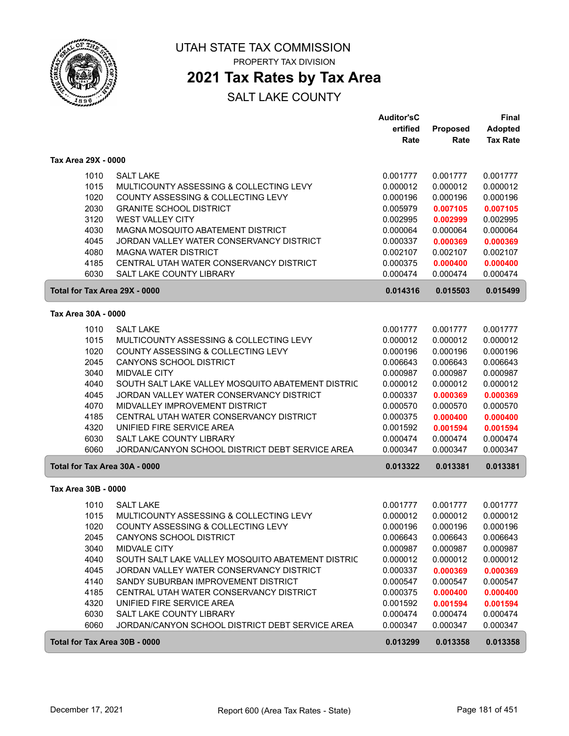

UTAH STATE TAX COMMISSION

PROPERTY TAX DIVISION

### **2021 Tax Rates by Tax Area**

|                               |                                                                                | <b>Auditor'sC</b>    |                      | <b>Final</b>         |
|-------------------------------|--------------------------------------------------------------------------------|----------------------|----------------------|----------------------|
|                               |                                                                                | ertified             | <b>Proposed</b>      | <b>Adopted</b>       |
|                               |                                                                                | Rate                 | Rate                 | <b>Tax Rate</b>      |
| Tax Area 29X - 0000           |                                                                                |                      |                      |                      |
| 1010                          | <b>SALT LAKE</b>                                                               | 0.001777             | 0.001777             | 0.001777             |
| 1015                          | MULTICOUNTY ASSESSING & COLLECTING LEVY                                        | 0.000012             | 0.000012             | 0.000012             |
| 1020                          | COUNTY ASSESSING & COLLECTING LEVY                                             | 0.000196             | 0.000196             | 0.000196             |
| 2030                          | <b>GRANITE SCHOOL DISTRICT</b>                                                 | 0.005979             | 0.007105             | 0.007105             |
| 3120                          | <b>WEST VALLEY CITY</b>                                                        | 0.002995             | 0.002999             | 0.002995             |
| 4030                          | MAGNA MOSQUITO ABATEMENT DISTRICT                                              | 0.000064             | 0.000064             | 0.000064             |
| 4045                          | JORDAN VALLEY WATER CONSERVANCY DISTRICT                                       | 0.000337             | 0.000369             | 0.000369             |
| 4080                          | <b>MAGNA WATER DISTRICT</b>                                                    | 0.002107             | 0.002107             | 0.002107             |
| 4185                          | CENTRAL UTAH WATER CONSERVANCY DISTRICT                                        | 0.000375             | 0.000400             | 0.000400             |
| 6030                          | <b>SALT LAKE COUNTY LIBRARY</b>                                                | 0.000474             | 0.000474             | 0.000474             |
| Total for Tax Area 29X - 0000 |                                                                                | 0.014316             | 0.015503             | 0.015499             |
| Tax Area 30A - 0000           |                                                                                |                      |                      |                      |
| 1010                          | <b>SALT LAKE</b>                                                               | 0.001777             | 0.001777             | 0.001777             |
| 1015                          | MULTICOUNTY ASSESSING & COLLECTING LEVY                                        | 0.000012             | 0.000012             | 0.000012             |
| 1020                          | COUNTY ASSESSING & COLLECTING LEVY                                             | 0.000196             | 0.000196             | 0.000196             |
| 2045                          | <b>CANYONS SCHOOL DISTRICT</b>                                                 | 0.006643             | 0.006643             | 0.006643             |
| 3040                          | <b>MIDVALE CITY</b>                                                            | 0.000987             | 0.000987             | 0.000987             |
| 4040                          | SOUTH SALT LAKE VALLEY MOSQUITO ABATEMENT DISTRIC                              | 0.000012             | 0.000012             | 0.000012             |
| 4045                          | JORDAN VALLEY WATER CONSERVANCY DISTRICT                                       | 0.000337             | 0.000369             | 0.000369             |
| 4070                          | MIDVALLEY IMPROVEMENT DISTRICT                                                 | 0.000570             | 0.000570             | 0.000570             |
| 4185                          | CENTRAL UTAH WATER CONSERVANCY DISTRICT                                        | 0.000375             | 0.000400             | 0.000400             |
| 4320                          | UNIFIED FIRE SERVICE AREA                                                      | 0.001592             | 0.001594             | 0.001594             |
| 6030                          | SALT LAKE COUNTY LIBRARY                                                       | 0.000474             | 0.000474             | 0.000474             |
| 6060                          | JORDAN/CANYON SCHOOL DISTRICT DEBT SERVICE AREA                                | 0.000347             | 0.000347             | 0.000347             |
| Total for Tax Area 30A - 0000 |                                                                                | 0.013322             | 0.013381             | 0.013381             |
| Tax Area 30B - 0000           |                                                                                |                      |                      |                      |
|                               |                                                                                |                      |                      |                      |
| 1010                          | <b>SALT LAKE</b>                                                               | 0.001777             | 0.001777             | 0.001777             |
| 1015                          | MULTICOUNTY ASSESSING & COLLECTING LEVY<br>COUNTY ASSESSING & COLLECTING LEVY  | 0.000012             | 0.000012             | 0.000012             |
| 1020                          |                                                                                | 0.000196             | 0.000196             | 0.000196             |
| 2045<br>3040                  | CANYONS SCHOOL DISTRICT<br>MIDVALE CITY                                        | 0.006643             | 0.006643<br>0.000987 | 0.006643             |
| 4040                          | SOUTH SALT LAKE VALLEY MOSQUITO ABATEMENT DISTRIC                              | 0.000987             |                      | 0.000987             |
|                               |                                                                                | 0.000012             | 0.000012             | 0.000012             |
| 4045                          | JORDAN VALLEY WATER CONSERVANCY DISTRICT                                       | 0.000337             | 0.000369             | 0.000369             |
| 4140<br>4185                  | SANDY SUBURBAN IMPROVEMENT DISTRICT<br>CENTRAL UTAH WATER CONSERVANCY DISTRICT | 0.000547             | 0.000547             | 0.000547             |
|                               | UNIFIED FIRE SERVICE AREA                                                      | 0.000375             | 0.000400             | 0.000400             |
| 4320                          |                                                                                | 0.001592             | 0.001594             | 0.001594             |
| 6030<br>6060                  | SALT LAKE COUNTY LIBRARY<br>JORDAN/CANYON SCHOOL DISTRICT DEBT SERVICE AREA    | 0.000474<br>0.000347 | 0.000474<br>0.000347 | 0.000474<br>0.000347 |
|                               |                                                                                |                      |                      |                      |
| Total for Tax Area 30B - 0000 |                                                                                | 0.013299             | 0.013358             | 0.013358             |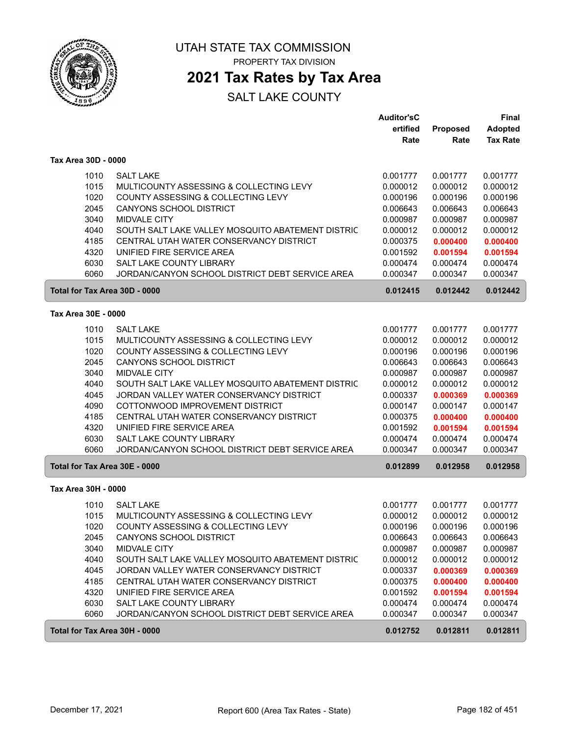

UTAH STATE TAX COMMISSION

PROPERTY TAX DIVISION

### **2021 Tax Rates by Tax Area**

|                     |                                                                                              | <b>Auditor'sC</b><br>ertified | Proposed             | <b>Final</b><br><b>Adopted</b> |
|---------------------|----------------------------------------------------------------------------------------------|-------------------------------|----------------------|--------------------------------|
|                     |                                                                                              | Rate                          | Rate                 | <b>Tax Rate</b>                |
| Tax Area 30D - 0000 |                                                                                              |                               |                      |                                |
| 1010                | <b>SALT LAKE</b>                                                                             | 0.001777                      | 0.001777             | 0.001777                       |
| 1015                | MULTICOUNTY ASSESSING & COLLECTING LEVY                                                      | 0.000012                      | 0.000012             | 0.000012                       |
| 1020                | COUNTY ASSESSING & COLLECTING LEVY                                                           | 0.000196                      | 0.000196             | 0.000196                       |
| 2045                | <b>CANYONS SCHOOL DISTRICT</b>                                                               | 0.006643                      | 0.006643             | 0.006643                       |
| 3040                | MIDVALE CITY                                                                                 | 0.000987                      | 0.000987             | 0.000987                       |
| 4040<br>4185        | SOUTH SALT LAKE VALLEY MOSQUITO ABATEMENT DISTRIC<br>CENTRAL UTAH WATER CONSERVANCY DISTRICT | 0.000012<br>0.000375          | 0.000012             | 0.000012                       |
| 4320                | UNIFIED FIRE SERVICE AREA                                                                    | 0.001592                      | 0.000400<br>0.001594 | 0.000400<br>0.001594           |
| 6030                | <b>SALT LAKE COUNTY LIBRARY</b>                                                              | 0.000474                      | 0.000474             | 0.000474                       |
| 6060                | JORDAN/CANYON SCHOOL DISTRICT DEBT SERVICE AREA                                              | 0.000347                      | 0.000347             | 0.000347                       |
|                     | Total for Tax Area 30D - 0000                                                                | 0.012415                      | 0.012442             | 0.012442                       |
| Tax Area 30E - 0000 |                                                                                              |                               |                      |                                |
| 1010                | <b>SALT LAKE</b>                                                                             | 0.001777                      | 0.001777             | 0.001777                       |
| 1015                | MULTICOUNTY ASSESSING & COLLECTING LEVY                                                      | 0.000012                      | 0.000012             | 0.000012                       |
| 1020                | COUNTY ASSESSING & COLLECTING LEVY                                                           | 0.000196                      | 0.000196             | 0.000196                       |
| 2045                | <b>CANYONS SCHOOL DISTRICT</b>                                                               | 0.006643                      | 0.006643             | 0.006643                       |
| 3040                | <b>MIDVALE CITY</b>                                                                          | 0.000987                      | 0.000987             | 0.000987                       |
| 4040                | SOUTH SALT LAKE VALLEY MOSQUITO ABATEMENT DISTRIC                                            | 0.000012                      | 0.000012             | 0.000012                       |
| 4045<br>4090        | JORDAN VALLEY WATER CONSERVANCY DISTRICT<br>COTTONWOOD IMPROVEMENT DISTRICT                  | 0.000337                      | 0.000369             | 0.000369                       |
| 4185                | CENTRAL UTAH WATER CONSERVANCY DISTRICT                                                      | 0.000147<br>0.000375          | 0.000147<br>0.000400 | 0.000147<br>0.000400           |
| 4320                | UNIFIED FIRE SERVICE AREA                                                                    | 0.001592                      | 0.001594             | 0.001594                       |
| 6030                | SALT LAKE COUNTY LIBRARY                                                                     | 0.000474                      | 0.000474             | 0.000474                       |
| 6060                | JORDAN/CANYON SCHOOL DISTRICT DEBT SERVICE AREA                                              | 0.000347                      | 0.000347             | 0.000347                       |
|                     | Total for Tax Area 30E - 0000                                                                | 0.012899                      | 0.012958             | 0.012958                       |
| Tax Area 30H - 0000 |                                                                                              |                               |                      |                                |
| 1010                | <b>SALT LAKE</b>                                                                             | 0.001777                      | 0.001777             | 0.001777                       |
| 1015                | MULTICOUNTY ASSESSING & COLLECTING LEVY                                                      | 0.000012                      | 0.000012             | 0.000012                       |
| 1020                | COUNTY ASSESSING & COLLECTING LEVY                                                           | 0.000196                      | 0.000196             | 0.000196                       |
| 2045                | CANYONS SCHOOL DISTRICT                                                                      | 0.006643                      | 0.006643             | 0.006643                       |
| 3040                | MIDVALE CITY<br>SOUTH SALT LAKE VALLEY MOSQUITO ABATEMENT DISTRIC                            | 0.000987                      | 0.000987             | 0.000987                       |
| 4040<br>4045        | JORDAN VALLEY WATER CONSERVANCY DISTRICT                                                     | 0.000012<br>0.000337          | 0.000012<br>0.000369 | 0.000012<br>0.000369           |
| 4185                | CENTRAL UTAH WATER CONSERVANCY DISTRICT                                                      | 0.000375                      | 0.000400             | 0.000400                       |
| 4320                | UNIFIED FIRE SERVICE AREA                                                                    | 0.001592                      | 0.001594             | 0.001594                       |
| 6030                | SALT LAKE COUNTY LIBRARY                                                                     | 0.000474                      | 0.000474             | 0.000474                       |
| 6060                | JORDAN/CANYON SCHOOL DISTRICT DEBT SERVICE AREA                                              | 0.000347                      | 0.000347             | 0.000347                       |
|                     | Total for Tax Area 30H - 0000                                                                | 0.012752                      | 0.012811             | 0.012811                       |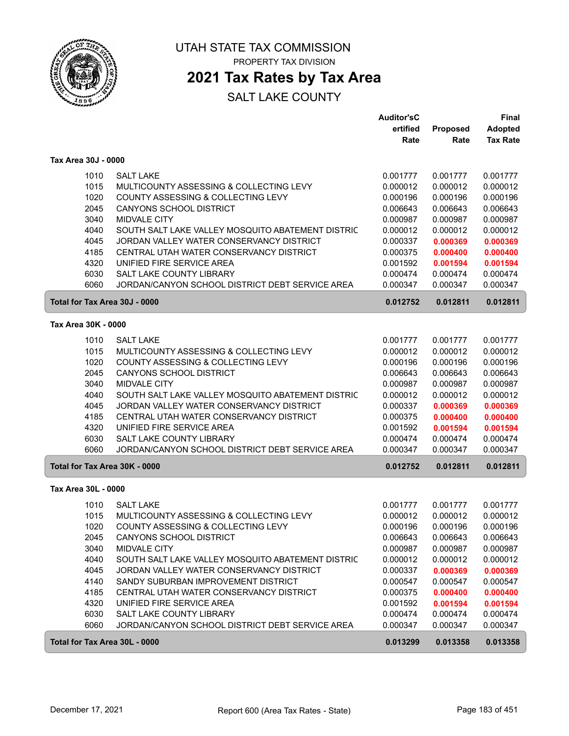

### **2021 Tax Rates by Tax Area**

|                               |                                                   | <b>Auditor'sC</b> |          | Final           |
|-------------------------------|---------------------------------------------------|-------------------|----------|-----------------|
|                               |                                                   | ertified          | Proposed | <b>Adopted</b>  |
|                               |                                                   | Rate              | Rate     | <b>Tax Rate</b> |
| Tax Area 30J - 0000           |                                                   |                   |          |                 |
| 1010                          | <b>SALT LAKE</b>                                  | 0.001777          | 0.001777 | 0.001777        |
| 1015                          | MULTICOUNTY ASSESSING & COLLECTING LEVY           | 0.000012          | 0.000012 | 0.000012        |
| 1020                          | <b>COUNTY ASSESSING &amp; COLLECTING LEVY</b>     | 0.000196          | 0.000196 | 0.000196        |
| 2045                          | CANYONS SCHOOL DISTRICT                           | 0.006643          | 0.006643 | 0.006643        |
| 3040                          | <b>MIDVALE CITY</b>                               | 0.000987          | 0.000987 | 0.000987        |
| 4040                          | SOUTH SALT LAKE VALLEY MOSQUITO ABATEMENT DISTRIC | 0.000012          | 0.000012 | 0.000012        |
| 4045                          | JORDAN VALLEY WATER CONSERVANCY DISTRICT          | 0.000337          | 0.000369 | 0.000369        |
| 4185                          | CENTRAL UTAH WATER CONSERVANCY DISTRICT           | 0.000375          | 0.000400 | 0.000400        |
| 4320                          | UNIFIED FIRE SERVICE AREA                         | 0.001592          | 0.001594 | 0.001594        |
| 6030                          | SALT LAKE COUNTY LIBRARY                          | 0.000474          | 0.000474 | 0.000474        |
| 6060                          | JORDAN/CANYON SCHOOL DISTRICT DEBT SERVICE AREA   | 0.000347          | 0.000347 | 0.000347        |
| Total for Tax Area 30J - 0000 |                                                   | 0.012752          | 0.012811 | 0.012811        |
| Tax Area 30K - 0000           |                                                   |                   |          |                 |
| 1010                          | <b>SALT LAKE</b>                                  | 0.001777          | 0.001777 | 0.001777        |
| 1015                          | MULTICOUNTY ASSESSING & COLLECTING LEVY           | 0.000012          | 0.000012 | 0.000012        |
| 1020                          | COUNTY ASSESSING & COLLECTING LEVY                | 0.000196          | 0.000196 | 0.000196        |
| 2045                          | CANYONS SCHOOL DISTRICT                           | 0.006643          | 0.006643 | 0.006643        |
| 3040                          | MIDVALE CITY                                      | 0.000987          | 0.000987 | 0.000987        |
| 4040                          | SOUTH SALT LAKE VALLEY MOSQUITO ABATEMENT DISTRIC | 0.000012          | 0.000012 | 0.000012        |
| 4045                          | JORDAN VALLEY WATER CONSERVANCY DISTRICT          | 0.000337          | 0.000369 | 0.000369        |
| 4185                          | CENTRAL UTAH WATER CONSERVANCY DISTRICT           | 0.000375          | 0.000400 | 0.000400        |
| 4320                          | UNIFIED FIRE SERVICE AREA                         | 0.001592          | 0.001594 | 0.001594        |
| 6030                          | SALT LAKE COUNTY LIBRARY                          | 0.000474          | 0.000474 | 0.000474        |
| 6060                          | JORDAN/CANYON SCHOOL DISTRICT DEBT SERVICE AREA   | 0.000347          | 0.000347 | 0.000347        |
| Total for Tax Area 30K - 0000 |                                                   | 0.012752          | 0.012811 | 0.012811        |
|                               |                                                   |                   |          |                 |
| Tax Area 30L - 0000           |                                                   |                   |          |                 |
| 1010                          | <b>SALT LAKE</b>                                  | 0.001777          | 0.001777 | 0.001777        |
| 1015                          | MULTICOUNTY ASSESSING & COLLECTING LEVY           | 0.000012          | 0.000012 | 0.000012        |
| 1020                          | COUNTY ASSESSING & COLLECTING LEVY                | 0.000196          | 0.000196 | 0.000196        |
| 2045                          | CANYONS SCHOOL DISTRICT                           | 0.006643          | 0.006643 | 0.006643        |
| 3040                          | MIDVALE CITY                                      | 0.000987          | 0.000987 | 0.000987        |
| 4040                          | SOUTH SALT LAKE VALLEY MOSQUITO ABATEMENT DISTRIC | 0.000012          | 0.000012 | 0.000012        |
| 4045                          | JORDAN VALLEY WATER CONSERVANCY DISTRICT          | 0.000337          | 0.000369 | 0.000369        |
| 4140                          | SANDY SUBURBAN IMPROVEMENT DISTRICT               | 0.000547          | 0.000547 | 0.000547        |
| 4185                          | CENTRAL UTAH WATER CONSERVANCY DISTRICT           | 0.000375          | 0.000400 | 0.000400        |
| 4320                          | UNIFIED FIRE SERVICE AREA                         | 0.001592          | 0.001594 | 0.001594        |
| 6030                          | SALT LAKE COUNTY LIBRARY                          | 0.000474          | 0.000474 | 0.000474        |
| 6060                          | JORDAN/CANYON SCHOOL DISTRICT DEBT SERVICE AREA   | 0.000347          | 0.000347 | 0.000347        |
| Total for Tax Area 30L - 0000 |                                                   | 0.013299          | 0.013358 | 0.013358        |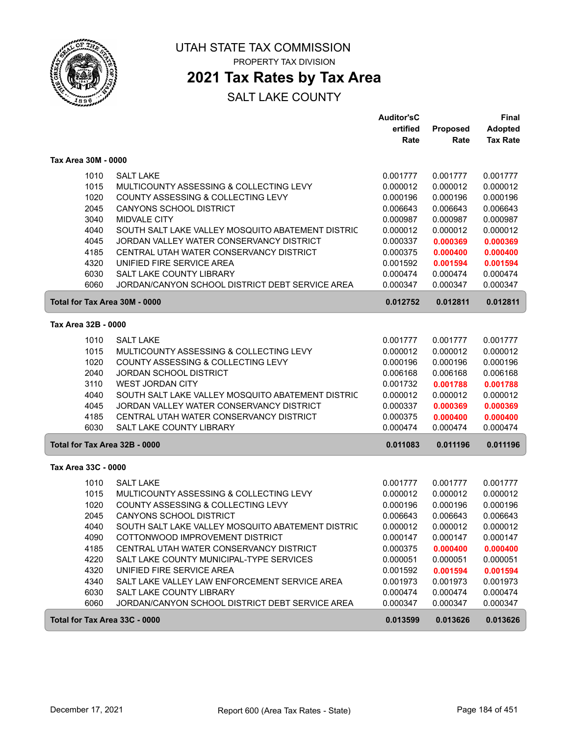

### **2021 Tax Rates by Tax Area**

|                     |                                                   | <b>Auditor'sC</b><br>ertified | Proposed | <b>Final</b><br><b>Adopted</b> |
|---------------------|---------------------------------------------------|-------------------------------|----------|--------------------------------|
|                     |                                                   | Rate                          | Rate     | <b>Tax Rate</b>                |
| Tax Area 30M - 0000 |                                                   |                               |          |                                |
| 1010                | <b>SALT LAKE</b>                                  | 0.001777                      | 0.001777 | 0.001777                       |
| 1015                | MULTICOUNTY ASSESSING & COLLECTING LEVY           | 0.000012                      | 0.000012 | 0.000012                       |
| 1020                | COUNTY ASSESSING & COLLECTING LEVY                | 0.000196                      | 0.000196 | 0.000196                       |
| 2045                | <b>CANYONS SCHOOL DISTRICT</b>                    | 0.006643                      | 0.006643 | 0.006643                       |
| 3040                | MIDVALE CITY                                      | 0.000987                      | 0.000987 | 0.000987                       |
| 4040                | SOUTH SALT LAKE VALLEY MOSQUITO ABATEMENT DISTRIC | 0.000012                      | 0.000012 | 0.000012                       |
| 4045                | JORDAN VALLEY WATER CONSERVANCY DISTRICT          | 0.000337                      | 0.000369 | 0.000369                       |
| 4185                | CENTRAL UTAH WATER CONSERVANCY DISTRICT           | 0.000375                      | 0.000400 | 0.000400                       |
| 4320                | UNIFIED FIRE SERVICE AREA                         | 0.001592                      | 0.001594 | 0.001594                       |
| 6030                | SALT LAKE COUNTY LIBRARY                          | 0.000474                      | 0.000474 | 0.000474                       |
| 6060                | JORDAN/CANYON SCHOOL DISTRICT DEBT SERVICE AREA   | 0.000347                      | 0.000347 | 0.000347                       |
|                     | Total for Tax Area 30M - 0000                     | 0.012752                      | 0.012811 | 0.012811                       |
| Tax Area 32B - 0000 |                                                   |                               |          |                                |
| 1010                | <b>SALT LAKE</b>                                  | 0.001777                      | 0.001777 | 0.001777                       |
| 1015                | MULTICOUNTY ASSESSING & COLLECTING LEVY           | 0.000012                      | 0.000012 | 0.000012                       |
| 1020                | COUNTY ASSESSING & COLLECTING LEVY                | 0.000196                      | 0.000196 | 0.000196                       |
| 2040                | <b>JORDAN SCHOOL DISTRICT</b>                     | 0.006168                      | 0.006168 | 0.006168                       |
| 3110                | <b>WEST JORDAN CITY</b>                           | 0.001732                      | 0.001788 | 0.001788                       |
| 4040                | SOUTH SALT LAKE VALLEY MOSQUITO ABATEMENT DISTRIC | 0.000012                      | 0.000012 | 0.000012                       |
| 4045                | JORDAN VALLEY WATER CONSERVANCY DISTRICT          | 0.000337                      | 0.000369 | 0.000369                       |
| 4185                | CENTRAL UTAH WATER CONSERVANCY DISTRICT           | 0.000375                      | 0.000400 | 0.000400                       |
| 6030                | SALT LAKE COUNTY LIBRARY                          | 0.000474                      | 0.000474 | 0.000474                       |
|                     | Total for Tax Area 32B - 0000                     | 0.011083                      | 0.011196 | 0.011196                       |
| Tax Area 33C - 0000 |                                                   |                               |          |                                |
| 1010                | <b>SALT LAKE</b>                                  | 0.001777                      | 0.001777 | 0.001777                       |
| 1015                | MULTICOUNTY ASSESSING & COLLECTING LEVY           | 0.000012                      | 0.000012 | 0.000012                       |
| 1020                | COUNTY ASSESSING & COLLECTING LEVY                | 0.000196                      | 0.000196 | 0.000196                       |
| 2045                | CANYONS SCHOOL DISTRICT                           | 0.006643                      | 0.006643 | 0.006643                       |
| 4040                | SOUTH SALT LAKE VALLEY MOSQUITO ABATEMENT DISTRIC | 0.000012                      | 0.000012 | 0.000012                       |
| 4090                | COTTONWOOD IMPROVEMENT DISTRICT                   | 0.000147                      | 0.000147 | 0.000147                       |
| 4185                | CENTRAL UTAH WATER CONSERVANCY DISTRICT           | 0.000375                      | 0.000400 | 0.000400                       |
| 4220                | SALT LAKE COUNTY MUNICIPAL-TYPE SERVICES          | 0.000051                      | 0.000051 | 0.000051                       |
| 4320                | UNIFIED FIRE SERVICE AREA                         | 0.001592                      | 0.001594 | 0.001594                       |
| 4340                | SALT LAKE VALLEY LAW ENFORCEMENT SERVICE AREA     | 0.001973                      | 0.001973 | 0.001973                       |
| 6030                | SALT LAKE COUNTY LIBRARY                          | 0.000474                      | 0.000474 | 0.000474                       |
| 6060                | JORDAN/CANYON SCHOOL DISTRICT DEBT SERVICE AREA   | 0.000347                      | 0.000347 | 0.000347                       |
|                     | Total for Tax Area 33C - 0000                     | 0.013599                      | 0.013626 | 0.013626                       |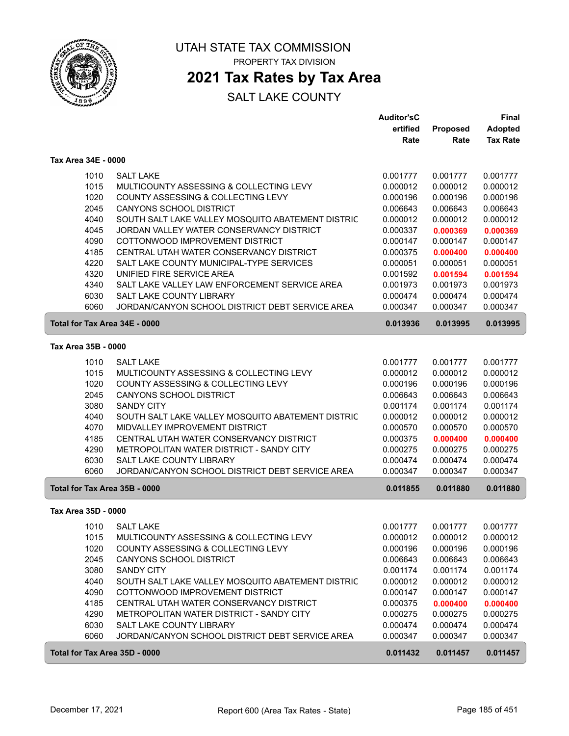

### **2021 Tax Rates by Tax Area**

|                               |                                                   | <b>Auditor'sC</b> |          | <b>Final</b>    |
|-------------------------------|---------------------------------------------------|-------------------|----------|-----------------|
|                               |                                                   | ertified          | Proposed | <b>Adopted</b>  |
|                               |                                                   | Rate              | Rate     | <b>Tax Rate</b> |
| Tax Area 34E - 0000           |                                                   |                   |          |                 |
| 1010                          | <b>SALT LAKE</b>                                  | 0.001777          | 0.001777 | 0.001777        |
| 1015                          | MULTICOUNTY ASSESSING & COLLECTING LEVY           | 0.000012          | 0.000012 | 0.000012        |
| 1020                          | COUNTY ASSESSING & COLLECTING LEVY                | 0.000196          | 0.000196 | 0.000196        |
| 2045                          | CANYONS SCHOOL DISTRICT                           | 0.006643          | 0.006643 | 0.006643        |
| 4040                          | SOUTH SALT LAKE VALLEY MOSQUITO ABATEMENT DISTRIC | 0.000012          | 0.000012 | 0.000012        |
| 4045                          | JORDAN VALLEY WATER CONSERVANCY DISTRICT          | 0.000337          | 0.000369 | 0.000369        |
| 4090                          | COTTONWOOD IMPROVEMENT DISTRICT                   | 0.000147          | 0.000147 | 0.000147        |
| 4185                          | CENTRAL UTAH WATER CONSERVANCY DISTRICT           | 0.000375          | 0.000400 | 0.000400        |
| 4220                          | SALT LAKE COUNTY MUNICIPAL-TYPE SERVICES          | 0.000051          | 0.000051 | 0.000051        |
| 4320                          | UNIFIED FIRE SERVICE AREA                         | 0.001592          | 0.001594 | 0.001594        |
| 4340                          | SALT LAKE VALLEY LAW ENFORCEMENT SERVICE AREA     | 0.001973          | 0.001973 | 0.001973        |
| 6030                          | <b>SALT LAKE COUNTY LIBRARY</b>                   | 0.000474          | 0.000474 | 0.000474        |
| 6060                          | JORDAN/CANYON SCHOOL DISTRICT DEBT SERVICE AREA   | 0.000347          | 0.000347 | 0.000347        |
| Total for Tax Area 34E - 0000 |                                                   | 0.013936          | 0.013995 | 0.013995        |
| Tax Area 35B - 0000           |                                                   |                   |          |                 |
| 1010                          | <b>SALT LAKE</b>                                  | 0.001777          | 0.001777 | 0.001777        |
| 1015                          | MULTICOUNTY ASSESSING & COLLECTING LEVY           | 0.000012          | 0.000012 | 0.000012        |
| 1020                          | COUNTY ASSESSING & COLLECTING LEVY                | 0.000196          | 0.000196 | 0.000196        |
| 2045                          | CANYONS SCHOOL DISTRICT                           | 0.006643          | 0.006643 | 0.006643        |
| 3080                          | <b>SANDY CITY</b>                                 | 0.001174          | 0.001174 | 0.001174        |
| 4040                          | SOUTH SALT LAKE VALLEY MOSQUITO ABATEMENT DISTRIC | 0.000012          | 0.000012 | 0.000012        |
| 4070                          | MIDVALLEY IMPROVEMENT DISTRICT                    | 0.000570          | 0.000570 | 0.000570        |
| 4185                          | CENTRAL UTAH WATER CONSERVANCY DISTRICT           | 0.000375          | 0.000400 | 0.000400        |
| 4290                          | METROPOLITAN WATER DISTRICT - SANDY CITY          | 0.000275          | 0.000275 | 0.000275        |
| 6030                          | SALT LAKE COUNTY LIBRARY                          | 0.000474          | 0.000474 | 0.000474        |
| 6060                          | JORDAN/CANYON SCHOOL DISTRICT DEBT SERVICE AREA   | 0.000347          | 0.000347 | 0.000347        |
| Total for Tax Area 35B - 0000 |                                                   | 0.011855          | 0.011880 | 0.011880        |
| Tax Area 35D - 0000           |                                                   |                   |          |                 |
| 1010                          | <b>SALT LAKE</b>                                  | 0.001777          | 0.001777 | 0.001777        |
| 1015                          | MULTICOUNTY ASSESSING & COLLECTING LEVY           | 0.000012          | 0.000012 | 0.000012        |
| 1020                          | COUNTY ASSESSING & COLLECTING LEVY                | 0.000196          | 0.000196 | 0.000196        |
| 2045                          | CANYONS SCHOOL DISTRICT                           | 0.006643          | 0.006643 | 0.006643        |
| 3080                          | <b>SANDY CITY</b>                                 | 0.001174          | 0.001174 | 0.001174        |
| 4040                          | SOUTH SALT LAKE VALLEY MOSQUITO ABATEMENT DISTRIC | 0.000012          | 0.000012 | 0.000012        |
| 4090                          | COTTONWOOD IMPROVEMENT DISTRICT                   | 0.000147          | 0.000147 | 0.000147        |
| 4185                          | CENTRAL UTAH WATER CONSERVANCY DISTRICT           | 0.000375          | 0.000400 | 0.000400        |
| 4290                          | METROPOLITAN WATER DISTRICT - SANDY CITY          | 0.000275          | 0.000275 | 0.000275        |
| 6030                          | SALT LAKE COUNTY LIBRARY                          | 0.000474          | 0.000474 | 0.000474        |
| 6060                          | JORDAN/CANYON SCHOOL DISTRICT DEBT SERVICE AREA   | 0.000347          | 0.000347 | 0.000347        |
| Total for Tax Area 35D - 0000 |                                                   | 0.011432          | 0.011457 | 0.011457        |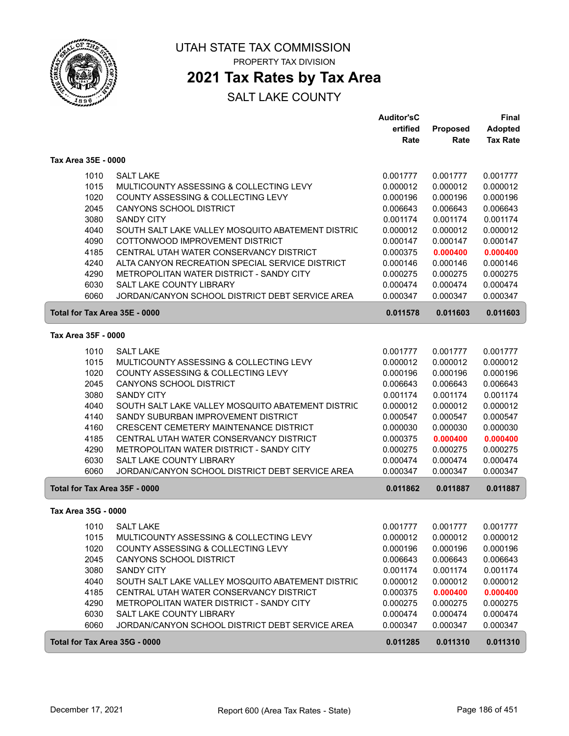

### **2021 Tax Rates by Tax Area**

|                               |                                                   | <b>Auditor'sC</b> |          | Final           |
|-------------------------------|---------------------------------------------------|-------------------|----------|-----------------|
|                               |                                                   | ertified          | Proposed | <b>Adopted</b>  |
|                               |                                                   | Rate              | Rate     | <b>Tax Rate</b> |
| Tax Area 35E - 0000           |                                                   |                   |          |                 |
| 1010                          | <b>SALT LAKE</b>                                  | 0.001777          | 0.001777 | 0.001777        |
| 1015                          | MULTICOUNTY ASSESSING & COLLECTING LEVY           | 0.000012          | 0.000012 | 0.000012        |
| 1020                          | COUNTY ASSESSING & COLLECTING LEVY                | 0.000196          | 0.000196 | 0.000196        |
| 2045                          | CANYONS SCHOOL DISTRICT                           | 0.006643          | 0.006643 | 0.006643        |
| 3080                          | <b>SANDY CITY</b>                                 | 0.001174          | 0.001174 | 0.001174        |
| 4040                          | SOUTH SALT LAKE VALLEY MOSQUITO ABATEMENT DISTRIC | 0.000012          | 0.000012 | 0.000012        |
| 4090                          | COTTONWOOD IMPROVEMENT DISTRICT                   | 0.000147          | 0.000147 | 0.000147        |
| 4185                          | CENTRAL UTAH WATER CONSERVANCY DISTRICT           | 0.000375          | 0.000400 | 0.000400        |
| 4240                          | ALTA CANYON RECREATION SPECIAL SERVICE DISTRICT   | 0.000146          | 0.000146 | 0.000146        |
| 4290                          | METROPOLITAN WATER DISTRICT - SANDY CITY          | 0.000275          | 0.000275 | 0.000275        |
| 6030                          | SALT LAKE COUNTY LIBRARY                          | 0.000474          | 0.000474 | 0.000474        |
| 6060                          | JORDAN/CANYON SCHOOL DISTRICT DEBT SERVICE AREA   | 0.000347          | 0.000347 | 0.000347        |
| Total for Tax Area 35E - 0000 |                                                   | 0.011578          | 0.011603 | 0.011603        |
|                               |                                                   |                   |          |                 |
| Tax Area 35F - 0000           |                                                   |                   |          |                 |
| 1010                          | <b>SALT LAKE</b>                                  | 0.001777          | 0.001777 | 0.001777        |
| 1015                          | MULTICOUNTY ASSESSING & COLLECTING LEVY           | 0.000012          | 0.000012 | 0.000012        |
| 1020                          | COUNTY ASSESSING & COLLECTING LEVY                | 0.000196          | 0.000196 | 0.000196        |
| 2045                          | CANYONS SCHOOL DISTRICT                           | 0.006643          | 0.006643 | 0.006643        |
| 3080                          | <b>SANDY CITY</b>                                 | 0.001174          | 0.001174 | 0.001174        |
| 4040                          | SOUTH SALT LAKE VALLEY MOSQUITO ABATEMENT DISTRIC | 0.000012          | 0.000012 | 0.000012        |
| 4140                          | SANDY SUBURBAN IMPROVEMENT DISTRICT               | 0.000547          | 0.000547 | 0.000547        |
| 4160                          | CRESCENT CEMETERY MAINTENANCE DISTRICT            | 0.000030          | 0.000030 | 0.000030        |
| 4185                          | CENTRAL UTAH WATER CONSERVANCY DISTRICT           | 0.000375          | 0.000400 | 0.000400        |
| 4290                          | METROPOLITAN WATER DISTRICT - SANDY CITY          | 0.000275          | 0.000275 | 0.000275        |
| 6030                          | SALT LAKE COUNTY LIBRARY                          | 0.000474          | 0.000474 | 0.000474        |
| 6060                          | JORDAN/CANYON SCHOOL DISTRICT DEBT SERVICE AREA   | 0.000347          | 0.000347 | 0.000347        |
| Total for Tax Area 35F - 0000 |                                                   | 0.011862          | 0.011887 | 0.011887        |
| Tax Area 35G - 0000           |                                                   |                   |          |                 |
| 1010                          | <b>SALT LAKE</b>                                  | 0.001777          | 0.001777 | 0.001777        |
| 1015                          | MULTICOUNTY ASSESSING & COLLECTING LEVY           | 0.000012          | 0.000012 | 0.000012        |
| 1020                          | COUNTY ASSESSING & COLLECTING LEVY                | 0.000196          | 0.000196 | 0.000196        |
| 2045                          | CANYONS SCHOOL DISTRICT                           | 0.006643          | 0.006643 | 0.006643        |
| 3080                          | <b>SANDY CITY</b>                                 | 0.001174          | 0.001174 | 0.001174        |
| 4040                          | SOUTH SALT LAKE VALLEY MOSQUITO ABATEMENT DISTRIC | 0.000012          | 0.000012 | 0.000012        |
| 4185                          | CENTRAL UTAH WATER CONSERVANCY DISTRICT           | 0.000375          | 0.000400 | 0.000400        |
| 4290                          | METROPOLITAN WATER DISTRICT - SANDY CITY          | 0.000275          | 0.000275 | 0.000275        |
| 6030                          | SALT LAKE COUNTY LIBRARY                          | 0.000474          | 0.000474 | 0.000474        |
| 6060                          | JORDAN/CANYON SCHOOL DISTRICT DEBT SERVICE AREA   | 0.000347          | 0.000347 | 0.000347        |
| Total for Tax Area 35G - 0000 |                                                   | 0.011285          | 0.011310 | 0.011310        |
|                               |                                                   |                   |          |                 |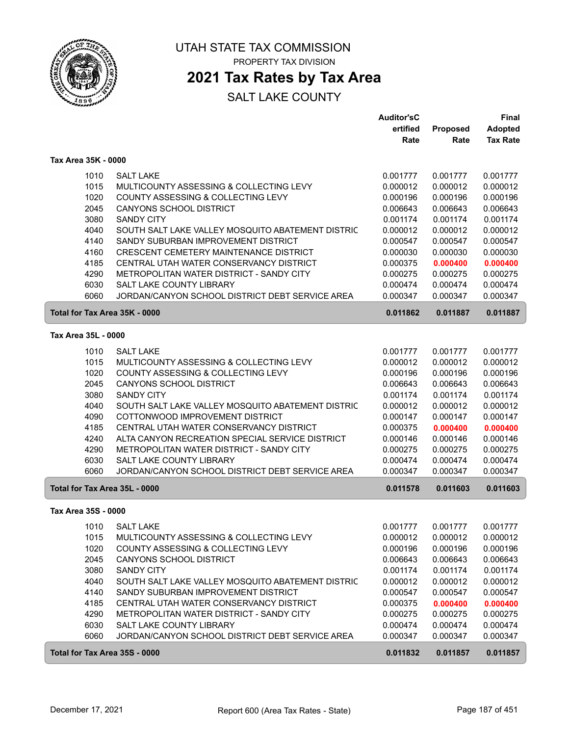

### **2021 Tax Rates by Tax Area**

|                               |                                                   | <b>Auditor'sC</b> |          | Final           |
|-------------------------------|---------------------------------------------------|-------------------|----------|-----------------|
|                               |                                                   | ertified          | Proposed | <b>Adopted</b>  |
|                               |                                                   | Rate              | Rate     | <b>Tax Rate</b> |
| Tax Area 35K - 0000           |                                                   |                   |          |                 |
| 1010                          | <b>SALT LAKE</b>                                  | 0.001777          | 0.001777 | 0.001777        |
| 1015                          | MULTICOUNTY ASSESSING & COLLECTING LEVY           | 0.000012          | 0.000012 | 0.000012        |
| 1020                          | COUNTY ASSESSING & COLLECTING LEVY                | 0.000196          | 0.000196 | 0.000196        |
| 2045                          | CANYONS SCHOOL DISTRICT                           | 0.006643          | 0.006643 | 0.006643        |
| 3080                          | <b>SANDY CITY</b>                                 | 0.001174          | 0.001174 | 0.001174        |
| 4040                          | SOUTH SALT LAKE VALLEY MOSQUITO ABATEMENT DISTRIC | 0.000012          | 0.000012 | 0.000012        |
| 4140                          | SANDY SUBURBAN IMPROVEMENT DISTRICT               | 0.000547          | 0.000547 | 0.000547        |
| 4160                          | CRESCENT CEMETERY MAINTENANCE DISTRICT            | 0.000030          | 0.000030 | 0.000030        |
| 4185                          | CENTRAL UTAH WATER CONSERVANCY DISTRICT           | 0.000375          | 0.000400 | 0.000400        |
| 4290                          | METROPOLITAN WATER DISTRICT - SANDY CITY          | 0.000275          | 0.000275 | 0.000275        |
| 6030                          | SALT LAKE COUNTY LIBRARY                          | 0.000474          | 0.000474 | 0.000474        |
| 6060                          | JORDAN/CANYON SCHOOL DISTRICT DEBT SERVICE AREA   | 0.000347          | 0.000347 | 0.000347        |
| Total for Tax Area 35K - 0000 |                                                   | 0.011862          | 0.011887 | 0.011887        |
| Tax Area 35L - 0000           |                                                   |                   |          |                 |
| 1010                          | <b>SALT LAKE</b>                                  | 0.001777          | 0.001777 | 0.001777        |
| 1015                          | MULTICOUNTY ASSESSING & COLLECTING LEVY           | 0.000012          | 0.000012 | 0.000012        |
| 1020                          | COUNTY ASSESSING & COLLECTING LEVY                | 0.000196          | 0.000196 | 0.000196        |
| 2045                          | CANYONS SCHOOL DISTRICT                           | 0.006643          | 0.006643 | 0.006643        |
| 3080                          | <b>SANDY CITY</b>                                 | 0.001174          | 0.001174 | 0.001174        |
| 4040                          | SOUTH SALT LAKE VALLEY MOSQUITO ABATEMENT DISTRIC | 0.000012          | 0.000012 | 0.000012        |
| 4090                          | COTTONWOOD IMPROVEMENT DISTRICT                   | 0.000147          | 0.000147 | 0.000147        |
| 4185                          | CENTRAL UTAH WATER CONSERVANCY DISTRICT           | 0.000375          | 0.000400 | 0.000400        |
| 4240                          | ALTA CANYON RECREATION SPECIAL SERVICE DISTRICT   | 0.000146          | 0.000146 | 0.000146        |
| 4290                          | METROPOLITAN WATER DISTRICT - SANDY CITY          | 0.000275          | 0.000275 | 0.000275        |
| 6030                          | SALT LAKE COUNTY LIBRARY                          | 0.000474          | 0.000474 | 0.000474        |
| 6060                          | JORDAN/CANYON SCHOOL DISTRICT DEBT SERVICE AREA   | 0.000347          | 0.000347 | 0.000347        |
| Total for Tax Area 35L - 0000 |                                                   | 0.011578          | 0.011603 | 0.011603        |
| Tax Area 35S - 0000           |                                                   |                   |          |                 |
| 1010                          | <b>SALT LAKE</b>                                  | 0.001777          | 0.001777 | 0.001777        |
| 1015                          | MULTICOUNTY ASSESSING & COLLECTING LEVY           | 0.000012          | 0.000012 | 0.000012        |
| 1020                          | COUNTY ASSESSING & COLLECTING LEVY                | 0.000196          | 0.000196 | 0.000196        |
| 2045                          | CANYONS SCHOOL DISTRICT                           | 0.006643          | 0.006643 | 0.006643        |
| 3080                          | <b>SANDY CITY</b>                                 | 0.001174          | 0.001174 | 0.001174        |
| 4040                          | SOUTH SALT LAKE VALLEY MOSQUITO ABATEMENT DISTRIC | 0.000012          | 0.000012 | 0.000012        |
| 4140                          | SANDY SUBURBAN IMPROVEMENT DISTRICT               | 0.000547          | 0.000547 | 0.000547        |
| 4185                          | CENTRAL UTAH WATER CONSERVANCY DISTRICT           | 0.000375          | 0.000400 | 0.000400        |
| 4290                          | METROPOLITAN WATER DISTRICT - SANDY CITY          | 0.000275          | 0.000275 | 0.000275        |
| 6030                          | SALT LAKE COUNTY LIBRARY                          | 0.000474          | 0.000474 | 0.000474        |
| 6060                          | JORDAN/CANYON SCHOOL DISTRICT DEBT SERVICE AREA   | 0.000347          | 0.000347 | 0.000347        |
| Total for Tax Area 35S - 0000 |                                                   | 0.011832          | 0.011857 | 0.011857        |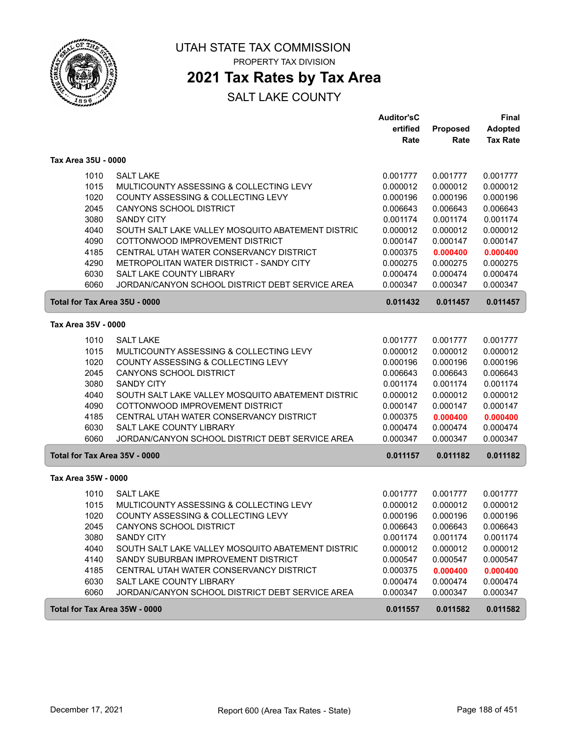

### **2021 Tax Rates by Tax Area**

|                               |                                                   | <b>Auditor'sC</b> |          | <b>Final</b>    |
|-------------------------------|---------------------------------------------------|-------------------|----------|-----------------|
|                               |                                                   | ertified          | Proposed | <b>Adopted</b>  |
|                               |                                                   | Rate              | Rate     | <b>Tax Rate</b> |
| Tax Area 35U - 0000           |                                                   |                   |          |                 |
| 1010                          | <b>SALT LAKE</b>                                  | 0.001777          | 0.001777 | 0.001777        |
| 1015                          | MULTICOUNTY ASSESSING & COLLECTING LEVY           | 0.000012          | 0.000012 | 0.000012        |
| 1020                          | COUNTY ASSESSING & COLLECTING LEVY                | 0.000196          | 0.000196 | 0.000196        |
| 2045                          | <b>CANYONS SCHOOL DISTRICT</b>                    | 0.006643          | 0.006643 | 0.006643        |
| 3080                          | <b>SANDY CITY</b>                                 | 0.001174          | 0.001174 | 0.001174        |
| 4040                          | SOUTH SALT LAKE VALLEY MOSQUITO ABATEMENT DISTRIC | 0.000012          | 0.000012 | 0.000012        |
| 4090                          | COTTONWOOD IMPROVEMENT DISTRICT                   | 0.000147          | 0.000147 | 0.000147        |
| 4185                          | CENTRAL UTAH WATER CONSERVANCY DISTRICT           | 0.000375          | 0.000400 | 0.000400        |
| 4290                          | METROPOLITAN WATER DISTRICT - SANDY CITY          | 0.000275          | 0.000275 | 0.000275        |
| 6030                          | SALT LAKE COUNTY LIBRARY                          | 0.000474          | 0.000474 | 0.000474        |
| 6060                          | JORDAN/CANYON SCHOOL DISTRICT DEBT SERVICE AREA   | 0.000347          | 0.000347 | 0.000347        |
| Total for Tax Area 35U - 0000 |                                                   | 0.011432          | 0.011457 | 0.011457        |
| Tax Area 35V - 0000           |                                                   |                   |          |                 |
| 1010                          | <b>SALT LAKE</b>                                  | 0.001777          | 0.001777 | 0.001777        |
| 1015                          | MULTICOUNTY ASSESSING & COLLECTING LEVY           | 0.000012          | 0.000012 | 0.000012        |
| 1020                          | COUNTY ASSESSING & COLLECTING LEVY                | 0.000196          | 0.000196 | 0.000196        |
| 2045                          | CANYONS SCHOOL DISTRICT                           | 0.006643          | 0.006643 | 0.006643        |
| 3080                          | <b>SANDY CITY</b>                                 | 0.001174          | 0.001174 | 0.001174        |
| 4040                          | SOUTH SALT LAKE VALLEY MOSQUITO ABATEMENT DISTRIC | 0.000012          | 0.000012 | 0.000012        |
| 4090                          | COTTONWOOD IMPROVEMENT DISTRICT                   | 0.000147          | 0.000147 | 0.000147        |
| 4185                          | CENTRAL UTAH WATER CONSERVANCY DISTRICT           | 0.000375          | 0.000400 | 0.000400        |
| 6030                          | SALT LAKE COUNTY LIBRARY                          | 0.000474          | 0.000474 | 0.000474        |
| 6060                          | JORDAN/CANYON SCHOOL DISTRICT DEBT SERVICE AREA   | 0.000347          | 0.000347 | 0.000347        |
| Total for Tax Area 35V - 0000 |                                                   | 0.011157          | 0.011182 | 0.011182        |
| Tax Area 35W - 0000           |                                                   |                   |          |                 |
| 1010                          | <b>SALT LAKE</b>                                  | 0.001777          | 0.001777 | 0.001777        |
| 1015                          | MULTICOUNTY ASSESSING & COLLECTING LEVY           | 0.000012          | 0.000012 | 0.000012        |
| 1020                          | COUNTY ASSESSING & COLLECTING LEVY                | 0.000196          | 0.000196 | 0.000196        |
| 2045                          | <b>CANYONS SCHOOL DISTRICT</b>                    | 0.006643          | 0.006643 | 0.006643        |
| 3080                          | <b>SANDY CITY</b>                                 | 0.001174          | 0.001174 | 0.001174        |
| 4040                          | SOUTH SALT LAKE VALLEY MOSQUITO ABATEMENT DISTRIC | 0.000012          | 0.000012 | 0.000012        |
| 4140                          | SANDY SUBURBAN IMPROVEMENT DISTRICT               | 0.000547          | 0.000547 | 0.000547        |
| 4185                          | CENTRAL UTAH WATER CONSERVANCY DISTRICT           | 0.000375          | 0.000400 | 0.000400        |
| 6030                          | SALT LAKE COUNTY LIBRARY                          | 0.000474          | 0.000474 | 0.000474        |
| 6060                          | JORDAN/CANYON SCHOOL DISTRICT DEBT SERVICE AREA   | 0.000347          | 0.000347 | 0.000347        |
| Total for Tax Area 35W - 0000 |                                                   | 0.011557          | 0.011582 | 0.011582        |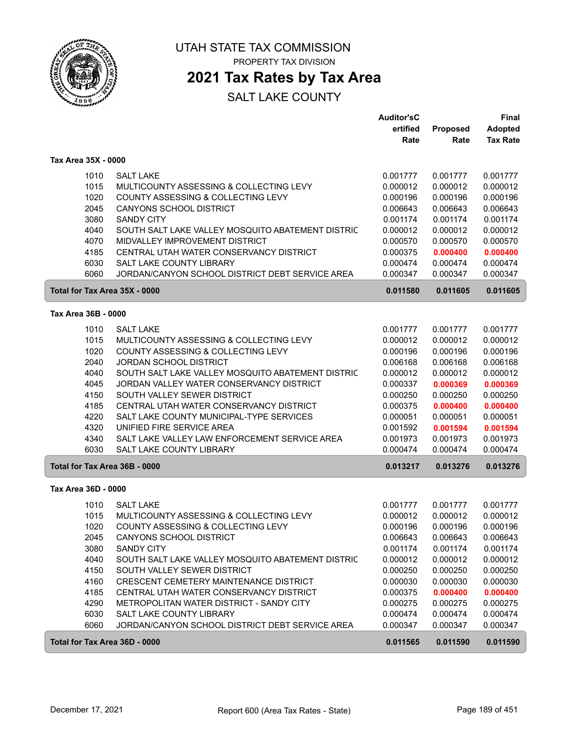

ſ

ſ

UTAH STATE TAX COMMISSION PROPERTY TAX DIVISION

# **2021 Tax Rates by Tax Area**

|                               |                                                   | <b>Auditor'sC</b> |          | <b>Final</b>    |
|-------------------------------|---------------------------------------------------|-------------------|----------|-----------------|
|                               |                                                   | ertified          | Proposed | Adopted         |
|                               |                                                   | Rate              | Rate     | <b>Tax Rate</b> |
| Tax Area 35X - 0000           |                                                   |                   |          |                 |
| 1010                          | <b>SALT LAKE</b>                                  | 0.001777          | 0.001777 | 0.001777        |
| 1015                          | MULTICOUNTY ASSESSING & COLLECTING LEVY           | 0.000012          | 0.000012 | 0.000012        |
| 1020                          | COUNTY ASSESSING & COLLECTING LEVY                | 0.000196          | 0.000196 | 0.000196        |
| 2045                          | CANYONS SCHOOL DISTRICT                           | 0.006643          | 0.006643 | 0.006643        |
| 3080                          | <b>SANDY CITY</b>                                 | 0.001174          | 0.001174 | 0.001174        |
| 4040                          | SOUTH SALT LAKE VALLEY MOSQUITO ABATEMENT DISTRIC | 0.000012          | 0.000012 | 0.000012        |
| 4070                          | MIDVALLEY IMPROVEMENT DISTRICT                    | 0.000570          | 0.000570 | 0.000570        |
| 4185                          | CENTRAL UTAH WATER CONSERVANCY DISTRICT           | 0.000375          | 0.000400 | 0.000400        |
| 6030                          | SALT LAKE COUNTY LIBRARY                          | 0.000474          | 0.000474 | 0.000474        |
| 6060                          | JORDAN/CANYON SCHOOL DISTRICT DEBT SERVICE AREA   | 0.000347          | 0.000347 | 0.000347        |
| Total for Tax Area 35X - 0000 |                                                   | 0.011580          | 0.011605 | 0.011605        |
| Tax Area 36B - 0000           |                                                   |                   |          |                 |
| 1010                          | <b>SALT LAKE</b>                                  | 0.001777          | 0.001777 | 0.001777        |
| 1015                          | MULTICOUNTY ASSESSING & COLLECTING LEVY           | 0.000012          | 0.000012 | 0.000012        |
| 1020                          | COUNTY ASSESSING & COLLECTING LEVY                | 0.000196          | 0.000196 | 0.000196        |
| 2040                          | <b>JORDAN SCHOOL DISTRICT</b>                     | 0.006168          | 0.006168 | 0.006168        |
| 4040                          | SOUTH SALT LAKE VALLEY MOSQUITO ABATEMENT DISTRIC | 0.000012          | 0.000012 | 0.000012        |
| 4045                          | JORDAN VALLEY WATER CONSERVANCY DISTRICT          | 0.000337          | 0.000369 | 0.000369        |
| 4150                          | SOUTH VALLEY SEWER DISTRICT                       | 0.000250          | 0.000250 | 0.000250        |
| 4185                          | CENTRAL UTAH WATER CONSERVANCY DISTRICT           | 0.000375          | 0.000400 | 0.000400        |
| 4220                          | SALT LAKE COUNTY MUNICIPAL-TYPE SERVICES          | 0.000051          | 0.000051 | 0.000051        |
| 4320                          | UNIFIED FIRE SERVICE AREA                         | 0.001592          | 0.001594 | 0.001594        |
| 4340                          | SALT LAKE VALLEY LAW ENFORCEMENT SERVICE AREA     | 0.001973          | 0.001973 | 0.001973        |
| 6030                          | <b>SALT LAKE COUNTY LIBRARY</b>                   | 0.000474          | 0.000474 | 0.000474        |
| Total for Tax Area 36B - 0000 |                                                   | 0.013217          | 0.013276 | 0.013276        |
| Tax Area 36D - 0000           |                                                   |                   |          |                 |
| 1010                          | <b>SALT LAKE</b>                                  | 0.001777          | 0.001777 | 0.001777        |
| 1015                          | MULTICOUNTY ASSESSING & COLLECTING LEVY           | 0.000012          | 0.000012 | 0.000012        |
| 1020                          | COUNTY ASSESSING & COLLECTING LEVY                | 0.000196          | 0.000196 | 0.000196        |
| 2045                          | CANYONS SCHOOL DISTRICT                           | 0.006643          | 0.006643 | 0.006643        |
| 3080                          | <b>SANDY CITY</b>                                 | 0.001174          | 0.001174 | 0.001174        |
| 4040                          | SOUTH SALT LAKE VALLEY MOSQUITO ABATEMENT DISTRIC | 0.000012          | 0.000012 | 0.000012        |
| 4150                          | SOUTH VALLEY SEWER DISTRICT                       | 0.000250          | 0.000250 | 0.000250        |
| 4160                          | CRESCENT CEMETERY MAINTENANCE DISTRICT            | 0.000030          | 0.000030 | 0.000030        |
| 4185                          | CENTRAL UTAH WATER CONSERVANCY DISTRICT           | 0.000375          | 0.000400 | 0.000400        |
| 4290                          | METROPOLITAN WATER DISTRICT - SANDY CITY          | 0.000275          | 0.000275 | 0.000275        |
| 6030                          | SALT LAKE COUNTY LIBRARY                          | 0.000474          | 0.000474 | 0.000474        |
| 6060                          | JORDAN/CANYON SCHOOL DISTRICT DEBT SERVICE AREA   | 0.000347          | 0.000347 | 0.000347        |
|                               | Total for Tax Area 36D - 0000                     | 0.011565          | 0.011590 | 0.011590        |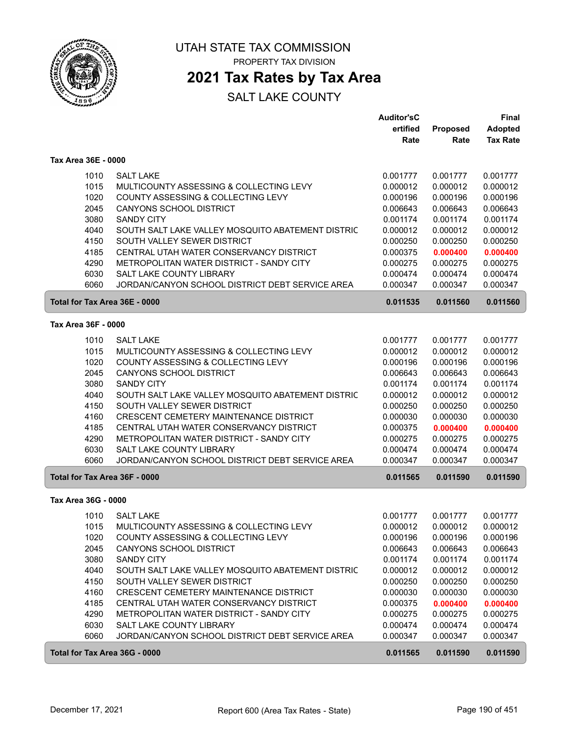

## **2021 Tax Rates by Tax Area**

|                               |                                                   | <b>Auditor'sC</b> |                 | Final           |
|-------------------------------|---------------------------------------------------|-------------------|-----------------|-----------------|
|                               |                                                   | ertified          | <b>Proposed</b> | Adopted         |
|                               |                                                   | Rate              | Rate            | <b>Tax Rate</b> |
| Tax Area 36E - 0000           |                                                   |                   |                 |                 |
| 1010                          | <b>SALT LAKE</b>                                  | 0.001777          | 0.001777        | 0.001777        |
| 1015                          | MULTICOUNTY ASSESSING & COLLECTING LEVY           | 0.000012          | 0.000012        | 0.000012        |
| 1020                          | COUNTY ASSESSING & COLLECTING LEVY                | 0.000196          | 0.000196        | 0.000196        |
| 2045                          | CANYONS SCHOOL DISTRICT                           | 0.006643          | 0.006643        | 0.006643        |
| 3080                          | <b>SANDY CITY</b>                                 | 0.001174          | 0.001174        | 0.001174        |
| 4040                          | SOUTH SALT LAKE VALLEY MOSQUITO ABATEMENT DISTRIC | 0.000012          | 0.000012        | 0.000012        |
| 4150                          | SOUTH VALLEY SEWER DISTRICT                       | 0.000250          | 0.000250        | 0.000250        |
| 4185                          | CENTRAL UTAH WATER CONSERVANCY DISTRICT           | 0.000375          |                 |                 |
| 4290                          | METROPOLITAN WATER DISTRICT - SANDY CITY          |                   | 0.000400        | 0.000400        |
| 6030                          |                                                   | 0.000275          | 0.000275        | 0.000275        |
|                               | SALT LAKE COUNTY LIBRARY                          | 0.000474          | 0.000474        | 0.000474        |
| 6060                          | JORDAN/CANYON SCHOOL DISTRICT DEBT SERVICE AREA   | 0.000347          | 0.000347        | 0.000347        |
| Total for Tax Area 36E - 0000 |                                                   | 0.011535          | 0.011560        | 0.011560        |
| Tax Area 36F - 0000           |                                                   |                   |                 |                 |
| 1010                          | <b>SALT LAKE</b>                                  | 0.001777          | 0.001777        | 0.001777        |
| 1015                          | MULTICOUNTY ASSESSING & COLLECTING LEVY           | 0.000012          | 0.000012        | 0.000012        |
| 1020                          | COUNTY ASSESSING & COLLECTING LEVY                | 0.000196          | 0.000196        | 0.000196        |
| 2045                          | CANYONS SCHOOL DISTRICT                           | 0.006643          | 0.006643        | 0.006643        |
| 3080                          | <b>SANDY CITY</b>                                 | 0.001174          | 0.001174        | 0.001174        |
| 4040                          | SOUTH SALT LAKE VALLEY MOSQUITO ABATEMENT DISTRIC | 0.000012          | 0.000012        | 0.000012        |
| 4150                          | SOUTH VALLEY SEWER DISTRICT                       | 0.000250          | 0.000250        | 0.000250        |
| 4160                          | CRESCENT CEMETERY MAINTENANCE DISTRICT            | 0.000030          | 0.000030        | 0.000030        |
| 4185                          | CENTRAL UTAH WATER CONSERVANCY DISTRICT           | 0.000375          | 0.000400        | 0.000400        |
| 4290                          | METROPOLITAN WATER DISTRICT - SANDY CITY          | 0.000275          | 0.000275        | 0.000275        |
| 6030                          | SALT LAKE COUNTY LIBRARY                          | 0.000474          | 0.000474        | 0.000474        |
| 6060                          | JORDAN/CANYON SCHOOL DISTRICT DEBT SERVICE AREA   | 0.000347          | 0.000347        | 0.000347        |
| Total for Tax Area 36F - 0000 |                                                   | 0.011565          | 0.011590        | 0.011590        |
| Tax Area 36G - 0000           |                                                   |                   |                 |                 |
|                               |                                                   |                   |                 |                 |
| 1010                          | <b>SALT LAKE</b>                                  | 0.001777          | 0.001777        | 0.001777        |
| 1015                          | MULTICOUNTY ASSESSING & COLLECTING LEVY           | 0.000012          | 0.000012        | 0.000012        |
| 1020                          | COUNTY ASSESSING & COLLECTING LEVY                | 0.000196          | 0.000196        | 0.000196        |
| 2045                          | CANYONS SCHOOL DISTRICT                           | 0.006643          | 0.006643        | 0.006643        |
| 3080                          | <b>SANDY CITY</b>                                 | 0.001174          | 0.001174        | 0.001174        |
| 4040                          | SOUTH SALT LAKE VALLEY MOSQUITO ABATEMENT DISTRIC | 0.000012          | 0.000012        | 0.000012        |
| 4150                          | SOUTH VALLEY SEWER DISTRICT                       | 0.000250          | 0.000250        | 0.000250        |
| 4160                          | <b>CRESCENT CEMETERY MAINTENANCE DISTRICT</b>     | 0.000030          | 0.000030        | 0.000030        |
| 4185                          | CENTRAL UTAH WATER CONSERVANCY DISTRICT           | 0.000375          | 0.000400        | 0.000400        |
| 4290                          | METROPOLITAN WATER DISTRICT - SANDY CITY          | 0.000275          | 0.000275        | 0.000275        |
| 6030                          | SALT LAKE COUNTY LIBRARY                          | 0.000474          | 0.000474        | 0.000474        |
| 6060                          | JORDAN/CANYON SCHOOL DISTRICT DEBT SERVICE AREA   | 0.000347          | 0.000347        | 0.000347        |
| Total for Tax Area 36G - 0000 |                                                   | 0.011565          | 0.011590        | 0.011590        |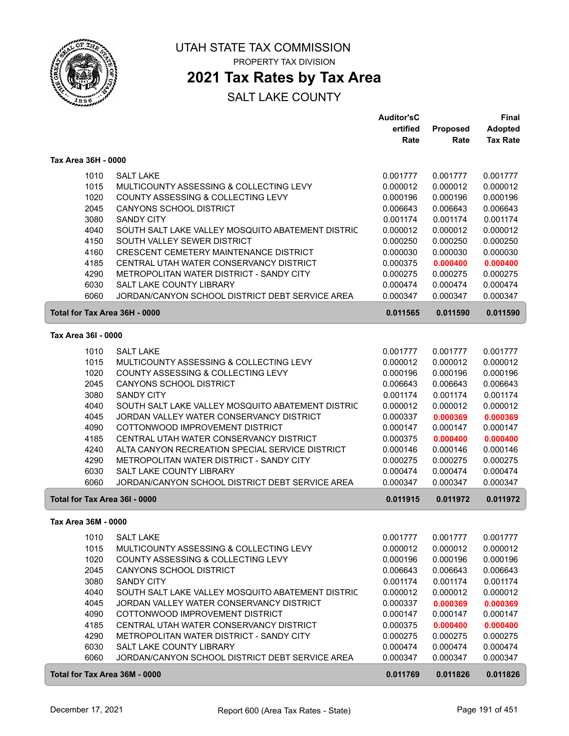

### **2021 Tax Rates by Tax Area**

|                               |                                                   | <b>Auditor'sC</b> |          | <b>Final</b>    |
|-------------------------------|---------------------------------------------------|-------------------|----------|-----------------|
|                               |                                                   | ertified          | Proposed | <b>Adopted</b>  |
|                               |                                                   | Rate              | Rate     | <b>Tax Rate</b> |
| Tax Area 36H - 0000           |                                                   |                   |          |                 |
| 1010                          | <b>SALT LAKE</b>                                  | 0.001777          | 0.001777 | 0.001777        |
| 1015                          | MULTICOUNTY ASSESSING & COLLECTING LEVY           | 0.000012          | 0.000012 | 0.000012        |
| 1020                          | COUNTY ASSESSING & COLLECTING LEVY                | 0.000196          | 0.000196 | 0.000196        |
| 2045                          | <b>CANYONS SCHOOL DISTRICT</b>                    | 0.006643          | 0.006643 | 0.006643        |
| 3080                          | <b>SANDY CITY</b>                                 | 0.001174          | 0.001174 | 0.001174        |
| 4040                          | SOUTH SALT LAKE VALLEY MOSQUITO ABATEMENT DISTRIC | 0.000012          | 0.000012 | 0.000012        |
| 4150                          | SOUTH VALLEY SEWER DISTRICT                       | 0.000250          | 0.000250 | 0.000250        |
| 4160                          | CRESCENT CEMETERY MAINTENANCE DISTRICT            | 0.000030          | 0.000030 | 0.000030        |
| 4185                          | CENTRAL UTAH WATER CONSERVANCY DISTRICT           | 0.000375          | 0.000400 | 0.000400        |
| 4290                          | METROPOLITAN WATER DISTRICT - SANDY CITY          | 0.000275          | 0.000275 | 0.000275        |
| 6030                          | SALT LAKE COUNTY LIBRARY                          | 0.000474          | 0.000474 | 0.000474        |
| 6060                          | JORDAN/CANYON SCHOOL DISTRICT DEBT SERVICE AREA   | 0.000347          | 0.000347 | 0.000347        |
| Total for Tax Area 36H - 0000 |                                                   | 0.011565          | 0.011590 | 0.011590        |
|                               |                                                   |                   |          |                 |
| Tax Area 36I - 0000           |                                                   |                   |          |                 |
| 1010                          | <b>SALT LAKE</b>                                  | 0.001777          | 0.001777 | 0.001777        |
| 1015                          | MULTICOUNTY ASSESSING & COLLECTING LEVY           | 0.000012          | 0.000012 | 0.000012        |
| 1020                          | COUNTY ASSESSING & COLLECTING LEVY                | 0.000196          | 0.000196 | 0.000196        |
| 2045                          | CANYONS SCHOOL DISTRICT                           | 0.006643          | 0.006643 | 0.006643        |
| 3080                          | <b>SANDY CITY</b>                                 | 0.001174          | 0.001174 | 0.001174        |
| 4040                          | SOUTH SALT LAKE VALLEY MOSQUITO ABATEMENT DISTRIC | 0.000012          | 0.000012 | 0.000012        |
| 4045                          | JORDAN VALLEY WATER CONSERVANCY DISTRICT          | 0.000337          | 0.000369 | 0.000369        |
| 4090                          | COTTONWOOD IMPROVEMENT DISTRICT                   | 0.000147          | 0.000147 | 0.000147        |
| 4185                          | CENTRAL UTAH WATER CONSERVANCY DISTRICT           | 0.000375          | 0.000400 | 0.000400        |
| 4240                          | ALTA CANYON RECREATION SPECIAL SERVICE DISTRICT   | 0.000146          | 0.000146 | 0.000146        |
| 4290                          | METROPOLITAN WATER DISTRICT - SANDY CITY          | 0.000275          | 0.000275 | 0.000275        |
| 6030                          | SALT LAKE COUNTY LIBRARY                          | 0.000474          | 0.000474 | 0.000474        |
| 6060                          | JORDAN/CANYON SCHOOL DISTRICT DEBT SERVICE AREA   | 0.000347          | 0.000347 | 0.000347        |
| Total for Tax Area 36I - 0000 |                                                   | 0.011915          | 0.011972 | 0.011972        |
| Tax Area 36M - 0000           |                                                   |                   |          |                 |
| 1010                          | <b>SALT LAKE</b>                                  | 0.001777          | 0.001777 | 0.001777        |
| 1015                          | MULTICOUNTY ASSESSING & COLLECTING LEVY           | 0.000012          | 0.000012 | 0.000012        |
| 1020                          | COUNTY ASSESSING & COLLECTING LEVY                | 0.000196          | 0.000196 | 0.000196        |
| 2045                          | CANYONS SCHOOL DISTRICT                           | 0.006643          | 0.006643 | 0.006643        |
| 3080                          | <b>SANDY CITY</b>                                 | 0.001174          | 0.001174 | 0.001174        |
| 4040                          | SOUTH SALT LAKE VALLEY MOSQUITO ABATEMENT DISTRIC | 0.000012          | 0.000012 | 0.000012        |
| 4045                          | JORDAN VALLEY WATER CONSERVANCY DISTRICT          | 0.000337          | 0.000369 | 0.000369        |
| 4090                          | COTTONWOOD IMPROVEMENT DISTRICT                   | 0.000147          | 0.000147 | 0.000147        |
| 4185                          | CENTRAL UTAH WATER CONSERVANCY DISTRICT           | 0.000375          | 0.000400 | 0.000400        |
| 4290                          | METROPOLITAN WATER DISTRICT - SANDY CITY          | 0.000275          | 0.000275 | 0.000275        |
| 6030                          | SALT LAKE COUNTY LIBRARY                          | 0.000474          | 0.000474 | 0.000474        |
| 6060                          | JORDAN/CANYON SCHOOL DISTRICT DEBT SERVICE AREA   | 0.000347          | 0.000347 | 0.000347        |
| Total for Tax Area 36M - 0000 |                                                   | 0.011769          | 0.011826 | 0.011826        |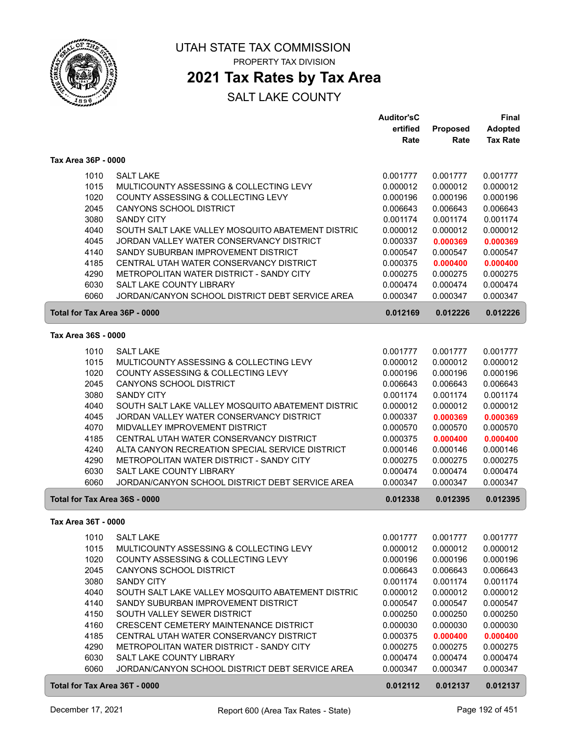

### **2021 Tax Rates by Tax Area**

|                               |                                                                                     | <b>Auditor'sC</b>    |                      | <b>Final</b>         |
|-------------------------------|-------------------------------------------------------------------------------------|----------------------|----------------------|----------------------|
|                               |                                                                                     | ertified             | Proposed             | <b>Adopted</b>       |
|                               |                                                                                     | Rate                 | Rate                 | <b>Tax Rate</b>      |
| Tax Area 36P - 0000           |                                                                                     |                      |                      |                      |
| 1010                          | <b>SALT LAKE</b>                                                                    | 0.001777             | 0.001777             | 0.001777             |
| 1015                          | MULTICOUNTY ASSESSING & COLLECTING LEVY                                             | 0.000012             | 0.000012             | 0.000012             |
| 1020                          | COUNTY ASSESSING & COLLECTING LEVY                                                  | 0.000196             | 0.000196             | 0.000196             |
| 2045                          | <b>CANYONS SCHOOL DISTRICT</b>                                                      | 0.006643             | 0.006643             | 0.006643             |
| 3080                          | <b>SANDY CITY</b>                                                                   | 0.001174             | 0.001174             | 0.001174             |
| 4040                          | SOUTH SALT LAKE VALLEY MOSQUITO ABATEMENT DISTRIC                                   | 0.000012             | 0.000012             | 0.000012             |
| 4045                          | JORDAN VALLEY WATER CONSERVANCY DISTRICT                                            | 0.000337             | 0.000369             | 0.000369             |
| 4140                          | SANDY SUBURBAN IMPROVEMENT DISTRICT                                                 | 0.000547             | 0.000547             | 0.000547             |
| 4185                          | CENTRAL UTAH WATER CONSERVANCY DISTRICT                                             | 0.000375             | 0.000400             | 0.000400             |
| 4290                          | METROPOLITAN WATER DISTRICT - SANDY CITY                                            | 0.000275             | 0.000275             | 0.000275             |
| 6030                          | <b>SALT LAKE COUNTY LIBRARY</b>                                                     | 0.000474             | 0.000474             | 0.000474             |
| 6060                          | JORDAN/CANYON SCHOOL DISTRICT DEBT SERVICE AREA                                     | 0.000347             | 0.000347             | 0.000347             |
|                               |                                                                                     |                      |                      |                      |
| Total for Tax Area 36P - 0000 |                                                                                     | 0.012169             | 0.012226             | 0.012226             |
| Tax Area 36S - 0000           |                                                                                     |                      |                      |                      |
| 1010                          | <b>SALT LAKE</b>                                                                    | 0.001777             | 0.001777             | 0.001777             |
| 1015                          | MULTICOUNTY ASSESSING & COLLECTING LEVY                                             | 0.000012             | 0.000012             | 0.000012             |
| 1020                          | COUNTY ASSESSING & COLLECTING LEVY                                                  | 0.000196             | 0.000196             | 0.000196             |
| 2045                          | <b>CANYONS SCHOOL DISTRICT</b>                                                      | 0.006643             | 0.006643             | 0.006643             |
| 3080                          | <b>SANDY CITY</b>                                                                   | 0.001174             | 0.001174             | 0.001174             |
| 4040                          | SOUTH SALT LAKE VALLEY MOSQUITO ABATEMENT DISTRIC                                   | 0.000012             | 0.000012             | 0.000012             |
| 4045                          | JORDAN VALLEY WATER CONSERVANCY DISTRICT                                            | 0.000337             | 0.000369             | 0.000369             |
| 4070                          | MIDVALLEY IMPROVEMENT DISTRICT                                                      | 0.000570             | 0.000570             | 0.000570             |
| 4185                          | CENTRAL UTAH WATER CONSERVANCY DISTRICT                                             | 0.000375             | 0.000400             | 0.000400             |
| 4240                          | ALTA CANYON RECREATION SPECIAL SERVICE DISTRICT                                     | 0.000146             | 0.000146             | 0.000146             |
| 4290                          | METROPOLITAN WATER DISTRICT - SANDY CITY                                            | 0.000275             | 0.000275             | 0.000275             |
| 6030                          | SALT LAKE COUNTY LIBRARY                                                            | 0.000474             | 0.000474             | 0.000474             |
| 6060                          | JORDAN/CANYON SCHOOL DISTRICT DEBT SERVICE AREA                                     | 0.000347             | 0.000347             | 0.000347             |
| Total for Tax Area 36S - 0000 |                                                                                     | 0.012338             | 0.012395             | 0.012395             |
| Tax Area 36T - 0000           |                                                                                     |                      |                      |                      |
|                               | <b>SALT LAKE</b>                                                                    |                      |                      | 0.001777             |
| 1010<br>1015                  | MULTICOUNTY ASSESSING & COLLECTING LEVY                                             | 0.001777<br>0.000012 | 0.001777<br>0.000012 | 0.000012             |
| 1020                          | COUNTY ASSESSING & COLLECTING LEVY                                                  |                      | 0.000196             |                      |
| 2045                          | CANYONS SCHOOL DISTRICT                                                             | 0.000196<br>0.006643 | 0.006643             | 0.000196<br>0.006643 |
| 3080                          | <b>SANDY CITY</b>                                                                   | 0.001174             | 0.001174             | 0.001174             |
| 4040                          | SOUTH SALT LAKE VALLEY MOSQUITO ABATEMENT DISTRIC                                   |                      |                      | 0.000012             |
|                               |                                                                                     | 0.000012             | 0.000012             |                      |
| 4140<br>4150                  | SANDY SUBURBAN IMPROVEMENT DISTRICT<br>SOUTH VALLEY SEWER DISTRICT                  | 0.000547<br>0.000250 | 0.000547<br>0.000250 | 0.000547<br>0.000250 |
|                               |                                                                                     |                      |                      |                      |
| 4160                          | CRESCENT CEMETERY MAINTENANCE DISTRICT                                              | 0.000030             | 0.000030             | 0.000030             |
| 4185                          | CENTRAL UTAH WATER CONSERVANCY DISTRICT<br>METROPOLITAN WATER DISTRICT - SANDY CITY | 0.000375             | 0.000400             | 0.000400<br>0.000275 |
| 4290                          |                                                                                     | 0.000275             | 0.000275             |                      |
| 6030<br>6060                  | SALT LAKE COUNTY LIBRARY<br>JORDAN/CANYON SCHOOL DISTRICT DEBT SERVICE AREA         | 0.000474<br>0.000347 | 0.000474<br>0.000347 | 0.000474<br>0.000347 |
|                               |                                                                                     |                      |                      |                      |
| Total for Tax Area 36T - 0000 |                                                                                     | 0.012112             | 0.012137             | 0.012137             |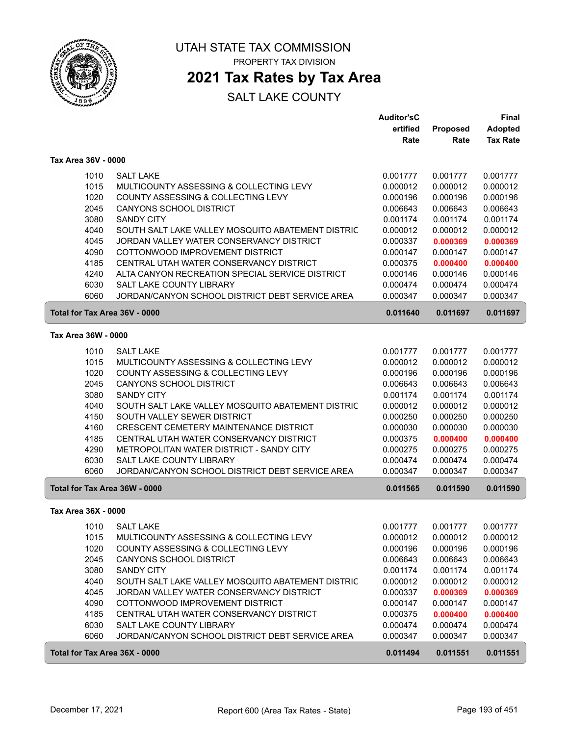

### **2021 Tax Rates by Tax Area**

|                               |                                                   | <b>Auditor'sC</b> |          | <b>Final</b>    |
|-------------------------------|---------------------------------------------------|-------------------|----------|-----------------|
|                               |                                                   | ertified          | Proposed | <b>Adopted</b>  |
|                               |                                                   | Rate              | Rate     | <b>Tax Rate</b> |
| Tax Area 36V - 0000           |                                                   |                   |          |                 |
| 1010                          | <b>SALT LAKE</b>                                  | 0.001777          | 0.001777 | 0.001777        |
| 1015                          | MULTICOUNTY ASSESSING & COLLECTING LEVY           | 0.000012          | 0.000012 | 0.000012        |
| 1020                          | COUNTY ASSESSING & COLLECTING LEVY                | 0.000196          | 0.000196 | 0.000196        |
| 2045                          | <b>CANYONS SCHOOL DISTRICT</b>                    | 0.006643          | 0.006643 | 0.006643        |
| 3080                          | <b>SANDY CITY</b>                                 | 0.001174          | 0.001174 | 0.001174        |
| 4040                          | SOUTH SALT LAKE VALLEY MOSQUITO ABATEMENT DISTRIC | 0.000012          | 0.000012 | 0.000012        |
| 4045                          | JORDAN VALLEY WATER CONSERVANCY DISTRICT          | 0.000337          | 0.000369 | 0.000369        |
| 4090                          | COTTONWOOD IMPROVEMENT DISTRICT                   | 0.000147          | 0.000147 | 0.000147        |
| 4185                          | CENTRAL UTAH WATER CONSERVANCY DISTRICT           | 0.000375          | 0.000400 | 0.000400        |
| 4240                          | ALTA CANYON RECREATION SPECIAL SERVICE DISTRICT   | 0.000146          | 0.000146 | 0.000146        |
| 6030                          | SALT LAKE COUNTY LIBRARY                          | 0.000474          | 0.000474 | 0.000474        |
| 6060                          | JORDAN/CANYON SCHOOL DISTRICT DEBT SERVICE AREA   | 0.000347          | 0.000347 | 0.000347        |
| Total for Tax Area 36V - 0000 |                                                   | 0.011640          | 0.011697 | 0.011697        |
| Tax Area 36W - 0000           |                                                   |                   |          |                 |
| 1010                          | <b>SALT LAKE</b>                                  | 0.001777          | 0.001777 | 0.001777        |
| 1015                          | MULTICOUNTY ASSESSING & COLLECTING LEVY           | 0.000012          | 0.000012 | 0.000012        |
| 1020                          | COUNTY ASSESSING & COLLECTING LEVY                | 0.000196          | 0.000196 | 0.000196        |
| 2045                          | CANYONS SCHOOL DISTRICT                           | 0.006643          | 0.006643 | 0.006643        |
| 3080                          | <b>SANDY CITY</b>                                 | 0.001174          | 0.001174 | 0.001174        |
| 4040                          | SOUTH SALT LAKE VALLEY MOSQUITO ABATEMENT DISTRIC | 0.000012          | 0.000012 | 0.000012        |
| 4150                          | SOUTH VALLEY SEWER DISTRICT                       | 0.000250          | 0.000250 | 0.000250        |
| 4160                          | CRESCENT CEMETERY MAINTENANCE DISTRICT            | 0.000030          | 0.000030 | 0.000030        |
| 4185                          | CENTRAL UTAH WATER CONSERVANCY DISTRICT           | 0.000375          | 0.000400 | 0.000400        |
| 4290                          | METROPOLITAN WATER DISTRICT - SANDY CITY          | 0.000275          | 0.000275 | 0.000275        |
| 6030                          | SALT LAKE COUNTY LIBRARY                          | 0.000474          | 0.000474 | 0.000474        |
| 6060                          | JORDAN/CANYON SCHOOL DISTRICT DEBT SERVICE AREA   | 0.000347          | 0.000347 | 0.000347        |
| Total for Tax Area 36W - 0000 |                                                   | 0.011565          | 0.011590 | 0.011590        |
| Tax Area 36X - 0000           |                                                   |                   |          |                 |
| 1010                          | <b>SALT LAKE</b>                                  | 0.001777          | 0.001777 | 0.001777        |
| 1015                          | MULTICOUNTY ASSESSING & COLLECTING LEVY           | 0.000012          | 0.000012 | 0.000012        |
| 1020                          | COUNTY ASSESSING & COLLECTING LEVY                | 0.000196          | 0.000196 | 0.000196        |
| 2045                          | CANYONS SCHOOL DISTRICT                           | 0.006643          | 0.006643 | 0.006643        |
| 3080                          | <b>SANDY CITY</b>                                 | 0.001174          | 0.001174 | 0.001174        |
| 4040                          | SOUTH SALT LAKE VALLEY MOSQUITO ABATEMENT DISTRIC | 0.000012          | 0.000012 | 0.000012        |
| 4045                          | JORDAN VALLEY WATER CONSERVANCY DISTRICT          | 0.000337          | 0.000369 | 0.000369        |
| 4090                          | COTTONWOOD IMPROVEMENT DISTRICT                   | 0.000147          | 0.000147 | 0.000147        |
| 4185                          | CENTRAL UTAH WATER CONSERVANCY DISTRICT           | 0.000375          | 0.000400 | 0.000400        |
| 6030                          | SALT LAKE COUNTY LIBRARY                          | 0.000474          | 0.000474 | 0.000474        |
| 6060                          | JORDAN/CANYON SCHOOL DISTRICT DEBT SERVICE AREA   | 0.000347          | 0.000347 | 0.000347        |
| Total for Tax Area 36X - 0000 |                                                   | 0.011494          | 0.011551 | 0.011551        |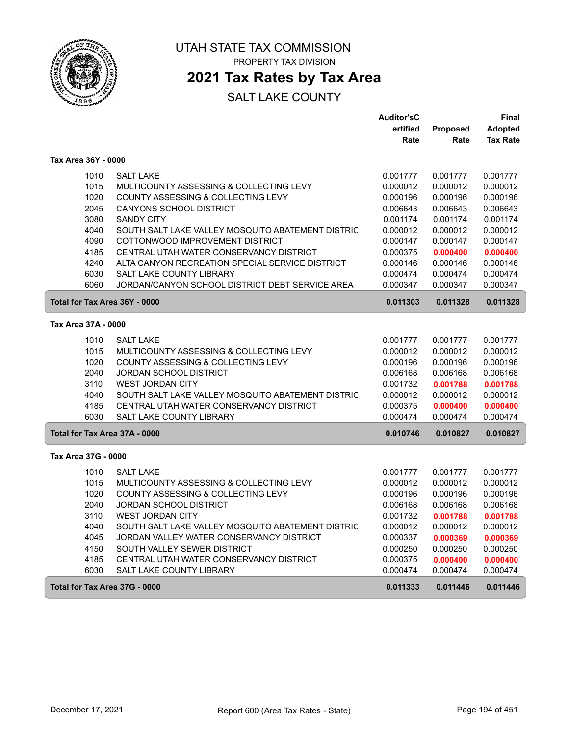

### **2021 Tax Rates by Tax Area**

|                               |                                                   | <b>Auditor'sC</b> |                 | Final           |
|-------------------------------|---------------------------------------------------|-------------------|-----------------|-----------------|
|                               |                                                   | ertified          | <b>Proposed</b> | <b>Adopted</b>  |
|                               |                                                   | Rate              | Rate            | <b>Tax Rate</b> |
| Tax Area 36Y - 0000           |                                                   |                   |                 |                 |
| 1010                          | <b>SALT LAKE</b>                                  | 0.001777          | 0.001777        | 0.001777        |
| 1015                          | MULTICOUNTY ASSESSING & COLLECTING LEVY           | 0.000012          | 0.000012        | 0.000012        |
| 1020                          | COUNTY ASSESSING & COLLECTING LEVY                | 0.000196          | 0.000196        | 0.000196        |
| 2045                          | <b>CANYONS SCHOOL DISTRICT</b>                    | 0.006643          | 0.006643        | 0.006643        |
| 3080                          | <b>SANDY CITY</b>                                 | 0.001174          | 0.001174        | 0.001174        |
| 4040                          | SOUTH SALT LAKE VALLEY MOSQUITO ABATEMENT DISTRIC | 0.000012          | 0.000012        | 0.000012        |
| 4090                          | COTTONWOOD IMPROVEMENT DISTRICT                   | 0.000147          | 0.000147        | 0.000147        |
| 4185                          | CENTRAL UTAH WATER CONSERVANCY DISTRICT           | 0.000375          | 0.000400        | 0.000400        |
| 4240                          | ALTA CANYON RECREATION SPECIAL SERVICE DISTRICT   | 0.000146          | 0.000146        | 0.000146        |
| 6030                          | <b>SALT LAKE COUNTY LIBRARY</b>                   | 0.000474          | 0.000474        | 0.000474        |
| 6060                          | JORDAN/CANYON SCHOOL DISTRICT DEBT SERVICE AREA   | 0.000347          | 0.000347        | 0.000347        |
| Total for Tax Area 36Y - 0000 |                                                   | 0.011303          | 0.011328        | 0.011328        |
| Tax Area 37A - 0000           |                                                   |                   |                 |                 |
| 1010                          | <b>SALT LAKE</b>                                  | 0.001777          | 0.001777        | 0.001777        |
| 1015                          | MULTICOUNTY ASSESSING & COLLECTING LEVY           | 0.000012          | 0.000012        | 0.000012        |
| 1020                          | COUNTY ASSESSING & COLLECTING LEVY                | 0.000196          | 0.000196        | 0.000196        |
| 2040                          | <b>JORDAN SCHOOL DISTRICT</b>                     | 0.006168          | 0.006168        | 0.006168        |
| 3110                          | WEST JORDAN CITY                                  | 0.001732          | 0.001788        | 0.001788        |
| 4040                          | SOUTH SALT LAKE VALLEY MOSQUITO ABATEMENT DISTRIC | 0.000012          | 0.000012        | 0.000012        |
| 4185                          | CENTRAL UTAH WATER CONSERVANCY DISTRICT           | 0.000375          | 0.000400        | 0.000400        |
| 6030                          | <b>SALT LAKE COUNTY LIBRARY</b>                   | 0.000474          | 0.000474        | 0.000474        |
| Total for Tax Area 37A - 0000 |                                                   | 0.010746          | 0.010827        | 0.010827        |
| Tax Area 37G - 0000           |                                                   |                   |                 |                 |
| 1010                          | <b>SALT LAKE</b>                                  | 0.001777          | 0.001777        | 0.001777        |
| 1015                          | MULTICOUNTY ASSESSING & COLLECTING LEVY           | 0.000012          | 0.000012        | 0.000012        |
| 1020                          | COUNTY ASSESSING & COLLECTING LEVY                | 0.000196          | 0.000196        | 0.000196        |
| 2040                          | <b>JORDAN SCHOOL DISTRICT</b>                     | 0.006168          | 0.006168        | 0.006168        |
| 3110                          | <b>WEST JORDAN CITY</b>                           | 0.001732          | 0.001788        | 0.001788        |
| 4040                          | SOUTH SALT LAKE VALLEY MOSQUITO ABATEMENT DISTRIC | 0.000012          | 0.000012        | 0.000012        |
| 4045                          | JORDAN VALLEY WATER CONSERVANCY DISTRICT          | 0.000337          | 0.000369        | 0.000369        |
| 4150                          | SOUTH VALLEY SEWER DISTRICT                       | 0.000250          | 0.000250        | 0.000250        |
| 4185                          | CENTRAL UTAH WATER CONSERVANCY DISTRICT           | 0.000375          | 0.000400        | 0.000400        |
| 6030                          | <b>SALT LAKE COUNTY LIBRARY</b>                   | 0.000474          | 0.000474        | 0.000474        |
| Total for Tax Area 37G - 0000 |                                                   | 0.011333          | 0.011446        | 0.011446        |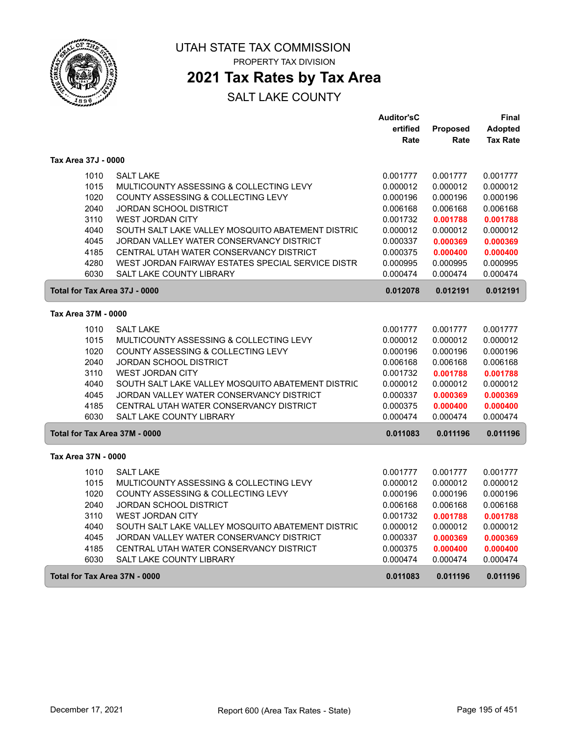

### **2021 Tax Rates by Tax Area**

|                     |                                                   | <b>Auditor'sC</b> |          | Final           |
|---------------------|---------------------------------------------------|-------------------|----------|-----------------|
|                     |                                                   | ertified          | Proposed | <b>Adopted</b>  |
|                     |                                                   | Rate              | Rate     | <b>Tax Rate</b> |
| Tax Area 37J - 0000 |                                                   |                   |          |                 |
| 1010                | <b>SALT LAKE</b>                                  | 0.001777          | 0.001777 | 0.001777        |
| 1015                | MULTICOUNTY ASSESSING & COLLECTING LEVY           | 0.000012          | 0.000012 | 0.000012        |
| 1020                | COUNTY ASSESSING & COLLECTING LEVY                | 0.000196          | 0.000196 | 0.000196        |
| 2040                | <b>JORDAN SCHOOL DISTRICT</b>                     | 0.006168          | 0.006168 | 0.006168        |
| 3110                | <b>WEST JORDAN CITY</b>                           | 0.001732          | 0.001788 | 0.001788        |
| 4040                | SOUTH SALT LAKE VALLEY MOSQUITO ABATEMENT DISTRIC | 0.000012          | 0.000012 | 0.000012        |
| 4045                | JORDAN VALLEY WATER CONSERVANCY DISTRICT          | 0.000337          | 0.000369 | 0.000369        |
| 4185                | CENTRAL UTAH WATER CONSERVANCY DISTRICT           | 0.000375          | 0.000400 | 0.000400        |
| 4280                | WEST JORDAN FAIRWAY ESTATES SPECIAL SERVICE DISTR | 0.000995          | 0.000995 | 0.000995        |
| 6030                | <b>SALT LAKE COUNTY LIBRARY</b>                   | 0.000474          | 0.000474 | 0.000474        |
|                     | Total for Tax Area 37J - 0000                     | 0.012078          | 0.012191 | 0.012191        |
| Tax Area 37M - 0000 |                                                   |                   |          |                 |
| 1010                | <b>SALT LAKE</b>                                  | 0.001777          | 0.001777 | 0.001777        |
| 1015                | MULTICOUNTY ASSESSING & COLLECTING LEVY           | 0.000012          | 0.000012 | 0.000012        |
| 1020                | COUNTY ASSESSING & COLLECTING LEVY                | 0.000196          | 0.000196 | 0.000196        |
| 2040                | <b>JORDAN SCHOOL DISTRICT</b>                     | 0.006168          | 0.006168 | 0.006168        |
| 3110                | <b>WEST JORDAN CITY</b>                           | 0.001732          | 0.001788 | 0.001788        |
| 4040                | SOUTH SALT LAKE VALLEY MOSQUITO ABATEMENT DISTRIC | 0.000012          | 0.000012 | 0.000012        |
| 4045                | JORDAN VALLEY WATER CONSERVANCY DISTRICT          | 0.000337          | 0.000369 | 0.000369        |
| 4185                | CENTRAL UTAH WATER CONSERVANCY DISTRICT           | 0.000375          | 0.000400 | 0.000400        |
| 6030                | <b>SALT LAKE COUNTY LIBRARY</b>                   | 0.000474          | 0.000474 | 0.000474        |
|                     | Total for Tax Area 37M - 0000                     | 0.011083          | 0.011196 | 0.011196        |
| Tax Area 37N - 0000 |                                                   |                   |          |                 |
| 1010                | <b>SALT LAKE</b>                                  | 0.001777          | 0.001777 | 0.001777        |
| 1015                | MULTICOUNTY ASSESSING & COLLECTING LEVY           | 0.000012          | 0.000012 | 0.000012        |
| 1020                | COUNTY ASSESSING & COLLECTING LEVY                | 0.000196          | 0.000196 | 0.000196        |
| 2040                | JORDAN SCHOOL DISTRICT                            | 0.006168          | 0.006168 | 0.006168        |
| 3110                | <b>WEST JORDAN CITY</b>                           | 0.001732          | 0.001788 | 0.001788        |
| 4040                | SOUTH SALT LAKE VALLEY MOSQUITO ABATEMENT DISTRIC | 0.000012          | 0.000012 | 0.000012        |
| 4045                | JORDAN VALLEY WATER CONSERVANCY DISTRICT          | 0.000337          | 0.000369 | 0.000369        |
| 4185                | CENTRAL UTAH WATER CONSERVANCY DISTRICT           | 0.000375          | 0.000400 | 0.000400        |
| 6030                | SALT LAKE COUNTY LIBRARY                          | 0.000474          | 0.000474 | 0.000474        |
|                     | Total for Tax Area 37N - 0000                     | 0.011083          | 0.011196 | 0.011196        |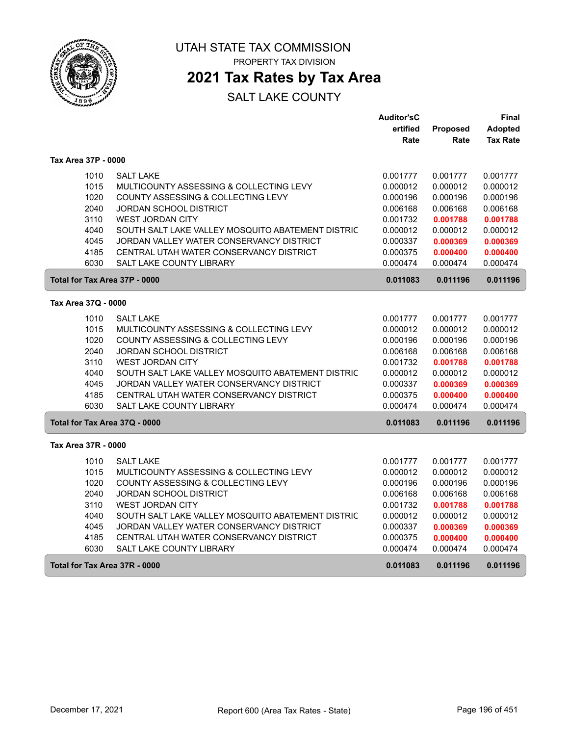

## **2021 Tax Rates by Tax Area**

|                               |                                                   | <b>Auditor'sC</b> |          | Final           |
|-------------------------------|---------------------------------------------------|-------------------|----------|-----------------|
|                               |                                                   | ertified          | Proposed | Adopted         |
|                               |                                                   | Rate              | Rate     | <b>Tax Rate</b> |
| Tax Area 37P - 0000           |                                                   |                   |          |                 |
| 1010                          | <b>SALT LAKE</b>                                  | 0.001777          | 0.001777 | 0.001777        |
| 1015                          | MULTICOUNTY ASSESSING & COLLECTING LEVY           | 0.000012          | 0.000012 | 0.000012        |
| 1020                          | COUNTY ASSESSING & COLLECTING LEVY                | 0.000196          | 0.000196 | 0.000196        |
| 2040                          | <b>JORDAN SCHOOL DISTRICT</b>                     | 0.006168          | 0.006168 | 0.006168        |
| 3110                          | <b>WEST JORDAN CITY</b>                           | 0.001732          | 0.001788 | 0.001788        |
| 4040                          | SOUTH SALT LAKE VALLEY MOSQUITO ABATEMENT DISTRIC | 0.000012          | 0.000012 | 0.000012        |
| 4045                          | JORDAN VALLEY WATER CONSERVANCY DISTRICT          | 0.000337          | 0.000369 | 0.000369        |
| 4185                          | CENTRAL UTAH WATER CONSERVANCY DISTRICT           | 0.000375          | 0.000400 | 0.000400        |
| 6030                          | <b>SALT LAKE COUNTY LIBRARY</b>                   | 0.000474          | 0.000474 | 0.000474        |
| Total for Tax Area 37P - 0000 |                                                   | 0.011083          | 0.011196 | 0.011196        |
| Tax Area 37Q - 0000           |                                                   |                   |          |                 |
| 1010                          | <b>SALT LAKE</b>                                  | 0.001777          | 0.001777 | 0.001777        |
| 1015                          | MULTICOUNTY ASSESSING & COLLECTING LEVY           | 0.000012          | 0.000012 | 0.000012        |
| 1020                          | COUNTY ASSESSING & COLLECTING LEVY                | 0.000196          | 0.000196 | 0.000196        |
| 2040                          | JORDAN SCHOOL DISTRICT                            | 0.006168          | 0.006168 | 0.006168        |
| 3110                          | <b>WEST JORDAN CITY</b>                           | 0.001732          | 0.001788 | 0.001788        |
| 4040                          | SOUTH SALT LAKE VALLEY MOSQUITO ABATEMENT DISTRIC | 0.000012          | 0.000012 | 0.000012        |
| 4045                          | JORDAN VALLEY WATER CONSERVANCY DISTRICT          | 0.000337          | 0.000369 | 0.000369        |
| 4185                          | CENTRAL UTAH WATER CONSERVANCY DISTRICT           | 0.000375          | 0.000400 | 0.000400        |
| 6030                          | <b>SALT LAKE COUNTY LIBRARY</b>                   | 0.000474          | 0.000474 | 0.000474        |
| Total for Tax Area 37Q - 0000 |                                                   | 0.011083          | 0.011196 | 0.011196        |
| Tax Area 37R - 0000           |                                                   |                   |          |                 |
| 1010                          | <b>SALT LAKE</b>                                  | 0.001777          | 0.001777 | 0.001777        |
| 1015                          | MULTICOUNTY ASSESSING & COLLECTING LEVY           | 0.000012          | 0.000012 | 0.000012        |
| 1020                          | COUNTY ASSESSING & COLLECTING LEVY                | 0.000196          | 0.000196 | 0.000196        |
| 2040                          | <b>JORDAN SCHOOL DISTRICT</b>                     | 0.006168          | 0.006168 | 0.006168        |
| 3110                          | <b>WEST JORDAN CITY</b>                           | 0.001732          | 0.001788 | 0.001788        |
| 4040                          | SOUTH SALT LAKE VALLEY MOSQUITO ABATEMENT DISTRIC | 0.000012          | 0.000012 | 0.000012        |
| 4045                          | JORDAN VALLEY WATER CONSERVANCY DISTRICT          | 0.000337          | 0.000369 | 0.000369        |
| 4185                          | CENTRAL UTAH WATER CONSERVANCY DISTRICT           | 0.000375          | 0.000400 | 0.000400        |
| 6030                          | <b>SALT LAKE COUNTY LIBRARY</b>                   | 0.000474          | 0.000474 | 0.000474        |
| Total for Tax Area 37R - 0000 |                                                   | 0.011083          | 0.011196 | 0.011196        |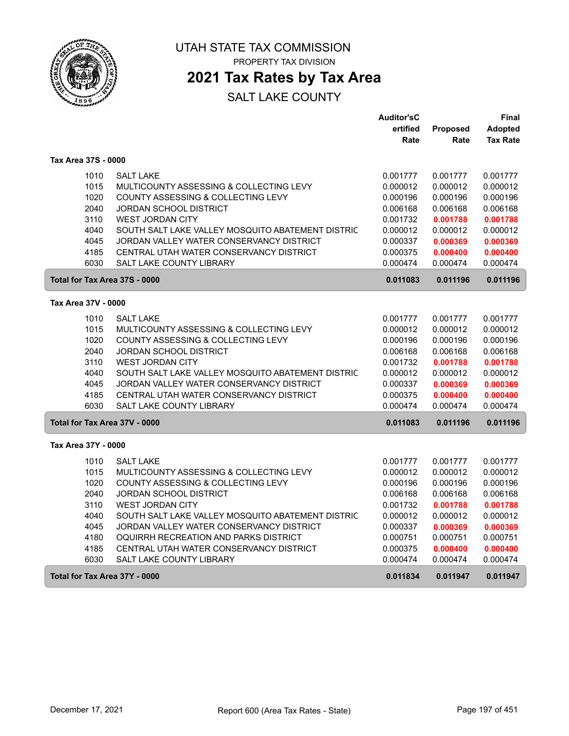

## **2021 Tax Rates by Tax Area**

#### SALT LAKE COUNTY

|                               |                                                   | <b>Auditor'sC</b> |          | Final           |
|-------------------------------|---------------------------------------------------|-------------------|----------|-----------------|
|                               |                                                   | ertified          | Proposed | <b>Adopted</b>  |
|                               |                                                   | Rate              | Rate     | <b>Tax Rate</b> |
| Tax Area 37S - 0000           |                                                   |                   |          |                 |
| 1010                          | <b>SALT LAKE</b>                                  | 0.001777          | 0.001777 | 0.001777        |
| 1015                          | MULTICOUNTY ASSESSING & COLLECTING LEVY           | 0.000012          | 0.000012 | 0.000012        |
| 1020                          | COUNTY ASSESSING & COLLECTING LEVY                | 0.000196          | 0.000196 | 0.000196        |
| 2040                          | JORDAN SCHOOL DISTRICT                            | 0.006168          | 0.006168 | 0.006168        |
| 3110                          | <b>WEST JORDAN CITY</b>                           | 0.001732          | 0.001788 | 0.001788        |
| 4040                          | SOUTH SALT LAKE VALLEY MOSQUITO ABATEMENT DISTRIC | 0.000012          | 0.000012 | 0.000012        |
| 4045                          | JORDAN VALLEY WATER CONSERVANCY DISTRICT          | 0.000337          | 0.000369 | 0.000369        |
| 4185                          | CENTRAL UTAH WATER CONSERVANCY DISTRICT           | 0.000375          | 0.000400 | 0.000400        |
| 6030                          | SALT LAKE COUNTY LIBRARY                          | 0.000474          | 0.000474 | 0.000474        |
| Total for Tax Area 37S - 0000 |                                                   | 0.011083          | 0.011196 | 0.011196        |
| Tax Area 37V - 0000           |                                                   |                   |          |                 |
| 1010                          | <b>SALT LAKE</b>                                  | 0.001777          | 0.001777 | 0.001777        |
| 1015                          | MULTICOUNTY ASSESSING & COLLECTING LEVY           | 0.000012          | 0.000012 | 0.000012        |
| 1020                          | COUNTY ASSESSING & COLLECTING LEVY                | 0.000196          | 0.000196 | 0.000196        |
| 2040                          | <b>JORDAN SCHOOL DISTRICT</b>                     | 0.006168          | 0.006168 | 0.006168        |
| 3110                          | <b>WEST JORDAN CITY</b>                           | 0.001732          | 0.001788 | 0.001788        |
| 4040                          | SOUTH SALT LAKE VALLEY MOSQUITO ABATEMENT DISTRIC | 0.000012          | 0.000012 | 0.000012        |
| 4045                          | JORDAN VALLEY WATER CONSERVANCY DISTRICT          | 0.000337          | 0.000369 | 0.000369        |
| 4185                          | CENTRAL UTAH WATER CONSERVANCY DISTRICT           | 0.000375          | 0.000400 | 0.000400        |
| 6030                          | SALT LAKE COUNTY LIBRARY                          | 0.000474          | 0.000474 | 0.000474        |
| Total for Tax Area 37V - 0000 |                                                   | 0.011083          | 0.011196 | 0.011196        |
| Tax Area 37Y - 0000           |                                                   |                   |          |                 |
| 1010                          | <b>SALT LAKE</b>                                  | 0.001777          | 0.001777 | 0.001777        |
| 1015                          | MULTICOUNTY ASSESSING & COLLECTING LEVY           | 0.000012          | 0.000012 | 0.000012        |
| 1020                          | COUNTY ASSESSING & COLLECTING LEVY                | 0.000196          | 0.000196 | 0.000196        |
| 2040                          | <b>JORDAN SCHOOL DISTRICT</b>                     | 0.006168          | 0.006168 | 0.006168        |
| 3110                          | WEST JORDAN CITY                                  | 0.001732          | 0.001788 | 0.001788        |
| 4040                          | SOUTH SALT LAKE VALLEY MOSQUITO ABATEMENT DISTRIC | 0.000012          | 0.000012 | 0.000012        |
| 4045                          | JORDAN VALLEY WATER CONSERVANCY DISTRICT          | 0.000337          | 0.000369 | 0.000369        |
| 4180                          | OQUIRRH RECREATION AND PARKS DISTRICT             | 0.000751          | 0.000751 | 0.000751        |
| 4185                          | CENTRAL UTAH WATER CONSERVANCY DISTRICT           | 0.000375          | 0.000400 | 0.000400        |
| 6030                          | SALT LAKE COUNTY LIBRARY                          | 0.000474          | 0.000474 | 0.000474        |
| Total for Tax Area 37Y - 0000 |                                                   | 0.011834          | 0.011947 | 0.011947        |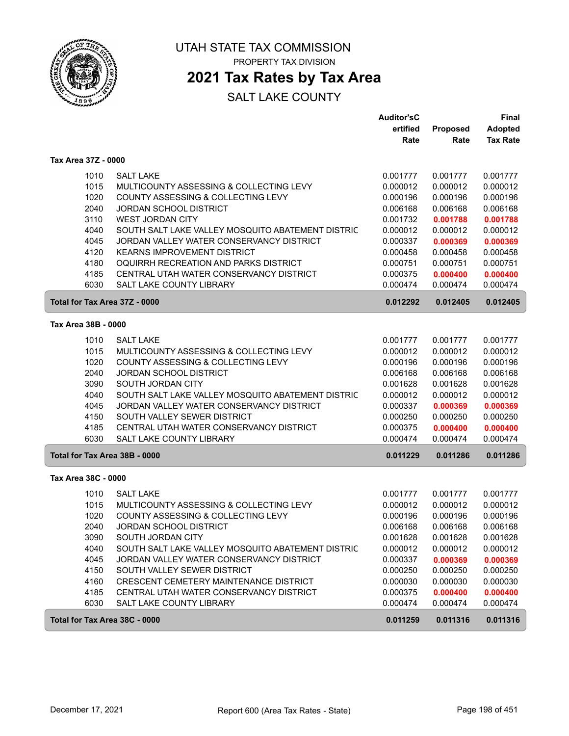

### **2021 Tax Rates by Tax Area**

|                               |                                                   | <b>Auditor'sC</b><br>ertified | Proposed | <b>Final</b><br><b>Adopted</b> |
|-------------------------------|---------------------------------------------------|-------------------------------|----------|--------------------------------|
|                               |                                                   | Rate                          | Rate     | <b>Tax Rate</b>                |
| Tax Area 37Z - 0000           |                                                   |                               |          |                                |
| 1010                          | <b>SALT LAKE</b>                                  | 0.001777                      | 0.001777 | 0.001777                       |
| 1015                          | MULTICOUNTY ASSESSING & COLLECTING LEVY           | 0.000012                      | 0.000012 | 0.000012                       |
| 1020                          | COUNTY ASSESSING & COLLECTING LEVY                | 0.000196                      | 0.000196 | 0.000196                       |
| 2040                          | <b>JORDAN SCHOOL DISTRICT</b>                     | 0.006168                      | 0.006168 | 0.006168                       |
| 3110                          | <b>WEST JORDAN CITY</b>                           | 0.001732                      | 0.001788 | 0.001788                       |
| 4040                          | SOUTH SALT LAKE VALLEY MOSQUITO ABATEMENT DISTRIC | 0.000012                      | 0.000012 | 0.000012                       |
| 4045                          | JORDAN VALLEY WATER CONSERVANCY DISTRICT          | 0.000337                      | 0.000369 | 0.000369                       |
| 4120                          | <b>KEARNS IMPROVEMENT DISTRICT</b>                | 0.000458                      | 0.000458 | 0.000458                       |
| 4180                          | OQUIRRH RECREATION AND PARKS DISTRICT             | 0.000751                      | 0.000751 | 0.000751                       |
| 4185                          | CENTRAL UTAH WATER CONSERVANCY DISTRICT           | 0.000375                      | 0.000400 | 0.000400                       |
| 6030                          | <b>SALT LAKE COUNTY LIBRARY</b>                   | 0.000474                      | 0.000474 | 0.000474                       |
| Total for Tax Area 37Z - 0000 |                                                   | 0.012292                      | 0.012405 | 0.012405                       |
| Tax Area 38B - 0000           |                                                   |                               |          |                                |
| 1010                          | <b>SALT LAKE</b>                                  | 0.001777                      | 0.001777 | 0.001777                       |
| 1015                          | MULTICOUNTY ASSESSING & COLLECTING LEVY           | 0.000012                      | 0.000012 | 0.000012                       |
| 1020                          | COUNTY ASSESSING & COLLECTING LEVY                | 0.000196                      | 0.000196 | 0.000196                       |
| 2040                          | <b>JORDAN SCHOOL DISTRICT</b>                     | 0.006168                      | 0.006168 | 0.006168                       |
| 3090                          | SOUTH JORDAN CITY                                 | 0.001628                      | 0.001628 | 0.001628                       |
| 4040                          | SOUTH SALT LAKE VALLEY MOSQUITO ABATEMENT DISTRIC | 0.000012                      | 0.000012 | 0.000012                       |
| 4045                          | JORDAN VALLEY WATER CONSERVANCY DISTRICT          | 0.000337                      | 0.000369 | 0.000369                       |
| 4150                          | SOUTH VALLEY SEWER DISTRICT                       | 0.000250                      | 0.000250 | 0.000250                       |
| 4185                          | CENTRAL UTAH WATER CONSERVANCY DISTRICT           | 0.000375                      | 0.000400 | 0.000400                       |
| 6030                          | SALT LAKE COUNTY LIBRARY                          | 0.000474                      | 0.000474 | 0.000474                       |
| Total for Tax Area 38B - 0000 |                                                   | 0.011229                      | 0.011286 | 0.011286                       |
| Tax Area 38C - 0000           |                                                   |                               |          |                                |
| 1010                          | <b>SALT LAKE</b>                                  | 0.001777                      | 0.001777 | 0.001777                       |
| 1015                          | MULTICOUNTY ASSESSING & COLLECTING LEVY           | 0.000012                      | 0.000012 | 0.000012                       |
| 1020                          | COUNTY ASSESSING & COLLECTING LEVY                | 0.000196                      | 0.000196 | 0.000196                       |
| 2040                          | <b>JORDAN SCHOOL DISTRICT</b>                     | 0.006168                      | 0.006168 | 0.006168                       |
| 3090                          | SOUTH JORDAN CITY                                 | 0.001628                      | 0.001628 | 0.001628                       |
| 4040                          | SOUTH SALT LAKE VALLEY MOSQUITO ABATEMENT DISTRIC | 0.000012                      | 0.000012 | 0.000012                       |
| 4045                          | JORDAN VALLEY WATER CONSERVANCY DISTRICT          | 0.000337                      | 0.000369 | 0.000369                       |
| 4150                          | SOUTH VALLEY SEWER DISTRICT                       | 0.000250                      | 0.000250 | 0.000250                       |
| 4160                          | CRESCENT CEMETERY MAINTENANCE DISTRICT            | 0.000030                      | 0.000030 | 0.000030                       |
| 4185                          | CENTRAL UTAH WATER CONSERVANCY DISTRICT           | 0.000375                      | 0.000400 | 0.000400                       |
| 6030                          | SALT LAKE COUNTY LIBRARY                          | 0.000474                      | 0.000474 | 0.000474                       |
| Total for Tax Area 38C - 0000 |                                                   | 0.011259                      | 0.011316 | 0.011316                       |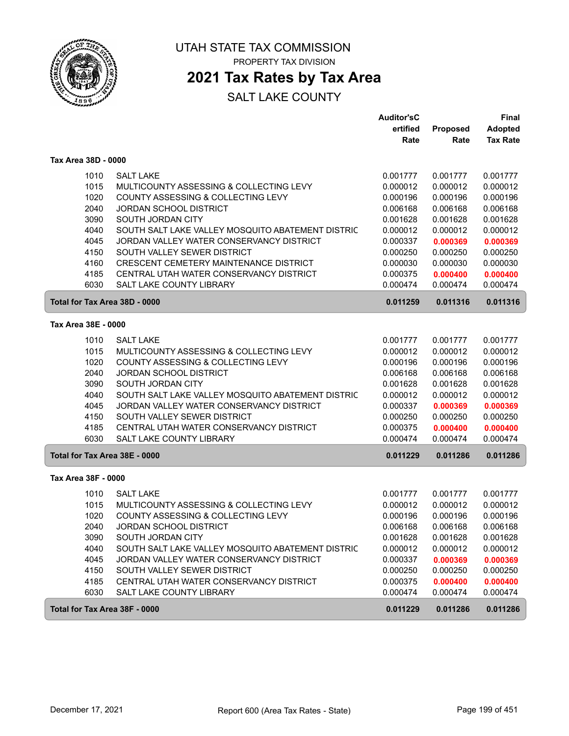

### **2021 Tax Rates by Tax Area**

|                     |                                                   | <b>Auditor'sC</b> |          | Final           |
|---------------------|---------------------------------------------------|-------------------|----------|-----------------|
|                     |                                                   | ertified          | Proposed | <b>Adopted</b>  |
|                     |                                                   | Rate              | Rate     | <b>Tax Rate</b> |
| Tax Area 38D - 0000 |                                                   |                   |          |                 |
| 1010                | <b>SALT LAKE</b>                                  | 0.001777          | 0.001777 | 0.001777        |
| 1015                | MULTICOUNTY ASSESSING & COLLECTING LEVY           | 0.000012          | 0.000012 | 0.000012        |
| 1020                | COUNTY ASSESSING & COLLECTING LEVY                | 0.000196          | 0.000196 | 0.000196        |
| 2040                | <b>JORDAN SCHOOL DISTRICT</b>                     | 0.006168          | 0.006168 | 0.006168        |
| 3090                | SOUTH JORDAN CITY                                 | 0.001628          | 0.001628 | 0.001628        |
| 4040                | SOUTH SALT LAKE VALLEY MOSQUITO ABATEMENT DISTRIC | 0.000012          | 0.000012 | 0.000012        |
| 4045                | JORDAN VALLEY WATER CONSERVANCY DISTRICT          | 0.000337          | 0.000369 | 0.000369        |
| 4150                | SOUTH VALLEY SEWER DISTRICT                       | 0.000250          | 0.000250 | 0.000250        |
| 4160                | CRESCENT CEMETERY MAINTENANCE DISTRICT            | 0.000030          | 0.000030 | 0.000030        |
| 4185                | CENTRAL UTAH WATER CONSERVANCY DISTRICT           | 0.000375          | 0.000400 | 0.000400        |
| 6030                | <b>SALT LAKE COUNTY LIBRARY</b>                   | 0.000474          | 0.000474 | 0.000474        |
|                     | Total for Tax Area 38D - 0000                     | 0.011259          | 0.011316 | 0.011316        |
| Tax Area 38E - 0000 |                                                   |                   |          |                 |
| 1010                | <b>SALT LAKE</b>                                  | 0.001777          | 0.001777 | 0.001777        |
| 1015                | MULTICOUNTY ASSESSING & COLLECTING LEVY           | 0.000012          | 0.000012 | 0.000012        |
| 1020                | COUNTY ASSESSING & COLLECTING LEVY                | 0.000196          | 0.000196 | 0.000196        |
| 2040                | <b>JORDAN SCHOOL DISTRICT</b>                     | 0.006168          | 0.006168 | 0.006168        |
| 3090                | SOUTH JORDAN CITY                                 | 0.001628          | 0.001628 | 0.001628        |
| 4040                | SOUTH SALT LAKE VALLEY MOSQUITO ABATEMENT DISTRIC | 0.000012          | 0.000012 | 0.000012        |
| 4045                | JORDAN VALLEY WATER CONSERVANCY DISTRICT          | 0.000337          | 0.000369 | 0.000369        |
| 4150                | SOUTH VALLEY SEWER DISTRICT                       | 0.000250          | 0.000250 | 0.000250        |
| 4185                | CENTRAL UTAH WATER CONSERVANCY DISTRICT           | 0.000375          | 0.000400 | 0.000400        |
| 6030                | SALT LAKE COUNTY LIBRARY                          | 0.000474          | 0.000474 | 0.000474        |
|                     | Total for Tax Area 38E - 0000                     | 0.011229          | 0.011286 | 0.011286        |
| Tax Area 38F - 0000 |                                                   |                   |          |                 |
| 1010                | <b>SALT LAKE</b>                                  | 0.001777          | 0.001777 | 0.001777        |
| 1015                | MULTICOUNTY ASSESSING & COLLECTING LEVY           | 0.000012          | 0.000012 | 0.000012        |
| 1020                | COUNTY ASSESSING & COLLECTING LEVY                | 0.000196          | 0.000196 | 0.000196        |
| 2040                | <b>JORDAN SCHOOL DISTRICT</b>                     | 0.006168          | 0.006168 | 0.006168        |
| 3090                | SOUTH JORDAN CITY                                 | 0.001628          | 0.001628 | 0.001628        |
| 4040                | SOUTH SALT LAKE VALLEY MOSQUITO ABATEMENT DISTRIC | 0.000012          | 0.000012 | 0.000012        |
| 4045                | JORDAN VALLEY WATER CONSERVANCY DISTRICT          | 0.000337          | 0.000369 | 0.000369        |
| 4150                | SOUTH VALLEY SEWER DISTRICT                       | 0.000250          | 0.000250 | 0.000250        |
| 4185                | CENTRAL UTAH WATER CONSERVANCY DISTRICT           | 0.000375          | 0.000400 | 0.000400        |
| 6030                | SALT LAKE COUNTY LIBRARY                          | 0.000474          | 0.000474 | 0.000474        |
|                     | Total for Tax Area 38F - 0000                     | 0.011229          | 0.011286 | 0.011286        |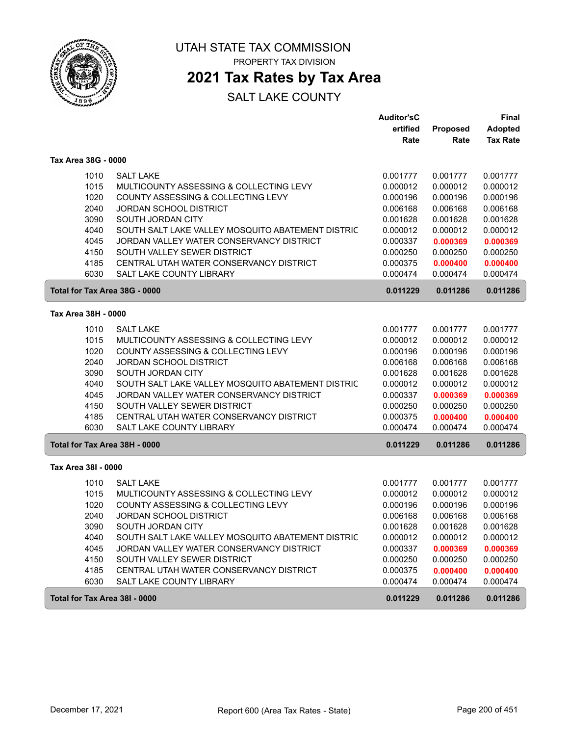

## **2021 Tax Rates by Tax Area**

|                               |                                                   | <b>Auditor'sC</b> |                 | <b>Final</b>    |
|-------------------------------|---------------------------------------------------|-------------------|-----------------|-----------------|
|                               |                                                   | ertified          | <b>Proposed</b> | <b>Adopted</b>  |
|                               |                                                   | Rate              | Rate            | <b>Tax Rate</b> |
| Tax Area 38G - 0000           |                                                   |                   |                 |                 |
| 1010                          | <b>SALT LAKE</b>                                  | 0.001777          | 0.001777        | 0.001777        |
| 1015                          | MULTICOUNTY ASSESSING & COLLECTING LEVY           | 0.000012          | 0.000012        | 0.000012        |
| 1020                          | COUNTY ASSESSING & COLLECTING LEVY                | 0.000196          | 0.000196        | 0.000196        |
| 2040                          | <b>JORDAN SCHOOL DISTRICT</b>                     | 0.006168          | 0.006168        | 0.006168        |
| 3090                          | SOUTH JORDAN CITY                                 | 0.001628          | 0.001628        | 0.001628        |
| 4040                          | SOUTH SALT LAKE VALLEY MOSQUITO ABATEMENT DISTRIC | 0.000012          | 0.000012        | 0.000012        |
| 4045                          | JORDAN VALLEY WATER CONSERVANCY DISTRICT          | 0.000337          | 0.000369        | 0.000369        |
| 4150                          | SOUTH VALLEY SEWER DISTRICT                       | 0.000250          | 0.000250        | 0.000250        |
| 4185                          | CENTRAL UTAH WATER CONSERVANCY DISTRICT           | 0.000375          | 0.000400        | 0.000400        |
| 6030                          | SALT LAKE COUNTY LIBRARY                          | 0.000474          | 0.000474        | 0.000474        |
| Total for Tax Area 38G - 0000 |                                                   | 0.011229          | 0.011286        | 0.011286        |
| Tax Area 38H - 0000           |                                                   |                   |                 |                 |
| 1010                          | <b>SALT LAKE</b>                                  | 0.001777          | 0.001777        | 0.001777        |
| 1015                          | MULTICOUNTY ASSESSING & COLLECTING LEVY           | 0.000012          | 0.000012        | 0.000012        |
| 1020                          | COUNTY ASSESSING & COLLECTING LEVY                | 0.000196          | 0.000196        | 0.000196        |
| 2040                          | <b>JORDAN SCHOOL DISTRICT</b>                     | 0.006168          | 0.006168        | 0.006168        |
| 3090                          | SOUTH JORDAN CITY                                 | 0.001628          | 0.001628        | 0.001628        |
| 4040                          | SOUTH SALT LAKE VALLEY MOSQUITO ABATEMENT DISTRIC | 0.000012          | 0.000012        | 0.000012        |
| 4045                          | JORDAN VALLEY WATER CONSERVANCY DISTRICT          | 0.000337          | 0.000369        | 0.000369        |
| 4150                          | SOUTH VALLEY SEWER DISTRICT                       | 0.000250          | 0.000250        | 0.000250        |
| 4185                          | CENTRAL UTAH WATER CONSERVANCY DISTRICT           | 0.000375          | 0.000400        | 0.000400        |
| 6030                          | SALT LAKE COUNTY LIBRARY                          | 0.000474          | 0.000474        | 0.000474        |
| Total for Tax Area 38H - 0000 |                                                   | 0.011229          | 0.011286        | 0.011286        |
| Tax Area 38I - 0000           |                                                   |                   |                 |                 |
|                               |                                                   |                   |                 |                 |
| 1010                          | <b>SALT LAKE</b>                                  | 0.001777          | 0.001777        | 0.001777        |
| 1015                          | MULTICOUNTY ASSESSING & COLLECTING LEVY           | 0.000012          | 0.000012        | 0.000012        |
| 1020                          | COUNTY ASSESSING & COLLECTING LEVY                | 0.000196          | 0.000196        | 0.000196        |
| 2040                          | <b>JORDAN SCHOOL DISTRICT</b>                     | 0.006168          | 0.006168        | 0.006168        |
| 3090                          | SOUTH JORDAN CITY                                 | 0.001628          | 0.001628        | 0.001628        |
| 4040                          | SOUTH SALT LAKE VALLEY MOSQUITO ABATEMENT DISTRIC | 0.000012          | 0.000012        | 0.000012        |
| 4045                          | JORDAN VALLEY WATER CONSERVANCY DISTRICT          | 0.000337          | 0.000369        | 0.000369        |
| 4150                          | SOUTH VALLEY SEWER DISTRICT                       | 0.000250          | 0.000250        | 0.000250        |
| 4185                          | CENTRAL UTAH WATER CONSERVANCY DISTRICT           | 0.000375          | 0.000400        | 0.000400        |
| 6030                          | SALT LAKE COUNTY LIBRARY                          | 0.000474          | 0.000474        | 0.000474        |
| Total for Tax Area 38I - 0000 |                                                   | 0.011229          | 0.011286        | 0.011286        |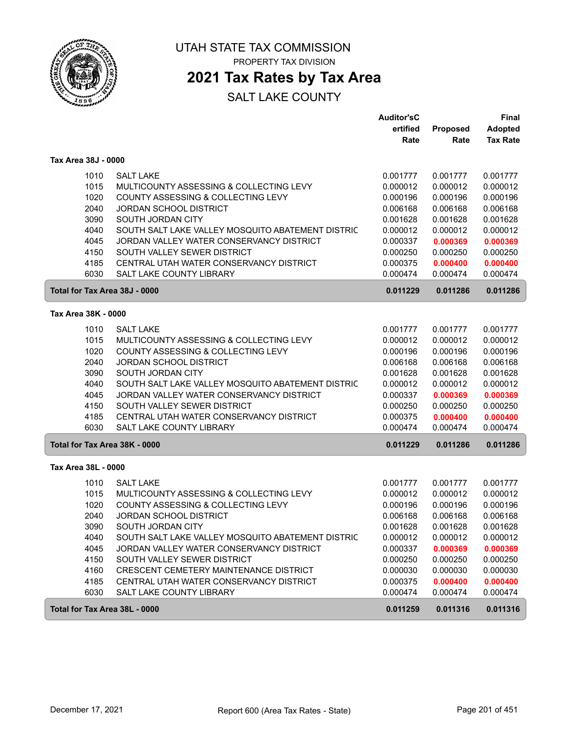

### **2021 Tax Rates by Tax Area**

|                               |                                                   | <b>Auditor'sC</b> |          | Final           |
|-------------------------------|---------------------------------------------------|-------------------|----------|-----------------|
|                               |                                                   | ertified          | Proposed | <b>Adopted</b>  |
|                               |                                                   | Rate              | Rate     | <b>Tax Rate</b> |
| Tax Area 38J - 0000           |                                                   |                   |          |                 |
| 1010                          | <b>SALT LAKE</b>                                  | 0.001777          | 0.001777 | 0.001777        |
| 1015                          | MULTICOUNTY ASSESSING & COLLECTING LEVY           | 0.000012          | 0.000012 | 0.000012        |
| 1020                          | COUNTY ASSESSING & COLLECTING LEVY                | 0.000196          | 0.000196 | 0.000196        |
| 2040                          | <b>JORDAN SCHOOL DISTRICT</b>                     | 0.006168          | 0.006168 | 0.006168        |
| 3090                          | SOUTH JORDAN CITY                                 | 0.001628          | 0.001628 | 0.001628        |
| 4040                          | SOUTH SALT LAKE VALLEY MOSQUITO ABATEMENT DISTRIC | 0.000012          | 0.000012 | 0.000012        |
| 4045                          | JORDAN VALLEY WATER CONSERVANCY DISTRICT          | 0.000337          | 0.000369 | 0.000369        |
| 4150                          | SOUTH VALLEY SEWER DISTRICT                       | 0.000250          | 0.000250 | 0.000250        |
| 4185                          | CENTRAL UTAH WATER CONSERVANCY DISTRICT           | 0.000375          | 0.000400 | 0.000400        |
| 6030                          | <b>SALT LAKE COUNTY LIBRARY</b>                   | 0.000474          | 0.000474 | 0.000474        |
| Total for Tax Area 38J - 0000 |                                                   | 0.011229          | 0.011286 | 0.011286        |
| Tax Area 38K - 0000           |                                                   |                   |          |                 |
| 1010                          | <b>SALT LAKE</b>                                  | 0.001777          | 0.001777 | 0.001777        |
| 1015                          | MULTICOUNTY ASSESSING & COLLECTING LEVY           | 0.000012          | 0.000012 | 0.000012        |
| 1020                          | COUNTY ASSESSING & COLLECTING LEVY                | 0.000196          | 0.000196 | 0.000196        |
| 2040                          | <b>JORDAN SCHOOL DISTRICT</b>                     | 0.006168          | 0.006168 | 0.006168        |
| 3090                          | SOUTH JORDAN CITY                                 | 0.001628          | 0.001628 | 0.001628        |
| 4040                          | SOUTH SALT LAKE VALLEY MOSQUITO ABATEMENT DISTRIC | 0.000012          | 0.000012 | 0.000012        |
| 4045                          | JORDAN VALLEY WATER CONSERVANCY DISTRICT          | 0.000337          | 0.000369 | 0.000369        |
| 4150                          | SOUTH VALLEY SEWER DISTRICT                       | 0.000250          | 0.000250 | 0.000250        |
| 4185                          | CENTRAL UTAH WATER CONSERVANCY DISTRICT           | 0.000375          | 0.000400 | 0.000400        |
| 6030                          | SALT LAKE COUNTY LIBRARY                          | 0.000474          | 0.000474 | 0.000474        |
| Total for Tax Area 38K - 0000 |                                                   | 0.011229          | 0.011286 | 0.011286        |
| Tax Area 38L - 0000           |                                                   |                   |          |                 |
| 1010                          | <b>SALT LAKE</b>                                  | 0.001777          | 0.001777 | 0.001777        |
| 1015                          | MULTICOUNTY ASSESSING & COLLECTING LEVY           | 0.000012          | 0.000012 | 0.000012        |
| 1020                          | COUNTY ASSESSING & COLLECTING LEVY                | 0.000196          | 0.000196 | 0.000196        |
| 2040                          | <b>JORDAN SCHOOL DISTRICT</b>                     | 0.006168          | 0.006168 | 0.006168        |
| 3090                          | SOUTH JORDAN CITY                                 | 0.001628          | 0.001628 | 0.001628        |
| 4040                          | SOUTH SALT LAKE VALLEY MOSQUITO ABATEMENT DISTRIC | 0.000012          | 0.000012 | 0.000012        |
| 4045                          | JORDAN VALLEY WATER CONSERVANCY DISTRICT          | 0.000337          | 0.000369 | 0.000369        |
| 4150                          | SOUTH VALLEY SEWER DISTRICT                       | 0.000250          | 0.000250 | 0.000250        |
| 4160                          | CRESCENT CEMETERY MAINTENANCE DISTRICT            | 0.000030          | 0.000030 | 0.000030        |
| 4185                          | CENTRAL UTAH WATER CONSERVANCY DISTRICT           | 0.000375          | 0.000400 | 0.000400        |
| 6030                          | SALT LAKE COUNTY LIBRARY                          | 0.000474          | 0.000474 | 0.000474        |
| Total for Tax Area 38L - 0000 |                                                   | 0.011259          | 0.011316 | 0.011316        |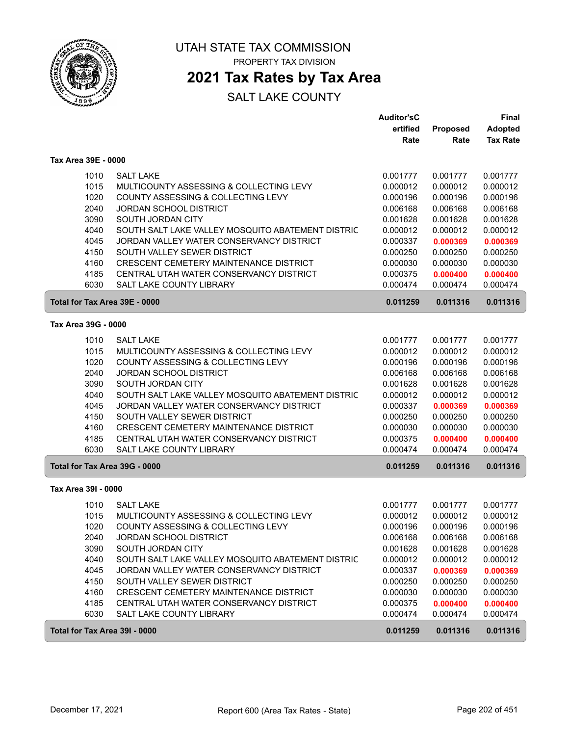

### **2021 Tax Rates by Tax Area**

|                               |                                                                                   | <b>Auditor'sC</b><br>ertified | Proposed             | <b>Final</b><br><b>Adopted</b> |
|-------------------------------|-----------------------------------------------------------------------------------|-------------------------------|----------------------|--------------------------------|
|                               |                                                                                   | Rate                          | Rate                 | <b>Tax Rate</b>                |
| Tax Area 39E - 0000           |                                                                                   |                               |                      |                                |
| 1010                          | <b>SALT LAKE</b>                                                                  | 0.001777                      | 0.001777             | 0.001777                       |
| 1015                          | MULTICOUNTY ASSESSING & COLLECTING LEVY                                           | 0.000012                      | 0.000012             | 0.000012                       |
| 1020                          | COUNTY ASSESSING & COLLECTING LEVY                                                | 0.000196                      | 0.000196             | 0.000196                       |
| 2040                          | <b>JORDAN SCHOOL DISTRICT</b>                                                     | 0.006168                      | 0.006168             | 0.006168                       |
| 3090                          | SOUTH JORDAN CITY                                                                 | 0.001628                      | 0.001628             | 0.001628                       |
| 4040                          | SOUTH SALT LAKE VALLEY MOSQUITO ABATEMENT DISTRIC                                 | 0.000012                      | 0.000012             | 0.000012                       |
| 4045                          | JORDAN VALLEY WATER CONSERVANCY DISTRICT                                          | 0.000337                      | 0.000369             | 0.000369                       |
| 4150                          | SOUTH VALLEY SEWER DISTRICT                                                       | 0.000250                      | 0.000250             | 0.000250                       |
| 4160<br>4185                  | CRESCENT CEMETERY MAINTENANCE DISTRICT<br>CENTRAL UTAH WATER CONSERVANCY DISTRICT | 0.000030<br>0.000375          | 0.000030             | 0.000030                       |
| 6030                          | <b>SALT LAKE COUNTY LIBRARY</b>                                                   | 0.000474                      | 0.000400<br>0.000474 | 0.000400<br>0.000474           |
| Total for Tax Area 39E - 0000 |                                                                                   | 0.011259                      | 0.011316             | 0.011316                       |
| Tax Area 39G - 0000           |                                                                                   |                               |                      |                                |
| 1010                          | <b>SALT LAKE</b>                                                                  | 0.001777                      | 0.001777             | 0.001777                       |
| 1015                          | MULTICOUNTY ASSESSING & COLLECTING LEVY                                           | 0.000012                      | 0.000012             | 0.000012                       |
| 1020                          | COUNTY ASSESSING & COLLECTING LEVY                                                | 0.000196                      | 0.000196             | 0.000196                       |
| 2040                          | <b>JORDAN SCHOOL DISTRICT</b>                                                     | 0.006168                      | 0.006168             | 0.006168                       |
| 3090                          | SOUTH JORDAN CITY                                                                 | 0.001628                      | 0.001628             | 0.001628                       |
| 4040                          | SOUTH SALT LAKE VALLEY MOSQUITO ABATEMENT DISTRIC                                 | 0.000012                      | 0.000012             | 0.000012                       |
| 4045                          | JORDAN VALLEY WATER CONSERVANCY DISTRICT                                          | 0.000337                      | 0.000369             | 0.000369                       |
| 4150                          | SOUTH VALLEY SEWER DISTRICT                                                       | 0.000250                      | 0.000250             | 0.000250                       |
| 4160                          | CRESCENT CEMETERY MAINTENANCE DISTRICT                                            | 0.000030                      | 0.000030             | 0.000030                       |
| 4185                          | CENTRAL UTAH WATER CONSERVANCY DISTRICT                                           | 0.000375                      | 0.000400             | 0.000400                       |
| 6030                          | <b>SALT LAKE COUNTY LIBRARY</b>                                                   | 0.000474                      | 0.000474             | 0.000474                       |
| Total for Tax Area 39G - 0000 |                                                                                   | 0.011259                      | 0.011316             | 0.011316                       |
| Tax Area 39I - 0000           |                                                                                   |                               |                      |                                |
| 1010                          | <b>SALT LAKE</b>                                                                  | 0.001777                      | 0.001777             | 0.001777                       |
| 1015                          | MULTICOUNTY ASSESSING & COLLECTING LEVY                                           | 0.000012                      | 0.000012             | 0.000012                       |
| 1020                          | COUNTY ASSESSING & COLLECTING LEVY                                                | 0.000196                      | 0.000196             | 0.000196                       |
| 2040                          | <b>JORDAN SCHOOL DISTRICT</b>                                                     | 0.006168                      | 0.006168             | 0.006168                       |
| 3090                          | SOUTH JORDAN CITY                                                                 | 0.001628                      | 0.001628             | 0.001628                       |
| 4040                          | SOUTH SALT LAKE VALLEY MOSQUITO ABATEMENT DISTRIC                                 | 0.000012                      | 0.000012             | 0.000012                       |
| 4045                          | JORDAN VALLEY WATER CONSERVANCY DISTRICT                                          | 0.000337                      | 0.000369             | 0.000369                       |
| 4150<br>4160                  | SOUTH VALLEY SEWER DISTRICT<br>CRESCENT CEMETERY MAINTENANCE DISTRICT             | 0.000250<br>0.000030          | 0.000250<br>0.000030 | 0.000250<br>0.000030           |
| 4185                          | CENTRAL UTAH WATER CONSERVANCY DISTRICT                                           | 0.000375                      | 0.000400             | 0.000400                       |
| 6030                          | SALT LAKE COUNTY LIBRARY                                                          | 0.000474                      | 0.000474             | 0.000474                       |
| Total for Tax Area 39I - 0000 |                                                                                   | 0.011259                      | 0.011316             | 0.011316                       |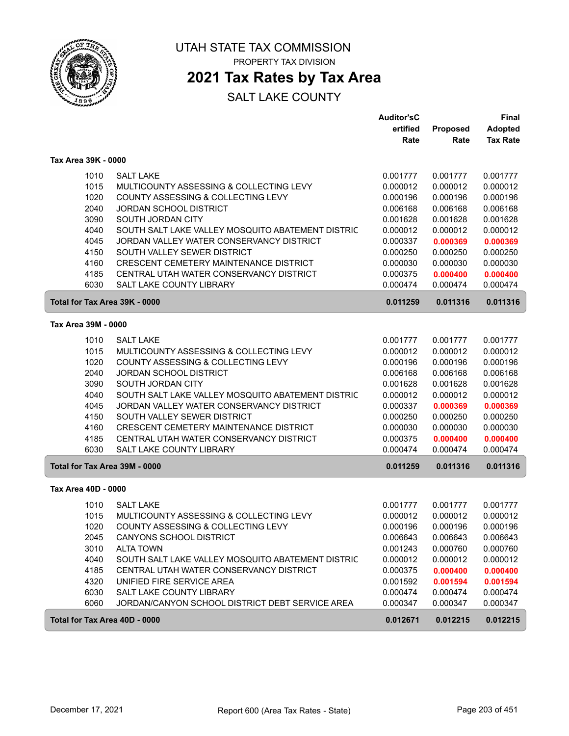

### **2021 Tax Rates by Tax Area**

|                               |                                                   | <b>Auditor'sC</b><br>ertified | Proposed | <b>Final</b><br><b>Adopted</b> |
|-------------------------------|---------------------------------------------------|-------------------------------|----------|--------------------------------|
|                               |                                                   | Rate                          | Rate     | <b>Tax Rate</b>                |
| Tax Area 39K - 0000           |                                                   |                               |          |                                |
| 1010                          | <b>SALT LAKE</b>                                  | 0.001777                      | 0.001777 | 0.001777                       |
| 1015                          | MULTICOUNTY ASSESSING & COLLECTING LEVY           | 0.000012                      | 0.000012 | 0.000012                       |
| 1020                          | COUNTY ASSESSING & COLLECTING LEVY                | 0.000196                      | 0.000196 | 0.000196                       |
| 2040                          | <b>JORDAN SCHOOL DISTRICT</b>                     | 0.006168                      | 0.006168 | 0.006168                       |
| 3090                          | SOUTH JORDAN CITY                                 | 0.001628                      | 0.001628 | 0.001628                       |
| 4040                          | SOUTH SALT LAKE VALLEY MOSQUITO ABATEMENT DISTRIC | 0.000012                      | 0.000012 | 0.000012                       |
| 4045                          | JORDAN VALLEY WATER CONSERVANCY DISTRICT          | 0.000337                      | 0.000369 | 0.000369                       |
| 4150                          | SOUTH VALLEY SEWER DISTRICT                       | 0.000250                      | 0.000250 | 0.000250                       |
| 4160                          | CRESCENT CEMETERY MAINTENANCE DISTRICT            | 0.000030                      | 0.000030 | 0.000030                       |
| 4185                          | CENTRAL UTAH WATER CONSERVANCY DISTRICT           | 0.000375                      | 0.000400 | 0.000400                       |
| 6030                          | <b>SALT LAKE COUNTY LIBRARY</b>                   | 0.000474                      | 0.000474 | 0.000474                       |
| Total for Tax Area 39K - 0000 |                                                   | 0.011259                      | 0.011316 | 0.011316                       |
| Tax Area 39M - 0000           |                                                   |                               |          |                                |
| 1010                          | <b>SALT LAKE</b>                                  | 0.001777                      | 0.001777 | 0.001777                       |
| 1015                          | MULTICOUNTY ASSESSING & COLLECTING LEVY           | 0.000012                      | 0.000012 | 0.000012                       |
| 1020                          | COUNTY ASSESSING & COLLECTING LEVY                | 0.000196                      | 0.000196 | 0.000196                       |
| 2040                          | <b>JORDAN SCHOOL DISTRICT</b>                     | 0.006168                      | 0.006168 | 0.006168                       |
| 3090                          | SOUTH JORDAN CITY                                 | 0.001628                      | 0.001628 | 0.001628                       |
| 4040                          | SOUTH SALT LAKE VALLEY MOSQUITO ABATEMENT DISTRIC | 0.000012                      | 0.000012 | 0.000012                       |
| 4045                          | JORDAN VALLEY WATER CONSERVANCY DISTRICT          | 0.000337                      | 0.000369 | 0.000369                       |
| 4150                          | SOUTH VALLEY SEWER DISTRICT                       | 0.000250                      | 0.000250 | 0.000250                       |
| 4160                          | CRESCENT CEMETERY MAINTENANCE DISTRICT            | 0.000030                      | 0.000030 | 0.000030                       |
| 4185                          | CENTRAL UTAH WATER CONSERVANCY DISTRICT           | 0.000375                      | 0.000400 | 0.000400                       |
| 6030                          | <b>SALT LAKE COUNTY LIBRARY</b>                   | 0.000474                      | 0.000474 | 0.000474                       |
| Total for Tax Area 39M - 0000 |                                                   | 0.011259                      | 0.011316 | 0.011316                       |
| Tax Area 40D - 0000           |                                                   |                               |          |                                |
| 1010                          | <b>SALT LAKE</b>                                  | 0.001777                      | 0.001777 | 0.001777                       |
| 1015                          | MULTICOUNTY ASSESSING & COLLECTING LEVY           | 0.000012                      | 0.000012 | 0.000012                       |
| 1020                          | COUNTY ASSESSING & COLLECTING LEVY                | 0.000196                      | 0.000196 | 0.000196                       |
| 2045                          | CANYONS SCHOOL DISTRICT                           | 0.006643                      | 0.006643 | 0.006643                       |
| 3010                          | <b>ALTA TOWN</b>                                  | 0.001243                      | 0.000760 | 0.000760                       |
| 4040                          | SOUTH SALT LAKE VALLEY MOSQUITO ABATEMENT DISTRIC | 0.000012                      | 0.000012 | 0.000012                       |
| 4185                          | CENTRAL UTAH WATER CONSERVANCY DISTRICT           | 0.000375                      | 0.000400 | 0.000400                       |
| 4320                          | UNIFIED FIRE SERVICE AREA                         | 0.001592                      | 0.001594 | 0.001594                       |
| 6030                          | SALT LAKE COUNTY LIBRARY                          | 0.000474                      | 0.000474 | 0.000474                       |
| 6060                          | JORDAN/CANYON SCHOOL DISTRICT DEBT SERVICE AREA   | 0.000347                      | 0.000347 | 0.000347                       |
| Total for Tax Area 40D - 0000 |                                                   | 0.012671                      | 0.012215 | 0.012215                       |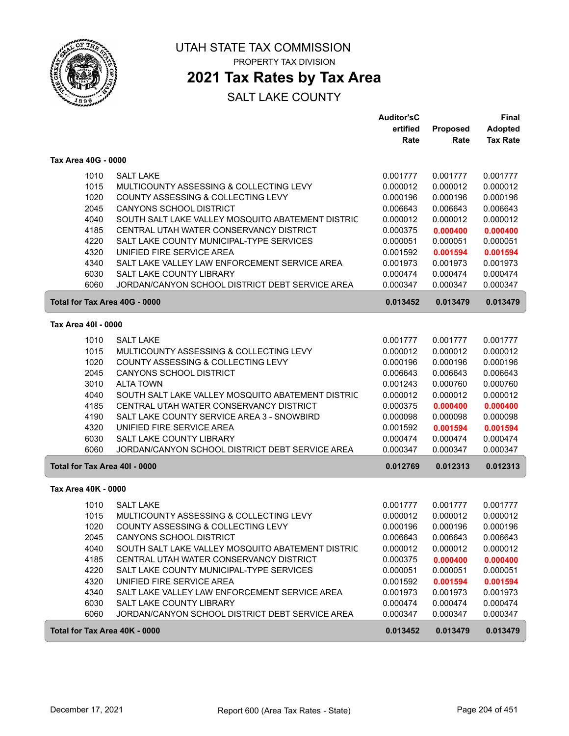

# UTAH STATE TAX COMMISSION

PROPERTY TAX DIVISION

### **2021 Tax Rates by Tax Area**

|                     |                                                                                                     | <b>Auditor'sC</b><br>ertified | Proposed             | Final<br><b>Adopted</b> |
|---------------------|-----------------------------------------------------------------------------------------------------|-------------------------------|----------------------|-------------------------|
|                     |                                                                                                     | Rate                          | Rate                 | <b>Tax Rate</b>         |
| Tax Area 40G - 0000 |                                                                                                     |                               |                      |                         |
|                     | <b>SALT LAKE</b><br>1010                                                                            | 0.001777                      | 0.001777             | 0.001777                |
|                     | 1015<br>MULTICOUNTY ASSESSING & COLLECTING LEVY                                                     | 0.000012                      | 0.000012             | 0.000012                |
|                     | 1020<br>COUNTY ASSESSING & COLLECTING LEVY                                                          | 0.000196                      | 0.000196             | 0.000196                |
|                     | 2045<br><b>CANYONS SCHOOL DISTRICT</b>                                                              | 0.006643                      | 0.006643             | 0.006643                |
|                     | 4040<br>SOUTH SALT LAKE VALLEY MOSQUITO ABATEMENT DISTRIC                                           | 0.000012                      | 0.000012             | 0.000012                |
|                     | 4185<br>CENTRAL UTAH WATER CONSERVANCY DISTRICT                                                     | 0.000375                      | 0.000400             | 0.000400                |
|                     | 4220<br>SALT LAKE COUNTY MUNICIPAL-TYPE SERVICES                                                    | 0.000051                      | 0.000051             | 0.000051                |
|                     | UNIFIED FIRE SERVICE AREA<br>4320                                                                   | 0.001592                      | 0.001594             | 0.001594                |
|                     | SALT LAKE VALLEY LAW ENFORCEMENT SERVICE AREA<br>4340                                               | 0.001973                      | 0.001973             | 0.001973                |
|                     | 6030<br>SALT LAKE COUNTY LIBRARY<br>JORDAN/CANYON SCHOOL DISTRICT DEBT SERVICE AREA                 | 0.000474                      | 0.000474             | 0.000474<br>0.000347    |
|                     | 6060                                                                                                | 0.000347                      | 0.000347             |                         |
|                     | Total for Tax Area 40G - 0000                                                                       | 0.013452                      | 0.013479             | 0.013479                |
| Tax Area 40I - 0000 |                                                                                                     |                               |                      |                         |
|                     | <b>SALT LAKE</b><br>1010                                                                            | 0.001777                      | 0.001777             | 0.001777                |
|                     | 1015<br>MULTICOUNTY ASSESSING & COLLECTING LEVY                                                     | 0.000012                      | 0.000012             | 0.000012                |
|                     | 1020<br>COUNTY ASSESSING & COLLECTING LEVY                                                          | 0.000196                      | 0.000196             | 0.000196                |
|                     | 2045<br><b>CANYONS SCHOOL DISTRICT</b>                                                              | 0.006643                      | 0.006643             | 0.006643                |
|                     | 3010<br><b>ALTA TOWN</b>                                                                            | 0.001243                      | 0.000760             | 0.000760                |
|                     | 4040<br>SOUTH SALT LAKE VALLEY MOSQUITO ABATEMENT DISTRIC                                           | 0.000012                      | 0.000012             | 0.000012                |
|                     | 4185<br>CENTRAL UTAH WATER CONSERVANCY DISTRICT                                                     | 0.000375                      | 0.000400             | 0.000400                |
|                     | 4190<br>SALT LAKE COUNTY SERVICE AREA 3 - SNOWBIRD                                                  | 0.000098                      | 0.000098             | 0.000098                |
|                     | UNIFIED FIRE SERVICE AREA<br>4320                                                                   | 0.001592                      | 0.001594             | 0.001594                |
|                     | 6030<br>SALT LAKE COUNTY LIBRARY                                                                    | 0.000474                      | 0.000474             | 0.000474                |
|                     | 6060<br>JORDAN/CANYON SCHOOL DISTRICT DEBT SERVICE AREA<br>Total for Tax Area 40I - 0000            | 0.000347<br>0.012769          | 0.000347<br>0.012313 | 0.000347<br>0.012313    |
|                     |                                                                                                     |                               |                      |                         |
| Tax Area 40K - 0000 |                                                                                                     |                               |                      |                         |
|                     | 1010<br><b>SALT LAKE</b>                                                                            | 0.001777                      | 0.001777             | 0.001777                |
|                     | 1015<br>MULTICOUNTY ASSESSING & COLLECTING LEVY                                                     | 0.000012                      | 0.000012             | 0.000012                |
|                     | 1020<br>COUNTY ASSESSING & COLLECTING LEVY                                                          | 0.000196                      | 0.000196             | 0.000196                |
|                     | 2045<br><b>CANYONS SCHOOL DISTRICT</b><br>4040<br>SOUTH SALT LAKE VALLEY MOSQUITO ABATEMENT DISTRIC | 0.006643<br>0.000012          | 0.006643<br>0.000012 | 0.006643<br>0.000012    |
|                     | 4185<br>CENTRAL UTAH WATER CONSERVANCY DISTRICT                                                     | 0.000375                      | 0.000400             | 0.000400                |
|                     | 4220<br>SALT LAKE COUNTY MUNICIPAL-TYPE SERVICES                                                    | 0.000051                      | 0.000051             | 0.000051                |
|                     | 4320<br>UNIFIED FIRE SERVICE AREA                                                                   | 0.001592                      | 0.001594             | 0.001594                |
|                     | 4340<br>SALT LAKE VALLEY LAW ENFORCEMENT SERVICE AREA                                               | 0.001973                      | 0.001973             | 0.001973                |
|                     | 6030<br>SALT LAKE COUNTY LIBRARY                                                                    | 0.000474                      | 0.000474             | 0.000474                |
|                     | 6060<br>JORDAN/CANYON SCHOOL DISTRICT DEBT SERVICE AREA                                             | 0.000347                      | 0.000347             | 0.000347                |
|                     | Total for Tax Area 40K - 0000                                                                       | 0.013452                      | 0.013479             | 0.013479                |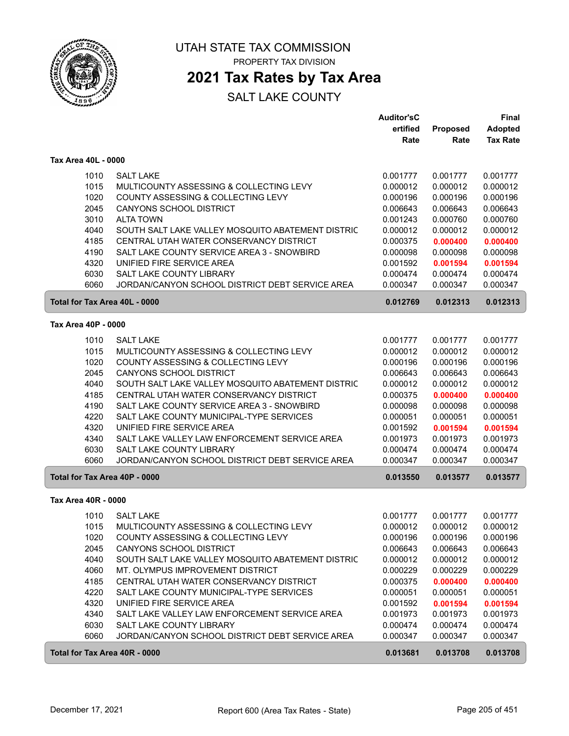

## **2021 Tax Rates by Tax Area**

|                               |                                                   | <b>Auditor'sC</b> |          | Final           |
|-------------------------------|---------------------------------------------------|-------------------|----------|-----------------|
|                               |                                                   | ertified          | Proposed | <b>Adopted</b>  |
|                               |                                                   | Rate              | Rate     | <b>Tax Rate</b> |
| Tax Area 40L - 0000           |                                                   |                   |          |                 |
| 1010                          | <b>SALT LAKE</b>                                  | 0.001777          | 0.001777 | 0.001777        |
| 1015                          | MULTICOUNTY ASSESSING & COLLECTING LEVY           | 0.000012          | 0.000012 | 0.000012        |
| 1020                          | COUNTY ASSESSING & COLLECTING LEVY                | 0.000196          | 0.000196 | 0.000196        |
| 2045                          | <b>CANYONS SCHOOL DISTRICT</b>                    | 0.006643          | 0.006643 | 0.006643        |
| 3010                          | <b>ALTA TOWN</b>                                  | 0.001243          | 0.000760 | 0.000760        |
| 4040                          | SOUTH SALT LAKE VALLEY MOSQUITO ABATEMENT DISTRIC | 0.000012          | 0.000012 | 0.000012        |
| 4185                          | CENTRAL UTAH WATER CONSERVANCY DISTRICT           | 0.000375          | 0.000400 | 0.000400        |
| 4190                          | SALT LAKE COUNTY SERVICE AREA 3 - SNOWBIRD        | 0.000098          | 0.000098 | 0.000098        |
| 4320                          | UNIFIED FIRE SERVICE AREA                         | 0.001592          | 0.001594 | 0.001594        |
| 6030                          | SALT LAKE COUNTY LIBRARY                          | 0.000474          | 0.000474 | 0.000474        |
| 6060                          | JORDAN/CANYON SCHOOL DISTRICT DEBT SERVICE AREA   | 0.000347          | 0.000347 | 0.000347        |
|                               |                                                   |                   |          |                 |
| Total for Tax Area 40L - 0000 |                                                   | 0.012769          | 0.012313 | 0.012313        |
| Tax Area 40P - 0000           |                                                   |                   |          |                 |
| 1010                          | <b>SALT LAKE</b>                                  | 0.001777          | 0.001777 | 0.001777        |
| 1015                          | MULTICOUNTY ASSESSING & COLLECTING LEVY           | 0.000012          | 0.000012 | 0.000012        |
| 1020                          | COUNTY ASSESSING & COLLECTING LEVY                | 0.000196          | 0.000196 | 0.000196        |
| 2045                          | CANYONS SCHOOL DISTRICT                           | 0.006643          | 0.006643 | 0.006643        |
| 4040                          | SOUTH SALT LAKE VALLEY MOSQUITO ABATEMENT DISTRIC | 0.000012          | 0.000012 | 0.000012        |
| 4185                          | CENTRAL UTAH WATER CONSERVANCY DISTRICT           | 0.000375          | 0.000400 | 0.000400        |
| 4190                          | SALT LAKE COUNTY SERVICE AREA 3 - SNOWBIRD        | 0.000098          | 0.000098 | 0.000098        |
| 4220                          | SALT LAKE COUNTY MUNICIPAL-TYPE SERVICES          | 0.000051          | 0.000051 | 0.000051        |
| 4320                          | UNIFIED FIRE SERVICE AREA                         | 0.001592          | 0.001594 | 0.001594        |
| 4340                          | SALT LAKE VALLEY LAW ENFORCEMENT SERVICE AREA     | 0.001973          | 0.001973 | 0.001973        |
| 6030                          | <b>SALT LAKE COUNTY LIBRARY</b>                   | 0.000474          | 0.000474 | 0.000474        |
| 6060                          | JORDAN/CANYON SCHOOL DISTRICT DEBT SERVICE AREA   | 0.000347          | 0.000347 | 0.000347        |
| Total for Tax Area 40P - 0000 |                                                   | 0.013550          | 0.013577 | 0.013577        |
| Tax Area 40R - 0000           |                                                   |                   |          |                 |
| 1010                          | <b>SALT LAKE</b>                                  | 0.001777          | 0.001777 | 0.001777        |
| 1015                          | MULTICOUNTY ASSESSING & COLLECTING LEVY           | 0.000012          | 0.000012 | 0.000012        |
| 1020                          | COUNTY ASSESSING & COLLECTING LEVY                | 0.000196          | 0.000196 | 0.000196        |
| 2045                          | <b>CANYONS SCHOOL DISTRICT</b>                    | 0.006643          | 0.006643 | 0.006643        |
| 4040                          | SOUTH SALT LAKE VALLEY MOSQUITO ABATEMENT DISTRIC | 0.000012          | 0.000012 | 0.000012        |
| 4060                          | MT. OLYMPUS IMPROVEMENT DISTRICT                  | 0.000229          | 0.000229 | 0.000229        |
| 4185                          | CENTRAL UTAH WATER CONSERVANCY DISTRICT           | 0.000375          | 0.000400 | 0.000400        |
| 4220                          | SALT LAKE COUNTY MUNICIPAL-TYPE SERVICES          | 0.000051          | 0.000051 | 0.000051        |
| 4320                          | UNIFIED FIRE SERVICE AREA                         | 0.001592          | 0.001594 | 0.001594        |
| 4340                          | SALT LAKE VALLEY LAW ENFORCEMENT SERVICE AREA     | 0.001973          | 0.001973 | 0.001973        |
| 6030                          | SALT LAKE COUNTY LIBRARY                          | 0.000474          | 0.000474 | 0.000474        |
| 6060                          | JORDAN/CANYON SCHOOL DISTRICT DEBT SERVICE AREA   | 0.000347          | 0.000347 | 0.000347        |
| Total for Tax Area 40R - 0000 |                                                   | 0.013681          | 0.013708 | 0.013708        |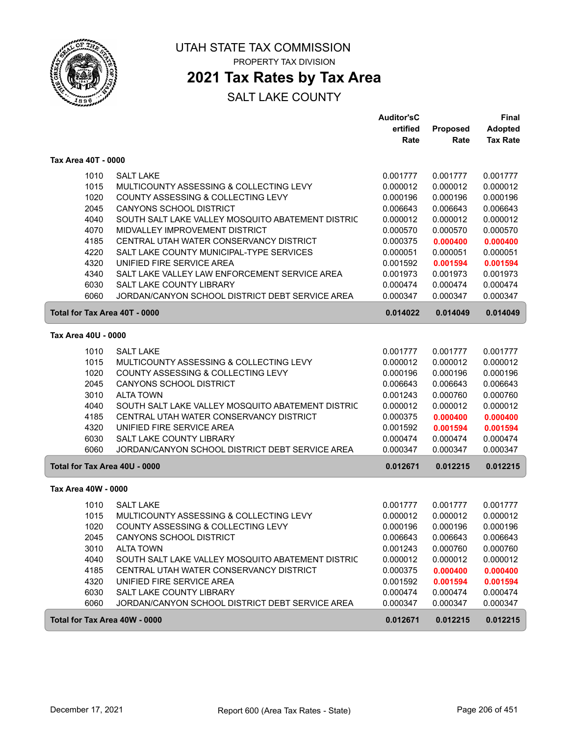

### **2021 Tax Rates by Tax Area**

|                               |                                                   | <b>Auditor'sC</b> |          | <b>Final</b>    |
|-------------------------------|---------------------------------------------------|-------------------|----------|-----------------|
|                               |                                                   | ertified          | Proposed | <b>Adopted</b>  |
|                               |                                                   | Rate              | Rate     | <b>Tax Rate</b> |
| Tax Area 40T - 0000           |                                                   |                   |          |                 |
| 1010                          | <b>SALT LAKE</b>                                  | 0.001777          | 0.001777 | 0.001777        |
| 1015                          | MULTICOUNTY ASSESSING & COLLECTING LEVY           | 0.000012          | 0.000012 | 0.000012        |
| 1020                          | COUNTY ASSESSING & COLLECTING LEVY                | 0.000196          | 0.000196 | 0.000196        |
| 2045                          | CANYONS SCHOOL DISTRICT                           | 0.006643          | 0.006643 | 0.006643        |
| 4040                          | SOUTH SALT LAKE VALLEY MOSQUITO ABATEMENT DISTRIC | 0.000012          | 0.000012 | 0.000012        |
| 4070                          | MIDVALLEY IMPROVEMENT DISTRICT                    | 0.000570          | 0.000570 | 0.000570        |
| 4185                          | CENTRAL UTAH WATER CONSERVANCY DISTRICT           | 0.000375          | 0.000400 | 0.000400        |
| 4220                          | SALT LAKE COUNTY MUNICIPAL-TYPE SERVICES          | 0.000051          | 0.000051 | 0.000051        |
| 4320                          | UNIFIED FIRE SERVICE AREA                         | 0.001592          | 0.001594 | 0.001594        |
| 4340                          | SALT LAKE VALLEY LAW ENFORCEMENT SERVICE AREA     | 0.001973          | 0.001973 | 0.001973        |
| 6030                          | <b>SALT LAKE COUNTY LIBRARY</b>                   | 0.000474          | 0.000474 | 0.000474        |
| 6060                          | JORDAN/CANYON SCHOOL DISTRICT DEBT SERVICE AREA   | 0.000347          | 0.000347 | 0.000347        |
| Total for Tax Area 40T - 0000 |                                                   | 0.014022          | 0.014049 | 0.014049        |
| Tax Area 40U - 0000           |                                                   |                   |          |                 |
|                               |                                                   |                   |          |                 |
| 1010                          | <b>SALT LAKE</b>                                  | 0.001777          | 0.001777 | 0.001777        |
| 1015                          | MULTICOUNTY ASSESSING & COLLECTING LEVY           | 0.000012          | 0.000012 | 0.000012        |
| 1020                          | COUNTY ASSESSING & COLLECTING LEVY                | 0.000196          | 0.000196 | 0.000196        |
| 2045                          | CANYONS SCHOOL DISTRICT                           | 0.006643          | 0.006643 | 0.006643        |
| 3010                          | <b>ALTA TOWN</b>                                  | 0.001243          | 0.000760 | 0.000760        |
| 4040                          | SOUTH SALT LAKE VALLEY MOSQUITO ABATEMENT DISTRIC | 0.000012          | 0.000012 | 0.000012        |
| 4185                          | CENTRAL UTAH WATER CONSERVANCY DISTRICT           | 0.000375          | 0.000400 | 0.000400        |
| 4320                          | UNIFIED FIRE SERVICE AREA                         | 0.001592          | 0.001594 | 0.001594        |
| 6030                          | <b>SALT LAKE COUNTY LIBRARY</b>                   | 0.000474          | 0.000474 | 0.000474        |
| 6060                          | JORDAN/CANYON SCHOOL DISTRICT DEBT SERVICE AREA   | 0.000347          | 0.000347 | 0.000347        |
| Total for Tax Area 40U - 0000 |                                                   | 0.012671          | 0.012215 | 0.012215        |
| Tax Area 40W - 0000           |                                                   |                   |          |                 |
| 1010                          | <b>SALT LAKE</b>                                  | 0.001777          | 0.001777 | 0.001777        |
| 1015                          | MULTICOUNTY ASSESSING & COLLECTING LEVY           | 0.000012          | 0.000012 | 0.000012        |
| 1020                          | COUNTY ASSESSING & COLLECTING LEVY                | 0.000196          | 0.000196 | 0.000196        |
| 2045                          | CANYONS SCHOOL DISTRICT                           | 0.006643          | 0.006643 | 0.006643        |
| 3010                          | <b>ALTA TOWN</b>                                  | 0.001243          | 0.000760 | 0.000760        |
| 4040                          | SOUTH SALT LAKE VALLEY MOSQUITO ABATEMENT DISTRIC | 0.000012          | 0.000012 | 0.000012        |
| 4185                          | CENTRAL UTAH WATER CONSERVANCY DISTRICT           | 0.000375          | 0.000400 | 0.000400        |
| 4320                          | UNIFIED FIRE SERVICE AREA                         | 0.001592          | 0.001594 | 0.001594        |
| 6030                          | SALT LAKE COUNTY LIBRARY                          | 0.000474          | 0.000474 | 0.000474        |
| 6060                          | JORDAN/CANYON SCHOOL DISTRICT DEBT SERVICE AREA   | 0.000347          | 0.000347 | 0.000347        |
| Total for Tax Area 40W - 0000 |                                                   | 0.012671          | 0.012215 | 0.012215        |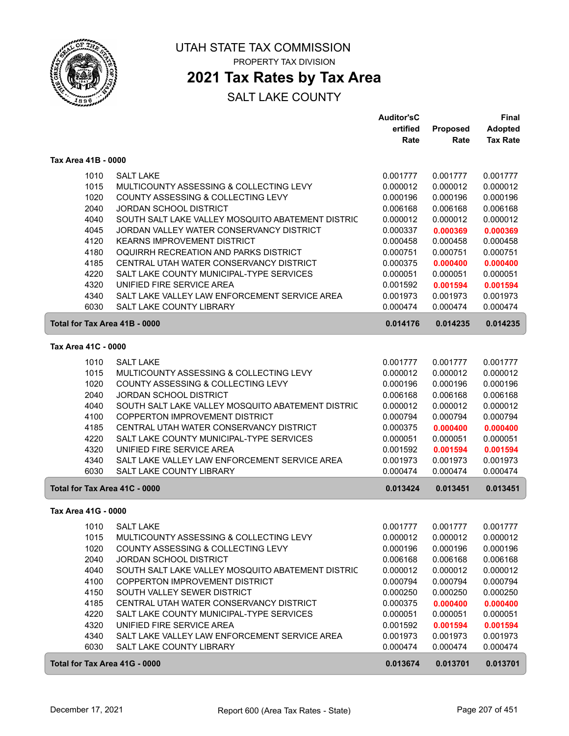

### **2021 Tax Rates by Tax Area**

|                               |                                                   | <b>Auditor'sC</b> |          | Final           |  |
|-------------------------------|---------------------------------------------------|-------------------|----------|-----------------|--|
|                               |                                                   | ertified          | Proposed | <b>Adopted</b>  |  |
|                               |                                                   | Rate              | Rate     | <b>Tax Rate</b> |  |
| Tax Area 41B - 0000           |                                                   |                   |          |                 |  |
| 1010                          | <b>SALT LAKE</b>                                  | 0.001777          | 0.001777 | 0.001777        |  |
| 1015                          | MULTICOUNTY ASSESSING & COLLECTING LEVY           | 0.000012          | 0.000012 | 0.000012        |  |
| 1020                          | COUNTY ASSESSING & COLLECTING LEVY                | 0.000196          | 0.000196 | 0.000196        |  |
| 2040                          | <b>JORDAN SCHOOL DISTRICT</b>                     | 0.006168          | 0.006168 | 0.006168        |  |
| 4040                          | SOUTH SALT LAKE VALLEY MOSQUITO ABATEMENT DISTRIC | 0.000012          | 0.000012 | 0.000012        |  |
| 4045                          | JORDAN VALLEY WATER CONSERVANCY DISTRICT          | 0.000337          | 0.000369 | 0.000369        |  |
| 4120                          | <b>KEARNS IMPROVEMENT DISTRICT</b>                | 0.000458          | 0.000458 | 0.000458        |  |
| 4180                          | OQUIRRH RECREATION AND PARKS DISTRICT             | 0.000751          | 0.000751 | 0.000751        |  |
| 4185                          | CENTRAL UTAH WATER CONSERVANCY DISTRICT           | 0.000375          | 0.000400 | 0.000400        |  |
| 4220                          | SALT LAKE COUNTY MUNICIPAL-TYPE SERVICES          | 0.000051          | 0.000051 | 0.000051        |  |
| 4320                          | UNIFIED FIRE SERVICE AREA                         | 0.001592          | 0.001594 | 0.001594        |  |
| 4340                          | SALT LAKE VALLEY LAW ENFORCEMENT SERVICE AREA     | 0.001973          | 0.001973 | 0.001973        |  |
| 6030                          | SALT LAKE COUNTY LIBRARY                          | 0.000474          | 0.000474 | 0.000474        |  |
| Total for Tax Area 41B - 0000 |                                                   | 0.014176          | 0.014235 | 0.014235        |  |
| Tax Area 41C - 0000           |                                                   |                   |          |                 |  |
| 1010                          | <b>SALT LAKE</b>                                  | 0.001777          | 0.001777 | 0.001777        |  |
| 1015                          | MULTICOUNTY ASSESSING & COLLECTING LEVY           | 0.000012          | 0.000012 | 0.000012        |  |
| 1020                          | COUNTY ASSESSING & COLLECTING LEVY                | 0.000196          | 0.000196 | 0.000196        |  |
| 2040                          | JORDAN SCHOOL DISTRICT                            | 0.006168          | 0.006168 | 0.006168        |  |
| 4040                          | SOUTH SALT LAKE VALLEY MOSQUITO ABATEMENT DISTRIC | 0.000012          | 0.000012 | 0.000012        |  |
| 4100                          | <b>COPPERTON IMPROVEMENT DISTRICT</b>             | 0.000794          | 0.000794 | 0.000794        |  |
| 4185                          | CENTRAL UTAH WATER CONSERVANCY DISTRICT           | 0.000375          | 0.000400 | 0.000400        |  |
| 4220                          | SALT LAKE COUNTY MUNICIPAL-TYPE SERVICES          | 0.000051          | 0.000051 | 0.000051        |  |
| 4320                          | UNIFIED FIRE SERVICE AREA                         | 0.001592          | 0.001594 | 0.001594        |  |
| 4340                          | SALT LAKE VALLEY LAW ENFORCEMENT SERVICE AREA     | 0.001973          | 0.001973 | 0.001973        |  |
| 6030                          | SALT LAKE COUNTY LIBRARY                          | 0.000474          | 0.000474 | 0.000474        |  |
| Total for Tax Area 41C - 0000 |                                                   | 0.013424          | 0.013451 | 0.013451        |  |
| Tax Area 41G - 0000           |                                                   |                   |          |                 |  |
|                               | 1010 SALT LAKE                                    | 0.001777          | 0.001777 | 0.001777        |  |
| 1015                          | MULTICOUNTY ASSESSING & COLLECTING LEVY           | 0.000012          | 0.000012 | 0.000012        |  |
| 1020                          | COUNTY ASSESSING & COLLECTING LEVY                | 0.000196          | 0.000196 | 0.000196        |  |
| 2040                          | <b>JORDAN SCHOOL DISTRICT</b>                     | 0.006168          | 0.006168 | 0.006168        |  |
| 4040                          | SOUTH SALT LAKE VALLEY MOSQUITO ABATEMENT DISTRIC | 0.000012          | 0.000012 | 0.000012        |  |
| 4100                          | COPPERTON IMPROVEMENT DISTRICT                    | 0.000794          | 0.000794 | 0.000794        |  |
| 4150                          | SOUTH VALLEY SEWER DISTRICT                       | 0.000250          | 0.000250 | 0.000250        |  |
| 4185                          | CENTRAL UTAH WATER CONSERVANCY DISTRICT           | 0.000375          | 0.000400 | 0.000400        |  |
| 4220                          | SALT LAKE COUNTY MUNICIPAL-TYPE SERVICES          | 0.000051          | 0.000051 | 0.000051        |  |
| 4320                          | UNIFIED FIRE SERVICE AREA                         | 0.001592          | 0.001594 | 0.001594        |  |
| 4340                          | SALT LAKE VALLEY LAW ENFORCEMENT SERVICE AREA     | 0.001973          | 0.001973 | 0.001973        |  |
| 6030                          | SALT LAKE COUNTY LIBRARY                          | 0.000474          | 0.000474 | 0.000474        |  |
| Total for Tax Area 41G - 0000 |                                                   | 0.013674          | 0.013701 | 0.013701        |  |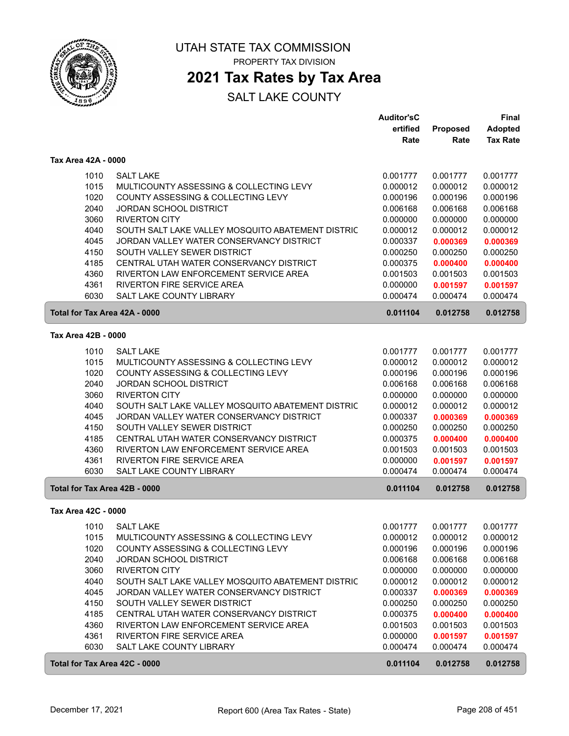

### **2021 Tax Rates by Tax Area**

|                                       |                                                                         | <b>Auditor'sC</b>    |                      | Final                |
|---------------------------------------|-------------------------------------------------------------------------|----------------------|----------------------|----------------------|
|                                       |                                                                         | ertified             | <b>Proposed</b>      | <b>Adopted</b>       |
|                                       |                                                                         | Rate                 | Rate                 | <b>Tax Rate</b>      |
| Tax Area 42A - 0000                   |                                                                         |                      |                      |                      |
| 1010                                  | <b>SALT LAKE</b>                                                        | 0.001777             | 0.001777             | 0.001777             |
| 1015                                  | MULTICOUNTY ASSESSING & COLLECTING LEVY                                 | 0.000012             | 0.000012             | 0.000012             |
| 1020                                  | COUNTY ASSESSING & COLLECTING LEVY                                      | 0.000196             | 0.000196             | 0.000196             |
| 2040                                  | <b>JORDAN SCHOOL DISTRICT</b>                                           | 0.006168             | 0.006168             | 0.006168             |
| 3060                                  | <b>RIVERTON CITY</b>                                                    | 0.000000             | 0.000000             | 0.000000             |
| 4040                                  | SOUTH SALT LAKE VALLEY MOSQUITO ABATEMENT DISTRIC                       | 0.000012             | 0.000012             | 0.000012             |
| 4045                                  | JORDAN VALLEY WATER CONSERVANCY DISTRICT                                | 0.000337             | 0.000369             | 0.000369             |
| 4150                                  | SOUTH VALLEY SEWER DISTRICT                                             | 0.000250             | 0.000250             | 0.000250             |
| 4185                                  | CENTRAL UTAH WATER CONSERVANCY DISTRICT                                 | 0.000375             | 0.000400             | 0.000400             |
| 4360                                  | RIVERTON LAW ENFORCEMENT SERVICE AREA                                   | 0.001503             | 0.001503             | 0.001503             |
| 4361                                  | <b>RIVERTON FIRE SERVICE AREA</b>                                       | 0.000000             | 0.001597             | 0.001597             |
| 6030                                  | <b>SALT LAKE COUNTY LIBRARY</b>                                         | 0.000474             | 0.000474             | 0.000474             |
| Total for Tax Area 42A - 0000         |                                                                         | 0.011104             | 0.012758             | 0.012758             |
| Tax Area 42B - 0000                   |                                                                         |                      |                      |                      |
| 1010                                  | <b>SALT LAKE</b>                                                        | 0.001777             | 0.001777             | 0.001777             |
| 1015                                  | MULTICOUNTY ASSESSING & COLLECTING LEVY                                 | 0.000012             | 0.000012             | 0.000012             |
| 1020                                  | COUNTY ASSESSING & COLLECTING LEVY                                      | 0.000196             | 0.000196             | 0.000196             |
| 2040                                  | JORDAN SCHOOL DISTRICT                                                  | 0.006168             | 0.006168             | 0.006168             |
| 3060                                  | <b>RIVERTON CITY</b>                                                    | 0.000000             | 0.000000             | 0.000000             |
| 4040                                  | SOUTH SALT LAKE VALLEY MOSQUITO ABATEMENT DISTRIC                       | 0.000012             | 0.000012             | 0.000012             |
| 4045                                  | JORDAN VALLEY WATER CONSERVANCY DISTRICT                                | 0.000337             | 0.000369             | 0.000369             |
| 4150                                  | SOUTH VALLEY SEWER DISTRICT                                             | 0.000250             | 0.000250             | 0.000250             |
| 4185                                  | CENTRAL UTAH WATER CONSERVANCY DISTRICT                                 | 0.000375             | 0.000400             | 0.000400             |
| 4360                                  | RIVERTON LAW ENFORCEMENT SERVICE AREA                                   | 0.001503             | 0.001503             | 0.001503             |
| 4361                                  | RIVERTON FIRE SERVICE AREA                                              | 0.000000             | 0.001597             | 0.001597             |
| 6030<br>Total for Tax Area 42B - 0000 | SALT LAKE COUNTY LIBRARY                                                | 0.000474<br>0.011104 | 0.000474<br>0.012758 | 0.000474<br>0.012758 |
|                                       |                                                                         |                      |                      |                      |
| Tax Area 42C - 0000                   |                                                                         |                      |                      |                      |
| 1010                                  | SALT LAKE                                                               | 0.001777             | 0.001777             | 0.001777             |
| 1015                                  | MULTICOUNTY ASSESSING & COLLECTING LEVY                                 | 0.000012             | 0.000012             | 0.000012             |
| 1020                                  | COUNTY ASSESSING & COLLECTING LEVY                                      | 0.000196             | 0.000196             | 0.000196             |
| 2040                                  | <b>JORDAN SCHOOL DISTRICT</b>                                           | 0.006168             | 0.006168             | 0.006168             |
| 3060                                  | <b>RIVERTON CITY</b>                                                    | 0.000000             | 0.000000             | 0.000000             |
| 4040                                  | SOUTH SALT LAKE VALLEY MOSQUITO ABATEMENT DISTRIC                       | 0.000012             | 0.000012             | 0.000012             |
| 4045<br>4150                          | JORDAN VALLEY WATER CONSERVANCY DISTRICT<br>SOUTH VALLEY SEWER DISTRICT | 0.000337<br>0.000250 | 0.000369<br>0.000250 | 0.000369             |
| 4185                                  | CENTRAL UTAH WATER CONSERVANCY DISTRICT                                 |                      |                      | 0.000250             |
| 4360                                  | RIVERTON LAW ENFORCEMENT SERVICE AREA                                   | 0.000375<br>0.001503 | 0.000400<br>0.001503 | 0.000400<br>0.001503 |
| 4361                                  | <b>RIVERTON FIRE SERVICE AREA</b>                                       | 0.000000             | 0.001597             | 0.001597             |
| 6030                                  | SALT LAKE COUNTY LIBRARY                                                | 0.000474             | 0.000474             | 0.000474             |
| Total for Tax Area 42C - 0000         |                                                                         | 0.011104             | 0.012758             | 0.012758             |
|                                       |                                                                         |                      |                      |                      |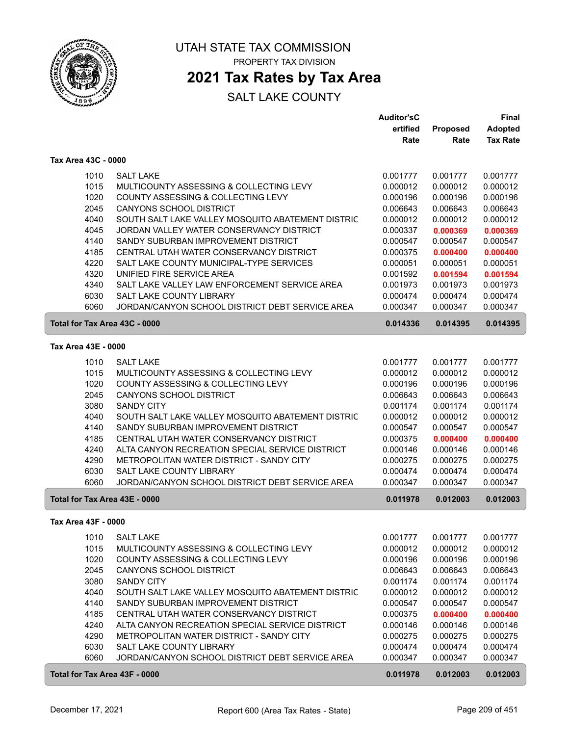

### **2021 Tax Rates by Tax Area**

|                     |                                                                                          | <b>Auditor'sC</b>    |                      | <b>Final</b>         |
|---------------------|------------------------------------------------------------------------------------------|----------------------|----------------------|----------------------|
|                     |                                                                                          | ertified             | Proposed             | <b>Adopted</b>       |
|                     |                                                                                          | Rate                 | Rate                 | <b>Tax Rate</b>      |
| Tax Area 43C - 0000 |                                                                                          |                      |                      |                      |
| 1010                | <b>SALT LAKE</b>                                                                         | 0.001777             | 0.001777             | 0.001777             |
| 1015                | MULTICOUNTY ASSESSING & COLLECTING LEVY                                                  | 0.000012             | 0.000012             | 0.000012             |
| 1020                | COUNTY ASSESSING & COLLECTING LEVY                                                       | 0.000196             | 0.000196             | 0.000196             |
| 2045                | <b>CANYONS SCHOOL DISTRICT</b>                                                           | 0.006643             | 0.006643             | 0.006643             |
| 4040                | SOUTH SALT LAKE VALLEY MOSQUITO ABATEMENT DISTRIC                                        | 0.000012             | 0.000012             | 0.000012             |
| 4045                | JORDAN VALLEY WATER CONSERVANCY DISTRICT                                                 | 0.000337             | 0.000369             | 0.000369             |
| 4140                | SANDY SUBURBAN IMPROVEMENT DISTRICT                                                      | 0.000547             | 0.000547             | 0.000547             |
| 4185                | CENTRAL UTAH WATER CONSERVANCY DISTRICT                                                  | 0.000375             | 0.000400             | 0.000400             |
| 4220                | SALT LAKE COUNTY MUNICIPAL-TYPE SERVICES                                                 | 0.000051             | 0.000051             | 0.000051             |
| 4320                | UNIFIED FIRE SERVICE AREA                                                                | 0.001592             | 0.001594             | 0.001594             |
| 4340                | SALT LAKE VALLEY LAW ENFORCEMENT SERVICE AREA                                            | 0.001973             | 0.001973             | 0.001973             |
| 6030                | <b>SALT LAKE COUNTY LIBRARY</b>                                                          | 0.000474             | 0.000474             | 0.000474             |
| 6060                | JORDAN/CANYON SCHOOL DISTRICT DEBT SERVICE AREA                                          | 0.000347             | 0.000347             | 0.000347             |
|                     | Total for Tax Area 43C - 0000                                                            | 0.014336             | 0.014395             | 0.014395             |
| Tax Area 43E - 0000 |                                                                                          |                      |                      |                      |
|                     | <b>SALT LAKE</b>                                                                         | 0.001777             |                      |                      |
| 1010<br>1015        | MULTICOUNTY ASSESSING & COLLECTING LEVY                                                  | 0.000012             | 0.001777<br>0.000012 | 0.001777<br>0.000012 |
| 1020                | COUNTY ASSESSING & COLLECTING LEVY                                                       | 0.000196             | 0.000196             | 0.000196             |
| 2045                | <b>CANYONS SCHOOL DISTRICT</b>                                                           | 0.006643             | 0.006643             | 0.006643             |
| 3080                | <b>SANDY CITY</b>                                                                        | 0.001174             | 0.001174             | 0.001174             |
|                     |                                                                                          |                      |                      |                      |
| 4040<br>4140        | SOUTH SALT LAKE VALLEY MOSQUITO ABATEMENT DISTRIC<br>SANDY SUBURBAN IMPROVEMENT DISTRICT | 0.000012<br>0.000547 | 0.000012<br>0.000547 | 0.000012<br>0.000547 |
| 4185                | CENTRAL UTAH WATER CONSERVANCY DISTRICT                                                  | 0.000375             | 0.000400             | 0.000400             |
| 4240                | ALTA CANYON RECREATION SPECIAL SERVICE DISTRICT                                          | 0.000146             | 0.000146             | 0.000146             |
| 4290                | METROPOLITAN WATER DISTRICT - SANDY CITY                                                 | 0.000275             | 0.000275             | 0.000275             |
| 6030                | <b>SALT LAKE COUNTY LIBRARY</b>                                                          | 0.000474             | 0.000474             | 0.000474             |
| 6060                | JORDAN/CANYON SCHOOL DISTRICT DEBT SERVICE AREA                                          | 0.000347             | 0.000347             | 0.000347             |
|                     | Total for Tax Area 43E - 0000                                                            | 0.011978             | 0.012003             | 0.012003             |
|                     |                                                                                          |                      |                      |                      |
| Tax Area 43F - 0000 |                                                                                          |                      |                      |                      |
| 1010                | <b>SALT LAKE</b>                                                                         | 0.001777             | 0.001777             | 0.001777             |
| 1015                | MULTICOUNTY ASSESSING & COLLECTING LEVY                                                  | 0.000012             | 0.000012             | 0.000012             |
| 1020                | COUNTY ASSESSING & COLLECTING LEVY                                                       | 0.000196             | 0.000196             | 0.000196             |
| 2045                | <b>CANYONS SCHOOL DISTRICT</b>                                                           | 0.006643             | 0.006643             | 0.006643             |
| 3080                | <b>SANDY CITY</b>                                                                        | 0.001174             | 0.001174             | 0.001174             |
| 4040                | SOUTH SALT LAKE VALLEY MOSQUITO ABATEMENT DISTRIC                                        | 0.000012             | 0.000012             | 0.000012             |
| 4140                | SANDY SUBURBAN IMPROVEMENT DISTRICT                                                      | 0.000547             | 0.000547             | 0.000547             |
| 4185                | CENTRAL UTAH WATER CONSERVANCY DISTRICT                                                  | 0.000375             | 0.000400             | 0.000400             |
| 4240                | ALTA CANYON RECREATION SPECIAL SERVICE DISTRICT                                          | 0.000146             | 0.000146             | 0.000146             |
| 4290                | METROPOLITAN WATER DISTRICT - SANDY CITY                                                 | 0.000275             | 0.000275             | 0.000275             |
| 6030                | SALT LAKE COUNTY LIBRARY                                                                 | 0.000474             | 0.000474             | 0.000474             |
| 6060                | JORDAN/CANYON SCHOOL DISTRICT DEBT SERVICE AREA                                          | 0.000347             | 0.000347             | 0.000347             |
|                     | Total for Tax Area 43F - 0000                                                            | 0.011978             | 0.012003             | 0.012003             |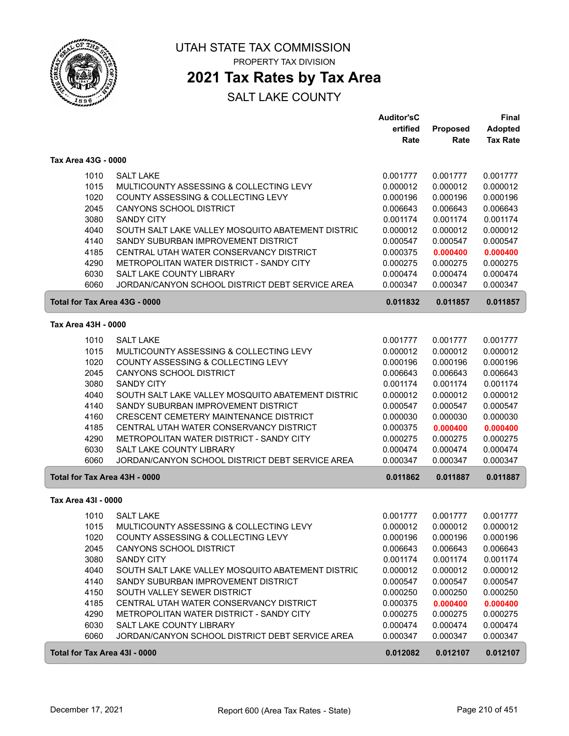

### **2021 Tax Rates by Tax Area**

|                               |                                                   | <b>Auditor'sC</b> |          | <b>Final</b>    |
|-------------------------------|---------------------------------------------------|-------------------|----------|-----------------|
|                               |                                                   | ertified          | Proposed | <b>Adopted</b>  |
|                               |                                                   | Rate              | Rate     | <b>Tax Rate</b> |
| Tax Area 43G - 0000           |                                                   |                   |          |                 |
| 1010                          | <b>SALT LAKE</b>                                  | 0.001777          | 0.001777 | 0.001777        |
| 1015                          | MULTICOUNTY ASSESSING & COLLECTING LEVY           | 0.000012          | 0.000012 | 0.000012        |
| 1020                          | COUNTY ASSESSING & COLLECTING LEVY                | 0.000196          | 0.000196 | 0.000196        |
| 2045                          | <b>CANYONS SCHOOL DISTRICT</b>                    | 0.006643          | 0.006643 | 0.006643        |
| 3080                          | <b>SANDY CITY</b>                                 | 0.001174          | 0.001174 | 0.001174        |
| 4040                          | SOUTH SALT LAKE VALLEY MOSQUITO ABATEMENT DISTRIC | 0.000012          | 0.000012 | 0.000012        |
| 4140                          | SANDY SUBURBAN IMPROVEMENT DISTRICT               | 0.000547          | 0.000547 | 0.000547        |
| 4185                          | CENTRAL UTAH WATER CONSERVANCY DISTRICT           | 0.000375          | 0.000400 | 0.000400        |
| 4290                          | METROPOLITAN WATER DISTRICT - SANDY CITY          | 0.000275          | 0.000275 | 0.000275        |
| 6030                          | SALT LAKE COUNTY LIBRARY                          | 0.000474          | 0.000474 | 0.000474        |
| 6060                          | JORDAN/CANYON SCHOOL DISTRICT DEBT SERVICE AREA   | 0.000347          | 0.000347 | 0.000347        |
| Total for Tax Area 43G - 0000 |                                                   | 0.011832          | 0.011857 | 0.011857        |
|                               |                                                   |                   |          |                 |
| Tax Area 43H - 0000           |                                                   |                   |          |                 |
| 1010                          | <b>SALT LAKE</b>                                  | 0.001777          | 0.001777 | 0.001777        |
| 1015                          | MULTICOUNTY ASSESSING & COLLECTING LEVY           | 0.000012          | 0.000012 | 0.000012        |
| 1020                          | COUNTY ASSESSING & COLLECTING LEVY                | 0.000196          | 0.000196 | 0.000196        |
| 2045                          | <b>CANYONS SCHOOL DISTRICT</b>                    | 0.006643          | 0.006643 | 0.006643        |
| 3080                          | <b>SANDY CITY</b>                                 | 0.001174          | 0.001174 | 0.001174        |
| 4040                          | SOUTH SALT LAKE VALLEY MOSQUITO ABATEMENT DISTRIC | 0.000012          | 0.000012 | 0.000012        |
| 4140                          | SANDY SUBURBAN IMPROVEMENT DISTRICT               | 0.000547          | 0.000547 | 0.000547        |
| 4160                          | CRESCENT CEMETERY MAINTENANCE DISTRICT            | 0.000030          | 0.000030 | 0.000030        |
| 4185                          | CENTRAL UTAH WATER CONSERVANCY DISTRICT           | 0.000375          | 0.000400 | 0.000400        |
| 4290                          | METROPOLITAN WATER DISTRICT - SANDY CITY          | 0.000275          | 0.000275 | 0.000275        |
| 6030                          | SALT LAKE COUNTY LIBRARY                          | 0.000474          | 0.000474 | 0.000474        |
| 6060                          | JORDAN/CANYON SCHOOL DISTRICT DEBT SERVICE AREA   | 0.000347          | 0.000347 | 0.000347        |
| Total for Tax Area 43H - 0000 |                                                   | 0.011862          | 0.011887 | 0.011887        |
| Tax Area 43I - 0000           |                                                   |                   |          |                 |
| 1010                          | <b>SALT LAKE</b>                                  | 0.001777          | 0.001777 | 0.001777        |
| 1015                          | MULTICOUNTY ASSESSING & COLLECTING LEVY           | 0.000012          | 0.000012 | 0.000012        |
| 1020                          | COUNTY ASSESSING & COLLECTING LEVY                | 0.000196          | 0.000196 | 0.000196        |
| 2045                          | <b>CANYONS SCHOOL DISTRICT</b>                    | 0.006643          | 0.006643 | 0.006643        |
| 3080                          | <b>SANDY CITY</b>                                 | 0.001174          | 0.001174 | 0.001174        |
| 4040                          | SOUTH SALT LAKE VALLEY MOSQUITO ABATEMENT DISTRIC | 0.000012          | 0.000012 | 0.000012        |
| 4140                          | SANDY SUBURBAN IMPROVEMENT DISTRICT               | 0.000547          | 0.000547 | 0.000547        |
| 4150                          | SOUTH VALLEY SEWER DISTRICT                       | 0.000250          | 0.000250 | 0.000250        |
| 4185                          | CENTRAL UTAH WATER CONSERVANCY DISTRICT           | 0.000375          | 0.000400 | 0.000400        |
| 4290                          | METROPOLITAN WATER DISTRICT - SANDY CITY          | 0.000275          | 0.000275 | 0.000275        |
| 6030                          | SALT LAKE COUNTY LIBRARY                          | 0.000474          | 0.000474 | 0.000474        |
| 6060                          | JORDAN/CANYON SCHOOL DISTRICT DEBT SERVICE AREA   | 0.000347          | 0.000347 | 0.000347        |
| Total for Tax Area 43I - 0000 |                                                   | 0.012082          | 0.012107 | 0.012107        |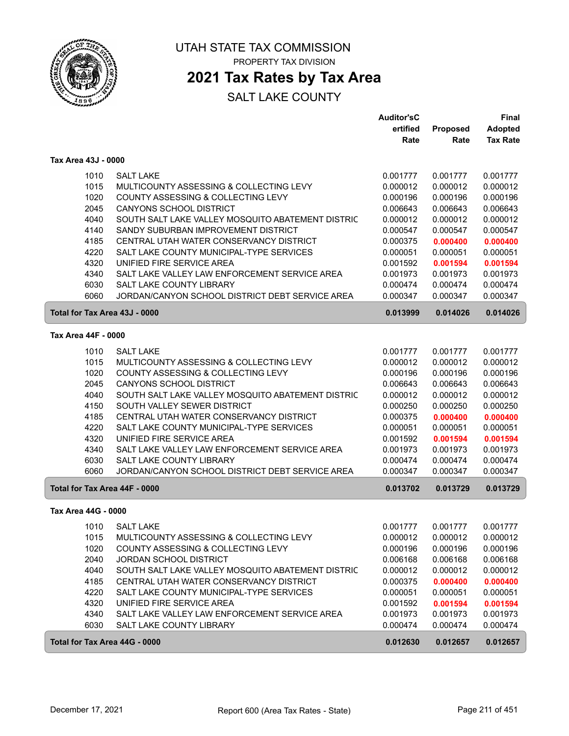

### **2021 Tax Rates by Tax Area**

|                               |                                                   | <b>Auditor'sC</b> |          | <b>Final</b>    |
|-------------------------------|---------------------------------------------------|-------------------|----------|-----------------|
|                               |                                                   | ertified          | Proposed | <b>Adopted</b>  |
|                               |                                                   | Rate              | Rate     | <b>Tax Rate</b> |
| Tax Area 43J - 0000           |                                                   |                   |          |                 |
| 1010                          | <b>SALT LAKE</b>                                  | 0.001777          | 0.001777 | 0.001777        |
| 1015                          | MULTICOUNTY ASSESSING & COLLECTING LEVY           | 0.000012          | 0.000012 | 0.000012        |
| 1020                          | COUNTY ASSESSING & COLLECTING LEVY                | 0.000196          | 0.000196 | 0.000196        |
| 2045                          | CANYONS SCHOOL DISTRICT                           | 0.006643          | 0.006643 | 0.006643        |
| 4040                          | SOUTH SALT LAKE VALLEY MOSQUITO ABATEMENT DISTRIC | 0.000012          | 0.000012 | 0.000012        |
| 4140                          | SANDY SUBURBAN IMPROVEMENT DISTRICT               | 0.000547          | 0.000547 | 0.000547        |
| 4185                          | CENTRAL UTAH WATER CONSERVANCY DISTRICT           | 0.000375          | 0.000400 | 0.000400        |
| 4220                          | SALT LAKE COUNTY MUNICIPAL-TYPE SERVICES          | 0.000051          | 0.000051 | 0.000051        |
| 4320                          | UNIFIED FIRE SERVICE AREA                         | 0.001592          | 0.001594 | 0.001594        |
| 4340                          | SALT LAKE VALLEY LAW ENFORCEMENT SERVICE AREA     | 0.001973          | 0.001973 | 0.001973        |
| 6030                          | SALT LAKE COUNTY LIBRARY                          | 0.000474          | 0.000474 | 0.000474        |
| 6060                          | JORDAN/CANYON SCHOOL DISTRICT DEBT SERVICE AREA   | 0.000347          | 0.000347 | 0.000347        |
| Total for Tax Area 43J - 0000 |                                                   | 0.013999          | 0.014026 | 0.014026        |
| Tax Area 44F - 0000           |                                                   |                   |          |                 |
| 1010                          | <b>SALT LAKE</b>                                  | 0.001777          | 0.001777 | 0.001777        |
| 1015                          | MULTICOUNTY ASSESSING & COLLECTING LEVY           | 0.000012          | 0.000012 | 0.000012        |
| 1020                          | COUNTY ASSESSING & COLLECTING LEVY                | 0.000196          | 0.000196 | 0.000196        |
| 2045                          | CANYONS SCHOOL DISTRICT                           | 0.006643          | 0.006643 | 0.006643        |
| 4040                          | SOUTH SALT LAKE VALLEY MOSQUITO ABATEMENT DISTRIC | 0.000012          | 0.000012 | 0.000012        |
| 4150                          | SOUTH VALLEY SEWER DISTRICT                       | 0.000250          | 0.000250 | 0.000250        |
| 4185                          | CENTRAL UTAH WATER CONSERVANCY DISTRICT           | 0.000375          | 0.000400 | 0.000400        |
| 4220                          | SALT LAKE COUNTY MUNICIPAL-TYPE SERVICES          | 0.000051          | 0.000051 | 0.000051        |
| 4320                          | UNIFIED FIRE SERVICE AREA                         | 0.001592          | 0.001594 | 0.001594        |
| 4340                          | SALT LAKE VALLEY LAW ENFORCEMENT SERVICE AREA     | 0.001973          | 0.001973 | 0.001973        |
| 6030                          | SALT LAKE COUNTY LIBRARY                          | 0.000474          | 0.000474 | 0.000474        |
| 6060                          | JORDAN/CANYON SCHOOL DISTRICT DEBT SERVICE AREA   | 0.000347          | 0.000347 | 0.000347        |
| Total for Tax Area 44F - 0000 |                                                   | 0.013702          | 0.013729 | 0.013729        |
| Tax Area 44G - 0000           |                                                   |                   |          |                 |
| 1010                          | <b>SALT LAKE</b>                                  | 0.001777          | 0.001777 | 0.001777        |
| 1015                          | MULTICOUNTY ASSESSING & COLLECTING LEVY           | 0.000012          | 0.000012 | 0.000012        |
| 1020                          | COUNTY ASSESSING & COLLECTING LEVY                | 0.000196          | 0.000196 | 0.000196        |
| 2040                          | JORDAN SCHOOL DISTRICT                            | 0.006168          | 0.006168 | 0.006168        |
| 4040                          | SOUTH SALT LAKE VALLEY MOSQUITO ABATEMENT DISTRIC | 0.000012          | 0.000012 | 0.000012        |
| 4185                          | CENTRAL UTAH WATER CONSERVANCY DISTRICT           | 0.000375          | 0.000400 | 0.000400        |
| 4220                          | SALT LAKE COUNTY MUNICIPAL-TYPE SERVICES          | 0.000051          | 0.000051 | 0.000051        |
| 4320                          | UNIFIED FIRE SERVICE AREA                         | 0.001592          | 0.001594 | 0.001594        |
| 4340                          | SALT LAKE VALLEY LAW ENFORCEMENT SERVICE AREA     | 0.001973          | 0.001973 | 0.001973        |
| 6030                          | SALT LAKE COUNTY LIBRARY                          | 0.000474          | 0.000474 | 0.000474        |
| Total for Tax Area 44G - 0000 |                                                   | 0.012630          | 0.012657 | 0.012657        |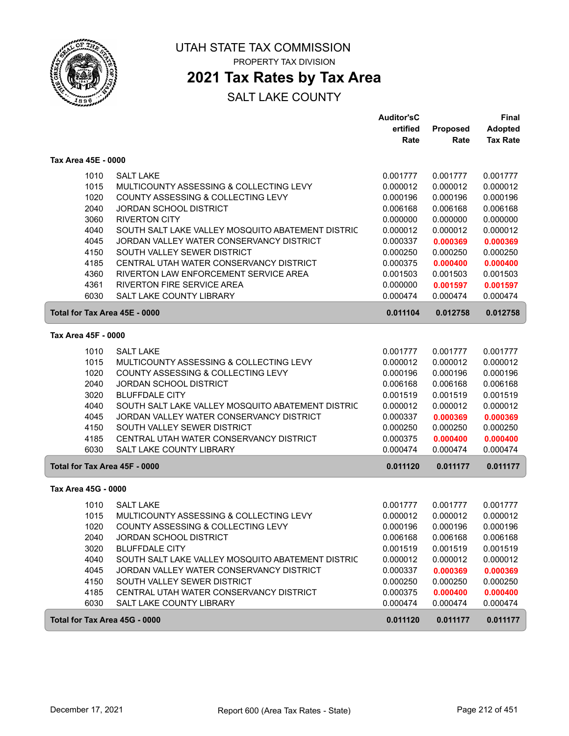

## **2021 Tax Rates by Tax Area**

|                               |                                                   | <b>Auditor'sC</b> |          | <b>Final</b>    |
|-------------------------------|---------------------------------------------------|-------------------|----------|-----------------|
|                               |                                                   | ertified          | Proposed | <b>Adopted</b>  |
|                               |                                                   | Rate              | Rate     | <b>Tax Rate</b> |
| Tax Area 45E - 0000           |                                                   |                   |          |                 |
| 1010                          | <b>SALT LAKE</b>                                  | 0.001777          | 0.001777 | 0.001777        |
| 1015                          | MULTICOUNTY ASSESSING & COLLECTING LEVY           | 0.000012          | 0.000012 | 0.000012        |
| 1020                          | COUNTY ASSESSING & COLLECTING LEVY                | 0.000196          | 0.000196 | 0.000196        |
| 2040                          | <b>JORDAN SCHOOL DISTRICT</b>                     | 0.006168          | 0.006168 | 0.006168        |
| 3060                          | <b>RIVERTON CITY</b>                              | 0.000000          | 0.000000 | 0.000000        |
| 4040                          | SOUTH SALT LAKE VALLEY MOSQUITO ABATEMENT DISTRIC | 0.000012          | 0.000012 | 0.000012        |
| 4045                          | JORDAN VALLEY WATER CONSERVANCY DISTRICT          | 0.000337          | 0.000369 | 0.000369        |
| 4150                          | SOUTH VALLEY SEWER DISTRICT                       | 0.000250          | 0.000250 | 0.000250        |
| 4185                          | CENTRAL UTAH WATER CONSERVANCY DISTRICT           | 0.000375          | 0.000400 | 0.000400        |
| 4360                          | RIVERTON LAW ENFORCEMENT SERVICE AREA             | 0.001503          | 0.001503 | 0.001503        |
| 4361                          | RIVERTON FIRE SERVICE AREA                        | 0.000000          | 0.001597 | 0.001597        |
| 6030                          | SALT LAKE COUNTY LIBRARY                          | 0.000474          | 0.000474 | 0.000474        |
| Total for Tax Area 45E - 0000 |                                                   | 0.011104          | 0.012758 | 0.012758        |
|                               |                                                   |                   |          |                 |
| Tax Area 45F - 0000           |                                                   |                   |          |                 |
| 1010                          | <b>SALT LAKE</b>                                  | 0.001777          | 0.001777 | 0.001777        |
| 1015                          | MULTICOUNTY ASSESSING & COLLECTING LEVY           | 0.000012          | 0.000012 | 0.000012        |
| 1020                          | COUNTY ASSESSING & COLLECTING LEVY                | 0.000196          | 0.000196 | 0.000196        |
| 2040                          | <b>JORDAN SCHOOL DISTRICT</b>                     | 0.006168          | 0.006168 | 0.006168        |
| 3020                          | <b>BLUFFDALE CITY</b>                             | 0.001519          | 0.001519 | 0.001519        |
| 4040                          | SOUTH SALT LAKE VALLEY MOSQUITO ABATEMENT DISTRIC | 0.000012          | 0.000012 | 0.000012        |
| 4045                          | JORDAN VALLEY WATER CONSERVANCY DISTRICT          | 0.000337          | 0.000369 | 0.000369        |
| 4150                          | SOUTH VALLEY SEWER DISTRICT                       | 0.000250          | 0.000250 | 0.000250        |
| 4185                          | CENTRAL UTAH WATER CONSERVANCY DISTRICT           | 0.000375          | 0.000400 | 0.000400        |
| 6030                          | SALT LAKE COUNTY LIBRARY                          | 0.000474          | 0.000474 | 0.000474        |
| Total for Tax Area 45F - 0000 |                                                   | 0.011120          | 0.011177 | 0.011177        |
| Tax Area 45G - 0000           |                                                   |                   |          |                 |
| 1010                          | <b>SALT LAKE</b>                                  | 0.001777          | 0.001777 | 0.001777        |
| 1015                          | MULTICOUNTY ASSESSING & COLLECTING LEVY           | 0.000012          | 0.000012 | 0.000012        |
| 1020                          | COUNTY ASSESSING & COLLECTING LEVY                | 0.000196          | 0.000196 | 0.000196        |
| 2040                          | <b>JORDAN SCHOOL DISTRICT</b>                     | 0.006168          | 0.006168 | 0.006168        |
| 3020                          | <b>BLUFFDALE CITY</b>                             | 0.001519          | 0.001519 | 0.001519        |
| 4040                          | SOUTH SALT LAKE VALLEY MOSQUITO ABATEMENT DISTRIC | 0.000012          | 0.000012 | 0.000012        |
| 4045                          | JORDAN VALLEY WATER CONSERVANCY DISTRICT          | 0.000337          | 0.000369 | 0.000369        |
| 4150                          | SOUTH VALLEY SEWER DISTRICT                       | 0.000250          | 0.000250 | 0.000250        |
| 4185                          | CENTRAL UTAH WATER CONSERVANCY DISTRICT           | 0.000375          | 0.000400 | 0.000400        |
| 6030                          | SALT LAKE COUNTY LIBRARY                          | 0.000474          | 0.000474 | 0.000474        |
| Total for Tax Area 45G - 0000 |                                                   | 0.011120          | 0.011177 | 0.011177        |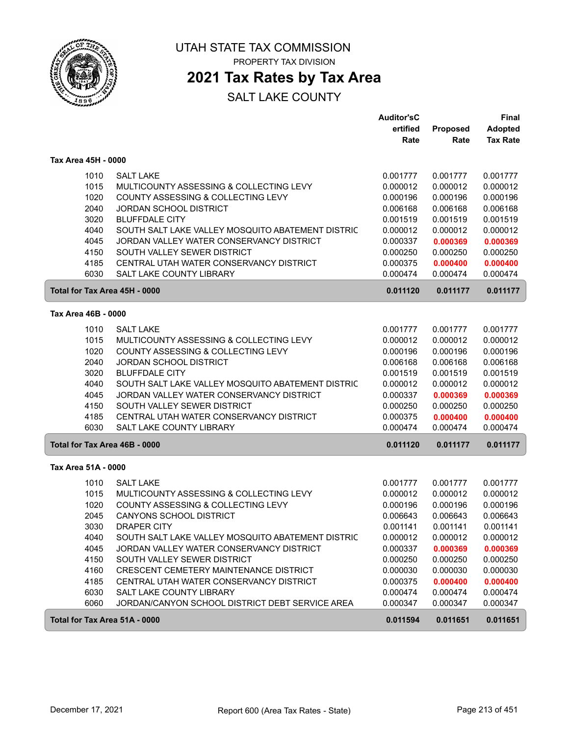

UTAH STATE TAX COMMISSION

PROPERTY TAX DIVISION

### **2021 Tax Rates by Tax Area**

|                               |                                                   | <b>Auditor'sC</b> |          | <b>Final</b>    |
|-------------------------------|---------------------------------------------------|-------------------|----------|-----------------|
|                               |                                                   | ertified          | Proposed | <b>Adopted</b>  |
|                               |                                                   | Rate              | Rate     | <b>Tax Rate</b> |
| Tax Area 45H - 0000           |                                                   |                   |          |                 |
| 1010                          | <b>SALT LAKE</b>                                  | 0.001777          | 0.001777 | 0.001777        |
| 1015                          | MULTICOUNTY ASSESSING & COLLECTING LEVY           | 0.000012          | 0.000012 | 0.000012        |
| 1020                          | COUNTY ASSESSING & COLLECTING LEVY                | 0.000196          | 0.000196 | 0.000196        |
| 2040                          | <b>JORDAN SCHOOL DISTRICT</b>                     | 0.006168          | 0.006168 | 0.006168        |
| 3020                          | <b>BLUFFDALE CITY</b>                             | 0.001519          | 0.001519 | 0.001519        |
| 4040                          | SOUTH SALT LAKE VALLEY MOSQUITO ABATEMENT DISTRIC | 0.000012          | 0.000012 | 0.000012        |
| 4045                          | JORDAN VALLEY WATER CONSERVANCY DISTRICT          | 0.000337          | 0.000369 | 0.000369        |
| 4150                          | SOUTH VALLEY SEWER DISTRICT                       | 0.000250          | 0.000250 | 0.000250        |
| 4185                          | CENTRAL UTAH WATER CONSERVANCY DISTRICT           | 0.000375          | 0.000400 | 0.000400        |
| 6030                          | <b>SALT LAKE COUNTY LIBRARY</b>                   | 0.000474          | 0.000474 | 0.000474        |
|                               |                                                   |                   |          |                 |
| Total for Tax Area 45H - 0000 |                                                   | 0.011120          | 0.011177 | 0.011177        |
| Tax Area 46B - 0000           |                                                   |                   |          |                 |
| 1010                          | <b>SALT LAKE</b>                                  | 0.001777          | 0.001777 | 0.001777        |
| 1015                          | MULTICOUNTY ASSESSING & COLLECTING LEVY           | 0.000012          | 0.000012 | 0.000012        |
| 1020                          | COUNTY ASSESSING & COLLECTING LEVY                | 0.000196          | 0.000196 | 0.000196        |
| 2040                          | <b>JORDAN SCHOOL DISTRICT</b>                     | 0.006168          | 0.006168 | 0.006168        |
| 3020                          | <b>BLUFFDALE CITY</b>                             | 0.001519          | 0.001519 | 0.001519        |
| 4040                          | SOUTH SALT LAKE VALLEY MOSQUITO ABATEMENT DISTRIC | 0.000012          | 0.000012 | 0.000012        |
| 4045                          | JORDAN VALLEY WATER CONSERVANCY DISTRICT          | 0.000337          | 0.000369 | 0.000369        |
| 4150                          | SOUTH VALLEY SEWER DISTRICT                       | 0.000250          | 0.000250 | 0.000250        |
| 4185                          | CENTRAL UTAH WATER CONSERVANCY DISTRICT           | 0.000375          | 0.000400 | 0.000400        |
| 6030                          | SALT LAKE COUNTY LIBRARY                          | 0.000474          | 0.000474 | 0.000474        |
| Total for Tax Area 46B - 0000 |                                                   | 0.011120          | 0.011177 | 0.011177        |
| Tax Area 51A - 0000           |                                                   |                   |          |                 |
| 1010                          | <b>SALT LAKE</b>                                  | 0.001777          | 0.001777 | 0.001777        |
| 1015                          | MULTICOUNTY ASSESSING & COLLECTING LEVY           | 0.000012          | 0.000012 | 0.000012        |
| 1020                          | COUNTY ASSESSING & COLLECTING LEVY                | 0.000196          | 0.000196 | 0.000196        |
| 2045                          | <b>CANYONS SCHOOL DISTRICT</b>                    | 0.006643          | 0.006643 | 0.006643        |
| 3030                          | DRAPER CITY                                       | 0.001141          | 0.001141 | 0.001141        |
| 4040                          | SOUTH SALT LAKE VALLEY MOSQUITO ABATEMENT DISTRIC | 0.000012          | 0.000012 | 0.000012        |
| 4045                          | JORDAN VALLEY WATER CONSERVANCY DISTRICT          | 0.000337          | 0.000369 | 0.000369        |
| 4150                          | SOUTH VALLEY SEWER DISTRICT                       | 0.000250          | 0.000250 | 0.000250        |
| 4160                          | CRESCENT CEMETERY MAINTENANCE DISTRICT            | 0.000030          | 0.000030 | 0.000030        |
| 4185                          | CENTRAL UTAH WATER CONSERVANCY DISTRICT           | 0.000375          | 0.000400 | 0.000400        |
| 6030                          | SALT LAKE COUNTY LIBRARY                          | 0.000474          | 0.000474 | 0.000474        |
| 6060                          | JORDAN/CANYON SCHOOL DISTRICT DEBT SERVICE AREA   | 0.000347          | 0.000347 | 0.000347        |
| Total for Tax Area 51A - 0000 |                                                   | 0.011594          | 0.011651 | 0.011651        |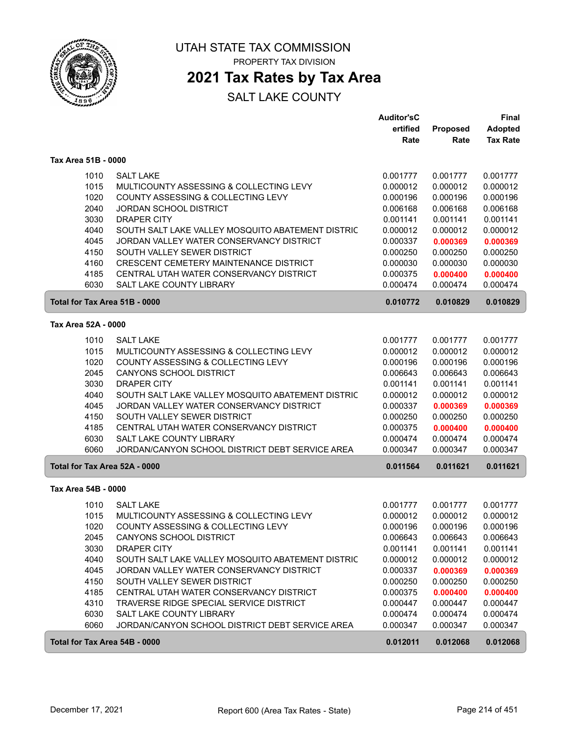

## **2021 Tax Rates by Tax Area**

|                               |                                                   | <b>Auditor'sC</b> |          | Final           |
|-------------------------------|---------------------------------------------------|-------------------|----------|-----------------|
|                               |                                                   | ertified          | Proposed | Adopted         |
|                               |                                                   | Rate              | Rate     | <b>Tax Rate</b> |
| Tax Area 51B - 0000           |                                                   |                   |          |                 |
| 1010                          | <b>SALT LAKE</b>                                  | 0.001777          | 0.001777 | 0.001777        |
| 1015                          | MULTICOUNTY ASSESSING & COLLECTING LEVY           | 0.000012          | 0.000012 | 0.000012        |
| 1020                          | COUNTY ASSESSING & COLLECTING LEVY                | 0.000196          | 0.000196 | 0.000196        |
| 2040                          | <b>JORDAN SCHOOL DISTRICT</b>                     | 0.006168          | 0.006168 | 0.006168        |
| 3030                          | <b>DRAPER CITY</b>                                | 0.001141          | 0.001141 | 0.001141        |
| 4040                          | SOUTH SALT LAKE VALLEY MOSQUITO ABATEMENT DISTRIC | 0.000012          | 0.000012 | 0.000012        |
| 4045                          |                                                   |                   |          |                 |
|                               | JORDAN VALLEY WATER CONSERVANCY DISTRICT          | 0.000337          | 0.000369 | 0.000369        |
| 4150                          | SOUTH VALLEY SEWER DISTRICT                       | 0.000250          | 0.000250 | 0.000250        |
| 4160                          | CRESCENT CEMETERY MAINTENANCE DISTRICT            | 0.000030          | 0.000030 | 0.000030        |
| 4185                          | CENTRAL UTAH WATER CONSERVANCY DISTRICT           | 0.000375          | 0.000400 | 0.000400        |
| 6030                          | SALT LAKE COUNTY LIBRARY                          | 0.000474          | 0.000474 | 0.000474        |
| Total for Tax Area 51B - 0000 |                                                   | 0.010772          | 0.010829 | 0.010829        |
| Tax Area 52A - 0000           |                                                   |                   |          |                 |
| 1010                          | <b>SALT LAKE</b>                                  | 0.001777          | 0.001777 | 0.001777        |
| 1015                          | MULTICOUNTY ASSESSING & COLLECTING LEVY           | 0.000012          | 0.000012 | 0.000012        |
| 1020                          | COUNTY ASSESSING & COLLECTING LEVY                | 0.000196          | 0.000196 | 0.000196        |
| 2045                          | <b>CANYONS SCHOOL DISTRICT</b>                    | 0.006643          | 0.006643 | 0.006643        |
| 3030                          | <b>DRAPER CITY</b>                                | 0.001141          | 0.001141 | 0.001141        |
| 4040                          | SOUTH SALT LAKE VALLEY MOSQUITO ABATEMENT DISTRIC | 0.000012          | 0.000012 | 0.000012        |
| 4045                          | JORDAN VALLEY WATER CONSERVANCY DISTRICT          | 0.000337          | 0.000369 | 0.000369        |
| 4150                          | SOUTH VALLEY SEWER DISTRICT                       | 0.000250          | 0.000250 | 0.000250        |
| 4185                          | CENTRAL UTAH WATER CONSERVANCY DISTRICT           | 0.000375          | 0.000400 | 0.000400        |
| 6030                          | SALT LAKE COUNTY LIBRARY                          | 0.000474          | 0.000474 | 0.000474        |
| 6060                          | JORDAN/CANYON SCHOOL DISTRICT DEBT SERVICE AREA   | 0.000347          | 0.000347 | 0.000347        |
| Total for Tax Area 52A - 0000 |                                                   | 0.011564          | 0.011621 | 0.011621        |
|                               |                                                   |                   |          |                 |
| Tax Area 54B - 0000           |                                                   |                   |          |                 |
| 1010                          | <b>SALT LAKE</b>                                  | 0.001777          | 0.001777 | 0.001777        |
| 1015                          | MULTICOUNTY ASSESSING & COLLECTING LEVY           | 0.000012          | 0.000012 | 0.000012        |
| 1020                          | COUNTY ASSESSING & COLLECTING LEVY                | 0.000196          | 0.000196 | 0.000196        |
| 2045                          | CANYONS SCHOOL DISTRICT                           | 0.006643          | 0.006643 | 0.006643        |
| 3030                          | <b>DRAPER CITY</b>                                | 0.001141          | 0.001141 | 0.001141        |
| 4040                          | SOUTH SALT LAKE VALLEY MOSQUITO ABATEMENT DISTRIC | 0.000012          | 0.000012 | 0.000012        |
| 4045                          | JORDAN VALLEY WATER CONSERVANCY DISTRICT          | 0.000337          | 0.000369 | 0.000369        |
| 4150                          | SOUTH VALLEY SEWER DISTRICT                       | 0.000250          | 0.000250 | 0.000250        |
| 4185                          | CENTRAL UTAH WATER CONSERVANCY DISTRICT           | 0.000375          | 0.000400 | 0.000400        |
| 4310                          | TRAVERSE RIDGE SPECIAL SERVICE DISTRICT           | 0.000447          | 0.000447 | 0.000447        |
| 6030                          | SALT LAKE COUNTY LIBRARY                          | 0.000474          | 0.000474 | 0.000474        |
| 6060                          | JORDAN/CANYON SCHOOL DISTRICT DEBT SERVICE AREA   | 0.000347          | 0.000347 | 0.000347        |
| Total for Tax Area 54B - 0000 |                                                   | 0.012011          | 0.012068 | 0.012068        |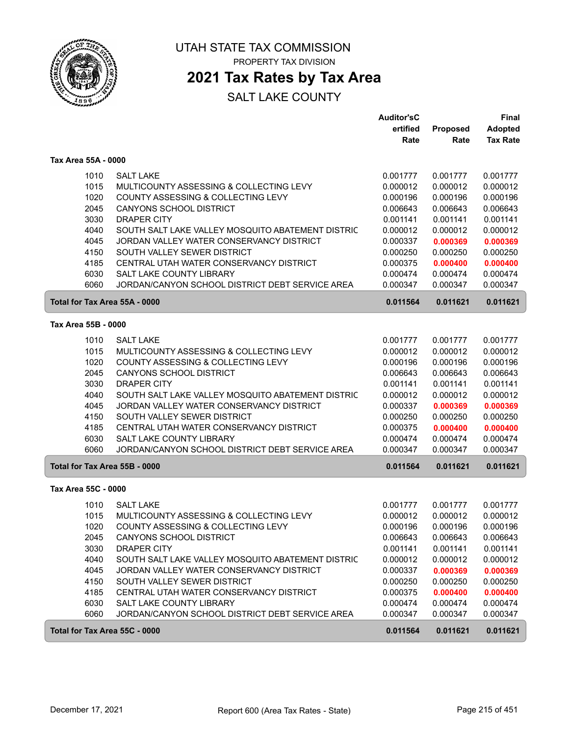

### **2021 Tax Rates by Tax Area**

|                     |                                                           | <b>Auditor'sC</b> |          | Final           |
|---------------------|-----------------------------------------------------------|-------------------|----------|-----------------|
|                     |                                                           | ertified          | Proposed | <b>Adopted</b>  |
|                     |                                                           | Rate              | Rate     | <b>Tax Rate</b> |
| Tax Area 55A - 0000 |                                                           |                   |          |                 |
|                     | <b>SALT LAKE</b><br>1010                                  | 0.001777          | 0.001777 | 0.001777        |
|                     | 1015<br>MULTICOUNTY ASSESSING & COLLECTING LEVY           | 0.000012          | 0.000012 | 0.000012        |
|                     | 1020<br>COUNTY ASSESSING & COLLECTING LEVY                | 0.000196          | 0.000196 | 0.000196        |
| 2045                | CANYONS SCHOOL DISTRICT                                   | 0.006643          | 0.006643 | 0.006643        |
|                     | 3030<br><b>DRAPER CITY</b>                                | 0.001141          | 0.001141 | 0.001141        |
|                     | 4040<br>SOUTH SALT LAKE VALLEY MOSQUITO ABATEMENT DISTRIC | 0.000012          | 0.000012 | 0.000012        |
| 4045                | JORDAN VALLEY WATER CONSERVANCY DISTRICT                  | 0.000337          | 0.000369 | 0.000369        |
| 4150                | SOUTH VALLEY SEWER DISTRICT                               | 0.000250          | 0.000250 | 0.000250        |
|                     | CENTRAL UTAH WATER CONSERVANCY DISTRICT<br>4185           | 0.000375          | 0.000400 | 0.000400        |
|                     | 6030<br>SALT LAKE COUNTY LIBRARY                          | 0.000474          | 0.000474 | 0.000474        |
| 6060                | JORDAN/CANYON SCHOOL DISTRICT DEBT SERVICE AREA           | 0.000347          | 0.000347 | 0.000347        |
|                     | Total for Tax Area 55A - 0000                             | 0.011564          | 0.011621 | 0.011621        |
| Tax Area 55B - 0000 |                                                           |                   |          |                 |
|                     | 1010<br><b>SALT LAKE</b>                                  | 0.001777          | 0.001777 | 0.001777        |
|                     | 1015<br>MULTICOUNTY ASSESSING & COLLECTING LEVY           | 0.000012          | 0.000012 | 0.000012        |
|                     | 1020<br>COUNTY ASSESSING & COLLECTING LEVY                | 0.000196          | 0.000196 | 0.000196        |
| 2045                | CANYONS SCHOOL DISTRICT                                   | 0.006643          | 0.006643 | 0.006643        |
|                     | 3030<br><b>DRAPER CITY</b>                                | 0.001141          | 0.001141 | 0.001141        |
|                     | 4040<br>SOUTH SALT LAKE VALLEY MOSQUITO ABATEMENT DISTRIC | 0.000012          | 0.000012 | 0.000012        |
| 4045                | JORDAN VALLEY WATER CONSERVANCY DISTRICT                  | 0.000337          | 0.000369 | 0.000369        |
| 4150                | SOUTH VALLEY SEWER DISTRICT                               | 0.000250          | 0.000250 | 0.000250        |
|                     | 4185<br>CENTRAL UTAH WATER CONSERVANCY DISTRICT           | 0.000375          | 0.000400 | 0.000400        |
|                     | 6030<br>SALT LAKE COUNTY LIBRARY                          | 0.000474          | 0.000474 | 0.000474        |
|                     | 6060<br>JORDAN/CANYON SCHOOL DISTRICT DEBT SERVICE AREA   | 0.000347          | 0.000347 | 0.000347        |
|                     | Total for Tax Area 55B - 0000                             | 0.011564          | 0.011621 | 0.011621        |
| Tax Area 55C - 0000 |                                                           |                   |          |                 |
|                     | 1010<br><b>SALT LAKE</b>                                  | 0.001777          | 0.001777 | 0.001777        |
|                     | 1015<br>MULTICOUNTY ASSESSING & COLLECTING LEVY           | 0.000012          | 0.000012 | 0.000012        |
|                     | 1020<br>COUNTY ASSESSING & COLLECTING LEVY                | 0.000196          | 0.000196 | 0.000196        |
|                     | 2045<br>CANYONS SCHOOL DISTRICT                           | 0.006643          | 0.006643 | 0.006643        |
|                     | 3030<br><b>DRAPER CITY</b>                                | 0.001141          | 0.001141 | 0.001141        |
|                     | 4040<br>SOUTH SALT LAKE VALLEY MOSQUITO ABATEMENT DISTRIC | 0.000012          | 0.000012 | 0.000012        |
|                     | 4045<br>JORDAN VALLEY WATER CONSERVANCY DISTRICT          | 0.000337          | 0.000369 | 0.000369        |
|                     | 4150<br>SOUTH VALLEY SEWER DISTRICT                       | 0.000250          | 0.000250 | 0.000250        |
|                     | 4185<br>CENTRAL UTAH WATER CONSERVANCY DISTRICT           | 0.000375          | 0.000400 | 0.000400        |
|                     | 6030<br>SALT LAKE COUNTY LIBRARY                          | 0.000474          | 0.000474 | 0.000474        |
|                     | 6060<br>JORDAN/CANYON SCHOOL DISTRICT DEBT SERVICE AREA   | 0.000347          | 0.000347 | 0.000347        |
|                     | Total for Tax Area 55C - 0000                             | 0.011564          | 0.011621 | 0.011621        |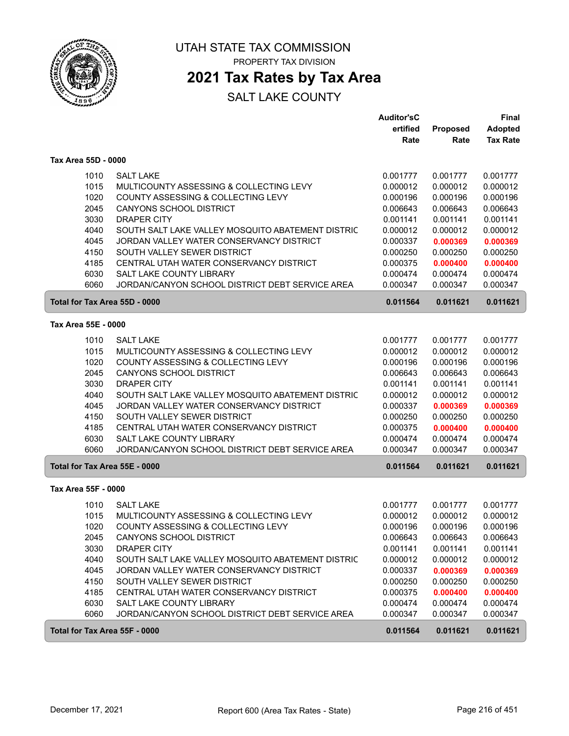

### **2021 Tax Rates by Tax Area**

|                     |                                                   | <b>Auditor'sC</b> |                  | Final                             |
|---------------------|---------------------------------------------------|-------------------|------------------|-----------------------------------|
|                     |                                                   | ertified<br>Rate  | Proposed<br>Rate | <b>Adopted</b><br><b>Tax Rate</b> |
|                     |                                                   |                   |                  |                                   |
| Tax Area 55D - 0000 |                                                   |                   |                  |                                   |
| 1010                | <b>SALT LAKE</b>                                  | 0.001777          | 0.001777         | 0.001777                          |
| 1015                | MULTICOUNTY ASSESSING & COLLECTING LEVY           | 0.000012          | 0.000012         | 0.000012                          |
| 1020                | <b>COUNTY ASSESSING &amp; COLLECTING LEVY</b>     | 0.000196          | 0.000196         | 0.000196                          |
| 2045                | <b>CANYONS SCHOOL DISTRICT</b>                    | 0.006643          | 0.006643         | 0.006643                          |
| 3030                | <b>DRAPER CITY</b>                                | 0.001141          | 0.001141         | 0.001141                          |
| 4040                | SOUTH SALT LAKE VALLEY MOSQUITO ABATEMENT DISTRIC | 0.000012          | 0.000012         | 0.000012                          |
| 4045                | JORDAN VALLEY WATER CONSERVANCY DISTRICT          | 0.000337          | 0.000369         | 0.000369                          |
| 4150                | SOUTH VALLEY SEWER DISTRICT                       | 0.000250          | 0.000250         | 0.000250                          |
| 4185                | CENTRAL UTAH WATER CONSERVANCY DISTRICT           | 0.000375          | 0.000400         | 0.000400                          |
| 6030                | SALT LAKE COUNTY LIBRARY                          | 0.000474          | 0.000474         | 0.000474                          |
| 6060                | JORDAN/CANYON SCHOOL DISTRICT DEBT SERVICE AREA   | 0.000347          | 0.000347         | 0.000347                          |
|                     | Total for Tax Area 55D - 0000                     | 0.011564          | 0.011621         | 0.011621                          |
| Tax Area 55E - 0000 |                                                   |                   |                  |                                   |
| 1010                | <b>SALT LAKE</b>                                  | 0.001777          | 0.001777         | 0.001777                          |
| 1015                | MULTICOUNTY ASSESSING & COLLECTING LEVY           | 0.000012          | 0.000012         | 0.000012                          |
| 1020                | COUNTY ASSESSING & COLLECTING LEVY                | 0.000196          | 0.000196         | 0.000196                          |
| 2045                | CANYONS SCHOOL DISTRICT                           | 0.006643          | 0.006643         | 0.006643                          |
| 3030                | <b>DRAPER CITY</b>                                | 0.001141          | 0.001141         | 0.001141                          |
| 4040                | SOUTH SALT LAKE VALLEY MOSQUITO ABATEMENT DISTRIC | 0.000012          | 0.000012         | 0.000012                          |
| 4045                | JORDAN VALLEY WATER CONSERVANCY DISTRICT          | 0.000337          | 0.000369         | 0.000369                          |
| 4150                | SOUTH VALLEY SEWER DISTRICT                       | 0.000250          | 0.000250         | 0.000250                          |
| 4185                | CENTRAL UTAH WATER CONSERVANCY DISTRICT           | 0.000375          | 0.000400         | 0.000400                          |
| 6030                | SALT LAKE COUNTY LIBRARY                          | 0.000474          | 0.000474         | 0.000474                          |
| 6060                | JORDAN/CANYON SCHOOL DISTRICT DEBT SERVICE AREA   | 0.000347          | 0.000347         | 0.000347                          |
|                     | Total for Tax Area 55E - 0000                     | 0.011564          | 0.011621         | 0.011621                          |
| Tax Area 55F - 0000 |                                                   |                   |                  |                                   |
| 1010                | <b>SALT LAKE</b>                                  | 0.001777          | 0.001777         | 0.001777                          |
| 1015                | MULTICOUNTY ASSESSING & COLLECTING LEVY           | 0.000012          | 0.000012         | 0.000012                          |
| 1020                | COUNTY ASSESSING & COLLECTING LEVY                | 0.000196          | 0.000196         | 0.000196                          |
| 2045                | CANYONS SCHOOL DISTRICT                           | 0.006643          | 0.006643         | 0.006643                          |
| 3030                | DRAPER CITY                                       | 0.001141          | 0.001141         | 0.001141                          |
| 4040                | SOUTH SALT LAKE VALLEY MOSQUITO ABATEMENT DISTRIC | 0.000012          | 0.000012         | 0.000012                          |
| 4045                | JORDAN VALLEY WATER CONSERVANCY DISTRICT          | 0.000337          | 0.000369         | 0.000369                          |
| 4150                | SOUTH VALLEY SEWER DISTRICT                       | 0.000250          | 0.000250         | 0.000250                          |
| 4185                | CENTRAL UTAH WATER CONSERVANCY DISTRICT           | 0.000375          | 0.000400         | 0.000400                          |
| 6030                | SALT LAKE COUNTY LIBRARY                          | 0.000474          | 0.000474         | 0.000474                          |
| 6060                | JORDAN/CANYON SCHOOL DISTRICT DEBT SERVICE AREA   | 0.000347          | 0.000347         | 0.000347                          |
|                     | Total for Tax Area 55F - 0000                     | 0.011564          | 0.011621         | 0.011621                          |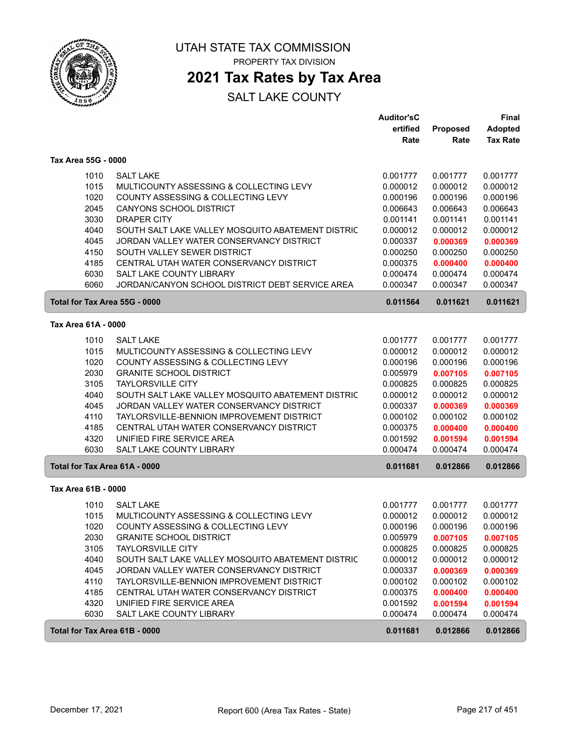

### **2021 Tax Rates by Tax Area**

|                               |                                                   | <b>Auditor'sC</b> |          | Final           |
|-------------------------------|---------------------------------------------------|-------------------|----------|-----------------|
|                               |                                                   | ertified          | Proposed | <b>Adopted</b>  |
|                               |                                                   | Rate              | Rate     | <b>Tax Rate</b> |
| Tax Area 55G - 0000           |                                                   |                   |          |                 |
| 1010                          | <b>SALT LAKE</b>                                  | 0.001777          | 0.001777 | 0.001777        |
| 1015                          | MULTICOUNTY ASSESSING & COLLECTING LEVY           | 0.000012          | 0.000012 | 0.000012        |
| 1020                          | COUNTY ASSESSING & COLLECTING LEVY                | 0.000196          | 0.000196 | 0.000196        |
| 2045                          | <b>CANYONS SCHOOL DISTRICT</b>                    | 0.006643          | 0.006643 | 0.006643        |
| 3030                          | <b>DRAPER CITY</b>                                | 0.001141          | 0.001141 | 0.001141        |
| 4040                          | SOUTH SALT LAKE VALLEY MOSQUITO ABATEMENT DISTRIC | 0.000012          | 0.000012 | 0.000012        |
| 4045                          | JORDAN VALLEY WATER CONSERVANCY DISTRICT          | 0.000337          | 0.000369 | 0.000369        |
| 4150                          | SOUTH VALLEY SEWER DISTRICT                       | 0.000250          | 0.000250 | 0.000250        |
| 4185                          | CENTRAL UTAH WATER CONSERVANCY DISTRICT           | 0.000375          | 0.000400 | 0.000400        |
| 6030                          | SALT LAKE COUNTY LIBRARY                          | 0.000474          | 0.000474 | 0.000474        |
| 6060                          | JORDAN/CANYON SCHOOL DISTRICT DEBT SERVICE AREA   | 0.000347          | 0.000347 | 0.000347        |
|                               | Total for Tax Area 55G - 0000                     | 0.011564          | 0.011621 | 0.011621        |
| Tax Area 61A - 0000           |                                                   |                   |          |                 |
| 1010                          | <b>SALT LAKE</b>                                  | 0.001777          | 0.001777 | 0.001777        |
| 1015                          | MULTICOUNTY ASSESSING & COLLECTING LEVY           | 0.000012          | 0.000012 | 0.000012        |
| 1020                          | COUNTY ASSESSING & COLLECTING LEVY                | 0.000196          | 0.000196 | 0.000196        |
| 2030                          | <b>GRANITE SCHOOL DISTRICT</b>                    | 0.005979          | 0.007105 | 0.007105        |
| 3105                          | <b>TAYLORSVILLE CITY</b>                          | 0.000825          | 0.000825 | 0.000825        |
| 4040                          | SOUTH SALT LAKE VALLEY MOSQUITO ABATEMENT DISTRIC | 0.000012          | 0.000012 | 0.000012        |
| 4045                          | JORDAN VALLEY WATER CONSERVANCY DISTRICT          | 0.000337          | 0.000369 | 0.000369        |
| 4110                          | TAYLORSVILLE-BENNION IMPROVEMENT DISTRICT         | 0.000102          | 0.000102 | 0.000102        |
| 4185                          | CENTRAL UTAH WATER CONSERVANCY DISTRICT           | 0.000375          | 0.000400 | 0.000400        |
| 4320                          | UNIFIED FIRE SERVICE AREA                         | 0.001592          | 0.001594 | 0.001594        |
| 6030                          | <b>SALT LAKE COUNTY LIBRARY</b>                   | 0.000474          | 0.000474 | 0.000474        |
| Total for Tax Area 61A - 0000 |                                                   | 0.011681          | 0.012866 | 0.012866        |
| Tax Area 61B - 0000           |                                                   |                   |          |                 |
| 1010                          | <b>SALT LAKE</b>                                  | 0.001777          | 0.001777 | 0.001777        |
| 1015                          | MULTICOUNTY ASSESSING & COLLECTING LEVY           | 0.000012          | 0.000012 | 0.000012        |
| 1020                          | COUNTY ASSESSING & COLLECTING LEVY                | 0.000196          | 0.000196 | 0.000196        |
| 2030                          | <b>GRANITE SCHOOL DISTRICT</b>                    | 0.005979          | 0.007105 | 0.007105        |
| 3105                          | <b>TAYLORSVILLE CITY</b>                          | 0.000825          | 0.000825 | 0.000825        |
| 4040                          | SOUTH SALT LAKE VALLEY MOSQUITO ABATEMENT DISTRIC | 0.000012          | 0.000012 | 0.000012        |
| 4045                          | JORDAN VALLEY WATER CONSERVANCY DISTRICT          | 0.000337          | 0.000369 | 0.000369        |
| 4110                          | TAYLORSVILLE-BENNION IMPROVEMENT DISTRICT         | 0.000102          | 0.000102 | 0.000102        |
| 4185                          | CENTRAL UTAH WATER CONSERVANCY DISTRICT           | 0.000375          | 0.000400 | 0.000400        |
| 4320                          | UNIFIED FIRE SERVICE AREA                         | 0.001592          | 0.001594 | 0.001594        |
| 6030                          | SALT LAKE COUNTY LIBRARY                          | 0.000474          | 0.000474 | 0.000474        |
|                               | Total for Tax Area 61B - 0000                     | 0.011681          | 0.012866 | 0.012866        |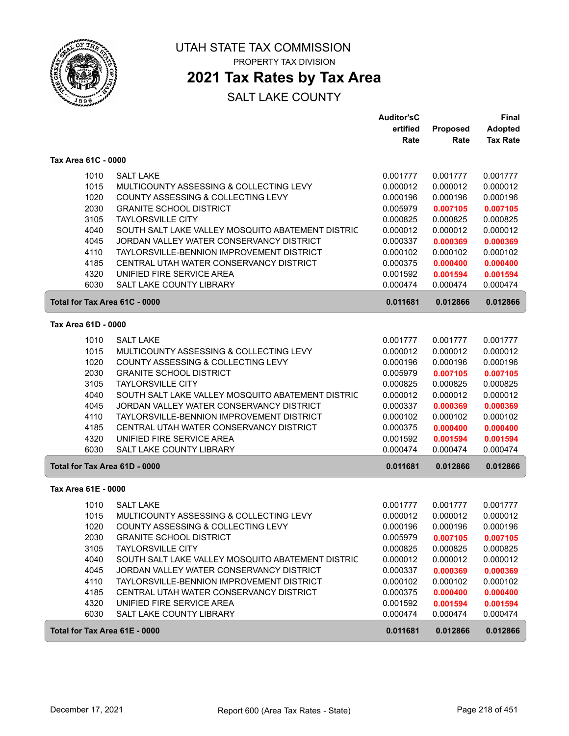

### **2021 Tax Rates by Tax Area**

|                               |                                                                                       | <b>Auditor'sC</b><br>ertified | Proposed             | Final<br><b>Adopted</b> |
|-------------------------------|---------------------------------------------------------------------------------------|-------------------------------|----------------------|-------------------------|
|                               |                                                                                       | Rate                          | Rate                 | <b>Tax Rate</b>         |
| Tax Area 61C - 0000           |                                                                                       |                               |                      |                         |
| 1010                          | <b>SALT LAKE</b>                                                                      | 0.001777                      | 0.001777             | 0.001777                |
| 1015                          | MULTICOUNTY ASSESSING & COLLECTING LEVY                                               | 0.000012                      | 0.000012             | 0.000012                |
| 1020                          | <b>COUNTY ASSESSING &amp; COLLECTING LEVY</b>                                         | 0.000196                      | 0.000196             | 0.000196                |
| 2030                          | <b>GRANITE SCHOOL DISTRICT</b>                                                        | 0.005979                      | 0.007105             | 0.007105                |
| 3105                          | <b>TAYLORSVILLE CITY</b>                                                              | 0.000825                      | 0.000825             | 0.000825                |
| 4040                          | SOUTH SALT LAKE VALLEY MOSQUITO ABATEMENT DISTRIC                                     | 0.000012                      | 0.000012             | 0.000012                |
| 4045                          | JORDAN VALLEY WATER CONSERVANCY DISTRICT                                              | 0.000337                      | 0.000369             | 0.000369                |
| 4110                          | TAYLORSVILLE-BENNION IMPROVEMENT DISTRICT                                             | 0.000102                      | 0.000102             | 0.000102                |
| 4185                          | CENTRAL UTAH WATER CONSERVANCY DISTRICT                                               | 0.000375                      | 0.000400             | 0.000400                |
| 4320<br>6030                  | UNIFIED FIRE SERVICE AREA<br><b>SALT LAKE COUNTY LIBRARY</b>                          | 0.001592<br>0.000474          | 0.001594<br>0.000474 | 0.001594<br>0.000474    |
| Total for Tax Area 61C - 0000 |                                                                                       |                               |                      | 0.012866                |
|                               |                                                                                       | 0.011681                      | 0.012866             |                         |
| Tax Area 61D - 0000           |                                                                                       |                               |                      |                         |
| 1010                          | <b>SALT LAKE</b>                                                                      | 0.001777                      | 0.001777             | 0.001777                |
| 1015                          | MULTICOUNTY ASSESSING & COLLECTING LEVY                                               | 0.000012                      | 0.000012             | 0.000012                |
| 1020                          | COUNTY ASSESSING & COLLECTING LEVY                                                    | 0.000196                      | 0.000196             | 0.000196                |
| 2030                          | <b>GRANITE SCHOOL DISTRICT</b>                                                        | 0.005979                      | 0.007105             | 0.007105                |
| 3105                          | <b>TAYLORSVILLE CITY</b>                                                              | 0.000825                      | 0.000825             | 0.000825                |
| 4040                          | SOUTH SALT LAKE VALLEY MOSQUITO ABATEMENT DISTRIC                                     | 0.000012                      | 0.000012             | 0.000012                |
| 4045<br>4110                  | JORDAN VALLEY WATER CONSERVANCY DISTRICT<br>TAYLORSVILLE-BENNION IMPROVEMENT DISTRICT | 0.000337<br>0.000102          | 0.000369<br>0.000102 | 0.000369<br>0.000102    |
| 4185                          | CENTRAL UTAH WATER CONSERVANCY DISTRICT                                               | 0.000375                      | 0.000400             | 0.000400                |
| 4320                          | UNIFIED FIRE SERVICE AREA                                                             | 0.001592                      | 0.001594             | 0.001594                |
| 6030                          | SALT LAKE COUNTY LIBRARY                                                              | 0.000474                      | 0.000474             | 0.000474                |
| Total for Tax Area 61D - 0000 |                                                                                       | 0.011681                      | 0.012866             | 0.012866                |
| Tax Area 61E - 0000           |                                                                                       |                               |                      |                         |
| 1010                          | <b>SALT LAKE</b>                                                                      | 0.001777                      | 0.001777             | 0.001777                |
| 1015                          | MULTICOUNTY ASSESSING & COLLECTING LEVY                                               | 0.000012                      | 0.000012             | 0.000012                |
| 1020                          | COUNTY ASSESSING & COLLECTING LEVY                                                    | 0.000196                      | 0.000196             | 0.000196                |
| 2030                          | <b>GRANITE SCHOOL DISTRICT</b>                                                        | 0.005979                      | 0.007105             | 0.007105                |
| 3105                          | <b>TAYLORSVILLE CITY</b>                                                              | 0.000825                      | 0.000825             | 0.000825                |
| 4040                          | SOUTH SALT LAKE VALLEY MOSQUITO ABATEMENT DISTRIC                                     | 0.000012                      | 0.000012             | 0.000012                |
| 4045                          | JORDAN VALLEY WATER CONSERVANCY DISTRICT                                              | 0.000337                      | 0.000369             | 0.000369                |
| 4110                          | TAYLORSVILLE-BENNION IMPROVEMENT DISTRICT                                             | 0.000102                      | 0.000102             | 0.000102                |
| 4185                          | CENTRAL UTAH WATER CONSERVANCY DISTRICT                                               | 0.000375                      | 0.000400             | 0.000400                |
| 4320                          | UNIFIED FIRE SERVICE AREA                                                             | 0.001592                      | 0.001594             | 0.001594                |
| 6030                          | SALT LAKE COUNTY LIBRARY                                                              | 0.000474                      | 0.000474             | 0.000474                |
| Total for Tax Area 61E - 0000 |                                                                                       | 0.011681                      | 0.012866             | 0.012866                |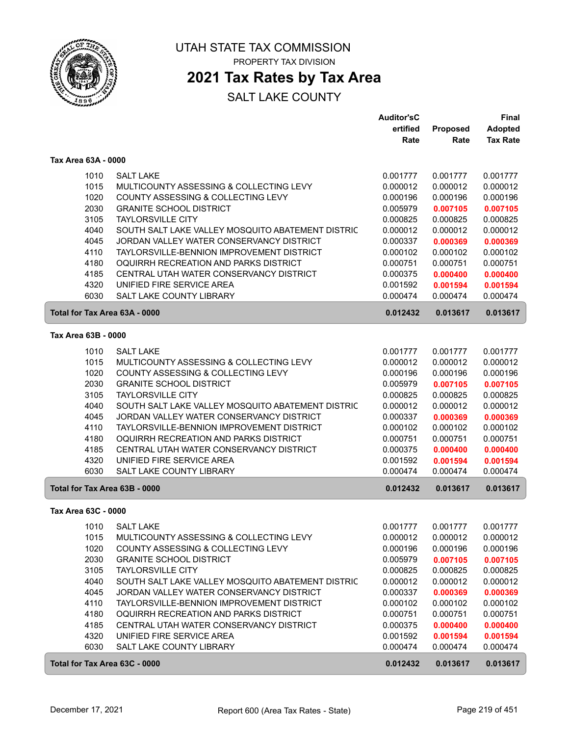

### **2021 Tax Rates by Tax Area**

|                               |                                                   | <b>Auditor'sC</b> |          | <b>Final</b>    |
|-------------------------------|---------------------------------------------------|-------------------|----------|-----------------|
|                               |                                                   | ertified          | Proposed | <b>Adopted</b>  |
|                               |                                                   | Rate              | Rate     | <b>Tax Rate</b> |
| Tax Area 63A - 0000           |                                                   |                   |          |                 |
| 1010                          | <b>SALT LAKE</b>                                  | 0.001777          | 0.001777 | 0.001777        |
| 1015                          | MULTICOUNTY ASSESSING & COLLECTING LEVY           | 0.000012          | 0.000012 | 0.000012        |
| 1020                          | COUNTY ASSESSING & COLLECTING LEVY                | 0.000196          | 0.000196 | 0.000196        |
| 2030                          | <b>GRANITE SCHOOL DISTRICT</b>                    | 0.005979          | 0.007105 | 0.007105        |
| 3105                          | <b>TAYLORSVILLE CITY</b>                          | 0.000825          | 0.000825 | 0.000825        |
| 4040                          | SOUTH SALT LAKE VALLEY MOSQUITO ABATEMENT DISTRIC | 0.000012          | 0.000012 | 0.000012        |
| 4045                          | JORDAN VALLEY WATER CONSERVANCY DISTRICT          | 0.000337          | 0.000369 | 0.000369        |
| 4110                          | TAYLORSVILLE-BENNION IMPROVEMENT DISTRICT         | 0.000102          | 0.000102 | 0.000102        |
| 4180                          | OQUIRRH RECREATION AND PARKS DISTRICT             | 0.000751          | 0.000751 | 0.000751        |
| 4185                          | CENTRAL UTAH WATER CONSERVANCY DISTRICT           | 0.000375          | 0.000400 | 0.000400        |
| 4320                          | UNIFIED FIRE SERVICE AREA                         | 0.001592          | 0.001594 | 0.001594        |
| 6030                          | <b>SALT LAKE COUNTY LIBRARY</b>                   | 0.000474          | 0.000474 | 0.000474        |
| Total for Tax Area 63A - 0000 |                                                   | 0.012432          | 0.013617 | 0.013617        |
| Tax Area 63B - 0000           |                                                   |                   |          |                 |
| 1010                          | <b>SALT LAKE</b>                                  | 0.001777          | 0.001777 | 0.001777        |
| 1015                          | MULTICOUNTY ASSESSING & COLLECTING LEVY           | 0.000012          | 0.000012 | 0.000012        |
| 1020                          | COUNTY ASSESSING & COLLECTING LEVY                | 0.000196          | 0.000196 | 0.000196        |
| 2030                          | <b>GRANITE SCHOOL DISTRICT</b>                    | 0.005979          | 0.007105 | 0.007105        |
| 3105                          | <b>TAYLORSVILLE CITY</b>                          | 0.000825          | 0.000825 | 0.000825        |
| 4040                          | SOUTH SALT LAKE VALLEY MOSQUITO ABATEMENT DISTRIC | 0.000012          | 0.000012 | 0.000012        |
| 4045                          | JORDAN VALLEY WATER CONSERVANCY DISTRICT          | 0.000337          | 0.000369 | 0.000369        |
| 4110                          | TAYLORSVILLE-BENNION IMPROVEMENT DISTRICT         | 0.000102          | 0.000102 | 0.000102        |
| 4180                          | OQUIRRH RECREATION AND PARKS DISTRICT             | 0.000751          | 0.000751 | 0.000751        |
| 4185                          | CENTRAL UTAH WATER CONSERVANCY DISTRICT           | 0.000375          | 0.000400 | 0.000400        |
| 4320                          | UNIFIED FIRE SERVICE AREA                         | 0.001592          | 0.001594 | 0.001594        |
| 6030                          | <b>SALT LAKE COUNTY LIBRARY</b>                   | 0.000474          | 0.000474 | 0.000474        |
| Total for Tax Area 63B - 0000 |                                                   | 0.012432          | 0.013617 | 0.013617        |
| Tax Area 63C - 0000           |                                                   |                   |          |                 |
| 1010                          | <b>SALT LAKE</b>                                  | 0.001777          | 0.001777 | 0.001777        |
| 1015                          | MULTICOUNTY ASSESSING & COLLECTING LEVY           | 0.000012          | 0.000012 | 0.000012        |
| 1020                          | COUNTY ASSESSING & COLLECTING LEVY                | 0.000196          | 0.000196 | 0.000196        |
| 2030                          | <b>GRANITE SCHOOL DISTRICT</b>                    | 0.005979          | 0.007105 | 0.007105        |
| 3105                          | <b>TAYLORSVILLE CITY</b>                          | 0.000825          | 0.000825 | 0.000825        |
| 4040                          | SOUTH SALT LAKE VALLEY MOSQUITO ABATEMENT DISTRIC | 0.000012          | 0.000012 | 0.000012        |
| 4045                          | JORDAN VALLEY WATER CONSERVANCY DISTRICT          | 0.000337          | 0.000369 | 0.000369        |
| 4110                          | TAYLORSVILLE-BENNION IMPROVEMENT DISTRICT         | 0.000102          | 0.000102 | 0.000102        |
| 4180                          | OQUIRRH RECREATION AND PARKS DISTRICT             | 0.000751          | 0.000751 | 0.000751        |
| 4185                          | CENTRAL UTAH WATER CONSERVANCY DISTRICT           | 0.000375          | 0.000400 | 0.000400        |
| 4320                          | UNIFIED FIRE SERVICE AREA                         | 0.001592          | 0.001594 | 0.001594        |
| 6030                          | SALT LAKE COUNTY LIBRARY                          | 0.000474          | 0.000474 | 0.000474        |
| Total for Tax Area 63C - 0000 |                                                   | 0.012432          | 0.013617 | 0.013617        |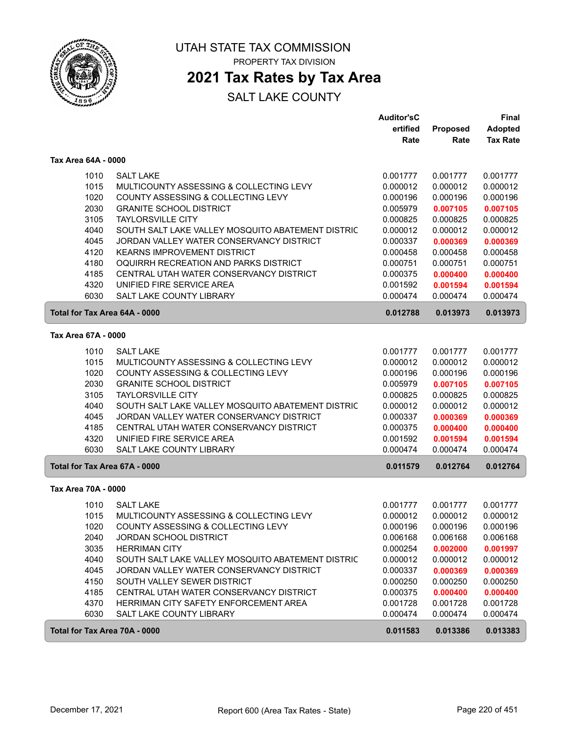

### **2021 Tax Rates by Tax Area**

|                     |                                                           | <b>Auditor'sC</b> |                 | <b>Final</b>    |
|---------------------|-----------------------------------------------------------|-------------------|-----------------|-----------------|
|                     |                                                           | ertified          | <b>Proposed</b> | <b>Adopted</b>  |
|                     |                                                           | Rate              | Rate            | <b>Tax Rate</b> |
| Tax Area 64A - 0000 |                                                           |                   |                 |                 |
|                     | <b>SALT LAKE</b><br>1010                                  | 0.001777          | 0.001777        | 0.001777        |
|                     | 1015<br>MULTICOUNTY ASSESSING & COLLECTING LEVY           | 0.000012          | 0.000012        | 0.000012        |
|                     | 1020<br>COUNTY ASSESSING & COLLECTING LEVY                | 0.000196          | 0.000196        | 0.000196        |
|                     | 2030<br><b>GRANITE SCHOOL DISTRICT</b>                    | 0.005979          | 0.007105        | 0.007105        |
|                     | 3105<br><b>TAYLORSVILLE CITY</b>                          | 0.000825          | 0.000825        | 0.000825        |
|                     | 4040<br>SOUTH SALT LAKE VALLEY MOSQUITO ABATEMENT DISTRIC | 0.000012          | 0.000012        | 0.000012        |
|                     | 4045<br>JORDAN VALLEY WATER CONSERVANCY DISTRICT          | 0.000337          | 0.000369        | 0.000369        |
|                     | 4120<br><b>KEARNS IMPROVEMENT DISTRICT</b>                | 0.000458          | 0.000458        | 0.000458        |
|                     | OQUIRRH RECREATION AND PARKS DISTRICT<br>4180             | 0.000751          | 0.000751        | 0.000751        |
|                     | 4185<br>CENTRAL UTAH WATER CONSERVANCY DISTRICT           | 0.000375          | 0.000400        | 0.000400        |
|                     | 4320<br>UNIFIED FIRE SERVICE AREA                         | 0.001592          | 0.001594        | 0.001594        |
|                     | 6030<br><b>SALT LAKE COUNTY LIBRARY</b>                   | 0.000474          | 0.000474        | 0.000474        |
|                     | Total for Tax Area 64A - 0000                             | 0.012788          | 0.013973        | 0.013973        |
| Tax Area 67A - 0000 |                                                           |                   |                 |                 |
|                     | 1010<br><b>SALT LAKE</b>                                  | 0.001777          | 0.001777        | 0.001777        |
|                     | 1015<br>MULTICOUNTY ASSESSING & COLLECTING LEVY           | 0.000012          | 0.000012        | 0.000012        |
|                     | 1020<br>COUNTY ASSESSING & COLLECTING LEVY                | 0.000196          | 0.000196        | 0.000196        |
|                     | 2030<br><b>GRANITE SCHOOL DISTRICT</b>                    | 0.005979          | 0.007105        | 0.007105        |
|                     | 3105<br><b>TAYLORSVILLE CITY</b>                          | 0.000825          | 0.000825        | 0.000825        |
|                     | 4040<br>SOUTH SALT LAKE VALLEY MOSQUITO ABATEMENT DISTRIC | 0.000012          | 0.000012        | 0.000012        |
|                     | 4045<br>JORDAN VALLEY WATER CONSERVANCY DISTRICT          | 0.000337          | 0.000369        | 0.000369        |
|                     | 4185<br>CENTRAL UTAH WATER CONSERVANCY DISTRICT           | 0.000375          | 0.000400        | 0.000400        |
|                     | 4320<br>UNIFIED FIRE SERVICE AREA                         | 0.001592          | 0.001594        | 0.001594        |
|                     | 6030<br>SALT LAKE COUNTY LIBRARY                          | 0.000474          | 0.000474        | 0.000474        |
|                     | Total for Tax Area 67A - 0000                             | 0.011579          | 0.012764        | 0.012764        |
| Tax Area 70A - 0000 |                                                           |                   |                 |                 |
|                     | 1010<br><b>SALT LAKE</b>                                  | 0.001777          | 0.001777        | 0.001777        |
|                     | 1015<br>MULTICOUNTY ASSESSING & COLLECTING LEVY           | 0.000012          | 0.000012        | 0.000012        |
|                     | 1020<br>COUNTY ASSESSING & COLLECTING LEVY                | 0.000196          | 0.000196        | 0.000196        |
|                     | 2040<br>JORDAN SCHOOL DISTRICT                            | 0.006168          | 0.006168        | 0.006168        |
|                     | 3035<br><b>HERRIMAN CITY</b>                              | 0.000254          | 0.002000        | 0.001997        |
|                     | 4040<br>SOUTH SALT LAKE VALLEY MOSQUITO ABATEMENT DISTRIC | 0.000012          | 0.000012        | 0.000012        |
|                     | 4045<br>JORDAN VALLEY WATER CONSERVANCY DISTRICT          | 0.000337          | 0.000369        | 0.000369        |
|                     | 4150<br>SOUTH VALLEY SEWER DISTRICT                       | 0.000250          | 0.000250        | 0.000250        |
|                     | 4185<br>CENTRAL UTAH WATER CONSERVANCY DISTRICT           | 0.000375          | 0.000400        | 0.000400        |
|                     | 4370<br>HERRIMAN CITY SAFETY ENFORCEMENT AREA             | 0.001728          | 0.001728        | 0.001728        |
|                     | 6030<br>SALT LAKE COUNTY LIBRARY                          | 0.000474          | 0.000474        | 0.000474        |
|                     | Total for Tax Area 70A - 0000                             | 0.011583          | 0.013386        | 0.013383        |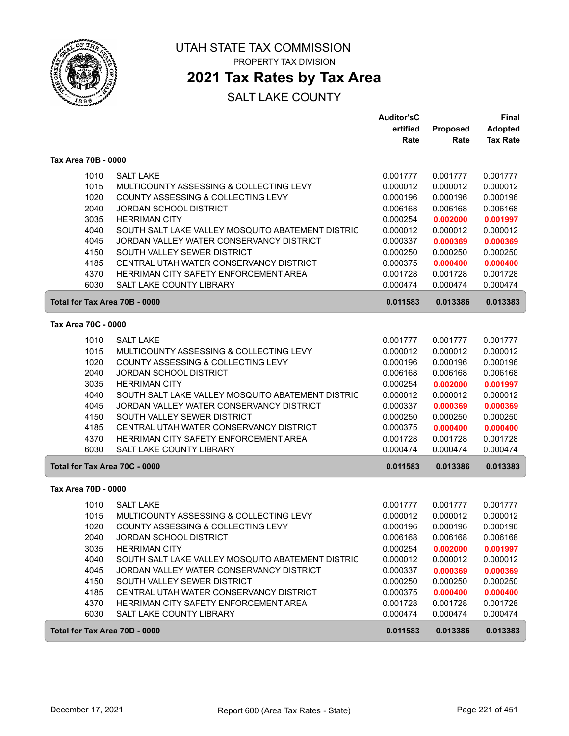

### **2021 Tax Rates by Tax Area**

|                     |                                                                                                  | <b>Auditor'sC</b><br>ertified | Proposed             | Final<br><b>Adopted</b> |
|---------------------|--------------------------------------------------------------------------------------------------|-------------------------------|----------------------|-------------------------|
|                     |                                                                                                  | Rate                          | Rate                 | <b>Tax Rate</b>         |
| Tax Area 70B - 0000 |                                                                                                  |                               |                      |                         |
|                     | <b>SALT LAKE</b><br>1010                                                                         | 0.001777                      | 0.001777             | 0.001777                |
|                     | 1015<br>MULTICOUNTY ASSESSING & COLLECTING LEVY                                                  | 0.000012                      | 0.000012             | 0.000012                |
|                     | 1020<br>COUNTY ASSESSING & COLLECTING LEVY                                                       | 0.000196                      | 0.000196             | 0.000196                |
|                     | 2040<br><b>JORDAN SCHOOL DISTRICT</b>                                                            | 0.006168                      | 0.006168             | 0.006168                |
|                     | 3035<br><b>HERRIMAN CITY</b>                                                                     | 0.000254                      | 0.002000             | 0.001997                |
|                     | 4040<br>SOUTH SALT LAKE VALLEY MOSQUITO ABATEMENT DISTRIC                                        | 0.000012                      | 0.000012             | 0.000012                |
|                     | 4045<br>JORDAN VALLEY WATER CONSERVANCY DISTRICT                                                 | 0.000337                      | 0.000369             | 0.000369                |
|                     | 4150<br>SOUTH VALLEY SEWER DISTRICT                                                              | 0.000250                      | 0.000250             | 0.000250                |
|                     | CENTRAL UTAH WATER CONSERVANCY DISTRICT<br>4185                                                  | 0.000375                      | 0.000400             | 0.000400                |
|                     | 4370<br>HERRIMAN CITY SAFETY ENFORCEMENT AREA<br><b>SALT LAKE COUNTY LIBRARY</b>                 | 0.001728                      | 0.001728             | 0.001728                |
|                     | 6030                                                                                             | 0.000474                      | 0.000474             | 0.000474                |
|                     | Total for Tax Area 70B - 0000                                                                    | 0.011583                      | 0.013386             | 0.013383                |
| Tax Area 70C - 0000 |                                                                                                  |                               |                      |                         |
|                     | 1010<br><b>SALT LAKE</b>                                                                         | 0.001777                      | 0.001777             | 0.001777                |
|                     | 1015<br>MULTICOUNTY ASSESSING & COLLECTING LEVY                                                  | 0.000012                      | 0.000012             | 0.000012                |
|                     | 1020<br>COUNTY ASSESSING & COLLECTING LEVY                                                       | 0.000196                      | 0.000196             | 0.000196                |
|                     | 2040<br><b>JORDAN SCHOOL DISTRICT</b>                                                            | 0.006168                      | 0.006168             | 0.006168                |
|                     | 3035<br><b>HERRIMAN CITY</b>                                                                     | 0.000254                      | 0.002000             | 0.001997                |
|                     | 4040<br>SOUTH SALT LAKE VALLEY MOSQUITO ABATEMENT DISTRIC                                        | 0.000012                      | 0.000012             | 0.000012                |
|                     | 4045<br>JORDAN VALLEY WATER CONSERVANCY DISTRICT                                                 | 0.000337                      | 0.000369             | 0.000369                |
|                     | 4150<br>SOUTH VALLEY SEWER DISTRICT                                                              | 0.000250                      | 0.000250             | 0.000250                |
|                     | 4185<br>CENTRAL UTAH WATER CONSERVANCY DISTRICT<br>4370<br>HERRIMAN CITY SAFETY ENFORCEMENT AREA | 0.000375                      | 0.000400             | 0.000400                |
|                     | 6030<br><b>SALT LAKE COUNTY LIBRARY</b>                                                          | 0.001728<br>0.000474          | 0.001728<br>0.000474 | 0.001728<br>0.000474    |
|                     | Total for Tax Area 70C - 0000                                                                    | 0.011583                      | 0.013386             | 0.013383                |
| Tax Area 70D - 0000 |                                                                                                  |                               |                      |                         |
|                     | 1010<br><b>SALT LAKE</b>                                                                         | 0.001777                      | 0.001777             | 0.001777                |
|                     | 1015<br>MULTICOUNTY ASSESSING & COLLECTING LEVY                                                  | 0.000012                      | 0.000012             | 0.000012                |
|                     | 1020<br>COUNTY ASSESSING & COLLECTING LEVY                                                       | 0.000196                      | 0.000196             | 0.000196                |
|                     | 2040<br><b>JORDAN SCHOOL DISTRICT</b>                                                            | 0.006168                      | 0.006168             | 0.006168                |
|                     | 3035<br><b>HERRIMAN CITY</b>                                                                     | 0.000254                      | 0.002000             | 0.001997                |
|                     | 4040<br>SOUTH SALT LAKE VALLEY MOSQUITO ABATEMENT DISTRIC                                        | 0.000012                      | 0.000012             | 0.000012                |
|                     | 4045<br>JORDAN VALLEY WATER CONSERVANCY DISTRICT                                                 | 0.000337                      | 0.000369             | 0.000369                |
|                     | 4150<br>SOUTH VALLEY SEWER DISTRICT                                                              | 0.000250                      | 0.000250             | 0.000250                |
|                     | 4185<br>CENTRAL UTAH WATER CONSERVANCY DISTRICT                                                  | 0.000375                      | 0.000400             | 0.000400                |
|                     | 4370<br>HERRIMAN CITY SAFETY ENFORCEMENT AREA                                                    | 0.001728                      | 0.001728             | 0.001728                |
|                     | 6030<br>SALT LAKE COUNTY LIBRARY                                                                 | 0.000474                      | 0.000474             | 0.000474                |
|                     | Total for Tax Area 70D - 0000                                                                    | 0.011583                      | 0.013386             | 0.013383                |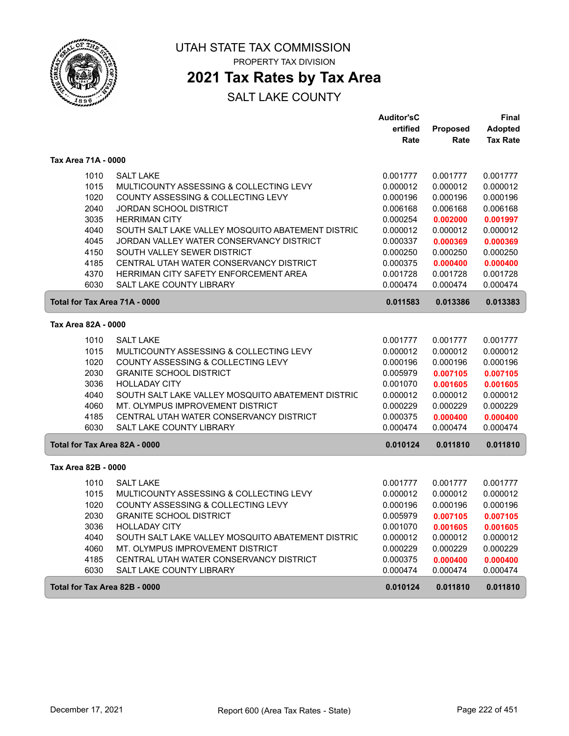

# **2021 Tax Rates by Tax Area**

|                               |                                                   | <b>Auditor'sC</b> |                 | Final           |
|-------------------------------|---------------------------------------------------|-------------------|-----------------|-----------------|
|                               |                                                   | ertified          | <b>Proposed</b> | <b>Adopted</b>  |
|                               |                                                   | Rate              | Rate            | <b>Tax Rate</b> |
| Tax Area 71A - 0000           |                                                   |                   |                 |                 |
| 1010                          | <b>SALT LAKE</b>                                  | 0.001777          | 0.001777        | 0.001777        |
| 1015                          | MULTICOUNTY ASSESSING & COLLECTING LEVY           | 0.000012          | 0.000012        | 0.000012        |
| 1020                          | COUNTY ASSESSING & COLLECTING LEVY                | 0.000196          | 0.000196        | 0.000196        |
| 2040                          | <b>JORDAN SCHOOL DISTRICT</b>                     | 0.006168          | 0.006168        | 0.006168        |
| 3035                          | <b>HERRIMAN CITY</b>                              | 0.000254          | 0.002000        | 0.001997        |
| 4040                          | SOUTH SALT LAKE VALLEY MOSQUITO ABATEMENT DISTRIC | 0.000012          | 0.000012        | 0.000012        |
| 4045                          | JORDAN VALLEY WATER CONSERVANCY DISTRICT          | 0.000337          | 0.000369        | 0.000369        |
| 4150                          | SOUTH VALLEY SEWER DISTRICT                       | 0.000250          | 0.000250        | 0.000250        |
| 4185                          | CENTRAL UTAH WATER CONSERVANCY DISTRICT           | 0.000375          | 0.000400        | 0.000400        |
| 4370                          | HERRIMAN CITY SAFETY ENFORCEMENT AREA             | 0.001728          | 0.001728        | 0.001728        |
| 6030                          | <b>SALT LAKE COUNTY LIBRARY</b>                   | 0.000474          | 0.000474        | 0.000474        |
| Total for Tax Area 71A - 0000 |                                                   | 0.011583          | 0.013386        | 0.013383        |
| Tax Area 82A - 0000           |                                                   |                   |                 |                 |
| 1010                          | <b>SALT LAKE</b>                                  | 0.001777          | 0.001777        | 0.001777        |
| 1015                          | MULTICOUNTY ASSESSING & COLLECTING LEVY           | 0.000012          | 0.000012        | 0.000012        |
| 1020                          | COUNTY ASSESSING & COLLECTING LEVY                | 0.000196          | 0.000196        | 0.000196        |
| 2030                          | <b>GRANITE SCHOOL DISTRICT</b>                    | 0.005979          | 0.007105        | 0.007105        |
| 3036                          | <b>HOLLADAY CITY</b>                              | 0.001070          | 0.001605        | 0.001605        |
| 4040                          | SOUTH SALT LAKE VALLEY MOSQUITO ABATEMENT DISTRIC | 0.000012          | 0.000012        | 0.000012        |
| 4060                          | MT. OLYMPUS IMPROVEMENT DISTRICT                  | 0.000229          | 0.000229        | 0.000229        |
| 4185                          | CENTRAL UTAH WATER CONSERVANCY DISTRICT           | 0.000375          | 0.000400        | 0.000400        |
| 6030                          | <b>SALT LAKE COUNTY LIBRARY</b>                   | 0.000474          | 0.000474        | 0.000474        |
| Total for Tax Area 82A - 0000 |                                                   | 0.010124          | 0.011810        | 0.011810        |
| Tax Area 82B - 0000           |                                                   |                   |                 |                 |
| 1010                          | <b>SALT LAKE</b>                                  | 0.001777          | 0.001777        | 0.001777        |
| 1015                          | MULTICOUNTY ASSESSING & COLLECTING LEVY           | 0.000012          | 0.000012        | 0.000012        |
| 1020                          | COUNTY ASSESSING & COLLECTING LEVY                | 0.000196          | 0.000196        | 0.000196        |
| 2030                          | <b>GRANITE SCHOOL DISTRICT</b>                    | 0.005979          | 0.007105        | 0.007105        |
| 3036                          | <b>HOLLADAY CITY</b>                              | 0.001070          | 0.001605        | 0.001605        |
| 4040                          | SOUTH SALT LAKE VALLEY MOSQUITO ABATEMENT DISTRIC | 0.000012          | 0.000012        | 0.000012        |
| 4060                          | MT. OLYMPUS IMPROVEMENT DISTRICT                  | 0.000229          | 0.000229        | 0.000229        |
| 4185                          | CENTRAL UTAH WATER CONSERVANCY DISTRICT           | 0.000375          | 0.000400        | 0.000400        |
| 6030                          | <b>SALT LAKE COUNTY LIBRARY</b>                   | 0.000474          | 0.000474        | 0.000474        |
| Total for Tax Area 82B - 0000 |                                                   | 0.010124          | 0.011810        | 0.011810        |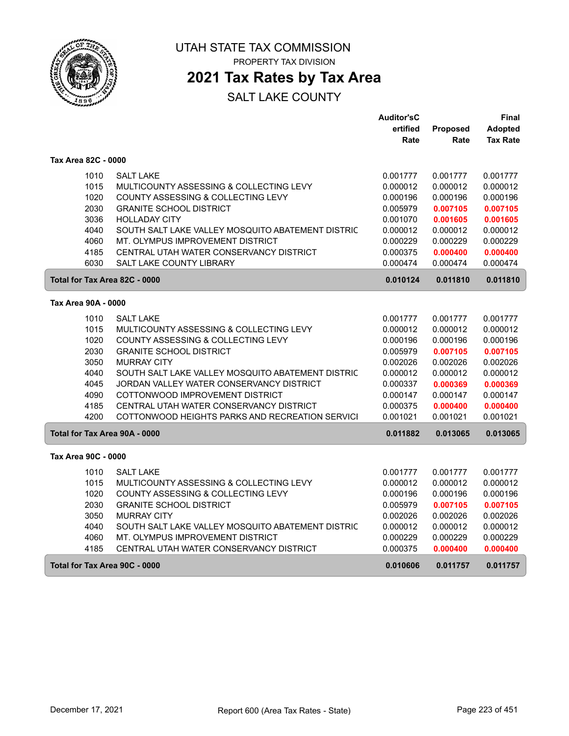

# UTAH STATE TAX COMMISSION

PROPERTY TAX DIVISION

### **2021 Tax Rates by Tax Area**

|                               |                                                                   | <b>Auditor'sC</b> |          | Final           |
|-------------------------------|-------------------------------------------------------------------|-------------------|----------|-----------------|
|                               |                                                                   | ertified          | Proposed | <b>Adopted</b>  |
|                               |                                                                   | Rate              | Rate     | <b>Tax Rate</b> |
| Tax Area 82C - 0000           |                                                                   |                   |          |                 |
| 1010                          | <b>SALT LAKE</b>                                                  | 0.001777          | 0.001777 | 0.001777        |
| 1015                          | MULTICOUNTY ASSESSING & COLLECTING LEVY                           | 0.000012          | 0.000012 | 0.000012        |
| 1020                          | COUNTY ASSESSING & COLLECTING LEVY                                | 0.000196          | 0.000196 | 0.000196        |
| 2030                          | <b>GRANITE SCHOOL DISTRICT</b>                                    | 0.005979          | 0.007105 | 0.007105        |
| 3036                          | <b>HOLLADAY CITY</b>                                              | 0.001070          | 0.001605 | 0.001605        |
| 4040                          | SOUTH SALT LAKE VALLEY MOSQUITO ABATEMENT DISTRIC                 | 0.000012          | 0.000012 | 0.000012        |
| 4060                          | MT. OLYMPUS IMPROVEMENT DISTRICT                                  | 0.000229          | 0.000229 | 0.000229        |
| 4185                          | CENTRAL UTAH WATER CONSERVANCY DISTRICT                           | 0.000375          | 0.000400 | 0.000400        |
| 6030                          | <b>SALT LAKE COUNTY LIBRARY</b>                                   | 0.000474          | 0.000474 | 0.000474        |
| Total for Tax Area 82C - 0000 |                                                                   | 0.010124          | 0.011810 | 0.011810        |
| Tax Area 90A - 0000           |                                                                   |                   |          |                 |
| 1010                          | <b>SALT LAKE</b>                                                  | 0.001777          | 0.001777 | 0.001777        |
| 1015                          | MULTICOUNTY ASSESSING & COLLECTING LEVY                           | 0.000012          | 0.000012 | 0.000012        |
| 1020                          | COUNTY ASSESSING & COLLECTING LEVY                                | 0.000196          | 0.000196 | 0.000196        |
| 2030                          | <b>GRANITE SCHOOL DISTRICT</b>                                    | 0.005979          | 0.007105 | 0.007105        |
| 3050                          | <b>MURRAY CITY</b>                                                | 0.002026          | 0.002026 | 0.002026        |
| 4040                          | SOUTH SALT LAKE VALLEY MOSQUITO ABATEMENT DISTRIC                 | 0.000012          | 0.000012 | 0.000012        |
| 4045                          | JORDAN VALLEY WATER CONSERVANCY DISTRICT                          | 0.000337          | 0.000369 | 0.000369        |
| 4090                          | COTTONWOOD IMPROVEMENT DISTRICT                                   | 0.000147          | 0.000147 | 0.000147        |
| 4185                          | CENTRAL UTAH WATER CONSERVANCY DISTRICT                           | 0.000375          | 0.000400 | 0.000400        |
| 4200                          | COTTONWOOD HEIGHTS PARKS AND RECREATION SERVICI                   | 0.001021          | 0.001021 | 0.001021        |
| Total for Tax Area 90A - 0000 |                                                                   | 0.011882          | 0.013065 | 0.013065        |
| Tax Area 90C - 0000           |                                                                   |                   |          |                 |
| 1010                          | <b>SALT LAKE</b>                                                  | 0.001777          | 0.001777 | 0.001777        |
| 1015                          | MULTICOUNTY ASSESSING & COLLECTING LEVY                           | 0.000012          | 0.000012 | 0.000012        |
| 1020                          | COUNTY ASSESSING & COLLECTING LEVY                                | 0.000196          | 0.000196 | 0.000196        |
| 2030                          | <b>GRANITE SCHOOL DISTRICT</b>                                    | 0.005979          | 0.007105 | 0.007105        |
| 3050                          | <b>MURRAY CITY</b>                                                | 0.002026          | 0.002026 | 0.002026        |
| 4040                          | SOUTH SALT LAKE VALLEY MOSQUITO ABATEMENT DISTRIC                 | 0.000012          | 0.000012 | 0.000012        |
| 4060                          | MT. OLYMPUS IMPROVEMENT DISTRICT                                  | 0.000229          | 0.000229 | 0.000229        |
| 4185                          | CENTRAL UTAH WATER CONSERVANCY DISTRICT                           | 0.000375          | 0.000400 | 0.000400        |
|                               | Total for Tax Area 90C - 0000<br>0.010606<br>0.011757<br>0.011757 |                   |          |                 |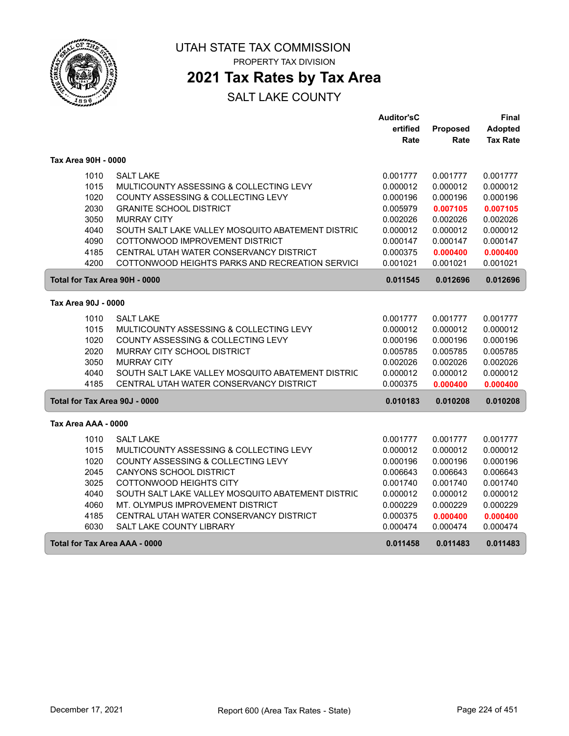

### **2021 Tax Rates by Tax Area**

|                               |                                                   | <b>Auditor'sC</b> |          | Final           |
|-------------------------------|---------------------------------------------------|-------------------|----------|-----------------|
|                               |                                                   | ertified          | Proposed | <b>Adopted</b>  |
|                               |                                                   | Rate              | Rate     | <b>Tax Rate</b> |
| Tax Area 90H - 0000           |                                                   |                   |          |                 |
| 1010                          | <b>SALT LAKE</b>                                  | 0.001777          | 0.001777 | 0.001777        |
| 1015                          | MULTICOUNTY ASSESSING & COLLECTING LEVY           | 0.000012          | 0.000012 | 0.000012        |
| 1020                          | COUNTY ASSESSING & COLLECTING LEVY                | 0.000196          | 0.000196 | 0.000196        |
| 2030                          | <b>GRANITE SCHOOL DISTRICT</b>                    | 0.005979          | 0.007105 | 0.007105        |
| 3050                          | <b>MURRAY CITY</b>                                | 0.002026          | 0.002026 | 0.002026        |
| 4040                          | SOUTH SALT LAKE VALLEY MOSQUITO ABATEMENT DISTRIC | 0.000012          | 0.000012 | 0.000012        |
| 4090                          | COTTONWOOD IMPROVEMENT DISTRICT                   | 0.000147          | 0.000147 | 0.000147        |
| 4185                          | CENTRAL UTAH WATER CONSERVANCY DISTRICT           | 0.000375          | 0.000400 | 0.000400        |
| 4200                          | COTTONWOOD HEIGHTS PARKS AND RECREATION SERVICI   | 0.001021          | 0.001021 | 0.001021        |
| Total for Tax Area 90H - 0000 |                                                   | 0.011545          | 0.012696 | 0.012696        |
| Tax Area 90J - 0000           |                                                   |                   |          |                 |
| 1010                          | <b>SALT LAKE</b>                                  | 0.001777          | 0.001777 | 0.001777        |
| 1015                          | MULTICOUNTY ASSESSING & COLLECTING LEVY           | 0.000012          | 0.000012 | 0.000012        |
| 1020                          | COUNTY ASSESSING & COLLECTING LEVY                | 0.000196          | 0.000196 | 0.000196        |
| 2020                          | MURRAY CITY SCHOOL DISTRICT                       | 0.005785          | 0.005785 | 0.005785        |
| 3050                          | <b>MURRAY CITY</b>                                | 0.002026          | 0.002026 | 0.002026        |
| 4040                          | SOUTH SALT LAKE VALLEY MOSQUITO ABATEMENT DISTRIC | 0.000012          | 0.000012 | 0.000012        |
| 4185                          | CENTRAL UTAH WATER CONSERVANCY DISTRICT           | 0.000375          | 0.000400 | 0.000400        |
| Total for Tax Area 90J - 0000 |                                                   | 0.010183          | 0.010208 | 0.010208        |
| Tax Area AAA - 0000           |                                                   |                   |          |                 |
|                               |                                                   |                   |          |                 |
| 1010                          | <b>SALT LAKE</b>                                  | 0.001777          | 0.001777 | 0.001777        |
| 1015                          | MULTICOUNTY ASSESSING & COLLECTING LEVY           | 0.000012          | 0.000012 | 0.000012        |
| 1020                          | COUNTY ASSESSING & COLLECTING LEVY                | 0.000196          | 0.000196 | 0.000196        |
| 2045                          | CANYONS SCHOOL DISTRICT                           | 0.006643          | 0.006643 | 0.006643        |
| 3025                          | COTTONWOOD HEIGHTS CITY                           | 0.001740          | 0.001740 | 0.001740        |
| 4040                          | SOUTH SALT LAKE VALLEY MOSQUITO ABATEMENT DISTRIC | 0.000012          | 0.000012 | 0.000012        |
| 4060                          | MT. OLYMPUS IMPROVEMENT DISTRICT                  | 0.000229          | 0.000229 | 0.000229        |
| 4185                          | CENTRAL UTAH WATER CONSERVANCY DISTRICT           | 0.000375          | 0.000400 | 0.000400        |
| 6030                          | SALT LAKE COUNTY LIBRARY                          | 0.000474          | 0.000474 | 0.000474        |
| Total for Tax Area AAA - 0000 |                                                   | 0.011458          | 0.011483 | 0.011483        |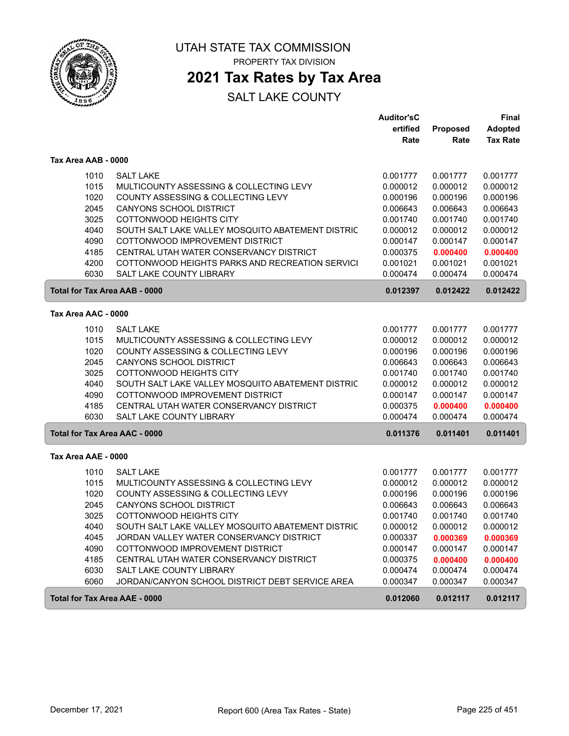

## **2021 Tax Rates by Tax Area**

|                                      |                                                   | <b>Auditor'sC</b> |          | Final           |
|--------------------------------------|---------------------------------------------------|-------------------|----------|-----------------|
|                                      |                                                   | ertified          | Proposed | <b>Adopted</b>  |
|                                      |                                                   | Rate              | Rate     | <b>Tax Rate</b> |
| Tax Area AAB - 0000                  |                                                   |                   |          |                 |
| 1010                                 | <b>SALT LAKE</b>                                  | 0.001777          | 0.001777 | 0.001777        |
| 1015                                 | MULTICOUNTY ASSESSING & COLLECTING LEVY           | 0.000012          | 0.000012 | 0.000012        |
| 1020                                 | COUNTY ASSESSING & COLLECTING LEVY                | 0.000196          | 0.000196 | 0.000196        |
| 2045                                 | <b>CANYONS SCHOOL DISTRICT</b>                    | 0.006643          | 0.006643 | 0.006643        |
| 3025                                 | COTTONWOOD HEIGHTS CITY                           | 0.001740          | 0.001740 | 0.001740        |
| 4040                                 | SOUTH SALT LAKE VALLEY MOSQUITO ABATEMENT DISTRIC | 0.000012          | 0.000012 | 0.000012        |
| 4090                                 | COTTONWOOD IMPROVEMENT DISTRICT                   | 0.000147          | 0.000147 | 0.000147        |
| 4185                                 | CENTRAL UTAH WATER CONSERVANCY DISTRICT           | 0.000375          | 0.000400 | 0.000400        |
| 4200                                 | COTTONWOOD HEIGHTS PARKS AND RECREATION SERVICI   | 0.001021          | 0.001021 | 0.001021        |
| 6030                                 | SALT LAKE COUNTY LIBRARY                          | 0.000474          | 0.000474 | 0.000474        |
| <b>Total for Tax Area AAB - 0000</b> |                                                   | 0.012397          | 0.012422 | 0.012422        |
|                                      |                                                   |                   |          |                 |
| Tax Area AAC - 0000                  |                                                   |                   |          |                 |
| 1010                                 | <b>SALT LAKE</b>                                  | 0.001777          | 0.001777 | 0.001777        |
| 1015                                 | MULTICOUNTY ASSESSING & COLLECTING LEVY           | 0.000012          | 0.000012 | 0.000012        |
| 1020                                 | COUNTY ASSESSING & COLLECTING LEVY                | 0.000196          | 0.000196 | 0.000196        |
| 2045                                 | CANYONS SCHOOL DISTRICT                           | 0.006643          | 0.006643 | 0.006643        |
| 3025                                 | COTTONWOOD HEIGHTS CITY                           | 0.001740          | 0.001740 | 0.001740        |
| 4040                                 | SOUTH SALT LAKE VALLEY MOSQUITO ABATEMENT DISTRIC | 0.000012          | 0.000012 | 0.000012        |
| 4090                                 | COTTONWOOD IMPROVEMENT DISTRICT                   | 0.000147          | 0.000147 | 0.000147        |
| 4185                                 | CENTRAL UTAH WATER CONSERVANCY DISTRICT           | 0.000375          | 0.000400 | 0.000400        |
| 6030                                 | <b>SALT LAKE COUNTY LIBRARY</b>                   | 0.000474          | 0.000474 | 0.000474        |
| <b>Total for Tax Area AAC - 0000</b> |                                                   | 0.011376          | 0.011401 | 0.011401        |
| Tax Area AAE - 0000                  |                                                   |                   |          |                 |
|                                      |                                                   |                   |          |                 |
| 1010                                 | <b>SALT LAKE</b>                                  | 0.001777          | 0.001777 | 0.001777        |
| 1015                                 | MULTICOUNTY ASSESSING & COLLECTING LEVY           | 0.000012          | 0.000012 | 0.000012        |
| 1020                                 | COUNTY ASSESSING & COLLECTING LEVY                | 0.000196          | 0.000196 | 0.000196        |
| 2045                                 | CANYONS SCHOOL DISTRICT                           | 0.006643          | 0.006643 | 0.006643        |
| 3025                                 | <b>COTTONWOOD HEIGHTS CITY</b>                    | 0.001740          | 0.001740 | 0.001740        |
| 4040                                 | SOUTH SALT LAKE VALLEY MOSQUITO ABATEMENT DISTRIC | 0.000012          | 0.000012 | 0.000012        |
| 4045                                 | JORDAN VALLEY WATER CONSERVANCY DISTRICT          | 0.000337          | 0.000369 | 0.000369        |
| 4090                                 | COTTONWOOD IMPROVEMENT DISTRICT                   | 0.000147          | 0.000147 | 0.000147        |
| 4185                                 | CENTRAL UTAH WATER CONSERVANCY DISTRICT           | 0.000375          | 0.000400 | 0.000400        |
| 6030                                 | SALT LAKE COUNTY LIBRARY                          | 0.000474          | 0.000474 | 0.000474        |
| 6060                                 | JORDAN/CANYON SCHOOL DISTRICT DEBT SERVICE AREA   | 0.000347          | 0.000347 | 0.000347        |
| <b>Total for Tax Area AAE - 0000</b> |                                                   | 0.012060          | 0.012117 | 0.012117        |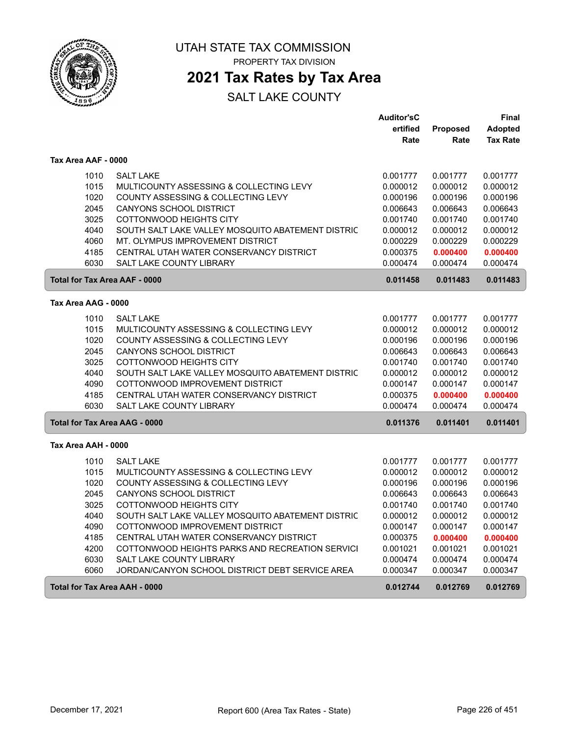

## **2021 Tax Rates by Tax Area**

|                     |                                                   | <b>Auditor'sC</b> |                 | Final           |
|---------------------|---------------------------------------------------|-------------------|-----------------|-----------------|
|                     |                                                   | ertified          | <b>Proposed</b> | <b>Adopted</b>  |
|                     |                                                   | Rate              | Rate            | <b>Tax Rate</b> |
| Tax Area AAF - 0000 |                                                   |                   |                 |                 |
| 1010                | <b>SALT LAKE</b>                                  | 0.001777          | 0.001777        | 0.001777        |
| 1015                | MULTICOUNTY ASSESSING & COLLECTING LEVY           | 0.000012          | 0.000012        | 0.000012        |
| 1020                | COUNTY ASSESSING & COLLECTING LEVY                | 0.000196          | 0.000196        | 0.000196        |
| 2045                | <b>CANYONS SCHOOL DISTRICT</b>                    | 0.006643          | 0.006643        | 0.006643        |
| 3025                | COTTONWOOD HEIGHTS CITY                           | 0.001740          | 0.001740        | 0.001740        |
| 4040                | SOUTH SALT LAKE VALLEY MOSQUITO ABATEMENT DISTRIC | 0.000012          | 0.000012        | 0.000012        |
| 4060                | MT. OLYMPUS IMPROVEMENT DISTRICT                  | 0.000229          | 0.000229        | 0.000229        |
| 4185                | CENTRAL UTAH WATER CONSERVANCY DISTRICT           | 0.000375          | 0.000400        | 0.000400        |
| 6030                | SALT LAKE COUNTY LIBRARY                          | 0.000474          | 0.000474        | 0.000474        |
|                     | <b>Total for Tax Area AAF - 0000</b>              | 0.011458          | 0.011483        | 0.011483        |
| Tax Area AAG - 0000 |                                                   |                   |                 |                 |
| 1010                | <b>SALT LAKE</b>                                  | 0.001777          | 0.001777        | 0.001777        |
| 1015                | MULTICOUNTY ASSESSING & COLLECTING LEVY           | 0.000012          | 0.000012        | 0.000012        |
| 1020                | COUNTY ASSESSING & COLLECTING LEVY                | 0.000196          | 0.000196        | 0.000196        |
| 2045                | CANYONS SCHOOL DISTRICT                           | 0.006643          | 0.006643        | 0.006643        |
| 3025                | COTTONWOOD HEIGHTS CITY                           | 0.001740          | 0.001740        | 0.001740        |
| 4040                | SOUTH SALT LAKE VALLEY MOSQUITO ABATEMENT DISTRIC | 0.000012          | 0.000012        | 0.000012        |
| 4090                | COTTONWOOD IMPROVEMENT DISTRICT                   | 0.000147          | 0.000147        | 0.000147        |
| 4185                | CENTRAL UTAH WATER CONSERVANCY DISTRICT           | 0.000375          | 0.000400        | 0.000400        |
| 6030                | <b>SALT LAKE COUNTY LIBRARY</b>                   | 0.000474          | 0.000474        | 0.000474        |
|                     | <b>Total for Tax Area AAG - 0000</b>              | 0.011376          | 0.011401        | 0.011401        |
| Tax Area AAH - 0000 |                                                   |                   |                 |                 |
| 1010                | <b>SALT LAKE</b>                                  | 0.001777          | 0.001777        | 0.001777        |
| 1015                | MULTICOUNTY ASSESSING & COLLECTING LEVY           | 0.000012          | 0.000012        | 0.000012        |
| 1020                | COUNTY ASSESSING & COLLECTING LEVY                | 0.000196          | 0.000196        | 0.000196        |
| 2045                | CANYONS SCHOOL DISTRICT                           | 0.006643          | 0.006643        | 0.006643        |
| 3025                | COTTONWOOD HEIGHTS CITY                           | 0.001740          | 0.001740        | 0.001740        |
| 4040                | SOUTH SALT LAKE VALLEY MOSQUITO ABATEMENT DISTRIC | 0.000012          | 0.000012        | 0.000012        |
| 4090                | COTTONWOOD IMPROVEMENT DISTRICT                   | 0.000147          | 0.000147        | 0.000147        |
| 4185                | CENTRAL UTAH WATER CONSERVANCY DISTRICT           | 0.000375          | 0.000400        | 0.000400        |
| 4200                | COTTONWOOD HEIGHTS PARKS AND RECREATION SERVICI   | 0.001021          | 0.001021        | 0.001021        |
| 6030                | SALT LAKE COUNTY LIBRARY                          | 0.000474          | 0.000474        | 0.000474        |
| 6060                | JORDAN/CANYON SCHOOL DISTRICT DEBT SERVICE AREA   | 0.000347          | 0.000347        | 0.000347        |
|                     | Total for Tax Area AAH - 0000                     | 0.012744          | 0.012769        | 0.012769        |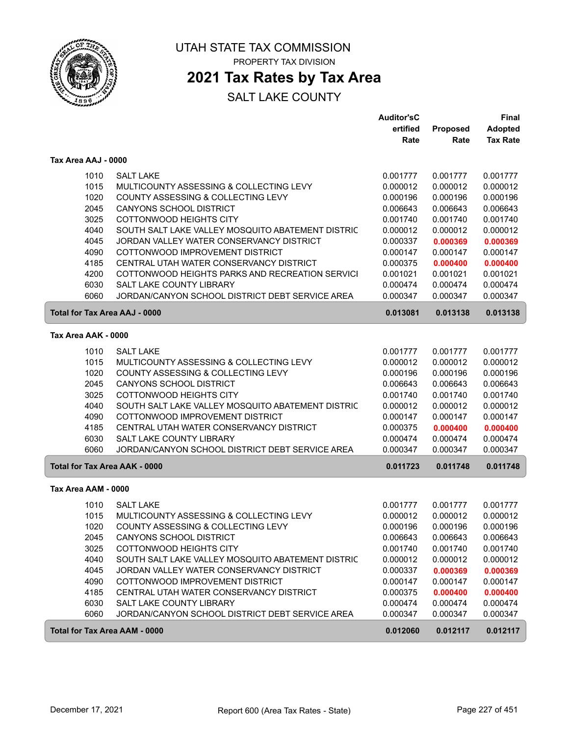

### **2021 Tax Rates by Tax Area**

|                                      |                                                   | <b>Auditor'sC</b><br>ertified | Proposed | Final<br>Adopted |
|--------------------------------------|---------------------------------------------------|-------------------------------|----------|------------------|
|                                      |                                                   | Rate                          | Rate     | <b>Tax Rate</b>  |
| Tax Area AAJ - 0000                  |                                                   |                               |          |                  |
| 1010                                 | <b>SALT LAKE</b>                                  | 0.001777                      | 0.001777 | 0.001777         |
| 1015                                 | MULTICOUNTY ASSESSING & COLLECTING LEVY           | 0.000012                      | 0.000012 | 0.000012         |
| 1020                                 | COUNTY ASSESSING & COLLECTING LEVY                | 0.000196                      | 0.000196 | 0.000196         |
| 2045                                 | <b>CANYONS SCHOOL DISTRICT</b>                    | 0.006643                      | 0.006643 | 0.006643         |
| 3025                                 | <b>COTTONWOOD HEIGHTS CITY</b>                    | 0.001740                      | 0.001740 | 0.001740         |
| 4040                                 | SOUTH SALT LAKE VALLEY MOSQUITO ABATEMENT DISTRIC | 0.000012                      | 0.000012 | 0.000012         |
| 4045                                 | JORDAN VALLEY WATER CONSERVANCY DISTRICT          | 0.000337                      | 0.000369 | 0.000369         |
| 4090                                 | COTTONWOOD IMPROVEMENT DISTRICT                   | 0.000147                      | 0.000147 | 0.000147         |
| 4185                                 | CENTRAL UTAH WATER CONSERVANCY DISTRICT           | 0.000375                      | 0.000400 | 0.000400         |
| 4200                                 | COTTONWOOD HEIGHTS PARKS AND RECREATION SERVICI   | 0.001021                      | 0.001021 | 0.001021         |
| 6030                                 | SALT LAKE COUNTY LIBRARY                          | 0.000474                      | 0.000474 | 0.000474         |
| 6060                                 | JORDAN/CANYON SCHOOL DISTRICT DEBT SERVICE AREA   | 0.000347                      | 0.000347 | 0.000347         |
| Total for Tax Area AAJ - 0000        |                                                   | 0.013081                      | 0.013138 | 0.013138         |
| Tax Area AAK - 0000                  |                                                   |                               |          |                  |
| 1010                                 | <b>SALT LAKE</b>                                  | 0.001777                      | 0.001777 | 0.001777         |
| 1015                                 | MULTICOUNTY ASSESSING & COLLECTING LEVY           | 0.000012                      | 0.000012 | 0.000012         |
| 1020                                 | COUNTY ASSESSING & COLLECTING LEVY                | 0.000196                      | 0.000196 | 0.000196         |
| 2045                                 | <b>CANYONS SCHOOL DISTRICT</b>                    | 0.006643                      | 0.006643 | 0.006643         |
| 3025                                 | COTTONWOOD HEIGHTS CITY                           | 0.001740                      | 0.001740 | 0.001740         |
| 4040                                 | SOUTH SALT LAKE VALLEY MOSQUITO ABATEMENT DISTRIC | 0.000012                      | 0.000012 | 0.000012         |
| 4090                                 | COTTONWOOD IMPROVEMENT DISTRICT                   | 0.000147                      | 0.000147 | 0.000147         |
| 4185                                 | CENTRAL UTAH WATER CONSERVANCY DISTRICT           | 0.000375                      | 0.000400 | 0.000400         |
| 6030                                 | SALT LAKE COUNTY LIBRARY                          | 0.000474                      | 0.000474 | 0.000474         |
| 6060                                 | JORDAN/CANYON SCHOOL DISTRICT DEBT SERVICE AREA   | 0.000347                      | 0.000347 | 0.000347         |
| <b>Total for Tax Area AAK - 0000</b> |                                                   | 0.011723                      | 0.011748 | 0.011748         |
| Tax Area AAM - 0000                  |                                                   |                               |          |                  |
| 1010                                 | <b>SALT LAKE</b>                                  | 0.001777                      | 0.001777 | 0.001777         |
| 1015                                 | MULTICOUNTY ASSESSING & COLLECTING LEVY           | 0.000012                      | 0.000012 | 0.000012         |
| 1020                                 | COUNTY ASSESSING & COLLECTING LEVY                | 0.000196                      | 0.000196 | 0.000196         |
| 2045                                 | CANYONS SCHOOL DISTRICT                           | 0.006643                      | 0.006643 | 0.006643         |
| 3025                                 | COTTONWOOD HEIGHTS CITY                           | 0.001740                      | 0.001740 | 0.001740         |
| 4040                                 | SOUTH SALT LAKE VALLEY MOSQUITO ABATEMENT DISTRIC | 0.000012                      | 0.000012 | 0.000012         |
| 4045                                 | JORDAN VALLEY WATER CONSERVANCY DISTRICT          | 0.000337                      | 0.000369 | 0.000369         |
| 4090                                 | COTTONWOOD IMPROVEMENT DISTRICT                   | 0.000147                      | 0.000147 | 0.000147         |
| 4185                                 | CENTRAL UTAH WATER CONSERVANCY DISTRICT           | 0.000375                      | 0.000400 | 0.000400         |
| 6030                                 | SALT LAKE COUNTY LIBRARY                          | 0.000474                      | 0.000474 | 0.000474         |
| 6060                                 | JORDAN/CANYON SCHOOL DISTRICT DEBT SERVICE AREA   | 0.000347                      | 0.000347 | 0.000347         |
| <b>Total for Tax Area AAM - 0000</b> |                                                   | 0.012060                      | 0.012117 | 0.012117         |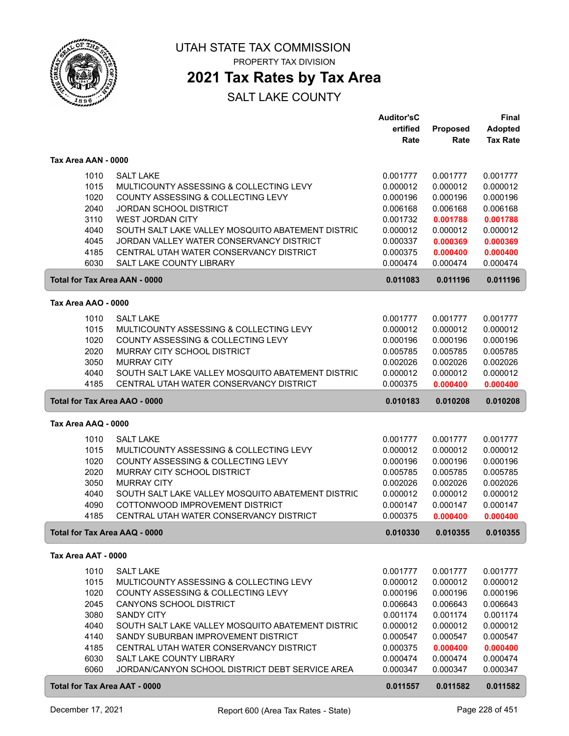

### **2021 Tax Rates by Tax Area**

|                                      |                                                   | <b>Auditor'sC</b> |          | Final           |
|--------------------------------------|---------------------------------------------------|-------------------|----------|-----------------|
|                                      |                                                   | ertified          | Proposed | <b>Adopted</b>  |
|                                      |                                                   | Rate              | Rate     | <b>Tax Rate</b> |
|                                      |                                                   |                   |          |                 |
| Tax Area AAN - 0000                  |                                                   |                   |          |                 |
| 1010                                 | <b>SALT LAKE</b>                                  | 0.001777          | 0.001777 | 0.001777        |
| 1015                                 | MULTICOUNTY ASSESSING & COLLECTING LEVY           | 0.000012          | 0.000012 | 0.000012        |
| 1020                                 | COUNTY ASSESSING & COLLECTING LEVY                | 0.000196          | 0.000196 | 0.000196        |
| 2040                                 | <b>JORDAN SCHOOL DISTRICT</b>                     | 0.006168          | 0.006168 | 0.006168        |
| 3110                                 | <b>WEST JORDAN CITY</b>                           | 0.001732          | 0.001788 | 0.001788        |
| 4040                                 | SOUTH SALT LAKE VALLEY MOSQUITO ABATEMENT DISTRIC | 0.000012          | 0.000012 | 0.000012        |
| 4045                                 | JORDAN VALLEY WATER CONSERVANCY DISTRICT          | 0.000337          | 0.000369 | 0.000369        |
| 4185                                 | CENTRAL UTAH WATER CONSERVANCY DISTRICT           | 0.000375          | 0.000400 | 0.000400        |
| 6030                                 | <b>SALT LAKE COUNTY LIBRARY</b>                   | 0.000474          | 0.000474 | 0.000474        |
|                                      |                                                   |                   |          |                 |
| <b>Total for Tax Area AAN - 0000</b> |                                                   | 0.011083          | 0.011196 | 0.011196        |
| Tax Area AAO - 0000                  |                                                   |                   |          |                 |
|                                      |                                                   |                   |          |                 |
| 1010                                 | <b>SALT LAKE</b>                                  | 0.001777          | 0.001777 | 0.001777        |
| 1015                                 | MULTICOUNTY ASSESSING & COLLECTING LEVY           | 0.000012          | 0.000012 | 0.000012        |
| 1020                                 | COUNTY ASSESSING & COLLECTING LEVY                | 0.000196          | 0.000196 | 0.000196        |
| 2020                                 | MURRAY CITY SCHOOL DISTRICT                       | 0.005785          | 0.005785 | 0.005785        |
| 3050                                 | <b>MURRAY CITY</b>                                | 0.002026          | 0.002026 | 0.002026        |
| 4040                                 | SOUTH SALT LAKE VALLEY MOSQUITO ABATEMENT DISTRIC | 0.000012          | 0.000012 | 0.000012        |
| 4185                                 | CENTRAL UTAH WATER CONSERVANCY DISTRICT           | 0.000375          | 0.000400 | 0.000400        |
| Total for Tax Area AAO - 0000        |                                                   | 0.010183          | 0.010208 | 0.010208        |
| Tax Area AAQ - 0000                  |                                                   |                   |          |                 |
|                                      |                                                   |                   |          |                 |
| 1010                                 | <b>SALT LAKE</b>                                  | 0.001777          | 0.001777 | 0.001777        |
| 1015                                 | MULTICOUNTY ASSESSING & COLLECTING LEVY           | 0.000012          | 0.000012 | 0.000012        |
| 1020                                 | COUNTY ASSESSING & COLLECTING LEVY                | 0.000196          | 0.000196 | 0.000196        |
| 2020                                 | MURRAY CITY SCHOOL DISTRICT                       | 0.005785          | 0.005785 | 0.005785        |
| 3050                                 | <b>MURRAY CITY</b>                                | 0.002026          | 0.002026 | 0.002026        |
| 4040                                 | SOUTH SALT LAKE VALLEY MOSQUITO ABATEMENT DISTRIC | 0.000012          | 0.000012 | 0.000012        |
| 4090                                 | COTTONWOOD IMPROVEMENT DISTRICT                   | 0.000147          | 0.000147 | 0.000147        |
| 4185                                 | CENTRAL UTAH WATER CONSERVANCY DISTRICT           | 0.000375          | 0.000400 | 0.000400        |
| Total for Tax Area AAQ - 0000        |                                                   | 0.010330          | 0.010355 | 0.010355        |
| Tax Area AAT - 0000                  |                                                   |                   |          |                 |
|                                      |                                                   |                   |          |                 |
| 1010                                 | <b>SALT LAKE</b>                                  | 0.001777          | 0.001777 | 0.001777        |
| 1015                                 | MULTICOUNTY ASSESSING & COLLECTING LEVY           | 0.000012          | 0.000012 | 0.000012        |
| 1020                                 | COUNTY ASSESSING & COLLECTING LEVY                | 0.000196          | 0.000196 | 0.000196        |
| 2045                                 | <b>CANYONS SCHOOL DISTRICT</b>                    | 0.006643          | 0.006643 | 0.006643        |
| 3080                                 | <b>SANDY CITY</b>                                 | 0.001174          | 0.001174 | 0.001174        |
| 4040                                 | SOUTH SALT LAKE VALLEY MOSQUITO ABATEMENT DISTRIC | 0.000012          | 0.000012 | 0.000012        |
| 4140                                 | SANDY SUBURBAN IMPROVEMENT DISTRICT               | 0.000547          | 0.000547 | 0.000547        |
| 4185                                 | CENTRAL UTAH WATER CONSERVANCY DISTRICT           | 0.000375          | 0.000400 | 0.000400        |
| 6030                                 | SALT LAKE COUNTY LIBRARY                          | 0.000474          | 0.000474 | 0.000474        |
| 6060                                 | JORDAN/CANYON SCHOOL DISTRICT DEBT SERVICE AREA   | 0.000347          | 0.000347 | 0.000347        |
| <b>Total for Tax Area AAT - 0000</b> |                                                   | 0.011557          | 0.011582 | 0.011582        |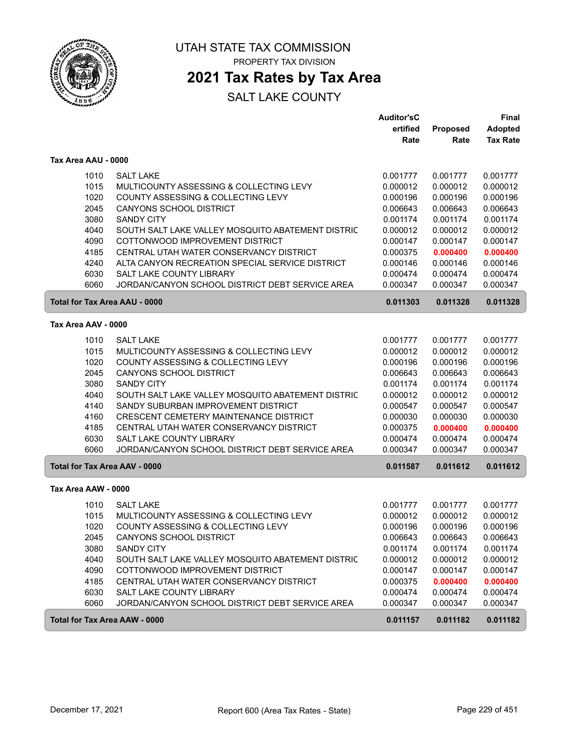

### **2021 Tax Rates by Tax Area**

|                                      |                                                   | <b>Auditor'sC</b> |          | <b>Final</b>    |
|--------------------------------------|---------------------------------------------------|-------------------|----------|-----------------|
|                                      |                                                   | ertified          | Proposed | <b>Adopted</b>  |
|                                      |                                                   | Rate              | Rate     | <b>Tax Rate</b> |
| Tax Area AAU - 0000                  |                                                   |                   |          |                 |
| 1010                                 | <b>SALT LAKE</b>                                  | 0.001777          | 0.001777 | 0.001777        |
| 1015                                 | MULTICOUNTY ASSESSING & COLLECTING LEVY           | 0.000012          | 0.000012 | 0.000012        |
| 1020                                 | COUNTY ASSESSING & COLLECTING LEVY                | 0.000196          | 0.000196 | 0.000196        |
| 2045                                 | <b>CANYONS SCHOOL DISTRICT</b>                    | 0.006643          | 0.006643 | 0.006643        |
| 3080                                 | <b>SANDY CITY</b>                                 | 0.001174          | 0.001174 | 0.001174        |
| 4040                                 | SOUTH SALT LAKE VALLEY MOSQUITO ABATEMENT DISTRIC | 0.000012          | 0.000012 | 0.000012        |
| 4090                                 | COTTONWOOD IMPROVEMENT DISTRICT                   | 0.000147          | 0.000147 | 0.000147        |
| 4185                                 | CENTRAL UTAH WATER CONSERVANCY DISTRICT           | 0.000375          | 0.000400 | 0.000400        |
| 4240                                 | ALTA CANYON RECREATION SPECIAL SERVICE DISTRICT   | 0.000146          | 0.000146 | 0.000146        |
| 6030                                 | <b>SALT LAKE COUNTY LIBRARY</b>                   | 0.000474          | 0.000474 | 0.000474        |
| 6060                                 | JORDAN/CANYON SCHOOL DISTRICT DEBT SERVICE AREA   | 0.000347          | 0.000347 | 0.000347        |
| <b>Total for Tax Area AAU - 0000</b> |                                                   | 0.011303          | 0.011328 | 0.011328        |
| Tax Area AAV - 0000                  |                                                   |                   |          |                 |
| 1010                                 | <b>SALT LAKE</b>                                  | 0.001777          | 0.001777 | 0.001777        |
| 1015                                 | MULTICOUNTY ASSESSING & COLLECTING LEVY           | 0.000012          | 0.000012 | 0.000012        |
| 1020                                 | COUNTY ASSESSING & COLLECTING LEVY                | 0.000196          | 0.000196 | 0.000196        |
| 2045                                 | CANYONS SCHOOL DISTRICT                           | 0.006643          | 0.006643 | 0.006643        |
| 3080                                 | <b>SANDY CITY</b>                                 | 0.001174          | 0.001174 | 0.001174        |
| 4040                                 | SOUTH SALT LAKE VALLEY MOSQUITO ABATEMENT DISTRIC | 0.000012          | 0.000012 | 0.000012        |
| 4140                                 | SANDY SUBURBAN IMPROVEMENT DISTRICT               | 0.000547          | 0.000547 | 0.000547        |
| 4160                                 | CRESCENT CEMETERY MAINTENANCE DISTRICT            | 0.000030          | 0.000030 | 0.000030        |
| 4185                                 | CENTRAL UTAH WATER CONSERVANCY DISTRICT           | 0.000375          | 0.000400 | 0.000400        |
| 6030                                 | SALT LAKE COUNTY LIBRARY                          | 0.000474          | 0.000474 | 0.000474        |
| 6060                                 | JORDAN/CANYON SCHOOL DISTRICT DEBT SERVICE AREA   | 0.000347          | 0.000347 | 0.000347        |
| <b>Total for Tax Area AAV - 0000</b> |                                                   | 0.011587          | 0.011612 | 0.011612        |
| Tax Area AAW - 0000                  |                                                   |                   |          |                 |
| 1010                                 | <b>SALT LAKE</b>                                  | 0.001777          | 0.001777 | 0.001777        |
| 1015                                 | MULTICOUNTY ASSESSING & COLLECTING LEVY           | 0.000012          | 0.000012 | 0.000012        |
| 1020                                 | COUNTY ASSESSING & COLLECTING LEVY                | 0.000196          | 0.000196 | 0.000196        |
| 2045                                 | CANYONS SCHOOL DISTRICT                           | 0.006643          | 0.006643 | 0.006643        |
| 3080                                 | <b>SANDY CITY</b>                                 | 0.001174          | 0.001174 | 0.001174        |
| 4040                                 | SOUTH SALT LAKE VALLEY MOSQUITO ABATEMENT DISTRIC | 0.000012          | 0.000012 | 0.000012        |
| 4090                                 | COTTONWOOD IMPROVEMENT DISTRICT                   | 0.000147          | 0.000147 | 0.000147        |
| 4185                                 | CENTRAL UTAH WATER CONSERVANCY DISTRICT           | 0.000375          | 0.000400 | 0.000400        |
| 6030                                 | SALT LAKE COUNTY LIBRARY                          | 0.000474          | 0.000474 | 0.000474        |
| 6060                                 | JORDAN/CANYON SCHOOL DISTRICT DEBT SERVICE AREA   | 0.000347          | 0.000347 | 0.000347        |
| Total for Tax Area AAW - 0000        |                                                   | 0.011157          | 0.011182 | 0.011182        |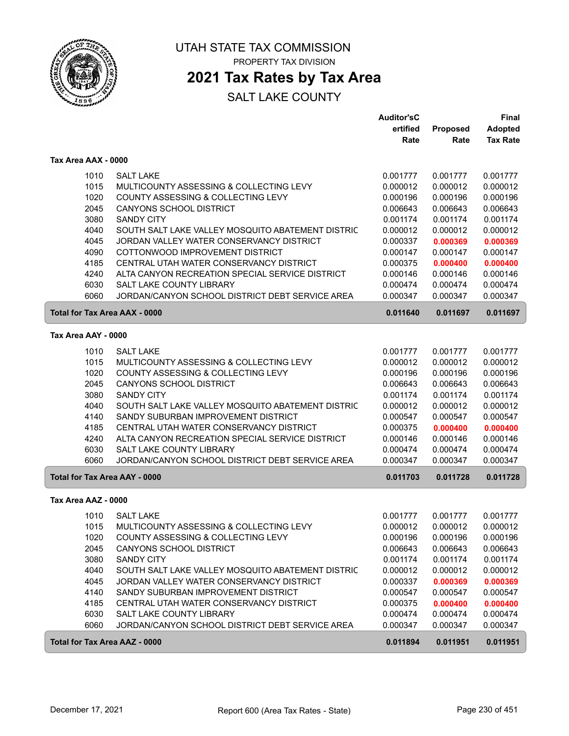

# **2021 Tax Rates by Tax Area**

|                                      |                                                   | <b>Auditor'sC</b> |          | <b>Final</b>    |
|--------------------------------------|---------------------------------------------------|-------------------|----------|-----------------|
|                                      |                                                   | ertified          | Proposed | <b>Adopted</b>  |
|                                      |                                                   | Rate              | Rate     | <b>Tax Rate</b> |
| Tax Area AAX - 0000                  |                                                   |                   |          |                 |
| 1010                                 | <b>SALT LAKE</b>                                  | 0.001777          | 0.001777 | 0.001777        |
| 1015                                 | MULTICOUNTY ASSESSING & COLLECTING LEVY           | 0.000012          | 0.000012 | 0.000012        |
| 1020                                 | COUNTY ASSESSING & COLLECTING LEVY                | 0.000196          | 0.000196 | 0.000196        |
| 2045                                 | CANYONS SCHOOL DISTRICT                           | 0.006643          | 0.006643 | 0.006643        |
| 3080                                 | <b>SANDY CITY</b>                                 | 0.001174          | 0.001174 | 0.001174        |
| 4040                                 | SOUTH SALT LAKE VALLEY MOSQUITO ABATEMENT DISTRIC | 0.000012          | 0.000012 | 0.000012        |
| 4045                                 | JORDAN VALLEY WATER CONSERVANCY DISTRICT          | 0.000337          | 0.000369 | 0.000369        |
| 4090                                 | COTTONWOOD IMPROVEMENT DISTRICT                   | 0.000147          | 0.000147 | 0.000147        |
| 4185                                 | CENTRAL UTAH WATER CONSERVANCY DISTRICT           | 0.000375          | 0.000400 | 0.000400        |
| 4240                                 | ALTA CANYON RECREATION SPECIAL SERVICE DISTRICT   | 0.000146          | 0.000146 | 0.000146        |
| 6030                                 | SALT LAKE COUNTY LIBRARY                          | 0.000474          | 0.000474 | 0.000474        |
| 6060                                 | JORDAN/CANYON SCHOOL DISTRICT DEBT SERVICE AREA   | 0.000347          | 0.000347 | 0.000347        |
| Total for Tax Area AAX - 0000        |                                                   | 0.011640          | 0.011697 | 0.011697        |
| Tax Area AAY - 0000                  |                                                   |                   |          |                 |
| 1010                                 | <b>SALT LAKE</b>                                  | 0.001777          | 0.001777 | 0.001777        |
| 1015                                 | MULTICOUNTY ASSESSING & COLLECTING LEVY           | 0.000012          | 0.000012 | 0.000012        |
| 1020                                 | COUNTY ASSESSING & COLLECTING LEVY                | 0.000196          | 0.000196 | 0.000196        |
| 2045                                 | CANYONS SCHOOL DISTRICT                           | 0.006643          | 0.006643 | 0.006643        |
| 3080                                 | <b>SANDY CITY</b>                                 | 0.001174          | 0.001174 | 0.001174        |
| 4040                                 | SOUTH SALT LAKE VALLEY MOSQUITO ABATEMENT DISTRIC | 0.000012          | 0.000012 | 0.000012        |
| 4140                                 | SANDY SUBURBAN IMPROVEMENT DISTRICT               | 0.000547          | 0.000547 | 0.000547        |
| 4185                                 | CENTRAL UTAH WATER CONSERVANCY DISTRICT           | 0.000375          | 0.000400 | 0.000400        |
| 4240                                 | ALTA CANYON RECREATION SPECIAL SERVICE DISTRICT   | 0.000146          | 0.000146 | 0.000146        |
| 6030                                 | SALT LAKE COUNTY LIBRARY                          | 0.000474          | 0.000474 | 0.000474        |
| 6060                                 | JORDAN/CANYON SCHOOL DISTRICT DEBT SERVICE AREA   | 0.000347          | 0.000347 | 0.000347        |
| <b>Total for Tax Area AAY - 0000</b> |                                                   | 0.011703          | 0.011728 | 0.011728        |
| Tax Area AAZ - 0000                  |                                                   |                   |          |                 |
| 1010                                 | <b>SALT LAKE</b>                                  | 0.001777          | 0.001777 | 0.001777        |
| 1015                                 | MULTICOUNTY ASSESSING & COLLECTING LEVY           | 0.000012          | 0.000012 | 0.000012        |
| 1020                                 | COUNTY ASSESSING & COLLECTING LEVY                | 0.000196          | 0.000196 | 0.000196        |
| 2045                                 | <b>CANYONS SCHOOL DISTRICT</b>                    | 0.006643          | 0.006643 | 0.006643        |
| 3080                                 | <b>SANDY CITY</b>                                 | 0.001174          | 0.001174 | 0.001174        |
| 4040                                 | SOUTH SALT LAKE VALLEY MOSQUITO ABATEMENT DISTRIC | 0.000012          | 0.000012 | 0.000012        |
| 4045                                 | JORDAN VALLEY WATER CONSERVANCY DISTRICT          | 0.000337          | 0.000369 | 0.000369        |
| 4140                                 | SANDY SUBURBAN IMPROVEMENT DISTRICT               | 0.000547          | 0.000547 | 0.000547        |
| 4185                                 | CENTRAL UTAH WATER CONSERVANCY DISTRICT           | 0.000375          | 0.000400 | 0.000400        |
| 6030                                 | SALT LAKE COUNTY LIBRARY                          | 0.000474          | 0.000474 | 0.000474        |
| 6060                                 | JORDAN/CANYON SCHOOL DISTRICT DEBT SERVICE AREA   | 0.000347          | 0.000347 | 0.000347        |
| Total for Tax Area AAZ - 0000        |                                                   | 0.011894          | 0.011951 | 0.011951        |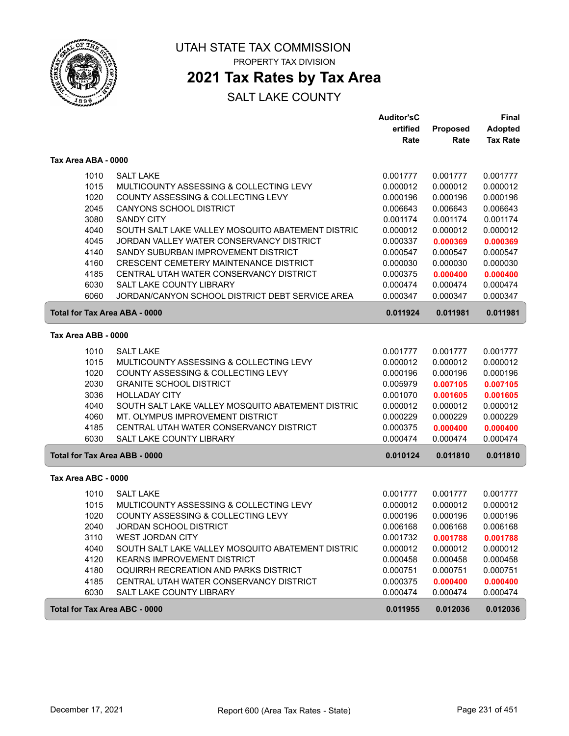

### **2021 Tax Rates by Tax Area**

|                               |                                                   | <b>Auditor'sC</b> |          | <b>Final</b>    |
|-------------------------------|---------------------------------------------------|-------------------|----------|-----------------|
|                               |                                                   | ertified          | Proposed | <b>Adopted</b>  |
|                               |                                                   | Rate              | Rate     | <b>Tax Rate</b> |
| Tax Area ABA - 0000           |                                                   |                   |          |                 |
| 1010                          | <b>SALT LAKE</b>                                  | 0.001777          | 0.001777 | 0.001777        |
| 1015                          | MULTICOUNTY ASSESSING & COLLECTING LEVY           | 0.000012          | 0.000012 | 0.000012        |
| 1020                          | COUNTY ASSESSING & COLLECTING LEVY                | 0.000196          | 0.000196 | 0.000196        |
| 2045                          | <b>CANYONS SCHOOL DISTRICT</b>                    | 0.006643          | 0.006643 | 0.006643        |
| 3080                          | <b>SANDY CITY</b>                                 | 0.001174          | 0.001174 | 0.001174        |
| 4040                          | SOUTH SALT LAKE VALLEY MOSQUITO ABATEMENT DISTRIC | 0.000012          | 0.000012 | 0.000012        |
| 4045                          | JORDAN VALLEY WATER CONSERVANCY DISTRICT          | 0.000337          | 0.000369 | 0.000369        |
| 4140                          | SANDY SUBURBAN IMPROVEMENT DISTRICT               | 0.000547          | 0.000547 | 0.000547        |
| 4160                          | <b>CRESCENT CEMETERY MAINTENANCE DISTRICT</b>     | 0.000030          | 0.000030 | 0.000030        |
| 4185                          | CENTRAL UTAH WATER CONSERVANCY DISTRICT           | 0.000375          | 0.000400 | 0.000400        |
| 6030                          | SALT LAKE COUNTY LIBRARY                          | 0.000474          | 0.000474 | 0.000474        |
| 6060                          | JORDAN/CANYON SCHOOL DISTRICT DEBT SERVICE AREA   | 0.000347          | 0.000347 | 0.000347        |
| Total for Tax Area ABA - 0000 |                                                   | 0.011924          | 0.011981 | 0.011981        |
| Tax Area ABB - 0000           |                                                   |                   |          |                 |
| 1010                          | <b>SALT LAKE</b>                                  | 0.001777          | 0.001777 | 0.001777        |
| 1015                          | MULTICOUNTY ASSESSING & COLLECTING LEVY           | 0.000012          | 0.000012 | 0.000012        |
| 1020                          | COUNTY ASSESSING & COLLECTING LEVY                | 0.000196          | 0.000196 | 0.000196        |
| 2030                          | <b>GRANITE SCHOOL DISTRICT</b>                    | 0.005979          | 0.007105 | 0.007105        |
| 3036                          | <b>HOLLADAY CITY</b>                              | 0.001070          | 0.001605 | 0.001605        |
| 4040                          | SOUTH SALT LAKE VALLEY MOSQUITO ABATEMENT DISTRIC | 0.000012          | 0.000012 | 0.000012        |
| 4060                          | MT. OLYMPUS IMPROVEMENT DISTRICT                  | 0.000229          | 0.000229 | 0.000229        |
| 4185                          | CENTRAL UTAH WATER CONSERVANCY DISTRICT           | 0.000375          | 0.000400 | 0.000400        |
| 6030                          | <b>SALT LAKE COUNTY LIBRARY</b>                   | 0.000474          | 0.000474 | 0.000474        |
| Total for Tax Area ABB - 0000 |                                                   | 0.010124          | 0.011810 | 0.011810        |
| Tax Area ABC - 0000           |                                                   |                   |          |                 |
| 1010                          | <b>SALT LAKE</b>                                  | 0.001777          | 0.001777 | 0.001777        |
| 1015                          | MULTICOUNTY ASSESSING & COLLECTING LEVY           | 0.000012          | 0.000012 | 0.000012        |
| 1020                          | COUNTY ASSESSING & COLLECTING LEVY                | 0.000196          | 0.000196 | 0.000196        |
| 2040                          | JORDAN SCHOOL DISTRICT                            | 0.006168          | 0.006168 | 0.006168        |
| 3110                          | <b>WEST JORDAN CITY</b>                           | 0.001732          | 0.001788 | 0.001788        |
| 4040                          | SOUTH SALT LAKE VALLEY MOSQUITO ABATEMENT DISTRIC | 0.000012          | 0.000012 | 0.000012        |
| 4120                          | <b>KEARNS IMPROVEMENT DISTRICT</b>                | 0.000458          | 0.000458 | 0.000458        |
| 4180                          | OQUIRRH RECREATION AND PARKS DISTRICT             | 0.000751          | 0.000751 | 0.000751        |
| 4185                          | CENTRAL UTAH WATER CONSERVANCY DISTRICT           | 0.000375          | 0.000400 | 0.000400        |
| 6030                          | SALT LAKE COUNTY LIBRARY                          | 0.000474          | 0.000474 | 0.000474        |
| Total for Tax Area ABC - 0000 |                                                   | 0.011955          | 0.012036 | 0.012036        |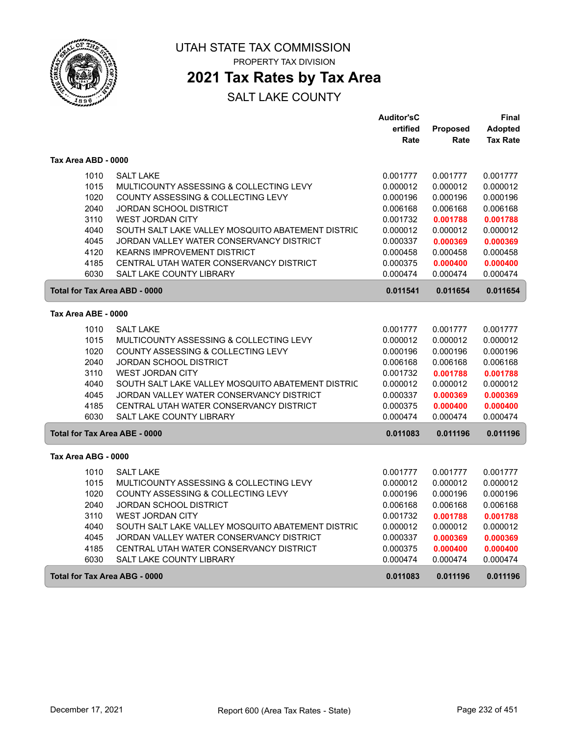

UTAH STATE TAX COMMISSION

PROPERTY TAX DIVISION

### **2021 Tax Rates by Tax Area**

|                     |                                                   | <b>Auditor'sC</b> |          | Final           |
|---------------------|---------------------------------------------------|-------------------|----------|-----------------|
|                     |                                                   | ertified          | Proposed | <b>Adopted</b>  |
|                     |                                                   | Rate              | Rate     | <b>Tax Rate</b> |
| Tax Area ABD - 0000 |                                                   |                   |          |                 |
| 1010                | <b>SALT LAKE</b>                                  | 0.001777          | 0.001777 | 0.001777        |
| 1015                | MULTICOUNTY ASSESSING & COLLECTING LEVY           | 0.000012          | 0.000012 | 0.000012        |
| 1020                | COUNTY ASSESSING & COLLECTING LEVY                | 0.000196          | 0.000196 | 0.000196        |
| 2040                | JORDAN SCHOOL DISTRICT                            | 0.006168          | 0.006168 | 0.006168        |
| 3110                | WEST JORDAN CITY                                  | 0.001732          | 0.001788 | 0.001788        |
| 4040                | SOUTH SALT LAKE VALLEY MOSQUITO ABATEMENT DISTRIC | 0.000012          | 0.000012 | 0.000012        |
| 4045                | JORDAN VALLEY WATER CONSERVANCY DISTRICT          | 0.000337          | 0.000369 | 0.000369        |
| 4120                | <b>KEARNS IMPROVEMENT DISTRICT</b>                | 0.000458          | 0.000458 | 0.000458        |
| 4185                | CENTRAL UTAH WATER CONSERVANCY DISTRICT           | 0.000375          | 0.000400 | 0.000400        |
| 6030                | <b>SALT LAKE COUNTY LIBRARY</b>                   | 0.000474          | 0.000474 | 0.000474        |
|                     | Total for Tax Area ABD - 0000                     | 0.011541          | 0.011654 | 0.011654        |
| Tax Area ABE - 0000 |                                                   |                   |          |                 |
| 1010                | <b>SALT LAKE</b>                                  | 0.001777          | 0.001777 | 0.001777        |
| 1015                | MULTICOUNTY ASSESSING & COLLECTING LEVY           | 0.000012          | 0.000012 | 0.000012        |
| 1020                | COUNTY ASSESSING & COLLECTING LEVY                | 0.000196          | 0.000196 | 0.000196        |
| 2040                | JORDAN SCHOOL DISTRICT                            | 0.006168          | 0.006168 | 0.006168        |
| 3110                | <b>WEST JORDAN CITY</b>                           | 0.001732          | 0.001788 | 0.001788        |
| 4040                | SOUTH SALT LAKE VALLEY MOSQUITO ABATEMENT DISTRIC | 0.000012          | 0.000012 | 0.000012        |
| 4045                | JORDAN VALLEY WATER CONSERVANCY DISTRICT          | 0.000337          | 0.000369 | 0.000369        |
| 4185                | CENTRAL UTAH WATER CONSERVANCY DISTRICT           | 0.000375          | 0.000400 | 0.000400        |
| 6030                | <b>SALT LAKE COUNTY LIBRARY</b>                   | 0.000474          | 0.000474 | 0.000474        |
|                     | Total for Tax Area ABE - 0000                     | 0.011083          | 0.011196 | 0.011196        |
| Tax Area ABG - 0000 |                                                   |                   |          |                 |
| 1010                | <b>SALT LAKE</b>                                  | 0.001777          | 0.001777 | 0.001777        |
| 1015                | MULTICOUNTY ASSESSING & COLLECTING LEVY           | 0.000012          | 0.000012 | 0.000012        |
| 1020                | COUNTY ASSESSING & COLLECTING LEVY                | 0.000196          | 0.000196 | 0.000196        |
| 2040                | <b>JORDAN SCHOOL DISTRICT</b>                     | 0.006168          | 0.006168 | 0.006168        |
| 3110                | WEST JORDAN CITY                                  | 0.001732          | 0.001788 | 0.001788        |
| 4040                | SOUTH SALT LAKE VALLEY MOSQUITO ABATEMENT DISTRIC | 0.000012          | 0.000012 | 0.000012        |
| 4045                | JORDAN VALLEY WATER CONSERVANCY DISTRICT          | 0.000337          | 0.000369 | 0.000369        |
| 4185                | CENTRAL UTAH WATER CONSERVANCY DISTRICT           | 0.000375          | 0.000400 | 0.000400        |
| 6030                | SALT LAKE COUNTY LIBRARY                          | 0.000474          | 0.000474 | 0.000474        |
|                     | Total for Tax Area ABG - 0000                     | 0.011083          | 0.011196 | 0.011196        |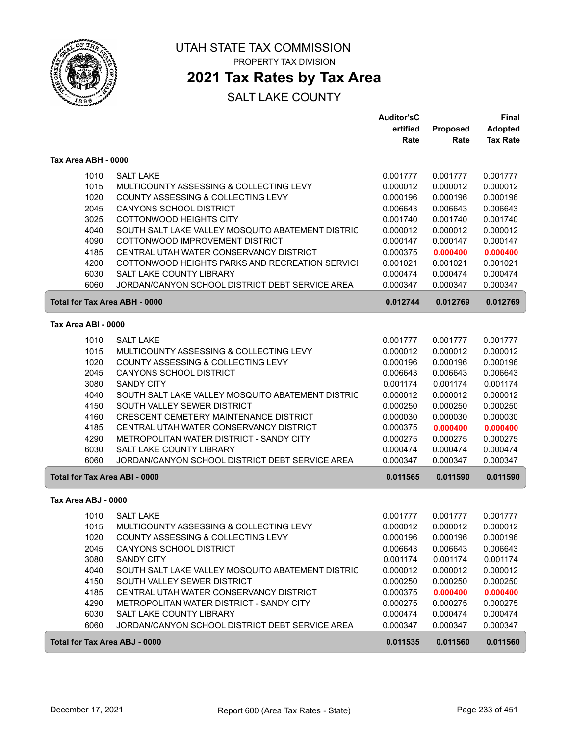

# **2021 Tax Rates by Tax Area**

|                                      |                                                   | <b>Auditor'sC</b> |          | Final           |
|--------------------------------------|---------------------------------------------------|-------------------|----------|-----------------|
|                                      |                                                   | ertified          | Proposed | <b>Adopted</b>  |
|                                      |                                                   | Rate              | Rate     | <b>Tax Rate</b> |
| Tax Area ABH - 0000                  |                                                   |                   |          |                 |
| 1010                                 | <b>SALT LAKE</b>                                  | 0.001777          | 0.001777 | 0.001777        |
| 1015                                 | MULTICOUNTY ASSESSING & COLLECTING LEVY           | 0.000012          | 0.000012 | 0.000012        |
| 1020                                 | COUNTY ASSESSING & COLLECTING LEVY                | 0.000196          | 0.000196 | 0.000196        |
| 2045                                 | CANYONS SCHOOL DISTRICT                           | 0.006643          | 0.006643 | 0.006643        |
| 3025                                 | <b>COTTONWOOD HEIGHTS CITY</b>                    | 0.001740          | 0.001740 | 0.001740        |
| 4040                                 | SOUTH SALT LAKE VALLEY MOSQUITO ABATEMENT DISTRIC | 0.000012          | 0.000012 | 0.000012        |
| 4090                                 | COTTONWOOD IMPROVEMENT DISTRICT                   | 0.000147          | 0.000147 | 0.000147        |
| 4185                                 | CENTRAL UTAH WATER CONSERVANCY DISTRICT           | 0.000375          | 0.000400 | 0.000400        |
| 4200                                 | COTTONWOOD HEIGHTS PARKS AND RECREATION SERVICI   | 0.001021          | 0.001021 | 0.001021        |
| 6030                                 | SALT LAKE COUNTY LIBRARY                          | 0.000474          | 0.000474 | 0.000474        |
| 6060                                 | JORDAN/CANYON SCHOOL DISTRICT DEBT SERVICE AREA   | 0.000347          | 0.000347 | 0.000347        |
| <b>Total for Tax Area ABH - 0000</b> |                                                   | 0.012744          | 0.012769 | 0.012769        |
| Tax Area ABI - 0000                  |                                                   |                   |          |                 |
| 1010                                 | <b>SALT LAKE</b>                                  | 0.001777          | 0.001777 | 0.001777        |
| 1015                                 | MULTICOUNTY ASSESSING & COLLECTING LEVY           | 0.000012          | 0.000012 | 0.000012        |
| 1020                                 | COUNTY ASSESSING & COLLECTING LEVY                | 0.000196          | 0.000196 | 0.000196        |
| 2045                                 | <b>CANYONS SCHOOL DISTRICT</b>                    | 0.006643          | 0.006643 | 0.006643        |
| 3080                                 | <b>SANDY CITY</b>                                 | 0.001174          | 0.001174 | 0.001174        |
| 4040                                 | SOUTH SALT LAKE VALLEY MOSQUITO ABATEMENT DISTRIC | 0.000012          | 0.000012 | 0.000012        |
| 4150                                 | SOUTH VALLEY SEWER DISTRICT                       | 0.000250          | 0.000250 | 0.000250        |
| 4160                                 | CRESCENT CEMETERY MAINTENANCE DISTRICT            | 0.000030          | 0.000030 | 0.000030        |
| 4185                                 | CENTRAL UTAH WATER CONSERVANCY DISTRICT           | 0.000375          | 0.000400 | 0.000400        |
| 4290                                 | METROPOLITAN WATER DISTRICT - SANDY CITY          | 0.000275          | 0.000275 | 0.000275        |
| 6030                                 | SALT LAKE COUNTY LIBRARY                          | 0.000474          | 0.000474 | 0.000474        |
| 6060                                 | JORDAN/CANYON SCHOOL DISTRICT DEBT SERVICE AREA   | 0.000347          | 0.000347 | 0.000347        |
| <b>Total for Tax Area ABI - 0000</b> |                                                   | 0.011565          | 0.011590 | 0.011590        |
| Tax Area ABJ - 0000                  |                                                   |                   |          |                 |
| 1010                                 | <b>SALT LAKE</b>                                  | 0.001777          | 0.001777 | 0.001777        |
| 1015                                 | MULTICOUNTY ASSESSING & COLLECTING LEVY           | 0.000012          | 0.000012 | 0.000012        |
| 1020                                 | COUNTY ASSESSING & COLLECTING LEVY                | 0.000196          | 0.000196 | 0.000196        |
| 2045                                 | CANYONS SCHOOL DISTRICT                           | 0.006643          | 0.006643 | 0.006643        |
| 3080                                 | SANDY CITY                                        | 0.001174          | 0.001174 | 0.001174        |
| 4040                                 | SOUTH SALT LAKE VALLEY MOSQUITO ABATEMENT DISTRIC | 0.000012          | 0.000012 | 0.000012        |
| 4150                                 | SOUTH VALLEY SEWER DISTRICT                       | 0.000250          | 0.000250 | 0.000250        |
| 4185                                 | CENTRAL UTAH WATER CONSERVANCY DISTRICT           | 0.000375          | 0.000400 | 0.000400        |
| 4290                                 | METROPOLITAN WATER DISTRICT - SANDY CITY          | 0.000275          | 0.000275 | 0.000275        |
| 6030                                 | SALT LAKE COUNTY LIBRARY                          | 0.000474          | 0.000474 | 0.000474        |
| 6060                                 | JORDAN/CANYON SCHOOL DISTRICT DEBT SERVICE AREA   | 0.000347          | 0.000347 | 0.000347        |
| Total for Tax Area ABJ - 0000        |                                                   | 0.011535          | 0.011560 | 0.011560        |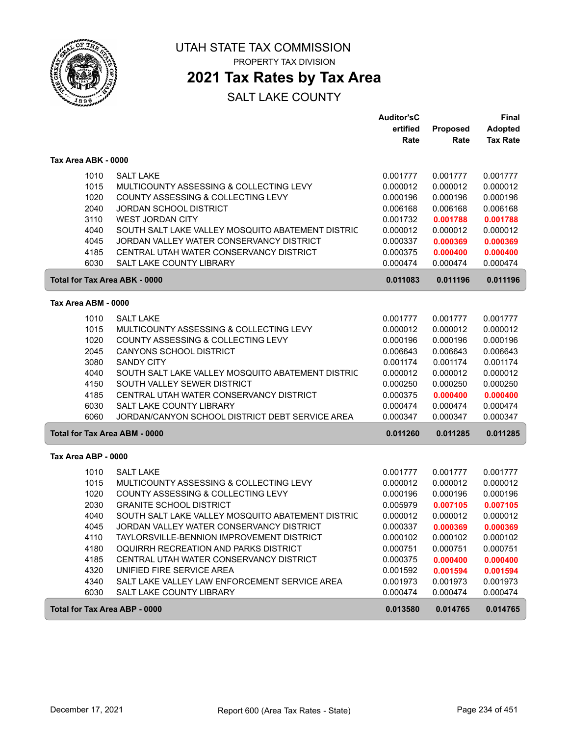

### **2021 Tax Rates by Tax Area**

|                                      |                                                   | <b>Auditor'sC</b> |          | Final           |
|--------------------------------------|---------------------------------------------------|-------------------|----------|-----------------|
|                                      |                                                   | ertified          | Proposed | <b>Adopted</b>  |
|                                      |                                                   | Rate              | Rate     | <b>Tax Rate</b> |
| Tax Area ABK - 0000                  |                                                   |                   |          |                 |
| 1010                                 | <b>SALT LAKE</b>                                  | 0.001777          | 0.001777 | 0.001777        |
| 1015                                 | MULTICOUNTY ASSESSING & COLLECTING LEVY           | 0.000012          | 0.000012 | 0.000012        |
| 1020                                 | COUNTY ASSESSING & COLLECTING LEVY                | 0.000196          | 0.000196 | 0.000196        |
| 2040                                 | <b>JORDAN SCHOOL DISTRICT</b>                     | 0.006168          | 0.006168 | 0.006168        |
| 3110                                 | <b>WEST JORDAN CITY</b>                           | 0.001732          | 0.001788 | 0.001788        |
| 4040                                 | SOUTH SALT LAKE VALLEY MOSQUITO ABATEMENT DISTRIC | 0.000012          | 0.000012 | 0.000012        |
| 4045                                 | JORDAN VALLEY WATER CONSERVANCY DISTRICT          | 0.000337          | 0.000369 | 0.000369        |
| 4185                                 | CENTRAL UTAH WATER CONSERVANCY DISTRICT           | 0.000375          | 0.000400 | 0.000400        |
| 6030                                 | <b>SALT LAKE COUNTY LIBRARY</b>                   | 0.000474          | 0.000474 | 0.000474        |
| <b>Total for Tax Area ABK - 0000</b> |                                                   | 0.011083          | 0.011196 | 0.011196        |
| Tax Area ABM - 0000                  |                                                   |                   |          |                 |
| 1010                                 | <b>SALT LAKE</b>                                  | 0.001777          | 0.001777 | 0.001777        |
| 1015                                 | MULTICOUNTY ASSESSING & COLLECTING LEVY           | 0.000012          | 0.000012 | 0.000012        |
| 1020                                 | COUNTY ASSESSING & COLLECTING LEVY                | 0.000196          | 0.000196 | 0.000196        |
| 2045                                 | <b>CANYONS SCHOOL DISTRICT</b>                    | 0.006643          | 0.006643 | 0.006643        |
| 3080                                 | <b>SANDY CITY</b>                                 | 0.001174          | 0.001174 | 0.001174        |
| 4040                                 | SOUTH SALT LAKE VALLEY MOSQUITO ABATEMENT DISTRIC | 0.000012          | 0.000012 | 0.000012        |
| 4150                                 | SOUTH VALLEY SEWER DISTRICT                       | 0.000250          | 0.000250 | 0.000250        |
| 4185                                 | CENTRAL UTAH WATER CONSERVANCY DISTRICT           | 0.000375          | 0.000400 | 0.000400        |
| 6030                                 | <b>SALT LAKE COUNTY LIBRARY</b>                   | 0.000474          | 0.000474 | 0.000474        |
| 6060                                 | JORDAN/CANYON SCHOOL DISTRICT DEBT SERVICE AREA   | 0.000347          | 0.000347 | 0.000347        |
| <b>Total for Tax Area ABM - 0000</b> |                                                   | 0.011260          | 0.011285 | 0.011285        |
| Tax Area ABP - 0000                  |                                                   |                   |          |                 |
| 1010                                 | <b>SALT LAKE</b>                                  | 0.001777          | 0.001777 | 0.001777        |
| 1015                                 | MULTICOUNTY ASSESSING & COLLECTING LEVY           | 0.000012          | 0.000012 | 0.000012        |
| 1020                                 | COUNTY ASSESSING & COLLECTING LEVY                | 0.000196          | 0.000196 | 0.000196        |
| 2030                                 | <b>GRANITE SCHOOL DISTRICT</b>                    | 0.005979          | 0.007105 | 0.007105        |
| 4040                                 | SOUTH SALT LAKE VALLEY MOSQUITO ABATEMENT DISTRIC | 0.000012          | 0.000012 | 0.000012        |
| 4045                                 | JORDAN VALLEY WATER CONSERVANCY DISTRICT          | 0.000337          | 0.000369 | 0.000369        |
| 4110                                 | TAYLORSVILLE-BENNION IMPROVEMENT DISTRICT         | 0.000102          | 0.000102 | 0.000102        |
| 4180                                 | OQUIRRH RECREATION AND PARKS DISTRICT             | 0.000751          | 0.000751 | 0.000751        |
| 4185                                 | CENTRAL UTAH WATER CONSERVANCY DISTRICT           | 0.000375          | 0.000400 | 0.000400        |
| 4320                                 | UNIFIED FIRE SERVICE AREA                         | 0.001592          | 0.001594 | 0.001594        |
| 4340                                 | SALT LAKE VALLEY LAW ENFORCEMENT SERVICE AREA     | 0.001973          | 0.001973 | 0.001973        |
| 6030                                 | SALT LAKE COUNTY LIBRARY                          | 0.000474          | 0.000474 | 0.000474        |
| <b>Total for Tax Area ABP - 0000</b> |                                                   | 0.013580          | 0.014765 | 0.014765        |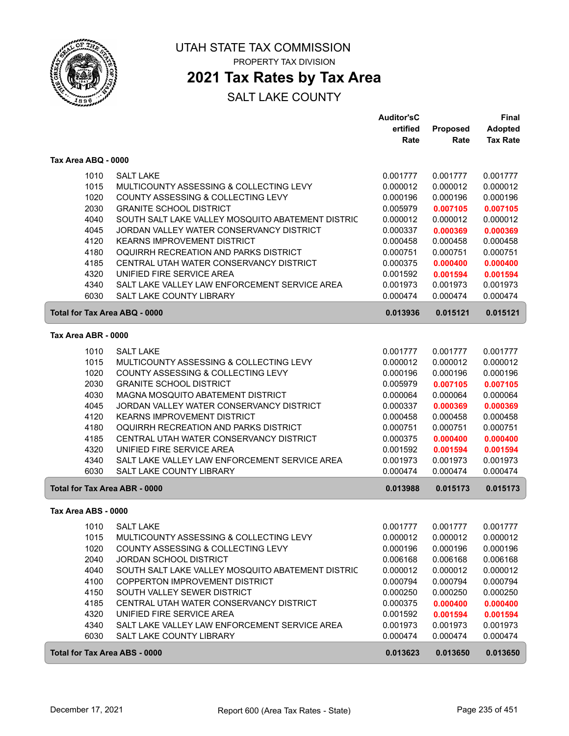

### **2021 Tax Rates by Tax Area**

|                                      |                                                   | <b>Auditor'sC</b> |                 | <b>Final</b>    |
|--------------------------------------|---------------------------------------------------|-------------------|-----------------|-----------------|
|                                      |                                                   | ertified          | <b>Proposed</b> | <b>Adopted</b>  |
|                                      |                                                   | Rate              | Rate            | <b>Tax Rate</b> |
| Tax Area ABQ - 0000                  |                                                   |                   |                 |                 |
| 1010                                 | <b>SALT LAKE</b>                                  | 0.001777          | 0.001777        | 0.001777        |
| 1015                                 | MULTICOUNTY ASSESSING & COLLECTING LEVY           | 0.000012          | 0.000012        | 0.000012        |
| 1020                                 | COUNTY ASSESSING & COLLECTING LEVY                | 0.000196          | 0.000196        | 0.000196        |
| 2030                                 | <b>GRANITE SCHOOL DISTRICT</b>                    | 0.005979          | 0.007105        | 0.007105        |
| 4040                                 | SOUTH SALT LAKE VALLEY MOSQUITO ABATEMENT DISTRIC | 0.000012          | 0.000012        | 0.000012        |
| 4045                                 | JORDAN VALLEY WATER CONSERVANCY DISTRICT          | 0.000337          | 0.000369        | 0.000369        |
| 4120                                 | <b>KEARNS IMPROVEMENT DISTRICT</b>                | 0.000458          | 0.000458        | 0.000458        |
| 4180                                 | OQUIRRH RECREATION AND PARKS DISTRICT             | 0.000751          | 0.000751        | 0.000751        |
| 4185                                 | CENTRAL UTAH WATER CONSERVANCY DISTRICT           | 0.000375          | 0.000400        | 0.000400        |
| 4320                                 | UNIFIED FIRE SERVICE AREA                         | 0.001592          | 0.001594        | 0.001594        |
| 4340                                 | SALT LAKE VALLEY LAW ENFORCEMENT SERVICE AREA     | 0.001973          | 0.001973        | 0.001973        |
| 6030                                 | <b>SALT LAKE COUNTY LIBRARY</b>                   | 0.000474          | 0.000474        | 0.000474        |
| Total for Tax Area ABQ - 0000        |                                                   | 0.013936          | 0.015121        | 0.015121        |
| Tax Area ABR - 0000                  |                                                   |                   |                 |                 |
| 1010                                 | <b>SALT LAKE</b>                                  | 0.001777          | 0.001777        | 0.001777        |
| 1015                                 | MULTICOUNTY ASSESSING & COLLECTING LEVY           | 0.000012          | 0.000012        | 0.000012        |
| 1020                                 | COUNTY ASSESSING & COLLECTING LEVY                | 0.000196          | 0.000196        | 0.000196        |
| 2030                                 | <b>GRANITE SCHOOL DISTRICT</b>                    | 0.005979          | 0.007105        | 0.007105        |
| 4030                                 | MAGNA MOSQUITO ABATEMENT DISTRICT                 | 0.000064          | 0.000064        | 0.000064        |
| 4045                                 | JORDAN VALLEY WATER CONSERVANCY DISTRICT          | 0.000337          | 0.000369        | 0.000369        |
| 4120                                 | <b>KEARNS IMPROVEMENT DISTRICT</b>                | 0.000458          | 0.000458        | 0.000458        |
| 4180                                 | OQUIRRH RECREATION AND PARKS DISTRICT             | 0.000751          | 0.000751        | 0.000751        |
| 4185                                 | CENTRAL UTAH WATER CONSERVANCY DISTRICT           | 0.000375          | 0.000400        | 0.000400        |
| 4320                                 | UNIFIED FIRE SERVICE AREA                         | 0.001592          | 0.001594        | 0.001594        |
| 4340                                 | SALT LAKE VALLEY LAW ENFORCEMENT SERVICE AREA     | 0.001973          | 0.001973        | 0.001973        |
| 6030                                 | SALT LAKE COUNTY LIBRARY                          | 0.000474          | 0.000474        | 0.000474        |
| <b>Total for Tax Area ABR - 0000</b> |                                                   | 0.013988          | 0.015173        | 0.015173        |
| Tax Area ABS - 0000                  |                                                   |                   |                 |                 |
| 1010                                 | <b>SALT LAKE</b>                                  | 0.001777          | 0.001777        | 0.001777        |
| 1015                                 | MULTICOUNTY ASSESSING & COLLECTING LEVY           | 0.000012          | 0.000012        | 0.000012        |
| 1020                                 | COUNTY ASSESSING & COLLECTING LEVY                | 0.000196          | 0.000196        | 0.000196        |
| 2040                                 | <b>JORDAN SCHOOL DISTRICT</b>                     | 0.006168          | 0.006168        | 0.006168        |
| 4040                                 | SOUTH SALT LAKE VALLEY MOSQUITO ABATEMENT DISTRIC | 0.000012          | 0.000012        | 0.000012        |
| 4100                                 | COPPERTON IMPROVEMENT DISTRICT                    | 0.000794          | 0.000794        | 0.000794        |
| 4150                                 | SOUTH VALLEY SEWER DISTRICT                       | 0.000250          | 0.000250        | 0.000250        |
| 4185                                 | CENTRAL UTAH WATER CONSERVANCY DISTRICT           | 0.000375          | 0.000400        | 0.000400        |
| 4320                                 | UNIFIED FIRE SERVICE AREA                         | 0.001592          | 0.001594        | 0.001594        |
| 4340                                 | SALT LAKE VALLEY LAW ENFORCEMENT SERVICE AREA     | 0.001973          | 0.001973        | 0.001973        |
| 6030                                 | SALT LAKE COUNTY LIBRARY                          | 0.000474          | 0.000474        | 0.000474        |
| <b>Total for Tax Area ABS - 0000</b> |                                                   | 0.013623          | 0.013650        | 0.013650        |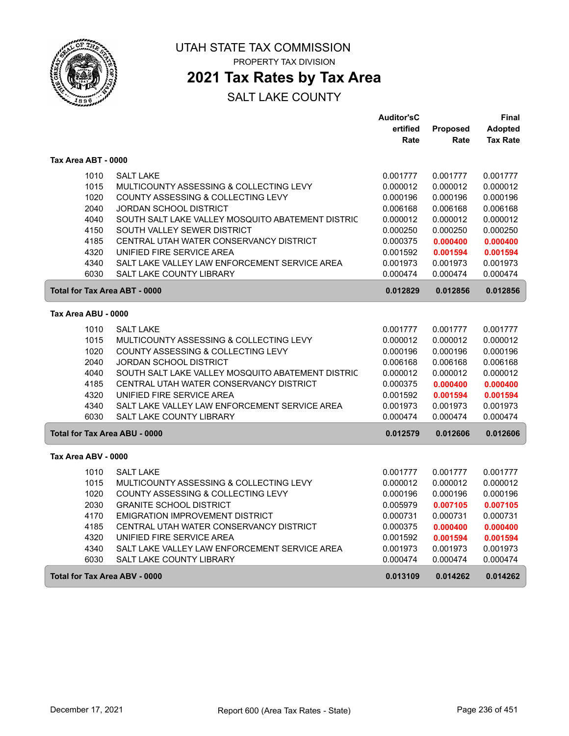

### **2021 Tax Rates by Tax Area**

|                                      |                                                   | <b>Auditor'sC</b> |          | Final           |
|--------------------------------------|---------------------------------------------------|-------------------|----------|-----------------|
|                                      |                                                   | ertified          | Proposed | <b>Adopted</b>  |
|                                      |                                                   | Rate              | Rate     | <b>Tax Rate</b> |
| Tax Area ABT - 0000                  |                                                   |                   |          |                 |
| 1010                                 | <b>SALT LAKE</b>                                  | 0.001777          | 0.001777 | 0.001777        |
| 1015                                 | MULTICOUNTY ASSESSING & COLLECTING LEVY           | 0.000012          | 0.000012 | 0.000012        |
| 1020                                 | COUNTY ASSESSING & COLLECTING LEVY                | 0.000196          | 0.000196 | 0.000196        |
| 2040                                 | JORDAN SCHOOL DISTRICT                            | 0.006168          | 0.006168 | 0.006168        |
| 4040                                 | SOUTH SALT LAKE VALLEY MOSQUITO ABATEMENT DISTRIC | 0.000012          | 0.000012 | 0.000012        |
| 4150                                 | SOUTH VALLEY SEWER DISTRICT                       | 0.000250          | 0.000250 | 0.000250        |
| 4185                                 | CENTRAL UTAH WATER CONSERVANCY DISTRICT           | 0.000375          | 0.000400 | 0.000400        |
| 4320                                 | UNIFIED FIRE SERVICE AREA                         | 0.001592          | 0.001594 | 0.001594        |
| 4340                                 | SALT LAKE VALLEY LAW ENFORCEMENT SERVICE AREA     | 0.001973          | 0.001973 | 0.001973        |
| 6030                                 | SALT LAKE COUNTY LIBRARY                          | 0.000474          | 0.000474 | 0.000474        |
| Total for Tax Area ABT - 0000        |                                                   | 0.012829          | 0.012856 | 0.012856        |
| Tax Area ABU - 0000                  |                                                   |                   |          |                 |
| 1010                                 | <b>SALT LAKE</b>                                  | 0.001777          | 0.001777 | 0.001777        |
| 1015                                 | MULTICOUNTY ASSESSING & COLLECTING LEVY           | 0.000012          | 0.000012 | 0.000012        |
| 1020                                 | COUNTY ASSESSING & COLLECTING LEVY                | 0.000196          | 0.000196 | 0.000196        |
| 2040                                 | <b>JORDAN SCHOOL DISTRICT</b>                     | 0.006168          | 0.006168 | 0.006168        |
| 4040                                 | SOUTH SALT LAKE VALLEY MOSQUITO ABATEMENT DISTRIC | 0.000012          | 0.000012 | 0.000012        |
| 4185                                 | CENTRAL UTAH WATER CONSERVANCY DISTRICT           | 0.000375          | 0.000400 | 0.000400        |
| 4320                                 | UNIFIED FIRE SERVICE AREA                         | 0.001592          | 0.001594 | 0.001594        |
| 4340                                 | SALT LAKE VALLEY LAW ENFORCEMENT SERVICE AREA     | 0.001973          | 0.001973 | 0.001973        |
| 6030                                 | <b>SALT LAKE COUNTY LIBRARY</b>                   | 0.000474          | 0.000474 | 0.000474        |
| <b>Total for Tax Area ABU - 0000</b> |                                                   | 0.012579          | 0.012606 | 0.012606        |
| Tax Area ABV - 0000                  |                                                   |                   |          |                 |
| 1010                                 | <b>SALT LAKE</b>                                  | 0.001777          | 0.001777 | 0.001777        |
| 1015                                 | MULTICOUNTY ASSESSING & COLLECTING LEVY           | 0.000012          | 0.000012 | 0.000012        |
| 1020                                 | COUNTY ASSESSING & COLLECTING LEVY                | 0.000196          | 0.000196 | 0.000196        |
| 2030                                 | <b>GRANITE SCHOOL DISTRICT</b>                    | 0.005979          | 0.007105 | 0.007105        |
| 4170                                 | <b>EMIGRATION IMPROVEMENT DISTRICT</b>            | 0.000731          | 0.000731 | 0.000731        |
| 4185                                 | CENTRAL UTAH WATER CONSERVANCY DISTRICT           | 0.000375          | 0.000400 | 0.000400        |
| 4320                                 | UNIFIED FIRE SERVICE AREA                         | 0.001592          | 0.001594 | 0.001594        |
| 4340                                 | SALT LAKE VALLEY LAW ENFORCEMENT SERVICE AREA     | 0.001973          | 0.001973 | 0.001973        |
| 6030                                 | SALT LAKE COUNTY LIBRARY                          | 0.000474          | 0.000474 | 0.000474        |
| <b>Total for Tax Area ABV - 0000</b> |                                                   | 0.013109          | 0.014262 | 0.014262        |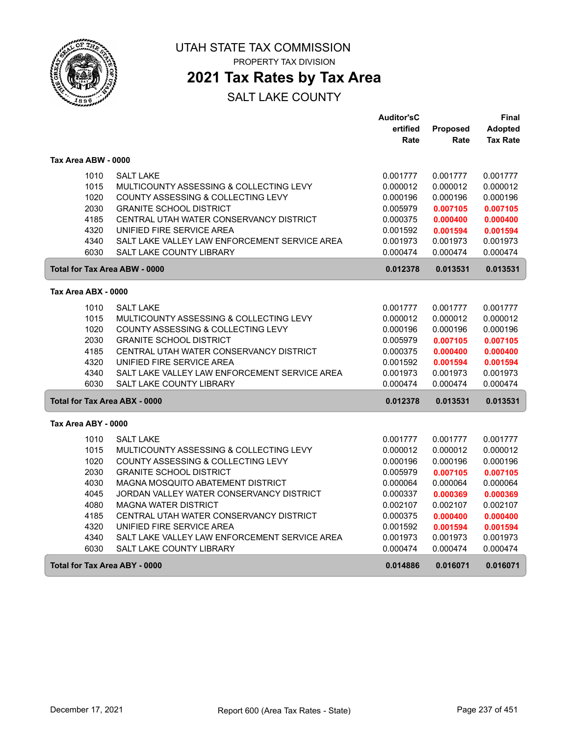

UTAH STATE TAX COMMISSION

PROPERTY TAX DIVISION

### **2021 Tax Rates by Tax Area**

|                     |                                               | <b>Auditor'sC</b> |                 | Final           |
|---------------------|-----------------------------------------------|-------------------|-----------------|-----------------|
|                     |                                               | ertified          | <b>Proposed</b> | <b>Adopted</b>  |
|                     |                                               | Rate              | Rate            | <b>Tax Rate</b> |
| Tax Area ABW - 0000 |                                               |                   |                 |                 |
| 1010                | <b>SALT LAKE</b>                              | 0.001777          | 0.001777        | 0.001777        |
| 1015                | MULTICOUNTY ASSESSING & COLLECTING LEVY       | 0.000012          | 0.000012        | 0.000012        |
| 1020                | COUNTY ASSESSING & COLLECTING LEVY            | 0.000196          | 0.000196        | 0.000196        |
| 2030                | <b>GRANITE SCHOOL DISTRICT</b>                | 0.005979          | 0.007105        | 0.007105        |
| 4185                | CENTRAL UTAH WATER CONSERVANCY DISTRICT       | 0.000375          | 0.000400        | 0.000400        |
| 4320                | UNIFIED FIRE SERVICE AREA                     | 0.001592          | 0.001594        | 0.001594        |
| 4340                | SALT LAKE VALLEY LAW ENFORCEMENT SERVICE AREA | 0.001973          | 0.001973        | 0.001973        |
| 6030                | SALT LAKE COUNTY LIBRARY                      | 0.000474          | 0.000474        | 0.000474        |
|                     | <b>Total for Tax Area ABW - 0000</b>          | 0.012378          | 0.013531        | 0.013531        |
| Tax Area ABX - 0000 |                                               |                   |                 |                 |
|                     |                                               |                   |                 |                 |
| 1010                | <b>SALT LAKE</b>                              | 0.001777          | 0.001777        | 0.001777        |
| 1015                | MULTICOUNTY ASSESSING & COLLECTING LEVY       | 0.000012          | 0.000012        | 0.000012        |
| 1020                | COUNTY ASSESSING & COLLECTING LEVY            | 0.000196          | 0.000196        | 0.000196        |
| 2030                | <b>GRANITE SCHOOL DISTRICT</b>                | 0.005979          | 0.007105        | 0.007105        |
| 4185                | CENTRAL UTAH WATER CONSERVANCY DISTRICT       | 0.000375          | 0.000400        | 0.000400        |
| 4320                | UNIFIED FIRE SERVICE AREA                     | 0.001592          | 0.001594        | 0.001594        |
| 4340                | SALT LAKE VALLEY LAW ENFORCEMENT SERVICE AREA | 0.001973          | 0.001973        | 0.001973        |
| 6030                | SALT LAKE COUNTY LIBRARY                      | 0.000474          | 0.000474        | 0.000474        |
|                     | <b>Total for Tax Area ABX - 0000</b>          | 0.012378          | 0.013531        | 0.013531        |
| Tax Area ABY - 0000 |                                               |                   |                 |                 |
| 1010                | <b>SALT LAKE</b>                              | 0.001777          | 0.001777        | 0.001777        |
| 1015                | MULTICOUNTY ASSESSING & COLLECTING LEVY       | 0.000012          | 0.000012        | 0.000012        |
| 1020                | COUNTY ASSESSING & COLLECTING LEVY            | 0.000196          | 0.000196        | 0.000196        |
| 2030                | <b>GRANITE SCHOOL DISTRICT</b>                | 0.005979          | 0.007105        | 0.007105        |
| 4030                | MAGNA MOSQUITO ABATEMENT DISTRICT             | 0.000064          | 0.000064        | 0.000064        |
| 4045                | JORDAN VALLEY WATER CONSERVANCY DISTRICT      | 0.000337          | 0.000369        | 0.000369        |
| 4080                | <b>MAGNA WATER DISTRICT</b>                   | 0.002107          | 0.002107        | 0.002107        |
| 4185                | CENTRAL UTAH WATER CONSERVANCY DISTRICT       | 0.000375          | 0.000400        | 0.000400        |
| 4320                | UNIFIED FIRE SERVICE AREA                     | 0.001592          | 0.001594        | 0.001594        |
| 4340                | SALT LAKE VALLEY LAW ENFORCEMENT SERVICE AREA | 0.001973          | 0.001973        | 0.001973        |
| 6030                | SALT LAKE COUNTY LIBRARY                      | 0.000474          | 0.000474        | 0.000474        |
|                     | <b>Total for Tax Area ABY - 0000</b>          | 0.014886          | 0.016071        | 0.016071        |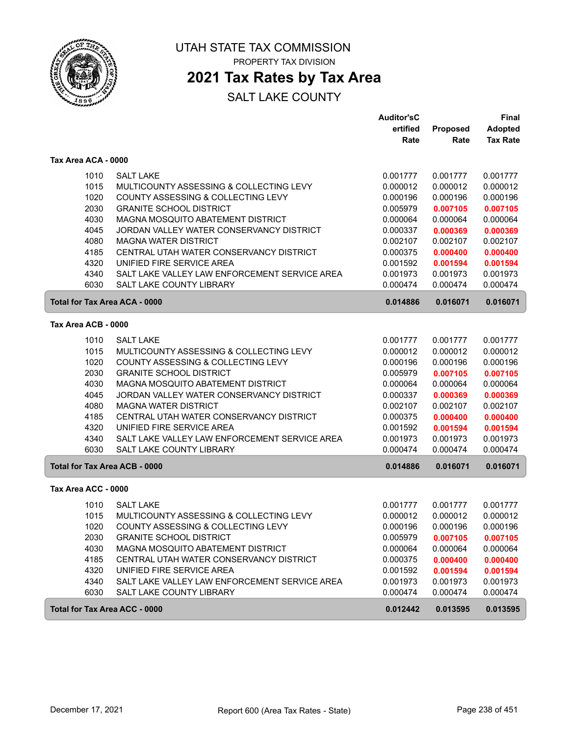

### **2021 Tax Rates by Tax Area**

|                                      |                                               | <b>Auditor'sC</b> |          | Final           |
|--------------------------------------|-----------------------------------------------|-------------------|----------|-----------------|
|                                      |                                               | ertified          | Proposed | <b>Adopted</b>  |
|                                      |                                               | Rate              | Rate     | <b>Tax Rate</b> |
| Tax Area ACA - 0000                  |                                               |                   |          |                 |
| 1010                                 | <b>SALT LAKE</b>                              | 0.001777          | 0.001777 | 0.001777        |
| 1015                                 | MULTICOUNTY ASSESSING & COLLECTING LEVY       | 0.000012          | 0.000012 | 0.000012        |
| 1020                                 | COUNTY ASSESSING & COLLECTING LEVY            | 0.000196          | 0.000196 | 0.000196        |
| 2030                                 | <b>GRANITE SCHOOL DISTRICT</b>                | 0.005979          | 0.007105 | 0.007105        |
| 4030                                 | MAGNA MOSQUITO ABATEMENT DISTRICT             | 0.000064          | 0.000064 | 0.000064        |
| 4045                                 | JORDAN VALLEY WATER CONSERVANCY DISTRICT      | 0.000337          | 0.000369 | 0.000369        |
| 4080                                 | <b>MAGNA WATER DISTRICT</b>                   | 0.002107          | 0.002107 | 0.002107        |
| 4185                                 | CENTRAL UTAH WATER CONSERVANCY DISTRICT       | 0.000375          | 0.000400 | 0.000400        |
| 4320                                 | UNIFIED FIRE SERVICE AREA                     | 0.001592          | 0.001594 | 0.001594        |
| 4340                                 | SALT LAKE VALLEY LAW ENFORCEMENT SERVICE AREA | 0.001973          | 0.001973 | 0.001973        |
| 6030                                 | <b>SALT LAKE COUNTY LIBRARY</b>               | 0.000474          | 0.000474 | 0.000474        |
| <b>Total for Tax Area ACA - 0000</b> |                                               | 0.014886          | 0.016071 | 0.016071        |
| Tax Area ACB - 0000                  |                                               |                   |          |                 |
| 1010                                 | <b>SALT LAKE</b>                              | 0.001777          | 0.001777 | 0.001777        |
| 1015                                 | MULTICOUNTY ASSESSING & COLLECTING LEVY       | 0.000012          | 0.000012 | 0.000012        |
| 1020                                 | COUNTY ASSESSING & COLLECTING LEVY            | 0.000196          | 0.000196 | 0.000196        |
| 2030                                 | <b>GRANITE SCHOOL DISTRICT</b>                | 0.005979          | 0.007105 | 0.007105        |
| 4030                                 | MAGNA MOSQUITO ABATEMENT DISTRICT             | 0.000064          | 0.000064 | 0.000064        |
| 4045                                 | JORDAN VALLEY WATER CONSERVANCY DISTRICT      | 0.000337          | 0.000369 | 0.000369        |
| 4080                                 | <b>MAGNA WATER DISTRICT</b>                   | 0.002107          | 0.002107 | 0.002107        |
| 4185                                 | CENTRAL UTAH WATER CONSERVANCY DISTRICT       | 0.000375          | 0.000400 | 0.000400        |
| 4320                                 | UNIFIED FIRE SERVICE AREA                     | 0.001592          | 0.001594 | 0.001594        |
| 4340                                 | SALT LAKE VALLEY LAW ENFORCEMENT SERVICE AREA | 0.001973          | 0.001973 | 0.001973        |
| 6030                                 | <b>SALT LAKE COUNTY LIBRARY</b>               | 0.000474          | 0.000474 | 0.000474        |
| <b>Total for Tax Area ACB - 0000</b> |                                               | 0.014886          | 0.016071 | 0.016071        |
| Tax Area ACC - 0000                  |                                               |                   |          |                 |
| 1010                                 | <b>SALT LAKE</b>                              | 0.001777          | 0.001777 | 0.001777        |
| 1015                                 | MULTICOUNTY ASSESSING & COLLECTING LEVY       | 0.000012          | 0.000012 | 0.000012        |
| 1020                                 | COUNTY ASSESSING & COLLECTING LEVY            | 0.000196          | 0.000196 | 0.000196        |
| 2030                                 | <b>GRANITE SCHOOL DISTRICT</b>                | 0.005979          | 0.007105 | 0.007105        |
| 4030                                 | MAGNA MOSQUITO ABATEMENT DISTRICT             | 0.000064          | 0.000064 | 0.000064        |
| 4185                                 | CENTRAL UTAH WATER CONSERVANCY DISTRICT       | 0.000375          | 0.000400 | 0.000400        |
| 4320                                 | UNIFIED FIRE SERVICE AREA                     | 0.001592          | 0.001594 | 0.001594        |
| 4340                                 | SALT LAKE VALLEY LAW ENFORCEMENT SERVICE AREA | 0.001973          | 0.001973 | 0.001973        |
| 6030                                 | SALT LAKE COUNTY LIBRARY                      | 0.000474          | 0.000474 | 0.000474        |
| Total for Tax Area ACC - 0000        |                                               | 0.012442          | 0.013595 | 0.013595        |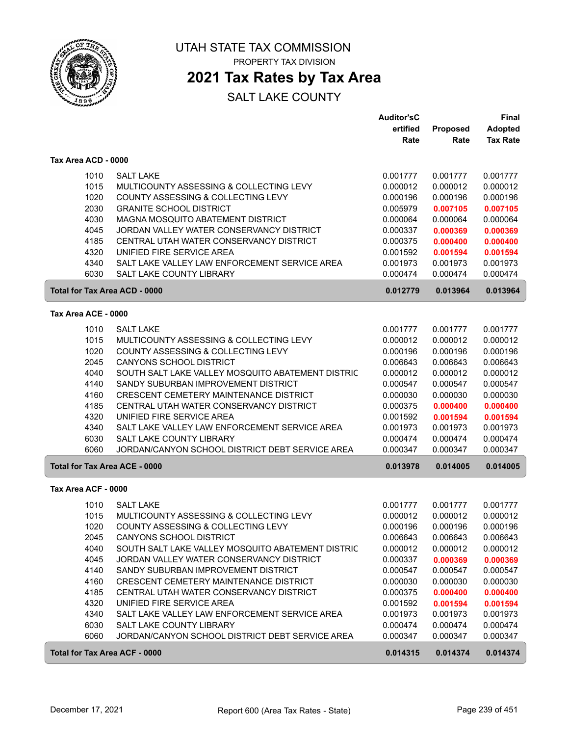

## UTAH STATE TAX COMMISSION

PROPERTY TAX DIVISION

### **2021 Tax Rates by Tax Area**

|                                      |                                                   | <b>Auditor'sC</b> |          | <b>Final</b>    |
|--------------------------------------|---------------------------------------------------|-------------------|----------|-----------------|
|                                      |                                                   | ertified          | Proposed | <b>Adopted</b>  |
|                                      |                                                   | Rate              | Rate     | <b>Tax Rate</b> |
| Tax Area ACD - 0000                  |                                                   |                   |          |                 |
| 1010                                 | <b>SALT LAKE</b>                                  | 0.001777          | 0.001777 | 0.001777        |
| 1015                                 | MULTICOUNTY ASSESSING & COLLECTING LEVY           | 0.000012          | 0.000012 | 0.000012        |
| 1020                                 | COUNTY ASSESSING & COLLECTING LEVY                | 0.000196          | 0.000196 | 0.000196        |
| 2030                                 | <b>GRANITE SCHOOL DISTRICT</b>                    | 0.005979          | 0.007105 | 0.007105        |
| 4030                                 | MAGNA MOSQUITO ABATEMENT DISTRICT                 | 0.000064          | 0.000064 | 0.000064        |
| 4045                                 | JORDAN VALLEY WATER CONSERVANCY DISTRICT          | 0.000337          | 0.000369 | 0.000369        |
| 4185                                 | CENTRAL UTAH WATER CONSERVANCY DISTRICT           | 0.000375          | 0.000400 | 0.000400        |
| 4320                                 | UNIFIED FIRE SERVICE AREA                         | 0.001592          | 0.001594 | 0.001594        |
| 4340                                 | SALT LAKE VALLEY LAW ENFORCEMENT SERVICE AREA     | 0.001973          | 0.001973 | 0.001973        |
| 6030                                 | <b>SALT LAKE COUNTY LIBRARY</b>                   | 0.000474          | 0.000474 | 0.000474        |
|                                      | Total for Tax Area ACD - 0000                     | 0.012779          | 0.013964 | 0.013964        |
| Tax Area ACE - 0000                  |                                                   |                   |          |                 |
| 1010                                 | <b>SALT LAKE</b>                                  | 0.001777          | 0.001777 | 0.001777        |
| 1015                                 | MULTICOUNTY ASSESSING & COLLECTING LEVY           | 0.000012          | 0.000012 | 0.000012        |
| 1020                                 | COUNTY ASSESSING & COLLECTING LEVY                | 0.000196          | 0.000196 | 0.000196        |
| 2045                                 | <b>CANYONS SCHOOL DISTRICT</b>                    | 0.006643          | 0.006643 | 0.006643        |
| 4040                                 | SOUTH SALT LAKE VALLEY MOSQUITO ABATEMENT DISTRIC | 0.000012          | 0.000012 | 0.000012        |
| 4140                                 | SANDY SUBURBAN IMPROVEMENT DISTRICT               | 0.000547          | 0.000547 | 0.000547        |
| 4160                                 | <b>CRESCENT CEMETERY MAINTENANCE DISTRICT</b>     | 0.000030          | 0.000030 | 0.000030        |
| 4185                                 | CENTRAL UTAH WATER CONSERVANCY DISTRICT           | 0.000375          | 0.000400 | 0.000400        |
| 4320                                 | UNIFIED FIRE SERVICE AREA                         | 0.001592          | 0.001594 | 0.001594        |
| 4340                                 | SALT LAKE VALLEY LAW ENFORCEMENT SERVICE AREA     | 0.001973          | 0.001973 | 0.001973        |
| 6030                                 | SALT LAKE COUNTY LIBRARY                          | 0.000474          | 0.000474 | 0.000474        |
| 6060                                 | JORDAN/CANYON SCHOOL DISTRICT DEBT SERVICE AREA   | 0.000347          | 0.000347 | 0.000347        |
| <b>Total for Tax Area ACE - 0000</b> |                                                   | 0.013978          | 0.014005 | 0.014005        |
| Tax Area ACF - 0000                  |                                                   |                   |          |                 |
| 1010                                 | <b>SALT LAKE</b>                                  | 0.001777          | 0.001777 | 0.001777        |
| 1015                                 | MULTICOUNTY ASSESSING & COLLECTING LEVY           | 0.000012          | 0.000012 | 0.000012        |
| 1020                                 | COUNTY ASSESSING & COLLECTING LEVY                | 0.000196          | 0.000196 | 0.000196        |
| 2045                                 | CANYONS SCHOOL DISTRICT                           | 0.006643          | 0.006643 | 0.006643        |
| 4040                                 | SOUTH SALT LAKE VALLEY MOSQUITO ABATEMENT DISTRIC | 0.000012          | 0.000012 | 0.000012        |
| 4045                                 | JORDAN VALLEY WATER CONSERVANCY DISTRICT          | 0.000337          | 0.000369 | 0.000369        |
| 4140                                 | SANDY SUBURBAN IMPROVEMENT DISTRICT               | 0.000547          | 0.000547 | 0.000547        |
| 4160                                 | CRESCENT CEMETERY MAINTENANCE DISTRICT            | 0.000030          | 0.000030 | 0.000030        |
| 4185                                 | CENTRAL UTAH WATER CONSERVANCY DISTRICT           | 0.000375          | 0.000400 | 0.000400        |
| 4320                                 | UNIFIED FIRE SERVICE AREA                         | 0.001592          | 0.001594 | 0.001594        |
| 4340                                 | SALT LAKE VALLEY LAW ENFORCEMENT SERVICE AREA     | 0.001973          | 0.001973 | 0.001973        |
| 6030                                 | SALT LAKE COUNTY LIBRARY                          | 0.000474          | 0.000474 | 0.000474        |
| 6060                                 | JORDAN/CANYON SCHOOL DISTRICT DEBT SERVICE AREA   | 0.000347          | 0.000347 | 0.000347        |
| <b>Total for Tax Area ACF - 0000</b> |                                                   | 0.014315          | 0.014374 | 0.014374        |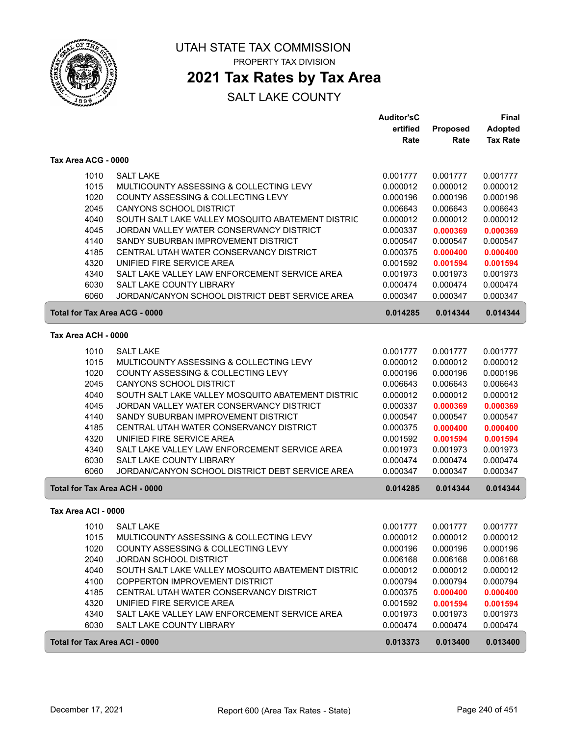

### **2021 Tax Rates by Tax Area**

|                               |                                                   | <b>Auditor'sC</b> |          | <b>Final</b>    |
|-------------------------------|---------------------------------------------------|-------------------|----------|-----------------|
|                               |                                                   | ertified          | Proposed | <b>Adopted</b>  |
|                               |                                                   | Rate              | Rate     | <b>Tax Rate</b> |
| Tax Area ACG - 0000           |                                                   |                   |          |                 |
| 1010                          | <b>SALT LAKE</b>                                  | 0.001777          | 0.001777 | 0.001777        |
| 1015                          | MULTICOUNTY ASSESSING & COLLECTING LEVY           | 0.000012          | 0.000012 | 0.000012        |
| 1020                          | COUNTY ASSESSING & COLLECTING LEVY                | 0.000196          | 0.000196 | 0.000196        |
| 2045                          | <b>CANYONS SCHOOL DISTRICT</b>                    | 0.006643          | 0.006643 | 0.006643        |
| 4040                          | SOUTH SALT LAKE VALLEY MOSQUITO ABATEMENT DISTRIC | 0.000012          | 0.000012 | 0.000012        |
| 4045                          | JORDAN VALLEY WATER CONSERVANCY DISTRICT          | 0.000337          | 0.000369 | 0.000369        |
| 4140                          | SANDY SUBURBAN IMPROVEMENT DISTRICT               | 0.000547          | 0.000547 | 0.000547        |
| 4185                          | CENTRAL UTAH WATER CONSERVANCY DISTRICT           | 0.000375          | 0.000400 | 0.000400        |
| 4320                          | UNIFIED FIRE SERVICE AREA                         | 0.001592          | 0.001594 | 0.001594        |
| 4340                          | SALT LAKE VALLEY LAW ENFORCEMENT SERVICE AREA     | 0.001973          | 0.001973 | 0.001973        |
| 6030                          | SALT LAKE COUNTY LIBRARY                          | 0.000474          | 0.000474 | 0.000474        |
| 6060                          | JORDAN/CANYON SCHOOL DISTRICT DEBT SERVICE AREA   | 0.000347          | 0.000347 | 0.000347        |
| Total for Tax Area ACG - 0000 |                                                   | 0.014285          | 0.014344 | 0.014344        |
| Tax Area ACH - 0000           |                                                   |                   |          |                 |
| 1010                          | <b>SALT LAKE</b>                                  | 0.001777          | 0.001777 | 0.001777        |
| 1015                          | MULTICOUNTY ASSESSING & COLLECTING LEVY           | 0.000012          | 0.000012 | 0.000012        |
| 1020                          | COUNTY ASSESSING & COLLECTING LEVY                | 0.000196          | 0.000196 | 0.000196        |
| 2045                          | CANYONS SCHOOL DISTRICT                           | 0.006643          | 0.006643 | 0.006643        |
| 4040                          | SOUTH SALT LAKE VALLEY MOSQUITO ABATEMENT DISTRIC | 0.000012          | 0.000012 | 0.000012        |
| 4045                          | JORDAN VALLEY WATER CONSERVANCY DISTRICT          | 0.000337          | 0.000369 | 0.000369        |
| 4140                          | SANDY SUBURBAN IMPROVEMENT DISTRICT               | 0.000547          | 0.000547 | 0.000547        |
| 4185                          | CENTRAL UTAH WATER CONSERVANCY DISTRICT           | 0.000375          | 0.000400 | 0.000400        |
| 4320                          | UNIFIED FIRE SERVICE AREA                         | 0.001592          | 0.001594 | 0.001594        |
| 4340                          | SALT LAKE VALLEY LAW ENFORCEMENT SERVICE AREA     | 0.001973          | 0.001973 | 0.001973        |
| 6030                          | SALT LAKE COUNTY LIBRARY                          | 0.000474          | 0.000474 | 0.000474        |
| 6060                          | JORDAN/CANYON SCHOOL DISTRICT DEBT SERVICE AREA   | 0.000347          | 0.000347 | 0.000347        |
| Total for Tax Area ACH - 0000 |                                                   | 0.014285          | 0.014344 | 0.014344        |
| Tax Area ACI - 0000           |                                                   |                   |          |                 |
| 1010                          | <b>SALT LAKE</b>                                  | 0.001777          | 0.001777 | 0.001777        |
| 1015                          | MULTICOUNTY ASSESSING & COLLECTING LEVY           | 0.000012          | 0.000012 | 0.000012        |
| 1020                          | COUNTY ASSESSING & COLLECTING LEVY                | 0.000196          | 0.000196 | 0.000196        |
| 2040                          | <b>JORDAN SCHOOL DISTRICT</b>                     | 0.006168          | 0.006168 | 0.006168        |
| 4040                          | SOUTH SALT LAKE VALLEY MOSQUITO ABATEMENT DISTRIC | 0.000012          | 0.000012 | 0.000012        |
| 4100                          | COPPERTON IMPROVEMENT DISTRICT                    | 0.000794          | 0.000794 | 0.000794        |
| 4185                          | CENTRAL UTAH WATER CONSERVANCY DISTRICT           | 0.000375          | 0.000400 | 0.000400        |
| 4320                          | UNIFIED FIRE SERVICE AREA                         | 0.001592          | 0.001594 | 0.001594        |
| 4340                          | SALT LAKE VALLEY LAW ENFORCEMENT SERVICE AREA     | 0.001973          | 0.001973 | 0.001973        |
| 6030                          | SALT LAKE COUNTY LIBRARY                          | 0.000474          | 0.000474 | 0.000474        |
| Total for Tax Area ACI - 0000 |                                                   | 0.013373          | 0.013400 | 0.013400        |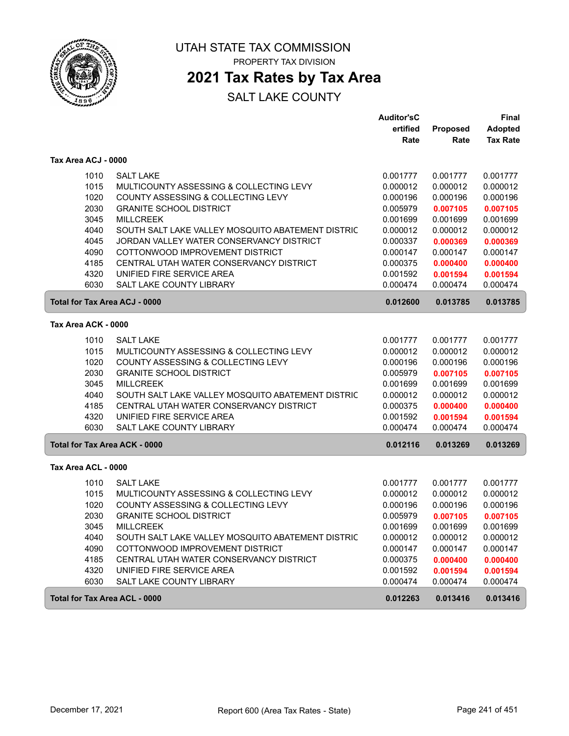

## **2021 Tax Rates by Tax Area**

|                     |                                                   | <b>Auditor'sC</b> |                 | <b>Final</b>    |
|---------------------|---------------------------------------------------|-------------------|-----------------|-----------------|
|                     |                                                   | ertified          | <b>Proposed</b> | <b>Adopted</b>  |
|                     |                                                   | Rate              | Rate            | <b>Tax Rate</b> |
| Tax Area ACJ - 0000 |                                                   |                   |                 |                 |
| 1010                | <b>SALT LAKE</b>                                  | 0.001777          | 0.001777        | 0.001777        |
| 1015                | MULTICOUNTY ASSESSING & COLLECTING LEVY           | 0.000012          | 0.000012        | 0.000012        |
| 1020                | COUNTY ASSESSING & COLLECTING LEVY                | 0.000196          | 0.000196        | 0.000196        |
| 2030                | <b>GRANITE SCHOOL DISTRICT</b>                    | 0.005979          | 0.007105        | 0.007105        |
| 3045                | <b>MILLCREEK</b>                                  | 0.001699          | 0.001699        | 0.001699        |
| 4040                | SOUTH SALT LAKE VALLEY MOSQUITO ABATEMENT DISTRIC | 0.000012          | 0.000012        | 0.000012        |
| 4045                | JORDAN VALLEY WATER CONSERVANCY DISTRICT          | 0.000337          | 0.000369        | 0.000369        |
| 4090                | COTTONWOOD IMPROVEMENT DISTRICT                   | 0.000147          | 0.000147        | 0.000147        |
| 4185                | CENTRAL UTAH WATER CONSERVANCY DISTRICT           | 0.000375          | 0.000400        | 0.000400        |
| 4320                | UNIFIED FIRE SERVICE AREA                         | 0.001592          | 0.001594        | 0.001594        |
| 6030                | <b>SALT LAKE COUNTY LIBRARY</b>                   | 0.000474          | 0.000474        | 0.000474        |
|                     | <b>Total for Tax Area ACJ - 0000</b>              | 0.012600          | 0.013785        | 0.013785        |
| Tax Area ACK - 0000 |                                                   |                   |                 |                 |
| 1010                | <b>SALT LAKE</b>                                  | 0.001777          | 0.001777        | 0.001777        |
| 1015                | MULTICOUNTY ASSESSING & COLLECTING LEVY           | 0.000012          | 0.000012        | 0.000012        |
| 1020                | COUNTY ASSESSING & COLLECTING LEVY                | 0.000196          | 0.000196        | 0.000196        |
| 2030                | <b>GRANITE SCHOOL DISTRICT</b>                    | 0.005979          | 0.007105        | 0.007105        |
| 3045                | <b>MILLCREEK</b>                                  | 0.001699          | 0.001699        | 0.001699        |
| 4040                | SOUTH SALT LAKE VALLEY MOSQUITO ABATEMENT DISTRIC | 0.000012          | 0.000012        | 0.000012        |
| 4185                | CENTRAL UTAH WATER CONSERVANCY DISTRICT           | 0.000375          | 0.000400        | 0.000400        |
| 4320                | UNIFIED FIRE SERVICE AREA                         | 0.001592          | 0.001594        | 0.001594        |
| 6030                | SALT LAKE COUNTY LIBRARY                          | 0.000474          | 0.000474        | 0.000474        |
|                     | <b>Total for Tax Area ACK - 0000</b>              | 0.012116          | 0.013269        | 0.013269        |
| Tax Area ACL - 0000 |                                                   |                   |                 |                 |
| 1010                | <b>SALT LAKE</b>                                  | 0.001777          | 0.001777        | 0.001777        |
| 1015                | MULTICOUNTY ASSESSING & COLLECTING LEVY           | 0.000012          | 0.000012        | 0.000012        |
| 1020                | COUNTY ASSESSING & COLLECTING LEVY                | 0.000196          | 0.000196        | 0.000196        |
| 2030                | <b>GRANITE SCHOOL DISTRICT</b>                    | 0.005979          | 0.007105        | 0.007105        |
| 3045                | <b>MILLCREEK</b>                                  | 0.001699          | 0.001699        | 0.001699        |
| 4040                | SOUTH SALT LAKE VALLEY MOSQUITO ABATEMENT DISTRIC | 0.000012          | 0.000012        | 0.000012        |
| 4090                | COTTONWOOD IMPROVEMENT DISTRICT                   | 0.000147          | 0.000147        | 0.000147        |
| 4185                | CENTRAL UTAH WATER CONSERVANCY DISTRICT           | 0.000375          | 0.000400        | 0.000400        |
| 4320                | UNIFIED FIRE SERVICE AREA                         | 0.001592          | 0.001594        | 0.001594        |
| 6030                | SALT LAKE COUNTY LIBRARY                          | 0.000474          | 0.000474        | 0.000474        |
|                     | <b>Total for Tax Area ACL - 0000</b>              | 0.012263          | 0.013416        | 0.013416        |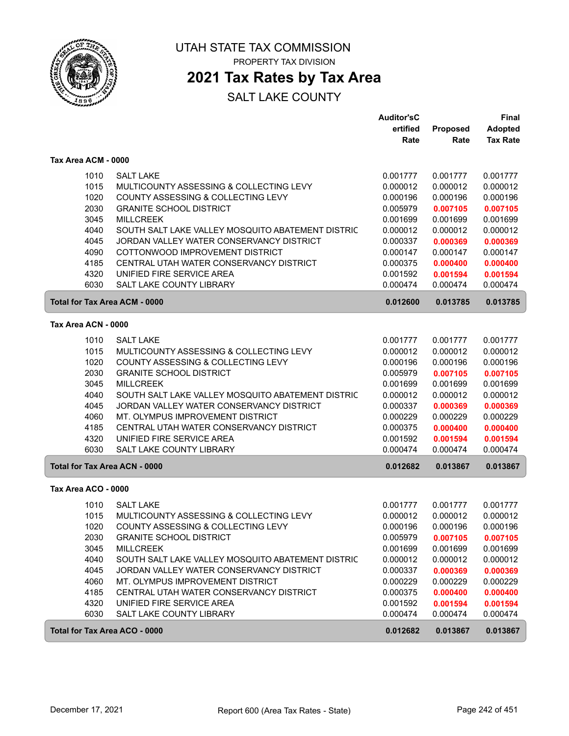

### **2021 Tax Rates by Tax Area**

|                     |                                                                      | <b>Auditor'sC</b><br>ertified | Proposed             | Final<br><b>Adopted</b> |
|---------------------|----------------------------------------------------------------------|-------------------------------|----------------------|-------------------------|
|                     |                                                                      | Rate                          | Rate                 | <b>Tax Rate</b>         |
| Tax Area ACM - 0000 |                                                                      |                               |                      |                         |
| 1010                | <b>SALT LAKE</b>                                                     | 0.001777                      | 0.001777             | 0.001777                |
| 1015                | MULTICOUNTY ASSESSING & COLLECTING LEVY                              | 0.000012                      | 0.000012             | 0.000012                |
| 1020                | COUNTY ASSESSING & COLLECTING LEVY                                   | 0.000196                      | 0.000196             | 0.000196                |
| 2030                | <b>GRANITE SCHOOL DISTRICT</b>                                       | 0.005979                      | 0.007105             | 0.007105                |
| 3045                | <b>MILLCREEK</b>                                                     | 0.001699                      | 0.001699             | 0.001699                |
| 4040                | SOUTH SALT LAKE VALLEY MOSQUITO ABATEMENT DISTRIC                    | 0.000012                      | 0.000012             | 0.000012                |
| 4045                | JORDAN VALLEY WATER CONSERVANCY DISTRICT                             | 0.000337                      | 0.000369             | 0.000369                |
| 4090                | COTTONWOOD IMPROVEMENT DISTRICT                                      | 0.000147                      | 0.000147             | 0.000147                |
| 4185                | CENTRAL UTAH WATER CONSERVANCY DISTRICT                              | 0.000375                      | 0.000400             | 0.000400                |
| 4320<br>6030        | UNIFIED FIRE SERVICE AREA<br><b>SALT LAKE COUNTY LIBRARY</b>         | 0.001592<br>0.000474          | 0.001594<br>0.000474 | 0.001594<br>0.000474    |
|                     |                                                                      |                               |                      |                         |
|                     | <b>Total for Tax Area ACM - 0000</b>                                 | 0.012600                      | 0.013785             | 0.013785                |
| Tax Area ACN - 0000 |                                                                      |                               |                      |                         |
| 1010                | <b>SALT LAKE</b>                                                     | 0.001777                      | 0.001777             | 0.001777                |
| 1015                | MULTICOUNTY ASSESSING & COLLECTING LEVY                              | 0.000012                      | 0.000012             | 0.000012                |
| 1020                | COUNTY ASSESSING & COLLECTING LEVY                                   | 0.000196                      | 0.000196             | 0.000196                |
| 2030                | <b>GRANITE SCHOOL DISTRICT</b>                                       | 0.005979                      | 0.007105             | 0.007105                |
| 3045                | <b>MILLCREEK</b>                                                     | 0.001699                      | 0.001699             | 0.001699                |
| 4040                | SOUTH SALT LAKE VALLEY MOSQUITO ABATEMENT DISTRIC                    | 0.000012                      | 0.000012             | 0.000012                |
| 4045                | JORDAN VALLEY WATER CONSERVANCY DISTRICT                             | 0.000337                      | 0.000369             | 0.000369                |
| 4060                | MT. OLYMPUS IMPROVEMENT DISTRICT                                     | 0.000229                      | 0.000229             | 0.000229                |
| 4185<br>4320        | CENTRAL UTAH WATER CONSERVANCY DISTRICT<br>UNIFIED FIRE SERVICE AREA | 0.000375                      | 0.000400             | 0.000400                |
| 6030                | <b>SALT LAKE COUNTY LIBRARY</b>                                      | 0.001592<br>0.000474          | 0.001594<br>0.000474 | 0.001594<br>0.000474    |
|                     | <b>Total for Tax Area ACN - 0000</b>                                 | 0.012682                      | 0.013867             | 0.013867                |
| Tax Area ACO - 0000 |                                                                      |                               |                      |                         |
| 1010                | <b>SALT LAKE</b>                                                     | 0.001777                      | 0.001777             | 0.001777                |
| 1015                | MULTICOUNTY ASSESSING & COLLECTING LEVY                              | 0.000012                      | 0.000012             | 0.000012                |
| 1020                | COUNTY ASSESSING & COLLECTING LEVY                                   | 0.000196                      | 0.000196             | 0.000196                |
| 2030                | <b>GRANITE SCHOOL DISTRICT</b>                                       | 0.005979                      | 0.007105             | 0.007105                |
| 3045                | <b>MILLCREEK</b>                                                     | 0.001699                      | 0.001699             | 0.001699                |
| 4040                | SOUTH SALT LAKE VALLEY MOSQUITO ABATEMENT DISTRIC                    | 0.000012                      | 0.000012             | 0.000012                |
| 4045                | JORDAN VALLEY WATER CONSERVANCY DISTRICT                             | 0.000337                      | 0.000369             | 0.000369                |
| 4060                | MT. OLYMPUS IMPROVEMENT DISTRICT                                     | 0.000229                      | 0.000229             | 0.000229                |
| 4185                | CENTRAL UTAH WATER CONSERVANCY DISTRICT                              | 0.000375                      | 0.000400             | 0.000400                |
| 4320                | UNIFIED FIRE SERVICE AREA                                            | 0.001592                      | 0.001594             | 0.001594                |
| 6030                | SALT LAKE COUNTY LIBRARY                                             | 0.000474                      | 0.000474             | 0.000474                |
|                     | Total for Tax Area ACO - 0000                                        | 0.012682                      | 0.013867             | 0.013867                |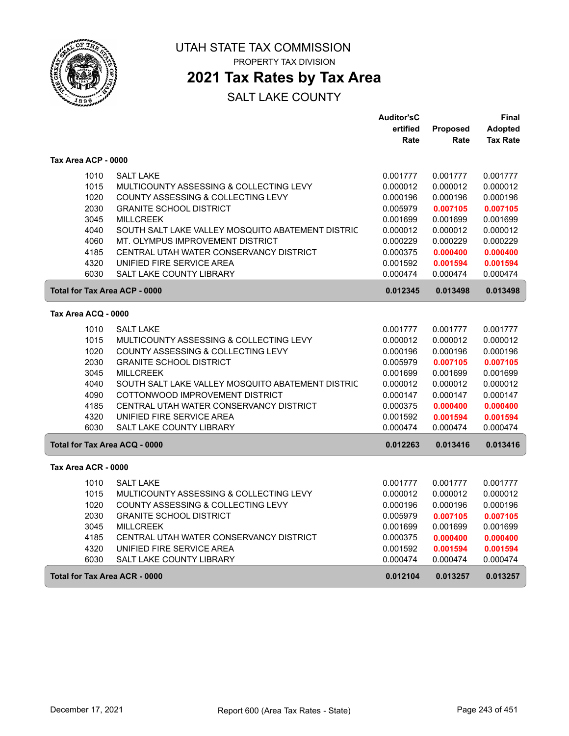

# **2021 Tax Rates by Tax Area**

|                                      |                                                   | <b>Auditor'sC</b> |          | Final           |
|--------------------------------------|---------------------------------------------------|-------------------|----------|-----------------|
|                                      |                                                   | ertified          | Proposed | <b>Adopted</b>  |
|                                      |                                                   | Rate              | Rate     | <b>Tax Rate</b> |
| Tax Area ACP - 0000                  |                                                   |                   |          |                 |
| 1010                                 | <b>SALT LAKE</b>                                  | 0.001777          | 0.001777 | 0.001777        |
| 1015                                 | MULTICOUNTY ASSESSING & COLLECTING LEVY           | 0.000012          | 0.000012 | 0.000012        |
| 1020                                 | COUNTY ASSESSING & COLLECTING LEVY                | 0.000196          | 0.000196 | 0.000196        |
| 2030                                 | <b>GRANITE SCHOOL DISTRICT</b>                    | 0.005979          | 0.007105 | 0.007105        |
| 3045                                 | <b>MILLCREEK</b>                                  | 0.001699          | 0.001699 | 0.001699        |
| 4040                                 | SOUTH SALT LAKE VALLEY MOSQUITO ABATEMENT DISTRIC | 0.000012          | 0.000012 | 0.000012        |
| 4060                                 | MT. OLYMPUS IMPROVEMENT DISTRICT                  | 0.000229          | 0.000229 | 0.000229        |
| 4185                                 | CENTRAL UTAH WATER CONSERVANCY DISTRICT           | 0.000375          | 0.000400 | 0.000400        |
| 4320                                 | UNIFIED FIRE SERVICE AREA                         | 0.001592          | 0.001594 | 0.001594        |
| 6030                                 | <b>SALT LAKE COUNTY LIBRARY</b>                   | 0.000474          | 0.000474 | 0.000474        |
| <b>Total for Tax Area ACP - 0000</b> |                                                   | 0.012345          | 0.013498 | 0.013498        |
| Tax Area ACQ - 0000                  |                                                   |                   |          |                 |
| 1010                                 | <b>SALT LAKE</b>                                  | 0.001777          | 0.001777 | 0.001777        |
| 1015                                 | MULTICOUNTY ASSESSING & COLLECTING LEVY           | 0.000012          | 0.000012 | 0.000012        |
| 1020                                 | COUNTY ASSESSING & COLLECTING LEVY                | 0.000196          | 0.000196 | 0.000196        |
| 2030                                 | <b>GRANITE SCHOOL DISTRICT</b>                    | 0.005979          | 0.007105 | 0.007105        |
| 3045                                 | <b>MILLCREEK</b>                                  | 0.001699          | 0.001699 | 0.001699        |
| 4040                                 | SOUTH SALT LAKE VALLEY MOSQUITO ABATEMENT DISTRIC | 0.000012          | 0.000012 | 0.000012        |
| 4090                                 | COTTONWOOD IMPROVEMENT DISTRICT                   | 0.000147          | 0.000147 | 0.000147        |
| 4185                                 | CENTRAL UTAH WATER CONSERVANCY DISTRICT           | 0.000375          | 0.000400 | 0.000400        |
| 4320                                 | UNIFIED FIRE SERVICE AREA                         | 0.001592          | 0.001594 | 0.001594        |
| 6030                                 | SALT LAKE COUNTY LIBRARY                          | 0.000474          | 0.000474 | 0.000474        |
| Total for Tax Area ACQ - 0000        |                                                   | 0.012263          | 0.013416 | 0.013416        |
| Tax Area ACR - 0000                  |                                                   |                   |          |                 |
| 1010                                 | <b>SALT LAKE</b>                                  | 0.001777          | 0.001777 | 0.001777        |
| 1015                                 | MULTICOUNTY ASSESSING & COLLECTING LEVY           | 0.000012          | 0.000012 | 0.000012        |
| 1020                                 | COUNTY ASSESSING & COLLECTING LEVY                | 0.000196          | 0.000196 | 0.000196        |
| 2030                                 | <b>GRANITE SCHOOL DISTRICT</b>                    | 0.005979          | 0.007105 | 0.007105        |
| 3045                                 | <b>MILLCREEK</b>                                  | 0.001699          | 0.001699 | 0.001699        |
| 4185                                 | CENTRAL UTAH WATER CONSERVANCY DISTRICT           | 0.000375          | 0.000400 | 0.000400        |
| 4320                                 | UNIFIED FIRE SERVICE AREA                         | 0.001592          | 0.001594 | 0.001594        |
| 6030                                 | <b>SALT LAKE COUNTY LIBRARY</b>                   | 0.000474          | 0.000474 | 0.000474        |
| Total for Tax Area ACR - 0000        |                                                   | 0.012104          | 0.013257 | 0.013257        |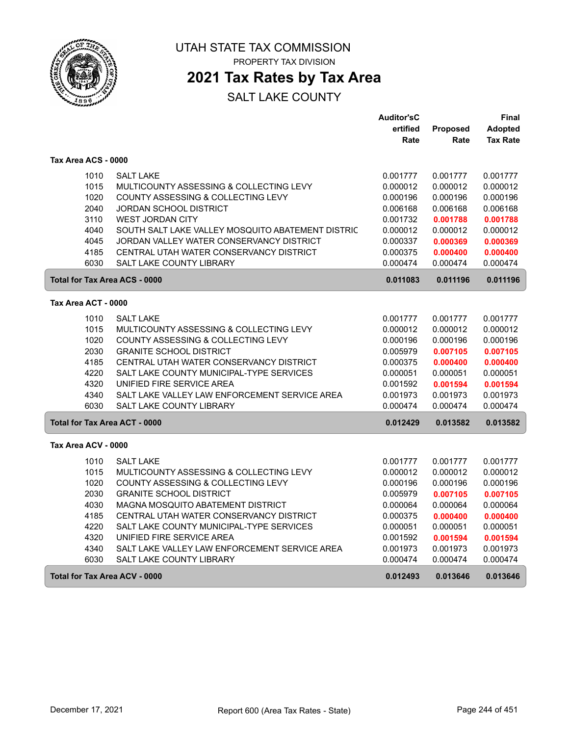

## **2021 Tax Rates by Tax Area**

|                                      |                                                                               | <b>Auditor'sC</b>    |                      | Final                |
|--------------------------------------|-------------------------------------------------------------------------------|----------------------|----------------------|----------------------|
|                                      |                                                                               | ertified             | Proposed             | <b>Adopted</b>       |
|                                      |                                                                               | Rate                 | Rate                 | <b>Tax Rate</b>      |
| Tax Area ACS - 0000                  |                                                                               |                      |                      |                      |
| 1010                                 | <b>SALT LAKE</b>                                                              | 0.001777             | 0.001777             | 0.001777             |
| 1015                                 | MULTICOUNTY ASSESSING & COLLECTING LEVY                                       | 0.000012             | 0.000012             | 0.000012             |
| 1020                                 | COUNTY ASSESSING & COLLECTING LEVY                                            | 0.000196             | 0.000196             | 0.000196             |
| 2040                                 | JORDAN SCHOOL DISTRICT                                                        | 0.006168             | 0.006168             | 0.006168             |
| 3110                                 | <b>WEST JORDAN CITY</b>                                                       | 0.001732             | 0.001788             | 0.001788             |
| 4040                                 | SOUTH SALT LAKE VALLEY MOSQUITO ABATEMENT DISTRIC                             | 0.000012             | 0.000012             | 0.000012             |
| 4045                                 | JORDAN VALLEY WATER CONSERVANCY DISTRICT                                      | 0.000337             | 0.000369             | 0.000369             |
| 4185                                 | CENTRAL UTAH WATER CONSERVANCY DISTRICT                                       | 0.000375             | 0.000400             | 0.000400             |
| 6030                                 | <b>SALT LAKE COUNTY LIBRARY</b>                                               | 0.000474             | 0.000474             | 0.000474             |
| <b>Total for Tax Area ACS - 0000</b> |                                                                               | 0.011083             | 0.011196             | 0.011196             |
| Tax Area ACT - 0000                  |                                                                               |                      |                      |                      |
|                                      |                                                                               |                      |                      |                      |
| 1010                                 | <b>SALT LAKE</b>                                                              | 0.001777             | 0.001777             | 0.001777             |
| 1015<br>1020                         | MULTICOUNTY ASSESSING & COLLECTING LEVY<br>COUNTY ASSESSING & COLLECTING LEVY | 0.000012             | 0.000012             | 0.000012             |
|                                      |                                                                               | 0.000196             | 0.000196             | 0.000196             |
| 2030<br>4185                         | <b>GRANITE SCHOOL DISTRICT</b><br>CENTRAL UTAH WATER CONSERVANCY DISTRICT     | 0.005979             | 0.007105             | 0.007105             |
| 4220                                 | SALT LAKE COUNTY MUNICIPAL-TYPE SERVICES                                      | 0.000375<br>0.000051 | 0.000400<br>0.000051 | 0.000400<br>0.000051 |
| 4320                                 | UNIFIED FIRE SERVICE AREA                                                     | 0.001592             | 0.001594             | 0.001594             |
| 4340                                 | SALT LAKE VALLEY LAW ENFORCEMENT SERVICE AREA                                 | 0.001973             | 0.001973             | 0.001973             |
| 6030                                 | <b>SALT LAKE COUNTY LIBRARY</b>                                               | 0.000474             | 0.000474             | 0.000474             |
| <b>Total for Tax Area ACT - 0000</b> |                                                                               | 0.012429             |                      | 0.013582             |
|                                      |                                                                               |                      | 0.013582             |                      |
| Tax Area ACV - 0000                  |                                                                               |                      |                      |                      |
| 1010                                 | <b>SALT LAKE</b>                                                              | 0.001777             | 0.001777             | 0.001777             |
| 1015                                 | MULTICOUNTY ASSESSING & COLLECTING LEVY                                       | 0.000012             | 0.000012             | 0.000012             |
| 1020                                 | COUNTY ASSESSING & COLLECTING LEVY                                            | 0.000196             | 0.000196             | 0.000196             |
| 2030                                 | <b>GRANITE SCHOOL DISTRICT</b>                                                | 0.005979             | 0.007105             | 0.007105             |
| 4030                                 | MAGNA MOSQUITO ABATEMENT DISTRICT                                             | 0.000064             | 0.000064             | 0.000064             |
| 4185                                 | CENTRAL UTAH WATER CONSERVANCY DISTRICT                                       | 0.000375             | 0.000400             | 0.000400             |
| 4220                                 | SALT LAKE COUNTY MUNICIPAL-TYPE SERVICES                                      | 0.000051             | 0.000051             | 0.000051             |
| 4320                                 | UNIFIED FIRE SERVICE AREA                                                     | 0.001592             | 0.001594             | 0.001594             |
| 4340                                 | SALT LAKE VALLEY LAW ENFORCEMENT SERVICE AREA                                 | 0.001973             | 0.001973             | 0.001973             |
| 6030                                 | SALT LAKE COUNTY LIBRARY                                                      | 0.000474             | 0.000474             | 0.000474             |
| Total for Tax Area ACV - 0000        |                                                                               | 0.012493             | 0.013646             | 0.013646             |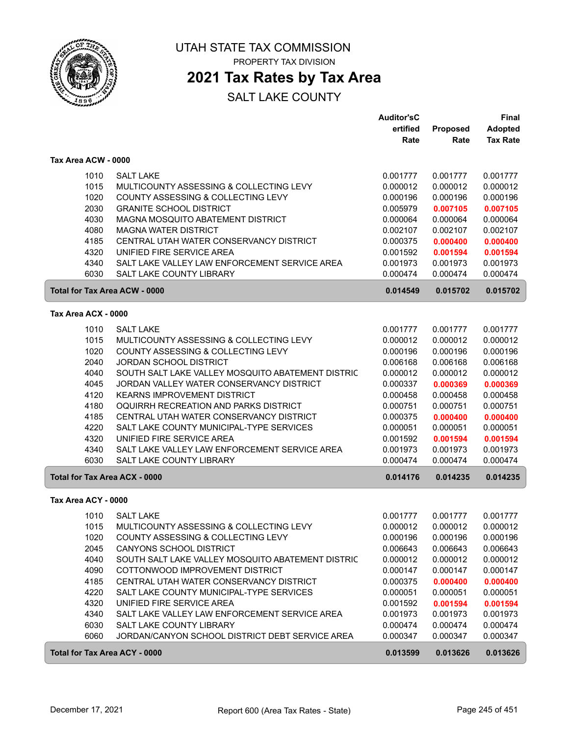

UTAH STATE TAX COMMISSION

PROPERTY TAX DIVISION

### **2021 Tax Rates by Tax Area**

|                                      |                                                   | <b>Auditor'sC</b> |                      | Final                |
|--------------------------------------|---------------------------------------------------|-------------------|----------------------|----------------------|
|                                      |                                                   | ertified          | <b>Proposed</b>      | <b>Adopted</b>       |
|                                      |                                                   | Rate              | Rate                 | <b>Tax Rate</b>      |
| Tax Area ACW - 0000                  |                                                   |                   |                      |                      |
|                                      |                                                   |                   |                      |                      |
| 1010                                 | <b>SALT LAKE</b>                                  | 0.001777          | 0.001777             | 0.001777             |
| 1015                                 | MULTICOUNTY ASSESSING & COLLECTING LEVY           | 0.000012          | 0.000012             | 0.000012             |
| 1020                                 | COUNTY ASSESSING & COLLECTING LEVY                | 0.000196          | 0.000196             | 0.000196             |
| 2030                                 | <b>GRANITE SCHOOL DISTRICT</b>                    | 0.005979          | 0.007105             | 0.007105             |
| 4030                                 | MAGNA MOSQUITO ABATEMENT DISTRICT                 | 0.000064          | 0.000064             | 0.000064             |
| 4080                                 | <b>MAGNA WATER DISTRICT</b>                       | 0.002107          | 0.002107             | 0.002107             |
| 4185                                 | CENTRAL UTAH WATER CONSERVANCY DISTRICT           | 0.000375          | 0.000400             | 0.000400             |
| 4320                                 | UNIFIED FIRE SERVICE AREA                         | 0.001592          | 0.001594             | 0.001594             |
| 4340                                 | SALT LAKE VALLEY LAW ENFORCEMENT SERVICE AREA     | 0.001973          | 0.001973             | 0.001973             |
| 6030                                 | SALT LAKE COUNTY LIBRARY                          | 0.000474          | 0.000474             | 0.000474             |
| <b>Total for Tax Area ACW - 0000</b> |                                                   | 0.014549          | 0.015702             | 0.015702             |
| Tax Area ACX - 0000                  |                                                   |                   |                      |                      |
|                                      |                                                   |                   |                      |                      |
| 1010                                 | <b>SALT LAKE</b>                                  | 0.001777          | 0.001777             | 0.001777             |
| 1015                                 | MULTICOUNTY ASSESSING & COLLECTING LEVY           | 0.000012          | 0.000012             | 0.000012             |
| 1020                                 | COUNTY ASSESSING & COLLECTING LEVY                | 0.000196          | 0.000196             | 0.000196             |
| 2040                                 | <b>JORDAN SCHOOL DISTRICT</b>                     | 0.006168          | 0.006168             | 0.006168             |
| 4040                                 | SOUTH SALT LAKE VALLEY MOSQUITO ABATEMENT DISTRIC | 0.000012          | 0.000012             | 0.000012             |
| 4045                                 | JORDAN VALLEY WATER CONSERVANCY DISTRICT          | 0.000337          | 0.000369             | 0.000369             |
| 4120                                 | KEARNS IMPROVEMENT DISTRICT                       | 0.000458          | 0.000458             | 0.000458             |
| 4180                                 | OQUIRRH RECREATION AND PARKS DISTRICT             | 0.000751          | 0.000751             | 0.000751             |
| 4185                                 | CENTRAL UTAH WATER CONSERVANCY DISTRICT           | 0.000375          | 0.000400             | 0.000400             |
| 4220                                 | SALT LAKE COUNTY MUNICIPAL-TYPE SERVICES          | 0.000051          | 0.000051             | 0.000051             |
| 4320                                 | UNIFIED FIRE SERVICE AREA                         | 0.001592          | 0.001594             | 0.001594             |
| 4340                                 | SALT LAKE VALLEY LAW ENFORCEMENT SERVICE AREA     | 0.001973          | 0.001973             | 0.001973             |
| 6030                                 | SALT LAKE COUNTY LIBRARY                          | 0.000474          | 0.000474             | 0.000474             |
| <b>Total for Tax Area ACX - 0000</b> |                                                   | 0.014176          | 0.014235             | 0.014235             |
| Tax Area ACY - 0000                  |                                                   |                   |                      |                      |
|                                      | <b>SALT LAKE</b>                                  |                   |                      |                      |
| 1010                                 | MULTICOUNTY ASSESSING & COLLECTING LEVY           | 0.001777          | 0.001777<br>0.000012 | 0.001777<br>0.000012 |
| 1015                                 |                                                   | 0.000012          |                      |                      |
| 1020                                 | COUNTY ASSESSING & COLLECTING LEVY                | 0.000196          | 0.000196             | 0.000196             |
| 2045                                 | CANYONS SCHOOL DISTRICT                           | 0.006643          | 0.006643             | 0.006643             |
| 4040                                 | SOUTH SALT LAKE VALLEY MOSQUITO ABATEMENT DISTRIC | 0.000012          | 0.000012             | 0.000012             |
| 4090                                 | COTTONWOOD IMPROVEMENT DISTRICT                   | 0.000147          | 0.000147             | 0.000147             |
| 4185                                 | CENTRAL UTAH WATER CONSERVANCY DISTRICT           | 0.000375          | 0.000400             | 0.000400             |
| 4220                                 | SALT LAKE COUNTY MUNICIPAL-TYPE SERVICES          | 0.000051          | 0.000051             | 0.000051             |
| 4320                                 | UNIFIED FIRE SERVICE AREA                         | 0.001592          | 0.001594             | 0.001594             |
| 4340                                 | SALT LAKE VALLEY LAW ENFORCEMENT SERVICE AREA     | 0.001973          | 0.001973             | 0.001973             |
| 6030                                 | SALT LAKE COUNTY LIBRARY                          | 0.000474          | 0.000474             | 0.000474             |
| 6060                                 | JORDAN/CANYON SCHOOL DISTRICT DEBT SERVICE AREA   | 0.000347          | 0.000347             | 0.000347             |
| <b>Total for Tax Area ACY - 0000</b> |                                                   | 0.013599          | 0.013626             | 0.013626             |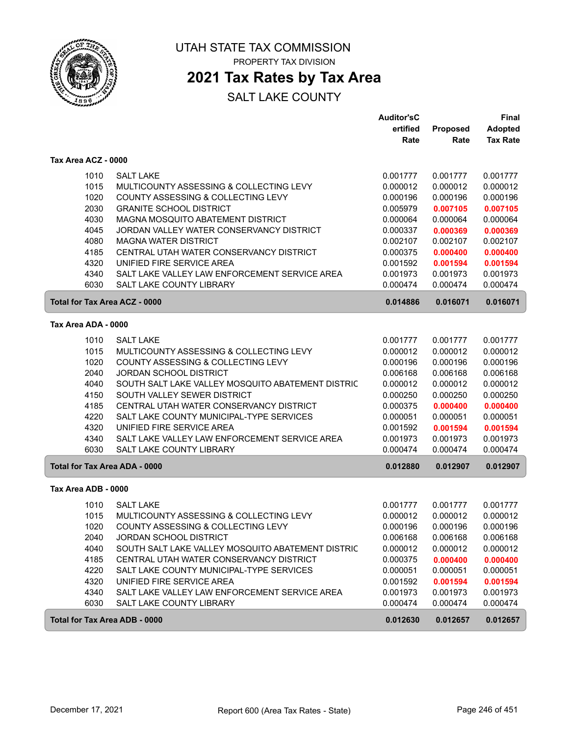

## **2021 Tax Rates by Tax Area**

|                                      |                                                   | <b>Auditor'sC</b> |          | Final           |
|--------------------------------------|---------------------------------------------------|-------------------|----------|-----------------|
|                                      |                                                   | ertified          | Proposed | <b>Adopted</b>  |
|                                      |                                                   | Rate              | Rate     | <b>Tax Rate</b> |
| Tax Area ACZ - 0000                  |                                                   |                   |          |                 |
| 1010                                 | <b>SALT LAKE</b>                                  | 0.001777          | 0.001777 | 0.001777        |
| 1015                                 | MULTICOUNTY ASSESSING & COLLECTING LEVY           | 0.000012          | 0.000012 | 0.000012        |
| 1020                                 | COUNTY ASSESSING & COLLECTING LEVY                | 0.000196          | 0.000196 | 0.000196        |
| 2030                                 | <b>GRANITE SCHOOL DISTRICT</b>                    | 0.005979          | 0.007105 | 0.007105        |
| 4030                                 | MAGNA MOSQUITO ABATEMENT DISTRICT                 | 0.000064          | 0.000064 | 0.000064        |
| 4045                                 | JORDAN VALLEY WATER CONSERVANCY DISTRICT          | 0.000337          | 0.000369 | 0.000369        |
| 4080                                 | <b>MAGNA WATER DISTRICT</b>                       | 0.002107          | 0.002107 | 0.002107        |
| 4185                                 | CENTRAL UTAH WATER CONSERVANCY DISTRICT           | 0.000375          | 0.000400 | 0.000400        |
| 4320                                 | UNIFIED FIRE SERVICE AREA                         | 0.001592          | 0.001594 | 0.001594        |
| 4340                                 | SALT LAKE VALLEY LAW ENFORCEMENT SERVICE AREA     | 0.001973          | 0.001973 | 0.001973        |
| 6030                                 | <b>SALT LAKE COUNTY LIBRARY</b>                   | 0.000474          | 0.000474 | 0.000474        |
| <b>Total for Tax Area ACZ - 0000</b> |                                                   | 0.014886          | 0.016071 | 0.016071        |
| Tax Area ADA - 0000                  |                                                   |                   |          |                 |
| 1010                                 | <b>SALT LAKE</b>                                  | 0.001777          | 0.001777 | 0.001777        |
| 1015                                 | MULTICOUNTY ASSESSING & COLLECTING LEVY           | 0.000012          | 0.000012 | 0.000012        |
| 1020                                 | COUNTY ASSESSING & COLLECTING LEVY                | 0.000196          | 0.000196 | 0.000196        |
| 2040                                 | <b>JORDAN SCHOOL DISTRICT</b>                     | 0.006168          | 0.006168 | 0.006168        |
| 4040                                 | SOUTH SALT LAKE VALLEY MOSQUITO ABATEMENT DISTRIC | 0.000012          | 0.000012 | 0.000012        |
| 4150                                 | SOUTH VALLEY SEWER DISTRICT                       | 0.000250          | 0.000250 | 0.000250        |
| 4185                                 | CENTRAL UTAH WATER CONSERVANCY DISTRICT           | 0.000375          | 0.000400 | 0.000400        |
| 4220                                 | SALT LAKE COUNTY MUNICIPAL-TYPE SERVICES          | 0.000051          | 0.000051 | 0.000051        |
| 4320                                 | UNIFIED FIRE SERVICE AREA                         | 0.001592          | 0.001594 | 0.001594        |
| 4340                                 | SALT LAKE VALLEY LAW ENFORCEMENT SERVICE AREA     | 0.001973          | 0.001973 | 0.001973        |
| 6030                                 | <b>SALT LAKE COUNTY LIBRARY</b>                   | 0.000474          | 0.000474 | 0.000474        |
| <b>Total for Tax Area ADA - 0000</b> |                                                   | 0.012880          | 0.012907 | 0.012907        |
| Tax Area ADB - 0000                  |                                                   |                   |          |                 |
| 1010                                 | <b>SALT LAKE</b>                                  | 0.001777          | 0.001777 | 0.001777        |
| 1015                                 | MULTICOUNTY ASSESSING & COLLECTING LEVY           | 0.000012          | 0.000012 | 0.000012        |
| 1020                                 | COUNTY ASSESSING & COLLECTING LEVY                | 0.000196          | 0.000196 | 0.000196        |
| 2040                                 | <b>JORDAN SCHOOL DISTRICT</b>                     | 0.006168          | 0.006168 | 0.006168        |
| 4040                                 | SOUTH SALT LAKE VALLEY MOSQUITO ABATEMENT DISTRIC | 0.000012          | 0.000012 | 0.000012        |
| 4185                                 | CENTRAL UTAH WATER CONSERVANCY DISTRICT           | 0.000375          | 0.000400 | 0.000400        |
| 4220                                 | SALT LAKE COUNTY MUNICIPAL-TYPE SERVICES          | 0.000051          | 0.000051 | 0.000051        |
| 4320                                 | UNIFIED FIRE SERVICE AREA                         | 0.001592          | 0.001594 | 0.001594        |
| 4340                                 | SALT LAKE VALLEY LAW ENFORCEMENT SERVICE AREA     | 0.001973          | 0.001973 | 0.001973        |
| 6030                                 | SALT LAKE COUNTY LIBRARY                          | 0.000474          | 0.000474 | 0.000474        |
| Total for Tax Area ADB - 0000        |                                                   | 0.012630          | 0.012657 | 0.012657        |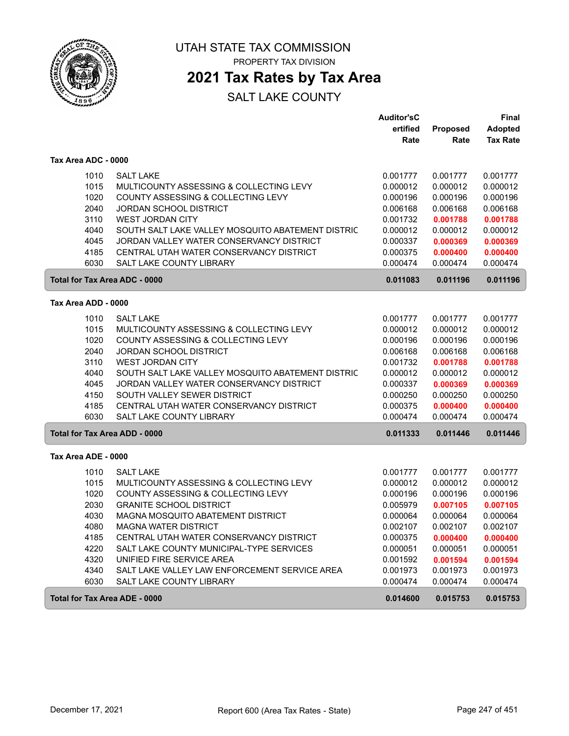

## **2021 Tax Rates by Tax Area**

|                                      |                                                   | <b>Auditor'sC</b> |          | Final           |
|--------------------------------------|---------------------------------------------------|-------------------|----------|-----------------|
|                                      |                                                   | ertified          | Proposed | <b>Adopted</b>  |
|                                      |                                                   | Rate              | Rate     | <b>Tax Rate</b> |
| Tax Area ADC - 0000                  |                                                   |                   |          |                 |
| 1010                                 | <b>SALT LAKE</b>                                  | 0.001777          | 0.001777 | 0.001777        |
| 1015                                 | MULTICOUNTY ASSESSING & COLLECTING LEVY           | 0.000012          | 0.000012 | 0.000012        |
| 1020                                 | COUNTY ASSESSING & COLLECTING LEVY                | 0.000196          | 0.000196 | 0.000196        |
| 2040                                 | <b>JORDAN SCHOOL DISTRICT</b>                     | 0.006168          | 0.006168 | 0.006168        |
| 3110                                 | <b>WEST JORDAN CITY</b>                           | 0.001732          | 0.001788 | 0.001788        |
| 4040                                 | SOUTH SALT LAKE VALLEY MOSQUITO ABATEMENT DISTRIC | 0.000012          | 0.000012 | 0.000012        |
| 4045                                 | JORDAN VALLEY WATER CONSERVANCY DISTRICT          | 0.000337          | 0.000369 | 0.000369        |
| 4185                                 | CENTRAL UTAH WATER CONSERVANCY DISTRICT           | 0.000375          | 0.000400 | 0.000400        |
| 6030                                 | SALT LAKE COUNTY LIBRARY                          | 0.000474          | 0.000474 | 0.000474        |
| <b>Total for Tax Area ADC - 0000</b> |                                                   | 0.011083          | 0.011196 | 0.011196        |
| Tax Area ADD - 0000                  |                                                   |                   |          |                 |
| 1010                                 | <b>SALT LAKE</b>                                  | 0.001777          | 0.001777 | 0.001777        |
| 1015                                 | MULTICOUNTY ASSESSING & COLLECTING LEVY           | 0.000012          | 0.000012 | 0.000012        |
| 1020                                 | COUNTY ASSESSING & COLLECTING LEVY                | 0.000196          | 0.000196 | 0.000196        |
| 2040                                 | <b>JORDAN SCHOOL DISTRICT</b>                     | 0.006168          | 0.006168 | 0.006168        |
| 3110                                 | <b>WEST JORDAN CITY</b>                           | 0.001732          | 0.001788 | 0.001788        |
| 4040                                 | SOUTH SALT LAKE VALLEY MOSQUITO ABATEMENT DISTRIC | 0.000012          | 0.000012 | 0.000012        |
| 4045                                 | JORDAN VALLEY WATER CONSERVANCY DISTRICT          | 0.000337          | 0.000369 | 0.000369        |
| 4150                                 | SOUTH VALLEY SEWER DISTRICT                       | 0.000250          | 0.000250 | 0.000250        |
| 4185                                 | CENTRAL UTAH WATER CONSERVANCY DISTRICT           | 0.000375          | 0.000400 | 0.000400        |
| 6030                                 | <b>SALT LAKE COUNTY LIBRARY</b>                   | 0.000474          | 0.000474 | 0.000474        |
| Total for Tax Area ADD - 0000        |                                                   | 0.011333          | 0.011446 | 0.011446        |
| Tax Area ADE - 0000                  |                                                   |                   |          |                 |
| 1010                                 | <b>SALT LAKE</b>                                  | 0.001777          | 0.001777 | 0.001777        |
| 1015                                 | MULTICOUNTY ASSESSING & COLLECTING LEVY           | 0.000012          | 0.000012 | 0.000012        |
| 1020                                 | COUNTY ASSESSING & COLLECTING LEVY                | 0.000196          | 0.000196 | 0.000196        |
| 2030                                 | <b>GRANITE SCHOOL DISTRICT</b>                    | 0.005979          | 0.007105 | 0.007105        |
| 4030                                 | MAGNA MOSQUITO ABATEMENT DISTRICT                 | 0.000064          | 0.000064 | 0.000064        |
| 4080                                 | <b>MAGNA WATER DISTRICT</b>                       | 0.002107          | 0.002107 | 0.002107        |
| 4185                                 | CENTRAL UTAH WATER CONSERVANCY DISTRICT           | 0.000375          | 0.000400 | 0.000400        |
| 4220                                 | SALT LAKE COUNTY MUNICIPAL-TYPE SERVICES          | 0.000051          | 0.000051 | 0.000051        |
| 4320                                 | UNIFIED FIRE SERVICE AREA                         | 0.001592          | 0.001594 | 0.001594        |
| 4340                                 | SALT LAKE VALLEY LAW ENFORCEMENT SERVICE AREA     | 0.001973          | 0.001973 | 0.001973        |
| 6030                                 | SALT LAKE COUNTY LIBRARY                          | 0.000474          | 0.000474 | 0.000474        |
| <b>Total for Tax Area ADE - 0000</b> |                                                   | 0.014600          | 0.015753 | 0.015753        |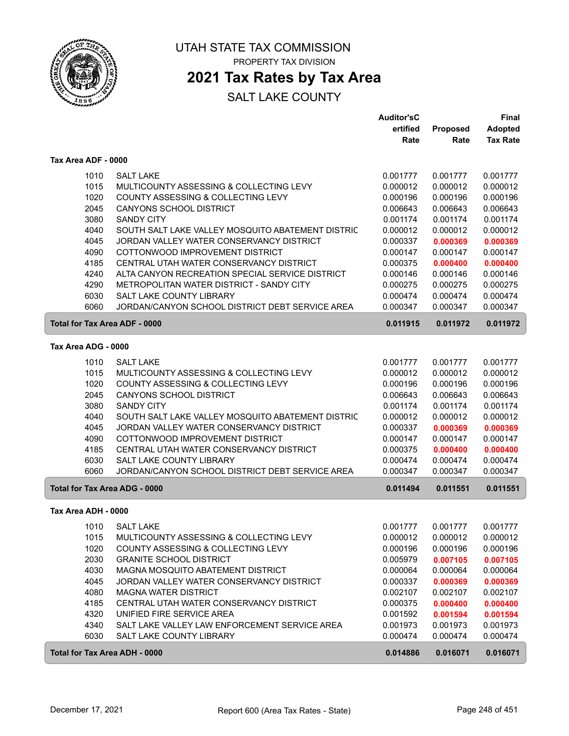

### **2021 Tax Rates by Tax Area**

|                                      |                                                   | <b>Auditor'sC</b> |          | Final           |
|--------------------------------------|---------------------------------------------------|-------------------|----------|-----------------|
|                                      |                                                   | ertified          | Proposed | <b>Adopted</b>  |
|                                      |                                                   | Rate              | Rate     | <b>Tax Rate</b> |
| Tax Area ADF - 0000                  |                                                   |                   |          |                 |
| 1010                                 | <b>SALT LAKE</b>                                  | 0.001777          | 0.001777 | 0.001777        |
| 1015                                 | MULTICOUNTY ASSESSING & COLLECTING LEVY           | 0.000012          | 0.000012 | 0.000012        |
| 1020                                 | COUNTY ASSESSING & COLLECTING LEVY                | 0.000196          | 0.000196 | 0.000196        |
| 2045                                 | <b>CANYONS SCHOOL DISTRICT</b>                    | 0.006643          | 0.006643 | 0.006643        |
| 3080                                 | <b>SANDY CITY</b>                                 | 0.001174          | 0.001174 | 0.001174        |
| 4040                                 | SOUTH SALT LAKE VALLEY MOSQUITO ABATEMENT DISTRIC | 0.000012          | 0.000012 | 0.000012        |
| 4045                                 | JORDAN VALLEY WATER CONSERVANCY DISTRICT          | 0.000337          | 0.000369 | 0.000369        |
| 4090                                 | COTTONWOOD IMPROVEMENT DISTRICT                   | 0.000147          | 0.000147 | 0.000147        |
| 4185                                 | CENTRAL UTAH WATER CONSERVANCY DISTRICT           | 0.000375          | 0.000400 | 0.000400        |
| 4240                                 | ALTA CANYON RECREATION SPECIAL SERVICE DISTRICT   | 0.000146          | 0.000146 | 0.000146        |
| 4290                                 | METROPOLITAN WATER DISTRICT - SANDY CITY          | 0.000275          | 0.000275 | 0.000275        |
| 6030                                 | SALT LAKE COUNTY LIBRARY                          | 0.000474          | 0.000474 | 0.000474        |
| 6060                                 | JORDAN/CANYON SCHOOL DISTRICT DEBT SERVICE AREA   | 0.000347          | 0.000347 | 0.000347        |
| <b>Total for Tax Area ADF - 0000</b> |                                                   | 0.011915          | 0.011972 | 0.011972        |
| Tax Area ADG - 0000                  |                                                   |                   |          |                 |
| 1010                                 | <b>SALT LAKE</b>                                  | 0.001777          | 0.001777 | 0.001777        |
| 1015                                 | MULTICOUNTY ASSESSING & COLLECTING LEVY           | 0.000012          | 0.000012 | 0.000012        |
| 1020                                 | COUNTY ASSESSING & COLLECTING LEVY                | 0.000196          | 0.000196 | 0.000196        |
| 2045                                 | <b>CANYONS SCHOOL DISTRICT</b>                    | 0.006643          | 0.006643 | 0.006643        |
| 3080                                 | <b>SANDY CITY</b>                                 | 0.001174          | 0.001174 | 0.001174        |
| 4040                                 | SOUTH SALT LAKE VALLEY MOSQUITO ABATEMENT DISTRIC | 0.000012          | 0.000012 | 0.000012        |
| 4045                                 | JORDAN VALLEY WATER CONSERVANCY DISTRICT          | 0.000337          | 0.000369 | 0.000369        |
| 4090                                 | COTTONWOOD IMPROVEMENT DISTRICT                   | 0.000147          | 0.000147 | 0.000147        |
| 4185                                 | CENTRAL UTAH WATER CONSERVANCY DISTRICT           | 0.000375          | 0.000400 | 0.000400        |
| 6030                                 | SALT LAKE COUNTY LIBRARY                          | 0.000474          | 0.000474 | 0.000474        |
| 6060                                 | JORDAN/CANYON SCHOOL DISTRICT DEBT SERVICE AREA   | 0.000347          | 0.000347 | 0.000347        |
| Total for Tax Area ADG - 0000        |                                                   | 0.011494          | 0.011551 | 0.011551        |
| Tax Area ADH - 0000                  |                                                   |                   |          |                 |
| 1010                                 | <b>SALT LAKE</b>                                  | 0.001777          | 0.001777 | 0.001777        |
| 1015                                 | MULTICOUNTY ASSESSING & COLLECTING LEVY           | 0.000012          | 0.000012 | 0.000012        |
| 1020                                 | COUNTY ASSESSING & COLLECTING LEVY                | 0.000196          | 0.000196 | 0.000196        |
| 2030                                 | <b>GRANITE SCHOOL DISTRICT</b>                    | 0.005979          | 0.007105 | 0.007105        |
| 4030                                 | MAGNA MOSQUITO ABATEMENT DISTRICT                 | 0.000064          | 0.000064 | 0.000064        |
| 4045                                 | JORDAN VALLEY WATER CONSERVANCY DISTRICT          | 0.000337          | 0.000369 | 0.000369        |
| 4080                                 | <b>MAGNA WATER DISTRICT</b>                       | 0.002107          | 0.002107 | 0.002107        |
| 4185                                 | CENTRAL UTAH WATER CONSERVANCY DISTRICT           | 0.000375          | 0.000400 | 0.000400        |
| 4320                                 | UNIFIED FIRE SERVICE AREA                         | 0.001592          | 0.001594 | 0.001594        |
| 4340                                 | SALT LAKE VALLEY LAW ENFORCEMENT SERVICE AREA     | 0.001973          | 0.001973 | 0.001973        |
| 6030                                 | SALT LAKE COUNTY LIBRARY                          | 0.000474          | 0.000474 | 0.000474        |
| Total for Tax Area ADH - 0000        |                                                   | 0.014886          | 0.016071 | 0.016071        |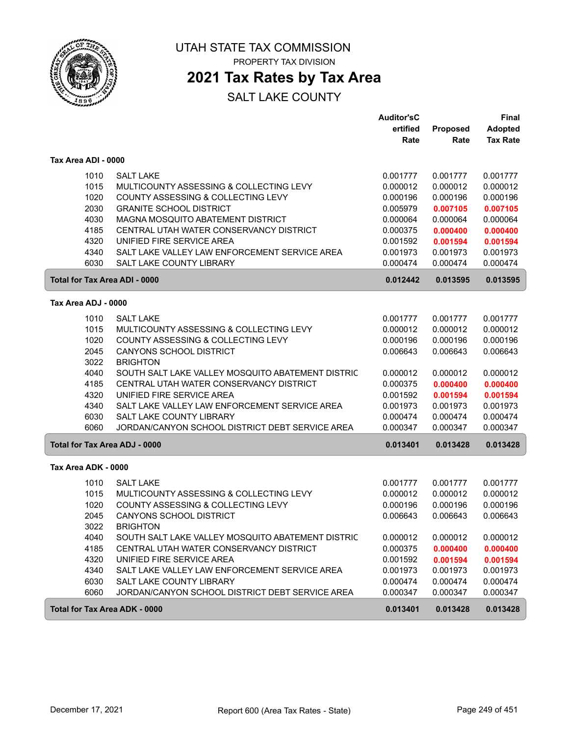

## UTAH STATE TAX COMMISSION

PROPERTY TAX DIVISION

### **2021 Tax Rates by Tax Area**

|                                      |                                                   | <b>Auditor'sC</b> |          | <b>Final</b>    |
|--------------------------------------|---------------------------------------------------|-------------------|----------|-----------------|
|                                      |                                                   | ertified          | Proposed | <b>Adopted</b>  |
|                                      |                                                   | Rate              | Rate     | <b>Tax Rate</b> |
| Tax Area ADI - 0000                  |                                                   |                   |          |                 |
| 1010                                 | <b>SALT LAKE</b>                                  | 0.001777          | 0.001777 | 0.001777        |
| 1015                                 | MULTICOUNTY ASSESSING & COLLECTING LEVY           | 0.000012          | 0.000012 | 0.000012        |
| 1020                                 | COUNTY ASSESSING & COLLECTING LEVY                | 0.000196          | 0.000196 | 0.000196        |
| 2030                                 | <b>GRANITE SCHOOL DISTRICT</b>                    | 0.005979          | 0.007105 | 0.007105        |
| 4030                                 | MAGNA MOSQUITO ABATEMENT DISTRICT                 | 0.000064          | 0.000064 | 0.000064        |
| 4185                                 | CENTRAL UTAH WATER CONSERVANCY DISTRICT           | 0.000375          | 0.000400 | 0.000400        |
| 4320                                 | UNIFIED FIRE SERVICE AREA                         | 0.001592          | 0.001594 | 0.001594        |
| 4340                                 | SALT LAKE VALLEY LAW ENFORCEMENT SERVICE AREA     | 0.001973          | 0.001973 | 0.001973        |
| 6030                                 | <b>SALT LAKE COUNTY LIBRARY</b>                   | 0.000474          | 0.000474 | 0.000474        |
| <b>Total for Tax Area ADI - 0000</b> |                                                   | 0.012442          | 0.013595 | 0.013595        |
| Tax Area ADJ - 0000                  |                                                   |                   |          |                 |
| 1010                                 | <b>SALT LAKE</b>                                  | 0.001777          | 0.001777 | 0.001777        |
| 1015                                 | MULTICOUNTY ASSESSING & COLLECTING LEVY           | 0.000012          | 0.000012 | 0.000012        |
| 1020                                 | COUNTY ASSESSING & COLLECTING LEVY                | 0.000196          | 0.000196 | 0.000196        |
| 2045                                 | <b>CANYONS SCHOOL DISTRICT</b>                    | 0.006643          | 0.006643 | 0.006643        |
| 3022                                 | <b>BRIGHTON</b>                                   |                   |          |                 |
| 4040                                 | SOUTH SALT LAKE VALLEY MOSQUITO ABATEMENT DISTRIC | 0.000012          | 0.000012 | 0.000012        |
| 4185                                 | CENTRAL UTAH WATER CONSERVANCY DISTRICT           | 0.000375          | 0.000400 | 0.000400        |
| 4320                                 | UNIFIED FIRE SERVICE AREA                         | 0.001592          | 0.001594 | 0.001594        |
| 4340                                 | SALT LAKE VALLEY LAW ENFORCEMENT SERVICE AREA     | 0.001973          | 0.001973 | 0.001973        |
| 6030                                 | <b>SALT LAKE COUNTY LIBRARY</b>                   | 0.000474          | 0.000474 | 0.000474        |
| 6060                                 | JORDAN/CANYON SCHOOL DISTRICT DEBT SERVICE AREA   | 0.000347          | 0.000347 | 0.000347        |
| <b>Total for Tax Area ADJ - 0000</b> |                                                   | 0.013401          | 0.013428 | 0.013428        |
|                                      |                                                   |                   |          |                 |
| Tax Area ADK - 0000                  |                                                   |                   |          |                 |
| 1010                                 | <b>SALT LAKE</b>                                  | 0.001777          | 0.001777 | 0.001777        |
| 1015                                 | MULTICOUNTY ASSESSING & COLLECTING LEVY           | 0.000012          | 0.000012 | 0.000012        |
| 1020                                 | COUNTY ASSESSING & COLLECTING LEVY                | 0.000196          | 0.000196 | 0.000196        |
| 2045                                 | CANYONS SCHOOL DISTRICT                           | 0.006643          | 0.006643 | 0.006643        |
| 3022                                 | <b>BRIGHTON</b>                                   |                   |          |                 |
| 4040                                 | SOUTH SALT LAKE VALLEY MOSQUITO ABATEMENT DISTRIC | 0.000012          | 0.000012 | 0.000012        |
| 4185                                 | CENTRAL UTAH WATER CONSERVANCY DISTRICT           | 0.000375          | 0.000400 | 0.000400        |
| 4320                                 | UNIFIED FIRE SERVICE AREA                         | 0.001592          | 0.001594 | 0.001594        |
| 4340                                 | SALT LAKE VALLEY LAW ENFORCEMENT SERVICE AREA     | 0.001973          | 0.001973 | 0.001973        |
| 6030                                 | SALT LAKE COUNTY LIBRARY                          | 0.000474          | 0.000474 | 0.000474        |
| 6060                                 | JORDAN/CANYON SCHOOL DISTRICT DEBT SERVICE AREA   | 0.000347          | 0.000347 | 0.000347        |
| Total for Tax Area ADK - 0000        |                                                   | 0.013401          | 0.013428 | 0.013428        |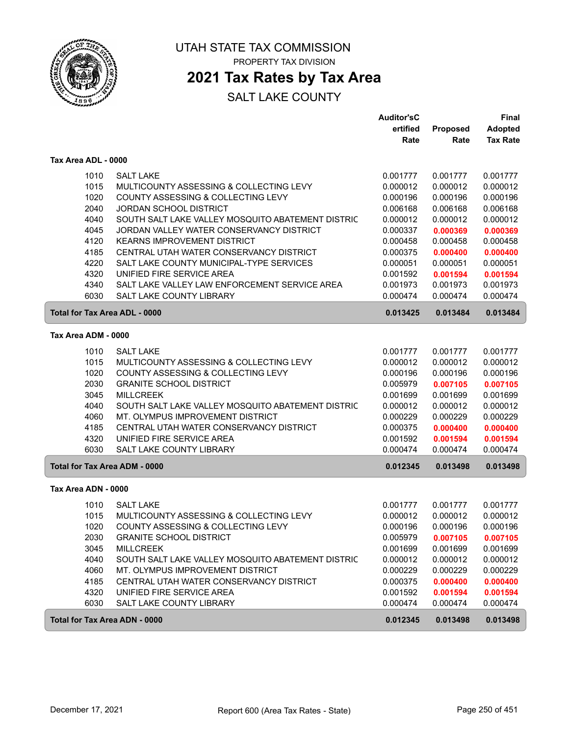

### **2021 Tax Rates by Tax Area**

|                                      |                                                   | <b>Auditor'sC</b><br>ertified | Proposed | <b>Final</b><br><b>Adopted</b> |
|--------------------------------------|---------------------------------------------------|-------------------------------|----------|--------------------------------|
|                                      |                                                   | Rate                          | Rate     | <b>Tax Rate</b>                |
| Tax Area ADL - 0000                  |                                                   |                               |          |                                |
| 1010                                 | <b>SALT LAKE</b>                                  | 0.001777                      | 0.001777 | 0.001777                       |
| 1015                                 | MULTICOUNTY ASSESSING & COLLECTING LEVY           | 0.000012                      | 0.000012 | 0.000012                       |
| 1020                                 | COUNTY ASSESSING & COLLECTING LEVY                | 0.000196                      | 0.000196 | 0.000196                       |
| 2040                                 | <b>JORDAN SCHOOL DISTRICT</b>                     | 0.006168                      | 0.006168 | 0.006168                       |
| 4040                                 | SOUTH SALT LAKE VALLEY MOSQUITO ABATEMENT DISTRIC | 0.000012                      | 0.000012 | 0.000012                       |
| 4045                                 | JORDAN VALLEY WATER CONSERVANCY DISTRICT          | 0.000337                      | 0.000369 | 0.000369                       |
| 4120                                 | <b>KEARNS IMPROVEMENT DISTRICT</b>                | 0.000458                      | 0.000458 | 0.000458                       |
| 4185                                 | CENTRAL UTAH WATER CONSERVANCY DISTRICT           | 0.000375                      | 0.000400 | 0.000400                       |
| 4220                                 | SALT LAKE COUNTY MUNICIPAL-TYPE SERVICES          | 0.000051                      | 0.000051 | 0.000051                       |
| 4320                                 | UNIFIED FIRE SERVICE AREA                         | 0.001592                      | 0.001594 | 0.001594                       |
| 4340                                 | SALT LAKE VALLEY LAW ENFORCEMENT SERVICE AREA     | 0.001973                      | 0.001973 | 0.001973                       |
| 6030                                 | <b>SALT LAKE COUNTY LIBRARY</b>                   | 0.000474                      | 0.000474 | 0.000474                       |
| Total for Tax Area ADL - 0000        |                                                   | 0.013425                      | 0.013484 | 0.013484                       |
| Tax Area ADM - 0000                  |                                                   |                               |          |                                |
| 1010                                 | <b>SALT LAKE</b>                                  | 0.001777                      | 0.001777 | 0.001777                       |
| 1015                                 | MULTICOUNTY ASSESSING & COLLECTING LEVY           | 0.000012                      | 0.000012 | 0.000012                       |
| 1020                                 | COUNTY ASSESSING & COLLECTING LEVY                | 0.000196                      | 0.000196 | 0.000196                       |
| 2030                                 | <b>GRANITE SCHOOL DISTRICT</b>                    | 0.005979                      | 0.007105 | 0.007105                       |
| 3045                                 | <b>MILLCREEK</b>                                  | 0.001699                      | 0.001699 | 0.001699                       |
| 4040                                 | SOUTH SALT LAKE VALLEY MOSQUITO ABATEMENT DISTRIC | 0.000012                      | 0.000012 | 0.000012                       |
| 4060                                 | MT. OLYMPUS IMPROVEMENT DISTRICT                  | 0.000229                      | 0.000229 | 0.000229                       |
| 4185                                 | CENTRAL UTAH WATER CONSERVANCY DISTRICT           | 0.000375                      | 0.000400 | 0.000400                       |
| 4320                                 | UNIFIED FIRE SERVICE AREA                         | 0.001592                      | 0.001594 | 0.001594                       |
| 6030                                 | SALT LAKE COUNTY LIBRARY                          | 0.000474                      | 0.000474 | 0.000474                       |
| <b>Total for Tax Area ADM - 0000</b> |                                                   | 0.012345                      | 0.013498 | 0.013498                       |
| Tax Area ADN - 0000                  |                                                   |                               |          |                                |
| 1010                                 | <b>SALT LAKE</b>                                  | 0.001777                      | 0.001777 | 0.001777                       |
| 1015                                 | MULTICOUNTY ASSESSING & COLLECTING LEVY           | 0.000012                      | 0.000012 | 0.000012                       |
| 1020                                 | COUNTY ASSESSING & COLLECTING LEVY                | 0.000196                      | 0.000196 | 0.000196                       |
| 2030                                 | <b>GRANITE SCHOOL DISTRICT</b>                    | 0.005979                      | 0.007105 | 0.007105                       |
| 3045                                 | <b>MILLCREEK</b>                                  | 0.001699                      | 0.001699 | 0.001699                       |
| 4040                                 | SOUTH SALT LAKE VALLEY MOSQUITO ABATEMENT DISTRIC | 0.000012                      | 0.000012 | 0.000012                       |
| 4060                                 | MT. OLYMPUS IMPROVEMENT DISTRICT                  | 0.000229                      | 0.000229 | 0.000229                       |
| 4185                                 | CENTRAL UTAH WATER CONSERVANCY DISTRICT           | 0.000375                      | 0.000400 | 0.000400                       |
| 4320                                 | UNIFIED FIRE SERVICE AREA                         | 0.001592                      | 0.001594 | 0.001594                       |
| 6030                                 | SALT LAKE COUNTY LIBRARY                          | 0.000474                      | 0.000474 | 0.000474                       |
| Total for Tax Area ADN - 0000        |                                                   | 0.012345                      | 0.013498 | 0.013498                       |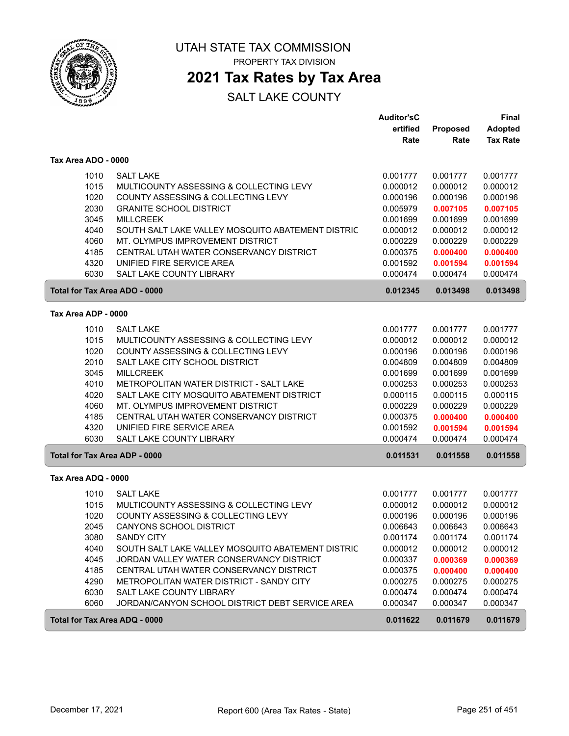

**2021 Tax Rates by Tax Area**

|                                      |                                                   | <b>Auditor'sC</b><br>ertified | Proposed | Final<br><b>Adopted</b> |
|--------------------------------------|---------------------------------------------------|-------------------------------|----------|-------------------------|
|                                      |                                                   | Rate                          | Rate     | <b>Tax Rate</b>         |
| Tax Area ADO - 0000                  |                                                   |                               |          |                         |
| 1010                                 | <b>SALT LAKE</b>                                  | 0.001777                      | 0.001777 | 0.001777                |
| 1015                                 | MULTICOUNTY ASSESSING & COLLECTING LEVY           | 0.000012                      | 0.000012 | 0.000012                |
| 1020                                 | COUNTY ASSESSING & COLLECTING LEVY                | 0.000196                      | 0.000196 | 0.000196                |
| 2030                                 | <b>GRANITE SCHOOL DISTRICT</b>                    | 0.005979                      | 0.007105 | 0.007105                |
| 3045                                 | <b>MILLCREEK</b>                                  | 0.001699                      | 0.001699 | 0.001699                |
| 4040                                 | SOUTH SALT LAKE VALLEY MOSQUITO ABATEMENT DISTRIC | 0.000012                      | 0.000012 | 0.000012                |
| 4060                                 | MT. OLYMPUS IMPROVEMENT DISTRICT                  | 0.000229                      | 0.000229 | 0.000229                |
| 4185                                 | CENTRAL UTAH WATER CONSERVANCY DISTRICT           | 0.000375                      | 0.000400 | 0.000400                |
| 4320                                 | UNIFIED FIRE SERVICE AREA                         | 0.001592                      | 0.001594 | 0.001594                |
| 6030                                 | SALT LAKE COUNTY LIBRARY                          | 0.000474                      | 0.000474 | 0.000474                |
| Total for Tax Area ADO - 0000        |                                                   | 0.012345                      | 0.013498 | 0.013498                |
| Tax Area ADP - 0000                  |                                                   |                               |          |                         |
| 1010                                 | <b>SALT LAKE</b>                                  | 0.001777                      | 0.001777 | 0.001777                |
| 1015                                 | MULTICOUNTY ASSESSING & COLLECTING LEVY           | 0.000012                      | 0.000012 | 0.000012                |
| 1020                                 | COUNTY ASSESSING & COLLECTING LEVY                | 0.000196                      | 0.000196 | 0.000196                |
| 2010                                 | SALT LAKE CITY SCHOOL DISTRICT                    | 0.004809                      | 0.004809 | 0.004809                |
| 3045                                 | <b>MILLCREEK</b>                                  | 0.001699                      | 0.001699 | 0.001699                |
| 4010                                 | METROPOLITAN WATER DISTRICT - SALT LAKE           | 0.000253                      | 0.000253 | 0.000253                |
| 4020                                 | SALT LAKE CITY MOSQUITO ABATEMENT DISTRICT        | 0.000115                      | 0.000115 | 0.000115                |
| 4060                                 | MT. OLYMPUS IMPROVEMENT DISTRICT                  | 0.000229                      | 0.000229 | 0.000229                |
| 4185                                 | CENTRAL UTAH WATER CONSERVANCY DISTRICT           | 0.000375                      | 0.000400 | 0.000400                |
| 4320                                 | UNIFIED FIRE SERVICE AREA                         | 0.001592                      | 0.001594 | 0.001594                |
| 6030                                 | SALT LAKE COUNTY LIBRARY                          | 0.000474                      | 0.000474 | 0.000474                |
| <b>Total for Tax Area ADP - 0000</b> |                                                   | 0.011531                      | 0.011558 | 0.011558                |
| Tax Area ADQ - 0000                  |                                                   |                               |          |                         |
| 1010                                 | <b>SALT LAKE</b>                                  | 0.001777                      | 0.001777 | 0.001777                |
| 1015                                 | MULTICOUNTY ASSESSING & COLLECTING LEVY           | 0.000012                      | 0.000012 | 0.000012                |
| 1020                                 | COUNTY ASSESSING & COLLECTING LEVY                | 0.000196                      | 0.000196 | 0.000196                |
| 2045                                 | <b>CANYONS SCHOOL DISTRICT</b>                    | 0.006643                      | 0.006643 | 0.006643                |
| 3080                                 | <b>SANDY CITY</b>                                 | 0.001174                      | 0.001174 | 0.001174                |
| 4040                                 | SOUTH SALT LAKE VALLEY MOSQUITO ABATEMENT DISTRIC | 0.000012                      | 0.000012 | 0.000012                |
| 4045                                 | JORDAN VALLEY WATER CONSERVANCY DISTRICT          | 0.000337                      | 0.000369 | 0.000369                |
| 4185                                 | CENTRAL UTAH WATER CONSERVANCY DISTRICT           | 0.000375                      | 0.000400 | 0.000400                |
| 4290                                 | METROPOLITAN WATER DISTRICT - SANDY CITY          | 0.000275                      | 0.000275 | 0.000275                |
| 6030                                 | SALT LAKE COUNTY LIBRARY                          | 0.000474                      | 0.000474 | 0.000474                |
| 6060                                 | JORDAN/CANYON SCHOOL DISTRICT DEBT SERVICE AREA   | 0.000347                      | 0.000347 | 0.000347                |
| Total for Tax Area ADQ - 0000        |                                                   | 0.011622                      | 0.011679 | 0.011679                |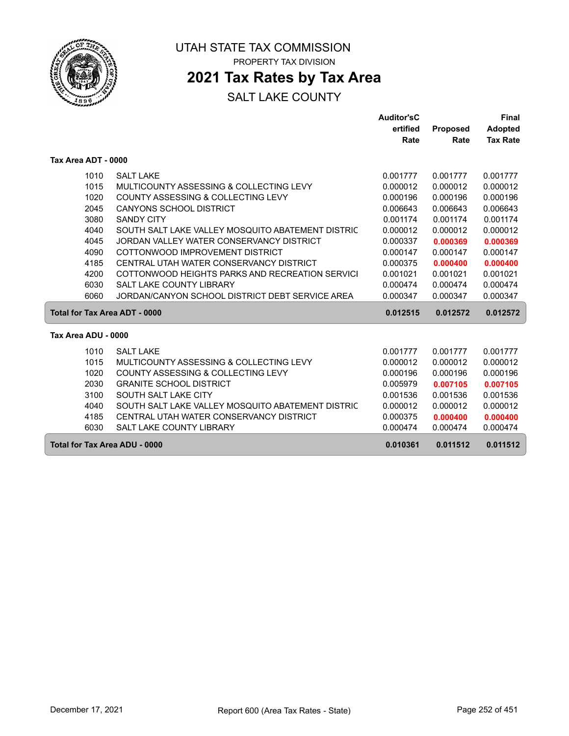

### **2021 Tax Rates by Tax Area**

|                               |                                                   | <b>Auditor'sC</b> |                 | <b>Final</b>    |
|-------------------------------|---------------------------------------------------|-------------------|-----------------|-----------------|
|                               |                                                   | ertified          | <b>Proposed</b> | <b>Adopted</b>  |
|                               |                                                   | Rate              | Rate            | <b>Tax Rate</b> |
|                               |                                                   |                   |                 |                 |
| Tax Area ADT - 0000           |                                                   |                   |                 |                 |
| 1010                          | <b>SALT LAKE</b>                                  | 0.001777          | 0.001777        | 0.001777        |
| 1015                          | MULTICOUNTY ASSESSING & COLLECTING LEVY           | 0.000012          | 0.000012        | 0.000012        |
| 1020                          | COUNTY ASSESSING & COLLECTING LEVY                | 0.000196          | 0.000196        | 0.000196        |
| 2045                          | <b>CANYONS SCHOOL DISTRICT</b>                    | 0.006643          | 0.006643        | 0.006643        |
| 3080                          | <b>SANDY CITY</b>                                 | 0.001174          | 0.001174        | 0.001174        |
| 4040                          | SOUTH SALT LAKE VALLEY MOSQUITO ABATEMENT DISTRIC | 0.000012          | 0.000012        | 0.000012        |
| 4045                          | JORDAN VALLEY WATER CONSERVANCY DISTRICT          | 0.000337          | 0.000369        | 0.000369        |
| 4090                          | COTTONWOOD IMPROVEMENT DISTRICT                   | 0.000147          | 0.000147        | 0.000147        |
| 4185                          | CENTRAL UTAH WATER CONSERVANCY DISTRICT           | 0.000375          | 0.000400        | 0.000400        |
| 4200                          | COTTONWOOD HEIGHTS PARKS AND RECREATION SERVICI   | 0.001021          | 0.001021        | 0.001021        |
| 6030                          | <b>SALT LAKE COUNTY LIBRARY</b>                   | 0.000474          | 0.000474        | 0.000474        |
| 6060                          | JORDAN/CANYON SCHOOL DISTRICT DEBT SERVICE AREA   | 0.000347          | 0.000347        | 0.000347        |
| Total for Tax Area ADT - 0000 |                                                   | 0.012515          | 0.012572        | 0.012572        |
|                               |                                                   |                   |                 |                 |
| Tax Area ADU - 0000           |                                                   |                   |                 |                 |
| 1010                          | <b>SALT LAKE</b>                                  | 0.001777          | 0.001777        | 0.001777        |
| 1015                          | MULTICOUNTY ASSESSING & COLLECTING LEVY           | 0.000012          | 0.000012        | 0.000012        |
| 1020                          | COUNTY ASSESSING & COLLECTING LEVY                | 0.000196          | 0.000196        | 0.000196        |
| 2030                          | <b>GRANITE SCHOOL DISTRICT</b>                    | 0.005979          | 0.007105        | 0.007105        |
| 3100                          | SOUTH SALT LAKE CITY                              | 0.001536          | 0.001536        | 0.001536        |
| 4040                          | SOUTH SALT LAKE VALLEY MOSQUITO ABATEMENT DISTRIC | 0.000012          | 0.000012        | 0.000012        |
| 4185                          | CENTRAL UTAH WATER CONSERVANCY DISTRICT           | 0.000375          | 0.000400        | 0.000400        |
| 6030                          | <b>SALT LAKE COUNTY LIBRARY</b>                   | 0.000474          | 0.000474        | 0.000474        |
| Total for Tax Area ADU - 0000 |                                                   | 0.010361          | 0.011512        | 0.011512        |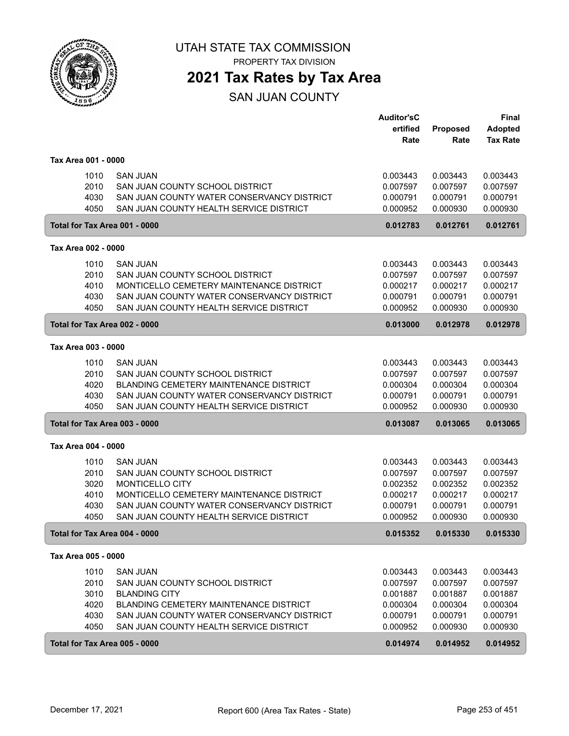

PROPERTY TAX DIVISION

### **2021 Tax Rates by Tax Area**

SAN JUAN COUNTY

|                               |                                               | <b>Auditor'sC</b> |          | Final           |
|-------------------------------|-----------------------------------------------|-------------------|----------|-----------------|
|                               |                                               | ertified          | Proposed | <b>Adopted</b>  |
|                               |                                               | Rate              | Rate     | <b>Tax Rate</b> |
| Tax Area 001 - 0000           |                                               |                   |          |                 |
| 1010                          | <b>SAN JUAN</b>                               | 0.003443          | 0.003443 | 0.003443        |
| 2010                          | SAN JUAN COUNTY SCHOOL DISTRICT               | 0.007597          | 0.007597 | 0.007597        |
| 4030                          | SAN JUAN COUNTY WATER CONSERVANCY DISTRICT    | 0.000791          | 0.000791 | 0.000791        |
| 4050                          | SAN JUAN COUNTY HEALTH SERVICE DISTRICT       | 0.000952          | 0.000930 | 0.000930        |
| Total for Tax Area 001 - 0000 |                                               | 0.012783          | 0.012761 | 0.012761        |
| Tax Area 002 - 0000           |                                               |                   |          |                 |
| 1010                          | <b>SAN JUAN</b>                               | 0.003443          | 0.003443 | 0.003443        |
| 2010                          | SAN JUAN COUNTY SCHOOL DISTRICT               | 0.007597          | 0.007597 | 0.007597        |
| 4010                          | MONTICELLO CEMETERY MAINTENANCE DISTRICT      | 0.000217          | 0.000217 | 0.000217        |
| 4030                          | SAN JUAN COUNTY WATER CONSERVANCY DISTRICT    | 0.000791          | 0.000791 | 0.000791        |
| 4050                          | SAN JUAN COUNTY HEALTH SERVICE DISTRICT       | 0.000952          | 0.000930 | 0.000930        |
| Total for Tax Area 002 - 0000 |                                               | 0.013000          | 0.012978 | 0.012978        |
| Tax Area 003 - 0000           |                                               |                   |          |                 |
| 1010                          | <b>SAN JUAN</b>                               | 0.003443          | 0.003443 | 0.003443        |
| 2010                          | SAN JUAN COUNTY SCHOOL DISTRICT               | 0.007597          | 0.007597 | 0.007597        |
| 4020                          | <b>BLANDING CEMETERY MAINTENANCE DISTRICT</b> | 0.000304          | 0.000304 | 0.000304        |
| 4030                          | SAN JUAN COUNTY WATER CONSERVANCY DISTRICT    | 0.000791          | 0.000791 | 0.000791        |
| 4050                          | SAN JUAN COUNTY HEALTH SERVICE DISTRICT       | 0.000952          | 0.000930 | 0.000930        |
| Total for Tax Area 003 - 0000 |                                               | 0.013087          | 0.013065 | 0.013065        |
| Tax Area 004 - 0000           |                                               |                   |          |                 |
| 1010                          | <b>SAN JUAN</b>                               | 0.003443          | 0.003443 | 0.003443        |
| 2010                          | SAN JUAN COUNTY SCHOOL DISTRICT               | 0.007597          | 0.007597 | 0.007597        |
| 3020                          | MONTICELLO CITY                               | 0.002352          | 0.002352 | 0.002352        |
| 4010                          | MONTICELLO CEMETERY MAINTENANCE DISTRICT      | 0.000217          | 0.000217 | 0.000217        |
| 4030                          | SAN JUAN COUNTY WATER CONSERVANCY DISTRICT    | 0.000791          | 0.000791 | 0.000791        |
| 4050                          | SAN JUAN COUNTY HEALTH SERVICE DISTRICT       | 0.000952          | 0.000930 | 0.000930        |
| Total for Tax Area 004 - 0000 |                                               | 0.015352          | 0.015330 | 0.015330        |
| Tax Area 005 - 0000           |                                               |                   |          |                 |
| 1010                          | <b>SAN JUAN</b>                               | 0.003443          | 0.003443 | 0.003443        |
| 2010                          | SAN JUAN COUNTY SCHOOL DISTRICT               | 0.007597          | 0.007597 | 0.007597        |
| 3010                          | <b>BLANDING CITY</b>                          | 0.001887          | 0.001887 | 0.001887        |
| 4020                          | BLANDING CEMETERY MAINTENANCE DISTRICT        | 0.000304          | 0.000304 | 0.000304        |
| 4030                          | SAN JUAN COUNTY WATER CONSERVANCY DISTRICT    | 0.000791          | 0.000791 | 0.000791        |
| 4050                          | SAN JUAN COUNTY HEALTH SERVICE DISTRICT       | 0.000952          | 0.000930 | 0.000930        |
| Total for Tax Area 005 - 0000 |                                               | 0.014974          | 0.014952 | 0.014952        |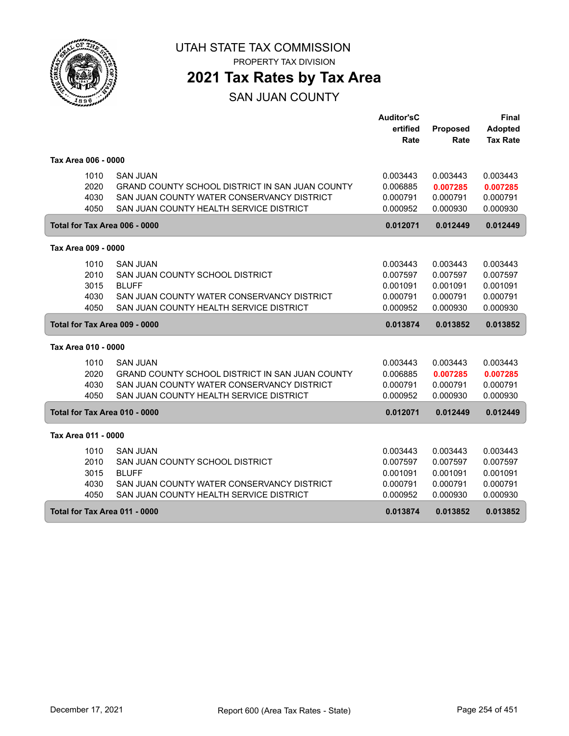

PROPERTY TAX DIVISION

### **2021 Tax Rates by Tax Area**

SAN JUAN COUNTY

|                     |                                                        | <b>Auditor'sC</b> |          | Final           |
|---------------------|--------------------------------------------------------|-------------------|----------|-----------------|
|                     |                                                        | ertified          | Proposed | Adopted         |
|                     |                                                        | Rate              | Rate     | <b>Tax Rate</b> |
| Tax Area 006 - 0000 |                                                        |                   |          |                 |
| 1010                | <b>SAN JUAN</b>                                        | 0.003443          | 0.003443 | 0.003443        |
| 2020                | <b>GRAND COUNTY SCHOOL DISTRICT IN SAN JUAN COUNTY</b> | 0.006885          | 0.007285 | 0.007285        |
| 4030                | SAN JUAN COUNTY WATER CONSERVANCY DISTRICT             | 0.000791          | 0.000791 | 0.000791        |
| 4050                | SAN JUAN COUNTY HEALTH SERVICE DISTRICT                | 0.000952          | 0.000930 | 0.000930        |
|                     | Total for Tax Area 006 - 0000                          | 0.012071          | 0.012449 | 0.012449        |
| Tax Area 009 - 0000 |                                                        |                   |          |                 |
| 1010                | <b>SAN JUAN</b>                                        | 0.003443          | 0.003443 | 0.003443        |
| 2010                | SAN JUAN COUNTY SCHOOL DISTRICT                        | 0.007597          | 0.007597 | 0.007597        |
| 3015                | <b>BLUFF</b>                                           | 0.001091          | 0.001091 | 0.001091        |
| 4030                | SAN JUAN COUNTY WATER CONSERVANCY DISTRICT             | 0.000791          | 0.000791 | 0.000791        |
| 4050                | SAN JUAN COUNTY HEALTH SERVICE DISTRICT                | 0.000952          | 0.000930 | 0.000930        |
|                     | Total for Tax Area 009 - 0000                          | 0.013874          | 0.013852 | 0.013852        |
| Tax Area 010 - 0000 |                                                        |                   |          |                 |
| 1010                | <b>SAN JUAN</b>                                        | 0.003443          | 0.003443 | 0.003443        |
| 2020                | GRAND COUNTY SCHOOL DISTRICT IN SAN JUAN COUNTY        | 0.006885          | 0.007285 | 0.007285        |
| 4030                | SAN JUAN COUNTY WATER CONSERVANCY DISTRICT             | 0.000791          | 0.000791 | 0.000791        |
| 4050                | SAN JUAN COUNTY HEALTH SERVICE DISTRICT                | 0.000952          | 0.000930 | 0.000930        |
|                     | Total for Tax Area 010 - 0000                          | 0.012071          | 0.012449 | 0.012449        |
| Tax Area 011 - 0000 |                                                        |                   |          |                 |
| 1010                | <b>SAN JUAN</b>                                        | 0.003443          | 0.003443 | 0.003443        |
| 2010                | SAN JUAN COUNTY SCHOOL DISTRICT                        | 0.007597          | 0.007597 | 0.007597        |
| 3015                | <b>BLUFF</b>                                           | 0.001091          | 0.001091 | 0.001091        |
| 4030                | SAN JUAN COUNTY WATER CONSERVANCY DISTRICT             | 0.000791          | 0.000791 | 0.000791        |
| 4050                | SAN JUAN COUNTY HEALTH SERVICE DISTRICT                | 0.000952          | 0.000930 | 0.000930        |
|                     | Total for Tax Area 011 - 0000                          | 0.013874          | 0.013852 | 0.013852        |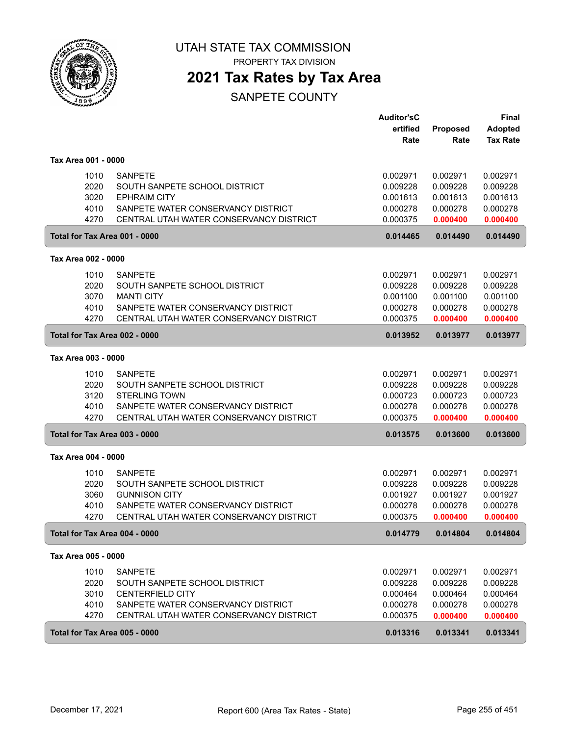

PROPERTY TAX DIVISION

### **2021 Tax Rates by Tax Area**

|                               |                                                                               | <b>Auditor'sC</b><br>ertified | Proposed             | <b>Final</b><br><b>Adopted</b> |
|-------------------------------|-------------------------------------------------------------------------------|-------------------------------|----------------------|--------------------------------|
|                               |                                                                               | Rate                          | Rate                 | <b>Tax Rate</b>                |
| Tax Area 001 - 0000           |                                                                               |                               |                      |                                |
| 1010                          | <b>SANPETE</b>                                                                | 0.002971                      | 0.002971             | 0.002971                       |
| 2020                          | SOUTH SANPETE SCHOOL DISTRICT                                                 | 0.009228                      | 0.009228             | 0.009228                       |
| 3020                          | <b>EPHRAIM CITY</b>                                                           | 0.001613                      | 0.001613             | 0.001613                       |
| 4010<br>4270                  | SANPETE WATER CONSERVANCY DISTRICT<br>CENTRAL UTAH WATER CONSERVANCY DISTRICT | 0.000278<br>0.000375          | 0.000278<br>0.000400 | 0.000278<br>0.000400           |
| Total for Tax Area 001 - 0000 |                                                                               | 0.014465                      | 0.014490             | 0.014490                       |
| Tax Area 002 - 0000           |                                                                               |                               |                      |                                |
| 1010                          | <b>SANPETE</b>                                                                | 0.002971                      | 0.002971             | 0.002971                       |
| 2020                          | SOUTH SANPETE SCHOOL DISTRICT                                                 | 0.009228                      | 0.009228             | 0.009228                       |
| 3070                          | <b>MANTI CITY</b>                                                             | 0.001100                      | 0.001100             | 0.001100                       |
| 4010                          | SANPETE WATER CONSERVANCY DISTRICT                                            | 0.000278                      | 0.000278             | 0.000278                       |
| 4270                          | CENTRAL UTAH WATER CONSERVANCY DISTRICT                                       | 0.000375                      | 0.000400             | 0.000400                       |
| Total for Tax Area 002 - 0000 |                                                                               | 0.013952                      | 0.013977             | 0.013977                       |
| Tax Area 003 - 0000           |                                                                               |                               |                      |                                |
| 1010                          | <b>SANPETE</b>                                                                | 0.002971                      | 0.002971             | 0.002971                       |
| 2020                          | SOUTH SANPETE SCHOOL DISTRICT                                                 | 0.009228                      | 0.009228             | 0.009228                       |
| 3120                          | <b>STERLING TOWN</b>                                                          | 0.000723                      | 0.000723             | 0.000723                       |
| 4010                          | SANPETE WATER CONSERVANCY DISTRICT                                            | 0.000278                      | 0.000278             | 0.000278                       |
| 4270                          | CENTRAL UTAH WATER CONSERVANCY DISTRICT                                       | 0.000375                      | 0.000400             | 0.000400                       |
| Total for Tax Area 003 - 0000 |                                                                               | 0.013575                      | 0.013600             | 0.013600                       |
| Tax Area 004 - 0000           |                                                                               |                               |                      |                                |
| 1010                          | <b>SANPETE</b>                                                                | 0.002971                      | 0.002971             | 0.002971                       |
| 2020                          | SOUTH SANPETE SCHOOL DISTRICT                                                 | 0.009228                      | 0.009228             | 0.009228                       |
| 3060                          | <b>GUNNISON CITY</b>                                                          | 0.001927                      | 0.001927             | 0.001927                       |
| 4010                          | SANPETE WATER CONSERVANCY DISTRICT                                            | 0.000278                      | 0.000278             | 0.000278                       |
| 4270                          | CENTRAL UTAH WATER CONSERVANCY DISTRICT                                       | 0.000375                      | 0.000400             | 0.000400                       |
| Total for Tax Area 004 - 0000 |                                                                               | 0.014779                      | 0.014804             | 0.014804                       |
| Tax Area 005 - 0000           |                                                                               |                               |                      |                                |
| 1010                          | <b>SANPETE</b>                                                                | 0.002971                      | 0.002971             | 0.002971                       |
| 2020                          | SOUTH SANPETE SCHOOL DISTRICT                                                 | 0.009228                      | 0.009228             | 0.009228                       |
| 3010                          | <b>CENTERFIELD CITY</b>                                                       | 0.000464                      | 0.000464             | 0.000464                       |
| 4010                          | SANPETE WATER CONSERVANCY DISTRICT                                            | 0.000278                      | 0.000278             | 0.000278                       |
| 4270                          | CENTRAL UTAH WATER CONSERVANCY DISTRICT                                       | 0.000375                      | 0.000400             | 0.000400                       |
| Total for Tax Area 005 - 0000 |                                                                               | 0.013316                      | 0.013341             | 0.013341                       |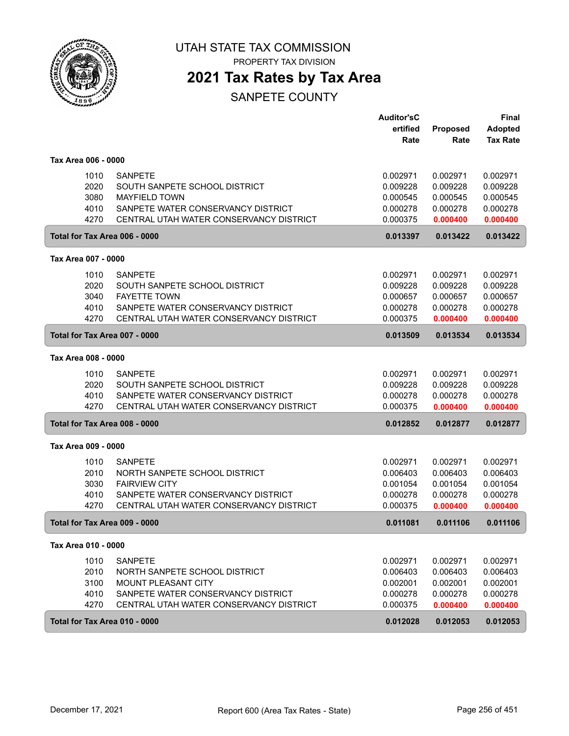

PROPERTY TAX DIVISION

### **2021 Tax Rates by Tax Area**

|                     |                                         | <b>Auditor'sC</b> |          | <b>Final</b>    |
|---------------------|-----------------------------------------|-------------------|----------|-----------------|
|                     |                                         | ertified          | Proposed | <b>Adopted</b>  |
|                     |                                         | Rate              | Rate     | <b>Tax Rate</b> |
| Tax Area 006 - 0000 |                                         |                   |          |                 |
| 1010                | <b>SANPETE</b>                          | 0.002971          | 0.002971 | 0.002971        |
| 2020                | SOUTH SANPETE SCHOOL DISTRICT           | 0.009228          | 0.009228 | 0.009228        |
| 3080                | <b>MAYFIELD TOWN</b>                    | 0.000545          | 0.000545 | 0.000545        |
| 4010                | SANPETE WATER CONSERVANCY DISTRICT      | 0.000278          | 0.000278 | 0.000278        |
| 4270                | CENTRAL UTAH WATER CONSERVANCY DISTRICT | 0.000375          | 0.000400 | 0.000400        |
|                     | Total for Tax Area 006 - 0000           | 0.013397          | 0.013422 | 0.013422        |
| Tax Area 007 - 0000 |                                         |                   |          |                 |
| 1010                | <b>SANPETE</b>                          | 0.002971          | 0.002971 | 0.002971        |
| 2020                | SOUTH SANPETE SCHOOL DISTRICT           | 0.009228          | 0.009228 | 0.009228        |
| 3040                | <b>FAYETTE TOWN</b>                     | 0.000657          | 0.000657 | 0.000657        |
| 4010                | SANPETE WATER CONSERVANCY DISTRICT      | 0.000278          | 0.000278 | 0.000278        |
| 4270                | CENTRAL UTAH WATER CONSERVANCY DISTRICT | 0.000375          | 0.000400 | 0.000400        |
|                     | Total for Tax Area 007 - 0000           | 0.013509          | 0.013534 | 0.013534        |
| Tax Area 008 - 0000 |                                         |                   |          |                 |
| 1010                | <b>SANPETE</b>                          | 0.002971          | 0.002971 | 0.002971        |
| 2020                | SOUTH SANPETE SCHOOL DISTRICT           | 0.009228          | 0.009228 | 0.009228        |
| 4010                | SANPETE WATER CONSERVANCY DISTRICT      | 0.000278          | 0.000278 | 0.000278        |
| 4270                | CENTRAL UTAH WATER CONSERVANCY DISTRICT | 0.000375          | 0.000400 | 0.000400        |
|                     | Total for Tax Area 008 - 0000           | 0.012852          | 0.012877 | 0.012877        |
| Tax Area 009 - 0000 |                                         |                   |          |                 |
| 1010                | <b>SANPETE</b>                          | 0.002971          | 0.002971 | 0.002971        |
| 2010                | NORTH SANPETE SCHOOL DISTRICT           | 0.006403          | 0.006403 | 0.006403        |
| 3030                | <b>FAIRVIEW CITY</b>                    | 0.001054          | 0.001054 | 0.001054        |
| 4010                | SANPETE WATER CONSERVANCY DISTRICT      | 0.000278          | 0.000278 | 0.000278        |
| 4270                | CENTRAL UTAH WATER CONSERVANCY DISTRICT | 0.000375          | 0.000400 | 0.000400        |
|                     | Total for Tax Area 009 - 0000           | 0.011081          | 0.011106 | 0.011106        |
| Tax Area 010 - 0000 |                                         |                   |          |                 |
| 1010                | <b>SANPETE</b>                          | 0.002971          | 0.002971 | 0.002971        |
| 2010                | NORTH SANPETE SCHOOL DISTRICT           | 0.006403          | 0.006403 | 0.006403        |
| 3100                | <b>MOUNT PLEASANT CITY</b>              | 0.002001          | 0.002001 | 0.002001        |
| 4010                | SANPETE WATER CONSERVANCY DISTRICT      | 0.000278          | 0.000278 | 0.000278        |
| 4270                | CENTRAL UTAH WATER CONSERVANCY DISTRICT | 0.000375          | 0.000400 | 0.000400        |
|                     | Total for Tax Area 010 - 0000           | 0.012028          | 0.012053 | 0.012053        |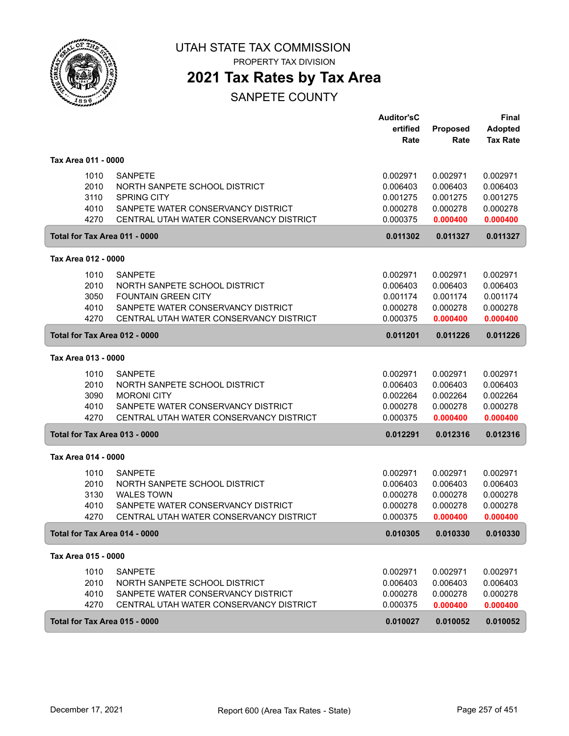

PROPERTY TAX DIVISION

## **2021 Tax Rates by Tax Area**

|                               |                                         | <b>Auditor'sC</b> |                  | Final                             |
|-------------------------------|-----------------------------------------|-------------------|------------------|-----------------------------------|
|                               |                                         | ertified<br>Rate  | Proposed<br>Rate | <b>Adopted</b><br><b>Tax Rate</b> |
|                               |                                         |                   |                  |                                   |
| Tax Area 011 - 0000           |                                         |                   |                  |                                   |
| 1010                          | <b>SANPETE</b>                          | 0.002971          | 0.002971         | 0.002971                          |
| 2010                          | NORTH SANPETE SCHOOL DISTRICT           | 0.006403          | 0.006403         | 0.006403                          |
| 3110                          | <b>SPRING CITY</b>                      | 0.001275          | 0.001275         | 0.001275                          |
| 4010                          | SANPETE WATER CONSERVANCY DISTRICT      | 0.000278          | 0.000278         | 0.000278                          |
| 4270                          | CENTRAL UTAH WATER CONSERVANCY DISTRICT | 0.000375          | 0.000400         | 0.000400                          |
| Total for Tax Area 011 - 0000 |                                         | 0.011302          | 0.011327         | 0.011327                          |
| Tax Area 012 - 0000           |                                         |                   |                  |                                   |
| 1010                          | <b>SANPETE</b>                          | 0.002971          | 0.002971         | 0.002971                          |
| 2010                          | NORTH SANPETE SCHOOL DISTRICT           | 0.006403          | 0.006403         | 0.006403                          |
| 3050                          | <b>FOUNTAIN GREEN CITY</b>              | 0.001174          | 0.001174         | 0.001174                          |
| 4010                          | SANPETE WATER CONSERVANCY DISTRICT      | 0.000278          | 0.000278         | 0.000278                          |
| 4270                          | CENTRAL UTAH WATER CONSERVANCY DISTRICT | 0.000375          | 0.000400         | 0.000400                          |
| Total for Tax Area 012 - 0000 |                                         | 0.011201          | 0.011226         | 0.011226                          |
| Tax Area 013 - 0000           |                                         |                   |                  |                                   |
| 1010                          | <b>SANPETE</b>                          | 0.002971          | 0.002971         | 0.002971                          |
| 2010                          | NORTH SANPETE SCHOOL DISTRICT           | 0.006403          | 0.006403         | 0.006403                          |
| 3090                          | <b>MORONI CITY</b>                      | 0.002264          | 0.002264         | 0.002264                          |
| 4010                          | SANPETE WATER CONSERVANCY DISTRICT      | 0.000278          | 0.000278         | 0.000278                          |
| 4270                          | CENTRAL UTAH WATER CONSERVANCY DISTRICT | 0.000375          | 0.000400         | 0.000400                          |
| Total for Tax Area 013 - 0000 |                                         | 0.012291          | 0.012316         | 0.012316                          |
| Tax Area 014 - 0000           |                                         |                   |                  |                                   |
| 1010                          | <b>SANPETE</b>                          | 0.002971          | 0.002971         | 0.002971                          |
| 2010                          | NORTH SANPETE SCHOOL DISTRICT           | 0.006403          | 0.006403         | 0.006403                          |
| 3130                          | <b>WALES TOWN</b>                       | 0.000278          | 0.000278         | 0.000278                          |
| 4010                          | SANPETE WATER CONSERVANCY DISTRICT      | 0.000278          | 0.000278         | 0.000278                          |
| 4270                          | CENTRAL UTAH WATER CONSERVANCY DISTRICT | 0.000375          | 0.000400         | 0.000400                          |
| Total for Tax Area 014 - 0000 |                                         | 0.010305          | 0.010330         | 0.010330                          |
| Tax Area 015 - 0000           |                                         |                   |                  |                                   |
| 1010                          | <b>SANPETE</b>                          | 0.002971          | 0.002971         | 0.002971                          |
| 2010                          | NORTH SANPETE SCHOOL DISTRICT           | 0.006403          | 0.006403         | 0.006403                          |
| 4010                          | SANPETE WATER CONSERVANCY DISTRICT      | 0.000278          | 0.000278         | 0.000278                          |
| 4270                          | CENTRAL UTAH WATER CONSERVANCY DISTRICT | 0.000375          | 0.000400         | 0.000400                          |
| Total for Tax Area 015 - 0000 |                                         | 0.010027          | 0.010052         | 0.010052                          |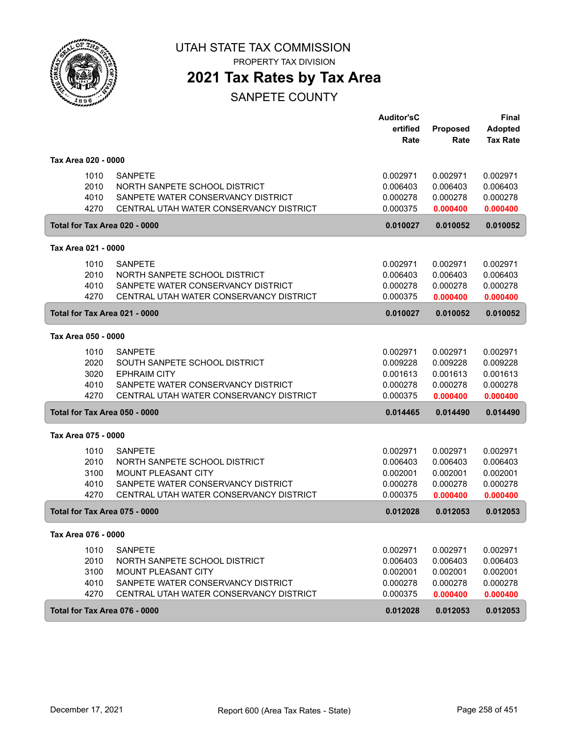

PROPERTY TAX DIVISION

## **2021 Tax Rates by Tax Area**

|                     |      |                                         | <b>Auditor'sC</b> |          | Final           |
|---------------------|------|-----------------------------------------|-------------------|----------|-----------------|
|                     |      |                                         | ertified          | Proposed | <b>Adopted</b>  |
|                     |      |                                         | Rate              | Rate     | <b>Tax Rate</b> |
| Tax Area 020 - 0000 |      |                                         |                   |          |                 |
|                     | 1010 | <b>SANPETE</b>                          | 0.002971          | 0.002971 | 0.002971        |
|                     | 2010 | NORTH SANPETE SCHOOL DISTRICT           | 0.006403          | 0.006403 | 0.006403        |
|                     | 4010 | SANPETE WATER CONSERVANCY DISTRICT      | 0.000278          | 0.000278 | 0.000278        |
|                     | 4270 | CENTRAL UTAH WATER CONSERVANCY DISTRICT | 0.000375          | 0.000400 | 0.000400        |
|                     |      | Total for Tax Area 020 - 0000           | 0.010027          | 0.010052 | 0.010052        |
| Tax Area 021 - 0000 |      |                                         |                   |          |                 |
|                     | 1010 | <b>SANPETE</b>                          | 0.002971          | 0.002971 | 0.002971        |
|                     | 2010 | NORTH SANPETE SCHOOL DISTRICT           | 0.006403          | 0.006403 | 0.006403        |
|                     | 4010 | SANPETE WATER CONSERVANCY DISTRICT      | 0.000278          | 0.000278 | 0.000278        |
|                     | 4270 | CENTRAL UTAH WATER CONSERVANCY DISTRICT | 0.000375          | 0.000400 | 0.000400        |
|                     |      | Total for Tax Area 021 - 0000           | 0.010027          | 0.010052 | 0.010052        |
| Tax Area 050 - 0000 |      |                                         |                   |          |                 |
|                     | 1010 | <b>SANPETE</b>                          | 0.002971          | 0.002971 | 0.002971        |
|                     | 2020 | SOUTH SANPETE SCHOOL DISTRICT           | 0.009228          | 0.009228 | 0.009228        |
|                     | 3020 | <b>EPHRAIM CITY</b>                     | 0.001613          | 0.001613 | 0.001613        |
|                     | 4010 | SANPETE WATER CONSERVANCY DISTRICT      | 0.000278          | 0.000278 | 0.000278        |
|                     | 4270 | CENTRAL UTAH WATER CONSERVANCY DISTRICT | 0.000375          | 0.000400 | 0.000400        |
|                     |      | Total for Tax Area 050 - 0000           | 0.014465          | 0.014490 | 0.014490        |
| Tax Area 075 - 0000 |      |                                         |                   |          |                 |
|                     | 1010 | <b>SANPETE</b>                          | 0.002971          | 0.002971 | 0.002971        |
|                     | 2010 | NORTH SANPETE SCHOOL DISTRICT           | 0.006403          | 0.006403 | 0.006403        |
|                     | 3100 | MOUNT PLEASANT CITY                     | 0.002001          | 0.002001 | 0.002001        |
|                     | 4010 | SANPETE WATER CONSERVANCY DISTRICT      | 0.000278          | 0.000278 | 0.000278        |
|                     | 4270 | CENTRAL UTAH WATER CONSERVANCY DISTRICT | 0.000375          | 0.000400 | 0.000400        |
|                     |      | Total for Tax Area 075 - 0000           | 0.012028          | 0.012053 | 0.012053        |
| Tax Area 076 - 0000 |      |                                         |                   |          |                 |
|                     | 1010 | <b>SANPETE</b>                          | 0.002971          | 0.002971 | 0.002971        |
|                     | 2010 | NORTH SANPETE SCHOOL DISTRICT           | 0.006403          | 0.006403 | 0.006403        |
|                     | 3100 | MOUNT PLEASANT CITY                     | 0.002001          | 0.002001 | 0.002001        |
|                     | 4010 | SANPETE WATER CONSERVANCY DISTRICT      | 0.000278          | 0.000278 | 0.000278        |
|                     | 4270 | CENTRAL UTAH WATER CONSERVANCY DISTRICT | 0.000375          | 0.000400 | 0.000400        |
|                     |      | Total for Tax Area 076 - 0000           | 0.012028          | 0.012053 | 0.012053        |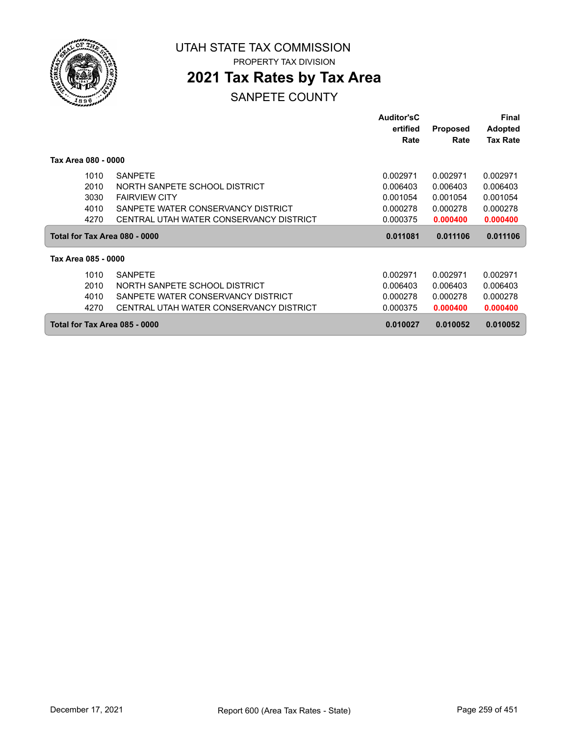

PROPERTY TAX DIVISION

## **2021 Tax Rates by Tax Area**

|                               |                                         | Auditor'sC<br>ertified | <b>Proposed</b> | Final<br><b>Adopted</b> |
|-------------------------------|-----------------------------------------|------------------------|-----------------|-------------------------|
|                               |                                         | Rate                   | Rate            | <b>Tax Rate</b>         |
| Tax Area 080 - 0000           |                                         |                        |                 |                         |
| 1010                          | <b>SANPETE</b>                          | 0.002971               | 0.002971        | 0.002971                |
| 2010                          | NORTH SANPETE SCHOOL DISTRICT           | 0.006403               | 0.006403        | 0.006403                |
| 3030                          | <b>FAIRVIEW CITY</b>                    | 0.001054               | 0.001054        | 0.001054                |
| 4010                          | SANPETE WATER CONSERVANCY DISTRICT      | 0.000278               | 0.000278        | 0.000278                |
| 4270                          | CENTRAL UTAH WATER CONSERVANCY DISTRICT | 0.000375               | 0.000400        | 0.000400                |
| Total for Tax Area 080 - 0000 |                                         | 0.011081               | 0.011106        | 0.011106                |
| Tax Area 085 - 0000           |                                         |                        |                 |                         |
| 1010                          | <b>SANPETE</b>                          | 0.002971               | 0.002971        | 0.002971                |
| 2010                          | NORTH SANPETE SCHOOL DISTRICT           | 0.006403               | 0.006403        | 0.006403                |
| 4010                          | SANPETE WATER CONSERVANCY DISTRICT      | 0.000278               | 0.000278        | 0.000278                |
| 4270                          | CENTRAL UTAH WATER CONSERVANCY DISTRICT | 0.000375               | 0.000400        | 0.000400                |
| Total for Tax Area 085 - 0000 |                                         | 0.010027               | 0.010052        | 0.010052                |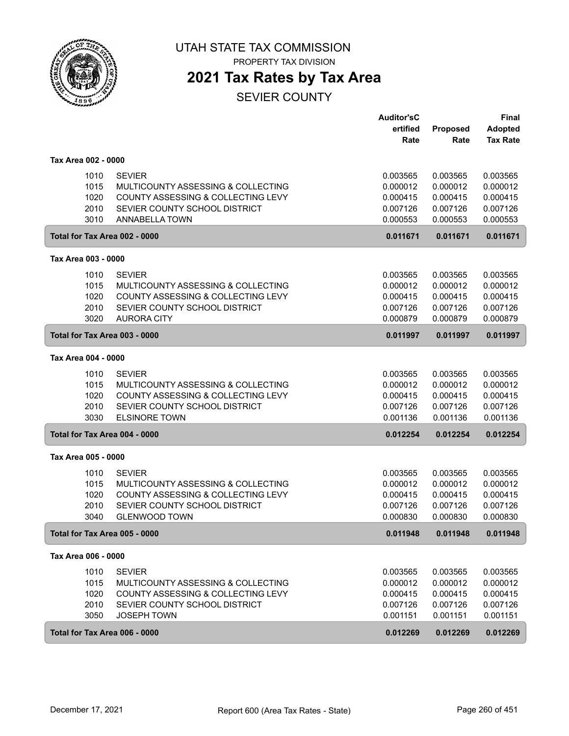

PROPERTY TAX DIVISION

### **2021 Tax Rates by Tax Area**

SEVIER COUNTY

|                               |                                                       | Auditor'sC           |                      | Final                |
|-------------------------------|-------------------------------------------------------|----------------------|----------------------|----------------------|
|                               |                                                       | ertified             | <b>Proposed</b>      | Adopted              |
|                               |                                                       | Rate                 | Rate                 | <b>Tax Rate</b>      |
| Tax Area 002 - 0000           |                                                       |                      |                      |                      |
| 1010                          | <b>SEVIER</b>                                         | 0.003565             | 0.003565             | 0.003565             |
| 1015                          | MULTICOUNTY ASSESSING & COLLECTING                    | 0.000012             | 0.000012             | 0.000012             |
| 1020                          | COUNTY ASSESSING & COLLECTING LEVY                    | 0.000415             | 0.000415             | 0.000415             |
| 2010                          | SEVIER COUNTY SCHOOL DISTRICT                         | 0.007126             | 0.007126             | 0.007126             |
| 3010                          | ANNABELLA TOWN                                        | 0.000553             | 0.000553             | 0.000553             |
| Total for Tax Area 002 - 0000 |                                                       | 0.011671             | 0.011671             | 0.011671             |
| Tax Area 003 - 0000           |                                                       |                      |                      |                      |
| 1010                          | <b>SEVIER</b>                                         | 0.003565             | 0.003565             | 0.003565             |
| 1015                          | MULTICOUNTY ASSESSING & COLLECTING                    | 0.000012             | 0.000012             | 0.000012             |
| 1020                          | COUNTY ASSESSING & COLLECTING LEVY                    | 0.000415             | 0.000415             | 0.000415             |
| 2010                          | SEVIER COUNTY SCHOOL DISTRICT                         | 0.007126             | 0.007126             | 0.007126             |
| 3020                          | <b>AURORA CITY</b>                                    | 0.000879             | 0.000879             | 0.000879             |
| Total for Tax Area 003 - 0000 |                                                       | 0.011997             | 0.011997             | 0.011997             |
| Tax Area 004 - 0000           |                                                       |                      |                      |                      |
| 1010                          | <b>SEVIER</b>                                         | 0.003565             | 0.003565             | 0.003565             |
| 1015                          | MULTICOUNTY ASSESSING & COLLECTING                    | 0.000012             | 0.000012             | 0.000012             |
| 1020                          | COUNTY ASSESSING & COLLECTING LEVY                    | 0.000415             | 0.000415             | 0.000415             |
| 2010                          | SEVIER COUNTY SCHOOL DISTRICT                         | 0.007126             | 0.007126             | 0.007126             |
| 3030                          | <b>ELSINORE TOWN</b>                                  | 0.001136             | 0.001136             | 0.001136             |
| Total for Tax Area 004 - 0000 |                                                       | 0.012254             | 0.012254             | 0.012254             |
| Tax Area 005 - 0000           |                                                       |                      |                      |                      |
|                               |                                                       |                      |                      |                      |
| 1010                          | <b>SEVIER</b>                                         | 0.003565             | 0.003565             | 0.003565             |
| 1015                          | MULTICOUNTY ASSESSING & COLLECTING                    | 0.000012             | 0.000012             | 0.000012             |
| 1020                          | COUNTY ASSESSING & COLLECTING LEVY                    | 0.000415             | 0.000415             | 0.000415             |
| 2010<br>3040                  | SEVIER COUNTY SCHOOL DISTRICT<br><b>GLENWOOD TOWN</b> | 0.007126<br>0.000830 | 0.007126<br>0.000830 | 0.007126<br>0.000830 |
| Total for Tax Area 005 - 0000 |                                                       | 0.011948             | 0.011948             | 0.011948             |
|                               |                                                       |                      |                      |                      |
| Tax Area 006 - 0000           |                                                       |                      |                      |                      |
| 1010                          | <b>SEVIER</b>                                         | 0.003565             | 0.003565             | 0.003565             |
| 1015                          | MULTICOUNTY ASSESSING & COLLECTING                    | 0.000012             | 0.000012             | 0.000012             |
| 1020                          | COUNTY ASSESSING & COLLECTING LEVY                    | 0.000415             | 0.000415             | 0.000415             |
| 2010                          | SEVIER COUNTY SCHOOL DISTRICT                         | 0.007126             | 0.007126             | 0.007126             |
| 3050                          | <b>JOSEPH TOWN</b>                                    | 0.001151             | 0.001151             | 0.001151             |
| Total for Tax Area 006 - 0000 |                                                       | 0.012269             | 0.012269             | 0.012269             |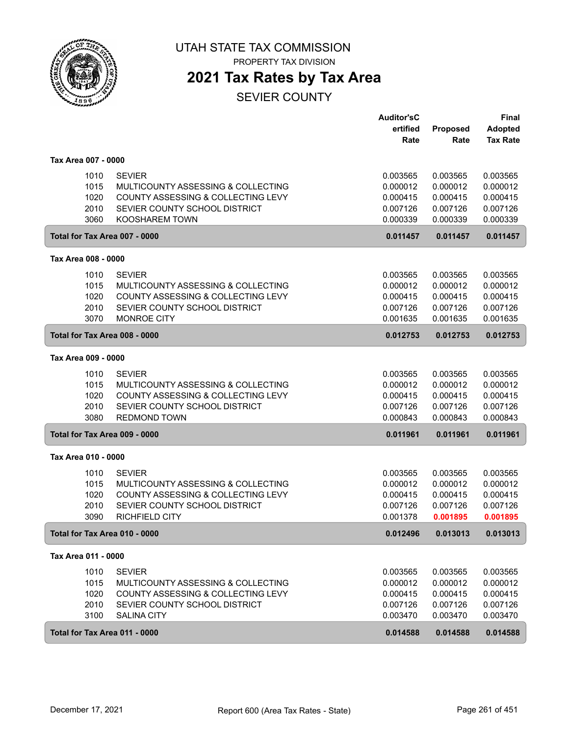

PROPERTY TAX DIVISION

### **2021 Tax Rates by Tax Area**

SEVIER COUNTY

|                     |                                    | <b>Auditor'sC</b><br>ertified<br>Rate | Proposed<br>Rate | <b>Final</b><br><b>Adopted</b><br><b>Tax Rate</b> |
|---------------------|------------------------------------|---------------------------------------|------------------|---------------------------------------------------|
| Tax Area 007 - 0000 |                                    |                                       |                  |                                                   |
| 1010                | <b>SEVIER</b>                      | 0.003565                              | 0.003565         | 0.003565                                          |
| 1015                | MULTICOUNTY ASSESSING & COLLECTING | 0.000012                              | 0.000012         | 0.000012                                          |
| 1020                | COUNTY ASSESSING & COLLECTING LEVY | 0.000415                              | 0.000415         | 0.000415                                          |
| 2010                | SEVIER COUNTY SCHOOL DISTRICT      | 0.007126                              | 0.007126         | 0.007126                                          |
| 3060                | <b>KOOSHAREM TOWN</b>              | 0.000339                              | 0.000339         | 0.000339                                          |
|                     | Total for Tax Area 007 - 0000      | 0.011457                              | 0.011457         | 0.011457                                          |
| Tax Area 008 - 0000 |                                    |                                       |                  |                                                   |
| 1010                | <b>SEVIER</b>                      | 0.003565                              | 0.003565         | 0.003565                                          |
| 1015                | MULTICOUNTY ASSESSING & COLLECTING | 0.000012                              | 0.000012         | 0.000012                                          |
| 1020                | COUNTY ASSESSING & COLLECTING LEVY | 0.000415                              | 0.000415         | 0.000415                                          |
| 2010                | SEVIER COUNTY SCHOOL DISTRICT      | 0.007126                              | 0.007126         | 0.007126                                          |
| 3070                | <b>MONROE CITY</b>                 | 0.001635                              | 0.001635         | 0.001635                                          |
|                     | Total for Tax Area 008 - 0000      | 0.012753                              | 0.012753         | 0.012753                                          |
| Tax Area 009 - 0000 |                                    |                                       |                  |                                                   |
| 1010                | <b>SEVIER</b>                      | 0.003565                              | 0.003565         | 0.003565                                          |
| 1015                | MULTICOUNTY ASSESSING & COLLECTING | 0.000012                              | 0.000012         | 0.000012                                          |
| 1020                | COUNTY ASSESSING & COLLECTING LEVY | 0.000415                              | 0.000415         | 0.000415                                          |
| 2010                | SEVIER COUNTY SCHOOL DISTRICT      | 0.007126                              | 0.007126         | 0.007126                                          |
| 3080                | <b>REDMOND TOWN</b>                | 0.000843                              | 0.000843         | 0.000843                                          |
|                     | Total for Tax Area 009 - 0000      | 0.011961                              | 0.011961         | 0.011961                                          |
| Tax Area 010 - 0000 |                                    |                                       |                  |                                                   |
| 1010                | <b>SEVIER</b>                      | 0.003565                              | 0.003565         | 0.003565                                          |
| 1015                | MULTICOUNTY ASSESSING & COLLECTING | 0.000012                              | 0.000012         | 0.000012                                          |
| 1020                | COUNTY ASSESSING & COLLECTING LEVY | 0.000415                              | 0.000415         | 0.000415                                          |
| 2010                | SEVIER COUNTY SCHOOL DISTRICT      | 0.007126                              | 0.007126         | 0.007126                                          |
| 3090                | <b>RICHFIELD CITY</b>              | 0.001378                              | 0.001895         | 0.001895                                          |
|                     | Total for Tax Area 010 - 0000      | 0.012496                              | 0.013013         | 0.013013                                          |
| Tax Area 011 - 0000 |                                    |                                       |                  |                                                   |
| 1010                | <b>SEVIER</b>                      | 0.003565                              | 0.003565         | 0.003565                                          |
| 1015                | MULTICOUNTY ASSESSING & COLLECTING | 0.000012                              | 0.000012         | 0.000012                                          |
| 1020                | COUNTY ASSESSING & COLLECTING LEVY | 0.000415                              | 0.000415         | 0.000415                                          |
| 2010                | SEVIER COUNTY SCHOOL DISTRICT      | 0.007126                              | 0.007126         | 0.007126                                          |
| 3100                | <b>SALINA CITY</b>                 | 0.003470                              | 0.003470         | 0.003470                                          |
|                     | Total for Tax Area 011 - 0000      | 0.014588                              | 0.014588         | 0.014588                                          |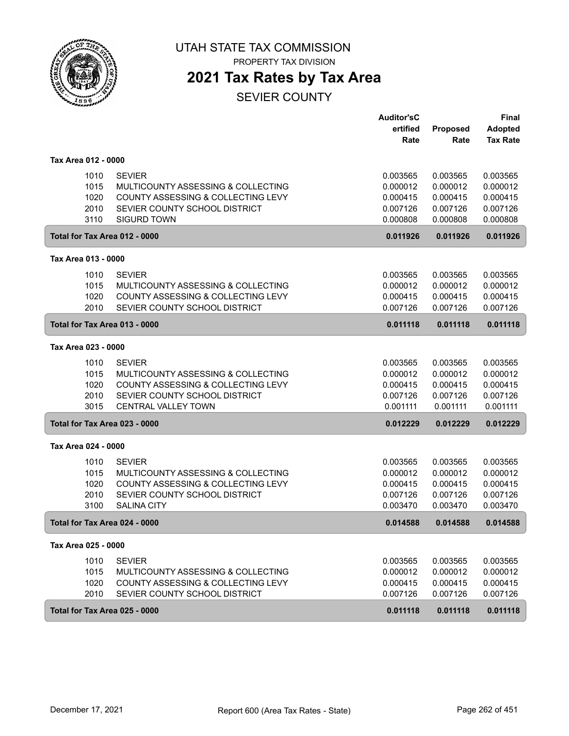

PROPERTY TAX DIVISION

# **2021 Tax Rates by Tax Area**

SEVIER COUNTY

|                               |                                    | <b>Auditor'sC</b> |          | <b>Final</b>    |
|-------------------------------|------------------------------------|-------------------|----------|-----------------|
|                               |                                    | ertified          | Proposed | <b>Adopted</b>  |
|                               |                                    | Rate              | Rate     | <b>Tax Rate</b> |
| Tax Area 012 - 0000           |                                    |                   |          |                 |
| 1010                          | <b>SEVIER</b>                      | 0.003565          | 0.003565 | 0.003565        |
| 1015                          | MULTICOUNTY ASSESSING & COLLECTING | 0.000012          | 0.000012 | 0.000012        |
| 1020                          | COUNTY ASSESSING & COLLECTING LEVY | 0.000415          | 0.000415 | 0.000415        |
| 2010                          | SEVIER COUNTY SCHOOL DISTRICT      | 0.007126          | 0.007126 | 0.007126        |
| 3110                          | <b>SIGURD TOWN</b>                 | 0.000808          | 0.000808 | 0.000808        |
| Total for Tax Area 012 - 0000 |                                    | 0.011926          | 0.011926 | 0.011926        |
| Tax Area 013 - 0000           |                                    |                   |          |                 |
| 1010                          | <b>SEVIER</b>                      | 0.003565          | 0.003565 | 0.003565        |
| 1015                          | MULTICOUNTY ASSESSING & COLLECTING | 0.000012          | 0.000012 | 0.000012        |
| 1020                          | COUNTY ASSESSING & COLLECTING LEVY | 0.000415          | 0.000415 | 0.000415        |
| 2010                          | SEVIER COUNTY SCHOOL DISTRICT      | 0.007126          | 0.007126 | 0.007126        |
| Total for Tax Area 013 - 0000 |                                    | 0.011118          | 0.011118 | 0.011118        |
| Tax Area 023 - 0000           |                                    |                   |          |                 |
| 1010                          | <b>SEVIER</b>                      | 0.003565          | 0.003565 | 0.003565        |
| 1015                          | MULTICOUNTY ASSESSING & COLLECTING | 0.000012          | 0.000012 | 0.000012        |
| 1020                          | COUNTY ASSESSING & COLLECTING LEVY | 0.000415          | 0.000415 | 0.000415        |
| 2010                          | SEVIER COUNTY SCHOOL DISTRICT      | 0.007126          | 0.007126 | 0.007126        |
| 3015                          | <b>CENTRAL VALLEY TOWN</b>         | 0.001111          | 0.001111 | 0.001111        |
| Total for Tax Area 023 - 0000 |                                    | 0.012229          | 0.012229 | 0.012229        |
| Tax Area 024 - 0000           |                                    |                   |          |                 |
| 1010                          | <b>SEVIER</b>                      | 0.003565          | 0.003565 | 0.003565        |
| 1015                          | MULTICOUNTY ASSESSING & COLLECTING | 0.000012          | 0.000012 | 0.000012        |
| 1020                          | COUNTY ASSESSING & COLLECTING LEVY | 0.000415          | 0.000415 | 0.000415        |
| 2010                          | SEVIER COUNTY SCHOOL DISTRICT      | 0.007126          | 0.007126 | 0.007126        |
| 3100                          | <b>SALINA CITY</b>                 | 0.003470          | 0.003470 | 0.003470        |
| Total for Tax Area 024 - 0000 |                                    | 0.014588          | 0.014588 | 0.014588        |
| Tax Area 025 - 0000           |                                    |                   |          |                 |
| 1010                          | <b>SEVIER</b>                      | 0.003565          | 0.003565 | 0.003565        |
| 1015                          | MULTICOUNTY ASSESSING & COLLECTING | 0.000012          | 0.000012 | 0.000012        |
| 1020                          | COUNTY ASSESSING & COLLECTING LEVY | 0.000415          | 0.000415 | 0.000415        |
| 2010                          | SEVIER COUNTY SCHOOL DISTRICT      | 0.007126          | 0.007126 | 0.007126        |
| Total for Tax Area 025 - 0000 |                                    | 0.011118          | 0.011118 | 0.011118        |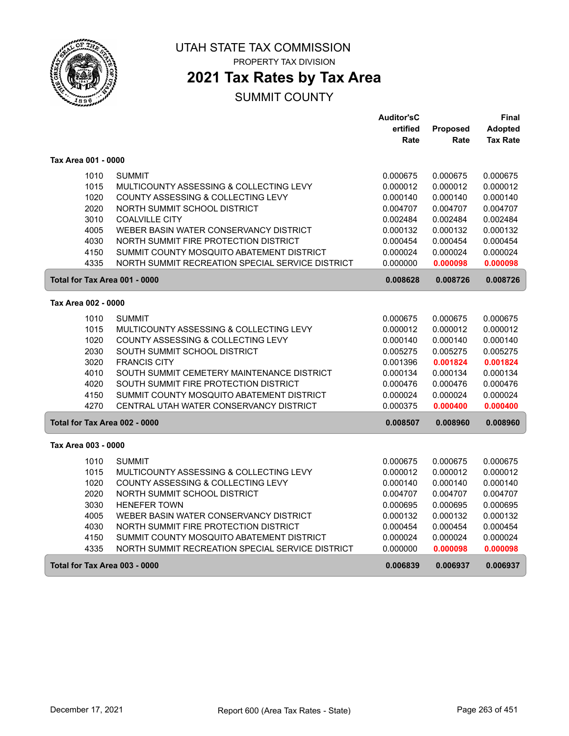

PROPERTY TAX DIVISION

### **2021 Tax Rates by Tax Area**

|                                      |                                                  | <b>Auditor'sC</b> |          | Final           |
|--------------------------------------|--------------------------------------------------|-------------------|----------|-----------------|
|                                      |                                                  | ertified          | Proposed | <b>Adopted</b>  |
|                                      |                                                  | Rate              | Rate     | <b>Tax Rate</b> |
| Tax Area 001 - 0000                  |                                                  |                   |          |                 |
| 1010                                 | <b>SUMMIT</b>                                    | 0.000675          | 0.000675 | 0.000675        |
| 1015                                 | MULTICOUNTY ASSESSING & COLLECTING LEVY          | 0.000012          | 0.000012 | 0.000012        |
| 1020                                 | COUNTY ASSESSING & COLLECTING LEVY               | 0.000140          | 0.000140 | 0.000140        |
| 2020                                 | NORTH SUMMIT SCHOOL DISTRICT                     | 0.004707          | 0.004707 | 0.004707        |
| 3010                                 | <b>COALVILLE CITY</b>                            | 0.002484          | 0.002484 | 0.002484        |
| 4005                                 | WEBER BASIN WATER CONSERVANCY DISTRICT           | 0.000132          | 0.000132 | 0.000132        |
| 4030                                 | NORTH SUMMIT FIRE PROTECTION DISTRICT            | 0.000454          | 0.000454 | 0.000454        |
| 4150                                 | SUMMIT COUNTY MOSQUITO ABATEMENT DISTRICT        | 0.000024          | 0.000024 | 0.000024        |
| 4335                                 | NORTH SUMMIT RECREATION SPECIAL SERVICE DISTRICT | 0.000000          | 0.000098 | 0.000098        |
| Total for Tax Area 001 - 0000        |                                                  | 0.008628          | 0.008726 | 0.008726        |
| Tax Area 002 - 0000                  |                                                  |                   |          |                 |
| 1010                                 | <b>SUMMIT</b>                                    | 0.000675          | 0.000675 | 0.000675        |
| 1015                                 | MULTICOUNTY ASSESSING & COLLECTING LEVY          | 0.000012          | 0.000012 | 0.000012        |
| 1020                                 | COUNTY ASSESSING & COLLECTING LEVY               | 0.000140          | 0.000140 | 0.000140        |
| 2030                                 | SOUTH SUMMIT SCHOOL DISTRICT                     | 0.005275          | 0.005275 | 0.005275        |
| 3020                                 | <b>FRANCIS CITY</b>                              | 0.001396          | 0.001824 | 0.001824        |
| 4010                                 | SOUTH SUMMIT CEMETERY MAINTENANCE DISTRICT       | 0.000134          | 0.000134 | 0.000134        |
| 4020                                 | SOUTH SUMMIT FIRE PROTECTION DISTRICT            | 0.000476          | 0.000476 | 0.000476        |
| 4150                                 | SUMMIT COUNTY MOSQUITO ABATEMENT DISTRICT        | 0.000024          | 0.000024 | 0.000024        |
| 4270                                 | CENTRAL UTAH WATER CONSERVANCY DISTRICT          | 0.000375          | 0.000400 | 0.000400        |
| Total for Tax Area 002 - 0000        |                                                  | 0.008507          | 0.008960 | 0.008960        |
| Tax Area 003 - 0000                  |                                                  |                   |          |                 |
| 1010                                 | <b>SUMMIT</b>                                    | 0.000675          | 0.000675 | 0.000675        |
| 1015                                 | MULTICOUNTY ASSESSING & COLLECTING LEVY          | 0.000012          | 0.000012 | 0.000012        |
| 1020                                 | COUNTY ASSESSING & COLLECTING LEVY               | 0.000140          | 0.000140 | 0.000140        |
| 2020                                 | NORTH SUMMIT SCHOOL DISTRICT                     | 0.004707          | 0.004707 | 0.004707        |
| 3030                                 | <b>HENEFER TOWN</b>                              | 0.000695          | 0.000695 | 0.000695        |
| 4005                                 | WEBER BASIN WATER CONSERVANCY DISTRICT           | 0.000132          | 0.000132 | 0.000132        |
| 4030                                 | NORTH SUMMIT FIRE PROTECTION DISTRICT            | 0.000454          | 0.000454 | 0.000454        |
| 4150                                 | SUMMIT COUNTY MOSQUITO ABATEMENT DISTRICT        | 0.000024          | 0.000024 | 0.000024        |
| 4335                                 | NORTH SUMMIT RECREATION SPECIAL SERVICE DISTRICT | 0.000000          | 0.000098 | 0.000098        |
| <b>Total for Tax Area 003 - 0000</b> |                                                  | 0.006839          | 0.006937 | 0.006937        |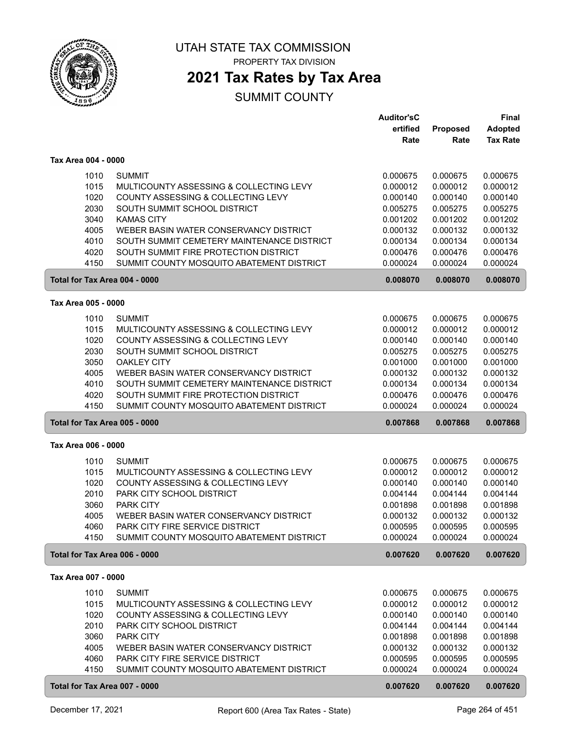

PROPERTY TAX DIVISION

### **2021 Tax Rates by Tax Area**

|                     |                                            | <b>Auditor'sC</b> |          | <b>Final</b>    |
|---------------------|--------------------------------------------|-------------------|----------|-----------------|
|                     |                                            | ertified          | Proposed | <b>Adopted</b>  |
|                     |                                            | Rate              | Rate     | <b>Tax Rate</b> |
| Tax Area 004 - 0000 |                                            |                   |          |                 |
| 1010                | <b>SUMMIT</b>                              | 0.000675          | 0.000675 | 0.000675        |
| 1015                | MULTICOUNTY ASSESSING & COLLECTING LEVY    | 0.000012          | 0.000012 | 0.000012        |
| 1020                | COUNTY ASSESSING & COLLECTING LEVY         | 0.000140          | 0.000140 | 0.000140        |
| 2030                | SOUTH SUMMIT SCHOOL DISTRICT               | 0.005275          | 0.005275 | 0.005275        |
| 3040                | <b>KAMAS CITY</b>                          | 0.001202          | 0.001202 | 0.001202        |
| 4005                | WEBER BASIN WATER CONSERVANCY DISTRICT     | 0.000132          | 0.000132 | 0.000132        |
| 4010                | SOUTH SUMMIT CEMETERY MAINTENANCE DISTRICT | 0.000134          | 0.000134 | 0.000134        |
| 4020                | SOUTH SUMMIT FIRE PROTECTION DISTRICT      | 0.000476          | 0.000476 | 0.000476        |
| 4150                | SUMMIT COUNTY MOSQUITO ABATEMENT DISTRICT  | 0.000024          | 0.000024 | 0.000024        |
|                     | Total for Tax Area 004 - 0000              | 0.008070          | 0.008070 | 0.008070        |
|                     |                                            |                   |          |                 |
| Tax Area 005 - 0000 |                                            |                   |          |                 |
| 1010                | <b>SUMMIT</b>                              | 0.000675          | 0.000675 | 0.000675        |
| 1015                | MULTICOUNTY ASSESSING & COLLECTING LEVY    | 0.000012          | 0.000012 | 0.000012        |
| 1020                | COUNTY ASSESSING & COLLECTING LEVY         | 0.000140          | 0.000140 | 0.000140        |
| 2030                | SOUTH SUMMIT SCHOOL DISTRICT               | 0.005275          | 0.005275 | 0.005275        |
| 3050                | <b>OAKLEY CITY</b>                         | 0.001000          | 0.001000 | 0.001000        |
| 4005                | WEBER BASIN WATER CONSERVANCY DISTRICT     | 0.000132          | 0.000132 | 0.000132        |
| 4010                | SOUTH SUMMIT CEMETERY MAINTENANCE DISTRICT | 0.000134          | 0.000134 | 0.000134        |
| 4020                | SOUTH SUMMIT FIRE PROTECTION DISTRICT      | 0.000476          | 0.000476 | 0.000476        |
| 4150                | SUMMIT COUNTY MOSQUITO ABATEMENT DISTRICT  | 0.000024          | 0.000024 | 0.000024        |
|                     | Total for Tax Area 005 - 0000              | 0.007868          | 0.007868 | 0.007868        |
| Tax Area 006 - 0000 |                                            |                   |          |                 |
| 1010                | <b>SUMMIT</b>                              | 0.000675          | 0.000675 | 0.000675        |
| 1015                | MULTICOUNTY ASSESSING & COLLECTING LEVY    | 0.000012          | 0.000012 | 0.000012        |
| 1020                | COUNTY ASSESSING & COLLECTING LEVY         | 0.000140          | 0.000140 | 0.000140        |
| 2010                | PARK CITY SCHOOL DISTRICT                  | 0.004144          | 0.004144 | 0.004144        |
| 3060                | PARK CITY                                  | 0.001898          | 0.001898 | 0.001898        |
| 4005                | WEBER BASIN WATER CONSERVANCY DISTRICT     | 0.000132          | 0.000132 | 0.000132        |
| 4060                | <b>PARK CITY FIRE SERVICE DISTRICT</b>     | 0.000595          | 0.000595 | 0.000595        |
| 4150                | SUMMIT COUNTY MOSQUITO ABATEMENT DISTRICT  | 0.000024          | 0.000024 | 0.000024        |
|                     | Total for Tax Area 006 - 0000              | 0.007620          | 0.007620 | 0.007620        |
| Tax Area 007 - 0000 |                                            |                   |          |                 |
|                     |                                            |                   |          |                 |
| 1010                | <b>SUMMIT</b>                              | 0.000675          | 0.000675 | 0.000675        |
| 1015                | MULTICOUNTY ASSESSING & COLLECTING LEVY    | 0.000012          | 0.000012 | 0.000012        |
| 1020                | COUNTY ASSESSING & COLLECTING LEVY         | 0.000140          | 0.000140 | 0.000140        |
| 2010                | PARK CITY SCHOOL DISTRICT                  | 0.004144          | 0.004144 | 0.004144        |
| 3060                | PARK CITY                                  | 0.001898          | 0.001898 | 0.001898        |
| 4005                | WEBER BASIN WATER CONSERVANCY DISTRICT     | 0.000132          | 0.000132 | 0.000132        |
| 4060                | PARK CITY FIRE SERVICE DISTRICT            | 0.000595          | 0.000595 | 0.000595        |
| 4150                | SUMMIT COUNTY MOSQUITO ABATEMENT DISTRICT  | 0.000024          | 0.000024 | 0.000024        |
|                     | Total for Tax Area 007 - 0000              | 0.007620          | 0.007620 | 0.007620        |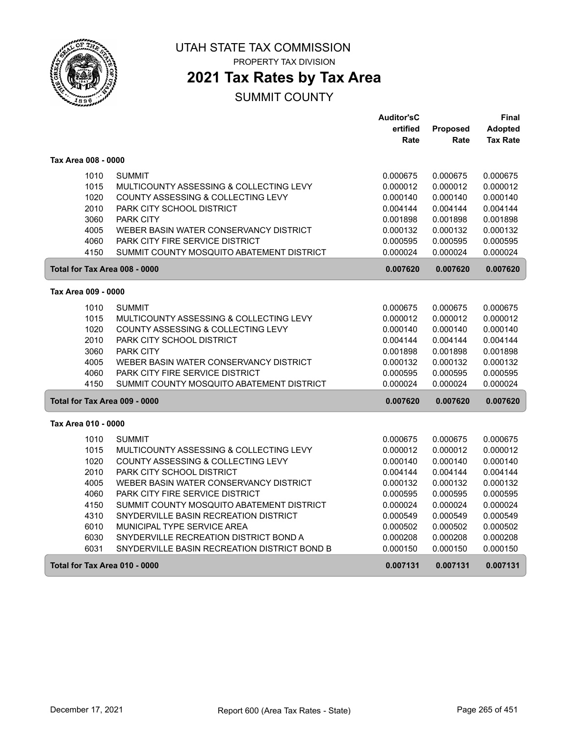

PROPERTY TAX DIVISION

## **2021 Tax Rates by Tax Area**

|                     |                                              | <b>Auditor'sC</b> |          | Final           |
|---------------------|----------------------------------------------|-------------------|----------|-----------------|
|                     |                                              | ertified          | Proposed | <b>Adopted</b>  |
|                     |                                              | Rate              | Rate     | <b>Tax Rate</b> |
| Tax Area 008 - 0000 |                                              |                   |          |                 |
| 1010                | <b>SUMMIT</b>                                | 0.000675          | 0.000675 | 0.000675        |
| 1015                | MULTICOUNTY ASSESSING & COLLECTING LEVY      | 0.000012          | 0.000012 | 0.000012        |
| 1020                | COUNTY ASSESSING & COLLECTING LEVY           | 0.000140          | 0.000140 | 0.000140        |
| 2010                | <b>PARK CITY SCHOOL DISTRICT</b>             | 0.004144          | 0.004144 | 0.004144        |
| 3060                | <b>PARK CITY</b>                             | 0.001898          | 0.001898 | 0.001898        |
| 4005                | WEBER BASIN WATER CONSERVANCY DISTRICT       | 0.000132          | 0.000132 | 0.000132        |
| 4060                | PARK CITY FIRE SERVICE DISTRICT              | 0.000595          | 0.000595 | 0.000595        |
| 4150                | SUMMIT COUNTY MOSQUITO ABATEMENT DISTRICT    | 0.000024          | 0.000024 | 0.000024        |
|                     | Total for Tax Area 008 - 0000                | 0.007620          | 0.007620 | 0.007620        |
| Tax Area 009 - 0000 |                                              |                   |          |                 |
| 1010                | <b>SUMMIT</b>                                | 0.000675          | 0.000675 | 0.000675        |
| 1015                | MULTICOUNTY ASSESSING & COLLECTING LEVY      | 0.000012          | 0.000012 | 0.000012        |
| 1020                | COUNTY ASSESSING & COLLECTING LEVY           | 0.000140          | 0.000140 | 0.000140        |
| 2010                | <b>PARK CITY SCHOOL DISTRICT</b>             | 0.004144          | 0.004144 | 0.004144        |
| 3060                | <b>PARK CITY</b>                             | 0.001898          | 0.001898 | 0.001898        |
| 4005                | WEBER BASIN WATER CONSERVANCY DISTRICT       | 0.000132          | 0.000132 | 0.000132        |
| 4060                | PARK CITY FIRE SERVICE DISTRICT              | 0.000595          | 0.000595 | 0.000595        |
| 4150                | SUMMIT COUNTY MOSQUITO ABATEMENT DISTRICT    | 0.000024          | 0.000024 | 0.000024        |
|                     | Total for Tax Area 009 - 0000                | 0.007620          | 0.007620 | 0.007620        |
| Tax Area 010 - 0000 |                                              |                   |          |                 |
| 1010                | <b>SUMMIT</b>                                | 0.000675          | 0.000675 | 0.000675        |
| 1015                | MULTICOUNTY ASSESSING & COLLECTING LEVY      | 0.000012          | 0.000012 | 0.000012        |
| 1020                | COUNTY ASSESSING & COLLECTING LEVY           | 0.000140          | 0.000140 | 0.000140        |
| 2010                | PARK CITY SCHOOL DISTRICT                    | 0.004144          | 0.004144 | 0.004144        |
| 4005                | WEBER BASIN WATER CONSERVANCY DISTRICT       | 0.000132          | 0.000132 | 0.000132        |
| 4060                | PARK CITY FIRE SERVICE DISTRICT              | 0.000595          | 0.000595 | 0.000595        |
| 4150                | SUMMIT COUNTY MOSQUITO ABATEMENT DISTRICT    | 0.000024          | 0.000024 | 0.000024        |
| 4310                | SNYDERVILLE BASIN RECREATION DISTRICT        | 0.000549          | 0.000549 | 0.000549        |
| 6010                | MUNICIPAL TYPE SERVICE AREA                  | 0.000502          | 0.000502 | 0.000502        |
| 6030                | SNYDERVILLE RECREATION DISTRICT BOND A       | 0.000208          | 0.000208 | 0.000208        |
| 6031                | SNYDERVILLE BASIN RECREATION DISTRICT BOND B | 0.000150          | 0.000150 | 0.000150        |
|                     | Total for Tax Area 010 - 0000                | 0.007131          | 0.007131 | 0.007131        |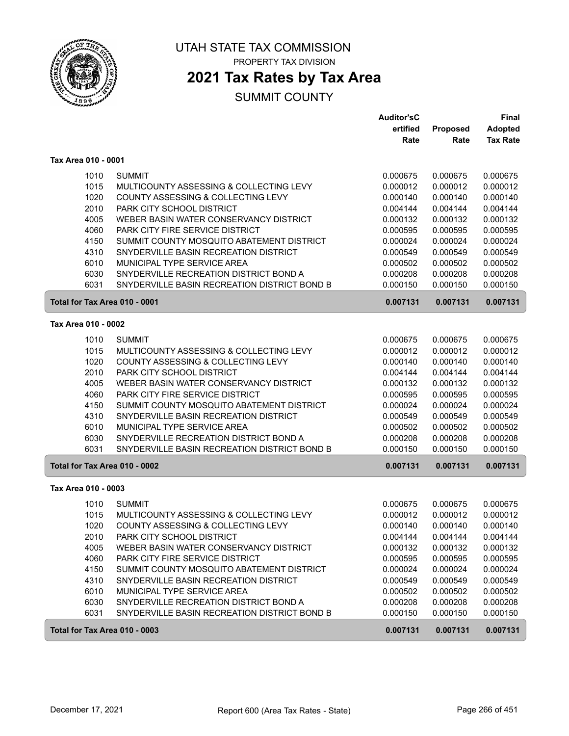

PROPERTY TAX DIVISION

# **2021 Tax Rates by Tax Area**

|                               |                                              | <b>Auditor'sC</b> |                  | <b>Final</b>                      |
|-------------------------------|----------------------------------------------|-------------------|------------------|-----------------------------------|
|                               |                                              | ertified<br>Rate  | Proposed<br>Rate | <b>Adopted</b><br><b>Tax Rate</b> |
|                               |                                              |                   |                  |                                   |
| Tax Area 010 - 0001           |                                              |                   |                  |                                   |
| 1010                          | <b>SUMMIT</b>                                | 0.000675          | 0.000675         | 0.000675                          |
| 1015                          | MULTICOUNTY ASSESSING & COLLECTING LEVY      | 0.000012          | 0.000012         | 0.000012                          |
| 1020                          | COUNTY ASSESSING & COLLECTING LEVY           | 0.000140          | 0.000140         | 0.000140                          |
| 2010                          | PARK CITY SCHOOL DISTRICT                    | 0.004144          | 0.004144         | 0.004144                          |
| 4005                          | WEBER BASIN WATER CONSERVANCY DISTRICT       | 0.000132          | 0.000132         | 0.000132                          |
| 4060                          | PARK CITY FIRE SERVICE DISTRICT              | 0.000595          | 0.000595         | 0.000595                          |
| 4150                          | SUMMIT COUNTY MOSQUITO ABATEMENT DISTRICT    | 0.000024          | 0.000024         | 0.000024                          |
| 4310                          | SNYDERVILLE BASIN RECREATION DISTRICT        | 0.000549          | 0.000549         | 0.000549                          |
| 6010                          | MUNICIPAL TYPE SERVICE AREA                  | 0.000502          | 0.000502         | 0.000502                          |
| 6030                          | SNYDERVILLE RECREATION DISTRICT BOND A       | 0.000208          | 0.000208         | 0.000208                          |
| 6031                          | SNYDERVILLE BASIN RECREATION DISTRICT BOND B | 0.000150          | 0.000150         | 0.000150                          |
| Total for Tax Area 010 - 0001 |                                              | 0.007131          | 0.007131         | 0.007131                          |
| Tax Area 010 - 0002           |                                              |                   |                  |                                   |
| 1010                          | <b>SUMMIT</b>                                | 0.000675          | 0.000675         | 0.000675                          |
| 1015                          | MULTICOUNTY ASSESSING & COLLECTING LEVY      | 0.000012          | 0.000012         | 0.000012                          |
| 1020                          | COUNTY ASSESSING & COLLECTING LEVY           | 0.000140          | 0.000140         | 0.000140                          |
| 2010                          | PARK CITY SCHOOL DISTRICT                    | 0.004144          | 0.004144         | 0.004144                          |
| 4005                          | WEBER BASIN WATER CONSERVANCY DISTRICT       | 0.000132          | 0.000132         | 0.000132                          |
| 4060                          | PARK CITY FIRE SERVICE DISTRICT              | 0.000595          | 0.000595         | 0.000595                          |
| 4150                          | SUMMIT COUNTY MOSQUITO ABATEMENT DISTRICT    | 0.000024          | 0.000024         | 0.000024                          |
| 4310                          | SNYDERVILLE BASIN RECREATION DISTRICT        | 0.000549          | 0.000549         | 0.000549                          |
| 6010                          | MUNICIPAL TYPE SERVICE AREA                  | 0.000502          | 0.000502         | 0.000502                          |
| 6030                          | SNYDERVILLE RECREATION DISTRICT BOND A       | 0.000208          | 0.000208         | 0.000208                          |
| 6031                          | SNYDERVILLE BASIN RECREATION DISTRICT BOND B | 0.000150          | 0.000150         | 0.000150                          |
| Total for Tax Area 010 - 0002 |                                              | 0.007131          | 0.007131         | 0.007131                          |
| Tax Area 010 - 0003           |                                              |                   |                  |                                   |
| 1010                          | <b>SUMMIT</b>                                | 0.000675          | 0.000675         | 0.000675                          |
| 1015                          | MULTICOUNTY ASSESSING & COLLECTING LEVY      | 0.000012          | 0.000012         | 0.000012                          |
| 1020                          | COUNTY ASSESSING & COLLECTING LEVY           | 0.000140          | 0.000140         | 0.000140                          |
| 2010                          | PARK CITY SCHOOL DISTRICT                    | 0.004144          | 0.004144         | 0.004144                          |
| 4005                          | WEBER BASIN WATER CONSERVANCY DISTRICT       | 0.000132          | 0.000132         | 0.000132                          |
| 4060                          | PARK CITY FIRE SERVICE DISTRICT              | 0.000595          | 0.000595         | 0.000595                          |
| 4150                          | SUMMIT COUNTY MOSQUITO ABATEMENT DISTRICT    | 0.000024          | 0.000024         | 0.000024                          |
| 4310                          | SNYDERVILLE BASIN RECREATION DISTRICT        | 0.000549          | 0.000549         | 0.000549                          |
| 6010                          | MUNICIPAL TYPE SERVICE AREA                  | 0.000502          | 0.000502         | 0.000502                          |
| 6030                          | SNYDERVILLE RECREATION DISTRICT BOND A       | 0.000208          | 0.000208         | 0.000208                          |
| 6031                          | SNYDERVILLE BASIN RECREATION DISTRICT BOND B | 0.000150          | 0.000150         | 0.000150                          |
| Total for Tax Area 010 - 0003 |                                              | 0.007131          | 0.007131         | 0.007131                          |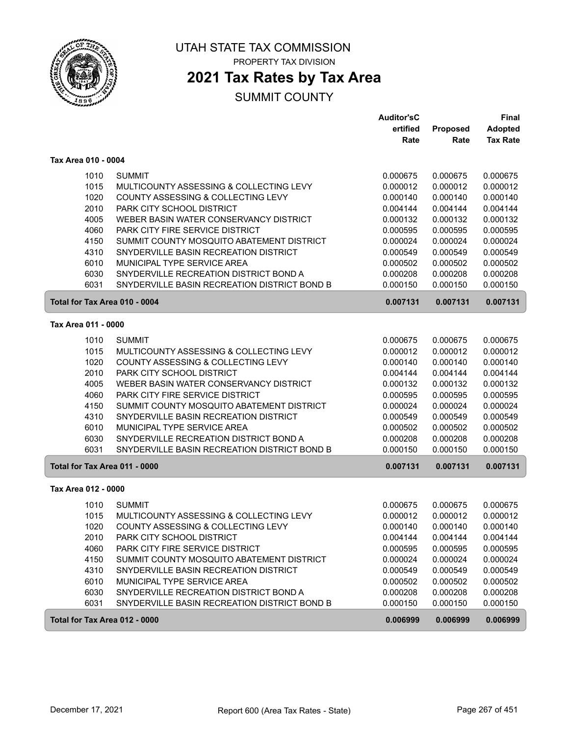

PROPERTY TAX DIVISION

## **2021 Tax Rates by Tax Area**

|                               |                                              | <b>Auditor'sC</b> |          | Final           |
|-------------------------------|----------------------------------------------|-------------------|----------|-----------------|
|                               |                                              | ertified          | Proposed | <b>Adopted</b>  |
|                               |                                              | Rate              | Rate     | <b>Tax Rate</b> |
| Tax Area 010 - 0004           |                                              |                   |          |                 |
| 1010                          | <b>SUMMIT</b>                                | 0.000675          | 0.000675 | 0.000675        |
| 1015                          | MULTICOUNTY ASSESSING & COLLECTING LEVY      | 0.000012          | 0.000012 | 0.000012        |
| 1020                          | COUNTY ASSESSING & COLLECTING LEVY           | 0.000140          | 0.000140 | 0.000140        |
| 2010                          | PARK CITY SCHOOL DISTRICT                    | 0.004144          | 0.004144 | 0.004144        |
| 4005                          | WEBER BASIN WATER CONSERVANCY DISTRICT       | 0.000132          | 0.000132 | 0.000132        |
| 4060                          | PARK CITY FIRE SERVICE DISTRICT              | 0.000595          | 0.000595 | 0.000595        |
| 4150                          | SUMMIT COUNTY MOSQUITO ABATEMENT DISTRICT    | 0.000024          | 0.000024 | 0.000024        |
| 4310                          | SNYDERVILLE BASIN RECREATION DISTRICT        | 0.000549          | 0.000549 | 0.000549        |
| 6010                          | MUNICIPAL TYPE SERVICE AREA                  | 0.000502          | 0.000502 | 0.000502        |
| 6030                          | SNYDERVILLE RECREATION DISTRICT BOND A       | 0.000208          | 0.000208 | 0.000208        |
| 6031                          | SNYDERVILLE BASIN RECREATION DISTRICT BOND B | 0.000150          | 0.000150 | 0.000150        |
| Total for Tax Area 010 - 0004 |                                              | 0.007131          | 0.007131 | 0.007131        |
| Tax Area 011 - 0000           |                                              |                   |          |                 |
| 1010                          | <b>SUMMIT</b>                                | 0.000675          | 0.000675 | 0.000675        |
| 1015                          | MULTICOUNTY ASSESSING & COLLECTING LEVY      | 0.000012          | 0.000012 | 0.000012        |
| 1020                          | COUNTY ASSESSING & COLLECTING LEVY           | 0.000140          | 0.000140 | 0.000140        |
| 2010                          | PARK CITY SCHOOL DISTRICT                    | 0.004144          | 0.004144 | 0.004144        |
| 4005                          | WEBER BASIN WATER CONSERVANCY DISTRICT       | 0.000132          | 0.000132 | 0.000132        |
| 4060                          | PARK CITY FIRE SERVICE DISTRICT              | 0.000595          | 0.000595 | 0.000595        |
| 4150                          | SUMMIT COUNTY MOSQUITO ABATEMENT DISTRICT    | 0.000024          | 0.000024 | 0.000024        |
| 4310                          | SNYDERVILLE BASIN RECREATION DISTRICT        | 0.000549          | 0.000549 | 0.000549        |
| 6010                          | MUNICIPAL TYPE SERVICE AREA                  | 0.000502          | 0.000502 | 0.000502        |
| 6030                          | SNYDERVILLE RECREATION DISTRICT BOND A       | 0.000208          | 0.000208 | 0.000208        |
| 6031                          | SNYDERVILLE BASIN RECREATION DISTRICT BOND B | 0.000150          | 0.000150 | 0.000150        |
| Total for Tax Area 011 - 0000 |                                              | 0.007131          | 0.007131 | 0.007131        |
| Tax Area 012 - 0000           |                                              |                   |          |                 |
| 1010                          | <b>SUMMIT</b>                                | 0.000675          | 0.000675 | 0.000675        |
| 1015                          | MULTICOUNTY ASSESSING & COLLECTING LEVY      | 0.000012          | 0.000012 | 0.000012        |
| 1020                          | COUNTY ASSESSING & COLLECTING LEVY           | 0.000140          | 0.000140 | 0.000140        |
| 2010                          | PARK CITY SCHOOL DISTRICT                    | 0.004144          | 0.004144 | 0.004144        |
| 4060                          | PARK CITY FIRE SERVICE DISTRICT              | 0.000595          | 0.000595 | 0.000595        |
| 4150                          | SUMMIT COUNTY MOSQUITO ABATEMENT DISTRICT    | 0.000024          | 0.000024 | 0.000024        |
| 4310                          | SNYDERVILLE BASIN RECREATION DISTRICT        | 0.000549          | 0.000549 | 0.000549        |
| 6010                          | MUNICIPAL TYPE SERVICE AREA                  | 0.000502          | 0.000502 | 0.000502        |
| 6030                          | SNYDERVILLE RECREATION DISTRICT BOND A       | 0.000208          | 0.000208 | 0.000208        |
| 6031                          | SNYDERVILLE BASIN RECREATION DISTRICT BOND B | 0.000150          | 0.000150 | 0.000150        |
| Total for Tax Area 012 - 0000 |                                              | 0.006999          | 0.006999 | 0.006999        |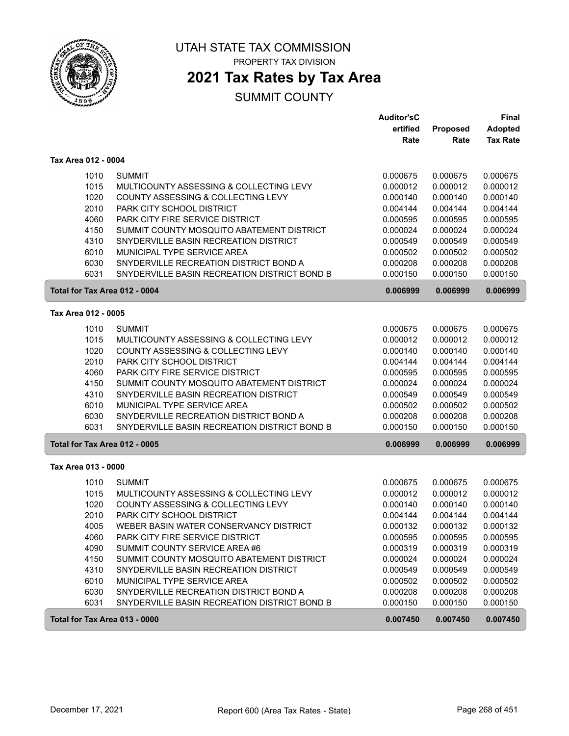

PROPERTY TAX DIVISION

### **2021 Tax Rates by Tax Area**

|                     |                                                      | <b>Auditor'sC</b> |          | <b>Final</b>    |
|---------------------|------------------------------------------------------|-------------------|----------|-----------------|
|                     |                                                      | ertified          | Proposed | <b>Adopted</b>  |
|                     |                                                      | Rate              | Rate     | <b>Tax Rate</b> |
| Tax Area 012 - 0004 |                                                      |                   |          |                 |
|                     | <b>SUMMIT</b><br>1010                                | 0.000675          | 0.000675 | 0.000675        |
|                     | 1015<br>MULTICOUNTY ASSESSING & COLLECTING LEVY      | 0.000012          | 0.000012 | 0.000012        |
|                     | 1020<br>COUNTY ASSESSING & COLLECTING LEVY           | 0.000140          | 0.000140 | 0.000140        |
|                     | 2010<br>PARK CITY SCHOOL DISTRICT                    | 0.004144          | 0.004144 | 0.004144        |
|                     | PARK CITY FIRE SERVICE DISTRICT<br>4060              | 0.000595          | 0.000595 | 0.000595        |
|                     | 4150<br>SUMMIT COUNTY MOSQUITO ABATEMENT DISTRICT    | 0.000024          | 0.000024 | 0.000024        |
|                     | 4310<br>SNYDERVILLE BASIN RECREATION DISTRICT        | 0.000549          | 0.000549 | 0.000549        |
|                     | MUNICIPAL TYPE SERVICE AREA<br>6010                  | 0.000502          | 0.000502 | 0.000502        |
|                     | SNYDERVILLE RECREATION DISTRICT BOND A<br>6030       | 0.000208          | 0.000208 | 0.000208        |
|                     | 6031<br>SNYDERVILLE BASIN RECREATION DISTRICT BOND B | 0.000150          | 0.000150 | 0.000150        |
|                     | Total for Tax Area 012 - 0004                        | 0.006999          | 0.006999 | 0.006999        |
| Tax Area 012 - 0005 |                                                      |                   |          |                 |
|                     | 1010<br><b>SUMMIT</b>                                | 0.000675          | 0.000675 | 0.000675        |
|                     | 1015<br>MULTICOUNTY ASSESSING & COLLECTING LEVY      | 0.000012          | 0.000012 | 0.000012        |
|                     | 1020<br>COUNTY ASSESSING & COLLECTING LEVY           | 0.000140          | 0.000140 | 0.000140        |
|                     | 2010<br>PARK CITY SCHOOL DISTRICT                    | 0.004144          | 0.004144 | 0.004144        |
|                     | PARK CITY FIRE SERVICE DISTRICT<br>4060              | 0.000595          | 0.000595 | 0.000595        |
|                     | 4150<br>SUMMIT COUNTY MOSQUITO ABATEMENT DISTRICT    | 0.000024          | 0.000024 | 0.000024        |
|                     | SNYDERVILLE BASIN RECREATION DISTRICT<br>4310        | 0.000549          | 0.000549 | 0.000549        |
|                     | MUNICIPAL TYPE SERVICE AREA<br>6010                  | 0.000502          | 0.000502 | 0.000502        |
|                     | 6030<br>SNYDERVILLE RECREATION DISTRICT BOND A       | 0.000208          | 0.000208 | 0.000208        |
|                     | 6031<br>SNYDERVILLE BASIN RECREATION DISTRICT BOND B | 0.000150          | 0.000150 | 0.000150        |
|                     | Total for Tax Area 012 - 0005                        | 0.006999          | 0.006999 | 0.006999        |
| Tax Area 013 - 0000 |                                                      |                   |          |                 |
|                     | 1010<br><b>SUMMIT</b>                                | 0.000675          | 0.000675 | 0.000675        |
|                     | 1015<br>MULTICOUNTY ASSESSING & COLLECTING LEVY      | 0.000012          | 0.000012 | 0.000012        |
|                     | 1020<br>COUNTY ASSESSING & COLLECTING LEVY           | 0.000140          | 0.000140 | 0.000140        |
|                     | 2010<br>PARK CITY SCHOOL DISTRICT                    | 0.004144          | 0.004144 | 0.004144        |
|                     | 4005<br>WEBER BASIN WATER CONSERVANCY DISTRICT       | 0.000132          | 0.000132 | 0.000132        |
|                     | 4060<br>PARK CITY FIRE SERVICE DISTRICT              | 0.000595          | 0.000595 | 0.000595        |
|                     | 4090<br>SUMMIT COUNTY SERVICE AREA #6                | 0.000319          | 0.000319 | 0.000319        |
|                     | 4150<br>SUMMIT COUNTY MOSQUITO ABATEMENT DISTRICT    | 0.000024          | 0.000024 | 0.000024        |
|                     | 4310<br>SNYDERVILLE BASIN RECREATION DISTRICT        | 0.000549          | 0.000549 | 0.000549        |
|                     | 6010<br>MUNICIPAL TYPE SERVICE AREA                  | 0.000502          | 0.000502 | 0.000502        |
|                     | 6030<br>SNYDERVILLE RECREATION DISTRICT BOND A       | 0.000208          | 0.000208 | 0.000208        |
|                     | 6031<br>SNYDERVILLE BASIN RECREATION DISTRICT BOND B | 0.000150          | 0.000150 | 0.000150        |
|                     | Total for Tax Area 013 - 0000                        | 0.007450          | 0.007450 | 0.007450        |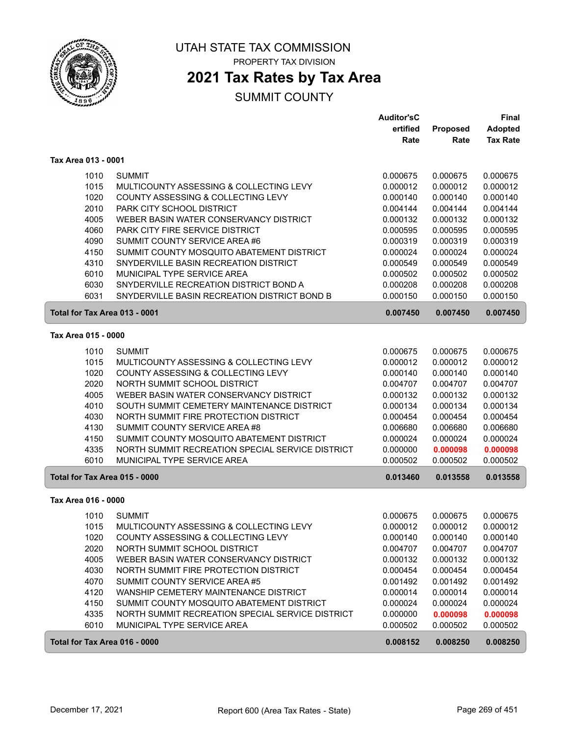

PROPERTY TAX DIVISION

# **2021 Tax Rates by Tax Area**

|                               |                                                  | <b>Auditor'sC</b> |          | Final           |
|-------------------------------|--------------------------------------------------|-------------------|----------|-----------------|
|                               |                                                  | ertified          | Proposed | <b>Adopted</b>  |
|                               |                                                  | Rate              | Rate     | <b>Tax Rate</b> |
| Tax Area 013 - 0001           |                                                  |                   |          |                 |
| 1010                          | <b>SUMMIT</b>                                    | 0.000675          | 0.000675 | 0.000675        |
| 1015                          | MULTICOUNTY ASSESSING & COLLECTING LEVY          | 0.000012          | 0.000012 | 0.000012        |
| 1020                          | COUNTY ASSESSING & COLLECTING LEVY               | 0.000140          | 0.000140 | 0.000140        |
| 2010                          | PARK CITY SCHOOL DISTRICT                        | 0.004144          | 0.004144 | 0.004144        |
| 4005                          | WEBER BASIN WATER CONSERVANCY DISTRICT           | 0.000132          | 0.000132 | 0.000132        |
| 4060                          | PARK CITY FIRE SERVICE DISTRICT                  | 0.000595          | 0.000595 | 0.000595        |
| 4090                          | SUMMIT COUNTY SERVICE AREA #6                    | 0.000319          | 0.000319 | 0.000319        |
| 4150                          | SUMMIT COUNTY MOSQUITO ABATEMENT DISTRICT        | 0.000024          | 0.000024 | 0.000024        |
| 4310                          | SNYDERVILLE BASIN RECREATION DISTRICT            | 0.000549          | 0.000549 | 0.000549        |
| 6010                          | MUNICIPAL TYPE SERVICE AREA                      | 0.000502          | 0.000502 | 0.000502        |
| 6030                          | SNYDERVILLE RECREATION DISTRICT BOND A           | 0.000208          | 0.000208 | 0.000208        |
| 6031                          | SNYDERVILLE BASIN RECREATION DISTRICT BOND B     | 0.000150          | 0.000150 | 0.000150        |
| Total for Tax Area 013 - 0001 |                                                  | 0.007450          | 0.007450 | 0.007450        |
| Tax Area 015 - 0000           |                                                  |                   |          |                 |
| 1010                          | <b>SUMMIT</b>                                    | 0.000675          | 0.000675 | 0.000675        |
| 1015                          | MULTICOUNTY ASSESSING & COLLECTING LEVY          | 0.000012          | 0.000012 | 0.000012        |
| 1020                          | COUNTY ASSESSING & COLLECTING LEVY               | 0.000140          | 0.000140 | 0.000140        |
| 2020                          | NORTH SUMMIT SCHOOL DISTRICT                     | 0.004707          | 0.004707 | 0.004707        |
| 4005                          | WEBER BASIN WATER CONSERVANCY DISTRICT           | 0.000132          | 0.000132 | 0.000132        |
| 4010                          | SOUTH SUMMIT CEMETERY MAINTENANCE DISTRICT       | 0.000134          | 0.000134 | 0.000134        |
| 4030                          | NORTH SUMMIT FIRE PROTECTION DISTRICT            | 0.000454          | 0.000454 | 0.000454        |
| 4130                          | SUMMIT COUNTY SERVICE AREA #8                    | 0.006680          | 0.006680 | 0.006680        |
| 4150                          | SUMMIT COUNTY MOSQUITO ABATEMENT DISTRICT        | 0.000024          | 0.000024 | 0.000024        |
| 4335                          | NORTH SUMMIT RECREATION SPECIAL SERVICE DISTRICT | 0.000000          | 0.000098 | 0.000098        |
| 6010                          | MUNICIPAL TYPE SERVICE AREA                      | 0.000502          | 0.000502 | 0.000502        |
| Total for Tax Area 015 - 0000 |                                                  | 0.013460          | 0.013558 | 0.013558        |
| Tax Area 016 - 0000           |                                                  |                   |          |                 |
| 1010                          | <b>SUMMIT</b>                                    | 0.000675          | 0.000675 | 0.000675        |
| 1015                          | MULTICOUNTY ASSESSING & COLLECTING LEVY          | 0.000012          | 0.000012 | 0.000012        |
| 1020                          | COUNTY ASSESSING & COLLECTING LEVY               | 0.000140          | 0.000140 | 0.000140        |
| 2020                          | NORTH SUMMIT SCHOOL DISTRICT                     | 0.004707          | 0.004707 | 0.004707        |
| 4005                          | WEBER BASIN WATER CONSERVANCY DISTRICT           | 0.000132          | 0.000132 | 0.000132        |
| 4030                          | NORTH SUMMIT FIRE PROTECTION DISTRICT            | 0.000454          | 0.000454 | 0.000454        |
| 4070                          | SUMMIT COUNTY SERVICE AREA #5                    | 0.001492          | 0.001492 | 0.001492        |
| 4120                          | WANSHIP CEMETERY MAINTENANCE DISTRICT            | 0.000014          | 0.000014 | 0.000014        |
| 4150                          | SUMMIT COUNTY MOSQUITO ABATEMENT DISTRICT        | 0.000024          | 0.000024 | 0.000024        |
| 4335                          | NORTH SUMMIT RECREATION SPECIAL SERVICE DISTRICT | 0.000000          | 0.000098 | 0.000098        |
| 6010                          | MUNICIPAL TYPE SERVICE AREA                      | 0.000502          | 0.000502 | 0.000502        |
| Total for Tax Area 016 - 0000 |                                                  | 0.008152          | 0.008250 | 0.008250        |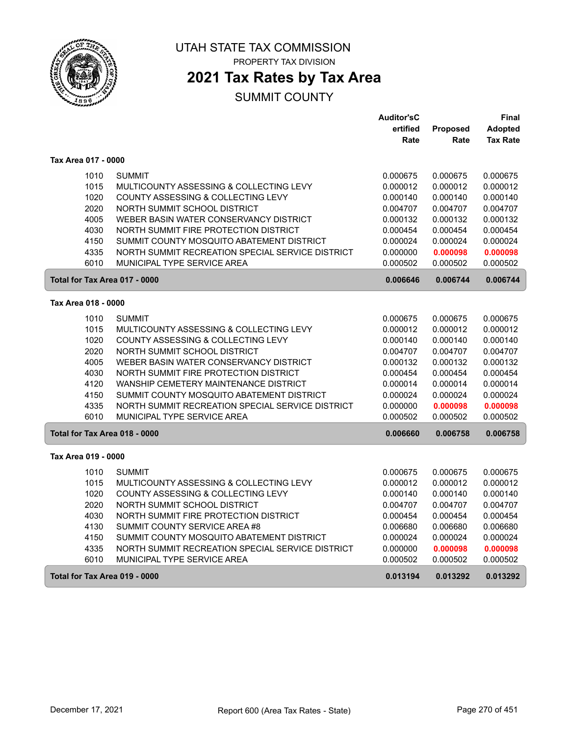

PROPERTY TAX DIVISION

## **2021 Tax Rates by Tax Area**

|                               |                                                  | <b>Auditor'sC</b> |          | Final           |
|-------------------------------|--------------------------------------------------|-------------------|----------|-----------------|
|                               |                                                  | ertified          | Proposed | Adopted         |
|                               |                                                  | Rate              | Rate     | <b>Tax Rate</b> |
| Tax Area 017 - 0000           |                                                  |                   |          |                 |
| 1010                          | <b>SUMMIT</b>                                    | 0.000675          | 0.000675 | 0.000675        |
| 1015                          | MULTICOUNTY ASSESSING & COLLECTING LEVY          | 0.000012          | 0.000012 | 0.000012        |
| 1020                          | COUNTY ASSESSING & COLLECTING LEVY               | 0.000140          | 0.000140 | 0.000140        |
| 2020                          | NORTH SUMMIT SCHOOL DISTRICT                     | 0.004707          | 0.004707 | 0.004707        |
| 4005                          | WEBER BASIN WATER CONSERVANCY DISTRICT           | 0.000132          | 0.000132 | 0.000132        |
| 4030                          | NORTH SUMMIT FIRE PROTECTION DISTRICT            | 0.000454          | 0.000454 | 0.000454        |
| 4150                          | SUMMIT COUNTY MOSQUITO ABATEMENT DISTRICT        | 0.000024          | 0.000024 | 0.000024        |
| 4335                          | NORTH SUMMIT RECREATION SPECIAL SERVICE DISTRICT | 0.000000          | 0.000098 | 0.000098        |
| 6010                          | MUNICIPAL TYPE SERVICE AREA                      | 0.000502          | 0.000502 | 0.000502        |
| Total for Tax Area 017 - 0000 |                                                  | 0.006646          | 0.006744 | 0.006744        |
| Tax Area 018 - 0000           |                                                  |                   |          |                 |
| 1010                          | <b>SUMMIT</b>                                    | 0.000675          | 0.000675 | 0.000675        |
| 1015                          | MULTICOUNTY ASSESSING & COLLECTING LEVY          | 0.000012          | 0.000012 | 0.000012        |
| 1020                          | COUNTY ASSESSING & COLLECTING LEVY               | 0.000140          | 0.000140 | 0.000140        |
| 2020                          | NORTH SUMMIT SCHOOL DISTRICT                     | 0.004707          | 0.004707 | 0.004707        |
| 4005                          | WEBER BASIN WATER CONSERVANCY DISTRICT           | 0.000132          | 0.000132 | 0.000132        |
| 4030                          | NORTH SUMMIT FIRE PROTECTION DISTRICT            | 0.000454          | 0.000454 | 0.000454        |
| 4120                          | WANSHIP CEMETERY MAINTENANCE DISTRICT            | 0.000014          | 0.000014 | 0.000014        |
| 4150                          | SUMMIT COUNTY MOSQUITO ABATEMENT DISTRICT        | 0.000024          | 0.000024 | 0.000024        |
| 4335                          | NORTH SUMMIT RECREATION SPECIAL SERVICE DISTRICT | 0.000000          | 0.000098 | 0.000098        |
| 6010                          | MUNICIPAL TYPE SERVICE AREA                      | 0.000502          | 0.000502 | 0.000502        |
| Total for Tax Area 018 - 0000 |                                                  | 0.006660          | 0.006758 | 0.006758        |
| Tax Area 019 - 0000           |                                                  |                   |          |                 |
|                               |                                                  |                   |          |                 |
| 1010                          | <b>SUMMIT</b>                                    | 0.000675          | 0.000675 | 0.000675        |
| 1015                          | MULTICOUNTY ASSESSING & COLLECTING LEVY          | 0.000012          | 0.000012 | 0.000012        |
| 1020                          | COUNTY ASSESSING & COLLECTING LEVY               | 0.000140          | 0.000140 | 0.000140        |
| 2020                          | NORTH SUMMIT SCHOOL DISTRICT                     | 0.004707          | 0.004707 | 0.004707        |
| 4030                          | NORTH SUMMIT FIRE PROTECTION DISTRICT            | 0.000454          | 0.000454 | 0.000454        |
| 4130                          | SUMMIT COUNTY SERVICE AREA #8                    | 0.006680          | 0.006680 | 0.006680        |
| 4150                          | SUMMIT COUNTY MOSQUITO ABATEMENT DISTRICT        | 0.000024          | 0.000024 | 0.000024        |
| 4335                          | NORTH SUMMIT RECREATION SPECIAL SERVICE DISTRICT | 0.000000          | 0.000098 | 0.000098        |
| 6010                          | MUNICIPAL TYPE SERVICE AREA                      | 0.000502          | 0.000502 | 0.000502        |
| Total for Tax Area 019 - 0000 |                                                  | 0.013194          | 0.013292 | 0.013292        |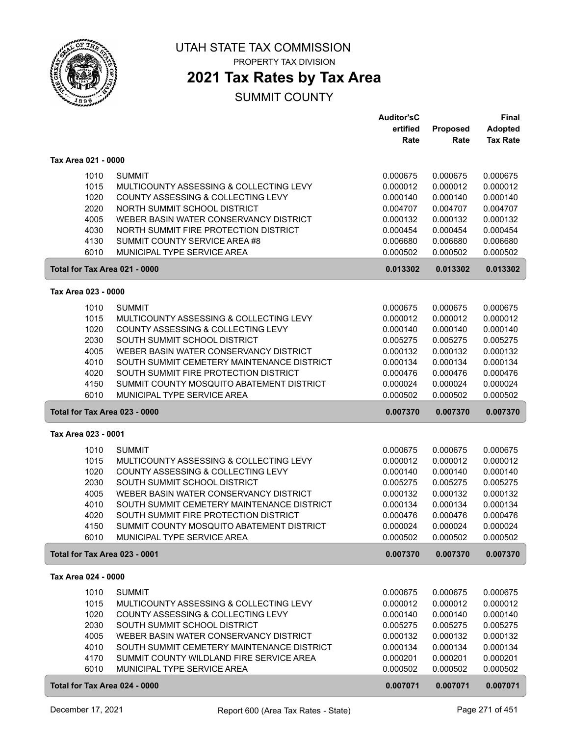

PROPERTY TAX DIVISION

### **2021 Tax Rates by Tax Area**

|                               |                                            | <b>Auditor'sC</b> |          | <b>Final</b>    |
|-------------------------------|--------------------------------------------|-------------------|----------|-----------------|
|                               |                                            | ertified          | Proposed | <b>Adopted</b>  |
|                               |                                            | Rate              | Rate     | <b>Tax Rate</b> |
|                               |                                            |                   |          |                 |
| Tax Area 021 - 0000           |                                            |                   |          |                 |
| 1010                          | <b>SUMMIT</b>                              | 0.000675          | 0.000675 | 0.000675        |
| 1015                          | MULTICOUNTY ASSESSING & COLLECTING LEVY    | 0.000012          | 0.000012 | 0.000012        |
| 1020                          | COUNTY ASSESSING & COLLECTING LEVY         | 0.000140          | 0.000140 | 0.000140        |
| 2020                          | NORTH SUMMIT SCHOOL DISTRICT               | 0.004707          | 0.004707 | 0.004707        |
| 4005                          | WEBER BASIN WATER CONSERVANCY DISTRICT     | 0.000132          | 0.000132 | 0.000132        |
| 4030                          | NORTH SUMMIT FIRE PROTECTION DISTRICT      | 0.000454          | 0.000454 | 0.000454        |
| 4130                          | SUMMIT COUNTY SERVICE AREA #8              | 0.006680          | 0.006680 | 0.006680        |
| 6010                          | MUNICIPAL TYPE SERVICE AREA                | 0.000502          | 0.000502 | 0.000502        |
| Total for Tax Area 021 - 0000 |                                            | 0.013302          | 0.013302 | 0.013302        |
| Tax Area 023 - 0000           |                                            |                   |          |                 |
| 1010                          | <b>SUMMIT</b>                              | 0.000675          | 0.000675 | 0.000675        |
| 1015                          | MULTICOUNTY ASSESSING & COLLECTING LEVY    | 0.000012          | 0.000012 | 0.000012        |
| 1020                          | COUNTY ASSESSING & COLLECTING LEVY         | 0.000140          | 0.000140 | 0.000140        |
| 2030                          | SOUTH SUMMIT SCHOOL DISTRICT               | 0.005275          | 0.005275 | 0.005275        |
| 4005                          | WEBER BASIN WATER CONSERVANCY DISTRICT     | 0.000132          | 0.000132 | 0.000132        |
| 4010                          | SOUTH SUMMIT CEMETERY MAINTENANCE DISTRICT | 0.000134          | 0.000134 | 0.000134        |
| 4020                          | SOUTH SUMMIT FIRE PROTECTION DISTRICT      | 0.000476          | 0.000476 | 0.000476        |
| 4150                          | SUMMIT COUNTY MOSQUITO ABATEMENT DISTRICT  | 0.000024          | 0.000024 | 0.000024        |
| 6010                          | MUNICIPAL TYPE SERVICE AREA                | 0.000502          | 0.000502 | 0.000502        |
|                               |                                            |                   |          |                 |
| Total for Tax Area 023 - 0000 |                                            | 0.007370          | 0.007370 | 0.007370        |
| Tax Area 023 - 0001           |                                            |                   |          |                 |
| 1010                          | <b>SUMMIT</b>                              | 0.000675          | 0.000675 | 0.000675        |
| 1015                          | MULTICOUNTY ASSESSING & COLLECTING LEVY    | 0.000012          | 0.000012 | 0.000012        |
| 1020                          | COUNTY ASSESSING & COLLECTING LEVY         | 0.000140          | 0.000140 | 0.000140        |
| 2030                          | SOUTH SUMMIT SCHOOL DISTRICT               | 0.005275          | 0.005275 | 0.005275        |
| 4005                          | WEBER BASIN WATER CONSERVANCY DISTRICT     | 0.000132          | 0.000132 | 0.000132        |
| 4010                          | SOUTH SUMMIT CEMETERY MAINTENANCE DISTRICT | 0.000134          | 0.000134 | 0.000134        |
| 4020                          | SOUTH SUMMIT FIRE PROTECTION DISTRICT      | 0.000476          | 0.000476 | 0.000476        |
| 4150                          | SUMMIT COUNTY MOSQUITO ABATEMENT DISTRICT  | 0.000024          | 0.000024 | 0.000024        |
| 6010                          | MUNICIPAL TYPE SERVICE AREA                | 0.000502          | 0.000502 | 0.000502        |
| Total for Tax Area 023 - 0001 |                                            | 0.007370          | 0.007370 | 0.007370        |
| Tax Area 024 - 0000           |                                            |                   |          |                 |
| 1010                          | <b>SUMMIT</b>                              | 0.000675          | 0.000675 | 0.000675        |
| 1015                          | MULTICOUNTY ASSESSING & COLLECTING LEVY    | 0.000012          | 0.000012 | 0.000012        |
| 1020                          | COUNTY ASSESSING & COLLECTING LEVY         | 0.000140          | 0.000140 | 0.000140        |
| 2030                          | SOUTH SUMMIT SCHOOL DISTRICT               | 0.005275          | 0.005275 | 0.005275        |
| 4005                          | WEBER BASIN WATER CONSERVANCY DISTRICT     | 0.000132          | 0.000132 | 0.000132        |
| 4010                          | SOUTH SUMMIT CEMETERY MAINTENANCE DISTRICT | 0.000134          | 0.000134 | 0.000134        |
| 4170                          | SUMMIT COUNTY WILDLAND FIRE SERVICE AREA   | 0.000201          | 0.000201 | 0.000201        |
| 6010                          | MUNICIPAL TYPE SERVICE AREA                | 0.000502          | 0.000502 | 0.000502        |
| Total for Tax Area 024 - 0000 |                                            | 0.007071          | 0.007071 | 0.007071        |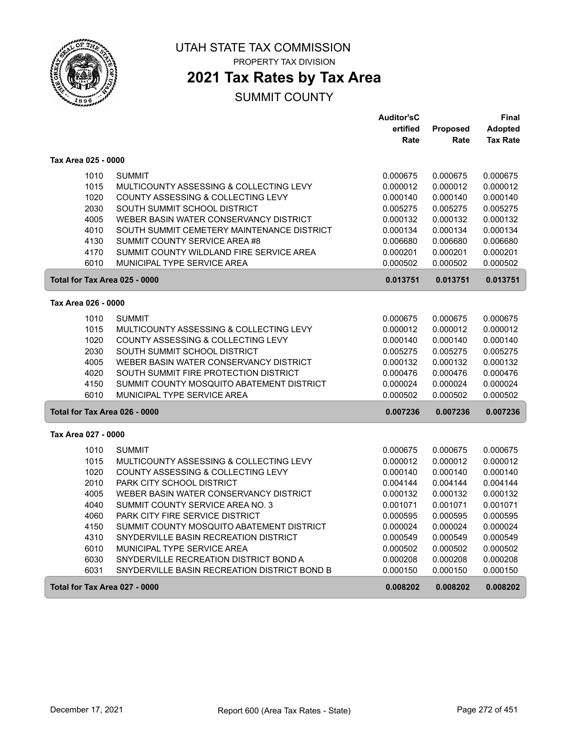

PROPERTY TAX DIVISION

# **2021 Tax Rates by Tax Area**

|                               |                                              | <b>Auditor'sC</b> |          | Final           |
|-------------------------------|----------------------------------------------|-------------------|----------|-----------------|
|                               |                                              | ertified          | Proposed | <b>Adopted</b>  |
|                               |                                              | Rate              | Rate     | <b>Tax Rate</b> |
| Tax Area 025 - 0000           |                                              |                   |          |                 |
| 1010                          | <b>SUMMIT</b>                                | 0.000675          | 0.000675 | 0.000675        |
| 1015                          | MULTICOUNTY ASSESSING & COLLECTING LEVY      | 0.000012          | 0.000012 | 0.000012        |
| 1020                          | COUNTY ASSESSING & COLLECTING LEVY           | 0.000140          | 0.000140 | 0.000140        |
| 2030                          | SOUTH SUMMIT SCHOOL DISTRICT                 | 0.005275          | 0.005275 | 0.005275        |
| 4005                          | WEBER BASIN WATER CONSERVANCY DISTRICT       | 0.000132          | 0.000132 | 0.000132        |
| 4010                          | SOUTH SUMMIT CEMETERY MAINTENANCE DISTRICT   | 0.000134          | 0.000134 | 0.000134        |
| 4130                          | SUMMIT COUNTY SERVICE AREA #8                | 0.006680          | 0.006680 | 0.006680        |
| 4170                          | SUMMIT COUNTY WILDLAND FIRE SERVICE AREA     | 0.000201          | 0.000201 | 0.000201        |
| 6010                          | MUNICIPAL TYPE SERVICE AREA                  | 0.000502          | 0.000502 | 0.000502        |
| Total for Tax Area 025 - 0000 |                                              | 0.013751          | 0.013751 | 0.013751        |
| Tax Area 026 - 0000           |                                              |                   |          |                 |
| 1010                          | <b>SUMMIT</b>                                | 0.000675          | 0.000675 | 0.000675        |
| 1015                          | MULTICOUNTY ASSESSING & COLLECTING LEVY      | 0.000012          | 0.000012 | 0.000012        |
| 1020                          | COUNTY ASSESSING & COLLECTING LEVY           | 0.000140          | 0.000140 | 0.000140        |
| 2030                          | SOUTH SUMMIT SCHOOL DISTRICT                 | 0.005275          | 0.005275 | 0.005275        |
| 4005                          | WEBER BASIN WATER CONSERVANCY DISTRICT       | 0.000132          | 0.000132 | 0.000132        |
| 4020                          | SOUTH SUMMIT FIRE PROTECTION DISTRICT        | 0.000476          | 0.000476 | 0.000476        |
| 4150                          | SUMMIT COUNTY MOSQUITO ABATEMENT DISTRICT    | 0.000024          | 0.000024 | 0.000024        |
| 6010                          | MUNICIPAL TYPE SERVICE AREA                  | 0.000502          | 0.000502 | 0.000502        |
| Total for Tax Area 026 - 0000 |                                              | 0.007236          | 0.007236 | 0.007236        |
| Tax Area 027 - 0000           |                                              |                   |          |                 |
| 1010                          | <b>SUMMIT</b>                                | 0.000675          | 0.000675 | 0.000675        |
| 1015                          | MULTICOUNTY ASSESSING & COLLECTING LEVY      | 0.000012          | 0.000012 | 0.000012        |
| 1020                          | COUNTY ASSESSING & COLLECTING LEVY           | 0.000140          | 0.000140 | 0.000140        |
| 2010                          | PARK CITY SCHOOL DISTRICT                    | 0.004144          | 0.004144 | 0.004144        |
| 4005                          | WEBER BASIN WATER CONSERVANCY DISTRICT       | 0.000132          | 0.000132 | 0.000132        |
| 4040                          | SUMMIT COUNTY SERVICE AREA NO. 3             | 0.001071          | 0.001071 | 0.001071        |
| 4060                          | PARK CITY FIRE SERVICE DISTRICT              | 0.000595          | 0.000595 | 0.000595        |
| 4150                          | SUMMIT COUNTY MOSQUITO ABATEMENT DISTRICT    | 0.000024          | 0.000024 | 0.000024        |
| 4310                          | SNYDERVILLE BASIN RECREATION DISTRICT        | 0.000549          | 0.000549 | 0.000549        |
| 6010                          | MUNICIPAL TYPE SERVICE AREA                  | 0.000502          | 0.000502 | 0.000502        |
| 6030                          | SNYDERVILLE RECREATION DISTRICT BOND A       | 0.000208          | 0.000208 | 0.000208        |
| 6031                          | SNYDERVILLE BASIN RECREATION DISTRICT BOND B | 0.000150          | 0.000150 | 0.000150        |
| Total for Tax Area 027 - 0000 |                                              | 0.008202          | 0.008202 | 0.008202        |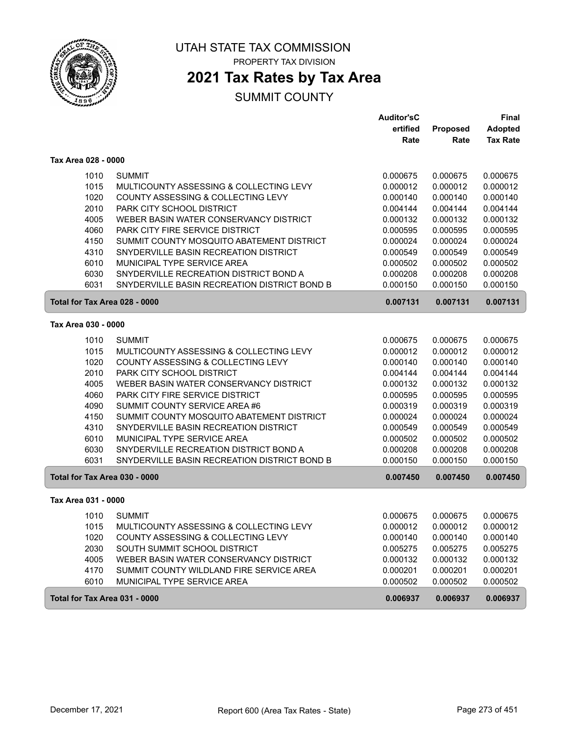

PROPERTY TAX DIVISION

## **2021 Tax Rates by Tax Area**

|                               |                                                                               | <b>Auditor'sC</b>    |                      | <b>Final</b>         |
|-------------------------------|-------------------------------------------------------------------------------|----------------------|----------------------|----------------------|
|                               |                                                                               | ertified             | Proposed             | <b>Adopted</b>       |
|                               |                                                                               | Rate                 | Rate                 | <b>Tax Rate</b>      |
| Tax Area 028 - 0000           |                                                                               |                      |                      |                      |
| 1010                          | <b>SUMMIT</b>                                                                 | 0.000675             | 0.000675             | 0.000675             |
| 1015                          | MULTICOUNTY ASSESSING & COLLECTING LEVY                                       | 0.000012             | 0.000012             | 0.000012             |
| 1020                          | COUNTY ASSESSING & COLLECTING LEVY                                            | 0.000140             | 0.000140             | 0.000140             |
| 2010                          | PARK CITY SCHOOL DISTRICT                                                     | 0.004144             | 0.004144             | 0.004144             |
| 4005                          | WEBER BASIN WATER CONSERVANCY DISTRICT                                        | 0.000132             | 0.000132             | 0.000132             |
| 4060                          | PARK CITY FIRE SERVICE DISTRICT                                               | 0.000595             | 0.000595             | 0.000595             |
| 4150                          | SUMMIT COUNTY MOSQUITO ABATEMENT DISTRICT                                     | 0.000024             | 0.000024             | 0.000024             |
| 4310                          | SNYDERVILLE BASIN RECREATION DISTRICT                                         | 0.000549             | 0.000549             | 0.000549             |
| 6010                          | MUNICIPAL TYPE SERVICE AREA                                                   | 0.000502             | 0.000502             | 0.000502             |
| 6030                          | SNYDERVILLE RECREATION DISTRICT BOND A                                        | 0.000208             | 0.000208             | 0.000208             |
| 6031                          | SNYDERVILLE BASIN RECREATION DISTRICT BOND B                                  | 0.000150             | 0.000150             | 0.000150             |
| Total for Tax Area 028 - 0000 |                                                                               | 0.007131             | 0.007131             | 0.007131             |
| Tax Area 030 - 0000           |                                                                               |                      |                      |                      |
|                               | <b>SUMMIT</b>                                                                 |                      |                      |                      |
| 1010                          |                                                                               | 0.000675             | 0.000675             | 0.000675             |
| 1015<br>1020                  | MULTICOUNTY ASSESSING & COLLECTING LEVY<br>COUNTY ASSESSING & COLLECTING LEVY | 0.000012<br>0.000140 | 0.000012<br>0.000140 | 0.000012<br>0.000140 |
| 2010                          | PARK CITY SCHOOL DISTRICT                                                     | 0.004144             | 0.004144             | 0.004144             |
| 4005                          | WEBER BASIN WATER CONSERVANCY DISTRICT                                        | 0.000132             | 0.000132             | 0.000132             |
| 4060                          | PARK CITY FIRE SERVICE DISTRICT                                               | 0.000595             | 0.000595             | 0.000595             |
| 4090                          | SUMMIT COUNTY SERVICE AREA #6                                                 | 0.000319             | 0.000319             | 0.000319             |
| 4150                          | SUMMIT COUNTY MOSQUITO ABATEMENT DISTRICT                                     | 0.000024             | 0.000024             | 0.000024             |
| 4310                          | SNYDERVILLE BASIN RECREATION DISTRICT                                         | 0.000549             | 0.000549             | 0.000549             |
| 6010                          | MUNICIPAL TYPE SERVICE AREA                                                   | 0.000502             | 0.000502             | 0.000502             |
| 6030                          | SNYDERVILLE RECREATION DISTRICT BOND A                                        | 0.000208             | 0.000208             | 0.000208             |
| 6031                          | SNYDERVILLE BASIN RECREATION DISTRICT BOND B                                  | 0.000150             | 0.000150             | 0.000150             |
| Total for Tax Area 030 - 0000 |                                                                               | 0.007450             | 0.007450             | 0.007450             |
| Tax Area 031 - 0000           |                                                                               |                      |                      |                      |
| 1010                          | <b>SUMMIT</b>                                                                 | 0.000675             | 0.000675             | 0.000675             |
| 1015                          | MULTICOUNTY ASSESSING & COLLECTING LEVY                                       | 0.000012             | 0.000012             | 0.000012             |
| 1020                          | COUNTY ASSESSING & COLLECTING LEVY                                            | 0.000140             | 0.000140             | 0.000140             |
| 2030                          | SOUTH SUMMIT SCHOOL DISTRICT                                                  | 0.005275             | 0.005275             | 0.005275             |
| 4005                          | WEBER BASIN WATER CONSERVANCY DISTRICT                                        | 0.000132             | 0.000132             | 0.000132             |
| 4170                          | SUMMIT COUNTY WILDLAND FIRE SERVICE AREA                                      | 0.000201             | 0.000201             | 0.000201             |
| 6010                          | MUNICIPAL TYPE SERVICE AREA                                                   | 0.000502             | 0.000502             | 0.000502             |
| Total for Tax Area 031 - 0000 |                                                                               | 0.006937             | 0.006937             | 0.006937             |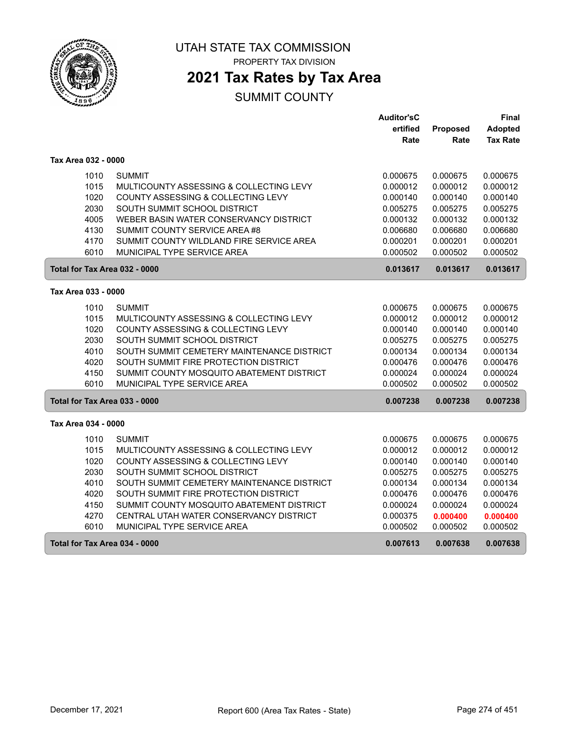

PROPERTY TAX DIVISION

## **2021 Tax Rates by Tax Area**

|                               |                                            | <b>Auditor'sC</b> |          | Final           |
|-------------------------------|--------------------------------------------|-------------------|----------|-----------------|
|                               |                                            | ertified          | Proposed | Adopted         |
|                               |                                            | Rate              | Rate     | <b>Tax Rate</b> |
| Tax Area 032 - 0000           |                                            |                   |          |                 |
| 1010                          | <b>SUMMIT</b>                              | 0.000675          | 0.000675 | 0.000675        |
| 1015                          | MULTICOUNTY ASSESSING & COLLECTING LEVY    | 0.000012          | 0.000012 | 0.000012        |
| 1020                          | COUNTY ASSESSING & COLLECTING LEVY         | 0.000140          | 0.000140 | 0.000140        |
| 2030                          | SOUTH SUMMIT SCHOOL DISTRICT               | 0.005275          | 0.005275 | 0.005275        |
| 4005                          | WEBER BASIN WATER CONSERVANCY DISTRICT     | 0.000132          | 0.000132 | 0.000132        |
| 4130                          | SUMMIT COUNTY SERVICE AREA #8              | 0.006680          | 0.006680 | 0.006680        |
| 4170                          | SUMMIT COUNTY WILDLAND FIRE SERVICE AREA   | 0.000201          | 0.000201 | 0.000201        |
| 6010                          | MUNICIPAL TYPE SERVICE AREA                | 0.000502          | 0.000502 | 0.000502        |
| Total for Tax Area 032 - 0000 |                                            | 0.013617          | 0.013617 | 0.013617        |
| Tax Area 033 - 0000           |                                            |                   |          |                 |
| 1010                          | <b>SUMMIT</b>                              | 0.000675          | 0.000675 | 0.000675        |
| 1015                          | MULTICOUNTY ASSESSING & COLLECTING LEVY    | 0.000012          | 0.000012 | 0.000012        |
| 1020                          | COUNTY ASSESSING & COLLECTING LEVY         | 0.000140          | 0.000140 | 0.000140        |
| 2030                          | SOUTH SUMMIT SCHOOL DISTRICT               | 0.005275          | 0.005275 | 0.005275        |
| 4010                          | SOUTH SUMMIT CEMETERY MAINTENANCE DISTRICT | 0.000134          | 0.000134 | 0.000134        |
| 4020                          | SOUTH SUMMIT FIRE PROTECTION DISTRICT      | 0.000476          | 0.000476 | 0.000476        |
| 4150                          | SUMMIT COUNTY MOSQUITO ABATEMENT DISTRICT  | 0.000024          | 0.000024 | 0.000024        |
| 6010                          | MUNICIPAL TYPE SERVICE AREA                | 0.000502          | 0.000502 | 0.000502        |
| Total for Tax Area 033 - 0000 |                                            | 0.007238          | 0.007238 | 0.007238        |
| Tax Area 034 - 0000           |                                            |                   |          |                 |
| 1010                          | <b>SUMMIT</b>                              | 0.000675          | 0.000675 | 0.000675        |
| 1015                          | MULTICOUNTY ASSESSING & COLLECTING LEVY    | 0.000012          | 0.000012 | 0.000012        |
| 1020                          | COUNTY ASSESSING & COLLECTING LEVY         | 0.000140          | 0.000140 | 0.000140        |
| 2030                          | SOUTH SUMMIT SCHOOL DISTRICT               | 0.005275          | 0.005275 | 0.005275        |
| 4010                          | SOUTH SUMMIT CEMETERY MAINTENANCE DISTRICT | 0.000134          | 0.000134 | 0.000134        |
| 4020                          | SOUTH SUMMIT FIRE PROTECTION DISTRICT      | 0.000476          | 0.000476 | 0.000476        |
| 4150                          | SUMMIT COUNTY MOSQUITO ABATEMENT DISTRICT  | 0.000024          | 0.000024 | 0.000024        |
| 4270                          | CENTRAL UTAH WATER CONSERVANCY DISTRICT    | 0.000375          | 0.000400 | 0.000400        |
| 6010                          | MUNICIPAL TYPE SERVICE AREA                | 0.000502          | 0.000502 | 0.000502        |
| Total for Tax Area 034 - 0000 |                                            | 0.007613          | 0.007638 | 0.007638        |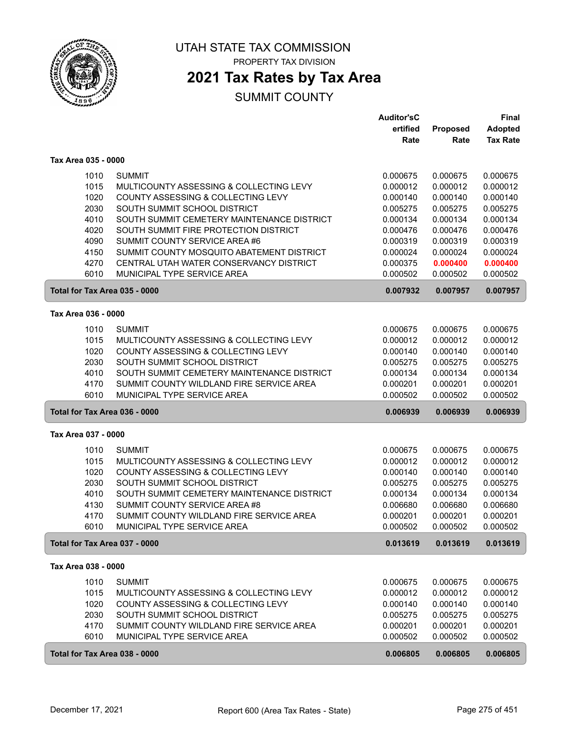

PROPERTY TAX DIVISION

### **2021 Tax Rates by Tax Area**

|                               |                                                                    | <b>Auditor'sC</b>    |                      | <b>Final</b>         |
|-------------------------------|--------------------------------------------------------------------|----------------------|----------------------|----------------------|
|                               |                                                                    | ertified             | Proposed             | <b>Adopted</b>       |
|                               |                                                                    | Rate                 | Rate                 | <b>Tax Rate</b>      |
| Tax Area 035 - 0000           |                                                                    |                      |                      |                      |
| 1010                          | <b>SUMMIT</b>                                                      | 0.000675             | 0.000675             | 0.000675             |
| 1015                          | MULTICOUNTY ASSESSING & COLLECTING LEVY                            | 0.000012             | 0.000012             | 0.000012             |
| 1020                          | COUNTY ASSESSING & COLLECTING LEVY                                 | 0.000140             | 0.000140             | 0.000140             |
| 2030                          | SOUTH SUMMIT SCHOOL DISTRICT                                       | 0.005275             | 0.005275             | 0.005275             |
| 4010                          | SOUTH SUMMIT CEMETERY MAINTENANCE DISTRICT                         | 0.000134             | 0.000134             | 0.000134             |
| 4020                          | SOUTH SUMMIT FIRE PROTECTION DISTRICT                              | 0.000476             | 0.000476             | 0.000476             |
| 4090                          | SUMMIT COUNTY SERVICE AREA #6                                      | 0.000319             | 0.000319             | 0.000319             |
| 4150                          | SUMMIT COUNTY MOSQUITO ABATEMENT DISTRICT                          | 0.000024             | 0.000024             | 0.000024             |
| 4270                          | CENTRAL UTAH WATER CONSERVANCY DISTRICT                            | 0.000375             | 0.000400             | 0.000400             |
| 6010                          | MUNICIPAL TYPE SERVICE AREA                                        | 0.000502             | 0.000502             | 0.000502             |
| Total for Tax Area 035 - 0000 |                                                                    | 0.007932             | 0.007957             | 0.007957             |
| Tax Area 036 - 0000           |                                                                    |                      |                      |                      |
| 1010                          | <b>SUMMIT</b>                                                      | 0.000675             | 0.000675             | 0.000675             |
| 1015                          | MULTICOUNTY ASSESSING & COLLECTING LEVY                            | 0.000012             | 0.000012             | 0.000012             |
| 1020                          | COUNTY ASSESSING & COLLECTING LEVY                                 | 0.000140             | 0.000140             | 0.000140             |
| 2030                          | SOUTH SUMMIT SCHOOL DISTRICT                                       | 0.005275             | 0.005275             | 0.005275             |
| 4010                          | SOUTH SUMMIT CEMETERY MAINTENANCE DISTRICT                         | 0.000134             | 0.000134             | 0.000134             |
| 4170                          | SUMMIT COUNTY WILDLAND FIRE SERVICE AREA                           | 0.000201             | 0.000201             | 0.000201             |
| 6010                          | MUNICIPAL TYPE SERVICE AREA                                        | 0.000502             | 0.000502             | 0.000502             |
| Total for Tax Area 036 - 0000 |                                                                    | 0.006939             | 0.006939             | 0.006939             |
| Tax Area 037 - 0000           |                                                                    |                      |                      |                      |
|                               |                                                                    |                      |                      |                      |
| 1010                          | <b>SUMMIT</b>                                                      | 0.000675             | 0.000675             | 0.000675             |
| 1015                          | MULTICOUNTY ASSESSING & COLLECTING LEVY                            | 0.000012             | 0.000012             | 0.000012             |
| 1020<br>2030                  | COUNTY ASSESSING & COLLECTING LEVY<br>SOUTH SUMMIT SCHOOL DISTRICT | 0.000140<br>0.005275 | 0.000140<br>0.005275 | 0.000140<br>0.005275 |
| 4010                          | SOUTH SUMMIT CEMETERY MAINTENANCE DISTRICT                         | 0.000134             | 0.000134             | 0.000134             |
| 4130                          | SUMMIT COUNTY SERVICE AREA #8                                      | 0.006680             | 0.006680             | 0.006680             |
| 4170                          | SUMMIT COUNTY WILDLAND FIRE SERVICE AREA                           | 0.000201             | 0.000201             | 0.000201             |
| 6010                          | MUNICIPAL TYPE SERVICE AREA                                        | 0.000502             | 0.000502             | 0.000502             |
| Total for Tax Area 037 - 0000 |                                                                    | 0.013619             | 0.013619             | 0.013619             |
| Tax Area 038 - 0000           |                                                                    |                      |                      |                      |
|                               |                                                                    |                      |                      | 0.000675             |
| 1010<br>1015                  | <b>SUMMIT</b><br>MULTICOUNTY ASSESSING & COLLECTING LEVY           | 0.000675<br>0.000012 | 0.000675<br>0.000012 | 0.000012             |
| 1020                          | COUNTY ASSESSING & COLLECTING LEVY                                 | 0.000140             | 0.000140             | 0.000140             |
| 2030                          | SOUTH SUMMIT SCHOOL DISTRICT                                       | 0.005275             | 0.005275             | 0.005275             |
| 4170                          | SUMMIT COUNTY WILDLAND FIRE SERVICE AREA                           | 0.000201             | 0.000201             | 0.000201             |
| 6010                          | MUNICIPAL TYPE SERVICE AREA                                        | 0.000502             | 0.000502             | 0.000502             |
|                               |                                                                    |                      |                      |                      |
| Total for Tax Area 038 - 0000 |                                                                    | 0.006805             | 0.006805             | 0.006805             |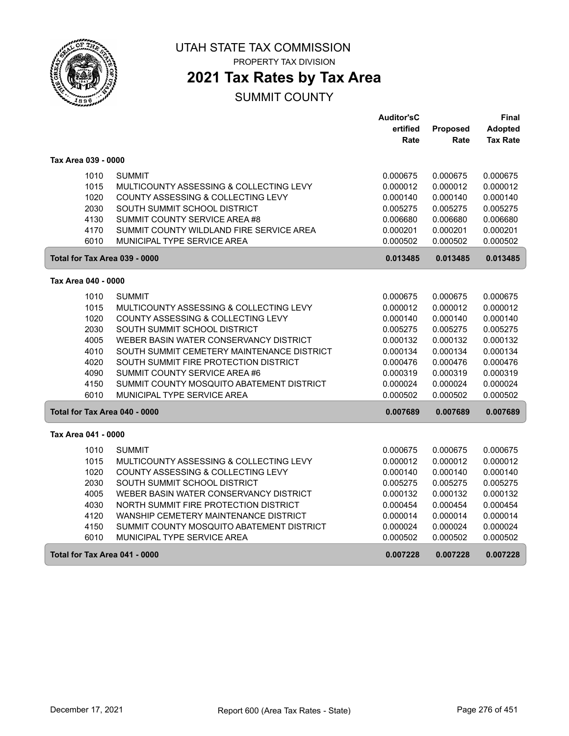

PROPERTY TAX DIVISION

# **2021 Tax Rates by Tax Area**

|                               |                                            | <b>Auditor'sC</b> |          | Final           |
|-------------------------------|--------------------------------------------|-------------------|----------|-----------------|
|                               |                                            | ertified          | Proposed | Adopted         |
|                               |                                            | Rate              | Rate     | <b>Tax Rate</b> |
| Tax Area 039 - 0000           |                                            |                   |          |                 |
| 1010                          | <b>SUMMIT</b>                              | 0.000675          | 0.000675 | 0.000675        |
| 1015                          | MULTICOUNTY ASSESSING & COLLECTING LEVY    | 0.000012          | 0.000012 | 0.000012        |
| 1020                          | COUNTY ASSESSING & COLLECTING LEVY         | 0.000140          | 0.000140 | 0.000140        |
| 2030                          | SOUTH SUMMIT SCHOOL DISTRICT               | 0.005275          | 0.005275 | 0.005275        |
| 4130                          | SUMMIT COUNTY SERVICE AREA #8              | 0.006680          | 0.006680 | 0.006680        |
| 4170                          | SUMMIT COUNTY WILDLAND FIRE SERVICE AREA   | 0.000201          | 0.000201 | 0.000201        |
| 6010                          | MUNICIPAL TYPE SERVICE AREA                | 0.000502          | 0.000502 | 0.000502        |
| Total for Tax Area 039 - 0000 |                                            | 0.013485          | 0.013485 | 0.013485        |
| Tax Area 040 - 0000           |                                            |                   |          |                 |
| 1010                          | <b>SUMMIT</b>                              | 0.000675          | 0.000675 | 0.000675        |
| 1015                          | MULTICOUNTY ASSESSING & COLLECTING LEVY    | 0.000012          | 0.000012 | 0.000012        |
| 1020                          | COUNTY ASSESSING & COLLECTING LEVY         | 0.000140          | 0.000140 | 0.000140        |
| 2030                          | SOUTH SUMMIT SCHOOL DISTRICT               | 0.005275          | 0.005275 | 0.005275        |
| 4005                          | WEBER BASIN WATER CONSERVANCY DISTRICT     | 0.000132          | 0.000132 | 0.000132        |
| 4010                          | SOUTH SUMMIT CEMETERY MAINTENANCE DISTRICT | 0.000134          | 0.000134 | 0.000134        |
| 4020                          | SOUTH SUMMIT FIRE PROTECTION DISTRICT      | 0.000476          | 0.000476 | 0.000476        |
| 4090                          | SUMMIT COUNTY SERVICE AREA #6              | 0.000319          | 0.000319 | 0.000319        |
| 4150                          | SUMMIT COUNTY MOSQUITO ABATEMENT DISTRICT  | 0.000024          | 0.000024 | 0.000024        |
| 6010                          | MUNICIPAL TYPE SERVICE AREA                | 0.000502          | 0.000502 | 0.000502        |
| Total for Tax Area 040 - 0000 |                                            | 0.007689          | 0.007689 | 0.007689        |
| Tax Area 041 - 0000           |                                            |                   |          |                 |
| 1010                          | <b>SUMMIT</b>                              | 0.000675          | 0.000675 | 0.000675        |
| 1015                          | MULTICOUNTY ASSESSING & COLLECTING LEVY    | 0.000012          | 0.000012 | 0.000012        |
| 1020                          | COUNTY ASSESSING & COLLECTING LEVY         | 0.000140          | 0.000140 | 0.000140        |
| 2030                          | SOUTH SUMMIT SCHOOL DISTRICT               | 0.005275          | 0.005275 | 0.005275        |
| 4005                          | WEBER BASIN WATER CONSERVANCY DISTRICT     | 0.000132          | 0.000132 | 0.000132        |
| 4030                          | NORTH SUMMIT FIRE PROTECTION DISTRICT      | 0.000454          | 0.000454 | 0.000454        |
| 4120                          | WANSHIP CEMETERY MAINTENANCE DISTRICT      | 0.000014          | 0.000014 | 0.000014        |
| 4150                          | SUMMIT COUNTY MOSQUITO ABATEMENT DISTRICT  | 0.000024          | 0.000024 | 0.000024        |
| 6010                          | MUNICIPAL TYPE SERVICE AREA                | 0.000502          | 0.000502 | 0.000502        |
| Total for Tax Area 041 - 0000 |                                            | 0.007228          | 0.007228 | 0.007228        |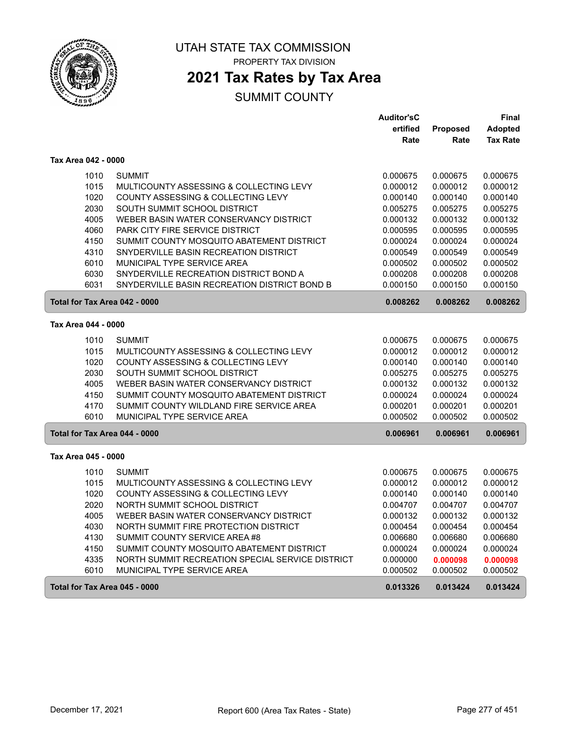

PROPERTY TAX DIVISION

# **2021 Tax Rates by Tax Area**

|                     |                                                  | <b>Auditor'sC</b> |          | Final           |
|---------------------|--------------------------------------------------|-------------------|----------|-----------------|
|                     |                                                  | ertified          | Proposed | <b>Adopted</b>  |
|                     |                                                  | Rate              | Rate     | <b>Tax Rate</b> |
| Tax Area 042 - 0000 |                                                  |                   |          |                 |
| 1010                | <b>SUMMIT</b>                                    | 0.000675          | 0.000675 | 0.000675        |
| 1015                | MULTICOUNTY ASSESSING & COLLECTING LEVY          | 0.000012          | 0.000012 | 0.000012        |
| 1020                | COUNTY ASSESSING & COLLECTING LEVY               | 0.000140          | 0.000140 | 0.000140        |
| 2030                | SOUTH SUMMIT SCHOOL DISTRICT                     | 0.005275          | 0.005275 | 0.005275        |
| 4005                | WEBER BASIN WATER CONSERVANCY DISTRICT           | 0.000132          | 0.000132 | 0.000132        |
| 4060                | PARK CITY FIRE SERVICE DISTRICT                  | 0.000595          | 0.000595 | 0.000595        |
| 4150                | SUMMIT COUNTY MOSQUITO ABATEMENT DISTRICT        | 0.000024          | 0.000024 | 0.000024        |
| 4310                | SNYDERVILLE BASIN RECREATION DISTRICT            | 0.000549          | 0.000549 | 0.000549        |
| 6010                | MUNICIPAL TYPE SERVICE AREA                      | 0.000502          | 0.000502 | 0.000502        |
| 6030                | SNYDERVILLE RECREATION DISTRICT BOND A           | 0.000208          | 0.000208 | 0.000208        |
| 6031                | SNYDERVILLE BASIN RECREATION DISTRICT BOND B     | 0.000150          | 0.000150 | 0.000150        |
|                     | Total for Tax Area 042 - 0000                    | 0.008262          | 0.008262 | 0.008262        |
| Tax Area 044 - 0000 |                                                  |                   |          |                 |
| 1010                | <b>SUMMIT</b>                                    | 0.000675          | 0.000675 | 0.000675        |
| 1015                | MULTICOUNTY ASSESSING & COLLECTING LEVY          | 0.000012          | 0.000012 | 0.000012        |
| 1020                | COUNTY ASSESSING & COLLECTING LEVY               | 0.000140          | 0.000140 | 0.000140        |
| 2030                | SOUTH SUMMIT SCHOOL DISTRICT                     | 0.005275          | 0.005275 | 0.005275        |
| 4005                | WEBER BASIN WATER CONSERVANCY DISTRICT           | 0.000132          | 0.000132 | 0.000132        |
| 4150                | SUMMIT COUNTY MOSQUITO ABATEMENT DISTRICT        | 0.000024          | 0.000024 | 0.000024        |
| 4170                | SUMMIT COUNTY WILDLAND FIRE SERVICE AREA         | 0.000201          | 0.000201 | 0.000201        |
| 6010                | MUNICIPAL TYPE SERVICE AREA                      | 0.000502          | 0.000502 | 0.000502        |
|                     | Total for Tax Area 044 - 0000                    | 0.006961          | 0.006961 | 0.006961        |
|                     |                                                  |                   |          |                 |
| Tax Area 045 - 0000 |                                                  |                   |          |                 |
| 1010                | <b>SUMMIT</b>                                    | 0.000675          | 0.000675 | 0.000675        |
| 1015                | MULTICOUNTY ASSESSING & COLLECTING LEVY          | 0.000012          | 0.000012 | 0.000012        |
| 1020                | COUNTY ASSESSING & COLLECTING LEVY               | 0.000140          | 0.000140 | 0.000140        |
| 2020                | NORTH SUMMIT SCHOOL DISTRICT                     | 0.004707          | 0.004707 | 0.004707        |
| 4005                | WEBER BASIN WATER CONSERVANCY DISTRICT           | 0.000132          | 0.000132 | 0.000132        |
| 4030                | NORTH SUMMIT FIRE PROTECTION DISTRICT            | 0.000454          | 0.000454 | 0.000454        |
| 4130                | SUMMIT COUNTY SERVICE AREA #8                    | 0.006680          | 0.006680 | 0.006680        |
| 4150                | SUMMIT COUNTY MOSQUITO ABATEMENT DISTRICT        | 0.000024          | 0.000024 | 0.000024        |
| 4335                | NORTH SUMMIT RECREATION SPECIAL SERVICE DISTRICT | 0.000000          | 0.000098 | 0.000098        |
| 6010                | MUNICIPAL TYPE SERVICE AREA                      | 0.000502          | 0.000502 | 0.000502        |
|                     | Total for Tax Area 045 - 0000                    | 0.013326          | 0.013424 | 0.013424        |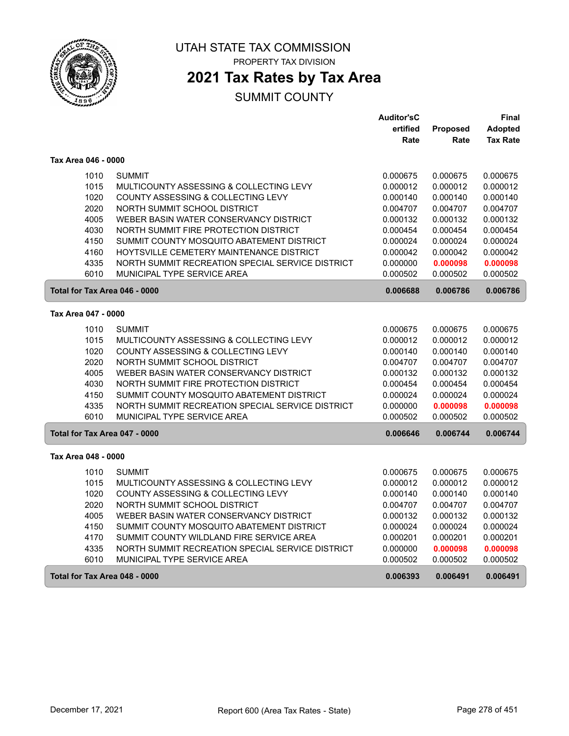

PROPERTY TAX DIVISION

## **2021 Tax Rates by Tax Area**

|                               |                                                  | <b>Auditor'sC</b> |          | Final           |
|-------------------------------|--------------------------------------------------|-------------------|----------|-----------------|
|                               |                                                  | ertified          | Proposed | Adopted         |
|                               |                                                  | Rate              | Rate     | <b>Tax Rate</b> |
| Tax Area 046 - 0000           |                                                  |                   |          |                 |
| 1010                          | <b>SUMMIT</b>                                    | 0.000675          | 0.000675 | 0.000675        |
| 1015                          | MULTICOUNTY ASSESSING & COLLECTING LEVY          | 0.000012          | 0.000012 | 0.000012        |
| 1020                          | COUNTY ASSESSING & COLLECTING LEVY               | 0.000140          | 0.000140 | 0.000140        |
| 2020                          | NORTH SUMMIT SCHOOL DISTRICT                     | 0.004707          | 0.004707 | 0.004707        |
| 4005                          | WEBER BASIN WATER CONSERVANCY DISTRICT           | 0.000132          | 0.000132 | 0.000132        |
| 4030                          | NORTH SUMMIT FIRE PROTECTION DISTRICT            | 0.000454          | 0.000454 | 0.000454        |
| 4150                          | SUMMIT COUNTY MOSQUITO ABATEMENT DISTRICT        | 0.000024          | 0.000024 | 0.000024        |
| 4160                          | HOYTSVILLE CEMETERY MAINTENANCE DISTRICT         | 0.000042          | 0.000042 | 0.000042        |
| 4335                          | NORTH SUMMIT RECREATION SPECIAL SERVICE DISTRICT | 0.000000          | 0.000098 | 0.000098        |
| 6010                          | MUNICIPAL TYPE SERVICE AREA                      | 0.000502          | 0.000502 | 0.000502        |
| Total for Tax Area 046 - 0000 |                                                  | 0.006688          | 0.006786 | 0.006786        |
| Tax Area 047 - 0000           |                                                  |                   |          |                 |
| 1010                          | <b>SUMMIT</b>                                    | 0.000675          | 0.000675 | 0.000675        |
| 1015                          | MULTICOUNTY ASSESSING & COLLECTING LEVY          | 0.000012          | 0.000012 | 0.000012        |
| 1020                          | COUNTY ASSESSING & COLLECTING LEVY               | 0.000140          | 0.000140 | 0.000140        |
| 2020                          | NORTH SUMMIT SCHOOL DISTRICT                     | 0.004707          | 0.004707 | 0.004707        |
| 4005                          | WEBER BASIN WATER CONSERVANCY DISTRICT           | 0.000132          | 0.000132 | 0.000132        |
| 4030                          | NORTH SUMMIT FIRE PROTECTION DISTRICT            | 0.000454          | 0.000454 | 0.000454        |
| 4150                          | SUMMIT COUNTY MOSQUITO ABATEMENT DISTRICT        | 0.000024          | 0.000024 | 0.000024        |
| 4335                          | NORTH SUMMIT RECREATION SPECIAL SERVICE DISTRICT | 0.000000          | 0.000098 | 0.000098        |
| 6010                          | MUNICIPAL TYPE SERVICE AREA                      | 0.000502          | 0.000502 | 0.000502        |
| Total for Tax Area 047 - 0000 |                                                  | 0.006646          | 0.006744 | 0.006744        |
| Tax Area 048 - 0000           |                                                  |                   |          |                 |
| 1010                          | <b>SUMMIT</b>                                    | 0.000675          | 0.000675 | 0.000675        |
| 1015                          | MULTICOUNTY ASSESSING & COLLECTING LEVY          | 0.000012          | 0.000012 | 0.000012        |
| 1020                          | COUNTY ASSESSING & COLLECTING LEVY               | 0.000140          | 0.000140 | 0.000140        |
| 2020                          | NORTH SUMMIT SCHOOL DISTRICT                     | 0.004707          | 0.004707 | 0.004707        |
| 4005                          | WEBER BASIN WATER CONSERVANCY DISTRICT           | 0.000132          | 0.000132 | 0.000132        |
| 4150                          | SUMMIT COUNTY MOSQUITO ABATEMENT DISTRICT        | 0.000024          | 0.000024 | 0.000024        |
| 4170                          | SUMMIT COUNTY WILDLAND FIRE SERVICE AREA         | 0.000201          | 0.000201 | 0.000201        |
| 4335                          | NORTH SUMMIT RECREATION SPECIAL SERVICE DISTRICT | 0.000000          | 0.000098 | 0.000098        |
| 6010                          | <b>MUNICIPAL TYPE SERVICE AREA</b>               | 0.000502          | 0.000502 | 0.000502        |
| Total for Tax Area 048 - 0000 |                                                  | 0.006393          | 0.006491 | 0.006491        |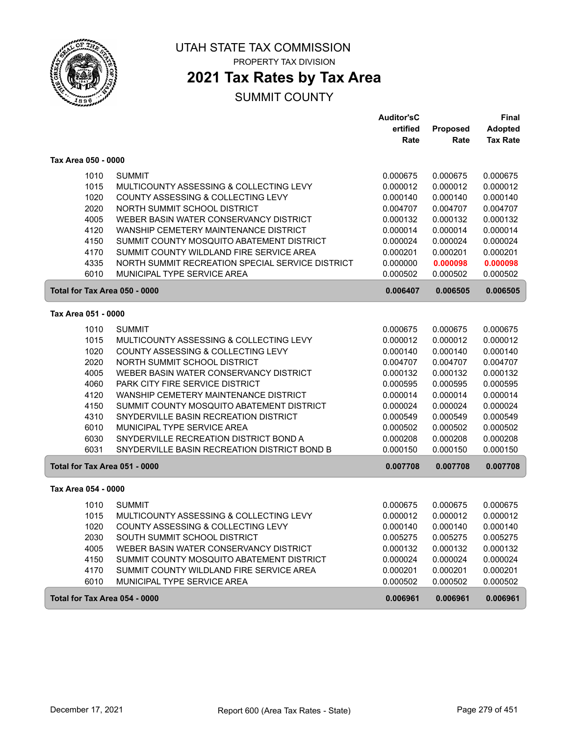

PROPERTY TAX DIVISION

## **2021 Tax Rates by Tax Area**

|                               |                                                  | <b>Auditor'sC</b> |          | <b>Final</b>    |
|-------------------------------|--------------------------------------------------|-------------------|----------|-----------------|
|                               |                                                  | ertified          | Proposed | <b>Adopted</b>  |
|                               |                                                  | Rate              | Rate     | <b>Tax Rate</b> |
| Tax Area 050 - 0000           |                                                  |                   |          |                 |
| 1010                          | <b>SUMMIT</b>                                    | 0.000675          | 0.000675 | 0.000675        |
| 1015                          | MULTICOUNTY ASSESSING & COLLECTING LEVY          | 0.000012          | 0.000012 | 0.000012        |
| 1020                          | COUNTY ASSESSING & COLLECTING LEVY               | 0.000140          | 0.000140 | 0.000140        |
| 2020                          | NORTH SUMMIT SCHOOL DISTRICT                     | 0.004707          | 0.004707 | 0.004707        |
| 4005                          | WEBER BASIN WATER CONSERVANCY DISTRICT           | 0.000132          | 0.000132 | 0.000132        |
| 4120                          | WANSHIP CEMETERY MAINTENANCE DISTRICT            | 0.000014          | 0.000014 | 0.000014        |
| 4150                          | SUMMIT COUNTY MOSQUITO ABATEMENT DISTRICT        | 0.000024          | 0.000024 | 0.000024        |
| 4170                          | SUMMIT COUNTY WILDLAND FIRE SERVICE AREA         | 0.000201          | 0.000201 | 0.000201        |
| 4335                          | NORTH SUMMIT RECREATION SPECIAL SERVICE DISTRICT | 0.000000          | 0.000098 | 0.000098        |
| 6010                          | MUNICIPAL TYPE SERVICE AREA                      | 0.000502          | 0.000502 | 0.000502        |
| Total for Tax Area 050 - 0000 |                                                  | 0.006407          | 0.006505 | 0.006505        |
|                               |                                                  |                   |          |                 |
| Tax Area 051 - 0000           |                                                  |                   |          |                 |
| 1010                          | <b>SUMMIT</b>                                    | 0.000675          | 0.000675 | 0.000675        |
| 1015                          | MULTICOUNTY ASSESSING & COLLECTING LEVY          | 0.000012          | 0.000012 | 0.000012        |
| 1020                          | COUNTY ASSESSING & COLLECTING LEVY               | 0.000140          | 0.000140 | 0.000140        |
| 2020                          | NORTH SUMMIT SCHOOL DISTRICT                     | 0.004707          | 0.004707 | 0.004707        |
| 4005                          | WEBER BASIN WATER CONSERVANCY DISTRICT           | 0.000132          | 0.000132 | 0.000132        |
| 4060                          | PARK CITY FIRE SERVICE DISTRICT                  | 0.000595          | 0.000595 | 0.000595        |
| 4120                          | WANSHIP CEMETERY MAINTENANCE DISTRICT            | 0.000014          | 0.000014 | 0.000014        |
| 4150                          | SUMMIT COUNTY MOSQUITO ABATEMENT DISTRICT        | 0.000024          | 0.000024 | 0.000024        |
| 4310                          | SNYDERVILLE BASIN RECREATION DISTRICT            | 0.000549          | 0.000549 | 0.000549        |
| 6010                          | MUNICIPAL TYPE SERVICE AREA                      | 0.000502          | 0.000502 | 0.000502        |
| 6030                          | SNYDERVILLE RECREATION DISTRICT BOND A           | 0.000208          | 0.000208 | 0.000208        |
| 6031                          | SNYDERVILLE BASIN RECREATION DISTRICT BOND B     | 0.000150          | 0.000150 | 0.000150        |
| Total for Tax Area 051 - 0000 |                                                  | 0.007708          | 0.007708 | 0.007708        |
| Tax Area 054 - 0000           |                                                  |                   |          |                 |
| 1010                          | <b>SUMMIT</b>                                    | 0.000675          | 0.000675 | 0.000675        |
| 1015                          | MULTICOUNTY ASSESSING & COLLECTING LEVY          | 0.000012          | 0.000012 | 0.000012        |
| 1020                          | COUNTY ASSESSING & COLLECTING LEVY               | 0.000140          | 0.000140 | 0.000140        |
| 2030                          | SOUTH SUMMIT SCHOOL DISTRICT                     | 0.005275          | 0.005275 | 0.005275        |
| 4005                          | WEBER BASIN WATER CONSERVANCY DISTRICT           | 0.000132          | 0.000132 | 0.000132        |
| 4150                          | SUMMIT COUNTY MOSQUITO ABATEMENT DISTRICT        | 0.000024          | 0.000024 | 0.000024        |
| 4170                          | SUMMIT COUNTY WILDLAND FIRE SERVICE AREA         | 0.000201          | 0.000201 | 0.000201        |
| 6010                          | MUNICIPAL TYPE SERVICE AREA                      | 0.000502          | 0.000502 | 0.000502        |
|                               |                                                  |                   |          |                 |
| Total for Tax Area 054 - 0000 |                                                  | 0.006961          | 0.006961 | 0.006961        |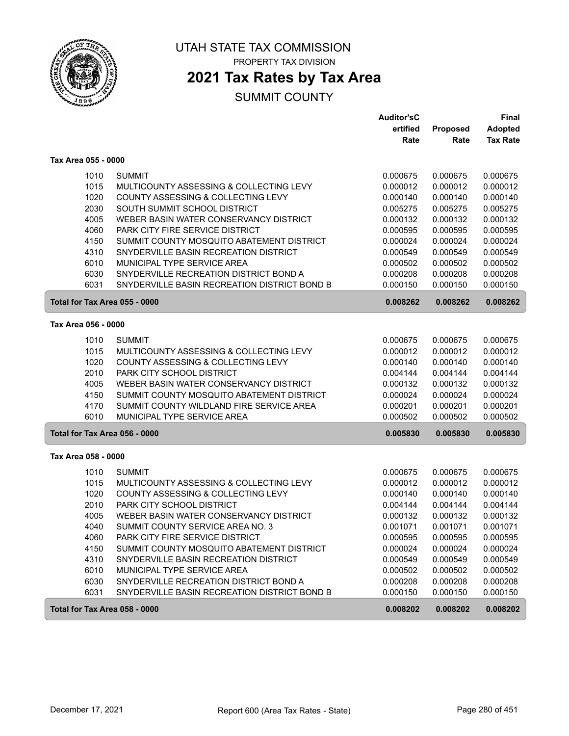

PROPERTY TAX DIVISION

# **2021 Tax Rates by Tax Area**

|                               |                                              | <b>Auditor'sC</b> |          | Final           |
|-------------------------------|----------------------------------------------|-------------------|----------|-----------------|
|                               |                                              | ertified          | Proposed | <b>Adopted</b>  |
|                               |                                              | Rate              | Rate     | <b>Tax Rate</b> |
| Tax Area 055 - 0000           |                                              |                   |          |                 |
| 1010                          | <b>SUMMIT</b>                                | 0.000675          | 0.000675 | 0.000675        |
| 1015                          | MULTICOUNTY ASSESSING & COLLECTING LEVY      | 0.000012          | 0.000012 | 0.000012        |
| 1020                          | COUNTY ASSESSING & COLLECTING LEVY           | 0.000140          | 0.000140 | 0.000140        |
| 2030                          | SOUTH SUMMIT SCHOOL DISTRICT                 | 0.005275          | 0.005275 | 0.005275        |
| 4005                          | WEBER BASIN WATER CONSERVANCY DISTRICT       | 0.000132          | 0.000132 | 0.000132        |
| 4060                          | PARK CITY FIRE SERVICE DISTRICT              | 0.000595          | 0.000595 | 0.000595        |
| 4150                          | SUMMIT COUNTY MOSQUITO ABATEMENT DISTRICT    | 0.000024          | 0.000024 | 0.000024        |
| 4310                          | SNYDERVILLE BASIN RECREATION DISTRICT        | 0.000549          | 0.000549 | 0.000549        |
| 6010                          | MUNICIPAL TYPE SERVICE AREA                  | 0.000502          | 0.000502 | 0.000502        |
| 6030                          | SNYDERVILLE RECREATION DISTRICT BOND A       | 0.000208          | 0.000208 | 0.000208        |
| 6031                          | SNYDERVILLE BASIN RECREATION DISTRICT BOND B | 0.000150          | 0.000150 | 0.000150        |
| Total for Tax Area 055 - 0000 |                                              | 0.008262          | 0.008262 | 0.008262        |
| Tax Area 056 - 0000           |                                              |                   |          |                 |
| 1010                          | <b>SUMMIT</b>                                | 0.000675          | 0.000675 | 0.000675        |
| 1015                          | MULTICOUNTY ASSESSING & COLLECTING LEVY      | 0.000012          | 0.000012 | 0.000012        |
| 1020                          | COUNTY ASSESSING & COLLECTING LEVY           | 0.000140          | 0.000140 | 0.000140        |
| 2010                          | PARK CITY SCHOOL DISTRICT                    | 0.004144          | 0.004144 | 0.004144        |
| 4005                          | WEBER BASIN WATER CONSERVANCY DISTRICT       | 0.000132          | 0.000132 | 0.000132        |
| 4150                          | SUMMIT COUNTY MOSQUITO ABATEMENT DISTRICT    | 0.000024          | 0.000024 | 0.000024        |
| 4170                          | SUMMIT COUNTY WILDLAND FIRE SERVICE AREA     | 0.000201          | 0.000201 | 0.000201        |
| 6010                          | MUNICIPAL TYPE SERVICE AREA                  | 0.000502          | 0.000502 | 0.000502        |
| Total for Tax Area 056 - 0000 |                                              | 0.005830          | 0.005830 | 0.005830        |
| Tax Area 058 - 0000           |                                              |                   |          |                 |
| 1010                          | <b>SUMMIT</b>                                | 0.000675          | 0.000675 | 0.000675        |
| 1015                          | MULTICOUNTY ASSESSING & COLLECTING LEVY      | 0.000012          | 0.000012 | 0.000012        |
| 1020                          | COUNTY ASSESSING & COLLECTING LEVY           | 0.000140          | 0.000140 | 0.000140        |
| 2010                          | PARK CITY SCHOOL DISTRICT                    | 0.004144          | 0.004144 | 0.004144        |
| 4005                          | WEBER BASIN WATER CONSERVANCY DISTRICT       | 0.000132          | 0.000132 | 0.000132        |
| 4040                          | SUMMIT COUNTY SERVICE AREA NO. 3             | 0.001071          | 0.001071 | 0.001071        |
| 4060                          | <b>PARK CITY FIRE SERVICE DISTRICT</b>       | 0.000595          | 0.000595 | 0.000595        |
| 4150                          | SUMMIT COUNTY MOSQUITO ABATEMENT DISTRICT    | 0.000024          | 0.000024 | 0.000024        |
| 4310                          | SNYDERVILLE BASIN RECREATION DISTRICT        | 0.000549          | 0.000549 | 0.000549        |
| 6010                          | MUNICIPAL TYPE SERVICE AREA                  | 0.000502          | 0.000502 | 0.000502        |
| 6030                          | SNYDERVILLE RECREATION DISTRICT BOND A       | 0.000208          | 0.000208 | 0.000208        |
| 6031                          | SNYDERVILLE BASIN RECREATION DISTRICT BOND B | 0.000150          | 0.000150 | 0.000150        |
| Total for Tax Area 058 - 0000 |                                              | 0.008202          | 0.008202 | 0.008202        |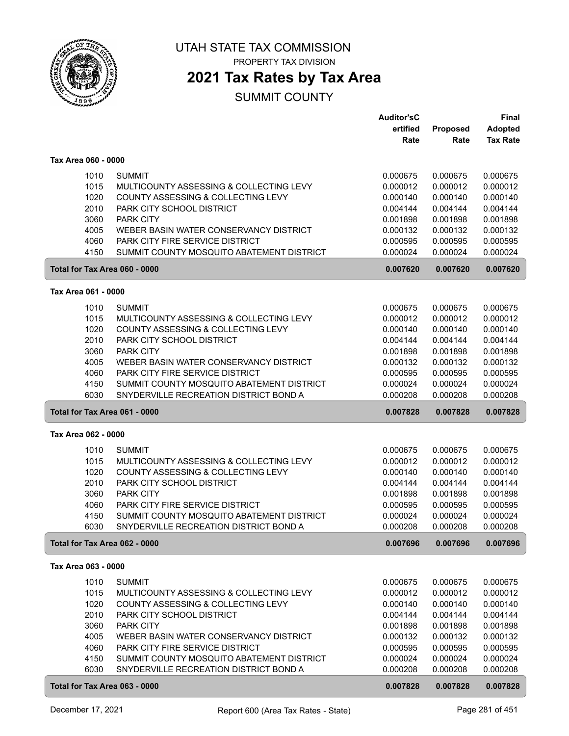

PROPERTY TAX DIVISION

### **2021 Tax Rates by Tax Area**

|                               |                                                                 | <b>Auditor'sC</b>    |                      | Final                |
|-------------------------------|-----------------------------------------------------------------|----------------------|----------------------|----------------------|
|                               |                                                                 | ertified             | Proposed             | Adopted              |
|                               |                                                                 | Rate                 | Rate                 | <b>Tax Rate</b>      |
| Tax Area 060 - 0000           |                                                                 |                      |                      |                      |
|                               |                                                                 |                      |                      |                      |
| 1010                          | <b>SUMMIT</b>                                                   | 0.000675             | 0.000675             | 0.000675             |
| 1015                          | MULTICOUNTY ASSESSING & COLLECTING LEVY                         | 0.000012             | 0.000012             | 0.000012             |
| 1020<br>2010                  | COUNTY ASSESSING & COLLECTING LEVY<br>PARK CITY SCHOOL DISTRICT | 0.000140             | 0.000140<br>0.004144 | 0.000140             |
| 3060                          | PARK CITY                                                       | 0.004144<br>0.001898 | 0.001898             | 0.004144<br>0.001898 |
| 4005                          | WEBER BASIN WATER CONSERVANCY DISTRICT                          | 0.000132             | 0.000132             | 0.000132             |
| 4060                          | PARK CITY FIRE SERVICE DISTRICT                                 | 0.000595             | 0.000595             | 0.000595             |
| 4150                          | SUMMIT COUNTY MOSQUITO ABATEMENT DISTRICT                       | 0.000024             | 0.000024             | 0.000024             |
| Total for Tax Area 060 - 0000 |                                                                 | 0.007620             | 0.007620             | 0.007620             |
|                               |                                                                 |                      |                      |                      |
| Tax Area 061 - 0000           |                                                                 |                      |                      |                      |
| 1010                          | <b>SUMMIT</b>                                                   | 0.000675             | 0.000675             | 0.000675             |
| 1015                          | MULTICOUNTY ASSESSING & COLLECTING LEVY                         | 0.000012             | 0.000012             | 0.000012             |
| 1020                          | COUNTY ASSESSING & COLLECTING LEVY                              | 0.000140             | 0.000140             | 0.000140             |
| 2010                          | PARK CITY SCHOOL DISTRICT                                       | 0.004144             | 0.004144             | 0.004144             |
| 3060                          | <b>PARK CITY</b>                                                | 0.001898             | 0.001898             | 0.001898             |
| 4005                          | WEBER BASIN WATER CONSERVANCY DISTRICT                          | 0.000132             | 0.000132             | 0.000132             |
| 4060                          | PARK CITY FIRE SERVICE DISTRICT                                 | 0.000595             | 0.000595             | 0.000595             |
| 4150                          | SUMMIT COUNTY MOSQUITO ABATEMENT DISTRICT                       | 0.000024             | 0.000024             | 0.000024             |
| 6030                          | SNYDERVILLE RECREATION DISTRICT BOND A                          | 0.000208             | 0.000208             | 0.000208             |
| Total for Tax Area 061 - 0000 |                                                                 | 0.007828             | 0.007828             | 0.007828             |
| Tax Area 062 - 0000           |                                                                 |                      |                      |                      |
| 1010                          | <b>SUMMIT</b>                                                   | 0.000675             | 0.000675             | 0.000675             |
| 1015                          | MULTICOUNTY ASSESSING & COLLECTING LEVY                         | 0.000012             | 0.000012             | 0.000012             |
| 1020                          | COUNTY ASSESSING & COLLECTING LEVY                              | 0.000140             | 0.000140             | 0.000140             |
| 2010                          | PARK CITY SCHOOL DISTRICT                                       | 0.004144             | 0.004144             | 0.004144             |
| 3060                          | PARK CITY                                                       | 0.001898             | 0.001898             | 0.001898             |
| 4060                          | <b>PARK CITY FIRE SERVICE DISTRICT</b>                          | 0.000595             | 0.000595             | 0.000595             |
| 4150                          | SUMMIT COUNTY MOSQUITO ABATEMENT DISTRICT                       | 0.000024             | 0.000024             | 0.000024             |
| 6030                          | SNYDERVILLE RECREATION DISTRICT BOND A                          | 0.000208             | 0.000208             | 0.000208             |
| Total for Tax Area 062 - 0000 |                                                                 | 0.007696             | 0.007696             | 0.007696             |
| Tax Area 063 - 0000           |                                                                 |                      |                      |                      |
| 1010                          | <b>SUMMIT</b>                                                   | 0.000675             | 0.000675             | 0.000675             |
| 1015                          | MULTICOUNTY ASSESSING & COLLECTING LEVY                         | 0.000012             | 0.000012             | 0.000012             |
| 1020                          | COUNTY ASSESSING & COLLECTING LEVY                              | 0.000140             | 0.000140             | 0.000140             |
| 2010                          | PARK CITY SCHOOL DISTRICT                                       | 0.004144             | 0.004144             | 0.004144             |
| 3060                          | PARK CITY                                                       | 0.001898             | 0.001898             | 0.001898             |
| 4005                          | WEBER BASIN WATER CONSERVANCY DISTRICT                          | 0.000132             | 0.000132             | 0.000132             |
| 4060                          | PARK CITY FIRE SERVICE DISTRICT                                 | 0.000595             | 0.000595             | 0.000595             |
| 4150                          | SUMMIT COUNTY MOSQUITO ABATEMENT DISTRICT                       | 0.000024             | 0.000024             | 0.000024             |
| 6030                          | SNYDERVILLE RECREATION DISTRICT BOND A                          | 0.000208             | 0.000208             | 0.000208             |
|                               |                                                                 |                      |                      |                      |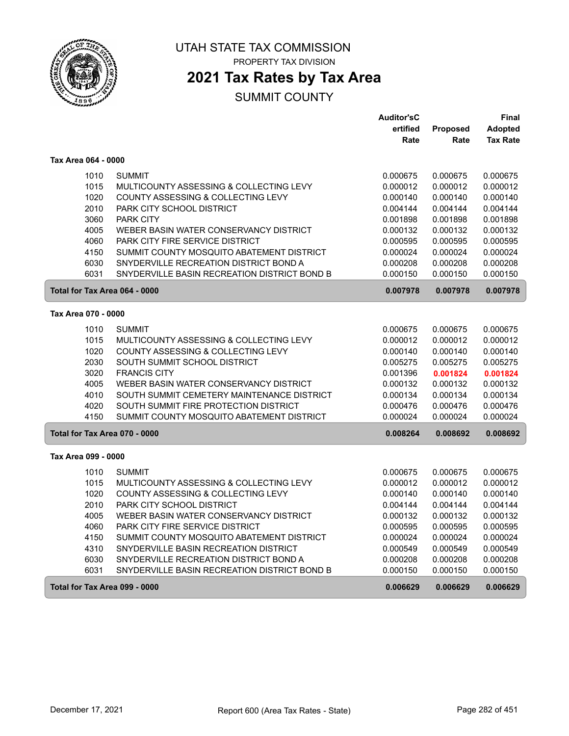

PROPERTY TAX DIVISION

# **2021 Tax Rates by Tax Area**

|                               |                                              | <b>Auditor'sC</b> |          | Final           |
|-------------------------------|----------------------------------------------|-------------------|----------|-----------------|
|                               |                                              | ertified          | Proposed | <b>Adopted</b>  |
|                               |                                              | Rate              | Rate     | <b>Tax Rate</b> |
| Tax Area 064 - 0000           |                                              |                   |          |                 |
| 1010                          | <b>SUMMIT</b>                                | 0.000675          | 0.000675 | 0.000675        |
| 1015                          | MULTICOUNTY ASSESSING & COLLECTING LEVY      | 0.000012          | 0.000012 | 0.000012        |
| 1020                          | COUNTY ASSESSING & COLLECTING LEVY           | 0.000140          | 0.000140 | 0.000140        |
| 2010                          | PARK CITY SCHOOL DISTRICT                    | 0.004144          | 0.004144 | 0.004144        |
| 3060                          | <b>PARK CITY</b>                             | 0.001898          | 0.001898 | 0.001898        |
| 4005                          | WEBER BASIN WATER CONSERVANCY DISTRICT       | 0.000132          | 0.000132 | 0.000132        |
| 4060                          | PARK CITY FIRE SERVICE DISTRICT              | 0.000595          | 0.000595 | 0.000595        |
| 4150                          | SUMMIT COUNTY MOSQUITO ABATEMENT DISTRICT    | 0.000024          | 0.000024 | 0.000024        |
| 6030                          | SNYDERVILLE RECREATION DISTRICT BOND A       | 0.000208          | 0.000208 | 0.000208        |
| 6031                          | SNYDERVILLE BASIN RECREATION DISTRICT BOND B | 0.000150          | 0.000150 | 0.000150        |
| Total for Tax Area 064 - 0000 |                                              | 0.007978          | 0.007978 | 0.007978        |
| Tax Area 070 - 0000           |                                              |                   |          |                 |
| 1010                          | <b>SUMMIT</b>                                | 0.000675          | 0.000675 | 0.000675        |
| 1015                          | MULTICOUNTY ASSESSING & COLLECTING LEVY      | 0.000012          | 0.000012 | 0.000012        |
| 1020                          | COUNTY ASSESSING & COLLECTING LEVY           | 0.000140          | 0.000140 | 0.000140        |
| 2030                          | SOUTH SUMMIT SCHOOL DISTRICT                 | 0.005275          | 0.005275 | 0.005275        |
| 3020                          | <b>FRANCIS CITY</b>                          | 0.001396          | 0.001824 | 0.001824        |
| 4005                          | WEBER BASIN WATER CONSERVANCY DISTRICT       | 0.000132          | 0.000132 | 0.000132        |
| 4010                          | SOUTH SUMMIT CEMETERY MAINTENANCE DISTRICT   | 0.000134          | 0.000134 | 0.000134        |
| 4020                          | SOUTH SUMMIT FIRE PROTECTION DISTRICT        | 0.000476          | 0.000476 | 0.000476        |
| 4150                          | SUMMIT COUNTY MOSQUITO ABATEMENT DISTRICT    | 0.000024          | 0.000024 | 0.000024        |
| Total for Tax Area 070 - 0000 |                                              | 0.008264          | 0.008692 | 0.008692        |
| Tax Area 099 - 0000           |                                              |                   |          |                 |
|                               |                                              |                   |          |                 |
| 1010                          | <b>SUMMIT</b>                                | 0.000675          | 0.000675 | 0.000675        |
| 1015                          | MULTICOUNTY ASSESSING & COLLECTING LEVY      | 0.000012          | 0.000012 | 0.000012        |
| 1020                          | COUNTY ASSESSING & COLLECTING LEVY           | 0.000140          | 0.000140 | 0.000140        |
| 2010                          | PARK CITY SCHOOL DISTRICT                    | 0.004144          | 0.004144 | 0.004144        |
| 4005                          | WEBER BASIN WATER CONSERVANCY DISTRICT       | 0.000132          | 0.000132 | 0.000132        |
| 4060                          | <b>PARK CITY FIRE SERVICE DISTRICT</b>       | 0.000595          | 0.000595 | 0.000595        |
| 4150                          | SUMMIT COUNTY MOSQUITO ABATEMENT DISTRICT    | 0.000024          | 0.000024 | 0.000024        |
| 4310                          | SNYDERVILLE BASIN RECREATION DISTRICT        | 0.000549          | 0.000549 | 0.000549        |
| 6030                          | SNYDERVILLE RECREATION DISTRICT BOND A       | 0.000208          | 0.000208 | 0.000208        |
| 6031                          | SNYDERVILLE BASIN RECREATION DISTRICT BOND B | 0.000150          | 0.000150 | 0.000150        |
| Total for Tax Area 099 - 0000 |                                              | 0.006629          | 0.006629 | 0.006629        |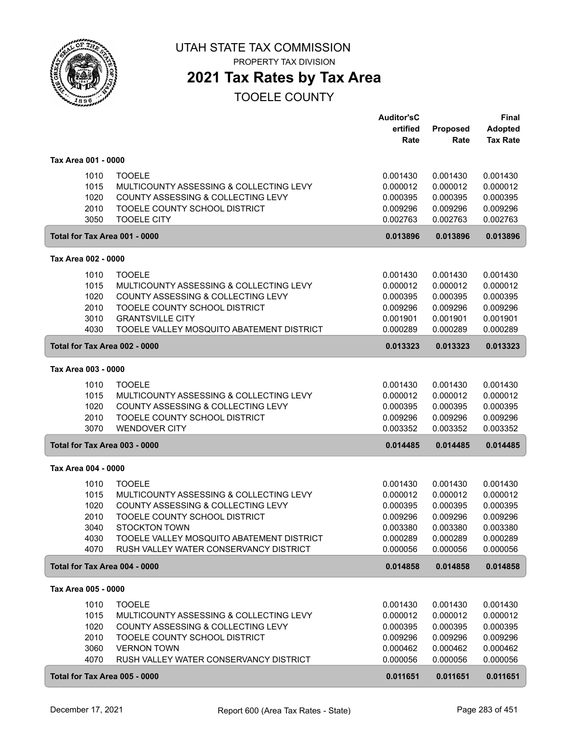

PROPERTY TAX DIVISION

### **2021 Tax Rates by Tax Area**

|                     |      |                                           | <b>Auditor'sC</b> |          | Final           |
|---------------------|------|-------------------------------------------|-------------------|----------|-----------------|
|                     |      |                                           | ertified          | Proposed | <b>Adopted</b>  |
|                     |      |                                           | Rate              | Rate     | <b>Tax Rate</b> |
| Tax Area 001 - 0000 |      |                                           |                   |          |                 |
|                     | 1010 | <b>TOOELE</b>                             | 0.001430          | 0.001430 | 0.001430        |
|                     | 1015 | MULTICOUNTY ASSESSING & COLLECTING LEVY   | 0.000012          | 0.000012 | 0.000012        |
|                     | 1020 | COUNTY ASSESSING & COLLECTING LEVY        | 0.000395          | 0.000395 | 0.000395        |
|                     | 2010 | TOOELE COUNTY SCHOOL DISTRICT             | 0.009296          | 0.009296 | 0.009296        |
|                     | 3050 | <b>TOOELE CITY</b>                        | 0.002763          | 0.002763 | 0.002763        |
|                     |      | Total for Tax Area 001 - 0000             | 0.013896          | 0.013896 | 0.013896        |
| Tax Area 002 - 0000 |      |                                           |                   |          |                 |
|                     | 1010 | <b>TOOELE</b>                             | 0.001430          | 0.001430 | 0.001430        |
|                     | 1015 | MULTICOUNTY ASSESSING & COLLECTING LEVY   | 0.000012          | 0.000012 | 0.000012        |
|                     | 1020 | COUNTY ASSESSING & COLLECTING LEVY        | 0.000395          | 0.000395 | 0.000395        |
|                     | 2010 | TOOELE COUNTY SCHOOL DISTRICT             | 0.009296          | 0.009296 | 0.009296        |
|                     | 3010 | <b>GRANTSVILLE CITY</b>                   | 0.001901          | 0.001901 | 0.001901        |
|                     | 4030 | TOOELE VALLEY MOSQUITO ABATEMENT DISTRICT | 0.000289          | 0.000289 | 0.000289        |
|                     |      | Total for Tax Area 002 - 0000             | 0.013323          | 0.013323 | 0.013323        |
| Tax Area 003 - 0000 |      |                                           |                   |          |                 |
|                     | 1010 | <b>TOOELE</b>                             | 0.001430          | 0.001430 | 0.001430        |
|                     | 1015 | MULTICOUNTY ASSESSING & COLLECTING LEVY   | 0.000012          | 0.000012 | 0.000012        |
|                     | 1020 | COUNTY ASSESSING & COLLECTING LEVY        | 0.000395          | 0.000395 | 0.000395        |
|                     | 2010 | TOOELE COUNTY SCHOOL DISTRICT             | 0.009296          | 0.009296 | 0.009296        |
|                     | 3070 | <b>WENDOVER CITY</b>                      | 0.003352          | 0.003352 | 0.003352        |
|                     |      | Total for Tax Area 003 - 0000             | 0.014485          | 0.014485 | 0.014485        |
| Tax Area 004 - 0000 |      |                                           |                   |          |                 |
|                     | 1010 | <b>TOOELE</b>                             | 0.001430          | 0.001430 | 0.001430        |
|                     | 1015 | MULTICOUNTY ASSESSING & COLLECTING LEVY   | 0.000012          | 0.000012 | 0.000012        |
|                     | 1020 | COUNTY ASSESSING & COLLECTING LEVY        | 0.000395          | 0.000395 | 0.000395        |
|                     | 2010 | TOOELE COUNTY SCHOOL DISTRICT             | 0.009296          | 0.009296 | 0.009296        |
|                     | 3040 | <b>STOCKTON TOWN</b>                      | 0.003380          | 0.003380 | 0.003380        |
|                     | 4030 | TOOELE VALLEY MOSQUITO ABATEMENT DISTRICT | 0.000289          | 0.000289 | 0.000289        |
|                     | 4070 | RUSH VALLEY WATER CONSERVANCY DISTRICT    | 0.000056          | 0.000056 | 0.000056        |
|                     |      | Total for Tax Area 004 - 0000             | 0.014858          | 0.014858 | 0.014858        |
| Tax Area 005 - 0000 |      |                                           |                   |          |                 |
|                     | 1010 | <b>TOOELE</b>                             | 0.001430          | 0.001430 | 0.001430        |
|                     | 1015 | MULTICOUNTY ASSESSING & COLLECTING LEVY   | 0.000012          | 0.000012 | 0.000012        |
|                     | 1020 | COUNTY ASSESSING & COLLECTING LEVY        | 0.000395          | 0.000395 | 0.000395        |
|                     | 2010 | TOOELE COUNTY SCHOOL DISTRICT             | 0.009296          | 0.009296 | 0.009296        |
|                     | 3060 | <b>VERNON TOWN</b>                        | 0.000462          | 0.000462 | 0.000462        |
|                     | 4070 | RUSH VALLEY WATER CONSERVANCY DISTRICT    | 0.000056          | 0.000056 | 0.000056        |
|                     |      | Total for Tax Area 005 - 0000             | 0.011651          | 0.011651 | 0.011651        |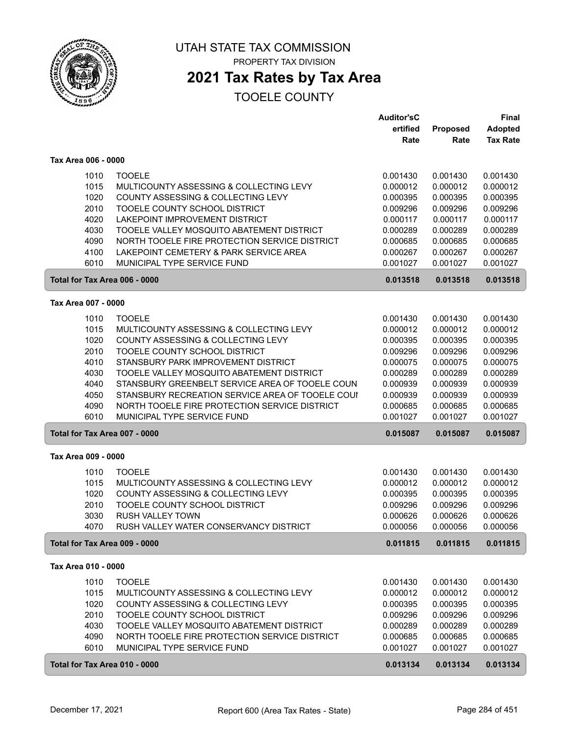

#### UTAH STATE TAX COMMISSION PROPERTY TAX DIVISION

## **2021 Tax Rates by Tax Area**

|                               |                                                  | <b>Auditor'sC</b> |          | Final           |
|-------------------------------|--------------------------------------------------|-------------------|----------|-----------------|
|                               |                                                  | ertified          | Proposed | <b>Adopted</b>  |
|                               |                                                  | Rate              | Rate     | <b>Tax Rate</b> |
| Tax Area 006 - 0000           |                                                  |                   |          |                 |
| 1010                          | <b>TOOELE</b>                                    | 0.001430          | 0.001430 | 0.001430        |
| 1015                          | MULTICOUNTY ASSESSING & COLLECTING LEVY          | 0.000012          | 0.000012 | 0.000012        |
| 1020                          | COUNTY ASSESSING & COLLECTING LEVY               | 0.000395          | 0.000395 | 0.000395        |
| 2010                          | TOOELE COUNTY SCHOOL DISTRICT                    | 0.009296          | 0.009296 | 0.009296        |
| 4020                          | LAKEPOINT IMPROVEMENT DISTRICT                   | 0.000117          | 0.000117 | 0.000117        |
| 4030                          | TOOELE VALLEY MOSQUITO ABATEMENT DISTRICT        | 0.000289          | 0.000289 | 0.000289        |
| 4090                          | NORTH TOOELE FIRE PROTECTION SERVICE DISTRICT    | 0.000685          | 0.000685 | 0.000685        |
| 4100                          | LAKEPOINT CEMETERY & PARK SERVICE AREA           | 0.000267          | 0.000267 | 0.000267        |
| 6010                          | MUNICIPAL TYPE SERVICE FUND                      | 0.001027          | 0.001027 | 0.001027        |
| Total for Tax Area 006 - 0000 |                                                  | 0.013518          | 0.013518 | 0.013518        |
| Tax Area 007 - 0000           |                                                  |                   |          |                 |
| 1010                          | <b>TOOELE</b>                                    | 0.001430          | 0.001430 | 0.001430        |
| 1015                          | MULTICOUNTY ASSESSING & COLLECTING LEVY          | 0.000012          | 0.000012 | 0.000012        |
| 1020                          | COUNTY ASSESSING & COLLECTING LEVY               | 0.000395          | 0.000395 | 0.000395        |
| 2010                          | TOOELE COUNTY SCHOOL DISTRICT                    | 0.009296          | 0.009296 | 0.009296        |
| 4010                          | STANSBURY PARK IMPROVEMENT DISTRICT              | 0.000075          | 0.000075 | 0.000075        |
| 4030                          | TOOELE VALLEY MOSQUITO ABATEMENT DISTRICT        | 0.000289          | 0.000289 | 0.000289        |
| 4040                          | STANSBURY GREENBELT SERVICE AREA OF TOOELE COUN  | 0.000939          | 0.000939 | 0.000939        |
| 4050                          | STANSBURY RECREATION SERVICE AREA OF TOOELE COUI | 0.000939          | 0.000939 | 0.000939        |
| 4090                          | NORTH TOOELE FIRE PROTECTION SERVICE DISTRICT    | 0.000685          | 0.000685 | 0.000685        |
| 6010                          | MUNICIPAL TYPE SERVICE FUND                      | 0.001027          | 0.001027 | 0.001027        |
| Total for Tax Area 007 - 0000 |                                                  | 0.015087          | 0.015087 | 0.015087        |
| Tax Area 009 - 0000           |                                                  |                   |          |                 |
| 1010                          | <b>TOOELE</b>                                    | 0.001430          | 0.001430 | 0.001430        |
| 1015                          | MULTICOUNTY ASSESSING & COLLECTING LEVY          | 0.000012          | 0.000012 | 0.000012        |
| 1020                          | COUNTY ASSESSING & COLLECTING LEVY               | 0.000395          | 0.000395 | 0.000395        |
| 2010                          | TOOELE COUNTY SCHOOL DISTRICT                    | 0.009296          | 0.009296 | 0.009296        |
| 3030                          | <b>RUSH VALLEY TOWN</b>                          | 0.000626          | 0.000626 | 0.000626        |
| 4070                          | RUSH VALLEY WATER CONSERVANCY DISTRICT           | 0.000056          | 0.000056 | 0.000056        |
| Total for Tax Area 009 - 0000 |                                                  | 0.011815          | 0.011815 | 0.011815        |
| Tax Area 010 - 0000           |                                                  |                   |          |                 |
| 1010                          | <b>TOOELE</b>                                    | 0.001430          | 0.001430 | 0.001430        |
| 1015                          | MULTICOUNTY ASSESSING & COLLECTING LEVY          | 0.000012          | 0.000012 | 0.000012        |
| 1020                          | COUNTY ASSESSING & COLLECTING LEVY               | 0.000395          | 0.000395 | 0.000395        |
| 2010                          | TOOELE COUNTY SCHOOL DISTRICT                    | 0.009296          | 0.009296 | 0.009296        |
| 4030                          | TOOELE VALLEY MOSQUITO ABATEMENT DISTRICT        | 0.000289          | 0.000289 | 0.000289        |
| 4090                          | NORTH TOOELE FIRE PROTECTION SERVICE DISTRICT    | 0.000685          | 0.000685 | 0.000685        |
| 6010                          | MUNICIPAL TYPE SERVICE FUND                      | 0.001027          | 0.001027 | 0.001027        |
| Total for Tax Area 010 - 0000 |                                                  | 0.013134          | 0.013134 | 0.013134        |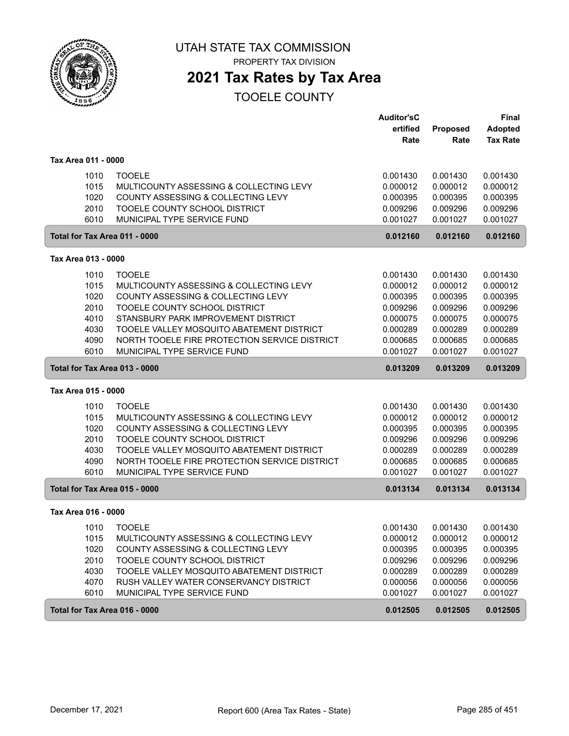

PROPERTY TAX DIVISION

## **2021 Tax Rates by Tax Area**

|                     |                                               | <b>Auditor'sC</b> |                  | <b>Final</b>                      |
|---------------------|-----------------------------------------------|-------------------|------------------|-----------------------------------|
|                     |                                               | ertified<br>Rate  | Proposed<br>Rate | <b>Adopted</b><br><b>Tax Rate</b> |
|                     |                                               |                   |                  |                                   |
| Tax Area 011 - 0000 |                                               |                   |                  |                                   |
| 1010                | <b>TOOELE</b>                                 | 0.001430          | 0.001430         | 0.001430                          |
| 1015                | MULTICOUNTY ASSESSING & COLLECTING LEVY       | 0.000012          | 0.000012         | 0.000012                          |
| 1020                | COUNTY ASSESSING & COLLECTING LEVY            | 0.000395          | 0.000395         | 0.000395                          |
| 2010                | TOOELE COUNTY SCHOOL DISTRICT                 | 0.009296          | 0.009296         | 0.009296                          |
| 6010                | MUNICIPAL TYPE SERVICE FUND                   | 0.001027          | 0.001027         | 0.001027                          |
|                     | Total for Tax Area 011 - 0000                 | 0.012160          | 0.012160         | 0.012160                          |
| Tax Area 013 - 0000 |                                               |                   |                  |                                   |
| 1010                | <b>TOOELE</b>                                 | 0.001430          | 0.001430         | 0.001430                          |
| 1015                | MULTICOUNTY ASSESSING & COLLECTING LEVY       | 0.000012          | 0.000012         | 0.000012                          |
| 1020                | COUNTY ASSESSING & COLLECTING LEVY            | 0.000395          | 0.000395         | 0.000395                          |
| 2010                | TOOELE COUNTY SCHOOL DISTRICT                 | 0.009296          | 0.009296         | 0.009296                          |
| 4010                | STANSBURY PARK IMPROVEMENT DISTRICT           | 0.000075          | 0.000075         | 0.000075                          |
| 4030                | TOOELE VALLEY MOSQUITO ABATEMENT DISTRICT     | 0.000289          | 0.000289         | 0.000289                          |
| 4090                | NORTH TOOELE FIRE PROTECTION SERVICE DISTRICT | 0.000685          | 0.000685         | 0.000685                          |
| 6010                | MUNICIPAL TYPE SERVICE FUND                   | 0.001027          | 0.001027         | 0.001027                          |
|                     | Total for Tax Area 013 - 0000                 | 0.013209          | 0.013209         | 0.013209                          |
| Tax Area 015 - 0000 |                                               |                   |                  |                                   |
| 1010                | <b>TOOELE</b>                                 | 0.001430          | 0.001430         | 0.001430                          |
| 1015                | MULTICOUNTY ASSESSING & COLLECTING LEVY       | 0.000012          | 0.000012         | 0.000012                          |
| 1020                | COUNTY ASSESSING & COLLECTING LEVY            | 0.000395          | 0.000395         | 0.000395                          |
| 2010                | TOOELE COUNTY SCHOOL DISTRICT                 | 0.009296          | 0.009296         | 0.009296                          |
| 4030                | TOOELE VALLEY MOSQUITO ABATEMENT DISTRICT     | 0.000289          | 0.000289         | 0.000289                          |
| 4090                | NORTH TOOELE FIRE PROTECTION SERVICE DISTRICT | 0.000685          | 0.000685         | 0.000685                          |
| 6010                | MUNICIPAL TYPE SERVICE FUND                   | 0.001027          | 0.001027         | 0.001027                          |
|                     | Total for Tax Area 015 - 0000                 | 0.013134          | 0.013134         | 0.013134                          |
| Tax Area 016 - 0000 |                                               |                   |                  |                                   |
| 1010                | <b>TOOELE</b>                                 | 0.001430          | 0.001430         | 0.001430                          |
| 1015                | MULTICOUNTY ASSESSING & COLLECTING LEVY       | 0.000012          | 0.000012         | 0.000012                          |
| 1020                | COUNTY ASSESSING & COLLECTING LEVY            | 0.000395          | 0.000395         | 0.000395                          |
| 2010                | TOOELE COUNTY SCHOOL DISTRICT                 | 0.009296          | 0.009296         | 0.009296                          |
| 4030                | TOOELE VALLEY MOSQUITO ABATEMENT DISTRICT     | 0.000289          | 0.000289         | 0.000289                          |
| 4070                | RUSH VALLEY WATER CONSERVANCY DISTRICT        | 0.000056          | 0.000056         | 0.000056                          |
| 6010                | MUNICIPAL TYPE SERVICE FUND                   | 0.001027          | 0.001027         | 0.001027                          |
|                     | Total for Tax Area 016 - 0000                 | 0.012505          | 0.012505         | 0.012505                          |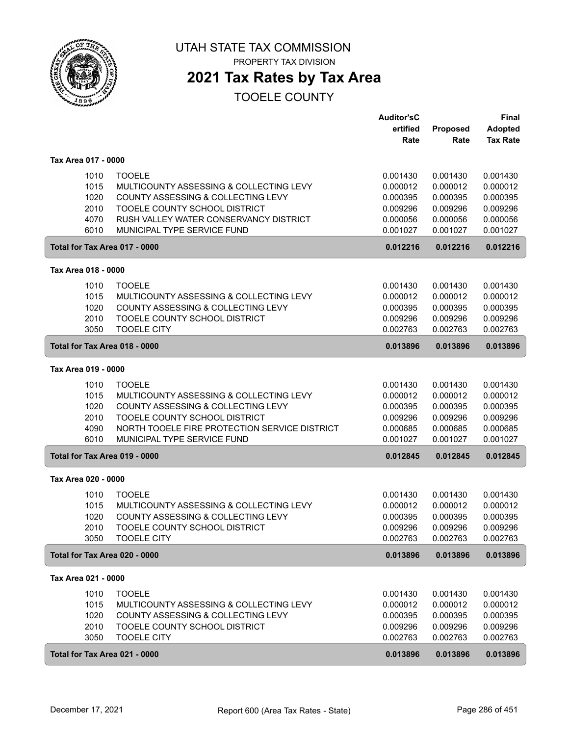

PROPERTY TAX DIVISION

## **2021 Tax Rates by Tax Area**

|                                              |                                                                                                                                                                                                                 | <b>Auditor'sC</b><br>ertified<br>Rate                                | <b>Proposed</b><br>Rate                                              | Final<br><b>Adopted</b><br><b>Tax Rate</b>                           |
|----------------------------------------------|-----------------------------------------------------------------------------------------------------------------------------------------------------------------------------------------------------------------|----------------------------------------------------------------------|----------------------------------------------------------------------|----------------------------------------------------------------------|
| Tax Area 017 - 0000                          |                                                                                                                                                                                                                 |                                                                      |                                                                      |                                                                      |
| 1010<br>1015<br>1020<br>2010<br>4070<br>6010 | <b>TOOELE</b><br>MULTICOUNTY ASSESSING & COLLECTING LEVY<br>COUNTY ASSESSING & COLLECTING LEVY<br>TOOELE COUNTY SCHOOL DISTRICT<br>RUSH VALLEY WATER CONSERVANCY DISTRICT<br>MUNICIPAL TYPE SERVICE FUND        | 0.001430<br>0.000012<br>0.000395<br>0.009296<br>0.000056<br>0.001027 | 0.001430<br>0.000012<br>0.000395<br>0.009296<br>0.000056<br>0.001027 | 0.001430<br>0.000012<br>0.000395<br>0.009296<br>0.000056<br>0.001027 |
| Total for Tax Area 017 - 0000                |                                                                                                                                                                                                                 | 0.012216                                                             | 0.012216                                                             | 0.012216                                                             |
| Tax Area 018 - 0000                          |                                                                                                                                                                                                                 |                                                                      |                                                                      |                                                                      |
| 1010<br>1015<br>1020<br>2010<br>3050         | <b>TOOELE</b><br>MULTICOUNTY ASSESSING & COLLECTING LEVY<br>COUNTY ASSESSING & COLLECTING LEVY<br>TOOELE COUNTY SCHOOL DISTRICT<br><b>TOOELE CITY</b>                                                           | 0.001430<br>0.000012<br>0.000395<br>0.009296<br>0.002763             | 0.001430<br>0.000012<br>0.000395<br>0.009296<br>0.002763             | 0.001430<br>0.000012<br>0.000395<br>0.009296<br>0.002763             |
| Total for Tax Area 018 - 0000                |                                                                                                                                                                                                                 | 0.013896                                                             | 0.013896                                                             | 0.013896                                                             |
| Tax Area 019 - 0000                          |                                                                                                                                                                                                                 |                                                                      |                                                                      |                                                                      |
| 1010<br>1015<br>1020<br>2010<br>4090<br>6010 | <b>TOOELE</b><br>MULTICOUNTY ASSESSING & COLLECTING LEVY<br>COUNTY ASSESSING & COLLECTING LEVY<br>TOOELE COUNTY SCHOOL DISTRICT<br>NORTH TOOELE FIRE PROTECTION SERVICE DISTRICT<br>MUNICIPAL TYPE SERVICE FUND | 0.001430<br>0.000012<br>0.000395<br>0.009296<br>0.000685<br>0.001027 | 0.001430<br>0.000012<br>0.000395<br>0.009296<br>0.000685<br>0.001027 | 0.001430<br>0.000012<br>0.000395<br>0.009296<br>0.000685<br>0.001027 |
| Total for Tax Area 019 - 0000                |                                                                                                                                                                                                                 | 0.012845                                                             | 0.012845                                                             | 0.012845                                                             |
| Tax Area 020 - 0000                          |                                                                                                                                                                                                                 |                                                                      |                                                                      |                                                                      |
| 1010<br>1015<br>1020<br>2010<br>3050         | <b>TOOELE</b><br>MULTICOUNTY ASSESSING & COLLECTING LEVY<br>COUNTY ASSESSING & COLLECTING LEVY<br>TOOELE COUNTY SCHOOL DISTRICT<br><b>TOOELE CITY</b>                                                           | 0.001430<br>0.000012<br>0.000395<br>0.009296<br>0.002763             | 0.001430<br>0.000012<br>0.000395<br>0.009296<br>0.002763             | 0.001430<br>0.000012<br>0.000395<br>0.009296<br>0.002763             |
| Total for Tax Area 020 - 0000                |                                                                                                                                                                                                                 | 0.013896                                                             | 0.013896                                                             | 0.013896                                                             |
| Tax Area 021 - 0000                          |                                                                                                                                                                                                                 |                                                                      |                                                                      |                                                                      |
| 1010<br>1015<br>1020<br>2010<br>3050         | <b>TOOELE</b><br>MULTICOUNTY ASSESSING & COLLECTING LEVY<br>COUNTY ASSESSING & COLLECTING LEVY<br>TOOELE COUNTY SCHOOL DISTRICT<br><b>TOOELE CITY</b>                                                           | 0.001430<br>0.000012<br>0.000395<br>0.009296<br>0.002763             | 0.001430<br>0.000012<br>0.000395<br>0.009296<br>0.002763             | 0.001430<br>0.000012<br>0.000395<br>0.009296<br>0.002763             |
| Total for Tax Area 021 - 0000                |                                                                                                                                                                                                                 | 0.013896                                                             | 0.013896                                                             | 0.013896                                                             |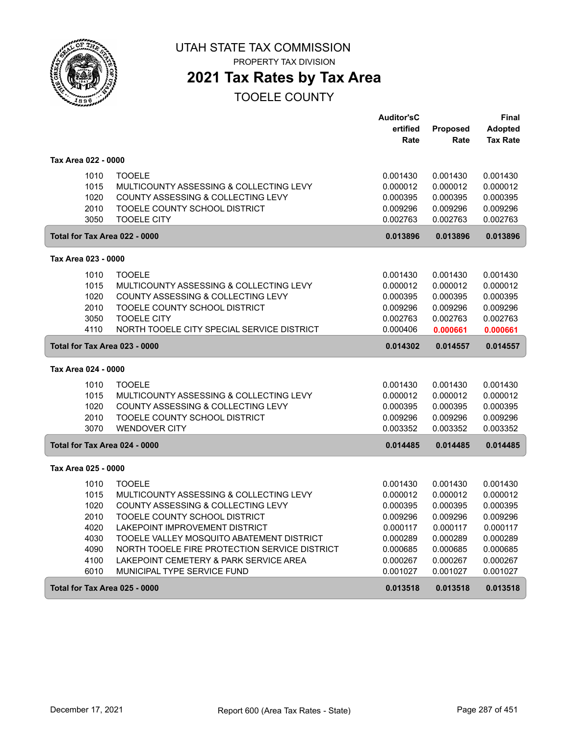

PROPERTY TAX DIVISION

## **2021 Tax Rates by Tax Area**

|                     |                                                       | <b>Auditor'sC</b> |          | Final           |
|---------------------|-------------------------------------------------------|-------------------|----------|-----------------|
|                     |                                                       | ertified          | Proposed | <b>Adopted</b>  |
|                     |                                                       | Rate              | Rate     | <b>Tax Rate</b> |
| Tax Area 022 - 0000 |                                                       |                   |          |                 |
|                     | 1010<br><b>TOOELE</b>                                 | 0.001430          | 0.001430 | 0.001430        |
|                     | 1015<br>MULTICOUNTY ASSESSING & COLLECTING LEVY       | 0.000012          | 0.000012 | 0.000012        |
|                     | 1020<br>COUNTY ASSESSING & COLLECTING LEVY            | 0.000395          | 0.000395 | 0.000395        |
|                     | 2010<br>TOOELE COUNTY SCHOOL DISTRICT                 | 0.009296          | 0.009296 | 0.009296        |
|                     | 3050<br><b>TOOELE CITY</b>                            | 0.002763          | 0.002763 | 0.002763        |
|                     | Total for Tax Area 022 - 0000                         | 0.013896          | 0.013896 | 0.013896        |
| Tax Area 023 - 0000 |                                                       |                   |          |                 |
|                     | <b>TOOELE</b><br>1010                                 | 0.001430          | 0.001430 | 0.001430        |
|                     | 1015<br>MULTICOUNTY ASSESSING & COLLECTING LEVY       | 0.000012          | 0.000012 | 0.000012        |
|                     | 1020<br>COUNTY ASSESSING & COLLECTING LEVY            | 0.000395          | 0.000395 | 0.000395        |
|                     | 2010<br>TOOELE COUNTY SCHOOL DISTRICT                 | 0.009296          | 0.009296 | 0.009296        |
|                     | 3050<br><b>TOOELE CITY</b>                            | 0.002763          | 0.002763 | 0.002763        |
|                     | 4110<br>NORTH TOOELE CITY SPECIAL SERVICE DISTRICT    | 0.000406          | 0.000661 | 0.000661        |
|                     | Total for Tax Area 023 - 0000                         | 0.014302          | 0.014557 | 0.014557        |
| Tax Area 024 - 0000 |                                                       |                   |          |                 |
|                     | 1010<br><b>TOOELE</b>                                 | 0.001430          | 0.001430 | 0.001430        |
|                     | 1015<br>MULTICOUNTY ASSESSING & COLLECTING LEVY       | 0.000012          | 0.000012 | 0.000012        |
|                     | 1020<br>COUNTY ASSESSING & COLLECTING LEVY            | 0.000395          | 0.000395 | 0.000395        |
|                     | 2010<br>TOOELE COUNTY SCHOOL DISTRICT                 | 0.009296          | 0.009296 | 0.009296        |
|                     | 3070<br><b>WENDOVER CITY</b>                          | 0.003352          | 0.003352 | 0.003352        |
|                     | Total for Tax Area 024 - 0000                         | 0.014485          | 0.014485 | 0.014485        |
| Tax Area 025 - 0000 |                                                       |                   |          |                 |
|                     | 1010<br><b>TOOELE</b>                                 | 0.001430          | 0.001430 | 0.001430        |
|                     | 1015<br>MULTICOUNTY ASSESSING & COLLECTING LEVY       | 0.000012          | 0.000012 | 0.000012        |
|                     | 1020<br>COUNTY ASSESSING & COLLECTING LEVY            | 0.000395          | 0.000395 | 0.000395        |
|                     | 2010<br>TOOELE COUNTY SCHOOL DISTRICT                 | 0.009296          | 0.009296 | 0.009296        |
|                     | LAKEPOINT IMPROVEMENT DISTRICT<br>4020                | 0.000117          | 0.000117 | 0.000117        |
|                     | 4030<br>TOOELE VALLEY MOSQUITO ABATEMENT DISTRICT     | 0.000289          | 0.000289 | 0.000289        |
|                     | 4090<br>NORTH TOOELE FIRE PROTECTION SERVICE DISTRICT | 0.000685          | 0.000685 | 0.000685        |
|                     | 4100<br>LAKEPOINT CEMETERY & PARK SERVICE AREA        | 0.000267          | 0.000267 | 0.000267        |
|                     | 6010<br>MUNICIPAL TYPE SERVICE FUND                   | 0.001027          | 0.001027 | 0.001027        |
|                     |                                                       |                   |          |                 |
|                     | Total for Tax Area 025 - 0000                         | 0.013518          | 0.013518 | 0.013518        |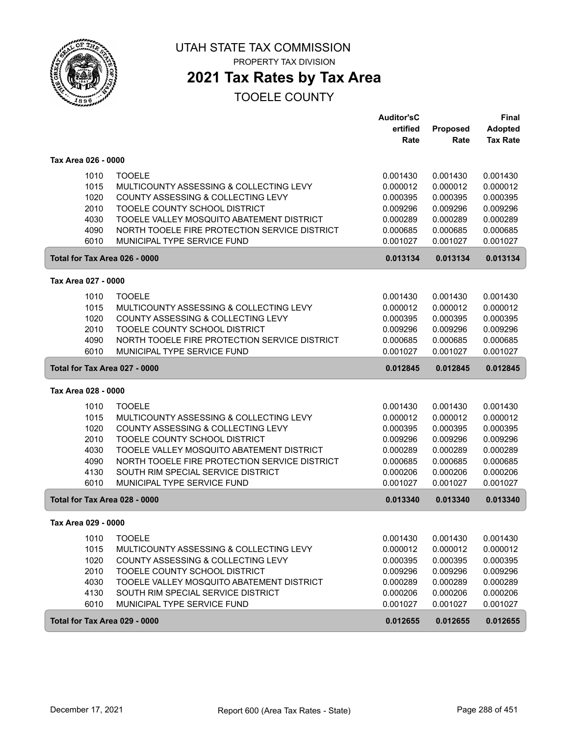

#### UTAH STATE TAX COMMISSION PROPERTY TAX DIVISION

## **2021 Tax Rates by Tax Area**

|                               |                                               | <b>Auditor'sC</b> |          | <b>Final</b>    |
|-------------------------------|-----------------------------------------------|-------------------|----------|-----------------|
|                               |                                               | ertified          | Proposed | <b>Adopted</b>  |
|                               |                                               | Rate              | Rate     | <b>Tax Rate</b> |
| Tax Area 026 - 0000           |                                               |                   |          |                 |
| 1010                          | <b>TOOELE</b>                                 | 0.001430          | 0.001430 | 0.001430        |
| 1015                          | MULTICOUNTY ASSESSING & COLLECTING LEVY       | 0.000012          | 0.000012 | 0.000012        |
| 1020                          | COUNTY ASSESSING & COLLECTING LEVY            | 0.000395          | 0.000395 | 0.000395        |
| 2010                          | TOOELE COUNTY SCHOOL DISTRICT                 | 0.009296          | 0.009296 | 0.009296        |
| 4030                          | TOOELE VALLEY MOSQUITO ABATEMENT DISTRICT     | 0.000289          | 0.000289 | 0.000289        |
| 4090                          | NORTH TOOELE FIRE PROTECTION SERVICE DISTRICT | 0.000685          | 0.000685 | 0.000685        |
| 6010                          | MUNICIPAL TYPE SERVICE FUND                   | 0.001027          | 0.001027 | 0.001027        |
| Total for Tax Area 026 - 0000 |                                               | 0.013134          | 0.013134 | 0.013134        |
| Tax Area 027 - 0000           |                                               |                   |          |                 |
| 1010                          | <b>TOOELE</b>                                 | 0.001430          | 0.001430 | 0.001430        |
| 1015                          | MULTICOUNTY ASSESSING & COLLECTING LEVY       | 0.000012          | 0.000012 | 0.000012        |
| 1020                          | COUNTY ASSESSING & COLLECTING LEVY            | 0.000395          | 0.000395 | 0.000395        |
| 2010                          | TOOELE COUNTY SCHOOL DISTRICT                 | 0.009296          | 0.009296 | 0.009296        |
| 4090                          | NORTH TOOELE FIRE PROTECTION SERVICE DISTRICT | 0.000685          | 0.000685 | 0.000685        |
| 6010                          | MUNICIPAL TYPE SERVICE FUND                   | 0.001027          | 0.001027 | 0.001027        |
| Total for Tax Area 027 - 0000 |                                               | 0.012845          | 0.012845 | 0.012845        |
|                               |                                               |                   |          |                 |
| Tax Area 028 - 0000           |                                               |                   |          |                 |
| 1010                          | <b>TOOELE</b>                                 | 0.001430          | 0.001430 | 0.001430        |
| 1015                          | MULTICOUNTY ASSESSING & COLLECTING LEVY       | 0.000012          | 0.000012 | 0.000012        |
| 1020                          | COUNTY ASSESSING & COLLECTING LEVY            | 0.000395          | 0.000395 | 0.000395        |
| 2010                          | TOOELE COUNTY SCHOOL DISTRICT                 | 0.009296          | 0.009296 | 0.009296        |
| 4030                          | TOOELE VALLEY MOSQUITO ABATEMENT DISTRICT     | 0.000289          | 0.000289 | 0.000289        |
| 4090                          | NORTH TOOELE FIRE PROTECTION SERVICE DISTRICT | 0.000685          | 0.000685 | 0.000685        |
| 4130                          | SOUTH RIM SPECIAL SERVICE DISTRICT            | 0.000206          | 0.000206 | 0.000206        |
| 6010                          | MUNICIPAL TYPE SERVICE FUND                   | 0.001027          | 0.001027 | 0.001027        |
| Total for Tax Area 028 - 0000 |                                               | 0.013340          | 0.013340 | 0.013340        |
| Tax Area 029 - 0000           |                                               |                   |          |                 |
| 1010                          | <b>TOOELE</b>                                 | 0.001430          | 0.001430 | 0.001430        |
| 1015                          | MULTICOUNTY ASSESSING & COLLECTING LEVY       | 0.000012          | 0.000012 | 0.000012        |
| 1020                          | COUNTY ASSESSING & COLLECTING LEVY            | 0.000395          | 0.000395 | 0.000395        |
| 2010                          | TOOELE COUNTY SCHOOL DISTRICT                 | 0.009296          | 0.009296 | 0.009296        |
| 4030                          | TOOELE VALLEY MOSQUITO ABATEMENT DISTRICT     | 0.000289          | 0.000289 | 0.000289        |
| 4130                          | SOUTH RIM SPECIAL SERVICE DISTRICT            | 0.000206          | 0.000206 | 0.000206        |
| 6010                          | MUNICIPAL TYPE SERVICE FUND                   | 0.001027          | 0.001027 | 0.001027        |
| Total for Tax Area 029 - 0000 |                                               | 0.012655          | 0.012655 | 0.012655        |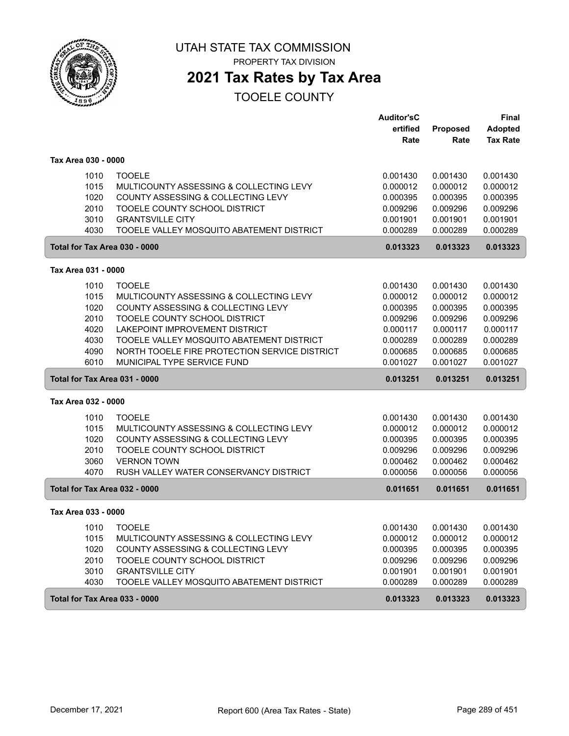

PROPERTY TAX DIVISION

# **2021 Tax Rates by Tax Area**

|                               |                                               | <b>Auditor'sC</b> |          | <b>Final</b>    |
|-------------------------------|-----------------------------------------------|-------------------|----------|-----------------|
|                               |                                               | ertified          | Proposed | <b>Adopted</b>  |
|                               |                                               | Rate              | Rate     | <b>Tax Rate</b> |
| Tax Area 030 - 0000           |                                               |                   |          |                 |
| 1010                          | <b>TOOELE</b>                                 | 0.001430          | 0.001430 | 0.001430        |
| 1015                          | MULTICOUNTY ASSESSING & COLLECTING LEVY       | 0.000012          | 0.000012 | 0.000012        |
| 1020                          | COUNTY ASSESSING & COLLECTING LEVY            | 0.000395          | 0.000395 | 0.000395        |
| 2010                          | TOOELE COUNTY SCHOOL DISTRICT                 | 0.009296          | 0.009296 | 0.009296        |
| 3010                          | <b>GRANTSVILLE CITY</b>                       | 0.001901          | 0.001901 | 0.001901        |
| 4030                          | TOOELE VALLEY MOSQUITO ABATEMENT DISTRICT     | 0.000289          | 0.000289 | 0.000289        |
| Total for Tax Area 030 - 0000 |                                               | 0.013323          | 0.013323 | 0.013323        |
| Tax Area 031 - 0000           |                                               |                   |          |                 |
| 1010                          | <b>TOOELE</b>                                 | 0.001430          | 0.001430 | 0.001430        |
| 1015                          | MULTICOUNTY ASSESSING & COLLECTING LEVY       | 0.000012          | 0.000012 | 0.000012        |
| 1020                          | COUNTY ASSESSING & COLLECTING LEVY            | 0.000395          | 0.000395 | 0.000395        |
| 2010                          | TOOELE COUNTY SCHOOL DISTRICT                 | 0.009296          | 0.009296 | 0.009296        |
| 4020                          | LAKEPOINT IMPROVEMENT DISTRICT                | 0.000117          | 0.000117 | 0.000117        |
| 4030                          | TOOELE VALLEY MOSQUITO ABATEMENT DISTRICT     | 0.000289          | 0.000289 | 0.000289        |
| 4090                          | NORTH TOOELE FIRE PROTECTION SERVICE DISTRICT | 0.000685          | 0.000685 | 0.000685        |
| 6010                          | MUNICIPAL TYPE SERVICE FUND                   | 0.001027          | 0.001027 | 0.001027        |
| Total for Tax Area 031 - 0000 |                                               | 0.013251          | 0.013251 | 0.013251        |
| Tax Area 032 - 0000           |                                               |                   |          |                 |
| 1010                          | <b>TOOELE</b>                                 | 0.001430          | 0.001430 | 0.001430        |
| 1015                          | MULTICOUNTY ASSESSING & COLLECTING LEVY       | 0.000012          | 0.000012 | 0.000012        |
| 1020                          | COUNTY ASSESSING & COLLECTING LEVY            | 0.000395          | 0.000395 | 0.000395        |
| 2010                          | TOOELE COUNTY SCHOOL DISTRICT                 | 0.009296          | 0.009296 | 0.009296        |
| 3060                          | <b>VERNON TOWN</b>                            | 0.000462          | 0.000462 | 0.000462        |
| 4070                          | RUSH VALLEY WATER CONSERVANCY DISTRICT        | 0.000056          | 0.000056 | 0.000056        |
| Total for Tax Area 032 - 0000 |                                               | 0.011651          | 0.011651 | 0.011651        |
| Tax Area 033 - 0000           |                                               |                   |          |                 |
| 1010                          | <b>TOOELE</b>                                 | 0.001430          | 0.001430 | 0.001430        |
| 1015                          | MULTICOUNTY ASSESSING & COLLECTING LEVY       | 0.000012          | 0.000012 | 0.000012        |
| 1020                          | COUNTY ASSESSING & COLLECTING LEVY            | 0.000395          | 0.000395 | 0.000395        |
| 2010                          | TOOELE COUNTY SCHOOL DISTRICT                 | 0.009296          | 0.009296 | 0.009296        |
| 3010                          | <b>GRANTSVILLE CITY</b>                       | 0.001901          | 0.001901 | 0.001901        |
| 4030                          | TOOELE VALLEY MOSQUITO ABATEMENT DISTRICT     | 0.000289          | 0.000289 | 0.000289        |
| Total for Tax Area 033 - 0000 |                                               | 0.013323          | 0.013323 | 0.013323        |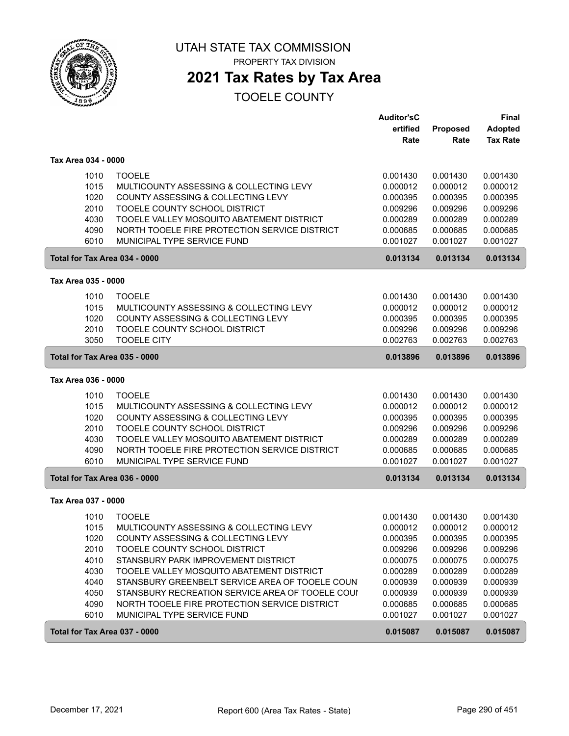

## **2021 Tax Rates by Tax Area**

|                               |                                                  | <b>Auditor'sC</b> |          | Final           |
|-------------------------------|--------------------------------------------------|-------------------|----------|-----------------|
|                               |                                                  | ertified          | Proposed | <b>Adopted</b>  |
|                               |                                                  | Rate              | Rate     | <b>Tax Rate</b> |
| Tax Area 034 - 0000           |                                                  |                   |          |                 |
| 1010                          | <b>TOOELE</b>                                    | 0.001430          | 0.001430 | 0.001430        |
| 1015                          | MULTICOUNTY ASSESSING & COLLECTING LEVY          | 0.000012          | 0.000012 | 0.000012        |
| 1020                          | COUNTY ASSESSING & COLLECTING LEVY               | 0.000395          | 0.000395 | 0.000395        |
| 2010                          | TOOELE COUNTY SCHOOL DISTRICT                    | 0.009296          | 0.009296 | 0.009296        |
| 4030                          | TOOELE VALLEY MOSQUITO ABATEMENT DISTRICT        | 0.000289          | 0.000289 | 0.000289        |
| 4090                          | NORTH TOOELE FIRE PROTECTION SERVICE DISTRICT    | 0.000685          | 0.000685 | 0.000685        |
| 6010                          | MUNICIPAL TYPE SERVICE FUND                      | 0.001027          | 0.001027 | 0.001027        |
| Total for Tax Area 034 - 0000 |                                                  | 0.013134          | 0.013134 | 0.013134        |
| Tax Area 035 - 0000           |                                                  |                   |          |                 |
| 1010                          | <b>TOOELE</b>                                    | 0.001430          | 0.001430 | 0.001430        |
| 1015                          | MULTICOUNTY ASSESSING & COLLECTING LEVY          | 0.000012          | 0.000012 | 0.000012        |
| 1020                          | COUNTY ASSESSING & COLLECTING LEVY               | 0.000395          | 0.000395 | 0.000395        |
| 2010                          | TOOELE COUNTY SCHOOL DISTRICT                    | 0.009296          | 0.009296 | 0.009296        |
| 3050                          | <b>TOOELE CITY</b>                               | 0.002763          | 0.002763 | 0.002763        |
| Total for Tax Area 035 - 0000 |                                                  | 0.013896          | 0.013896 | 0.013896        |
| Tax Area 036 - 0000           |                                                  |                   |          |                 |
| 1010                          | <b>TOOELE</b>                                    | 0.001430          | 0.001430 | 0.001430        |
| 1015                          | MULTICOUNTY ASSESSING & COLLECTING LEVY          | 0.000012          | 0.000012 | 0.000012        |
| 1020                          | COUNTY ASSESSING & COLLECTING LEVY               | 0.000395          | 0.000395 | 0.000395        |
| 2010                          | TOOELE COUNTY SCHOOL DISTRICT                    | 0.009296          | 0.009296 | 0.009296        |
| 4030                          | TOOELE VALLEY MOSQUITO ABATEMENT DISTRICT        | 0.000289          | 0.000289 | 0.000289        |
| 4090                          | NORTH TOOELE FIRE PROTECTION SERVICE DISTRICT    | 0.000685          | 0.000685 | 0.000685        |
| 6010                          | MUNICIPAL TYPE SERVICE FUND                      | 0.001027          | 0.001027 | 0.001027        |
| Total for Tax Area 036 - 0000 |                                                  | 0.013134          | 0.013134 | 0.013134        |
| Tax Area 037 - 0000           |                                                  |                   |          |                 |
| 1010                          | <b>TOOELE</b>                                    | 0.001430          | 0.001430 | 0.001430        |
| 1015                          | MULTICOUNTY ASSESSING & COLLECTING LEVY          | 0.000012          | 0.000012 | 0.000012        |
| 1020                          | COUNTY ASSESSING & COLLECTING LEVY               | 0.000395          | 0.000395 | 0.000395        |
| 2010                          | TOOELE COUNTY SCHOOL DISTRICT                    | 0.009296          | 0.009296 | 0.009296        |
| 4010                          | STANSBURY PARK IMPROVEMENT DISTRICT              | 0.000075          | 0.000075 | 0.000075        |
| 4030                          | TOOELE VALLEY MOSQUITO ABATEMENT DISTRICT        | 0.000289          | 0.000289 | 0.000289        |
| 4040                          | STANSBURY GREENBELT SERVICE AREA OF TOOELE COUN  | 0.000939          | 0.000939 | 0.000939        |
| 4050                          | STANSBURY RECREATION SERVICE AREA OF TOOELE COUI | 0.000939          | 0.000939 | 0.000939        |
| 4090                          | NORTH TOOELE FIRE PROTECTION SERVICE DISTRICT    | 0.000685          | 0.000685 | 0.000685        |
| 6010                          | MUNICIPAL TYPE SERVICE FUND                      | 0.001027          | 0.001027 | 0.001027        |
| Total for Tax Area 037 - 0000 |                                                  | 0.015087          | 0.015087 | 0.015087        |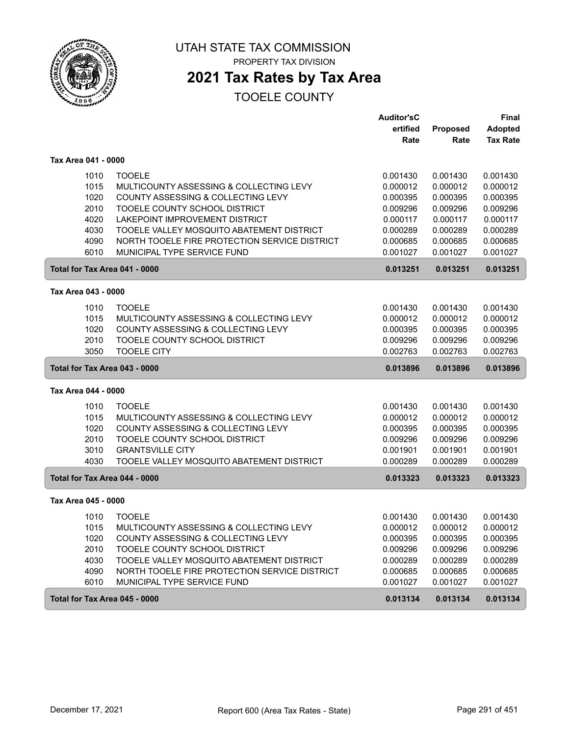

PROPERTY TAX DIVISION

# **2021 Tax Rates by Tax Area**

|                               |                                               | <b>Auditor'sC</b> |          | <b>Final</b>    |
|-------------------------------|-----------------------------------------------|-------------------|----------|-----------------|
|                               |                                               | ertified          | Proposed | <b>Adopted</b>  |
|                               |                                               | Rate              | Rate     | <b>Tax Rate</b> |
| Tax Area 041 - 0000           |                                               |                   |          |                 |
| 1010                          | <b>TOOELE</b>                                 | 0.001430          | 0.001430 | 0.001430        |
| 1015                          | MULTICOUNTY ASSESSING & COLLECTING LEVY       | 0.000012          | 0.000012 | 0.000012        |
| 1020                          | COUNTY ASSESSING & COLLECTING LEVY            | 0.000395          | 0.000395 | 0.000395        |
| 2010                          | TOOELE COUNTY SCHOOL DISTRICT                 | 0.009296          | 0.009296 | 0.009296        |
| 4020                          | LAKEPOINT IMPROVEMENT DISTRICT                | 0.000117          | 0.000117 | 0.000117        |
| 4030                          | TOOELE VALLEY MOSQUITO ABATEMENT DISTRICT     | 0.000289          | 0.000289 | 0.000289        |
| 4090                          | NORTH TOOELE FIRE PROTECTION SERVICE DISTRICT | 0.000685          | 0.000685 | 0.000685        |
| 6010                          | MUNICIPAL TYPE SERVICE FUND                   | 0.001027          | 0.001027 | 0.001027        |
| Total for Tax Area 041 - 0000 |                                               | 0.013251          | 0.013251 | 0.013251        |
| Tax Area 043 - 0000           |                                               |                   |          |                 |
| 1010                          | <b>TOOELE</b>                                 | 0.001430          | 0.001430 | 0.001430        |
| 1015                          | MULTICOUNTY ASSESSING & COLLECTING LEVY       | 0.000012          | 0.000012 | 0.000012        |
| 1020                          | COUNTY ASSESSING & COLLECTING LEVY            | 0.000395          | 0.000395 | 0.000395        |
| 2010                          | TOOELE COUNTY SCHOOL DISTRICT                 | 0.009296          | 0.009296 | 0.009296        |
| 3050                          | <b>TOOELE CITY</b>                            | 0.002763          | 0.002763 | 0.002763        |
| Total for Tax Area 043 - 0000 |                                               | 0.013896          | 0.013896 | 0.013896        |
| Tax Area 044 - 0000           |                                               |                   |          |                 |
| 1010                          | <b>TOOELE</b>                                 | 0.001430          | 0.001430 | 0.001430        |
| 1015                          | MULTICOUNTY ASSESSING & COLLECTING LEVY       | 0.000012          | 0.000012 | 0.000012        |
| 1020                          | COUNTY ASSESSING & COLLECTING LEVY            | 0.000395          | 0.000395 | 0.000395        |
| 2010                          | TOOELE COUNTY SCHOOL DISTRICT                 | 0.009296          | 0.009296 | 0.009296        |
| 3010                          | <b>GRANTSVILLE CITY</b>                       | 0.001901          | 0.001901 | 0.001901        |
| 4030                          | TOOELE VALLEY MOSQUITO ABATEMENT DISTRICT     | 0.000289          | 0.000289 | 0.000289        |
| Total for Tax Area 044 - 0000 |                                               | 0.013323          | 0.013323 | 0.013323        |
| Tax Area 045 - 0000           |                                               |                   |          |                 |
| 1010                          | <b>TOOELE</b>                                 | 0.001430          | 0.001430 | 0.001430        |
| 1015                          | MULTICOUNTY ASSESSING & COLLECTING LEVY       | 0.000012          | 0.000012 | 0.000012        |
| 1020                          | COUNTY ASSESSING & COLLECTING LEVY            | 0.000395          | 0.000395 | 0.000395        |
| 2010                          | TOOELE COUNTY SCHOOL DISTRICT                 | 0.009296          | 0.009296 | 0.009296        |
| 4030                          | TOOELE VALLEY MOSQUITO ABATEMENT DISTRICT     | 0.000289          | 0.000289 | 0.000289        |
| 4090                          | NORTH TOOELE FIRE PROTECTION SERVICE DISTRICT | 0.000685          | 0.000685 | 0.000685        |
| 6010                          | MUNICIPAL TYPE SERVICE FUND                   | 0.001027          | 0.001027 | 0.001027        |
|                               |                                               |                   |          |                 |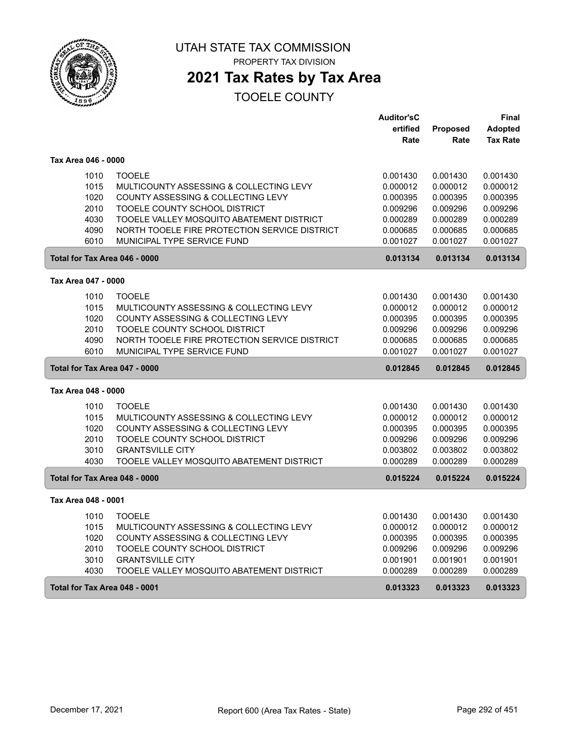

# **2021 Tax Rates by Tax Area**

|                               |                                               | <b>Auditor'sC</b> |                 | Final           |
|-------------------------------|-----------------------------------------------|-------------------|-----------------|-----------------|
|                               |                                               | ertified          | <b>Proposed</b> | <b>Adopted</b>  |
|                               |                                               | Rate              | Rate            | <b>Tax Rate</b> |
| Tax Area 046 - 0000           |                                               |                   |                 |                 |
| 1010                          | <b>TOOELE</b>                                 | 0.001430          | 0.001430        | 0.001430        |
| 1015                          | MULTICOUNTY ASSESSING & COLLECTING LEVY       | 0.000012          | 0.000012        | 0.000012        |
| 1020                          | COUNTY ASSESSING & COLLECTING LEVY            | 0.000395          | 0.000395        | 0.000395        |
| 2010                          | TOOELE COUNTY SCHOOL DISTRICT                 | 0.009296          | 0.009296        | 0.009296        |
| 4030                          | TOOELE VALLEY MOSQUITO ABATEMENT DISTRICT     | 0.000289          | 0.000289        | 0.000289        |
| 4090                          | NORTH TOOELE FIRE PROTECTION SERVICE DISTRICT | 0.000685          | 0.000685        | 0.000685        |
| 6010                          | MUNICIPAL TYPE SERVICE FUND                   | 0.001027          | 0.001027        | 0.001027        |
| Total for Tax Area 046 - 0000 |                                               | 0.013134          | 0.013134        | 0.013134        |
| Tax Area 047 - 0000           |                                               |                   |                 |                 |
| 1010                          | <b>TOOELE</b>                                 | 0.001430          | 0.001430        | 0.001430        |
| 1015                          | MULTICOUNTY ASSESSING & COLLECTING LEVY       | 0.000012          | 0.000012        | 0.000012        |
| 1020                          | COUNTY ASSESSING & COLLECTING LEVY            | 0.000395          | 0.000395        | 0.000395        |
| 2010                          | TOOELE COUNTY SCHOOL DISTRICT                 | 0.009296          | 0.009296        | 0.009296        |
| 4090                          | NORTH TOOELE FIRE PROTECTION SERVICE DISTRICT | 0.000685          | 0.000685        | 0.000685        |
| 6010                          | MUNICIPAL TYPE SERVICE FUND                   | 0.001027          | 0.001027        | 0.001027        |
| Total for Tax Area 047 - 0000 |                                               | 0.012845          | 0.012845        | 0.012845        |
| Tax Area 048 - 0000           |                                               |                   |                 |                 |
| 1010                          | <b>TOOELE</b>                                 | 0.001430          | 0.001430        | 0.001430        |
| 1015                          | MULTICOUNTY ASSESSING & COLLECTING LEVY       | 0.000012          | 0.000012        | 0.000012        |
| 1020                          | COUNTY ASSESSING & COLLECTING LEVY            | 0.000395          | 0.000395        | 0.000395        |
| 2010                          | TOOELE COUNTY SCHOOL DISTRICT                 | 0.009296          | 0.009296        | 0.009296        |
| 3010                          | <b>GRANTSVILLE CITY</b>                       | 0.003802          | 0.003802        | 0.003802        |
| 4030                          | TOOELE VALLEY MOSQUITO ABATEMENT DISTRICT     | 0.000289          | 0.000289        | 0.000289        |
| Total for Tax Area 048 - 0000 |                                               | 0.015224          | 0.015224        | 0.015224        |
| Tax Area 048 - 0001           |                                               |                   |                 |                 |
| 1010                          | <b>TOOELE</b>                                 | 0.001430          | 0.001430        | 0.001430        |
| 1015                          | MULTICOUNTY ASSESSING & COLLECTING LEVY       | 0.000012          | 0.000012        | 0.000012        |
| 1020                          | COUNTY ASSESSING & COLLECTING LEVY            | 0.000395          | 0.000395        | 0.000395        |
| 2010                          | TOOELE COUNTY SCHOOL DISTRICT                 | 0.009296          | 0.009296        | 0.009296        |
| 3010                          | <b>GRANTSVILLE CITY</b>                       | 0.001901          | 0.001901        | 0.001901        |
| 4030                          | TOOELE VALLEY MOSQUITO ABATEMENT DISTRICT     | 0.000289          | 0.000289        | 0.000289        |
| Total for Tax Area 048 - 0001 |                                               | 0.013323          | 0.013323        | 0.013323        |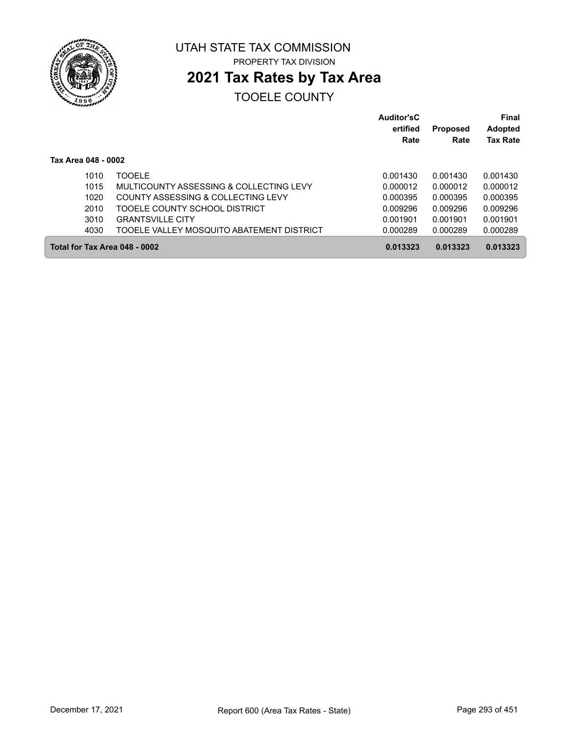

# **2021 Tax Rates by Tax Area**

|                     |                                           | <b>Auditor'sC</b><br>ertified | <b>Proposed</b><br>Rate | <b>Final</b><br><b>Adopted</b> |
|---------------------|-------------------------------------------|-------------------------------|-------------------------|--------------------------------|
|                     |                                           | Rate                          |                         | <b>Tax Rate</b>                |
| Tax Area 048 - 0002 |                                           |                               |                         |                                |
| 1010                | TOOFI F                                   | 0.001430                      | 0.001430                | 0.001430                       |
| 1015                | MULTICOUNTY ASSESSING & COLLECTING LEVY   | 0.000012                      | 0.000012                | 0.000012                       |
| 1020                | COUNTY ASSESSING & COLLECTING LEVY        | 0.000395                      | 0.000395                | 0.000395                       |
| 2010                | TOOELE COUNTY SCHOOL DISTRICT             | 0.009296                      | 0.009296                | 0.009296                       |
| 3010                | <b>GRANTSVILLE CITY</b>                   | 0.001901                      | 0.001901                | 0.001901                       |
| 4030                | TOOELE VALLEY MOSQUITO ABATEMENT DISTRICT | 0.000289                      | 0.000289                | 0.000289                       |
|                     | Total for Tax Area 048 - 0002             | 0.013323                      | 0.013323                | 0.013323                       |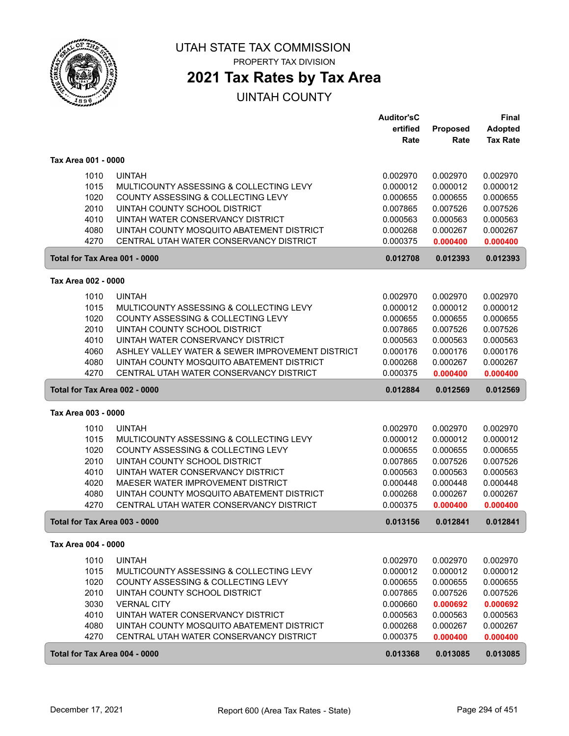

## **2021 Tax Rates by Tax Area**

|                               |                                                  | <b>Auditor'sC</b> |          | <b>Final</b>    |
|-------------------------------|--------------------------------------------------|-------------------|----------|-----------------|
|                               |                                                  | ertified          | Proposed | <b>Adopted</b>  |
|                               |                                                  | Rate              | Rate     | <b>Tax Rate</b> |
|                               |                                                  |                   |          |                 |
| Tax Area 001 - 0000           |                                                  |                   |          |                 |
| 1010                          | <b>UINTAH</b>                                    | 0.002970          | 0.002970 | 0.002970        |
| 1015                          | MULTICOUNTY ASSESSING & COLLECTING LEVY          | 0.000012          | 0.000012 | 0.000012        |
| 1020                          | COUNTY ASSESSING & COLLECTING LEVY               | 0.000655          | 0.000655 | 0.000655        |
| 2010                          | UINTAH COUNTY SCHOOL DISTRICT                    | 0.007865          | 0.007526 | 0.007526        |
| 4010                          | UINTAH WATER CONSERVANCY DISTRICT                | 0.000563          | 0.000563 | 0.000563        |
| 4080                          | UINTAH COUNTY MOSQUITO ABATEMENT DISTRICT        | 0.000268          | 0.000267 | 0.000267        |
| 4270                          | CENTRAL UTAH WATER CONSERVANCY DISTRICT          | 0.000375          | 0.000400 | 0.000400        |
| Total for Tax Area 001 - 0000 |                                                  | 0.012708          | 0.012393 | 0.012393        |
| Tax Area 002 - 0000           |                                                  |                   |          |                 |
|                               |                                                  |                   |          |                 |
| 1010                          | <b>UINTAH</b>                                    | 0.002970          | 0.002970 | 0.002970        |
| 1015                          | MULTICOUNTY ASSESSING & COLLECTING LEVY          | 0.000012          | 0.000012 | 0.000012        |
| 1020                          | COUNTY ASSESSING & COLLECTING LEVY               | 0.000655          | 0.000655 | 0.000655        |
| 2010                          | UINTAH COUNTY SCHOOL DISTRICT                    | 0.007865          | 0.007526 | 0.007526        |
| 4010                          | UINTAH WATER CONSERVANCY DISTRICT                | 0.000563          | 0.000563 | 0.000563        |
| 4060                          | ASHLEY VALLEY WATER & SEWER IMPROVEMENT DISTRICT | 0.000176          | 0.000176 | 0.000176        |
| 4080                          | UINTAH COUNTY MOSQUITO ABATEMENT DISTRICT        | 0.000268          | 0.000267 | 0.000267        |
| 4270                          | CENTRAL UTAH WATER CONSERVANCY DISTRICT          | 0.000375          | 0.000400 | 0.000400        |
| Total for Tax Area 002 - 0000 |                                                  | 0.012884          | 0.012569 | 0.012569        |
| Tax Area 003 - 0000           |                                                  |                   |          |                 |
| 1010                          | <b>UINTAH</b>                                    | 0.002970          | 0.002970 | 0.002970        |
| 1015                          | MULTICOUNTY ASSESSING & COLLECTING LEVY          | 0.000012          | 0.000012 | 0.000012        |
| 1020                          | COUNTY ASSESSING & COLLECTING LEVY               | 0.000655          | 0.000655 | 0.000655        |
| 2010                          | UINTAH COUNTY SCHOOL DISTRICT                    | 0.007865          | 0.007526 | 0.007526        |
| 4010                          | UINTAH WATER CONSERVANCY DISTRICT                | 0.000563          | 0.000563 | 0.000563        |
| 4020                          | MAESER WATER IMPROVEMENT DISTRICT                | 0.000448          | 0.000448 | 0.000448        |
| 4080                          | UINTAH COUNTY MOSQUITO ABATEMENT DISTRICT        | 0.000268          | 0.000267 | 0.000267        |
| 4270                          | CENTRAL UTAH WATER CONSERVANCY DISTRICT          | 0.000375          | 0.000400 | 0.000400        |
| Total for Tax Area 003 - 0000 |                                                  | 0.013156          | 0.012841 | 0.012841        |
| Tax Area 004 - 0000           |                                                  |                   |          |                 |
|                               |                                                  | 0.002970          |          |                 |
| 1010                          | <b>UINTAH</b>                                    |                   | 0.002970 | 0.002970        |
| 1015                          | MULTICOUNTY ASSESSING & COLLECTING LEVY          | 0.000012          | 0.000012 | 0.000012        |
| 1020                          | COUNTY ASSESSING & COLLECTING LEVY               | 0.000655          | 0.000655 | 0.000655        |
| 2010                          | UINTAH COUNTY SCHOOL DISTRICT                    | 0.007865          | 0.007526 | 0.007526        |
| 3030                          | <b>VERNAL CITY</b>                               | 0.000660          | 0.000692 | 0.000692        |
| 4010                          | UINTAH WATER CONSERVANCY DISTRICT                | 0.000563          | 0.000563 | 0.000563        |
| 4080                          | UINTAH COUNTY MOSQUITO ABATEMENT DISTRICT        | 0.000268          | 0.000267 | 0.000267        |
| 4270                          | CENTRAL UTAH WATER CONSERVANCY DISTRICT          | 0.000375          | 0.000400 | 0.000400        |
| Total for Tax Area 004 - 0000 |                                                  | 0.013368          | 0.013085 | 0.013085        |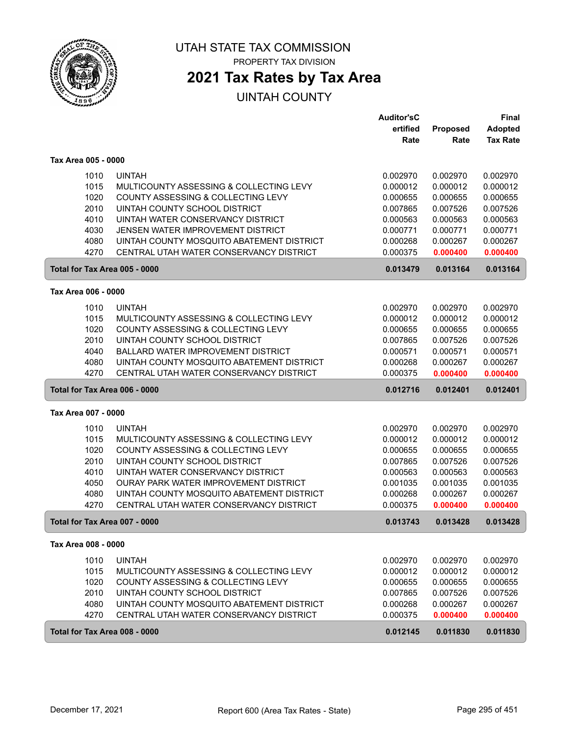

# **2021 Tax Rates by Tax Area**

|                               |                                              | <b>Auditor'sC</b> |          | <b>Final</b>    |
|-------------------------------|----------------------------------------------|-------------------|----------|-----------------|
|                               |                                              | ertified          | Proposed | <b>Adopted</b>  |
|                               |                                              | Rate              | Rate     | <b>Tax Rate</b> |
| Tax Area 005 - 0000           |                                              |                   |          |                 |
| 1010                          | <b>UINTAH</b>                                | 0.002970          | 0.002970 | 0.002970        |
| 1015                          | MULTICOUNTY ASSESSING & COLLECTING LEVY      | 0.000012          | 0.000012 | 0.000012        |
| 1020                          | COUNTY ASSESSING & COLLECTING LEVY           | 0.000655          | 0.000655 | 0.000655        |
| 2010                          | UINTAH COUNTY SCHOOL DISTRICT                | 0.007865          | 0.007526 | 0.007526        |
| 4010                          | UINTAH WATER CONSERVANCY DISTRICT            | 0.000563          | 0.000563 | 0.000563        |
| 4030                          | JENSEN WATER IMPROVEMENT DISTRICT            | 0.000771          | 0.000771 | 0.000771        |
| 4080                          | UINTAH COUNTY MOSQUITO ABATEMENT DISTRICT    | 0.000268          | 0.000267 | 0.000267        |
| 4270                          | CENTRAL UTAH WATER CONSERVANCY DISTRICT      | 0.000375          | 0.000400 | 0.000400        |
| Total for Tax Area 005 - 0000 |                                              | 0.013479          | 0.013164 | 0.013164        |
| Tax Area 006 - 0000           |                                              |                   |          |                 |
|                               |                                              |                   |          |                 |
| 1010                          | <b>UINTAH</b>                                | 0.002970          | 0.002970 | 0.002970        |
| 1015                          | MULTICOUNTY ASSESSING & COLLECTING LEVY      | 0.000012          | 0.000012 | 0.000012        |
| 1020                          | COUNTY ASSESSING & COLLECTING LEVY           | 0.000655          | 0.000655 | 0.000655        |
| 2010                          | UINTAH COUNTY SCHOOL DISTRICT                | 0.007865          | 0.007526 | 0.007526        |
| 4040                          | <b>BALLARD WATER IMPROVEMENT DISTRICT</b>    | 0.000571          | 0.000571 | 0.000571        |
| 4080                          | UINTAH COUNTY MOSQUITO ABATEMENT DISTRICT    | 0.000268          | 0.000267 | 0.000267        |
| 4270                          | CENTRAL UTAH WATER CONSERVANCY DISTRICT      | 0.000375          | 0.000400 | 0.000400        |
| Total for Tax Area 006 - 0000 |                                              | 0.012716          | 0.012401 | 0.012401        |
| Tax Area 007 - 0000           |                                              |                   |          |                 |
| 1010                          | <b>UINTAH</b>                                | 0.002970          | 0.002970 | 0.002970        |
| 1015                          | MULTICOUNTY ASSESSING & COLLECTING LEVY      | 0.000012          | 0.000012 | 0.000012        |
| 1020                          | COUNTY ASSESSING & COLLECTING LEVY           | 0.000655          | 0.000655 | 0.000655        |
| 2010                          | UINTAH COUNTY SCHOOL DISTRICT                | 0.007865          | 0.007526 | 0.007526        |
| 4010                          | UINTAH WATER CONSERVANCY DISTRICT            | 0.000563          | 0.000563 | 0.000563        |
| 4050                          | <b>OURAY PARK WATER IMPROVEMENT DISTRICT</b> | 0.001035          | 0.001035 | 0.001035        |
| 4080                          | UINTAH COUNTY MOSQUITO ABATEMENT DISTRICT    | 0.000268          | 0.000267 | 0.000267        |
| 4270                          | CENTRAL UTAH WATER CONSERVANCY DISTRICT      | 0.000375          | 0.000400 | 0.000400        |
| Total for Tax Area 007 - 0000 |                                              | 0.013743          | 0.013428 | 0.013428        |
| Tax Area 008 - 0000           |                                              |                   |          |                 |
| 1010                          | <b>UINTAH</b>                                | 0.002970          | 0.002970 | 0.002970        |
| 1015                          | MULTICOUNTY ASSESSING & COLLECTING LEVY      | 0.000012          | 0.000012 | 0.000012        |
| 1020                          | COUNTY ASSESSING & COLLECTING LEVY           | 0.000655          | 0.000655 | 0.000655        |
| 2010                          | UINTAH COUNTY SCHOOL DISTRICT                | 0.007865          | 0.007526 | 0.007526        |
| 4080                          | UINTAH COUNTY MOSQUITO ABATEMENT DISTRICT    | 0.000268          | 0.000267 | 0.000267        |
| 4270                          | CENTRAL UTAH WATER CONSERVANCY DISTRICT      | 0.000375          | 0.000400 | 0.000400        |
| Total for Tax Area 008 - 0000 |                                              | 0.012145          | 0.011830 | 0.011830        |
|                               |                                              |                   |          |                 |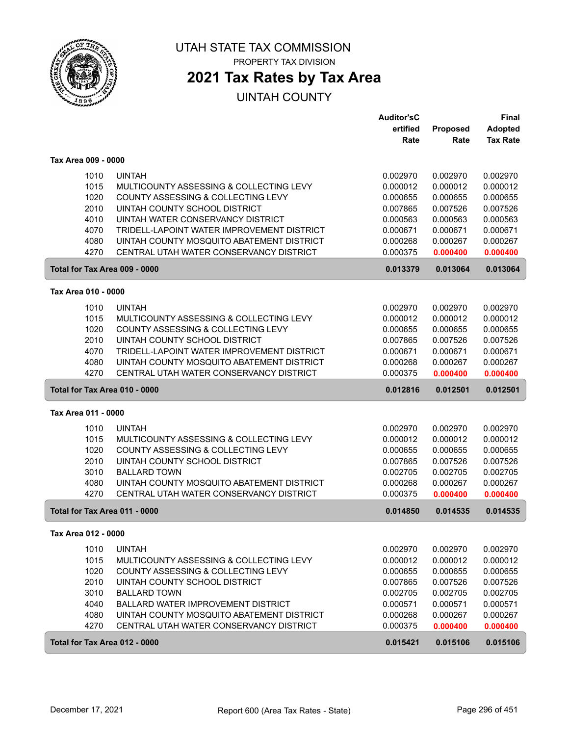

# **2021 Tax Rates by Tax Area**

|                               |                                            | <b>Auditor'sC</b> |                 | <b>Final</b>    |
|-------------------------------|--------------------------------------------|-------------------|-----------------|-----------------|
|                               |                                            | ertified          | <b>Proposed</b> | <b>Adopted</b>  |
|                               |                                            | Rate              | Rate            | <b>Tax Rate</b> |
| Tax Area 009 - 0000           |                                            |                   |                 |                 |
| 1010                          | <b>UINTAH</b>                              | 0.002970          | 0.002970        | 0.002970        |
| 1015                          | MULTICOUNTY ASSESSING & COLLECTING LEVY    | 0.000012          | 0.000012        | 0.000012        |
| 1020                          | COUNTY ASSESSING & COLLECTING LEVY         | 0.000655          | 0.000655        | 0.000655        |
| 2010                          | UINTAH COUNTY SCHOOL DISTRICT              | 0.007865          | 0.007526        | 0.007526        |
| 4010                          | UINTAH WATER CONSERVANCY DISTRICT          | 0.000563          | 0.000563        | 0.000563        |
| 4070                          | TRIDELL-LAPOINT WATER IMPROVEMENT DISTRICT | 0.000671          | 0.000671        | 0.000671        |
| 4080                          | UINTAH COUNTY MOSQUITO ABATEMENT DISTRICT  | 0.000268          | 0.000267        | 0.000267        |
| 4270                          | CENTRAL UTAH WATER CONSERVANCY DISTRICT    | 0.000375          | 0.000400        | 0.000400        |
| Total for Tax Area 009 - 0000 |                                            | 0.013379          | 0.013064        | 0.013064        |
| Tax Area 010 - 0000           |                                            |                   |                 |                 |
|                               |                                            |                   |                 |                 |
| 1010                          | <b>UINTAH</b>                              | 0.002970          | 0.002970        | 0.002970        |
| 1015                          | MULTICOUNTY ASSESSING & COLLECTING LEVY    | 0.000012          | 0.000012        | 0.000012        |
| 1020                          | COUNTY ASSESSING & COLLECTING LEVY         | 0.000655          | 0.000655        | 0.000655        |
| 2010                          | UINTAH COUNTY SCHOOL DISTRICT              | 0.007865          | 0.007526        | 0.007526        |
| 4070                          | TRIDELL-LAPOINT WATER IMPROVEMENT DISTRICT | 0.000671          | 0.000671        | 0.000671        |
| 4080<br>4270                  | UINTAH COUNTY MOSQUITO ABATEMENT DISTRICT  | 0.000268          | 0.000267        | 0.000267        |
|                               | CENTRAL UTAH WATER CONSERVANCY DISTRICT    | 0.000375          | 0.000400        | 0.000400        |
| Total for Tax Area 010 - 0000 |                                            | 0.012816          | 0.012501        | 0.012501        |
| Tax Area 011 - 0000           |                                            |                   |                 |                 |
| 1010                          | <b>UINTAH</b>                              | 0.002970          | 0.002970        | 0.002970        |
| 1015                          | MULTICOUNTY ASSESSING & COLLECTING LEVY    | 0.000012          | 0.000012        | 0.000012        |
| 1020                          | COUNTY ASSESSING & COLLECTING LEVY         | 0.000655          | 0.000655        | 0.000655        |
| 2010                          | UINTAH COUNTY SCHOOL DISTRICT              | 0.007865          | 0.007526        | 0.007526        |
| 3010                          | <b>BALLARD TOWN</b>                        | 0.002705          | 0.002705        | 0.002705        |
| 4080                          | UINTAH COUNTY MOSQUITO ABATEMENT DISTRICT  | 0.000268          | 0.000267        | 0.000267        |
| 4270                          | CENTRAL UTAH WATER CONSERVANCY DISTRICT    | 0.000375          | 0.000400        | 0.000400        |
| Total for Tax Area 011 - 0000 |                                            | 0.014850          | 0.014535        | 0.014535        |
| Tax Area 012 - 0000           |                                            |                   |                 |                 |
| 1010                          | <b>UINTAH</b>                              | 0.002970          | 0.002970        | 0.002970        |
| 1015                          | MULTICOUNTY ASSESSING & COLLECTING LEVY    | 0.000012          | 0.000012        | 0.000012        |
| 1020                          | COUNTY ASSESSING & COLLECTING LEVY         | 0.000655          | 0.000655        | 0.000655        |
| 2010                          | UINTAH COUNTY SCHOOL DISTRICT              | 0.007865          | 0.007526        | 0.007526        |
| 3010                          | <b>BALLARD TOWN</b>                        | 0.002705          | 0.002705        | 0.002705        |
| 4040                          | BALLARD WATER IMPROVEMENT DISTRICT         | 0.000571          | 0.000571        | 0.000571        |
| 4080                          | UINTAH COUNTY MOSQUITO ABATEMENT DISTRICT  | 0.000268          | 0.000267        | 0.000267        |
| 4270                          | CENTRAL UTAH WATER CONSERVANCY DISTRICT    | 0.000375          | 0.000400        | 0.000400        |
| Total for Tax Area 012 - 0000 |                                            | 0.015421          | 0.015106        | 0.015106        |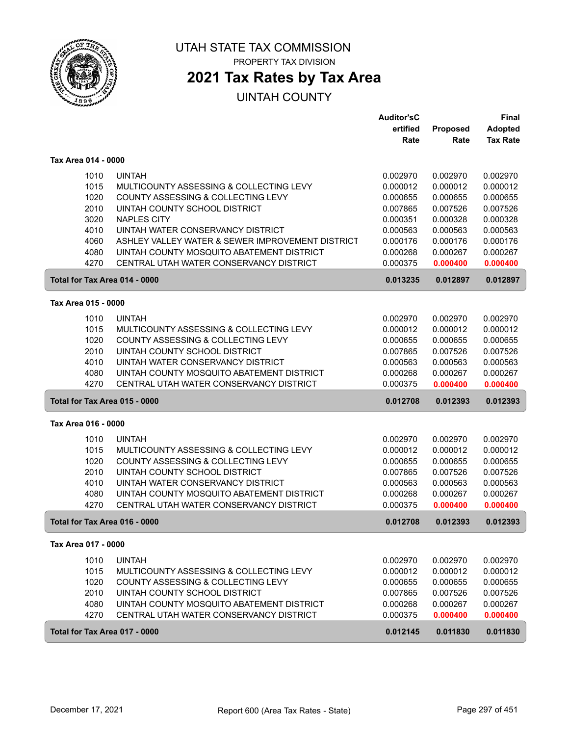

# **2021 Tax Rates by Tax Area**

|                     |                                                  | <b>Auditor'sC</b> |          | <b>Final</b>    |
|---------------------|--------------------------------------------------|-------------------|----------|-----------------|
|                     |                                                  | ertified          | Proposed | <b>Adopted</b>  |
|                     |                                                  | Rate              | Rate     | <b>Tax Rate</b> |
| Tax Area 014 - 0000 |                                                  |                   |          |                 |
| 1010                | <b>UINTAH</b>                                    | 0.002970          | 0.002970 | 0.002970        |
| 1015                | MULTICOUNTY ASSESSING & COLLECTING LEVY          | 0.000012          | 0.000012 | 0.000012        |
| 1020                | COUNTY ASSESSING & COLLECTING LEVY               | 0.000655          | 0.000655 | 0.000655        |
| 2010                | UINTAH COUNTY SCHOOL DISTRICT                    | 0.007865          | 0.007526 | 0.007526        |
| 3020                | <b>NAPLES CITY</b>                               | 0.000351          | 0.000328 | 0.000328        |
| 4010                | UINTAH WATER CONSERVANCY DISTRICT                | 0.000563          | 0.000563 | 0.000563        |
| 4060                | ASHLEY VALLEY WATER & SEWER IMPROVEMENT DISTRICT | 0.000176          | 0.000176 | 0.000176        |
| 4080                | UINTAH COUNTY MOSQUITO ABATEMENT DISTRICT        | 0.000268          | 0.000267 | 0.000267        |
| 4270                | CENTRAL UTAH WATER CONSERVANCY DISTRICT          | 0.000375          | 0.000400 | 0.000400        |
|                     | Total for Tax Area 014 - 0000                    | 0.013235          | 0.012897 | 0.012897        |
| Tax Area 015 - 0000 |                                                  |                   |          |                 |
| 1010                | <b>UINTAH</b>                                    | 0.002970          | 0.002970 | 0.002970        |
| 1015                | MULTICOUNTY ASSESSING & COLLECTING LEVY          | 0.000012          | 0.000012 | 0.000012        |
| 1020                | COUNTY ASSESSING & COLLECTING LEVY               | 0.000655          | 0.000655 | 0.000655        |
| 2010                | UINTAH COUNTY SCHOOL DISTRICT                    | 0.007865          | 0.007526 | 0.007526        |
| 4010                | UINTAH WATER CONSERVANCY DISTRICT                | 0.000563          | 0.000563 | 0.000563        |
| 4080                | UINTAH COUNTY MOSQUITO ABATEMENT DISTRICT        | 0.000268          | 0.000267 | 0.000267        |
| 4270                | CENTRAL UTAH WATER CONSERVANCY DISTRICT          | 0.000375          | 0.000400 | 0.000400        |
|                     | Total for Tax Area 015 - 0000                    | 0.012708          | 0.012393 | 0.012393        |
| Tax Area 016 - 0000 |                                                  |                   |          |                 |
| 1010                | <b>UINTAH</b>                                    | 0.002970          | 0.002970 | 0.002970        |
| 1015                | MULTICOUNTY ASSESSING & COLLECTING LEVY          | 0.000012          | 0.000012 | 0.000012        |
| 1020                | COUNTY ASSESSING & COLLECTING LEVY               | 0.000655          | 0.000655 | 0.000655        |
| 2010                | UINTAH COUNTY SCHOOL DISTRICT                    | 0.007865          | 0.007526 | 0.007526        |
| 4010                | UINTAH WATER CONSERVANCY DISTRICT                | 0.000563          | 0.000563 | 0.000563        |
| 4080                | UINTAH COUNTY MOSQUITO ABATEMENT DISTRICT        | 0.000268          | 0.000267 | 0.000267        |
| 4270                | CENTRAL UTAH WATER CONSERVANCY DISTRICT          | 0.000375          | 0.000400 | 0.000400        |
|                     | Total for Tax Area 016 - 0000                    | 0.012708          | 0.012393 | 0.012393        |
| Tax Area 017 - 0000 |                                                  |                   |          |                 |
| 1010                | <b>UINTAH</b>                                    | 0.002970          | 0.002970 | 0.002970        |
| 1015                | MULTICOUNTY ASSESSING & COLLECTING LEVY          | 0.000012          | 0.000012 | 0.000012        |
| 1020                | COUNTY ASSESSING & COLLECTING LEVY               | 0.000655          | 0.000655 | 0.000655        |
| 2010                | UINTAH COUNTY SCHOOL DISTRICT                    | 0.007865          | 0.007526 | 0.007526        |
| 4080                | UINTAH COUNTY MOSQUITO ABATEMENT DISTRICT        | 0.000268          | 0.000267 | 0.000267        |
| 4270                | CENTRAL UTAH WATER CONSERVANCY DISTRICT          | 0.000375          | 0.000400 | 0.000400        |
|                     | Total for Tax Area 017 - 0000                    | 0.012145          | 0.011830 | 0.011830        |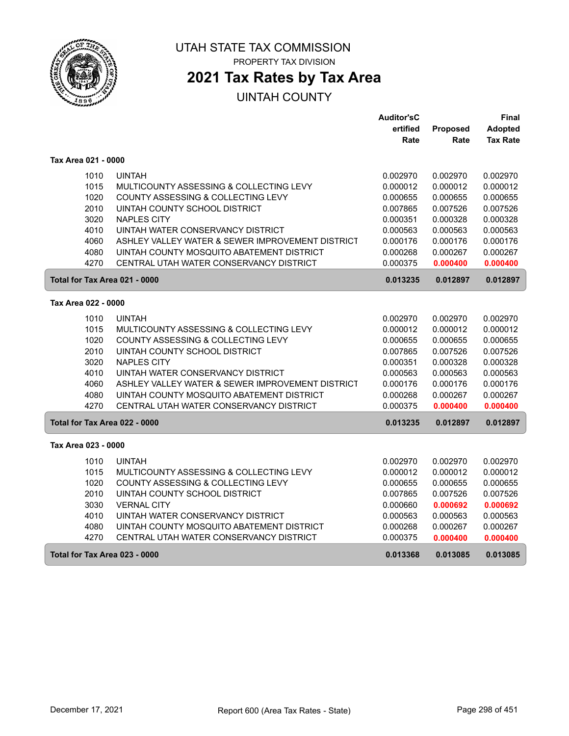

ſ

ſ

#### UTAH STATE TAX COMMISSION PROPERTY TAX DIVISION

**2021 Tax Rates by Tax Area**

|                               |                                                  | <b>Auditor'sC</b> |          | Final           |
|-------------------------------|--------------------------------------------------|-------------------|----------|-----------------|
|                               |                                                  | ertified          | Proposed | <b>Adopted</b>  |
|                               |                                                  | Rate              | Rate     | <b>Tax Rate</b> |
| Tax Area 021 - 0000           |                                                  |                   |          |                 |
| 1010                          | <b>UINTAH</b>                                    | 0.002970          | 0.002970 | 0.002970        |
| 1015                          | MULTICOUNTY ASSESSING & COLLECTING LEVY          | 0.000012          | 0.000012 | 0.000012        |
| 1020                          | COUNTY ASSESSING & COLLECTING LEVY               | 0.000655          | 0.000655 | 0.000655        |
| 2010                          | UINTAH COUNTY SCHOOL DISTRICT                    | 0.007865          | 0.007526 | 0.007526        |
| 3020                          | <b>NAPLES CITY</b>                               | 0.000351          | 0.000328 | 0.000328        |
| 4010                          | UINTAH WATER CONSERVANCY DISTRICT                | 0.000563          | 0.000563 | 0.000563        |
| 4060                          | ASHLEY VALLEY WATER & SEWER IMPROVEMENT DISTRICT | 0.000176          | 0.000176 | 0.000176        |
| 4080                          | UINTAH COUNTY MOSQUITO ABATEMENT DISTRICT        | 0.000268          | 0.000267 | 0.000267        |
| 4270                          | CENTRAL UTAH WATER CONSERVANCY DISTRICT          | 0.000375          | 0.000400 | 0.000400        |
| Total for Tax Area 021 - 0000 |                                                  | 0.013235          | 0.012897 | 0.012897        |
| Tax Area 022 - 0000           |                                                  |                   |          |                 |
| 1010                          | <b>UINTAH</b>                                    | 0.002970          | 0.002970 | 0.002970        |
| 1015                          | MULTICOUNTY ASSESSING & COLLECTING LEVY          | 0.000012          | 0.000012 | 0.000012        |
| 1020                          | COUNTY ASSESSING & COLLECTING LEVY               | 0.000655          | 0.000655 | 0.000655        |
| 2010                          | UINTAH COUNTY SCHOOL DISTRICT                    | 0.007865          | 0.007526 | 0.007526        |
| 3020                          | <b>NAPLES CITY</b>                               | 0.000351          | 0.000328 | 0.000328        |
| 4010                          | UINTAH WATER CONSERVANCY DISTRICT                | 0.000563          | 0.000563 | 0.000563        |
| 4060                          | ASHLEY VALLEY WATER & SEWER IMPROVEMENT DISTRICT | 0.000176          | 0.000176 | 0.000176        |
| 4080                          | UINTAH COUNTY MOSQUITO ABATEMENT DISTRICT        | 0.000268          | 0.000267 | 0.000267        |
| 4270                          | CENTRAL UTAH WATER CONSERVANCY DISTRICT          | 0.000375          | 0.000400 | 0.000400        |
| Total for Tax Area 022 - 0000 |                                                  | 0.013235          | 0.012897 | 0.012897        |
| Tax Area 023 - 0000           |                                                  |                   |          |                 |
| 1010                          | <b>UINTAH</b>                                    | 0.002970          | 0.002970 | 0.002970        |
| 1015                          | MULTICOUNTY ASSESSING & COLLECTING LEVY          | 0.000012          | 0.000012 | 0.000012        |
| 1020                          | COUNTY ASSESSING & COLLECTING LEVY               | 0.000655          | 0.000655 | 0.000655        |
| 2010                          | UINTAH COUNTY SCHOOL DISTRICT                    | 0.007865          | 0.007526 | 0.007526        |
| 3030                          | <b>VERNAL CITY</b>                               | 0.000660          | 0.000692 | 0.000692        |
| 4010                          | UINTAH WATER CONSERVANCY DISTRICT                | 0.000563          | 0.000563 | 0.000563        |
| 4080                          | UINTAH COUNTY MOSQUITO ABATEMENT DISTRICT        | 0.000268          | 0.000267 | 0.000267        |
| 4270                          | CENTRAL UTAH WATER CONSERVANCY DISTRICT          | 0.000375          | 0.000400 | 0.000400        |
| Total for Tax Area 023 - 0000 |                                                  | 0.013368          | 0.013085 | 0.013085        |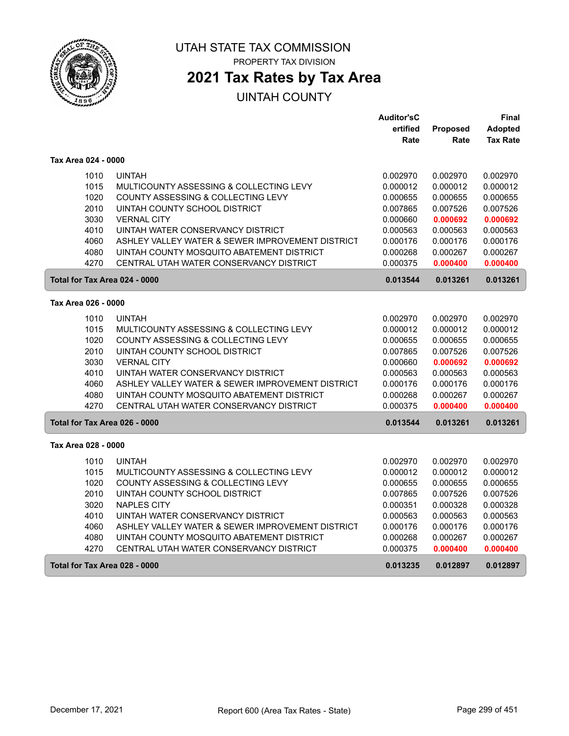

 $\sqrt{2}$ 

ſ

#### UTAH STATE TAX COMMISSION PROPERTY TAX DIVISION

# **2021 Tax Rates by Tax Area**

|                               |                                                  | <b>Auditor'sC</b> |          | Final           |
|-------------------------------|--------------------------------------------------|-------------------|----------|-----------------|
|                               |                                                  | ertified          | Proposed | <b>Adopted</b>  |
|                               |                                                  | Rate              | Rate     | <b>Tax Rate</b> |
| Tax Area 024 - 0000           |                                                  |                   |          |                 |
| 1010                          | <b>UINTAH</b>                                    | 0.002970          | 0.002970 | 0.002970        |
| 1015                          | MULTICOUNTY ASSESSING & COLLECTING LEVY          | 0.000012          | 0.000012 | 0.000012        |
| 1020                          | COUNTY ASSESSING & COLLECTING LEVY               | 0.000655          | 0.000655 | 0.000655        |
| 2010                          | UINTAH COUNTY SCHOOL DISTRICT                    | 0.007865          | 0.007526 | 0.007526        |
| 3030                          | <b>VERNAL CITY</b>                               | 0.000660          | 0.000692 | 0.000692        |
| 4010                          | UINTAH WATER CONSERVANCY DISTRICT                | 0.000563          | 0.000563 | 0.000563        |
| 4060                          | ASHLEY VALLEY WATER & SEWER IMPROVEMENT DISTRICT | 0.000176          | 0.000176 | 0.000176        |
| 4080                          | UINTAH COUNTY MOSQUITO ABATEMENT DISTRICT        | 0.000268          | 0.000267 | 0.000267        |
| 4270                          | CENTRAL UTAH WATER CONSERVANCY DISTRICT          | 0.000375          | 0.000400 | 0.000400        |
| Total for Tax Area 024 - 0000 |                                                  | 0.013544          | 0.013261 | 0.013261        |
| Tax Area 026 - 0000           |                                                  |                   |          |                 |
| 1010                          | <b>UINTAH</b>                                    | 0.002970          | 0.002970 | 0.002970        |
| 1015                          | MULTICOUNTY ASSESSING & COLLECTING LEVY          | 0.000012          | 0.000012 | 0.000012        |
| 1020                          | COUNTY ASSESSING & COLLECTING LEVY               | 0.000655          | 0.000655 | 0.000655        |
| 2010                          | UINTAH COUNTY SCHOOL DISTRICT                    | 0.007865          | 0.007526 | 0.007526        |
| 3030                          | <b>VERNAL CITY</b>                               | 0.000660          | 0.000692 | 0.000692        |
| 4010                          | UINTAH WATER CONSERVANCY DISTRICT                | 0.000563          | 0.000563 | 0.000563        |
| 4060                          | ASHLEY VALLEY WATER & SEWER IMPROVEMENT DISTRICT | 0.000176          | 0.000176 | 0.000176        |
| 4080                          | UINTAH COUNTY MOSQUITO ABATEMENT DISTRICT        | 0.000268          | 0.000267 | 0.000267        |
| 4270                          | CENTRAL UTAH WATER CONSERVANCY DISTRICT          | 0.000375          | 0.000400 | 0.000400        |
| Total for Tax Area 026 - 0000 |                                                  | 0.013544          | 0.013261 | 0.013261        |
| Tax Area 028 - 0000           |                                                  |                   |          |                 |
| 1010                          | <b>UINTAH</b>                                    | 0.002970          | 0.002970 | 0.002970        |
| 1015                          | MULTICOUNTY ASSESSING & COLLECTING LEVY          | 0.000012          | 0.000012 | 0.000012        |
| 1020                          | COUNTY ASSESSING & COLLECTING LEVY               | 0.000655          | 0.000655 | 0.000655        |
| 2010                          | UINTAH COUNTY SCHOOL DISTRICT                    | 0.007865          | 0.007526 | 0.007526        |
| 3020                          | <b>NAPLES CITY</b>                               | 0.000351          | 0.000328 | 0.000328        |
| 4010                          | UINTAH WATER CONSERVANCY DISTRICT                | 0.000563          | 0.000563 | 0.000563        |
| 4060                          | ASHLEY VALLEY WATER & SEWER IMPROVEMENT DISTRICT | 0.000176          | 0.000176 | 0.000176        |
| 4080                          | UINTAH COUNTY MOSQUITO ABATEMENT DISTRICT        | 0.000268          | 0.000267 | 0.000267        |
| 4270                          | CENTRAL UTAH WATER CONSERVANCY DISTRICT          | 0.000375          | 0.000400 | 0.000400        |
| Total for Tax Area 028 - 0000 |                                                  | 0.013235          | 0.012897 | 0.012897        |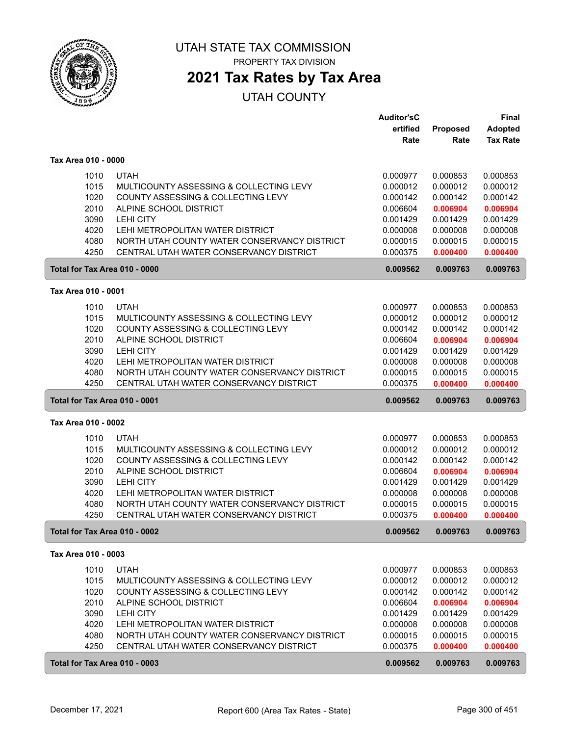

PROPERTY TAX DIVISION

## **2021 Tax Rates by Tax Area**

|                     |                                                                                  | <b>Auditor'sC</b>    |                      | Final                |
|---------------------|----------------------------------------------------------------------------------|----------------------|----------------------|----------------------|
|                     |                                                                                  | ertified             | Proposed             | <b>Adopted</b>       |
|                     |                                                                                  | Rate                 | Rate                 | <b>Tax Rate</b>      |
| Tax Area 010 - 0000 |                                                                                  |                      |                      |                      |
| 1010                | <b>UTAH</b>                                                                      | 0.000977             | 0.000853             | 0.000853             |
| 1015                | MULTICOUNTY ASSESSING & COLLECTING LEVY                                          | 0.000012             | 0.000012             | 0.000012             |
| 1020                | COUNTY ASSESSING & COLLECTING LEVY                                               | 0.000142             | 0.000142             | 0.000142             |
| 2010                | ALPINE SCHOOL DISTRICT                                                           | 0.006604             | 0.006904             | 0.006904             |
| 3090                | <b>LEHI CITY</b>                                                                 | 0.001429             | 0.001429             | 0.001429             |
| 4020                | LEHI METROPOLITAN WATER DISTRICT                                                 | 0.000008             | 0.000008             | 0.000008             |
| 4080                | NORTH UTAH COUNTY WATER CONSERVANCY DISTRICT                                     | 0.000015             | 0.000015             | 0.000015             |
| 4250                | CENTRAL UTAH WATER CONSERVANCY DISTRICT                                          | 0.000375             | 0.000400             | 0.000400             |
|                     | Total for Tax Area 010 - 0000                                                    | 0.009562             | 0.009763             | 0.009763             |
| Tax Area 010 - 0001 |                                                                                  |                      |                      |                      |
| 1010                | <b>UTAH</b>                                                                      | 0.000977             | 0.000853             | 0.000853             |
| 1015                | MULTICOUNTY ASSESSING & COLLECTING LEVY                                          | 0.000012             | 0.000012             | 0.000012             |
| 1020                | COUNTY ASSESSING & COLLECTING LEVY                                               | 0.000142             | 0.000142             | 0.000142             |
| 2010                | ALPINE SCHOOL DISTRICT                                                           | 0.006604             | 0.006904             | 0.006904             |
| 3090                | <b>LEHI CITY</b>                                                                 | 0.001429             | 0.001429             | 0.001429             |
| 4020                | LEHI METROPOLITAN WATER DISTRICT                                                 | 0.000008             | 0.000008             | 0.000008             |
| 4080                | NORTH UTAH COUNTY WATER CONSERVANCY DISTRICT                                     | 0.000015             | 0.000015             | 0.000015             |
| 4250                | CENTRAL UTAH WATER CONSERVANCY DISTRICT                                          | 0.000375             | 0.000400             | 0.000400             |
|                     | Total for Tax Area 010 - 0001                                                    | 0.009562             | 0.009763             | 0.009763             |
| Tax Area 010 - 0002 |                                                                                  |                      |                      |                      |
|                     |                                                                                  |                      |                      |                      |
| 1010                | <b>UTAH</b>                                                                      | 0.000977             | 0.000853             | 0.000853             |
| 1015                | MULTICOUNTY ASSESSING & COLLECTING LEVY                                          | 0.000012             | 0.000012             | 0.000012             |
| 1020                | COUNTY ASSESSING & COLLECTING LEVY                                               | 0.000142             | 0.000142             | 0.000142             |
| 2010                | ALPINE SCHOOL DISTRICT                                                           | 0.006604             | 0.006904             | 0.006904             |
| 3090<br>4020        | <b>LEHI CITY</b>                                                                 | 0.001429             | 0.001429             | 0.001429             |
| 4080                | LEHI METROPOLITAN WATER DISTRICT<br>NORTH UTAH COUNTY WATER CONSERVANCY DISTRICT | 0.000008             | 0.000008             | 0.000008             |
| 4250                | CENTRAL UTAH WATER CONSERVANCY DISTRICT                                          | 0.000015<br>0.000375 | 0.000015<br>0.000400 | 0.000015<br>0.000400 |
|                     | Total for Tax Area 010 - 0002                                                    | 0.009562             | 0.009763             | 0.009763             |
| Tax Area 010 - 0003 |                                                                                  |                      |                      |                      |
|                     |                                                                                  |                      |                      |                      |
| 1010                | <b>UTAH</b>                                                                      | 0.000977             | 0.000853             | 0.000853             |
| 1015                |                                                                                  | 0.000012             | 0.000012             | 0.000012             |
|                     | MULTICOUNTY ASSESSING & COLLECTING LEVY                                          |                      |                      |                      |
| 1020                | COUNTY ASSESSING & COLLECTING LEVY                                               | 0.000142             | 0.000142             | 0.000142             |
| 2010                | ALPINE SCHOOL DISTRICT                                                           | 0.006604             | 0.006904             | 0.006904             |
| 3090                | <b>LEHI CITY</b>                                                                 | 0.001429             | 0.001429             | 0.001429             |
| 4020                | LEHI METROPOLITAN WATER DISTRICT                                                 | 0.000008             | 0.000008             | 0.000008             |
| 4080                | NORTH UTAH COUNTY WATER CONSERVANCY DISTRICT                                     | 0.000015             | 0.000015             | 0.000015             |
| 4250                | CENTRAL UTAH WATER CONSERVANCY DISTRICT                                          | 0.000375             | 0.000400             | 0.000400             |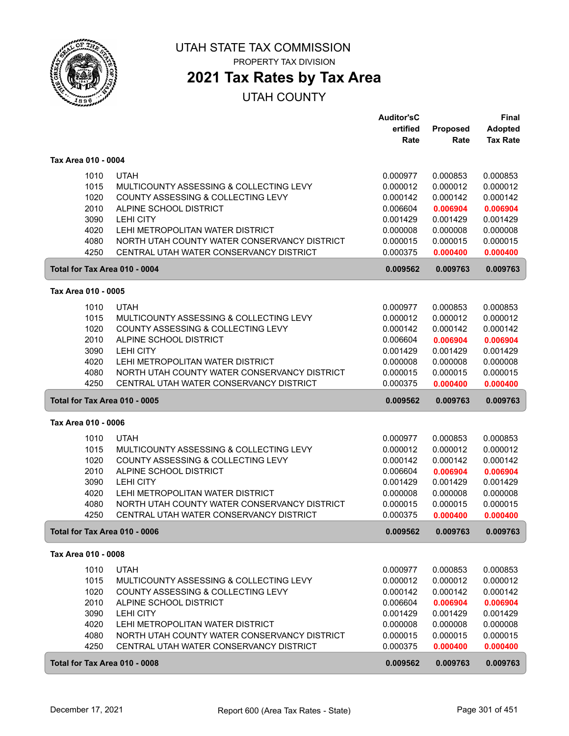

## **2021 Tax Rates by Tax Area**

| ertified<br>Proposed<br><b>Adopted</b><br><b>Tax Rate</b><br>Rate<br>Rate<br>Tax Area 010 - 0004<br><b>UTAH</b><br>1010<br>0.000977<br>0.000853<br>0.000853<br>1015<br>MULTICOUNTY ASSESSING & COLLECTING LEVY<br>0.000012<br>0.000012<br>0.000012<br>1020<br>COUNTY ASSESSING & COLLECTING LEVY<br>0.000142<br>0.000142<br>0.000142<br>2010<br>ALPINE SCHOOL DISTRICT<br>0.006604<br>0.006904<br>0.006904<br>3090<br><b>LEHI CITY</b><br>0.001429<br>0.001429<br>0.001429<br>4020<br>LEHI METROPOLITAN WATER DISTRICT<br>0.000008<br>0.000008<br>0.000008<br>4080<br>NORTH UTAH COUNTY WATER CONSERVANCY DISTRICT<br>0.000015<br>0.000015<br>0.000015<br>4250<br>CENTRAL UTAH WATER CONSERVANCY DISTRICT<br>0.000375<br>0.000400<br>0.000400<br>Total for Tax Area 010 - 0004<br>0.009562<br>0.009763<br>0.009763<br>Tax Area 010 - 0005<br>1010<br><b>UTAH</b><br>0.000977<br>0.000853<br>0.000853<br>1015<br>MULTICOUNTY ASSESSING & COLLECTING LEVY<br>0.000012<br>0.000012<br>0.000012<br>1020<br>0.000142<br>COUNTY ASSESSING & COLLECTING LEVY<br>0.000142<br>0.000142<br>2010<br>ALPINE SCHOOL DISTRICT<br>0.006604<br>0.006904<br>0.006904<br>3090<br><b>LEHI CITY</b><br>0.001429<br>0.001429<br>0.001429<br>4020<br>LEHI METROPOLITAN WATER DISTRICT<br>0.000008<br>0.000008<br>0.000008<br>NORTH UTAH COUNTY WATER CONSERVANCY DISTRICT<br>4080<br>0.000015<br>0.000015<br>0.000015<br>4250<br>CENTRAL UTAH WATER CONSERVANCY DISTRICT<br>0.000375<br>0.000400<br>0.000400<br>0.009763<br>Total for Tax Area 010 - 0005<br>0.009562<br>0.009763<br>Tax Area 010 - 0006<br>1010<br><b>UTAH</b><br>0.000977<br>0.000853<br>0.000853<br>1015<br>MULTICOUNTY ASSESSING & COLLECTING LEVY<br>0.000012<br>0.000012<br>0.000012<br>1020<br>COUNTY ASSESSING & COLLECTING LEVY<br>0.000142<br>0.000142<br>0.000142<br>2010<br>ALPINE SCHOOL DISTRICT<br>0.006604<br>0.006904<br>0.006904<br>3090<br><b>LEHI CITY</b><br>0.001429<br>0.001429<br>0.001429<br>4020<br>LEHI METROPOLITAN WATER DISTRICT<br>0.000008<br>0.000008<br>0.000008<br>4080<br>NORTH UTAH COUNTY WATER CONSERVANCY DISTRICT<br>0.000015<br>0.000015<br>0.000015<br>4250<br>CENTRAL UTAH WATER CONSERVANCY DISTRICT<br>0.000375<br>0.000400<br>0.000400<br>0.009763<br>0.009763<br>Total for Tax Area 010 - 0006<br>0.009562<br>Tax Area 010 - 0008<br>1010<br><b>UTAH</b><br>0.000977<br>0.000853<br>0.000853<br>1015<br>0.000012<br>MULTICOUNTY ASSESSING & COLLECTING LEVY<br>0.000012<br>0.000012<br>1020<br>COUNTY ASSESSING & COLLECTING LEVY<br>0.000142<br>0.000142<br>0.000142<br>2010<br>ALPINE SCHOOL DISTRICT<br>0.006604<br>0.006904<br>0.006904 |                               |                                         | <b>Auditor'sC</b> |          | Final    |
|---------------------------------------------------------------------------------------------------------------------------------------------------------------------------------------------------------------------------------------------------------------------------------------------------------------------------------------------------------------------------------------------------------------------------------------------------------------------------------------------------------------------------------------------------------------------------------------------------------------------------------------------------------------------------------------------------------------------------------------------------------------------------------------------------------------------------------------------------------------------------------------------------------------------------------------------------------------------------------------------------------------------------------------------------------------------------------------------------------------------------------------------------------------------------------------------------------------------------------------------------------------------------------------------------------------------------------------------------------------------------------------------------------------------------------------------------------------------------------------------------------------------------------------------------------------------------------------------------------------------------------------------------------------------------------------------------------------------------------------------------------------------------------------------------------------------------------------------------------------------------------------------------------------------------------------------------------------------------------------------------------------------------------------------------------------------------------------------------------------------------------------------------------------------------------------------------------------------------------------------------------------------------------------------------------------------------------------------------------------------------------------------------------------------------------------------------------------------------------------------------------------------------------------------------------------------------------------------------------------------------------------|-------------------------------|-----------------------------------------|-------------------|----------|----------|
|                                                                                                                                                                                                                                                                                                                                                                                                                                                                                                                                                                                                                                                                                                                                                                                                                                                                                                                                                                                                                                                                                                                                                                                                                                                                                                                                                                                                                                                                                                                                                                                                                                                                                                                                                                                                                                                                                                                                                                                                                                                                                                                                                                                                                                                                                                                                                                                                                                                                                                                                                                                                                                       |                               |                                         |                   |          |          |
|                                                                                                                                                                                                                                                                                                                                                                                                                                                                                                                                                                                                                                                                                                                                                                                                                                                                                                                                                                                                                                                                                                                                                                                                                                                                                                                                                                                                                                                                                                                                                                                                                                                                                                                                                                                                                                                                                                                                                                                                                                                                                                                                                                                                                                                                                                                                                                                                                                                                                                                                                                                                                                       |                               |                                         |                   |          |          |
|                                                                                                                                                                                                                                                                                                                                                                                                                                                                                                                                                                                                                                                                                                                                                                                                                                                                                                                                                                                                                                                                                                                                                                                                                                                                                                                                                                                                                                                                                                                                                                                                                                                                                                                                                                                                                                                                                                                                                                                                                                                                                                                                                                                                                                                                                                                                                                                                                                                                                                                                                                                                                                       |                               |                                         |                   |          |          |
|                                                                                                                                                                                                                                                                                                                                                                                                                                                                                                                                                                                                                                                                                                                                                                                                                                                                                                                                                                                                                                                                                                                                                                                                                                                                                                                                                                                                                                                                                                                                                                                                                                                                                                                                                                                                                                                                                                                                                                                                                                                                                                                                                                                                                                                                                                                                                                                                                                                                                                                                                                                                                                       |                               |                                         |                   |          |          |
|                                                                                                                                                                                                                                                                                                                                                                                                                                                                                                                                                                                                                                                                                                                                                                                                                                                                                                                                                                                                                                                                                                                                                                                                                                                                                                                                                                                                                                                                                                                                                                                                                                                                                                                                                                                                                                                                                                                                                                                                                                                                                                                                                                                                                                                                                                                                                                                                                                                                                                                                                                                                                                       |                               |                                         |                   |          |          |
|                                                                                                                                                                                                                                                                                                                                                                                                                                                                                                                                                                                                                                                                                                                                                                                                                                                                                                                                                                                                                                                                                                                                                                                                                                                                                                                                                                                                                                                                                                                                                                                                                                                                                                                                                                                                                                                                                                                                                                                                                                                                                                                                                                                                                                                                                                                                                                                                                                                                                                                                                                                                                                       |                               |                                         |                   |          |          |
|                                                                                                                                                                                                                                                                                                                                                                                                                                                                                                                                                                                                                                                                                                                                                                                                                                                                                                                                                                                                                                                                                                                                                                                                                                                                                                                                                                                                                                                                                                                                                                                                                                                                                                                                                                                                                                                                                                                                                                                                                                                                                                                                                                                                                                                                                                                                                                                                                                                                                                                                                                                                                                       |                               |                                         |                   |          |          |
|                                                                                                                                                                                                                                                                                                                                                                                                                                                                                                                                                                                                                                                                                                                                                                                                                                                                                                                                                                                                                                                                                                                                                                                                                                                                                                                                                                                                                                                                                                                                                                                                                                                                                                                                                                                                                                                                                                                                                                                                                                                                                                                                                                                                                                                                                                                                                                                                                                                                                                                                                                                                                                       |                               |                                         |                   |          |          |
|                                                                                                                                                                                                                                                                                                                                                                                                                                                                                                                                                                                                                                                                                                                                                                                                                                                                                                                                                                                                                                                                                                                                                                                                                                                                                                                                                                                                                                                                                                                                                                                                                                                                                                                                                                                                                                                                                                                                                                                                                                                                                                                                                                                                                                                                                                                                                                                                                                                                                                                                                                                                                                       |                               |                                         |                   |          |          |
|                                                                                                                                                                                                                                                                                                                                                                                                                                                                                                                                                                                                                                                                                                                                                                                                                                                                                                                                                                                                                                                                                                                                                                                                                                                                                                                                                                                                                                                                                                                                                                                                                                                                                                                                                                                                                                                                                                                                                                                                                                                                                                                                                                                                                                                                                                                                                                                                                                                                                                                                                                                                                                       |                               |                                         |                   |          |          |
|                                                                                                                                                                                                                                                                                                                                                                                                                                                                                                                                                                                                                                                                                                                                                                                                                                                                                                                                                                                                                                                                                                                                                                                                                                                                                                                                                                                                                                                                                                                                                                                                                                                                                                                                                                                                                                                                                                                                                                                                                                                                                                                                                                                                                                                                                                                                                                                                                                                                                                                                                                                                                                       |                               |                                         |                   |          |          |
|                                                                                                                                                                                                                                                                                                                                                                                                                                                                                                                                                                                                                                                                                                                                                                                                                                                                                                                                                                                                                                                                                                                                                                                                                                                                                                                                                                                                                                                                                                                                                                                                                                                                                                                                                                                                                                                                                                                                                                                                                                                                                                                                                                                                                                                                                                                                                                                                                                                                                                                                                                                                                                       |                               |                                         |                   |          |          |
|                                                                                                                                                                                                                                                                                                                                                                                                                                                                                                                                                                                                                                                                                                                                                                                                                                                                                                                                                                                                                                                                                                                                                                                                                                                                                                                                                                                                                                                                                                                                                                                                                                                                                                                                                                                                                                                                                                                                                                                                                                                                                                                                                                                                                                                                                                                                                                                                                                                                                                                                                                                                                                       |                               |                                         |                   |          |          |
|                                                                                                                                                                                                                                                                                                                                                                                                                                                                                                                                                                                                                                                                                                                                                                                                                                                                                                                                                                                                                                                                                                                                                                                                                                                                                                                                                                                                                                                                                                                                                                                                                                                                                                                                                                                                                                                                                                                                                                                                                                                                                                                                                                                                                                                                                                                                                                                                                                                                                                                                                                                                                                       |                               |                                         |                   |          |          |
|                                                                                                                                                                                                                                                                                                                                                                                                                                                                                                                                                                                                                                                                                                                                                                                                                                                                                                                                                                                                                                                                                                                                                                                                                                                                                                                                                                                                                                                                                                                                                                                                                                                                                                                                                                                                                                                                                                                                                                                                                                                                                                                                                                                                                                                                                                                                                                                                                                                                                                                                                                                                                                       |                               |                                         |                   |          |          |
|                                                                                                                                                                                                                                                                                                                                                                                                                                                                                                                                                                                                                                                                                                                                                                                                                                                                                                                                                                                                                                                                                                                                                                                                                                                                                                                                                                                                                                                                                                                                                                                                                                                                                                                                                                                                                                                                                                                                                                                                                                                                                                                                                                                                                                                                                                                                                                                                                                                                                                                                                                                                                                       |                               |                                         |                   |          |          |
|                                                                                                                                                                                                                                                                                                                                                                                                                                                                                                                                                                                                                                                                                                                                                                                                                                                                                                                                                                                                                                                                                                                                                                                                                                                                                                                                                                                                                                                                                                                                                                                                                                                                                                                                                                                                                                                                                                                                                                                                                                                                                                                                                                                                                                                                                                                                                                                                                                                                                                                                                                                                                                       |                               |                                         |                   |          |          |
|                                                                                                                                                                                                                                                                                                                                                                                                                                                                                                                                                                                                                                                                                                                                                                                                                                                                                                                                                                                                                                                                                                                                                                                                                                                                                                                                                                                                                                                                                                                                                                                                                                                                                                                                                                                                                                                                                                                                                                                                                                                                                                                                                                                                                                                                                                                                                                                                                                                                                                                                                                                                                                       |                               |                                         |                   |          |          |
|                                                                                                                                                                                                                                                                                                                                                                                                                                                                                                                                                                                                                                                                                                                                                                                                                                                                                                                                                                                                                                                                                                                                                                                                                                                                                                                                                                                                                                                                                                                                                                                                                                                                                                                                                                                                                                                                                                                                                                                                                                                                                                                                                                                                                                                                                                                                                                                                                                                                                                                                                                                                                                       |                               |                                         |                   |          |          |
|                                                                                                                                                                                                                                                                                                                                                                                                                                                                                                                                                                                                                                                                                                                                                                                                                                                                                                                                                                                                                                                                                                                                                                                                                                                                                                                                                                                                                                                                                                                                                                                                                                                                                                                                                                                                                                                                                                                                                                                                                                                                                                                                                                                                                                                                                                                                                                                                                                                                                                                                                                                                                                       |                               |                                         |                   |          |          |
|                                                                                                                                                                                                                                                                                                                                                                                                                                                                                                                                                                                                                                                                                                                                                                                                                                                                                                                                                                                                                                                                                                                                                                                                                                                                                                                                                                                                                                                                                                                                                                                                                                                                                                                                                                                                                                                                                                                                                                                                                                                                                                                                                                                                                                                                                                                                                                                                                                                                                                                                                                                                                                       |                               |                                         |                   |          |          |
|                                                                                                                                                                                                                                                                                                                                                                                                                                                                                                                                                                                                                                                                                                                                                                                                                                                                                                                                                                                                                                                                                                                                                                                                                                                                                                                                                                                                                                                                                                                                                                                                                                                                                                                                                                                                                                                                                                                                                                                                                                                                                                                                                                                                                                                                                                                                                                                                                                                                                                                                                                                                                                       |                               |                                         |                   |          |          |
|                                                                                                                                                                                                                                                                                                                                                                                                                                                                                                                                                                                                                                                                                                                                                                                                                                                                                                                                                                                                                                                                                                                                                                                                                                                                                                                                                                                                                                                                                                                                                                                                                                                                                                                                                                                                                                                                                                                                                                                                                                                                                                                                                                                                                                                                                                                                                                                                                                                                                                                                                                                                                                       |                               |                                         |                   |          |          |
|                                                                                                                                                                                                                                                                                                                                                                                                                                                                                                                                                                                                                                                                                                                                                                                                                                                                                                                                                                                                                                                                                                                                                                                                                                                                                                                                                                                                                                                                                                                                                                                                                                                                                                                                                                                                                                                                                                                                                                                                                                                                                                                                                                                                                                                                                                                                                                                                                                                                                                                                                                                                                                       |                               |                                         |                   |          |          |
|                                                                                                                                                                                                                                                                                                                                                                                                                                                                                                                                                                                                                                                                                                                                                                                                                                                                                                                                                                                                                                                                                                                                                                                                                                                                                                                                                                                                                                                                                                                                                                                                                                                                                                                                                                                                                                                                                                                                                                                                                                                                                                                                                                                                                                                                                                                                                                                                                                                                                                                                                                                                                                       |                               |                                         |                   |          |          |
|                                                                                                                                                                                                                                                                                                                                                                                                                                                                                                                                                                                                                                                                                                                                                                                                                                                                                                                                                                                                                                                                                                                                                                                                                                                                                                                                                                                                                                                                                                                                                                                                                                                                                                                                                                                                                                                                                                                                                                                                                                                                                                                                                                                                                                                                                                                                                                                                                                                                                                                                                                                                                                       |                               |                                         |                   |          |          |
|                                                                                                                                                                                                                                                                                                                                                                                                                                                                                                                                                                                                                                                                                                                                                                                                                                                                                                                                                                                                                                                                                                                                                                                                                                                                                                                                                                                                                                                                                                                                                                                                                                                                                                                                                                                                                                                                                                                                                                                                                                                                                                                                                                                                                                                                                                                                                                                                                                                                                                                                                                                                                                       |                               |                                         |                   |          |          |
|                                                                                                                                                                                                                                                                                                                                                                                                                                                                                                                                                                                                                                                                                                                                                                                                                                                                                                                                                                                                                                                                                                                                                                                                                                                                                                                                                                                                                                                                                                                                                                                                                                                                                                                                                                                                                                                                                                                                                                                                                                                                                                                                                                                                                                                                                                                                                                                                                                                                                                                                                                                                                                       |                               |                                         |                   |          |          |
|                                                                                                                                                                                                                                                                                                                                                                                                                                                                                                                                                                                                                                                                                                                                                                                                                                                                                                                                                                                                                                                                                                                                                                                                                                                                                                                                                                                                                                                                                                                                                                                                                                                                                                                                                                                                                                                                                                                                                                                                                                                                                                                                                                                                                                                                                                                                                                                                                                                                                                                                                                                                                                       |                               |                                         |                   |          |          |
|                                                                                                                                                                                                                                                                                                                                                                                                                                                                                                                                                                                                                                                                                                                                                                                                                                                                                                                                                                                                                                                                                                                                                                                                                                                                                                                                                                                                                                                                                                                                                                                                                                                                                                                                                                                                                                                                                                                                                                                                                                                                                                                                                                                                                                                                                                                                                                                                                                                                                                                                                                                                                                       |                               |                                         |                   |          |          |
|                                                                                                                                                                                                                                                                                                                                                                                                                                                                                                                                                                                                                                                                                                                                                                                                                                                                                                                                                                                                                                                                                                                                                                                                                                                                                                                                                                                                                                                                                                                                                                                                                                                                                                                                                                                                                                                                                                                                                                                                                                                                                                                                                                                                                                                                                                                                                                                                                                                                                                                                                                                                                                       |                               |                                         |                   |          |          |
|                                                                                                                                                                                                                                                                                                                                                                                                                                                                                                                                                                                                                                                                                                                                                                                                                                                                                                                                                                                                                                                                                                                                                                                                                                                                                                                                                                                                                                                                                                                                                                                                                                                                                                                                                                                                                                                                                                                                                                                                                                                                                                                                                                                                                                                                                                                                                                                                                                                                                                                                                                                                                                       |                               |                                         |                   |          |          |
|                                                                                                                                                                                                                                                                                                                                                                                                                                                                                                                                                                                                                                                                                                                                                                                                                                                                                                                                                                                                                                                                                                                                                                                                                                                                                                                                                                                                                                                                                                                                                                                                                                                                                                                                                                                                                                                                                                                                                                                                                                                                                                                                                                                                                                                                                                                                                                                                                                                                                                                                                                                                                                       |                               |                                         |                   |          |          |
|                                                                                                                                                                                                                                                                                                                                                                                                                                                                                                                                                                                                                                                                                                                                                                                                                                                                                                                                                                                                                                                                                                                                                                                                                                                                                                                                                                                                                                                                                                                                                                                                                                                                                                                                                                                                                                                                                                                                                                                                                                                                                                                                                                                                                                                                                                                                                                                                                                                                                                                                                                                                                                       |                               |                                         |                   |          |          |
|                                                                                                                                                                                                                                                                                                                                                                                                                                                                                                                                                                                                                                                                                                                                                                                                                                                                                                                                                                                                                                                                                                                                                                                                                                                                                                                                                                                                                                                                                                                                                                                                                                                                                                                                                                                                                                                                                                                                                                                                                                                                                                                                                                                                                                                                                                                                                                                                                                                                                                                                                                                                                                       |                               |                                         |                   |          |          |
|                                                                                                                                                                                                                                                                                                                                                                                                                                                                                                                                                                                                                                                                                                                                                                                                                                                                                                                                                                                                                                                                                                                                                                                                                                                                                                                                                                                                                                                                                                                                                                                                                                                                                                                                                                                                                                                                                                                                                                                                                                                                                                                                                                                                                                                                                                                                                                                                                                                                                                                                                                                                                                       |                               |                                         |                   |          |          |
|                                                                                                                                                                                                                                                                                                                                                                                                                                                                                                                                                                                                                                                                                                                                                                                                                                                                                                                                                                                                                                                                                                                                                                                                                                                                                                                                                                                                                                                                                                                                                                                                                                                                                                                                                                                                                                                                                                                                                                                                                                                                                                                                                                                                                                                                                                                                                                                                                                                                                                                                                                                                                                       |                               |                                         |                   |          |          |
|                                                                                                                                                                                                                                                                                                                                                                                                                                                                                                                                                                                                                                                                                                                                                                                                                                                                                                                                                                                                                                                                                                                                                                                                                                                                                                                                                                                                                                                                                                                                                                                                                                                                                                                                                                                                                                                                                                                                                                                                                                                                                                                                                                                                                                                                                                                                                                                                                                                                                                                                                                                                                                       | 3090                          | <b>LEHI CITY</b>                        | 0.001429          | 0.001429 | 0.001429 |
| 4020<br>LEHI METROPOLITAN WATER DISTRICT<br>0.000008<br>0.000008<br>0.000008                                                                                                                                                                                                                                                                                                                                                                                                                                                                                                                                                                                                                                                                                                                                                                                                                                                                                                                                                                                                                                                                                                                                                                                                                                                                                                                                                                                                                                                                                                                                                                                                                                                                                                                                                                                                                                                                                                                                                                                                                                                                                                                                                                                                                                                                                                                                                                                                                                                                                                                                                          |                               |                                         |                   |          |          |
| 4080<br>NORTH UTAH COUNTY WATER CONSERVANCY DISTRICT<br>0.000015<br>0.000015<br>0.000015                                                                                                                                                                                                                                                                                                                                                                                                                                                                                                                                                                                                                                                                                                                                                                                                                                                                                                                                                                                                                                                                                                                                                                                                                                                                                                                                                                                                                                                                                                                                                                                                                                                                                                                                                                                                                                                                                                                                                                                                                                                                                                                                                                                                                                                                                                                                                                                                                                                                                                                                              |                               |                                         |                   |          |          |
|                                                                                                                                                                                                                                                                                                                                                                                                                                                                                                                                                                                                                                                                                                                                                                                                                                                                                                                                                                                                                                                                                                                                                                                                                                                                                                                                                                                                                                                                                                                                                                                                                                                                                                                                                                                                                                                                                                                                                                                                                                                                                                                                                                                                                                                                                                                                                                                                                                                                                                                                                                                                                                       | 4250                          | CENTRAL UTAH WATER CONSERVANCY DISTRICT | 0.000375          | 0.000400 | 0.000400 |
|                                                                                                                                                                                                                                                                                                                                                                                                                                                                                                                                                                                                                                                                                                                                                                                                                                                                                                                                                                                                                                                                                                                                                                                                                                                                                                                                                                                                                                                                                                                                                                                                                                                                                                                                                                                                                                                                                                                                                                                                                                                                                                                                                                                                                                                                                                                                                                                                                                                                                                                                                                                                                                       | Total for Tax Area 010 - 0008 |                                         | 0.009562          | 0.009763 | 0.009763 |
|                                                                                                                                                                                                                                                                                                                                                                                                                                                                                                                                                                                                                                                                                                                                                                                                                                                                                                                                                                                                                                                                                                                                                                                                                                                                                                                                                                                                                                                                                                                                                                                                                                                                                                                                                                                                                                                                                                                                                                                                                                                                                                                                                                                                                                                                                                                                                                                                                                                                                                                                                                                                                                       |                               |                                         |                   |          |          |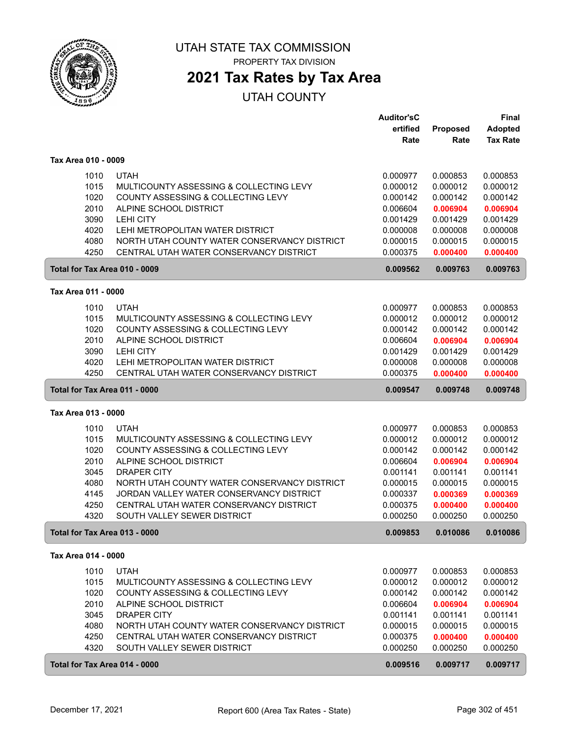

PROPERTY TAX DIVISION

## **2021 Tax Rates by Tax Area**

| ertified<br>Proposed<br><b>Adopted</b><br><b>Tax Rate</b><br>Rate<br>Rate<br>Tax Area 010 - 0009<br><b>UTAH</b><br>1010<br>0.000977<br>0.000853<br>0.000853<br>1015<br>MULTICOUNTY ASSESSING & COLLECTING LEVY<br>0.000012<br>0.000012<br>0.000012<br>1020<br>COUNTY ASSESSING & COLLECTING LEVY<br>0.000142<br>0.000142<br>0.000142<br>2010<br>ALPINE SCHOOL DISTRICT<br>0.006604<br>0.006904<br>0.006904<br>3090<br><b>LEHI CITY</b><br>0.001429<br>0.001429<br>0.001429<br>4020<br>LEHI METROPOLITAN WATER DISTRICT<br>0.000008<br>0.000008<br>0.000008<br>NORTH UTAH COUNTY WATER CONSERVANCY DISTRICT<br>4080<br>0.000015<br>0.000015<br>0.000015<br>4250<br>CENTRAL UTAH WATER CONSERVANCY DISTRICT<br>0.000375<br>0.000400<br>0.000400<br>0.009562<br>0.009763<br>0.009763<br>Total for Tax Area 010 - 0009<br>Tax Area 011 - 0000<br><b>UTAH</b><br>0.000853<br>1010<br>0.000977<br>0.000853<br>1015<br>MULTICOUNTY ASSESSING & COLLECTING LEVY<br>0.000012<br>0.000012<br>0.000012<br>1020<br>COUNTY ASSESSING & COLLECTING LEVY<br>0.000142<br>0.000142<br>0.000142<br>2010<br>ALPINE SCHOOL DISTRICT<br>0.006904<br>0.006604<br>0.006904<br>3090<br><b>LEHI CITY</b><br>0.001429<br>0.001429<br>0.001429<br>4020<br>LEHI METROPOLITAN WATER DISTRICT<br>0.000008<br>0.000008<br>0.000008<br>4250<br>CENTRAL UTAH WATER CONSERVANCY DISTRICT<br>0.000375<br>0.000400<br>0.000400<br>0.009748<br>Total for Tax Area 011 - 0000<br>0.009547<br>0.009748<br>Tax Area 013 - 0000<br>1010<br><b>UTAH</b><br>0.000977<br>0.000853<br>0.000853<br>1015<br>MULTICOUNTY ASSESSING & COLLECTING LEVY<br>0.000012<br>0.000012<br>0.000012<br>1020<br>COUNTY ASSESSING & COLLECTING LEVY<br>0.000142<br>0.000142<br>0.000142<br>2010<br>ALPINE SCHOOL DISTRICT<br>0.006604<br>0.006904<br>0.006904<br>3045<br><b>DRAPER CITY</b><br>0.001141<br>0.001141<br>0.001141<br>4080<br>NORTH UTAH COUNTY WATER CONSERVANCY DISTRICT<br>0.000015<br>0.000015<br>0.000015<br>4145<br>JORDAN VALLEY WATER CONSERVANCY DISTRICT<br>0.000337<br>0.000369<br>0.000369<br>4250<br>CENTRAL UTAH WATER CONSERVANCY DISTRICT<br>0.000375<br>0.000400<br>0.000400<br>4320<br>SOUTH VALLEY SEWER DISTRICT<br>0.000250<br>0.000250<br>0.000250<br>0.009853<br>0.010086<br>0.010086<br>Total for Tax Area 013 - 0000<br>Tax Area 014 - 0000<br>1010<br><b>UTAH</b><br>0.000977<br>0.000853<br>0.000853<br>1015<br>0.000012<br>0.000012<br>0.000012<br>MULTICOUNTY ASSESSING & COLLECTING LEVY<br>1020<br>COUNTY ASSESSING & COLLECTING LEVY<br>0.000142<br>0.000142<br>0.000142<br>2010<br>ALPINE SCHOOL DISTRICT<br>0.006604<br>0.006904<br>0.006904<br>3045<br>DRAPER CITY<br>0.001141<br>0.001141<br>0.001141<br>4080<br>NORTH UTAH COUNTY WATER CONSERVANCY DISTRICT<br>0.000015<br>0.000015<br>0.000015<br>4250<br>CENTRAL UTAH WATER CONSERVANCY DISTRICT<br>0.000375<br>0.000400<br>0.000400<br>4320<br>SOUTH VALLEY SEWER DISTRICT<br>0.000250<br>0.000250<br>0.000250<br>0.009516<br>0.009717<br>Total for Tax Area 014 - 0000<br>0.009717 |  | <b>Auditor'sC</b> | Final |
|------------------------------------------------------------------------------------------------------------------------------------------------------------------------------------------------------------------------------------------------------------------------------------------------------------------------------------------------------------------------------------------------------------------------------------------------------------------------------------------------------------------------------------------------------------------------------------------------------------------------------------------------------------------------------------------------------------------------------------------------------------------------------------------------------------------------------------------------------------------------------------------------------------------------------------------------------------------------------------------------------------------------------------------------------------------------------------------------------------------------------------------------------------------------------------------------------------------------------------------------------------------------------------------------------------------------------------------------------------------------------------------------------------------------------------------------------------------------------------------------------------------------------------------------------------------------------------------------------------------------------------------------------------------------------------------------------------------------------------------------------------------------------------------------------------------------------------------------------------------------------------------------------------------------------------------------------------------------------------------------------------------------------------------------------------------------------------------------------------------------------------------------------------------------------------------------------------------------------------------------------------------------------------------------------------------------------------------------------------------------------------------------------------------------------------------------------------------------------------------------------------------------------------------------------------------------------------------------------------------------------------------------------------------------------------------------------------------------------------------------------------------------------------------------------------------------------------------------------------------------------------------------------------------------------------------------------------------------------------------------------------------------------|--|-------------------|-------|
|                                                                                                                                                                                                                                                                                                                                                                                                                                                                                                                                                                                                                                                                                                                                                                                                                                                                                                                                                                                                                                                                                                                                                                                                                                                                                                                                                                                                                                                                                                                                                                                                                                                                                                                                                                                                                                                                                                                                                                                                                                                                                                                                                                                                                                                                                                                                                                                                                                                                                                                                                                                                                                                                                                                                                                                                                                                                                                                                                                                                                              |  |                   |       |
|                                                                                                                                                                                                                                                                                                                                                                                                                                                                                                                                                                                                                                                                                                                                                                                                                                                                                                                                                                                                                                                                                                                                                                                                                                                                                                                                                                                                                                                                                                                                                                                                                                                                                                                                                                                                                                                                                                                                                                                                                                                                                                                                                                                                                                                                                                                                                                                                                                                                                                                                                                                                                                                                                                                                                                                                                                                                                                                                                                                                                              |  |                   |       |
|                                                                                                                                                                                                                                                                                                                                                                                                                                                                                                                                                                                                                                                                                                                                                                                                                                                                                                                                                                                                                                                                                                                                                                                                                                                                                                                                                                                                                                                                                                                                                                                                                                                                                                                                                                                                                                                                                                                                                                                                                                                                                                                                                                                                                                                                                                                                                                                                                                                                                                                                                                                                                                                                                                                                                                                                                                                                                                                                                                                                                              |  |                   |       |
|                                                                                                                                                                                                                                                                                                                                                                                                                                                                                                                                                                                                                                                                                                                                                                                                                                                                                                                                                                                                                                                                                                                                                                                                                                                                                                                                                                                                                                                                                                                                                                                                                                                                                                                                                                                                                                                                                                                                                                                                                                                                                                                                                                                                                                                                                                                                                                                                                                                                                                                                                                                                                                                                                                                                                                                                                                                                                                                                                                                                                              |  |                   |       |
|                                                                                                                                                                                                                                                                                                                                                                                                                                                                                                                                                                                                                                                                                                                                                                                                                                                                                                                                                                                                                                                                                                                                                                                                                                                                                                                                                                                                                                                                                                                                                                                                                                                                                                                                                                                                                                                                                                                                                                                                                                                                                                                                                                                                                                                                                                                                                                                                                                                                                                                                                                                                                                                                                                                                                                                                                                                                                                                                                                                                                              |  |                   |       |
|                                                                                                                                                                                                                                                                                                                                                                                                                                                                                                                                                                                                                                                                                                                                                                                                                                                                                                                                                                                                                                                                                                                                                                                                                                                                                                                                                                                                                                                                                                                                                                                                                                                                                                                                                                                                                                                                                                                                                                                                                                                                                                                                                                                                                                                                                                                                                                                                                                                                                                                                                                                                                                                                                                                                                                                                                                                                                                                                                                                                                              |  |                   |       |
|                                                                                                                                                                                                                                                                                                                                                                                                                                                                                                                                                                                                                                                                                                                                                                                                                                                                                                                                                                                                                                                                                                                                                                                                                                                                                                                                                                                                                                                                                                                                                                                                                                                                                                                                                                                                                                                                                                                                                                                                                                                                                                                                                                                                                                                                                                                                                                                                                                                                                                                                                                                                                                                                                                                                                                                                                                                                                                                                                                                                                              |  |                   |       |
|                                                                                                                                                                                                                                                                                                                                                                                                                                                                                                                                                                                                                                                                                                                                                                                                                                                                                                                                                                                                                                                                                                                                                                                                                                                                                                                                                                                                                                                                                                                                                                                                                                                                                                                                                                                                                                                                                                                                                                                                                                                                                                                                                                                                                                                                                                                                                                                                                                                                                                                                                                                                                                                                                                                                                                                                                                                                                                                                                                                                                              |  |                   |       |
|                                                                                                                                                                                                                                                                                                                                                                                                                                                                                                                                                                                                                                                                                                                                                                                                                                                                                                                                                                                                                                                                                                                                                                                                                                                                                                                                                                                                                                                                                                                                                                                                                                                                                                                                                                                                                                                                                                                                                                                                                                                                                                                                                                                                                                                                                                                                                                                                                                                                                                                                                                                                                                                                                                                                                                                                                                                                                                                                                                                                                              |  |                   |       |
|                                                                                                                                                                                                                                                                                                                                                                                                                                                                                                                                                                                                                                                                                                                                                                                                                                                                                                                                                                                                                                                                                                                                                                                                                                                                                                                                                                                                                                                                                                                                                                                                                                                                                                                                                                                                                                                                                                                                                                                                                                                                                                                                                                                                                                                                                                                                                                                                                                                                                                                                                                                                                                                                                                                                                                                                                                                                                                                                                                                                                              |  |                   |       |
|                                                                                                                                                                                                                                                                                                                                                                                                                                                                                                                                                                                                                                                                                                                                                                                                                                                                                                                                                                                                                                                                                                                                                                                                                                                                                                                                                                                                                                                                                                                                                                                                                                                                                                                                                                                                                                                                                                                                                                                                                                                                                                                                                                                                                                                                                                                                                                                                                                                                                                                                                                                                                                                                                                                                                                                                                                                                                                                                                                                                                              |  |                   |       |
|                                                                                                                                                                                                                                                                                                                                                                                                                                                                                                                                                                                                                                                                                                                                                                                                                                                                                                                                                                                                                                                                                                                                                                                                                                                                                                                                                                                                                                                                                                                                                                                                                                                                                                                                                                                                                                                                                                                                                                                                                                                                                                                                                                                                                                                                                                                                                                                                                                                                                                                                                                                                                                                                                                                                                                                                                                                                                                                                                                                                                              |  |                   |       |
|                                                                                                                                                                                                                                                                                                                                                                                                                                                                                                                                                                                                                                                                                                                                                                                                                                                                                                                                                                                                                                                                                                                                                                                                                                                                                                                                                                                                                                                                                                                                                                                                                                                                                                                                                                                                                                                                                                                                                                                                                                                                                                                                                                                                                                                                                                                                                                                                                                                                                                                                                                                                                                                                                                                                                                                                                                                                                                                                                                                                                              |  |                   |       |
|                                                                                                                                                                                                                                                                                                                                                                                                                                                                                                                                                                                                                                                                                                                                                                                                                                                                                                                                                                                                                                                                                                                                                                                                                                                                                                                                                                                                                                                                                                                                                                                                                                                                                                                                                                                                                                                                                                                                                                                                                                                                                                                                                                                                                                                                                                                                                                                                                                                                                                                                                                                                                                                                                                                                                                                                                                                                                                                                                                                                                              |  |                   |       |
|                                                                                                                                                                                                                                                                                                                                                                                                                                                                                                                                                                                                                                                                                                                                                                                                                                                                                                                                                                                                                                                                                                                                                                                                                                                                                                                                                                                                                                                                                                                                                                                                                                                                                                                                                                                                                                                                                                                                                                                                                                                                                                                                                                                                                                                                                                                                                                                                                                                                                                                                                                                                                                                                                                                                                                                                                                                                                                                                                                                                                              |  |                   |       |
|                                                                                                                                                                                                                                                                                                                                                                                                                                                                                                                                                                                                                                                                                                                                                                                                                                                                                                                                                                                                                                                                                                                                                                                                                                                                                                                                                                                                                                                                                                                                                                                                                                                                                                                                                                                                                                                                                                                                                                                                                                                                                                                                                                                                                                                                                                                                                                                                                                                                                                                                                                                                                                                                                                                                                                                                                                                                                                                                                                                                                              |  |                   |       |
|                                                                                                                                                                                                                                                                                                                                                                                                                                                                                                                                                                                                                                                                                                                                                                                                                                                                                                                                                                                                                                                                                                                                                                                                                                                                                                                                                                                                                                                                                                                                                                                                                                                                                                                                                                                                                                                                                                                                                                                                                                                                                                                                                                                                                                                                                                                                                                                                                                                                                                                                                                                                                                                                                                                                                                                                                                                                                                                                                                                                                              |  |                   |       |
|                                                                                                                                                                                                                                                                                                                                                                                                                                                                                                                                                                                                                                                                                                                                                                                                                                                                                                                                                                                                                                                                                                                                                                                                                                                                                                                                                                                                                                                                                                                                                                                                                                                                                                                                                                                                                                                                                                                                                                                                                                                                                                                                                                                                                                                                                                                                                                                                                                                                                                                                                                                                                                                                                                                                                                                                                                                                                                                                                                                                                              |  |                   |       |
|                                                                                                                                                                                                                                                                                                                                                                                                                                                                                                                                                                                                                                                                                                                                                                                                                                                                                                                                                                                                                                                                                                                                                                                                                                                                                                                                                                                                                                                                                                                                                                                                                                                                                                                                                                                                                                                                                                                                                                                                                                                                                                                                                                                                                                                                                                                                                                                                                                                                                                                                                                                                                                                                                                                                                                                                                                                                                                                                                                                                                              |  |                   |       |
|                                                                                                                                                                                                                                                                                                                                                                                                                                                                                                                                                                                                                                                                                                                                                                                                                                                                                                                                                                                                                                                                                                                                                                                                                                                                                                                                                                                                                                                                                                                                                                                                                                                                                                                                                                                                                                                                                                                                                                                                                                                                                                                                                                                                                                                                                                                                                                                                                                                                                                                                                                                                                                                                                                                                                                                                                                                                                                                                                                                                                              |  |                   |       |
|                                                                                                                                                                                                                                                                                                                                                                                                                                                                                                                                                                                                                                                                                                                                                                                                                                                                                                                                                                                                                                                                                                                                                                                                                                                                                                                                                                                                                                                                                                                                                                                                                                                                                                                                                                                                                                                                                                                                                                                                                                                                                                                                                                                                                                                                                                                                                                                                                                                                                                                                                                                                                                                                                                                                                                                                                                                                                                                                                                                                                              |  |                   |       |
|                                                                                                                                                                                                                                                                                                                                                                                                                                                                                                                                                                                                                                                                                                                                                                                                                                                                                                                                                                                                                                                                                                                                                                                                                                                                                                                                                                                                                                                                                                                                                                                                                                                                                                                                                                                                                                                                                                                                                                                                                                                                                                                                                                                                                                                                                                                                                                                                                                                                                                                                                                                                                                                                                                                                                                                                                                                                                                                                                                                                                              |  |                   |       |
|                                                                                                                                                                                                                                                                                                                                                                                                                                                                                                                                                                                                                                                                                                                                                                                                                                                                                                                                                                                                                                                                                                                                                                                                                                                                                                                                                                                                                                                                                                                                                                                                                                                                                                                                                                                                                                                                                                                                                                                                                                                                                                                                                                                                                                                                                                                                                                                                                                                                                                                                                                                                                                                                                                                                                                                                                                                                                                                                                                                                                              |  |                   |       |
|                                                                                                                                                                                                                                                                                                                                                                                                                                                                                                                                                                                                                                                                                                                                                                                                                                                                                                                                                                                                                                                                                                                                                                                                                                                                                                                                                                                                                                                                                                                                                                                                                                                                                                                                                                                                                                                                                                                                                                                                                                                                                                                                                                                                                                                                                                                                                                                                                                                                                                                                                                                                                                                                                                                                                                                                                                                                                                                                                                                                                              |  |                   |       |
|                                                                                                                                                                                                                                                                                                                                                                                                                                                                                                                                                                                                                                                                                                                                                                                                                                                                                                                                                                                                                                                                                                                                                                                                                                                                                                                                                                                                                                                                                                                                                                                                                                                                                                                                                                                                                                                                                                                                                                                                                                                                                                                                                                                                                                                                                                                                                                                                                                                                                                                                                                                                                                                                                                                                                                                                                                                                                                                                                                                                                              |  |                   |       |
|                                                                                                                                                                                                                                                                                                                                                                                                                                                                                                                                                                                                                                                                                                                                                                                                                                                                                                                                                                                                                                                                                                                                                                                                                                                                                                                                                                                                                                                                                                                                                                                                                                                                                                                                                                                                                                                                                                                                                                                                                                                                                                                                                                                                                                                                                                                                                                                                                                                                                                                                                                                                                                                                                                                                                                                                                                                                                                                                                                                                                              |  |                   |       |
|                                                                                                                                                                                                                                                                                                                                                                                                                                                                                                                                                                                                                                                                                                                                                                                                                                                                                                                                                                                                                                                                                                                                                                                                                                                                                                                                                                                                                                                                                                                                                                                                                                                                                                                                                                                                                                                                                                                                                                                                                                                                                                                                                                                                                                                                                                                                                                                                                                                                                                                                                                                                                                                                                                                                                                                                                                                                                                                                                                                                                              |  |                   |       |
|                                                                                                                                                                                                                                                                                                                                                                                                                                                                                                                                                                                                                                                                                                                                                                                                                                                                                                                                                                                                                                                                                                                                                                                                                                                                                                                                                                                                                                                                                                                                                                                                                                                                                                                                                                                                                                                                                                                                                                                                                                                                                                                                                                                                                                                                                                                                                                                                                                                                                                                                                                                                                                                                                                                                                                                                                                                                                                                                                                                                                              |  |                   |       |
|                                                                                                                                                                                                                                                                                                                                                                                                                                                                                                                                                                                                                                                                                                                                                                                                                                                                                                                                                                                                                                                                                                                                                                                                                                                                                                                                                                                                                                                                                                                                                                                                                                                                                                                                                                                                                                                                                                                                                                                                                                                                                                                                                                                                                                                                                                                                                                                                                                                                                                                                                                                                                                                                                                                                                                                                                                                                                                                                                                                                                              |  |                   |       |
|                                                                                                                                                                                                                                                                                                                                                                                                                                                                                                                                                                                                                                                                                                                                                                                                                                                                                                                                                                                                                                                                                                                                                                                                                                                                                                                                                                                                                                                                                                                                                                                                                                                                                                                                                                                                                                                                                                                                                                                                                                                                                                                                                                                                                                                                                                                                                                                                                                                                                                                                                                                                                                                                                                                                                                                                                                                                                                                                                                                                                              |  |                   |       |
|                                                                                                                                                                                                                                                                                                                                                                                                                                                                                                                                                                                                                                                                                                                                                                                                                                                                                                                                                                                                                                                                                                                                                                                                                                                                                                                                                                                                                                                                                                                                                                                                                                                                                                                                                                                                                                                                                                                                                                                                                                                                                                                                                                                                                                                                                                                                                                                                                                                                                                                                                                                                                                                                                                                                                                                                                                                                                                                                                                                                                              |  |                   |       |
|                                                                                                                                                                                                                                                                                                                                                                                                                                                                                                                                                                                                                                                                                                                                                                                                                                                                                                                                                                                                                                                                                                                                                                                                                                                                                                                                                                                                                                                                                                                                                                                                                                                                                                                                                                                                                                                                                                                                                                                                                                                                                                                                                                                                                                                                                                                                                                                                                                                                                                                                                                                                                                                                                                                                                                                                                                                                                                                                                                                                                              |  |                   |       |
|                                                                                                                                                                                                                                                                                                                                                                                                                                                                                                                                                                                                                                                                                                                                                                                                                                                                                                                                                                                                                                                                                                                                                                                                                                                                                                                                                                                                                                                                                                                                                                                                                                                                                                                                                                                                                                                                                                                                                                                                                                                                                                                                                                                                                                                                                                                                                                                                                                                                                                                                                                                                                                                                                                                                                                                                                                                                                                                                                                                                                              |  |                   |       |
|                                                                                                                                                                                                                                                                                                                                                                                                                                                                                                                                                                                                                                                                                                                                                                                                                                                                                                                                                                                                                                                                                                                                                                                                                                                                                                                                                                                                                                                                                                                                                                                                                                                                                                                                                                                                                                                                                                                                                                                                                                                                                                                                                                                                                                                                                                                                                                                                                                                                                                                                                                                                                                                                                                                                                                                                                                                                                                                                                                                                                              |  |                   |       |
|                                                                                                                                                                                                                                                                                                                                                                                                                                                                                                                                                                                                                                                                                                                                                                                                                                                                                                                                                                                                                                                                                                                                                                                                                                                                                                                                                                                                                                                                                                                                                                                                                                                                                                                                                                                                                                                                                                                                                                                                                                                                                                                                                                                                                                                                                                                                                                                                                                                                                                                                                                                                                                                                                                                                                                                                                                                                                                                                                                                                                              |  |                   |       |
|                                                                                                                                                                                                                                                                                                                                                                                                                                                                                                                                                                                                                                                                                                                                                                                                                                                                                                                                                                                                                                                                                                                                                                                                                                                                                                                                                                                                                                                                                                                                                                                                                                                                                                                                                                                                                                                                                                                                                                                                                                                                                                                                                                                                                                                                                                                                                                                                                                                                                                                                                                                                                                                                                                                                                                                                                                                                                                                                                                                                                              |  |                   |       |
|                                                                                                                                                                                                                                                                                                                                                                                                                                                                                                                                                                                                                                                                                                                                                                                                                                                                                                                                                                                                                                                                                                                                                                                                                                                                                                                                                                                                                                                                                                                                                                                                                                                                                                                                                                                                                                                                                                                                                                                                                                                                                                                                                                                                                                                                                                                                                                                                                                                                                                                                                                                                                                                                                                                                                                                                                                                                                                                                                                                                                              |  |                   |       |
|                                                                                                                                                                                                                                                                                                                                                                                                                                                                                                                                                                                                                                                                                                                                                                                                                                                                                                                                                                                                                                                                                                                                                                                                                                                                                                                                                                                                                                                                                                                                                                                                                                                                                                                                                                                                                                                                                                                                                                                                                                                                                                                                                                                                                                                                                                                                                                                                                                                                                                                                                                                                                                                                                                                                                                                                                                                                                                                                                                                                                              |  |                   |       |
|                                                                                                                                                                                                                                                                                                                                                                                                                                                                                                                                                                                                                                                                                                                                                                                                                                                                                                                                                                                                                                                                                                                                                                                                                                                                                                                                                                                                                                                                                                                                                                                                                                                                                                                                                                                                                                                                                                                                                                                                                                                                                                                                                                                                                                                                                                                                                                                                                                                                                                                                                                                                                                                                                                                                                                                                                                                                                                                                                                                                                              |  |                   |       |
|                                                                                                                                                                                                                                                                                                                                                                                                                                                                                                                                                                                                                                                                                                                                                                                                                                                                                                                                                                                                                                                                                                                                                                                                                                                                                                                                                                                                                                                                                                                                                                                                                                                                                                                                                                                                                                                                                                                                                                                                                                                                                                                                                                                                                                                                                                                                                                                                                                                                                                                                                                                                                                                                                                                                                                                                                                                                                                                                                                                                                              |  |                   |       |
|                                                                                                                                                                                                                                                                                                                                                                                                                                                                                                                                                                                                                                                                                                                                                                                                                                                                                                                                                                                                                                                                                                                                                                                                                                                                                                                                                                                                                                                                                                                                                                                                                                                                                                                                                                                                                                                                                                                                                                                                                                                                                                                                                                                                                                                                                                                                                                                                                                                                                                                                                                                                                                                                                                                                                                                                                                                                                                                                                                                                                              |  |                   |       |
|                                                                                                                                                                                                                                                                                                                                                                                                                                                                                                                                                                                                                                                                                                                                                                                                                                                                                                                                                                                                                                                                                                                                                                                                                                                                                                                                                                                                                                                                                                                                                                                                                                                                                                                                                                                                                                                                                                                                                                                                                                                                                                                                                                                                                                                                                                                                                                                                                                                                                                                                                                                                                                                                                                                                                                                                                                                                                                                                                                                                                              |  |                   |       |
|                                                                                                                                                                                                                                                                                                                                                                                                                                                                                                                                                                                                                                                                                                                                                                                                                                                                                                                                                                                                                                                                                                                                                                                                                                                                                                                                                                                                                                                                                                                                                                                                                                                                                                                                                                                                                                                                                                                                                                                                                                                                                                                                                                                                                                                                                                                                                                                                                                                                                                                                                                                                                                                                                                                                                                                                                                                                                                                                                                                                                              |  |                   |       |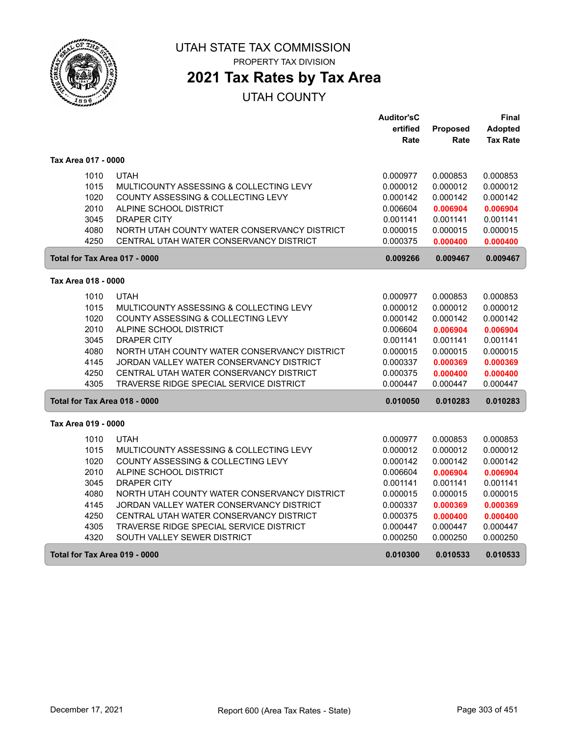

## **2021 Tax Rates by Tax Area**

|                               |                                              | <b>Auditor'sC</b> |          | Final           |
|-------------------------------|----------------------------------------------|-------------------|----------|-----------------|
|                               |                                              | ertified          | Proposed | Adopted         |
|                               |                                              | Rate              | Rate     | <b>Tax Rate</b> |
| Tax Area 017 - 0000           |                                              |                   |          |                 |
| 1010                          | <b>UTAH</b>                                  | 0.000977          | 0.000853 | 0.000853        |
| 1015                          | MULTICOUNTY ASSESSING & COLLECTING LEVY      | 0.000012          | 0.000012 | 0.000012        |
| 1020                          | COUNTY ASSESSING & COLLECTING LEVY           | 0.000142          | 0.000142 | 0.000142        |
| 2010                          | ALPINE SCHOOL DISTRICT                       | 0.006604          | 0.006904 | 0.006904        |
| 3045                          | <b>DRAPER CITY</b>                           | 0.001141          | 0.001141 | 0.001141        |
| 4080                          | NORTH UTAH COUNTY WATER CONSERVANCY DISTRICT | 0.000015          | 0.000015 | 0.000015        |
| 4250                          | CENTRAL UTAH WATER CONSERVANCY DISTRICT      | 0.000375          | 0.000400 | 0.000400        |
| Total for Tax Area 017 - 0000 |                                              | 0.009266          | 0.009467 | 0.009467        |
| Tax Area 018 - 0000           |                                              |                   |          |                 |
| 1010                          | <b>UTAH</b>                                  | 0.000977          | 0.000853 | 0.000853        |
| 1015                          | MULTICOUNTY ASSESSING & COLLECTING LEVY      | 0.000012          | 0.000012 | 0.000012        |
| 1020                          | COUNTY ASSESSING & COLLECTING LEVY           | 0.000142          | 0.000142 | 0.000142        |
| 2010                          | ALPINE SCHOOL DISTRICT                       | 0.006604          | 0.006904 | 0.006904        |
| 3045                          | <b>DRAPER CITY</b>                           | 0.001141          | 0.001141 | 0.001141        |
| 4080                          | NORTH UTAH COUNTY WATER CONSERVANCY DISTRICT | 0.000015          | 0.000015 | 0.000015        |
| 4145                          | JORDAN VALLEY WATER CONSERVANCY DISTRICT     | 0.000337          | 0.000369 | 0.000369        |
| 4250                          | CENTRAL UTAH WATER CONSERVANCY DISTRICT      | 0.000375          | 0.000400 | 0.000400        |
| 4305                          | TRAVERSE RIDGE SPECIAL SERVICE DISTRICT      | 0.000447          | 0.000447 | 0.000447        |
| Total for Tax Area 018 - 0000 |                                              | 0.010050          | 0.010283 | 0.010283        |
| Tax Area 019 - 0000           |                                              |                   |          |                 |
| 1010                          | <b>UTAH</b>                                  | 0.000977          | 0.000853 | 0.000853        |
| 1015                          | MULTICOUNTY ASSESSING & COLLECTING LEVY      | 0.000012          | 0.000012 | 0.000012        |
| 1020                          | COUNTY ASSESSING & COLLECTING LEVY           | 0.000142          | 0.000142 | 0.000142        |
| 2010                          | ALPINE SCHOOL DISTRICT                       | 0.006604          | 0.006904 | 0.006904        |
| 3045                          | <b>DRAPER CITY</b>                           | 0.001141          | 0.001141 | 0.001141        |
| 4080                          | NORTH UTAH COUNTY WATER CONSERVANCY DISTRICT | 0.000015          | 0.000015 | 0.000015        |
| 4145                          | JORDAN VALLEY WATER CONSERVANCY DISTRICT     | 0.000337          | 0.000369 | 0.000369        |
| 4250                          | CENTRAL UTAH WATER CONSERVANCY DISTRICT      | 0.000375          | 0.000400 | 0.000400        |
| 4305                          | TRAVERSE RIDGE SPECIAL SERVICE DISTRICT      | 0.000447          | 0.000447 | 0.000447        |
| 4320                          | SOUTH VALLEY SEWER DISTRICT                  | 0.000250          | 0.000250 | 0.000250        |
| Total for Tax Area 019 - 0000 |                                              | 0.010300          | 0.010533 | 0.010533        |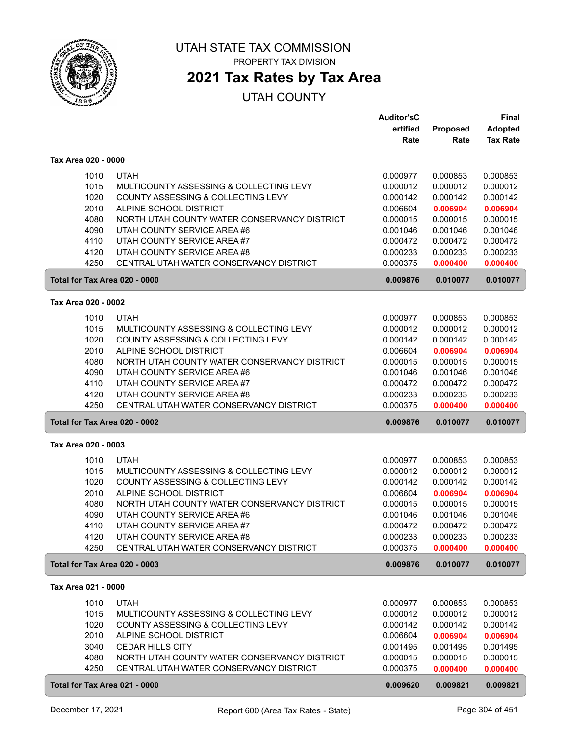

## **2021 Tax Rates by Tax Area**

|                               |                                                                               | <b>Auditor'sC</b>    |                      | Final                |
|-------------------------------|-------------------------------------------------------------------------------|----------------------|----------------------|----------------------|
|                               |                                                                               | ertified             | Proposed             | Adopted              |
|                               |                                                                               | Rate                 | Rate                 | <b>Tax Rate</b>      |
| Tax Area 020 - 0000           |                                                                               |                      |                      |                      |
|                               | <b>UTAH</b>                                                                   |                      |                      | 0.000853             |
| 1010                          |                                                                               | 0.000977             | 0.000853             |                      |
| 1015<br>1020                  | MULTICOUNTY ASSESSING & COLLECTING LEVY<br>COUNTY ASSESSING & COLLECTING LEVY | 0.000012             | 0.000012             | 0.000012             |
| 2010                          | ALPINE SCHOOL DISTRICT                                                        | 0.000142<br>0.006604 | 0.000142             | 0.000142             |
| 4080                          | NORTH UTAH COUNTY WATER CONSERVANCY DISTRICT                                  | 0.000015             | 0.006904<br>0.000015 | 0.006904<br>0.000015 |
|                               | UTAH COUNTY SERVICE AREA #6                                                   |                      | 0.001046             |                      |
| 4090<br>4110                  | UTAH COUNTY SERVICE AREA #7                                                   | 0.001046             | 0.000472             | 0.001046             |
|                               | UTAH COUNTY SERVICE AREA #8                                                   | 0.000472             |                      | 0.000472             |
| 4120<br>4250                  | CENTRAL UTAH WATER CONSERVANCY DISTRICT                                       | 0.000233<br>0.000375 | 0.000233<br>0.000400 | 0.000233<br>0.000400 |
|                               |                                                                               |                      |                      |                      |
| Total for Tax Area 020 - 0000 |                                                                               | 0.009876             | 0.010077             | 0.010077             |
| Tax Area 020 - 0002           |                                                                               |                      |                      |                      |
| 1010                          | <b>UTAH</b>                                                                   | 0.000977             | 0.000853             | 0.000853             |
| 1015                          | MULTICOUNTY ASSESSING & COLLECTING LEVY                                       | 0.000012             | 0.000012             | 0.000012             |
| 1020                          | COUNTY ASSESSING & COLLECTING LEVY                                            | 0.000142             | 0.000142             | 0.000142             |
| 2010                          | ALPINE SCHOOL DISTRICT                                                        | 0.006604             | 0.006904             | 0.006904             |
| 4080                          | NORTH UTAH COUNTY WATER CONSERVANCY DISTRICT                                  | 0.000015             | 0.000015             | 0.000015             |
| 4090                          | UTAH COUNTY SERVICE AREA #6                                                   | 0.001046             | 0.001046             | 0.001046             |
| 4110                          | UTAH COUNTY SERVICE AREA #7                                                   | 0.000472             | 0.000472             | 0.000472             |
| 4120                          | UTAH COUNTY SERVICE AREA #8                                                   | 0.000233             | 0.000233             | 0.000233             |
| 4250                          | CENTRAL UTAH WATER CONSERVANCY DISTRICT                                       | 0.000375             | 0.000400             | 0.000400             |
| Total for Tax Area 020 - 0002 |                                                                               | 0.009876             | 0.010077             | 0.010077             |
| Tax Area 020 - 0003           |                                                                               |                      |                      |                      |
|                               |                                                                               |                      |                      |                      |
| 1010                          | <b>UTAH</b>                                                                   | 0.000977             | 0.000853             | 0.000853             |
| 1015                          | MULTICOUNTY ASSESSING & COLLECTING LEVY                                       | 0.000012             | 0.000012             | 0.000012             |
| 1020                          | COUNTY ASSESSING & COLLECTING LEVY                                            | 0.000142             | 0.000142             | 0.000142             |
| 2010                          | ALPINE SCHOOL DISTRICT                                                        | 0.006604             | 0.006904             | 0.006904             |
| 4080                          | NORTH UTAH COUNTY WATER CONSERVANCY DISTRICT                                  | 0.000015             | 0.000015             | 0.000015             |
| 4090                          | UTAH COUNTY SERVICE AREA #6                                                   | 0.001046             | 0.001046             | 0.001046             |
| 4110                          | UTAH COUNTY SERVICE AREA#7                                                    | 0.000472             | 0.000472             | 0.000472             |
| 4120                          | UTAH COUNTY SERVICE AREA #8                                                   | 0.000233             | 0.000233             | 0.000233             |
| 4250                          | CENTRAL UTAH WATER CONSERVANCY DISTRICT                                       | 0.000375             | 0.000400             | 0.000400             |
| Total for Tax Area 020 - 0003 |                                                                               | 0.009876             | 0.010077             | 0.010077             |
| Tax Area 021 - 0000           |                                                                               |                      |                      |                      |
| 1010                          | <b>UTAH</b>                                                                   | 0.000977             | 0.000853             | 0.000853             |
| 1015                          | MULTICOUNTY ASSESSING & COLLECTING LEVY                                       | 0.000012             | 0.000012             | 0.000012             |
| 1020                          | COUNTY ASSESSING & COLLECTING LEVY                                            | 0.000142             | 0.000142             | 0.000142             |
| 2010                          | ALPINE SCHOOL DISTRICT                                                        | 0.006604             | 0.006904             | 0.006904             |
| 3040                          | <b>CEDAR HILLS CITY</b>                                                       | 0.001495             | 0.001495             | 0.001495             |
| 4080                          | NORTH UTAH COUNTY WATER CONSERVANCY DISTRICT                                  | 0.000015             | 0.000015             | 0.000015             |
| 4250                          | CENTRAL UTAH WATER CONSERVANCY DISTRICT                                       | 0.000375             | 0.000400             | 0.000400             |
| Total for Tax Area 021 - 0000 |                                                                               | 0.009620             | 0.009821             | 0.009821             |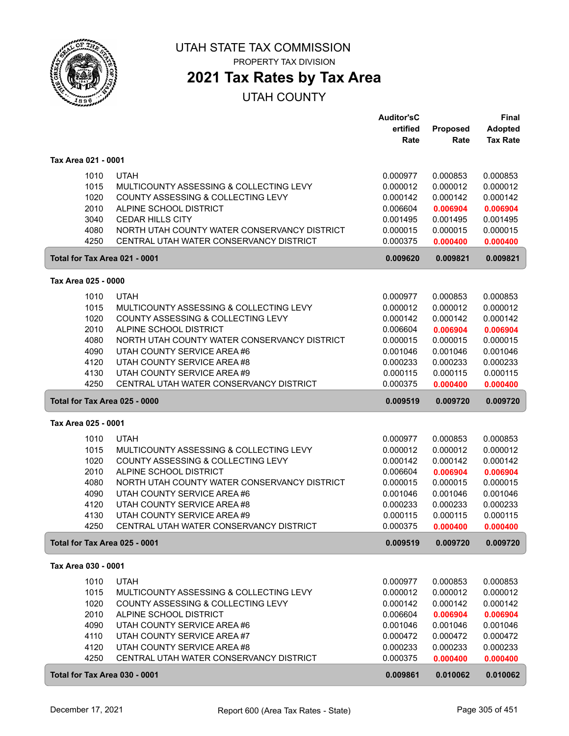

## **2021 Tax Rates by Tax Area**

|                                                                                        | <b>Auditor'sC</b><br>ertified | Proposed             | Final<br>Adopted     |
|----------------------------------------------------------------------------------------|-------------------------------|----------------------|----------------------|
|                                                                                        | Rate                          | Rate                 | <b>Tax Rate</b>      |
| Tax Area 021 - 0001                                                                    |                               |                      |                      |
| <b>UTAH</b><br>1010                                                                    | 0.000977                      | 0.000853             | 0.000853             |
| 1015<br>MULTICOUNTY ASSESSING & COLLECTING LEVY                                        | 0.000012                      | 0.000012             | 0.000012             |
| 1020<br>COUNTY ASSESSING & COLLECTING LEVY                                             | 0.000142                      | 0.000142             | 0.000142             |
| 2010<br>ALPINE SCHOOL DISTRICT                                                         | 0.006604                      | 0.006904             | 0.006904             |
| 3040<br><b>CEDAR HILLS CITY</b>                                                        | 0.001495                      | 0.001495             | 0.001495             |
| 4080<br>NORTH UTAH COUNTY WATER CONSERVANCY DISTRICT                                   | 0.000015                      | 0.000015             | 0.000015             |
| 4250<br>CENTRAL UTAH WATER CONSERVANCY DISTRICT                                        | 0.000375                      | 0.000400             | 0.000400             |
| Total for Tax Area 021 - 0001                                                          | 0.009620                      | 0.009821             | 0.009821             |
| Tax Area 025 - 0000                                                                    |                               |                      |                      |
| 1010<br><b>UTAH</b>                                                                    | 0.000977                      | 0.000853             | 0.000853             |
| 1015<br>MULTICOUNTY ASSESSING & COLLECTING LEVY                                        | 0.000012                      | 0.000012             | 0.000012             |
| 1020<br>COUNTY ASSESSING & COLLECTING LEVY                                             | 0.000142                      | 0.000142             | 0.000142             |
| 2010<br>ALPINE SCHOOL DISTRICT                                                         | 0.006604                      | 0.006904             | 0.006904             |
| 4080<br>NORTH UTAH COUNTY WATER CONSERVANCY DISTRICT                                   | 0.000015                      | 0.000015             | 0.000015             |
| 4090<br>UTAH COUNTY SERVICE AREA #6                                                    | 0.001046                      | 0.001046             | 0.001046             |
| 4120<br>UTAH COUNTY SERVICE AREA #8                                                    | 0.000233                      | 0.000233             | 0.000233             |
| 4130<br>UTAH COUNTY SERVICE AREA #9                                                    | 0.000115                      | 0.000115             | 0.000115             |
| 4250<br>CENTRAL UTAH WATER CONSERVANCY DISTRICT                                        | 0.000375                      | 0.000400             | 0.000400             |
| Total for Tax Area 025 - 0000                                                          | 0.009519                      | 0.009720             | 0.009720             |
| Tax Area 025 - 0001                                                                    |                               |                      |                      |
| 1010<br><b>UTAH</b>                                                                    | 0.000977                      | 0.000853             | 0.000853             |
| 1015<br>MULTICOUNTY ASSESSING & COLLECTING LEVY                                        | 0.000012                      | 0.000012             | 0.000012             |
| 1020<br>COUNTY ASSESSING & COLLECTING LEVY                                             | 0.000142                      | 0.000142             | 0.000142             |
| 2010<br>ALPINE SCHOOL DISTRICT                                                         | 0.006604                      | 0.006904             | 0.006904             |
| NORTH UTAH COUNTY WATER CONSERVANCY DISTRICT<br>4080                                   | 0.000015                      | 0.000015             | 0.000015             |
| 4090<br>UTAH COUNTY SERVICE AREA #6                                                    | 0.001046                      | 0.001046             | 0.001046             |
| 4120<br>UTAH COUNTY SERVICE AREA #8                                                    | 0.000233                      | 0.000233             | 0.000233             |
| UTAH COUNTY SERVICE AREA #9<br>4130<br>CENTRAL UTAH WATER CONSERVANCY DISTRICT<br>4250 | 0.000115<br>0.000375          | 0.000115             | 0.000115             |
| Total for Tax Area 025 - 0001                                                          | 0.009519                      | 0.000400<br>0.009720 | 0.000400<br>0.009720 |
|                                                                                        |                               |                      |                      |
| Tax Area 030 - 0001                                                                    |                               |                      |                      |
| 1010<br><b>UTAH</b>                                                                    | 0.000977                      | 0.000853             | 0.000853             |
| 1015<br>MULTICOUNTY ASSESSING & COLLECTING LEVY                                        | 0.000012                      | 0.000012             | 0.000012             |
| 1020<br>COUNTY ASSESSING & COLLECTING LEVY<br>2010<br>ALPINE SCHOOL DISTRICT           | 0.000142<br>0.006604          | 0.000142<br>0.006904 | 0.000142             |
| 4090<br>UTAH COUNTY SERVICE AREA#6                                                     | 0.001046                      | 0.001046             | 0.006904<br>0.001046 |
| 4110<br>UTAH COUNTY SERVICE AREA #7                                                    | 0.000472                      | 0.000472             | 0.000472             |
| 4120<br>UTAH COUNTY SERVICE AREA #8                                                    | 0.000233                      | 0.000233             | 0.000233             |
| 4250<br>CENTRAL UTAH WATER CONSERVANCY DISTRICT                                        | 0.000375                      | 0.000400             | 0.000400             |
| Total for Tax Area 030 - 0001                                                          | 0.009861                      | 0.010062             | 0.010062             |
|                                                                                        |                               |                      |                      |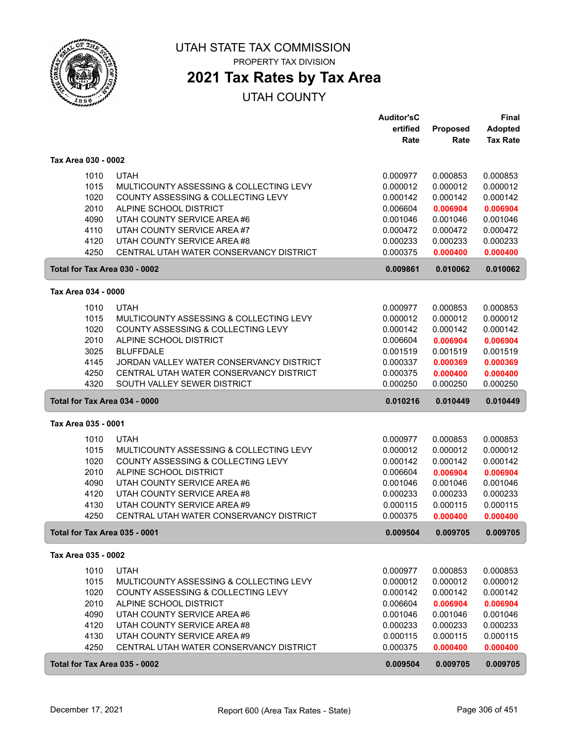

# **2021 Tax Rates by Tax Area**

|                     |              |                                                                        | <b>Auditor'sC</b>    |                      | Final                |
|---------------------|--------------|------------------------------------------------------------------------|----------------------|----------------------|----------------------|
|                     |              |                                                                        | ertified             | Proposed             | Adopted              |
|                     |              |                                                                        | Rate                 | Rate                 | <b>Tax Rate</b>      |
| Tax Area 030 - 0002 |              |                                                                        |                      |                      |                      |
|                     | 1010         | <b>UTAH</b>                                                            | 0.000977             | 0.000853             | 0.000853             |
|                     | 1015         | MULTICOUNTY ASSESSING & COLLECTING LEVY                                | 0.000012             | 0.000012             | 0.000012             |
|                     | 1020         | COUNTY ASSESSING & COLLECTING LEVY                                     | 0.000142             | 0.000142             | 0.000142             |
|                     | 2010         | ALPINE SCHOOL DISTRICT                                                 | 0.006604             | 0.006904             | 0.006904             |
|                     | 4090         | UTAH COUNTY SERVICE AREA #6                                            | 0.001046             | 0.001046             | 0.001046             |
|                     | 4110         | UTAH COUNTY SERVICE AREA #7                                            | 0.000472             | 0.000472             | 0.000472             |
|                     | 4120         | UTAH COUNTY SERVICE AREA #8                                            | 0.000233             | 0.000233             | 0.000233             |
|                     | 4250         | CENTRAL UTAH WATER CONSERVANCY DISTRICT                                | 0.000375             | 0.000400             | 0.000400             |
|                     |              | Total for Tax Area 030 - 0002                                          | 0.009861             | 0.010062             | 0.010062             |
| Tax Area 034 - 0000 |              |                                                                        |                      |                      |                      |
|                     | 1010         | <b>UTAH</b>                                                            | 0.000977             | 0.000853             | 0.000853             |
|                     | 1015         | MULTICOUNTY ASSESSING & COLLECTING LEVY                                | 0.000012             | 0.000012             | 0.000012             |
|                     | 1020         | COUNTY ASSESSING & COLLECTING LEVY                                     | 0.000142             | 0.000142             | 0.000142             |
|                     | 2010         | ALPINE SCHOOL DISTRICT                                                 | 0.006604             | 0.006904             | 0.006904             |
|                     | 3025         | <b>BLUFFDALE</b>                                                       | 0.001519             | 0.001519             | 0.001519             |
|                     | 4145         | JORDAN VALLEY WATER CONSERVANCY DISTRICT                               | 0.000337             | 0.000369             | 0.000369             |
|                     | 4250         | CENTRAL UTAH WATER CONSERVANCY DISTRICT                                | 0.000375             | 0.000400             | 0.000400             |
|                     | 4320         | SOUTH VALLEY SEWER DISTRICT                                            | 0.000250             | 0.000250             | 0.000250             |
|                     |              | Total for Tax Area 034 - 0000                                          | 0.010216             | 0.010449             | 0.010449             |
|                     |              |                                                                        |                      |                      |                      |
| Tax Area 035 - 0001 |              |                                                                        |                      |                      |                      |
|                     | 1010         |                                                                        |                      |                      |                      |
|                     |              | <b>UTAH</b>                                                            | 0.000977             | 0.000853             | 0.000853             |
|                     | 1015         | MULTICOUNTY ASSESSING & COLLECTING LEVY                                | 0.000012             | 0.000012             | 0.000012             |
|                     | 1020         | COUNTY ASSESSING & COLLECTING LEVY                                     | 0.000142             | 0.000142             | 0.000142             |
|                     | 2010         | ALPINE SCHOOL DISTRICT                                                 | 0.006604             | 0.006904             | 0.006904             |
|                     | 4090         | UTAH COUNTY SERVICE AREA #6                                            | 0.001046             | 0.001046             | 0.001046             |
|                     | 4120         | UTAH COUNTY SERVICE AREA #8                                            | 0.000233             | 0.000233             | 0.000233             |
|                     | 4130         | UTAH COUNTY SERVICE AREA #9                                            | 0.000115             | 0.000115             | 0.000115             |
|                     | 4250         | CENTRAL UTAH WATER CONSERVANCY DISTRICT                                | 0.000375             | 0.000400             | 0.000400             |
|                     |              | Total for Tax Area 035 - 0001                                          | 0.009504             | 0.009705             | 0.009705             |
| Tax Area 035 - 0002 |              |                                                                        |                      |                      |                      |
|                     |              |                                                                        |                      |                      |                      |
|                     | 1010         | <b>UTAH</b>                                                            | 0.000977             | 0.000853             | 0.000853             |
|                     | 1015         | MULTICOUNTY ASSESSING & COLLECTING LEVY                                | 0.000012             | 0.000012             | 0.000012             |
|                     | 1020         | COUNTY ASSESSING & COLLECTING LEVY                                     | 0.000142             | 0.000142             | 0.000142             |
|                     | 2010         | ALPINE SCHOOL DISTRICT                                                 | 0.006604             | 0.006904             | 0.006904             |
|                     | 4090         | UTAH COUNTY SERVICE AREA #6                                            | 0.001046             | 0.001046             | 0.001046             |
|                     | 4120         | UTAH COUNTY SERVICE AREA #8                                            | 0.000233             | 0.000233             | 0.000233             |
|                     | 4130<br>4250 | UTAH COUNTY SERVICE AREA #9<br>CENTRAL UTAH WATER CONSERVANCY DISTRICT | 0.000115<br>0.000375 | 0.000115<br>0.000400 | 0.000115<br>0.000400 |
|                     |              | Total for Tax Area 035 - 0002                                          | 0.009504             | 0.009705             | 0.009705             |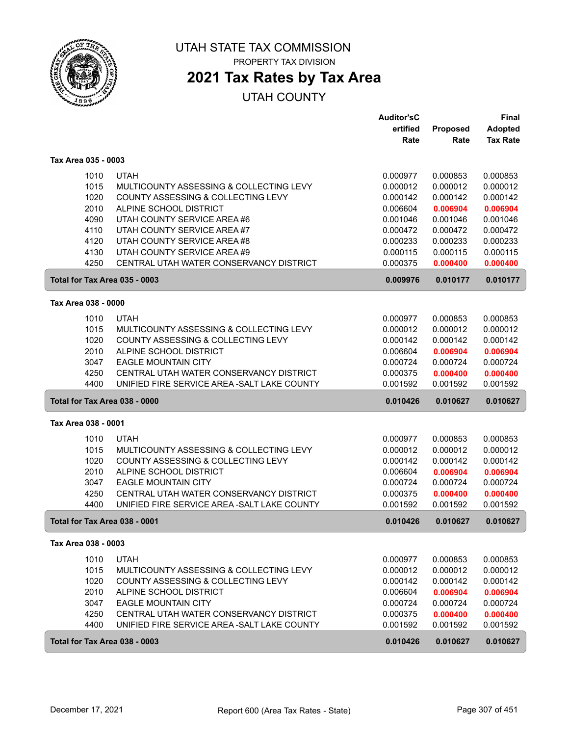

## **2021 Tax Rates by Tax Area**

|                     |                                              | <b>Auditor'sC</b> |          | <b>Final</b>    |
|---------------------|----------------------------------------------|-------------------|----------|-----------------|
|                     |                                              | ertified          | Proposed | Adopted         |
|                     |                                              | Rate              | Rate     | <b>Tax Rate</b> |
| Tax Area 035 - 0003 |                                              |                   |          |                 |
| 1010                | <b>UTAH</b>                                  | 0.000977          | 0.000853 | 0.000853        |
| 1015                | MULTICOUNTY ASSESSING & COLLECTING LEVY      | 0.000012          | 0.000012 | 0.000012        |
| 1020                | COUNTY ASSESSING & COLLECTING LEVY           | 0.000142          | 0.000142 | 0.000142        |
| 2010                | ALPINE SCHOOL DISTRICT                       | 0.006604          | 0.006904 | 0.006904        |
| 4090                | UTAH COUNTY SERVICE AREA #6                  | 0.001046          | 0.001046 | 0.001046        |
| 4110                | UTAH COUNTY SERVICE AREA #7                  | 0.000472          | 0.000472 | 0.000472        |
| 4120                | UTAH COUNTY SERVICE AREA #8                  | 0.000233          | 0.000233 | 0.000233        |
| 4130                | UTAH COUNTY SERVICE AREA #9                  | 0.000115          | 0.000115 | 0.000115        |
| 4250                | CENTRAL UTAH WATER CONSERVANCY DISTRICT      | 0.000375          | 0.000400 | 0.000400        |
|                     | Total for Tax Area 035 - 0003                | 0.009976          | 0.010177 | 0.010177        |
| Tax Area 038 - 0000 |                                              |                   |          |                 |
| 1010                | <b>UTAH</b>                                  | 0.000977          | 0.000853 | 0.000853        |
| 1015                | MULTICOUNTY ASSESSING & COLLECTING LEVY      | 0.000012          | 0.000012 | 0.000012        |
| 1020                | COUNTY ASSESSING & COLLECTING LEVY           | 0.000142          | 0.000142 | 0.000142        |
| 2010                | ALPINE SCHOOL DISTRICT                       | 0.006604          | 0.006904 | 0.006904        |
| 3047                | <b>EAGLE MOUNTAIN CITY</b>                   | 0.000724          | 0.000724 | 0.000724        |
| 4250                | CENTRAL UTAH WATER CONSERVANCY DISTRICT      | 0.000375          | 0.000400 | 0.000400        |
| 4400                | UNIFIED FIRE SERVICE AREA - SALT LAKE COUNTY | 0.001592          | 0.001592 | 0.001592        |
|                     | Total for Tax Area 038 - 0000                | 0.010426          | 0.010627 | 0.010627        |
| Tax Area 038 - 0001 |                                              |                   |          |                 |
| 1010                | <b>UTAH</b>                                  | 0.000977          | 0.000853 | 0.000853        |
| 1015                | MULTICOUNTY ASSESSING & COLLECTING LEVY      | 0.000012          | 0.000012 | 0.000012        |
| 1020                | COUNTY ASSESSING & COLLECTING LEVY           | 0.000142          | 0.000142 | 0.000142        |
| 2010                | ALPINE SCHOOL DISTRICT                       | 0.006604          | 0.006904 | 0.006904        |
| 3047                | <b>EAGLE MOUNTAIN CITY</b>                   | 0.000724          | 0.000724 | 0.000724        |
| 4250                | CENTRAL UTAH WATER CONSERVANCY DISTRICT      | 0.000375          | 0.000400 | 0.000400        |
| 4400                | UNIFIED FIRE SERVICE AREA - SALT LAKE COUNTY | 0.001592          | 0.001592 | 0.001592        |
|                     | Total for Tax Area 038 - 0001                | 0.010426          | 0.010627 | 0.010627        |
| Tax Area 038 - 0003 |                                              |                   |          |                 |
| 1010                | <b>UTAH</b>                                  | 0.000977          | 0.000853 | 0.000853        |
| 1015                | MULTICOUNTY ASSESSING & COLLECTING LEVY      | 0.000012          | 0.000012 | 0.000012        |
| 1020                | COUNTY ASSESSING & COLLECTING LEVY           | 0.000142          | 0.000142 | 0.000142        |
| 2010                | ALPINE SCHOOL DISTRICT                       | 0.006604          | 0.006904 | 0.006904        |
| 3047                | <b>EAGLE MOUNTAIN CITY</b>                   | 0.000724          | 0.000724 | 0.000724        |
| 4250                | CENTRAL UTAH WATER CONSERVANCY DISTRICT      | 0.000375          | 0.000400 | 0.000400        |
| 4400                | UNIFIED FIRE SERVICE AREA - SALT LAKE COUNTY | 0.001592          | 0.001592 | 0.001592        |
|                     | Total for Tax Area 038 - 0003                | 0.010426          | 0.010627 | 0.010627        |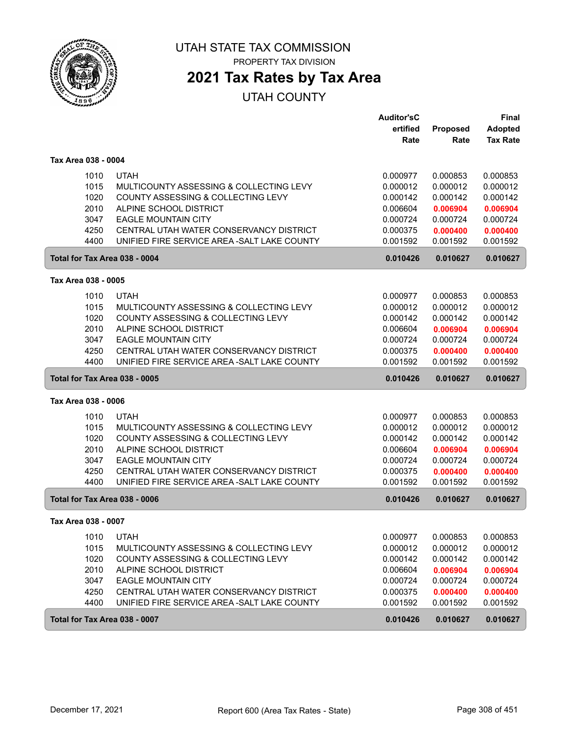

PROPERTY TAX DIVISION

## **2021 Tax Rates by Tax Area**

|                               |                                                        | <b>Auditor'sC</b>    |                      | <b>Final</b>         |
|-------------------------------|--------------------------------------------------------|----------------------|----------------------|----------------------|
|                               |                                                        | ertified             | Proposed             | <b>Adopted</b>       |
|                               |                                                        | Rate                 | Rate                 | <b>Tax Rate</b>      |
| Tax Area 038 - 0004           |                                                        |                      |                      |                      |
| 1010                          | <b>UTAH</b>                                            | 0.000977             | 0.000853             | 0.000853             |
| 1015                          | MULTICOUNTY ASSESSING & COLLECTING LEVY                | 0.000012             | 0.000012             | 0.000012             |
| 1020                          | COUNTY ASSESSING & COLLECTING LEVY                     | 0.000142             | 0.000142             | 0.000142             |
| 2010                          | ALPINE SCHOOL DISTRICT                                 | 0.006604             | 0.006904             | 0.006904             |
| 3047                          | <b>EAGLE MOUNTAIN CITY</b>                             | 0.000724             | 0.000724             | 0.000724             |
| 4250                          | CENTRAL UTAH WATER CONSERVANCY DISTRICT                | 0.000375             | 0.000400             | 0.000400             |
| 4400                          | UNIFIED FIRE SERVICE AREA - SALT LAKE COUNTY           | 0.001592             | 0.001592             | 0.001592             |
| Total for Tax Area 038 - 0004 |                                                        | 0.010426             | 0.010627             | 0.010627             |
| Tax Area 038 - 0005           |                                                        |                      |                      |                      |
| 1010                          | <b>UTAH</b>                                            | 0.000977             | 0.000853             | 0.000853             |
| 1015                          | MULTICOUNTY ASSESSING & COLLECTING LEVY                | 0.000012             | 0.000012             | 0.000012             |
| 1020                          | COUNTY ASSESSING & COLLECTING LEVY                     | 0.000142             | 0.000142             | 0.000142             |
| 2010                          | ALPINE SCHOOL DISTRICT                                 | 0.006604             | 0.006904             | 0.006904             |
| 3047                          | <b>EAGLE MOUNTAIN CITY</b>                             | 0.000724             | 0.000724             | 0.000724             |
| 4250                          | CENTRAL UTAH WATER CONSERVANCY DISTRICT                | 0.000375             | 0.000400             | 0.000400             |
| 4400                          | UNIFIED FIRE SERVICE AREA - SALT LAKE COUNTY           | 0.001592             | 0.001592             | 0.001592             |
|                               | Total for Tax Area 038 - 0005                          |                      |                      |                      |
|                               |                                                        | 0.010426             | 0.010627             | 0.010627             |
| Tax Area 038 - 0006           |                                                        |                      |                      |                      |
| 1010                          |                                                        |                      |                      |                      |
| 1015                          | <b>UTAH</b><br>MULTICOUNTY ASSESSING & COLLECTING LEVY | 0.000977<br>0.000012 | 0.000853<br>0.000012 | 0.000853<br>0.000012 |
| 1020                          | COUNTY ASSESSING & COLLECTING LEVY                     | 0.000142             | 0.000142             | 0.000142             |
| 2010                          | ALPINE SCHOOL DISTRICT                                 | 0.006604             | 0.006904             | 0.006904             |
| 3047                          | <b>EAGLE MOUNTAIN CITY</b>                             | 0.000724             | 0.000724             | 0.000724             |
| 4250                          | CENTRAL UTAH WATER CONSERVANCY DISTRICT                | 0.000375             | 0.000400             | 0.000400             |
| 4400                          | UNIFIED FIRE SERVICE AREA - SALT LAKE COUNTY           | 0.001592             | 0.001592             | 0.001592             |
| Total for Tax Area 038 - 0006 |                                                        | 0.010426             | 0.010627             | 0.010627             |
| Tax Area 038 - 0007           |                                                        |                      |                      |                      |
| 1010                          | <b>UTAH</b>                                            | 0.000977             | 0.000853             | 0.000853             |
| 1015                          | MULTICOUNTY ASSESSING & COLLECTING LEVY                | 0.000012             | 0.000012             | 0.000012             |
| 1020                          | COUNTY ASSESSING & COLLECTING LEVY                     | 0.000142             | 0.000142             | 0.000142             |
| 2010                          | ALPINE SCHOOL DISTRICT                                 | 0.006604             | 0.006904             | 0.006904             |
| 3047                          | <b>EAGLE MOUNTAIN CITY</b>                             | 0.000724             | 0.000724             | 0.000724             |
| 4250                          | CENTRAL UTAH WATER CONSERVANCY DISTRICT                | 0.000375             | 0.000400             | 0.000400             |
| 4400                          | UNIFIED FIRE SERVICE AREA - SALT LAKE COUNTY           | 0.001592             | 0.001592             | 0.001592             |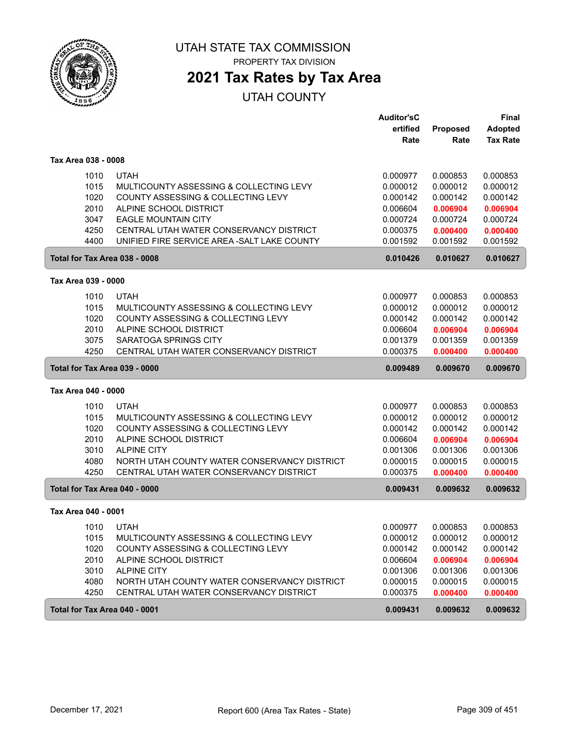

PROPERTY TAX DIVISION

## **2021 Tax Rates by Tax Area**

|                               |                                              | <b>Auditor'sC</b> |          | <b>Final</b>    |
|-------------------------------|----------------------------------------------|-------------------|----------|-----------------|
|                               |                                              | ertified          | Proposed | <b>Adopted</b>  |
|                               |                                              | Rate              | Rate     | <b>Tax Rate</b> |
| Tax Area 038 - 0008           |                                              |                   |          |                 |
| 1010                          | <b>UTAH</b>                                  | 0.000977          | 0.000853 | 0.000853        |
| 1015                          | MULTICOUNTY ASSESSING & COLLECTING LEVY      | 0.000012          | 0.000012 | 0.000012        |
| 1020                          | COUNTY ASSESSING & COLLECTING LEVY           | 0.000142          | 0.000142 | 0.000142        |
| 2010                          | ALPINE SCHOOL DISTRICT                       | 0.006604          | 0.006904 | 0.006904        |
| 3047                          | <b>EAGLE MOUNTAIN CITY</b>                   | 0.000724          | 0.000724 | 0.000724        |
| 4250                          | CENTRAL UTAH WATER CONSERVANCY DISTRICT      | 0.000375          | 0.000400 | 0.000400        |
| 4400                          | UNIFIED FIRE SERVICE AREA - SALT LAKE COUNTY | 0.001592          | 0.001592 | 0.001592        |
| Total for Tax Area 038 - 0008 |                                              | 0.010426          | 0.010627 | 0.010627        |
| Tax Area 039 - 0000           |                                              |                   |          |                 |
| 1010                          | <b>UTAH</b>                                  | 0.000977          | 0.000853 | 0.000853        |
| 1015                          | MULTICOUNTY ASSESSING & COLLECTING LEVY      | 0.000012          | 0.000012 | 0.000012        |
| 1020                          | COUNTY ASSESSING & COLLECTING LEVY           | 0.000142          | 0.000142 | 0.000142        |
| 2010                          | ALPINE SCHOOL DISTRICT                       | 0.006604          | 0.006904 | 0.006904        |
| 3075                          | SARATOGA SPRINGS CITY                        | 0.001379          | 0.001359 | 0.001359        |
| 4250                          | CENTRAL UTAH WATER CONSERVANCY DISTRICT      | 0.000375          | 0.000400 | 0.000400        |
| Total for Tax Area 039 - 0000 |                                              | 0.009489          | 0.009670 | 0.009670        |
| Tax Area 040 - 0000           |                                              |                   |          |                 |
| 1010                          | <b>UTAH</b>                                  | 0.000977          | 0.000853 | 0.000853        |
| 1015                          | MULTICOUNTY ASSESSING & COLLECTING LEVY      | 0.000012          | 0.000012 | 0.000012        |
| 1020                          | COUNTY ASSESSING & COLLECTING LEVY           | 0.000142          | 0.000142 | 0.000142        |
| 2010                          | ALPINE SCHOOL DISTRICT                       | 0.006604          | 0.006904 | 0.006904        |
| 3010                          | <b>ALPINE CITY</b>                           | 0.001306          | 0.001306 | 0.001306        |
| 4080                          | NORTH UTAH COUNTY WATER CONSERVANCY DISTRICT | 0.000015          | 0.000015 | 0.000015        |
| 4250                          | CENTRAL UTAH WATER CONSERVANCY DISTRICT      | 0.000375          | 0.000400 | 0.000400        |
| Total for Tax Area 040 - 0000 |                                              | 0.009431          | 0.009632 | 0.009632        |
| Tax Area 040 - 0001           |                                              |                   |          |                 |
| 1010                          | <b>UTAH</b>                                  | 0.000977          | 0.000853 | 0.000853        |
| 1015                          | MULTICOUNTY ASSESSING & COLLECTING LEVY      | 0.000012          | 0.000012 | 0.000012        |
| 1020                          | COUNTY ASSESSING & COLLECTING LEVY           | 0.000142          | 0.000142 | 0.000142        |
| 2010                          | ALPINE SCHOOL DISTRICT                       | 0.006604          | 0.006904 | 0.006904        |
| 3010                          | <b>ALPINE CITY</b>                           | 0.001306          | 0.001306 | 0.001306        |
| 4080                          | NORTH UTAH COUNTY WATER CONSERVANCY DISTRICT | 0.000015          | 0.000015 | 0.000015        |
| 4250                          | CENTRAL UTAH WATER CONSERVANCY DISTRICT      | 0.000375          | 0.000400 | 0.000400        |
| Total for Tax Area 040 - 0001 |                                              | 0.009431          | 0.009632 | 0.009632        |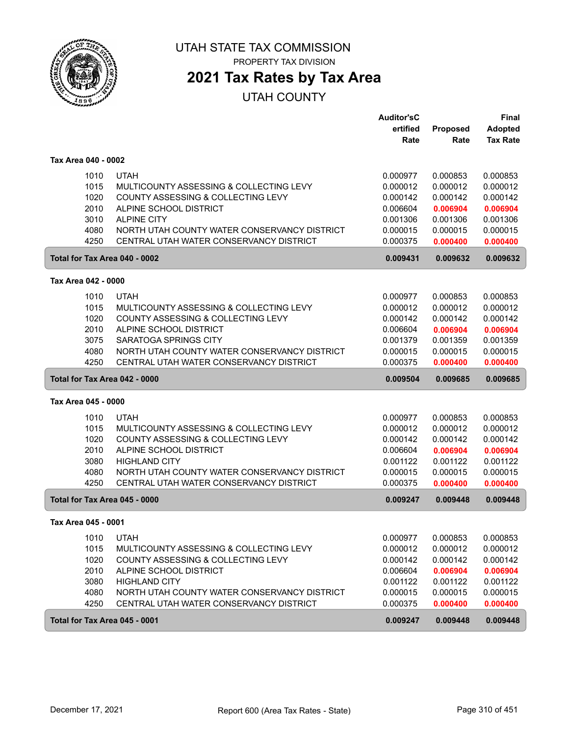

PROPERTY TAX DIVISION

# **2021 Tax Rates by Tax Area**

|                     |                                              | <b>Auditor'sC</b> |                  | <b>Final</b>                      |
|---------------------|----------------------------------------------|-------------------|------------------|-----------------------------------|
|                     |                                              | ertified<br>Rate  | Proposed<br>Rate | <b>Adopted</b><br><b>Tax Rate</b> |
| Tax Area 040 - 0002 |                                              |                   |                  |                                   |
| 1010                | <b>UTAH</b>                                  | 0.000977          | 0.000853         | 0.000853                          |
| 1015                | MULTICOUNTY ASSESSING & COLLECTING LEVY      | 0.000012          | 0.000012         | 0.000012                          |
| 1020                | COUNTY ASSESSING & COLLECTING LEVY           | 0.000142          | 0.000142         | 0.000142                          |
| 2010                | ALPINE SCHOOL DISTRICT                       | 0.006604          | 0.006904         | 0.006904                          |
| 3010                | <b>ALPINE CITY</b>                           | 0.001306          | 0.001306         | 0.001306                          |
| 4080                | NORTH UTAH COUNTY WATER CONSERVANCY DISTRICT | 0.000015          | 0.000015         | 0.000015                          |
| 4250                | CENTRAL UTAH WATER CONSERVANCY DISTRICT      | 0.000375          | 0.000400         | 0.000400                          |
|                     | Total for Tax Area 040 - 0002                | 0.009431          | 0.009632         | 0.009632                          |
| Tax Area 042 - 0000 |                                              |                   |                  |                                   |
| 1010                | <b>UTAH</b>                                  | 0.000977          | 0.000853         | 0.000853                          |
| 1015                | MULTICOUNTY ASSESSING & COLLECTING LEVY      | 0.000012          | 0.000012         | 0.000012                          |
| 1020                | COUNTY ASSESSING & COLLECTING LEVY           | 0.000142          | 0.000142         | 0.000142                          |
| 2010                | ALPINE SCHOOL DISTRICT                       | 0.006604          | 0.006904         | 0.006904                          |
| 3075                | SARATOGA SPRINGS CITY                        | 0.001379          | 0.001359         | 0.001359                          |
| 4080                | NORTH UTAH COUNTY WATER CONSERVANCY DISTRICT | 0.000015          | 0.000015         | 0.000015                          |
| 4250                | CENTRAL UTAH WATER CONSERVANCY DISTRICT      | 0.000375          | 0.000400         | 0.000400                          |
|                     | Total for Tax Area 042 - 0000                | 0.009504          | 0.009685         | 0.009685                          |
| Tax Area 045 - 0000 |                                              |                   |                  |                                   |
| 1010                | <b>UTAH</b>                                  | 0.000977          | 0.000853         | 0.000853                          |
| 1015                | MULTICOUNTY ASSESSING & COLLECTING LEVY      | 0.000012          | 0.000012         | 0.000012                          |
| 1020                | COUNTY ASSESSING & COLLECTING LEVY           | 0.000142          | 0.000142         | 0.000142                          |
| 2010                | ALPINE SCHOOL DISTRICT                       | 0.006604          | 0.006904         | 0.006904                          |
| 3080                | <b>HIGHLAND CITY</b>                         | 0.001122          | 0.001122         | 0.001122                          |
| 4080                | NORTH UTAH COUNTY WATER CONSERVANCY DISTRICT | 0.000015          | 0.000015         | 0.000015                          |
| 4250                | CENTRAL UTAH WATER CONSERVANCY DISTRICT      | 0.000375          | 0.000400         | 0.000400                          |
|                     | Total for Tax Area 045 - 0000                | 0.009247          | 0.009448         | 0.009448                          |
| Tax Area 045 - 0001 |                                              |                   |                  |                                   |
| 1010                | <b>UTAH</b>                                  | 0.000977          | 0.000853         | 0.000853                          |
| 1015                | MULTICOUNTY ASSESSING & COLLECTING LEVY      | 0.000012          | 0.000012         | 0.000012                          |
|                     |                                              |                   |                  |                                   |
|                     | 1020<br>COUNTY ASSESSING & COLLECTING LEVY   | 0.000142          | 0.000142         | 0.000142                          |
| 2010                | ALPINE SCHOOL DISTRICT                       | 0.006604          | 0.006904         | 0.006904                          |
| 3080                | <b>HIGHLAND CITY</b>                         | 0.001122          | 0.001122         | 0.001122                          |
| 4080                | NORTH UTAH COUNTY WATER CONSERVANCY DISTRICT | 0.000015          | 0.000015         | 0.000015                          |
| 4250                | CENTRAL UTAH WATER CONSERVANCY DISTRICT      | 0.000375          | 0.000400         | 0.000400                          |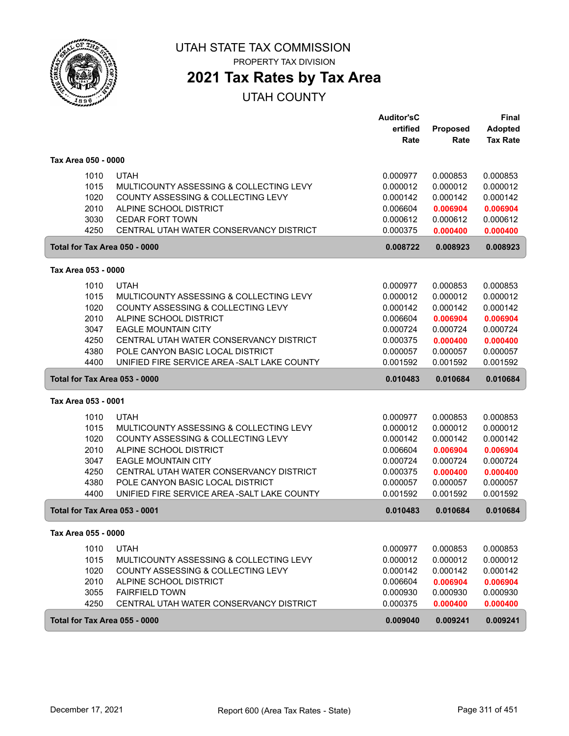

**2021 Tax Rates by Tax Area**

|                                      |                                                                                  | <b>Auditor'sC</b><br>ertified | Proposed             | <b>Final</b><br><b>Adopted</b> |
|--------------------------------------|----------------------------------------------------------------------------------|-------------------------------|----------------------|--------------------------------|
|                                      |                                                                                  | Rate                          | Rate                 | <b>Tax Rate</b>                |
| Tax Area 050 - 0000                  |                                                                                  |                               |                      |                                |
| 1010                                 | <b>UTAH</b>                                                                      | 0.000977                      | 0.000853             | 0.000853                       |
| 1015                                 | MULTICOUNTY ASSESSING & COLLECTING LEVY                                          | 0.000012                      | 0.000012             | 0.000012                       |
| 1020                                 | COUNTY ASSESSING & COLLECTING LEVY                                               | 0.000142                      | 0.000142             | 0.000142                       |
| 2010                                 | ALPINE SCHOOL DISTRICT                                                           | 0.006604                      | 0.006904             | 0.006904                       |
| 3030                                 | <b>CEDAR FORT TOWN</b>                                                           | 0.000612                      | 0.000612             | 0.000612                       |
| 4250                                 | CENTRAL UTAH WATER CONSERVANCY DISTRICT                                          | 0.000375                      | 0.000400             | 0.000400                       |
| Total for Tax Area 050 - 0000        |                                                                                  | 0.008722                      | 0.008923             | 0.008923                       |
| Tax Area 053 - 0000                  |                                                                                  |                               |                      |                                |
| 1010                                 | <b>UTAH</b>                                                                      | 0.000977                      | 0.000853             | 0.000853                       |
| 1015                                 | MULTICOUNTY ASSESSING & COLLECTING LEVY                                          | 0.000012                      | 0.000012             | 0.000012                       |
| 1020                                 | COUNTY ASSESSING & COLLECTING LEVY                                               | 0.000142                      | 0.000142             | 0.000142                       |
| 2010                                 | ALPINE SCHOOL DISTRICT                                                           | 0.006604                      | 0.006904             | 0.006904                       |
| 3047                                 | <b>EAGLE MOUNTAIN CITY</b>                                                       | 0.000724                      | 0.000724             | 0.000724                       |
| 4250                                 | CENTRAL UTAH WATER CONSERVANCY DISTRICT                                          | 0.000375                      | 0.000400             | 0.000400                       |
| 4380                                 | POLE CANYON BASIC LOCAL DISTRICT                                                 | 0.000057                      | 0.000057             | 0.000057                       |
| 4400                                 | UNIFIED FIRE SERVICE AREA - SALT LAKE COUNTY                                     | 0.001592                      | 0.001592             | 0.001592                       |
| Total for Tax Area 053 - 0000        |                                                                                  | 0.010483                      | 0.010684             | 0.010684                       |
| Tax Area 053 - 0001                  |                                                                                  |                               |                      |                                |
| 1010                                 | <b>UTAH</b>                                                                      | 0.000977                      | 0.000853             | 0.000853                       |
| 1015                                 | MULTICOUNTY ASSESSING & COLLECTING LEVY                                          | 0.000012                      | 0.000012             | 0.000012                       |
| 1020                                 | COUNTY ASSESSING & COLLECTING LEVY                                               | 0.000142                      | 0.000142             | 0.000142                       |
| 2010                                 | ALPINE SCHOOL DISTRICT                                                           | 0.006604                      | 0.006904             | 0.006904                       |
| 3047                                 | <b>EAGLE MOUNTAIN CITY</b>                                                       | 0.000724                      | 0.000724             | 0.000724                       |
| 4250                                 | CENTRAL UTAH WATER CONSERVANCY DISTRICT                                          | 0.000375                      | 0.000400             | 0.000400                       |
| 4380<br>4400                         | POLE CANYON BASIC LOCAL DISTRICT<br>UNIFIED FIRE SERVICE AREA - SALT LAKE COUNTY | 0.000057<br>0.001592          | 0.000057<br>0.001592 | 0.000057<br>0.001592           |
| <b>Total for Tax Area 053 - 0001</b> |                                                                                  | 0.010483                      | 0.010684             | 0.010684                       |
| Tax Area 055 - 0000                  |                                                                                  |                               |                      |                                |
| 1010                                 | <b>UTAH</b>                                                                      | 0.000977                      | 0.000853             | 0.000853                       |
| 1015                                 | MULTICOUNTY ASSESSING & COLLECTING LEVY                                          | 0.000012                      | 0.000012             | 0.000012                       |
| 1020                                 | COUNTY ASSESSING & COLLECTING LEVY                                               | 0.000142                      | 0.000142             | 0.000142                       |
| 2010                                 | ALPINE SCHOOL DISTRICT                                                           | 0.006604                      | 0.006904             | 0.006904                       |
| 3055                                 | <b>FAIRFIELD TOWN</b>                                                            | 0.000930                      | 0.000930             | 0.000930                       |
| 4250                                 | CENTRAL UTAH WATER CONSERVANCY DISTRICT                                          | 0.000375                      | 0.000400             | 0.000400                       |
| Total for Tax Area 055 - 0000        |                                                                                  | 0.009040                      | 0.009241             | 0.009241                       |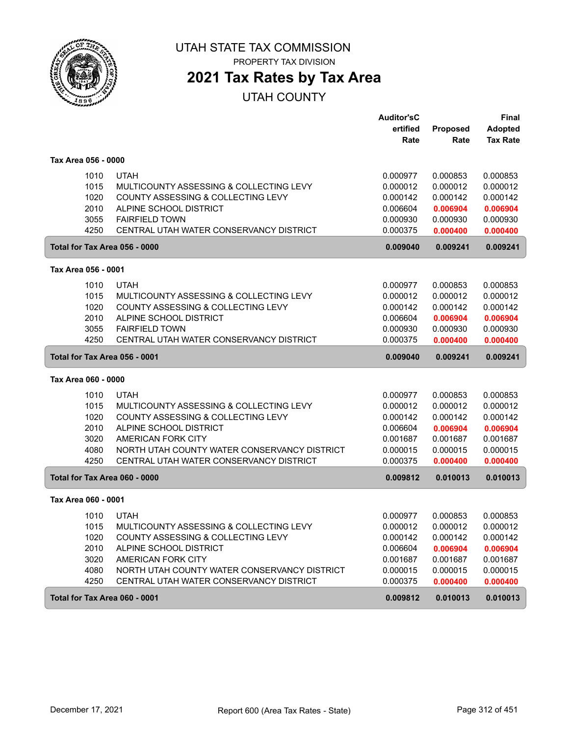

**2021 Tax Rates by Tax Area**

|                               |                                              | <b>Auditor'sC</b> |          | Final           |
|-------------------------------|----------------------------------------------|-------------------|----------|-----------------|
|                               |                                              | ertified          | Proposed | <b>Adopted</b>  |
|                               |                                              | Rate              | Rate     | <b>Tax Rate</b> |
| Tax Area 056 - 0000           |                                              |                   |          |                 |
| 1010                          | <b>UTAH</b>                                  | 0.000977          | 0.000853 | 0.000853        |
| 1015                          | MULTICOUNTY ASSESSING & COLLECTING LEVY      | 0.000012          | 0.000012 | 0.000012        |
| 1020                          | COUNTY ASSESSING & COLLECTING LEVY           | 0.000142          | 0.000142 | 0.000142        |
| 2010                          | ALPINE SCHOOL DISTRICT                       | 0.006604          | 0.006904 | 0.006904        |
| 3055                          | <b>FAIRFIELD TOWN</b>                        | 0.000930          | 0.000930 | 0.000930        |
| 4250                          | CENTRAL UTAH WATER CONSERVANCY DISTRICT      | 0.000375          | 0.000400 | 0.000400        |
| Total for Tax Area 056 - 0000 |                                              | 0.009040          | 0.009241 | 0.009241        |
| Tax Area 056 - 0001           |                                              |                   |          |                 |
| 1010                          | <b>UTAH</b>                                  | 0.000977          | 0.000853 | 0.000853        |
| 1015                          | MULTICOUNTY ASSESSING & COLLECTING LEVY      | 0.000012          | 0.000012 | 0.000012        |
| 1020                          | COUNTY ASSESSING & COLLECTING LEVY           | 0.000142          | 0.000142 | 0.000142        |
| 2010                          | ALPINE SCHOOL DISTRICT                       | 0.006604          | 0.006904 | 0.006904        |
| 3055                          | <b>FAIRFIELD TOWN</b>                        | 0.000930          | 0.000930 | 0.000930        |
| 4250                          | CENTRAL UTAH WATER CONSERVANCY DISTRICT      | 0.000375          | 0.000400 | 0.000400        |
| Total for Tax Area 056 - 0001 |                                              | 0.009040          | 0.009241 | 0.009241        |
| Tax Area 060 - 0000           |                                              |                   |          |                 |
| 1010                          | <b>UTAH</b>                                  | 0.000977          | 0.000853 | 0.000853        |
| 1015                          | MULTICOUNTY ASSESSING & COLLECTING LEVY      | 0.000012          | 0.000012 | 0.000012        |
| 1020                          | COUNTY ASSESSING & COLLECTING LEVY           | 0.000142          | 0.000142 | 0.000142        |
| 2010                          | ALPINE SCHOOL DISTRICT                       | 0.006604          | 0.006904 | 0.006904        |
| 3020                          | AMERICAN FORK CITY                           | 0.001687          | 0.001687 | 0.001687        |
| 4080                          | NORTH UTAH COUNTY WATER CONSERVANCY DISTRICT | 0.000015          | 0.000015 | 0.000015        |
| 4250                          | CENTRAL UTAH WATER CONSERVANCY DISTRICT      | 0.000375          | 0.000400 | 0.000400        |
| Total for Tax Area 060 - 0000 |                                              | 0.009812          | 0.010013 | 0.010013        |
| Tax Area 060 - 0001           |                                              |                   |          |                 |
| 1010                          | <b>UTAH</b>                                  | 0.000977          | 0.000853 | 0.000853        |
| 1015                          | MULTICOUNTY ASSESSING & COLLECTING LEVY      | 0.000012          | 0.000012 | 0.000012        |
| 1020                          | COUNTY ASSESSING & COLLECTING LEVY           | 0.000142          | 0.000142 | 0.000142        |
| 2010                          | ALPINE SCHOOL DISTRICT                       | 0.006604          | 0.006904 | 0.006904        |
| 3020                          | AMERICAN FORK CITY                           | 0.001687          | 0.001687 | 0.001687        |
| 4080                          | NORTH UTAH COUNTY WATER CONSERVANCY DISTRICT | 0.000015          | 0.000015 | 0.000015        |
| 4250                          | CENTRAL UTAH WATER CONSERVANCY DISTRICT      | 0.000375          | 0.000400 | 0.000400        |
| Total for Tax Area 060 - 0001 |                                              | 0.009812          | 0.010013 | 0.010013        |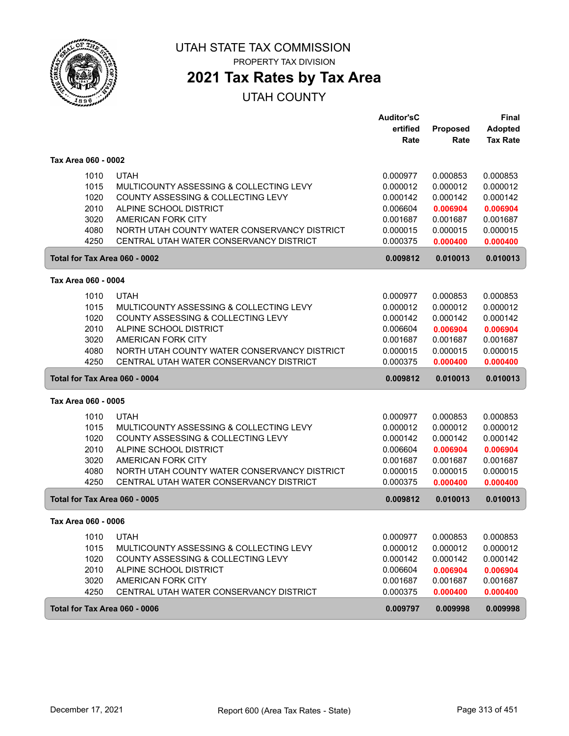

## **2021 Tax Rates by Tax Area**

|                               |                                              | <b>Auditor'sC</b> |                 | <b>Final</b>    |
|-------------------------------|----------------------------------------------|-------------------|-----------------|-----------------|
|                               |                                              | ertified          | <b>Proposed</b> | <b>Adopted</b>  |
|                               |                                              | Rate              | Rate            | <b>Tax Rate</b> |
| Tax Area 060 - 0002           |                                              |                   |                 |                 |
| 1010                          | <b>UTAH</b>                                  | 0.000977          | 0.000853        | 0.000853        |
| 1015                          | MULTICOUNTY ASSESSING & COLLECTING LEVY      | 0.000012          | 0.000012        | 0.000012        |
| 1020                          | COUNTY ASSESSING & COLLECTING LEVY           | 0.000142          | 0.000142        | 0.000142        |
| 2010                          | ALPINE SCHOOL DISTRICT                       | 0.006604          | 0.006904        | 0.006904        |
| 3020                          | AMERICAN FORK CITY                           | 0.001687          | 0.001687        | 0.001687        |
| 4080                          | NORTH UTAH COUNTY WATER CONSERVANCY DISTRICT | 0.000015          | 0.000015        | 0.000015        |
| 4250                          | CENTRAL UTAH WATER CONSERVANCY DISTRICT      | 0.000375          | 0.000400        | 0.000400        |
| Total for Tax Area 060 - 0002 |                                              | 0.009812          | 0.010013        | 0.010013        |
| Tax Area 060 - 0004           |                                              |                   |                 |                 |
| 1010                          | <b>UTAH</b>                                  | 0.000977          | 0.000853        | 0.000853        |
| 1015                          | MULTICOUNTY ASSESSING & COLLECTING LEVY      | 0.000012          | 0.000012        | 0.000012        |
| 1020                          | COUNTY ASSESSING & COLLECTING LEVY           | 0.000142          | 0.000142        | 0.000142        |
| 2010                          | ALPINE SCHOOL DISTRICT                       | 0.006604          | 0.006904        | 0.006904        |
| 3020                          | AMERICAN FORK CITY                           | 0.001687          | 0.001687        | 0.001687        |
| 4080                          | NORTH UTAH COUNTY WATER CONSERVANCY DISTRICT | 0.000015          | 0.000015        | 0.000015        |
| 4250                          | CENTRAL UTAH WATER CONSERVANCY DISTRICT      | 0.000375          | 0.000400        | 0.000400        |
| Total for Tax Area 060 - 0004 |                                              | 0.009812          | 0.010013        | 0.010013        |
| Tax Area 060 - 0005           |                                              |                   |                 |                 |
| 1010                          | <b>UTAH</b>                                  | 0.000977          | 0.000853        | 0.000853        |
| 1015                          | MULTICOUNTY ASSESSING & COLLECTING LEVY      | 0.000012          | 0.000012        | 0.000012        |
| 1020                          | COUNTY ASSESSING & COLLECTING LEVY           | 0.000142          | 0.000142        | 0.000142        |
| 2010                          | ALPINE SCHOOL DISTRICT                       | 0.006604          | 0.006904        | 0.006904        |
| 3020                          | AMERICAN FORK CITY                           | 0.001687          | 0.001687        | 0.001687        |
| 4080                          | NORTH UTAH COUNTY WATER CONSERVANCY DISTRICT | 0.000015          | 0.000015        | 0.000015        |
| 4250                          | CENTRAL UTAH WATER CONSERVANCY DISTRICT      | 0.000375          | 0.000400        | 0.000400        |
| Total for Tax Area 060 - 0005 |                                              | 0.009812          | 0.010013        | 0.010013        |
| Tax Area 060 - 0006           |                                              |                   |                 |                 |
| 1010                          | <b>UTAH</b>                                  | 0.000977          | 0.000853        | 0.000853        |
| 1015                          | MULTICOUNTY ASSESSING & COLLECTING LEVY      | 0.000012          | 0.000012        | 0.000012        |
| 1020                          | COUNTY ASSESSING & COLLECTING LEVY           | 0.000142          | 0.000142        | 0.000142        |
| 2010                          | ALPINE SCHOOL DISTRICT                       | 0.006604          | 0.006904        | 0.006904        |
| 3020                          | AMERICAN FORK CITY                           | 0.001687          | 0.001687        | 0.001687        |
| 4250                          | CENTRAL UTAH WATER CONSERVANCY DISTRICT      | 0.000375          | 0.000400        | 0.000400        |
| Total for Tax Area 060 - 0006 |                                              | 0.009797          | 0.009998        | 0.009998        |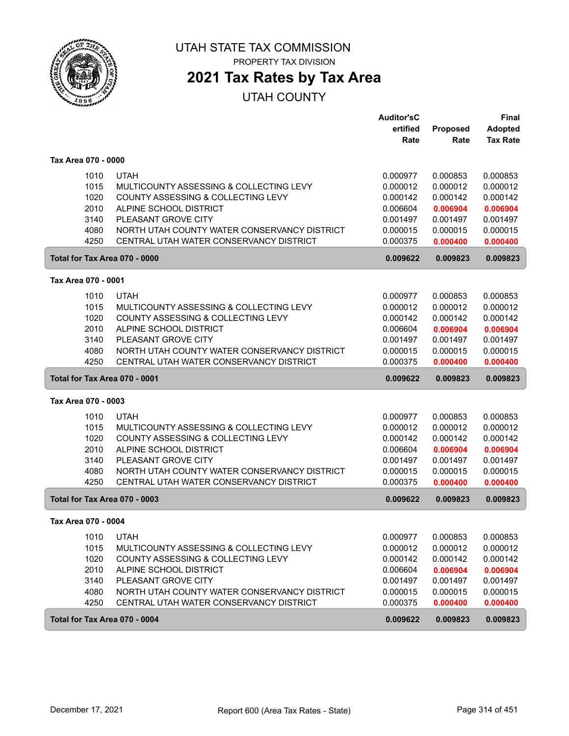

# **2021 Tax Rates by Tax Area**

|                     |      |                                              | <b>Auditor'sC</b> |          | <b>Final</b>    |
|---------------------|------|----------------------------------------------|-------------------|----------|-----------------|
|                     |      |                                              | ertified          | Proposed | <b>Adopted</b>  |
|                     |      |                                              | Rate              | Rate     | <b>Tax Rate</b> |
| Tax Area 070 - 0000 |      |                                              |                   |          |                 |
|                     | 1010 | <b>UTAH</b>                                  | 0.000977          | 0.000853 | 0.000853        |
|                     | 1015 | MULTICOUNTY ASSESSING & COLLECTING LEVY      | 0.000012          | 0.000012 | 0.000012        |
|                     | 1020 | COUNTY ASSESSING & COLLECTING LEVY           | 0.000142          | 0.000142 | 0.000142        |
|                     | 2010 | ALPINE SCHOOL DISTRICT                       | 0.006604          | 0.006904 | 0.006904        |
|                     | 3140 | PLEASANT GROVE CITY                          | 0.001497          | 0.001497 | 0.001497        |
|                     | 4080 | NORTH UTAH COUNTY WATER CONSERVANCY DISTRICT | 0.000015          | 0.000015 | 0.000015        |
|                     | 4250 | CENTRAL UTAH WATER CONSERVANCY DISTRICT      | 0.000375          | 0.000400 | 0.000400        |
|                     |      | Total for Tax Area 070 - 0000                | 0.009622          | 0.009823 | 0.009823        |
| Tax Area 070 - 0001 |      |                                              |                   |          |                 |
|                     | 1010 | <b>UTAH</b>                                  | 0.000977          | 0.000853 | 0.000853        |
|                     | 1015 | MULTICOUNTY ASSESSING & COLLECTING LEVY      | 0.000012          | 0.000012 | 0.000012        |
|                     | 1020 | COUNTY ASSESSING & COLLECTING LEVY           | 0.000142          | 0.000142 | 0.000142        |
|                     | 2010 | ALPINE SCHOOL DISTRICT                       | 0.006604          | 0.006904 | 0.006904        |
|                     | 3140 | PLEASANT GROVE CITY                          | 0.001497          | 0.001497 | 0.001497        |
|                     | 4080 | NORTH UTAH COUNTY WATER CONSERVANCY DISTRICT | 0.000015          | 0.000015 | 0.000015        |
|                     | 4250 | CENTRAL UTAH WATER CONSERVANCY DISTRICT      | 0.000375          | 0.000400 | 0.000400        |
|                     |      |                                              |                   |          |                 |
|                     |      | Total for Tax Area 070 - 0001                | 0.009622          | 0.009823 | 0.009823        |
| Tax Area 070 - 0003 |      |                                              |                   |          |                 |
|                     | 1010 | <b>UTAH</b>                                  | 0.000977          | 0.000853 | 0.000853        |
|                     | 1015 | MULTICOUNTY ASSESSING & COLLECTING LEVY      | 0.000012          | 0.000012 | 0.000012        |
|                     | 1020 | COUNTY ASSESSING & COLLECTING LEVY           | 0.000142          | 0.000142 | 0.000142        |
|                     | 2010 | ALPINE SCHOOL DISTRICT                       | 0.006604          | 0.006904 | 0.006904        |
|                     | 3140 | PLEASANT GROVE CITY                          | 0.001497          | 0.001497 | 0.001497        |
|                     | 4080 | NORTH UTAH COUNTY WATER CONSERVANCY DISTRICT | 0.000015          | 0.000015 | 0.000015        |
|                     | 4250 | CENTRAL UTAH WATER CONSERVANCY DISTRICT      | 0.000375          | 0.000400 | 0.000400        |
|                     |      | Total for Tax Area 070 - 0003                | 0.009622          | 0.009823 | 0.009823        |
| Tax Area 070 - 0004 |      |                                              |                   |          |                 |
|                     | 1010 | <b>UTAH</b>                                  | 0.000977          | 0.000853 | 0.000853        |
|                     | 1015 | MULTICOUNTY ASSESSING & COLLECTING LEVY      | 0.000012          | 0.000012 | 0.000012        |
|                     | 1020 | COUNTY ASSESSING & COLLECTING LEVY           | 0.000142          | 0.000142 | 0.000142        |
|                     | 2010 | ALPINE SCHOOL DISTRICT                       | 0.006604          | 0.006904 | 0.006904        |
|                     | 3140 | PLEASANT GROVE CITY                          | 0.001497          | 0.001497 | 0.001497        |
|                     | 4080 | NORTH UTAH COUNTY WATER CONSERVANCY DISTRICT | 0.000015          | 0.000015 | 0.000015        |
|                     | 4250 | CENTRAL UTAH WATER CONSERVANCY DISTRICT      | 0.000375          | 0.000400 | 0.000400        |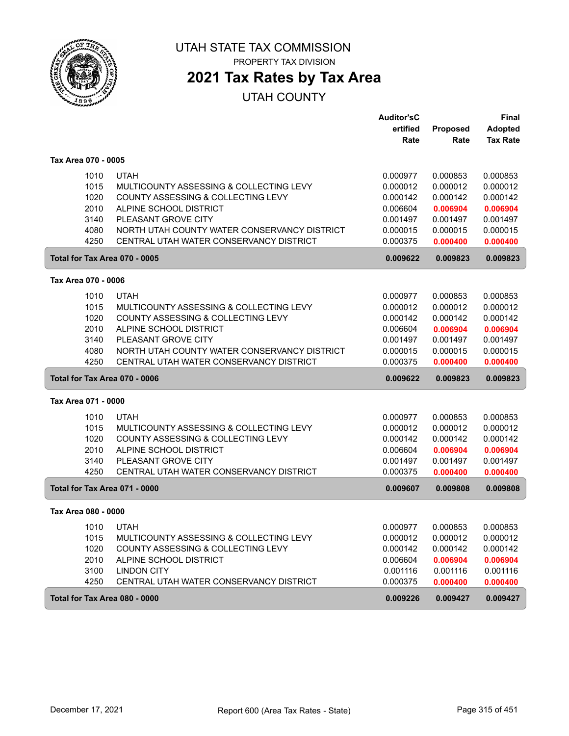

# **2021 Tax Rates by Tax Area**

|                               |                                              | <b>Auditor'sC</b> |                 | Final           |
|-------------------------------|----------------------------------------------|-------------------|-----------------|-----------------|
|                               |                                              | ertified          | <b>Proposed</b> | <b>Adopted</b>  |
|                               |                                              | Rate              | Rate            | <b>Tax Rate</b> |
| Tax Area 070 - 0005           |                                              |                   |                 |                 |
| 1010                          | <b>UTAH</b>                                  | 0.000977          | 0.000853        | 0.000853        |
| 1015                          | MULTICOUNTY ASSESSING & COLLECTING LEVY      | 0.000012          | 0.000012        | 0.000012        |
| 1020                          | COUNTY ASSESSING & COLLECTING LEVY           | 0.000142          | 0.000142        | 0.000142        |
| 2010                          | ALPINE SCHOOL DISTRICT                       | 0.006604          | 0.006904        | 0.006904        |
| 3140                          | PLEASANT GROVE CITY                          | 0.001497          | 0.001497        | 0.001497        |
| 4080                          | NORTH UTAH COUNTY WATER CONSERVANCY DISTRICT | 0.000015          | 0.000015        | 0.000015        |
| 4250                          | CENTRAL UTAH WATER CONSERVANCY DISTRICT      | 0.000375          | 0.000400        | 0.000400        |
| Total for Tax Area 070 - 0005 |                                              | 0.009622          | 0.009823        | 0.009823        |
| Tax Area 070 - 0006           |                                              |                   |                 |                 |
| 1010                          | <b>UTAH</b>                                  | 0.000977          | 0.000853        | 0.000853        |
| 1015                          | MULTICOUNTY ASSESSING & COLLECTING LEVY      | 0.000012          | 0.000012        | 0.000012        |
| 1020                          | COUNTY ASSESSING & COLLECTING LEVY           | 0.000142          | 0.000142        | 0.000142        |
| 2010                          | ALPINE SCHOOL DISTRICT                       | 0.006604          | 0.006904        | 0.006904        |
| 3140                          | PLEASANT GROVE CITY                          | 0.001497          | 0.001497        | 0.001497        |
| 4080                          | NORTH UTAH COUNTY WATER CONSERVANCY DISTRICT | 0.000015          | 0.000015        | 0.000015        |
| 4250                          | CENTRAL UTAH WATER CONSERVANCY DISTRICT      | 0.000375          | 0.000400        | 0.000400        |
| Total for Tax Area 070 - 0006 |                                              | 0.009622          | 0.009823        | 0.009823        |
| Tax Area 071 - 0000           |                                              |                   |                 |                 |
| 1010                          | <b>UTAH</b>                                  | 0.000977          | 0.000853        | 0.000853        |
| 1015                          | MULTICOUNTY ASSESSING & COLLECTING LEVY      | 0.000012          | 0.000012        | 0.000012        |
| 1020                          | COUNTY ASSESSING & COLLECTING LEVY           | 0.000142          | 0.000142        | 0.000142        |
| 2010                          | ALPINE SCHOOL DISTRICT                       | 0.006604          | 0.006904        | 0.006904        |
| 3140                          | PLEASANT GROVE CITY                          | 0.001497          | 0.001497        | 0.001497        |
| 4250                          | CENTRAL UTAH WATER CONSERVANCY DISTRICT      | 0.000375          | 0.000400        | 0.000400        |
| Total for Tax Area 071 - 0000 |                                              | 0.009607          | 0.009808        | 0.009808        |
| Tax Area 080 - 0000           |                                              |                   |                 |                 |
| 1010                          | UTAH                                         | 0.000977          | 0.000853        | 0.000853        |
| 1015                          | MULTICOUNTY ASSESSING & COLLECTING LEVY      | 0.000012          | 0.000012        | 0.000012        |
| 1020                          | COUNTY ASSESSING & COLLECTING LEVY           | 0.000142          | 0.000142        | 0.000142        |
| 2010                          | ALPINE SCHOOL DISTRICT                       | 0.006604          | 0.006904        | 0.006904        |
| 3100                          | <b>LINDON CITY</b>                           | 0.001116          | 0.001116        | 0.001116        |
| 4250                          | CENTRAL UTAH WATER CONSERVANCY DISTRICT      | 0.000375          | 0.000400        | 0.000400        |
| Total for Tax Area 080 - 0000 |                                              | 0.009226          | 0.009427        | 0.009427        |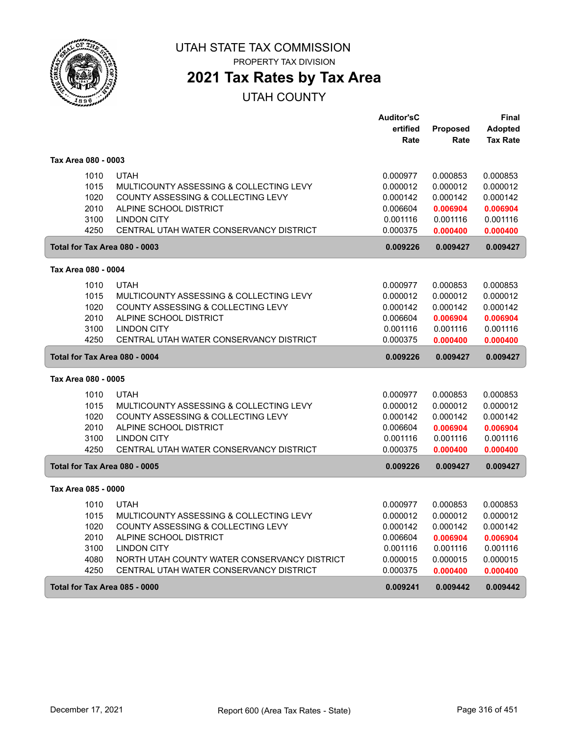

**2021 Tax Rates by Tax Area**

|                               |                                                        | <b>Auditor'sC</b>    |                      | Final                |
|-------------------------------|--------------------------------------------------------|----------------------|----------------------|----------------------|
|                               |                                                        | ertified             | <b>Proposed</b>      | <b>Adopted</b>       |
|                               |                                                        | Rate                 | Rate                 | <b>Tax Rate</b>      |
| Tax Area 080 - 0003           |                                                        |                      |                      |                      |
| 1010                          | <b>UTAH</b>                                            | 0.000977             | 0.000853             | 0.000853             |
| 1015                          | MULTICOUNTY ASSESSING & COLLECTING LEVY                | 0.000012             | 0.000012             | 0.000012             |
| 1020                          | COUNTY ASSESSING & COLLECTING LEVY                     | 0.000142             | 0.000142             | 0.000142             |
| 2010                          | ALPINE SCHOOL DISTRICT                                 | 0.006604             | 0.006904             | 0.006904             |
| 3100                          | <b>LINDON CITY</b>                                     | 0.001116             | 0.001116             | 0.001116             |
| 4250                          | CENTRAL UTAH WATER CONSERVANCY DISTRICT                | 0.000375             | 0.000400             | 0.000400             |
| Total for Tax Area 080 - 0003 |                                                        | 0.009226             | 0.009427             | 0.009427             |
| Tax Area 080 - 0004           |                                                        |                      |                      |                      |
| 1010                          | <b>UTAH</b>                                            | 0.000977             | 0.000853             | 0.000853             |
| 1015                          | MULTICOUNTY ASSESSING & COLLECTING LEVY                | 0.000012             | 0.000012             | 0.000012             |
| 1020                          | COUNTY ASSESSING & COLLECTING LEVY                     | 0.000142             | 0.000142             | 0.000142             |
| 2010                          | ALPINE SCHOOL DISTRICT                                 | 0.006604             | 0.006904             | 0.006904             |
| 3100                          | <b>LINDON CITY</b>                                     | 0.001116             | 0.001116             | 0.001116             |
| 4250                          | CENTRAL UTAH WATER CONSERVANCY DISTRICT                | 0.000375             | 0.000400             | 0.000400             |
| Total for Tax Area 080 - 0004 |                                                        | 0.009226             | 0.009427             | 0.009427             |
| Tax Area 080 - 0005           |                                                        |                      |                      |                      |
|                               |                                                        |                      |                      |                      |
| 1010<br>1015                  | <b>UTAH</b><br>MULTICOUNTY ASSESSING & COLLECTING LEVY | 0.000977<br>0.000012 | 0.000853<br>0.000012 | 0.000853<br>0.000012 |
| 1020                          | COUNTY ASSESSING & COLLECTING LEVY                     | 0.000142             | 0.000142             | 0.000142             |
| 2010                          | ALPINE SCHOOL DISTRICT                                 |                      | 0.006904             | 0.006904             |
| 3100                          | <b>LINDON CITY</b>                                     | 0.006604<br>0.001116 | 0.001116             | 0.001116             |
| 4250                          | CENTRAL UTAH WATER CONSERVANCY DISTRICT                | 0.000375             | 0.000400             | 0.000400             |
| Total for Tax Area 080 - 0005 |                                                        | 0.009226             | 0.009427             | 0.009427             |
| Tax Area 085 - 0000           |                                                        |                      |                      |                      |
|                               |                                                        |                      |                      |                      |
| 1010                          | <b>UTAH</b>                                            | 0.000977             | 0.000853             | 0.000853             |
| 1015                          | MULTICOUNTY ASSESSING & COLLECTING LEVY                | 0.000012             | 0.000012             | 0.000012             |
| 1020                          | COUNTY ASSESSING & COLLECTING LEVY                     | 0.000142             | 0.000142             | 0.000142             |
| 2010                          | ALPINE SCHOOL DISTRICT                                 | 0.006604             | 0.006904             | 0.006904             |
| 3100                          | <b>LINDON CITY</b>                                     | 0.001116             | 0.001116             | 0.001116             |
| 4080                          | NORTH UTAH COUNTY WATER CONSERVANCY DISTRICT           | 0.000015             | 0.000015             | 0.000015             |
| 4250                          | CENTRAL UTAH WATER CONSERVANCY DISTRICT                | 0.000375             | 0.000400             | 0.000400             |
| Total for Tax Area 085 - 0000 |                                                        | 0.009241             | 0.009442             | 0.009442             |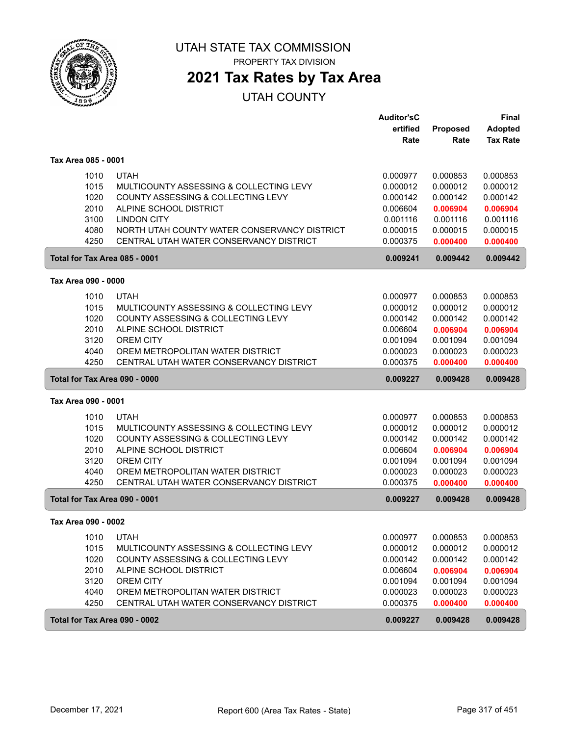

PROPERTY TAX DIVISION

## **2021 Tax Rates by Tax Area**

|                     |                                               | <b>Auditor'sC</b> |          | <b>Final</b>    |
|---------------------|-----------------------------------------------|-------------------|----------|-----------------|
|                     |                                               | ertified          | Proposed | <b>Adopted</b>  |
|                     |                                               | Rate              | Rate     | <b>Tax Rate</b> |
| Tax Area 085 - 0001 |                                               |                   |          |                 |
| 1010                | <b>UTAH</b>                                   | 0.000977          | 0.000853 | 0.000853        |
| 1015                | MULTICOUNTY ASSESSING & COLLECTING LEVY       | 0.000012          | 0.000012 | 0.000012        |
| 1020                | <b>COUNTY ASSESSING &amp; COLLECTING LEVY</b> | 0.000142          | 0.000142 | 0.000142        |
| 2010                | ALPINE SCHOOL DISTRICT                        | 0.006604          | 0.006904 | 0.006904        |
| 3100                | <b>LINDON CITY</b>                            | 0.001116          | 0.001116 | 0.001116        |
| 4080                | NORTH UTAH COUNTY WATER CONSERVANCY DISTRICT  | 0.000015          | 0.000015 | 0.000015        |
| 4250                | CENTRAL UTAH WATER CONSERVANCY DISTRICT       | 0.000375          | 0.000400 | 0.000400        |
|                     | Total for Tax Area 085 - 0001                 | 0.009241          | 0.009442 | 0.009442        |
| Tax Area 090 - 0000 |                                               |                   |          |                 |
| 1010                | <b>UTAH</b>                                   | 0.000977          | 0.000853 | 0.000853        |
| 1015                | MULTICOUNTY ASSESSING & COLLECTING LEVY       | 0.000012          | 0.000012 | 0.000012        |
| 1020                | COUNTY ASSESSING & COLLECTING LEVY            | 0.000142          | 0.000142 | 0.000142        |
| 2010                | ALPINE SCHOOL DISTRICT                        | 0.006604          | 0.006904 | 0.006904        |
| 3120                | <b>OREM CITY</b>                              | 0.001094          | 0.001094 | 0.001094        |
| 4040                | OREM METROPOLITAN WATER DISTRICT              | 0.000023          | 0.000023 | 0.000023        |
| 4250                | CENTRAL UTAH WATER CONSERVANCY DISTRICT       | 0.000375          | 0.000400 | 0.000400        |
|                     | Total for Tax Area 090 - 0000                 | 0.009227          | 0.009428 | 0.009428        |
| Tax Area 090 - 0001 |                                               |                   |          |                 |
| 1010                | <b>UTAH</b>                                   | 0.000977          | 0.000853 | 0.000853        |
| 1015                | MULTICOUNTY ASSESSING & COLLECTING LEVY       | 0.000012          | 0.000012 | 0.000012        |
| 1020                | COUNTY ASSESSING & COLLECTING LEVY            | 0.000142          | 0.000142 | 0.000142        |
| 2010                | ALPINE SCHOOL DISTRICT                        | 0.006604          | 0.006904 | 0.006904        |
| 3120                | <b>OREM CITY</b>                              | 0.001094          | 0.001094 | 0.001094        |
| 4040                | OREM METROPOLITAN WATER DISTRICT              | 0.000023          | 0.000023 | 0.000023        |
| 4250                | CENTRAL UTAH WATER CONSERVANCY DISTRICT       | 0.000375          | 0.000400 | 0.000400        |
|                     | Total for Tax Area 090 - 0001                 | 0.009227          | 0.009428 | 0.009428        |
| Tax Area 090 - 0002 |                                               |                   |          |                 |
| 1010                | <b>UTAH</b>                                   | 0.000977          | 0.000853 | 0.000853        |
| 1015                | MULTICOUNTY ASSESSING & COLLECTING LEVY       | 0.000012          | 0.000012 | 0.000012        |
| 1020                | COUNTY ASSESSING & COLLECTING LEVY            | 0.000142          | 0.000142 | 0.000142        |
| 2010                | ALPINE SCHOOL DISTRICT                        | 0.006604          | 0.006904 | 0.006904        |
| 3120                | OREM CITY                                     | 0.001094          | 0.001094 | 0.001094        |
| 4040                | OREM METROPOLITAN WATER DISTRICT              | 0.000023          | 0.000023 | 0.000023        |
| 4250                | CENTRAL UTAH WATER CONSERVANCY DISTRICT       | 0.000375          | 0.000400 | 0.000400        |
|                     | Total for Tax Area 090 - 0002                 | 0.009227          | 0.009428 | 0.009428        |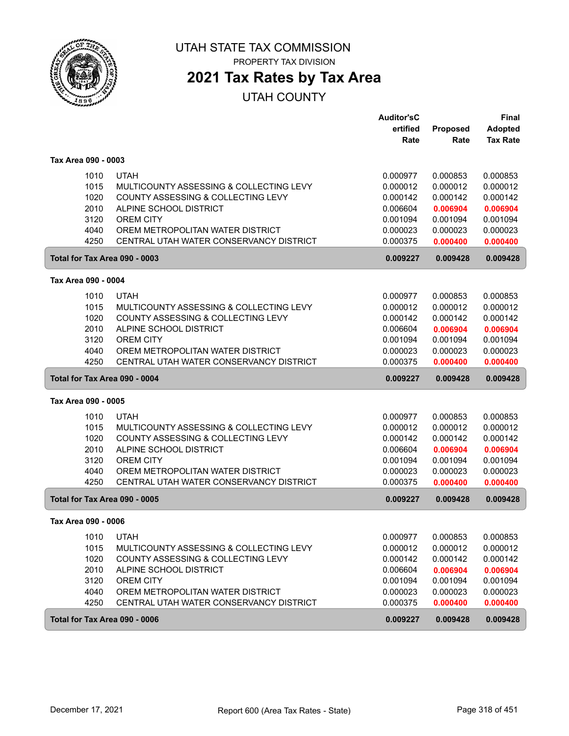

PROPERTY TAX DIVISION

## **2021 Tax Rates by Tax Area**

|                               |                                                                               | <b>Auditor'sC</b>    |                      | <b>Final</b>         |
|-------------------------------|-------------------------------------------------------------------------------|----------------------|----------------------|----------------------|
|                               |                                                                               | ertified             | Proposed             | <b>Adopted</b>       |
|                               |                                                                               | Rate                 | Rate                 | <b>Tax Rate</b>      |
| Tax Area 090 - 0003           |                                                                               |                      |                      |                      |
| 1010                          | <b>UTAH</b>                                                                   | 0.000977             | 0.000853             | 0.000853             |
| 1015                          | MULTICOUNTY ASSESSING & COLLECTING LEVY                                       | 0.000012             | 0.000012             | 0.000012             |
| 1020                          | COUNTY ASSESSING & COLLECTING LEVY                                            | 0.000142             | 0.000142             | 0.000142             |
| 2010                          | ALPINE SCHOOL DISTRICT                                                        | 0.006604             | 0.006904             | 0.006904             |
| 3120                          | <b>OREM CITY</b>                                                              | 0.001094             | 0.001094             | 0.001094             |
| 4040                          | OREM METROPOLITAN WATER DISTRICT                                              | 0.000023             | 0.000023             | 0.000023             |
| 4250                          | CENTRAL UTAH WATER CONSERVANCY DISTRICT                                       | 0.000375             | 0.000400             | 0.000400             |
| Total for Tax Area 090 - 0003 |                                                                               | 0.009227             | 0.009428             | 0.009428             |
| Tax Area 090 - 0004           |                                                                               |                      |                      |                      |
| 1010                          | <b>UTAH</b>                                                                   | 0.000977             | 0.000853             | 0.000853             |
| 1015                          | MULTICOUNTY ASSESSING & COLLECTING LEVY                                       | 0.000012             | 0.000012             | 0.000012             |
| 1020                          | COUNTY ASSESSING & COLLECTING LEVY                                            | 0.000142             | 0.000142             | 0.000142             |
| 2010                          | ALPINE SCHOOL DISTRICT                                                        | 0.006604             | 0.006904             | 0.006904             |
| 3120                          | <b>OREM CITY</b>                                                              | 0.001094             | 0.001094             | 0.001094             |
| 4040                          | OREM METROPOLITAN WATER DISTRICT                                              | 0.000023             | 0.000023             | 0.000023             |
| 4250                          | CENTRAL UTAH WATER CONSERVANCY DISTRICT                                       | 0.000375             | 0.000400             | 0.000400             |
|                               |                                                                               |                      |                      |                      |
| Total for Tax Area 090 - 0004 |                                                                               | 0.009227             | 0.009428             | 0.009428             |
| Tax Area 090 - 0005           |                                                                               |                      |                      |                      |
|                               | <b>UTAH</b>                                                                   |                      |                      |                      |
| 1010                          |                                                                               | 0.000977             | 0.000853             | 0.000853             |
| 1015<br>1020                  | MULTICOUNTY ASSESSING & COLLECTING LEVY<br>COUNTY ASSESSING & COLLECTING LEVY | 0.000012<br>0.000142 | 0.000012<br>0.000142 | 0.000012<br>0.000142 |
| 2010                          | ALPINE SCHOOL DISTRICT                                                        | 0.006604             | 0.006904             | 0.006904             |
| 3120                          | <b>OREM CITY</b>                                                              | 0.001094             | 0.001094             | 0.001094             |
| 4040                          | OREM METROPOLITAN WATER DISTRICT                                              | 0.000023             | 0.000023             | 0.000023             |
| 4250                          | CENTRAL UTAH WATER CONSERVANCY DISTRICT                                       | 0.000375             | 0.000400             | 0.000400             |
| Total for Tax Area 090 - 0005 |                                                                               | 0.009227             | 0.009428             | 0.009428             |
| Tax Area 090 - 0006           |                                                                               |                      |                      |                      |
| 1010                          | <b>UTAH</b>                                                                   | 0.000977             | 0.000853             | 0.000853             |
| 1015                          | MULTICOUNTY ASSESSING & COLLECTING LEVY                                       | 0.000012             | 0.000012             | 0.000012             |
| 1020                          | COUNTY ASSESSING & COLLECTING LEVY                                            | 0.000142             | 0.000142             | 0.000142             |
| 2010                          | ALPINE SCHOOL DISTRICT                                                        | 0.006604             | 0.006904             | 0.006904             |
| 3120                          | OREM CITY                                                                     | 0.001094             | 0.001094             | 0.001094             |
| 4040                          | OREM METROPOLITAN WATER DISTRICT                                              | 0.000023             | 0.000023             | 0.000023             |
| 4250                          | CENTRAL UTAH WATER CONSERVANCY DISTRICT                                       | 0.000375             | 0.000400             | 0.000400             |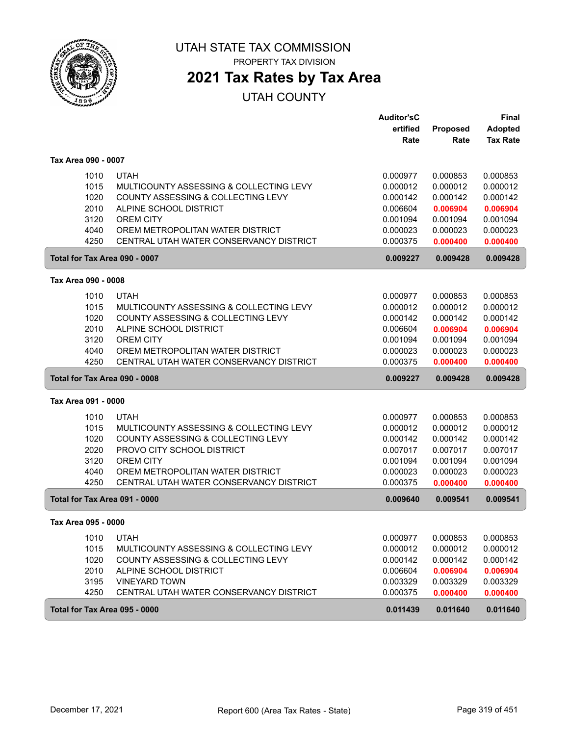

PROPERTY TAX DIVISION

## **2021 Tax Rates by Tax Area**

|                               |                                         | <b>Auditor'sC</b> |                 | <b>Final</b>    |
|-------------------------------|-----------------------------------------|-------------------|-----------------|-----------------|
|                               |                                         | ertified          | <b>Proposed</b> | <b>Adopted</b>  |
|                               |                                         | Rate              | Rate            | <b>Tax Rate</b> |
| Tax Area 090 - 0007           |                                         |                   |                 |                 |
| 1010                          | <b>UTAH</b>                             | 0.000977          | 0.000853        | 0.000853        |
| 1015                          | MULTICOUNTY ASSESSING & COLLECTING LEVY | 0.000012          | 0.000012        | 0.000012        |
| 1020                          | COUNTY ASSESSING & COLLECTING LEVY      | 0.000142          | 0.000142        | 0.000142        |
| 2010                          | ALPINE SCHOOL DISTRICT                  | 0.006604          | 0.006904        | 0.006904        |
| 3120                          | <b>OREM CITY</b>                        | 0.001094          | 0.001094        | 0.001094        |
| 4040                          | OREM METROPOLITAN WATER DISTRICT        | 0.000023          | 0.000023        | 0.000023        |
| 4250                          | CENTRAL UTAH WATER CONSERVANCY DISTRICT | 0.000375          | 0.000400        | 0.000400        |
| Total for Tax Area 090 - 0007 |                                         | 0.009227          | 0.009428        | 0.009428        |
| Tax Area 090 - 0008           |                                         |                   |                 |                 |
| 1010                          | <b>UTAH</b>                             | 0.000977          | 0.000853        | 0.000853        |
| 1015                          | MULTICOUNTY ASSESSING & COLLECTING LEVY | 0.000012          | 0.000012        | 0.000012        |
| 1020                          | COUNTY ASSESSING & COLLECTING LEVY      | 0.000142          | 0.000142        | 0.000142        |
| 2010                          | ALPINE SCHOOL DISTRICT                  | 0.006604          | 0.006904        | 0.006904        |
| 3120                          | <b>OREM CITY</b>                        | 0.001094          | 0.001094        | 0.001094        |
| 4040                          | OREM METROPOLITAN WATER DISTRICT        | 0.000023          | 0.000023        | 0.000023        |
| 4250                          | CENTRAL UTAH WATER CONSERVANCY DISTRICT | 0.000375          | 0.000400        | 0.000400        |
| Total for Tax Area 090 - 0008 |                                         | 0.009227          | 0.009428        | 0.009428        |
| Tax Area 091 - 0000           |                                         |                   |                 |                 |
| 1010                          | UTAH                                    | 0.000977          | 0.000853        | 0.000853        |
| 1015                          | MULTICOUNTY ASSESSING & COLLECTING LEVY | 0.000012          | 0.000012        | 0.000012        |
| 1020                          | COUNTY ASSESSING & COLLECTING LEVY      | 0.000142          | 0.000142        | 0.000142        |
| 2020                          | PROVO CITY SCHOOL DISTRICT              | 0.007017          | 0.007017        | 0.007017        |
| 3120                          | <b>OREM CITY</b>                        | 0.001094          | 0.001094        | 0.001094        |
| 4040                          | OREM METROPOLITAN WATER DISTRICT        | 0.000023          | 0.000023        | 0.000023        |
| 4250                          | CENTRAL UTAH WATER CONSERVANCY DISTRICT | 0.000375          | 0.000400        | 0.000400        |
| Total for Tax Area 091 - 0000 |                                         | 0.009640          | 0.009541        | 0.009541        |
| Tax Area 095 - 0000           |                                         |                   |                 |                 |
| 1010                          | <b>UTAH</b>                             | 0.000977          | 0.000853        | 0.000853        |
| 1015                          | MULTICOUNTY ASSESSING & COLLECTING LEVY | 0.000012          | 0.000012        | 0.000012        |
| 1020                          | COUNTY ASSESSING & COLLECTING LEVY      | 0.000142          | 0.000142        | 0.000142        |
| 2010                          | ALPINE SCHOOL DISTRICT                  | 0.006604          | 0.006904        | 0.006904        |
| 3195                          | <b>VINEYARD TOWN</b>                    | 0.003329          | 0.003329        | 0.003329        |
| 4250                          | CENTRAL UTAH WATER CONSERVANCY DISTRICT | 0.000375          | 0.000400        | 0.000400        |
| Total for Tax Area 095 - 0000 |                                         | 0.011439          | 0.011640        | 0.011640        |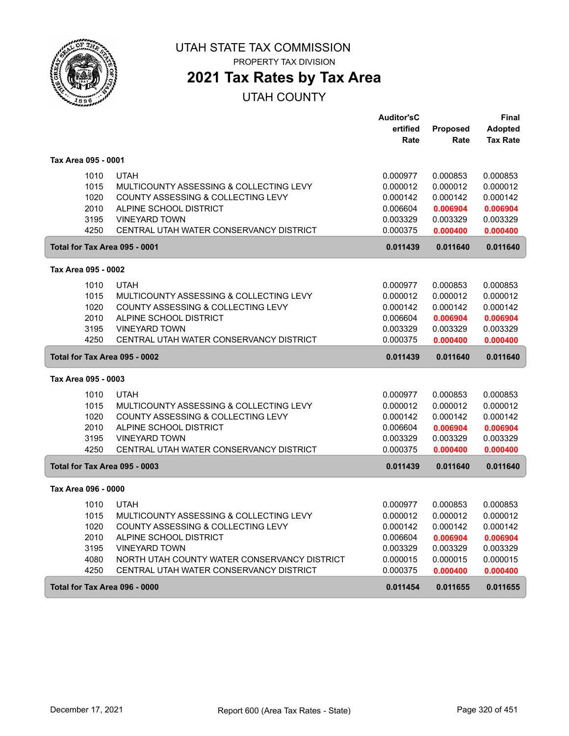

**2021 Tax Rates by Tax Area**

|                               |                                              | <b>Auditor'sC</b> |                 | Final           |
|-------------------------------|----------------------------------------------|-------------------|-----------------|-----------------|
|                               |                                              | ertified          | <b>Proposed</b> | <b>Adopted</b>  |
|                               |                                              | Rate              | Rate            | <b>Tax Rate</b> |
| Tax Area 095 - 0001           |                                              |                   |                 |                 |
| 1010                          | <b>UTAH</b>                                  | 0.000977          | 0.000853        | 0.000853        |
| 1015                          | MULTICOUNTY ASSESSING & COLLECTING LEVY      | 0.000012          | 0.000012        | 0.000012        |
| 1020                          | COUNTY ASSESSING & COLLECTING LEVY           | 0.000142          | 0.000142        | 0.000142        |
| 2010                          | ALPINE SCHOOL DISTRICT                       | 0.006604          | 0.006904        | 0.006904        |
| 3195                          | <b>VINEYARD TOWN</b>                         | 0.003329          | 0.003329        | 0.003329        |
| 4250                          | CENTRAL UTAH WATER CONSERVANCY DISTRICT      | 0.000375          | 0.000400        | 0.000400        |
| Total for Tax Area 095 - 0001 |                                              | 0.011439          | 0.011640        | 0.011640        |
| Tax Area 095 - 0002           |                                              |                   |                 |                 |
|                               |                                              |                   |                 |                 |
| 1010                          | <b>UTAH</b>                                  | 0.000977          | 0.000853        | 0.000853        |
| 1015                          | MULTICOUNTY ASSESSING & COLLECTING LEVY      | 0.000012          | 0.000012        | 0.000012        |
| 1020                          | COUNTY ASSESSING & COLLECTING LEVY           | 0.000142          | 0.000142        | 0.000142        |
| 2010                          | ALPINE SCHOOL DISTRICT                       | 0.006604          | 0.006904        | 0.006904        |
| 3195                          | <b>VINEYARD TOWN</b>                         | 0.003329          | 0.003329        | 0.003329        |
| 4250                          | CENTRAL UTAH WATER CONSERVANCY DISTRICT      | 0.000375          | 0.000400        | 0.000400        |
| Total for Tax Area 095 - 0002 |                                              | 0.011439          | 0.011640        | 0.011640        |
| Tax Area 095 - 0003           |                                              |                   |                 |                 |
| 1010                          | <b>UTAH</b>                                  | 0.000977          | 0.000853        | 0.000853        |
| 1015                          | MULTICOUNTY ASSESSING & COLLECTING LEVY      | 0.000012          | 0.000012        | 0.000012        |
| 1020                          | COUNTY ASSESSING & COLLECTING LEVY           | 0.000142          | 0.000142        | 0.000142        |
| 2010                          | ALPINE SCHOOL DISTRICT                       | 0.006604          | 0.006904        | 0.006904        |
| 3195                          | <b>VINEYARD TOWN</b>                         | 0.003329          | 0.003329        | 0.003329        |
| 4250                          | CENTRAL UTAH WATER CONSERVANCY DISTRICT      | 0.000375          | 0.000400        | 0.000400        |
| Total for Tax Area 095 - 0003 |                                              | 0.011439          | 0.011640        | 0.011640        |
| Tax Area 096 - 0000           |                                              |                   |                 |                 |
| 1010                          | <b>UTAH</b>                                  | 0.000977          | 0.000853        | 0.000853        |
| 1015                          | MULTICOUNTY ASSESSING & COLLECTING LEVY      | 0.000012          | 0.000012        | 0.000012        |
| 1020                          | COUNTY ASSESSING & COLLECTING LEVY           | 0.000142          | 0.000142        | 0.000142        |
| 2010                          | ALPINE SCHOOL DISTRICT                       | 0.006604          | 0.006904        | 0.006904        |
| 3195                          | <b>VINEYARD TOWN</b>                         | 0.003329          | 0.003329        | 0.003329        |
| 4080                          | NORTH UTAH COUNTY WATER CONSERVANCY DISTRICT | 0.000015          | 0.000015        | 0.000015        |
| 4250                          | CENTRAL UTAH WATER CONSERVANCY DISTRICT      | 0.000375          | 0.000400        | 0.000400        |
| Total for Tax Area 096 - 0000 |                                              | 0.011454          | 0.011655        | 0.011655        |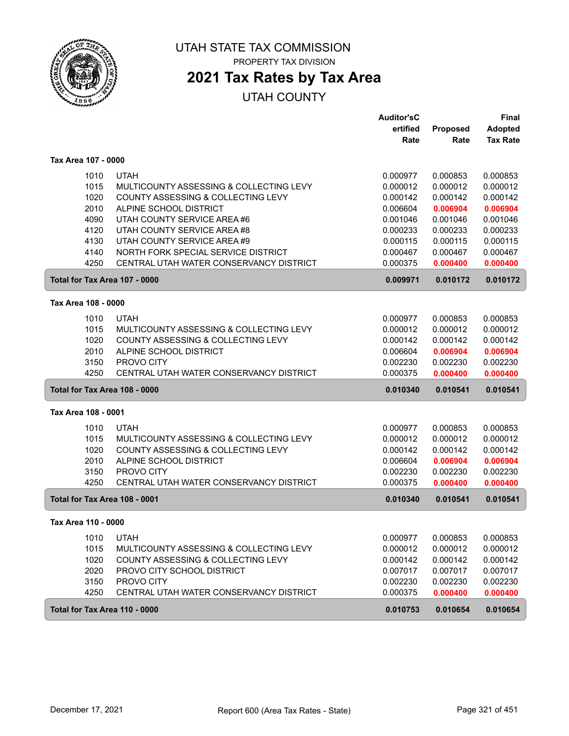

**2021 Tax Rates by Tax Area**

|                     |                                         | Auditor'sC |          | <b>Final</b>    |
|---------------------|-----------------------------------------|------------|----------|-----------------|
|                     |                                         | ertified   | Proposed | Adopted         |
|                     |                                         | Rate       | Rate     | <b>Tax Rate</b> |
| Tax Area 107 - 0000 |                                         |            |          |                 |
| 1010                | <b>UTAH</b>                             | 0.000977   | 0.000853 | 0.000853        |
| 1015                | MULTICOUNTY ASSESSING & COLLECTING LEVY | 0.000012   | 0.000012 | 0.000012        |
| 1020                | COUNTY ASSESSING & COLLECTING LEVY      | 0.000142   | 0.000142 | 0.000142        |
| 2010                | ALPINE SCHOOL DISTRICT                  | 0.006604   | 0.006904 | 0.006904        |
| 4090                | UTAH COUNTY SERVICE AREA #6             | 0.001046   | 0.001046 | 0.001046        |
| 4120                | UTAH COUNTY SERVICE AREA #8             | 0.000233   | 0.000233 | 0.000233        |
| 4130                | UTAH COUNTY SERVICE AREA #9             | 0.000115   | 0.000115 | 0.000115        |
| 4140                | NORTH FORK SPECIAL SERVICE DISTRICT     | 0.000467   | 0.000467 | 0.000467        |
| 4250                | CENTRAL UTAH WATER CONSERVANCY DISTRICT | 0.000375   | 0.000400 | 0.000400        |
|                     | Total for Tax Area 107 - 0000           | 0.009971   | 0.010172 | 0.010172        |
| Tax Area 108 - 0000 |                                         |            |          |                 |
| 1010                | <b>UTAH</b>                             | 0.000977   | 0.000853 | 0.000853        |
| 1015                | MULTICOUNTY ASSESSING & COLLECTING LEVY | 0.000012   | 0.000012 | 0.000012        |
| 1020                | COUNTY ASSESSING & COLLECTING LEVY      | 0.000142   | 0.000142 | 0.000142        |
| 2010                | ALPINE SCHOOL DISTRICT                  | 0.006604   | 0.006904 | 0.006904        |
| 3150                | PROVO CITY                              | 0.002230   | 0.002230 | 0.002230        |
| 4250                | CENTRAL UTAH WATER CONSERVANCY DISTRICT | 0.000375   | 0.000400 | 0.000400        |
|                     | Total for Tax Area 108 - 0000           | 0.010340   | 0.010541 | 0.010541        |
| Tax Area 108 - 0001 |                                         |            |          |                 |
| 1010                | <b>UTAH</b>                             | 0.000977   | 0.000853 | 0.000853        |
| 1015                | MULTICOUNTY ASSESSING & COLLECTING LEVY | 0.000012   | 0.000012 | 0.000012        |
| 1020                | COUNTY ASSESSING & COLLECTING LEVY      | 0.000142   | 0.000142 | 0.000142        |
| 2010                | ALPINE SCHOOL DISTRICT                  | 0.006604   | 0.006904 | 0.006904        |
| 3150                | PROVO CITY                              | 0.002230   | 0.002230 | 0.002230        |
| 4250                | CENTRAL UTAH WATER CONSERVANCY DISTRICT | 0.000375   | 0.000400 | 0.000400        |
|                     | Total for Tax Area 108 - 0001           | 0.010340   | 0.010541 | 0.010541        |
| Tax Area 110 - 0000 |                                         |            |          |                 |
| 1010                | <b>UTAH</b>                             | 0.000977   | 0.000853 | 0.000853        |
| 1015                | MULTICOUNTY ASSESSING & COLLECTING LEVY | 0.000012   | 0.000012 | 0.000012        |
| 1020                | COUNTY ASSESSING & COLLECTING LEVY      | 0.000142   | 0.000142 | 0.000142        |
| 2020                | PROVO CITY SCHOOL DISTRICT              | 0.007017   | 0.007017 | 0.007017        |
| 3150                | PROVO CITY                              | 0.002230   | 0.002230 | 0.002230        |
| 4250                | CENTRAL UTAH WATER CONSERVANCY DISTRICT | 0.000375   | 0.000400 | 0.000400        |
|                     | Total for Tax Area 110 - 0000           | 0.010753   | 0.010654 | 0.010654        |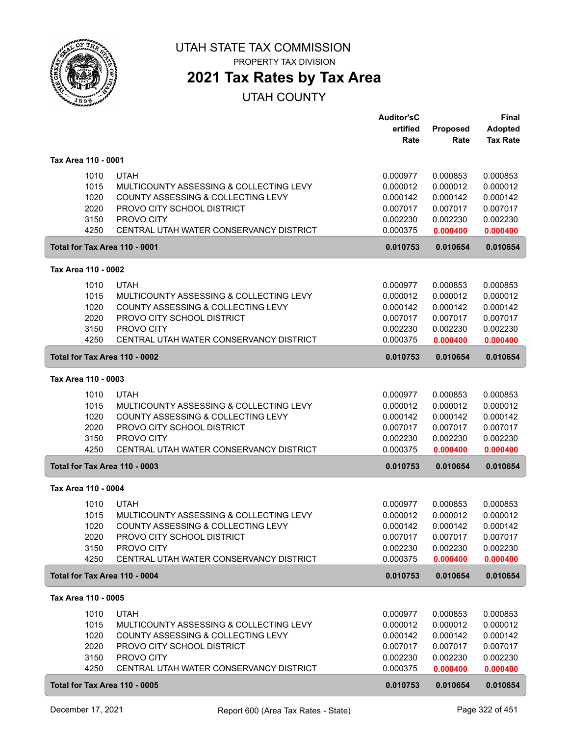

## **2021 Tax Rates by Tax Area**

|                     |                                                 | <b>Auditor'sC</b><br>ertified | Proposed | <b>Final</b><br><b>Adopted</b> |
|---------------------|-------------------------------------------------|-------------------------------|----------|--------------------------------|
|                     |                                                 | Rate                          | Rate     | <b>Tax Rate</b>                |
| Tax Area 110 - 0001 |                                                 |                               |          |                                |
|                     | <b>UTAH</b><br>1010                             | 0.000977                      | 0.000853 | 0.000853                       |
|                     | 1015<br>MULTICOUNTY ASSESSING & COLLECTING LEVY | 0.000012                      | 0.000012 | 0.000012                       |
|                     | 1020<br>COUNTY ASSESSING & COLLECTING LEVY      | 0.000142                      | 0.000142 | 0.000142                       |
|                     | 2020<br>PROVO CITY SCHOOL DISTRICT              | 0.007017                      | 0.007017 | 0.007017                       |
|                     | 3150<br>PROVO CITY                              | 0.002230                      | 0.002230 | 0.002230                       |
|                     | 4250<br>CENTRAL UTAH WATER CONSERVANCY DISTRICT | 0.000375                      | 0.000400 | 0.000400                       |
|                     | Total for Tax Area 110 - 0001                   | 0.010753                      | 0.010654 | 0.010654                       |
| Tax Area 110 - 0002 |                                                 |                               |          |                                |
|                     | 1010<br><b>UTAH</b>                             | 0.000977                      | 0.000853 | 0.000853                       |
|                     | 1015<br>MULTICOUNTY ASSESSING & COLLECTING LEVY | 0.000012                      | 0.000012 | 0.000012                       |
|                     | 1020<br>COUNTY ASSESSING & COLLECTING LEVY      | 0.000142                      | 0.000142 | 0.000142                       |
|                     | 2020<br>PROVO CITY SCHOOL DISTRICT              | 0.007017                      | 0.007017 | 0.007017                       |
|                     | 3150<br>PROVO CITY                              | 0.002230                      | 0.002230 | 0.002230                       |
|                     | 4250<br>CENTRAL UTAH WATER CONSERVANCY DISTRICT | 0.000375                      | 0.000400 | 0.000400                       |
|                     | Total for Tax Area 110 - 0002                   | 0.010753                      | 0.010654 | 0.010654                       |
| Tax Area 110 - 0003 |                                                 |                               |          |                                |
|                     | 1010<br><b>UTAH</b>                             | 0.000977                      | 0.000853 | 0.000853                       |
|                     | 1015<br>MULTICOUNTY ASSESSING & COLLECTING LEVY | 0.000012                      | 0.000012 | 0.000012                       |
|                     | 1020<br>COUNTY ASSESSING & COLLECTING LEVY      | 0.000142                      | 0.000142 | 0.000142                       |
|                     | 2020<br>PROVO CITY SCHOOL DISTRICT              | 0.007017                      | 0.007017 | 0.007017                       |
|                     | 3150<br>PROVO CITY                              | 0.002230                      | 0.002230 | 0.002230                       |
|                     | 4250<br>CENTRAL UTAH WATER CONSERVANCY DISTRICT | 0.000375                      | 0.000400 | 0.000400                       |
|                     | Total for Tax Area 110 - 0003                   | 0.010753                      | 0.010654 | 0.010654                       |
| Tax Area 110 - 0004 |                                                 |                               |          |                                |
|                     | 1010<br><b>UTAH</b>                             | 0.000977                      | 0.000853 | 0.000853                       |
|                     | 1015<br>MULTICOUNTY ASSESSING & COLLECTING LEVY | 0.000012                      | 0.000012 | 0.000012                       |
|                     | 1020<br>COUNTY ASSESSING & COLLECTING LEVY      | 0.000142                      | 0.000142 | 0.000142                       |
|                     | 2020<br>PROVO CITY SCHOOL DISTRICT              | 0.007017                      | 0.007017 | 0.007017                       |
|                     | 3150<br>PROVO CITY                              | 0.002230                      | 0.002230 | 0.002230                       |
|                     | 4250<br>CENTRAL UTAH WATER CONSERVANCY DISTRICT | 0.000375                      | 0.000400 | 0.000400                       |
|                     | Total for Tax Area 110 - 0004                   | 0.010753                      | 0.010654 | 0.010654                       |
| Tax Area 110 - 0005 |                                                 |                               |          |                                |
|                     | <b>UTAH</b><br>1010                             | 0.000977                      | 0.000853 | 0.000853                       |
|                     | 1015<br>MULTICOUNTY ASSESSING & COLLECTING LEVY | 0.000012                      | 0.000012 | 0.000012                       |
|                     | 1020<br>COUNTY ASSESSING & COLLECTING LEVY      | 0.000142                      | 0.000142 | 0.000142                       |
|                     | 2020<br>PROVO CITY SCHOOL DISTRICT              | 0.007017                      | 0.007017 | 0.007017                       |
|                     | 3150<br>PROVO CITY                              | 0.002230                      | 0.002230 | 0.002230                       |
|                     | 4250<br>CENTRAL UTAH WATER CONSERVANCY DISTRICT | 0.000375                      | 0.000400 | 0.000400                       |
|                     | Total for Tax Area 110 - 0005                   | 0.010753                      | 0.010654 | 0.010654                       |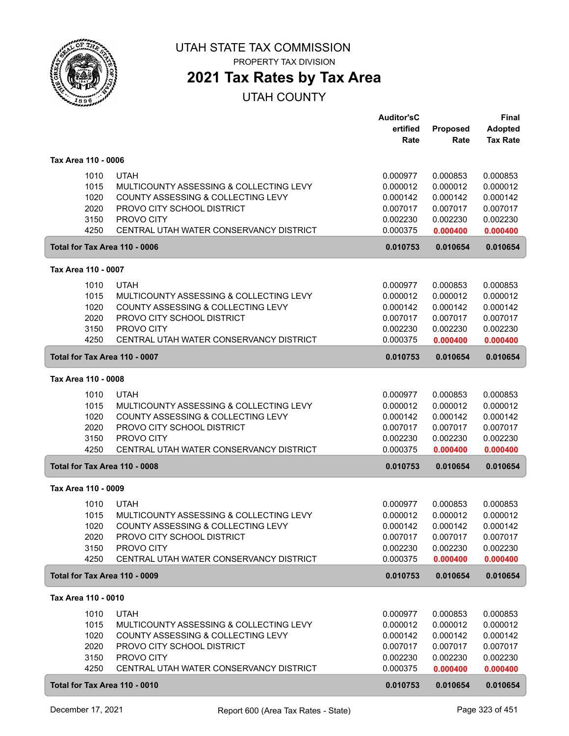

## **2021 Tax Rates by Tax Area**

|                     |                                                 | <b>Auditor'sC</b><br>ertified | Proposed | <b>Final</b><br><b>Adopted</b> |
|---------------------|-------------------------------------------------|-------------------------------|----------|--------------------------------|
|                     |                                                 | Rate                          | Rate     | <b>Tax Rate</b>                |
| Tax Area 110 - 0006 |                                                 |                               |          |                                |
|                     | <b>UTAH</b><br>1010                             | 0.000977                      | 0.000853 | 0.000853                       |
|                     | 1015<br>MULTICOUNTY ASSESSING & COLLECTING LEVY | 0.000012                      | 0.000012 | 0.000012                       |
|                     | 1020<br>COUNTY ASSESSING & COLLECTING LEVY      | 0.000142                      | 0.000142 | 0.000142                       |
|                     | 2020<br>PROVO CITY SCHOOL DISTRICT              | 0.007017                      | 0.007017 | 0.007017                       |
|                     | 3150<br>PROVO CITY                              | 0.002230                      | 0.002230 | 0.002230                       |
|                     | 4250<br>CENTRAL UTAH WATER CONSERVANCY DISTRICT | 0.000375                      | 0.000400 | 0.000400                       |
|                     | Total for Tax Area 110 - 0006                   | 0.010753                      | 0.010654 | 0.010654                       |
| Tax Area 110 - 0007 |                                                 |                               |          |                                |
|                     | 1010<br><b>UTAH</b>                             | 0.000977                      | 0.000853 | 0.000853                       |
|                     | 1015<br>MULTICOUNTY ASSESSING & COLLECTING LEVY | 0.000012                      | 0.000012 | 0.000012                       |
|                     | 1020<br>COUNTY ASSESSING & COLLECTING LEVY      | 0.000142                      | 0.000142 | 0.000142                       |
|                     | 2020<br>PROVO CITY SCHOOL DISTRICT              | 0.007017                      | 0.007017 | 0.007017                       |
|                     | 3150<br>PROVO CITY                              | 0.002230                      | 0.002230 | 0.002230                       |
|                     | 4250<br>CENTRAL UTAH WATER CONSERVANCY DISTRICT | 0.000375                      | 0.000400 | 0.000400                       |
|                     | Total for Tax Area 110 - 0007                   | 0.010753                      | 0.010654 | 0.010654                       |
| Tax Area 110 - 0008 |                                                 |                               |          |                                |
|                     | 1010<br><b>UTAH</b>                             | 0.000977                      | 0.000853 | 0.000853                       |
|                     | 1015<br>MULTICOUNTY ASSESSING & COLLECTING LEVY | 0.000012                      | 0.000012 | 0.000012                       |
|                     | 1020<br>COUNTY ASSESSING & COLLECTING LEVY      | 0.000142                      | 0.000142 | 0.000142                       |
|                     | 2020<br>PROVO CITY SCHOOL DISTRICT              | 0.007017                      | 0.007017 | 0.007017                       |
|                     | 3150<br>PROVO CITY                              | 0.002230                      | 0.002230 | 0.002230                       |
|                     | 4250<br>CENTRAL UTAH WATER CONSERVANCY DISTRICT | 0.000375                      | 0.000400 | 0.000400                       |
|                     | Total for Tax Area 110 - 0008                   | 0.010753                      | 0.010654 | 0.010654                       |
| Tax Area 110 - 0009 |                                                 |                               |          |                                |
|                     | 1010<br><b>UTAH</b>                             | 0.000977                      | 0.000853 | 0.000853                       |
|                     | 1015<br>MULTICOUNTY ASSESSING & COLLECTING LEVY | 0.000012                      | 0.000012 | 0.000012                       |
|                     | 1020<br>COUNTY ASSESSING & COLLECTING LEVY      | 0.000142                      | 0.000142 | 0.000142                       |
|                     | 2020<br>PROVO CITY SCHOOL DISTRICT              | 0.007017                      | 0.007017 | 0.007017                       |
|                     | 3150<br>PROVO CITY                              | 0.002230                      | 0.002230 | 0.002230                       |
|                     | 4250<br>CENTRAL UTAH WATER CONSERVANCY DISTRICT | 0.000375                      | 0.000400 | 0.000400                       |
|                     | Total for Tax Area 110 - 0009                   | 0.010753                      | 0.010654 | 0.010654                       |
| Tax Area 110 - 0010 |                                                 |                               |          |                                |
|                     | <b>UTAH</b><br>1010                             | 0.000977                      | 0.000853 | 0.000853                       |
|                     | 1015<br>MULTICOUNTY ASSESSING & COLLECTING LEVY | 0.000012                      | 0.000012 | 0.000012                       |
|                     | 1020<br>COUNTY ASSESSING & COLLECTING LEVY      | 0.000142                      | 0.000142 | 0.000142                       |
|                     | 2020<br>PROVO CITY SCHOOL DISTRICT              | 0.007017                      | 0.007017 | 0.007017                       |
|                     | 3150<br>PROVO CITY                              | 0.002230                      | 0.002230 | 0.002230                       |
|                     | 4250<br>CENTRAL UTAH WATER CONSERVANCY DISTRICT | 0.000375                      | 0.000400 | 0.000400                       |
|                     | Total for Tax Area 110 - 0010                   | 0.010753                      | 0.010654 | 0.010654                       |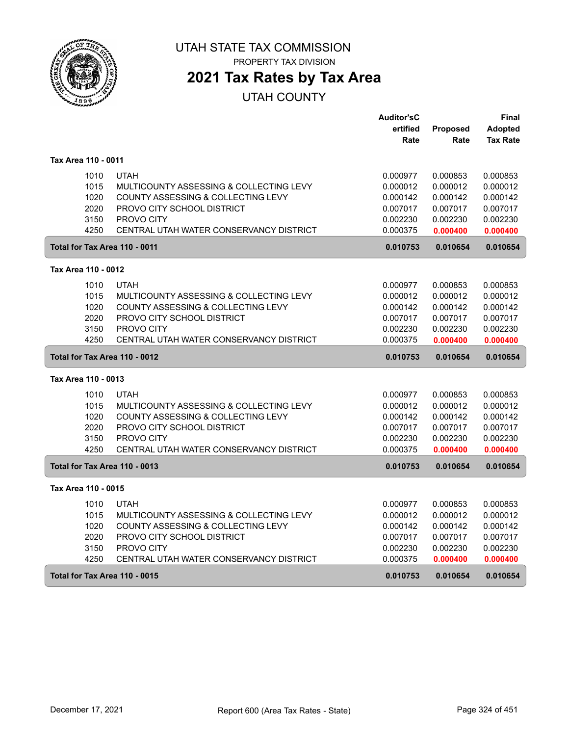

**2021 Tax Rates by Tax Area**

|                               |                                         | <b>Auditor'sC</b> |                 | Final           |
|-------------------------------|-----------------------------------------|-------------------|-----------------|-----------------|
|                               |                                         | ertified          | <b>Proposed</b> | <b>Adopted</b>  |
|                               |                                         | Rate              | Rate            | <b>Tax Rate</b> |
| Tax Area 110 - 0011           |                                         |                   |                 |                 |
| 1010                          | <b>UTAH</b>                             | 0.000977          | 0.000853        | 0.000853        |
| 1015                          | MULTICOUNTY ASSESSING & COLLECTING LEVY | 0.000012          | 0.000012        | 0.000012        |
| 1020                          | COUNTY ASSESSING & COLLECTING LEVY      | 0.000142          | 0.000142        | 0.000142        |
| 2020                          | PROVO CITY SCHOOL DISTRICT              | 0.007017          | 0.007017        | 0.007017        |
| 3150                          | PROVO CITY                              | 0.002230          | 0.002230        | 0.002230        |
| 4250                          | CENTRAL UTAH WATER CONSERVANCY DISTRICT | 0.000375          | 0.000400        | 0.000400        |
| Total for Tax Area 110 - 0011 |                                         | 0.010753          | 0.010654        | 0.010654        |
| Tax Area 110 - 0012           |                                         |                   |                 |                 |
| 1010                          | <b>UTAH</b>                             | 0.000977          | 0.000853        | 0.000853        |
| 1015                          | MULTICOUNTY ASSESSING & COLLECTING LEVY | 0.000012          | 0.000012        | 0.000012        |
| 1020                          | COUNTY ASSESSING & COLLECTING LEVY      | 0.000142          | 0.000142        | 0.000142        |
| 2020                          | PROVO CITY SCHOOL DISTRICT              | 0.007017          | 0.007017        | 0.007017        |
| 3150                          | PROVO CITY                              | 0.002230          | 0.002230        | 0.002230        |
| 4250                          | CENTRAL UTAH WATER CONSERVANCY DISTRICT | 0.000375          | 0.000400        | 0.000400        |
| Total for Tax Area 110 - 0012 |                                         | 0.010753          | 0.010654        | 0.010654        |
| Tax Area 110 - 0013           |                                         |                   |                 |                 |
| 1010                          | <b>UTAH</b>                             | 0.000977          | 0.000853        | 0.000853        |
| 1015                          | MULTICOUNTY ASSESSING & COLLECTING LEVY | 0.000012          | 0.000012        | 0.000012        |
| 1020                          | COUNTY ASSESSING & COLLECTING LEVY      | 0.000142          | 0.000142        | 0.000142        |
| 2020                          | PROVO CITY SCHOOL DISTRICT              | 0.007017          | 0.007017        | 0.007017        |
| 3150                          | PROVO CITY                              | 0.002230          | 0.002230        | 0.002230        |
| 4250                          | CENTRAL UTAH WATER CONSERVANCY DISTRICT | 0.000375          | 0.000400        | 0.000400        |
| Total for Tax Area 110 - 0013 |                                         | 0.010753          | 0.010654        | 0.010654        |
| Tax Area 110 - 0015           |                                         |                   |                 |                 |
| 1010                          | <b>UTAH</b>                             | 0.000977          | 0.000853        | 0.000853        |
| 1015                          | MULTICOUNTY ASSESSING & COLLECTING LEVY | 0.000012          | 0.000012        | 0.000012        |
| 1020                          | COUNTY ASSESSING & COLLECTING LEVY      | 0.000142          | 0.000142        | 0.000142        |
| 2020                          | PROVO CITY SCHOOL DISTRICT              | 0.007017          | 0.007017        | 0.007017        |
| 3150                          | PROVO CITY                              | 0.002230          | 0.002230        | 0.002230        |
| 4250                          | CENTRAL UTAH WATER CONSERVANCY DISTRICT | 0.000375          | 0.000400        | 0.000400        |
| Total for Tax Area 110 - 0015 |                                         | 0.010753          | 0.010654        | 0.010654        |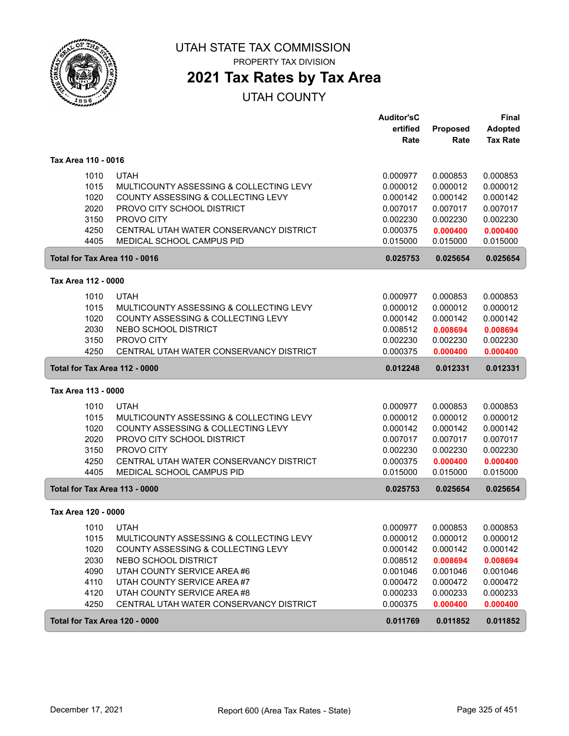

PROPERTY TAX DIVISION

## **2021 Tax Rates by Tax Area**

|                               |                                         | <b>Auditor'sC</b> |                         | <b>Final</b>                      |
|-------------------------------|-----------------------------------------|-------------------|-------------------------|-----------------------------------|
|                               |                                         | ertified<br>Rate  | <b>Proposed</b><br>Rate | <b>Adopted</b><br><b>Tax Rate</b> |
|                               |                                         |                   |                         |                                   |
| Tax Area 110 - 0016           |                                         |                   |                         |                                   |
| 1010                          | <b>UTAH</b>                             | 0.000977          | 0.000853                | 0.000853                          |
| 1015                          | MULTICOUNTY ASSESSING & COLLECTING LEVY | 0.000012          | 0.000012                | 0.000012                          |
| 1020                          | COUNTY ASSESSING & COLLECTING LEVY      | 0.000142          | 0.000142                | 0.000142                          |
| 2020                          | PROVO CITY SCHOOL DISTRICT              | 0.007017          | 0.007017                | 0.007017                          |
| 3150                          | PROVO CITY                              | 0.002230          | 0.002230                | 0.002230                          |
| 4250                          | CENTRAL UTAH WATER CONSERVANCY DISTRICT | 0.000375          | 0.000400                | 0.000400                          |
| 4405                          | <b>MEDICAL SCHOOL CAMPUS PID</b>        | 0.015000          | 0.015000                | 0.015000                          |
| Total for Tax Area 110 - 0016 |                                         | 0.025753          | 0.025654                | 0.025654                          |
| Tax Area 112 - 0000           |                                         |                   |                         |                                   |
| 1010                          | <b>UTAH</b>                             | 0.000977          | 0.000853                | 0.000853                          |
| 1015                          | MULTICOUNTY ASSESSING & COLLECTING LEVY | 0.000012          | 0.000012                | 0.000012                          |
| 1020                          | COUNTY ASSESSING & COLLECTING LEVY      | 0.000142          | 0.000142                | 0.000142                          |
| 2030                          | NEBO SCHOOL DISTRICT                    | 0.008512          | 0.008694                | 0.008694                          |
| 3150                          | PROVO CITY                              | 0.002230          | 0.002230                | 0.002230                          |
| 4250                          | CENTRAL UTAH WATER CONSERVANCY DISTRICT | 0.000375          | 0.000400                | 0.000400                          |
| Total for Tax Area 112 - 0000 |                                         | 0.012248          | 0.012331                | 0.012331                          |
| Tax Area 113 - 0000           |                                         |                   |                         |                                   |
| 1010                          | <b>UTAH</b>                             | 0.000977          | 0.000853                | 0.000853                          |
| 1015                          | MULTICOUNTY ASSESSING & COLLECTING LEVY | 0.000012          | 0.000012                | 0.000012                          |
| 1020                          | COUNTY ASSESSING & COLLECTING LEVY      | 0.000142          | 0.000142                | 0.000142                          |
| 2020                          | PROVO CITY SCHOOL DISTRICT              | 0.007017          | 0.007017                | 0.007017                          |
| 3150                          | PROVO CITY                              | 0.002230          | 0.002230                | 0.002230                          |
| 4250                          | CENTRAL UTAH WATER CONSERVANCY DISTRICT | 0.000375          | 0.000400                | 0.000400                          |
| 4405                          | MEDICAL SCHOOL CAMPUS PID               | 0.015000          | 0.015000                | 0.015000                          |
| Total for Tax Area 113 - 0000 |                                         | 0.025753          | 0.025654                | 0.025654                          |
| Tax Area 120 - 0000           |                                         |                   |                         |                                   |
| 1010                          | <b>UTAH</b>                             | 0.000977          | 0.000853                | 0.000853                          |
| 1015                          | MULTICOUNTY ASSESSING & COLLECTING LEVY | 0.000012          | 0.000012                | 0.000012                          |
| 1020                          | COUNTY ASSESSING & COLLECTING LEVY      | 0.000142          | 0.000142                | 0.000142                          |
| 2030                          | NEBO SCHOOL DISTRICT                    | 0.008512          | 0.008694                | 0.008694                          |
| 4090                          | UTAH COUNTY SERVICE AREA #6             | 0.001046          | 0.001046                | 0.001046                          |
| 4110                          | UTAH COUNTY SERVICE AREA #7             | 0.000472          | 0.000472                | 0.000472                          |
| 4120                          | UTAH COUNTY SERVICE AREA #8             | 0.000233          | 0.000233                | 0.000233                          |
| 4250                          | CENTRAL UTAH WATER CONSERVANCY DISTRICT | 0.000375          | 0.000400                | 0.000400                          |
| Total for Tax Area 120 - 0000 |                                         | 0.011769          | 0.011852                | 0.011852                          |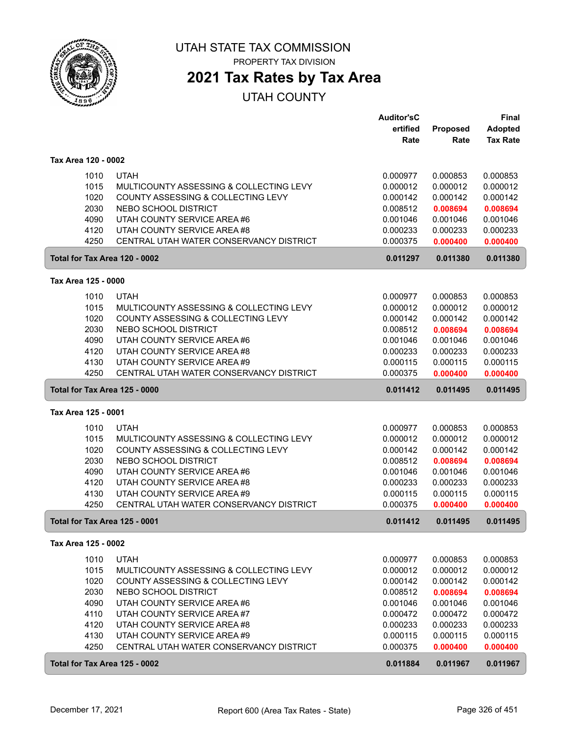

PROPERTY TAX DIVISION

## **2021 Tax Rates by Tax Area**

|                     |      |                                         | <b>Auditor'sC</b> |          | <b>Final</b>    |
|---------------------|------|-----------------------------------------|-------------------|----------|-----------------|
|                     |      |                                         | ertified          | Proposed | <b>Adopted</b>  |
|                     |      |                                         | Rate              | Rate     | <b>Tax Rate</b> |
| Tax Area 120 - 0002 |      |                                         |                   |          |                 |
|                     | 1010 | <b>UTAH</b>                             | 0.000977          | 0.000853 | 0.000853        |
|                     | 1015 | MULTICOUNTY ASSESSING & COLLECTING LEVY | 0.000012          | 0.000012 | 0.000012        |
|                     | 1020 | COUNTY ASSESSING & COLLECTING LEVY      | 0.000142          | 0.000142 | 0.000142        |
|                     | 2030 | NEBO SCHOOL DISTRICT                    | 0.008512          | 0.008694 | 0.008694        |
|                     | 4090 | UTAH COUNTY SERVICE AREA #6             | 0.001046          | 0.001046 | 0.001046        |
|                     | 4120 | UTAH COUNTY SERVICE AREA #8             | 0.000233          | 0.000233 | 0.000233        |
|                     | 4250 | CENTRAL UTAH WATER CONSERVANCY DISTRICT | 0.000375          | 0.000400 | 0.000400        |
|                     |      |                                         |                   |          |                 |
|                     |      | Total for Tax Area 120 - 0002           | 0.011297          | 0.011380 | 0.011380        |
| Tax Area 125 - 0000 |      |                                         |                   |          |                 |
|                     | 1010 | <b>UTAH</b>                             | 0.000977          | 0.000853 | 0.000853        |
|                     | 1015 | MULTICOUNTY ASSESSING & COLLECTING LEVY | 0.000012          | 0.000012 | 0.000012        |
|                     | 1020 | COUNTY ASSESSING & COLLECTING LEVY      | 0.000142          | 0.000142 | 0.000142        |
|                     | 2030 | NEBO SCHOOL DISTRICT                    | 0.008512          | 0.008694 | 0.008694        |
|                     | 4090 | UTAH COUNTY SERVICE AREA #6             | 0.001046          | 0.001046 | 0.001046        |
|                     | 4120 | UTAH COUNTY SERVICE AREA #8             | 0.000233          | 0.000233 | 0.000233        |
|                     | 4130 | UTAH COUNTY SERVICE AREA#9              | 0.000115          | 0.000115 | 0.000115        |
|                     | 4250 | CENTRAL UTAH WATER CONSERVANCY DISTRICT | 0.000375          | 0.000400 | 0.000400        |
|                     |      | Total for Tax Area 125 - 0000           | 0.011412          | 0.011495 | 0.011495        |
| Tax Area 125 - 0001 |      |                                         |                   |          |                 |
|                     | 1010 | <b>UTAH</b>                             | 0.000977          | 0.000853 | 0.000853        |
|                     | 1015 | MULTICOUNTY ASSESSING & COLLECTING LEVY | 0.000012          | 0.000012 | 0.000012        |
|                     | 1020 | COUNTY ASSESSING & COLLECTING LEVY      | 0.000142          | 0.000142 | 0.000142        |
|                     | 2030 | NEBO SCHOOL DISTRICT                    | 0.008512          | 0.008694 | 0.008694        |
|                     | 4090 | UTAH COUNTY SERVICE AREA #6             | 0.001046          | 0.001046 | 0.001046        |
|                     | 4120 | UTAH COUNTY SERVICE AREA #8             | 0.000233          | 0.000233 | 0.000233        |
|                     | 4130 | UTAH COUNTY SERVICE AREA #9             | 0.000115          | 0.000115 | 0.000115        |
|                     | 4250 | CENTRAL UTAH WATER CONSERVANCY DISTRICT | 0.000375          | 0.000400 | 0.000400        |
|                     |      | Total for Tax Area 125 - 0001           | 0.011412          | 0.011495 | 0.011495        |
| Tax Area 125 - 0002 |      |                                         |                   |          |                 |
|                     | 1010 | <b>UTAH</b>                             | 0.000977          | 0.000853 | 0.000853        |
|                     | 1015 | MULTICOUNTY ASSESSING & COLLECTING LEVY | 0.000012          | 0.000012 | 0.000012        |
|                     | 1020 | COUNTY ASSESSING & COLLECTING LEVY      | 0.000142          | 0.000142 | 0.000142        |
|                     | 2030 | NEBO SCHOOL DISTRICT                    | 0.008512          | 0.008694 | 0.008694        |
|                     | 4090 | UTAH COUNTY SERVICE AREA#6              | 0.001046          | 0.001046 | 0.001046        |
|                     | 4110 | UTAH COUNTY SERVICE AREA #7             | 0.000472          | 0.000472 | 0.000472        |
|                     | 4120 | UTAH COUNTY SERVICE AREA #8             | 0.000233          | 0.000233 | 0.000233        |
|                     | 4130 | UTAH COUNTY SERVICE AREA #9             | 0.000115          | 0.000115 | 0.000115        |
|                     | 4250 | CENTRAL UTAH WATER CONSERVANCY DISTRICT | 0.000375          | 0.000400 | 0.000400        |
|                     |      | Total for Tax Area 125 - 0002           | 0.011884          | 0.011967 | 0.011967        |
|                     |      |                                         |                   |          |                 |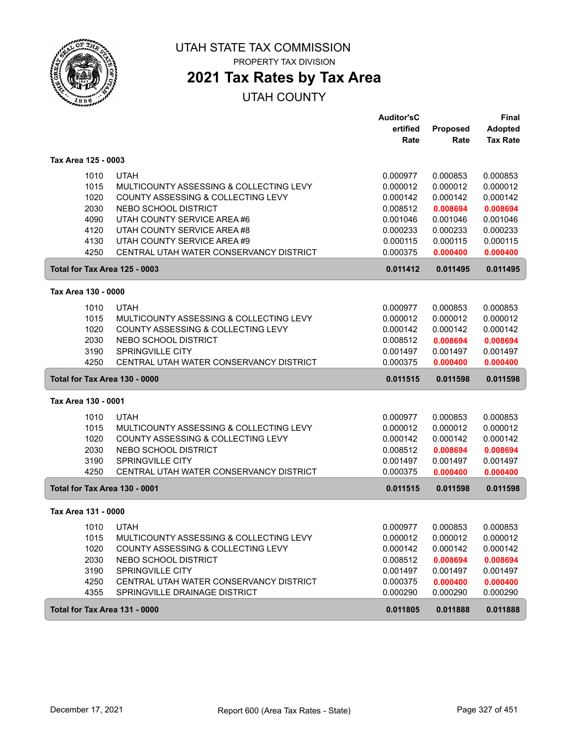

PROPERTY TAX DIVISION

## **2021 Tax Rates by Tax Area**

|                               |                                         | <b>Auditor'sC</b> |          | Final           |
|-------------------------------|-----------------------------------------|-------------------|----------|-----------------|
|                               |                                         | ertified          | Proposed | <b>Adopted</b>  |
|                               |                                         | Rate              | Rate     | <b>Tax Rate</b> |
| Tax Area 125 - 0003           |                                         |                   |          |                 |
| 1010                          | <b>UTAH</b>                             | 0.000977          | 0.000853 | 0.000853        |
| 1015                          | MULTICOUNTY ASSESSING & COLLECTING LEVY | 0.000012          | 0.000012 | 0.000012        |
| 1020                          | COUNTY ASSESSING & COLLECTING LEVY      | 0.000142          | 0.000142 | 0.000142        |
| 2030                          | NEBO SCHOOL DISTRICT                    | 0.008512          | 0.008694 | 0.008694        |
| 4090                          | UTAH COUNTY SERVICE AREA #6             | 0.001046          | 0.001046 | 0.001046        |
| 4120                          | UTAH COUNTY SERVICE AREA #8             | 0.000233          | 0.000233 | 0.000233        |
| 4130                          | UTAH COUNTY SERVICE AREA #9             | 0.000115          | 0.000115 | 0.000115        |
| 4250                          | CENTRAL UTAH WATER CONSERVANCY DISTRICT | 0.000375          | 0.000400 | 0.000400        |
| Total for Tax Area 125 - 0003 |                                         | 0.011412          | 0.011495 | 0.011495        |
| Tax Area 130 - 0000           |                                         |                   |          |                 |
| 1010                          | <b>UTAH</b>                             | 0.000977          | 0.000853 | 0.000853        |
| 1015                          | MULTICOUNTY ASSESSING & COLLECTING LEVY | 0.000012          | 0.000012 | 0.000012        |
| 1020                          | COUNTY ASSESSING & COLLECTING LEVY      | 0.000142          | 0.000142 | 0.000142        |
| 2030                          | NEBO SCHOOL DISTRICT                    | 0.008512          | 0.008694 | 0.008694        |
| 3190                          | SPRINGVILLE CITY                        | 0.001497          | 0.001497 | 0.001497        |
| 4250                          | CENTRAL UTAH WATER CONSERVANCY DISTRICT | 0.000375          | 0.000400 | 0.000400        |
| Total for Tax Area 130 - 0000 |                                         | 0.011515          | 0.011598 | 0.011598        |
| Tax Area 130 - 0001           |                                         |                   |          |                 |
| 1010                          | <b>UTAH</b>                             | 0.000977          | 0.000853 | 0.000853        |
| 1015                          | MULTICOUNTY ASSESSING & COLLECTING LEVY | 0.000012          | 0.000012 | 0.000012        |
| 1020                          | COUNTY ASSESSING & COLLECTING LEVY      | 0.000142          | 0.000142 | 0.000142        |
| 2030                          | NEBO SCHOOL DISTRICT                    | 0.008512          | 0.008694 | 0.008694        |
| 3190                          | SPRINGVILLE CITY                        | 0.001497          | 0.001497 | 0.001497        |
| 4250                          | CENTRAL UTAH WATER CONSERVANCY DISTRICT | 0.000375          | 0.000400 | 0.000400        |
| Total for Tax Area 130 - 0001 |                                         | 0.011515          | 0.011598 | 0.011598        |
| Tax Area 131 - 0000           |                                         |                   |          |                 |
| 1010                          | <b>UTAH</b>                             | 0.000977          | 0.000853 | 0.000853        |
| 1015                          | MULTICOUNTY ASSESSING & COLLECTING LEVY | 0.000012          | 0.000012 | 0.000012        |
| 1020                          | COUNTY ASSESSING & COLLECTING LEVY      | 0.000142          | 0.000142 | 0.000142        |
| 2030                          | NEBO SCHOOL DISTRICT                    | 0.008512          | 0.008694 | 0.008694        |
| 3190                          | SPRINGVILLE CITY                        | 0.001497          | 0.001497 | 0.001497        |
| 4250                          | CENTRAL UTAH WATER CONSERVANCY DISTRICT | 0.000375          | 0.000400 | 0.000400        |
| 4355                          | SPRINGVILLE DRAINAGE DISTRICT           | 0.000290          | 0.000290 | 0.000290        |
| Total for Tax Area 131 - 0000 |                                         | 0.011805          | 0.011888 | 0.011888        |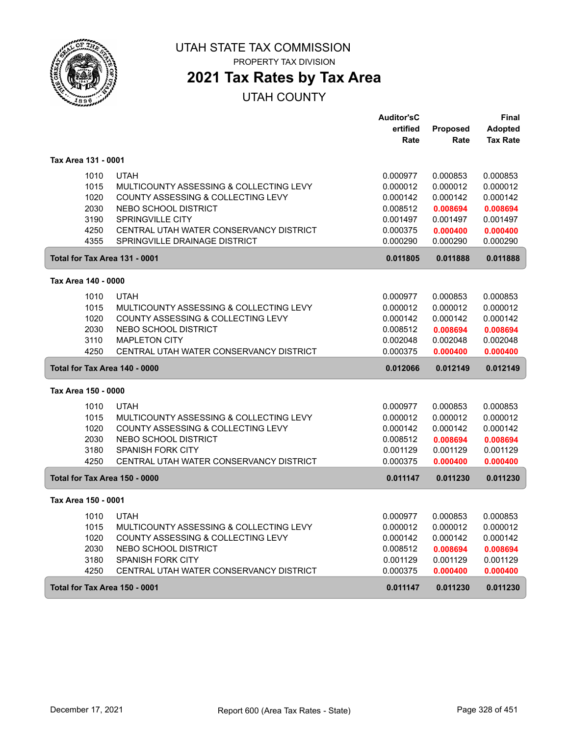

PROPERTY TAX DIVISION

## **2021 Tax Rates by Tax Area**

|                               |      |                                         | <b>Auditor'sC</b> |                 | Final           |
|-------------------------------|------|-----------------------------------------|-------------------|-----------------|-----------------|
|                               |      |                                         | ertified          | <b>Proposed</b> | <b>Adopted</b>  |
|                               |      |                                         | Rate              | Rate            | <b>Tax Rate</b> |
| Tax Area 131 - 0001           |      |                                         |                   |                 |                 |
|                               | 1010 | <b>UTAH</b>                             | 0.000977          | 0.000853        | 0.000853        |
|                               | 1015 | MULTICOUNTY ASSESSING & COLLECTING LEVY | 0.000012          | 0.000012        | 0.000012        |
|                               | 1020 | COUNTY ASSESSING & COLLECTING LEVY      | 0.000142          | 0.000142        | 0.000142        |
|                               | 2030 | NEBO SCHOOL DISTRICT                    | 0.008512          | 0.008694        | 0.008694        |
|                               | 3190 | SPRINGVILLE CITY                        | 0.001497          | 0.001497        | 0.001497        |
|                               | 4250 | CENTRAL UTAH WATER CONSERVANCY DISTRICT | 0.000375          | 0.000400        | 0.000400        |
|                               | 4355 | SPRINGVILLE DRAINAGE DISTRICT           | 0.000290          | 0.000290        | 0.000290        |
|                               |      | Total for Tax Area 131 - 0001           | 0.011805          | 0.011888        | 0.011888        |
| Tax Area 140 - 0000           |      |                                         |                   |                 |                 |
|                               | 1010 | <b>UTAH</b>                             | 0.000977          | 0.000853        | 0.000853        |
|                               | 1015 | MULTICOUNTY ASSESSING & COLLECTING LEVY | 0.000012          | 0.000012        | 0.000012        |
|                               | 1020 | COUNTY ASSESSING & COLLECTING LEVY      | 0.000142          | 0.000142        | 0.000142        |
|                               | 2030 | NEBO SCHOOL DISTRICT                    | 0.008512          | 0.008694        | 0.008694        |
|                               | 3110 | <b>MAPLETON CITY</b>                    | 0.002048          | 0.002048        | 0.002048        |
|                               | 4250 | CENTRAL UTAH WATER CONSERVANCY DISTRICT | 0.000375          | 0.000400        | 0.000400        |
|                               |      | Total for Tax Area 140 - 0000           | 0.012066          | 0.012149        | 0.012149        |
| Tax Area 150 - 0000           |      |                                         |                   |                 |                 |
|                               | 1010 | <b>UTAH</b>                             | 0.000977          | 0.000853        | 0.000853        |
|                               | 1015 | MULTICOUNTY ASSESSING & COLLECTING LEVY | 0.000012          | 0.000012        | 0.000012        |
|                               | 1020 | COUNTY ASSESSING & COLLECTING LEVY      | 0.000142          | 0.000142        | 0.000142        |
|                               | 2030 | NEBO SCHOOL DISTRICT                    | 0.008512          | 0.008694        | 0.008694        |
|                               | 3180 | SPANISH FORK CITY                       | 0.001129          | 0.001129        | 0.001129        |
|                               | 4250 | CENTRAL UTAH WATER CONSERVANCY DISTRICT | 0.000375          | 0.000400        | 0.000400        |
|                               |      | Total for Tax Area 150 - 0000           | 0.011147          | 0.011230        | 0.011230        |
| Tax Area 150 - 0001           |      |                                         |                   |                 |                 |
|                               | 1010 | <b>UTAH</b>                             | 0.000977          | 0.000853        | 0.000853        |
|                               | 1015 | MULTICOUNTY ASSESSING & COLLECTING LEVY | 0.000012          | 0.000012        | 0.000012        |
|                               | 1020 | COUNTY ASSESSING & COLLECTING LEVY      | 0.000142          | 0.000142        | 0.000142        |
|                               | 2030 | NEBO SCHOOL DISTRICT                    | 0.008512          | 0.008694        | 0.008694        |
|                               | 3180 | <b>SPANISH FORK CITY</b>                | 0.001129          | 0.001129        | 0.001129        |
|                               | 4250 | CENTRAL UTAH WATER CONSERVANCY DISTRICT | 0.000375          | 0.000400        | 0.000400        |
| Total for Tax Area 150 - 0001 |      |                                         | 0.011147          |                 |                 |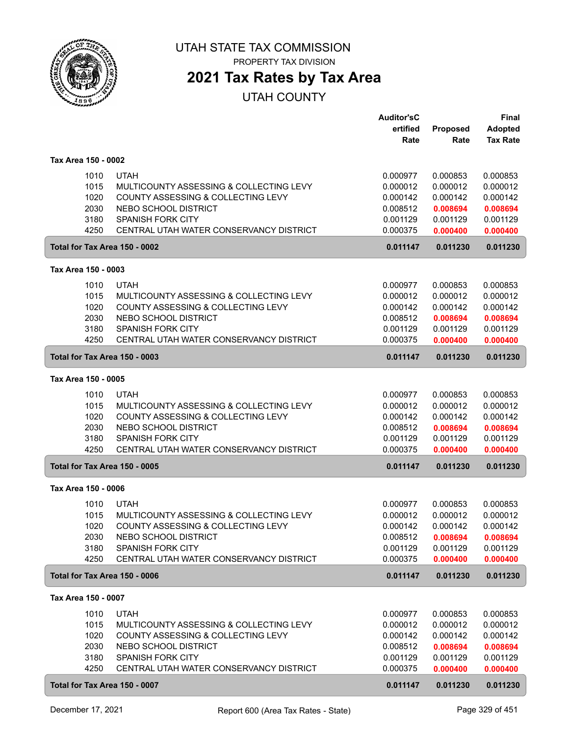

**2021 Tax Rates by Tax Area**

|                               |                                         | <b>Auditor'sC</b> |          | <b>Final</b>    |
|-------------------------------|-----------------------------------------|-------------------|----------|-----------------|
|                               |                                         | ertified          | Proposed | <b>Adopted</b>  |
|                               |                                         | Rate              | Rate     | <b>Tax Rate</b> |
| Tax Area 150 - 0002           |                                         |                   |          |                 |
| 1010                          | <b>UTAH</b>                             | 0.000977          | 0.000853 | 0.000853        |
| 1015                          | MULTICOUNTY ASSESSING & COLLECTING LEVY | 0.000012          | 0.000012 | 0.000012        |
| 1020                          | COUNTY ASSESSING & COLLECTING LEVY      | 0.000142          | 0.000142 | 0.000142        |
| 2030                          | NEBO SCHOOL DISTRICT                    | 0.008512          | 0.008694 | 0.008694        |
| 3180                          | <b>SPANISH FORK CITY</b>                | 0.001129          | 0.001129 | 0.001129        |
| 4250                          | CENTRAL UTAH WATER CONSERVANCY DISTRICT | 0.000375          | 0.000400 | 0.000400        |
| Total for Tax Area 150 - 0002 |                                         | 0.011147          | 0.011230 | 0.011230        |
| Tax Area 150 - 0003           |                                         |                   |          |                 |
| 1010                          | <b>UTAH</b>                             | 0.000977          | 0.000853 | 0.000853        |
| 1015                          | MULTICOUNTY ASSESSING & COLLECTING LEVY | 0.000012          | 0.000012 | 0.000012        |
| 1020                          | COUNTY ASSESSING & COLLECTING LEVY      | 0.000142          | 0.000142 | 0.000142        |
| 2030                          | NEBO SCHOOL DISTRICT                    | 0.008512          | 0.008694 | 0.008694        |
| 3180                          | <b>SPANISH FORK CITY</b>                | 0.001129          | 0.001129 | 0.001129        |
| 4250                          | CENTRAL UTAH WATER CONSERVANCY DISTRICT | 0.000375          | 0.000400 | 0.000400        |
| Total for Tax Area 150 - 0003 |                                         | 0.011147          | 0.011230 | 0.011230        |
| Tax Area 150 - 0005           |                                         |                   |          |                 |
| 1010                          | <b>UTAH</b>                             | 0.000977          | 0.000853 | 0.000853        |
| 1015                          | MULTICOUNTY ASSESSING & COLLECTING LEVY | 0.000012          | 0.000012 | 0.000012        |
| 1020                          | COUNTY ASSESSING & COLLECTING LEVY      | 0.000142          | 0.000142 | 0.000142        |
| 2030                          | NEBO SCHOOL DISTRICT                    | 0.008512          | 0.008694 | 0.008694        |
| 3180                          | <b>SPANISH FORK CITY</b>                | 0.001129          | 0.001129 | 0.001129        |
| 4250                          | CENTRAL UTAH WATER CONSERVANCY DISTRICT | 0.000375          | 0.000400 | 0.000400        |
| Total for Tax Area 150 - 0005 |                                         | 0.011147          | 0.011230 | 0.011230        |
| Tax Area 150 - 0006           |                                         |                   |          |                 |
| 1010                          | <b>UTAH</b>                             | 0.000977          | 0.000853 | 0.000853        |
| 1015                          | MULTICOUNTY ASSESSING & COLLECTING LEVY | 0.000012          | 0.000012 | 0.000012        |
| 1020                          | COUNTY ASSESSING & COLLECTING LEVY      | 0.000142          | 0.000142 | 0.000142        |
| 2030                          | NEBO SCHOOL DISTRICT                    | 0.008512          | 0.008694 | 0.008694        |
| 3180                          | SPANISH FORK CITY                       | 0.001129          | 0.001129 | 0.001129        |
| 4250                          | CENTRAL UTAH WATER CONSERVANCY DISTRICT | 0.000375          | 0.000400 | 0.000400        |
| Total for Tax Area 150 - 0006 |                                         | 0.011147          | 0.011230 | 0.011230        |
| Tax Area 150 - 0007           |                                         |                   |          |                 |
| 1010                          | <b>UTAH</b>                             | 0.000977          | 0.000853 | 0.000853        |
| 1015                          | MULTICOUNTY ASSESSING & COLLECTING LEVY | 0.000012          | 0.000012 | 0.000012        |
| 1020                          | COUNTY ASSESSING & COLLECTING LEVY      | 0.000142          | 0.000142 | 0.000142        |
| 2030                          | NEBO SCHOOL DISTRICT                    | 0.008512          | 0.008694 | 0.008694        |
| 3180                          | SPANISH FORK CITY                       | 0.001129          | 0.001129 | 0.001129        |
| 4250                          | CENTRAL UTAH WATER CONSERVANCY DISTRICT | 0.000375          | 0.000400 | 0.000400        |
| Total for Tax Area 150 - 0007 |                                         | 0.011147          | 0.011230 | 0.011230        |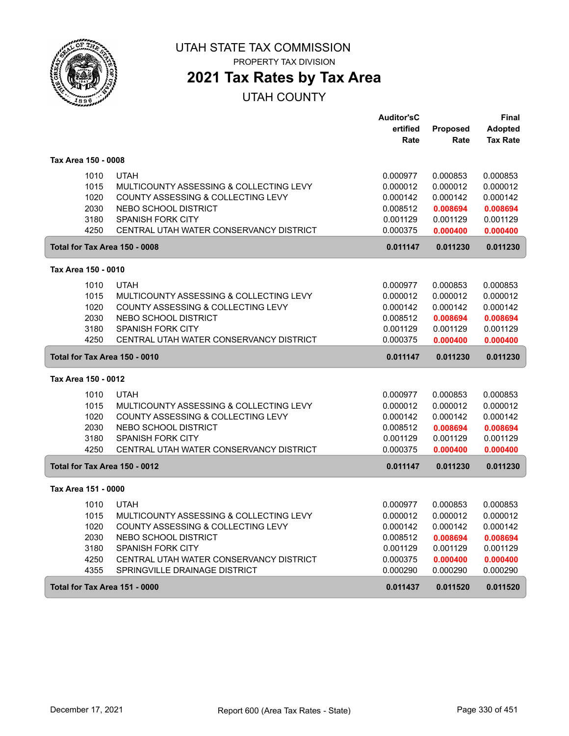

**2021 Tax Rates by Tax Area**

|                               |                                         | <b>Auditor'sC</b> |                 | Final           |
|-------------------------------|-----------------------------------------|-------------------|-----------------|-----------------|
|                               |                                         | ertified          | <b>Proposed</b> | <b>Adopted</b>  |
|                               |                                         | Rate              | Rate            | <b>Tax Rate</b> |
| Tax Area 150 - 0008           |                                         |                   |                 |                 |
| 1010                          | <b>UTAH</b>                             | 0.000977          | 0.000853        | 0.000853        |
| 1015                          | MULTICOUNTY ASSESSING & COLLECTING LEVY | 0.000012          | 0.000012        | 0.000012        |
| 1020                          | COUNTY ASSESSING & COLLECTING LEVY      | 0.000142          | 0.000142        | 0.000142        |
| 2030                          | NEBO SCHOOL DISTRICT                    | 0.008512          | 0.008694        | 0.008694        |
| 3180                          | SPANISH FORK CITY                       | 0.001129          | 0.001129        | 0.001129        |
| 4250                          | CENTRAL UTAH WATER CONSERVANCY DISTRICT | 0.000375          | 0.000400        | 0.000400        |
| Total for Tax Area 150 - 0008 |                                         | 0.011147          | 0.011230        | 0.011230        |
| Tax Area 150 - 0010           |                                         |                   |                 |                 |
| 1010                          | <b>UTAH</b>                             | 0.000977          | 0.000853        | 0.000853        |
| 1015                          | MULTICOUNTY ASSESSING & COLLECTING LEVY | 0.000012          | 0.000012        | 0.000012        |
| 1020                          | COUNTY ASSESSING & COLLECTING LEVY      | 0.000142          | 0.000142        | 0.000142        |
| 2030                          | NEBO SCHOOL DISTRICT                    | 0.008512          | 0.008694        | 0.008694        |
| 3180                          | <b>SPANISH FORK CITY</b>                | 0.001129          | 0.001129        | 0.001129        |
| 4250                          | CENTRAL UTAH WATER CONSERVANCY DISTRICT | 0.000375          | 0.000400        | 0.000400        |
| Total for Tax Area 150 - 0010 |                                         | 0.011147          | 0.011230        | 0.011230        |
| Tax Area 150 - 0012           |                                         |                   |                 |                 |
| 1010                          | <b>UTAH</b>                             | 0.000977          | 0.000853        | 0.000853        |
| 1015                          | MULTICOUNTY ASSESSING & COLLECTING LEVY | 0.000012          | 0.000012        | 0.000012        |
| 1020                          | COUNTY ASSESSING & COLLECTING LEVY      | 0.000142          | 0.000142        | 0.000142        |
| 2030                          | <b>NEBO SCHOOL DISTRICT</b>             | 0.008512          | 0.008694        | 0.008694        |
| 3180                          | <b>SPANISH FORK CITY</b>                | 0.001129          | 0.001129        | 0.001129        |
| 4250                          | CENTRAL UTAH WATER CONSERVANCY DISTRICT | 0.000375          | 0.000400        | 0.000400        |
| Total for Tax Area 150 - 0012 |                                         | 0.011147          | 0.011230        | 0.011230        |
| Tax Area 151 - 0000           |                                         |                   |                 |                 |
| 1010                          | <b>UTAH</b>                             | 0.000977          | 0.000853        | 0.000853        |
| 1015                          | MULTICOUNTY ASSESSING & COLLECTING LEVY | 0.000012          | 0.000012        | 0.000012        |
| 1020                          | COUNTY ASSESSING & COLLECTING LEVY      | 0.000142          | 0.000142        | 0.000142        |
| 2030                          | NEBO SCHOOL DISTRICT                    | 0.008512          | 0.008694        | 0.008694        |
| 3180                          | <b>SPANISH FORK CITY</b>                | 0.001129          | 0.001129        | 0.001129        |
| 4250                          | CENTRAL UTAH WATER CONSERVANCY DISTRICT | 0.000375          | 0.000400        | 0.000400        |
| 4355                          | SPRINGVILLE DRAINAGE DISTRICT           | 0.000290          | 0.000290        | 0.000290        |
| Total for Tax Area 151 - 0000 |                                         | 0.011437          | 0.011520        | 0.011520        |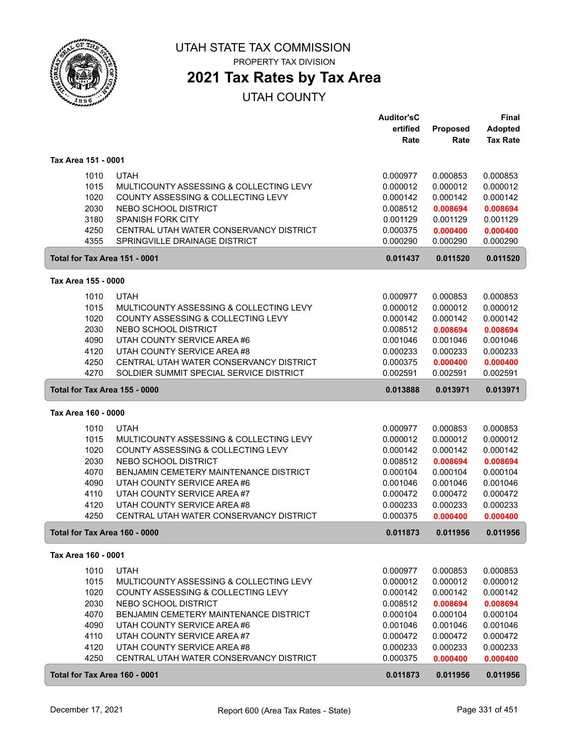

PROPERTY TAX DIVISION

## **2021 Tax Rates by Tax Area**

|                     |                                                                                        | <b>Auditor'sC</b>    |                      | Final                             |
|---------------------|----------------------------------------------------------------------------------------|----------------------|----------------------|-----------------------------------|
|                     |                                                                                        | ertified<br>Rate     | Proposed<br>Rate     | <b>Adopted</b><br><b>Tax Rate</b> |
| Tax Area 151 - 0001 |                                                                                        |                      |                      |                                   |
|                     | <b>UTAH</b><br>1010                                                                    | 0.000977             | 0.000853             | 0.000853                          |
|                     | 1015<br>MULTICOUNTY ASSESSING & COLLECTING LEVY                                        | 0.000012             | 0.000012             | 0.000012                          |
|                     | 1020<br>COUNTY ASSESSING & COLLECTING LEVY                                             | 0.000142             | 0.000142             | 0.000142                          |
|                     | 2030<br>NEBO SCHOOL DISTRICT                                                           | 0.008512             | 0.008694             | 0.008694                          |
|                     | 3180<br><b>SPANISH FORK CITY</b>                                                       | 0.001129             | 0.001129             | 0.001129                          |
|                     | 4250<br>CENTRAL UTAH WATER CONSERVANCY DISTRICT                                        | 0.000375             | 0.000400             | 0.000400                          |
|                     | 4355<br>SPRINGVILLE DRAINAGE DISTRICT                                                  | 0.000290             | 0.000290             | 0.000290                          |
|                     | Total for Tax Area 151 - 0001                                                          | 0.011437             | 0.011520             | 0.011520                          |
| Tax Area 155 - 0000 |                                                                                        |                      |                      |                                   |
|                     | <b>UTAH</b><br>1010                                                                    | 0.000977             | 0.000853             | 0.000853                          |
|                     | 1015<br>MULTICOUNTY ASSESSING & COLLECTING LEVY                                        | 0.000012             | 0.000012             | 0.000012                          |
|                     | 1020<br>COUNTY ASSESSING & COLLECTING LEVY                                             | 0.000142             | 0.000142             | 0.000142                          |
|                     | 2030<br>NEBO SCHOOL DISTRICT                                                           | 0.008512             | 0.008694             | 0.008694                          |
|                     | 4090<br>UTAH COUNTY SERVICE AREA #6                                                    | 0.001046             | 0.001046             | 0.001046                          |
|                     | 4120<br>UTAH COUNTY SERVICE AREA#8                                                     | 0.000233             | 0.000233             | 0.000233                          |
|                     | 4250<br>CENTRAL UTAH WATER CONSERVANCY DISTRICT                                        | 0.000375             | 0.000400             | 0.000400                          |
|                     | 4270<br>SOLDIER SUMMIT SPECIAL SERVICE DISTRICT                                        | 0.002591             | 0.002591             | 0.002591                          |
|                     | Total for Tax Area 155 - 0000                                                          | 0.013888             | 0.013971             | 0.013971                          |
| Tax Area 160 - 0000 |                                                                                        |                      |                      |                                   |
|                     | <b>UTAH</b><br>1010                                                                    | 0.000977             | 0.000853             | 0.000853                          |
|                     | 1015<br>MULTICOUNTY ASSESSING & COLLECTING LEVY                                        | 0.000012             | 0.000012             | 0.000012                          |
|                     | 1020<br>COUNTY ASSESSING & COLLECTING LEVY                                             | 0.000142             | 0.000142             | 0.000142                          |
|                     | 2030<br>NEBO SCHOOL DISTRICT                                                           | 0.008512             | 0.008694             | 0.008694                          |
|                     | 4070<br>BENJAMIN CEMETERY MAINTENANCE DISTRICT                                         | 0.000104             | 0.000104             | 0.000104                          |
|                     | 4090<br>UTAH COUNTY SERVICE AREA #6                                                    | 0.001046             | 0.001046             | 0.001046                          |
|                     | 4110<br>UTAH COUNTY SERVICE AREA #7                                                    | 0.000472             | 0.000472             | 0.000472                          |
|                     | UTAH COUNTY SERVICE AREA #8<br>4120<br>4250<br>CENTRAL UTAH WATER CONSERVANCY DISTRICT | 0.000233             | 0.000233             | 0.000233                          |
|                     |                                                                                        | 0.000375             | 0.000400             | 0.000400                          |
|                     | Total for Tax Area 160 - 0000                                                          | 0.011873             | 0.011956             | 0.011956                          |
| Tax Area 160 - 0001 |                                                                                        |                      |                      |                                   |
|                     | 1010<br><b>UTAH</b>                                                                    | 0.000977             | 0.000853             | 0.000853                          |
|                     | 1015<br>MULTICOUNTY ASSESSING & COLLECTING LEVY                                        | 0.000012             | 0.000012             | 0.000012                          |
|                     | 1020<br>COUNTY ASSESSING & COLLECTING LEVY                                             | 0.000142             | 0.000142             | 0.000142                          |
|                     | 2030<br>NEBO SCHOOL DISTRICT                                                           | 0.008512             | 0.008694             | 0.008694<br>0.000104              |
|                     | 4070<br>BENJAMIN CEMETERY MAINTENANCE DISTRICT<br>4090<br>UTAH COUNTY SERVICE AREA #6  | 0.000104<br>0.001046 | 0.000104<br>0.001046 | 0.001046                          |
|                     | 4110<br>UTAH COUNTY SERVICE AREA #7                                                    | 0.000472             | 0.000472             | 0.000472                          |
|                     | 4120<br>UTAH COUNTY SERVICE AREA #8                                                    | 0.000233             | 0.000233             | 0.000233                          |
|                     | 4250<br>CENTRAL UTAH WATER CONSERVANCY DISTRICT                                        | 0.000375             | 0.000400             | 0.000400                          |
|                     | Total for Tax Area 160 - 0001                                                          | 0.011873             | 0.011956             | 0.011956                          |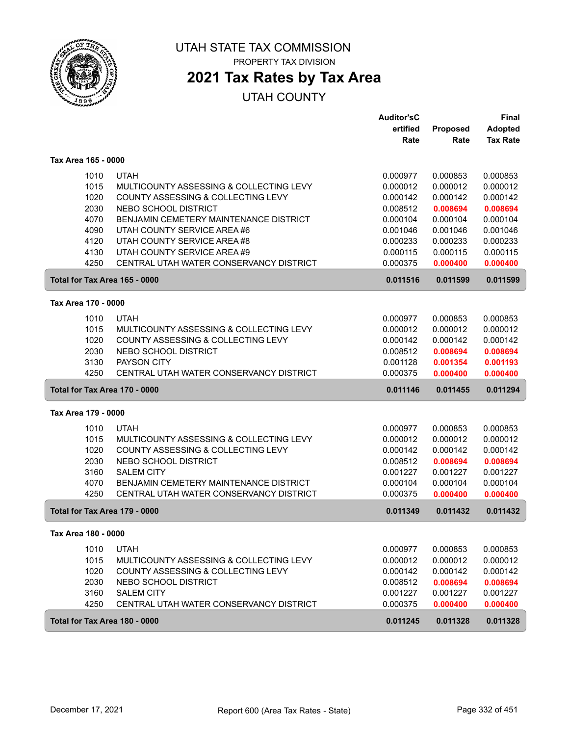

## **2021 Tax Rates by Tax Area**

|                               |                                               | <b>Auditor'sC</b> |          | <b>Final</b>    |
|-------------------------------|-----------------------------------------------|-------------------|----------|-----------------|
|                               |                                               | ertified          | Proposed | <b>Adopted</b>  |
|                               |                                               | Rate              | Rate     | <b>Tax Rate</b> |
| Tax Area 165 - 0000           |                                               |                   |          |                 |
| 1010                          | <b>UTAH</b>                                   | 0.000977          | 0.000853 | 0.000853        |
| 1015                          | MULTICOUNTY ASSESSING & COLLECTING LEVY       | 0.000012          | 0.000012 | 0.000012        |
| 1020                          | COUNTY ASSESSING & COLLECTING LEVY            | 0.000142          | 0.000142 | 0.000142        |
| 2030                          | NEBO SCHOOL DISTRICT                          | 0.008512          | 0.008694 | 0.008694        |
| 4070                          | BENJAMIN CEMETERY MAINTENANCE DISTRICT        | 0.000104          | 0.000104 | 0.000104        |
| 4090                          | UTAH COUNTY SERVICE AREA #6                   | 0.001046          | 0.001046 | 0.001046        |
| 4120                          | UTAH COUNTY SERVICE AREA #8                   | 0.000233          | 0.000233 | 0.000233        |
| 4130                          | UTAH COUNTY SERVICE AREA #9                   | 0.000115          | 0.000115 | 0.000115        |
| 4250                          | CENTRAL UTAH WATER CONSERVANCY DISTRICT       | 0.000375          | 0.000400 | 0.000400        |
| Total for Tax Area 165 - 0000 |                                               | 0.011516          | 0.011599 | 0.011599        |
| Tax Area 170 - 0000           |                                               |                   |          |                 |
| 1010                          | <b>UTAH</b>                                   | 0.000977          | 0.000853 | 0.000853        |
| 1015                          | MULTICOUNTY ASSESSING & COLLECTING LEVY       | 0.000012          | 0.000012 | 0.000012        |
| 1020                          | COUNTY ASSESSING & COLLECTING LEVY            | 0.000142          | 0.000142 | 0.000142        |
| 2030                          | NEBO SCHOOL DISTRICT                          | 0.008512          | 0.008694 | 0.008694        |
| 3130                          | <b>PAYSON CITY</b>                            | 0.001128          | 0.001354 | 0.001193        |
| 4250                          | CENTRAL UTAH WATER CONSERVANCY DISTRICT       | 0.000375          | 0.000400 | 0.000400        |
| Total for Tax Area 170 - 0000 |                                               | 0.011146          | 0.011455 | 0.011294        |
| Tax Area 179 - 0000           |                                               |                   |          |                 |
| 1010                          | <b>UTAH</b>                                   | 0.000977          | 0.000853 | 0.000853        |
| 1015                          | MULTICOUNTY ASSESSING & COLLECTING LEVY       | 0.000012          | 0.000012 | 0.000012        |
| 1020                          | COUNTY ASSESSING & COLLECTING LEVY            | 0.000142          | 0.000142 | 0.000142        |
| 2030                          | NEBO SCHOOL DISTRICT                          | 0.008512          | 0.008694 | 0.008694        |
| 3160                          | <b>SALEM CITY</b>                             | 0.001227          | 0.001227 | 0.001227        |
| 4070                          | <b>BENJAMIN CEMETERY MAINTENANCE DISTRICT</b> | 0.000104          | 0.000104 | 0.000104        |
| 4250                          | CENTRAL UTAH WATER CONSERVANCY DISTRICT       | 0.000375          | 0.000400 | 0.000400        |
| Total for Tax Area 179 - 0000 |                                               | 0.011349          | 0.011432 | 0.011432        |
| Tax Area 180 - 0000           |                                               |                   |          |                 |
| 1010                          | <b>UTAH</b>                                   | 0.000977          | 0.000853 | 0.000853        |
| 1015                          | MULTICOUNTY ASSESSING & COLLECTING LEVY       | 0.000012          | 0.000012 | 0.000012        |
| 1020                          | COUNTY ASSESSING & COLLECTING LEVY            | 0.000142          | 0.000142 | 0.000142        |
| 2030                          | NEBO SCHOOL DISTRICT                          | 0.008512          | 0.008694 | 0.008694        |
| 3160                          | <b>SALEM CITY</b>                             | 0.001227          | 0.001227 | 0.001227        |
| 4250                          | CENTRAL UTAH WATER CONSERVANCY DISTRICT       | 0.000375          | 0.000400 | 0.000400        |
| Total for Tax Area 180 - 0000 |                                               | 0.011245          | 0.011328 | 0.011328        |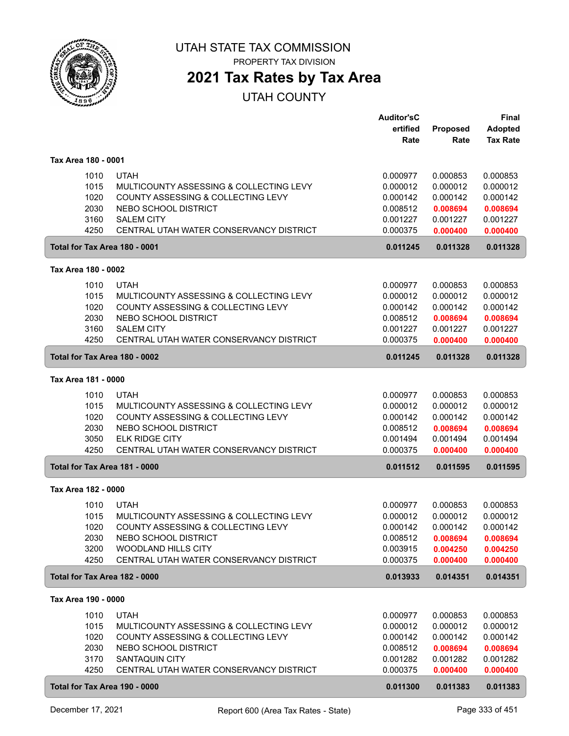

## **2021 Tax Rates by Tax Area**

|                     |                                                                          | <b>Auditor'sC</b><br>ertified | Proposed             | <b>Final</b><br><b>Adopted</b> |
|---------------------|--------------------------------------------------------------------------|-------------------------------|----------------------|--------------------------------|
|                     |                                                                          | Rate                          | Rate                 | <b>Tax Rate</b>                |
| Tax Area 180 - 0001 |                                                                          |                               |                      |                                |
| 1010                | <b>UTAH</b>                                                              | 0.000977                      | 0.000853             | 0.000853                       |
| 1015                | MULTICOUNTY ASSESSING & COLLECTING LEVY                                  | 0.000012                      | 0.000012             | 0.000012                       |
| 1020                | COUNTY ASSESSING & COLLECTING LEVY                                       | 0.000142                      | 0.000142             | 0.000142                       |
| 2030                | NEBO SCHOOL DISTRICT                                                     | 0.008512                      | 0.008694             | 0.008694                       |
| 3160                | <b>SALEM CITY</b>                                                        | 0.001227                      | 0.001227             | 0.001227                       |
| 4250                | CENTRAL UTAH WATER CONSERVANCY DISTRICT                                  | 0.000375                      | 0.000400             | 0.000400                       |
|                     | Total for Tax Area 180 - 0001                                            | 0.011245                      | 0.011328             | 0.011328                       |
| Tax Area 180 - 0002 |                                                                          |                               |                      |                                |
| 1010                | <b>UTAH</b>                                                              | 0.000977                      | 0.000853             | 0.000853                       |
| 1015                | MULTICOUNTY ASSESSING & COLLECTING LEVY                                  | 0.000012                      | 0.000012             | 0.000012                       |
| 1020                | COUNTY ASSESSING & COLLECTING LEVY                                       | 0.000142                      | 0.000142             | 0.000142                       |
| 2030                | NEBO SCHOOL DISTRICT                                                     | 0.008512                      | 0.008694             | 0.008694                       |
| 3160                | <b>SALEM CITY</b>                                                        | 0.001227                      | 0.001227             | 0.001227                       |
| 4250                | CENTRAL UTAH WATER CONSERVANCY DISTRICT                                  | 0.000375                      | 0.000400             | 0.000400                       |
|                     | Total for Tax Area 180 - 0002                                            | 0.011245                      | 0.011328             | 0.011328                       |
| Tax Area 181 - 0000 |                                                                          |                               |                      |                                |
| 1010                | <b>UTAH</b>                                                              | 0.000977                      | 0.000853             | 0.000853                       |
| 1015                | MULTICOUNTY ASSESSING & COLLECTING LEVY                                  | 0.000012                      | 0.000012             | 0.000012                       |
| 1020                | COUNTY ASSESSING & COLLECTING LEVY                                       | 0.000142                      | 0.000142             | 0.000142                       |
| 2030                | NEBO SCHOOL DISTRICT                                                     | 0.008512                      | 0.008694             | 0.008694                       |
| 3050                | <b>ELK RIDGE CITY</b>                                                    | 0.001494                      | 0.001494             | 0.001494                       |
| 4250                | CENTRAL UTAH WATER CONSERVANCY DISTRICT                                  | 0.000375                      | 0.000400             | 0.000400                       |
|                     | Total for Tax Area 181 - 0000                                            | 0.011512                      | 0.011595             | 0.011595                       |
| Tax Area 182 - 0000 |                                                                          |                               |                      |                                |
| 1010                | <b>UTAH</b>                                                              | 0.000977                      | 0.000853             | 0.000853                       |
| 1015                | MULTICOUNTY ASSESSING & COLLECTING LEVY                                  | 0.000012                      | 0.000012             | 0.000012                       |
| 1020                | COUNTY ASSESSING & COLLECTING LEVY                                       | 0.000142                      | 0.000142             | 0.000142                       |
| 2030                | NEBO SCHOOL DISTRICT                                                     | 0.008512                      | 0.008694             | 0.008694                       |
| 3200                | <b>WOODLAND HILLS CITY</b>                                               | 0.003915                      | 0.004250             | 0.004250                       |
| 4250                | CENTRAL UTAH WATER CONSERVANCY DISTRICT<br>Total for Tax Area 182 - 0000 | 0.000375<br>0.013933          | 0.000400<br>0.014351 | 0.000400<br>0.014351           |
|                     |                                                                          |                               |                      |                                |
| Tax Area 190 - 0000 |                                                                          |                               |                      |                                |
| 1010                | <b>UTAH</b>                                                              | 0.000977                      | 0.000853             | 0.000853                       |
| 1015                | MULTICOUNTY ASSESSING & COLLECTING LEVY                                  | 0.000012                      | 0.000012             | 0.000012                       |
| 1020<br>2030        | COUNTY ASSESSING & COLLECTING LEVY<br>NEBO SCHOOL DISTRICT               | 0.000142<br>0.008512          | 0.000142             | 0.000142<br>0.008694           |
| 3170                | SANTAQUIN CITY                                                           | 0.001282                      | 0.008694<br>0.001282 | 0.001282                       |
| 4250                | CENTRAL UTAH WATER CONSERVANCY DISTRICT                                  | 0.000375                      | 0.000400             | 0.000400                       |
|                     |                                                                          |                               |                      |                                |
|                     | Total for Tax Area 190 - 0000                                            | 0.011300                      | 0.011383             | 0.011383                       |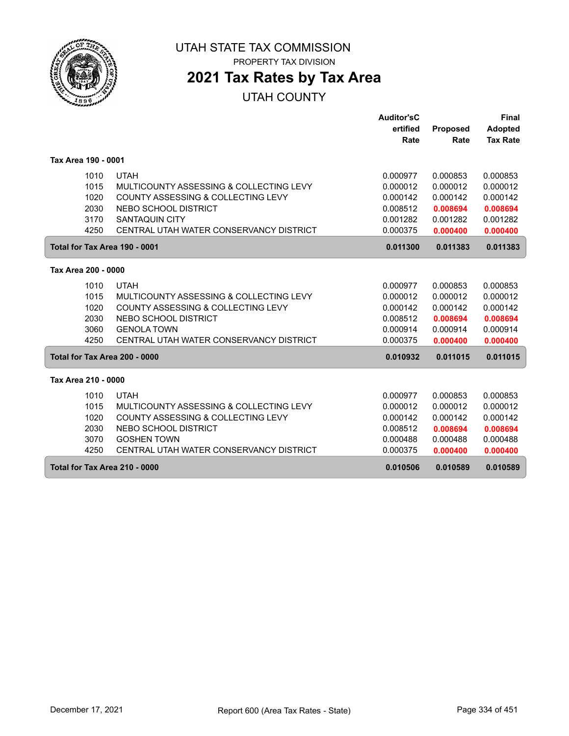

# **2021 Tax Rates by Tax Area**

|                               |                                         | Auditor'sC |                 | <b>Final</b>    |
|-------------------------------|-----------------------------------------|------------|-----------------|-----------------|
|                               |                                         | ertified   | <b>Proposed</b> | <b>Adopted</b>  |
|                               |                                         | Rate       | Rate            | <b>Tax Rate</b> |
| Tax Area 190 - 0001           |                                         |            |                 |                 |
| 1010                          | <b>UTAH</b>                             | 0.000977   | 0.000853        | 0.000853        |
| 1015                          | MULTICOUNTY ASSESSING & COLLECTING LEVY | 0.000012   | 0.000012        | 0.000012        |
| 1020                          | COUNTY ASSESSING & COLLECTING LEVY      | 0.000142   | 0.000142        | 0.000142        |
| 2030                          | NEBO SCHOOL DISTRICT                    | 0.008512   | 0.008694        | 0.008694        |
| 3170                          | SANTAQUIN CITY                          | 0.001282   | 0.001282        | 0.001282        |
| 4250                          | CENTRAL UTAH WATER CONSERVANCY DISTRICT | 0.000375   | 0.000400        | 0.000400        |
| Total for Tax Area 190 - 0001 |                                         | 0.011300   | 0.011383        | 0.011383        |
| Tax Area 200 - 0000           |                                         |            |                 |                 |
| 1010                          | <b>UTAH</b>                             | 0.000977   | 0.000853        | 0.000853        |
| 1015                          | MULTICOUNTY ASSESSING & COLLECTING LEVY | 0.000012   | 0.000012        | 0.000012        |
| 1020                          | COUNTY ASSESSING & COLLECTING LEVY      | 0.000142   | 0.000142        | 0.000142        |
| 2030                          | NEBO SCHOOL DISTRICT                    | 0.008512   | 0.008694        | 0.008694        |
| 3060                          | <b>GENOLA TOWN</b>                      | 0.000914   | 0.000914        | 0.000914        |
| 4250                          | CENTRAL UTAH WATER CONSERVANCY DISTRICT | 0.000375   | 0.000400        | 0.000400        |
| Total for Tax Area 200 - 0000 |                                         | 0.010932   | 0.011015        | 0.011015        |
| Tax Area 210 - 0000           |                                         |            |                 |                 |
| 1010                          | <b>UTAH</b>                             | 0.000977   | 0.000853        | 0.000853        |
| 1015                          | MULTICOUNTY ASSESSING & COLLECTING LEVY | 0.000012   | 0.000012        | 0.000012        |
| 1020                          | COUNTY ASSESSING & COLLECTING LEVY      | 0.000142   | 0.000142        | 0.000142        |
| 2030                          | NEBO SCHOOL DISTRICT                    | 0.008512   | 0.008694        | 0.008694        |
| 3070                          | <b>GOSHEN TOWN</b>                      | 0.000488   | 0.000488        | 0.000488        |
| 4250                          | CENTRAL UTAH WATER CONSERVANCY DISTRICT | 0.000375   | 0.000400        | 0.000400        |
| Total for Tax Area 210 - 0000 |                                         | 0.010506   | 0.010589        | 0.010589        |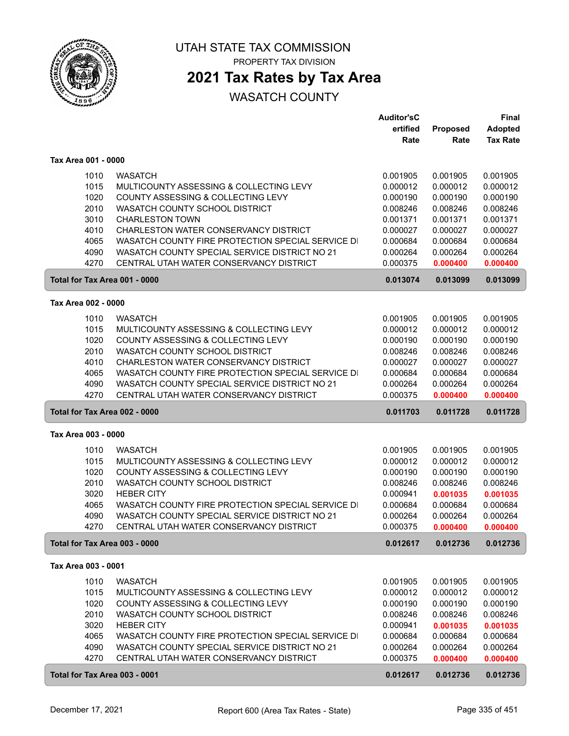

PROPERTY TAX DIVISION

## **2021 Tax Rates by Tax Area**

|                               |                                                   | <b>Auditor'sC</b> |          | Final           |
|-------------------------------|---------------------------------------------------|-------------------|----------|-----------------|
|                               |                                                   | ertified          | Proposed | <b>Adopted</b>  |
|                               |                                                   | Rate              | Rate     | <b>Tax Rate</b> |
|                               |                                                   |                   |          |                 |
| Tax Area 001 - 0000           |                                                   |                   |          |                 |
| 1010                          | <b>WASATCH</b>                                    | 0.001905          | 0.001905 | 0.001905        |
| 1015                          | MULTICOUNTY ASSESSING & COLLECTING LEVY           | 0.000012          | 0.000012 | 0.000012        |
| 1020                          | COUNTY ASSESSING & COLLECTING LEVY                | 0.000190          | 0.000190 | 0.000190        |
| 2010                          | WASATCH COUNTY SCHOOL DISTRICT                    | 0.008246          | 0.008246 | 0.008246        |
| 3010                          | <b>CHARLESTON TOWN</b>                            | 0.001371          | 0.001371 | 0.001371        |
| 4010                          | CHARLESTON WATER CONSERVANCY DISTRICT             | 0.000027          | 0.000027 | 0.000027        |
| 4065                          | WASATCH COUNTY FIRE PROTECTION SPECIAL SERVICE DI | 0.000684          | 0.000684 | 0.000684        |
| 4090                          | WASATCH COUNTY SPECIAL SERVICE DISTRICT NO 21     | 0.000264          | 0.000264 | 0.000264        |
| 4270                          | CENTRAL UTAH WATER CONSERVANCY DISTRICT           | 0.000375          | 0.000400 | 0.000400        |
| Total for Tax Area 001 - 0000 |                                                   | 0.013074          | 0.013099 | 0.013099        |
| Tax Area 002 - 0000           |                                                   |                   |          |                 |
| 1010                          | <b>WASATCH</b>                                    | 0.001905          | 0.001905 | 0.001905        |
| 1015                          | MULTICOUNTY ASSESSING & COLLECTING LEVY           | 0.000012          | 0.000012 | 0.000012        |
| 1020                          | COUNTY ASSESSING & COLLECTING LEVY                | 0.000190          | 0.000190 | 0.000190        |
| 2010                          | WASATCH COUNTY SCHOOL DISTRICT                    | 0.008246          | 0.008246 | 0.008246        |
| 4010                          | CHARLESTON WATER CONSERVANCY DISTRICT             | 0.000027          | 0.000027 | 0.000027        |
| 4065                          | WASATCH COUNTY FIRE PROTECTION SPECIAL SERVICE DI | 0.000684          | 0.000684 | 0.000684        |
| 4090                          | WASATCH COUNTY SPECIAL SERVICE DISTRICT NO 21     | 0.000264          | 0.000264 | 0.000264        |
| 4270                          | CENTRAL UTAH WATER CONSERVANCY DISTRICT           | 0.000375          | 0.000400 | 0.000400        |
|                               |                                                   |                   |          |                 |
| Total for Tax Area 002 - 0000 |                                                   | 0.011703          | 0.011728 | 0.011728        |
| Tax Area 003 - 0000           |                                                   |                   |          |                 |
|                               |                                                   |                   |          |                 |
| 1010                          | <b>WASATCH</b>                                    | 0.001905          | 0.001905 | 0.001905        |
| 1015                          | MULTICOUNTY ASSESSING & COLLECTING LEVY           | 0.000012          | 0.000012 | 0.000012        |
| 1020                          | COUNTY ASSESSING & COLLECTING LEVY                | 0.000190          | 0.000190 | 0.000190        |
| 2010                          | WASATCH COUNTY SCHOOL DISTRICT                    | 0.008246          | 0.008246 | 0.008246        |
| 3020                          | <b>HEBER CITY</b>                                 | 0.000941          | 0.001035 | 0.001035        |
| 4065                          | WASATCH COUNTY FIRE PROTECTION SPECIAL SERVICE DI | 0.000684          | 0.000684 | 0.000684        |
| 4090                          | WASATCH COUNTY SPECIAL SERVICE DISTRICT NO 21     | 0.000264          | 0.000264 | 0.000264        |
| 4270                          | CENTRAL UTAH WATER CONSERVANCY DISTRICT           | 0.000375          | 0.000400 | 0.000400        |
| Total for Tax Area 003 - 0000 |                                                   | 0.012617          | 0.012736 | 0.012736        |
| Tax Area 003 - 0001           |                                                   |                   |          |                 |
| 1010                          | <b>WASATCH</b>                                    | 0.001905          | 0.001905 | 0.001905        |
| 1015                          | MULTICOUNTY ASSESSING & COLLECTING LEVY           | 0.000012          | 0.000012 | 0.000012        |
| 1020                          | COUNTY ASSESSING & COLLECTING LEVY                | 0.000190          | 0.000190 | 0.000190        |
| 2010                          | WASATCH COUNTY SCHOOL DISTRICT                    | 0.008246          | 0.008246 | 0.008246        |
| 3020                          | <b>HEBER CITY</b>                                 | 0.000941          | 0.001035 | 0.001035        |
| 4065                          | WASATCH COUNTY FIRE PROTECTION SPECIAL SERVICE DI | 0.000684          | 0.000684 | 0.000684        |
| 4090                          | WASATCH COUNTY SPECIAL SERVICE DISTRICT NO 21     | 0.000264          | 0.000264 | 0.000264        |
| 4270                          | CENTRAL UTAH WATER CONSERVANCY DISTRICT           | 0.000375          | 0.000400 | 0.000400        |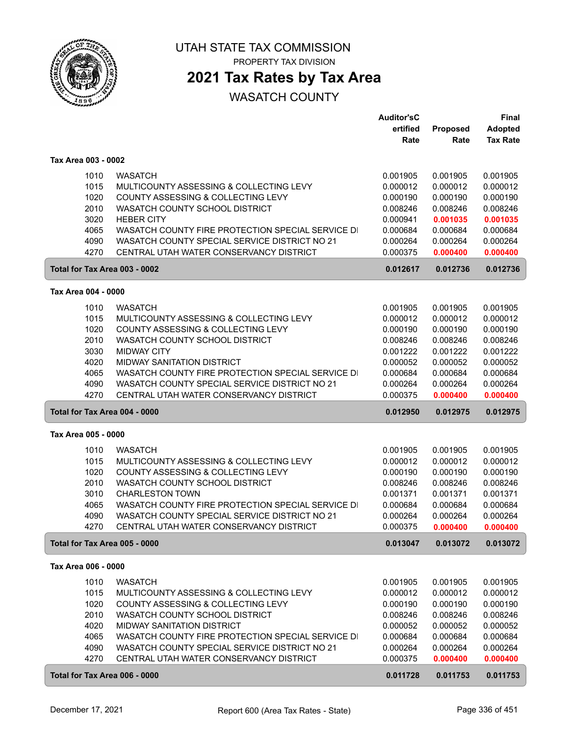

PROPERTY TAX DIVISION

## **2021 Tax Rates by Tax Area**

|                               |                                                   | <b>Auditor'sC</b>    |                      | <b>Final</b>         |
|-------------------------------|---------------------------------------------------|----------------------|----------------------|----------------------|
|                               |                                                   | ertified             | Proposed             | <b>Adopted</b>       |
|                               |                                                   | Rate                 | Rate                 | <b>Tax Rate</b>      |
| Tax Area 003 - 0002           |                                                   |                      |                      |                      |
|                               | <b>WASATCH</b>                                    |                      | 0.001905             |                      |
| 1010<br>1015                  | MULTICOUNTY ASSESSING & COLLECTING LEVY           | 0.001905<br>0.000012 | 0.000012             | 0.001905<br>0.000012 |
| 1020                          | COUNTY ASSESSING & COLLECTING LEVY                |                      |                      |                      |
| 2010                          | WASATCH COUNTY SCHOOL DISTRICT                    | 0.000190<br>0.008246 | 0.000190<br>0.008246 | 0.000190<br>0.008246 |
| 3020                          | <b>HEBER CITY</b>                                 | 0.000941             | 0.001035             |                      |
| 4065                          | WASATCH COUNTY FIRE PROTECTION SPECIAL SERVICE DI | 0.000684             | 0.000684             | 0.001035<br>0.000684 |
| 4090                          | WASATCH COUNTY SPECIAL SERVICE DISTRICT NO 21     | 0.000264             | 0.000264             | 0.000264             |
| 4270                          | CENTRAL UTAH WATER CONSERVANCY DISTRICT           | 0.000375             | 0.000400             | 0.000400             |
|                               |                                                   |                      |                      |                      |
| Total for Tax Area 003 - 0002 |                                                   | 0.012617             | 0.012736             | 0.012736             |
| Tax Area 004 - 0000           |                                                   |                      |                      |                      |
| 1010                          | <b>WASATCH</b>                                    | 0.001905             | 0.001905             | 0.001905             |
| 1015                          | MULTICOUNTY ASSESSING & COLLECTING LEVY           | 0.000012             | 0.000012             | 0.000012             |
| 1020                          | COUNTY ASSESSING & COLLECTING LEVY                | 0.000190             | 0.000190             | 0.000190             |
| 2010                          | WASATCH COUNTY SCHOOL DISTRICT                    | 0.008246             | 0.008246             | 0.008246             |
| 3030                          | <b>MIDWAY CITY</b>                                | 0.001222             | 0.001222             | 0.001222             |
| 4020                          | <b>MIDWAY SANITATION DISTRICT</b>                 | 0.000052             | 0.000052             | 0.000052             |
| 4065                          | WASATCH COUNTY FIRE PROTECTION SPECIAL SERVICE DI | 0.000684             | 0.000684             | 0.000684             |
| 4090                          | WASATCH COUNTY SPECIAL SERVICE DISTRICT NO 21     | 0.000264             | 0.000264             | 0.000264             |
| 4270                          | CENTRAL UTAH WATER CONSERVANCY DISTRICT           | 0.000375             | 0.000400             | 0.000400             |
| Total for Tax Area 004 - 0000 |                                                   | 0.012950             | 0.012975             | 0.012975             |
| Tax Area 005 - 0000           |                                                   |                      |                      |                      |
| 1010                          | <b>WASATCH</b>                                    | 0.001905             | 0.001905             | 0.001905             |
| 1015                          | MULTICOUNTY ASSESSING & COLLECTING LEVY           | 0.000012             | 0.000012             | 0.000012             |
| 1020                          | COUNTY ASSESSING & COLLECTING LEVY                | 0.000190             | 0.000190             | 0.000190             |
| 2010                          | WASATCH COUNTY SCHOOL DISTRICT                    | 0.008246             | 0.008246             | 0.008246             |
| 3010                          | <b>CHARLESTON TOWN</b>                            | 0.001371             | 0.001371             | 0.001371             |
| 4065                          | WASATCH COUNTY FIRE PROTECTION SPECIAL SERVICE DI | 0.000684             | 0.000684             | 0.000684             |
| 4090                          | WASATCH COUNTY SPECIAL SERVICE DISTRICT NO 21     | 0.000264             | 0.000264             | 0.000264             |
| 4270                          | CENTRAL UTAH WATER CONSERVANCY DISTRICT           | 0.000375             | 0.000400             | 0.000400             |
| Total for Tax Area 005 - 0000 |                                                   | 0.013047             | 0.013072             | 0.013072             |
| Tax Area 006 - 0000           |                                                   |                      |                      |                      |
|                               |                                                   |                      |                      |                      |
| 1010                          | <b>WASATCH</b>                                    | 0.001905             | 0.001905             | 0.001905             |
| 1015                          | MULTICOUNTY ASSESSING & COLLECTING LEVY           | 0.000012             | 0.000012             | 0.000012             |
| 1020                          | COUNTY ASSESSING & COLLECTING LEVY                | 0.000190             | 0.000190             | 0.000190             |
| 2010                          | WASATCH COUNTY SCHOOL DISTRICT                    | 0.008246             | 0.008246             | 0.008246             |
| 4020                          | <b>MIDWAY SANITATION DISTRICT</b>                 | 0.000052             | 0.000052             | 0.000052             |
| 4065                          | WASATCH COUNTY FIRE PROTECTION SPECIAL SERVICE DI | 0.000684             | 0.000684             | 0.000684             |
| 4090                          | WASATCH COUNTY SPECIAL SERVICE DISTRICT NO 21     | 0.000264             | 0.000264             | 0.000264             |
| 4270                          | CENTRAL UTAH WATER CONSERVANCY DISTRICT           | 0.000375             | 0.000400             | 0.000400             |
| Total for Tax Area 006 - 0000 |                                                   | 0.011728             | 0.011753             | 0.011753             |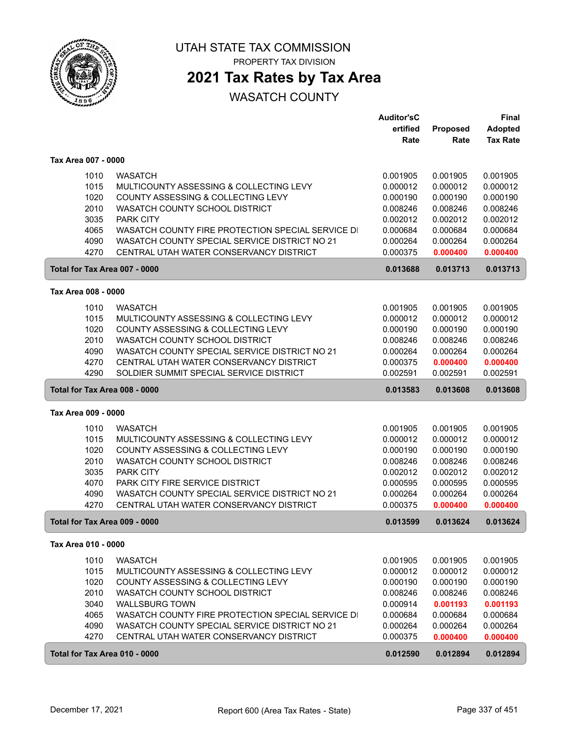

PROPERTY TAX DIVISION

# **2021 Tax Rates by Tax Area**

|                               |                                                                                          | <b>Auditor'sC</b>    |                      | <b>Final</b>         |
|-------------------------------|------------------------------------------------------------------------------------------|----------------------|----------------------|----------------------|
|                               |                                                                                          | ertified             | Proposed             | <b>Adopted</b>       |
|                               |                                                                                          | Rate                 | Rate                 | <b>Tax Rate</b>      |
| Tax Area 007 - 0000           |                                                                                          |                      |                      |                      |
| 1010                          | <b>WASATCH</b>                                                                           | 0.001905             | 0.001905             | 0.001905             |
| 1015                          | MULTICOUNTY ASSESSING & COLLECTING LEVY                                                  | 0.000012             | 0.000012             | 0.000012             |
| 1020                          | COUNTY ASSESSING & COLLECTING LEVY                                                       |                      |                      |                      |
| 2010                          | WASATCH COUNTY SCHOOL DISTRICT                                                           | 0.000190<br>0.008246 | 0.000190<br>0.008246 | 0.000190<br>0.008246 |
| 3035                          | <b>PARK CITY</b>                                                                         | 0.002012             | 0.002012             | 0.002012             |
| 4065                          | WASATCH COUNTY FIRE PROTECTION SPECIAL SERVICE DI                                        | 0.000684             | 0.000684             | 0.000684             |
| 4090                          | WASATCH COUNTY SPECIAL SERVICE DISTRICT NO 21                                            | 0.000264             | 0.000264             | 0.000264             |
| 4270                          | CENTRAL UTAH WATER CONSERVANCY DISTRICT                                                  | 0.000375             | 0.000400             | 0.000400             |
|                               |                                                                                          |                      |                      |                      |
| Total for Tax Area 007 - 0000 |                                                                                          | 0.013688             | 0.013713             | 0.013713             |
| Tax Area 008 - 0000           |                                                                                          |                      |                      |                      |
| 1010                          | <b>WASATCH</b>                                                                           | 0.001905             | 0.001905             | 0.001905             |
| 1015                          | MULTICOUNTY ASSESSING & COLLECTING LEVY                                                  | 0.000012             | 0.000012             | 0.000012             |
| 1020                          | COUNTY ASSESSING & COLLECTING LEVY                                                       | 0.000190             | 0.000190             | 0.000190             |
| 2010                          | WASATCH COUNTY SCHOOL DISTRICT                                                           | 0.008246             | 0.008246             | 0.008246             |
| 4090                          | WASATCH COUNTY SPECIAL SERVICE DISTRICT NO 21                                            | 0.000264             | 0.000264             | 0.000264             |
| 4270                          | CENTRAL UTAH WATER CONSERVANCY DISTRICT                                                  | 0.000375             | 0.000400             | 0.000400             |
| 4290                          | SOLDIER SUMMIT SPECIAL SERVICE DISTRICT                                                  | 0.002591             | 0.002591             | 0.002591             |
| Total for Tax Area 008 - 0000 |                                                                                          | 0.013583             | 0.013608             | 0.013608             |
| Tax Area 009 - 0000           |                                                                                          |                      |                      |                      |
| 1010                          | <b>WASATCH</b>                                                                           | 0.001905             | 0.001905             | 0.001905             |
| 1015                          | MULTICOUNTY ASSESSING & COLLECTING LEVY                                                  | 0.000012             | 0.000012             | 0.000012             |
| 1020                          | COUNTY ASSESSING & COLLECTING LEVY                                                       | 0.000190             | 0.000190             | 0.000190             |
| 2010                          | WASATCH COUNTY SCHOOL DISTRICT                                                           | 0.008246             | 0.008246             | 0.008246             |
| 3035                          | <b>PARK CITY</b>                                                                         | 0.002012             | 0.002012             | 0.002012             |
| 4070                          | PARK CITY FIRE SERVICE DISTRICT                                                          | 0.000595             | 0.000595             | 0.000595             |
| 4090                          | WASATCH COUNTY SPECIAL SERVICE DISTRICT NO 21                                            | 0.000264             | 0.000264             | 0.000264             |
| 4270                          | CENTRAL UTAH WATER CONSERVANCY DISTRICT                                                  | 0.000375             | 0.000400             | 0.000400             |
| Total for Tax Area 009 - 0000 |                                                                                          | 0.013599             | 0.013624             | 0.013624             |
| Tax Area 010 - 0000           |                                                                                          |                      |                      |                      |
|                               |                                                                                          |                      |                      |                      |
| 1010                          | <b>WASATCH</b>                                                                           | 0.001905             | 0.001905             | 0.001905             |
| 1015                          | MULTICOUNTY ASSESSING & COLLECTING LEVY                                                  | 0.000012             | 0.000012             | 0.000012             |
| 1020                          | COUNTY ASSESSING & COLLECTING LEVY                                                       | 0.000190             | 0.000190             | 0.000190             |
| 2010                          | WASATCH COUNTY SCHOOL DISTRICT                                                           | 0.008246             | 0.008246             | 0.008246             |
| 3040                          | <b>WALLSBURG TOWN</b>                                                                    | 0.000914             | 0.001193             | 0.001193             |
| 4065                          | WASATCH COUNTY FIRE PROTECTION SPECIAL SERVICE DI                                        | 0.000684             | 0.000684             | 0.000684             |
| 4090<br>4270                  | WASATCH COUNTY SPECIAL SERVICE DISTRICT NO 21<br>CENTRAL UTAH WATER CONSERVANCY DISTRICT | 0.000264<br>0.000375 | 0.000264<br>0.000400 | 0.000264<br>0.000400 |
|                               |                                                                                          |                      |                      |                      |
| Total for Tax Area 010 - 0000 |                                                                                          | 0.012590             | 0.012894             | 0.012894             |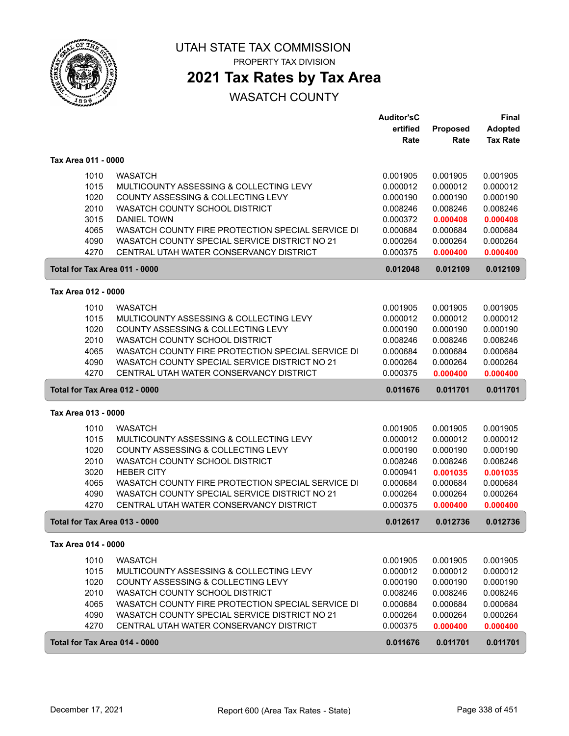

PROPERTY TAX DIVISION

# **2021 Tax Rates by Tax Area**

|                               |                                                   | <b>Auditor'sC</b> |          | <b>Final</b>    |
|-------------------------------|---------------------------------------------------|-------------------|----------|-----------------|
|                               |                                                   | ertified          | Proposed | <b>Adopted</b>  |
|                               |                                                   | Rate              | Rate     | <b>Tax Rate</b> |
| Tax Area 011 - 0000           |                                                   |                   |          |                 |
| 1010                          | <b>WASATCH</b>                                    | 0.001905          | 0.001905 | 0.001905        |
| 1015                          | MULTICOUNTY ASSESSING & COLLECTING LEVY           | 0.000012          | 0.000012 | 0.000012        |
| 1020                          | COUNTY ASSESSING & COLLECTING LEVY                | 0.000190          | 0.000190 | 0.000190        |
| 2010                          | WASATCH COUNTY SCHOOL DISTRICT                    | 0.008246          | 0.008246 | 0.008246        |
| 3015                          | <b>DANIEL TOWN</b>                                | 0.000372          | 0.000408 | 0.000408        |
| 4065                          | WASATCH COUNTY FIRE PROTECTION SPECIAL SERVICE DI | 0.000684          | 0.000684 | 0.000684        |
| 4090                          | WASATCH COUNTY SPECIAL SERVICE DISTRICT NO 21     | 0.000264          | 0.000264 | 0.000264        |
| 4270                          | CENTRAL UTAH WATER CONSERVANCY DISTRICT           | 0.000375          | 0.000400 | 0.000400        |
| Total for Tax Area 011 - 0000 |                                                   | 0.012048          | 0.012109 | 0.012109        |
| Tax Area 012 - 0000           |                                                   |                   |          |                 |
| 1010                          | <b>WASATCH</b>                                    | 0.001905          | 0.001905 | 0.001905        |
| 1015                          | MULTICOUNTY ASSESSING & COLLECTING LEVY           | 0.000012          | 0.000012 | 0.000012        |
| 1020                          | COUNTY ASSESSING & COLLECTING LEVY                | 0.000190          | 0.000190 | 0.000190        |
| 2010                          | WASATCH COUNTY SCHOOL DISTRICT                    | 0.008246          | 0.008246 | 0.008246        |
| 4065                          | WASATCH COUNTY FIRE PROTECTION SPECIAL SERVICE DI | 0.000684          | 0.000684 | 0.000684        |
| 4090                          | WASATCH COUNTY SPECIAL SERVICE DISTRICT NO 21     | 0.000264          | 0.000264 | 0.000264        |
| 4270                          | CENTRAL UTAH WATER CONSERVANCY DISTRICT           | 0.000375          | 0.000400 | 0.000400        |
| Total for Tax Area 012 - 0000 |                                                   | 0.011676          | 0.011701 | 0.011701        |
| Tax Area 013 - 0000           |                                                   |                   |          |                 |
| 1010                          | <b>WASATCH</b>                                    | 0.001905          | 0.001905 | 0.001905        |
| 1015                          | MULTICOUNTY ASSESSING & COLLECTING LEVY           | 0.000012          | 0.000012 | 0.000012        |
| 1020                          | COUNTY ASSESSING & COLLECTING LEVY                | 0.000190          | 0.000190 | 0.000190        |
| 2010                          | WASATCH COUNTY SCHOOL DISTRICT                    | 0.008246          | 0.008246 | 0.008246        |
| 3020                          | <b>HEBER CITY</b>                                 | 0.000941          | 0.001035 | 0.001035        |
| 4065                          | WASATCH COUNTY FIRE PROTECTION SPECIAL SERVICE DI | 0.000684          | 0.000684 | 0.000684        |
| 4090                          | WASATCH COUNTY SPECIAL SERVICE DISTRICT NO 21     | 0.000264          | 0.000264 | 0.000264        |
| 4270                          | CENTRAL UTAH WATER CONSERVANCY DISTRICT           | 0.000375          | 0.000400 | 0.000400        |
| Total for Tax Area 013 - 0000 |                                                   | 0.012617          | 0.012736 | 0.012736        |
| Tax Area 014 - 0000           |                                                   |                   |          |                 |
| 1010                          | <b>WASATCH</b>                                    | 0.001905          | 0.001905 | 0.001905        |
| 1015                          | MULTICOUNTY ASSESSING & COLLECTING LEVY           | 0.000012          | 0.000012 | 0.000012        |
| 1020                          | COUNTY ASSESSING & COLLECTING LEVY                | 0.000190          | 0.000190 | 0.000190        |
| 2010                          | WASATCH COUNTY SCHOOL DISTRICT                    | 0.008246          | 0.008246 | 0.008246        |
| 4065                          | WASATCH COUNTY FIRE PROTECTION SPECIAL SERVICE DI | 0.000684          | 0.000684 | 0.000684        |
| 4090                          | WASATCH COUNTY SPECIAL SERVICE DISTRICT NO 21     | 0.000264          | 0.000264 | 0.000264        |
| 4270                          | CENTRAL UTAH WATER CONSERVANCY DISTRICT           | 0.000375          | 0.000400 | 0.000400        |
| Total for Tax Area 014 - 0000 |                                                   | 0.011676          | 0.011701 | 0.011701        |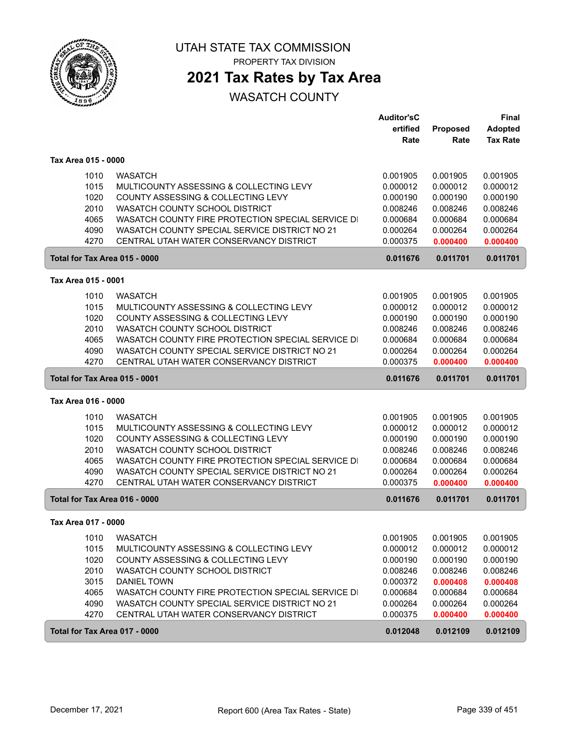

PROPERTY TAX DIVISION

## **2021 Tax Rates by Tax Area**

|                               |                                                                                                    | <b>Auditor'sC</b><br>ertified<br>Rate | Proposed<br>Rate     | <b>Final</b><br><b>Adopted</b><br><b>Tax Rate</b> |
|-------------------------------|----------------------------------------------------------------------------------------------------|---------------------------------------|----------------------|---------------------------------------------------|
| Tax Area 015 - 0000           |                                                                                                    |                                       |                      |                                                   |
| 1010<br>1015                  | <b>WASATCH</b><br>MULTICOUNTY ASSESSING & COLLECTING LEVY                                          | 0.001905<br>0.000012                  | 0.001905<br>0.000012 | 0.001905<br>0.000012                              |
| 1020<br>2010                  | COUNTY ASSESSING & COLLECTING LEVY<br>WASATCH COUNTY SCHOOL DISTRICT                               | 0.000190<br>0.008246                  | 0.000190<br>0.008246 | 0.000190<br>0.008246                              |
| 4065                          | WASATCH COUNTY FIRE PROTECTION SPECIAL SERVICE DI                                                  | 0.000684                              | 0.000684             | 0.000684                                          |
| 4090                          | WASATCH COUNTY SPECIAL SERVICE DISTRICT NO 21                                                      | 0.000264                              | 0.000264             | 0.000264                                          |
| 4270                          | CENTRAL UTAH WATER CONSERVANCY DISTRICT                                                            | 0.000375                              | 0.000400             | 0.000400                                          |
| Total for Tax Area 015 - 0000 |                                                                                                    | 0.011676                              | 0.011701             | 0.011701                                          |
| Tax Area 015 - 0001           |                                                                                                    |                                       |                      |                                                   |
| 1010                          | <b>WASATCH</b>                                                                                     | 0.001905                              | 0.001905             | 0.001905                                          |
| 1015                          | MULTICOUNTY ASSESSING & COLLECTING LEVY                                                            | 0.000012                              | 0.000012             | 0.000012                                          |
| 1020<br>2010                  | COUNTY ASSESSING & COLLECTING LEVY<br>WASATCH COUNTY SCHOOL DISTRICT                               | 0.000190<br>0.008246                  | 0.000190<br>0.008246 | 0.000190<br>0.008246                              |
| 4065                          | WASATCH COUNTY FIRE PROTECTION SPECIAL SERVICE DI                                                  | 0.000684                              | 0.000684             | 0.000684                                          |
| 4090                          | WASATCH COUNTY SPECIAL SERVICE DISTRICT NO 21                                                      | 0.000264                              | 0.000264             | 0.000264                                          |
| 4270                          | CENTRAL UTAH WATER CONSERVANCY DISTRICT                                                            | 0.000375                              | 0.000400             | 0.000400                                          |
| Total for Tax Area 015 - 0001 |                                                                                                    | 0.011676                              | 0.011701             | 0.011701                                          |
| Tax Area 016 - 0000           |                                                                                                    |                                       |                      |                                                   |
| 1010                          | <b>WASATCH</b>                                                                                     | 0.001905                              | 0.001905             | 0.001905                                          |
| 1015                          | MULTICOUNTY ASSESSING & COLLECTING LEVY                                                            | 0.000012                              | 0.000012             | 0.000012                                          |
| 1020                          | COUNTY ASSESSING & COLLECTING LEVY                                                                 | 0.000190                              | 0.000190             | 0.000190                                          |
| 2010                          | WASATCH COUNTY SCHOOL DISTRICT                                                                     | 0.008246                              | 0.008246             | 0.008246                                          |
| 4065<br>4090                  | WASATCH COUNTY FIRE PROTECTION SPECIAL SERVICE DI<br>WASATCH COUNTY SPECIAL SERVICE DISTRICT NO 21 | 0.000684<br>0.000264                  | 0.000684<br>0.000264 | 0.000684<br>0.000264                              |
| 4270                          | CENTRAL UTAH WATER CONSERVANCY DISTRICT                                                            | 0.000375                              | 0.000400             | 0.000400                                          |
| Total for Tax Area 016 - 0000 |                                                                                                    | 0.011676                              | 0.011701             | 0.011701                                          |
| Tax Area 017 - 0000           |                                                                                                    |                                       |                      |                                                   |
| 1010                          | <b>WASATCH</b>                                                                                     | 0.001905                              | 0.001905             | 0.001905                                          |
| 1015                          | MULTICOUNTY ASSESSING & COLLECTING LEVY                                                            | 0.000012                              | 0.000012             | 0.000012                                          |
| 1020                          | COUNTY ASSESSING & COLLECTING LEVY                                                                 | 0.000190                              | 0.000190             | 0.000190                                          |
| 2010                          | WASATCH COUNTY SCHOOL DISTRICT                                                                     | 0.008246                              | 0.008246             | 0.008246                                          |
| 3015                          | DANIEL TOWN                                                                                        | 0.000372                              | 0.000408             | 0.000408                                          |
| 4065                          | WASATCH COUNTY FIRE PROTECTION SPECIAL SERVICE DI                                                  | 0.000684                              | 0.000684             | 0.000684                                          |
| 4090<br>4270                  | WASATCH COUNTY SPECIAL SERVICE DISTRICT NO 21<br>CENTRAL UTAH WATER CONSERVANCY DISTRICT           | 0.000264<br>0.000375                  | 0.000264             | 0.000264                                          |
|                               |                                                                                                    |                                       | 0.000400             | 0.000400                                          |
| Total for Tax Area 017 - 0000 |                                                                                                    | 0.012048                              | 0.012109             | 0.012109                                          |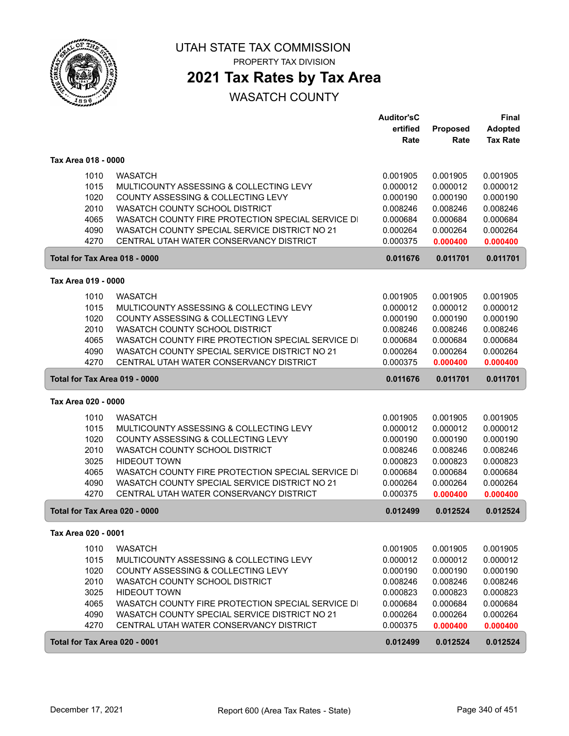

PROPERTY TAX DIVISION

## **2021 Tax Rates by Tax Area**

|                               |                                                   | <b>Auditor'sC</b> |          | Final           |
|-------------------------------|---------------------------------------------------|-------------------|----------|-----------------|
|                               |                                                   | ertified          | Proposed | Adopted         |
|                               |                                                   | Rate              | Rate     | <b>Tax Rate</b> |
| Tax Area 018 - 0000           |                                                   |                   |          |                 |
| 1010                          | <b>WASATCH</b>                                    | 0.001905          | 0.001905 | 0.001905        |
| 1015                          | MULTICOUNTY ASSESSING & COLLECTING LEVY           | 0.000012          | 0.000012 | 0.000012        |
| 1020                          | COUNTY ASSESSING & COLLECTING LEVY                | 0.000190          | 0.000190 | 0.000190        |
| 2010                          | WASATCH COUNTY SCHOOL DISTRICT                    | 0.008246          | 0.008246 | 0.008246        |
| 4065                          | WASATCH COUNTY FIRE PROTECTION SPECIAL SERVICE DI | 0.000684          | 0.000684 | 0.000684        |
| 4090                          | WASATCH COUNTY SPECIAL SERVICE DISTRICT NO 21     | 0.000264          | 0.000264 | 0.000264        |
| 4270                          | CENTRAL UTAH WATER CONSERVANCY DISTRICT           | 0.000375          | 0.000400 | 0.000400        |
|                               | Total for Tax Area 018 - 0000                     | 0.011676          | 0.011701 | 0.011701        |
| Tax Area 019 - 0000           |                                                   |                   |          |                 |
| 1010                          | <b>WASATCH</b>                                    | 0.001905          | 0.001905 | 0.001905        |
| 1015                          | MULTICOUNTY ASSESSING & COLLECTING LEVY           | 0.000012          | 0.000012 | 0.000012        |
| 1020                          | COUNTY ASSESSING & COLLECTING LEVY                | 0.000190          | 0.000190 | 0.000190        |
| 2010                          | WASATCH COUNTY SCHOOL DISTRICT                    | 0.008246          | 0.008246 | 0.008246        |
| 4065                          | WASATCH COUNTY FIRE PROTECTION SPECIAL SERVICE DI | 0.000684          | 0.000684 | 0.000684        |
| 4090                          | WASATCH COUNTY SPECIAL SERVICE DISTRICT NO 21     | 0.000264          | 0.000264 | 0.000264        |
| 4270                          | CENTRAL UTAH WATER CONSERVANCY DISTRICT           | 0.000375          | 0.000400 | 0.000400        |
|                               | Total for Tax Area 019 - 0000                     | 0.011676          | 0.011701 | 0.011701        |
| Tax Area 020 - 0000           |                                                   |                   |          |                 |
| 1010                          | <b>WASATCH</b>                                    | 0.001905          | 0.001905 | 0.001905        |
| 1015                          | MULTICOUNTY ASSESSING & COLLECTING LEVY           | 0.000012          | 0.000012 | 0.000012        |
| 1020                          | COUNTY ASSESSING & COLLECTING LEVY                | 0.000190          | 0.000190 | 0.000190        |
| 2010                          | WASATCH COUNTY SCHOOL DISTRICT                    | 0.008246          | 0.008246 | 0.008246        |
| 3025                          | <b>HIDEOUT TOWN</b>                               | 0.000823          | 0.000823 | 0.000823        |
| 4065                          | WASATCH COUNTY FIRE PROTECTION SPECIAL SERVICE DI | 0.000684          | 0.000684 | 0.000684        |
| 4090                          | WASATCH COUNTY SPECIAL SERVICE DISTRICT NO 21     | 0.000264          | 0.000264 | 0.000264        |
| 4270                          | CENTRAL UTAH WATER CONSERVANCY DISTRICT           | 0.000375          | 0.000400 | 0.000400        |
|                               | Total for Tax Area 020 - 0000                     | 0.012499          | 0.012524 | 0.012524        |
| Tax Area 020 - 0001           |                                                   |                   |          |                 |
| 1010                          | <b>WASATCH</b>                                    | 0.001905          | 0.001905 | 0.001905        |
| 1015                          | MULTICOUNTY ASSESSING & COLLECTING LEVY           | 0.000012          | 0.000012 | 0.000012        |
| 1020                          | COUNTY ASSESSING & COLLECTING LEVY                | 0.000190          | 0.000190 | 0.000190        |
| 2010                          | WASATCH COUNTY SCHOOL DISTRICT                    | 0.008246          | 0.008246 | 0.008246        |
| 3025                          | <b>HIDEOUT TOWN</b>                               | 0.000823          | 0.000823 | 0.000823        |
| 4065                          | WASATCH COUNTY FIRE PROTECTION SPECIAL SERVICE DI | 0.000684          | 0.000684 | 0.000684        |
| 4090                          | WASATCH COUNTY SPECIAL SERVICE DISTRICT NO 21     | 0.000264          | 0.000264 | 0.000264        |
| 4270                          | CENTRAL UTAH WATER CONSERVANCY DISTRICT           | 0.000375          | 0.000400 | 0.000400        |
| Total for Tax Area 020 - 0001 |                                                   | 0.012499          | 0.012524 | 0.012524        |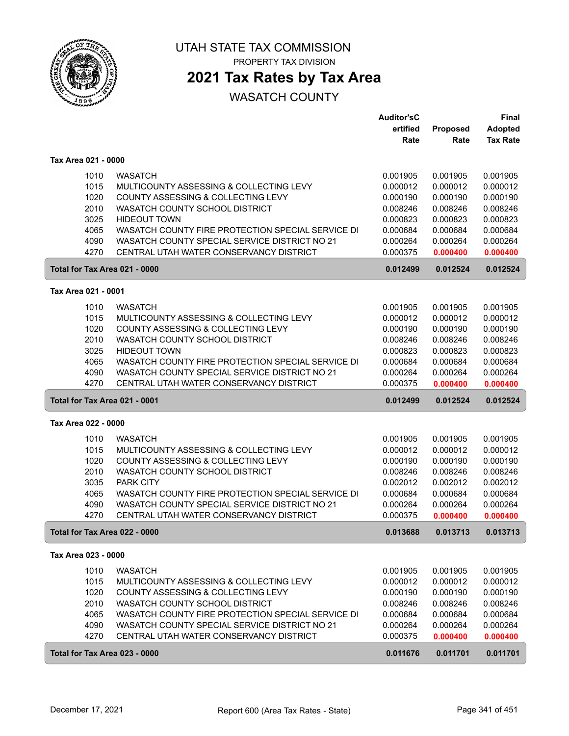

PROPERTY TAX DIVISION

## **2021 Tax Rates by Tax Area**

|                               |                                                   | <b>Auditor'sC</b> |          | <b>Final</b>    |
|-------------------------------|---------------------------------------------------|-------------------|----------|-----------------|
|                               |                                                   | ertified          | Proposed | <b>Adopted</b>  |
|                               |                                                   | Rate              | Rate     | <b>Tax Rate</b> |
| Tax Area 021 - 0000           |                                                   |                   |          |                 |
|                               |                                                   |                   |          |                 |
| 1010                          | <b>WASATCH</b>                                    | 0.001905          | 0.001905 | 0.001905        |
| 1015                          | MULTICOUNTY ASSESSING & COLLECTING LEVY           | 0.000012          | 0.000012 | 0.000012        |
| 1020                          | COUNTY ASSESSING & COLLECTING LEVY                | 0.000190          | 0.000190 | 0.000190        |
| 2010                          | WASATCH COUNTY SCHOOL DISTRICT                    | 0.008246          | 0.008246 | 0.008246        |
| 3025                          | <b>HIDEOUT TOWN</b>                               | 0.000823          | 0.000823 | 0.000823        |
| 4065                          | WASATCH COUNTY FIRE PROTECTION SPECIAL SERVICE DI | 0.000684          | 0.000684 | 0.000684        |
| 4090                          | WASATCH COUNTY SPECIAL SERVICE DISTRICT NO 21     | 0.000264          | 0.000264 | 0.000264        |
| 4270                          | CENTRAL UTAH WATER CONSERVANCY DISTRICT           | 0.000375          | 0.000400 | 0.000400        |
| Total for Tax Area 021 - 0000 |                                                   | 0.012499          | 0.012524 | 0.012524        |
| Tax Area 021 - 0001           |                                                   |                   |          |                 |
|                               |                                                   |                   |          |                 |
| 1010                          | <b>WASATCH</b>                                    | 0.001905          | 0.001905 | 0.001905        |
| 1015                          | MULTICOUNTY ASSESSING & COLLECTING LEVY           | 0.000012          | 0.000012 | 0.000012        |
| 1020                          | COUNTY ASSESSING & COLLECTING LEVY                | 0.000190          | 0.000190 | 0.000190        |
| 2010                          | WASATCH COUNTY SCHOOL DISTRICT                    | 0.008246          | 0.008246 | 0.008246        |
| 3025                          | <b>HIDEOUT TOWN</b>                               | 0.000823          | 0.000823 | 0.000823        |
| 4065                          | WASATCH COUNTY FIRE PROTECTION SPECIAL SERVICE DI | 0.000684          | 0.000684 | 0.000684        |
| 4090                          | WASATCH COUNTY SPECIAL SERVICE DISTRICT NO 21     | 0.000264          | 0.000264 | 0.000264        |
| 4270                          | CENTRAL UTAH WATER CONSERVANCY DISTRICT           | 0.000375          | 0.000400 | 0.000400        |
| Total for Tax Area 021 - 0001 |                                                   | 0.012499          | 0.012524 | 0.012524        |
| Tax Area 022 - 0000           |                                                   |                   |          |                 |
| 1010                          | <b>WASATCH</b>                                    | 0.001905          | 0.001905 | 0.001905        |
| 1015                          | MULTICOUNTY ASSESSING & COLLECTING LEVY           | 0.000012          | 0.000012 | 0.000012        |
| 1020                          | COUNTY ASSESSING & COLLECTING LEVY                | 0.000190          | 0.000190 | 0.000190        |
| 2010                          | WASATCH COUNTY SCHOOL DISTRICT                    | 0.008246          | 0.008246 | 0.008246        |
| 3035                          | <b>PARK CITY</b>                                  | 0.002012          | 0.002012 | 0.002012        |
| 4065                          | WASATCH COUNTY FIRE PROTECTION SPECIAL SERVICE DI | 0.000684          | 0.000684 | 0.000684        |
| 4090                          | WASATCH COUNTY SPECIAL SERVICE DISTRICT NO 21     | 0.000264          | 0.000264 | 0.000264        |
| 4270                          | CENTRAL UTAH WATER CONSERVANCY DISTRICT           | 0.000375          | 0.000400 | 0.000400        |
| Total for Tax Area 022 - 0000 |                                                   | 0.013688          | 0.013713 | 0.013713        |
| Tax Area 023 - 0000           |                                                   |                   |          |                 |
|                               |                                                   |                   |          |                 |
| 1010                          | <b>WASATCH</b>                                    | 0.001905          | 0.001905 | 0.001905        |
| 1015                          | MULTICOUNTY ASSESSING & COLLECTING LEVY           | 0.000012          | 0.000012 | 0.000012        |
| 1020                          | COUNTY ASSESSING & COLLECTING LEVY                | 0.000190          | 0.000190 | 0.000190        |
| 2010                          | WASATCH COUNTY SCHOOL DISTRICT                    | 0.008246          | 0.008246 | 0.008246        |
| 4065                          | WASATCH COUNTY FIRE PROTECTION SPECIAL SERVICE DI | 0.000684          | 0.000684 | 0.000684        |
| 4090                          | WASATCH COUNTY SPECIAL SERVICE DISTRICT NO 21     | 0.000264          | 0.000264 | 0.000264        |
| 4270                          | CENTRAL UTAH WATER CONSERVANCY DISTRICT           | 0.000375          | 0.000400 | 0.000400        |
| Total for Tax Area 023 - 0000 |                                                   | 0.011676          | 0.011701 | 0.011701        |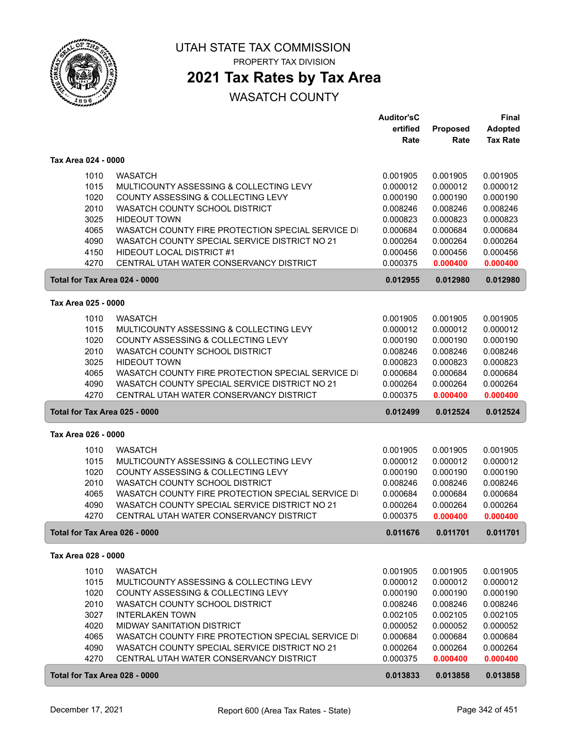

PROPERTY TAX DIVISION

## **2021 Tax Rates by Tax Area**

|                               |                                                                                                    | <b>Auditor'sC</b>    |                      | <b>Final</b>         |
|-------------------------------|----------------------------------------------------------------------------------------------------|----------------------|----------------------|----------------------|
|                               |                                                                                                    | ertified             | Proposed             | <b>Adopted</b>       |
|                               |                                                                                                    | Rate                 | Rate                 | <b>Tax Rate</b>      |
| Tax Area 024 - 0000           |                                                                                                    |                      |                      |                      |
| 1010                          | <b>WASATCH</b>                                                                                     | 0.001905             | 0.001905             | 0.001905             |
| 1015                          | MULTICOUNTY ASSESSING & COLLECTING LEVY                                                            | 0.000012             | 0.000012             | 0.000012             |
| 1020                          | COUNTY ASSESSING & COLLECTING LEVY                                                                 | 0.000190             | 0.000190             | 0.000190             |
| 2010                          | WASATCH COUNTY SCHOOL DISTRICT                                                                     | 0.008246             | 0.008246             | 0.008246             |
| 3025                          | <b>HIDEOUT TOWN</b>                                                                                | 0.000823             | 0.000823             | 0.000823             |
| 4065                          | WASATCH COUNTY FIRE PROTECTION SPECIAL SERVICE DI                                                  | 0.000684             | 0.000684             | 0.000684             |
| 4090                          | WASATCH COUNTY SPECIAL SERVICE DISTRICT NO 21                                                      | 0.000264             | 0.000264             | 0.000264             |
| 4150                          | HIDEOUT LOCAL DISTRICT #1                                                                          | 0.000456             | 0.000456             | 0.000456             |
| 4270                          | CENTRAL UTAH WATER CONSERVANCY DISTRICT                                                            | 0.000375             | 0.000400             | 0.000400             |
| Total for Tax Area 024 - 0000 |                                                                                                    | 0.012955             | 0.012980             | 0.012980             |
|                               |                                                                                                    |                      |                      |                      |
| Tax Area 025 - 0000           |                                                                                                    |                      |                      |                      |
| 1010                          | <b>WASATCH</b>                                                                                     | 0.001905             | 0.001905             | 0.001905             |
| 1015                          | MULTICOUNTY ASSESSING & COLLECTING LEVY                                                            | 0.000012             | 0.000012             | 0.000012             |
| 1020                          | COUNTY ASSESSING & COLLECTING LEVY                                                                 | 0.000190             | 0.000190             | 0.000190             |
| 2010                          | WASATCH COUNTY SCHOOL DISTRICT                                                                     | 0.008246             | 0.008246             | 0.008246             |
| 3025                          | <b>HIDEOUT TOWN</b>                                                                                | 0.000823             | 0.000823             | 0.000823             |
| 4065                          | WASATCH COUNTY FIRE PROTECTION SPECIAL SERVICE DI                                                  | 0.000684             | 0.000684             | 0.000684             |
| 4090                          | WASATCH COUNTY SPECIAL SERVICE DISTRICT NO 21                                                      | 0.000264             | 0.000264             | 0.000264             |
| 4270                          | CENTRAL UTAH WATER CONSERVANCY DISTRICT                                                            | 0.000375             | 0.000400             | 0.000400             |
| Total for Tax Area 025 - 0000 |                                                                                                    | 0.012499             | 0.012524             | 0.012524             |
| Tax Area 026 - 0000           |                                                                                                    |                      |                      |                      |
| 1010                          | <b>WASATCH</b>                                                                                     | 0.001905             | 0.001905             | 0.001905             |
| 1015                          | MULTICOUNTY ASSESSING & COLLECTING LEVY                                                            | 0.000012             | 0.000012             | 0.000012             |
| 1020                          | COUNTY ASSESSING & COLLECTING LEVY                                                                 | 0.000190             | 0.000190             | 0.000190             |
| 2010                          | WASATCH COUNTY SCHOOL DISTRICT                                                                     | 0.008246             | 0.008246             | 0.008246             |
| 4065                          | WASATCH COUNTY FIRE PROTECTION SPECIAL SERVICE DI                                                  | 0.000684             | 0.000684             | 0.000684             |
| 4090                          | WASATCH COUNTY SPECIAL SERVICE DISTRICT NO 21                                                      | 0.000264             | 0.000264             | 0.000264             |
| 4270                          | CENTRAL UTAH WATER CONSERVANCY DISTRICT                                                            | 0.000375             | 0.000400             | 0.000400             |
| Total for Tax Area 026 - 0000 |                                                                                                    | 0.011676             | 0.011701             | 0.011701             |
| Tax Area 028 - 0000           |                                                                                                    |                      |                      |                      |
| 1010                          | <b>WASATCH</b>                                                                                     | 0.001905             | 0.001905             | 0.001905             |
| 1015                          | MULTICOUNTY ASSESSING & COLLECTING LEVY                                                            | 0.000012             | 0.000012             | 0.000012             |
| 1020                          | COUNTY ASSESSING & COLLECTING LEVY                                                                 | 0.000190             | 0.000190             | 0.000190             |
| 2010                          | WASATCH COUNTY SCHOOL DISTRICT                                                                     | 0.008246             | 0.008246             | 0.008246             |
|                               |                                                                                                    |                      |                      | 0.002105             |
|                               |                                                                                                    |                      |                      |                      |
| 3027                          | <b>INTERLAKEN TOWN</b>                                                                             | 0.002105             | 0.002105             |                      |
| 4020                          | MIDWAY SANITATION DISTRICT                                                                         | 0.000052             | 0.000052             | 0.000052             |
| 4065                          | WASATCH COUNTY FIRE PROTECTION SPECIAL SERVICE DI<br>WASATCH COUNTY SPECIAL SERVICE DISTRICT NO 21 | 0.000684             | 0.000684             | 0.000684             |
| 4090<br>4270                  | CENTRAL UTAH WATER CONSERVANCY DISTRICT                                                            | 0.000264<br>0.000375 | 0.000264<br>0.000400 | 0.000264<br>0.000400 |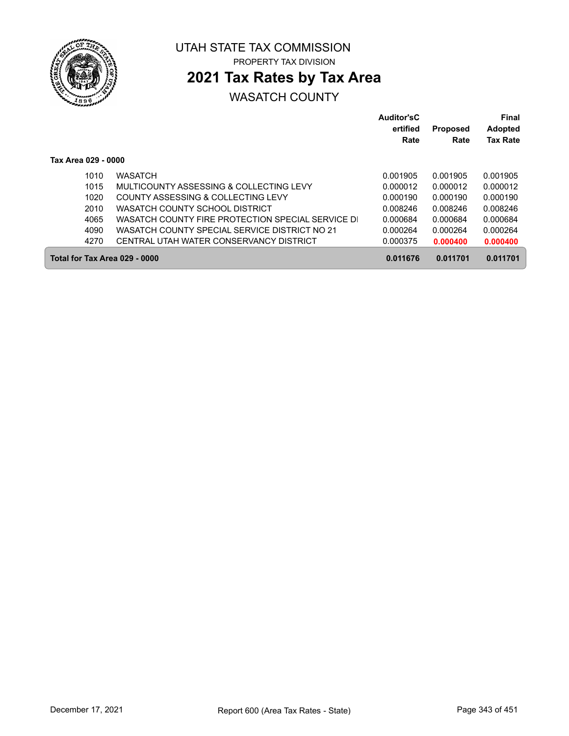

## **2021 Tax Rates by Tax Area**

|                               |                                                   | <b>Auditor'sC</b><br>ertified<br>Rate | <b>Proposed</b><br>Rate | <b>Final</b><br><b>Adopted</b><br><b>Tax Rate</b> |
|-------------------------------|---------------------------------------------------|---------------------------------------|-------------------------|---------------------------------------------------|
| Tax Area 029 - 0000           |                                                   |                                       |                         |                                                   |
| 1010                          | <b>WASATCH</b>                                    | 0.001905                              | 0.001905                | 0.001905                                          |
| 1015                          | MULTICOUNTY ASSESSING & COLLECTING LEVY           | 0.000012                              | 0.000012                | 0.000012                                          |
| 1020                          | COUNTY ASSESSING & COLLECTING LEVY                | 0.000190                              | 0.000190                | 0.000190                                          |
| 2010                          | WASATCH COUNTY SCHOOL DISTRICT                    | 0.008246                              | 0.008246                | 0.008246                                          |
| 4065                          | WASATCH COUNTY FIRE PROTECTION SPECIAL SERVICE DI | 0.000684                              | 0.000684                | 0.000684                                          |
| 4090                          | WASATCH COUNTY SPECIAL SERVICE DISTRICT NO 21     | 0.000264                              | 0.000264                | 0.000264                                          |
| 4270                          | CENTRAL UTAH WATER CONSERVANCY DISTRICT           | 0.000375                              | 0.000400                | 0.000400                                          |
| Total for Tax Area 029 - 0000 |                                                   | 0.011676                              | 0.011701                | 0.011701                                          |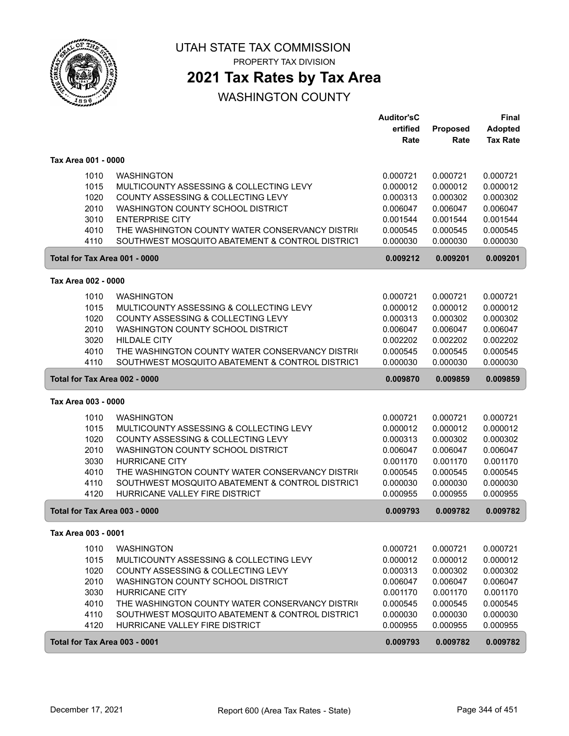

PROPERTY TAX DIVISION

## **2021 Tax Rates by Tax Area**

|                               |                                                 | <b>Auditor'sC</b> |          | Final           |
|-------------------------------|-------------------------------------------------|-------------------|----------|-----------------|
|                               |                                                 | ertified          | Proposed | <b>Adopted</b>  |
|                               |                                                 | Rate              | Rate     | <b>Tax Rate</b> |
| Tax Area 001 - 0000           |                                                 |                   |          |                 |
| 1010                          | <b>WASHINGTON</b>                               | 0.000721          | 0.000721 | 0.000721        |
| 1015                          | MULTICOUNTY ASSESSING & COLLECTING LEVY         | 0.000012          | 0.000012 | 0.000012        |
| 1020                          | COUNTY ASSESSING & COLLECTING LEVY              | 0.000313          | 0.000302 | 0.000302        |
| 2010                          | WASHINGTON COUNTY SCHOOL DISTRICT               | 0.006047          | 0.006047 | 0.006047        |
| 3010                          | <b>ENTERPRISE CITY</b>                          | 0.001544          | 0.001544 | 0.001544        |
| 4010                          | THE WASHINGTON COUNTY WATER CONSERVANCY DISTRIC | 0.000545          | 0.000545 | 0.000545        |
| 4110                          | SOUTHWEST MOSQUITO ABATEMENT & CONTROL DISTRICT | 0.000030          | 0.000030 | 0.000030        |
| Total for Tax Area 001 - 0000 |                                                 | 0.009212          | 0.009201 | 0.009201        |
| Tax Area 002 - 0000           |                                                 |                   |          |                 |
| 1010                          | <b>WASHINGTON</b>                               | 0.000721          | 0.000721 | 0.000721        |
| 1015                          | MULTICOUNTY ASSESSING & COLLECTING LEVY         | 0.000012          | 0.000012 | 0.000012        |
| 1020                          | COUNTY ASSESSING & COLLECTING LEVY              | 0.000313          | 0.000302 | 0.000302        |
| 2010                          | WASHINGTON COUNTY SCHOOL DISTRICT               | 0.006047          | 0.006047 | 0.006047        |
| 3020                          | <b>HILDALE CITY</b>                             | 0.002202          | 0.002202 | 0.002202        |
| 4010                          | THE WASHINGTON COUNTY WATER CONSERVANCY DISTRIC | 0.000545          | 0.000545 | 0.000545        |
| 4110                          | SOUTHWEST MOSQUITO ABATEMENT & CONTROL DISTRICT | 0.000030          | 0.000030 | 0.000030        |
| Total for Tax Area 002 - 0000 |                                                 | 0.009870          | 0.009859 | 0.009859        |
| Tax Area 003 - 0000           |                                                 |                   |          |                 |
| 1010                          | <b>WASHINGTON</b>                               | 0.000721          | 0.000721 | 0.000721        |
| 1015                          | MULTICOUNTY ASSESSING & COLLECTING LEVY         | 0.000012          | 0.000012 | 0.000012        |
| 1020                          | COUNTY ASSESSING & COLLECTING LEVY              | 0.000313          | 0.000302 | 0.000302        |
| 2010                          | WASHINGTON COUNTY SCHOOL DISTRICT               | 0.006047          | 0.006047 | 0.006047        |
| 3030                          | <b>HURRICANE CITY</b>                           | 0.001170          | 0.001170 | 0.001170        |
| 4010                          | THE WASHINGTON COUNTY WATER CONSERVANCY DISTRIC | 0.000545          | 0.000545 | 0.000545        |
| 4110                          | SOUTHWEST MOSQUITO ABATEMENT & CONTROL DISTRICT | 0.000030          | 0.000030 | 0.000030        |
| 4120                          | HURRICANE VALLEY FIRE DISTRICT                  | 0.000955          | 0.000955 | 0.000955        |
| Total for Tax Area 003 - 0000 |                                                 | 0.009793          | 0.009782 | 0.009782        |
| Tax Area 003 - 0001           |                                                 |                   |          |                 |
| 1010                          | <b>WASHINGTON</b>                               | 0.000721          | 0.000721 | 0.000721        |
| 1015                          | MULTICOUNTY ASSESSING & COLLECTING LEVY         | 0.000012          | 0.000012 | 0.000012        |
| 1020                          | COUNTY ASSESSING & COLLECTING LEVY              | 0.000313          | 0.000302 | 0.000302        |
| 2010                          | WASHINGTON COUNTY SCHOOL DISTRICT               | 0.006047          | 0.006047 | 0.006047        |
| 3030                          | <b>HURRICANE CITY</b>                           | 0.001170          | 0.001170 | 0.001170        |
| 4010                          | THE WASHINGTON COUNTY WATER CONSERVANCY DISTRIC | 0.000545          | 0.000545 | 0.000545        |
| 4110                          | SOUTHWEST MOSQUITO ABATEMENT & CONTROL DISTRICT | 0.000030          | 0.000030 | 0.000030        |
| 4120                          | HURRICANE VALLEY FIRE DISTRICT                  | 0.000955          | 0.000955 | 0.000955        |
| Total for Tax Area 003 - 0001 |                                                 | 0.009793          | 0.009782 | 0.009782        |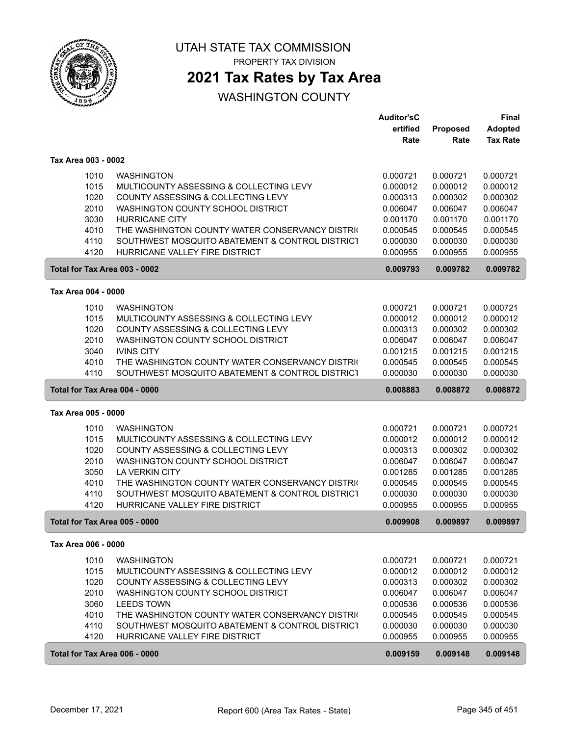

PROPERTY TAX DIVISION

## **2021 Tax Rates by Tax Area**

|                               |                                                 | <b>Auditor'sC</b> |          | Final           |
|-------------------------------|-------------------------------------------------|-------------------|----------|-----------------|
|                               |                                                 | ertified          | Proposed | <b>Adopted</b>  |
|                               |                                                 | Rate              | Rate     | <b>Tax Rate</b> |
| Tax Area 003 - 0002           |                                                 |                   |          |                 |
| 1010                          | <b>WASHINGTON</b>                               | 0.000721          | 0.000721 | 0.000721        |
| 1015                          | MULTICOUNTY ASSESSING & COLLECTING LEVY         | 0.000012          | 0.000012 | 0.000012        |
| 1020                          | COUNTY ASSESSING & COLLECTING LEVY              | 0.000313          | 0.000302 | 0.000302        |
| 2010                          | WASHINGTON COUNTY SCHOOL DISTRICT               | 0.006047          | 0.006047 | 0.006047        |
| 3030                          | <b>HURRICANE CITY</b>                           | 0.001170          | 0.001170 | 0.001170        |
| 4010                          | THE WASHINGTON COUNTY WATER CONSERVANCY DISTRIC | 0.000545          | 0.000545 | 0.000545        |
| 4110                          | SOUTHWEST MOSQUITO ABATEMENT & CONTROL DISTRICT | 0.000030          | 0.000030 | 0.000030        |
| 4120                          | HURRICANE VALLEY FIRE DISTRICT                  | 0.000955          | 0.000955 | 0.000955        |
| Total for Tax Area 003 - 0002 |                                                 | 0.009793          | 0.009782 | 0.009782        |
| Tax Area 004 - 0000           |                                                 |                   |          |                 |
| 1010                          | <b>WASHINGTON</b>                               | 0.000721          | 0.000721 | 0.000721        |
| 1015                          | MULTICOUNTY ASSESSING & COLLECTING LEVY         | 0.000012          | 0.000012 | 0.000012        |
| 1020                          | COUNTY ASSESSING & COLLECTING LEVY              | 0.000313          | 0.000302 | 0.000302        |
| 2010                          | WASHINGTON COUNTY SCHOOL DISTRICT               | 0.006047          | 0.006047 | 0.006047        |
| 3040                          | <b>IVINS CITY</b>                               | 0.001215          | 0.001215 | 0.001215        |
| 4010                          | THE WASHINGTON COUNTY WATER CONSERVANCY DISTRIC | 0.000545          | 0.000545 | 0.000545        |
| 4110                          | SOUTHWEST MOSQUITO ABATEMENT & CONTROL DISTRICT | 0.000030          | 0.000030 | 0.000030        |
| Total for Tax Area 004 - 0000 |                                                 | 0.008883          | 0.008872 | 0.008872        |
| Tax Area 005 - 0000           |                                                 |                   |          |                 |
| 1010                          | <b>WASHINGTON</b>                               | 0.000721          | 0.000721 | 0.000721        |
| 1015                          | MULTICOUNTY ASSESSING & COLLECTING LEVY         | 0.000012          | 0.000012 | 0.000012        |
| 1020                          | COUNTY ASSESSING & COLLECTING LEVY              | 0.000313          | 0.000302 | 0.000302        |
| 2010                          | WASHINGTON COUNTY SCHOOL DISTRICT               | 0.006047          | 0.006047 | 0.006047        |
| 3050                          | <b>LA VERKIN CITY</b>                           | 0.001285          | 0.001285 | 0.001285        |
| 4010                          | THE WASHINGTON COUNTY WATER CONSERVANCY DISTRIC | 0.000545          | 0.000545 | 0.000545        |
| 4110                          | SOUTHWEST MOSQUITO ABATEMENT & CONTROL DISTRICT | 0.000030          | 0.000030 | 0.000030        |
| 4120                          | HURRICANE VALLEY FIRE DISTRICT                  | 0.000955          | 0.000955 | 0.000955        |
| Total for Tax Area 005 - 0000 |                                                 | 0.009908          | 0.009897 | 0.009897        |
| Tax Area 006 - 0000           |                                                 |                   |          |                 |
| 1010                          | <b>WASHINGTON</b>                               | 0.000721          | 0.000721 | 0.000721        |
| 1015                          | MULTICOUNTY ASSESSING & COLLECTING LEVY         | 0.000012          | 0.000012 | 0.000012        |
| 1020                          | COUNTY ASSESSING & COLLECTING LEVY              | 0.000313          | 0.000302 | 0.000302        |
| 2010                          | WASHINGTON COUNTY SCHOOL DISTRICT               | 0.006047          | 0.006047 | 0.006047        |
| 3060                          | <b>LEEDS TOWN</b>                               | 0.000536          | 0.000536 | 0.000536        |
| 4010                          | THE WASHINGTON COUNTY WATER CONSERVANCY DISTRIC | 0.000545          | 0.000545 | 0.000545        |
| 4110                          | SOUTHWEST MOSQUITO ABATEMENT & CONTROL DISTRICT | 0.000030          | 0.000030 | 0.000030        |
| 4120                          | HURRICANE VALLEY FIRE DISTRICT                  | 0.000955          | 0.000955 | 0.000955        |
| Total for Tax Area 006 - 0000 |                                                 | 0.009159          | 0.009148 | 0.009148        |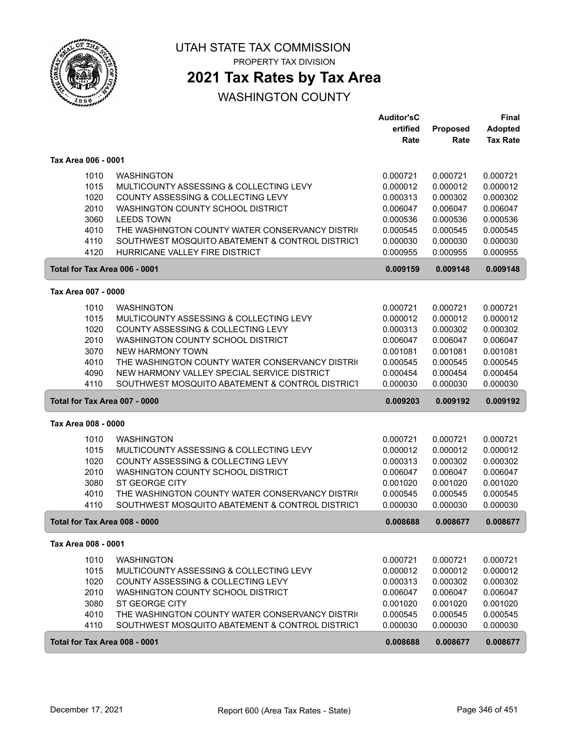

PROPERTY TAX DIVISION

## **2021 Tax Rates by Tax Area**

|                               |                                                 | Auditor'sC |          | Final           |
|-------------------------------|-------------------------------------------------|------------|----------|-----------------|
|                               |                                                 | ertified   | Proposed | <b>Adopted</b>  |
|                               |                                                 | Rate       | Rate     | <b>Tax Rate</b> |
| Tax Area 006 - 0001           |                                                 |            |          |                 |
| 1010                          | <b>WASHINGTON</b>                               | 0.000721   | 0.000721 | 0.000721        |
| 1015                          | MULTICOUNTY ASSESSING & COLLECTING LEVY         | 0.000012   | 0.000012 | 0.000012        |
| 1020                          | COUNTY ASSESSING & COLLECTING LEVY              | 0.000313   | 0.000302 | 0.000302        |
| 2010                          | WASHINGTON COUNTY SCHOOL DISTRICT               | 0.006047   | 0.006047 | 0.006047        |
| 3060                          | <b>LEEDS TOWN</b>                               | 0.000536   | 0.000536 | 0.000536        |
| 4010                          | THE WASHINGTON COUNTY WATER CONSERVANCY DISTRIC | 0.000545   | 0.000545 | 0.000545        |
| 4110                          | SOUTHWEST MOSQUITO ABATEMENT & CONTROL DISTRICT | 0.000030   | 0.000030 | 0.000030        |
| 4120                          | HURRICANE VALLEY FIRE DISTRICT                  | 0.000955   | 0.000955 | 0.000955        |
| Total for Tax Area 006 - 0001 |                                                 | 0.009159   | 0.009148 | 0.009148        |
| Tax Area 007 - 0000           |                                                 |            |          |                 |
| 1010                          | <b>WASHINGTON</b>                               | 0.000721   | 0.000721 | 0.000721        |
| 1015                          | MULTICOUNTY ASSESSING & COLLECTING LEVY         | 0.000012   | 0.000012 | 0.000012        |
| 1020                          | COUNTY ASSESSING & COLLECTING LEVY              | 0.000313   | 0.000302 | 0.000302        |
| 2010                          | WASHINGTON COUNTY SCHOOL DISTRICT               | 0.006047   | 0.006047 | 0.006047        |
| 3070                          | <b>NEW HARMONY TOWN</b>                         | 0.001081   | 0.001081 | 0.001081        |
| 4010                          | THE WASHINGTON COUNTY WATER CONSERVANCY DISTRIC | 0.000545   | 0.000545 | 0.000545        |
| 4090                          | NEW HARMONY VALLEY SPECIAL SERVICE DISTRICT     | 0.000454   | 0.000454 | 0.000454        |
| 4110                          | SOUTHWEST MOSQUITO ABATEMENT & CONTROL DISTRICT | 0.000030   | 0.000030 | 0.000030        |
| Total for Tax Area 007 - 0000 |                                                 | 0.009203   | 0.009192 | 0.009192        |
| Tax Area 008 - 0000           |                                                 |            |          |                 |
| 1010                          | <b>WASHINGTON</b>                               | 0.000721   | 0.000721 | 0.000721        |
| 1015                          | MULTICOUNTY ASSESSING & COLLECTING LEVY         | 0.000012   | 0.000012 | 0.000012        |
| 1020                          | COUNTY ASSESSING & COLLECTING LEVY              | 0.000313   | 0.000302 | 0.000302        |
| 2010                          | WASHINGTON COUNTY SCHOOL DISTRICT               | 0.006047   | 0.006047 | 0.006047        |
| 3080                          | ST GEORGE CITY                                  | 0.001020   | 0.001020 | 0.001020        |
| 4010                          | THE WASHINGTON COUNTY WATER CONSERVANCY DISTRIC | 0.000545   | 0.000545 | 0.000545        |
| 4110                          | SOUTHWEST MOSQUITO ABATEMENT & CONTROL DISTRICT | 0.000030   | 0.000030 | 0.000030        |
| Total for Tax Area 008 - 0000 |                                                 | 0.008688   | 0.008677 | 0.008677        |
| Tax Area 008 - 0001           |                                                 |            |          |                 |
| 1010                          | <b>WASHINGTON</b>                               | 0.000721   | 0.000721 | 0.000721        |
| 1015                          | MULTICOUNTY ASSESSING & COLLECTING LEVY         | 0.000012   | 0.000012 | 0.000012        |
| 1020                          | COUNTY ASSESSING & COLLECTING LEVY              | 0.000313   | 0.000302 | 0.000302        |
| 2010                          | WASHINGTON COUNTY SCHOOL DISTRICT               | 0.006047   | 0.006047 | 0.006047        |
| 3080                          | ST GEORGE CITY                                  | 0.001020   | 0.001020 | 0.001020        |
| 4010                          | THE WASHINGTON COUNTY WATER CONSERVANCY DISTRIC | 0.000545   | 0.000545 | 0.000545        |
| 4110                          | SOUTHWEST MOSQUITO ABATEMENT & CONTROL DISTRICT | 0.000030   | 0.000030 | 0.000030        |
| Total for Tax Area 008 - 0001 |                                                 | 0.008688   | 0.008677 | 0.008677        |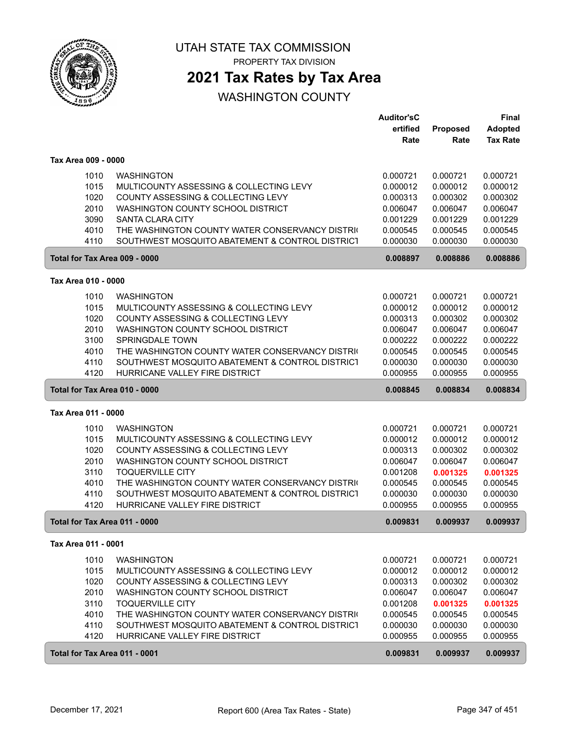

PROPERTY TAX DIVISION

## **2021 Tax Rates by Tax Area**

|                               |                                                                            | <b>Auditor'sC</b>    |                      | <b>Final</b>         |
|-------------------------------|----------------------------------------------------------------------------|----------------------|----------------------|----------------------|
|                               |                                                                            | ertified             | Proposed             | <b>Adopted</b>       |
|                               |                                                                            | Rate                 | Rate                 | <b>Tax Rate</b>      |
| Tax Area 009 - 0000           |                                                                            |                      |                      |                      |
|                               |                                                                            |                      |                      |                      |
| 1010                          | <b>WASHINGTON</b>                                                          | 0.000721             | 0.000721             | 0.000721             |
| 1015                          | MULTICOUNTY ASSESSING & COLLECTING LEVY                                    | 0.000012             | 0.000012             | 0.000012             |
| 1020                          | COUNTY ASSESSING & COLLECTING LEVY                                         | 0.000313             | 0.000302             | 0.000302             |
| 2010                          | WASHINGTON COUNTY SCHOOL DISTRICT                                          | 0.006047             | 0.006047             | 0.006047             |
| 3090<br>4010                  | <b>SANTA CLARA CITY</b><br>THE WASHINGTON COUNTY WATER CONSERVANCY DISTRIC | 0.001229<br>0.000545 | 0.001229<br>0.000545 | 0.001229<br>0.000545 |
| 4110                          | SOUTHWEST MOSQUITO ABATEMENT & CONTROL DISTRICT                            | 0.000030             | 0.000030             | 0.000030             |
| Total for Tax Area 009 - 0000 |                                                                            | 0.008897             | 0.008886             | 0.008886             |
|                               |                                                                            |                      |                      |                      |
| Tax Area 010 - 0000           |                                                                            |                      |                      |                      |
| 1010                          | <b>WASHINGTON</b>                                                          | 0.000721             | 0.000721             | 0.000721             |
| 1015                          | MULTICOUNTY ASSESSING & COLLECTING LEVY                                    | 0.000012             | 0.000012             | 0.000012             |
| 1020                          | COUNTY ASSESSING & COLLECTING LEVY                                         | 0.000313             | 0.000302             | 0.000302             |
| 2010                          | WASHINGTON COUNTY SCHOOL DISTRICT                                          | 0.006047             | 0.006047             | 0.006047             |
| 3100                          | <b>SPRINGDALE TOWN</b>                                                     | 0.000222             | 0.000222             | 0.000222             |
| 4010                          | THE WASHINGTON COUNTY WATER CONSERVANCY DISTRIC                            | 0.000545             | 0.000545             | 0.000545             |
| 4110                          | SOUTHWEST MOSQUITO ABATEMENT & CONTROL DISTRICT                            | 0.000030             | 0.000030             | 0.000030             |
| 4120                          | HURRICANE VALLEY FIRE DISTRICT                                             | 0.000955             | 0.000955             | 0.000955             |
| Total for Tax Area 010 - 0000 |                                                                            | 0.008845             | 0.008834             | 0.008834             |
| Tax Area 011 - 0000           |                                                                            |                      |                      |                      |
| 1010                          | <b>WASHINGTON</b>                                                          | 0.000721             | 0.000721             | 0.000721             |
| 1015                          | MULTICOUNTY ASSESSING & COLLECTING LEVY                                    | 0.000012             | 0.000012             | 0.000012             |
| 1020                          | COUNTY ASSESSING & COLLECTING LEVY                                         | 0.000313             | 0.000302             | 0.000302             |
| 2010                          | WASHINGTON COUNTY SCHOOL DISTRICT                                          | 0.006047             | 0.006047             | 0.006047             |
| 3110                          | <b>TOQUERVILLE CITY</b>                                                    | 0.001208             | 0.001325             | 0.001325             |
| 4010                          | THE WASHINGTON COUNTY WATER CONSERVANCY DISTRIC                            | 0.000545             | 0.000545             | 0.000545             |
| 4110                          | SOUTHWEST MOSQUITO ABATEMENT & CONTROL DISTRICT                            | 0.000030             | 0.000030             | 0.000030             |
| 4120                          | HURRICANE VALLEY FIRE DISTRICT                                             | 0.000955             | 0.000955             | 0.000955             |
| Total for Tax Area 011 - 0000 |                                                                            | 0.009831             | 0.009937             | 0.009937             |
| Tax Area 011 - 0001           |                                                                            |                      |                      |                      |
| 1010                          | <b>WASHINGTON</b>                                                          | 0.000721             | 0.000721             | 0.000721             |
| 1015                          | MULTICOUNTY ASSESSING & COLLECTING LEVY                                    | 0.000012             | 0.000012             | 0.000012             |
| 1020                          | COUNTY ASSESSING & COLLECTING LEVY                                         | 0.000313             | 0.000302             | 0.000302             |
| 2010                          | WASHINGTON COUNTY SCHOOL DISTRICT                                          | 0.006047             | 0.006047             | 0.006047             |
| 3110                          | <b>TOQUERVILLE CITY</b>                                                    | 0.001208             | 0.001325             | 0.001325             |
| 4010                          | THE WASHINGTON COUNTY WATER CONSERVANCY DISTRIC                            | 0.000545             | 0.000545             | 0.000545             |
| 4110                          | SOUTHWEST MOSQUITO ABATEMENT & CONTROL DISTRICT                            | 0.000030             | 0.000030             | 0.000030             |
| 4120                          | HURRICANE VALLEY FIRE DISTRICT                                             | 0.000955             | 0.000955             | 0.000955             |
| Total for Tax Area 011 - 0001 |                                                                            | 0.009831             | 0.009937             | 0.009937             |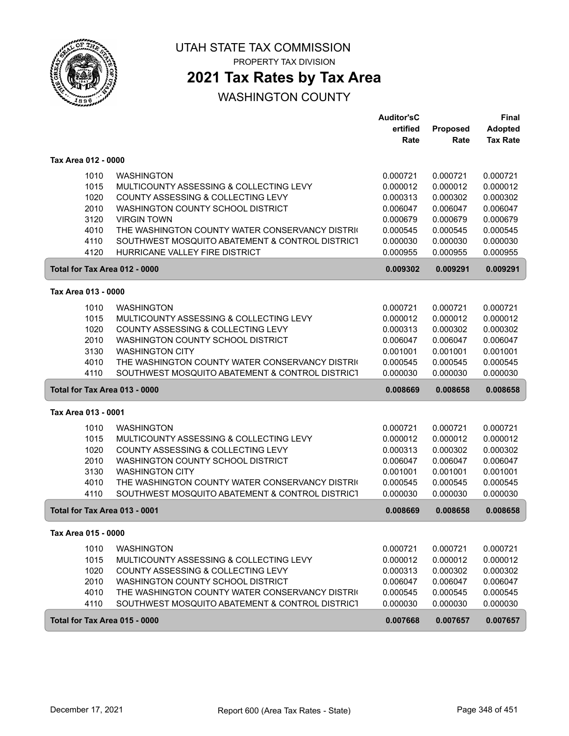

PROPERTY TAX DIVISION

## **2021 Tax Rates by Tax Area**

|                                                                               |                                                                                                                                                                                                                                                                                                       | <b>Auditor'sC</b><br>ertified<br>Rate                                                        | Proposed<br>Rate                                                                             | <b>Final</b><br><b>Adopted</b><br><b>Tax Rate</b>                                            |
|-------------------------------------------------------------------------------|-------------------------------------------------------------------------------------------------------------------------------------------------------------------------------------------------------------------------------------------------------------------------------------------------------|----------------------------------------------------------------------------------------------|----------------------------------------------------------------------------------------------|----------------------------------------------------------------------------------------------|
| Tax Area 012 - 0000                                                           |                                                                                                                                                                                                                                                                                                       |                                                                                              |                                                                                              |                                                                                              |
| 1010<br>1015<br>1020<br>2010<br>3120<br>4010<br>4110<br>4120                  | <b>WASHINGTON</b><br>MULTICOUNTY ASSESSING & COLLECTING LEVY<br>COUNTY ASSESSING & COLLECTING LEVY<br>WASHINGTON COUNTY SCHOOL DISTRICT<br><b>VIRGIN TOWN</b><br>THE WASHINGTON COUNTY WATER CONSERVANCY DISTRIC<br>SOUTHWEST MOSQUITO ABATEMENT & CONTROL DISTRICT<br>HURRICANE VALLEY FIRE DISTRICT | 0.000721<br>0.000012<br>0.000313<br>0.006047<br>0.000679<br>0.000545<br>0.000030<br>0.000955 | 0.000721<br>0.000012<br>0.000302<br>0.006047<br>0.000679<br>0.000545<br>0.000030<br>0.000955 | 0.000721<br>0.000012<br>0.000302<br>0.006047<br>0.000679<br>0.000545<br>0.000030<br>0.000955 |
| Total for Tax Area 012 - 0000                                                 |                                                                                                                                                                                                                                                                                                       | 0.009302                                                                                     | 0.009291                                                                                     | 0.009291                                                                                     |
| Tax Area 013 - 0000                                                           |                                                                                                                                                                                                                                                                                                       |                                                                                              |                                                                                              |                                                                                              |
| 1010<br>1015<br>1020<br>2010<br>3130<br>4010<br>4110                          | <b>WASHINGTON</b><br>MULTICOUNTY ASSESSING & COLLECTING LEVY<br>COUNTY ASSESSING & COLLECTING LEVY<br>WASHINGTON COUNTY SCHOOL DISTRICT<br><b>WASHINGTON CITY</b><br>THE WASHINGTON COUNTY WATER CONSERVANCY DISTRIC<br>SOUTHWEST MOSQUITO ABATEMENT & CONTROL DISTRICT                               | 0.000721<br>0.000012<br>0.000313<br>0.006047<br>0.001001<br>0.000545<br>0.000030             | 0.000721<br>0.000012<br>0.000302<br>0.006047<br>0.001001<br>0.000545<br>0.000030             | 0.000721<br>0.000012<br>0.000302<br>0.006047<br>0.001001<br>0.000545<br>0.000030             |
| Total for Tax Area 013 - 0000                                                 |                                                                                                                                                                                                                                                                                                       | 0.008669                                                                                     | 0.008658                                                                                     | 0.008658                                                                                     |
| Tax Area 013 - 0001                                                           |                                                                                                                                                                                                                                                                                                       |                                                                                              |                                                                                              |                                                                                              |
| 1010<br>1015<br>1020<br>2010<br>3130<br>4010<br>4110                          | <b>WASHINGTON</b><br>MULTICOUNTY ASSESSING & COLLECTING LEVY<br>COUNTY ASSESSING & COLLECTING LEVY<br>WASHINGTON COUNTY SCHOOL DISTRICT<br><b>WASHINGTON CITY</b><br>THE WASHINGTON COUNTY WATER CONSERVANCY DISTRIC<br>SOUTHWEST MOSQUITO ABATEMENT & CONTROL DISTRICT                               | 0.000721<br>0.000012<br>0.000313<br>0.006047<br>0.001001<br>0.000545<br>0.000030             | 0.000721<br>0.000012<br>0.000302<br>0.006047<br>0.001001<br>0.000545<br>0.000030             | 0.000721<br>0.000012<br>0.000302<br>0.006047<br>0.001001<br>0.000545<br>0.000030             |
| Total for Tax Area 013 - 0001                                                 |                                                                                                                                                                                                                                                                                                       | 0.008669                                                                                     | 0.008658                                                                                     | 0.008658                                                                                     |
| Tax Area 015 - 0000                                                           |                                                                                                                                                                                                                                                                                                       |                                                                                              |                                                                                              |                                                                                              |
| 1010<br>1015<br>1020<br>2010<br>4010<br>4110<br>Total for Tax Area 015 - 0000 | <b>WASHINGTON</b><br>MULTICOUNTY ASSESSING & COLLECTING LEVY<br>COUNTY ASSESSING & COLLECTING LEVY<br>WASHINGTON COUNTY SCHOOL DISTRICT<br>THE WASHINGTON COUNTY WATER CONSERVANCY DISTRIC<br>SOUTHWEST MOSQUITO ABATEMENT & CONTROL DISTRICT                                                         | 0.000721<br>0.000012<br>0.000313<br>0.006047<br>0.000545<br>0.000030<br>0.007668             | 0.000721<br>0.000012<br>0.000302<br>0.006047<br>0.000545<br>0.000030<br>0.007657             | 0.000721<br>0.000012<br>0.000302<br>0.006047<br>0.000545<br>0.000030<br>0.007657             |
|                                                                               |                                                                                                                                                                                                                                                                                                       |                                                                                              |                                                                                              |                                                                                              |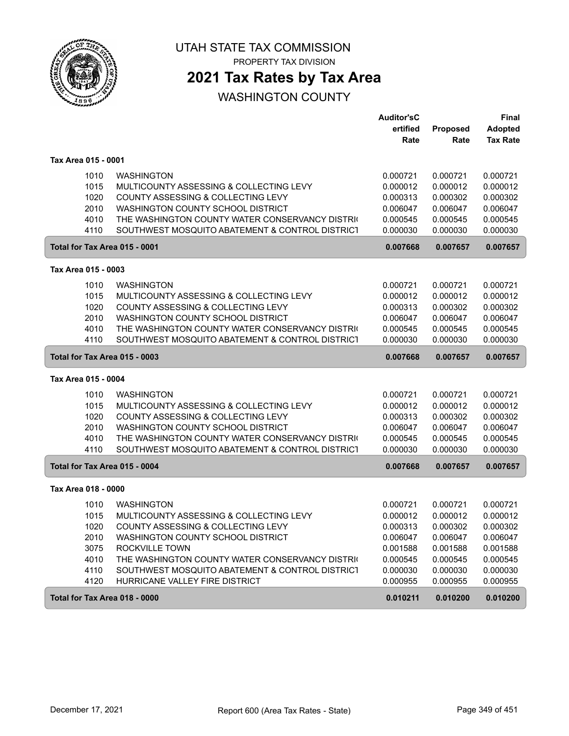

PROPERTY TAX DIVISION

## **2021 Tax Rates by Tax Area**

|                               |                                                                               | <b>Auditor'sC</b>    |                      | Final                |
|-------------------------------|-------------------------------------------------------------------------------|----------------------|----------------------|----------------------|
|                               |                                                                               | ertified             | Proposed             | <b>Adopted</b>       |
|                               |                                                                               | Rate                 | Rate                 | <b>Tax Rate</b>      |
| Tax Area 015 - 0001           |                                                                               |                      |                      |                      |
| 1010                          | <b>WASHINGTON</b>                                                             | 0.000721             | 0.000721             | 0.000721             |
| 1015                          | MULTICOUNTY ASSESSING & COLLECTING LEVY                                       | 0.000012             | 0.000012             | 0.000012             |
| 1020                          | COUNTY ASSESSING & COLLECTING LEVY                                            | 0.000313             | 0.000302             | 0.000302             |
| 2010                          | WASHINGTON COUNTY SCHOOL DISTRICT                                             | 0.006047             | 0.006047             | 0.006047             |
| 4010                          | THE WASHINGTON COUNTY WATER CONSERVANCY DISTRIC                               | 0.000545             | 0.000545             | 0.000545             |
| 4110                          | SOUTHWEST MOSQUITO ABATEMENT & CONTROL DISTRICT                               | 0.000030             | 0.000030             | 0.000030             |
| Total for Tax Area 015 - 0001 |                                                                               | 0.007668             | 0.007657             | 0.007657             |
| Tax Area 015 - 0003           |                                                                               |                      |                      |                      |
| 1010                          | <b>WASHINGTON</b>                                                             | 0.000721             | 0.000721             | 0.000721             |
| 1015                          | MULTICOUNTY ASSESSING & COLLECTING LEVY                                       | 0.000012             | 0.000012             | 0.000012             |
| 1020                          | COUNTY ASSESSING & COLLECTING LEVY                                            | 0.000313             | 0.000302             | 0.000302             |
| 2010                          | WASHINGTON COUNTY SCHOOL DISTRICT                                             | 0.006047             | 0.006047             | 0.006047             |
| 4010                          | THE WASHINGTON COUNTY WATER CONSERVANCY DISTRIC                               | 0.000545             | 0.000545             | 0.000545             |
| 4110                          | SOUTHWEST MOSQUITO ABATEMENT & CONTROL DISTRICT                               | 0.000030             | 0.000030             | 0.000030             |
| Total for Tax Area 015 - 0003 |                                                                               | 0.007668             | 0.007657             | 0.007657             |
| Tax Area 015 - 0004           |                                                                               |                      |                      |                      |
| 1010                          | <b>WASHINGTON</b>                                                             | 0.000721             | 0.000721             | 0.000721             |
| 1015                          | MULTICOUNTY ASSESSING & COLLECTING LEVY                                       | 0.000012             | 0.000012             | 0.000012             |
| 1020                          | COUNTY ASSESSING & COLLECTING LEVY                                            | 0.000313             | 0.000302             | 0.000302             |
| 2010                          | WASHINGTON COUNTY SCHOOL DISTRICT                                             | 0.006047             | 0.006047             | 0.006047             |
| 4010                          | THE WASHINGTON COUNTY WATER CONSERVANCY DISTRIC                               | 0.000545             | 0.000545             | 0.000545             |
| 4110                          | SOUTHWEST MOSQUITO ABATEMENT & CONTROL DISTRICT                               | 0.000030             | 0.000030             | 0.000030             |
| Total for Tax Area 015 - 0004 |                                                                               | 0.007668             | 0.007657             | 0.007657             |
| Tax Area 018 - 0000           |                                                                               |                      |                      |                      |
| 1010                          | <b>WASHINGTON</b>                                                             |                      |                      | 0.000721             |
|                               |                                                                               | 0.000721             | 0.000721             |                      |
| 1015<br>1020                  | MULTICOUNTY ASSESSING & COLLECTING LEVY<br>COUNTY ASSESSING & COLLECTING LEVY | 0.000012<br>0.000313 | 0.000012<br>0.000302 | 0.000012<br>0.000302 |
|                               |                                                                               | 0.006047             | 0.006047             |                      |
| 2010<br>3075                  | WASHINGTON COUNTY SCHOOL DISTRICT<br>ROCKVILLE TOWN                           | 0.001588             | 0.001588             | 0.006047<br>0.001588 |
| 4010                          | THE WASHINGTON COUNTY WATER CONSERVANCY DISTRIC                               | 0.000545             | 0.000545             | 0.000545             |
| 4110                          | SOUTHWEST MOSQUITO ABATEMENT & CONTROL DISTRICT                               | 0.000030             | 0.000030             |                      |
| 4120                          | HURRICANE VALLEY FIRE DISTRICT                                                | 0.000955             | 0.000955             | 0.000030<br>0.000955 |
|                               |                                                                               |                      |                      |                      |
| Total for Tax Area 018 - 0000 |                                                                               | 0.010211             | 0.010200             | 0.010200             |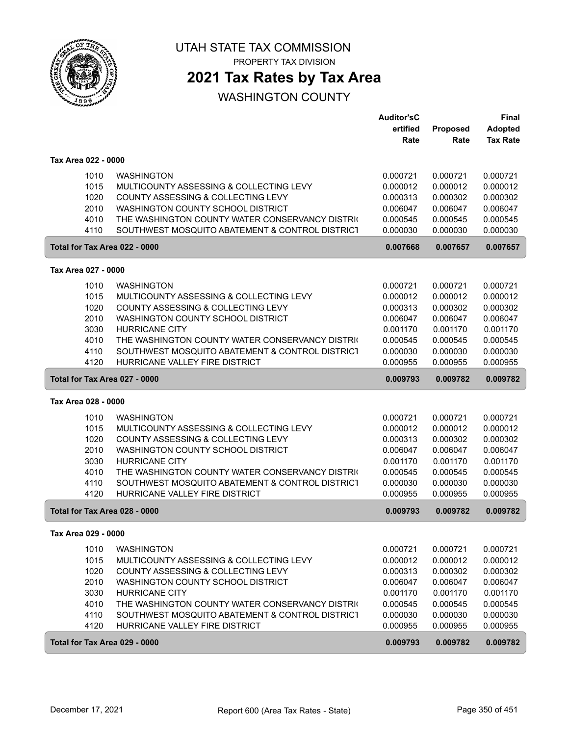

PROPERTY TAX DIVISION

## **2021 Tax Rates by Tax Area**

|                               |                                                 | <b>Auditor'sC</b> |          | Final           |
|-------------------------------|-------------------------------------------------|-------------------|----------|-----------------|
|                               |                                                 | ertified          | Proposed | Adopted         |
|                               |                                                 | Rate              | Rate     | <b>Tax Rate</b> |
| Tax Area 022 - 0000           |                                                 |                   |          |                 |
| 1010                          | <b>WASHINGTON</b>                               | 0.000721          | 0.000721 | 0.000721        |
| 1015                          | MULTICOUNTY ASSESSING & COLLECTING LEVY         | 0.000012          | 0.000012 | 0.000012        |
| 1020                          |                                                 |                   |          | 0.000302        |
|                               | COUNTY ASSESSING & COLLECTING LEVY              | 0.000313          | 0.000302 |                 |
| 2010                          | WASHINGTON COUNTY SCHOOL DISTRICT               | 0.006047          | 0.006047 | 0.006047        |
| 4010                          | THE WASHINGTON COUNTY WATER CONSERVANCY DISTRIC | 0.000545          | 0.000545 | 0.000545        |
| 4110                          | SOUTHWEST MOSQUITO ABATEMENT & CONTROL DISTRICT | 0.000030          | 0.000030 | 0.000030        |
| Total for Tax Area 022 - 0000 |                                                 | 0.007668          | 0.007657 | 0.007657        |
| Tax Area 027 - 0000           |                                                 |                   |          |                 |
| 1010                          | <b>WASHINGTON</b>                               | 0.000721          | 0.000721 | 0.000721        |
| 1015                          | MULTICOUNTY ASSESSING & COLLECTING LEVY         | 0.000012          | 0.000012 | 0.000012        |
| 1020                          | COUNTY ASSESSING & COLLECTING LEVY              | 0.000313          | 0.000302 | 0.000302        |
| 2010                          | WASHINGTON COUNTY SCHOOL DISTRICT               | 0.006047          | 0.006047 | 0.006047        |
| 3030                          | <b>HURRICANE CITY</b>                           | 0.001170          | 0.001170 | 0.001170        |
| 4010                          | THE WASHINGTON COUNTY WATER CONSERVANCY DISTRIC | 0.000545          | 0.000545 | 0.000545        |
| 4110                          | SOUTHWEST MOSQUITO ABATEMENT & CONTROL DISTRICT | 0.000030          | 0.000030 | 0.000030        |
| 4120                          | HURRICANE VALLEY FIRE DISTRICT                  | 0.000955          | 0.000955 | 0.000955        |
|                               |                                                 |                   |          |                 |
| Total for Tax Area 027 - 0000 |                                                 | 0.009793          | 0.009782 | 0.009782        |
| Tax Area 028 - 0000           |                                                 |                   |          |                 |
| 1010                          | <b>WASHINGTON</b>                               | 0.000721          | 0.000721 | 0.000721        |
| 1015                          | MULTICOUNTY ASSESSING & COLLECTING LEVY         | 0.000012          | 0.000012 | 0.000012        |
| 1020                          | COUNTY ASSESSING & COLLECTING LEVY              | 0.000313          | 0.000302 | 0.000302        |
| 2010                          | WASHINGTON COUNTY SCHOOL DISTRICT               | 0.006047          | 0.006047 | 0.006047        |
| 3030                          | <b>HURRICANE CITY</b>                           | 0.001170          | 0.001170 | 0.001170        |
| 4010                          | THE WASHINGTON COUNTY WATER CONSERVANCY DISTRIC | 0.000545          | 0.000545 | 0.000545        |
| 4110                          | SOUTHWEST MOSQUITO ABATEMENT & CONTROL DISTRICT | 0.000030          | 0.000030 | 0.000030        |
| 4120                          | HURRICANE VALLEY FIRE DISTRICT                  | 0.000955          | 0.000955 | 0.000955        |
| Total for Tax Area 028 - 0000 |                                                 | 0.009793          | 0.009782 | 0.009782        |
| Tax Area 029 - 0000           |                                                 |                   |          |                 |
|                               |                                                 |                   |          |                 |
| 1010                          | <b>WASHINGTON</b>                               | 0.000721          | 0.000721 | 0.000721        |
| 1015                          | MULTICOUNTY ASSESSING & COLLECTING LEVY         | 0.000012          | 0.000012 | 0.000012        |
| 1020                          | COUNTY ASSESSING & COLLECTING LEVY              | 0.000313          | 0.000302 | 0.000302        |
| 2010                          | WASHINGTON COUNTY SCHOOL DISTRICT               | 0.006047          | 0.006047 | 0.006047        |
| 3030                          | HURRICANE CITY                                  | 0.001170          | 0.001170 | 0.001170        |
| 4010                          | THE WASHINGTON COUNTY WATER CONSERVANCY DISTRIC | 0.000545          | 0.000545 | 0.000545        |
| 4110                          | SOUTHWEST MOSQUITO ABATEMENT & CONTROL DISTRICT | 0.000030          | 0.000030 | 0.000030        |
| 4120                          | HURRICANE VALLEY FIRE DISTRICT                  | 0.000955          | 0.000955 | 0.000955        |
| Total for Tax Area 029 - 0000 |                                                 | 0.009793          | 0.009782 | 0.009782        |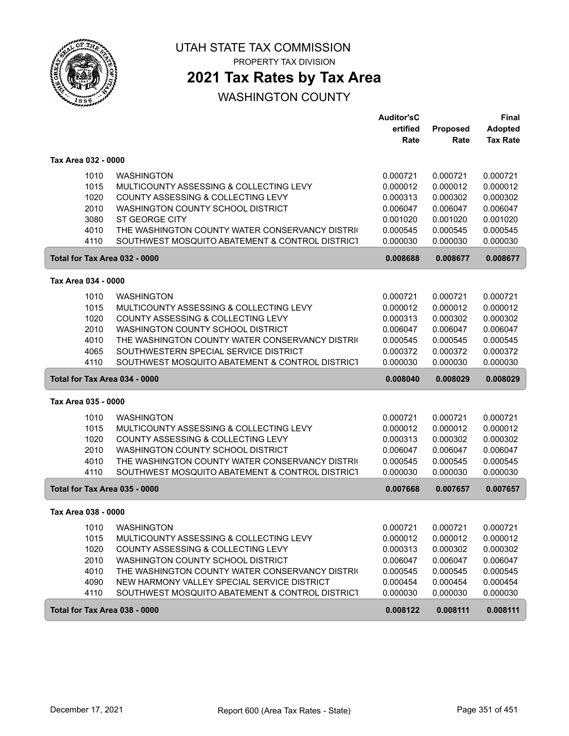

PROPERTY TAX DIVISION

## **2021 Tax Rates by Tax Area**

|                               |                                                 | <b>Auditor'sC</b> |          | Final           |
|-------------------------------|-------------------------------------------------|-------------------|----------|-----------------|
|                               |                                                 | ertified          | Proposed | <b>Adopted</b>  |
|                               |                                                 | Rate              | Rate     | <b>Tax Rate</b> |
| Tax Area 032 - 0000           |                                                 |                   |          |                 |
| 1010                          | <b>WASHINGTON</b>                               | 0.000721          | 0.000721 | 0.000721        |
| 1015                          | MULTICOUNTY ASSESSING & COLLECTING LEVY         | 0.000012          | 0.000012 | 0.000012        |
| 1020                          | COUNTY ASSESSING & COLLECTING LEVY              | 0.000313          | 0.000302 | 0.000302        |
| 2010                          | WASHINGTON COUNTY SCHOOL DISTRICT               | 0.006047          | 0.006047 | 0.006047        |
| 3080                          | <b>ST GEORGE CITY</b>                           | 0.001020          | 0.001020 | 0.001020        |
| 4010                          | THE WASHINGTON COUNTY WATER CONSERVANCY DISTRIC | 0.000545          | 0.000545 | 0.000545        |
| 4110                          | SOUTHWEST MOSQUITO ABATEMENT & CONTROL DISTRICT | 0.000030          | 0.000030 | 0.000030        |
| Total for Tax Area 032 - 0000 |                                                 | 0.008688          | 0.008677 | 0.008677        |
| Tax Area 034 - 0000           |                                                 |                   |          |                 |
| 1010                          | <b>WASHINGTON</b>                               | 0.000721          | 0.000721 | 0.000721        |
| 1015                          | MULTICOUNTY ASSESSING & COLLECTING LEVY         | 0.000012          | 0.000012 | 0.000012        |
| 1020                          | COUNTY ASSESSING & COLLECTING LEVY              | 0.000313          | 0.000302 | 0.000302        |
| 2010                          | WASHINGTON COUNTY SCHOOL DISTRICT               | 0.006047          | 0.006047 | 0.006047        |
| 4010                          | THE WASHINGTON COUNTY WATER CONSERVANCY DISTRIC | 0.000545          | 0.000545 | 0.000545        |
| 4065                          | SOUTHWESTERN SPECIAL SERVICE DISTRICT           | 0.000372          | 0.000372 | 0.000372        |
| 4110                          | SOUTHWEST MOSQUITO ABATEMENT & CONTROL DISTRICT | 0.000030          | 0.000030 | 0.000030        |
| Total for Tax Area 034 - 0000 |                                                 | 0.008040          | 0.008029 | 0.008029        |
| Tax Area 035 - 0000           |                                                 |                   |          |                 |
| 1010                          | <b>WASHINGTON</b>                               | 0.000721          | 0.000721 | 0.000721        |
| 1015                          | MULTICOUNTY ASSESSING & COLLECTING LEVY         | 0.000012          | 0.000012 | 0.000012        |
| 1020                          | COUNTY ASSESSING & COLLECTING LEVY              | 0.000313          | 0.000302 | 0.000302        |
| 2010                          | WASHINGTON COUNTY SCHOOL DISTRICT               | 0.006047          | 0.006047 | 0.006047        |
| 4010                          | THE WASHINGTON COUNTY WATER CONSERVANCY DISTRIC | 0.000545          | 0.000545 | 0.000545        |
| 4110                          | SOUTHWEST MOSQUITO ABATEMENT & CONTROL DISTRICT | 0.000030          | 0.000030 | 0.000030        |
| Total for Tax Area 035 - 0000 |                                                 | 0.007668          | 0.007657 | 0.007657        |
| Tax Area 038 - 0000           |                                                 |                   |          |                 |
| 1010                          | WASHINGTON                                      | 0.000721          | 0.000721 | 0.000721        |
| 1015                          | MULTICOUNTY ASSESSING & COLLECTING LEVY         | 0.000012          | 0.000012 | 0.000012        |
| 1020                          | COUNTY ASSESSING & COLLECTING LEVY              | 0.000313          | 0.000302 | 0.000302        |
| 2010                          | WASHINGTON COUNTY SCHOOL DISTRICT               | 0.006047          | 0.006047 | 0.006047        |
| 4010                          | THE WASHINGTON COUNTY WATER CONSERVANCY DISTRIC | 0.000545          | 0.000545 | 0.000545        |
| 4090                          | NEW HARMONY VALLEY SPECIAL SERVICE DISTRICT     | 0.000454          | 0.000454 | 0.000454        |
| 4110                          | SOUTHWEST MOSQUITO ABATEMENT & CONTROL DISTRICT | 0.000030          | 0.000030 | 0.000030        |
| Total for Tax Area 038 - 0000 |                                                 | 0.008122          | 0.008111 | 0.008111        |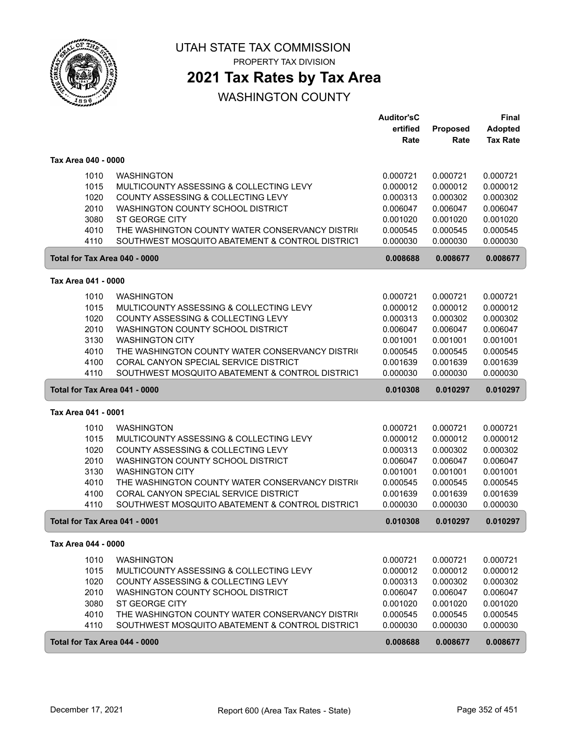

PROPERTY TAX DIVISION

## **2021 Tax Rates by Tax Area**

|                               |                                                 | <b>Auditor'sC</b> |          | <b>Final</b>    |
|-------------------------------|-------------------------------------------------|-------------------|----------|-----------------|
|                               |                                                 | ertified          | Proposed | <b>Adopted</b>  |
|                               |                                                 | Rate              | Rate     | <b>Tax Rate</b> |
| Tax Area 040 - 0000           |                                                 |                   |          |                 |
| 1010                          | <b>WASHINGTON</b>                               | 0.000721          | 0.000721 | 0.000721        |
| 1015                          | MULTICOUNTY ASSESSING & COLLECTING LEVY         | 0.000012          | 0.000012 | 0.000012        |
| 1020                          | COUNTY ASSESSING & COLLECTING LEVY              | 0.000313          | 0.000302 | 0.000302        |
| 2010                          | WASHINGTON COUNTY SCHOOL DISTRICT               | 0.006047          | 0.006047 | 0.006047        |
| 3080                          | <b>ST GEORGE CITY</b>                           | 0.001020          | 0.001020 | 0.001020        |
| 4010                          | THE WASHINGTON COUNTY WATER CONSERVANCY DISTRIC | 0.000545          | 0.000545 | 0.000545        |
| 4110                          | SOUTHWEST MOSQUITO ABATEMENT & CONTROL DISTRICT | 0.000030          | 0.000030 | 0.000030        |
| Total for Tax Area 040 - 0000 |                                                 | 0.008688          | 0.008677 | 0.008677        |
| Tax Area 041 - 0000           |                                                 |                   |          |                 |
| 1010                          | <b>WASHINGTON</b>                               | 0.000721          | 0.000721 | 0.000721        |
| 1015                          | MULTICOUNTY ASSESSING & COLLECTING LEVY         | 0.000012          | 0.000012 | 0.000012        |
| 1020                          | COUNTY ASSESSING & COLLECTING LEVY              | 0.000313          | 0.000302 | 0.000302        |
| 2010                          | WASHINGTON COUNTY SCHOOL DISTRICT               | 0.006047          | 0.006047 | 0.006047        |
| 3130                          | <b>WASHINGTON CITY</b>                          | 0.001001          | 0.001001 | 0.001001        |
| 4010                          | THE WASHINGTON COUNTY WATER CONSERVANCY DISTRIC | 0.000545          | 0.000545 | 0.000545        |
| 4100                          | CORAL CANYON SPECIAL SERVICE DISTRICT           | 0.001639          | 0.001639 | 0.001639        |
| 4110                          | SOUTHWEST MOSQUITO ABATEMENT & CONTROL DISTRICT | 0.000030          | 0.000030 | 0.000030        |
|                               | Total for Tax Area 041 - 0000                   | 0.010308          | 0.010297 | 0.010297        |
| Tax Area 041 - 0001           |                                                 |                   |          |                 |
| 1010                          | <b>WASHINGTON</b>                               | 0.000721          | 0.000721 | 0.000721        |
| 1015                          | MULTICOUNTY ASSESSING & COLLECTING LEVY         | 0.000012          | 0.000012 | 0.000012        |
| 1020                          | COUNTY ASSESSING & COLLECTING LEVY              | 0.000313          | 0.000302 | 0.000302        |
| 2010                          | WASHINGTON COUNTY SCHOOL DISTRICT               | 0.006047          | 0.006047 | 0.006047        |
| 3130                          | <b>WASHINGTON CITY</b>                          | 0.001001          | 0.001001 | 0.001001        |
| 4010                          | THE WASHINGTON COUNTY WATER CONSERVANCY DISTRIC | 0.000545          | 0.000545 | 0.000545        |
| 4100                          | CORAL CANYON SPECIAL SERVICE DISTRICT           | 0.001639          | 0.001639 | 0.001639        |
| 4110                          | SOUTHWEST MOSQUITO ABATEMENT & CONTROL DISTRICT | 0.000030          | 0.000030 | 0.000030        |
|                               | Total for Tax Area 041 - 0001                   | 0.010308          | 0.010297 | 0.010297        |
| Tax Area 044 - 0000           |                                                 |                   |          |                 |
| 1010                          | <b>WASHINGTON</b>                               | 0.000721          | 0.000721 | 0.000721        |
| 1015                          | MULTICOUNTY ASSESSING & COLLECTING LEVY         | 0.000012          | 0.000012 | 0.000012        |
| 1020                          | COUNTY ASSESSING & COLLECTING LEVY              | 0.000313          | 0.000302 | 0.000302        |
| 2010                          | WASHINGTON COUNTY SCHOOL DISTRICT               | 0.006047          | 0.006047 | 0.006047        |
| 3080                          | ST GEORGE CITY                                  | 0.001020          | 0.001020 | 0.001020        |
| 4010                          | THE WASHINGTON COUNTY WATER CONSERVANCY DISTRIC | 0.000545          | 0.000545 | 0.000545        |
| 4110                          | SOUTHWEST MOSQUITO ABATEMENT & CONTROL DISTRICT | 0.000030          | 0.000030 | 0.000030        |
|                               | Total for Tax Area 044 - 0000                   | 0.008688          | 0.008677 | 0.008677        |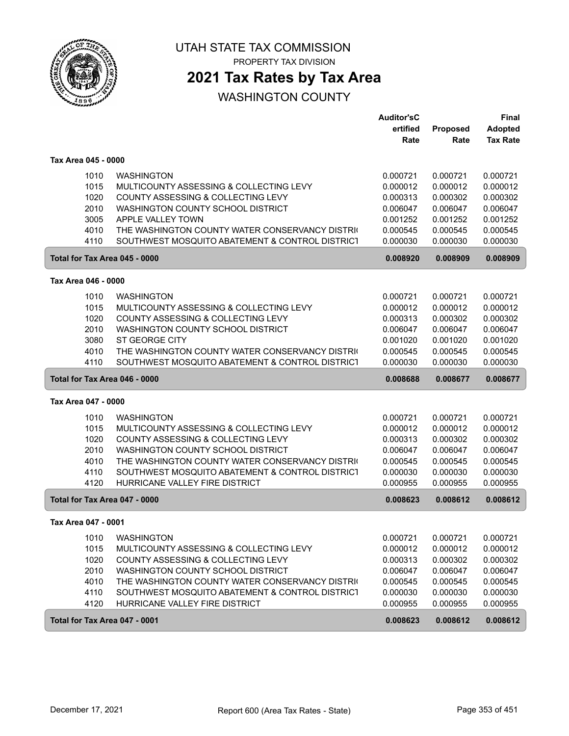

PROPERTY TAX DIVISION

## **2021 Tax Rates by Tax Area**

|                               |                                                 | <b>Auditor'sC</b> |          | Final           |
|-------------------------------|-------------------------------------------------|-------------------|----------|-----------------|
|                               |                                                 | ertified          | Proposed | <b>Adopted</b>  |
|                               |                                                 | Rate              | Rate     | <b>Tax Rate</b> |
| Tax Area 045 - 0000           |                                                 |                   |          |                 |
| 1010                          | <b>WASHINGTON</b>                               | 0.000721          | 0.000721 | 0.000721        |
| 1015                          | MULTICOUNTY ASSESSING & COLLECTING LEVY         | 0.000012          | 0.000012 | 0.000012        |
| 1020                          | COUNTY ASSESSING & COLLECTING LEVY              | 0.000313          | 0.000302 | 0.000302        |
| 2010                          | WASHINGTON COUNTY SCHOOL DISTRICT               | 0.006047          | 0.006047 | 0.006047        |
| 3005                          | APPLE VALLEY TOWN                               | 0.001252          | 0.001252 | 0.001252        |
| 4010                          | THE WASHINGTON COUNTY WATER CONSERVANCY DISTRIC | 0.000545          | 0.000545 | 0.000545        |
| 4110                          | SOUTHWEST MOSQUITO ABATEMENT & CONTROL DISTRICT | 0.000030          | 0.000030 | 0.000030        |
| Total for Tax Area 045 - 0000 |                                                 | 0.008920          | 0.008909 | 0.008909        |
| Tax Area 046 - 0000           |                                                 |                   |          |                 |
| 1010                          | <b>WASHINGTON</b>                               | 0.000721          | 0.000721 | 0.000721        |
| 1015                          | MULTICOUNTY ASSESSING & COLLECTING LEVY         | 0.000012          | 0.000012 | 0.000012        |
| 1020                          | COUNTY ASSESSING & COLLECTING LEVY              | 0.000313          | 0.000302 | 0.000302        |
| 2010                          | WASHINGTON COUNTY SCHOOL DISTRICT               | 0.006047          | 0.006047 | 0.006047        |
| 3080                          | <b>ST GEORGE CITY</b>                           | 0.001020          | 0.001020 | 0.001020        |
| 4010                          | THE WASHINGTON COUNTY WATER CONSERVANCY DISTRIC | 0.000545          | 0.000545 | 0.000545        |
| 4110                          | SOUTHWEST MOSQUITO ABATEMENT & CONTROL DISTRICT | 0.000030          | 0.000030 | 0.000030        |
|                               |                                                 |                   |          |                 |
| Total for Tax Area 046 - 0000 |                                                 | 0.008688          | 0.008677 | 0.008677        |
| Tax Area 047 - 0000           |                                                 |                   |          |                 |
| 1010                          | <b>WASHINGTON</b>                               | 0.000721          | 0.000721 | 0.000721        |
| 1015                          | MULTICOUNTY ASSESSING & COLLECTING LEVY         | 0.000012          | 0.000012 | 0.000012        |
| 1020                          | COUNTY ASSESSING & COLLECTING LEVY              | 0.000313          | 0.000302 | 0.000302        |
| 2010                          | WASHINGTON COUNTY SCHOOL DISTRICT               | 0.006047          | 0.006047 | 0.006047        |
| 4010                          | THE WASHINGTON COUNTY WATER CONSERVANCY DISTRIC | 0.000545          | 0.000545 | 0.000545        |
| 4110                          | SOUTHWEST MOSQUITO ABATEMENT & CONTROL DISTRICT | 0.000030          | 0.000030 | 0.000030        |
| 4120                          | HURRICANE VALLEY FIRE DISTRICT                  | 0.000955          | 0.000955 | 0.000955        |
| Total for Tax Area 047 - 0000 |                                                 | 0.008623          | 0.008612 | 0.008612        |
| Tax Area 047 - 0001           |                                                 |                   |          |                 |
| 1010                          | <b>WASHINGTON</b>                               | 0.000721          | 0.000721 | 0.000721        |
| 1015                          | MULTICOUNTY ASSESSING & COLLECTING LEVY         | 0.000012          | 0.000012 | 0.000012        |
| 1020                          | COUNTY ASSESSING & COLLECTING LEVY              | 0.000313          | 0.000302 | 0.000302        |
| 2010                          | WASHINGTON COUNTY SCHOOL DISTRICT               | 0.006047          | 0.006047 | 0.006047        |
| 4010                          | THE WASHINGTON COUNTY WATER CONSERVANCY DISTRIC | 0.000545          | 0.000545 | 0.000545        |
| 4110                          | SOUTHWEST MOSQUITO ABATEMENT & CONTROL DISTRICT | 0.000030          | 0.000030 | 0.000030        |
| 4120                          | HURRICANE VALLEY FIRE DISTRICT                  | 0.000955          | 0.000955 | 0.000955        |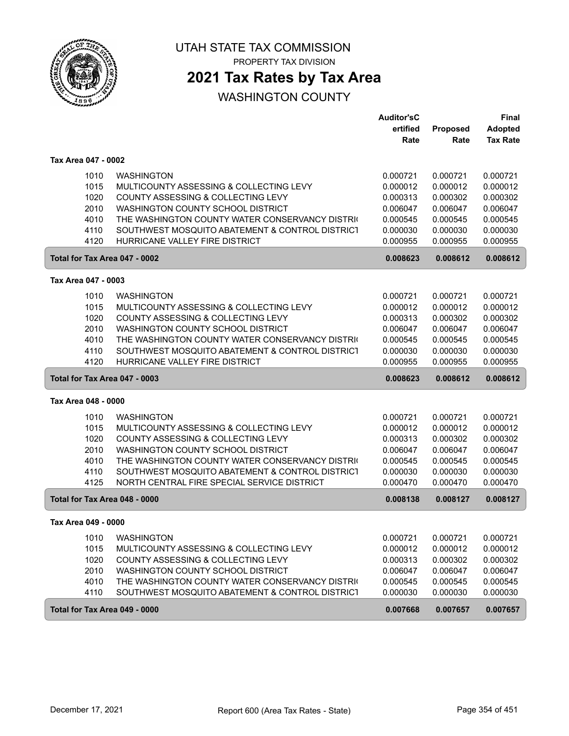

PROPERTY TAX DIVISION

## **2021 Tax Rates by Tax Area**

|                               |                                                 | <b>Auditor'sC</b> |          | <b>Final</b>    |
|-------------------------------|-------------------------------------------------|-------------------|----------|-----------------|
|                               |                                                 | ertified          | Proposed | <b>Adopted</b>  |
|                               |                                                 | Rate              | Rate     | <b>Tax Rate</b> |
| Tax Area 047 - 0002           |                                                 |                   |          |                 |
| 1010                          | <b>WASHINGTON</b>                               | 0.000721          | 0.000721 | 0.000721        |
| 1015                          | MULTICOUNTY ASSESSING & COLLECTING LEVY         | 0.000012          | 0.000012 | 0.000012        |
| 1020                          | COUNTY ASSESSING & COLLECTING LEVY              | 0.000313          | 0.000302 | 0.000302        |
| 2010                          | WASHINGTON COUNTY SCHOOL DISTRICT               | 0.006047          | 0.006047 | 0.006047        |
| 4010                          | THE WASHINGTON COUNTY WATER CONSERVANCY DISTRIC | 0.000545          | 0.000545 | 0.000545        |
| 4110                          | SOUTHWEST MOSQUITO ABATEMENT & CONTROL DISTRICT | 0.000030          | 0.000030 | 0.000030        |
| 4120                          | HURRICANE VALLEY FIRE DISTRICT                  | 0.000955          | 0.000955 | 0.000955        |
| Total for Tax Area 047 - 0002 |                                                 | 0.008623          | 0.008612 | 0.008612        |
| Tax Area 047 - 0003           |                                                 |                   |          |                 |
|                               |                                                 |                   |          |                 |
| 1010                          | <b>WASHINGTON</b>                               | 0.000721          | 0.000721 | 0.000721        |
| 1015                          | MULTICOUNTY ASSESSING & COLLECTING LEVY         | 0.000012          | 0.000012 | 0.000012        |
| 1020                          | COUNTY ASSESSING & COLLECTING LEVY              | 0.000313          | 0.000302 | 0.000302        |
| 2010                          | WASHINGTON COUNTY SCHOOL DISTRICT               | 0.006047          | 0.006047 | 0.006047        |
| 4010                          | THE WASHINGTON COUNTY WATER CONSERVANCY DISTRIC | 0.000545          | 0.000545 | 0.000545        |
| 4110                          | SOUTHWEST MOSQUITO ABATEMENT & CONTROL DISTRICT | 0.000030          | 0.000030 | 0.000030        |
| 4120                          | HURRICANE VALLEY FIRE DISTRICT                  | 0.000955          | 0.000955 | 0.000955        |
| Total for Tax Area 047 - 0003 |                                                 | 0.008623          | 0.008612 | 0.008612        |
| Tax Area 048 - 0000           |                                                 |                   |          |                 |
| 1010                          | <b>WASHINGTON</b>                               | 0.000721          | 0.000721 | 0.000721        |
| 1015                          | MULTICOUNTY ASSESSING & COLLECTING LEVY         | 0.000012          | 0.000012 | 0.000012        |
| 1020                          | COUNTY ASSESSING & COLLECTING LEVY              | 0.000313          | 0.000302 | 0.000302        |
| 2010                          | WASHINGTON COUNTY SCHOOL DISTRICT               | 0.006047          | 0.006047 | 0.006047        |
| 4010                          | THE WASHINGTON COUNTY WATER CONSERVANCY DISTRIC | 0.000545          | 0.000545 | 0.000545        |
| 4110                          | SOUTHWEST MOSQUITO ABATEMENT & CONTROL DISTRICT | 0.000030          | 0.000030 | 0.000030        |
| 4125                          | NORTH CENTRAL FIRE SPECIAL SERVICE DISTRICT     | 0.000470          | 0.000470 | 0.000470        |
| Total for Tax Area 048 - 0000 |                                                 | 0.008138          | 0.008127 | 0.008127        |
| Tax Area 049 - 0000           |                                                 |                   |          |                 |
| 1010                          | <b>WASHINGTON</b>                               | 0.000721          | 0.000721 | 0.000721        |
| 1015                          | MULTICOUNTY ASSESSING & COLLECTING LEVY         | 0.000012          | 0.000012 | 0.000012        |
| 1020                          | COUNTY ASSESSING & COLLECTING LEVY              | 0.000313          | 0.000302 | 0.000302        |
| 2010                          | WASHINGTON COUNTY SCHOOL DISTRICT               | 0.006047          | 0.006047 | 0.006047        |
| 4010                          | THE WASHINGTON COUNTY WATER CONSERVANCY DISTRIC | 0.000545          | 0.000545 | 0.000545        |
| 4110                          | SOUTHWEST MOSQUITO ABATEMENT & CONTROL DISTRICT | 0.000030          | 0.000030 | 0.000030        |
| Total for Tax Area 049 - 0000 |                                                 | 0.007668          | 0.007657 | 0.007657        |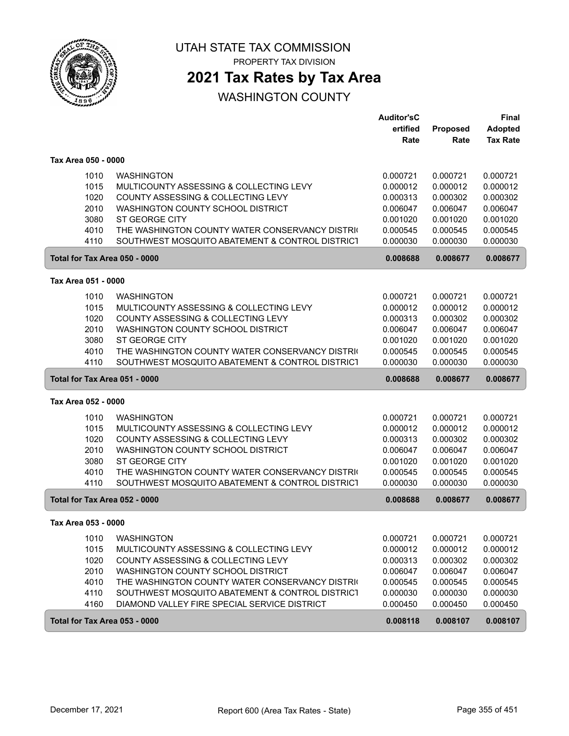

PROPERTY TAX DIVISION

## **2021 Tax Rates by Tax Area**

|                               |                                                                                                    | <b>Auditor'sC</b>    |                      | Final                |
|-------------------------------|----------------------------------------------------------------------------------------------------|----------------------|----------------------|----------------------|
|                               |                                                                                                    | ertified             | Proposed             | <b>Adopted</b>       |
|                               |                                                                                                    | Rate                 | Rate                 | <b>Tax Rate</b>      |
| Tax Area 050 - 0000           |                                                                                                    |                      |                      |                      |
| 1010                          | <b>WASHINGTON</b>                                                                                  | 0.000721             | 0.000721             | 0.000721             |
| 1015                          | MULTICOUNTY ASSESSING & COLLECTING LEVY                                                            | 0.000012             | 0.000012             | 0.000012             |
| 1020                          | COUNTY ASSESSING & COLLECTING LEVY                                                                 | 0.000313             | 0.000302             | 0.000302             |
| 2010                          | WASHINGTON COUNTY SCHOOL DISTRICT                                                                  | 0.006047             | 0.006047             | 0.006047             |
| 3080                          | ST GEORGE CITY                                                                                     | 0.001020             | 0.001020             | 0.001020             |
| 4010                          | THE WASHINGTON COUNTY WATER CONSERVANCY DISTRIC                                                    | 0.000545             | 0.000545             | 0.000545             |
| 4110                          | SOUTHWEST MOSQUITO ABATEMENT & CONTROL DISTRICT                                                    | 0.000030             | 0.000030             | 0.000030             |
| Total for Tax Area 050 - 0000 |                                                                                                    | 0.008688             | 0.008677             | 0.008677             |
| Tax Area 051 - 0000           |                                                                                                    |                      |                      |                      |
| 1010                          | <b>WASHINGTON</b>                                                                                  | 0.000721             | 0.000721             | 0.000721             |
| 1015                          | MULTICOUNTY ASSESSING & COLLECTING LEVY                                                            | 0.000012             | 0.000012             | 0.000012             |
| 1020                          | COUNTY ASSESSING & COLLECTING LEVY                                                                 | 0.000313             | 0.000302             | 0.000302             |
| 2010                          | WASHINGTON COUNTY SCHOOL DISTRICT                                                                  | 0.006047             | 0.006047             | 0.006047             |
| 3080                          | <b>ST GEORGE CITY</b>                                                                              | 0.001020             | 0.001020             | 0.001020             |
| 4010                          | THE WASHINGTON COUNTY WATER CONSERVANCY DISTRIC                                                    | 0.000545             | 0.000545             | 0.000545             |
| 4110                          | SOUTHWEST MOSQUITO ABATEMENT & CONTROL DISTRICT                                                    | 0.000030             | 0.000030             | 0.000030             |
| Total for Tax Area 051 - 0000 |                                                                                                    | 0.008688             | 0.008677             | 0.008677             |
|                               |                                                                                                    |                      |                      |                      |
| Tax Area 052 - 0000           |                                                                                                    |                      |                      |                      |
|                               | <b>WASHINGTON</b>                                                                                  |                      |                      |                      |
| 1010                          |                                                                                                    | 0.000721             | 0.000721             | 0.000721             |
| 1015                          | MULTICOUNTY ASSESSING & COLLECTING LEVY                                                            | 0.000012             | 0.000012             | 0.000012             |
| 1020                          | COUNTY ASSESSING & COLLECTING LEVY<br><b>WASHINGTON COUNTY SCHOOL DISTRICT</b>                     | 0.000313             | 0.000302             | 0.000302             |
| 2010<br>3080                  | ST GEORGE CITY                                                                                     | 0.006047<br>0.001020 | 0.006047<br>0.001020 | 0.006047<br>0.001020 |
|                               |                                                                                                    |                      |                      |                      |
| 4010<br>4110                  | THE WASHINGTON COUNTY WATER CONSERVANCY DISTRIC<br>SOUTHWEST MOSQUITO ABATEMENT & CONTROL DISTRICT | 0.000545<br>0.000030 | 0.000545<br>0.000030 | 0.000545<br>0.000030 |
| Total for Tax Area 052 - 0000 |                                                                                                    | 0.008688             | 0.008677             | 0.008677             |
| Tax Area 053 - 0000           |                                                                                                    |                      |                      |                      |
|                               | <b>WASHINGTON</b>                                                                                  |                      |                      |                      |
| 1010                          | MULTICOUNTY ASSESSING & COLLECTING LEVY                                                            | 0.000721             | 0.000721             | 0.000721             |
| 1015                          |                                                                                                    | 0.000012             | 0.000012             | 0.000012             |
| 1020                          | COUNTY ASSESSING & COLLECTING LEVY                                                                 | 0.000313             | 0.000302             | 0.000302             |
| 2010                          | WASHINGTON COUNTY SCHOOL DISTRICT                                                                  | 0.006047             | 0.006047             | 0.006047             |
| 4010                          | THE WASHINGTON COUNTY WATER CONSERVANCY DISTRIC                                                    | 0.000545             | 0.000545             | 0.000545             |
| 4110<br>4160                  | SOUTHWEST MOSQUITO ABATEMENT & CONTROL DISTRICT<br>DIAMOND VALLEY FIRE SPECIAL SERVICE DISTRICT    | 0.000030<br>0.000450 | 0.000030<br>0.000450 | 0.000030<br>0.000450 |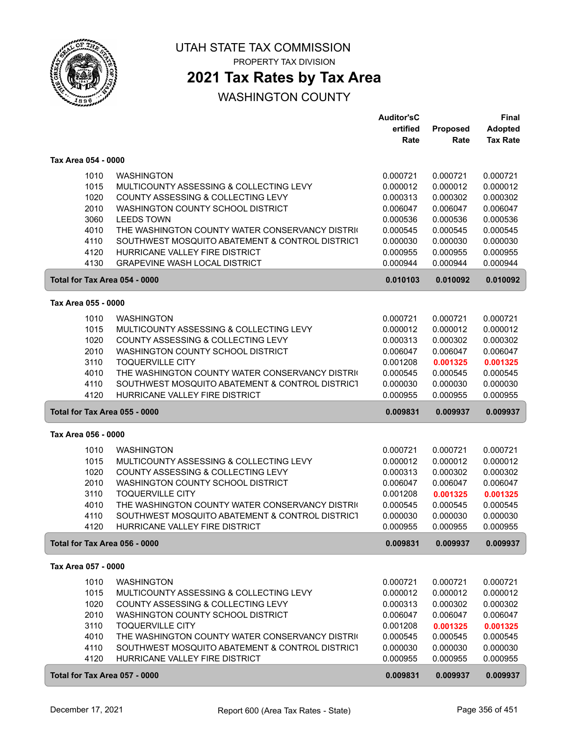

PROPERTY TAX DIVISION

## **2021 Tax Rates by Tax Area**

|                               |                                                 | <b>Auditor'sC</b> |          | <b>Final</b>    |
|-------------------------------|-------------------------------------------------|-------------------|----------|-----------------|
|                               |                                                 | ertified          | Proposed | <b>Adopted</b>  |
|                               |                                                 | Rate              | Rate     | <b>Tax Rate</b> |
|                               |                                                 |                   |          |                 |
| Tax Area 054 - 0000           |                                                 |                   |          |                 |
| 1010                          | <b>WASHINGTON</b>                               | 0.000721          | 0.000721 | 0.000721        |
| 1015                          | MULTICOUNTY ASSESSING & COLLECTING LEVY         | 0.000012          | 0.000012 | 0.000012        |
| 1020                          | COUNTY ASSESSING & COLLECTING LEVY              | 0.000313          | 0.000302 | 0.000302        |
| 2010                          | WASHINGTON COUNTY SCHOOL DISTRICT               | 0.006047          | 0.006047 | 0.006047        |
| 3060                          | <b>LEEDS TOWN</b>                               | 0.000536          | 0.000536 | 0.000536        |
| 4010                          | THE WASHINGTON COUNTY WATER CONSERVANCY DISTRIC | 0.000545          | 0.000545 | 0.000545        |
| 4110                          | SOUTHWEST MOSQUITO ABATEMENT & CONTROL DISTRICT | 0.000030          | 0.000030 | 0.000030        |
| 4120                          | HURRICANE VALLEY FIRE DISTRICT                  | 0.000955          | 0.000955 | 0.000955        |
| 4130                          | <b>GRAPEVINE WASH LOCAL DISTRICT</b>            | 0.000944          | 0.000944 | 0.000944        |
| Total for Tax Area 054 - 0000 |                                                 | 0.010103          | 0.010092 | 0.010092        |
| Tax Area 055 - 0000           |                                                 |                   |          |                 |
| 1010                          | <b>WASHINGTON</b>                               | 0.000721          | 0.000721 | 0.000721        |
| 1015                          | MULTICOUNTY ASSESSING & COLLECTING LEVY         | 0.000012          | 0.000012 | 0.000012        |
| 1020                          | COUNTY ASSESSING & COLLECTING LEVY              | 0.000313          | 0.000302 | 0.000302        |
| 2010                          | WASHINGTON COUNTY SCHOOL DISTRICT               | 0.006047          | 0.006047 | 0.006047        |
| 3110                          | <b>TOQUERVILLE CITY</b>                         | 0.001208          | 0.001325 | 0.001325        |
| 4010                          | THE WASHINGTON COUNTY WATER CONSERVANCY DISTRIC | 0.000545          | 0.000545 | 0.000545        |
| 4110                          | SOUTHWEST MOSQUITO ABATEMENT & CONTROL DISTRICT | 0.000030          | 0.000030 | 0.000030        |
| 4120                          | HURRICANE VALLEY FIRE DISTRICT                  | 0.000955          | 0.000955 | 0.000955        |
| Total for Tax Area 055 - 0000 |                                                 | 0.009831          | 0.009937 | 0.009937        |
|                               |                                                 |                   |          |                 |
| Tax Area 056 - 0000           |                                                 |                   |          |                 |
| 1010                          | <b>WASHINGTON</b>                               | 0.000721          | 0.000721 | 0.000721        |
| 1015                          | MULTICOUNTY ASSESSING & COLLECTING LEVY         | 0.000012          | 0.000012 | 0.000012        |
| 1020                          | COUNTY ASSESSING & COLLECTING LEVY              | 0.000313          | 0.000302 | 0.000302        |
| 2010                          | WASHINGTON COUNTY SCHOOL DISTRICT               | 0.006047          | 0.006047 | 0.006047        |
| 3110                          | <b>TOQUERVILLE CITY</b>                         | 0.001208          | 0.001325 | 0.001325        |
| 4010                          | THE WASHINGTON COUNTY WATER CONSERVANCY DISTRIC | 0.000545          | 0.000545 | 0.000545        |
| 4110                          | SOUTHWEST MOSQUITO ABATEMENT & CONTROL DISTRICT | 0.000030          | 0.000030 | 0.000030        |
| 4120                          | HURRICANE VALLEY FIRE DISTRICT                  | 0.000955          | 0.000955 | 0.000955        |
| Total for Tax Area 056 - 0000 |                                                 | 0.009831          | 0.009937 | 0.009937        |
| Tax Area 057 - 0000           |                                                 |                   |          |                 |
| 1010                          | <b>WASHINGTON</b>                               | 0.000721          | 0.000721 | 0.000721        |
| 1015                          | MULTICOUNTY ASSESSING & COLLECTING LEVY         | 0.000012          | 0.000012 | 0.000012        |
| 1020                          | COUNTY ASSESSING & COLLECTING LEVY              | 0.000313          | 0.000302 | 0.000302        |
| 2010                          | WASHINGTON COUNTY SCHOOL DISTRICT               | 0.006047          | 0.006047 | 0.006047        |
| 3110                          | <b>TOQUERVILLE CITY</b>                         | 0.001208          | 0.001325 | 0.001325        |
| 4010                          | THE WASHINGTON COUNTY WATER CONSERVANCY DISTRIC | 0.000545          | 0.000545 | 0.000545        |
| 4110                          | SOUTHWEST MOSQUITO ABATEMENT & CONTROL DISTRICT | 0.000030          | 0.000030 | 0.000030        |
| 4120                          | HURRICANE VALLEY FIRE DISTRICT                  | 0.000955          | 0.000955 | 0.000955        |
| Total for Tax Area 057 - 0000 |                                                 | 0.009831          | 0.009937 | 0.009937        |
|                               |                                                 |                   |          |                 |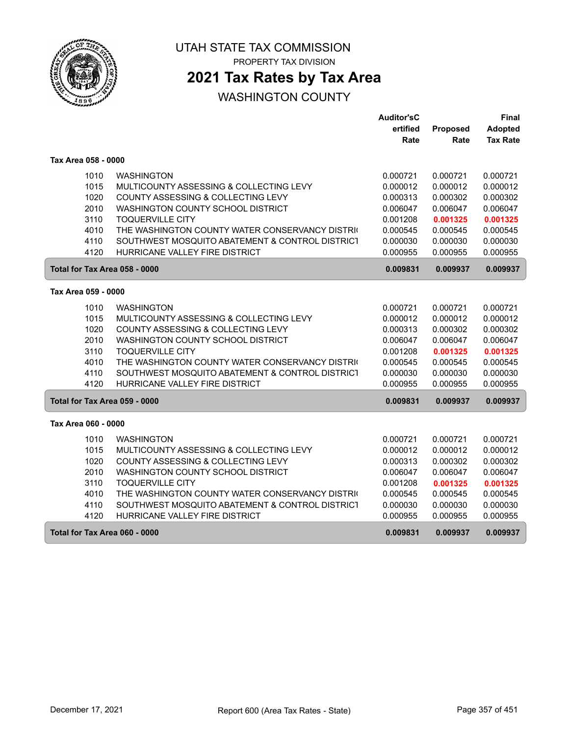

PROPERTY TAX DIVISION

## **2021 Tax Rates by Tax Area**

|                               |                                                 | Auditor'sC |          | Final           |
|-------------------------------|-------------------------------------------------|------------|----------|-----------------|
|                               |                                                 | ertified   | Proposed | <b>Adopted</b>  |
|                               |                                                 | Rate       | Rate     | <b>Tax Rate</b> |
| Tax Area 058 - 0000           |                                                 |            |          |                 |
| 1010                          | <b>WASHINGTON</b>                               | 0.000721   | 0.000721 | 0.000721        |
| 1015                          | MULTICOUNTY ASSESSING & COLLECTING LEVY         | 0.000012   | 0.000012 | 0.000012        |
| 1020                          | COUNTY ASSESSING & COLLECTING LEVY              | 0.000313   | 0.000302 | 0.000302        |
| 2010                          | WASHINGTON COUNTY SCHOOL DISTRICT               | 0.006047   | 0.006047 | 0.006047        |
| 3110                          | <b>TOQUERVILLE CITY</b>                         | 0.001208   | 0.001325 | 0.001325        |
| 4010                          | THE WASHINGTON COUNTY WATER CONSERVANCY DISTRIC | 0.000545   | 0.000545 | 0.000545        |
| 4110                          | SOUTHWEST MOSQUITO ABATEMENT & CONTROL DISTRICT | 0.000030   | 0.000030 | 0.000030        |
| 4120                          | HURRICANE VALLEY FIRE DISTRICT                  | 0.000955   | 0.000955 | 0.000955        |
| Total for Tax Area 058 - 0000 |                                                 | 0.009831   | 0.009937 | 0.009937        |
| Tax Area 059 - 0000           |                                                 |            |          |                 |
| 1010                          | <b>WASHINGTON</b>                               | 0.000721   | 0.000721 | 0.000721        |
| 1015                          | MULTICOUNTY ASSESSING & COLLECTING LEVY         | 0.000012   | 0.000012 | 0.000012        |
| 1020                          | COUNTY ASSESSING & COLLECTING LEVY              | 0.000313   | 0.000302 | 0.000302        |
| 2010                          | WASHINGTON COUNTY SCHOOL DISTRICT               | 0.006047   | 0.006047 | 0.006047        |
| 3110                          | <b>TOQUERVILLE CITY</b>                         | 0.001208   | 0.001325 | 0.001325        |
| 4010                          | THE WASHINGTON COUNTY WATER CONSERVANCY DISTRIC | 0.000545   | 0.000545 | 0.000545        |
| 4110                          | SOUTHWEST MOSQUITO ABATEMENT & CONTROL DISTRICT | 0.000030   | 0.000030 | 0.000030        |
| 4120                          | HURRICANE VALLEY FIRE DISTRICT                  | 0.000955   | 0.000955 | 0.000955        |
| Total for Tax Area 059 - 0000 |                                                 | 0.009831   | 0.009937 | 0.009937        |
| Tax Area 060 - 0000           |                                                 |            |          |                 |
| 1010                          | <b>WASHINGTON</b>                               | 0.000721   | 0.000721 | 0.000721        |
| 1015                          | MULTICOUNTY ASSESSING & COLLECTING LEVY         | 0.000012   | 0.000012 | 0.000012        |
| 1020                          | COUNTY ASSESSING & COLLECTING LEVY              | 0.000313   | 0.000302 | 0.000302        |
| 2010                          | WASHINGTON COUNTY SCHOOL DISTRICT               | 0.006047   | 0.006047 | 0.006047        |
| 3110                          | <b>TOQUERVILLE CITY</b>                         | 0.001208   | 0.001325 | 0.001325        |
| 4010                          | THE WASHINGTON COUNTY WATER CONSERVANCY DISTRIC | 0.000545   | 0.000545 | 0.000545        |
| 4110                          | SOUTHWEST MOSQUITO ABATEMENT & CONTROL DISTRICT | 0.000030   | 0.000030 | 0.000030        |
| 4120                          | HURRICANE VALLEY FIRE DISTRICT                  | 0.000955   | 0.000955 | 0.000955        |
| Total for Tax Area 060 - 0000 |                                                 | 0.009831   | 0.009937 | 0.009937        |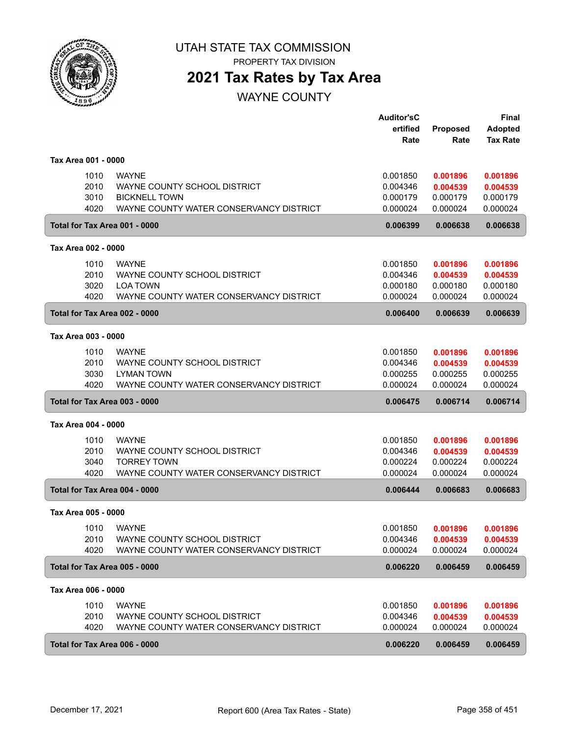

PROPERTY TAX DIVISION

## **2021 Tax Rates by Tax Area**

WAYNE COUNTY

|                     |      |                                         | <b>Auditor'sC</b><br>ertified | <b>Proposed</b>              | <b>Final</b><br><b>Adopted</b> |
|---------------------|------|-----------------------------------------|-------------------------------|------------------------------|--------------------------------|
|                     |      |                                         | Rate                          | Rate                         | <b>Tax Rate</b>                |
| Tax Area 001 - 0000 |      |                                         |                               |                              |                                |
|                     | 1010 | <b>WAYNE</b>                            | 0.001850                      | 0.001896                     | 0.001896                       |
|                     | 2010 | WAYNE COUNTY SCHOOL DISTRICT            | 0.004346                      | 0.004539                     | 0.004539                       |
|                     | 3010 | <b>BICKNELL TOWN</b>                    | 0.000179                      | 0.000179                     | 0.000179                       |
|                     | 4020 | WAYNE COUNTY WATER CONSERVANCY DISTRICT | 0.000024                      | 0.000024                     | 0.000024                       |
|                     |      | Total for Tax Area 001 - 0000           | 0.006399                      | 0.006638                     | 0.006638                       |
| Tax Area 002 - 0000 |      |                                         |                               |                              |                                |
|                     | 1010 | <b>WAYNE</b>                            | 0.001850                      | 0.001896                     | 0.001896                       |
|                     | 2010 | WAYNE COUNTY SCHOOL DISTRICT            | 0.004346                      | 0.004539                     | 0.004539                       |
|                     | 3020 | <b>LOA TOWN</b>                         | 0.000180                      | 0.000180                     | 0.000180                       |
|                     | 4020 | WAYNE COUNTY WATER CONSERVANCY DISTRICT | 0.000024                      | 0.000024                     | 0.000024                       |
|                     |      | Total for Tax Area 002 - 0000           | 0.006400                      | 0.006639                     | 0.006639                       |
| Tax Area 003 - 0000 |      |                                         |                               |                              |                                |
|                     | 1010 | <b>WAYNE</b>                            | 0.001850                      | 0.001896                     | 0.001896                       |
|                     | 2010 | WAYNE COUNTY SCHOOL DISTRICT            | 0.004346                      | 0.004539                     | 0.004539                       |
|                     | 3030 | <b>LYMAN TOWN</b>                       | 0.000255                      | 0.000255                     | 0.000255                       |
|                     | 4020 | WAYNE COUNTY WATER CONSERVANCY DISTRICT | 0.000024                      | 0.000024                     | 0.000024                       |
|                     |      | Total for Tax Area 003 - 0000           | 0.006475                      | 0.006714                     | 0.006714                       |
| Tax Area 004 - 0000 |      |                                         |                               |                              |                                |
|                     | 1010 | <b>WAYNE</b>                            | 0.001850                      | 0.001896                     | 0.001896                       |
|                     | 2010 | WAYNE COUNTY SCHOOL DISTRICT            | 0.004346                      | 0.004539                     | 0.004539                       |
|                     | 3040 | <b>TORREY TOWN</b>                      | 0.000224                      | 0.000224                     | 0.000224                       |
|                     | 4020 | WAYNE COUNTY WATER CONSERVANCY DISTRICT | 0.000024                      | 0.000024                     | 0.000024                       |
|                     |      | Total for Tax Area 004 - 0000           | 0.006444                      | 0.006683                     | 0.006683                       |
| Tax Area 005 - 0000 |      |                                         |                               |                              |                                |
|                     |      | 1010 WAYNE                              |                               | 0.001850  0.001896  0.001896 |                                |
|                     | 2010 | WAYNE COUNTY SCHOOL DISTRICT            | 0.004346                      | 0.004539                     | 0.004539                       |
|                     | 4020 | WAYNE COUNTY WATER CONSERVANCY DISTRICT | 0.000024                      | 0.000024                     | 0.000024                       |
|                     |      | Total for Tax Area 005 - 0000           | 0.006220                      | 0.006459                     | 0.006459                       |
| Tax Area 006 - 0000 |      |                                         |                               |                              |                                |
|                     | 1010 | <b>WAYNE</b>                            | 0.001850                      | 0.001896                     | 0.001896                       |
|                     | 2010 | WAYNE COUNTY SCHOOL DISTRICT            | 0.004346                      | 0.004539                     | 0.004539                       |
|                     | 4020 | WAYNE COUNTY WATER CONSERVANCY DISTRICT | 0.000024                      | 0.000024                     | 0.000024                       |
|                     |      | Total for Tax Area 006 - 0000           | 0.006220                      | 0.006459                     | 0.006459                       |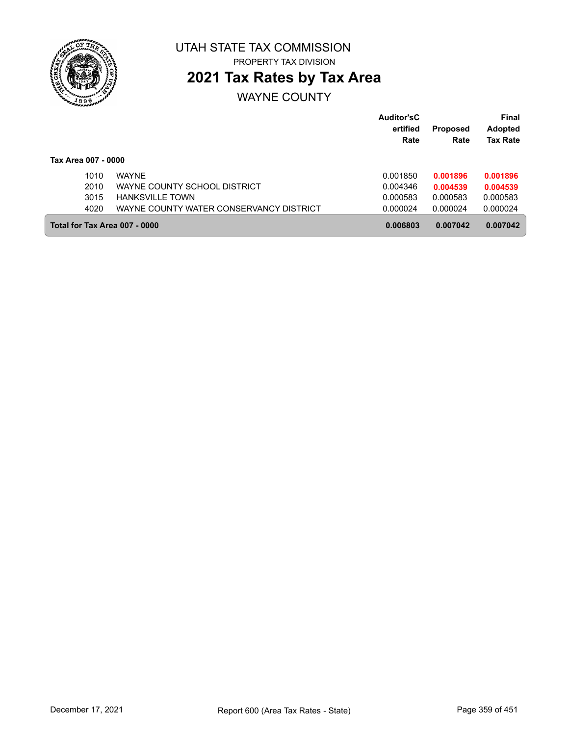

# **2021 Tax Rates by Tax Area**

WAYNE COUNTY

|                               |                                         | <b>Auditor'sC</b><br>ertified | <b>Proposed</b> | <b>Final</b><br><b>Adopted</b> |
|-------------------------------|-----------------------------------------|-------------------------------|-----------------|--------------------------------|
|                               |                                         | Rate                          | Rate            | <b>Tax Rate</b>                |
| Tax Area 007 - 0000           |                                         |                               |                 |                                |
| 1010                          | <b>WAYNE</b>                            | 0.001850                      | 0.001896        | 0.001896                       |
| 2010                          | WAYNE COUNTY SCHOOL DISTRICT            | 0.004346                      | 0.004539        | 0.004539                       |
| 3015                          | <b>HANKSVILLE TOWN</b>                  | 0.000583                      | 0.000583        | 0.000583                       |
| 4020                          | WAYNE COUNTY WATER CONSERVANCY DISTRICT | 0.000024                      | 0.000024        | 0.000024                       |
| Total for Tax Area 007 - 0000 |                                         | 0.006803                      | 0.007042        | 0.007042                       |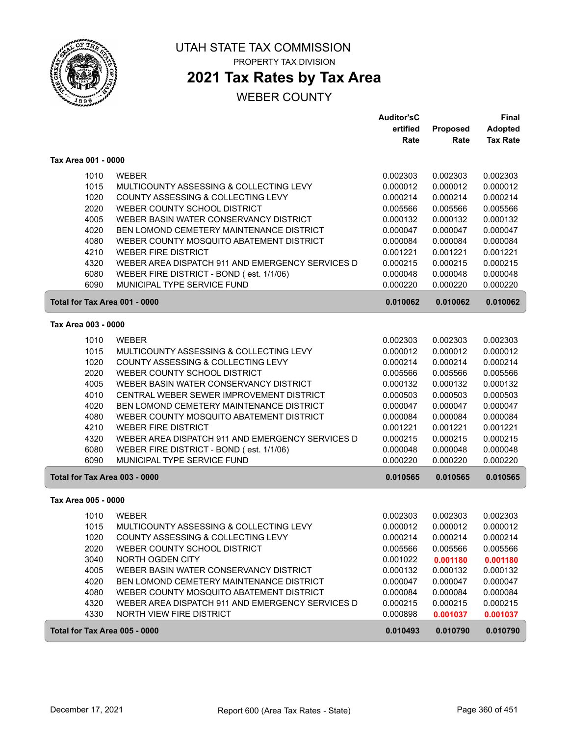

# **2021 Tax Rates by Tax Area**

#### WEBER COUNTY

|                               |                                                  | <b>Auditor'sC</b> |                 | <b>Final</b>    |
|-------------------------------|--------------------------------------------------|-------------------|-----------------|-----------------|
|                               |                                                  | ertified          | <b>Proposed</b> | <b>Adopted</b>  |
|                               |                                                  | Rate              | Rate            | <b>Tax Rate</b> |
| Tax Area 001 - 0000           |                                                  |                   |                 |                 |
| 1010                          | <b>WEBER</b>                                     | 0.002303          | 0.002303        | 0.002303        |
| 1015                          | MULTICOUNTY ASSESSING & COLLECTING LEVY          | 0.000012          | 0.000012        | 0.000012        |
| 1020                          | COUNTY ASSESSING & COLLECTING LEVY               | 0.000214          | 0.000214        | 0.000214        |
| 2020                          | WEBER COUNTY SCHOOL DISTRICT                     | 0.005566          | 0.005566        | 0.005566        |
| 4005                          | WEBER BASIN WATER CONSERVANCY DISTRICT           | 0.000132          | 0.000132        | 0.000132        |
| 4020                          | <b>BEN LOMOND CEMETERY MAINTENANCE DISTRICT</b>  | 0.000047          | 0.000047        | 0.000047        |
| 4080                          | WEBER COUNTY MOSQUITO ABATEMENT DISTRICT         | 0.000084          | 0.000084        | 0.000084        |
| 4210                          | <b>WEBER FIRE DISTRICT</b>                       | 0.001221          | 0.001221        | 0.001221        |
| 4320                          | WEBER AREA DISPATCH 911 AND EMERGENCY SERVICES D | 0.000215          | 0.000215        | 0.000215        |
| 6080                          | WEBER FIRE DISTRICT - BOND (est. 1/1/06)         | 0.000048          | 0.000048        | 0.000048        |
| 6090                          | MUNICIPAL TYPE SERVICE FUND                      | 0.000220          | 0.000220        | 0.000220        |
| Total for Tax Area 001 - 0000 |                                                  | 0.010062          | 0.010062        | 0.010062        |
|                               |                                                  |                   |                 |                 |
| Tax Area 003 - 0000           |                                                  |                   |                 |                 |
| 1010                          | <b>WEBER</b>                                     | 0.002303          | 0.002303        | 0.002303        |
| 1015                          | MULTICOUNTY ASSESSING & COLLECTING LEVY          | 0.000012          | 0.000012        | 0.000012        |
| 1020                          | COUNTY ASSESSING & COLLECTING LEVY               | 0.000214          | 0.000214        | 0.000214        |
| 2020                          | WEBER COUNTY SCHOOL DISTRICT                     | 0.005566          | 0.005566        | 0.005566        |
| 4005                          | WEBER BASIN WATER CONSERVANCY DISTRICT           | 0.000132          | 0.000132        | 0.000132        |
| 4010                          | CENTRAL WEBER SEWER IMPROVEMENT DISTRICT         | 0.000503          | 0.000503        | 0.000503        |
| 4020                          | BEN LOMOND CEMETERY MAINTENANCE DISTRICT         | 0.000047          | 0.000047        | 0.000047        |
| 4080                          | WEBER COUNTY MOSQUITO ABATEMENT DISTRICT         | 0.000084          | 0.000084        | 0.000084        |
| 4210                          | <b>WEBER FIRE DISTRICT</b>                       | 0.001221          | 0.001221        | 0.001221        |
| 4320                          | WEBER AREA DISPATCH 911 AND EMERGENCY SERVICES D | 0.000215          | 0.000215        | 0.000215        |
| 6080                          | WEBER FIRE DISTRICT - BOND (est. 1/1/06)         | 0.000048          | 0.000048        | 0.000048        |
| 6090                          | MUNICIPAL TYPE SERVICE FUND                      | 0.000220          | 0.000220        | 0.000220        |
| Total for Tax Area 003 - 0000 |                                                  | 0.010565          | 0.010565        | 0.010565        |
| Tax Area 005 - 0000           |                                                  |                   |                 |                 |
| 1010                          | <b>WEBER</b>                                     | 0.002303          | 0.002303        | 0.002303        |
| 1015                          | MULTICOUNTY ASSESSING & COLLECTING LEVY          | 0.000012          | 0.000012        | 0.000012        |
| 1020                          | COUNTY ASSESSING & COLLECTING LEVY               | 0.000214          | 0.000214        | 0.000214        |
| 2020                          | WEBER COUNTY SCHOOL DISTRICT                     | 0.005566          | 0.005566        | 0.005566        |
| 3040                          | <b>NORTH OGDEN CITY</b>                          | 0.001022          | 0.001180        | 0.001180        |
| 4005                          | WEBER BASIN WATER CONSERVANCY DISTRICT           | 0.000132          | 0.000132        | 0.000132        |
| 4020                          | BEN LOMOND CEMETERY MAINTENANCE DISTRICT         | 0.000047          | 0.000047        | 0.000047        |
| 4080                          | WEBER COUNTY MOSQUITO ABATEMENT DISTRICT         | 0.000084          | 0.000084        | 0.000084        |
| 4320                          | WEBER AREA DISPATCH 911 AND EMERGENCY SERVICES D | 0.000215          | 0.000215        | 0.000215        |
| 4330                          | NORTH VIEW FIRE DISTRICT                         | 0.000898          | 0.001037        | 0.001037        |
| Total for Tax Area 005 - 0000 |                                                  | 0.010493          | 0.010790        | 0.010790        |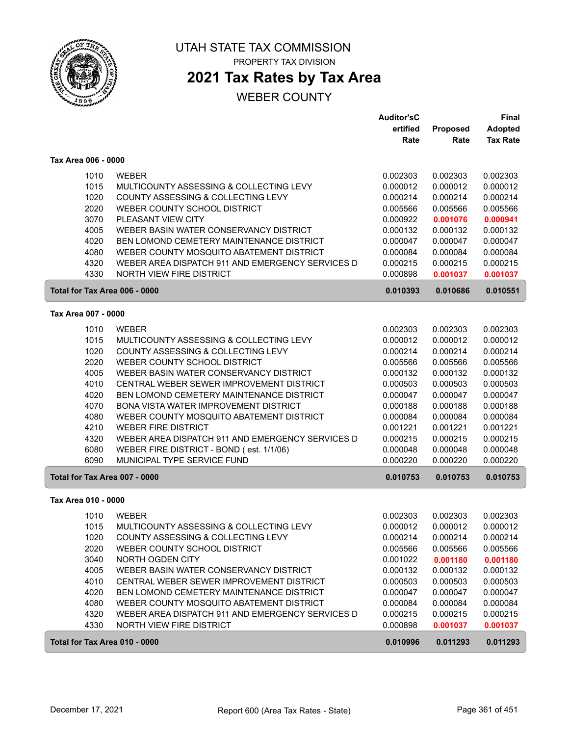

# **2021 Tax Rates by Tax Area**

|                               |                                                  | <b>Auditor'sC</b> |                 | Final           |
|-------------------------------|--------------------------------------------------|-------------------|-----------------|-----------------|
|                               |                                                  | ertified          | <b>Proposed</b> | <b>Adopted</b>  |
|                               |                                                  | Rate              | Rate            | <b>Tax Rate</b> |
| Tax Area 006 - 0000           |                                                  |                   |                 |                 |
| 1010                          | <b>WEBER</b>                                     | 0.002303          | 0.002303        | 0.002303        |
| 1015                          | MULTICOUNTY ASSESSING & COLLECTING LEVY          | 0.000012          | 0.000012        | 0.000012        |
| 1020                          | COUNTY ASSESSING & COLLECTING LEVY               | 0.000214          | 0.000214        | 0.000214        |
| 2020                          | WEBER COUNTY SCHOOL DISTRICT                     | 0.005566          | 0.005566        | 0.005566        |
| 3070                          | PLEASANT VIEW CITY                               | 0.000922          | 0.001076        | 0.000941        |
| 4005                          | WEBER BASIN WATER CONSERVANCY DISTRICT           | 0.000132          | 0.000132        | 0.000132        |
| 4020                          | BEN LOMOND CEMETERY MAINTENANCE DISTRICT         | 0.000047          | 0.000047        | 0.000047        |
| 4080                          | WEBER COUNTY MOSQUITO ABATEMENT DISTRICT         | 0.000084          | 0.000084        | 0.000084        |
| 4320                          | WEBER AREA DISPATCH 911 AND EMERGENCY SERVICES D | 0.000215          | 0.000215        | 0.000215        |
| 4330                          | <b>NORTH VIEW FIRE DISTRICT</b>                  | 0.000898          | 0.001037        | 0.001037        |
| Total for Tax Area 006 - 0000 |                                                  | 0.010393          | 0.010686        | 0.010551        |
| Tax Area 007 - 0000           |                                                  |                   |                 |                 |
| 1010                          | <b>WEBER</b>                                     | 0.002303          | 0.002303        | 0.002303        |
| 1015                          | MULTICOUNTY ASSESSING & COLLECTING LEVY          | 0.000012          | 0.000012        | 0.000012        |
| 1020                          | COUNTY ASSESSING & COLLECTING LEVY               | 0.000214          | 0.000214        | 0.000214        |
| 2020                          | WEBER COUNTY SCHOOL DISTRICT                     | 0.005566          | 0.005566        | 0.005566        |
| 4005                          | WEBER BASIN WATER CONSERVANCY DISTRICT           | 0.000132          | 0.000132        | 0.000132        |
| 4010                          | CENTRAL WEBER SEWER IMPROVEMENT DISTRICT         | 0.000503          | 0.000503        | 0.000503        |
| 4020                          | BEN LOMOND CEMETERY MAINTENANCE DISTRICT         | 0.000047          | 0.000047        | 0.000047        |
| 4070                          | BONA VISTA WATER IMPROVEMENT DISTRICT            | 0.000188          | 0.000188        | 0.000188        |
| 4080                          | WEBER COUNTY MOSQUITO ABATEMENT DISTRICT         | 0.000084          | 0.000084        | 0.000084        |
| 4210                          | <b>WEBER FIRE DISTRICT</b>                       | 0.001221          | 0.001221        | 0.001221        |
| 4320                          | WEBER AREA DISPATCH 911 AND EMERGENCY SERVICES D | 0.000215          | 0.000215        | 0.000215        |
| 6080                          | WEBER FIRE DISTRICT - BOND (est. 1/1/06)         | 0.000048          | 0.000048        | 0.000048        |
| 6090                          | MUNICIPAL TYPE SERVICE FUND                      | 0.000220          | 0.000220        | 0.000220        |
| Total for Tax Area 007 - 0000 |                                                  | 0.010753          | 0.010753        | 0.010753        |
| Tax Area 010 - 0000           |                                                  |                   |                 |                 |
| 1010                          | <b>WEBER</b>                                     | 0.002303          | 0.002303        | 0.002303        |
| 1015                          | MULTICOUNTY ASSESSING & COLLECTING LEVY          | 0.000012          | 0.000012        | 0.000012        |
| 1020                          | COUNTY ASSESSING & COLLECTING LEVY               | 0.000214          | 0.000214        | 0.000214        |
| 2020                          | WEBER COUNTY SCHOOL DISTRICT                     | 0.005566          | 0.005566        | 0.005566        |
| 3040                          | NORTH OGDEN CITY                                 | 0.001022          | 0.001180        | 0.001180        |
| 4005                          | WEBER BASIN WATER CONSERVANCY DISTRICT           | 0.000132          | 0.000132        | 0.000132        |
| 4010                          | CENTRAL WEBER SEWER IMPROVEMENT DISTRICT         | 0.000503          | 0.000503        | 0.000503        |
| 4020                          | BEN LOMOND CEMETERY MAINTENANCE DISTRICT         | 0.000047          | 0.000047        | 0.000047        |
| 4080                          | WEBER COUNTY MOSQUITO ABATEMENT DISTRICT         | 0.000084          | 0.000084        | 0.000084        |
| 4320                          | WEBER AREA DISPATCH 911 AND EMERGENCY SERVICES D | 0.000215          | 0.000215        | 0.000215        |
| 4330                          | NORTH VIEW FIRE DISTRICT                         | 0.000898          | 0.001037        | 0.001037        |
| Total for Tax Area 010 - 0000 |                                                  | 0.010996          | 0.011293        | 0.011293        |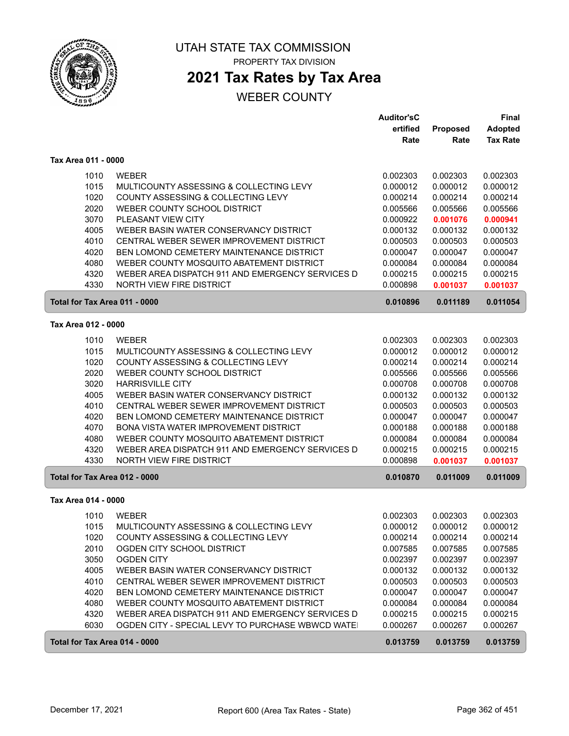

# **2021 Tax Rates by Tax Area**

### WEBER COUNTY

|                               |                                                  | <b>Auditor'sC</b><br>ertified | <b>Proposed</b> | <b>Final</b><br><b>Adopted</b> |
|-------------------------------|--------------------------------------------------|-------------------------------|-----------------|--------------------------------|
|                               |                                                  | Rate                          | Rate            | <b>Tax Rate</b>                |
| Tax Area 011 - 0000           |                                                  |                               |                 |                                |
| 1010                          | <b>WEBER</b>                                     | 0.002303                      | 0.002303        | 0.002303                       |
| 1015                          | MULTICOUNTY ASSESSING & COLLECTING LEVY          | 0.000012                      | 0.000012        | 0.000012                       |
| 1020                          | COUNTY ASSESSING & COLLECTING LEVY               | 0.000214                      | 0.000214        | 0.000214                       |
| 2020                          | WEBER COUNTY SCHOOL DISTRICT                     | 0.005566                      | 0.005566        | 0.005566                       |
| 3070                          | PLEASANT VIEW CITY                               | 0.000922                      | 0.001076        | 0.000941                       |
| 4005                          | WEBER BASIN WATER CONSERVANCY DISTRICT           | 0.000132                      | 0.000132        | 0.000132                       |
| 4010                          | CENTRAL WEBER SEWER IMPROVEMENT DISTRICT         | 0.000503                      | 0.000503        | 0.000503                       |
| 4020                          | BEN LOMOND CEMETERY MAINTENANCE DISTRICT         | 0.000047                      | 0.000047        | 0.000047                       |
| 4080                          | WEBER COUNTY MOSQUITO ABATEMENT DISTRICT         | 0.000084                      | 0.000084        | 0.000084                       |
| 4320                          | WEBER AREA DISPATCH 911 AND EMERGENCY SERVICES D | 0.000215                      | 0.000215        | 0.000215                       |
| 4330                          | <b>NORTH VIEW FIRE DISTRICT</b>                  | 0.000898                      | 0.001037        | 0.001037                       |
| Total for Tax Area 011 - 0000 |                                                  | 0.010896                      | 0.011189        | 0.011054                       |
| Tax Area 012 - 0000           |                                                  |                               |                 |                                |
| 1010                          | <b>WEBER</b>                                     | 0.002303                      | 0.002303        | 0.002303                       |
| 1015                          | MULTICOUNTY ASSESSING & COLLECTING LEVY          | 0.000012                      | 0.000012        | 0.000012                       |
| 1020                          | COUNTY ASSESSING & COLLECTING LEVY               | 0.000214                      | 0.000214        | 0.000214                       |
| 2020                          | WEBER COUNTY SCHOOL DISTRICT                     | 0.005566                      | 0.005566        | 0.005566                       |
| 3020                          | <b>HARRISVILLE CITY</b>                          | 0.000708                      | 0.000708        | 0.000708                       |
| 4005                          | WEBER BASIN WATER CONSERVANCY DISTRICT           | 0.000132                      | 0.000132        | 0.000132                       |
| 4010                          | CENTRAL WEBER SEWER IMPROVEMENT DISTRICT         | 0.000503                      | 0.000503        | 0.000503                       |
| 4020                          | BEN LOMOND CEMETERY MAINTENANCE DISTRICT         | 0.000047                      | 0.000047        | 0.000047                       |
| 4070                          | BONA VISTA WATER IMPROVEMENT DISTRICT            | 0.000188                      | 0.000188        | 0.000188                       |
| 4080                          | WEBER COUNTY MOSQUITO ABATEMENT DISTRICT         | 0.000084                      | 0.000084        | 0.000084                       |
| 4320                          | WEBER AREA DISPATCH 911 AND EMERGENCY SERVICES D | 0.000215                      | 0.000215        | 0.000215                       |
| 4330                          | NORTH VIEW FIRE DISTRICT                         | 0.000898                      | 0.001037        | 0.001037                       |
| Total for Tax Area 012 - 0000 |                                                  | 0.010870                      | 0.011009        | 0.011009                       |
| Tax Area 014 - 0000           |                                                  |                               |                 |                                |
| 1010                          | <b>WEBER</b>                                     | 0.002303                      | 0.002303        | 0.002303                       |
| 1015                          | MULTICOUNTY ASSESSING & COLLECTING LEVY          | 0.000012                      | 0.000012        | 0.000012                       |
| 1020                          | COUNTY ASSESSING & COLLECTING LEVY               | 0.000214                      | 0.000214        | 0.000214                       |
| 2010                          | OGDEN CITY SCHOOL DISTRICT                       | 0.007585                      | 0.007585        | 0.007585                       |
| 3050                          | <b>OGDEN CITY</b>                                | 0.002397                      | 0.002397        | 0.002397                       |
| 4005                          | WEBER BASIN WATER CONSERVANCY DISTRICT           | 0.000132                      | 0.000132        | 0.000132                       |
| 4010                          | CENTRAL WEBER SEWER IMPROVEMENT DISTRICT         | 0.000503                      | 0.000503        | 0.000503                       |
| 4020                          | BEN LOMOND CEMETERY MAINTENANCE DISTRICT         | 0.000047                      | 0.000047        | 0.000047                       |
| 4080                          | WEBER COUNTY MOSQUITO ABATEMENT DISTRICT         | 0.000084                      | 0.000084        | 0.000084                       |
| 4320                          | WEBER AREA DISPATCH 911 AND EMERGENCY SERVICES D | 0.000215                      | 0.000215        | 0.000215                       |
| 6030                          | OGDEN CITY - SPECIAL LEVY TO PURCHASE WBWCD WATE | 0.000267                      | 0.000267        | 0.000267                       |
| Total for Tax Area 014 - 0000 |                                                  | 0.013759                      | 0.013759        | 0.013759                       |

ſ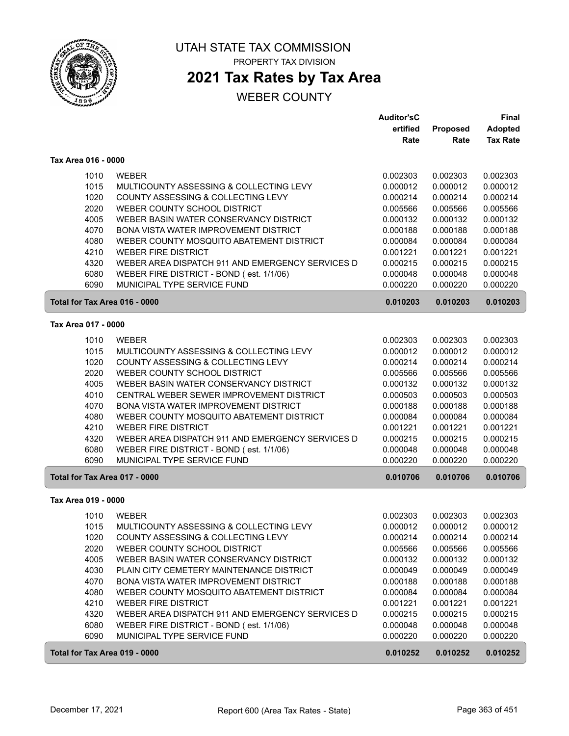

## **2021 Tax Rates by Tax Area**

|                               |                                                  | <b>Auditor'sC</b> |                 | <b>Final</b>    |
|-------------------------------|--------------------------------------------------|-------------------|-----------------|-----------------|
|                               |                                                  | ertified          | <b>Proposed</b> | <b>Adopted</b>  |
|                               |                                                  | Rate              | Rate            | <b>Tax Rate</b> |
| Tax Area 016 - 0000           |                                                  |                   |                 |                 |
| 1010                          | <b>WEBER</b>                                     | 0.002303          | 0.002303        | 0.002303        |
| 1015                          | MULTICOUNTY ASSESSING & COLLECTING LEVY          | 0.000012          | 0.000012        | 0.000012        |
| 1020                          | COUNTY ASSESSING & COLLECTING LEVY               | 0.000214          | 0.000214        | 0.000214        |
| 2020                          | WEBER COUNTY SCHOOL DISTRICT                     | 0.005566          | 0.005566        | 0.005566        |
| 4005                          | WEBER BASIN WATER CONSERVANCY DISTRICT           | 0.000132          | 0.000132        | 0.000132        |
| 4070                          | BONA VISTA WATER IMPROVEMENT DISTRICT            | 0.000188          | 0.000188        | 0.000188        |
| 4080                          | WEBER COUNTY MOSQUITO ABATEMENT DISTRICT         | 0.000084          | 0.000084        | 0.000084        |
| 4210                          | <b>WEBER FIRE DISTRICT</b>                       | 0.001221          | 0.001221        | 0.001221        |
| 4320                          | WEBER AREA DISPATCH 911 AND EMERGENCY SERVICES D | 0.000215          | 0.000215        | 0.000215        |
| 6080                          | WEBER FIRE DISTRICT - BOND (est. 1/1/06)         | 0.000048          | 0.000048        | 0.000048        |
| 6090                          | MUNICIPAL TYPE SERVICE FUND                      | 0.000220          | 0.000220        | 0.000220        |
| Total for Tax Area 016 - 0000 |                                                  | 0.010203          | 0.010203        | 0.010203        |
|                               |                                                  |                   |                 |                 |
| Tax Area 017 - 0000           |                                                  |                   |                 |                 |
| 1010                          | <b>WEBER</b>                                     | 0.002303          | 0.002303        | 0.002303        |
| 1015                          | MULTICOUNTY ASSESSING & COLLECTING LEVY          | 0.000012          | 0.000012        | 0.000012        |
| 1020                          | COUNTY ASSESSING & COLLECTING LEVY               | 0.000214          | 0.000214        | 0.000214        |
| 2020                          | WEBER COUNTY SCHOOL DISTRICT                     | 0.005566          | 0.005566        | 0.005566        |
| 4005                          | WEBER BASIN WATER CONSERVANCY DISTRICT           | 0.000132          | 0.000132        | 0.000132        |
| 4010                          | CENTRAL WEBER SEWER IMPROVEMENT DISTRICT         | 0.000503          | 0.000503        | 0.000503        |
| 4070                          | BONA VISTA WATER IMPROVEMENT DISTRICT            | 0.000188          | 0.000188        | 0.000188        |
| 4080                          | WEBER COUNTY MOSQUITO ABATEMENT DISTRICT         | 0.000084          | 0.000084        | 0.000084        |
| 4210                          | <b>WEBER FIRE DISTRICT</b>                       | 0.001221          | 0.001221        | 0.001221        |
| 4320                          | WEBER AREA DISPATCH 911 AND EMERGENCY SERVICES D | 0.000215          | 0.000215        | 0.000215        |
| 6080                          | WEBER FIRE DISTRICT - BOND (est. 1/1/06)         | 0.000048          | 0.000048        | 0.000048        |
| 6090                          | MUNICIPAL TYPE SERVICE FUND                      | 0.000220          | 0.000220        | 0.000220        |
| Total for Tax Area 017 - 0000 |                                                  | 0.010706          | 0.010706        | 0.010706        |
| Tax Area 019 - 0000           |                                                  |                   |                 |                 |
| 1010                          | <b>WEBER</b>                                     | 0.002303          | 0.002303        | 0.002303        |
| 1015                          | MULTICOUNTY ASSESSING & COLLECTING LEVY          | 0.000012          | 0.000012        | 0.000012        |
| 1020                          | COUNTY ASSESSING & COLLECTING LEVY               | 0.000214          | 0.000214        | 0.000214        |
| 2020                          | WEBER COUNTY SCHOOL DISTRICT                     | 0.005566          | 0.005566        | 0.005566        |
| 4005                          | WEBER BASIN WATER CONSERVANCY DISTRICT           | 0.000132          | 0.000132        | 0.000132        |
| 4030                          | PLAIN CITY CEMETERY MAINTENANCE DISTRICT         | 0.000049          | 0.000049        | 0.000049        |
| 4070                          | BONA VISTA WATER IMPROVEMENT DISTRICT            | 0.000188          | 0.000188        | 0.000188        |
| 4080                          | WEBER COUNTY MOSQUITO ABATEMENT DISTRICT         | 0.000084          | 0.000084        | 0.000084        |
| 4210                          | <b>WEBER FIRE DISTRICT</b>                       | 0.001221          | 0.001221        | 0.001221        |
| 4320                          | WEBER AREA DISPATCH 911 AND EMERGENCY SERVICES D | 0.000215          | 0.000215        | 0.000215        |
| 6080                          | WEBER FIRE DISTRICT - BOND (est. 1/1/06)         | 0.000048          | 0.000048        | 0.000048        |
| 6090                          | MUNICIPAL TYPE SERVICE FUND                      | 0.000220          | 0.000220        | 0.000220        |
|                               |                                                  |                   |                 |                 |
| Total for Tax Area 019 - 0000 |                                                  | 0.010252          | 0.010252        | 0.010252        |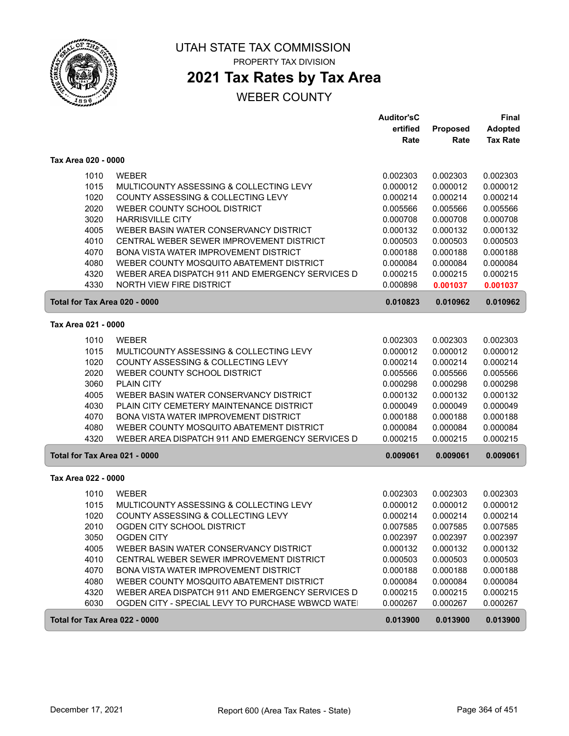

## **2021 Tax Rates by Tax Area**

|                               |                                                   | <b>Auditor'sC</b> |          | Final           |
|-------------------------------|---------------------------------------------------|-------------------|----------|-----------------|
|                               |                                                   | ertified          | Proposed | <b>Adopted</b>  |
|                               |                                                   | Rate              | Rate     | <b>Tax Rate</b> |
| Tax Area 020 - 0000           |                                                   |                   |          |                 |
| 1010                          | <b>WEBER</b>                                      | 0.002303          | 0.002303 | 0.002303        |
| 1015                          | MULTICOUNTY ASSESSING & COLLECTING LEVY           | 0.000012          | 0.000012 | 0.000012        |
| 1020                          | COUNTY ASSESSING & COLLECTING LEVY                | 0.000214          | 0.000214 | 0.000214        |
| 2020                          | WEBER COUNTY SCHOOL DISTRICT                      | 0.005566          | 0.005566 | 0.005566        |
| 3020                          | <b>HARRISVILLE CITY</b>                           | 0.000708          | 0.000708 | 0.000708        |
| 4005                          | WEBER BASIN WATER CONSERVANCY DISTRICT            | 0.000132          | 0.000132 | 0.000132        |
| 4010                          | CENTRAL WEBER SEWER IMPROVEMENT DISTRICT          | 0.000503          | 0.000503 | 0.000503        |
| 4070                          | BONA VISTA WATER IMPROVEMENT DISTRICT             | 0.000188          | 0.000188 | 0.000188        |
| 4080                          | WEBER COUNTY MOSQUITO ABATEMENT DISTRICT          | 0.000084          | 0.000084 | 0.000084        |
| 4320                          | WEBER AREA DISPATCH 911 AND EMERGENCY SERVICES D  | 0.000215          | 0.000215 | 0.000215        |
| 4330                          | NORTH VIEW FIRE DISTRICT                          | 0.000898          | 0.001037 | 0.001037        |
| Total for Tax Area 020 - 0000 |                                                   | 0.010823          | 0.010962 | 0.010962        |
| Tax Area 021 - 0000           |                                                   |                   |          |                 |
| 1010                          | <b>WEBER</b>                                      | 0.002303          | 0.002303 | 0.002303        |
| 1015                          | MULTICOUNTY ASSESSING & COLLECTING LEVY           | 0.000012          | 0.000012 | 0.000012        |
| 1020                          | COUNTY ASSESSING & COLLECTING LEVY                | 0.000214          | 0.000214 | 0.000214        |
| 2020                          | WEBER COUNTY SCHOOL DISTRICT                      | 0.005566          | 0.005566 | 0.005566        |
| 3060                          | <b>PLAIN CITY</b>                                 | 0.000298          | 0.000298 | 0.000298        |
| 4005                          | WEBER BASIN WATER CONSERVANCY DISTRICT            | 0.000132          | 0.000132 | 0.000132        |
| 4030                          | PLAIN CITY CEMETERY MAINTENANCE DISTRICT          | 0.000049          | 0.000049 | 0.000049        |
| 4070                          | BONA VISTA WATER IMPROVEMENT DISTRICT             | 0.000188          | 0.000188 | 0.000188        |
| 4080                          | WEBER COUNTY MOSQUITO ABATEMENT DISTRICT          | 0.000084          | 0.000084 | 0.000084        |
| 4320                          | WEBER AREA DISPATCH 911 AND EMERGENCY SERVICES D  | 0.000215          | 0.000215 | 0.000215        |
| Total for Tax Area 021 - 0000 |                                                   | 0.009061          | 0.009061 | 0.009061        |
| Tax Area 022 - 0000           |                                                   |                   |          |                 |
| 1010                          | <b>WEBER</b>                                      | 0.002303          | 0.002303 | 0.002303        |
| 1015                          | MULTICOUNTY ASSESSING & COLLECTING LEVY           | 0.000012          | 0.000012 | 0.000012        |
| 1020                          | COUNTY ASSESSING & COLLECTING LEVY                | 0.000214          | 0.000214 | 0.000214        |
| 2010                          | OGDEN CITY SCHOOL DISTRICT                        | 0.007585          | 0.007585 | 0.007585        |
| 3050                          | <b>OGDEN CITY</b>                                 | 0.002397          | 0.002397 | 0.002397        |
| 4005                          | WEBER BASIN WATER CONSERVANCY DISTRICT            | 0.000132          | 0.000132 | 0.000132        |
| 4010                          | CENTRAL WEBER SEWER IMPROVEMENT DISTRICT          | 0.000503          | 0.000503 | 0.000503        |
| 4070                          | BONA VISTA WATER IMPROVEMENT DISTRICT             | 0.000188          | 0.000188 | 0.000188        |
| 4080                          | WEBER COUNTY MOSQUITO ABATEMENT DISTRICT          | 0.000084          | 0.000084 | 0.000084        |
| 4320                          | WEBER AREA DISPATCH 911 AND EMERGENCY SERVICES D  | 0.000215          | 0.000215 | 0.000215        |
| 6030                          | OGDEN CITY - SPECIAL LEVY TO PURCHASE WBWCD WATE! | 0.000267          | 0.000267 | 0.000267        |
| Total for Tax Area 022 - 0000 |                                                   | 0.013900          | 0.013900 | 0.013900        |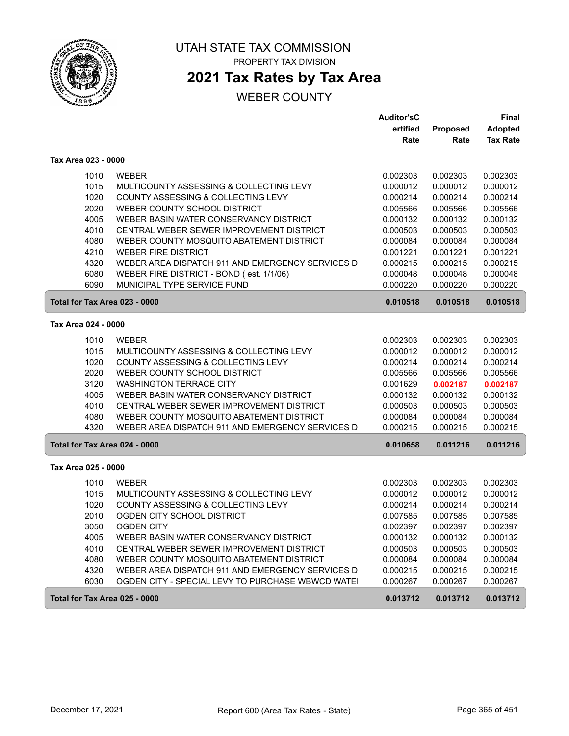

# **2021 Tax Rates by Tax Area**

## WEBER COUNTY

|                               |                                                  | <b>Auditor'sC</b> |                 | <b>Final</b>    |
|-------------------------------|--------------------------------------------------|-------------------|-----------------|-----------------|
|                               |                                                  | ertified          | <b>Proposed</b> | <b>Adopted</b>  |
|                               |                                                  | Rate              | Rate            | <b>Tax Rate</b> |
| Tax Area 023 - 0000           |                                                  |                   |                 |                 |
| 1010                          | <b>WEBER</b>                                     | 0.002303          | 0.002303        | 0.002303        |
| 1015                          | MULTICOUNTY ASSESSING & COLLECTING LEVY          | 0.000012          | 0.000012        | 0.000012        |
| 1020                          | COUNTY ASSESSING & COLLECTING LEVY               | 0.000214          | 0.000214        | 0.000214        |
| 2020                          | WEBER COUNTY SCHOOL DISTRICT                     | 0.005566          | 0.005566        | 0.005566        |
| 4005                          | WEBER BASIN WATER CONSERVANCY DISTRICT           | 0.000132          | 0.000132        | 0.000132        |
| 4010                          | CENTRAL WEBER SEWER IMPROVEMENT DISTRICT         | 0.000503          | 0.000503        | 0.000503        |
| 4080                          | WEBER COUNTY MOSQUITO ABATEMENT DISTRICT         | 0.000084          | 0.000084        | 0.000084        |
| 4210                          | <b>WEBER FIRE DISTRICT</b>                       | 0.001221          | 0.001221        | 0.001221        |
| 4320                          | WEBER AREA DISPATCH 911 AND EMERGENCY SERVICES D | 0.000215          | 0.000215        | 0.000215        |
| 6080                          | WEBER FIRE DISTRICT - BOND (est. 1/1/06)         | 0.000048          | 0.000048        | 0.000048        |
| 6090                          | MUNICIPAL TYPE SERVICE FUND                      | 0.000220          | 0.000220        | 0.000220        |
| Total for Tax Area 023 - 0000 |                                                  | 0.010518          | 0.010518        | 0.010518        |
| Tax Area 024 - 0000           |                                                  |                   |                 |                 |
|                               |                                                  |                   |                 |                 |
| 1010                          | <b>WEBER</b>                                     | 0.002303          | 0.002303        | 0.002303        |
| 1015                          | MULTICOUNTY ASSESSING & COLLECTING LEVY          | 0.000012          | 0.000012        | 0.000012        |
| 1020                          | COUNTY ASSESSING & COLLECTING LEVY               | 0.000214          | 0.000214        | 0.000214        |
| 2020                          | WEBER COUNTY SCHOOL DISTRICT                     | 0.005566          | 0.005566        | 0.005566        |
| 3120                          | <b>WASHINGTON TERRACE CITY</b>                   | 0.001629          | 0.002187        | 0.002187        |
| 4005                          | WEBER BASIN WATER CONSERVANCY DISTRICT           | 0.000132          | 0.000132        | 0.000132        |
| 4010                          | CENTRAL WEBER SEWER IMPROVEMENT DISTRICT         | 0.000503          | 0.000503        | 0.000503        |
| 4080                          | WEBER COUNTY MOSQUITO ABATEMENT DISTRICT         | 0.000084          | 0.000084        | 0.000084        |
| 4320                          | WEBER AREA DISPATCH 911 AND EMERGENCY SERVICES D | 0.000215          | 0.000215        | 0.000215        |
| Total for Tax Area 024 - 0000 |                                                  | 0.010658          | 0.011216        | 0.011216        |
| Tax Area 025 - 0000           |                                                  |                   |                 |                 |
| 1010                          | <b>WEBER</b>                                     | 0.002303          | 0.002303        | 0.002303        |
| 1015                          | MULTICOUNTY ASSESSING & COLLECTING LEVY          | 0.000012          | 0.000012        | 0.000012        |
| 1020                          | COUNTY ASSESSING & COLLECTING LEVY               | 0.000214          | 0.000214        | 0.000214        |
| 2010                          | OGDEN CITY SCHOOL DISTRICT                       | 0.007585          | 0.007585        | 0.007585        |
| 3050                          | <b>OGDEN CITY</b>                                | 0.002397          | 0.002397        | 0.002397        |
| 4005                          | WEBER BASIN WATER CONSERVANCY DISTRICT           | 0.000132          | 0.000132        | 0.000132        |
| 4010                          | CENTRAL WEBER SEWER IMPROVEMENT DISTRICT         | 0.000503          | 0.000503        | 0.000503        |
| 4080                          | WEBER COUNTY MOSQUITO ABATEMENT DISTRICT         | 0.000084          | 0.000084        | 0.000084        |
| 4320                          | WEBER AREA DISPATCH 911 AND EMERGENCY SERVICES D | 0.000215          | 0.000215        | 0.000215        |
| 6030                          | OGDEN CITY - SPECIAL LEVY TO PURCHASE WBWCD WATE | 0.000267          | 0.000267        | 0.000267        |
| Total for Tax Area 025 - 0000 |                                                  | 0.013712          | 0.013712        | 0.013712        |

ſ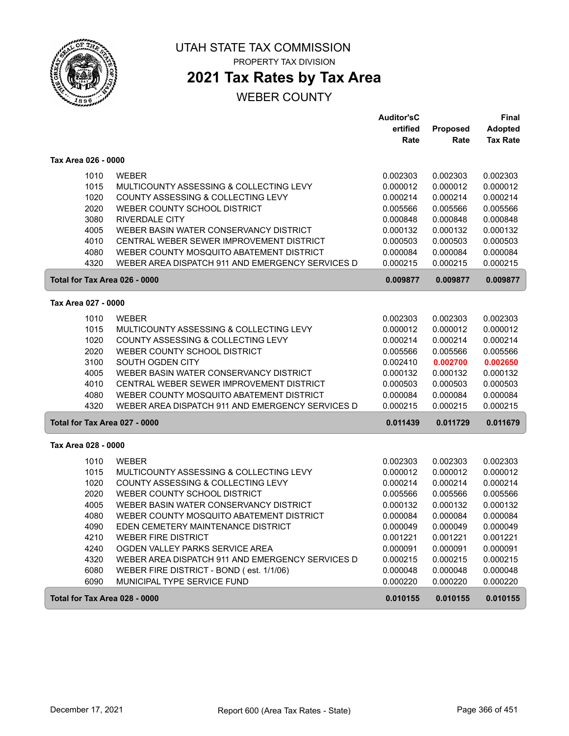

## **2021 Tax Rates by Tax Area**

|                               |                                                  | <b>Auditor'sC</b> |                 | <b>Final</b>    |
|-------------------------------|--------------------------------------------------|-------------------|-----------------|-----------------|
|                               |                                                  | ertified          | <b>Proposed</b> | <b>Adopted</b>  |
|                               |                                                  | Rate              | Rate            | <b>Tax Rate</b> |
| Tax Area 026 - 0000           |                                                  |                   |                 |                 |
| 1010                          | <b>WEBER</b>                                     | 0.002303          | 0.002303        | 0.002303        |
| 1015                          | MULTICOUNTY ASSESSING & COLLECTING LEVY          | 0.000012          | 0.000012        | 0.000012        |
| 1020                          | COUNTY ASSESSING & COLLECTING LEVY               | 0.000214          | 0.000214        | 0.000214        |
| 2020                          | WEBER COUNTY SCHOOL DISTRICT                     | 0.005566          | 0.005566        | 0.005566        |
| 3080                          | <b>RIVERDALE CITY</b>                            | 0.000848          | 0.000848        | 0.000848        |
| 4005                          | WEBER BASIN WATER CONSERVANCY DISTRICT           | 0.000132          | 0.000132        | 0.000132        |
| 4010                          | CENTRAL WEBER SEWER IMPROVEMENT DISTRICT         | 0.000503          | 0.000503        | 0.000503        |
| 4080                          | WEBER COUNTY MOSQUITO ABATEMENT DISTRICT         | 0.000084          | 0.000084        | 0.000084        |
| 4320                          | WEBER AREA DISPATCH 911 AND EMERGENCY SERVICES D | 0.000215          | 0.000215        | 0.000215        |
| Total for Tax Area 026 - 0000 |                                                  | 0.009877          | 0.009877        | 0.009877        |
| Tax Area 027 - 0000           |                                                  |                   |                 |                 |
| 1010                          | <b>WEBER</b>                                     | 0.002303          | 0.002303        | 0.002303        |
| 1015                          | MULTICOUNTY ASSESSING & COLLECTING LEVY          | 0.000012          | 0.000012        | 0.000012        |
| 1020                          | COUNTY ASSESSING & COLLECTING LEVY               | 0.000214          | 0.000214        | 0.000214        |
| 2020                          | WEBER COUNTY SCHOOL DISTRICT                     | 0.005566          | 0.005566        | 0.005566        |
| 3100                          | SOUTH OGDEN CITY                                 | 0.002410          | 0.002700        | 0.002650        |
| 4005                          | WEBER BASIN WATER CONSERVANCY DISTRICT           | 0.000132          | 0.000132        | 0.000132        |
| 4010                          | CENTRAL WEBER SEWER IMPROVEMENT DISTRICT         | 0.000503          | 0.000503        | 0.000503        |
| 4080                          | WEBER COUNTY MOSQUITO ABATEMENT DISTRICT         | 0.000084          | 0.000084        | 0.000084        |
| 4320                          | WEBER AREA DISPATCH 911 AND EMERGENCY SERVICES D | 0.000215          | 0.000215        | 0.000215        |
| Total for Tax Area 027 - 0000 |                                                  | 0.011439          | 0.011729        | 0.011679        |
| Tax Area 028 - 0000           |                                                  |                   |                 |                 |
| 1010                          | <b>WEBER</b>                                     | 0.002303          | 0.002303        | 0.002303        |
| 1015                          | MULTICOUNTY ASSESSING & COLLECTING LEVY          | 0.000012          | 0.000012        | 0.000012        |
| 1020                          | COUNTY ASSESSING & COLLECTING LEVY               | 0.000214          | 0.000214        | 0.000214        |
| 2020                          | WEBER COUNTY SCHOOL DISTRICT                     | 0.005566          | 0.005566        | 0.005566        |
| 4005                          | WEBER BASIN WATER CONSERVANCY DISTRICT           | 0.000132          | 0.000132        | 0.000132        |
| 4080                          | WEBER COUNTY MOSQUITO ABATEMENT DISTRICT         | 0.000084          | 0.000084        | 0.000084        |
| 4090                          | EDEN CEMETERY MAINTENANCE DISTRICT               | 0.000049          | 0.000049        | 0.000049        |
| 4210                          | <b>WEBER FIRE DISTRICT</b>                       | 0.001221          | 0.001221        | 0.001221        |
| 4240                          | OGDEN VALLEY PARKS SERVICE AREA                  | 0.000091          | 0.000091        | 0.000091        |
| 4320                          | WEBER AREA DISPATCH 911 AND EMERGENCY SERVICES D | 0.000215          | 0.000215        | 0.000215        |
| 6080                          | WEBER FIRE DISTRICT - BOND (est. 1/1/06)         | 0.000048          | 0.000048        | 0.000048        |
| 6090                          | MUNICIPAL TYPE SERVICE FUND                      | 0.000220          | 0.000220        | 0.000220        |
| Total for Tax Area 028 - 0000 |                                                  | 0.010155          | 0.010155        | 0.010155        |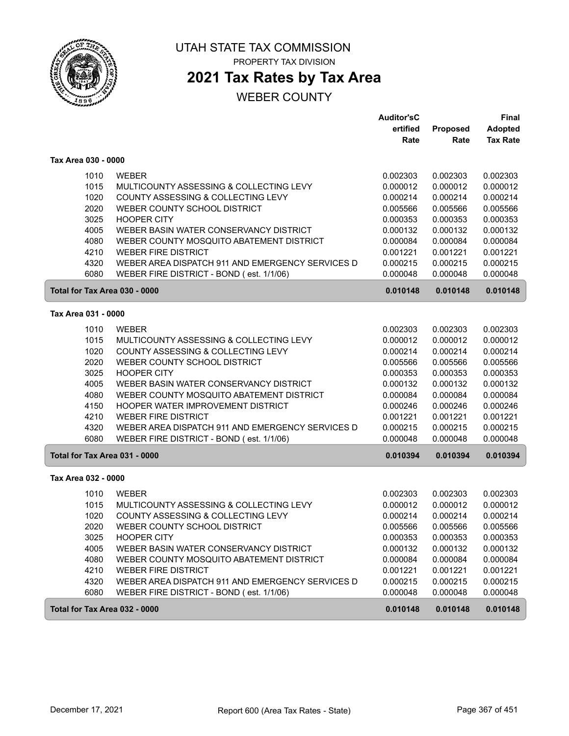

PROPERTY TAX DIVISION

# **2021 Tax Rates by Tax Area**

|                               |                                                                                    | <b>Auditor'sC</b>    |                      | <b>Final</b>         |
|-------------------------------|------------------------------------------------------------------------------------|----------------------|----------------------|----------------------|
|                               |                                                                                    | ertified             | Proposed             | <b>Adopted</b>       |
|                               |                                                                                    | Rate                 | Rate                 | <b>Tax Rate</b>      |
| Tax Area 030 - 0000           |                                                                                    |                      |                      |                      |
| 1010                          | <b>WEBER</b>                                                                       | 0.002303             | 0.002303             | 0.002303             |
| 1015                          | MULTICOUNTY ASSESSING & COLLECTING LEVY                                            | 0.000012             | 0.000012             | 0.000012             |
| 1020                          | COUNTY ASSESSING & COLLECTING LEVY                                                 | 0.000214             | 0.000214             | 0.000214             |
| 2020                          | WEBER COUNTY SCHOOL DISTRICT                                                       | 0.005566             | 0.005566             | 0.005566             |
| 3025                          | <b>HOOPER CITY</b>                                                                 | 0.000353             | 0.000353             | 0.000353             |
| 4005                          | WEBER BASIN WATER CONSERVANCY DISTRICT                                             | 0.000132             | 0.000132             | 0.000132             |
| 4080                          | WEBER COUNTY MOSQUITO ABATEMENT DISTRICT                                           | 0.000084             | 0.000084             | 0.000084             |
| 4210                          | <b>WEBER FIRE DISTRICT</b>                                                         | 0.001221             | 0.001221             | 0.001221             |
| 4320                          | WEBER AREA DISPATCH 911 AND EMERGENCY SERVICES D                                   | 0.000215             | 0.000215             | 0.000215             |
| 6080                          | WEBER FIRE DISTRICT - BOND (est. 1/1/06)                                           | 0.000048             | 0.000048             | 0.000048             |
| Total for Tax Area 030 - 0000 |                                                                                    | 0.010148             | 0.010148             | 0.010148             |
| Tax Area 031 - 0000           |                                                                                    |                      |                      |                      |
| 1010                          | <b>WEBER</b>                                                                       | 0.002303             | 0.002303             | 0.002303             |
| 1015                          | MULTICOUNTY ASSESSING & COLLECTING LEVY                                            | 0.000012             | 0.000012             | 0.000012             |
| 1020                          | COUNTY ASSESSING & COLLECTING LEVY                                                 | 0.000214             | 0.000214             | 0.000214             |
| 2020                          | WEBER COUNTY SCHOOL DISTRICT                                                       | 0.005566             | 0.005566             | 0.005566             |
| 3025                          | <b>HOOPER CITY</b>                                                                 | 0.000353             | 0.000353             | 0.000353             |
| 4005                          | WEBER BASIN WATER CONSERVANCY DISTRICT                                             | 0.000132             | 0.000132             | 0.000132             |
| 4080                          | WEBER COUNTY MOSQUITO ABATEMENT DISTRICT                                           | 0.000084             | 0.000084             | 0.000084             |
| 4150                          | HOOPER WATER IMPROVEMENT DISTRICT                                                  | 0.000246             | 0.000246             | 0.000246             |
| 4210                          | <b>WEBER FIRE DISTRICT</b>                                                         | 0.001221             | 0.001221             | 0.001221             |
| 4320                          | WEBER AREA DISPATCH 911 AND EMERGENCY SERVICES D                                   | 0.000215             | 0.000215             | 0.000215             |
| 6080                          | WEBER FIRE DISTRICT - BOND (est. 1/1/06)                                           | 0.000048             | 0.000048             | 0.000048             |
| Total for Tax Area 031 - 0000 |                                                                                    | 0.010394             | 0.010394             | 0.010394             |
| Tax Area 032 - 0000           |                                                                                    |                      |                      |                      |
|                               |                                                                                    |                      |                      |                      |
| 1010                          | <b>WEBER</b>                                                                       | 0.002303             | 0.002303             | 0.002303             |
| 1015                          | MULTICOUNTY ASSESSING & COLLECTING LEVY                                            | 0.000012             | 0.000012             | 0.000012             |
| 1020                          | COUNTY ASSESSING & COLLECTING LEVY<br>WEBER COUNTY SCHOOL DISTRICT                 | 0.000214             | 0.000214             | 0.000214             |
| 2020                          |                                                                                    | 0.005566             | 0.005566             | 0.005566             |
| 3025                          | <b>HOOPER CITY</b>                                                                 | 0.000353             | 0.000353             | 0.000353             |
| 4005<br>4080                  | WEBER BASIN WATER CONSERVANCY DISTRICT<br>WEBER COUNTY MOSQUITO ABATEMENT DISTRICT | 0.000132             | 0.000132<br>0.000084 | 0.000132             |
| 4210                          | <b>WEBER FIRE DISTRICT</b>                                                         | 0.000084<br>0.001221 | 0.001221             | 0.000084<br>0.001221 |
| 4320                          | WEBER AREA DISPATCH 911 AND EMERGENCY SERVICES D                                   | 0.000215             | 0.000215             | 0.000215             |
| 6080                          | WEBER FIRE DISTRICT - BOND (est. 1/1/06)                                           | 0.000048             | 0.000048             | 0.000048             |
|                               |                                                                                    |                      |                      |                      |
| Total for Tax Area 032 - 0000 |                                                                                    | 0.010148             | 0.010148             | 0.010148             |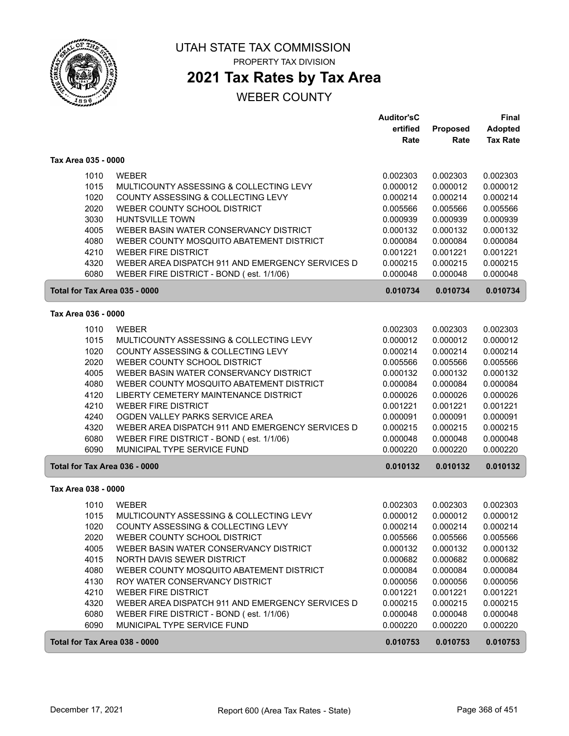

PROPERTY TAX DIVISION

# **2021 Tax Rates by Tax Area**

|                               |                                                  | <b>Auditor'sC</b> |          | Final           |
|-------------------------------|--------------------------------------------------|-------------------|----------|-----------------|
|                               |                                                  | ertified          | Proposed | Adopted         |
|                               |                                                  | Rate              | Rate     | <b>Tax Rate</b> |
| Tax Area 035 - 0000           |                                                  |                   |          |                 |
| 1010                          | <b>WEBER</b>                                     | 0.002303          | 0.002303 | 0.002303        |
| 1015                          | MULTICOUNTY ASSESSING & COLLECTING LEVY          | 0.000012          | 0.000012 | 0.000012        |
| 1020                          | COUNTY ASSESSING & COLLECTING LEVY               | 0.000214          | 0.000214 | 0.000214        |
| 2020                          | WEBER COUNTY SCHOOL DISTRICT                     | 0.005566          | 0.005566 | 0.005566        |
| 3030                          | <b>HUNTSVILLE TOWN</b>                           | 0.000939          | 0.000939 | 0.000939        |
| 4005                          | WEBER BASIN WATER CONSERVANCY DISTRICT           | 0.000132          | 0.000132 | 0.000132        |
| 4080                          | WEBER COUNTY MOSQUITO ABATEMENT DISTRICT         | 0.000084          | 0.000084 | 0.000084        |
| 4210                          | <b>WEBER FIRE DISTRICT</b>                       | 0.001221          | 0.001221 | 0.001221        |
| 4320                          | WEBER AREA DISPATCH 911 AND EMERGENCY SERVICES D | 0.000215          | 0.000215 | 0.000215        |
| 6080                          | WEBER FIRE DISTRICT - BOND (est. 1/1/06)         | 0.000048          | 0.000048 | 0.000048        |
| Total for Tax Area 035 - 0000 |                                                  | 0.010734          | 0.010734 | 0.010734        |
| Tax Area 036 - 0000           |                                                  |                   |          |                 |
| 1010                          | <b>WEBER</b>                                     | 0.002303          | 0.002303 | 0.002303        |
| 1015                          | MULTICOUNTY ASSESSING & COLLECTING LEVY          | 0.000012          | 0.000012 | 0.000012        |
| 1020                          | COUNTY ASSESSING & COLLECTING LEVY               | 0.000214          | 0.000214 | 0.000214        |
| 2020                          | WEBER COUNTY SCHOOL DISTRICT                     | 0.005566          | 0.005566 | 0.005566        |
| 4005                          | WEBER BASIN WATER CONSERVANCY DISTRICT           | 0.000132          | 0.000132 | 0.000132        |
| 4080                          | WEBER COUNTY MOSQUITO ABATEMENT DISTRICT         | 0.000084          | 0.000084 | 0.000084        |
| 4120                          | LIBERTY CEMETERY MAINTENANCE DISTRICT            | 0.000026          | 0.000026 | 0.000026        |
| 4210                          | <b>WEBER FIRE DISTRICT</b>                       | 0.001221          | 0.001221 | 0.001221        |
| 4240                          | OGDEN VALLEY PARKS SERVICE AREA                  | 0.000091          | 0.000091 | 0.000091        |
| 4320                          | WEBER AREA DISPATCH 911 AND EMERGENCY SERVICES D | 0.000215          | 0.000215 | 0.000215        |
| 6080                          | WEBER FIRE DISTRICT - BOND (est. 1/1/06)         | 0.000048          | 0.000048 | 0.000048        |
| 6090                          | MUNICIPAL TYPE SERVICE FUND                      | 0.000220          | 0.000220 | 0.000220        |
| Total for Tax Area 036 - 0000 |                                                  | 0.010132          | 0.010132 | 0.010132        |
| Tax Area 038 - 0000           |                                                  |                   |          |                 |
| 1010                          | <b>WEBER</b>                                     | 0.002303          | 0.002303 | 0.002303        |
| 1015                          | MULTICOUNTY ASSESSING & COLLECTING LEVY          | 0.000012          | 0.000012 | 0.000012        |
| 1020                          | COUNTY ASSESSING & COLLECTING LEVY               | 0.000214          | 0.000214 | 0.000214        |
| 2020                          | WEBER COUNTY SCHOOL DISTRICT                     | 0.005566          | 0.005566 | 0.005566        |
| 4005                          | WEBER BASIN WATER CONSERVANCY DISTRICT           | 0.000132          | 0.000132 | 0.000132        |
| 4015                          | NORTH DAVIS SEWER DISTRICT                       | 0.000682          | 0.000682 | 0.000682        |
| 4080                          | WEBER COUNTY MOSQUITO ABATEMENT DISTRICT         | 0.000084          | 0.000084 | 0.000084        |
| 4130                          | ROY WATER CONSERVANCY DISTRICT                   | 0.000056          | 0.000056 | 0.000056        |
| 4210                          | <b>WEBER FIRE DISTRICT</b>                       | 0.001221          | 0.001221 | 0.001221        |
| 4320                          | WEBER AREA DISPATCH 911 AND EMERGENCY SERVICES D | 0.000215          | 0.000215 | 0.000215        |
| 6080                          | WEBER FIRE DISTRICT - BOND (est. 1/1/06)         | 0.000048          | 0.000048 | 0.000048        |
| 6090                          | MUNICIPAL TYPE SERVICE FUND                      | 0.000220          | 0.000220 | 0.000220        |
| Total for Tax Area 038 - 0000 |                                                  | 0.010753          | 0.010753 | 0.010753        |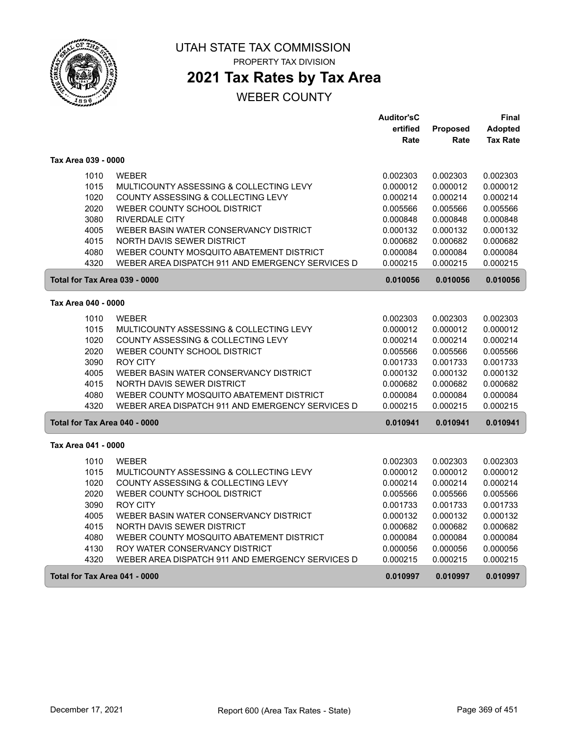

**2021 Tax Rates by Tax Area**

|                               |                                                  | <b>Auditor'sC</b> |          | Final           |
|-------------------------------|--------------------------------------------------|-------------------|----------|-----------------|
|                               |                                                  | ertified          | Proposed | <b>Adopted</b>  |
|                               |                                                  | Rate              | Rate     | <b>Tax Rate</b> |
| Tax Area 039 - 0000           |                                                  |                   |          |                 |
| 1010                          | <b>WEBER</b>                                     | 0.002303          | 0.002303 | 0.002303        |
| 1015                          | MULTICOUNTY ASSESSING & COLLECTING LEVY          | 0.000012          | 0.000012 | 0.000012        |
| 1020                          | COUNTY ASSESSING & COLLECTING LEVY               | 0.000214          | 0.000214 | 0.000214        |
| 2020                          | WEBER COUNTY SCHOOL DISTRICT                     | 0.005566          | 0.005566 | 0.005566        |
| 3080                          | <b>RIVERDALE CITY</b>                            | 0.000848          | 0.000848 | 0.000848        |
| 4005                          | WEBER BASIN WATER CONSERVANCY DISTRICT           | 0.000132          | 0.000132 | 0.000132        |
| 4015                          | NORTH DAVIS SEWER DISTRICT                       | 0.000682          | 0.000682 | 0.000682        |
| 4080                          | WEBER COUNTY MOSQUITO ABATEMENT DISTRICT         | 0.000084          | 0.000084 | 0.000084        |
| 4320                          | WEBER AREA DISPATCH 911 AND EMERGENCY SERVICES D | 0.000215          | 0.000215 | 0.000215        |
| Total for Tax Area 039 - 0000 |                                                  | 0.010056          | 0.010056 | 0.010056        |
| Tax Area 040 - 0000           |                                                  |                   |          |                 |
| 1010                          | <b>WEBER</b>                                     | 0.002303          | 0.002303 | 0.002303        |
| 1015                          | MULTICOUNTY ASSESSING & COLLECTING LEVY          | 0.000012          | 0.000012 | 0.000012        |
| 1020                          | COUNTY ASSESSING & COLLECTING LEVY               | 0.000214          | 0.000214 | 0.000214        |
| 2020                          | WEBER COUNTY SCHOOL DISTRICT                     | 0.005566          | 0.005566 | 0.005566        |
| 3090                          | <b>ROY CITY</b>                                  | 0.001733          | 0.001733 | 0.001733        |
| 4005                          | WEBER BASIN WATER CONSERVANCY DISTRICT           | 0.000132          | 0.000132 | 0.000132        |
| 4015                          | <b>NORTH DAVIS SEWER DISTRICT</b>                | 0.000682          | 0.000682 | 0.000682        |
| 4080                          | WEBER COUNTY MOSQUITO ABATEMENT DISTRICT         | 0.000084          | 0.000084 | 0.000084        |
| 4320                          | WEBER AREA DISPATCH 911 AND EMERGENCY SERVICES D | 0.000215          | 0.000215 | 0.000215        |
| Total for Tax Area 040 - 0000 |                                                  | 0.010941          | 0.010941 | 0.010941        |
|                               |                                                  |                   |          |                 |
| Tax Area 041 - 0000           |                                                  |                   |          |                 |
| 1010                          | <b>WEBER</b>                                     | 0.002303          | 0.002303 | 0.002303        |
| 1015                          | MULTICOUNTY ASSESSING & COLLECTING LEVY          | 0.000012          | 0.000012 | 0.000012        |
| 1020                          | COUNTY ASSESSING & COLLECTING LEVY               | 0.000214          | 0.000214 | 0.000214        |
| 2020                          | WEBER COUNTY SCHOOL DISTRICT                     | 0.005566          | 0.005566 | 0.005566        |
| 3090                          | <b>ROY CITY</b>                                  | 0.001733          | 0.001733 | 0.001733        |
| 4005                          | WEBER BASIN WATER CONSERVANCY DISTRICT           | 0.000132          | 0.000132 | 0.000132        |
| 4015                          | NORTH DAVIS SEWER DISTRICT                       | 0.000682          | 0.000682 | 0.000682        |
| 4080                          | WEBER COUNTY MOSQUITO ABATEMENT DISTRICT         | 0.000084          | 0.000084 | 0.000084        |
| 4130                          | ROY WATER CONSERVANCY DISTRICT                   | 0.000056          | 0.000056 | 0.000056        |
| 4320                          | WEBER AREA DISPATCH 911 AND EMERGENCY SERVICES D | 0.000215          | 0.000215 | 0.000215        |
| Total for Tax Area 041 - 0000 |                                                  | 0.010997          | 0.010997 | 0.010997        |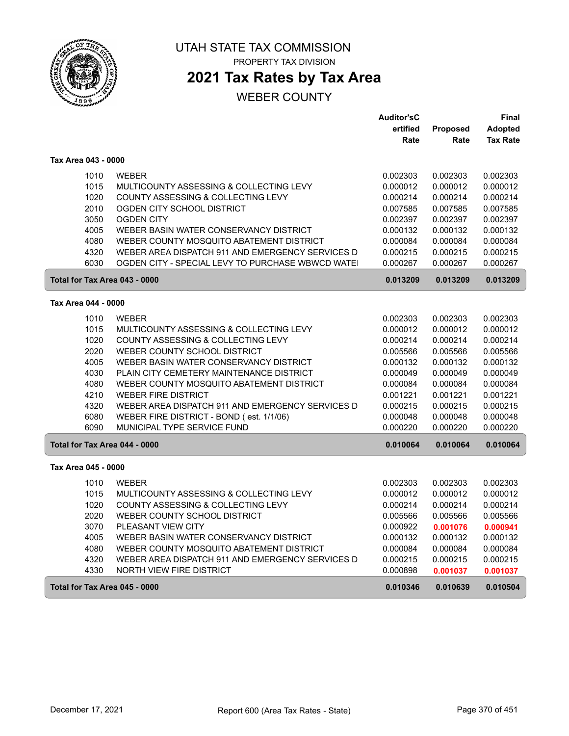

### UTAH STATE TAX COMMISSION PROPERTY TAX DIVISION

**2021 Tax Rates by Tax Area**

|                               |                                                                        | <b>Auditor'sC</b>    |                      | Final                |
|-------------------------------|------------------------------------------------------------------------|----------------------|----------------------|----------------------|
|                               |                                                                        | ertified             | <b>Proposed</b>      | <b>Adopted</b>       |
|                               |                                                                        | Rate                 | Rate                 | <b>Tax Rate</b>      |
| Tax Area 043 - 0000           |                                                                        |                      |                      |                      |
| 1010                          | <b>WEBER</b>                                                           | 0.002303             | 0.002303             | 0.002303             |
| 1015                          | MULTICOUNTY ASSESSING & COLLECTING LEVY                                | 0.000012             | 0.000012             | 0.000012             |
| 1020                          | COUNTY ASSESSING & COLLECTING LEVY                                     | 0.000214             | 0.000214             | 0.000214             |
| 2010                          | OGDEN CITY SCHOOL DISTRICT                                             | 0.007585             | 0.007585             | 0.007585             |
| 3050                          | <b>OGDEN CITY</b>                                                      | 0.002397             | 0.002397             | 0.002397             |
| 4005                          | WEBER BASIN WATER CONSERVANCY DISTRICT                                 | 0.000132             | 0.000132             | 0.000132             |
| 4080                          | WEBER COUNTY MOSQUITO ABATEMENT DISTRICT                               | 0.000084             | 0.000084             | 0.000084             |
| 4320                          | WEBER AREA DISPATCH 911 AND EMERGENCY SERVICES D                       | 0.000215             | 0.000215             | 0.000215             |
| 6030                          | OGDEN CITY - SPECIAL LEVY TO PURCHASE WBWCD WATE                       | 0.000267             | 0.000267             | 0.000267             |
| Total for Tax Area 043 - 0000 |                                                                        | 0.013209             | 0.013209             | 0.013209             |
| Tax Area 044 - 0000           |                                                                        |                      |                      |                      |
|                               |                                                                        |                      |                      |                      |
| 1010                          | <b>WEBER</b>                                                           | 0.002303             | 0.002303             | 0.002303             |
| 1015                          | MULTICOUNTY ASSESSING & COLLECTING LEVY                                | 0.000012             | 0.000012             | 0.000012             |
| 1020                          | COUNTY ASSESSING & COLLECTING LEVY                                     | 0.000214             | 0.000214             | 0.000214             |
| 2020<br>4005                  | WEBER COUNTY SCHOOL DISTRICT                                           | 0.005566             | 0.005566             | 0.005566             |
|                               | WEBER BASIN WATER CONSERVANCY DISTRICT                                 | 0.000132             | 0.000132             | 0.000132             |
| 4030<br>4080                  | PLAIN CITY CEMETERY MAINTENANCE DISTRICT                               | 0.000049             | 0.000049             | 0.000049             |
| 4210                          | WEBER COUNTY MOSQUITO ABATEMENT DISTRICT<br><b>WEBER FIRE DISTRICT</b> | 0.000084<br>0.001221 | 0.000084<br>0.001221 | 0.000084<br>0.001221 |
| 4320                          | WEBER AREA DISPATCH 911 AND EMERGENCY SERVICES D                       | 0.000215             | 0.000215             | 0.000215             |
| 6080                          | WEBER FIRE DISTRICT - BOND (est. 1/1/06)                               | 0.000048             | 0.000048             | 0.000048             |
| 6090                          | MUNICIPAL TYPE SERVICE FUND                                            | 0.000220             | 0.000220             | 0.000220             |
| Total for Tax Area 044 - 0000 |                                                                        | 0.010064             | 0.010064             | 0.010064             |
|                               |                                                                        |                      |                      |                      |
| Tax Area 045 - 0000           |                                                                        |                      |                      |                      |
| 1010                          | <b>WEBER</b>                                                           | 0.002303             | 0.002303             | 0.002303             |
| 1015                          | MULTICOUNTY ASSESSING & COLLECTING LEVY                                | 0.000012             | 0.000012             | 0.000012             |
| 1020                          | COUNTY ASSESSING & COLLECTING LEVY                                     | 0.000214             | 0.000214             | 0.000214             |
| 2020                          | WEBER COUNTY SCHOOL DISTRICT                                           | 0.005566             | 0.005566             | 0.005566             |
| 3070                          | PLEASANT VIEW CITY                                                     | 0.000922             | 0.001076             | 0.000941             |
| 4005                          | WEBER BASIN WATER CONSERVANCY DISTRICT                                 | 0.000132             | 0.000132             | 0.000132             |
| 4080                          | WEBER COUNTY MOSQUITO ABATEMENT DISTRICT                               | 0.000084             | 0.000084             | 0.000084             |
| 4320                          | WEBER AREA DISPATCH 911 AND EMERGENCY SERVICES D                       | 0.000215             | 0.000215             | 0.000215             |
| 4330                          | NORTH VIEW FIRE DISTRICT                                               | 0.000898             | 0.001037             | 0.001037             |
| Total for Tax Area 045 - 0000 |                                                                        | 0.010346             | 0.010639             | 0.010504             |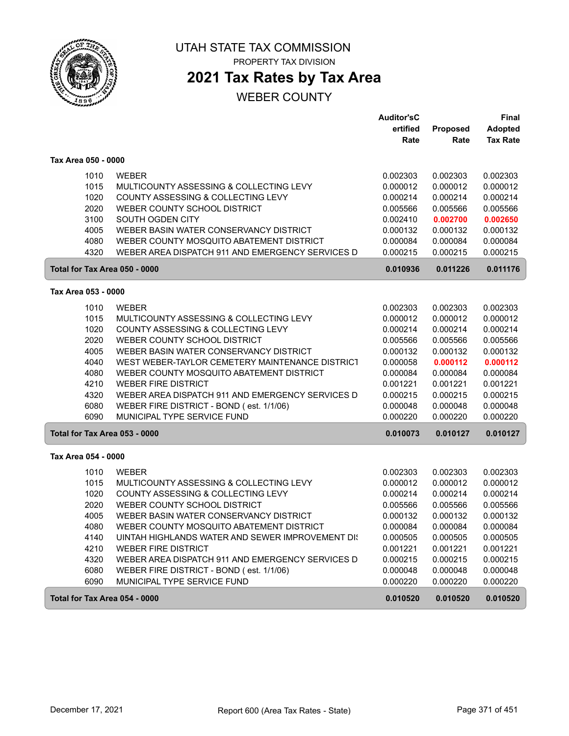

PROPERTY TAX DIVISION

## **2021 Tax Rates by Tax Area**

|                               |                                                  | <b>Auditor'sC</b> |          | <b>Final</b>    |
|-------------------------------|--------------------------------------------------|-------------------|----------|-----------------|
|                               |                                                  | ertified          | Proposed | <b>Adopted</b>  |
|                               |                                                  | Rate              | Rate     | <b>Tax Rate</b> |
| Tax Area 050 - 0000           |                                                  |                   |          |                 |
| 1010                          | <b>WEBER</b>                                     | 0.002303          | 0.002303 | 0.002303        |
| 1015                          | MULTICOUNTY ASSESSING & COLLECTING LEVY          | 0.000012          | 0.000012 | 0.000012        |
| 1020                          | COUNTY ASSESSING & COLLECTING LEVY               | 0.000214          | 0.000214 | 0.000214        |
| 2020                          | WEBER COUNTY SCHOOL DISTRICT                     | 0.005566          | 0.005566 | 0.005566        |
| 3100                          | SOUTH OGDEN CITY                                 | 0.002410          | 0.002700 | 0.002650        |
| 4005                          | WEBER BASIN WATER CONSERVANCY DISTRICT           | 0.000132          | 0.000132 | 0.000132        |
| 4080                          | WEBER COUNTY MOSQUITO ABATEMENT DISTRICT         | 0.000084          | 0.000084 | 0.000084        |
| 4320                          | WEBER AREA DISPATCH 911 AND EMERGENCY SERVICES D | 0.000215          | 0.000215 | 0.000215        |
| Total for Tax Area 050 - 0000 |                                                  | 0.010936          | 0.011226 | 0.011176        |
| Tax Area 053 - 0000           |                                                  |                   |          |                 |
| 1010                          | <b>WEBER</b>                                     | 0.002303          | 0.002303 | 0.002303        |
| 1015                          | MULTICOUNTY ASSESSING & COLLECTING LEVY          | 0.000012          | 0.000012 | 0.000012        |
| 1020                          | COUNTY ASSESSING & COLLECTING LEVY               | 0.000214          | 0.000214 | 0.000214        |
| 2020                          | WEBER COUNTY SCHOOL DISTRICT                     | 0.005566          | 0.005566 | 0.005566        |
| 4005                          | WEBER BASIN WATER CONSERVANCY DISTRICT           | 0.000132          | 0.000132 | 0.000132        |
| 4040                          | WEST WEBER-TAYLOR CEMETERY MAINTENANCE DISTRICT  | 0.000058          | 0.000112 | 0.000112        |
| 4080                          | WEBER COUNTY MOSQUITO ABATEMENT DISTRICT         | 0.000084          | 0.000084 | 0.000084        |
| 4210                          | <b>WEBER FIRE DISTRICT</b>                       | 0.001221          | 0.001221 | 0.001221        |
| 4320                          | WEBER AREA DISPATCH 911 AND EMERGENCY SERVICES D | 0.000215          | 0.000215 | 0.000215        |
| 6080                          | WEBER FIRE DISTRICT - BOND (est. 1/1/06)         | 0.000048          | 0.000048 | 0.000048        |
| 6090                          | MUNICIPAL TYPE SERVICE FUND                      | 0.000220          | 0.000220 | 0.000220        |
| Total for Tax Area 053 - 0000 |                                                  | 0.010073          | 0.010127 | 0.010127        |
| Tax Area 054 - 0000           |                                                  |                   |          |                 |
|                               |                                                  |                   |          |                 |
| 1010                          | <b>WEBER</b>                                     | 0.002303          | 0.002303 | 0.002303        |
| 1015                          | MULTICOUNTY ASSESSING & COLLECTING LEVY          | 0.000012          | 0.000012 | 0.000012        |
| 1020                          | COUNTY ASSESSING & COLLECTING LEVY               | 0.000214          | 0.000214 | 0.000214        |
| 2020                          | WEBER COUNTY SCHOOL DISTRICT                     | 0.005566          | 0.005566 | 0.005566        |
| 4005                          | WEBER BASIN WATER CONSERVANCY DISTRICT           | 0.000132          | 0.000132 | 0.000132        |
| 4080                          | WEBER COUNTY MOSQUITO ABATEMENT DISTRICT         | 0.000084          | 0.000084 | 0.000084        |
| 4140                          | UINTAH HIGHLANDS WATER AND SEWER IMPROVEMENT DIS | 0.000505          | 0.000505 | 0.000505        |
| 4210                          | WEBER FIRE DISTRICT                              | 0.001221          | 0.001221 | 0.001221        |
| 4320                          | WEBER AREA DISPATCH 911 AND EMERGENCY SERVICES D | 0.000215          | 0.000215 | 0.000215        |
| 6080                          | WEBER FIRE DISTRICT - BOND (est. 1/1/06)         | 0.000048          | 0.000048 | 0.000048        |
| 6090                          | MUNICIPAL TYPE SERVICE FUND                      | 0.000220          | 0.000220 | 0.000220        |
| Total for Tax Area 054 - 0000 |                                                  | 0.010520          | 0.010520 | 0.010520        |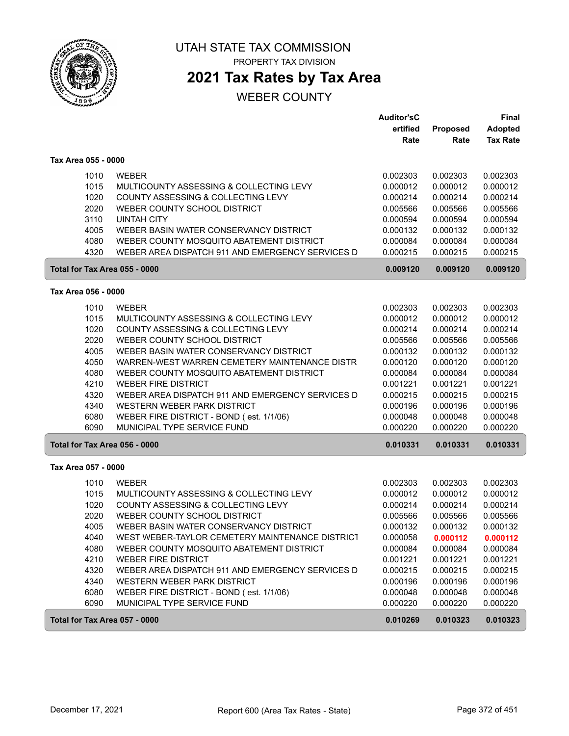

PROPERTY TAX DIVISION

# **2021 Tax Rates by Tax Area**

|                               |                                                                                             | <b>Auditor'sC</b>    |                      | Final                             |
|-------------------------------|---------------------------------------------------------------------------------------------|----------------------|----------------------|-----------------------------------|
|                               |                                                                                             | ertified<br>Rate     | Proposed<br>Rate     | <b>Adopted</b><br><b>Tax Rate</b> |
| Tax Area 055 - 0000           |                                                                                             |                      |                      |                                   |
| 1010                          | <b>WEBER</b>                                                                                | 0.002303             | 0.002303             | 0.002303                          |
| 1015                          | MULTICOUNTY ASSESSING & COLLECTING LEVY                                                     | 0.000012             | 0.000012             | 0.000012                          |
| 1020                          | COUNTY ASSESSING & COLLECTING LEVY                                                          | 0.000214             | 0.000214             | 0.000214                          |
| 2020                          | WEBER COUNTY SCHOOL DISTRICT                                                                | 0.005566             | 0.005566             | 0.005566                          |
| 3110                          | <b>UINTAH CITY</b>                                                                          | 0.000594             | 0.000594             | 0.000594                          |
| 4005                          | WEBER BASIN WATER CONSERVANCY DISTRICT                                                      | 0.000132             | 0.000132             | 0.000132                          |
| 4080                          | WEBER COUNTY MOSQUITO ABATEMENT DISTRICT                                                    | 0.000084             | 0.000084             | 0.000084                          |
| 4320                          | WEBER AREA DISPATCH 911 AND EMERGENCY SERVICES D                                            | 0.000215             | 0.000215             | 0.000215                          |
| Total for Tax Area 055 - 0000 |                                                                                             | 0.009120             | 0.009120             | 0.009120                          |
| Tax Area 056 - 0000           |                                                                                             |                      |                      |                                   |
| 1010                          | <b>WEBER</b>                                                                                | 0.002303             | 0.002303             | 0.002303                          |
| 1015                          | MULTICOUNTY ASSESSING & COLLECTING LEVY                                                     | 0.000012             | 0.000012             | 0.000012                          |
| 1020                          | COUNTY ASSESSING & COLLECTING LEVY                                                          | 0.000214             | 0.000214             | 0.000214                          |
| 2020                          | WEBER COUNTY SCHOOL DISTRICT                                                                | 0.005566             | 0.005566             | 0.005566                          |
| 4005                          | WEBER BASIN WATER CONSERVANCY DISTRICT                                                      | 0.000132             | 0.000132             | 0.000132                          |
| 4050                          | WARREN-WEST WARREN CEMETERY MAINTENANCE DISTR                                               | 0.000120             | 0.000120             | 0.000120                          |
| 4080                          | WEBER COUNTY MOSQUITO ABATEMENT DISTRICT                                                    | 0.000084             | 0.000084             | 0.000084                          |
| 4210                          | <b>WEBER FIRE DISTRICT</b>                                                                  | 0.001221             | 0.001221             | 0.001221                          |
| 4320                          | WEBER AREA DISPATCH 911 AND EMERGENCY SERVICES D                                            | 0.000215             | 0.000215             | 0.000215                          |
| 4340                          | WESTERN WEBER PARK DISTRICT                                                                 | 0.000196             | 0.000196             | 0.000196                          |
| 6080<br>6090                  | WEBER FIRE DISTRICT - BOND (est. 1/1/06)<br>MUNICIPAL TYPE SERVICE FUND                     | 0.000048<br>0.000220 | 0.000048<br>0.000220 | 0.000048<br>0.000220              |
| Total for Tax Area 056 - 0000 |                                                                                             | 0.010331             | 0.010331             | 0.010331                          |
|                               |                                                                                             |                      |                      |                                   |
| Tax Area 057 - 0000           |                                                                                             |                      |                      |                                   |
| 1010                          | <b>WEBER</b>                                                                                | 0.002303             | 0.002303             | 0.002303                          |
| 1015                          | MULTICOUNTY ASSESSING & COLLECTING LEVY                                                     | 0.000012             | 0.000012             | 0.000012                          |
| 1020                          | COUNTY ASSESSING & COLLECTING LEVY                                                          | 0.000214             | 0.000214             | 0.000214                          |
| 2020                          | WEBER COUNTY SCHOOL DISTRICT<br>WEBER BASIN WATER CONSERVANCY DISTRICT                      | 0.005566             | 0.005566             | 0.005566                          |
| 4005                          |                                                                                             | 0.000132             | 0.000132             | 0.000132                          |
| 4040<br>4080                  | WEST WEBER-TAYLOR CEMETERY MAINTENANCE DISTRICT<br>WEBER COUNTY MOSQUITO ABATEMENT DISTRICT | 0.000058<br>0.000084 | 0.000112<br>0.000084 | 0.000112<br>0.000084              |
| 4210                          | <b>WEBER FIRE DISTRICT</b>                                                                  | 0.001221             | 0.001221             | 0.001221                          |
| 4320                          | WEBER AREA DISPATCH 911 AND EMERGENCY SERVICES D                                            | 0.000215             | 0.000215             | 0.000215                          |
| 4340                          | WESTERN WEBER PARK DISTRICT                                                                 | 0.000196             | 0.000196             | 0.000196                          |
| 6080                          | WEBER FIRE DISTRICT - BOND (est. 1/1/06)                                                    | 0.000048             | 0.000048             | 0.000048                          |
| 6090                          | MUNICIPAL TYPE SERVICE FUND                                                                 | 0.000220             | 0.000220             | 0.000220                          |
| Total for Tax Area 057 - 0000 |                                                                                             | 0.010269             | 0.010323             | 0.010323                          |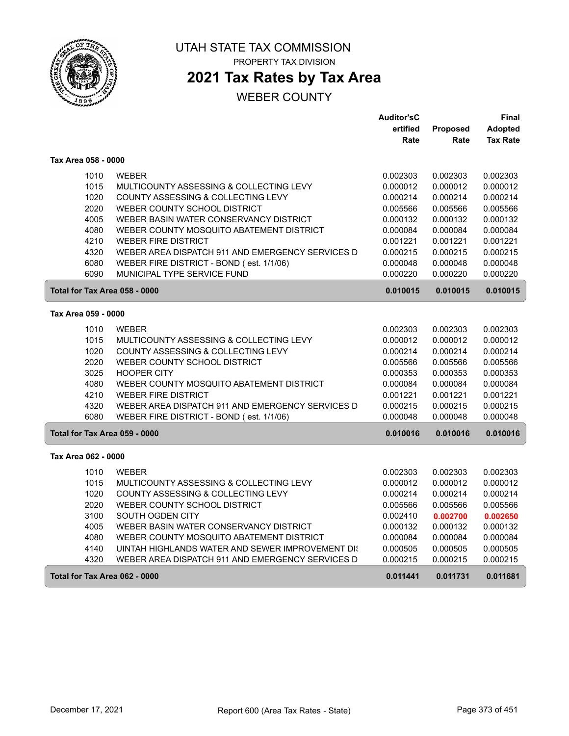

## **2021 Tax Rates by Tax Area**

|                               |                                                  | <b>Auditor'sC</b> |          | Final           |
|-------------------------------|--------------------------------------------------|-------------------|----------|-----------------|
|                               |                                                  | ertified          | Proposed | <b>Adopted</b>  |
|                               |                                                  | Rate              | Rate     | <b>Tax Rate</b> |
| Tax Area 058 - 0000           |                                                  |                   |          |                 |
| 1010                          | <b>WEBER</b>                                     | 0.002303          | 0.002303 | 0.002303        |
| 1015                          | MULTICOUNTY ASSESSING & COLLECTING LEVY          | 0.000012          | 0.000012 | 0.000012        |
| 1020                          | COUNTY ASSESSING & COLLECTING LEVY               | 0.000214          | 0.000214 | 0.000214        |
| 2020                          | WEBER COUNTY SCHOOL DISTRICT                     | 0.005566          | 0.005566 | 0.005566        |
| 4005                          | WEBER BASIN WATER CONSERVANCY DISTRICT           | 0.000132          | 0.000132 | 0.000132        |
| 4080                          | WEBER COUNTY MOSQUITO ABATEMENT DISTRICT         | 0.000084          | 0.000084 | 0.000084        |
| 4210                          | <b>WEBER FIRE DISTRICT</b>                       | 0.001221          | 0.001221 | 0.001221        |
| 4320                          | WEBER AREA DISPATCH 911 AND EMERGENCY SERVICES D | 0.000215          | 0.000215 | 0.000215        |
| 6080                          | WEBER FIRE DISTRICT - BOND (est. 1/1/06)         | 0.000048          | 0.000048 | 0.000048        |
| 6090                          | MUNICIPAL TYPE SERVICE FUND                      | 0.000220          | 0.000220 | 0.000220        |
| Total for Tax Area 058 - 0000 |                                                  | 0.010015          | 0.010015 | 0.010015        |
| Tax Area 059 - 0000           |                                                  |                   |          |                 |
| 1010                          | <b>WEBER</b>                                     | 0.002303          | 0.002303 | 0.002303        |
| 1015                          | MULTICOUNTY ASSESSING & COLLECTING LEVY          | 0.000012          | 0.000012 | 0.000012        |
| 1020                          | COUNTY ASSESSING & COLLECTING LEVY               | 0.000214          | 0.000214 | 0.000214        |
| 2020                          | WEBER COUNTY SCHOOL DISTRICT                     | 0.005566          | 0.005566 | 0.005566        |
| 3025                          | <b>HOOPER CITY</b>                               | 0.000353          | 0.000353 | 0.000353        |
| 4080                          | WEBER COUNTY MOSQUITO ABATEMENT DISTRICT         | 0.000084          | 0.000084 | 0.000084        |
| 4210                          | <b>WEBER FIRE DISTRICT</b>                       | 0.001221          | 0.001221 | 0.001221        |
| 4320                          | WEBER AREA DISPATCH 911 AND EMERGENCY SERVICES D | 0.000215          | 0.000215 | 0.000215        |
| 6080                          | WEBER FIRE DISTRICT - BOND (est. 1/1/06)         | 0.000048          | 0.000048 | 0.000048        |
| Total for Tax Area 059 - 0000 |                                                  | 0.010016          | 0.010016 | 0.010016        |
| Tax Area 062 - 0000           |                                                  |                   |          |                 |
| 1010                          | <b>WEBER</b>                                     | 0.002303          | 0.002303 | 0.002303        |
| 1015                          | MULTICOUNTY ASSESSING & COLLECTING LEVY          | 0.000012          | 0.000012 | 0.000012        |
| 1020                          | COUNTY ASSESSING & COLLECTING LEVY               | 0.000214          | 0.000214 | 0.000214        |
| 2020                          | WEBER COUNTY SCHOOL DISTRICT                     | 0.005566          | 0.005566 | 0.005566        |
| 3100                          | SOUTH OGDEN CITY                                 | 0.002410          | 0.002700 | 0.002650        |
| 4005                          | WEBER BASIN WATER CONSERVANCY DISTRICT           | 0.000132          | 0.000132 | 0.000132        |
| 4080                          | WEBER COUNTY MOSQUITO ABATEMENT DISTRICT         | 0.000084          | 0.000084 | 0.000084        |
| 4140                          | UINTAH HIGHLANDS WATER AND SEWER IMPROVEMENT DIS | 0.000505          | 0.000505 | 0.000505        |
| 4320                          | WEBER AREA DISPATCH 911 AND EMERGENCY SERVICES D | 0.000215          | 0.000215 | 0.000215        |
| Total for Tax Area 062 - 0000 |                                                  | 0.011441          | 0.011731 | 0.011681        |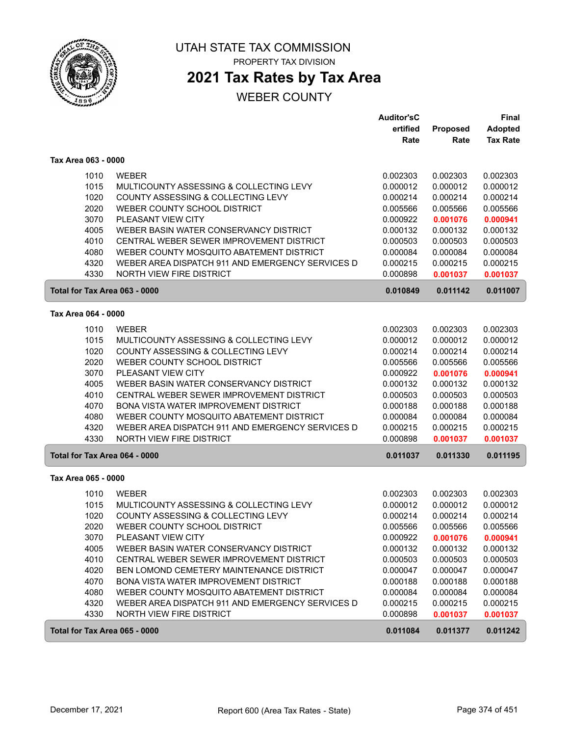

# **2021 Tax Rates by Tax Area**

|                               |                                                  | <b>Auditor'sC</b> |          | <b>Final</b>    |
|-------------------------------|--------------------------------------------------|-------------------|----------|-----------------|
|                               |                                                  | ertified          | Proposed | <b>Adopted</b>  |
|                               |                                                  | Rate              | Rate     | <b>Tax Rate</b> |
| Tax Area 063 - 0000           |                                                  |                   |          |                 |
| 1010                          | <b>WEBER</b>                                     | 0.002303          | 0.002303 | 0.002303        |
| 1015                          | MULTICOUNTY ASSESSING & COLLECTING LEVY          | 0.000012          | 0.000012 | 0.000012        |
| 1020                          | COUNTY ASSESSING & COLLECTING LEVY               | 0.000214          | 0.000214 | 0.000214        |
| 2020                          | WEBER COUNTY SCHOOL DISTRICT                     | 0.005566          | 0.005566 | 0.005566        |
| 3070                          | PLEASANT VIEW CITY                               | 0.000922          | 0.001076 | 0.000941        |
| 4005                          | WEBER BASIN WATER CONSERVANCY DISTRICT           | 0.000132          | 0.000132 | 0.000132        |
| 4010                          | CENTRAL WEBER SEWER IMPROVEMENT DISTRICT         | 0.000503          | 0.000503 | 0.000503        |
| 4080                          | WEBER COUNTY MOSQUITO ABATEMENT DISTRICT         | 0.000084          | 0.000084 | 0.000084        |
| 4320                          | WEBER AREA DISPATCH 911 AND EMERGENCY SERVICES D | 0.000215          | 0.000215 | 0.000215        |
| 4330                          | <b>NORTH VIEW FIRE DISTRICT</b>                  | 0.000898          | 0.001037 | 0.001037        |
| Total for Tax Area 063 - 0000 |                                                  | 0.010849          | 0.011142 | 0.011007        |
| Tax Area 064 - 0000           |                                                  |                   |          |                 |
| 1010                          | <b>WEBER</b>                                     | 0.002303          | 0.002303 | 0.002303        |
| 1015                          | MULTICOUNTY ASSESSING & COLLECTING LEVY          | 0.000012          | 0.000012 | 0.000012        |
| 1020                          | COUNTY ASSESSING & COLLECTING LEVY               | 0.000214          | 0.000214 | 0.000214        |
| 2020                          | WEBER COUNTY SCHOOL DISTRICT                     | 0.005566          | 0.005566 | 0.005566        |
| 3070                          | PLEASANT VIEW CITY                               | 0.000922          | 0.001076 | 0.000941        |
| 4005                          | WEBER BASIN WATER CONSERVANCY DISTRICT           | 0.000132          | 0.000132 | 0.000132        |
| 4010                          | CENTRAL WEBER SEWER IMPROVEMENT DISTRICT         | 0.000503          | 0.000503 | 0.000503        |
| 4070                          | <b>BONA VISTA WATER IMPROVEMENT DISTRICT</b>     | 0.000188          | 0.000188 | 0.000188        |
| 4080                          | WEBER COUNTY MOSQUITO ABATEMENT DISTRICT         | 0.000084          | 0.000084 | 0.000084        |
| 4320                          | WEBER AREA DISPATCH 911 AND EMERGENCY SERVICES D | 0.000215          | 0.000215 | 0.000215        |
| 4330                          | NORTH VIEW FIRE DISTRICT                         | 0.000898          | 0.001037 | 0.001037        |
| Total for Tax Area 064 - 0000 |                                                  | 0.011037          | 0.011330 | 0.011195        |
| Tax Area 065 - 0000           |                                                  |                   |          |                 |
| 1010                          | <b>WEBER</b>                                     | 0.002303          | 0.002303 | 0.002303        |
| 1015                          | MULTICOUNTY ASSESSING & COLLECTING LEVY          | 0.000012          | 0.000012 | 0.000012        |
| 1020                          | COUNTY ASSESSING & COLLECTING LEVY               | 0.000214          | 0.000214 | 0.000214        |
| 2020                          | WEBER COUNTY SCHOOL DISTRICT                     | 0.005566          | 0.005566 | 0.005566        |
| 3070                          | PLEASANT VIEW CITY                               | 0.000922          | 0.001076 | 0.000941        |
| 4005                          | WEBER BASIN WATER CONSERVANCY DISTRICT           | 0.000132          | 0.000132 | 0.000132        |
| 4010                          | CENTRAL WEBER SEWER IMPROVEMENT DISTRICT         | 0.000503          | 0.000503 | 0.000503        |
| 4020                          | BEN LOMOND CEMETERY MAINTENANCE DISTRICT         | 0.000047          | 0.000047 | 0.000047        |
| 4070                          | BONA VISTA WATER IMPROVEMENT DISTRICT            | 0.000188          | 0.000188 | 0.000188        |
| 4080                          | WEBER COUNTY MOSQUITO ABATEMENT DISTRICT         | 0.000084          | 0.000084 | 0.000084        |
| 4320                          | WEBER AREA DISPATCH 911 AND EMERGENCY SERVICES D | 0.000215          | 0.000215 | 0.000215        |
| 4330                          | <b>NORTH VIEW FIRE DISTRICT</b>                  | 0.000898          | 0.001037 | 0.001037        |
| Total for Tax Area 065 - 0000 |                                                  | 0.011084          | 0.011377 | 0.011242        |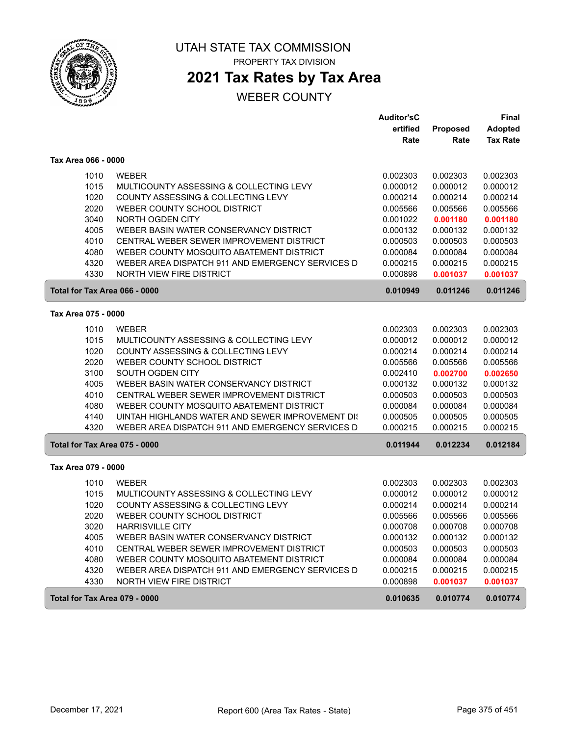

## **2021 Tax Rates by Tax Area**

|                               |                                                  | <b>Auditor'sC</b> |          | <b>Final</b>    |
|-------------------------------|--------------------------------------------------|-------------------|----------|-----------------|
|                               |                                                  | ertified          | Proposed | <b>Adopted</b>  |
|                               |                                                  | Rate              | Rate     | <b>Tax Rate</b> |
| Tax Area 066 - 0000           |                                                  |                   |          |                 |
| 1010                          | <b>WEBER</b>                                     | 0.002303          | 0.002303 | 0.002303        |
| 1015                          | MULTICOUNTY ASSESSING & COLLECTING LEVY          | 0.000012          | 0.000012 | 0.000012        |
| 1020                          | COUNTY ASSESSING & COLLECTING LEVY               | 0.000214          | 0.000214 | 0.000214        |
| 2020                          | WEBER COUNTY SCHOOL DISTRICT                     | 0.005566          | 0.005566 | 0.005566        |
| 3040                          | NORTH OGDEN CITY                                 | 0.001022          | 0.001180 | 0.001180        |
| 4005                          | WEBER BASIN WATER CONSERVANCY DISTRICT           | 0.000132          | 0.000132 | 0.000132        |
| 4010                          | CENTRAL WEBER SEWER IMPROVEMENT DISTRICT         | 0.000503          | 0.000503 | 0.000503        |
| 4080                          | WEBER COUNTY MOSQUITO ABATEMENT DISTRICT         | 0.000084          | 0.000084 | 0.000084        |
| 4320                          | WEBER AREA DISPATCH 911 AND EMERGENCY SERVICES D | 0.000215          | 0.000215 | 0.000215        |
| 4330                          | <b>NORTH VIEW FIRE DISTRICT</b>                  | 0.000898          | 0.001037 | 0.001037        |
| Total for Tax Area 066 - 0000 |                                                  | 0.010949          | 0.011246 | 0.011246        |
| Tax Area 075 - 0000           |                                                  |                   |          |                 |
|                               |                                                  |                   |          |                 |
| 1010                          | <b>WEBER</b>                                     | 0.002303          | 0.002303 | 0.002303        |
| 1015                          | MULTICOUNTY ASSESSING & COLLECTING LEVY          | 0.000012          | 0.000012 | 0.000012        |
| 1020                          | COUNTY ASSESSING & COLLECTING LEVY               | 0.000214          | 0.000214 | 0.000214        |
| 2020                          | WEBER COUNTY SCHOOL DISTRICT                     | 0.005566          | 0.005566 | 0.005566        |
| 3100                          | SOUTH OGDEN CITY                                 | 0.002410          | 0.002700 | 0.002650        |
| 4005                          | WEBER BASIN WATER CONSERVANCY DISTRICT           | 0.000132          | 0.000132 | 0.000132        |
| 4010                          | CENTRAL WEBER SEWER IMPROVEMENT DISTRICT         | 0.000503          | 0.000503 | 0.000503        |
| 4080                          | WEBER COUNTY MOSQUITO ABATEMENT DISTRICT         | 0.000084          | 0.000084 | 0.000084        |
| 4140                          | UINTAH HIGHLANDS WATER AND SEWER IMPROVEMENT DIS | 0.000505          | 0.000505 | 0.000505        |
| 4320                          | WEBER AREA DISPATCH 911 AND EMERGENCY SERVICES D | 0.000215          | 0.000215 | 0.000215        |
| Total for Tax Area 075 - 0000 |                                                  | 0.011944          | 0.012234 | 0.012184        |
| Tax Area 079 - 0000           |                                                  |                   |          |                 |
| 1010                          | <b>WEBER</b>                                     | 0.002303          | 0.002303 | 0.002303        |
| 1015                          | MULTICOUNTY ASSESSING & COLLECTING LEVY          | 0.000012          | 0.000012 | 0.000012        |
| 1020                          | COUNTY ASSESSING & COLLECTING LEVY               | 0.000214          | 0.000214 | 0.000214        |
| 2020                          | WEBER COUNTY SCHOOL DISTRICT                     | 0.005566          | 0.005566 | 0.005566        |
| 3020                          | <b>HARRISVILLE CITY</b>                          | 0.000708          | 0.000708 | 0.000708        |
| 4005                          | WEBER BASIN WATER CONSERVANCY DISTRICT           | 0.000132          | 0.000132 | 0.000132        |
| 4010                          | CENTRAL WEBER SEWER IMPROVEMENT DISTRICT         | 0.000503          | 0.000503 | 0.000503        |
| 4080                          | WEBER COUNTY MOSQUITO ABATEMENT DISTRICT         | 0.000084          | 0.000084 | 0.000084        |
| 4320                          | WEBER AREA DISPATCH 911 AND EMERGENCY SERVICES D | 0.000215          | 0.000215 | 0.000215        |
| 4330                          | NORTH VIEW FIRE DISTRICT                         | 0.000898          | 0.001037 | 0.001037        |
| Total for Tax Area 079 - 0000 |                                                  | 0.010635          | 0.010774 | 0.010774        |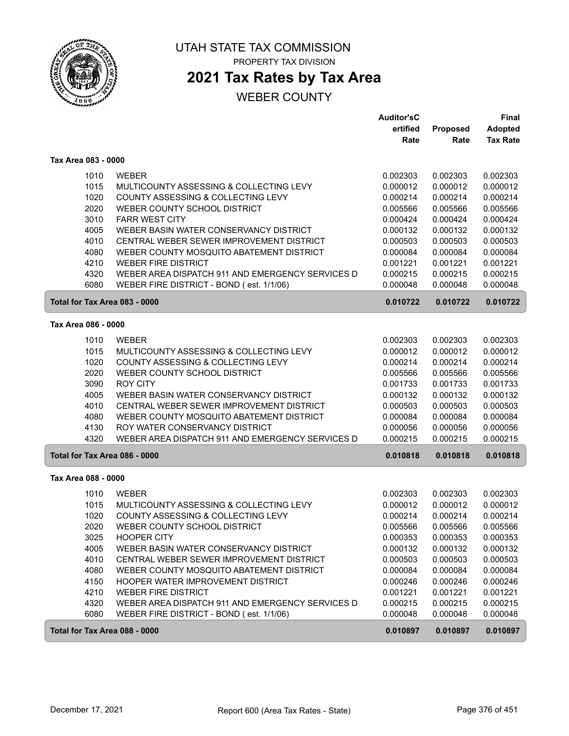

PROPERTY TAX DIVISION

# **2021 Tax Rates by Tax Area**

|                               |                                                  | <b>Auditor'sC</b> |          | Final           |
|-------------------------------|--------------------------------------------------|-------------------|----------|-----------------|
|                               |                                                  | ertified          | Proposed | <b>Adopted</b>  |
|                               |                                                  | Rate              | Rate     | <b>Tax Rate</b> |
| Tax Area 083 - 0000           |                                                  |                   |          |                 |
| 1010                          | <b>WEBER</b>                                     | 0.002303          | 0.002303 | 0.002303        |
| 1015                          | MULTICOUNTY ASSESSING & COLLECTING LEVY          | 0.000012          | 0.000012 | 0.000012        |
| 1020                          | COUNTY ASSESSING & COLLECTING LEVY               | 0.000214          | 0.000214 | 0.000214        |
| 2020                          | WEBER COUNTY SCHOOL DISTRICT                     | 0.005566          | 0.005566 | 0.005566        |
| 3010                          | <b>FARR WEST CITY</b>                            | 0.000424          | 0.000424 | 0.000424        |
| 4005                          | WEBER BASIN WATER CONSERVANCY DISTRICT           | 0.000132          | 0.000132 | 0.000132        |
| 4010                          | CENTRAL WEBER SEWER IMPROVEMENT DISTRICT         | 0.000503          | 0.000503 | 0.000503        |
| 4080                          | WEBER COUNTY MOSQUITO ABATEMENT DISTRICT         | 0.000084          | 0.000084 | 0.000084        |
| 4210                          | <b>WEBER FIRE DISTRICT</b>                       | 0.001221          | 0.001221 | 0.001221        |
| 4320                          | WEBER AREA DISPATCH 911 AND EMERGENCY SERVICES D | 0.000215          | 0.000215 | 0.000215        |
| 6080                          | WEBER FIRE DISTRICT - BOND (est. 1/1/06)         | 0.000048          | 0.000048 | 0.000048        |
| Total for Tax Area 083 - 0000 |                                                  | 0.010722          | 0.010722 | 0.010722        |
| Tax Area 086 - 0000           |                                                  |                   |          |                 |
| 1010                          | <b>WEBER</b>                                     | 0.002303          | 0.002303 | 0.002303        |
| 1015                          | MULTICOUNTY ASSESSING & COLLECTING LEVY          | 0.000012          | 0.000012 | 0.000012        |
| 1020                          | COUNTY ASSESSING & COLLECTING LEVY               | 0.000214          | 0.000214 | 0.000214        |
| 2020                          | WEBER COUNTY SCHOOL DISTRICT                     | 0.005566          | 0.005566 | 0.005566        |
| 3090                          | <b>ROY CITY</b>                                  | 0.001733          | 0.001733 | 0.001733        |
| 4005                          | WEBER BASIN WATER CONSERVANCY DISTRICT           | 0.000132          | 0.000132 | 0.000132        |
| 4010                          | CENTRAL WEBER SEWER IMPROVEMENT DISTRICT         | 0.000503          | 0.000503 | 0.000503        |
| 4080                          | WEBER COUNTY MOSQUITO ABATEMENT DISTRICT         | 0.000084          | 0.000084 | 0.000084        |
| 4130                          | ROY WATER CONSERVANCY DISTRICT                   | 0.000056          | 0.000056 | 0.000056        |
| 4320                          | WEBER AREA DISPATCH 911 AND EMERGENCY SERVICES D | 0.000215          | 0.000215 | 0.000215        |
| Total for Tax Area 086 - 0000 |                                                  | 0.010818          | 0.010818 | 0.010818        |
| Tax Area 088 - 0000           |                                                  |                   |          |                 |
| 1010                          | <b>WEBER</b>                                     | 0.002303          | 0.002303 | 0.002303        |
| 1015                          | MULTICOUNTY ASSESSING & COLLECTING LEVY          | 0.000012          | 0.000012 | 0.000012        |
| 1020                          | COUNTY ASSESSING & COLLECTING LEVY               | 0.000214          | 0.000214 | 0.000214        |
| 2020                          | WEBER COUNTY SCHOOL DISTRICT                     | 0.005566          | 0.005566 | 0.005566        |
| 3025                          | <b>HOOPER CITY</b>                               | 0.000353          | 0.000353 | 0.000353        |
| 4005                          | WEBER BASIN WATER CONSERVANCY DISTRICT           | 0.000132          | 0.000132 | 0.000132        |
| 4010                          | CENTRAL WEBER SEWER IMPROVEMENT DISTRICT         | 0.000503          | 0.000503 | 0.000503        |
| 4080                          | WEBER COUNTY MOSQUITO ABATEMENT DISTRICT         | 0.000084          | 0.000084 | 0.000084        |
| 4150                          | HOOPER WATER IMPROVEMENT DISTRICT                | 0.000246          | 0.000246 | 0.000246        |
| 4210                          | <b>WEBER FIRE DISTRICT</b>                       | 0.001221          | 0.001221 | 0.001221        |
| 4320                          | WEBER AREA DISPATCH 911 AND EMERGENCY SERVICES D | 0.000215          | 0.000215 | 0.000215        |
| 6080                          | WEBER FIRE DISTRICT - BOND (est. 1/1/06)         | 0.000048          | 0.000048 | 0.000048        |
| Total for Tax Area 088 - 0000 |                                                  | 0.010897          | 0.010897 | 0.010897        |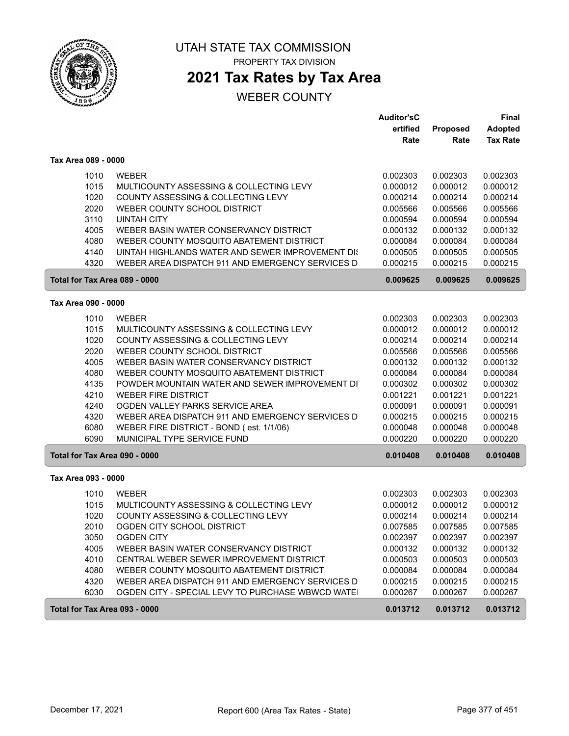

# **2021 Tax Rates by Tax Area**

|                               |                                                   | <b>Auditor'sC</b> |          | <b>Final</b>    |
|-------------------------------|---------------------------------------------------|-------------------|----------|-----------------|
|                               |                                                   | ertified          | Proposed | <b>Adopted</b>  |
|                               |                                                   | Rate              | Rate     | <b>Tax Rate</b> |
| Tax Area 089 - 0000           |                                                   |                   |          |                 |
| 1010                          | <b>WEBER</b>                                      | 0.002303          | 0.002303 | 0.002303        |
| 1015                          | MULTICOUNTY ASSESSING & COLLECTING LEVY           | 0.000012          | 0.000012 | 0.000012        |
| 1020                          | COUNTY ASSESSING & COLLECTING LEVY                | 0.000214          | 0.000214 | 0.000214        |
| 2020                          | WEBER COUNTY SCHOOL DISTRICT                      | 0.005566          | 0.005566 | 0.005566        |
| 3110                          | <b>UINTAH CITY</b>                                | 0.000594          | 0.000594 | 0.000594        |
| 4005                          | WEBER BASIN WATER CONSERVANCY DISTRICT            | 0.000132          | 0.000132 | 0.000132        |
| 4080                          | WEBER COUNTY MOSQUITO ABATEMENT DISTRICT          | 0.000084          | 0.000084 | 0.000084        |
| 4140                          | UINTAH HIGHLANDS WATER AND SEWER IMPROVEMENT DIS  | 0.000505          | 0.000505 | 0.000505        |
| 4320                          | WEBER AREA DISPATCH 911 AND EMERGENCY SERVICES D  | 0.000215          | 0.000215 | 0.000215        |
| Total for Tax Area 089 - 0000 |                                                   | 0.009625          | 0.009625 | 0.009625        |
| Tax Area 090 - 0000           |                                                   |                   |          |                 |
|                               |                                                   |                   |          |                 |
| 1010                          | <b>WEBER</b>                                      | 0.002303          | 0.002303 | 0.002303        |
| 1015                          | MULTICOUNTY ASSESSING & COLLECTING LEVY           | 0.000012          | 0.000012 | 0.000012        |
| 1020                          | COUNTY ASSESSING & COLLECTING LEVY                | 0.000214          | 0.000214 | 0.000214        |
| 2020                          | WEBER COUNTY SCHOOL DISTRICT                      | 0.005566          | 0.005566 | 0.005566        |
| 4005                          | WEBER BASIN WATER CONSERVANCY DISTRICT            | 0.000132          | 0.000132 | 0.000132        |
| 4080                          | WEBER COUNTY MOSQUITO ABATEMENT DISTRICT          | 0.000084          | 0.000084 | 0.000084        |
| 4135                          | POWDER MOUNTAIN WATER AND SEWER IMPROVEMENT DI    | 0.000302          | 0.000302 | 0.000302        |
| 4210                          | <b>WEBER FIRE DISTRICT</b>                        | 0.001221          | 0.001221 | 0.001221        |
| 4240                          | OGDEN VALLEY PARKS SERVICE AREA                   | 0.000091          | 0.000091 | 0.000091        |
| 4320                          | WEBER AREA DISPATCH 911 AND EMERGENCY SERVICES D  | 0.000215          | 0.000215 | 0.000215        |
| 6080                          | WEBER FIRE DISTRICT - BOND (est. 1/1/06)          | 0.000048          | 0.000048 | 0.000048        |
| 6090                          | MUNICIPAL TYPE SERVICE FUND                       | 0.000220          | 0.000220 | 0.000220        |
| Total for Tax Area 090 - 0000 |                                                   | 0.010408          | 0.010408 | 0.010408        |
| Tax Area 093 - 0000           |                                                   |                   |          |                 |
| 1010                          | <b>WEBER</b>                                      | 0.002303          | 0.002303 | 0.002303        |
| 1015                          | MULTICOUNTY ASSESSING & COLLECTING LEVY           | 0.000012          | 0.000012 | 0.000012        |
| 1020                          | COUNTY ASSESSING & COLLECTING LEVY                | 0.000214          | 0.000214 | 0.000214        |
| 2010                          | OGDEN CITY SCHOOL DISTRICT                        | 0.007585          | 0.007585 | 0.007585        |
| 3050                          | <b>OGDEN CITY</b>                                 | 0.002397          | 0.002397 | 0.002397        |
| 4005                          | WEBER BASIN WATER CONSERVANCY DISTRICT            | 0.000132          | 0.000132 | 0.000132        |
| 4010                          | CENTRAL WEBER SEWER IMPROVEMENT DISTRICT          | 0.000503          | 0.000503 | 0.000503        |
| 4080                          | WEBER COUNTY MOSQUITO ABATEMENT DISTRICT          | 0.000084          | 0.000084 | 0.000084        |
| 4320                          | WEBER AREA DISPATCH 911 AND EMERGENCY SERVICES D  | 0.000215          | 0.000215 | 0.000215        |
| 6030                          | OGDEN CITY - SPECIAL LEVY TO PURCHASE WBWCD WATE! | 0.000267          | 0.000267 | 0.000267        |
| Total for Tax Area 093 - 0000 |                                                   | 0.013712          | 0.013712 | 0.013712        |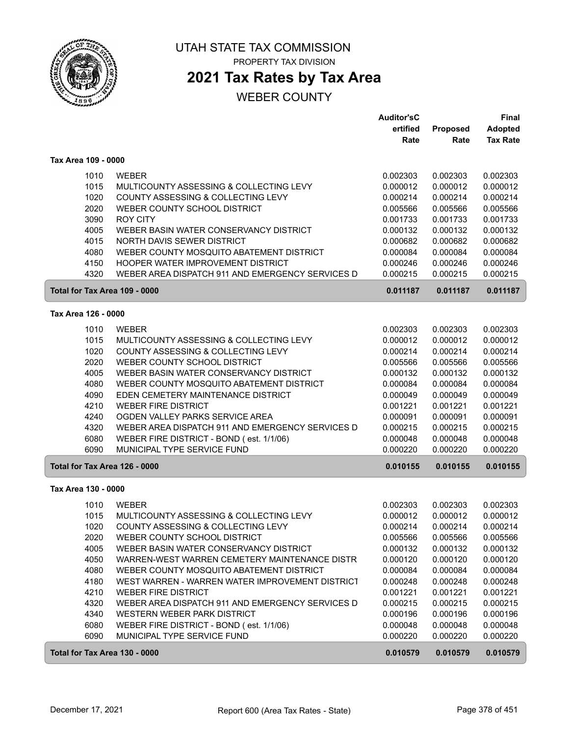

ſ

# UTAH STATE TAX COMMISSION

PROPERTY TAX DIVISION

## **2021 Tax Rates by Tax Area**

|                               |                                                  | <b>Auditor'sC</b> |          | <b>Final</b>    |
|-------------------------------|--------------------------------------------------|-------------------|----------|-----------------|
|                               |                                                  | ertified          | Proposed | <b>Adopted</b>  |
|                               |                                                  | Rate              | Rate     | <b>Tax Rate</b> |
| Tax Area 109 - 0000           |                                                  |                   |          |                 |
| 1010                          | <b>WEBER</b>                                     | 0.002303          | 0.002303 | 0.002303        |
| 1015                          | MULTICOUNTY ASSESSING & COLLECTING LEVY          | 0.000012          | 0.000012 | 0.000012        |
| 1020                          | COUNTY ASSESSING & COLLECTING LEVY               | 0.000214          | 0.000214 | 0.000214        |
| 2020                          | WEBER COUNTY SCHOOL DISTRICT                     | 0.005566          | 0.005566 | 0.005566        |
| 3090                          | <b>ROY CITY</b>                                  | 0.001733          | 0.001733 | 0.001733        |
| 4005                          | WEBER BASIN WATER CONSERVANCY DISTRICT           | 0.000132          | 0.000132 | 0.000132        |
| 4015                          | NORTH DAVIS SEWER DISTRICT                       | 0.000682          | 0.000682 | 0.000682        |
| 4080                          | WEBER COUNTY MOSQUITO ABATEMENT DISTRICT         | 0.000084          | 0.000084 | 0.000084        |
| 4150                          | <b>HOOPER WATER IMPROVEMENT DISTRICT</b>         | 0.000246          | 0.000246 | 0.000246        |
| 4320                          | WEBER AREA DISPATCH 911 AND EMERGENCY SERVICES D | 0.000215          | 0.000215 | 0.000215        |
| Total for Tax Area 109 - 0000 |                                                  | 0.011187          | 0.011187 | 0.011187        |
| Tax Area 126 - 0000           |                                                  |                   |          |                 |
|                               |                                                  |                   |          |                 |
| 1010                          | <b>WEBER</b>                                     | 0.002303          | 0.002303 | 0.002303        |
| 1015                          | MULTICOUNTY ASSESSING & COLLECTING LEVY          | 0.000012          | 0.000012 | 0.000012        |
| 1020                          | COUNTY ASSESSING & COLLECTING LEVY               | 0.000214          | 0.000214 | 0.000214        |
| 2020                          | WEBER COUNTY SCHOOL DISTRICT                     | 0.005566          | 0.005566 | 0.005566        |
| 4005                          | WEBER BASIN WATER CONSERVANCY DISTRICT           | 0.000132          | 0.000132 | 0.000132        |
| 4080                          | WEBER COUNTY MOSQUITO ABATEMENT DISTRICT         | 0.000084          | 0.000084 | 0.000084        |
| 4090                          | EDEN CEMETERY MAINTENANCE DISTRICT               | 0.000049          | 0.000049 | 0.000049        |
| 4210                          | <b>WEBER FIRE DISTRICT</b>                       | 0.001221          | 0.001221 | 0.001221        |
| 4240                          | OGDEN VALLEY PARKS SERVICE AREA                  | 0.000091          | 0.000091 | 0.000091        |
| 4320                          | WEBER AREA DISPATCH 911 AND EMERGENCY SERVICES D | 0.000215          | 0.000215 | 0.000215        |
| 6080                          | WEBER FIRE DISTRICT - BOND (est. 1/1/06)         | 0.000048          | 0.000048 | 0.000048        |
| 6090                          | MUNICIPAL TYPE SERVICE FUND                      | 0.000220          | 0.000220 | 0.000220        |
| Total for Tax Area 126 - 0000 |                                                  | 0.010155          | 0.010155 | 0.010155        |
| Tax Area 130 - 0000           |                                                  |                   |          |                 |
| 1010                          | <b>WEBER</b>                                     | 0.002303          | 0.002303 | 0.002303        |
| 1015                          | MULTICOUNTY ASSESSING & COLLECTING LEVY          | 0.000012          | 0.000012 | 0.000012        |
| 1020                          | COUNTY ASSESSING & COLLECTING LEVY               | 0.000214          | 0.000214 | 0.000214        |
| 2020                          | WEBER COUNTY SCHOOL DISTRICT                     | 0.005566          | 0.005566 | 0.005566        |
| 4005                          | WEBER BASIN WATER CONSERVANCY DISTRICT           | 0.000132          | 0.000132 | 0.000132        |
| 4050                          | WARREN-WEST WARREN CEMETERY MAINTENANCE DISTR    | 0.000120          | 0.000120 | 0.000120        |
| 4080                          | WEBER COUNTY MOSQUITO ABATEMENT DISTRICT         | 0.000084          | 0.000084 | 0.000084        |
| 4180                          | WEST WARREN - WARREN WATER IMPROVEMENT DISTRICT  | 0.000248          | 0.000248 | 0.000248        |
| 4210                          | <b>WEBER FIRE DISTRICT</b>                       | 0.001221          | 0.001221 | 0.001221        |
| 4320                          | WEBER AREA DISPATCH 911 AND EMERGENCY SERVICES D | 0.000215          | 0.000215 | 0.000215        |
| 4340                          | WESTERN WEBER PARK DISTRICT                      | 0.000196          | 0.000196 | 0.000196        |
| 6080                          | WEBER FIRE DISTRICT - BOND (est. 1/1/06)         | 0.000048          | 0.000048 | 0.000048        |
| 6090                          | MUNICIPAL TYPE SERVICE FUND                      | 0.000220          | 0.000220 | 0.000220        |
| Total for Tax Area 130 - 0000 |                                                  | 0.010579          | 0.010579 | 0.010579        |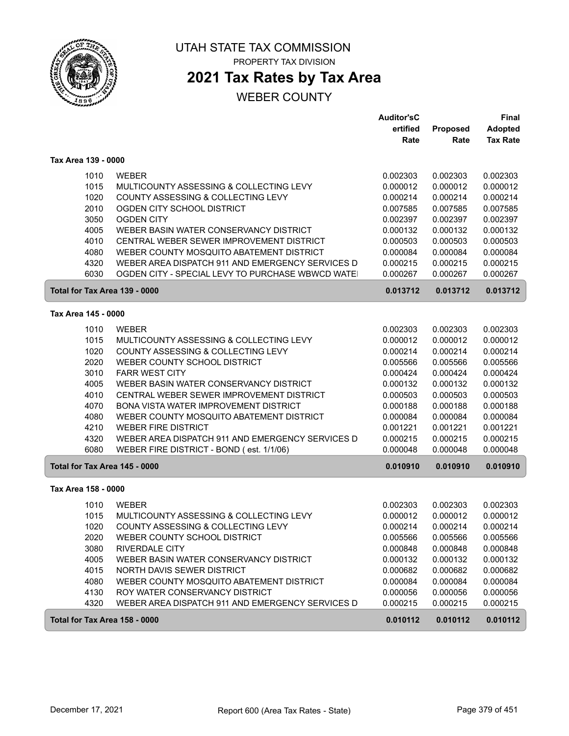

ſ

### UTAH STATE TAX COMMISSION PROPERTY TAX DIVISION

## **2021 Tax Rates by Tax Area**

|                               |                                                  | <b>Auditor'sC</b> |          | Final           |
|-------------------------------|--------------------------------------------------|-------------------|----------|-----------------|
|                               |                                                  | ertified          | Proposed | <b>Adopted</b>  |
|                               |                                                  | Rate              | Rate     | <b>Tax Rate</b> |
| Tax Area 139 - 0000           |                                                  |                   |          |                 |
| 1010                          | <b>WEBER</b>                                     | 0.002303          | 0.002303 | 0.002303        |
| 1015                          | MULTICOUNTY ASSESSING & COLLECTING LEVY          | 0.000012          | 0.000012 | 0.000012        |
| 1020                          | COUNTY ASSESSING & COLLECTING LEVY               | 0.000214          | 0.000214 | 0.000214        |
| 2010                          | OGDEN CITY SCHOOL DISTRICT                       | 0.007585          | 0.007585 | 0.007585        |
| 3050                          | <b>OGDEN CITY</b>                                | 0.002397          | 0.002397 | 0.002397        |
| 4005                          | WEBER BASIN WATER CONSERVANCY DISTRICT           | 0.000132          | 0.000132 | 0.000132        |
| 4010                          | CENTRAL WEBER SEWER IMPROVEMENT DISTRICT         | 0.000503          | 0.000503 | 0.000503        |
| 4080                          | WEBER COUNTY MOSQUITO ABATEMENT DISTRICT         | 0.000084          | 0.000084 | 0.000084        |
| 4320                          | WEBER AREA DISPATCH 911 AND EMERGENCY SERVICES D | 0.000215          | 0.000215 | 0.000215        |
| 6030                          | OGDEN CITY - SPECIAL LEVY TO PURCHASE WBWCD WATE | 0.000267          | 0.000267 | 0.000267        |
| Total for Tax Area 139 - 0000 |                                                  | 0.013712          | 0.013712 | 0.013712        |
| Tax Area 145 - 0000           |                                                  |                   |          |                 |
| 1010                          | <b>WEBER</b>                                     | 0.002303          | 0.002303 | 0.002303        |
| 1015                          | MULTICOUNTY ASSESSING & COLLECTING LEVY          | 0.000012          | 0.000012 | 0.000012        |
| 1020                          | COUNTY ASSESSING & COLLECTING LEVY               | 0.000214          | 0.000214 | 0.000214        |
| 2020                          | WEBER COUNTY SCHOOL DISTRICT                     | 0.005566          | 0.005566 | 0.005566        |
| 3010                          | <b>FARR WEST CITY</b>                            | 0.000424          | 0.000424 | 0.000424        |
| 4005                          | WEBER BASIN WATER CONSERVANCY DISTRICT           | 0.000132          | 0.000132 | 0.000132        |
| 4010                          | CENTRAL WEBER SEWER IMPROVEMENT DISTRICT         | 0.000503          | 0.000503 | 0.000503        |
| 4070                          | BONA VISTA WATER IMPROVEMENT DISTRICT            | 0.000188          | 0.000188 | 0.000188        |
| 4080                          | WEBER COUNTY MOSQUITO ABATEMENT DISTRICT         | 0.000084          | 0.000084 | 0.000084        |
| 4210                          | <b>WEBER FIRE DISTRICT</b>                       | 0.001221          | 0.001221 | 0.001221        |
| 4320                          | WEBER AREA DISPATCH 911 AND EMERGENCY SERVICES D | 0.000215          | 0.000215 | 0.000215        |
| 6080                          | WEBER FIRE DISTRICT - BOND (est. 1/1/06)         | 0.000048          | 0.000048 | 0.000048        |
| Total for Tax Area 145 - 0000 |                                                  | 0.010910          | 0.010910 | 0.010910        |
| Tax Area 158 - 0000           |                                                  |                   |          |                 |
| 1010                          | <b>WEBER</b>                                     | 0.002303          | 0.002303 | 0.002303        |
| 1015                          | MULTICOUNTY ASSESSING & COLLECTING LEVY          | 0.000012          | 0.000012 | 0.000012        |
| 1020                          | COUNTY ASSESSING & COLLECTING LEVY               | 0.000214          | 0.000214 | 0.000214        |
| 2020                          | WEBER COUNTY SCHOOL DISTRICT                     | 0.005566          | 0.005566 | 0.005566        |
| 3080                          | <b>RIVERDALE CITY</b>                            | 0.000848          | 0.000848 | 0.000848        |
| 4005                          | WEBER BASIN WATER CONSERVANCY DISTRICT           | 0.000132          | 0.000132 | 0.000132        |
| 4015                          | NORTH DAVIS SEWER DISTRICT                       | 0.000682          | 0.000682 | 0.000682        |
| 4080                          | WEBER COUNTY MOSQUITO ABATEMENT DISTRICT         | 0.000084          | 0.000084 | 0.000084        |
| 4130                          | ROY WATER CONSERVANCY DISTRICT                   | 0.000056          | 0.000056 | 0.000056        |
| 4320                          | WEBER AREA DISPATCH 911 AND EMERGENCY SERVICES D | 0.000215          | 0.000215 | 0.000215        |
| Total for Tax Area 158 - 0000 |                                                  | 0.010112          | 0.010112 | 0.010112        |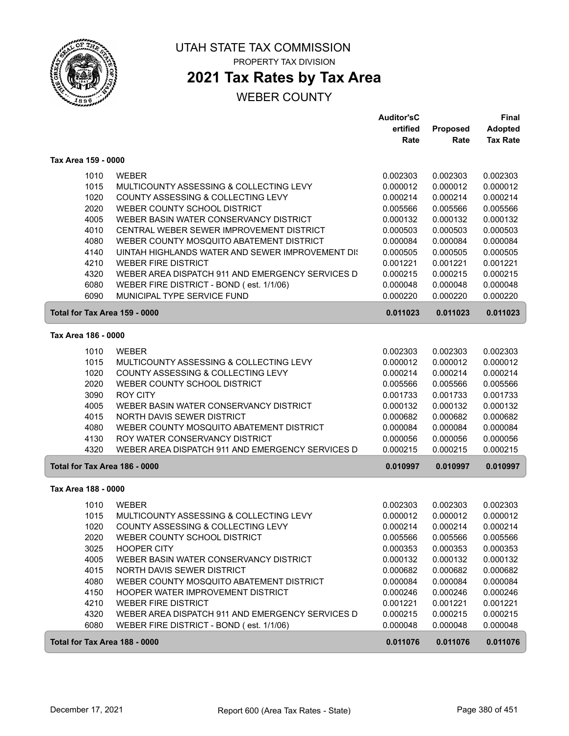

 $\sqrt{2}$ 

UTAH STATE TAX COMMISSION PROPERTY TAX DIVISION

## **2021 Tax Rates by Tax Area**

|                               |                                                         | <b>Auditor'sC</b>    |                      | Final                |
|-------------------------------|---------------------------------------------------------|----------------------|----------------------|----------------------|
|                               |                                                         | ertified             | Proposed             | <b>Adopted</b>       |
|                               |                                                         | Rate                 | Rate                 | <b>Tax Rate</b>      |
| Tax Area 159 - 0000           |                                                         |                      |                      |                      |
| 1010                          | <b>WEBER</b>                                            | 0.002303             | 0.002303             | 0.002303             |
| 1015                          | MULTICOUNTY ASSESSING & COLLECTING LEVY                 | 0.000012             | 0.000012             | 0.000012             |
| 1020                          | COUNTY ASSESSING & COLLECTING LEVY                      | 0.000214             | 0.000214             | 0.000214             |
| 2020                          | WEBER COUNTY SCHOOL DISTRICT                            | 0.005566             | 0.005566             | 0.005566             |
| 4005                          | WEBER BASIN WATER CONSERVANCY DISTRICT                  | 0.000132             | 0.000132             | 0.000132             |
| 4010                          | CENTRAL WEBER SEWER IMPROVEMENT DISTRICT                | 0.000503             | 0.000503             | 0.000503             |
| 4080                          | WEBER COUNTY MOSQUITO ABATEMENT DISTRICT                | 0.000084             | 0.000084             | 0.000084             |
| 4140                          | UINTAH HIGHLANDS WATER AND SEWER IMPROVEMENT DIS        | 0.000505             | 0.000505             | 0.000505             |
| 4210                          | <b>WEBER FIRE DISTRICT</b>                              | 0.001221             | 0.001221             | 0.001221             |
| 4320                          | WEBER AREA DISPATCH 911 AND EMERGENCY SERVICES D        | 0.000215             | 0.000215             | 0.000215             |
| 6080                          | WEBER FIRE DISTRICT - BOND (est. 1/1/06)                | 0.000048             | 0.000048             | 0.000048             |
| 6090                          | MUNICIPAL TYPE SERVICE FUND                             | 0.000220             | 0.000220             | 0.000220             |
| Total for Tax Area 159 - 0000 |                                                         | 0.011023             | 0.011023             | 0.011023             |
| Tax Area 186 - 0000           |                                                         |                      |                      |                      |
|                               |                                                         |                      |                      |                      |
| 1010<br>1015                  | <b>WEBER</b><br>MULTICOUNTY ASSESSING & COLLECTING LEVY | 0.002303             | 0.002303             | 0.002303             |
| 1020                          | COUNTY ASSESSING & COLLECTING LEVY                      | 0.000012<br>0.000214 | 0.000012<br>0.000214 | 0.000012<br>0.000214 |
| 2020                          | WEBER COUNTY SCHOOL DISTRICT                            | 0.005566             | 0.005566             | 0.005566             |
| 3090                          | <b>ROY CITY</b>                                         | 0.001733             | 0.001733             | 0.001733             |
| 4005                          | WEBER BASIN WATER CONSERVANCY DISTRICT                  | 0.000132             | 0.000132             | 0.000132             |
| 4015                          | NORTH DAVIS SEWER DISTRICT                              | 0.000682             | 0.000682             | 0.000682             |
| 4080                          | WEBER COUNTY MOSQUITO ABATEMENT DISTRICT                | 0.000084             | 0.000084             | 0.000084             |
| 4130                          | ROY WATER CONSERVANCY DISTRICT                          | 0.000056             | 0.000056             | 0.000056             |
| 4320                          | WEBER AREA DISPATCH 911 AND EMERGENCY SERVICES D        | 0.000215             | 0.000215             | 0.000215             |
| Total for Tax Area 186 - 0000 |                                                         | 0.010997             | 0.010997             | 0.010997             |
|                               |                                                         |                      |                      |                      |
| Tax Area 188 - 0000           |                                                         |                      |                      |                      |
| 1010                          | <b>WEBER</b>                                            | 0.002303             | 0.002303             | 0.002303             |
| 1015                          | MULTICOUNTY ASSESSING & COLLECTING LEVY                 | 0.000012             | 0.000012             | 0.000012             |
| 1020                          | COUNTY ASSESSING & COLLECTING LEVY                      | 0.000214             | 0.000214             | 0.000214             |
| 2020                          | WEBER COUNTY SCHOOL DISTRICT                            | 0.005566             | 0.005566             | 0.005566             |
| 3025                          | <b>HOOPER CITY</b>                                      | 0.000353             | 0.000353             | 0.000353             |
| 4005                          | WEBER BASIN WATER CONSERVANCY DISTRICT                  | 0.000132             | 0.000132             | 0.000132             |
| 4015                          | NORTH DAVIS SEWER DISTRICT                              | 0.000682             | 0.000682             | 0.000682             |
| 4080                          | WEBER COUNTY MOSQUITO ABATEMENT DISTRICT                | 0.000084             | 0.000084             | 0.000084             |
| 4150                          | HOOPER WATER IMPROVEMENT DISTRICT                       | 0.000246             | 0.000246             | 0.000246             |
| 4210                          | <b>WEBER FIRE DISTRICT</b>                              | 0.001221             | 0.001221             | 0.001221             |
| 4320                          | WEBER AREA DISPATCH 911 AND EMERGENCY SERVICES D        | 0.000215             | 0.000215             | 0.000215             |
| 6080                          | WEBER FIRE DISTRICT - BOND (est. 1/1/06)                | 0.000048             | 0.000048             | 0.000048             |
| Total for Tax Area 188 - 0000 |                                                         | 0.011076             | 0.011076             | 0.011076             |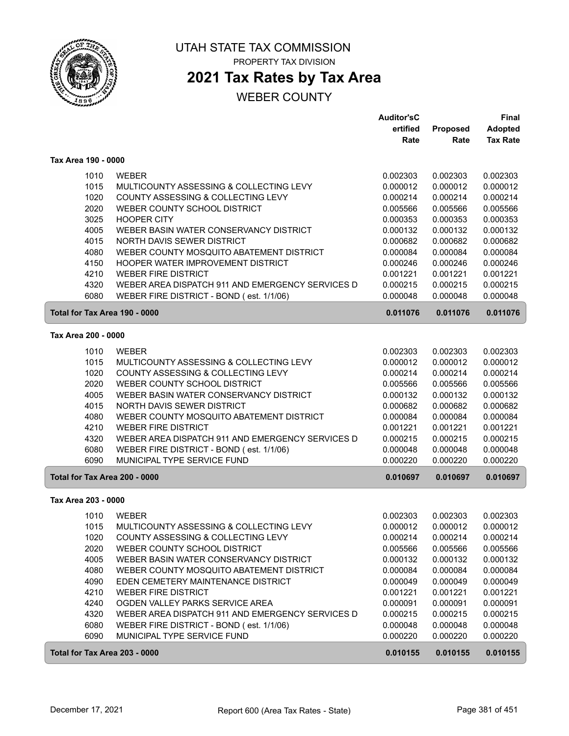

## **2021 Tax Rates by Tax Area**

|                               |                                                  | <b>Auditor'sC</b> |          | Final           |
|-------------------------------|--------------------------------------------------|-------------------|----------|-----------------|
|                               |                                                  | ertified          | Proposed | <b>Adopted</b>  |
|                               |                                                  | Rate              | Rate     | <b>Tax Rate</b> |
| Tax Area 190 - 0000           |                                                  |                   |          |                 |
| 1010                          | <b>WEBER</b>                                     | 0.002303          | 0.002303 | 0.002303        |
| 1015                          | MULTICOUNTY ASSESSING & COLLECTING LEVY          | 0.000012          | 0.000012 | 0.000012        |
| 1020                          | COUNTY ASSESSING & COLLECTING LEVY               | 0.000214          | 0.000214 | 0.000214        |
| 2020                          | WEBER COUNTY SCHOOL DISTRICT                     | 0.005566          | 0.005566 | 0.005566        |
| 3025                          | <b>HOOPER CITY</b>                               | 0.000353          | 0.000353 | 0.000353        |
| 4005                          | WEBER BASIN WATER CONSERVANCY DISTRICT           | 0.000132          | 0.000132 | 0.000132        |
| 4015                          | NORTH DAVIS SEWER DISTRICT                       | 0.000682          | 0.000682 | 0.000682        |
| 4080                          | WEBER COUNTY MOSQUITO ABATEMENT DISTRICT         | 0.000084          | 0.000084 | 0.000084        |
| 4150                          | HOOPER WATER IMPROVEMENT DISTRICT                | 0.000246          | 0.000246 | 0.000246        |
| 4210                          | <b>WEBER FIRE DISTRICT</b>                       | 0.001221          | 0.001221 | 0.001221        |
| 4320                          | WEBER AREA DISPATCH 911 AND EMERGENCY SERVICES D | 0.000215          | 0.000215 | 0.000215        |
| 6080                          | WEBER FIRE DISTRICT - BOND (est. 1/1/06)         | 0.000048          | 0.000048 | 0.000048        |
| Total for Tax Area 190 - 0000 |                                                  | 0.011076          | 0.011076 | 0.011076        |
| Tax Area 200 - 0000           |                                                  |                   |          |                 |
|                               |                                                  |                   |          |                 |
| 1010                          | <b>WEBER</b>                                     | 0.002303          | 0.002303 | 0.002303        |
| 1015                          | MULTICOUNTY ASSESSING & COLLECTING LEVY          | 0.000012          | 0.000012 | 0.000012        |
| 1020                          | COUNTY ASSESSING & COLLECTING LEVY               | 0.000214          | 0.000214 | 0.000214        |
| 2020                          | WEBER COUNTY SCHOOL DISTRICT                     | 0.005566          | 0.005566 | 0.005566        |
| 4005                          | WEBER BASIN WATER CONSERVANCY DISTRICT           | 0.000132          | 0.000132 | 0.000132        |
| 4015                          | NORTH DAVIS SEWER DISTRICT                       | 0.000682          | 0.000682 | 0.000682        |
| 4080                          | WEBER COUNTY MOSQUITO ABATEMENT DISTRICT         | 0.000084          | 0.000084 | 0.000084        |
| 4210                          | <b>WEBER FIRE DISTRICT</b>                       | 0.001221          | 0.001221 | 0.001221        |
| 4320                          | WEBER AREA DISPATCH 911 AND EMERGENCY SERVICES D | 0.000215          | 0.000215 | 0.000215        |
| 6080                          | WEBER FIRE DISTRICT - BOND (est. 1/1/06)         | 0.000048          | 0.000048 | 0.000048        |
| 6090                          | MUNICIPAL TYPE SERVICE FUND                      | 0.000220          | 0.000220 | 0.000220        |
| Total for Tax Area 200 - 0000 |                                                  | 0.010697          | 0.010697 | 0.010697        |
| Tax Area 203 - 0000           |                                                  |                   |          |                 |
| 1010                          | <b>WEBER</b>                                     | 0.002303          | 0.002303 | 0.002303        |
| 1015                          | MULTICOUNTY ASSESSING & COLLECTING LEVY          | 0.000012          | 0.000012 | 0.000012        |
| 1020                          | COUNTY ASSESSING & COLLECTING LEVY               | 0.000214          | 0.000214 | 0.000214        |
| 2020                          | WEBER COUNTY SCHOOL DISTRICT                     | 0.005566          | 0.005566 | 0.005566        |
| 4005                          | WEBER BASIN WATER CONSERVANCY DISTRICT           | 0.000132          | 0.000132 | 0.000132        |
| 4080                          | WEBER COUNTY MOSQUITO ABATEMENT DISTRICT         | 0.000084          | 0.000084 | 0.000084        |
| 4090                          | EDEN CEMETERY MAINTENANCE DISTRICT               | 0.000049          | 0.000049 | 0.000049        |
| 4210                          | <b>WEBER FIRE DISTRICT</b>                       | 0.001221          | 0.001221 | 0.001221        |
| 4240                          | OGDEN VALLEY PARKS SERVICE AREA                  | 0.000091          | 0.000091 | 0.000091        |
| 4320                          | WEBER AREA DISPATCH 911 AND EMERGENCY SERVICES D | 0.000215          | 0.000215 | 0.000215        |
| 6080                          | WEBER FIRE DISTRICT - BOND (est. 1/1/06)         | 0.000048          | 0.000048 | 0.000048        |
| 6090                          | MUNICIPAL TYPE SERVICE FUND                      | 0.000220          | 0.000220 | 0.000220        |
| Total for Tax Area 203 - 0000 |                                                  | 0.010155          | 0.010155 | 0.010155        |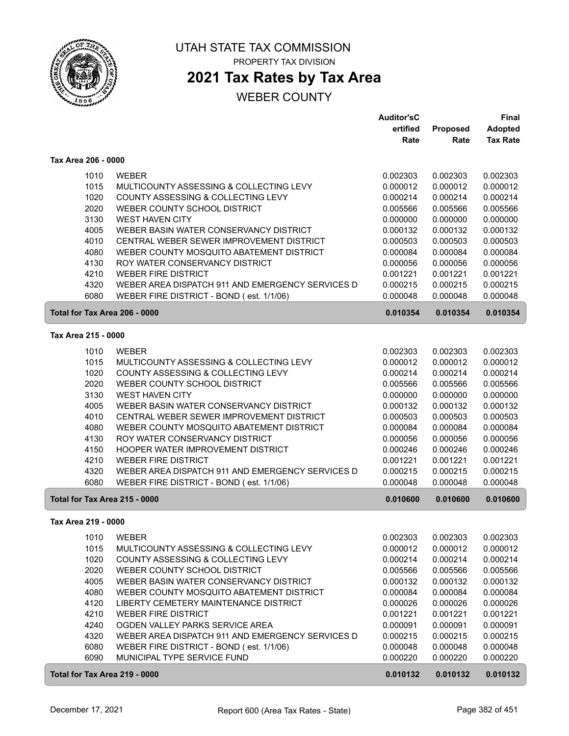

# **2021 Tax Rates by Tax Area**

|                               |                                                                         | <b>Auditor'sC</b> |                      | <b>Final</b>         |
|-------------------------------|-------------------------------------------------------------------------|-------------------|----------------------|----------------------|
|                               |                                                                         | ertified          | Proposed             | <b>Adopted</b>       |
|                               |                                                                         | Rate              | Rate                 | <b>Tax Rate</b>      |
| Tax Area 206 - 0000           |                                                                         |                   |                      |                      |
| 1010                          | <b>WEBER</b>                                                            | 0.002303          | 0.002303             | 0.002303             |
| 1015                          | MULTICOUNTY ASSESSING & COLLECTING LEVY                                 | 0.000012          | 0.000012             | 0.000012             |
| 1020                          | COUNTY ASSESSING & COLLECTING LEVY                                      | 0.000214          | 0.000214             | 0.000214             |
| 2020                          | WEBER COUNTY SCHOOL DISTRICT                                            | 0.005566          | 0.005566             | 0.005566             |
| 3130                          | <b>WEST HAVEN CITY</b>                                                  | 0.000000          | 0.000000             | 0.000000             |
|                               | WEBER BASIN WATER CONSERVANCY DISTRICT                                  |                   |                      | 0.000132             |
| 4005<br>4010                  |                                                                         | 0.000132          | 0.000132             |                      |
|                               | CENTRAL WEBER SEWER IMPROVEMENT DISTRICT                                | 0.000503          | 0.000503             | 0.000503             |
| 4080                          | WEBER COUNTY MOSQUITO ABATEMENT DISTRICT                                | 0.000084          | 0.000084             | 0.000084             |
| 4130                          | ROY WATER CONSERVANCY DISTRICT                                          | 0.000056          | 0.000056             | 0.000056             |
| 4210                          | <b>WEBER FIRE DISTRICT</b>                                              | 0.001221          | 0.001221             | 0.001221             |
| 4320                          | WEBER AREA DISPATCH 911 AND EMERGENCY SERVICES D                        | 0.000215          | 0.000215             | 0.000215             |
| 6080                          | WEBER FIRE DISTRICT - BOND (est. 1/1/06)                                | 0.000048          | 0.000048             | 0.000048             |
| Total for Tax Area 206 - 0000 |                                                                         | 0.010354          | 0.010354             | 0.010354             |
| Tax Area 215 - 0000           |                                                                         |                   |                      |                      |
| 1010                          | <b>WEBER</b>                                                            | 0.002303          | 0.002303             | 0.002303             |
| 1015                          | MULTICOUNTY ASSESSING & COLLECTING LEVY                                 | 0.000012          | 0.000012             | 0.000012             |
| 1020                          | COUNTY ASSESSING & COLLECTING LEVY                                      | 0.000214          | 0.000214             | 0.000214             |
| 2020                          | WEBER COUNTY SCHOOL DISTRICT                                            | 0.005566          | 0.005566             | 0.005566             |
| 3130                          | <b>WEST HAVEN CITY</b>                                                  | 0.000000          | 0.000000             | 0.000000             |
| 4005                          | WEBER BASIN WATER CONSERVANCY DISTRICT                                  | 0.000132          | 0.000132             | 0.000132             |
| 4010                          | CENTRAL WEBER SEWER IMPROVEMENT DISTRICT                                | 0.000503          | 0.000503             | 0.000503             |
| 4080                          | WEBER COUNTY MOSQUITO ABATEMENT DISTRICT                                | 0.000084          | 0.000084             | 0.000084             |
|                               |                                                                         |                   |                      |                      |
| 4130                          | ROY WATER CONSERVANCY DISTRICT                                          | 0.000056          | 0.000056             | 0.000056             |
| 4150                          | HOOPER WATER IMPROVEMENT DISTRICT                                       | 0.000246          | 0.000246             | 0.000246             |
| 4210                          | <b>WEBER FIRE DISTRICT</b>                                              | 0.001221          | 0.001221             | 0.001221             |
| 4320                          | WEBER AREA DISPATCH 911 AND EMERGENCY SERVICES D                        | 0.000215          | 0.000215             | 0.000215             |
| 6080                          | WEBER FIRE DISTRICT - BOND (est. 1/1/06)                                | 0.000048          | 0.000048             | 0.000048             |
| Total for Tax Area 215 - 0000 |                                                                         | 0.010600          | 0.010600             | 0.010600             |
| Tax Area 219 - 0000           |                                                                         |                   |                      |                      |
| 1010                          | <b>WEBER</b>                                                            | 0.002303          | 0.002303             | 0.002303             |
| 1015                          | MULTICOUNTY ASSESSING & COLLECTING LEVY                                 | 0.000012          | 0.000012             | 0.000012             |
| 1020                          | COUNTY ASSESSING & COLLECTING LEVY                                      | 0.000214          | 0.000214             | 0.000214             |
| 2020                          | WEBER COUNTY SCHOOL DISTRICT                                            | 0.005566          | 0.005566             | 0.005566             |
| 4005                          | WEBER BASIN WATER CONSERVANCY DISTRICT                                  | 0.000132          | 0.000132             | 0.000132             |
| 4080                          | WEBER COUNTY MOSQUITO ABATEMENT DISTRICT                                | 0.000084          | 0.000084             | 0.000084             |
| 4120                          | LIBERTY CEMETERY MAINTENANCE DISTRICT                                   | 0.000026          | 0.000026             | 0.000026             |
| 4210                          | <b>WEBER FIRE DISTRICT</b>                                              | 0.001221          | 0.001221             | 0.001221             |
| 4240                          | OGDEN VALLEY PARKS SERVICE AREA                                         | 0.000091          | 0.000091             | 0.000091             |
| 4320                          |                                                                         | 0.000215          | 0.000215             | 0.000215             |
| 6080                          | WEBER AREA DISPATCH 911 AND EMERGENCY SERVICES D                        | 0.000048          |                      |                      |
| 6090                          | WEBER FIRE DISTRICT - BOND (est. 1/1/06)<br>MUNICIPAL TYPE SERVICE FUND | 0.000220          | 0.000048<br>0.000220 | 0.000048<br>0.000220 |
|                               |                                                                         |                   |                      |                      |
| Total for Tax Area 219 - 0000 |                                                                         | 0.010132          | 0.010132             | 0.010132             |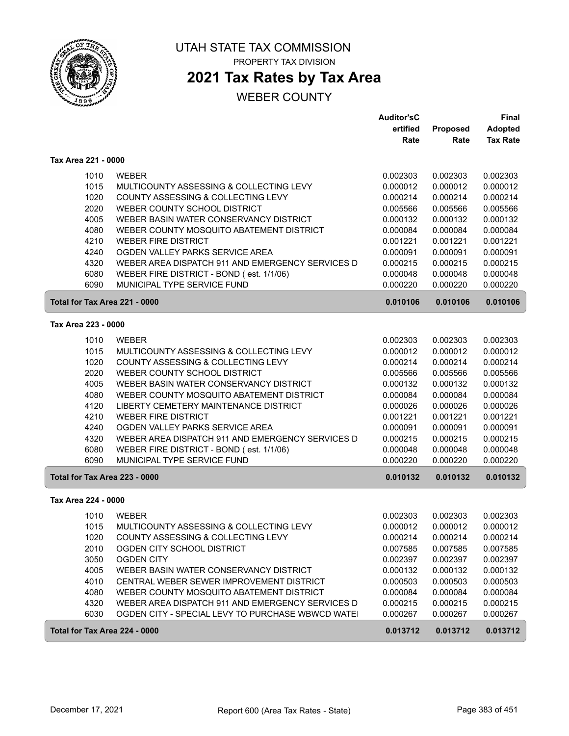

## **2021 Tax Rates by Tax Area**

|                               |                                                  | <b>Auditor'sC</b>    |                      | <b>Final</b>         |
|-------------------------------|--------------------------------------------------|----------------------|----------------------|----------------------|
|                               |                                                  | ertified             | Proposed             | <b>Adopted</b>       |
|                               |                                                  | Rate                 | Rate                 | <b>Tax Rate</b>      |
| Tax Area 221 - 0000           |                                                  |                      |                      |                      |
| 1010                          | <b>WEBER</b>                                     | 0.002303             | 0.002303             | 0.002303             |
| 1015                          | MULTICOUNTY ASSESSING & COLLECTING LEVY          | 0.000012             | 0.000012             | 0.000012             |
| 1020                          | COUNTY ASSESSING & COLLECTING LEVY               | 0.000214             | 0.000214             | 0.000214             |
| 2020                          | WEBER COUNTY SCHOOL DISTRICT                     | 0.005566             | 0.005566             | 0.005566             |
| 4005                          | WEBER BASIN WATER CONSERVANCY DISTRICT           | 0.000132             | 0.000132             | 0.000132             |
| 4080                          | WEBER COUNTY MOSQUITO ABATEMENT DISTRICT         | 0.000084             | 0.000084             | 0.000084             |
| 4210                          | <b>WEBER FIRE DISTRICT</b>                       | 0.001221             | 0.001221             | 0.001221             |
| 4240                          | OGDEN VALLEY PARKS SERVICE AREA                  | 0.000091             | 0.000091             | 0.000091             |
| 4320                          | WEBER AREA DISPATCH 911 AND EMERGENCY SERVICES D | 0.000215             | 0.000215             | 0.000215             |
| 6080                          | WEBER FIRE DISTRICT - BOND (est. 1/1/06)         | 0.000048             | 0.000048             | 0.000048             |
| 6090                          | MUNICIPAL TYPE SERVICE FUND                      | 0.000220             | 0.000220             | 0.000220             |
| Total for Tax Area 221 - 0000 |                                                  | 0.010106             | 0.010106             | 0.010106             |
| Tax Area 223 - 0000           |                                                  |                      |                      |                      |
| 1010                          | <b>WEBER</b>                                     | 0.002303             | 0.002303             | 0.002303             |
| 1015                          | MULTICOUNTY ASSESSING & COLLECTING LEVY          | 0.000012             | 0.000012             | 0.000012             |
| 1020                          | COUNTY ASSESSING & COLLECTING LEVY               | 0.000214             | 0.000214             | 0.000214             |
| 2020                          | WEBER COUNTY SCHOOL DISTRICT                     | 0.005566             | 0.005566             | 0.005566             |
| 4005                          | WEBER BASIN WATER CONSERVANCY DISTRICT           | 0.000132             | 0.000132             | 0.000132             |
| 4080                          | WEBER COUNTY MOSQUITO ABATEMENT DISTRICT         | 0.000084             | 0.000084             | 0.000084             |
| 4120                          | LIBERTY CEMETERY MAINTENANCE DISTRICT            | 0.000026             | 0.000026             | 0.000026             |
| 4210                          | <b>WEBER FIRE DISTRICT</b>                       | 0.001221             | 0.001221             | 0.001221             |
| 4240                          | OGDEN VALLEY PARKS SERVICE AREA                  | 0.000091             | 0.000091             | 0.000091             |
| 4320                          | WEBER AREA DISPATCH 911 AND EMERGENCY SERVICES D | 0.000215             | 0.000215             | 0.000215             |
| 6080                          | WEBER FIRE DISTRICT - BOND (est. 1/1/06)         | 0.000048             | 0.000048             | 0.000048             |
| 6090                          | MUNICIPAL TYPE SERVICE FUND                      | 0.000220             | 0.000220             | 0.000220             |
| Total for Tax Area 223 - 0000 |                                                  | 0.010132             | 0.010132             | 0.010132             |
| Tax Area 224 - 0000           |                                                  |                      |                      |                      |
| 1010                          | <b>WEBER</b>                                     | 0.002303             | 0.002303             | 0.002303             |
| 1015                          | MULTICOUNTY ASSESSING & COLLECTING LEVY          | 0.000012             | 0.000012             | 0.000012             |
|                               | COUNTY ASSESSING & COLLECTING LEVY               |                      |                      |                      |
| 1020<br>2010                  | OGDEN CITY SCHOOL DISTRICT                       | 0.000214<br>0.007585 | 0.000214<br>0.007585 | 0.000214<br>0.007585 |
| 3050                          | <b>OGDEN CITY</b>                                | 0.002397             | 0.002397             | 0.002397             |
| 4005                          | WEBER BASIN WATER CONSERVANCY DISTRICT           | 0.000132             | 0.000132             | 0.000132             |
| 4010                          | CENTRAL WEBER SEWER IMPROVEMENT DISTRICT         | 0.000503             | 0.000503             | 0.000503             |
| 4080                          | WEBER COUNTY MOSQUITO ABATEMENT DISTRICT         | 0.000084             | 0.000084             | 0.000084             |
| 4320                          | WEBER AREA DISPATCH 911 AND EMERGENCY SERVICES D | 0.000215             | 0.000215             | 0.000215             |
| 6030                          | OGDEN CITY - SPECIAL LEVY TO PURCHASE WBWCD WATE | 0.000267             | 0.000267             | 0.000267             |
| Total for Tax Area 224 - 0000 |                                                  | 0.013712             | 0.013712             | 0.013712             |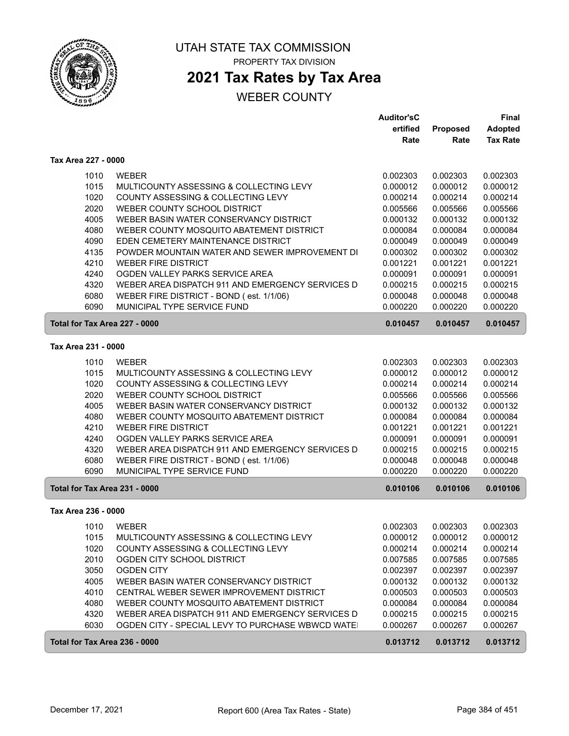

## **2021 Tax Rates by Tax Area**

## WEBER COUNTY

|                               |                                                  | <b>Auditor'sC</b> |          | Final           |  |
|-------------------------------|--------------------------------------------------|-------------------|----------|-----------------|--|
|                               |                                                  | ertified          | Proposed | <b>Adopted</b>  |  |
|                               |                                                  | Rate              | Rate     | <b>Tax Rate</b> |  |
| Tax Area 227 - 0000           |                                                  |                   |          |                 |  |
| 1010                          | <b>WEBER</b>                                     | 0.002303          | 0.002303 | 0.002303        |  |
| 1015                          | MULTICOUNTY ASSESSING & COLLECTING LEVY          | 0.000012          | 0.000012 | 0.000012        |  |
| 1020                          | COUNTY ASSESSING & COLLECTING LEVY               | 0.000214          | 0.000214 | 0.000214        |  |
| 2020                          | WEBER COUNTY SCHOOL DISTRICT                     | 0.005566          | 0.005566 | 0.005566        |  |
| 4005                          | WEBER BASIN WATER CONSERVANCY DISTRICT           | 0.000132          | 0.000132 | 0.000132        |  |
| 4080                          | WEBER COUNTY MOSQUITO ABATEMENT DISTRICT         | 0.000084          | 0.000084 | 0.000084        |  |
| 4090                          | EDEN CEMETERY MAINTENANCE DISTRICT               | 0.000049          | 0.000049 | 0.000049        |  |
| 4135                          | POWDER MOUNTAIN WATER AND SEWER IMPROVEMENT DI   | 0.000302          | 0.000302 | 0.000302        |  |
| 4210                          | <b>WEBER FIRE DISTRICT</b>                       | 0.001221          | 0.001221 | 0.001221        |  |
| 4240                          | OGDEN VALLEY PARKS SERVICE AREA                  | 0.000091          | 0.000091 | 0.000091        |  |
| 4320                          | WEBER AREA DISPATCH 911 AND EMERGENCY SERVICES D | 0.000215          | 0.000215 | 0.000215        |  |
| 6080                          | WEBER FIRE DISTRICT - BOND (est. 1/1/06)         | 0.000048          | 0.000048 | 0.000048        |  |
| 6090                          | MUNICIPAL TYPE SERVICE FUND                      | 0.000220          | 0.000220 | 0.000220        |  |
| Total for Tax Area 227 - 0000 |                                                  | 0.010457          | 0.010457 | 0.010457        |  |
| Tax Area 231 - 0000           |                                                  |                   |          |                 |  |
| 1010                          | <b>WEBER</b>                                     | 0.002303          | 0.002303 | 0.002303        |  |
| 1015                          | MULTICOUNTY ASSESSING & COLLECTING LEVY          | 0.000012          | 0.000012 | 0.000012        |  |
| 1020                          | COUNTY ASSESSING & COLLECTING LEVY               | 0.000214          | 0.000214 | 0.000214        |  |
| 2020                          | WEBER COUNTY SCHOOL DISTRICT                     | 0.005566          | 0.005566 | 0.005566        |  |
| 4005                          | WEBER BASIN WATER CONSERVANCY DISTRICT           | 0.000132          | 0.000132 | 0.000132        |  |
| 4080                          | WEBER COUNTY MOSQUITO ABATEMENT DISTRICT         | 0.000084          | 0.000084 | 0.000084        |  |
| 4210                          | <b>WEBER FIRE DISTRICT</b>                       | 0.001221          | 0.001221 | 0.001221        |  |
| 4240                          | OGDEN VALLEY PARKS SERVICE AREA                  | 0.000091          | 0.000091 | 0.000091        |  |
| 4320                          | WEBER AREA DISPATCH 911 AND EMERGENCY SERVICES D | 0.000215          | 0.000215 | 0.000215        |  |
| 6080                          | WEBER FIRE DISTRICT - BOND (est. 1/1/06)         | 0.000048          | 0.000048 | 0.000048        |  |
| 6090                          | MUNICIPAL TYPE SERVICE FUND                      | 0.000220          | 0.000220 | 0.000220        |  |
| Total for Tax Area 231 - 0000 |                                                  | 0.010106          | 0.010106 | 0.010106        |  |
|                               |                                                  |                   |          |                 |  |
| Tax Area 236 - 0000           |                                                  |                   |          |                 |  |
| 1010                          | <b>WEBER</b>                                     | 0.002303          | 0.002303 | 0.002303        |  |
| 1015                          | MULTICOUNTY ASSESSING & COLLECTING LEVY          | 0.000012          | 0.000012 | 0.000012        |  |
| 1020                          | COUNTY ASSESSING & COLLECTING LEVY               | 0.000214          | 0.000214 | 0.000214        |  |
| 2010                          | OGDEN CITY SCHOOL DISTRICT                       | 0.007585          | 0.007585 | 0.007585        |  |
| 3050                          | <b>OGDEN CITY</b>                                | 0.002397          | 0.002397 | 0.002397        |  |
| 4005                          | WEBER BASIN WATER CONSERVANCY DISTRICT           | 0.000132          | 0.000132 | 0.000132        |  |
| 4010                          | CENTRAL WEBER SEWER IMPROVEMENT DISTRICT         | 0.000503          | 0.000503 | 0.000503        |  |
| 4080                          | WEBER COUNTY MOSQUITO ABATEMENT DISTRICT         | 0.000084          | 0.000084 | 0.000084        |  |
| 4320                          | WEBER AREA DISPATCH 911 AND EMERGENCY SERVICES D | 0.000215          | 0.000215 | 0.000215        |  |
| 6030                          | OGDEN CITY - SPECIAL LEVY TO PURCHASE WBWCD WATE | 0.000267          | 0.000267 | 0.000267        |  |
| Total for Tax Area 236 - 0000 |                                                  | 0.013712          | 0.013712 | 0.013712        |  |

ſ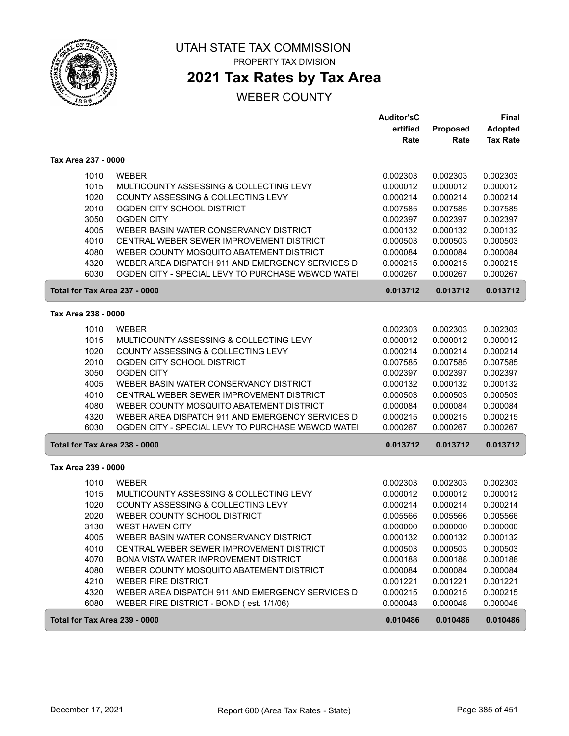

# **2021 Tax Rates by Tax Area**

|                               |                                                                                              | <b>Auditor'sC</b><br>ertified | Proposed             | <b>Final</b><br><b>Adopted</b> |
|-------------------------------|----------------------------------------------------------------------------------------------|-------------------------------|----------------------|--------------------------------|
|                               |                                                                                              | Rate                          | Rate                 | <b>Tax Rate</b>                |
| Tax Area 237 - 0000           |                                                                                              |                               |                      |                                |
| 1010                          | <b>WEBER</b>                                                                                 | 0.002303                      | 0.002303             | 0.002303                       |
| 1015                          | MULTICOUNTY ASSESSING & COLLECTING LEVY                                                      | 0.000012                      | 0.000012             | 0.000012                       |
| 1020                          | COUNTY ASSESSING & COLLECTING LEVY                                                           | 0.000214                      | 0.000214             | 0.000214                       |
| 2010                          | OGDEN CITY SCHOOL DISTRICT                                                                   | 0.007585                      | 0.007585             | 0.007585                       |
| 3050                          | <b>OGDEN CITY</b>                                                                            | 0.002397                      | 0.002397             | 0.002397                       |
| 4005                          | WEBER BASIN WATER CONSERVANCY DISTRICT                                                       | 0.000132                      | 0.000132             | 0.000132                       |
| 4010                          | CENTRAL WEBER SEWER IMPROVEMENT DISTRICT                                                     | 0.000503                      | 0.000503             | 0.000503                       |
| 4080                          | WEBER COUNTY MOSQUITO ABATEMENT DISTRICT                                                     | 0.000084                      | 0.000084             | 0.000084                       |
| 4320                          | WEBER AREA DISPATCH 911 AND EMERGENCY SERVICES D                                             | 0.000215                      | 0.000215             | 0.000215                       |
| 6030                          | OGDEN CITY - SPECIAL LEVY TO PURCHASE WBWCD WATE                                             | 0.000267                      | 0.000267             | 0.000267                       |
| Total for Tax Area 237 - 0000 |                                                                                              | 0.013712                      | 0.013712             | 0.013712                       |
| Tax Area 238 - 0000           |                                                                                              |                               |                      |                                |
| 1010                          | <b>WEBER</b>                                                                                 | 0.002303                      | 0.002303             | 0.002303                       |
| 1015                          | MULTICOUNTY ASSESSING & COLLECTING LEVY                                                      | 0.000012                      | 0.000012             | 0.000012                       |
| 1020                          | COUNTY ASSESSING & COLLECTING LEVY                                                           | 0.000214                      | 0.000214             | 0.000214                       |
| 2010                          | OGDEN CITY SCHOOL DISTRICT                                                                   | 0.007585                      | 0.007585             | 0.007585                       |
| 3050                          | <b>OGDEN CITY</b>                                                                            | 0.002397                      | 0.002397             | 0.002397                       |
| 4005                          | WEBER BASIN WATER CONSERVANCY DISTRICT                                                       | 0.000132                      | 0.000132             | 0.000132                       |
| 4010                          | CENTRAL WEBER SEWER IMPROVEMENT DISTRICT                                                     | 0.000503                      | 0.000503             | 0.000503                       |
| 4080                          | WEBER COUNTY MOSQUITO ABATEMENT DISTRICT                                                     | 0.000084                      | 0.000084             | 0.000084                       |
| 4320                          | WEBER AREA DISPATCH 911 AND EMERGENCY SERVICES D                                             | 0.000215                      | 0.000215             | 0.000215                       |
| 6030                          | OGDEN CITY - SPECIAL LEVY TO PURCHASE WBWCD WATE                                             | 0.000267                      | 0.000267             | 0.000267                       |
| Total for Tax Area 238 - 0000 |                                                                                              | 0.013712                      | 0.013712             | 0.013712                       |
| Tax Area 239 - 0000           |                                                                                              |                               |                      |                                |
| 1010                          | <b>WEBER</b>                                                                                 | 0.002303                      | 0.002303             | 0.002303                       |
| 1015                          | MULTICOUNTY ASSESSING & COLLECTING LEVY                                                      | 0.000012                      | 0.000012             | 0.000012                       |
| 1020                          | COUNTY ASSESSING & COLLECTING LEVY                                                           | 0.000214                      | 0.000214             | 0.000214                       |
| 2020                          | WEBER COUNTY SCHOOL DISTRICT                                                                 | 0.005566                      | 0.005566             | 0.005566                       |
| 3130                          | <b>WEST HAVEN CITY</b>                                                                       | 0.000000                      | 0.000000             | 0.000000                       |
| 4005                          | WEBER BASIN WATER CONSERVANCY DISTRICT                                                       | 0.000132                      | 0.000132             | 0.000132                       |
| 4010                          | CENTRAL WEBER SEWER IMPROVEMENT DISTRICT                                                     | 0.000503                      | 0.000503             | 0.000503                       |
| 4070                          | BONA VISTA WATER IMPROVEMENT DISTRICT                                                        | 0.000188                      | 0.000188             | 0.000188                       |
| 4080                          | WEBER COUNTY MOSQUITO ABATEMENT DISTRICT                                                     | 0.000084                      | 0.000084             | 0.000084                       |
| 4210                          | <b>WEBER FIRE DISTRICT</b>                                                                   | 0.001221                      | 0.001221             | 0.001221                       |
| 4320<br>6080                  | WEBER AREA DISPATCH 911 AND EMERGENCY SERVICES D<br>WEBER FIRE DISTRICT - BOND (est. 1/1/06) | 0.000215<br>0.000048          | 0.000215<br>0.000048 | 0.000215<br>0.000048           |
|                               |                                                                                              |                               |                      |                                |
| Total for Tax Area 239 - 0000 |                                                                                              | 0.010486                      | 0.010486             | 0.010486                       |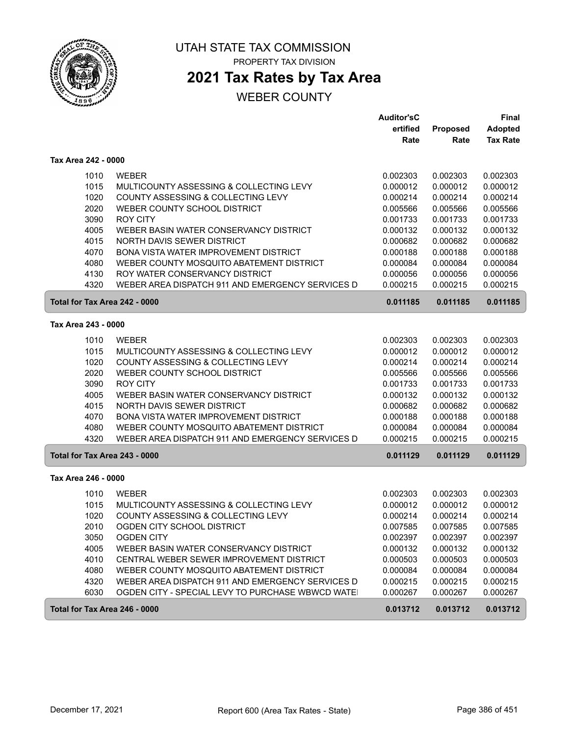

PROPERTY TAX DIVISION

# **2021 Tax Rates by Tax Area**

|                               |                                                  | <b>Auditor'sC</b> |                 | Final           |
|-------------------------------|--------------------------------------------------|-------------------|-----------------|-----------------|
|                               |                                                  | ertified          | <b>Proposed</b> | <b>Adopted</b>  |
|                               |                                                  | Rate              | Rate            | <b>Tax Rate</b> |
| Tax Area 242 - 0000           |                                                  |                   |                 |                 |
| 1010                          | <b>WEBER</b>                                     | 0.002303          | 0.002303        | 0.002303        |
| 1015                          | MULTICOUNTY ASSESSING & COLLECTING LEVY          | 0.000012          | 0.000012        | 0.000012        |
| 1020                          | COUNTY ASSESSING & COLLECTING LEVY               | 0.000214          | 0.000214        | 0.000214        |
| 2020                          | WEBER COUNTY SCHOOL DISTRICT                     | 0.005566          | 0.005566        | 0.005566        |
| 3090                          | <b>ROY CITY</b>                                  | 0.001733          | 0.001733        | 0.001733        |
| 4005                          | WEBER BASIN WATER CONSERVANCY DISTRICT           | 0.000132          | 0.000132        | 0.000132        |
| 4015                          | NORTH DAVIS SEWER DISTRICT                       | 0.000682          | 0.000682        | 0.000682        |
| 4070                          | BONA VISTA WATER IMPROVEMENT DISTRICT            | 0.000188          | 0.000188        | 0.000188        |
| 4080                          | WEBER COUNTY MOSQUITO ABATEMENT DISTRICT         | 0.000084          | 0.000084        | 0.000084        |
| 4130                          | ROY WATER CONSERVANCY DISTRICT                   | 0.000056          | 0.000056        | 0.000056        |
| 4320                          | WEBER AREA DISPATCH 911 AND EMERGENCY SERVICES D | 0.000215          | 0.000215        | 0.000215        |
| Total for Tax Area 242 - 0000 |                                                  | 0.011185          | 0.011185        | 0.011185        |
| Tax Area 243 - 0000           |                                                  |                   |                 |                 |
| 1010                          | <b>WEBER</b>                                     | 0.002303          | 0.002303        | 0.002303        |
| 1015                          | MULTICOUNTY ASSESSING & COLLECTING LEVY          | 0.000012          | 0.000012        | 0.000012        |
| 1020                          | COUNTY ASSESSING & COLLECTING LEVY               | 0.000214          | 0.000214        | 0.000214        |
| 2020                          | WEBER COUNTY SCHOOL DISTRICT                     | 0.005566          | 0.005566        | 0.005566        |
| 3090                          | <b>ROY CITY</b>                                  | 0.001733          | 0.001733        | 0.001733        |
| 4005                          | WEBER BASIN WATER CONSERVANCY DISTRICT           | 0.000132          | 0.000132        | 0.000132        |
| 4015                          | NORTH DAVIS SEWER DISTRICT                       | 0.000682          | 0.000682        | 0.000682        |
| 4070                          | BONA VISTA WATER IMPROVEMENT DISTRICT            | 0.000188          | 0.000188        | 0.000188        |
| 4080                          | WEBER COUNTY MOSQUITO ABATEMENT DISTRICT         | 0.000084          | 0.000084        | 0.000084        |
| 4320                          | WEBER AREA DISPATCH 911 AND EMERGENCY SERVICES D | 0.000215          | 0.000215        | 0.000215        |
| Total for Tax Area 243 - 0000 |                                                  | 0.011129          | 0.011129        | 0.011129        |
| Tax Area 246 - 0000           |                                                  |                   |                 |                 |
| 1010                          | <b>WEBER</b>                                     | 0.002303          | 0.002303        | 0.002303        |
| 1015                          | MULTICOUNTY ASSESSING & COLLECTING LEVY          | 0.000012          | 0.000012        | 0.000012        |
| 1020                          | COUNTY ASSESSING & COLLECTING LEVY               | 0.000214          | 0.000214        | 0.000214        |
| 2010                          | OGDEN CITY SCHOOL DISTRICT                       | 0.007585          | 0.007585        | 0.007585        |
| 3050                          | <b>OGDEN CITY</b>                                | 0.002397          | 0.002397        | 0.002397        |
| 4005                          | WEBER BASIN WATER CONSERVANCY DISTRICT           | 0.000132          | 0.000132        | 0.000132        |
| 4010                          | CENTRAL WEBER SEWER IMPROVEMENT DISTRICT         | 0.000503          | 0.000503        | 0.000503        |
| 4080                          | WEBER COUNTY MOSQUITO ABATEMENT DISTRICT         | 0.000084          | 0.000084        | 0.000084        |
| 4320                          | WEBER AREA DISPATCH 911 AND EMERGENCY SERVICES D | 0.000215          | 0.000215        | 0.000215        |
| 6030                          | OGDEN CITY - SPECIAL LEVY TO PURCHASE WBWCD WATE | 0.000267          | 0.000267        | 0.000267        |
| Total for Tax Area 246 - 0000 |                                                  | 0.013712          | 0.013712        | 0.013712        |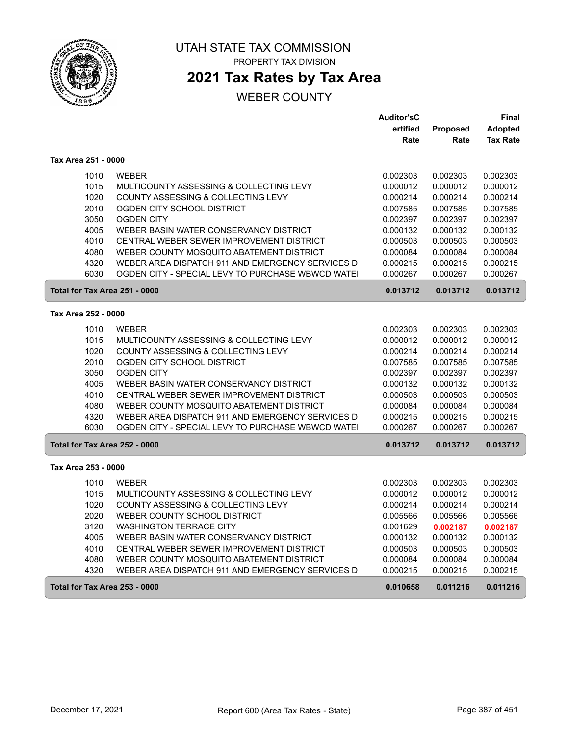

# **2021 Tax Rates by Tax Area**

## WEBER COUNTY

|                               |                                                  | <b>Auditor'sC</b> |          | Final           |
|-------------------------------|--------------------------------------------------|-------------------|----------|-----------------|
|                               |                                                  | ertified          | Proposed | <b>Adopted</b>  |
|                               |                                                  | Rate              | Rate     | <b>Tax Rate</b> |
| Tax Area 251 - 0000           |                                                  |                   |          |                 |
| 1010                          | <b>WEBER</b>                                     | 0.002303          | 0.002303 | 0.002303        |
| 1015                          | MULTICOUNTY ASSESSING & COLLECTING LEVY          | 0.000012          | 0.000012 | 0.000012        |
| 1020                          | COUNTY ASSESSING & COLLECTING LEVY               | 0.000214          | 0.000214 | 0.000214        |
| 2010                          | OGDEN CITY SCHOOL DISTRICT                       | 0.007585          | 0.007585 | 0.007585        |
| 3050                          | <b>OGDEN CITY</b>                                | 0.002397          | 0.002397 | 0.002397        |
| 4005                          | WEBER BASIN WATER CONSERVANCY DISTRICT           | 0.000132          | 0.000132 | 0.000132        |
| 4010                          | CENTRAL WEBER SEWER IMPROVEMENT DISTRICT         | 0.000503          | 0.000503 | 0.000503        |
| 4080                          | WEBER COUNTY MOSQUITO ABATEMENT DISTRICT         | 0.000084          | 0.000084 | 0.000084        |
| 4320                          | WEBER AREA DISPATCH 911 AND EMERGENCY SERVICES D | 0.000215          | 0.000215 | 0.000215        |
| 6030                          | OGDEN CITY - SPECIAL LEVY TO PURCHASE WBWCD WATE | 0.000267          | 0.000267 | 0.000267        |
| Total for Tax Area 251 - 0000 |                                                  | 0.013712          | 0.013712 | 0.013712        |
| Tax Area 252 - 0000           |                                                  |                   |          |                 |
| 1010                          | <b>WEBER</b>                                     | 0.002303          | 0.002303 | 0.002303        |
| 1015                          | MULTICOUNTY ASSESSING & COLLECTING LEVY          | 0.000012          | 0.000012 | 0.000012        |
| 1020                          | COUNTY ASSESSING & COLLECTING LEVY               | 0.000214          | 0.000214 | 0.000214        |
| 2010                          | OGDEN CITY SCHOOL DISTRICT                       | 0.007585          | 0.007585 | 0.007585        |
| 3050                          | <b>OGDEN CITY</b>                                | 0.002397          | 0.002397 | 0.002397        |
| 4005                          | WEBER BASIN WATER CONSERVANCY DISTRICT           | 0.000132          | 0.000132 | 0.000132        |
| 4010                          | CENTRAL WEBER SEWER IMPROVEMENT DISTRICT         | 0.000503          | 0.000503 | 0.000503        |
| 4080                          | WEBER COUNTY MOSQUITO ABATEMENT DISTRICT         | 0.000084          | 0.000084 | 0.000084        |
| 4320                          | WEBER AREA DISPATCH 911 AND EMERGENCY SERVICES D | 0.000215          | 0.000215 | 0.000215        |
| 6030                          | OGDEN CITY - SPECIAL LEVY TO PURCHASE WBWCD WATE | 0.000267          | 0.000267 | 0.000267        |
| Total for Tax Area 252 - 0000 |                                                  | 0.013712          | 0.013712 | 0.013712        |
| Tax Area 253 - 0000           |                                                  |                   |          |                 |
| 1010                          | <b>WEBER</b>                                     | 0.002303          | 0.002303 | 0.002303        |
| 1015                          | MULTICOUNTY ASSESSING & COLLECTING LEVY          | 0.000012          | 0.000012 | 0.000012        |
| 1020                          | COUNTY ASSESSING & COLLECTING LEVY               | 0.000214          | 0.000214 | 0.000214        |
| 2020                          | WEBER COUNTY SCHOOL DISTRICT                     | 0.005566          | 0.005566 | 0.005566        |
| 3120                          | <b>WASHINGTON TERRACE CITY</b>                   | 0.001629          | 0.002187 | 0.002187        |
| 4005                          | WEBER BASIN WATER CONSERVANCY DISTRICT           | 0.000132          | 0.000132 | 0.000132        |
| 4010                          | CENTRAL WEBER SEWER IMPROVEMENT DISTRICT         | 0.000503          | 0.000503 | 0.000503        |
| 4080                          | WEBER COUNTY MOSQUITO ABATEMENT DISTRICT         | 0.000084          | 0.000084 | 0.000084        |
| 4320                          | WEBER AREA DISPATCH 911 AND EMERGENCY SERVICES D | 0.000215          | 0.000215 | 0.000215        |
| Total for Tax Area 253 - 0000 |                                                  | 0.010658          | 0.011216 | 0.011216        |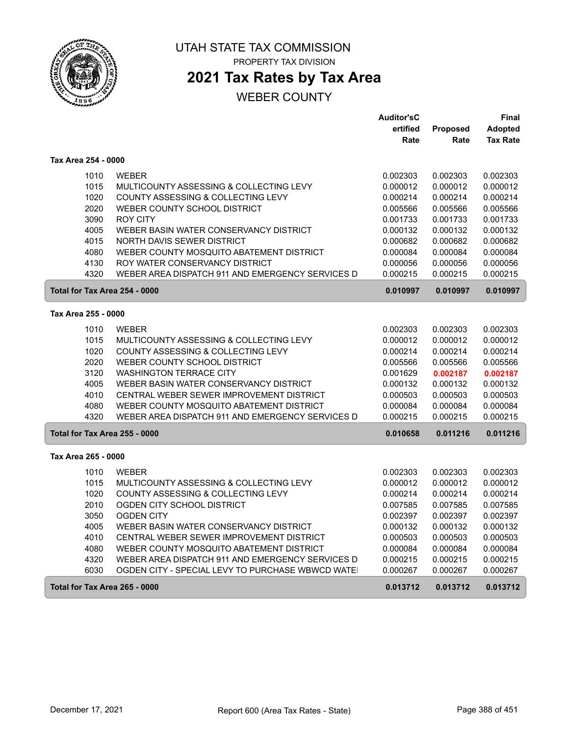

PROPERTY TAX DIVISION

# **2021 Tax Rates by Tax Area**

|                               |                                                  | <b>Auditor'sC</b> |          | Final           |
|-------------------------------|--------------------------------------------------|-------------------|----------|-----------------|
|                               |                                                  | ertified          | Proposed | <b>Adopted</b>  |
|                               |                                                  | Rate              | Rate     | <b>Tax Rate</b> |
| Tax Area 254 - 0000           |                                                  |                   |          |                 |
| 1010                          | <b>WEBER</b>                                     | 0.002303          | 0.002303 | 0.002303        |
| 1015                          | MULTICOUNTY ASSESSING & COLLECTING LEVY          | 0.000012          | 0.000012 | 0.000012        |
| 1020                          | COUNTY ASSESSING & COLLECTING LEVY               | 0.000214          | 0.000214 | 0.000214        |
| 2020                          | WEBER COUNTY SCHOOL DISTRICT                     | 0.005566          | 0.005566 | 0.005566        |
| 3090                          | ROY CITY                                         | 0.001733          | 0.001733 | 0.001733        |
| 4005                          | WEBER BASIN WATER CONSERVANCY DISTRICT           | 0.000132          | 0.000132 | 0.000132        |
| 4015                          | NORTH DAVIS SEWER DISTRICT                       | 0.000682          | 0.000682 | 0.000682        |
| 4080                          | WEBER COUNTY MOSQUITO ABATEMENT DISTRICT         | 0.000084          | 0.000084 | 0.000084        |
| 4130                          | ROY WATER CONSERVANCY DISTRICT                   | 0.000056          | 0.000056 | 0.000056        |
| 4320                          | WEBER AREA DISPATCH 911 AND EMERGENCY SERVICES D | 0.000215          | 0.000215 | 0.000215        |
| Total for Tax Area 254 - 0000 |                                                  | 0.010997          | 0.010997 | 0.010997        |
| Tax Area 255 - 0000           |                                                  |                   |          |                 |
| 1010                          | <b>WEBER</b>                                     | 0.002303          | 0.002303 | 0.002303        |
| 1015                          | MULTICOUNTY ASSESSING & COLLECTING LEVY          | 0.000012          | 0.000012 | 0.000012        |
| 1020                          | COUNTY ASSESSING & COLLECTING LEVY               | 0.000214          | 0.000214 | 0.000214        |
| 2020                          | WEBER COUNTY SCHOOL DISTRICT                     | 0.005566          | 0.005566 | 0.005566        |
| 3120                          | <b>WASHINGTON TERRACE CITY</b>                   | 0.001629          | 0.002187 | 0.002187        |
| 4005                          | WEBER BASIN WATER CONSERVANCY DISTRICT           | 0.000132          | 0.000132 | 0.000132        |
| 4010                          | CENTRAL WEBER SEWER IMPROVEMENT DISTRICT         | 0.000503          | 0.000503 | 0.000503        |
| 4080                          | WEBER COUNTY MOSQUITO ABATEMENT DISTRICT         | 0.000084          | 0.000084 | 0.000084        |
| 4320                          | WEBER AREA DISPATCH 911 AND EMERGENCY SERVICES D | 0.000215          | 0.000215 | 0.000215        |
| Total for Tax Area 255 - 0000 |                                                  | 0.010658          | 0.011216 | 0.011216        |
| Tax Area 265 - 0000           |                                                  |                   |          |                 |
| 1010                          | <b>WEBER</b>                                     | 0.002303          | 0.002303 | 0.002303        |
| 1015                          | MULTICOUNTY ASSESSING & COLLECTING LEVY          | 0.000012          | 0.000012 | 0.000012        |
| 1020                          | COUNTY ASSESSING & COLLECTING LEVY               | 0.000214          | 0.000214 | 0.000214        |
| 2010                          | OGDEN CITY SCHOOL DISTRICT                       | 0.007585          | 0.007585 | 0.007585        |
| 3050                          | <b>OGDEN CITY</b>                                | 0.002397          | 0.002397 | 0.002397        |
| 4005                          | WEBER BASIN WATER CONSERVANCY DISTRICT           | 0.000132          | 0.000132 | 0.000132        |
| 4010                          | CENTRAL WEBER SEWER IMPROVEMENT DISTRICT         | 0.000503          | 0.000503 | 0.000503        |
| 4080                          | WEBER COUNTY MOSQUITO ABATEMENT DISTRICT         | 0.000084          | 0.000084 | 0.000084        |
| 4320                          | WEBER AREA DISPATCH 911 AND EMERGENCY SERVICES D | 0.000215          | 0.000215 | 0.000215        |
| 6030                          | OGDEN CITY - SPECIAL LEVY TO PURCHASE WBWCD WATE | 0.000267          | 0.000267 | 0.000267        |
| Total for Tax Area 265 - 0000 |                                                  | 0.013712          | 0.013712 | 0.013712        |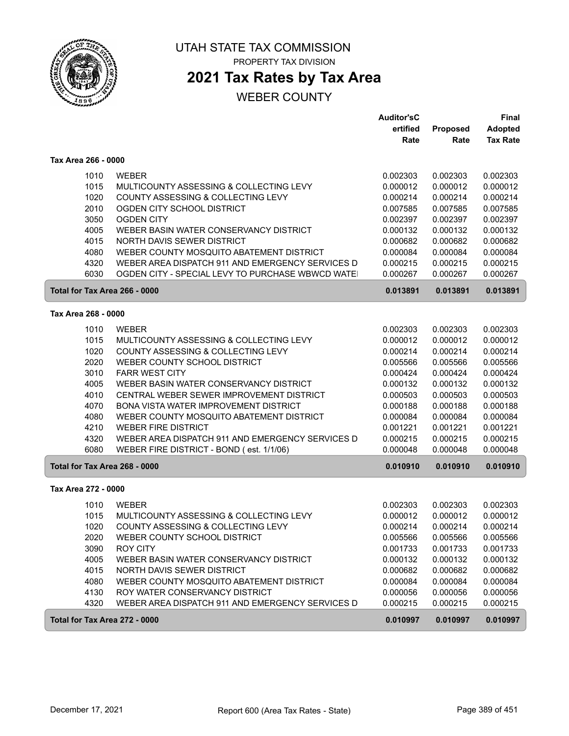

ſ

### UTAH STATE TAX COMMISSION PROPERTY TAX DIVISION

## **2021 Tax Rates by Tax Area**

|                               |                                                  | <b>Auditor'sC</b> |          | Final           |
|-------------------------------|--------------------------------------------------|-------------------|----------|-----------------|
|                               |                                                  | ertified          | Proposed | <b>Adopted</b>  |
|                               |                                                  | Rate              | Rate     | <b>Tax Rate</b> |
| Tax Area 266 - 0000           |                                                  |                   |          |                 |
| 1010                          | <b>WEBER</b>                                     | 0.002303          | 0.002303 | 0.002303        |
| 1015                          | MULTICOUNTY ASSESSING & COLLECTING LEVY          | 0.000012          | 0.000012 | 0.000012        |
| 1020                          | COUNTY ASSESSING & COLLECTING LEVY               | 0.000214          | 0.000214 | 0.000214        |
| 2010                          | OGDEN CITY SCHOOL DISTRICT                       | 0.007585          | 0.007585 | 0.007585        |
| 3050                          | <b>OGDEN CITY</b>                                | 0.002397          | 0.002397 | 0.002397        |
| 4005                          | WEBER BASIN WATER CONSERVANCY DISTRICT           | 0.000132          | 0.000132 | 0.000132        |
| 4015                          | NORTH DAVIS SEWER DISTRICT                       | 0.000682          | 0.000682 | 0.000682        |
| 4080                          | WEBER COUNTY MOSQUITO ABATEMENT DISTRICT         | 0.000084          | 0.000084 | 0.000084        |
| 4320                          | WEBER AREA DISPATCH 911 AND EMERGENCY SERVICES D | 0.000215          | 0.000215 | 0.000215        |
| 6030                          | OGDEN CITY - SPECIAL LEVY TO PURCHASE WBWCD WATE | 0.000267          | 0.000267 | 0.000267        |
| Total for Tax Area 266 - 0000 |                                                  | 0.013891          | 0.013891 | 0.013891        |
| Tax Area 268 - 0000           |                                                  |                   |          |                 |
| 1010                          | <b>WEBER</b>                                     | 0.002303          | 0.002303 | 0.002303        |
| 1015                          | MULTICOUNTY ASSESSING & COLLECTING LEVY          | 0.000012          | 0.000012 | 0.000012        |
| 1020                          | COUNTY ASSESSING & COLLECTING LEVY               | 0.000214          | 0.000214 | 0.000214        |
| 2020                          | WEBER COUNTY SCHOOL DISTRICT                     | 0.005566          | 0.005566 | 0.005566        |
| 3010                          | <b>FARR WEST CITY</b>                            | 0.000424          | 0.000424 | 0.000424        |
| 4005                          | WEBER BASIN WATER CONSERVANCY DISTRICT           | 0.000132          | 0.000132 | 0.000132        |
| 4010                          | CENTRAL WEBER SEWER IMPROVEMENT DISTRICT         | 0.000503          | 0.000503 | 0.000503        |
| 4070                          | BONA VISTA WATER IMPROVEMENT DISTRICT            | 0.000188          | 0.000188 | 0.000188        |
| 4080                          | WEBER COUNTY MOSQUITO ABATEMENT DISTRICT         | 0.000084          | 0.000084 | 0.000084        |
| 4210                          | <b>WEBER FIRE DISTRICT</b>                       | 0.001221          | 0.001221 | 0.001221        |
| 4320                          | WEBER AREA DISPATCH 911 AND EMERGENCY SERVICES D | 0.000215          | 0.000215 | 0.000215        |
| 6080                          | WEBER FIRE DISTRICT - BOND (est. 1/1/06)         | 0.000048          | 0.000048 | 0.000048        |
| Total for Tax Area 268 - 0000 |                                                  | 0.010910          | 0.010910 | 0.010910        |
| Tax Area 272 - 0000           |                                                  |                   |          |                 |
| 1010                          | <b>WEBER</b>                                     | 0.002303          | 0.002303 | 0.002303        |
| 1015                          | MULTICOUNTY ASSESSING & COLLECTING LEVY          | 0.000012          | 0.000012 | 0.000012        |
| 1020                          | COUNTY ASSESSING & COLLECTING LEVY               | 0.000214          | 0.000214 | 0.000214        |
| 2020                          | WEBER COUNTY SCHOOL DISTRICT                     | 0.005566          | 0.005566 | 0.005566        |
| 3090                          | <b>ROY CITY</b>                                  | 0.001733          | 0.001733 | 0.001733        |
| 4005                          | WEBER BASIN WATER CONSERVANCY DISTRICT           | 0.000132          | 0.000132 | 0.000132        |
| 4015                          | NORTH DAVIS SEWER DISTRICT                       | 0.000682          | 0.000682 | 0.000682        |
| 4080                          | WEBER COUNTY MOSQUITO ABATEMENT DISTRICT         | 0.000084          | 0.000084 | 0.000084        |
| 4130                          | ROY WATER CONSERVANCY DISTRICT                   | 0.000056          | 0.000056 | 0.000056        |
| 4320                          | WEBER AREA DISPATCH 911 AND EMERGENCY SERVICES D | 0.000215          | 0.000215 | 0.000215        |
| Total for Tax Area 272 - 0000 |                                                  | 0.010997          | 0.010997 | 0.010997        |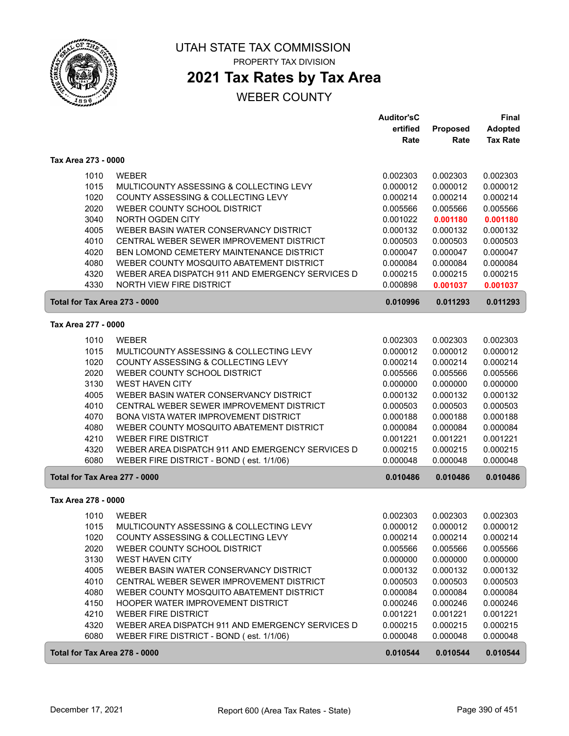

# **2021 Tax Rates by Tax Area**

|                               |                                                  | <b>Auditor'sC</b> |                 | Final           |
|-------------------------------|--------------------------------------------------|-------------------|-----------------|-----------------|
|                               |                                                  | ertified          | <b>Proposed</b> | <b>Adopted</b>  |
|                               |                                                  | Rate              | Rate            | <b>Tax Rate</b> |
| Tax Area 273 - 0000           |                                                  |                   |                 |                 |
| 1010                          | <b>WEBER</b>                                     | 0.002303          | 0.002303        | 0.002303        |
| 1015                          | MULTICOUNTY ASSESSING & COLLECTING LEVY          | 0.000012          | 0.000012        | 0.000012        |
| 1020                          | COUNTY ASSESSING & COLLECTING LEVY               | 0.000214          | 0.000214        | 0.000214        |
| 2020                          | WEBER COUNTY SCHOOL DISTRICT                     | 0.005566          | 0.005566        | 0.005566        |
| 3040                          | NORTH OGDEN CITY                                 | 0.001022          | 0.001180        | 0.001180        |
| 4005                          | WEBER BASIN WATER CONSERVANCY DISTRICT           | 0.000132          | 0.000132        | 0.000132        |
| 4010                          | CENTRAL WEBER SEWER IMPROVEMENT DISTRICT         | 0.000503          | 0.000503        | 0.000503        |
| 4020                          | BEN LOMOND CEMETERY MAINTENANCE DISTRICT         | 0.000047          | 0.000047        | 0.000047        |
| 4080                          |                                                  |                   |                 |                 |
|                               | WEBER COUNTY MOSQUITO ABATEMENT DISTRICT         | 0.000084          | 0.000084        | 0.000084        |
| 4320                          | WEBER AREA DISPATCH 911 AND EMERGENCY SERVICES D | 0.000215          | 0.000215        | 0.000215        |
| 4330                          | NORTH VIEW FIRE DISTRICT                         | 0.000898          | 0.001037        | 0.001037        |
| Total for Tax Area 273 - 0000 |                                                  | 0.010996          | 0.011293        | 0.011293        |
| Tax Area 277 - 0000           |                                                  |                   |                 |                 |
| 1010                          | <b>WEBER</b>                                     | 0.002303          | 0.002303        | 0.002303        |
| 1015                          | MULTICOUNTY ASSESSING & COLLECTING LEVY          | 0.000012          | 0.000012        | 0.000012        |
| 1020                          | COUNTY ASSESSING & COLLECTING LEVY               | 0.000214          | 0.000214        | 0.000214        |
| 2020                          | WEBER COUNTY SCHOOL DISTRICT                     | 0.005566          | 0.005566        | 0.005566        |
| 3130                          | <b>WEST HAVEN CITY</b>                           | 0.000000          | 0.000000        | 0.000000        |
| 4005                          | WEBER BASIN WATER CONSERVANCY DISTRICT           | 0.000132          | 0.000132        | 0.000132        |
| 4010                          | CENTRAL WEBER SEWER IMPROVEMENT DISTRICT         | 0.000503          |                 | 0.000503        |
|                               | <b>BONA VISTA WATER IMPROVEMENT DISTRICT</b>     |                   | 0.000503        |                 |
| 4070                          |                                                  | 0.000188          | 0.000188        | 0.000188        |
| 4080                          | WEBER COUNTY MOSQUITO ABATEMENT DISTRICT         | 0.000084          | 0.000084        | 0.000084        |
| 4210                          | <b>WEBER FIRE DISTRICT</b>                       | 0.001221          | 0.001221        | 0.001221        |
| 4320                          | WEBER AREA DISPATCH 911 AND EMERGENCY SERVICES D | 0.000215          | 0.000215        | 0.000215        |
| 6080                          | WEBER FIRE DISTRICT - BOND (est. 1/1/06)         | 0.000048          | 0.000048        | 0.000048        |
| Total for Tax Area 277 - 0000 |                                                  | 0.010486          | 0.010486        | 0.010486        |
| Tax Area 278 - 0000           |                                                  |                   |                 |                 |
| 1010                          | <b>WEBER</b>                                     | 0.002303          | 0.002303        | 0.002303        |
| 1015                          | MULTICOUNTY ASSESSING & COLLECTING LEVY          | 0.000012          | 0.000012        | 0.000012        |
| 1020                          | COUNTY ASSESSING & COLLECTING LEVY               | 0.000214          | 0.000214        | 0.000214        |
| 2020                          | WEBER COUNTY SCHOOL DISTRICT                     | 0.005566          | 0.005566        | 0.005566        |
| 3130                          | <b>WEST HAVEN CITY</b>                           | 0.000000          | 0.000000        | 0.000000        |
| 4005                          | WEBER BASIN WATER CONSERVANCY DISTRICT           | 0.000132          | 0.000132        | 0.000132        |
| 4010                          | CENTRAL WEBER SEWER IMPROVEMENT DISTRICT         | 0.000503          | 0.000503        | 0.000503        |
| 4080                          | WEBER COUNTY MOSQUITO ABATEMENT DISTRICT         | 0.000084          | 0.000084        | 0.000084        |
| 4150                          | HOOPER WATER IMPROVEMENT DISTRICT                | 0.000246          | 0.000246        | 0.000246        |
| 4210                          | <b>WEBER FIRE DISTRICT</b>                       | 0.001221          | 0.001221        | 0.001221        |
| 4320                          | WEBER AREA DISPATCH 911 AND EMERGENCY SERVICES D | 0.000215          | 0.000215        | 0.000215        |
| 6080                          | WEBER FIRE DISTRICT - BOND (est. 1/1/06)         | 0.000048          | 0.000048        | 0.000048        |
| Total for Tax Area 278 - 0000 |                                                  | 0.010544          | 0.010544        | 0.010544        |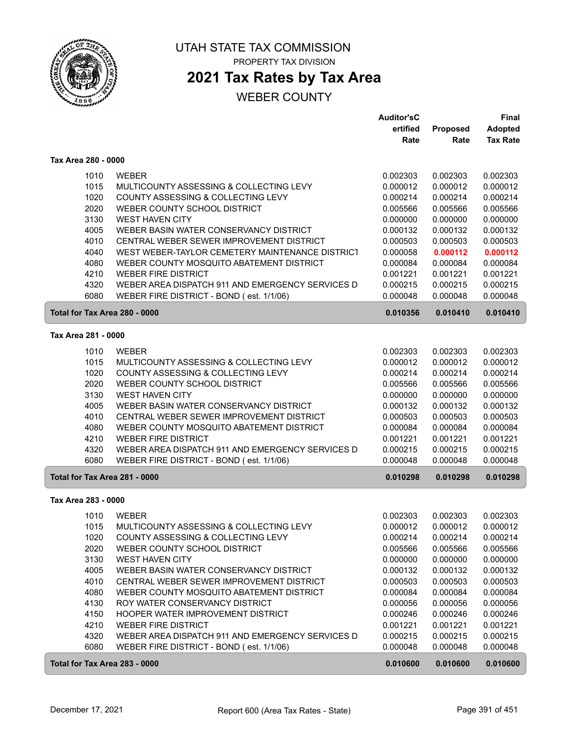

## **2021 Tax Rates by Tax Area**

|                               |                                                  | <b>Auditor'sC</b> |          | Final           |
|-------------------------------|--------------------------------------------------|-------------------|----------|-----------------|
|                               |                                                  | ertified          | Proposed | <b>Adopted</b>  |
|                               |                                                  | Rate              | Rate     | <b>Tax Rate</b> |
| Tax Area 280 - 0000           |                                                  |                   |          |                 |
| 1010                          | <b>WEBER</b>                                     | 0.002303          | 0.002303 | 0.002303        |
| 1015                          | MULTICOUNTY ASSESSING & COLLECTING LEVY          | 0.000012          | 0.000012 | 0.000012        |
| 1020                          | COUNTY ASSESSING & COLLECTING LEVY               | 0.000214          | 0.000214 | 0.000214        |
| 2020                          | WEBER COUNTY SCHOOL DISTRICT                     | 0.005566          | 0.005566 | 0.005566        |
| 3130                          | <b>WEST HAVEN CITY</b>                           | 0.000000          | 0.000000 | 0.000000        |
| 4005                          | WEBER BASIN WATER CONSERVANCY DISTRICT           | 0.000132          | 0.000132 | 0.000132        |
| 4010                          | CENTRAL WEBER SEWER IMPROVEMENT DISTRICT         | 0.000503          | 0.000503 | 0.000503        |
| 4040                          | WEST WEBER-TAYLOR CEMETERY MAINTENANCE DISTRICT  | 0.000058          | 0.000112 | 0.000112        |
| 4080                          | WEBER COUNTY MOSQUITO ABATEMENT DISTRICT         | 0.000084          | 0.000084 | 0.000084        |
| 4210                          | <b>WEBER FIRE DISTRICT</b>                       | 0.001221          | 0.001221 | 0.001221        |
| 4320                          | WEBER AREA DISPATCH 911 AND EMERGENCY SERVICES D | 0.000215          | 0.000215 | 0.000215        |
| 6080                          | WEBER FIRE DISTRICT - BOND (est. 1/1/06)         | 0.000048          | 0.000048 | 0.000048        |
| Total for Tax Area 280 - 0000 |                                                  | 0.010356          | 0.010410 | 0.010410        |
| Tax Area 281 - 0000           |                                                  |                   |          |                 |
| 1010                          | <b>WEBER</b>                                     | 0.002303          | 0.002303 | 0.002303        |
| 1015                          | MULTICOUNTY ASSESSING & COLLECTING LEVY          | 0.000012          | 0.000012 | 0.000012        |
| 1020                          | COUNTY ASSESSING & COLLECTING LEVY               | 0.000214          | 0.000214 | 0.000214        |
| 2020                          | WEBER COUNTY SCHOOL DISTRICT                     | 0.005566          | 0.005566 | 0.005566        |
| 3130                          | <b>WEST HAVEN CITY</b>                           | 0.000000          | 0.000000 | 0.000000        |
| 4005                          | WEBER BASIN WATER CONSERVANCY DISTRICT           | 0.000132          | 0.000132 | 0.000132        |
| 4010                          | CENTRAL WEBER SEWER IMPROVEMENT DISTRICT         | 0.000503          | 0.000503 | 0.000503        |
| 4080                          | WEBER COUNTY MOSQUITO ABATEMENT DISTRICT         | 0.000084          | 0.000084 | 0.000084        |
| 4210                          | <b>WEBER FIRE DISTRICT</b>                       | 0.001221          | 0.001221 | 0.001221        |
| 4320                          | WEBER AREA DISPATCH 911 AND EMERGENCY SERVICES D | 0.000215          | 0.000215 | 0.000215        |
| 6080                          | WEBER FIRE DISTRICT - BOND (est. 1/1/06)         | 0.000048          | 0.000048 | 0.000048        |
| Total for Tax Area 281 - 0000 |                                                  | 0.010298          | 0.010298 | 0.010298        |
| Tax Area 283 - 0000           |                                                  |                   |          |                 |
| 1010                          | <b>WEBER</b>                                     | 0.002303          | 0.002303 | 0.002303        |
| 1015                          | MULTICOUNTY ASSESSING & COLLECTING LEVY          | 0.000012          | 0.000012 | 0.000012        |
| 1020                          | COUNTY ASSESSING & COLLECTING LEVY               | 0.000214          | 0.000214 | 0.000214        |
| 2020                          | WEBER COUNTY SCHOOL DISTRICT                     | 0.005566          | 0.005566 | 0.005566        |
| 3130                          | <b>WEST HAVEN CITY</b>                           | 0.000000          | 0.000000 | 0.000000        |
| 4005                          | WEBER BASIN WATER CONSERVANCY DISTRICT           | 0.000132          | 0.000132 | 0.000132        |
| 4010                          | CENTRAL WEBER SEWER IMPROVEMENT DISTRICT         | 0.000503          | 0.000503 | 0.000503        |
| 4080                          | WEBER COUNTY MOSQUITO ABATEMENT DISTRICT         | 0.000084          | 0.000084 | 0.000084        |
| 4130                          | ROY WATER CONSERVANCY DISTRICT                   | 0.000056          | 0.000056 | 0.000056        |
| 4150                          | HOOPER WATER IMPROVEMENT DISTRICT                | 0.000246          | 0.000246 | 0.000246        |
| 4210                          | <b>WEBER FIRE DISTRICT</b>                       | 0.001221          | 0.001221 | 0.001221        |
| 4320                          | WEBER AREA DISPATCH 911 AND EMERGENCY SERVICES D | 0.000215          | 0.000215 | 0.000215        |
| 6080                          | WEBER FIRE DISTRICT - BOND (est. 1/1/06)         | 0.000048          | 0.000048 | 0.000048        |
| Total for Tax Area 283 - 0000 |                                                  | 0.010600          | 0.010600 | 0.010600        |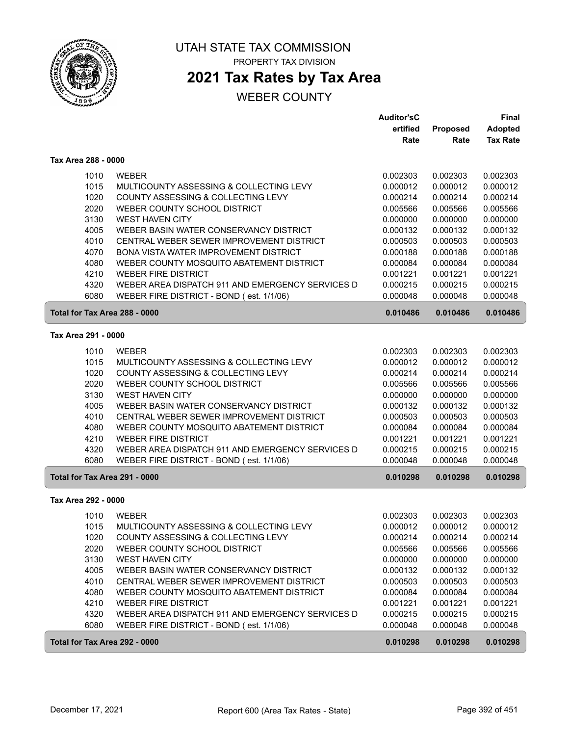

# **2021 Tax Rates by Tax Area**

|                               |                                                  | <b>Auditor'sC</b> |          | <b>Final</b>    |
|-------------------------------|--------------------------------------------------|-------------------|----------|-----------------|
|                               |                                                  | ertified          | Proposed | <b>Adopted</b>  |
|                               |                                                  | Rate              | Rate     | <b>Tax Rate</b> |
| Tax Area 288 - 0000           |                                                  |                   |          |                 |
| 1010                          | <b>WEBER</b>                                     | 0.002303          | 0.002303 | 0.002303        |
| 1015                          | MULTICOUNTY ASSESSING & COLLECTING LEVY          | 0.000012          | 0.000012 | 0.000012        |
| 1020                          | COUNTY ASSESSING & COLLECTING LEVY               | 0.000214          | 0.000214 | 0.000214        |
| 2020                          | WEBER COUNTY SCHOOL DISTRICT                     | 0.005566          | 0.005566 | 0.005566        |
| 3130                          | <b>WEST HAVEN CITY</b>                           | 0.000000          | 0.000000 | 0.000000        |
| 4005                          | WEBER BASIN WATER CONSERVANCY DISTRICT           | 0.000132          | 0.000132 | 0.000132        |
| 4010                          | CENTRAL WEBER SEWER IMPROVEMENT DISTRICT         | 0.000503          | 0.000503 | 0.000503        |
| 4070                          | BONA VISTA WATER IMPROVEMENT DISTRICT            | 0.000188          | 0.000188 | 0.000188        |
| 4080                          | WEBER COUNTY MOSQUITO ABATEMENT DISTRICT         | 0.000084          | 0.000084 | 0.000084        |
| 4210                          | <b>WEBER FIRE DISTRICT</b>                       | 0.001221          | 0.001221 | 0.001221        |
| 4320                          | WEBER AREA DISPATCH 911 AND EMERGENCY SERVICES D | 0.000215          | 0.000215 | 0.000215        |
| 6080                          | WEBER FIRE DISTRICT - BOND (est. 1/1/06)         | 0.000048          | 0.000048 | 0.000048        |
| Total for Tax Area 288 - 0000 |                                                  | 0.010486          | 0.010486 | 0.010486        |
| Tax Area 291 - 0000           |                                                  |                   |          |                 |
| 1010                          | <b>WEBER</b>                                     | 0.002303          | 0.002303 | 0.002303        |
| 1015                          | MULTICOUNTY ASSESSING & COLLECTING LEVY          | 0.000012          | 0.000012 | 0.000012        |
| 1020                          | COUNTY ASSESSING & COLLECTING LEVY               | 0.000214          | 0.000214 | 0.000214        |
| 2020                          | WEBER COUNTY SCHOOL DISTRICT                     | 0.005566          | 0.005566 | 0.005566        |
| 3130                          | <b>WEST HAVEN CITY</b>                           | 0.000000          | 0.000000 | 0.000000        |
| 4005                          | WEBER BASIN WATER CONSERVANCY DISTRICT           | 0.000132          | 0.000132 | 0.000132        |
| 4010                          | CENTRAL WEBER SEWER IMPROVEMENT DISTRICT         | 0.000503          | 0.000503 | 0.000503        |
| 4080                          | WEBER COUNTY MOSQUITO ABATEMENT DISTRICT         | 0.000084          | 0.000084 | 0.000084        |
| 4210                          | <b>WEBER FIRE DISTRICT</b>                       | 0.001221          | 0.001221 | 0.001221        |
| 4320                          | WEBER AREA DISPATCH 911 AND EMERGENCY SERVICES D | 0.000215          | 0.000215 | 0.000215        |
| 6080                          | WEBER FIRE DISTRICT - BOND (est. 1/1/06)         | 0.000048          | 0.000048 | 0.000048        |
| Total for Tax Area 291 - 0000 |                                                  | 0.010298          | 0.010298 | 0.010298        |
| Tax Area 292 - 0000           |                                                  |                   |          |                 |
| 1010                          | <b>WEBER</b>                                     | 0.002303          | 0.002303 | 0.002303        |
| 1015                          | MULTICOUNTY ASSESSING & COLLECTING LEVY          | 0.000012          | 0.000012 | 0.000012        |
| 1020                          | COUNTY ASSESSING & COLLECTING LEVY               | 0.000214          | 0.000214 | 0.000214        |
| 2020                          | WEBER COUNTY SCHOOL DISTRICT                     | 0.005566          | 0.005566 | 0.005566        |
| 3130                          | WEST HAVEN CITY                                  | 0.000000          | 0.000000 | 0.000000        |
| 4005                          | WEBER BASIN WATER CONSERVANCY DISTRICT           | 0.000132          | 0.000132 | 0.000132        |
| 4010                          | CENTRAL WEBER SEWER IMPROVEMENT DISTRICT         | 0.000503          | 0.000503 | 0.000503        |
| 4080                          | WEBER COUNTY MOSQUITO ABATEMENT DISTRICT         | 0.000084          | 0.000084 | 0.000084        |
| 4210                          | <b>WEBER FIRE DISTRICT</b>                       | 0.001221          | 0.001221 | 0.001221        |
| 4320                          | WEBER AREA DISPATCH 911 AND EMERGENCY SERVICES D | 0.000215          | 0.000215 | 0.000215        |
| 6080                          | WEBER FIRE DISTRICT - BOND (est. 1/1/06)         | 0.000048          | 0.000048 | 0.000048        |
| Total for Tax Area 292 - 0000 |                                                  | 0.010298          | 0.010298 | 0.010298        |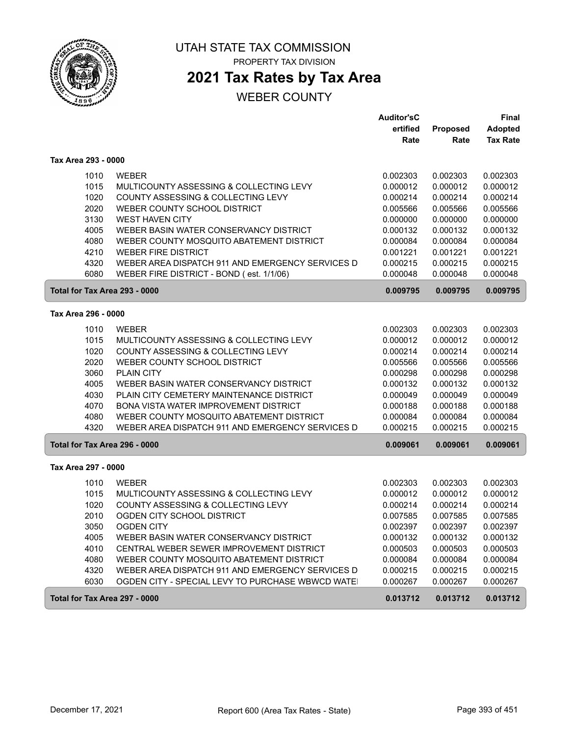

PROPERTY TAX DIVISION

# **2021 Tax Rates by Tax Area**

|                               |                                                  | <b>Auditor'sC</b> |          | <b>Final</b>    |
|-------------------------------|--------------------------------------------------|-------------------|----------|-----------------|
|                               |                                                  | ertified          | Proposed | <b>Adopted</b>  |
|                               |                                                  | Rate              | Rate     | <b>Tax Rate</b> |
| Tax Area 293 - 0000           |                                                  |                   |          |                 |
| 1010                          | <b>WEBER</b>                                     | 0.002303          | 0.002303 | 0.002303        |
| 1015                          | MULTICOUNTY ASSESSING & COLLECTING LEVY          | 0.000012          | 0.000012 | 0.000012        |
| 1020                          | COUNTY ASSESSING & COLLECTING LEVY               | 0.000214          | 0.000214 | 0.000214        |
| 2020                          | WEBER COUNTY SCHOOL DISTRICT                     | 0.005566          | 0.005566 | 0.005566        |
| 3130                          | <b>WEST HAVEN CITY</b>                           | 0.000000          | 0.000000 | 0.000000        |
| 4005                          | WEBER BASIN WATER CONSERVANCY DISTRICT           | 0.000132          | 0.000132 | 0.000132        |
| 4080                          | WEBER COUNTY MOSQUITO ABATEMENT DISTRICT         | 0.000084          | 0.000084 | 0.000084        |
| 4210                          | <b>WEBER FIRE DISTRICT</b>                       | 0.001221          | 0.001221 | 0.001221        |
| 4320                          | WEBER AREA DISPATCH 911 AND EMERGENCY SERVICES D | 0.000215          | 0.000215 | 0.000215        |
| 6080                          | WEBER FIRE DISTRICT - BOND (est. 1/1/06)         | 0.000048          | 0.000048 | 0.000048        |
| Total for Tax Area 293 - 0000 |                                                  | 0.009795          | 0.009795 | 0.009795        |
| Tax Area 296 - 0000           |                                                  |                   |          |                 |
|                               |                                                  |                   |          |                 |
| 1010                          | <b>WEBER</b>                                     | 0.002303          | 0.002303 | 0.002303        |
| 1015                          | MULTICOUNTY ASSESSING & COLLECTING LEVY          | 0.000012          | 0.000012 | 0.000012        |
| 1020                          | COUNTY ASSESSING & COLLECTING LEVY               | 0.000214          | 0.000214 | 0.000214        |
| 2020                          | WEBER COUNTY SCHOOL DISTRICT                     | 0.005566          | 0.005566 | 0.005566        |
| 3060                          | <b>PLAIN CITY</b>                                | 0.000298          | 0.000298 | 0.000298        |
| 4005                          | WEBER BASIN WATER CONSERVANCY DISTRICT           | 0.000132          | 0.000132 | 0.000132        |
| 4030                          | PLAIN CITY CEMETERY MAINTENANCE DISTRICT         | 0.000049          | 0.000049 | 0.000049        |
| 4070                          | BONA VISTA WATER IMPROVEMENT DISTRICT            | 0.000188          | 0.000188 | 0.000188        |
| 4080                          | WEBER COUNTY MOSQUITO ABATEMENT DISTRICT         | 0.000084          | 0.000084 | 0.000084        |
| 4320                          | WEBER AREA DISPATCH 911 AND EMERGENCY SERVICES D | 0.000215          | 0.000215 | 0.000215        |
| Total for Tax Area 296 - 0000 |                                                  | 0.009061          | 0.009061 | 0.009061        |
| Tax Area 297 - 0000           |                                                  |                   |          |                 |
| 1010                          | <b>WEBER</b>                                     | 0.002303          | 0.002303 | 0.002303        |
| 1015                          | MULTICOUNTY ASSESSING & COLLECTING LEVY          | 0.000012          | 0.000012 | 0.000012        |
| 1020                          | COUNTY ASSESSING & COLLECTING LEVY               | 0.000214          | 0.000214 | 0.000214        |
| 2010                          | OGDEN CITY SCHOOL DISTRICT                       | 0.007585          | 0.007585 | 0.007585        |
| 3050                          | <b>OGDEN CITY</b>                                | 0.002397          | 0.002397 | 0.002397        |
| 4005                          | WEBER BASIN WATER CONSERVANCY DISTRICT           | 0.000132          | 0.000132 | 0.000132        |
| 4010                          | CENTRAL WEBER SEWER IMPROVEMENT DISTRICT         | 0.000503          | 0.000503 | 0.000503        |
| 4080                          | WEBER COUNTY MOSQUITO ABATEMENT DISTRICT         | 0.000084          | 0.000084 | 0.000084        |
| 4320                          | WEBER AREA DISPATCH 911 AND EMERGENCY SERVICES D | 0.000215          | 0.000215 | 0.000215        |
| 6030                          | OGDEN CITY - SPECIAL LEVY TO PURCHASE WBWCD WATE | 0.000267          | 0.000267 | 0.000267        |
| Total for Tax Area 297 - 0000 |                                                  | 0.013712          | 0.013712 | 0.013712        |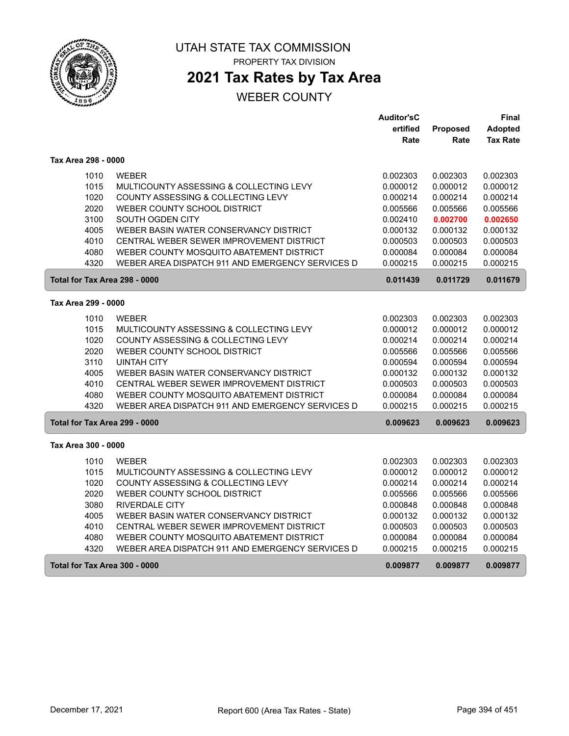

## **2021 Tax Rates by Tax Area**

|                               |                                                  | <b>Auditor'sC</b> |          | Final           |
|-------------------------------|--------------------------------------------------|-------------------|----------|-----------------|
|                               |                                                  | ertified          | Proposed | <b>Adopted</b>  |
|                               |                                                  | Rate              | Rate     | <b>Tax Rate</b> |
| Tax Area 298 - 0000           |                                                  |                   |          |                 |
| 1010                          | <b>WEBER</b>                                     | 0.002303          | 0.002303 | 0.002303        |
| 1015                          | MULTICOUNTY ASSESSING & COLLECTING LEVY          | 0.000012          | 0.000012 | 0.000012        |
| 1020                          | COUNTY ASSESSING & COLLECTING LEVY               | 0.000214          | 0.000214 | 0.000214        |
| 2020                          | WEBER COUNTY SCHOOL DISTRICT                     | 0.005566          | 0.005566 | 0.005566        |
| 3100                          | SOUTH OGDEN CITY                                 | 0.002410          | 0.002700 | 0.002650        |
| 4005                          | WEBER BASIN WATER CONSERVANCY DISTRICT           | 0.000132          | 0.000132 | 0.000132        |
| 4010                          | CENTRAL WEBER SEWER IMPROVEMENT DISTRICT         | 0.000503          | 0.000503 | 0.000503        |
| 4080                          | WEBER COUNTY MOSQUITO ABATEMENT DISTRICT         | 0.000084          | 0.000084 | 0.000084        |
| 4320                          | WEBER AREA DISPATCH 911 AND EMERGENCY SERVICES D | 0.000215          | 0.000215 | 0.000215        |
| Total for Tax Area 298 - 0000 |                                                  | 0.011439          | 0.011729 | 0.011679        |
|                               |                                                  |                   |          |                 |
| Tax Area 299 - 0000           |                                                  |                   |          |                 |
| 1010                          | <b>WEBER</b>                                     | 0.002303          | 0.002303 | 0.002303        |
| 1015                          | MULTICOUNTY ASSESSING & COLLECTING LEVY          | 0.000012          | 0.000012 | 0.000012        |
| 1020                          | COUNTY ASSESSING & COLLECTING LEVY               | 0.000214          | 0.000214 | 0.000214        |
| 2020                          | WEBER COUNTY SCHOOL DISTRICT                     | 0.005566          | 0.005566 | 0.005566        |
| 3110                          | <b>UINTAH CITY</b>                               | 0.000594          | 0.000594 | 0.000594        |
| 4005                          | WEBER BASIN WATER CONSERVANCY DISTRICT           | 0.000132          | 0.000132 | 0.000132        |
| 4010                          | CENTRAL WEBER SEWER IMPROVEMENT DISTRICT         | 0.000503          | 0.000503 | 0.000503        |
| 4080                          | WEBER COUNTY MOSQUITO ABATEMENT DISTRICT         | 0.000084          | 0.000084 | 0.000084        |
| 4320                          | WEBER AREA DISPATCH 911 AND EMERGENCY SERVICES D | 0.000215          | 0.000215 | 0.000215        |
| Total for Tax Area 299 - 0000 |                                                  | 0.009623          | 0.009623 | 0.009623        |
| Tax Area 300 - 0000           |                                                  |                   |          |                 |
| 1010                          | <b>WEBER</b>                                     | 0.002303          | 0.002303 | 0.002303        |
| 1015                          | MULTICOUNTY ASSESSING & COLLECTING LEVY          | 0.000012          | 0.000012 | 0.000012        |
| 1020                          | COUNTY ASSESSING & COLLECTING LEVY               | 0.000214          | 0.000214 | 0.000214        |
| 2020                          | WEBER COUNTY SCHOOL DISTRICT                     | 0.005566          | 0.005566 | 0.005566        |
| 3080                          | RIVERDALE CITY                                   | 0.000848          | 0.000848 | 0.000848        |
| 4005                          | WEBER BASIN WATER CONSERVANCY DISTRICT           | 0.000132          | 0.000132 | 0.000132        |
| 4010                          | CENTRAL WEBER SEWER IMPROVEMENT DISTRICT         | 0.000503          | 0.000503 | 0.000503        |
| 4080                          | WEBER COUNTY MOSQUITO ABATEMENT DISTRICT         | 0.000084          | 0.000084 | 0.000084        |
| 4320                          | WEBER AREA DISPATCH 911 AND EMERGENCY SERVICES D | 0.000215          | 0.000215 | 0.000215        |
| Total for Tax Area 300 - 0000 |                                                  | 0.009877          | 0.009877 | 0.009877        |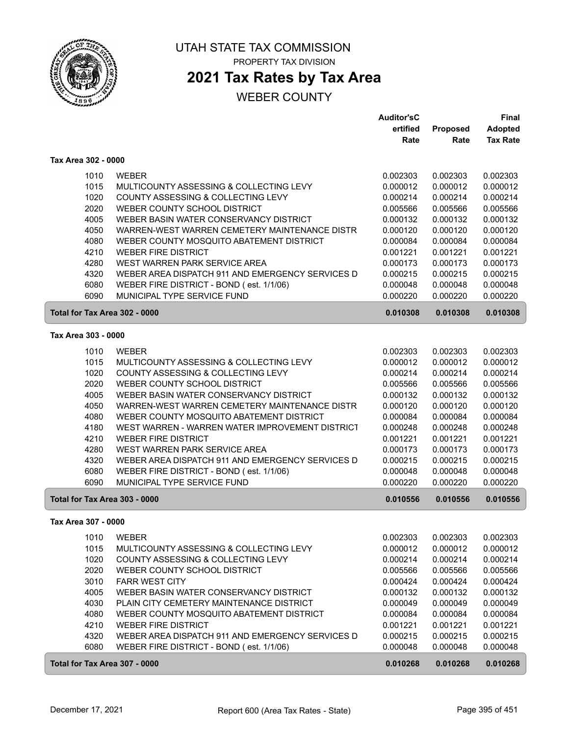

## **2021 Tax Rates by Tax Area**

|                               |                                                  | <b>Auditor'sC</b> |          | Final           |
|-------------------------------|--------------------------------------------------|-------------------|----------|-----------------|
|                               |                                                  | ertified          | Proposed | <b>Adopted</b>  |
|                               |                                                  | Rate              | Rate     | <b>Tax Rate</b> |
| Tax Area 302 - 0000           |                                                  |                   |          |                 |
| 1010                          | <b>WEBER</b>                                     | 0.002303          | 0.002303 | 0.002303        |
| 1015                          | MULTICOUNTY ASSESSING & COLLECTING LEVY          | 0.000012          | 0.000012 | 0.000012        |
| 1020                          | COUNTY ASSESSING & COLLECTING LEVY               | 0.000214          | 0.000214 | 0.000214        |
| 2020                          | WEBER COUNTY SCHOOL DISTRICT                     | 0.005566          | 0.005566 | 0.005566        |
| 4005                          | WEBER BASIN WATER CONSERVANCY DISTRICT           | 0.000132          | 0.000132 | 0.000132        |
| 4050                          | WARREN-WEST WARREN CEMETERY MAINTENANCE DISTR    | 0.000120          | 0.000120 | 0.000120        |
| 4080                          | WEBER COUNTY MOSQUITO ABATEMENT DISTRICT         | 0.000084          | 0.000084 | 0.000084        |
| 4210                          | <b>WEBER FIRE DISTRICT</b>                       | 0.001221          | 0.001221 | 0.001221        |
| 4280                          | WEST WARREN PARK SERVICE AREA                    | 0.000173          | 0.000173 | 0.000173        |
| 4320                          | WEBER AREA DISPATCH 911 AND EMERGENCY SERVICES D | 0.000215          | 0.000215 | 0.000215        |
| 6080                          | WEBER FIRE DISTRICT - BOND (est. 1/1/06)         | 0.000048          | 0.000048 | 0.000048        |
| 6090                          | MUNICIPAL TYPE SERVICE FUND                      | 0.000220          | 0.000220 | 0.000220        |
| Total for Tax Area 302 - 0000 |                                                  | 0.010308          | 0.010308 | 0.010308        |
| Tax Area 303 - 0000           |                                                  |                   |          |                 |
| 1010                          | <b>WEBER</b>                                     | 0.002303          | 0.002303 | 0.002303        |
| 1015                          | MULTICOUNTY ASSESSING & COLLECTING LEVY          | 0.000012          | 0.000012 | 0.000012        |
| 1020                          | COUNTY ASSESSING & COLLECTING LEVY               | 0.000214          | 0.000214 | 0.000214        |
| 2020                          | WEBER COUNTY SCHOOL DISTRICT                     | 0.005566          | 0.005566 | 0.005566        |
| 4005                          | WEBER BASIN WATER CONSERVANCY DISTRICT           | 0.000132          | 0.000132 | 0.000132        |
| 4050                          | WARREN-WEST WARREN CEMETERY MAINTENANCE DISTR    | 0.000120          | 0.000120 | 0.000120        |
| 4080                          | WEBER COUNTY MOSQUITO ABATEMENT DISTRICT         | 0.000084          | 0.000084 | 0.000084        |
| 4180                          | WEST WARREN - WARREN WATER IMPROVEMENT DISTRICT  | 0.000248          | 0.000248 | 0.000248        |
| 4210                          | <b>WEBER FIRE DISTRICT</b>                       | 0.001221          | 0.001221 | 0.001221        |
| 4280                          | WEST WARREN PARK SERVICE AREA                    | 0.000173          | 0.000173 | 0.000173        |
| 4320                          | WEBER AREA DISPATCH 911 AND EMERGENCY SERVICES D | 0.000215          | 0.000215 | 0.000215        |
| 6080                          | WEBER FIRE DISTRICT - BOND (est. 1/1/06)         | 0.000048          | 0.000048 | 0.000048        |
| 6090                          | MUNICIPAL TYPE SERVICE FUND                      | 0.000220          | 0.000220 | 0.000220        |
| Total for Tax Area 303 - 0000 |                                                  | 0.010556          | 0.010556 | 0.010556        |
|                               |                                                  |                   |          |                 |
| Tax Area 307 - 0000           |                                                  |                   |          |                 |
| 1010                          | WEBER                                            | 0.002303          | 0.002303 | 0.002303        |
| 1015                          | MULTICOUNTY ASSESSING & COLLECTING LEVY          | 0.000012          | 0.000012 | 0.000012        |
| 1020                          | COUNTY ASSESSING & COLLECTING LEVY               | 0.000214          | 0.000214 | 0.000214        |
| 2020                          | WEBER COUNTY SCHOOL DISTRICT                     | 0.005566          | 0.005566 | 0.005566        |
| 3010                          | <b>FARR WEST CITY</b>                            | 0.000424          | 0.000424 | 0.000424        |
| 4005                          | WEBER BASIN WATER CONSERVANCY DISTRICT           | 0.000132          | 0.000132 | 0.000132        |
| 4030                          | PLAIN CITY CEMETERY MAINTENANCE DISTRICT         | 0.000049          | 0.000049 | 0.000049        |
| 4080                          | WEBER COUNTY MOSQUITO ABATEMENT DISTRICT         | 0.000084          | 0.000084 | 0.000084        |
| 4210                          | <b>WEBER FIRE DISTRICT</b>                       | 0.001221          | 0.001221 | 0.001221        |
| 4320                          | WEBER AREA DISPATCH 911 AND EMERGENCY SERVICES D | 0.000215          | 0.000215 | 0.000215        |
| 6080                          | WEBER FIRE DISTRICT - BOND (est. 1/1/06)         | 0.000048          | 0.000048 | 0.000048        |
| Total for Tax Area 307 - 0000 |                                                  | 0.010268          | 0.010268 | 0.010268        |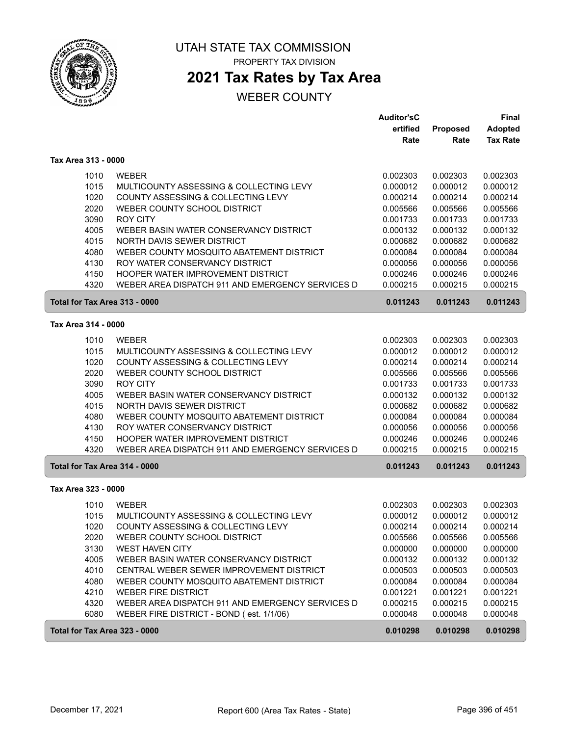

PROPERTY TAX DIVISION

# **2021 Tax Rates by Tax Area**

|                               |                                                  | <b>Auditor'sC</b> |          | Final           |
|-------------------------------|--------------------------------------------------|-------------------|----------|-----------------|
|                               |                                                  | ertified          | Proposed | <b>Adopted</b>  |
|                               |                                                  | Rate              | Rate     | <b>Tax Rate</b> |
| Tax Area 313 - 0000           |                                                  |                   |          |                 |
| 1010                          | <b>WEBER</b>                                     | 0.002303          | 0.002303 | 0.002303        |
| 1015                          | MULTICOUNTY ASSESSING & COLLECTING LEVY          | 0.000012          | 0.000012 | 0.000012        |
| 1020                          | COUNTY ASSESSING & COLLECTING LEVY               | 0.000214          | 0.000214 | 0.000214        |
| 2020                          | WEBER COUNTY SCHOOL DISTRICT                     | 0.005566          | 0.005566 | 0.005566        |
| 3090                          | <b>ROY CITY</b>                                  | 0.001733          | 0.001733 | 0.001733        |
| 4005                          | WEBER BASIN WATER CONSERVANCY DISTRICT           | 0.000132          | 0.000132 | 0.000132        |
| 4015                          | NORTH DAVIS SEWER DISTRICT                       | 0.000682          | 0.000682 | 0.000682        |
| 4080                          | WEBER COUNTY MOSQUITO ABATEMENT DISTRICT         | 0.000084          | 0.000084 | 0.000084        |
| 4130                          | ROY WATER CONSERVANCY DISTRICT                   | 0.000056          | 0.000056 | 0.000056        |
| 4150                          | HOOPER WATER IMPROVEMENT DISTRICT                | 0.000246          | 0.000246 | 0.000246        |
| 4320                          | WEBER AREA DISPATCH 911 AND EMERGENCY SERVICES D | 0.000215          | 0.000215 | 0.000215        |
| Total for Tax Area 313 - 0000 |                                                  | 0.011243          | 0.011243 | 0.011243        |
| Tax Area 314 - 0000           |                                                  |                   |          |                 |
| 1010                          | <b>WEBER</b>                                     | 0.002303          | 0.002303 | 0.002303        |
| 1015                          | MULTICOUNTY ASSESSING & COLLECTING LEVY          | 0.000012          | 0.000012 | 0.000012        |
| 1020                          | COUNTY ASSESSING & COLLECTING LEVY               | 0.000214          | 0.000214 | 0.000214        |
| 2020                          | WEBER COUNTY SCHOOL DISTRICT                     | 0.005566          | 0.005566 | 0.005566        |
| 3090                          | <b>ROY CITY</b>                                  | 0.001733          | 0.001733 | 0.001733        |
| 4005                          | WEBER BASIN WATER CONSERVANCY DISTRICT           | 0.000132          | 0.000132 | 0.000132        |
| 4015                          | NORTH DAVIS SEWER DISTRICT                       | 0.000682          | 0.000682 | 0.000682        |
| 4080                          | WEBER COUNTY MOSQUITO ABATEMENT DISTRICT         | 0.000084          | 0.000084 | 0.000084        |
| 4130                          | ROY WATER CONSERVANCY DISTRICT                   | 0.000056          | 0.000056 | 0.000056        |
| 4150                          | HOOPER WATER IMPROVEMENT DISTRICT                | 0.000246          | 0.000246 | 0.000246        |
| 4320                          | WEBER AREA DISPATCH 911 AND EMERGENCY SERVICES D | 0.000215          | 0.000215 | 0.000215        |
| Total for Tax Area 314 - 0000 |                                                  | 0.011243          | 0.011243 | 0.011243        |
| Tax Area 323 - 0000           |                                                  |                   |          |                 |
| 1010                          | <b>WEBER</b>                                     | 0.002303          | 0.002303 | 0.002303        |
| 1015                          | MULTICOUNTY ASSESSING & COLLECTING LEVY          | 0.000012          | 0.000012 | 0.000012        |
| 1020                          | COUNTY ASSESSING & COLLECTING LEVY               | 0.000214          | 0.000214 | 0.000214        |
| 2020                          | WEBER COUNTY SCHOOL DISTRICT                     | 0.005566          | 0.005566 | 0.005566        |
| 3130                          | <b>WEST HAVEN CITY</b>                           | 0.000000          | 0.000000 | 0.000000        |
| 4005                          | WEBER BASIN WATER CONSERVANCY DISTRICT           | 0.000132          | 0.000132 | 0.000132        |
| 4010                          | CENTRAL WEBER SEWER IMPROVEMENT DISTRICT         | 0.000503          | 0.000503 | 0.000503        |
| 4080                          | WEBER COUNTY MOSQUITO ABATEMENT DISTRICT         | 0.000084          | 0.000084 | 0.000084        |
| 4210                          | <b>WEBER FIRE DISTRICT</b>                       | 0.001221          | 0.001221 | 0.001221        |
| 4320                          | WEBER AREA DISPATCH 911 AND EMERGENCY SERVICES D | 0.000215          | 0.000215 | 0.000215        |
| 6080                          | WEBER FIRE DISTRICT - BOND (est. 1/1/06)         | 0.000048          | 0.000048 | 0.000048        |
| Total for Tax Area 323 - 0000 |                                                  | 0.010298          | 0.010298 | 0.010298        |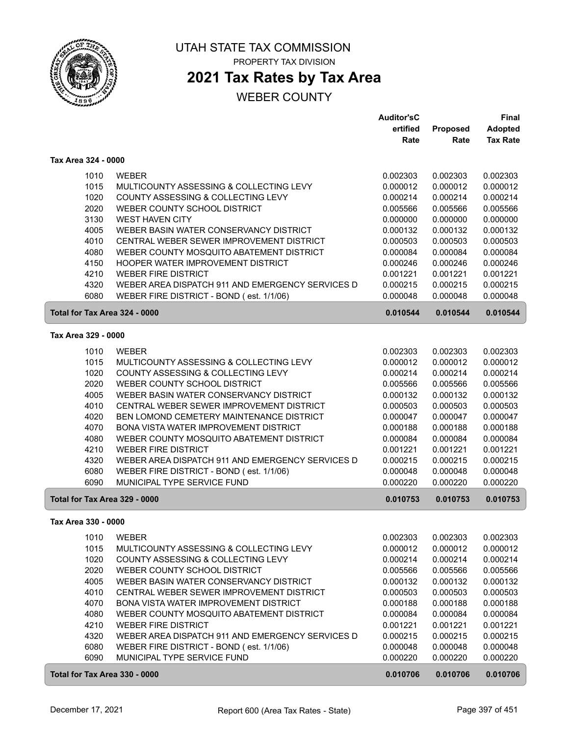

# **2021 Tax Rates by Tax Area**

|                               |                                                  | <b>Auditor'sC</b> |          | <b>Final</b>    |
|-------------------------------|--------------------------------------------------|-------------------|----------|-----------------|
|                               |                                                  | ertified          | Proposed | <b>Adopted</b>  |
|                               |                                                  | Rate              | Rate     | <b>Tax Rate</b> |
| Tax Area 324 - 0000           |                                                  |                   |          |                 |
| 1010                          | <b>WEBER</b>                                     | 0.002303          | 0.002303 | 0.002303        |
| 1015                          | MULTICOUNTY ASSESSING & COLLECTING LEVY          | 0.000012          | 0.000012 | 0.000012        |
| 1020                          | COUNTY ASSESSING & COLLECTING LEVY               | 0.000214          | 0.000214 | 0.000214        |
| 2020                          | WEBER COUNTY SCHOOL DISTRICT                     | 0.005566          | 0.005566 | 0.005566        |
| 3130                          | <b>WEST HAVEN CITY</b>                           | 0.000000          | 0.000000 | 0.000000        |
| 4005                          | WEBER BASIN WATER CONSERVANCY DISTRICT           | 0.000132          | 0.000132 | 0.000132        |
| 4010                          | CENTRAL WEBER SEWER IMPROVEMENT DISTRICT         | 0.000503          | 0.000503 | 0.000503        |
| 4080                          | WEBER COUNTY MOSQUITO ABATEMENT DISTRICT         | 0.000084          | 0.000084 | 0.000084        |
| 4150                          | HOOPER WATER IMPROVEMENT DISTRICT                | 0.000246          | 0.000246 | 0.000246        |
| 4210                          | <b>WEBER FIRE DISTRICT</b>                       | 0.001221          | 0.001221 | 0.001221        |
| 4320                          | WEBER AREA DISPATCH 911 AND EMERGENCY SERVICES D | 0.000215          | 0.000215 | 0.000215        |
| 6080                          | WEBER FIRE DISTRICT - BOND (est. 1/1/06)         | 0.000048          | 0.000048 | 0.000048        |
| Total for Tax Area 324 - 0000 |                                                  | 0.010544          | 0.010544 | 0.010544        |
| Tax Area 329 - 0000           |                                                  |                   |          |                 |
| 1010                          | <b>WEBER</b>                                     | 0.002303          | 0.002303 | 0.002303        |
| 1015                          | MULTICOUNTY ASSESSING & COLLECTING LEVY          | 0.000012          | 0.000012 | 0.000012        |
| 1020                          | COUNTY ASSESSING & COLLECTING LEVY               | 0.000214          | 0.000214 | 0.000214        |
| 2020                          | WEBER COUNTY SCHOOL DISTRICT                     | 0.005566          | 0.005566 | 0.005566        |
| 4005                          | WEBER BASIN WATER CONSERVANCY DISTRICT           | 0.000132          | 0.000132 | 0.000132        |
| 4010                          | CENTRAL WEBER SEWER IMPROVEMENT DISTRICT         | 0.000503          | 0.000503 | 0.000503        |
| 4020                          | BEN LOMOND CEMETERY MAINTENANCE DISTRICT         | 0.000047          | 0.000047 | 0.000047        |
| 4070                          | BONA VISTA WATER IMPROVEMENT DISTRICT            | 0.000188          | 0.000188 | 0.000188        |
| 4080                          | WEBER COUNTY MOSQUITO ABATEMENT DISTRICT         | 0.000084          | 0.000084 | 0.000084        |
| 4210                          | <b>WEBER FIRE DISTRICT</b>                       | 0.001221          | 0.001221 | 0.001221        |
| 4320                          | WEBER AREA DISPATCH 911 AND EMERGENCY SERVICES D | 0.000215          | 0.000215 | 0.000215        |
| 6080                          | WEBER FIRE DISTRICT - BOND (est. 1/1/06)         | 0.000048          | 0.000048 | 0.000048        |
| 6090                          | MUNICIPAL TYPE SERVICE FUND                      | 0.000220          | 0.000220 | 0.000220        |
| Total for Tax Area 329 - 0000 |                                                  | 0.010753          | 0.010753 | 0.010753        |
| Tax Area 330 - 0000           |                                                  |                   |          |                 |
| 1010                          | WEBER                                            | 0.002303          | 0.002303 | 0.002303        |
| 1015                          | MULTICOUNTY ASSESSING & COLLECTING LEVY          | 0.000012          | 0.000012 | 0.000012        |
| 1020                          | COUNTY ASSESSING & COLLECTING LEVY               | 0.000214          | 0.000214 | 0.000214        |
| 2020                          | WEBER COUNTY SCHOOL DISTRICT                     | 0.005566          | 0.005566 | 0.005566        |
| 4005                          | WEBER BASIN WATER CONSERVANCY DISTRICT           | 0.000132          | 0.000132 | 0.000132        |
| 4010                          | CENTRAL WEBER SEWER IMPROVEMENT DISTRICT         | 0.000503          | 0.000503 | 0.000503        |
| 4070                          | BONA VISTA WATER IMPROVEMENT DISTRICT            | 0.000188          | 0.000188 | 0.000188        |
| 4080                          | WEBER COUNTY MOSQUITO ABATEMENT DISTRICT         | 0.000084          | 0.000084 | 0.000084        |
| 4210                          | <b>WEBER FIRE DISTRICT</b>                       | 0.001221          | 0.001221 | 0.001221        |
| 4320                          | WEBER AREA DISPATCH 911 AND EMERGENCY SERVICES D | 0.000215          | 0.000215 | 0.000215        |
| 6080                          | WEBER FIRE DISTRICT - BOND (est. 1/1/06)         | 0.000048          | 0.000048 | 0.000048        |
| 6090                          | MUNICIPAL TYPE SERVICE FUND                      | 0.000220          | 0.000220 | 0.000220        |
| Total for Tax Area 330 - 0000 |                                                  | 0.010706          | 0.010706 | 0.010706        |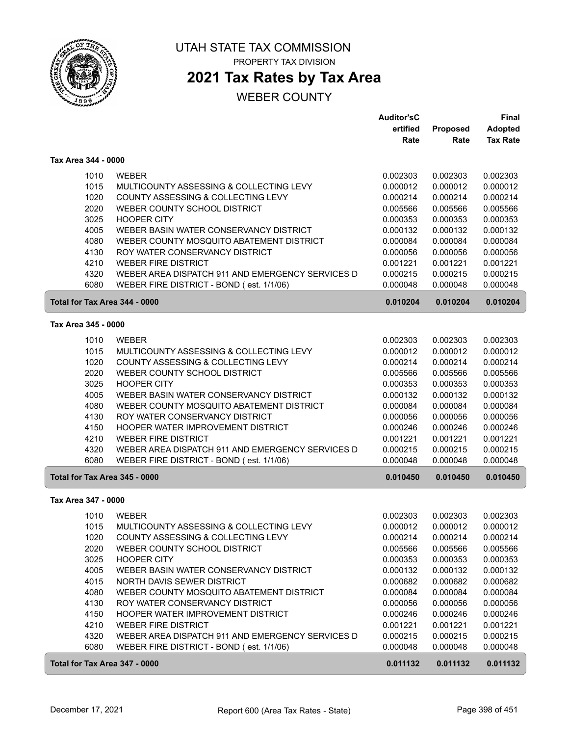

# UTAH STATE TAX COMMISSION

PROPERTY TAX DIVISION

# **2021 Tax Rates by Tax Area**

|                               |                                                  | <b>Auditor'sC</b><br>ertified | <b>Proposed</b> | <b>Final</b><br><b>Adopted</b> |
|-------------------------------|--------------------------------------------------|-------------------------------|-----------------|--------------------------------|
|                               |                                                  | Rate                          | Rate            | <b>Tax Rate</b>                |
| Tax Area 344 - 0000           |                                                  |                               |                 |                                |
| 1010                          | <b>WEBER</b>                                     | 0.002303                      | 0.002303        | 0.002303                       |
| 1015                          | MULTICOUNTY ASSESSING & COLLECTING LEVY          | 0.000012                      | 0.000012        | 0.000012                       |
| 1020                          | COUNTY ASSESSING & COLLECTING LEVY               | 0.000214                      | 0.000214        | 0.000214                       |
| 2020                          | WEBER COUNTY SCHOOL DISTRICT                     | 0.005566                      | 0.005566        | 0.005566                       |
| 3025                          | <b>HOOPER CITY</b>                               | 0.000353                      | 0.000353        | 0.000353                       |
| 4005                          | WEBER BASIN WATER CONSERVANCY DISTRICT           | 0.000132                      | 0.000132        | 0.000132                       |
| 4080                          | WEBER COUNTY MOSQUITO ABATEMENT DISTRICT         | 0.000084                      | 0.000084        | 0.000084                       |
| 4130                          | ROY WATER CONSERVANCY DISTRICT                   | 0.000056                      | 0.000056        | 0.000056                       |
| 4210                          | <b>WEBER FIRE DISTRICT</b>                       | 0.001221                      | 0.001221        | 0.001221                       |
| 4320                          | WEBER AREA DISPATCH 911 AND EMERGENCY SERVICES D | 0.000215                      | 0.000215        | 0.000215                       |
| 6080                          | WEBER FIRE DISTRICT - BOND (est. 1/1/06)         | 0.000048                      | 0.000048        | 0.000048                       |
| Total for Tax Area 344 - 0000 |                                                  | 0.010204                      | 0.010204        | 0.010204                       |
| Tax Area 345 - 0000           |                                                  |                               |                 |                                |
| 1010                          | <b>WEBER</b>                                     | 0.002303                      | 0.002303        | 0.002303                       |
| 1015                          | MULTICOUNTY ASSESSING & COLLECTING LEVY          | 0.000012                      | 0.000012        | 0.000012                       |
| 1020                          | COUNTY ASSESSING & COLLECTING LEVY               | 0.000214                      | 0.000214        | 0.000214                       |
| 2020                          | WEBER COUNTY SCHOOL DISTRICT                     | 0.005566                      | 0.005566        | 0.005566                       |
| 3025                          | <b>HOOPER CITY</b>                               | 0.000353                      | 0.000353        | 0.000353                       |
| 4005                          | WEBER BASIN WATER CONSERVANCY DISTRICT           | 0.000132                      | 0.000132        | 0.000132                       |
| 4080                          | WEBER COUNTY MOSQUITO ABATEMENT DISTRICT         | 0.000084                      | 0.000084        | 0.000084                       |
| 4130                          | ROY WATER CONSERVANCY DISTRICT                   | 0.000056                      | 0.000056        | 0.000056                       |
| 4150                          | HOOPER WATER IMPROVEMENT DISTRICT                | 0.000246                      | 0.000246        | 0.000246                       |
| 4210                          | <b>WEBER FIRE DISTRICT</b>                       | 0.001221                      | 0.001221        | 0.001221                       |
| 4320                          | WEBER AREA DISPATCH 911 AND EMERGENCY SERVICES D | 0.000215                      | 0.000215        | 0.000215                       |
| 6080                          | WEBER FIRE DISTRICT - BOND (est. 1/1/06)         | 0.000048                      | 0.000048        | 0.000048                       |
| Total for Tax Area 345 - 0000 |                                                  | 0.010450                      | 0.010450        | 0.010450                       |
| Tax Area 347 - 0000           |                                                  |                               |                 |                                |
| 1010                          | <b>WEBER</b>                                     | 0.002303                      | 0.002303        | 0.002303                       |
| 1015                          | MULTICOUNTY ASSESSING & COLLECTING LEVY          | 0.000012                      | 0.000012        | 0.000012                       |
| 1020                          | COUNTY ASSESSING & COLLECTING LEVY               | 0.000214                      | 0.000214        | 0.000214                       |
| 2020                          | WEBER COUNTY SCHOOL DISTRICT                     | 0.005566                      | 0.005566        | 0.005566                       |
| 3025                          | <b>HOOPER CITY</b>                               | 0.000353                      | 0.000353        | 0.000353                       |
| 4005                          | WEBER BASIN WATER CONSERVANCY DISTRICT           | 0.000132                      | 0.000132        | 0.000132                       |
| 4015                          | NORTH DAVIS SEWER DISTRICT                       | 0.000682                      | 0.000682        | 0.000682                       |
| 4080                          | WEBER COUNTY MOSQUITO ABATEMENT DISTRICT         | 0.000084                      | 0.000084        | 0.000084                       |
| 4130                          | ROY WATER CONSERVANCY DISTRICT                   | 0.000056                      | 0.000056        | 0.000056                       |
| 4150                          | HOOPER WATER IMPROVEMENT DISTRICT                | 0.000246                      | 0.000246        | 0.000246                       |
| 4210                          | <b>WEBER FIRE DISTRICT</b>                       | 0.001221                      | 0.001221        | 0.001221                       |
| 4320                          | WEBER AREA DISPATCH 911 AND EMERGENCY SERVICES D | 0.000215                      | 0.000215        | 0.000215                       |
| 6080                          | WEBER FIRE DISTRICT - BOND (est. 1/1/06)         | 0.000048                      | 0.000048        | 0.000048                       |
| Total for Tax Area 347 - 0000 |                                                  | 0.011132                      | 0.011132        | 0.011132                       |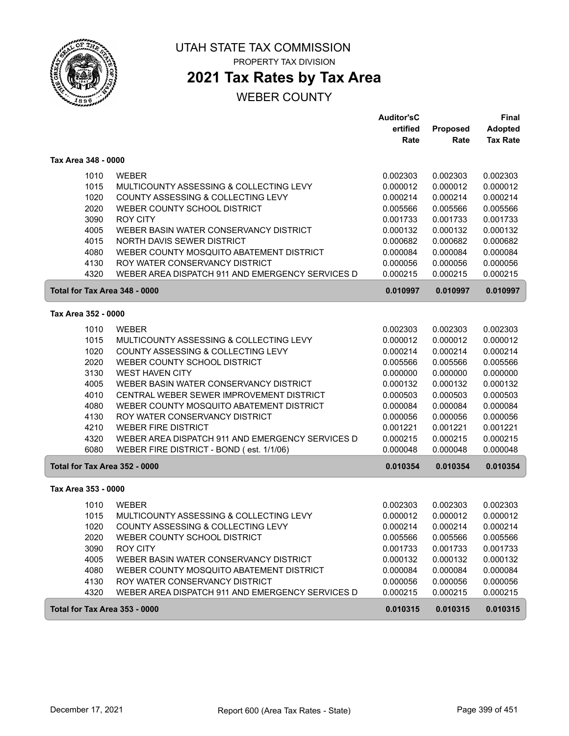

# UTAH STATE TAX COMMISSION

PROPERTY TAX DIVISION

# **2021 Tax Rates by Tax Area**

|                               |                                                  | <b>Auditor'sC</b> |          | Final           |
|-------------------------------|--------------------------------------------------|-------------------|----------|-----------------|
|                               |                                                  | ertified          | Proposed | <b>Adopted</b>  |
|                               |                                                  | Rate              | Rate     | <b>Tax Rate</b> |
| Tax Area 348 - 0000           |                                                  |                   |          |                 |
| 1010                          | <b>WEBER</b>                                     | 0.002303          | 0.002303 | 0.002303        |
| 1015                          | MULTICOUNTY ASSESSING & COLLECTING LEVY          | 0.000012          | 0.000012 | 0.000012        |
| 1020                          | COUNTY ASSESSING & COLLECTING LEVY               | 0.000214          | 0.000214 | 0.000214        |
| 2020                          | WEBER COUNTY SCHOOL DISTRICT                     | 0.005566          | 0.005566 | 0.005566        |
| 3090                          | <b>ROY CITY</b>                                  | 0.001733          | 0.001733 | 0.001733        |
| 4005                          | WEBER BASIN WATER CONSERVANCY DISTRICT           | 0.000132          | 0.000132 | 0.000132        |
| 4015                          | NORTH DAVIS SEWER DISTRICT                       | 0.000682          | 0.000682 | 0.000682        |
| 4080                          | WEBER COUNTY MOSQUITO ABATEMENT DISTRICT         | 0.000084          | 0.000084 | 0.000084        |
| 4130                          | ROY WATER CONSERVANCY DISTRICT                   | 0.000056          | 0.000056 | 0.000056        |
| 4320                          | WEBER AREA DISPATCH 911 AND EMERGENCY SERVICES D | 0.000215          | 0.000215 | 0.000215        |
| Total for Tax Area 348 - 0000 |                                                  | 0.010997          | 0.010997 | 0.010997        |
| Tax Area 352 - 0000           |                                                  |                   |          |                 |
| 1010                          | <b>WEBER</b>                                     | 0.002303          | 0.002303 | 0.002303        |
| 1015                          | MULTICOUNTY ASSESSING & COLLECTING LEVY          | 0.000012          | 0.000012 | 0.000012        |
| 1020                          | COUNTY ASSESSING & COLLECTING LEVY               | 0.000214          | 0.000214 | 0.000214        |
| 2020                          | WEBER COUNTY SCHOOL DISTRICT                     | 0.005566          | 0.005566 | 0.005566        |
| 3130                          | <b>WEST HAVEN CITY</b>                           | 0.000000          | 0.000000 | 0.000000        |
| 4005                          | WEBER BASIN WATER CONSERVANCY DISTRICT           | 0.000132          | 0.000132 | 0.000132        |
| 4010                          | CENTRAL WEBER SEWER IMPROVEMENT DISTRICT         | 0.000503          | 0.000503 | 0.000503        |
| 4080                          | WEBER COUNTY MOSQUITO ABATEMENT DISTRICT         | 0.000084          | 0.000084 | 0.000084        |
| 4130                          | ROY WATER CONSERVANCY DISTRICT                   | 0.000056          | 0.000056 | 0.000056        |
| 4210                          | <b>WEBER FIRE DISTRICT</b>                       | 0.001221          | 0.001221 | 0.001221        |
| 4320                          | WEBER AREA DISPATCH 911 AND EMERGENCY SERVICES D | 0.000215          | 0.000215 | 0.000215        |
| 6080                          | WEBER FIRE DISTRICT - BOND (est. 1/1/06)         | 0.000048          | 0.000048 | 0.000048        |
| Total for Tax Area 352 - 0000 |                                                  | 0.010354          | 0.010354 | 0.010354        |
| Tax Area 353 - 0000           |                                                  |                   |          |                 |
| 1010                          | <b>WEBER</b>                                     | 0.002303          | 0.002303 | 0.002303        |
| 1015                          | MULTICOUNTY ASSESSING & COLLECTING LEVY          | 0.000012          | 0.000012 | 0.000012        |
| 1020                          | COUNTY ASSESSING & COLLECTING LEVY               | 0.000214          | 0.000214 | 0.000214        |
| 2020                          | WEBER COUNTY SCHOOL DISTRICT                     | 0.005566          | 0.005566 | 0.005566        |
| 3090                          | <b>ROY CITY</b>                                  | 0.001733          | 0.001733 | 0.001733        |
| 4005                          | WEBER BASIN WATER CONSERVANCY DISTRICT           | 0.000132          | 0.000132 | 0.000132        |
| 4080                          | WEBER COUNTY MOSQUITO ABATEMENT DISTRICT         | 0.000084          | 0.000084 | 0.000084        |
| 4130                          | ROY WATER CONSERVANCY DISTRICT                   | 0.000056          | 0.000056 | 0.000056        |
| 4320                          | WEBER AREA DISPATCH 911 AND EMERGENCY SERVICES D | 0.000215          | 0.000215 | 0.000215        |
| Total for Tax Area 353 - 0000 |                                                  | 0.010315          | 0.010315 | 0.010315        |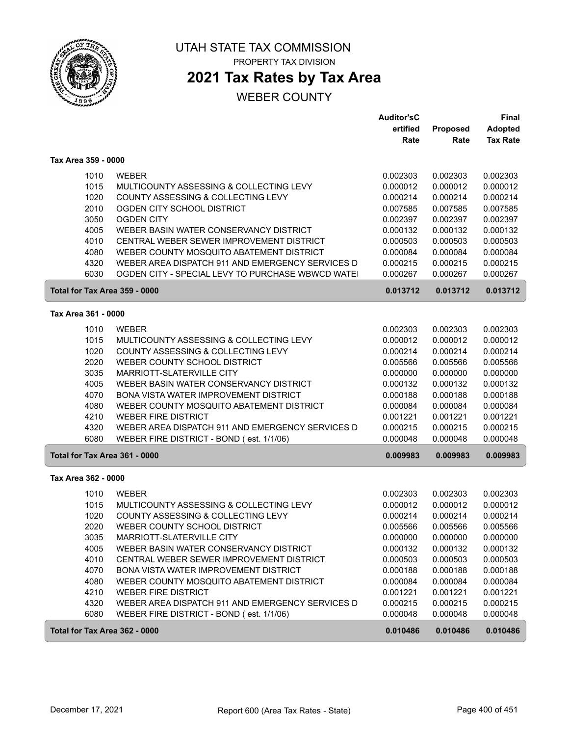

# **2021 Tax Rates by Tax Area**

|                                                                                                                       |                                                                                                                                                                                                                                                                                                                                                                                                                                                                     | <b>Auditor'sC</b><br>ertified<br>Rate                                                                                                        | <b>Proposed</b><br>Rate                                                                                                                      | <b>Final</b><br><b>Adopted</b><br><b>Tax Rate</b>                                                                                            |
|-----------------------------------------------------------------------------------------------------------------------|---------------------------------------------------------------------------------------------------------------------------------------------------------------------------------------------------------------------------------------------------------------------------------------------------------------------------------------------------------------------------------------------------------------------------------------------------------------------|----------------------------------------------------------------------------------------------------------------------------------------------|----------------------------------------------------------------------------------------------------------------------------------------------|----------------------------------------------------------------------------------------------------------------------------------------------|
| Tax Area 359 - 0000                                                                                                   |                                                                                                                                                                                                                                                                                                                                                                                                                                                                     |                                                                                                                                              |                                                                                                                                              |                                                                                                                                              |
| 1010<br>1015<br>1020<br>2010<br>3050<br>4005<br>4010<br>4080<br>4320<br>6030                                          | <b>WEBER</b><br>MULTICOUNTY ASSESSING & COLLECTING LEVY<br>COUNTY ASSESSING & COLLECTING LEVY<br>OGDEN CITY SCHOOL DISTRICT<br><b>OGDEN CITY</b><br>WEBER BASIN WATER CONSERVANCY DISTRICT<br>CENTRAL WEBER SEWER IMPROVEMENT DISTRICT<br>WEBER COUNTY MOSQUITO ABATEMENT DISTRICT<br>WEBER AREA DISPATCH 911 AND EMERGENCY SERVICES D<br>OGDEN CITY - SPECIAL LEVY TO PURCHASE WBWCD WATE                                                                          | 0.002303<br>0.000012<br>0.000214<br>0.007585<br>0.002397<br>0.000132<br>0.000503<br>0.000084<br>0.000215<br>0.000267                         | 0.002303<br>0.000012<br>0.000214<br>0.007585<br>0.002397<br>0.000132<br>0.000503<br>0.000084<br>0.000215<br>0.000267                         | 0.002303<br>0.000012<br>0.000214<br>0.007585<br>0.002397<br>0.000132<br>0.000503<br>0.000084<br>0.000215<br>0.000267                         |
| Total for Tax Area 359 - 0000                                                                                         |                                                                                                                                                                                                                                                                                                                                                                                                                                                                     | 0.013712                                                                                                                                     | 0.013712                                                                                                                                     | 0.013712                                                                                                                                     |
| Tax Area 361 - 0000                                                                                                   |                                                                                                                                                                                                                                                                                                                                                                                                                                                                     |                                                                                                                                              |                                                                                                                                              |                                                                                                                                              |
| 1010<br>1015<br>1020<br>2020<br>3035<br>4005<br>4070<br>4080<br>4210<br>4320<br>6080<br>Total for Tax Area 361 - 0000 | <b>WEBER</b><br>MULTICOUNTY ASSESSING & COLLECTING LEVY<br>COUNTY ASSESSING & COLLECTING LEVY<br>WEBER COUNTY SCHOOL DISTRICT<br>MARRIOTT-SLATERVILLE CITY<br>WEBER BASIN WATER CONSERVANCY DISTRICT<br>BONA VISTA WATER IMPROVEMENT DISTRICT<br>WEBER COUNTY MOSQUITO ABATEMENT DISTRICT<br><b>WEBER FIRE DISTRICT</b><br>WEBER AREA DISPATCH 911 AND EMERGENCY SERVICES D<br>WEBER FIRE DISTRICT - BOND (est. 1/1/06)                                             | 0.002303<br>0.000012<br>0.000214<br>0.005566<br>0.000000<br>0.000132<br>0.000188<br>0.000084<br>0.001221<br>0.000215<br>0.000048<br>0.009983 | 0.002303<br>0.000012<br>0.000214<br>0.005566<br>0.000000<br>0.000132<br>0.000188<br>0.000084<br>0.001221<br>0.000215<br>0.000048<br>0.009983 | 0.002303<br>0.000012<br>0.000214<br>0.005566<br>0.000000<br>0.000132<br>0.000188<br>0.000084<br>0.001221<br>0.000215<br>0.000048<br>0.009983 |
| Tax Area 362 - 0000                                                                                                   |                                                                                                                                                                                                                                                                                                                                                                                                                                                                     |                                                                                                                                              |                                                                                                                                              |                                                                                                                                              |
| 1010<br>1015<br>1020<br>2020<br>3035<br>4005<br>4010<br>4070<br>4080<br>4210<br>4320<br>6080                          | <b>WEBER</b><br>MULTICOUNTY ASSESSING & COLLECTING LEVY<br>COUNTY ASSESSING & COLLECTING LEVY<br>WEBER COUNTY SCHOOL DISTRICT<br>MARRIOTT-SLATERVILLE CITY<br>WEBER BASIN WATER CONSERVANCY DISTRICT<br>CENTRAL WEBER SEWER IMPROVEMENT DISTRICT<br>BONA VISTA WATER IMPROVEMENT DISTRICT<br>WEBER COUNTY MOSQUITO ABATEMENT DISTRICT<br><b>WEBER FIRE DISTRICT</b><br>WEBER AREA DISPATCH 911 AND EMERGENCY SERVICES D<br>WEBER FIRE DISTRICT - BOND (est. 1/1/06) | 0.002303<br>0.000012<br>0.000214<br>0.005566<br>0.000000<br>0.000132<br>0.000503<br>0.000188<br>0.000084<br>0.001221<br>0.000215<br>0.000048 | 0.002303<br>0.000012<br>0.000214<br>0.005566<br>0.000000<br>0.000132<br>0.000503<br>0.000188<br>0.000084<br>0.001221<br>0.000215<br>0.000048 | 0.002303<br>0.000012<br>0.000214<br>0.005566<br>0.000000<br>0.000132<br>0.000503<br>0.000188<br>0.000084<br>0.001221<br>0.000215<br>0.000048 |
| Total for Tax Area 362 - 0000                                                                                         |                                                                                                                                                                                                                                                                                                                                                                                                                                                                     | 0.010486                                                                                                                                     | 0.010486                                                                                                                                     | 0.010486                                                                                                                                     |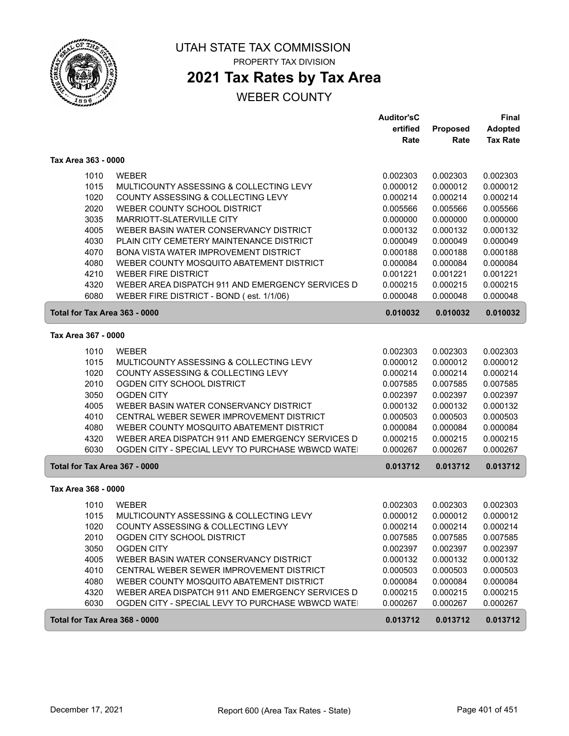

## **2021 Tax Rates by Tax Area**

|                               |                                                                                                      | <b>Auditor'sC</b>    |                      | Final                |
|-------------------------------|------------------------------------------------------------------------------------------------------|----------------------|----------------------|----------------------|
|                               |                                                                                                      | ertified             | Proposed             | <b>Adopted</b>       |
|                               |                                                                                                      | Rate                 | Rate                 | <b>Tax Rate</b>      |
| Tax Area 363 - 0000           |                                                                                                      |                      |                      |                      |
| 1010                          | <b>WEBER</b>                                                                                         | 0.002303             | 0.002303             | 0.002303             |
| 1015                          | MULTICOUNTY ASSESSING & COLLECTING LEVY                                                              | 0.000012             | 0.000012             | 0.000012             |
| 1020                          | COUNTY ASSESSING & COLLECTING LEVY                                                                   | 0.000214             | 0.000214             | 0.000214             |
| 2020                          | WEBER COUNTY SCHOOL DISTRICT                                                                         | 0.005566             | 0.005566             | 0.005566             |
| 3035                          | MARRIOTT-SLATERVILLE CITY                                                                            | 0.000000             | 0.000000             | 0.000000             |
| 4005                          | WEBER BASIN WATER CONSERVANCY DISTRICT                                                               | 0.000132             | 0.000132             | 0.000132             |
| 4030                          | PLAIN CITY CEMETERY MAINTENANCE DISTRICT                                                             | 0.000049             | 0.000049             | 0.000049             |
| 4070                          | BONA VISTA WATER IMPROVEMENT DISTRICT                                                                | 0.000188             | 0.000188             | 0.000188             |
| 4080                          | WEBER COUNTY MOSQUITO ABATEMENT DISTRICT                                                             | 0.000084             | 0.000084             | 0.000084             |
| 4210                          | <b>WEBER FIRE DISTRICT</b>                                                                           | 0.001221             | 0.001221             | 0.001221             |
| 4320                          | WEBER AREA DISPATCH 911 AND EMERGENCY SERVICES D                                                     | 0.000215             | 0.000215             | 0.000215             |
| 6080                          | WEBER FIRE DISTRICT - BOND (est. 1/1/06)                                                             | 0.000048             | 0.000048             | 0.000048             |
| Total for Tax Area 363 - 0000 |                                                                                                      | 0.010032             | 0.010032             | 0.010032             |
| Tax Area 367 - 0000           |                                                                                                      |                      |                      |                      |
| 1010                          | <b>WEBER</b>                                                                                         |                      | 0.002303             | 0.002303             |
| 1015                          | MULTICOUNTY ASSESSING & COLLECTING LEVY                                                              | 0.002303<br>0.000012 | 0.000012             | 0.000012             |
| 1020                          | COUNTY ASSESSING & COLLECTING LEVY                                                                   | 0.000214             | 0.000214             | 0.000214             |
| 2010                          | OGDEN CITY SCHOOL DISTRICT                                                                           | 0.007585             | 0.007585             | 0.007585             |
| 3050                          | <b>OGDEN CITY</b>                                                                                    | 0.002397             | 0.002397             | 0.002397             |
| 4005                          | WEBER BASIN WATER CONSERVANCY DISTRICT                                                               | 0.000132             | 0.000132             | 0.000132             |
| 4010                          | CENTRAL WEBER SEWER IMPROVEMENT DISTRICT                                                             | 0.000503             | 0.000503             | 0.000503             |
| 4080                          | WEBER COUNTY MOSQUITO ABATEMENT DISTRICT                                                             | 0.000084             | 0.000084             | 0.000084             |
| 4320                          | WEBER AREA DISPATCH 911 AND EMERGENCY SERVICES D                                                     | 0.000215             | 0.000215             | 0.000215             |
| 6030                          | OGDEN CITY - SPECIAL LEVY TO PURCHASE WBWCD WATE                                                     | 0.000267             | 0.000267             | 0.000267             |
| Total for Tax Area 367 - 0000 |                                                                                                      | 0.013712             | 0.013712             | 0.013712             |
| Tax Area 368 - 0000           |                                                                                                      |                      |                      |                      |
|                               |                                                                                                      |                      |                      |                      |
| 1010                          | <b>WEBER</b>                                                                                         | 0.002303             | 0.002303             | 0.002303             |
| 1015                          | MULTICOUNTY ASSESSING & COLLECTING LEVY                                                              | 0.000012             | 0.000012             | 0.000012             |
| 1020                          | COUNTY ASSESSING & COLLECTING LEVY                                                                   | 0.000214             | 0.000214             | 0.000214             |
| 2010                          | OGDEN CITY SCHOOL DISTRICT                                                                           | 0.007585             | 0.007585             | 0.007585             |
| 3050                          | <b>OGDEN CITY</b>                                                                                    | 0.002397             | 0.002397             | 0.002397             |
| 4005                          | WEBER BASIN WATER CONSERVANCY DISTRICT                                                               | 0.000132             | 0.000132             | 0.000132             |
| 4010                          | CENTRAL WEBER SEWER IMPROVEMENT DISTRICT<br>WEBER COUNTY MOSQUITO ABATEMENT DISTRICT                 | 0.000503<br>0.000084 | 0.000503             | 0.000503             |
| 4080                          |                                                                                                      |                      | 0.000084             | 0.000084             |
| 4320<br>6030                  | WEBER AREA DISPATCH 911 AND EMERGENCY SERVICES D<br>OGDEN CITY - SPECIAL LEVY TO PURCHASE WBWCD WATE | 0.000215<br>0.000267 | 0.000215<br>0.000267 | 0.000215<br>0.000267 |
|                               |                                                                                                      |                      |                      |                      |
| Total for Tax Area 368 - 0000 |                                                                                                      | 0.013712             | 0.013712             | 0.013712             |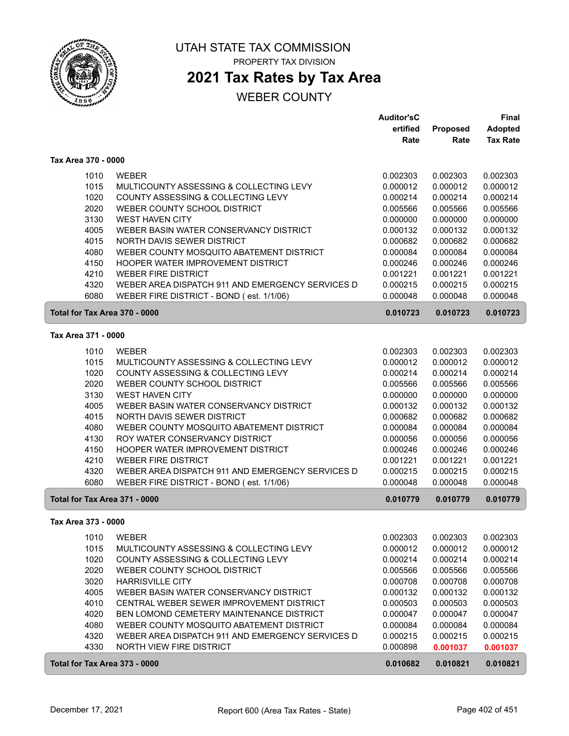

## **2021 Tax Rates by Tax Area**

|                               |                                                  | <b>Auditor'sC</b> |          | <b>Final</b>    |
|-------------------------------|--------------------------------------------------|-------------------|----------|-----------------|
|                               |                                                  | ertified          | Proposed | <b>Adopted</b>  |
|                               |                                                  | Rate              | Rate     | <b>Tax Rate</b> |
| Tax Area 370 - 0000           |                                                  |                   |          |                 |
| 1010                          | <b>WEBER</b>                                     | 0.002303          | 0.002303 | 0.002303        |
| 1015                          | MULTICOUNTY ASSESSING & COLLECTING LEVY          | 0.000012          | 0.000012 | 0.000012        |
| 1020                          | COUNTY ASSESSING & COLLECTING LEVY               | 0.000214          | 0.000214 | 0.000214        |
| 2020                          | WEBER COUNTY SCHOOL DISTRICT                     | 0.005566          | 0.005566 | 0.005566        |
| 3130                          | <b>WEST HAVEN CITY</b>                           | 0.000000          | 0.000000 | 0.000000        |
| 4005                          | WEBER BASIN WATER CONSERVANCY DISTRICT           | 0.000132          | 0.000132 | 0.000132        |
| 4015                          | NORTH DAVIS SEWER DISTRICT                       | 0.000682          | 0.000682 | 0.000682        |
| 4080                          | WEBER COUNTY MOSQUITO ABATEMENT DISTRICT         | 0.000084          | 0.000084 | 0.000084        |
| 4150                          | HOOPER WATER IMPROVEMENT DISTRICT                | 0.000246          | 0.000246 | 0.000246        |
| 4210                          | <b>WEBER FIRE DISTRICT</b>                       | 0.001221          | 0.001221 | 0.001221        |
| 4320                          | WEBER AREA DISPATCH 911 AND EMERGENCY SERVICES D | 0.000215          | 0.000215 | 0.000215        |
| 6080                          | WEBER FIRE DISTRICT - BOND (est. 1/1/06)         | 0.000048          | 0.000048 | 0.000048        |
| Total for Tax Area 370 - 0000 |                                                  | 0.010723          | 0.010723 | 0.010723        |
| Tax Area 371 - 0000           |                                                  |                   |          |                 |
| 1010                          | <b>WEBER</b>                                     | 0.002303          | 0.002303 | 0.002303        |
| 1015                          | MULTICOUNTY ASSESSING & COLLECTING LEVY          | 0.000012          | 0.000012 | 0.000012        |
| 1020                          | COUNTY ASSESSING & COLLECTING LEVY               | 0.000214          | 0.000214 | 0.000214        |
| 2020                          | WEBER COUNTY SCHOOL DISTRICT                     | 0.005566          | 0.005566 | 0.005566        |
| 3130                          | <b>WEST HAVEN CITY</b>                           | 0.000000          | 0.000000 | 0.000000        |
| 4005                          | WEBER BASIN WATER CONSERVANCY DISTRICT           | 0.000132          | 0.000132 | 0.000132        |
| 4015                          | NORTH DAVIS SEWER DISTRICT                       | 0.000682          | 0.000682 | 0.000682        |
| 4080                          | WEBER COUNTY MOSQUITO ABATEMENT DISTRICT         | 0.000084          | 0.000084 | 0.000084        |
| 4130                          | ROY WATER CONSERVANCY DISTRICT                   | 0.000056          | 0.000056 | 0.000056        |
| 4150                          | HOOPER WATER IMPROVEMENT DISTRICT                | 0.000246          | 0.000246 | 0.000246        |
| 4210                          | <b>WEBER FIRE DISTRICT</b>                       | 0.001221          | 0.001221 | 0.001221        |
| 4320                          | WEBER AREA DISPATCH 911 AND EMERGENCY SERVICES D | 0.000215          | 0.000215 | 0.000215        |
| 6080                          | WEBER FIRE DISTRICT - BOND (est. 1/1/06)         | 0.000048          | 0.000048 | 0.000048        |
| Total for Tax Area 371 - 0000 |                                                  | 0.010779          | 0.010779 | 0.010779        |
| Tax Area 373 - 0000           |                                                  |                   |          |                 |
| 1010                          | <b>WEBER</b>                                     | 0.002303          | 0.002303 | 0.002303        |
| 1015                          | MULTICOUNTY ASSESSING & COLLECTING LEVY          | 0.000012          | 0.000012 | 0.000012        |
| 1020                          | COUNTY ASSESSING & COLLECTING LEVY               | 0.000214          | 0.000214 | 0.000214        |
| 2020                          | WEBER COUNTY SCHOOL DISTRICT                     | 0.005566          | 0.005566 | 0.005566        |
| 3020                          | <b>HARRISVILLE CITY</b>                          | 0.000708          | 0.000708 | 0.000708        |
| 4005                          | WEBER BASIN WATER CONSERVANCY DISTRICT           | 0.000132          | 0.000132 | 0.000132        |
| 4010                          | CENTRAL WEBER SEWER IMPROVEMENT DISTRICT         | 0.000503          | 0.000503 | 0.000503        |
| 4020                          | BEN LOMOND CEMETERY MAINTENANCE DISTRICT         | 0.000047          | 0.000047 | 0.000047        |
| 4080                          | WEBER COUNTY MOSQUITO ABATEMENT DISTRICT         | 0.000084          | 0.000084 | 0.000084        |
| 4320                          | WEBER AREA DISPATCH 911 AND EMERGENCY SERVICES D | 0.000215          | 0.000215 | 0.000215        |
| 4330                          | NORTH VIEW FIRE DISTRICT                         | 0.000898          | 0.001037 | 0.001037        |
| Total for Tax Area 373 - 0000 |                                                  | 0.010682          | 0.010821 | 0.010821        |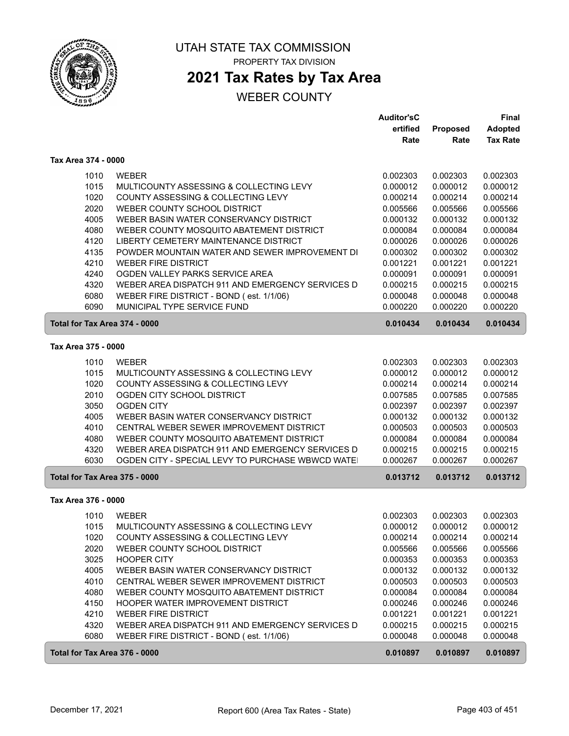

#### UTAH STATE TAX COMMISSION PROPERTY TAX DIVISION

## **2021 Tax Rates by Tax Area**

|                               |                                                  | <b>Auditor'sC</b> |                 | <b>Final</b>    |
|-------------------------------|--------------------------------------------------|-------------------|-----------------|-----------------|
|                               |                                                  | ertified          | <b>Proposed</b> | <b>Adopted</b>  |
|                               |                                                  | Rate              | Rate            | <b>Tax Rate</b> |
| Tax Area 374 - 0000           |                                                  |                   |                 |                 |
| 1010                          | <b>WEBER</b>                                     | 0.002303          | 0.002303        | 0.002303        |
| 1015                          | MULTICOUNTY ASSESSING & COLLECTING LEVY          | 0.000012          | 0.000012        | 0.000012        |
| 1020                          | COUNTY ASSESSING & COLLECTING LEVY               | 0.000214          | 0.000214        | 0.000214        |
| 2020                          | WEBER COUNTY SCHOOL DISTRICT                     | 0.005566          | 0.005566        | 0.005566        |
| 4005                          | WEBER BASIN WATER CONSERVANCY DISTRICT           | 0.000132          | 0.000132        | 0.000132        |
| 4080                          | WEBER COUNTY MOSQUITO ABATEMENT DISTRICT         | 0.000084          | 0.000084        | 0.000084        |
| 4120                          | LIBERTY CEMETERY MAINTENANCE DISTRICT            | 0.000026          | 0.000026        | 0.000026        |
| 4135                          | POWDER MOUNTAIN WATER AND SEWER IMPROVEMENT DI   | 0.000302          | 0.000302        | 0.000302        |
| 4210                          | <b>WEBER FIRE DISTRICT</b>                       | 0.001221          | 0.001221        | 0.001221        |
| 4240                          | OGDEN VALLEY PARKS SERVICE AREA                  | 0.000091          | 0.000091        | 0.000091        |
| 4320                          | WEBER AREA DISPATCH 911 AND EMERGENCY SERVICES D | 0.000215          | 0.000215        | 0.000215        |
| 6080                          | WEBER FIRE DISTRICT - BOND (est. 1/1/06)         | 0.000048          | 0.000048        | 0.000048        |
| 6090                          | MUNICIPAL TYPE SERVICE FUND                      | 0.000220          | 0.000220        | 0.000220        |
| Total for Tax Area 374 - 0000 |                                                  | 0.010434          | 0.010434        | 0.010434        |
| Tax Area 375 - 0000           |                                                  |                   |                 |                 |
|                               |                                                  |                   |                 |                 |
| 1010                          | <b>WEBER</b>                                     | 0.002303          | 0.002303        | 0.002303        |
| 1015                          | MULTICOUNTY ASSESSING & COLLECTING LEVY          | 0.000012          | 0.000012        | 0.000012        |
| 1020                          | COUNTY ASSESSING & COLLECTING LEVY               | 0.000214          | 0.000214        | 0.000214        |
| 2010                          | OGDEN CITY SCHOOL DISTRICT                       | 0.007585          | 0.007585        | 0.007585        |
| 3050                          | <b>OGDEN CITY</b>                                | 0.002397          | 0.002397        | 0.002397        |
| 4005                          | WEBER BASIN WATER CONSERVANCY DISTRICT           | 0.000132          | 0.000132        | 0.000132        |
| 4010                          | CENTRAL WEBER SEWER IMPROVEMENT DISTRICT         | 0.000503          | 0.000503        | 0.000503        |
| 4080                          | WEBER COUNTY MOSQUITO ABATEMENT DISTRICT         | 0.000084          | 0.000084        | 0.000084        |
| 4320                          | WEBER AREA DISPATCH 911 AND EMERGENCY SERVICES D | 0.000215          | 0.000215        | 0.000215        |
| 6030                          | OGDEN CITY - SPECIAL LEVY TO PURCHASE WBWCD WATE | 0.000267          | 0.000267        | 0.000267        |
| Total for Tax Area 375 - 0000 |                                                  | 0.013712          | 0.013712        | 0.013712        |
| Tax Area 376 - 0000           |                                                  |                   |                 |                 |
| 1010                          | <b>WEBER</b>                                     | 0.002303          | 0.002303        | 0.002303        |
| 1015                          | MULTICOUNTY ASSESSING & COLLECTING LEVY          | 0.000012          | 0.000012        | 0.000012        |
| 1020                          | COUNTY ASSESSING & COLLECTING LEVY               | 0.000214          | 0.000214        | 0.000214        |
| 2020                          | WEBER COUNTY SCHOOL DISTRICT                     | 0.005566          | 0.005566        | 0.005566        |
| 3025                          | <b>HOOPER CITY</b>                               | 0.000353          | 0.000353        | 0.000353        |
| 4005                          | WEBER BASIN WATER CONSERVANCY DISTRICT           | 0.000132          | 0.000132        | 0.000132        |
| 4010                          | CENTRAL WEBER SEWER IMPROVEMENT DISTRICT         | 0.000503          | 0.000503        | 0.000503        |
| 4080                          | WEBER COUNTY MOSQUITO ABATEMENT DISTRICT         | 0.000084          | 0.000084        | 0.000084        |
| 4150                          | HOOPER WATER IMPROVEMENT DISTRICT                | 0.000246          | 0.000246        | 0.000246        |
| 4210                          | <b>WEBER FIRE DISTRICT</b>                       | 0.001221          | 0.001221        | 0.001221        |
| 4320                          | WEBER AREA DISPATCH 911 AND EMERGENCY SERVICES D | 0.000215          | 0.000215        | 0.000215        |
| 6080                          | WEBER FIRE DISTRICT - BOND (est. 1/1/06)         | 0.000048          | 0.000048        | 0.000048        |
| Total for Tax Area 376 - 0000 |                                                  | 0.010897          | 0.010897        | 0.010897        |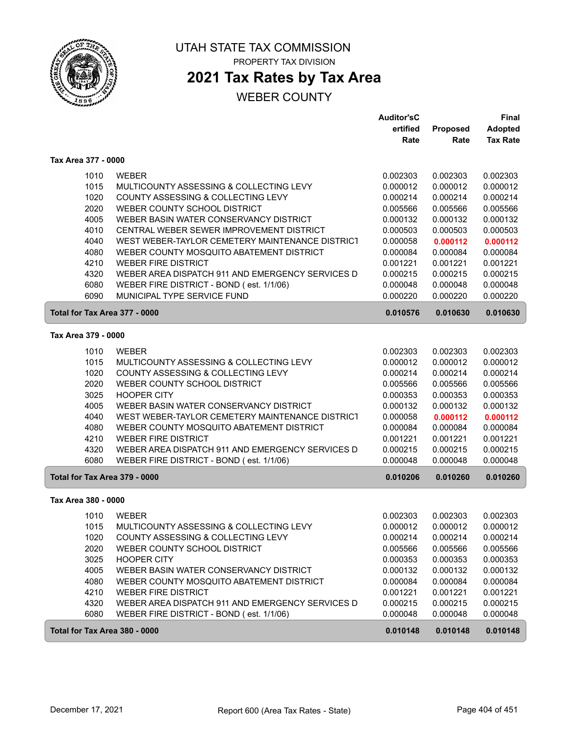

ſ

#### UTAH STATE TAX COMMISSION PROPERTY TAX DIVISION

## **2021 Tax Rates by Tax Area**

|                     |                                                  | <b>Auditor'sC</b> |                 | <b>Final</b>    |
|---------------------|--------------------------------------------------|-------------------|-----------------|-----------------|
|                     |                                                  | ertified          | <b>Proposed</b> | <b>Adopted</b>  |
|                     |                                                  | Rate              | Rate            | <b>Tax Rate</b> |
| Tax Area 377 - 0000 |                                                  |                   |                 |                 |
| 1010                | <b>WEBER</b>                                     | 0.002303          | 0.002303        | 0.002303        |
| 1015                | MULTICOUNTY ASSESSING & COLLECTING LEVY          | 0.000012          | 0.000012        | 0.000012        |
| 1020                | COUNTY ASSESSING & COLLECTING LEVY               | 0.000214          | 0.000214        | 0.000214        |
| 2020                | WEBER COUNTY SCHOOL DISTRICT                     | 0.005566          | 0.005566        | 0.005566        |
| 4005                | WEBER BASIN WATER CONSERVANCY DISTRICT           | 0.000132          | 0.000132        | 0.000132        |
| 4010                | CENTRAL WEBER SEWER IMPROVEMENT DISTRICT         | 0.000503          | 0.000503        | 0.000503        |
| 4040                | WEST WEBER-TAYLOR CEMETERY MAINTENANCE DISTRICT  | 0.000058          | 0.000112        | 0.000112        |
| 4080                | WEBER COUNTY MOSQUITO ABATEMENT DISTRICT         | 0.000084          | 0.000084        | 0.000084        |
| 4210                | <b>WEBER FIRE DISTRICT</b>                       | 0.001221          | 0.001221        | 0.001221        |
| 4320                | WEBER AREA DISPATCH 911 AND EMERGENCY SERVICES D | 0.000215          | 0.000215        | 0.000215        |
| 6080                | WEBER FIRE DISTRICT - BOND (est. 1/1/06)         | 0.000048          | 0.000048        | 0.000048        |
| 6090                | MUNICIPAL TYPE SERVICE FUND                      | 0.000220          | 0.000220        | 0.000220        |
|                     | Total for Tax Area 377 - 0000                    | 0.010576          | 0.010630        | 0.010630        |
| Tax Area 379 - 0000 |                                                  |                   |                 |                 |
| 1010                | <b>WEBER</b>                                     | 0.002303          | 0.002303        | 0.002303        |
| 1015                | MULTICOUNTY ASSESSING & COLLECTING LEVY          | 0.000012          | 0.000012        | 0.000012        |
| 1020                | COUNTY ASSESSING & COLLECTING LEVY               | 0.000214          | 0.000214        | 0.000214        |
| 2020                | WEBER COUNTY SCHOOL DISTRICT                     | 0.005566          | 0.005566        | 0.005566        |
| 3025                | <b>HOOPER CITY</b>                               | 0.000353          | 0.000353        | 0.000353        |
| 4005                | WEBER BASIN WATER CONSERVANCY DISTRICT           | 0.000132          | 0.000132        | 0.000132        |
| 4040                | WEST WEBER-TAYLOR CEMETERY MAINTENANCE DISTRICT  | 0.000058          | 0.000112        | 0.000112        |
| 4080                | WEBER COUNTY MOSQUITO ABATEMENT DISTRICT         | 0.000084          | 0.000084        | 0.000084        |
| 4210                | <b>WEBER FIRE DISTRICT</b>                       | 0.001221          | 0.001221        | 0.001221        |
| 4320                | WEBER AREA DISPATCH 911 AND EMERGENCY SERVICES D | 0.000215          | 0.000215        | 0.000215        |
| 6080                | WEBER FIRE DISTRICT - BOND (est. 1/1/06)         | 0.000048          | 0.000048        | 0.000048        |
|                     | Total for Tax Area 379 - 0000                    | 0.010206          | 0.010260        | 0.010260        |
| Tax Area 380 - 0000 |                                                  |                   |                 |                 |
| 1010                | <b>WEBER</b>                                     | 0.002303          | 0.002303        | 0.002303        |
| 1015                | MULTICOUNTY ASSESSING & COLLECTING LEVY          | 0.000012          | 0.000012        | 0.000012        |
| 1020                | COUNTY ASSESSING & COLLECTING LEVY               | 0.000214          | 0.000214        | 0.000214        |
| 2020                | WEBER COUNTY SCHOOL DISTRICT                     | 0.005566          | 0.005566        | 0.005566        |
| 3025                | <b>HOOPER CITY</b>                               | 0.000353          | 0.000353        | 0.000353        |
| 4005                | WEBER BASIN WATER CONSERVANCY DISTRICT           | 0.000132          | 0.000132        | 0.000132        |
| 4080                | WEBER COUNTY MOSQUITO ABATEMENT DISTRICT         | 0.000084          | 0.000084        | 0.000084        |
| 4210                | <b>WEBER FIRE DISTRICT</b>                       | 0.001221          | 0.001221        | 0.001221        |
| 4320                | WEBER AREA DISPATCH 911 AND EMERGENCY SERVICES D | 0.000215          | 0.000215        | 0.000215        |
| 6080                | WEBER FIRE DISTRICT - BOND (est. 1/1/06)         | 0.000048          | 0.000048        | 0.000048        |
|                     | Total for Tax Area 380 - 0000                    | 0.010148          | 0.010148        | 0.010148        |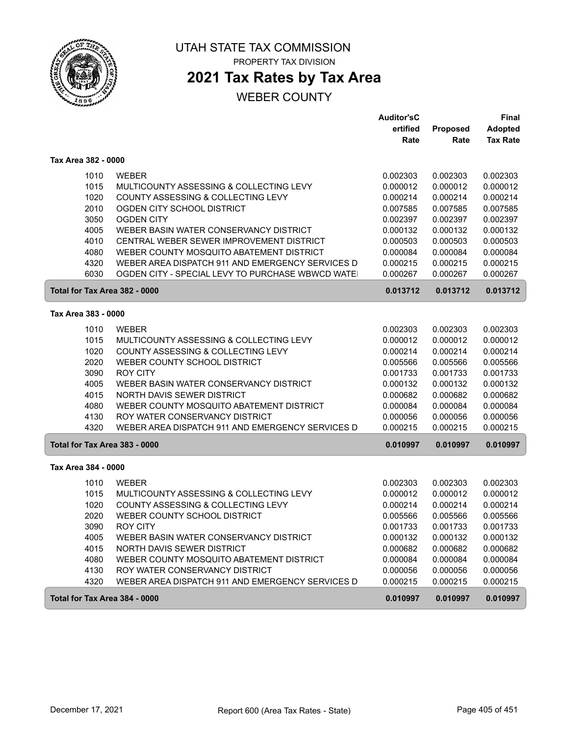

# **2021 Tax Rates by Tax Area**

|                               |                                                   | <b>Auditor'sC</b> |                 | Final           |
|-------------------------------|---------------------------------------------------|-------------------|-----------------|-----------------|
|                               |                                                   | ertified          | <b>Proposed</b> | <b>Adopted</b>  |
|                               |                                                   | Rate              | Rate            | <b>Tax Rate</b> |
| Tax Area 382 - 0000           |                                                   |                   |                 |                 |
| 1010                          | <b>WEBER</b>                                      | 0.002303          | 0.002303        | 0.002303        |
| 1015                          | MULTICOUNTY ASSESSING & COLLECTING LEVY           | 0.000012          | 0.000012        | 0.000012        |
| 1020                          | COUNTY ASSESSING & COLLECTING LEVY                | 0.000214          | 0.000214        | 0.000214        |
| 2010                          | OGDEN CITY SCHOOL DISTRICT                        | 0.007585          | 0.007585        | 0.007585        |
| 3050                          | <b>OGDEN CITY</b>                                 | 0.002397          | 0.002397        | 0.002397        |
| 4005                          | WEBER BASIN WATER CONSERVANCY DISTRICT            | 0.000132          | 0.000132        | 0.000132        |
| 4010                          | CENTRAL WEBER SEWER IMPROVEMENT DISTRICT          | 0.000503          | 0.000503        | 0.000503        |
| 4080                          | WEBER COUNTY MOSQUITO ABATEMENT DISTRICT          | 0.000084          | 0.000084        | 0.000084        |
| 4320                          | WEBER AREA DISPATCH 911 AND EMERGENCY SERVICES D  | 0.000215          | 0.000215        | 0.000215        |
| 6030                          | OGDEN CITY - SPECIAL LEVY TO PURCHASE WBWCD WATE! | 0.000267          | 0.000267        | 0.000267        |
| Total for Tax Area 382 - 0000 |                                                   | 0.013712          | 0.013712        | 0.013712        |
|                               |                                                   |                   |                 |                 |
| Tax Area 383 - 0000           |                                                   |                   |                 |                 |
| 1010                          | <b>WEBER</b>                                      | 0.002303          | 0.002303        | 0.002303        |
| 1015                          | MULTICOUNTY ASSESSING & COLLECTING LEVY           | 0.000012          | 0.000012        | 0.000012        |
| 1020                          | COUNTY ASSESSING & COLLECTING LEVY                | 0.000214          | 0.000214        | 0.000214        |
| 2020                          | WEBER COUNTY SCHOOL DISTRICT                      | 0.005566          | 0.005566        | 0.005566        |
| 3090                          | <b>ROY CITY</b>                                   | 0.001733          | 0.001733        | 0.001733        |
| 4005                          | WEBER BASIN WATER CONSERVANCY DISTRICT            | 0.000132          | 0.000132        | 0.000132        |
| 4015                          | NORTH DAVIS SEWER DISTRICT                        | 0.000682          | 0.000682        | 0.000682        |
| 4080                          | WEBER COUNTY MOSQUITO ABATEMENT DISTRICT          | 0.000084          | 0.000084        | 0.000084        |
| 4130                          | ROY WATER CONSERVANCY DISTRICT                    | 0.000056          | 0.000056        | 0.000056        |
| 4320                          | WEBER AREA DISPATCH 911 AND EMERGENCY SERVICES D  | 0.000215          | 0.000215        | 0.000215        |
| Total for Tax Area 383 - 0000 |                                                   | 0.010997          | 0.010997        | 0.010997        |
| Tax Area 384 - 0000           |                                                   |                   |                 |                 |
| 1010                          | <b>WEBER</b>                                      | 0.002303          | 0.002303        | 0.002303        |
| 1015                          | MULTICOUNTY ASSESSING & COLLECTING LEVY           | 0.000012          | 0.000012        | 0.000012        |
| 1020                          | COUNTY ASSESSING & COLLECTING LEVY                | 0.000214          | 0.000214        | 0.000214        |
| 2020                          | WEBER COUNTY SCHOOL DISTRICT                      | 0.005566          | 0.005566        | 0.005566        |
| 3090                          | <b>ROY CITY</b>                                   | 0.001733          | 0.001733        | 0.001733        |
| 4005                          | WEBER BASIN WATER CONSERVANCY DISTRICT            | 0.000132          | 0.000132        | 0.000132        |
| 4015                          | NORTH DAVIS SEWER DISTRICT                        | 0.000682          | 0.000682        | 0.000682        |
| 4080                          | WEBER COUNTY MOSQUITO ABATEMENT DISTRICT          | 0.000084          | 0.000084        | 0.000084        |
| 4130                          | ROY WATER CONSERVANCY DISTRICT                    | 0.000056          | 0.000056        | 0.000056        |
| 4320                          | WEBER AREA DISPATCH 911 AND EMERGENCY SERVICES D  | 0.000215          | 0.000215        | 0.000215        |
|                               |                                                   |                   |                 |                 |
| Total for Tax Area 384 - 0000 |                                                   | 0.010997          | 0.010997        | 0.010997        |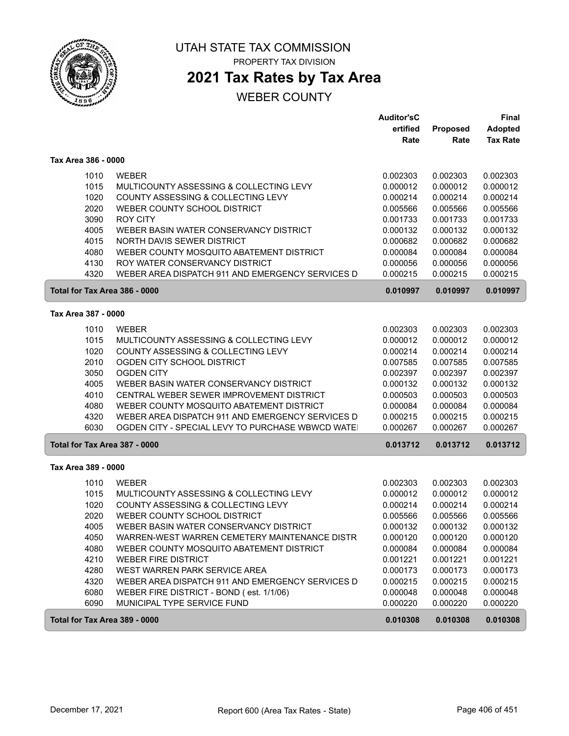

# UTAH STATE TAX COMMISSION

PROPERTY TAX DIVISION

# **2021 Tax Rates by Tax Area**

|                     |                                                  | <b>Auditor'sC</b> |          | <b>Final</b>    |
|---------------------|--------------------------------------------------|-------------------|----------|-----------------|
|                     |                                                  | ertified          | Proposed | <b>Adopted</b>  |
|                     |                                                  | Rate              | Rate     | <b>Tax Rate</b> |
| Tax Area 386 - 0000 |                                                  |                   |          |                 |
| 1010                | <b>WEBER</b>                                     | 0.002303          | 0.002303 | 0.002303        |
| 1015                | MULTICOUNTY ASSESSING & COLLECTING LEVY          | 0.000012          | 0.000012 | 0.000012        |
| 1020                | COUNTY ASSESSING & COLLECTING LEVY               | 0.000214          | 0.000214 | 0.000214        |
| 2020                | WEBER COUNTY SCHOOL DISTRICT                     | 0.005566          | 0.005566 | 0.005566        |
| 3090                | <b>ROY CITY</b>                                  | 0.001733          | 0.001733 | 0.001733        |
| 4005                | WEBER BASIN WATER CONSERVANCY DISTRICT           | 0.000132          | 0.000132 | 0.000132        |
| 4015                | NORTH DAVIS SEWER DISTRICT                       | 0.000682          | 0.000682 | 0.000682        |
| 4080                | WEBER COUNTY MOSQUITO ABATEMENT DISTRICT         | 0.000084          | 0.000084 | 0.000084        |
| 4130                | ROY WATER CONSERVANCY DISTRICT                   | 0.000056          | 0.000056 | 0.000056        |
| 4320                | WEBER AREA DISPATCH 911 AND EMERGENCY SERVICES D | 0.000215          | 0.000215 | 0.000215        |
|                     | Total for Tax Area 386 - 0000                    | 0.010997          | 0.010997 | 0.010997        |
| Tax Area 387 - 0000 |                                                  |                   |          |                 |
| 1010                | <b>WEBER</b>                                     | 0.002303          | 0.002303 | 0.002303        |
| 1015                | MULTICOUNTY ASSESSING & COLLECTING LEVY          | 0.000012          | 0.000012 | 0.000012        |
| 1020                | COUNTY ASSESSING & COLLECTING LEVY               | 0.000214          | 0.000214 | 0.000214        |
| 2010                | OGDEN CITY SCHOOL DISTRICT                       | 0.007585          | 0.007585 | 0.007585        |
| 3050                | <b>OGDEN CITY</b>                                | 0.002397          | 0.002397 | 0.002397        |
| 4005                | WEBER BASIN WATER CONSERVANCY DISTRICT           | 0.000132          | 0.000132 | 0.000132        |
| 4010                | CENTRAL WEBER SEWER IMPROVEMENT DISTRICT         | 0.000503          | 0.000503 | 0.000503        |
| 4080                | WEBER COUNTY MOSQUITO ABATEMENT DISTRICT         | 0.000084          | 0.000084 | 0.000084        |
| 4320                | WEBER AREA DISPATCH 911 AND EMERGENCY SERVICES D | 0.000215          | 0.000215 | 0.000215        |
| 6030                | OGDEN CITY - SPECIAL LEVY TO PURCHASE WBWCD WATE | 0.000267          | 0.000267 | 0.000267        |
|                     | Total for Tax Area 387 - 0000                    | 0.013712          | 0.013712 | 0.013712        |
| Tax Area 389 - 0000 |                                                  |                   |          |                 |
| 1010                | <b>WEBER</b>                                     | 0.002303          | 0.002303 | 0.002303        |
| 1015                | MULTICOUNTY ASSESSING & COLLECTING LEVY          | 0.000012          | 0.000012 | 0.000012        |
| 1020                | COUNTY ASSESSING & COLLECTING LEVY               | 0.000214          | 0.000214 | 0.000214        |
| 2020                | WEBER COUNTY SCHOOL DISTRICT                     | 0.005566          | 0.005566 | 0.005566        |
| 4005                | WEBER BASIN WATER CONSERVANCY DISTRICT           | 0.000132          | 0.000132 | 0.000132        |
| 4050                | WARREN-WEST WARREN CEMETERY MAINTENANCE DISTR    | 0.000120          | 0.000120 | 0.000120        |
| 4080                | WEBER COUNTY MOSQUITO ABATEMENT DISTRICT         | 0.000084          | 0.000084 | 0.000084        |
| 4210                | WEBER FIRE DISTRICT                              | 0.001221          | 0.001221 | 0.001221        |
| 4280                | WEST WARREN PARK SERVICE AREA                    | 0.000173          | 0.000173 | 0.000173        |
| 4320                | WEBER AREA DISPATCH 911 AND EMERGENCY SERVICES D | 0.000215          | 0.000215 | 0.000215        |
| 6080                | WEBER FIRE DISTRICT - BOND (est. 1/1/06)         | 0.000048          | 0.000048 | 0.000048        |
| 6090                | MUNICIPAL TYPE SERVICE FUND                      | 0.000220          | 0.000220 | 0.000220        |
|                     | Total for Tax Area 389 - 0000                    | 0.010308          | 0.010308 | 0.010308        |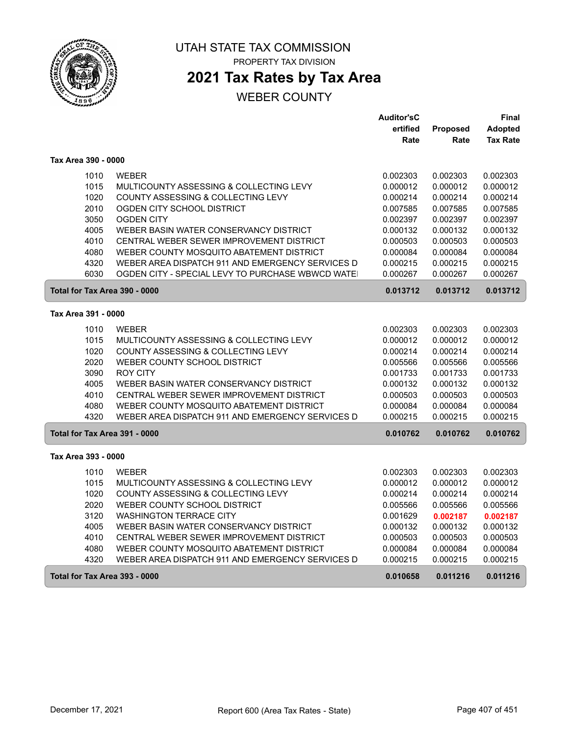

## **2021 Tax Rates by Tax Area**

|                               |                                                  | <b>Auditor'sC</b> |          | Final           |
|-------------------------------|--------------------------------------------------|-------------------|----------|-----------------|
|                               |                                                  | ertified          | Proposed | <b>Adopted</b>  |
|                               |                                                  | Rate              | Rate     | <b>Tax Rate</b> |
| Tax Area 390 - 0000           |                                                  |                   |          |                 |
| 1010                          | <b>WEBER</b>                                     | 0.002303          | 0.002303 | 0.002303        |
| 1015                          | MULTICOUNTY ASSESSING & COLLECTING LEVY          | 0.000012          | 0.000012 | 0.000012        |
| 1020                          | COUNTY ASSESSING & COLLECTING LEVY               | 0.000214          | 0.000214 | 0.000214        |
| 2010                          | OGDEN CITY SCHOOL DISTRICT                       | 0.007585          | 0.007585 | 0.007585        |
| 3050                          | <b>OGDEN CITY</b>                                | 0.002397          | 0.002397 | 0.002397        |
| 4005                          | WEBER BASIN WATER CONSERVANCY DISTRICT           | 0.000132          | 0.000132 | 0.000132        |
| 4010                          | CENTRAL WEBER SEWER IMPROVEMENT DISTRICT         | 0.000503          | 0.000503 | 0.000503        |
| 4080                          | WEBER COUNTY MOSQUITO ABATEMENT DISTRICT         | 0.000084          | 0.000084 | 0.000084        |
| 4320                          | WEBER AREA DISPATCH 911 AND EMERGENCY SERVICES D | 0.000215          | 0.000215 | 0.000215        |
| 6030                          | OGDEN CITY - SPECIAL LEVY TO PURCHASE WBWCD WATE | 0.000267          | 0.000267 | 0.000267        |
| Total for Tax Area 390 - 0000 |                                                  | 0.013712          | 0.013712 | 0.013712        |
| Tax Area 391 - 0000           |                                                  |                   |          |                 |
| 1010                          | <b>WEBER</b>                                     | 0.002303          | 0.002303 | 0.002303        |
| 1015                          | MULTICOUNTY ASSESSING & COLLECTING LEVY          | 0.000012          | 0.000012 | 0.000012        |
| 1020                          | COUNTY ASSESSING & COLLECTING LEVY               | 0.000214          | 0.000214 | 0.000214        |
| 2020                          | WEBER COUNTY SCHOOL DISTRICT                     | 0.005566          | 0.005566 | 0.005566        |
| 3090                          | <b>ROY CITY</b>                                  | 0.001733          | 0.001733 | 0.001733        |
| 4005                          | WEBER BASIN WATER CONSERVANCY DISTRICT           | 0.000132          | 0.000132 | 0.000132        |
| 4010                          | CENTRAL WEBER SEWER IMPROVEMENT DISTRICT         | 0.000503          | 0.000503 | 0.000503        |
| 4080                          | WEBER COUNTY MOSQUITO ABATEMENT DISTRICT         | 0.000084          | 0.000084 | 0.000084        |
| 4320                          | WEBER AREA DISPATCH 911 AND EMERGENCY SERVICES D | 0.000215          | 0.000215 | 0.000215        |
| Total for Tax Area 391 - 0000 |                                                  | 0.010762          | 0.010762 | 0.010762        |
| Tax Area 393 - 0000           |                                                  |                   |          |                 |
| 1010                          | <b>WEBER</b>                                     | 0.002303          | 0.002303 | 0.002303        |
| 1015                          | MULTICOUNTY ASSESSING & COLLECTING LEVY          | 0.000012          | 0.000012 | 0.000012        |
| 1020                          | COUNTY ASSESSING & COLLECTING LEVY               | 0.000214          | 0.000214 | 0.000214        |
| 2020                          | WEBER COUNTY SCHOOL DISTRICT                     | 0.005566          | 0.005566 | 0.005566        |
| 3120                          | <b>WASHINGTON TERRACE CITY</b>                   | 0.001629          | 0.002187 | 0.002187        |
| 4005                          | WEBER BASIN WATER CONSERVANCY DISTRICT           | 0.000132          | 0.000132 | 0.000132        |
| 4010                          | CENTRAL WEBER SEWER IMPROVEMENT DISTRICT         | 0.000503          | 0.000503 | 0.000503        |
| 4080                          | WEBER COUNTY MOSQUITO ABATEMENT DISTRICT         | 0.000084          | 0.000084 | 0.000084        |
| 4320                          | WEBER AREA DISPATCH 911 AND EMERGENCY SERVICES D | 0.000215          | 0.000215 | 0.000215        |
| Total for Tax Area 393 - 0000 |                                                  | 0.010658          | 0.011216 | 0.011216        |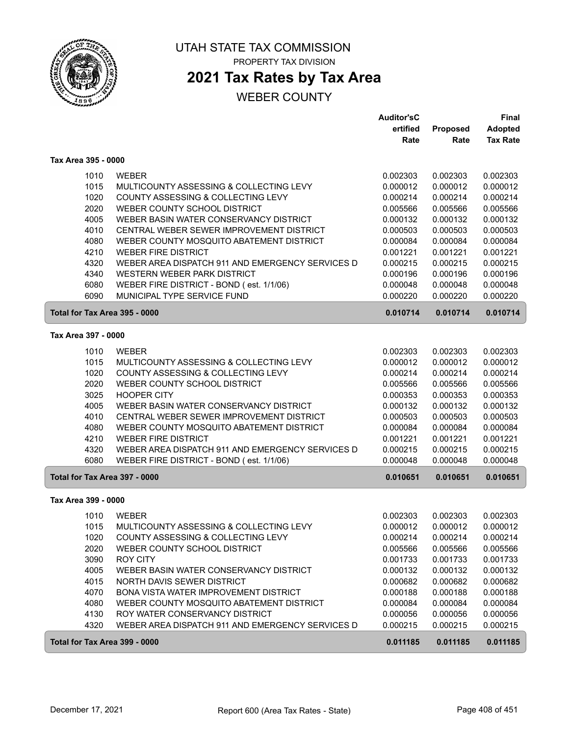

# **2021 Tax Rates by Tax Area**

|                               |                                                  | <b>Auditor'sC</b> |                 | <b>Final</b>    |
|-------------------------------|--------------------------------------------------|-------------------|-----------------|-----------------|
|                               |                                                  | ertified          | <b>Proposed</b> | <b>Adopted</b>  |
|                               |                                                  | Rate              | Rate            | <b>Tax Rate</b> |
| Tax Area 395 - 0000           |                                                  |                   |                 |                 |
| 1010                          | <b>WEBER</b>                                     | 0.002303          | 0.002303        | 0.002303        |
| 1015                          | MULTICOUNTY ASSESSING & COLLECTING LEVY          | 0.000012          | 0.000012        | 0.000012        |
| 1020                          | COUNTY ASSESSING & COLLECTING LEVY               | 0.000214          | 0.000214        | 0.000214        |
| 2020                          | WEBER COUNTY SCHOOL DISTRICT                     | 0.005566          | 0.005566        | 0.005566        |
| 4005                          | WEBER BASIN WATER CONSERVANCY DISTRICT           | 0.000132          | 0.000132        | 0.000132        |
| 4010                          | CENTRAL WEBER SEWER IMPROVEMENT DISTRICT         | 0.000503          | 0.000503        | 0.000503        |
| 4080                          | WEBER COUNTY MOSQUITO ABATEMENT DISTRICT         | 0.000084          | 0.000084        | 0.000084        |
| 4210                          | <b>WEBER FIRE DISTRICT</b>                       | 0.001221          | 0.001221        | 0.001221        |
| 4320                          | WEBER AREA DISPATCH 911 AND EMERGENCY SERVICES D | 0.000215          | 0.000215        | 0.000215        |
| 4340                          | WESTERN WEBER PARK DISTRICT                      | 0.000196          | 0.000196        | 0.000196        |
| 6080                          | WEBER FIRE DISTRICT - BOND (est. 1/1/06)         | 0.000048          | 0.000048        | 0.000048        |
| 6090                          | MUNICIPAL TYPE SERVICE FUND                      | 0.000220          | 0.000220        | 0.000220        |
| Total for Tax Area 395 - 0000 |                                                  | 0.010714          | 0.010714        | 0.010714        |
| Tax Area 397 - 0000           |                                                  |                   |                 |                 |
| 1010                          | <b>WEBER</b>                                     | 0.002303          | 0.002303        | 0.002303        |
| 1015                          | MULTICOUNTY ASSESSING & COLLECTING LEVY          | 0.000012          | 0.000012        | 0.000012        |
| 1020                          | COUNTY ASSESSING & COLLECTING LEVY               | 0.000214          | 0.000214        | 0.000214        |
| 2020                          | WEBER COUNTY SCHOOL DISTRICT                     | 0.005566          | 0.005566        | 0.005566        |
| 3025                          | <b>HOOPER CITY</b>                               | 0.000353          | 0.000353        | 0.000353        |
| 4005                          | WEBER BASIN WATER CONSERVANCY DISTRICT           | 0.000132          | 0.000132        | 0.000132        |
| 4010                          | CENTRAL WEBER SEWER IMPROVEMENT DISTRICT         | 0.000503          | 0.000503        | 0.000503        |
| 4080                          | WEBER COUNTY MOSQUITO ABATEMENT DISTRICT         | 0.000084          | 0.000084        | 0.000084        |
| 4210                          | <b>WEBER FIRE DISTRICT</b>                       | 0.001221          | 0.001221        | 0.001221        |
| 4320                          | WEBER AREA DISPATCH 911 AND EMERGENCY SERVICES D | 0.000215          | 0.000215        | 0.000215        |
| 6080                          | WEBER FIRE DISTRICT - BOND (est. 1/1/06)         | 0.000048          | 0.000048        | 0.000048        |
| Total for Tax Area 397 - 0000 |                                                  | 0.010651          | 0.010651        | 0.010651        |
| Tax Area 399 - 0000           |                                                  |                   |                 |                 |
| 1010                          | <b>WEBER</b>                                     | 0.002303          | 0.002303        | 0.002303        |
| 1015                          | MULTICOUNTY ASSESSING & COLLECTING LEVY          | 0.000012          | 0.000012        | 0.000012        |
| 1020                          | COUNTY ASSESSING & COLLECTING LEVY               | 0.000214          | 0.000214        | 0.000214        |
| 2020                          | WEBER COUNTY SCHOOL DISTRICT                     | 0.005566          | 0.005566        | 0.005566        |
| 3090                          | ROY CITY                                         | 0.001733          | 0.001733        | 0.001733        |
| 4005                          | WEBER BASIN WATER CONSERVANCY DISTRICT           | 0.000132          | 0.000132        | 0.000132        |
| 4015                          | NORTH DAVIS SEWER DISTRICT                       | 0.000682          | 0.000682        | 0.000682        |
| 4070                          | BONA VISTA WATER IMPROVEMENT DISTRICT            | 0.000188          | 0.000188        | 0.000188        |
| 4080                          | WEBER COUNTY MOSQUITO ABATEMENT DISTRICT         | 0.000084          | 0.000084        | 0.000084        |
| 4130                          | ROY WATER CONSERVANCY DISTRICT                   | 0.000056          | 0.000056        | 0.000056        |
| 4320                          | WEBER AREA DISPATCH 911 AND EMERGENCY SERVICES D | 0.000215          | 0.000215        | 0.000215        |
| Total for Tax Area 399 - 0000 |                                                  | 0.011185          | 0.011185        | 0.011185        |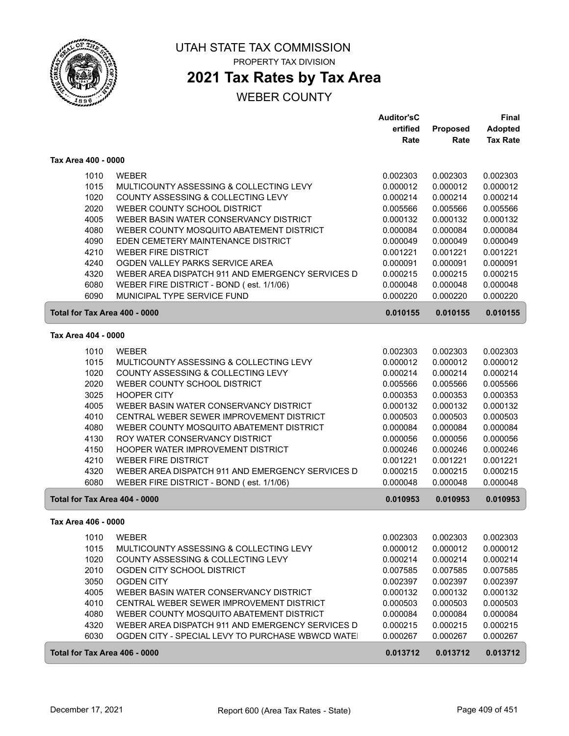

## **2021 Tax Rates by Tax Area**

|                               |                                                             | <b>Auditor'sC</b>    |                      | <b>Final</b>         |
|-------------------------------|-------------------------------------------------------------|----------------------|----------------------|----------------------|
|                               |                                                             | ertified             | Proposed             | Adopted              |
|                               |                                                             | Rate                 | Rate                 | <b>Tax Rate</b>      |
| Tax Area 400 - 0000           |                                                             |                      |                      |                      |
| 1010                          | <b>WEBER</b>                                                | 0.002303             | 0.002303             | 0.002303             |
| 1015                          | MULTICOUNTY ASSESSING & COLLECTING LEVY                     | 0.000012             | 0.000012             | 0.000012             |
| 1020                          | COUNTY ASSESSING & COLLECTING LEVY                          | 0.000214             | 0.000214             | 0.000214             |
| 2020                          | WEBER COUNTY SCHOOL DISTRICT                                | 0.005566             | 0.005566             | 0.005566             |
| 4005                          | WEBER BASIN WATER CONSERVANCY DISTRICT                      | 0.000132             | 0.000132             | 0.000132             |
| 4080                          | WEBER COUNTY MOSQUITO ABATEMENT DISTRICT                    | 0.000084             | 0.000084             | 0.000084             |
| 4090                          | EDEN CEMETERY MAINTENANCE DISTRICT                          | 0.000049             | 0.000049             | 0.000049             |
| 4210                          | <b>WEBER FIRE DISTRICT</b>                                  | 0.001221             | 0.001221             | 0.001221             |
| 4240                          | OGDEN VALLEY PARKS SERVICE AREA                             | 0.000091             | 0.000091             | 0.000091             |
| 4320                          | WEBER AREA DISPATCH 911 AND EMERGENCY SERVICES D            | 0.000215             | 0.000215             | 0.000215             |
| 6080                          | WEBER FIRE DISTRICT - BOND (est. 1/1/06)                    | 0.000048             | 0.000048             | 0.000048             |
| 6090                          | MUNICIPAL TYPE SERVICE FUND                                 | 0.000220             | 0.000220             | 0.000220             |
| Total for Tax Area 400 - 0000 |                                                             | 0.010155             | 0.010155             | 0.010155             |
|                               |                                                             |                      |                      |                      |
| Tax Area 404 - 0000           |                                                             |                      |                      |                      |
| 1010                          | <b>WEBER</b>                                                | 0.002303             | 0.002303             | 0.002303             |
| 1015                          | MULTICOUNTY ASSESSING & COLLECTING LEVY                     | 0.000012             | 0.000012             | 0.000012             |
| 1020                          | COUNTY ASSESSING & COLLECTING LEVY                          | 0.000214             | 0.000214             | 0.000214             |
| 2020                          | WEBER COUNTY SCHOOL DISTRICT                                | 0.005566             | 0.005566             | 0.005566             |
| 3025                          | <b>HOOPER CITY</b>                                          | 0.000353             | 0.000353             | 0.000353             |
| 4005                          | WEBER BASIN WATER CONSERVANCY DISTRICT                      | 0.000132             | 0.000132             | 0.000132             |
| 4010                          | CENTRAL WEBER SEWER IMPROVEMENT DISTRICT                    | 0.000503             | 0.000503             | 0.000503             |
| 4080                          | WEBER COUNTY MOSQUITO ABATEMENT DISTRICT                    | 0.000084             | 0.000084             | 0.000084             |
| 4130                          | ROY WATER CONSERVANCY DISTRICT                              | 0.000056             | 0.000056             | 0.000056             |
| 4150                          | HOOPER WATER IMPROVEMENT DISTRICT                           | 0.000246             | 0.000246             | 0.000246             |
| 4210                          | <b>WEBER FIRE DISTRICT</b>                                  | 0.001221             | 0.001221             | 0.001221             |
| 4320                          | WEBER AREA DISPATCH 911 AND EMERGENCY SERVICES D            | 0.000215             | 0.000215             | 0.000215             |
| 6080                          | WEBER FIRE DISTRICT - BOND (est. 1/1/06)                    | 0.000048             | 0.000048             | 0.000048             |
| Total for Tax Area 404 - 0000 |                                                             | 0.010953             | 0.010953             | 0.010953             |
| Tax Area 406 - 0000           |                                                             |                      |                      |                      |
|                               | <b>WEBER</b>                                                |                      |                      |                      |
| 1010<br>1015                  | MULTICOUNTY ASSESSING & COLLECTING LEVY                     | 0.002303             | 0.002303             | 0.002303             |
| 1020                          | COUNTY ASSESSING & COLLECTING LEVY                          | 0.000012             | 0.000012<br>0.000214 | 0.000012<br>0.000214 |
| 2010                          |                                                             | 0.000214<br>0.007585 |                      |                      |
|                               | OGDEN CITY SCHOOL DISTRICT                                  |                      | 0.007585             | 0.007585             |
| 3050<br>4005                  | <b>OGDEN CITY</b><br>WEBER BASIN WATER CONSERVANCY DISTRICT | 0.002397             | 0.002397             | 0.002397             |
|                               |                                                             | 0.000132             | 0.000132             | 0.000132<br>0.000503 |
| 4010                          | CENTRAL WEBER SEWER IMPROVEMENT DISTRICT                    | 0.000503<br>0.000084 | 0.000503             |                      |
| 4080                          | WEBER COUNTY MOSQUITO ABATEMENT DISTRICT                    |                      | 0.000084             | 0.000084             |
| 4320<br>6030                  | WEBER AREA DISPATCH 911 AND EMERGENCY SERVICES D            | 0.000215             | 0.000215             | 0.000215             |
|                               | OGDEN CITY - SPECIAL LEVY TO PURCHASE WBWCD WATE!           | 0.000267             | 0.000267             | 0.000267             |
| Total for Tax Area 406 - 0000 |                                                             | 0.013712             | 0.013712             | 0.013712             |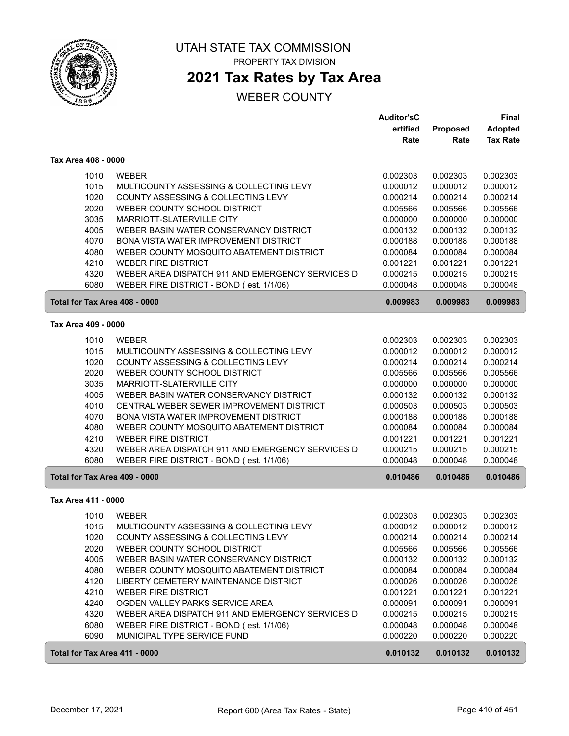

### **2021 Tax Rates by Tax Area**

|                               |                                                  | <b>Auditor'sC</b> |                 | Final           |
|-------------------------------|--------------------------------------------------|-------------------|-----------------|-----------------|
|                               |                                                  | ertified          | <b>Proposed</b> | <b>Adopted</b>  |
|                               |                                                  | Rate              | Rate            | <b>Tax Rate</b> |
| Tax Area 408 - 0000           |                                                  |                   |                 |                 |
| 1010                          | <b>WEBER</b>                                     | 0.002303          | 0.002303        | 0.002303        |
| 1015                          | MULTICOUNTY ASSESSING & COLLECTING LEVY          | 0.000012          | 0.000012        | 0.000012        |
| 1020                          | COUNTY ASSESSING & COLLECTING LEVY               | 0.000214          | 0.000214        | 0.000214        |
| 2020                          | WEBER COUNTY SCHOOL DISTRICT                     | 0.005566          | 0.005566        | 0.005566        |
| 3035                          | MARRIOTT-SLATERVILLE CITY                        | 0.000000          | 0.000000        | 0.000000        |
| 4005                          | WEBER BASIN WATER CONSERVANCY DISTRICT           | 0.000132          | 0.000132        | 0.000132        |
| 4070                          | <b>BONA VISTA WATER IMPROVEMENT DISTRICT</b>     | 0.000188          | 0.000188        | 0.000188        |
| 4080                          | WEBER COUNTY MOSQUITO ABATEMENT DISTRICT         | 0.000084          | 0.000084        | 0.000084        |
| 4210                          | <b>WEBER FIRE DISTRICT</b>                       | 0.001221          | 0.001221        | 0.001221        |
| 4320                          | WEBER AREA DISPATCH 911 AND EMERGENCY SERVICES D | 0.000215          | 0.000215        | 0.000215        |
| 6080                          | WEBER FIRE DISTRICT - BOND (est. 1/1/06)         | 0.000048          | 0.000048        | 0.000048        |
| Total for Tax Area 408 - 0000 |                                                  | 0.009983          | 0.009983        | 0.009983        |
|                               |                                                  |                   |                 |                 |
| Tax Area 409 - 0000           |                                                  |                   |                 |                 |
| 1010                          | <b>WEBER</b>                                     | 0.002303          | 0.002303        | 0.002303        |
| 1015                          | MULTICOUNTY ASSESSING & COLLECTING LEVY          | 0.000012          | 0.000012        | 0.000012        |
| 1020                          | COUNTY ASSESSING & COLLECTING LEVY               | 0.000214          | 0.000214        | 0.000214        |
| 2020                          | WEBER COUNTY SCHOOL DISTRICT                     | 0.005566          | 0.005566        | 0.005566        |
| 3035                          | MARRIOTT-SLATERVILLE CITY                        | 0.000000          | 0.000000        | 0.000000        |
| 4005                          | WEBER BASIN WATER CONSERVANCY DISTRICT           | 0.000132          | 0.000132        | 0.000132        |
| 4010                          | CENTRAL WEBER SEWER IMPROVEMENT DISTRICT         | 0.000503          | 0.000503        | 0.000503        |
| 4070                          | <b>BONA VISTA WATER IMPROVEMENT DISTRICT</b>     | 0.000188          | 0.000188        | 0.000188        |
| 4080                          | WEBER COUNTY MOSQUITO ABATEMENT DISTRICT         | 0.000084          | 0.000084        | 0.000084        |
| 4210                          | <b>WEBER FIRE DISTRICT</b>                       | 0.001221          | 0.001221        | 0.001221        |
| 4320                          | WEBER AREA DISPATCH 911 AND EMERGENCY SERVICES D | 0.000215          | 0.000215        | 0.000215        |
| 6080                          | WEBER FIRE DISTRICT - BOND (est. 1/1/06)         | 0.000048          | 0.000048        | 0.000048        |
| Total for Tax Area 409 - 0000 |                                                  | 0.010486          | 0.010486        | 0.010486        |
| Tax Area 411 - 0000           |                                                  |                   |                 |                 |
| 1010                          | <b>WEBER</b>                                     | 0.002303          | 0.002303        | 0.002303        |
| 1015                          | MULTICOUNTY ASSESSING & COLLECTING LEVY          | 0.000012          | 0.000012        | 0.000012        |
| 1020                          | COUNTY ASSESSING & COLLECTING LEVY               | 0.000214          | 0.000214        | 0.000214        |
| 2020                          | WEBER COUNTY SCHOOL DISTRICT                     | 0.005566          | 0.005566        | 0.005566        |
| 4005                          | WEBER BASIN WATER CONSERVANCY DISTRICT           | 0.000132          | 0.000132        | 0.000132        |
| 4080                          | WEBER COUNTY MOSQUITO ABATEMENT DISTRICT         | 0.000084          | 0.000084        | 0.000084        |
| 4120                          | LIBERTY CEMETERY MAINTENANCE DISTRICT            | 0.000026          | 0.000026        | 0.000026        |
| 4210                          | <b>WEBER FIRE DISTRICT</b>                       | 0.001221          | 0.001221        | 0.001221        |
| 4240                          | OGDEN VALLEY PARKS SERVICE AREA                  | 0.000091          | 0.000091        | 0.000091        |
| 4320                          | WEBER AREA DISPATCH 911 AND EMERGENCY SERVICES D | 0.000215          | 0.000215        | 0.000215        |
| 6080                          | WEBER FIRE DISTRICT - BOND (est. 1/1/06)         | 0.000048          | 0.000048        | 0.000048        |
| 6090                          | MUNICIPAL TYPE SERVICE FUND                      | 0.000220          | 0.000220        | 0.000220        |
| Total for Tax Area 411 - 0000 |                                                  | 0.010132          | 0.010132        | 0.010132        |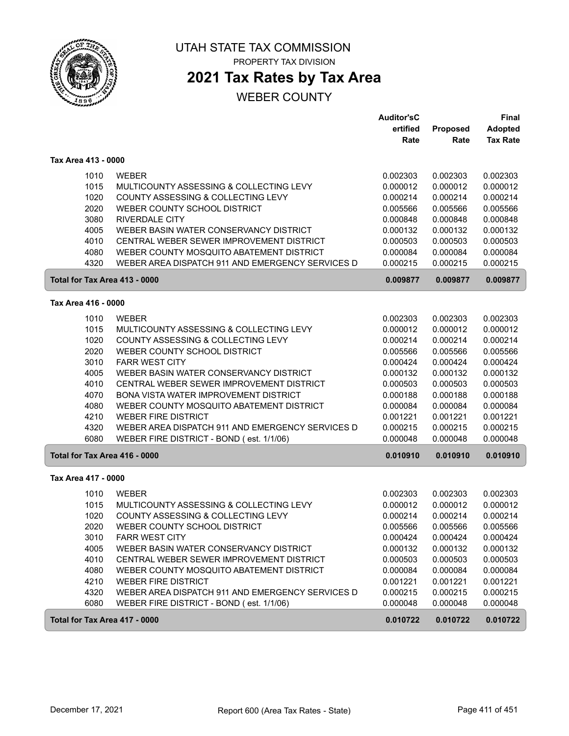

**2021 Tax Rates by Tax Area**

#### WEBER COUNTY

|                               |                                                  | <b>Auditor'sC</b> |                 | Final           |
|-------------------------------|--------------------------------------------------|-------------------|-----------------|-----------------|
|                               |                                                  | ertified          | <b>Proposed</b> | <b>Adopted</b>  |
|                               |                                                  | Rate              | Rate            | <b>Tax Rate</b> |
| Tax Area 413 - 0000           |                                                  |                   |                 |                 |
| 1010                          | <b>WEBER</b>                                     | 0.002303          | 0.002303        | 0.002303        |
| 1015                          | MULTICOUNTY ASSESSING & COLLECTING LEVY          | 0.000012          | 0.000012        | 0.000012        |
| 1020                          | COUNTY ASSESSING & COLLECTING LEVY               | 0.000214          | 0.000214        | 0.000214        |
| 2020                          | WEBER COUNTY SCHOOL DISTRICT                     | 0.005566          | 0.005566        | 0.005566        |
| 3080                          | <b>RIVERDALE CITY</b>                            | 0.000848          | 0.000848        | 0.000848        |
| 4005                          | WEBER BASIN WATER CONSERVANCY DISTRICT           | 0.000132          | 0.000132        | 0.000132        |
| 4010                          | CENTRAL WEBER SEWER IMPROVEMENT DISTRICT         | 0.000503          | 0.000503        | 0.000503        |
| 4080                          | WEBER COUNTY MOSQUITO ABATEMENT DISTRICT         | 0.000084          | 0.000084        | 0.000084        |
| 4320                          | WEBER AREA DISPATCH 911 AND EMERGENCY SERVICES D | 0.000215          | 0.000215        | 0.000215        |
| Total for Tax Area 413 - 0000 |                                                  | 0.009877          | 0.009877        | 0.009877        |
| Tax Area 416 - 0000           |                                                  |                   |                 |                 |
| 1010                          | <b>WEBER</b>                                     | 0.002303          | 0.002303        | 0.002303        |
| 1015                          | MULTICOUNTY ASSESSING & COLLECTING LEVY          | 0.000012          | 0.000012        | 0.000012        |
| 1020                          | COUNTY ASSESSING & COLLECTING LEVY               | 0.000214          | 0.000214        | 0.000214        |
| 2020                          | WEBER COUNTY SCHOOL DISTRICT                     | 0.005566          | 0.005566        | 0.005566        |
| 3010                          | <b>FARR WEST CITY</b>                            | 0.000424          | 0.000424        | 0.000424        |
| 4005                          | WEBER BASIN WATER CONSERVANCY DISTRICT           | 0.000132          | 0.000132        | 0.000132        |
| 4010                          | CENTRAL WEBER SEWER IMPROVEMENT DISTRICT         | 0.000503          | 0.000503        | 0.000503        |
| 4070                          | BONA VISTA WATER IMPROVEMENT DISTRICT            | 0.000188          | 0.000188        | 0.000188        |
| 4080                          | WEBER COUNTY MOSQUITO ABATEMENT DISTRICT         | 0.000084          | 0.000084        | 0.000084        |
| 4210                          | <b>WEBER FIRE DISTRICT</b>                       | 0.001221          | 0.001221        | 0.001221        |
| 4320                          | WEBER AREA DISPATCH 911 AND EMERGENCY SERVICES D | 0.000215          | 0.000215        | 0.000215        |
| 6080                          | WEBER FIRE DISTRICT - BOND (est. 1/1/06)         | 0.000048          | 0.000048        | 0.000048        |
| Total for Tax Area 416 - 0000 |                                                  | 0.010910          | 0.010910        | 0.010910        |
| Tax Area 417 - 0000           |                                                  |                   |                 |                 |
| 1010                          | <b>WEBER</b>                                     | 0.002303          | 0.002303        | 0.002303        |
| 1015                          | MULTICOUNTY ASSESSING & COLLECTING LEVY          | 0.000012          | 0.000012        | 0.000012        |
| 1020                          | COUNTY ASSESSING & COLLECTING LEVY               | 0.000214          | 0.000214        | 0.000214        |
| 2020                          | WEBER COUNTY SCHOOL DISTRICT                     | 0.005566          | 0.005566        | 0.005566        |
| 3010                          | <b>FARR WEST CITY</b>                            | 0.000424          | 0.000424        | 0.000424        |
| 4005                          | WEBER BASIN WATER CONSERVANCY DISTRICT           | 0.000132          | 0.000132        | 0.000132        |
| 4010                          | CENTRAL WEBER SEWER IMPROVEMENT DISTRICT         | 0.000503          | 0.000503        | 0.000503        |
| 4080                          | WEBER COUNTY MOSQUITO ABATEMENT DISTRICT         | 0.000084          | 0.000084        | 0.000084        |
| 4210                          | <b>WEBER FIRE DISTRICT</b>                       | 0.001221          | 0.001221        | 0.001221        |
| 4320                          | WEBER AREA DISPATCH 911 AND EMERGENCY SERVICES D | 0.000215          | 0.000215        | 0.000215        |
| 6080                          | WEBER FIRE DISTRICT - BOND (est. 1/1/06)         | 0.000048          | 0.000048        | 0.000048        |
| Total for Tax Area 417 - 0000 |                                                  | 0.010722          | 0.010722        | 0.010722        |

ſ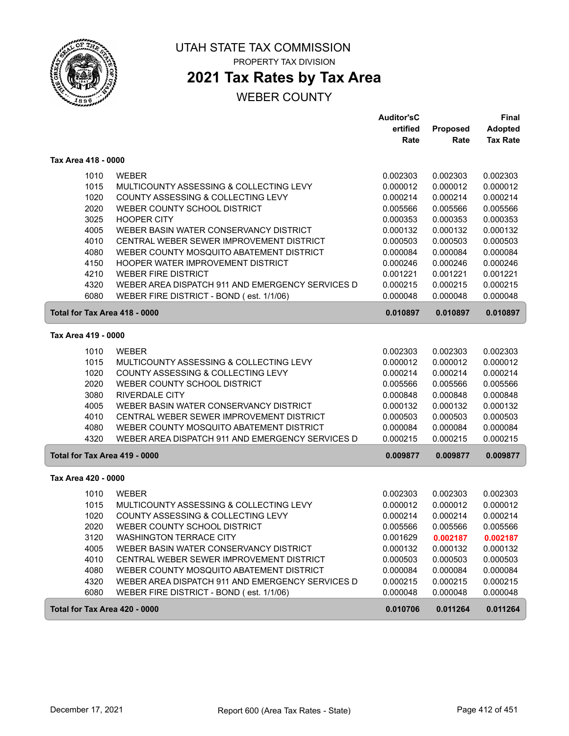

# **2021 Tax Rates by Tax Area**

|                               |                                                                          | <b>Auditor'sC</b>    |                      | Final                |
|-------------------------------|--------------------------------------------------------------------------|----------------------|----------------------|----------------------|
|                               |                                                                          | ertified             | Proposed             | <b>Adopted</b>       |
|                               |                                                                          | Rate                 | Rate                 | <b>Tax Rate</b>      |
| Tax Area 418 - 0000           |                                                                          |                      |                      |                      |
| 1010                          | <b>WEBER</b>                                                             | 0.002303             | 0.002303             | 0.002303             |
| 1015                          | MULTICOUNTY ASSESSING & COLLECTING LEVY                                  | 0.000012             | 0.000012             | 0.000012             |
| 1020                          | COUNTY ASSESSING & COLLECTING LEVY                                       | 0.000214             | 0.000214             | 0.000214             |
| 2020                          | WEBER COUNTY SCHOOL DISTRICT                                             | 0.005566             | 0.005566             | 0.005566             |
| 3025                          | <b>HOOPER CITY</b>                                                       | 0.000353             | 0.000353             | 0.000353             |
| 4005                          | WEBER BASIN WATER CONSERVANCY DISTRICT                                   | 0.000132             | 0.000132             | 0.000132             |
| 4010                          | CENTRAL WEBER SEWER IMPROVEMENT DISTRICT                                 | 0.000503             | 0.000503             | 0.000503             |
| 4080                          | WEBER COUNTY MOSQUITO ABATEMENT DISTRICT                                 | 0.000084             | 0.000084             | 0.000084             |
| 4150                          | <b>HOOPER WATER IMPROVEMENT DISTRICT</b>                                 | 0.000246             | 0.000246             | 0.000246             |
| 4210                          | <b>WEBER FIRE DISTRICT</b>                                               | 0.001221             | 0.001221             | 0.001221             |
| 4320                          | WEBER AREA DISPATCH 911 AND EMERGENCY SERVICES D                         | 0.000215             | 0.000215             | 0.000215             |
| 6080                          | WEBER FIRE DISTRICT - BOND (est. 1/1/06)                                 | 0.000048             | 0.000048             | 0.000048             |
| Total for Tax Area 418 - 0000 |                                                                          | 0.010897             | 0.010897             | 0.010897             |
| Tax Area 419 - 0000           |                                                                          |                      |                      |                      |
| 1010                          | <b>WEBER</b>                                                             | 0.002303             | 0.002303             | 0.002303             |
| 1015                          | MULTICOUNTY ASSESSING & COLLECTING LEVY                                  | 0.000012             | 0.000012             | 0.000012             |
| 1020                          | COUNTY ASSESSING & COLLECTING LEVY                                       | 0.000214             | 0.000214             | 0.000214             |
| 2020                          | WEBER COUNTY SCHOOL DISTRICT                                             | 0.005566             | 0.005566             | 0.005566             |
| 3080                          | <b>RIVERDALE CITY</b>                                                    | 0.000848             | 0.000848             | 0.000848             |
| 4005                          | WEBER BASIN WATER CONSERVANCY DISTRICT                                   | 0.000132             | 0.000132             | 0.000132             |
| 4010                          | CENTRAL WEBER SEWER IMPROVEMENT DISTRICT                                 | 0.000503             | 0.000503             | 0.000503             |
| 4080                          | WEBER COUNTY MOSQUITO ABATEMENT DISTRICT                                 | 0.000084             | 0.000084             | 0.000084             |
| 4320                          | WEBER AREA DISPATCH 911 AND EMERGENCY SERVICES D                         | 0.000215             | 0.000215             | 0.000215             |
| Total for Tax Area 419 - 0000 |                                                                          | 0.009877             | 0.009877             | 0.009877             |
| Tax Area 420 - 0000           |                                                                          |                      |                      |                      |
| 1010                          | <b>WEBER</b>                                                             | 0.002303             | 0.002303             | 0.002303             |
|                               | MULTICOUNTY ASSESSING & COLLECTING LEVY                                  |                      | 0.000012             |                      |
| 1015<br>1020                  | COUNTY ASSESSING & COLLECTING LEVY                                       | 0.000012<br>0.000214 | 0.000214             | 0.000012<br>0.000214 |
| 2020                          | WEBER COUNTY SCHOOL DISTRICT                                             | 0.005566             | 0.005566             | 0.005566             |
|                               |                                                                          |                      |                      |                      |
| 3120<br>4005                  | <b>WASHINGTON TERRACE CITY</b><br>WEBER BASIN WATER CONSERVANCY DISTRICT | 0.001629<br>0.000132 | 0.002187<br>0.000132 | 0.002187<br>0.000132 |
| 4010                          | CENTRAL WEBER SEWER IMPROVEMENT DISTRICT                                 | 0.000503             | 0.000503             | 0.000503             |
| 4080                          | WEBER COUNTY MOSQUITO ABATEMENT DISTRICT                                 | 0.000084             | 0.000084             | 0.000084             |
| 4320                          | WEBER AREA DISPATCH 911 AND EMERGENCY SERVICES D                         | 0.000215             | 0.000215             | 0.000215             |
| 6080                          | WEBER FIRE DISTRICT - BOND (est. 1/1/06)                                 | 0.000048             | 0.000048             | 0.000048             |
|                               |                                                                          |                      |                      |                      |
| Total for Tax Area 420 - 0000 |                                                                          | 0.010706             | 0.011264             | 0.011264             |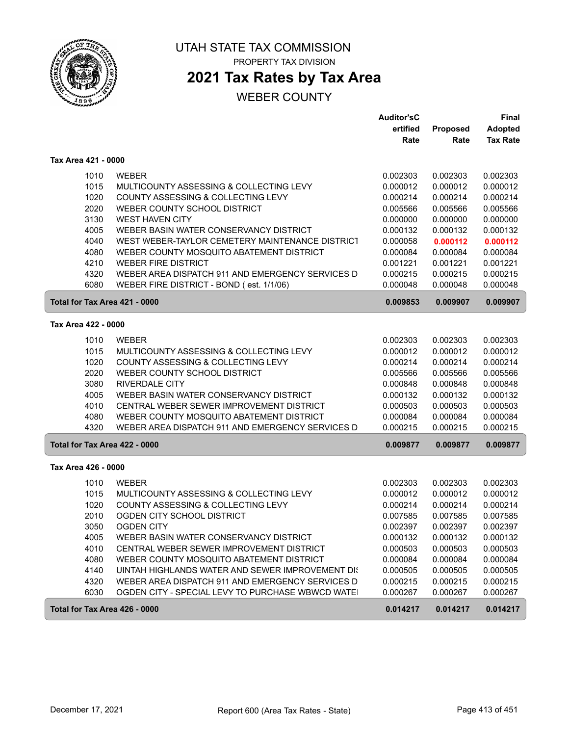

#### UTAH STATE TAX COMMISSION PROPERTY TAX DIVISION

# **2021 Tax Rates by Tax Area**

|                               |                                                   | <b>Auditor'sC</b> |          | <b>Final</b>    |
|-------------------------------|---------------------------------------------------|-------------------|----------|-----------------|
|                               |                                                   | ertified          | Proposed | <b>Adopted</b>  |
|                               |                                                   | Rate              | Rate     | <b>Tax Rate</b> |
| Tax Area 421 - 0000           |                                                   |                   |          |                 |
| 1010                          | <b>WEBER</b>                                      | 0.002303          | 0.002303 | 0.002303        |
| 1015                          | MULTICOUNTY ASSESSING & COLLECTING LEVY           | 0.000012          | 0.000012 | 0.000012        |
| 1020                          | <b>COUNTY ASSESSING &amp; COLLECTING LEVY</b>     | 0.000214          | 0.000214 | 0.000214        |
| 2020                          | WEBER COUNTY SCHOOL DISTRICT                      | 0.005566          | 0.005566 | 0.005566        |
| 3130                          | <b>WEST HAVEN CITY</b>                            | 0.000000          | 0.000000 | 0.000000        |
| 4005                          | WEBER BASIN WATER CONSERVANCY DISTRICT            | 0.000132          | 0.000132 | 0.000132        |
| 4040                          | WEST WEBER-TAYLOR CEMETERY MAINTENANCE DISTRICT   | 0.000058          | 0.000112 | 0.000112        |
| 4080                          | WEBER COUNTY MOSQUITO ABATEMENT DISTRICT          | 0.000084          | 0.000084 | 0.000084        |
| 4210                          | <b>WEBER FIRE DISTRICT</b>                        | 0.001221          | 0.001221 | 0.001221        |
| 4320                          | WEBER AREA DISPATCH 911 AND EMERGENCY SERVICES D  | 0.000215          | 0.000215 | 0.000215        |
| 6080                          | WEBER FIRE DISTRICT - BOND (est. 1/1/06)          | 0.000048          | 0.000048 | 0.000048        |
| Total for Tax Area 421 - 0000 |                                                   | 0.009853          | 0.009907 | 0.009907        |
| Tax Area 422 - 0000           |                                                   |                   |          |                 |
| 1010                          | <b>WEBER</b>                                      | 0.002303          | 0.002303 | 0.002303        |
| 1015                          | MULTICOUNTY ASSESSING & COLLECTING LEVY           | 0.000012          | 0.000012 | 0.000012        |
| 1020                          | COUNTY ASSESSING & COLLECTING LEVY                | 0.000214          | 0.000214 | 0.000214        |
| 2020                          | WEBER COUNTY SCHOOL DISTRICT                      | 0.005566          | 0.005566 | 0.005566        |
| 3080                          | <b>RIVERDALE CITY</b>                             | 0.000848          | 0.000848 | 0.000848        |
| 4005                          | WEBER BASIN WATER CONSERVANCY DISTRICT            | 0.000132          | 0.000132 | 0.000132        |
| 4010                          | CENTRAL WEBER SEWER IMPROVEMENT DISTRICT          | 0.000503          | 0.000503 | 0.000503        |
| 4080                          | WEBER COUNTY MOSQUITO ABATEMENT DISTRICT          | 0.000084          | 0.000084 | 0.000084        |
| 4320                          | WEBER AREA DISPATCH 911 AND EMERGENCY SERVICES D  | 0.000215          | 0.000215 | 0.000215        |
| Total for Tax Area 422 - 0000 |                                                   | 0.009877          | 0.009877 | 0.009877        |
| Tax Area 426 - 0000           |                                                   |                   |          |                 |
| 1010                          | <b>WEBER</b>                                      | 0.002303          | 0.002303 | 0.002303        |
| 1015                          | MULTICOUNTY ASSESSING & COLLECTING LEVY           | 0.000012          | 0.000012 | 0.000012        |
| 1020                          | COUNTY ASSESSING & COLLECTING LEVY                | 0.000214          | 0.000214 | 0.000214        |
| 2010                          | OGDEN CITY SCHOOL DISTRICT                        | 0.007585          | 0.007585 | 0.007585        |
| 3050                          | <b>OGDEN CITY</b>                                 | 0.002397          | 0.002397 | 0.002397        |
| 4005                          | WEBER BASIN WATER CONSERVANCY DISTRICT            | 0.000132          | 0.000132 | 0.000132        |
| 4010                          | CENTRAL WEBER SEWER IMPROVEMENT DISTRICT          | 0.000503          | 0.000503 | 0.000503        |
| 4080                          | WEBER COUNTY MOSQUITO ABATEMENT DISTRICT          | 0.000084          | 0.000084 | 0.000084        |
| 4140                          | UINTAH HIGHLANDS WATER AND SEWER IMPROVEMENT DIS  | 0.000505          | 0.000505 | 0.000505        |
| 4320                          | WEBER AREA DISPATCH 911 AND EMERGENCY SERVICES D  | 0.000215          | 0.000215 | 0.000215        |
| 6030                          | OGDEN CITY - SPECIAL LEVY TO PURCHASE WBWCD WATE! | 0.000267          | 0.000267 | 0.000267        |
| Total for Tax Area 426 - 0000 |                                                   | 0.014217          | 0.014217 | 0.014217        |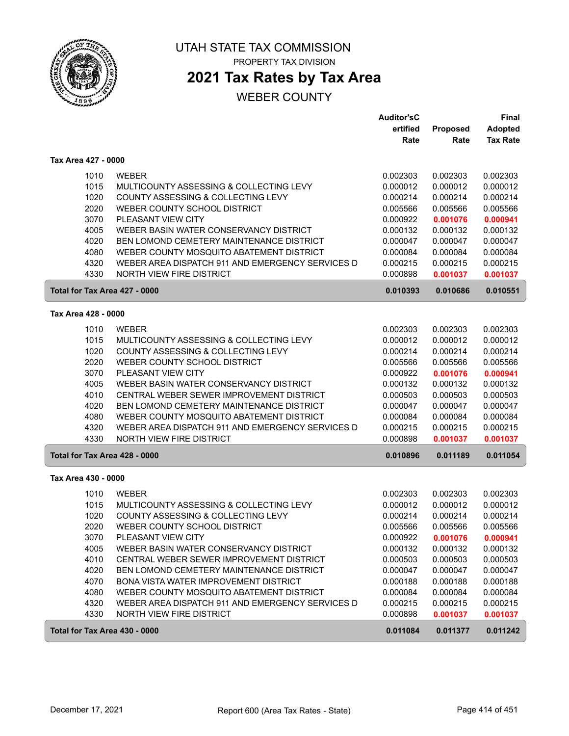

### **2021 Tax Rates by Tax Area**

|                               |                                                  | <b>Auditor'sC</b><br>ertified |                         | Final                             |
|-------------------------------|--------------------------------------------------|-------------------------------|-------------------------|-----------------------------------|
|                               |                                                  | Rate                          | <b>Proposed</b><br>Rate | <b>Adopted</b><br><b>Tax Rate</b> |
| Tax Area 427 - 0000           |                                                  |                               |                         |                                   |
| 1010                          | <b>WEBER</b>                                     | 0.002303                      | 0.002303                | 0.002303                          |
| 1015                          | MULTICOUNTY ASSESSING & COLLECTING LEVY          | 0.000012                      | 0.000012                | 0.000012                          |
| 1020                          | COUNTY ASSESSING & COLLECTING LEVY               | 0.000214                      | 0.000214                | 0.000214                          |
| 2020                          | WEBER COUNTY SCHOOL DISTRICT                     | 0.005566                      | 0.005566                | 0.005566                          |
| 3070                          | PLEASANT VIEW CITY                               | 0.000922                      | 0.001076                | 0.000941                          |
| 4005                          | WEBER BASIN WATER CONSERVANCY DISTRICT           | 0.000132                      | 0.000132                | 0.000132                          |
| 4020                          | <b>BEN LOMOND CEMETERY MAINTENANCE DISTRICT</b>  | 0.000047                      | 0.000047                | 0.000047                          |
| 4080                          | WEBER COUNTY MOSQUITO ABATEMENT DISTRICT         | 0.000084                      | 0.000084                | 0.000084                          |
| 4320                          | WEBER AREA DISPATCH 911 AND EMERGENCY SERVICES D | 0.000215                      | 0.000215                | 0.000215                          |
| 4330                          | <b>NORTH VIEW FIRE DISTRICT</b>                  | 0.000898                      | 0.001037                | 0.001037                          |
| Total for Tax Area 427 - 0000 |                                                  | 0.010393                      | 0.010686                | 0.010551                          |
| Tax Area 428 - 0000           |                                                  |                               |                         |                                   |
| 1010                          | <b>WEBER</b>                                     | 0.002303                      | 0.002303                | 0.002303                          |
| 1015                          | MULTICOUNTY ASSESSING & COLLECTING LEVY          | 0.000012                      | 0.000012                | 0.000012                          |
| 1020                          | COUNTY ASSESSING & COLLECTING LEVY               | 0.000214                      | 0.000214                | 0.000214                          |
| 2020                          | WEBER COUNTY SCHOOL DISTRICT                     | 0.005566                      | 0.005566                | 0.005566                          |
| 3070                          | <b>PLEASANT VIEW CITY</b>                        | 0.000922                      | 0.001076                | 0.000941                          |
| 4005                          | WEBER BASIN WATER CONSERVANCY DISTRICT           | 0.000132                      | 0.000132                | 0.000132                          |
| 4010                          | CENTRAL WEBER SEWER IMPROVEMENT DISTRICT         | 0.000503                      | 0.000503                | 0.000503                          |
| 4020                          | <b>BEN LOMOND CEMETERY MAINTENANCE DISTRICT</b>  | 0.000047                      | 0.000047                | 0.000047                          |
| 4080                          | WEBER COUNTY MOSQUITO ABATEMENT DISTRICT         | 0.000084                      | 0.000084                | 0.000084                          |
| 4320                          | WEBER AREA DISPATCH 911 AND EMERGENCY SERVICES D | 0.000215                      | 0.000215                | 0.000215                          |
| 4330                          | <b>NORTH VIEW FIRE DISTRICT</b>                  | 0.000898                      | 0.001037                | 0.001037                          |
| Total for Tax Area 428 - 0000 |                                                  | 0.010896                      | 0.011189                | 0.011054                          |
| Tax Area 430 - 0000           |                                                  |                               |                         |                                   |
| 1010                          | <b>WEBER</b>                                     | 0.002303                      | 0.002303                | 0.002303                          |
| 1015                          | MULTICOUNTY ASSESSING & COLLECTING LEVY          | 0.000012                      | 0.000012                | 0.000012                          |
| 1020                          | COUNTY ASSESSING & COLLECTING LEVY               | 0.000214                      | 0.000214                | 0.000214                          |
| 2020                          | WEBER COUNTY SCHOOL DISTRICT                     | 0.005566                      | 0.005566                | 0.005566                          |
| 3070                          | PLEASANT VIEW CITY                               | 0.000922                      | 0.001076                | 0.000941                          |
| 4005                          | WEBER BASIN WATER CONSERVANCY DISTRICT           | 0.000132                      | 0.000132                | 0.000132                          |
| 4010                          | CENTRAL WEBER SEWER IMPROVEMENT DISTRICT         | 0.000503                      | 0.000503                | 0.000503                          |
| 4020                          | BEN LOMOND CEMETERY MAINTENANCE DISTRICT         | 0.000047                      | 0.000047                | 0.000047                          |
| 4070                          | BONA VISTA WATER IMPROVEMENT DISTRICT            | 0.000188                      | 0.000188                | 0.000188                          |
| 4080                          | WEBER COUNTY MOSQUITO ABATEMENT DISTRICT         | 0.000084                      | 0.000084                | 0.000084                          |
| 4320                          | WEBER AREA DISPATCH 911 AND EMERGENCY SERVICES D | 0.000215                      | 0.000215                | 0.000215                          |
| 4330                          | <b>NORTH VIEW FIRE DISTRICT</b>                  | 0.000898                      | 0.001037                | 0.001037                          |
| Total for Tax Area 430 - 0000 |                                                  | 0.011084                      | 0.011377                | 0.011242                          |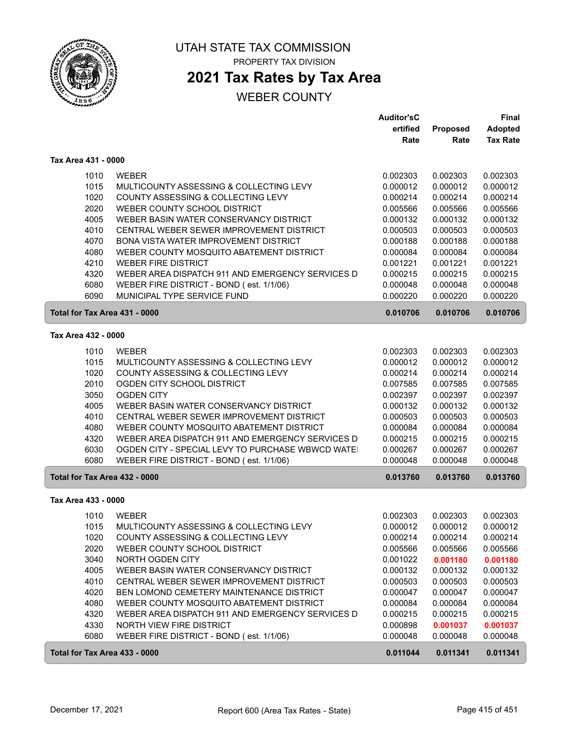

### **2021 Tax Rates by Tax Area**

|                               |                                                  | <b>Auditor'sC</b> |                 | <b>Final</b>    |
|-------------------------------|--------------------------------------------------|-------------------|-----------------|-----------------|
|                               |                                                  | ertified          | <b>Proposed</b> | <b>Adopted</b>  |
|                               |                                                  | Rate              | Rate            | <b>Tax Rate</b> |
| Tax Area 431 - 0000           |                                                  |                   |                 |                 |
| 1010                          | <b>WEBER</b>                                     | 0.002303          | 0.002303        | 0.002303        |
| 1015                          | MULTICOUNTY ASSESSING & COLLECTING LEVY          | 0.000012          | 0.000012        | 0.000012        |
| 1020                          | COUNTY ASSESSING & COLLECTING LEVY               | 0.000214          | 0.000214        | 0.000214        |
| 2020                          | WEBER COUNTY SCHOOL DISTRICT                     | 0.005566          | 0.005566        | 0.005566        |
| 4005                          | WEBER BASIN WATER CONSERVANCY DISTRICT           | 0.000132          | 0.000132        | 0.000132        |
| 4010                          | CENTRAL WEBER SEWER IMPROVEMENT DISTRICT         | 0.000503          | 0.000503        | 0.000503        |
| 4070                          | <b>BONA VISTA WATER IMPROVEMENT DISTRICT</b>     | 0.000188          | 0.000188        | 0.000188        |
| 4080                          | WEBER COUNTY MOSQUITO ABATEMENT DISTRICT         | 0.000084          | 0.000084        | 0.000084        |
| 4210                          | <b>WEBER FIRE DISTRICT</b>                       | 0.001221          | 0.001221        | 0.001221        |
| 4320                          | WEBER AREA DISPATCH 911 AND EMERGENCY SERVICES D | 0.000215          | 0.000215        | 0.000215        |
| 6080                          | WEBER FIRE DISTRICT - BOND (est. 1/1/06)         | 0.000048          | 0.000048        | 0.000048        |
| 6090                          | MUNICIPAL TYPE SERVICE FUND                      | 0.000220          | 0.000220        | 0.000220        |
| Total for Tax Area 431 - 0000 |                                                  | 0.010706          | 0.010706        | 0.010706        |
|                               |                                                  |                   |                 |                 |
| Tax Area 432 - 0000           |                                                  |                   |                 |                 |
| 1010                          | <b>WEBER</b>                                     | 0.002303          | 0.002303        | 0.002303        |
| 1015                          | MULTICOUNTY ASSESSING & COLLECTING LEVY          | 0.000012          | 0.000012        | 0.000012        |
| 1020                          | COUNTY ASSESSING & COLLECTING LEVY               | 0.000214          | 0.000214        | 0.000214        |
| 2010                          | OGDEN CITY SCHOOL DISTRICT                       | 0.007585          | 0.007585        | 0.007585        |
| 3050                          | <b>OGDEN CITY</b>                                | 0.002397          | 0.002397        | 0.002397        |
| 4005                          | WEBER BASIN WATER CONSERVANCY DISTRICT           | 0.000132          | 0.000132        | 0.000132        |
| 4010                          | CENTRAL WEBER SEWER IMPROVEMENT DISTRICT         | 0.000503          | 0.000503        | 0.000503        |
| 4080                          | WEBER COUNTY MOSQUITO ABATEMENT DISTRICT         | 0.000084          | 0.000084        | 0.000084        |
| 4320                          | WEBER AREA DISPATCH 911 AND EMERGENCY SERVICES D | 0.000215          | 0.000215        | 0.000215        |
| 6030                          | OGDEN CITY - SPECIAL LEVY TO PURCHASE WBWCD WATE | 0.000267          | 0.000267        | 0.000267        |
| 6080                          | WEBER FIRE DISTRICT - BOND (est. 1/1/06)         | 0.000048          | 0.000048        | 0.000048        |
| Total for Tax Area 432 - 0000 |                                                  | 0.013760          | 0.013760        | 0.013760        |
| Tax Area 433 - 0000           |                                                  |                   |                 |                 |
| 1010                          | <b>WEBER</b>                                     | 0.002303          | 0.002303        | 0.002303        |
| 1015                          | MULTICOUNTY ASSESSING & COLLECTING LEVY          | 0.000012          | 0.000012        | 0.000012        |
| 1020                          | COUNTY ASSESSING & COLLECTING LEVY               | 0.000214          | 0.000214        | 0.000214        |
| 2020                          | WEBER COUNTY SCHOOL DISTRICT                     | 0.005566          | 0.005566        | 0.005566        |
| 3040                          | NORTH OGDEN CITY                                 | 0.001022          | 0.001180        | 0.001180        |
| 4005                          | WEBER BASIN WATER CONSERVANCY DISTRICT           | 0.000132          | 0.000132        | 0.000132        |
| 4010                          | CENTRAL WEBER SEWER IMPROVEMENT DISTRICT         | 0.000503          | 0.000503        | 0.000503        |
| 4020                          | <b>BEN LOMOND CEMETERY MAINTENANCE DISTRICT</b>  | 0.000047          | 0.000047        | 0.000047        |
| 4080                          | WEBER COUNTY MOSQUITO ABATEMENT DISTRICT         | 0.000084          | 0.000084        | 0.000084        |
| 4320                          | WEBER AREA DISPATCH 911 AND EMERGENCY SERVICES D | 0.000215          | 0.000215        | 0.000215        |
| 4330                          | NORTH VIEW FIRE DISTRICT                         | 0.000898          | 0.001037        | 0.001037        |
| 6080                          | WEBER FIRE DISTRICT - BOND (est. 1/1/06)         | 0.000048          | 0.000048        | 0.000048        |
| Total for Tax Area 433 - 0000 |                                                  | 0.011044          | 0.011341        | 0.011341        |
|                               |                                                  |                   |                 |                 |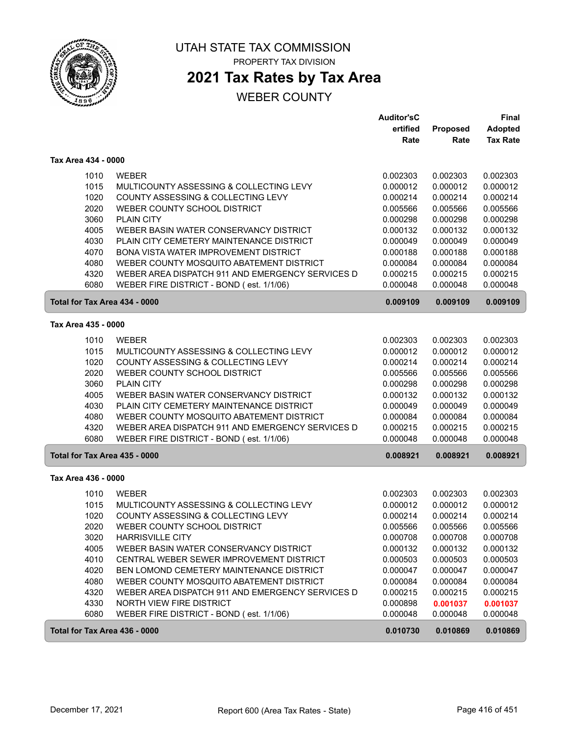

### **2021 Tax Rates by Tax Area**

|                               |                                                  | <b>Auditor'sC</b> |          | Final           |
|-------------------------------|--------------------------------------------------|-------------------|----------|-----------------|
|                               |                                                  | ertified          | Proposed | Adopted         |
|                               |                                                  | Rate              | Rate     | <b>Tax Rate</b> |
| Tax Area 434 - 0000           |                                                  |                   |          |                 |
| 1010                          | <b>WEBER</b>                                     | 0.002303          | 0.002303 | 0.002303        |
| 1015                          | MULTICOUNTY ASSESSING & COLLECTING LEVY          | 0.000012          | 0.000012 | 0.000012        |
| 1020                          | COUNTY ASSESSING & COLLECTING LEVY               | 0.000214          | 0.000214 | 0.000214        |
| 2020                          | WEBER COUNTY SCHOOL DISTRICT                     | 0.005566          | 0.005566 | 0.005566        |
| 3060                          | <b>PLAIN CITY</b>                                | 0.000298          | 0.000298 | 0.000298        |
| 4005                          | WEBER BASIN WATER CONSERVANCY DISTRICT           | 0.000132          | 0.000132 | 0.000132        |
| 4030                          | PLAIN CITY CEMETERY MAINTENANCE DISTRICT         | 0.000049          | 0.000049 | 0.000049        |
| 4070                          | BONA VISTA WATER IMPROVEMENT DISTRICT            | 0.000188          | 0.000188 | 0.000188        |
| 4080                          | WEBER COUNTY MOSQUITO ABATEMENT DISTRICT         | 0.000084          | 0.000084 | 0.000084        |
| 4320                          | WEBER AREA DISPATCH 911 AND EMERGENCY SERVICES D | 0.000215          | 0.000215 | 0.000215        |
| 6080                          | WEBER FIRE DISTRICT - BOND (est. 1/1/06)         | 0.000048          | 0.000048 | 0.000048        |
| Total for Tax Area 434 - 0000 |                                                  | 0.009109          | 0.009109 | 0.009109        |
| Tax Area 435 - 0000           |                                                  |                   |          |                 |
| 1010                          | <b>WEBER</b>                                     | 0.002303          | 0.002303 | 0.002303        |
| 1015                          | MULTICOUNTY ASSESSING & COLLECTING LEVY          | 0.000012          | 0.000012 | 0.000012        |
| 1020                          | COUNTY ASSESSING & COLLECTING LEVY               | 0.000214          | 0.000214 | 0.000214        |
| 2020                          | WEBER COUNTY SCHOOL DISTRICT                     | 0.005566          | 0.005566 | 0.005566        |
| 3060                          | <b>PLAIN CITY</b>                                | 0.000298          | 0.000298 | 0.000298        |
| 4005                          | WEBER BASIN WATER CONSERVANCY DISTRICT           | 0.000132          | 0.000132 | 0.000132        |
| 4030                          | PLAIN CITY CEMETERY MAINTENANCE DISTRICT         | 0.000049          | 0.000049 | 0.000049        |
| 4080                          | WEBER COUNTY MOSQUITO ABATEMENT DISTRICT         | 0.000084          | 0.000084 | 0.000084        |
| 4320                          | WEBER AREA DISPATCH 911 AND EMERGENCY SERVICES D | 0.000215          | 0.000215 | 0.000215        |
| 6080                          | WEBER FIRE DISTRICT - BOND (est. 1/1/06)         | 0.000048          | 0.000048 | 0.000048        |
| Total for Tax Area 435 - 0000 |                                                  | 0.008921          | 0.008921 | 0.008921        |
| Tax Area 436 - 0000           |                                                  |                   |          |                 |
| 1010                          | <b>WEBER</b>                                     | 0.002303          | 0.002303 | 0.002303        |
| 1015                          | MULTICOUNTY ASSESSING & COLLECTING LEVY          | 0.000012          | 0.000012 | 0.000012        |
| 1020                          | COUNTY ASSESSING & COLLECTING LEVY               | 0.000214          | 0.000214 | 0.000214        |
| 2020                          | WEBER COUNTY SCHOOL DISTRICT                     | 0.005566          | 0.005566 | 0.005566        |
| 3020                          | <b>HARRISVILLE CITY</b>                          | 0.000708          | 0.000708 | 0.000708        |
| 4005                          | WEBER BASIN WATER CONSERVANCY DISTRICT           | 0.000132          | 0.000132 | 0.000132        |
| 4010                          | CENTRAL WEBER SEWER IMPROVEMENT DISTRICT         | 0.000503          | 0.000503 | 0.000503        |
| 4020                          | BEN LOMOND CEMETERY MAINTENANCE DISTRICT         | 0.000047          | 0.000047 | 0.000047        |
| 4080                          | WEBER COUNTY MOSQUITO ABATEMENT DISTRICT         | 0.000084          | 0.000084 | 0.000084        |
| 4320                          | WEBER AREA DISPATCH 911 AND EMERGENCY SERVICES D | 0.000215          | 0.000215 | 0.000215        |
| 4330                          | NORTH VIEW FIRE DISTRICT                         | 0.000898          | 0.001037 | 0.001037        |
| 6080                          | WEBER FIRE DISTRICT - BOND (est. 1/1/06)         | 0.000048          | 0.000048 | 0.000048        |
| Total for Tax Area 436 - 0000 |                                                  | 0.010730          | 0.010869 | 0.010869        |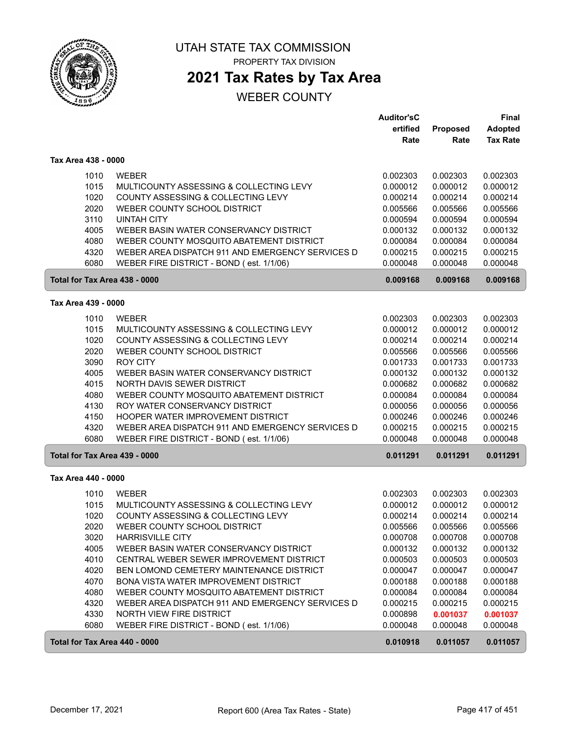

**2021 Tax Rates by Tax Area**

|                               |                                                                                          | <b>Auditor'sC</b><br>ertified | Proposed             | Final<br><b>Adopted</b> |
|-------------------------------|------------------------------------------------------------------------------------------|-------------------------------|----------------------|-------------------------|
|                               |                                                                                          | Rate                          | Rate                 | <b>Tax Rate</b>         |
| Tax Area 438 - 0000           |                                                                                          |                               |                      |                         |
| 1010                          | <b>WEBER</b>                                                                             | 0.002303                      | 0.002303             | 0.002303                |
| 1015                          | MULTICOUNTY ASSESSING & COLLECTING LEVY                                                  | 0.000012                      | 0.000012             | 0.000012                |
| 1020                          | COUNTY ASSESSING & COLLECTING LEVY                                                       | 0.000214                      | 0.000214             | 0.000214                |
| 2020                          | WEBER COUNTY SCHOOL DISTRICT                                                             | 0.005566                      | 0.005566             | 0.005566                |
| 3110                          | <b>UINTAH CITY</b>                                                                       | 0.000594                      | 0.000594             | 0.000594                |
| 4005                          | WEBER BASIN WATER CONSERVANCY DISTRICT                                                   | 0.000132                      | 0.000132             | 0.000132                |
| 4080                          | WEBER COUNTY MOSQUITO ABATEMENT DISTRICT                                                 | 0.000084                      | 0.000084             | 0.000084                |
| 4320                          | WEBER AREA DISPATCH 911 AND EMERGENCY SERVICES D                                         | 0.000215                      | 0.000215             | 0.000215                |
| 6080                          | WEBER FIRE DISTRICT - BOND (est. 1/1/06)                                                 | 0.000048                      | 0.000048             | 0.000048                |
| Total for Tax Area 438 - 0000 |                                                                                          | 0.009168                      | 0.009168             | 0.009168                |
| Tax Area 439 - 0000           |                                                                                          |                               |                      |                         |
| 1010                          | <b>WEBER</b>                                                                             | 0.002303                      | 0.002303             | 0.002303                |
| 1015                          | MULTICOUNTY ASSESSING & COLLECTING LEVY                                                  | 0.000012                      | 0.000012             | 0.000012                |
| 1020                          | COUNTY ASSESSING & COLLECTING LEVY                                                       | 0.000214                      | 0.000214             | 0.000214                |
| 2020                          | WEBER COUNTY SCHOOL DISTRICT                                                             | 0.005566                      | 0.005566             | 0.005566                |
| 3090                          | <b>ROY CITY</b>                                                                          | 0.001733                      | 0.001733             | 0.001733                |
| 4005                          | WEBER BASIN WATER CONSERVANCY DISTRICT                                                   | 0.000132                      | 0.000132             | 0.000132                |
| 4015                          | NORTH DAVIS SEWER DISTRICT                                                               | 0.000682                      | 0.000682             | 0.000682                |
| 4080                          | WEBER COUNTY MOSQUITO ABATEMENT DISTRICT                                                 | 0.000084                      | 0.000084             | 0.000084                |
| 4130                          | ROY WATER CONSERVANCY DISTRICT<br>HOOPER WATER IMPROVEMENT DISTRICT                      | 0.000056                      | 0.000056             | 0.000056                |
| 4150<br>4320                  | WEBER AREA DISPATCH 911 AND EMERGENCY SERVICES D                                         | 0.000246<br>0.000215          | 0.000246<br>0.000215 | 0.000246<br>0.000215    |
| 6080                          | WEBER FIRE DISTRICT - BOND (est. 1/1/06)                                                 | 0.000048                      | 0.000048             | 0.000048                |
| Total for Tax Area 439 - 0000 |                                                                                          | 0.011291                      | 0.011291             | 0.011291                |
|                               |                                                                                          |                               |                      |                         |
| Tax Area 440 - 0000           |                                                                                          |                               |                      |                         |
| 1010                          | <b>WEBER</b>                                                                             | 0.002303                      | 0.002303             | 0.002303                |
| 1015                          | MULTICOUNTY ASSESSING & COLLECTING LEVY                                                  | 0.000012                      | 0.000012             | 0.000012                |
| 1020                          | COUNTY ASSESSING & COLLECTING LEVY                                                       | 0.000214                      | 0.000214             | 0.000214                |
| 2020                          | WEBER COUNTY SCHOOL DISTRICT                                                             | 0.005566                      | 0.005566             | 0.005566                |
| 3020                          | <b>HARRISVILLE CITY</b>                                                                  | 0.000708                      | 0.000708             | 0.000708                |
| 4005                          | WEBER BASIN WATER CONSERVANCY DISTRICT                                                   | 0.000132                      | 0.000132             | 0.000132                |
| 4010                          | CENTRAL WEBER SEWER IMPROVEMENT DISTRICT                                                 | 0.000503                      | 0.000503             | 0.000503                |
| 4020<br>4070                  | BEN LOMOND CEMETERY MAINTENANCE DISTRICT<br><b>BONA VISTA WATER IMPROVEMENT DISTRICT</b> | 0.000047<br>0.000188          | 0.000047             | 0.000047                |
| 4080                          | WEBER COUNTY MOSQUITO ABATEMENT DISTRICT                                                 | 0.000084                      | 0.000188<br>0.000084 | 0.000188<br>0.000084    |
| 4320                          | WEBER AREA DISPATCH 911 AND EMERGENCY SERVICES D                                         | 0.000215                      | 0.000215             | 0.000215                |
| 4330                          | NORTH VIEW FIRE DISTRICT                                                                 | 0.000898                      | 0.001037             | 0.001037                |
| 6080                          | WEBER FIRE DISTRICT - BOND (est. 1/1/06)                                                 | 0.000048                      | 0.000048             | 0.000048                |
| Total for Tax Area 440 - 0000 |                                                                                          | 0.010918                      | 0.011057             | 0.011057                |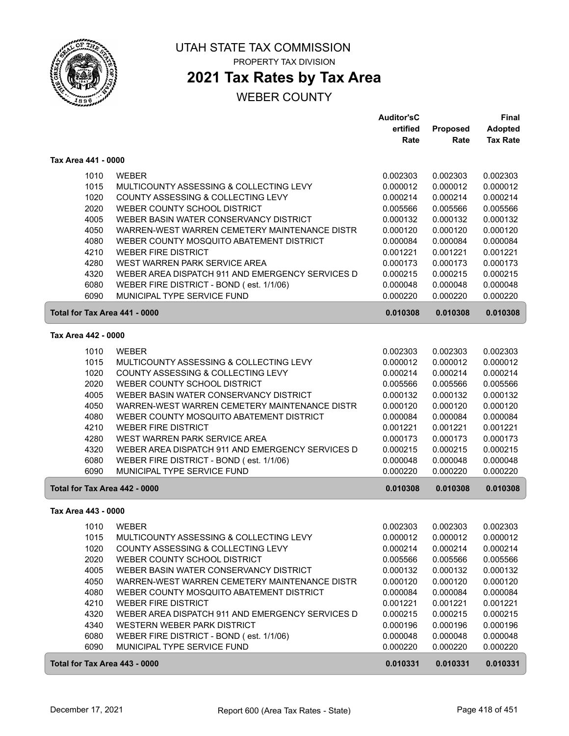

### **2021 Tax Rates by Tax Area**

|                               |                                                                                              | <b>Auditor'sC</b>    |                      | <b>Final</b>         |
|-------------------------------|----------------------------------------------------------------------------------------------|----------------------|----------------------|----------------------|
|                               |                                                                                              | ertified             | Proposed             | <b>Adopted</b>       |
|                               |                                                                                              | Rate                 | Rate                 | <b>Tax Rate</b>      |
| Tax Area 441 - 0000           |                                                                                              |                      |                      |                      |
| 1010                          | <b>WEBER</b>                                                                                 | 0.002303             | 0.002303             | 0.002303             |
| 1015                          | MULTICOUNTY ASSESSING & COLLECTING LEVY                                                      | 0.000012             | 0.000012             | 0.000012             |
| 1020                          | COUNTY ASSESSING & COLLECTING LEVY                                                           | 0.000214             | 0.000214             | 0.000214             |
| 2020                          | WEBER COUNTY SCHOOL DISTRICT                                                                 | 0.005566             | 0.005566             | 0.005566             |
| 4005                          | WEBER BASIN WATER CONSERVANCY DISTRICT                                                       | 0.000132             | 0.000132             | 0.000132             |
| 4050                          | WARREN-WEST WARREN CEMETERY MAINTENANCE DISTR                                                | 0.000120             | 0.000120             | 0.000120             |
| 4080                          | WEBER COUNTY MOSQUITO ABATEMENT DISTRICT                                                     | 0.000084             | 0.000084             | 0.000084             |
| 4210                          | <b>WEBER FIRE DISTRICT</b>                                                                   | 0.001221             | 0.001221             | 0.001221             |
| 4280                          | WEST WARREN PARK SERVICE AREA                                                                | 0.000173             | 0.000173             | 0.000173             |
| 4320                          | WEBER AREA DISPATCH 911 AND EMERGENCY SERVICES D                                             | 0.000215             | 0.000215             | 0.000215             |
| 6080                          | WEBER FIRE DISTRICT - BOND (est. 1/1/06)                                                     | 0.000048             | 0.000048             | 0.000048             |
| 6090                          | MUNICIPAL TYPE SERVICE FUND                                                                  | 0.000220             | 0.000220             | 0.000220             |
| Total for Tax Area 441 - 0000 |                                                                                              | 0.010308             | 0.010308             | 0.010308             |
| Tax Area 442 - 0000           |                                                                                              |                      |                      |                      |
| 1010                          | <b>WEBER</b>                                                                                 | 0.002303             | 0.002303             | 0.002303             |
| 1015                          | MULTICOUNTY ASSESSING & COLLECTING LEVY                                                      | 0.000012             | 0.000012             | 0.000012             |
| 1020                          | COUNTY ASSESSING & COLLECTING LEVY                                                           | 0.000214             | 0.000214             | 0.000214             |
| 2020                          | WEBER COUNTY SCHOOL DISTRICT                                                                 | 0.005566             | 0.005566             | 0.005566             |
| 4005                          | WEBER BASIN WATER CONSERVANCY DISTRICT                                                       | 0.000132             | 0.000132             | 0.000132             |
| 4050                          | WARREN-WEST WARREN CEMETERY MAINTENANCE DISTR                                                | 0.000120             | 0.000120             | 0.000120             |
| 4080                          | WEBER COUNTY MOSQUITO ABATEMENT DISTRICT                                                     | 0.000084             | 0.000084             | 0.000084             |
| 4210                          | <b>WEBER FIRE DISTRICT</b>                                                                   | 0.001221             | 0.001221             | 0.001221             |
| 4280                          | WEST WARREN PARK SERVICE AREA                                                                | 0.000173             | 0.000173             | 0.000173             |
| 4320<br>6080                  | WEBER AREA DISPATCH 911 AND EMERGENCY SERVICES D<br>WEBER FIRE DISTRICT - BOND (est. 1/1/06) | 0.000215<br>0.000048 | 0.000215<br>0.000048 | 0.000215<br>0.000048 |
| 6090                          | MUNICIPAL TYPE SERVICE FUND                                                                  | 0.000220             | 0.000220             | 0.000220             |
| Total for Tax Area 442 - 0000 |                                                                                              | 0.010308             | 0.010308             | 0.010308             |
| Tax Area 443 - 0000           |                                                                                              |                      |                      |                      |
|                               | 1010 WEBER                                                                                   | 0.002303             | 0.002303             | 0.002303             |
| 1015                          | MULTICOUNTY ASSESSING & COLLECTING LEVY                                                      | 0.000012             | 0.000012             | 0.000012             |
| 1020                          | COUNTY ASSESSING & COLLECTING LEVY                                                           | 0.000214             | 0.000214             | 0.000214             |
| 2020                          | WEBER COUNTY SCHOOL DISTRICT                                                                 | 0.005566             | 0.005566             | 0.005566             |
| 4005                          | WEBER BASIN WATER CONSERVANCY DISTRICT                                                       | 0.000132             | 0.000132             | 0.000132             |
| 4050                          | WARREN-WEST WARREN CEMETERY MAINTENANCE DISTR                                                | 0.000120             | 0.000120             | 0.000120             |
| 4080                          | WEBER COUNTY MOSQUITO ABATEMENT DISTRICT                                                     | 0.000084             | 0.000084             | 0.000084             |
| 4210                          | <b>WEBER FIRE DISTRICT</b>                                                                   | 0.001221             | 0.001221             | 0.001221             |
| 4320                          | WEBER AREA DISPATCH 911 AND EMERGENCY SERVICES D                                             | 0.000215             | 0.000215             | 0.000215             |
| 4340                          | WESTERN WEBER PARK DISTRICT                                                                  | 0.000196             | 0.000196             | 0.000196             |
| 6080                          | WEBER FIRE DISTRICT - BOND (est. 1/1/06)                                                     | 0.000048             | 0.000048             | 0.000048             |
| 6090                          | MUNICIPAL TYPE SERVICE FUND                                                                  | 0.000220             | 0.000220             | 0.000220             |
| Total for Tax Area 443 - 0000 |                                                                                              | 0.010331             | 0.010331             | 0.010331             |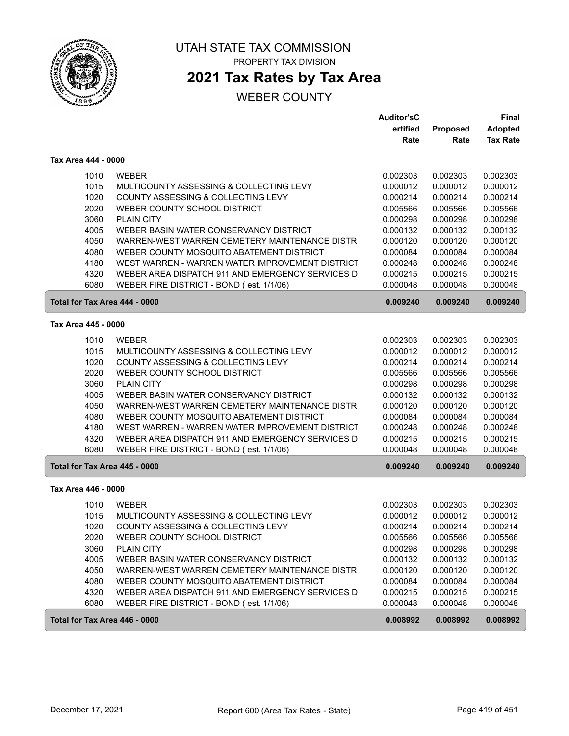

## **2021 Tax Rates by Tax Area**

### WEBER COUNTY

|                               |                                                  | <b>Auditor'sC</b> |                 | Final           |
|-------------------------------|--------------------------------------------------|-------------------|-----------------|-----------------|
|                               |                                                  | ertified          | <b>Proposed</b> | <b>Adopted</b>  |
|                               |                                                  | Rate              | Rate            | <b>Tax Rate</b> |
| Tax Area 444 - 0000           |                                                  |                   |                 |                 |
| 1010                          | <b>WEBER</b>                                     | 0.002303          | 0.002303        | 0.002303        |
| 1015                          | MULTICOUNTY ASSESSING & COLLECTING LEVY          | 0.000012          | 0.000012        | 0.000012        |
| 1020                          | COUNTY ASSESSING & COLLECTING LEVY               | 0.000214          | 0.000214        | 0.000214        |
| 2020                          | WEBER COUNTY SCHOOL DISTRICT                     | 0.005566          | 0.005566        | 0.005566        |
| 3060                          | <b>PLAIN CITY</b>                                | 0.000298          | 0.000298        | 0.000298        |
| 4005                          | WEBER BASIN WATER CONSERVANCY DISTRICT           | 0.000132          | 0.000132        | 0.000132        |
| 4050                          | WARREN-WEST WARREN CEMETERY MAINTENANCE DISTR    | 0.000120          | 0.000120        | 0.000120        |
| 4080                          | WEBER COUNTY MOSQUITO ABATEMENT DISTRICT         | 0.000084          | 0.000084        | 0.000084        |
| 4180                          | WEST WARREN - WARREN WATER IMPROVEMENT DISTRICT  | 0.000248          | 0.000248        | 0.000248        |
| 4320                          | WEBER AREA DISPATCH 911 AND EMERGENCY SERVICES D | 0.000215          | 0.000215        | 0.000215        |
| 6080                          | WEBER FIRE DISTRICT - BOND (est. 1/1/06)         | 0.000048          | 0.000048        | 0.000048        |
| Total for Tax Area 444 - 0000 |                                                  | 0.009240          | 0.009240        | 0.009240        |
|                               |                                                  |                   |                 |                 |
| Tax Area 445 - 0000           |                                                  |                   |                 |                 |
| 1010                          | <b>WEBER</b>                                     | 0.002303          | 0.002303        | 0.002303        |
| 1015                          | MULTICOUNTY ASSESSING & COLLECTING LEVY          | 0.000012          | 0.000012        | 0.000012        |
| 1020                          | COUNTY ASSESSING & COLLECTING LEVY               | 0.000214          | 0.000214        | 0.000214        |
| 2020                          | WEBER COUNTY SCHOOL DISTRICT                     | 0.005566          | 0.005566        | 0.005566        |
| 3060                          | <b>PLAIN CITY</b>                                | 0.000298          | 0.000298        | 0.000298        |
| 4005                          | WEBER BASIN WATER CONSERVANCY DISTRICT           | 0.000132          | 0.000132        | 0.000132        |
| 4050                          | WARREN-WEST WARREN CEMETERY MAINTENANCE DISTR    | 0.000120          | 0.000120        | 0.000120        |
| 4080                          | WEBER COUNTY MOSQUITO ABATEMENT DISTRICT         | 0.000084          | 0.000084        | 0.000084        |
| 4180                          | WEST WARREN - WARREN WATER IMPROVEMENT DISTRICT  | 0.000248          | 0.000248        | 0.000248        |
| 4320                          | WEBER AREA DISPATCH 911 AND EMERGENCY SERVICES D | 0.000215          | 0.000215        | 0.000215        |
| 6080                          | WEBER FIRE DISTRICT - BOND (est. 1/1/06)         | 0.000048          | 0.000048        | 0.000048        |
| Total for Tax Area 445 - 0000 |                                                  | 0.009240          | 0.009240        | 0.009240        |
| Tax Area 446 - 0000           |                                                  |                   |                 |                 |
| 1010                          | <b>WEBER</b>                                     | 0.002303          | 0.002303        | 0.002303        |
| 1015                          | MULTICOUNTY ASSESSING & COLLECTING LEVY          | 0.000012          | 0.000012        | 0.000012        |
| 1020                          | COUNTY ASSESSING & COLLECTING LEVY               | 0.000214          | 0.000214        | 0.000214        |
| 2020                          | WEBER COUNTY SCHOOL DISTRICT                     | 0.005566          | 0.005566        | 0.005566        |
| 3060                          | <b>PLAIN CITY</b>                                | 0.000298          | 0.000298        | 0.000298        |
| 4005                          | WEBER BASIN WATER CONSERVANCY DISTRICT           | 0.000132          | 0.000132        | 0.000132        |
| 4050                          | WARREN-WEST WARREN CEMETERY MAINTENANCE DISTR    | 0.000120          | 0.000120        | 0.000120        |
| 4080                          | WEBER COUNTY MOSQUITO ABATEMENT DISTRICT         | 0.000084          | 0.000084        | 0.000084        |
| 4320                          | WEBER AREA DISPATCH 911 AND EMERGENCY SERVICES D | 0.000215          | 0.000215        | 0.000215        |
| 6080                          | WEBER FIRE DISTRICT - BOND (est. 1/1/06)         | 0.000048          | 0.000048        | 0.000048        |
| Total for Tax Area 446 - 0000 |                                                  | 0.008992          | 0.008992        | 0.008992        |
|                               |                                                  |                   |                 |                 |

 $\sqrt{2}$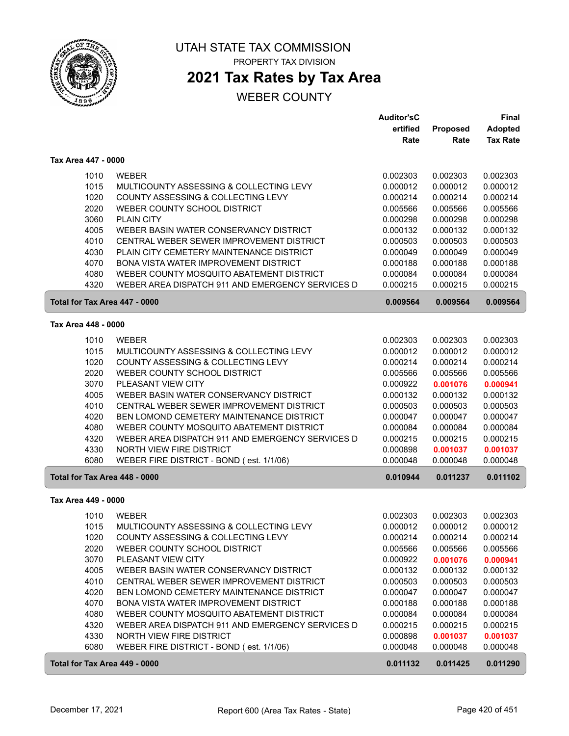

# **2021 Tax Rates by Tax Area**

|                               |                                                                                   | <b>Auditor'sC</b>    |                      | Final                |
|-------------------------------|-----------------------------------------------------------------------------------|----------------------|----------------------|----------------------|
|                               |                                                                                   | ertified             | Proposed             | <b>Adopted</b>       |
|                               |                                                                                   | Rate                 | Rate                 | <b>Tax Rate</b>      |
| Tax Area 447 - 0000           |                                                                                   |                      |                      |                      |
| 1010                          | <b>WEBER</b>                                                                      | 0.002303             | 0.002303             | 0.002303             |
| 1015                          | MULTICOUNTY ASSESSING & COLLECTING LEVY                                           | 0.000012             | 0.000012             | 0.000012             |
| 1020                          | COUNTY ASSESSING & COLLECTING LEVY                                                | 0.000214             | 0.000214             | 0.000214             |
| 2020                          | WEBER COUNTY SCHOOL DISTRICT                                                      | 0.005566             | 0.005566             | 0.005566             |
| 3060                          | <b>PLAIN CITY</b>                                                                 | 0.000298             | 0.000298             | 0.000298             |
| 4005                          | WEBER BASIN WATER CONSERVANCY DISTRICT                                            | 0.000132             | 0.000132             | 0.000132             |
| 4010                          | CENTRAL WEBER SEWER IMPROVEMENT DISTRICT                                          | 0.000503             | 0.000503             | 0.000503             |
| 4030                          | PLAIN CITY CEMETERY MAINTENANCE DISTRICT                                          | 0.000049             | 0.000049             | 0.000049             |
| 4070                          | <b>BONA VISTA WATER IMPROVEMENT DISTRICT</b>                                      | 0.000188             | 0.000188             | 0.000188             |
| 4080                          | WEBER COUNTY MOSQUITO ABATEMENT DISTRICT                                          | 0.000084             | 0.000084             | 0.000084             |
| 4320                          | WEBER AREA DISPATCH 911 AND EMERGENCY SERVICES D                                  | 0.000215             | 0.000215             | 0.000215             |
| Total for Tax Area 447 - 0000 |                                                                                   | 0.009564             | 0.009564             | 0.009564             |
| Tax Area 448 - 0000           |                                                                                   |                      |                      |                      |
| 1010                          | <b>WEBER</b>                                                                      | 0.002303             | 0.002303             | 0.002303             |
| 1015                          | MULTICOUNTY ASSESSING & COLLECTING LEVY                                           | 0.000012             | 0.000012             | 0.000012             |
| 1020                          | COUNTY ASSESSING & COLLECTING LEVY                                                | 0.000214             | 0.000214             | 0.000214             |
| 2020                          | WEBER COUNTY SCHOOL DISTRICT                                                      | 0.005566             | 0.005566             | 0.005566             |
| 3070                          | PLEASANT VIEW CITY                                                                | 0.000922             | 0.001076             | 0.000941             |
| 4005                          | WEBER BASIN WATER CONSERVANCY DISTRICT                                            | 0.000132             | 0.000132             | 0.000132             |
| 4010                          | CENTRAL WEBER SEWER IMPROVEMENT DISTRICT                                          | 0.000503             | 0.000503             | 0.000503             |
| 4020                          | BEN LOMOND CEMETERY MAINTENANCE DISTRICT                                          | 0.000047             | 0.000047             | 0.000047             |
| 4080                          | WEBER COUNTY MOSQUITO ABATEMENT DISTRICT                                          | 0.000084             | 0.000084             | 0.000084             |
| 4320                          | WEBER AREA DISPATCH 911 AND EMERGENCY SERVICES D                                  | 0.000215             | 0.000215             | 0.000215             |
| 4330                          | NORTH VIEW FIRE DISTRICT                                                          | 0.000898             | 0.001037             | 0.001037             |
| 6080                          | WEBER FIRE DISTRICT - BOND (est. 1/1/06)                                          | 0.000048             | 0.000048             | 0.000048             |
| Total for Tax Area 448 - 0000 |                                                                                   | 0.010944             | 0.011237             | 0.011102             |
| Tax Area 449 - 0000           |                                                                                   |                      |                      |                      |
| 1010                          | <b>WEBER</b>                                                                      | 0.002303             | 0.002303             | 0.002303             |
| 1015                          | MULTICOUNTY ASSESSING & COLLECTING LEVY                                           | 0.000012             | 0.000012             | 0.000012             |
| 1020                          | COUNTY ASSESSING & COLLECTING LEVY                                                | 0.000214             | 0.000214             | 0.000214             |
| 2020                          | WEBER COUNTY SCHOOL DISTRICT                                                      | 0.005566             | 0.005566             | 0.005566             |
| 3070                          | PLEASANT VIEW CITY                                                                | 0.000922             | 0.001076             | 0.000941             |
| 4005                          | WEBER BASIN WATER CONSERVANCY DISTRICT                                            | 0.000132             | 0.000132             | 0.000132             |
| 4010                          | CENTRAL WEBER SEWER IMPROVEMENT DISTRICT                                          | 0.000503             | 0.000503             | 0.000503             |
| 4020<br>4070                  | BEN LOMOND CEMETERY MAINTENANCE DISTRICT<br>BONA VISTA WATER IMPROVEMENT DISTRICT | 0.000047<br>0.000188 | 0.000047<br>0.000188 | 0.000047             |
| 4080                          | WEBER COUNTY MOSQUITO ABATEMENT DISTRICT                                          | 0.000084             | 0.000084             | 0.000188<br>0.000084 |
| 4320                          | WEBER AREA DISPATCH 911 AND EMERGENCY SERVICES D                                  | 0.000215             | 0.000215             | 0.000215             |
| 4330                          | NORTH VIEW FIRE DISTRICT                                                          | 0.000898             | 0.001037             | 0.001037             |
| 6080                          | WEBER FIRE DISTRICT - BOND (est. 1/1/06)                                          | 0.000048             | 0.000048             | 0.000048             |
| Total for Tax Area 449 - 0000 |                                                                                   | 0.011132             | 0.011425             | 0.011290             |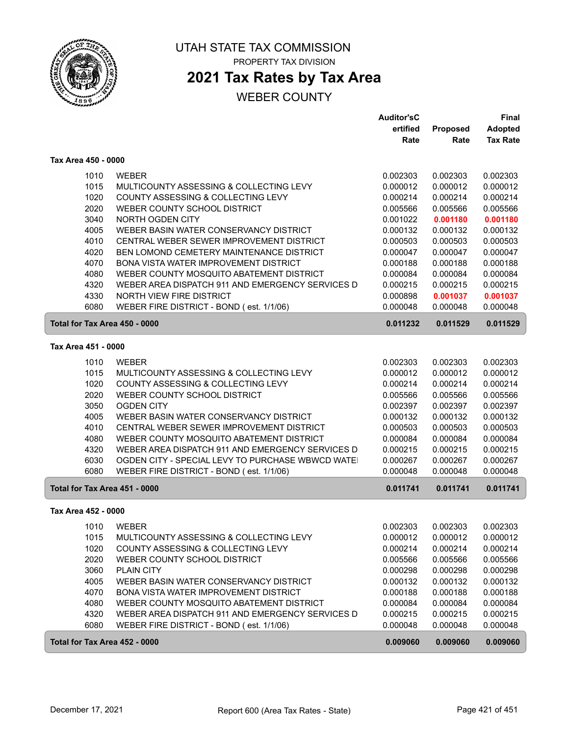

### **2021 Tax Rates by Tax Area**

|                               |                                                  | <b>Auditor'sC</b> |                 | Final           |
|-------------------------------|--------------------------------------------------|-------------------|-----------------|-----------------|
|                               |                                                  | ertified          | <b>Proposed</b> | <b>Adopted</b>  |
|                               |                                                  | Rate              | Rate            | <b>Tax Rate</b> |
| Tax Area 450 - 0000           |                                                  |                   |                 |                 |
| 1010                          | <b>WEBER</b>                                     | 0.002303          | 0.002303        | 0.002303        |
| 1015                          | MULTICOUNTY ASSESSING & COLLECTING LEVY          | 0.000012          | 0.000012        | 0.000012        |
| 1020                          | COUNTY ASSESSING & COLLECTING LEVY               | 0.000214          | 0.000214        | 0.000214        |
| 2020                          | WEBER COUNTY SCHOOL DISTRICT                     | 0.005566          | 0.005566        | 0.005566        |
| 3040                          | NORTH OGDEN CITY                                 | 0.001022          | 0.001180        | 0.001180        |
| 4005                          | WEBER BASIN WATER CONSERVANCY DISTRICT           | 0.000132          | 0.000132        | 0.000132        |
| 4010                          | CENTRAL WEBER SEWER IMPROVEMENT DISTRICT         | 0.000503          | 0.000503        | 0.000503        |
| 4020                          | BEN LOMOND CEMETERY MAINTENANCE DISTRICT         | 0.000047          | 0.000047        | 0.000047        |
| 4070                          | BONA VISTA WATER IMPROVEMENT DISTRICT            | 0.000188          | 0.000188        | 0.000188        |
| 4080                          | WEBER COUNTY MOSQUITO ABATEMENT DISTRICT         | 0.000084          | 0.000084        | 0.000084        |
| 4320                          | WEBER AREA DISPATCH 911 AND EMERGENCY SERVICES D | 0.000215          | 0.000215        | 0.000215        |
| 4330                          | <b>NORTH VIEW FIRE DISTRICT</b>                  | 0.000898          | 0.001037        | 0.001037        |
| 6080                          | WEBER FIRE DISTRICT - BOND (est. 1/1/06)         | 0.000048          | 0.000048        | 0.000048        |
| Total for Tax Area 450 - 0000 |                                                  | 0.011232          | 0.011529        | 0.011529        |
| Tax Area 451 - 0000           |                                                  |                   |                 |                 |
| 1010                          | <b>WEBER</b>                                     | 0.002303          | 0.002303        | 0.002303        |
| 1015                          | MULTICOUNTY ASSESSING & COLLECTING LEVY          | 0.000012          | 0.000012        | 0.000012        |
| 1020                          | COUNTY ASSESSING & COLLECTING LEVY               | 0.000214          | 0.000214        | 0.000214        |
| 2020                          | WEBER COUNTY SCHOOL DISTRICT                     | 0.005566          | 0.005566        | 0.005566        |
| 3050                          | <b>OGDEN CITY</b>                                | 0.002397          | 0.002397        | 0.002397        |
| 4005                          | WEBER BASIN WATER CONSERVANCY DISTRICT           | 0.000132          | 0.000132        | 0.000132        |
| 4010                          | CENTRAL WEBER SEWER IMPROVEMENT DISTRICT         | 0.000503          | 0.000503        | 0.000503        |
| 4080                          | WEBER COUNTY MOSQUITO ABATEMENT DISTRICT         | 0.000084          | 0.000084        | 0.000084        |
| 4320                          | WEBER AREA DISPATCH 911 AND EMERGENCY SERVICES D | 0.000215          | 0.000215        | 0.000215        |
| 6030                          | OGDEN CITY - SPECIAL LEVY TO PURCHASE WBWCD WATE | 0.000267          | 0.000267        | 0.000267        |
| 6080                          | WEBER FIRE DISTRICT - BOND (est. 1/1/06)         | 0.000048          | 0.000048        | 0.000048        |
| Total for Tax Area 451 - 0000 |                                                  | 0.011741          | 0.011741        | 0.011741        |
| Tax Area 452 - 0000           |                                                  |                   |                 |                 |
| 1010                          | <b>WEBER</b>                                     | 0.002303          | 0.002303        | 0.002303        |
| 1015                          | MULTICOUNTY ASSESSING & COLLECTING LEVY          | 0.000012          | 0.000012        | 0.000012        |
| 1020                          | COUNTY ASSESSING & COLLECTING LEVY               | 0.000214          | 0.000214        | 0.000214        |
| 2020                          | WEBER COUNTY SCHOOL DISTRICT                     | 0.005566          | 0.005566        | 0.005566        |
| 3060                          | PLAIN CITY                                       | 0.000298          | 0.000298        | 0.000298        |
| 4005                          | WEBER BASIN WATER CONSERVANCY DISTRICT           | 0.000132          | 0.000132        | 0.000132        |
| 4070                          | BONA VISTA WATER IMPROVEMENT DISTRICT            | 0.000188          | 0.000188        | 0.000188        |
| 4080                          | WEBER COUNTY MOSQUITO ABATEMENT DISTRICT         | 0.000084          | 0.000084        | 0.000084        |
| 4320                          | WEBER AREA DISPATCH 911 AND EMERGENCY SERVICES D | 0.000215          | 0.000215        | 0.000215        |
| 6080                          | WEBER FIRE DISTRICT - BOND (est. 1/1/06)         | 0.000048          | 0.000048        | 0.000048        |
| Total for Tax Area 452 - 0000 |                                                  | 0.009060          | 0.009060        | 0.009060        |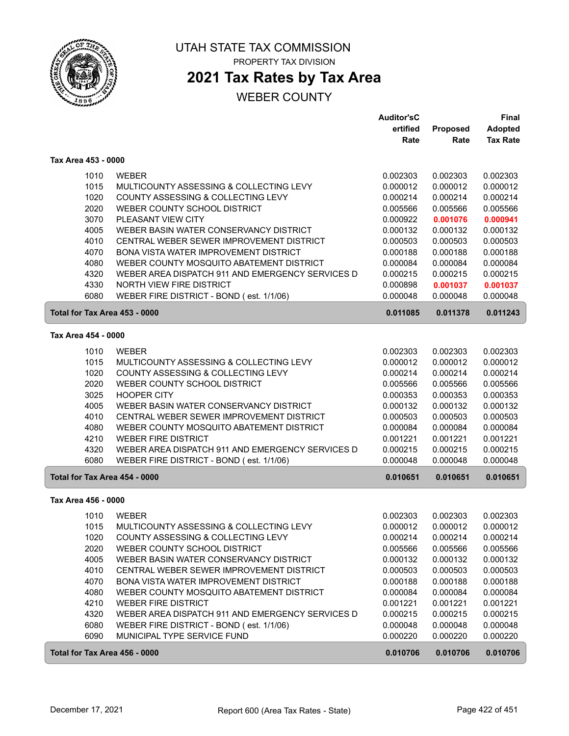

# **2021 Tax Rates by Tax Area**

|                               |                                                  | <b>Auditor'sC</b> |                 | Final           |
|-------------------------------|--------------------------------------------------|-------------------|-----------------|-----------------|
|                               |                                                  | ertified          | <b>Proposed</b> | <b>Adopted</b>  |
|                               |                                                  | Rate              | Rate            | <b>Tax Rate</b> |
| Tax Area 453 - 0000           |                                                  |                   |                 |                 |
| 1010                          | <b>WEBER</b>                                     | 0.002303          | 0.002303        | 0.002303        |
| 1015                          | MULTICOUNTY ASSESSING & COLLECTING LEVY          | 0.000012          | 0.000012        | 0.000012        |
| 1020                          | COUNTY ASSESSING & COLLECTING LEVY               | 0.000214          | 0.000214        | 0.000214        |
| 2020                          | WEBER COUNTY SCHOOL DISTRICT                     | 0.005566          | 0.005566        | 0.005566        |
| 3070                          | PLEASANT VIEW CITY                               | 0.000922          | 0.001076        | 0.000941        |
| 4005                          | WEBER BASIN WATER CONSERVANCY DISTRICT           | 0.000132          | 0.000132        | 0.000132        |
| 4010                          | CENTRAL WEBER SEWER IMPROVEMENT DISTRICT         | 0.000503          | 0.000503        | 0.000503        |
| 4070                          | BONA VISTA WATER IMPROVEMENT DISTRICT            | 0.000188          | 0.000188        | 0.000188        |
| 4080                          | WEBER COUNTY MOSQUITO ABATEMENT DISTRICT         | 0.000084          | 0.000084        | 0.000084        |
| 4320                          | WEBER AREA DISPATCH 911 AND EMERGENCY SERVICES D | 0.000215          | 0.000215        | 0.000215        |
| 4330                          | NORTH VIEW FIRE DISTRICT                         | 0.000898          | 0.001037        | 0.001037        |
| 6080                          | WEBER FIRE DISTRICT - BOND (est. 1/1/06)         | 0.000048          | 0.000048        | 0.000048        |
| Total for Tax Area 453 - 0000 |                                                  | 0.011085          | 0.011378        | 0.011243        |
| Tax Area 454 - 0000           |                                                  |                   |                 |                 |
|                               |                                                  |                   |                 |                 |
| 1010                          | <b>WEBER</b>                                     | 0.002303          | 0.002303        | 0.002303        |
| 1015                          | MULTICOUNTY ASSESSING & COLLECTING LEVY          | 0.000012          | 0.000012        | 0.000012        |
| 1020                          | COUNTY ASSESSING & COLLECTING LEVY               | 0.000214          | 0.000214        | 0.000214        |
| 2020                          | WEBER COUNTY SCHOOL DISTRICT                     | 0.005566          | 0.005566        | 0.005566        |
| 3025                          | <b>HOOPER CITY</b>                               | 0.000353          | 0.000353        | 0.000353        |
| 4005                          | WEBER BASIN WATER CONSERVANCY DISTRICT           | 0.000132          | 0.000132        | 0.000132        |
| 4010                          | CENTRAL WEBER SEWER IMPROVEMENT DISTRICT         | 0.000503          | 0.000503        | 0.000503        |
| 4080                          | WEBER COUNTY MOSQUITO ABATEMENT DISTRICT         | 0.000084          | 0.000084        | 0.000084        |
| 4210                          | <b>WEBER FIRE DISTRICT</b>                       | 0.001221          | 0.001221        | 0.001221        |
| 4320                          | WEBER AREA DISPATCH 911 AND EMERGENCY SERVICES D | 0.000215          | 0.000215        | 0.000215        |
| 6080                          | WEBER FIRE DISTRICT - BOND (est. 1/1/06)         | 0.000048          | 0.000048        | 0.000048        |
| Total for Tax Area 454 - 0000 |                                                  | 0.010651          | 0.010651        | 0.010651        |
| Tax Area 456 - 0000           |                                                  |                   |                 |                 |
| 1010                          | <b>WEBER</b>                                     | 0.002303          | 0.002303        | 0.002303        |
| 1015                          | MULTICOUNTY ASSESSING & COLLECTING LEVY          | 0.000012          | 0.000012        | 0.000012        |
| 1020                          | COUNTY ASSESSING & COLLECTING LEVY               | 0.000214          | 0.000214        | 0.000214        |
| 2020                          | WEBER COUNTY SCHOOL DISTRICT                     | 0.005566          | 0.005566        | 0.005566        |
| 4005                          | WEBER BASIN WATER CONSERVANCY DISTRICT           | 0.000132          | 0.000132        | 0.000132        |
| 4010                          | CENTRAL WEBER SEWER IMPROVEMENT DISTRICT         | 0.000503          | 0.000503        | 0.000503        |
| 4070                          | BONA VISTA WATER IMPROVEMENT DISTRICT            | 0.000188          | 0.000188        | 0.000188        |
| 4080                          | WEBER COUNTY MOSQUITO ABATEMENT DISTRICT         | 0.000084          | 0.000084        | 0.000084        |
| 4210                          | <b>WEBER FIRE DISTRICT</b>                       | 0.001221          | 0.001221        | 0.001221        |
| 4320                          | WEBER AREA DISPATCH 911 AND EMERGENCY SERVICES D | 0.000215          | 0.000215        | 0.000215        |
| 6080                          | WEBER FIRE DISTRICT - BOND (est. 1/1/06)         | 0.000048          | 0.000048        | 0.000048        |
| 6090                          | MUNICIPAL TYPE SERVICE FUND                      | 0.000220          | 0.000220        | 0.000220        |
| Total for Tax Area 456 - 0000 |                                                  | 0.010706          | 0.010706        | 0.010706        |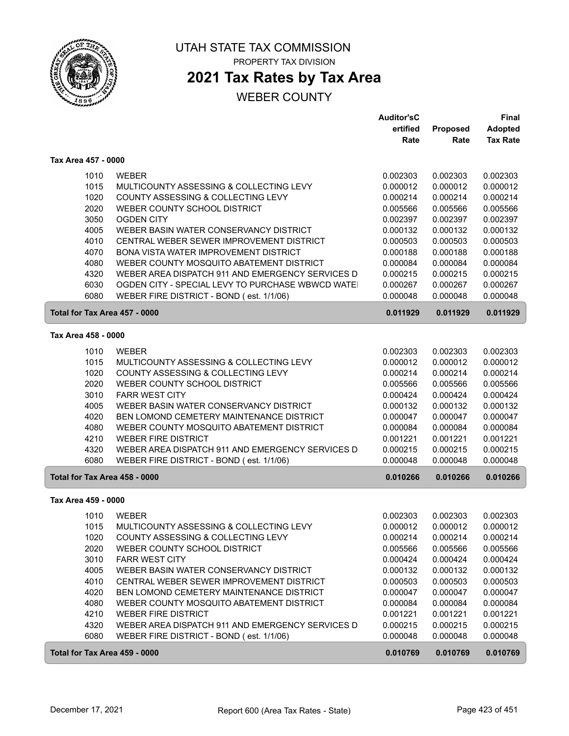

### **2021 Tax Rates by Tax Area**

|                               |                                                                                      | <b>Auditor'sC</b>    |                      | <b>Final</b>         |
|-------------------------------|--------------------------------------------------------------------------------------|----------------------|----------------------|----------------------|
|                               |                                                                                      | ertified             | <b>Proposed</b>      | <b>Adopted</b>       |
|                               |                                                                                      | Rate                 | Rate                 | <b>Tax Rate</b>      |
| Tax Area 457 - 0000           |                                                                                      |                      |                      |                      |
| 1010                          | <b>WEBER</b>                                                                         | 0.002303             | 0.002303             | 0.002303             |
| 1015                          | MULTICOUNTY ASSESSING & COLLECTING LEVY                                              | 0.000012             | 0.000012             | 0.000012             |
| 1020                          | COUNTY ASSESSING & COLLECTING LEVY                                                   | 0.000214             | 0.000214             | 0.000214             |
| 2020                          | WEBER COUNTY SCHOOL DISTRICT                                                         | 0.005566             | 0.005566             | 0.005566             |
| 3050                          | <b>OGDEN CITY</b>                                                                    | 0.002397             | 0.002397             | 0.002397             |
| 4005                          | WEBER BASIN WATER CONSERVANCY DISTRICT                                               | 0.000132             | 0.000132             | 0.000132             |
| 4010                          | CENTRAL WEBER SEWER IMPROVEMENT DISTRICT                                             | 0.000503             | 0.000503             | 0.000503             |
| 4070                          | BONA VISTA WATER IMPROVEMENT DISTRICT                                                | 0.000188             | 0.000188             | 0.000188             |
| 4080                          | WEBER COUNTY MOSQUITO ABATEMENT DISTRICT                                             | 0.000084             | 0.000084             | 0.000084             |
| 4320                          | WEBER AREA DISPATCH 911 AND EMERGENCY SERVICES D                                     | 0.000215             | 0.000215             | 0.000215             |
| 6030                          | OGDEN CITY - SPECIAL LEVY TO PURCHASE WBWCD WATE                                     | 0.000267             | 0.000267             | 0.000267             |
| 6080                          | WEBER FIRE DISTRICT - BOND (est. 1/1/06)                                             | 0.000048             | 0.000048             | 0.000048             |
| Total for Tax Area 457 - 0000 |                                                                                      | 0.011929             | 0.011929             | 0.011929             |
| Tax Area 458 - 0000           |                                                                                      |                      |                      |                      |
| 1010                          | <b>WEBER</b>                                                                         | 0.002303             | 0.002303             | 0.002303             |
| 1015                          | MULTICOUNTY ASSESSING & COLLECTING LEVY                                              | 0.000012             | 0.000012             | 0.000012             |
| 1020                          | COUNTY ASSESSING & COLLECTING LEVY                                                   | 0.000214             | 0.000214             | 0.000214             |
| 2020                          | WEBER COUNTY SCHOOL DISTRICT                                                         | 0.005566             | 0.005566             | 0.005566             |
| 3010                          | <b>FARR WEST CITY</b>                                                                | 0.000424             | 0.000424             | 0.000424             |
| 4005                          | WEBER BASIN WATER CONSERVANCY DISTRICT                                               | 0.000132             | 0.000132             | 0.000132             |
| 4020                          | BEN LOMOND CEMETERY MAINTENANCE DISTRICT                                             | 0.000047             | 0.000047             | 0.000047             |
| 4080                          | WEBER COUNTY MOSQUITO ABATEMENT DISTRICT                                             | 0.000084             | 0.000084             | 0.000084             |
| 4210                          | <b>WEBER FIRE DISTRICT</b>                                                           | 0.001221             | 0.001221             | 0.001221             |
| 4320                          | WEBER AREA DISPATCH 911 AND EMERGENCY SERVICES D                                     | 0.000215             | 0.000215             | 0.000215             |
| 6080                          | WEBER FIRE DISTRICT - BOND (est. 1/1/06)                                             | 0.000048             | 0.000048             | 0.000048             |
| Total for Tax Area 458 - 0000 |                                                                                      | 0.010266             | 0.010266             | 0.010266             |
| Tax Area 459 - 0000           |                                                                                      |                      |                      |                      |
|                               |                                                                                      |                      |                      |                      |
| 1010                          | <b>WEBER</b>                                                                         | 0.002303             | 0.002303             | 0.002303             |
| 1015                          | MULTICOUNTY ASSESSING & COLLECTING LEVY                                              | 0.000012             | 0.000012             | 0.000012             |
| 1020                          | COUNTY ASSESSING & COLLECTING LEVY                                                   | 0.000214             | 0.000214             | 0.000214             |
| 2020                          | WEBER COUNTY SCHOOL DISTRICT                                                         | 0.005566             | 0.005566             | 0.005566             |
| 3010                          | <b>FARR WEST CITY</b>                                                                | 0.000424             | 0.000424             | 0.000424             |
| 4005                          | WEBER BASIN WATER CONSERVANCY DISTRICT                                               | 0.000132             | 0.000132             | 0.000132             |
| 4010<br>4020                  | CENTRAL WEBER SEWER IMPROVEMENT DISTRICT<br>BEN LOMOND CEMETERY MAINTENANCE DISTRICT | 0.000503<br>0.000047 | 0.000503<br>0.000047 | 0.000503<br>0.000047 |
| 4080                          | WEBER COUNTY MOSQUITO ABATEMENT DISTRICT                                             | 0.000084             | 0.000084             | 0.000084             |
| 4210                          | <b>WEBER FIRE DISTRICT</b>                                                           | 0.001221             | 0.001221             | 0.001221             |
| 4320                          | WEBER AREA DISPATCH 911 AND EMERGENCY SERVICES D                                     | 0.000215             | 0.000215             | 0.000215             |
| 6080                          | WEBER FIRE DISTRICT - BOND (est. 1/1/06)                                             | 0.000048             | 0.000048             | 0.000048             |
|                               |                                                                                      |                      |                      |                      |
| Total for Tax Area 459 - 0000 |                                                                                      | 0.010769             | 0.010769             | 0.010769             |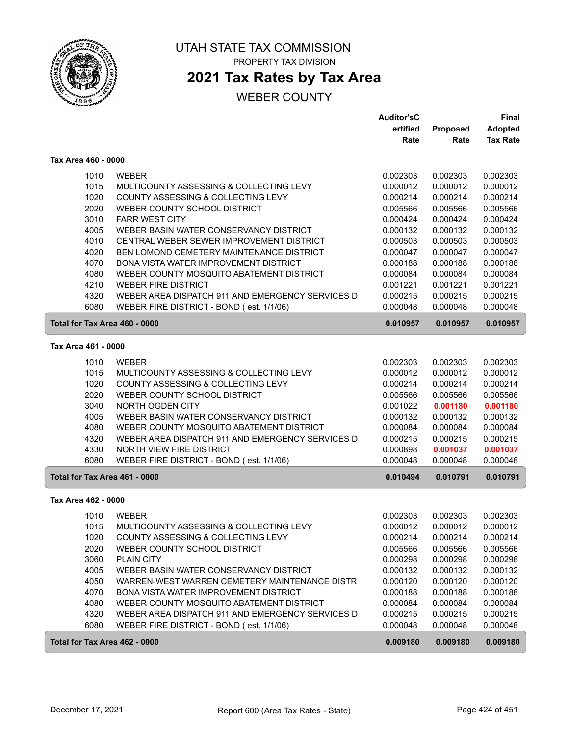

UTAH STATE TAX COMMISSION PROPERTY TAX DIVISION

# **2021 Tax Rates by Tax Area**

| ertified<br>Proposed<br><b>Adopted</b><br><b>Tax Rate</b><br>Rate<br>Rate<br>Tax Area 460 - 0000<br>1010<br><b>WEBER</b><br>0.002303<br>0.002303<br>0.002303<br>1015<br>MULTICOUNTY ASSESSING & COLLECTING LEVY<br>0.000012<br>0.000012<br>0.000012<br>1020<br>COUNTY ASSESSING & COLLECTING LEVY<br>0.000214<br>0.000214<br>0.000214<br>2020<br>WEBER COUNTY SCHOOL DISTRICT<br>0.005566<br>0.005566<br>0.005566<br>3010<br><b>FARR WEST CITY</b><br>0.000424<br>0.000424<br>0.000424<br>WEBER BASIN WATER CONSERVANCY DISTRICT<br>4005<br>0.000132<br>0.000132<br>0.000132<br>4010<br>CENTRAL WEBER SEWER IMPROVEMENT DISTRICT<br>0.000503<br>0.000503<br>0.000503<br>4020<br>BEN LOMOND CEMETERY MAINTENANCE DISTRICT<br>0.000047<br>0.000047<br>0.000047<br>4070<br>BONA VISTA WATER IMPROVEMENT DISTRICT<br>0.000188<br>0.000188<br>0.000188<br>4080<br>WEBER COUNTY MOSQUITO ABATEMENT DISTRICT<br>0.000084<br>0.000084<br>0.000084<br>4210<br><b>WEBER FIRE DISTRICT</b><br>0.001221<br>0.001221<br>0.001221<br>4320<br>WEBER AREA DISPATCH 911 AND EMERGENCY SERVICES D<br>0.000215<br>0.000215<br>0.000215<br>6080<br>WEBER FIRE DISTRICT - BOND (est. 1/1/06)<br>0.000048<br>0.000048<br>0.000048<br>Total for Tax Area 460 - 0000<br>0.010957<br>0.010957<br>0.010957<br>Tax Area 461 - 0000<br>1010<br><b>WEBER</b><br>0.002303<br>0.002303<br>0.002303<br>1015<br>MULTICOUNTY ASSESSING & COLLECTING LEVY<br>0.000012<br>0.000012<br>0.000012<br>1020<br>COUNTY ASSESSING & COLLECTING LEVY<br>0.000214<br>0.000214<br>0.000214<br>2020<br>WEBER COUNTY SCHOOL DISTRICT<br>0.005566<br>0.005566<br>0.005566<br>NORTH OGDEN CITY<br>3040<br>0.001022<br>0.001180<br>0.001180<br>4005<br>WEBER BASIN WATER CONSERVANCY DISTRICT<br>0.000132<br>0.000132<br>0.000132<br>4080<br>WEBER COUNTY MOSQUITO ABATEMENT DISTRICT<br>0.000084<br>0.000084<br>0.000084<br>4320<br>WEBER AREA DISPATCH 911 AND EMERGENCY SERVICES D<br>0.000215<br>0.000215<br>0.000215<br>4330<br>NORTH VIEW FIRE DISTRICT<br>0.000898<br>0.001037<br>0.001037<br>6080<br>WEBER FIRE DISTRICT - BOND (est. 1/1/06)<br>0.000048<br>0.000048<br>0.000048<br>Total for Tax Area 461 - 0000<br>0.010494<br>0.010791<br>0.010791<br>Tax Area 462 - 0000<br>1010<br><b>WEBER</b><br>0.002303<br>0.002303<br>0.002303<br>1015<br>MULTICOUNTY ASSESSING & COLLECTING LEVY<br>0.000012<br>0.000012<br>0.000012<br>1020<br>COUNTY ASSESSING & COLLECTING LEVY<br>0.000214<br>0.000214<br>0.000214<br>2020<br>WEBER COUNTY SCHOOL DISTRICT<br>0.005566<br>0.005566<br>0.005566<br>3060<br>PLAIN CITY<br>0.000298<br>0.000298<br>0.000298<br>4005<br>WEBER BASIN WATER CONSERVANCY DISTRICT<br>0.000132<br>0.000132<br>0.000132<br>4050<br>WARREN-WEST WARREN CEMETERY MAINTENANCE DISTR<br>0.000120<br>0.000120<br>0.000120<br>4070<br>BONA VISTA WATER IMPROVEMENT DISTRICT<br>0.000188<br>0.000188<br>0.000188<br>4080<br>WEBER COUNTY MOSQUITO ABATEMENT DISTRICT<br>0.000084<br>0.000084<br>0.000084<br>4320<br>WEBER AREA DISPATCH 911 AND EMERGENCY SERVICES D<br>0.000215<br>0.000215<br>0.000215<br>6080<br>WEBER FIRE DISTRICT - BOND (est. 1/1/06)<br>0.000048<br>0.000048<br>0.000048<br>Total for Tax Area 462 - 0000<br>0.009180<br>0.009180<br>0.009180 |  | <b>Auditor'sC</b> | <b>Final</b> |
|--------------------------------------------------------------------------------------------------------------------------------------------------------------------------------------------------------------------------------------------------------------------------------------------------------------------------------------------------------------------------------------------------------------------------------------------------------------------------------------------------------------------------------------------------------------------------------------------------------------------------------------------------------------------------------------------------------------------------------------------------------------------------------------------------------------------------------------------------------------------------------------------------------------------------------------------------------------------------------------------------------------------------------------------------------------------------------------------------------------------------------------------------------------------------------------------------------------------------------------------------------------------------------------------------------------------------------------------------------------------------------------------------------------------------------------------------------------------------------------------------------------------------------------------------------------------------------------------------------------------------------------------------------------------------------------------------------------------------------------------------------------------------------------------------------------------------------------------------------------------------------------------------------------------------------------------------------------------------------------------------------------------------------------------------------------------------------------------------------------------------------------------------------------------------------------------------------------------------------------------------------------------------------------------------------------------------------------------------------------------------------------------------------------------------------------------------------------------------------------------------------------------------------------------------------------------------------------------------------------------------------------------------------------------------------------------------------------------------------------------------------------------------------------------------------------------------------------------------------------------------------------------------------------------------------------------------------------------------------------------------------------------------------------------------------------------------------------------------------------------------------------------------------------------------------------------------------------------------------------------|--|-------------------|--------------|
|                                                                                                                                                                                                                                                                                                                                                                                                                                                                                                                                                                                                                                                                                                                                                                                                                                                                                                                                                                                                                                                                                                                                                                                                                                                                                                                                                                                                                                                                                                                                                                                                                                                                                                                                                                                                                                                                                                                                                                                                                                                                                                                                                                                                                                                                                                                                                                                                                                                                                                                                                                                                                                                                                                                                                                                                                                                                                                                                                                                                                                                                                                                                                                                                                                            |  |                   |              |
|                                                                                                                                                                                                                                                                                                                                                                                                                                                                                                                                                                                                                                                                                                                                                                                                                                                                                                                                                                                                                                                                                                                                                                                                                                                                                                                                                                                                                                                                                                                                                                                                                                                                                                                                                                                                                                                                                                                                                                                                                                                                                                                                                                                                                                                                                                                                                                                                                                                                                                                                                                                                                                                                                                                                                                                                                                                                                                                                                                                                                                                                                                                                                                                                                                            |  |                   |              |
|                                                                                                                                                                                                                                                                                                                                                                                                                                                                                                                                                                                                                                                                                                                                                                                                                                                                                                                                                                                                                                                                                                                                                                                                                                                                                                                                                                                                                                                                                                                                                                                                                                                                                                                                                                                                                                                                                                                                                                                                                                                                                                                                                                                                                                                                                                                                                                                                                                                                                                                                                                                                                                                                                                                                                                                                                                                                                                                                                                                                                                                                                                                                                                                                                                            |  |                   |              |
|                                                                                                                                                                                                                                                                                                                                                                                                                                                                                                                                                                                                                                                                                                                                                                                                                                                                                                                                                                                                                                                                                                                                                                                                                                                                                                                                                                                                                                                                                                                                                                                                                                                                                                                                                                                                                                                                                                                                                                                                                                                                                                                                                                                                                                                                                                                                                                                                                                                                                                                                                                                                                                                                                                                                                                                                                                                                                                                                                                                                                                                                                                                                                                                                                                            |  |                   |              |
|                                                                                                                                                                                                                                                                                                                                                                                                                                                                                                                                                                                                                                                                                                                                                                                                                                                                                                                                                                                                                                                                                                                                                                                                                                                                                                                                                                                                                                                                                                                                                                                                                                                                                                                                                                                                                                                                                                                                                                                                                                                                                                                                                                                                                                                                                                                                                                                                                                                                                                                                                                                                                                                                                                                                                                                                                                                                                                                                                                                                                                                                                                                                                                                                                                            |  |                   |              |
|                                                                                                                                                                                                                                                                                                                                                                                                                                                                                                                                                                                                                                                                                                                                                                                                                                                                                                                                                                                                                                                                                                                                                                                                                                                                                                                                                                                                                                                                                                                                                                                                                                                                                                                                                                                                                                                                                                                                                                                                                                                                                                                                                                                                                                                                                                                                                                                                                                                                                                                                                                                                                                                                                                                                                                                                                                                                                                                                                                                                                                                                                                                                                                                                                                            |  |                   |              |
|                                                                                                                                                                                                                                                                                                                                                                                                                                                                                                                                                                                                                                                                                                                                                                                                                                                                                                                                                                                                                                                                                                                                                                                                                                                                                                                                                                                                                                                                                                                                                                                                                                                                                                                                                                                                                                                                                                                                                                                                                                                                                                                                                                                                                                                                                                                                                                                                                                                                                                                                                                                                                                                                                                                                                                                                                                                                                                                                                                                                                                                                                                                                                                                                                                            |  |                   |              |
|                                                                                                                                                                                                                                                                                                                                                                                                                                                                                                                                                                                                                                                                                                                                                                                                                                                                                                                                                                                                                                                                                                                                                                                                                                                                                                                                                                                                                                                                                                                                                                                                                                                                                                                                                                                                                                                                                                                                                                                                                                                                                                                                                                                                                                                                                                                                                                                                                                                                                                                                                                                                                                                                                                                                                                                                                                                                                                                                                                                                                                                                                                                                                                                                                                            |  |                   |              |
|                                                                                                                                                                                                                                                                                                                                                                                                                                                                                                                                                                                                                                                                                                                                                                                                                                                                                                                                                                                                                                                                                                                                                                                                                                                                                                                                                                                                                                                                                                                                                                                                                                                                                                                                                                                                                                                                                                                                                                                                                                                                                                                                                                                                                                                                                                                                                                                                                                                                                                                                                                                                                                                                                                                                                                                                                                                                                                                                                                                                                                                                                                                                                                                                                                            |  |                   |              |
|                                                                                                                                                                                                                                                                                                                                                                                                                                                                                                                                                                                                                                                                                                                                                                                                                                                                                                                                                                                                                                                                                                                                                                                                                                                                                                                                                                                                                                                                                                                                                                                                                                                                                                                                                                                                                                                                                                                                                                                                                                                                                                                                                                                                                                                                                                                                                                                                                                                                                                                                                                                                                                                                                                                                                                                                                                                                                                                                                                                                                                                                                                                                                                                                                                            |  |                   |              |
|                                                                                                                                                                                                                                                                                                                                                                                                                                                                                                                                                                                                                                                                                                                                                                                                                                                                                                                                                                                                                                                                                                                                                                                                                                                                                                                                                                                                                                                                                                                                                                                                                                                                                                                                                                                                                                                                                                                                                                                                                                                                                                                                                                                                                                                                                                                                                                                                                                                                                                                                                                                                                                                                                                                                                                                                                                                                                                                                                                                                                                                                                                                                                                                                                                            |  |                   |              |
|                                                                                                                                                                                                                                                                                                                                                                                                                                                                                                                                                                                                                                                                                                                                                                                                                                                                                                                                                                                                                                                                                                                                                                                                                                                                                                                                                                                                                                                                                                                                                                                                                                                                                                                                                                                                                                                                                                                                                                                                                                                                                                                                                                                                                                                                                                                                                                                                                                                                                                                                                                                                                                                                                                                                                                                                                                                                                                                                                                                                                                                                                                                                                                                                                                            |  |                   |              |
|                                                                                                                                                                                                                                                                                                                                                                                                                                                                                                                                                                                                                                                                                                                                                                                                                                                                                                                                                                                                                                                                                                                                                                                                                                                                                                                                                                                                                                                                                                                                                                                                                                                                                                                                                                                                                                                                                                                                                                                                                                                                                                                                                                                                                                                                                                                                                                                                                                                                                                                                                                                                                                                                                                                                                                                                                                                                                                                                                                                                                                                                                                                                                                                                                                            |  |                   |              |
|                                                                                                                                                                                                                                                                                                                                                                                                                                                                                                                                                                                                                                                                                                                                                                                                                                                                                                                                                                                                                                                                                                                                                                                                                                                                                                                                                                                                                                                                                                                                                                                                                                                                                                                                                                                                                                                                                                                                                                                                                                                                                                                                                                                                                                                                                                                                                                                                                                                                                                                                                                                                                                                                                                                                                                                                                                                                                                                                                                                                                                                                                                                                                                                                                                            |  |                   |              |
|                                                                                                                                                                                                                                                                                                                                                                                                                                                                                                                                                                                                                                                                                                                                                                                                                                                                                                                                                                                                                                                                                                                                                                                                                                                                                                                                                                                                                                                                                                                                                                                                                                                                                                                                                                                                                                                                                                                                                                                                                                                                                                                                                                                                                                                                                                                                                                                                                                                                                                                                                                                                                                                                                                                                                                                                                                                                                                                                                                                                                                                                                                                                                                                                                                            |  |                   |              |
|                                                                                                                                                                                                                                                                                                                                                                                                                                                                                                                                                                                                                                                                                                                                                                                                                                                                                                                                                                                                                                                                                                                                                                                                                                                                                                                                                                                                                                                                                                                                                                                                                                                                                                                                                                                                                                                                                                                                                                                                                                                                                                                                                                                                                                                                                                                                                                                                                                                                                                                                                                                                                                                                                                                                                                                                                                                                                                                                                                                                                                                                                                                                                                                                                                            |  |                   |              |
|                                                                                                                                                                                                                                                                                                                                                                                                                                                                                                                                                                                                                                                                                                                                                                                                                                                                                                                                                                                                                                                                                                                                                                                                                                                                                                                                                                                                                                                                                                                                                                                                                                                                                                                                                                                                                                                                                                                                                                                                                                                                                                                                                                                                                                                                                                                                                                                                                                                                                                                                                                                                                                                                                                                                                                                                                                                                                                                                                                                                                                                                                                                                                                                                                                            |  |                   |              |
|                                                                                                                                                                                                                                                                                                                                                                                                                                                                                                                                                                                                                                                                                                                                                                                                                                                                                                                                                                                                                                                                                                                                                                                                                                                                                                                                                                                                                                                                                                                                                                                                                                                                                                                                                                                                                                                                                                                                                                                                                                                                                                                                                                                                                                                                                                                                                                                                                                                                                                                                                                                                                                                                                                                                                                                                                                                                                                                                                                                                                                                                                                                                                                                                                                            |  |                   |              |
|                                                                                                                                                                                                                                                                                                                                                                                                                                                                                                                                                                                                                                                                                                                                                                                                                                                                                                                                                                                                                                                                                                                                                                                                                                                                                                                                                                                                                                                                                                                                                                                                                                                                                                                                                                                                                                                                                                                                                                                                                                                                                                                                                                                                                                                                                                                                                                                                                                                                                                                                                                                                                                                                                                                                                                                                                                                                                                                                                                                                                                                                                                                                                                                                                                            |  |                   |              |
|                                                                                                                                                                                                                                                                                                                                                                                                                                                                                                                                                                                                                                                                                                                                                                                                                                                                                                                                                                                                                                                                                                                                                                                                                                                                                                                                                                                                                                                                                                                                                                                                                                                                                                                                                                                                                                                                                                                                                                                                                                                                                                                                                                                                                                                                                                                                                                                                                                                                                                                                                                                                                                                                                                                                                                                                                                                                                                                                                                                                                                                                                                                                                                                                                                            |  |                   |              |
|                                                                                                                                                                                                                                                                                                                                                                                                                                                                                                                                                                                                                                                                                                                                                                                                                                                                                                                                                                                                                                                                                                                                                                                                                                                                                                                                                                                                                                                                                                                                                                                                                                                                                                                                                                                                                                                                                                                                                                                                                                                                                                                                                                                                                                                                                                                                                                                                                                                                                                                                                                                                                                                                                                                                                                                                                                                                                                                                                                                                                                                                                                                                                                                                                                            |  |                   |              |
|                                                                                                                                                                                                                                                                                                                                                                                                                                                                                                                                                                                                                                                                                                                                                                                                                                                                                                                                                                                                                                                                                                                                                                                                                                                                                                                                                                                                                                                                                                                                                                                                                                                                                                                                                                                                                                                                                                                                                                                                                                                                                                                                                                                                                                                                                                                                                                                                                                                                                                                                                                                                                                                                                                                                                                                                                                                                                                                                                                                                                                                                                                                                                                                                                                            |  |                   |              |
|                                                                                                                                                                                                                                                                                                                                                                                                                                                                                                                                                                                                                                                                                                                                                                                                                                                                                                                                                                                                                                                                                                                                                                                                                                                                                                                                                                                                                                                                                                                                                                                                                                                                                                                                                                                                                                                                                                                                                                                                                                                                                                                                                                                                                                                                                                                                                                                                                                                                                                                                                                                                                                                                                                                                                                                                                                                                                                                                                                                                                                                                                                                                                                                                                                            |  |                   |              |
|                                                                                                                                                                                                                                                                                                                                                                                                                                                                                                                                                                                                                                                                                                                                                                                                                                                                                                                                                                                                                                                                                                                                                                                                                                                                                                                                                                                                                                                                                                                                                                                                                                                                                                                                                                                                                                                                                                                                                                                                                                                                                                                                                                                                                                                                                                                                                                                                                                                                                                                                                                                                                                                                                                                                                                                                                                                                                                                                                                                                                                                                                                                                                                                                                                            |  |                   |              |
|                                                                                                                                                                                                                                                                                                                                                                                                                                                                                                                                                                                                                                                                                                                                                                                                                                                                                                                                                                                                                                                                                                                                                                                                                                                                                                                                                                                                                                                                                                                                                                                                                                                                                                                                                                                                                                                                                                                                                                                                                                                                                                                                                                                                                                                                                                                                                                                                                                                                                                                                                                                                                                                                                                                                                                                                                                                                                                                                                                                                                                                                                                                                                                                                                                            |  |                   |              |
|                                                                                                                                                                                                                                                                                                                                                                                                                                                                                                                                                                                                                                                                                                                                                                                                                                                                                                                                                                                                                                                                                                                                                                                                                                                                                                                                                                                                                                                                                                                                                                                                                                                                                                                                                                                                                                                                                                                                                                                                                                                                                                                                                                                                                                                                                                                                                                                                                                                                                                                                                                                                                                                                                                                                                                                                                                                                                                                                                                                                                                                                                                                                                                                                                                            |  |                   |              |
|                                                                                                                                                                                                                                                                                                                                                                                                                                                                                                                                                                                                                                                                                                                                                                                                                                                                                                                                                                                                                                                                                                                                                                                                                                                                                                                                                                                                                                                                                                                                                                                                                                                                                                                                                                                                                                                                                                                                                                                                                                                                                                                                                                                                                                                                                                                                                                                                                                                                                                                                                                                                                                                                                                                                                                                                                                                                                                                                                                                                                                                                                                                                                                                                                                            |  |                   |              |
|                                                                                                                                                                                                                                                                                                                                                                                                                                                                                                                                                                                                                                                                                                                                                                                                                                                                                                                                                                                                                                                                                                                                                                                                                                                                                                                                                                                                                                                                                                                                                                                                                                                                                                                                                                                                                                                                                                                                                                                                                                                                                                                                                                                                                                                                                                                                                                                                                                                                                                                                                                                                                                                                                                                                                                                                                                                                                                                                                                                                                                                                                                                                                                                                                                            |  |                   |              |
|                                                                                                                                                                                                                                                                                                                                                                                                                                                                                                                                                                                                                                                                                                                                                                                                                                                                                                                                                                                                                                                                                                                                                                                                                                                                                                                                                                                                                                                                                                                                                                                                                                                                                                                                                                                                                                                                                                                                                                                                                                                                                                                                                                                                                                                                                                                                                                                                                                                                                                                                                                                                                                                                                                                                                                                                                                                                                                                                                                                                                                                                                                                                                                                                                                            |  |                   |              |
|                                                                                                                                                                                                                                                                                                                                                                                                                                                                                                                                                                                                                                                                                                                                                                                                                                                                                                                                                                                                                                                                                                                                                                                                                                                                                                                                                                                                                                                                                                                                                                                                                                                                                                                                                                                                                                                                                                                                                                                                                                                                                                                                                                                                                                                                                                                                                                                                                                                                                                                                                                                                                                                                                                                                                                                                                                                                                                                                                                                                                                                                                                                                                                                                                                            |  |                   |              |
|                                                                                                                                                                                                                                                                                                                                                                                                                                                                                                                                                                                                                                                                                                                                                                                                                                                                                                                                                                                                                                                                                                                                                                                                                                                                                                                                                                                                                                                                                                                                                                                                                                                                                                                                                                                                                                                                                                                                                                                                                                                                                                                                                                                                                                                                                                                                                                                                                                                                                                                                                                                                                                                                                                                                                                                                                                                                                                                                                                                                                                                                                                                                                                                                                                            |  |                   |              |
|                                                                                                                                                                                                                                                                                                                                                                                                                                                                                                                                                                                                                                                                                                                                                                                                                                                                                                                                                                                                                                                                                                                                                                                                                                                                                                                                                                                                                                                                                                                                                                                                                                                                                                                                                                                                                                                                                                                                                                                                                                                                                                                                                                                                                                                                                                                                                                                                                                                                                                                                                                                                                                                                                                                                                                                                                                                                                                                                                                                                                                                                                                                                                                                                                                            |  |                   |              |
|                                                                                                                                                                                                                                                                                                                                                                                                                                                                                                                                                                                                                                                                                                                                                                                                                                                                                                                                                                                                                                                                                                                                                                                                                                                                                                                                                                                                                                                                                                                                                                                                                                                                                                                                                                                                                                                                                                                                                                                                                                                                                                                                                                                                                                                                                                                                                                                                                                                                                                                                                                                                                                                                                                                                                                                                                                                                                                                                                                                                                                                                                                                                                                                                                                            |  |                   |              |
|                                                                                                                                                                                                                                                                                                                                                                                                                                                                                                                                                                                                                                                                                                                                                                                                                                                                                                                                                                                                                                                                                                                                                                                                                                                                                                                                                                                                                                                                                                                                                                                                                                                                                                                                                                                                                                                                                                                                                                                                                                                                                                                                                                                                                                                                                                                                                                                                                                                                                                                                                                                                                                                                                                                                                                                                                                                                                                                                                                                                                                                                                                                                                                                                                                            |  |                   |              |
|                                                                                                                                                                                                                                                                                                                                                                                                                                                                                                                                                                                                                                                                                                                                                                                                                                                                                                                                                                                                                                                                                                                                                                                                                                                                                                                                                                                                                                                                                                                                                                                                                                                                                                                                                                                                                                                                                                                                                                                                                                                                                                                                                                                                                                                                                                                                                                                                                                                                                                                                                                                                                                                                                                                                                                                                                                                                                                                                                                                                                                                                                                                                                                                                                                            |  |                   |              |
|                                                                                                                                                                                                                                                                                                                                                                                                                                                                                                                                                                                                                                                                                                                                                                                                                                                                                                                                                                                                                                                                                                                                                                                                                                                                                                                                                                                                                                                                                                                                                                                                                                                                                                                                                                                                                                                                                                                                                                                                                                                                                                                                                                                                                                                                                                                                                                                                                                                                                                                                                                                                                                                                                                                                                                                                                                                                                                                                                                                                                                                                                                                                                                                                                                            |  |                   |              |
|                                                                                                                                                                                                                                                                                                                                                                                                                                                                                                                                                                                                                                                                                                                                                                                                                                                                                                                                                                                                                                                                                                                                                                                                                                                                                                                                                                                                                                                                                                                                                                                                                                                                                                                                                                                                                                                                                                                                                                                                                                                                                                                                                                                                                                                                                                                                                                                                                                                                                                                                                                                                                                                                                                                                                                                                                                                                                                                                                                                                                                                                                                                                                                                                                                            |  |                   |              |
|                                                                                                                                                                                                                                                                                                                                                                                                                                                                                                                                                                                                                                                                                                                                                                                                                                                                                                                                                                                                                                                                                                                                                                                                                                                                                                                                                                                                                                                                                                                                                                                                                                                                                                                                                                                                                                                                                                                                                                                                                                                                                                                                                                                                                                                                                                                                                                                                                                                                                                                                                                                                                                                                                                                                                                                                                                                                                                                                                                                                                                                                                                                                                                                                                                            |  |                   |              |
|                                                                                                                                                                                                                                                                                                                                                                                                                                                                                                                                                                                                                                                                                                                                                                                                                                                                                                                                                                                                                                                                                                                                                                                                                                                                                                                                                                                                                                                                                                                                                                                                                                                                                                                                                                                                                                                                                                                                                                                                                                                                                                                                                                                                                                                                                                                                                                                                                                                                                                                                                                                                                                                                                                                                                                                                                                                                                                                                                                                                                                                                                                                                                                                                                                            |  |                   |              |
|                                                                                                                                                                                                                                                                                                                                                                                                                                                                                                                                                                                                                                                                                                                                                                                                                                                                                                                                                                                                                                                                                                                                                                                                                                                                                                                                                                                                                                                                                                                                                                                                                                                                                                                                                                                                                                                                                                                                                                                                                                                                                                                                                                                                                                                                                                                                                                                                                                                                                                                                                                                                                                                                                                                                                                                                                                                                                                                                                                                                                                                                                                                                                                                                                                            |  |                   |              |
|                                                                                                                                                                                                                                                                                                                                                                                                                                                                                                                                                                                                                                                                                                                                                                                                                                                                                                                                                                                                                                                                                                                                                                                                                                                                                                                                                                                                                                                                                                                                                                                                                                                                                                                                                                                                                                                                                                                                                                                                                                                                                                                                                                                                                                                                                                                                                                                                                                                                                                                                                                                                                                                                                                                                                                                                                                                                                                                                                                                                                                                                                                                                                                                                                                            |  |                   |              |
|                                                                                                                                                                                                                                                                                                                                                                                                                                                                                                                                                                                                                                                                                                                                                                                                                                                                                                                                                                                                                                                                                                                                                                                                                                                                                                                                                                                                                                                                                                                                                                                                                                                                                                                                                                                                                                                                                                                                                                                                                                                                                                                                                                                                                                                                                                                                                                                                                                                                                                                                                                                                                                                                                                                                                                                                                                                                                                                                                                                                                                                                                                                                                                                                                                            |  |                   |              |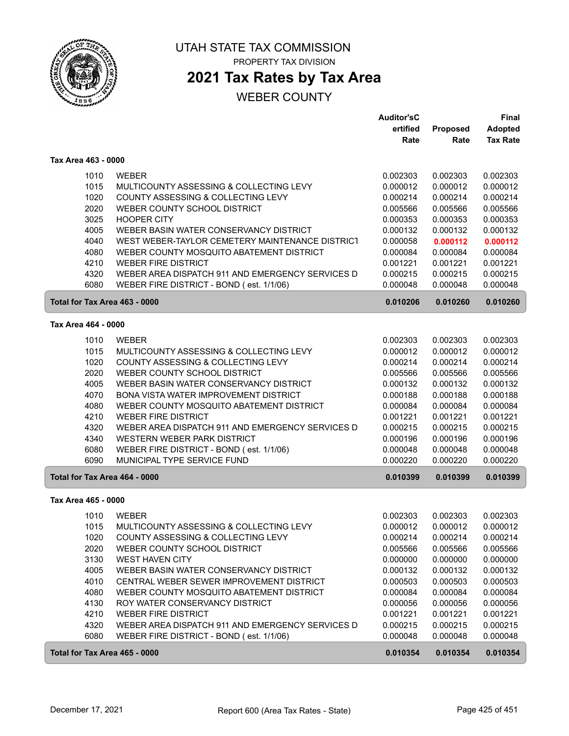

## **2021 Tax Rates by Tax Area**

|                               |                                                  | <b>Auditor'sC</b> |                 | <b>Final</b>    |
|-------------------------------|--------------------------------------------------|-------------------|-----------------|-----------------|
|                               |                                                  | ertified          | <b>Proposed</b> | <b>Adopted</b>  |
|                               |                                                  | Rate              | Rate            | <b>Tax Rate</b> |
| Tax Area 463 - 0000           |                                                  |                   |                 |                 |
| 1010                          | <b>WEBER</b>                                     | 0.002303          | 0.002303        | 0.002303        |
| 1015                          | MULTICOUNTY ASSESSING & COLLECTING LEVY          | 0.000012          | 0.000012        | 0.000012        |
| 1020                          | COUNTY ASSESSING & COLLECTING LEVY               | 0.000214          | 0.000214        | 0.000214        |
| 2020                          | WEBER COUNTY SCHOOL DISTRICT                     | 0.005566          | 0.005566        | 0.005566        |
| 3025                          | <b>HOOPER CITY</b>                               | 0.000353          | 0.000353        | 0.000353        |
| 4005                          | WEBER BASIN WATER CONSERVANCY DISTRICT           | 0.000132          | 0.000132        | 0.000132        |
| 4040                          | WEST WEBER-TAYLOR CEMETERY MAINTENANCE DISTRICT  | 0.000058          | 0.000112        | 0.000112        |
| 4080                          | WEBER COUNTY MOSQUITO ABATEMENT DISTRICT         | 0.000084          | 0.000084        | 0.000084        |
| 4210                          | <b>WEBER FIRE DISTRICT</b>                       | 0.001221          | 0.001221        | 0.001221        |
| 4320                          | WEBER AREA DISPATCH 911 AND EMERGENCY SERVICES D | 0.000215          | 0.000215        | 0.000215        |
| 6080                          | WEBER FIRE DISTRICT - BOND (est. 1/1/06)         | 0.000048          | 0.000048        | 0.000048        |
| Total for Tax Area 463 - 0000 |                                                  | 0.010206          | 0.010260        | 0.010260        |
| Tax Area 464 - 0000           |                                                  |                   |                 |                 |
|                               |                                                  |                   |                 |                 |
| 1010                          | <b>WEBER</b>                                     | 0.002303          | 0.002303        | 0.002303        |
| 1015                          | MULTICOUNTY ASSESSING & COLLECTING LEVY          | 0.000012          | 0.000012        | 0.000012        |
| 1020                          | COUNTY ASSESSING & COLLECTING LEVY               | 0.000214          | 0.000214        | 0.000214        |
| 2020                          | WEBER COUNTY SCHOOL DISTRICT                     | 0.005566          | 0.005566        | 0.005566        |
| 4005                          | WEBER BASIN WATER CONSERVANCY DISTRICT           | 0.000132          | 0.000132        | 0.000132        |
| 4070                          | BONA VISTA WATER IMPROVEMENT DISTRICT            | 0.000188          | 0.000188        | 0.000188        |
| 4080                          | WEBER COUNTY MOSQUITO ABATEMENT DISTRICT         | 0.000084          | 0.000084        | 0.000084        |
| 4210                          | <b>WEBER FIRE DISTRICT</b>                       | 0.001221          | 0.001221        | 0.001221        |
| 4320                          | WEBER AREA DISPATCH 911 AND EMERGENCY SERVICES D | 0.000215          | 0.000215        | 0.000215        |
| 4340                          | WESTERN WEBER PARK DISTRICT                      | 0.000196          | 0.000196        | 0.000196        |
| 6080                          | WEBER FIRE DISTRICT - BOND (est. 1/1/06)         | 0.000048          | 0.000048        | 0.000048        |
| 6090                          | MUNICIPAL TYPE SERVICE FUND                      | 0.000220          | 0.000220        | 0.000220        |
| Total for Tax Area 464 - 0000 |                                                  | 0.010399          | 0.010399        | 0.010399        |
| Tax Area 465 - 0000           |                                                  |                   |                 |                 |
| 1010                          | <b>WEBER</b>                                     | 0.002303          | 0.002303        | 0.002303        |
| 1015                          | MULTICOUNTY ASSESSING & COLLECTING LEVY          | 0.000012          | 0.000012        | 0.000012        |
| 1020                          | COUNTY ASSESSING & COLLECTING LEVY               | 0.000214          | 0.000214        | 0.000214        |
| 2020                          | WEBER COUNTY SCHOOL DISTRICT                     | 0.005566          | 0.005566        | 0.005566        |
| 3130                          | WEST HAVEN CITY                                  | 0.000000          | 0.000000        | 0.000000        |
| 4005                          | WEBER BASIN WATER CONSERVANCY DISTRICT           | 0.000132          | 0.000132        | 0.000132        |
| 4010                          | CENTRAL WEBER SEWER IMPROVEMENT DISTRICT         | 0.000503          | 0.000503        | 0.000503        |
| 4080                          | WEBER COUNTY MOSQUITO ABATEMENT DISTRICT         | 0.000084          | 0.000084        | 0.000084        |
| 4130                          | ROY WATER CONSERVANCY DISTRICT                   | 0.000056          | 0.000056        | 0.000056        |
| 4210                          | <b>WEBER FIRE DISTRICT</b>                       | 0.001221          | 0.001221        | 0.001221        |
| 4320                          | WEBER AREA DISPATCH 911 AND EMERGENCY SERVICES D | 0.000215          | 0.000215        | 0.000215        |
| 6080                          | WEBER FIRE DISTRICT - BOND (est. 1/1/06)         | 0.000048          | 0.000048        | 0.000048        |
| Total for Tax Area 465 - 0000 |                                                  | 0.010354          | 0.010354        | 0.010354        |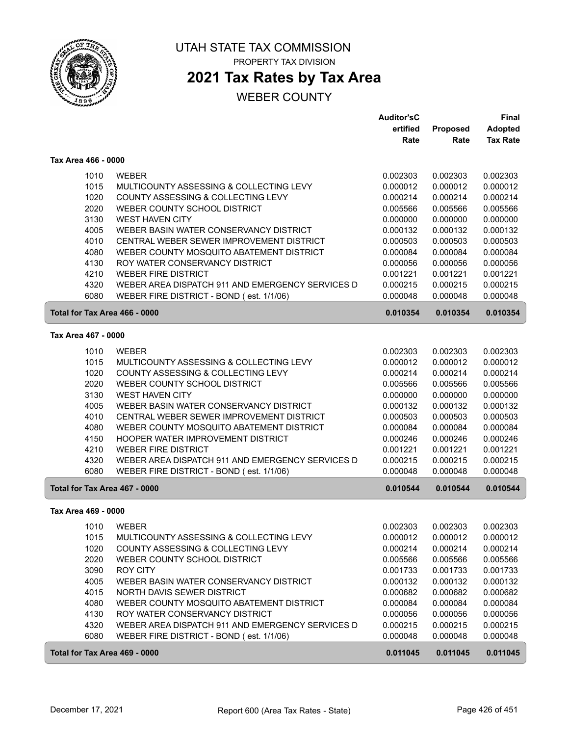

### **2021 Tax Rates by Tax Area**

|                               |                                                         | <b>Auditor'sC</b>    |                      | <b>Final</b>         |
|-------------------------------|---------------------------------------------------------|----------------------|----------------------|----------------------|
|                               |                                                         | ertified             | Proposed             | <b>Adopted</b>       |
|                               |                                                         | Rate                 | Rate                 | <b>Tax Rate</b>      |
| Tax Area 466 - 0000           |                                                         |                      |                      |                      |
| 1010                          | <b>WEBER</b>                                            | 0.002303             | 0.002303             | 0.002303             |
| 1015                          | MULTICOUNTY ASSESSING & COLLECTING LEVY                 | 0.000012             | 0.000012             | 0.000012             |
| 1020                          | COUNTY ASSESSING & COLLECTING LEVY                      | 0.000214             | 0.000214             | 0.000214             |
| 2020                          | WEBER COUNTY SCHOOL DISTRICT                            | 0.005566             | 0.005566             | 0.005566             |
| 3130                          | <b>WEST HAVEN CITY</b>                                  | 0.000000             | 0.000000             | 0.000000             |
| 4005                          | WEBER BASIN WATER CONSERVANCY DISTRICT                  | 0.000132             | 0.000132             | 0.000132             |
| 4010                          | CENTRAL WEBER SEWER IMPROVEMENT DISTRICT                | 0.000503             | 0.000503             | 0.000503             |
| 4080                          | WEBER COUNTY MOSQUITO ABATEMENT DISTRICT                | 0.000084             | 0.000084             | 0.000084             |
| 4130                          | ROY WATER CONSERVANCY DISTRICT                          | 0.000056             | 0.000056             | 0.000056             |
| 4210                          | <b>WEBER FIRE DISTRICT</b>                              | 0.001221             | 0.001221             | 0.001221             |
| 4320                          | WEBER AREA DISPATCH 911 AND EMERGENCY SERVICES D        | 0.000215             | 0.000215             | 0.000215             |
| 6080                          | WEBER FIRE DISTRICT - BOND (est. 1/1/06)                | 0.000048             | 0.000048             | 0.000048             |
| Total for Tax Area 466 - 0000 |                                                         | 0.010354             | 0.010354             | 0.010354             |
| Tax Area 467 - 0000           |                                                         |                      |                      |                      |
|                               |                                                         |                      |                      |                      |
| 1010<br>1015                  | <b>WEBER</b><br>MULTICOUNTY ASSESSING & COLLECTING LEVY | 0.002303<br>0.000012 | 0.002303<br>0.000012 | 0.002303<br>0.000012 |
| 1020                          | COUNTY ASSESSING & COLLECTING LEVY                      | 0.000214             | 0.000214             | 0.000214             |
| 2020                          | WEBER COUNTY SCHOOL DISTRICT                            | 0.005566             | 0.005566             | 0.005566             |
| 3130                          | <b>WEST HAVEN CITY</b>                                  | 0.000000             | 0.000000             | 0.000000             |
| 4005                          | WEBER BASIN WATER CONSERVANCY DISTRICT                  | 0.000132             | 0.000132             | 0.000132             |
| 4010                          | CENTRAL WEBER SEWER IMPROVEMENT DISTRICT                | 0.000503             | 0.000503             | 0.000503             |
| 4080                          | WEBER COUNTY MOSQUITO ABATEMENT DISTRICT                | 0.000084             | 0.000084             | 0.000084             |
| 4150                          | HOOPER WATER IMPROVEMENT DISTRICT                       | 0.000246             | 0.000246             | 0.000246             |
| 4210                          | <b>WEBER FIRE DISTRICT</b>                              | 0.001221             | 0.001221             | 0.001221             |
| 4320                          | WEBER AREA DISPATCH 911 AND EMERGENCY SERVICES D        | 0.000215             | 0.000215             | 0.000215             |
| 6080                          | WEBER FIRE DISTRICT - BOND (est. 1/1/06)                | 0.000048             | 0.000048             | 0.000048             |
| Total for Tax Area 467 - 0000 |                                                         | 0.010544             | 0.010544             | 0.010544             |
| Tax Area 469 - 0000           |                                                         |                      |                      |                      |
| 1010                          | WFBFR                                                   | 0.002303             | 0.002303             | 0.002303             |
| 1015                          | MULTICOUNTY ASSESSING & COLLECTING LEVY                 | 0.000012             | 0.000012             | 0.000012             |
| 1020                          | COUNTY ASSESSING & COLLECTING LEVY                      | 0.000214             | 0.000214             | 0.000214             |
| 2020                          | WEBER COUNTY SCHOOL DISTRICT                            | 0.005566             | 0.005566             | 0.005566             |
| 3090                          | <b>ROY CITY</b>                                         | 0.001733             | 0.001733             | 0.001733             |
| 4005                          | WEBER BASIN WATER CONSERVANCY DISTRICT                  | 0.000132             | 0.000132             | 0.000132             |
| 4015                          | NORTH DAVIS SEWER DISTRICT                              | 0.000682             | 0.000682             | 0.000682             |
| 4080                          | WEBER COUNTY MOSQUITO ABATEMENT DISTRICT                | 0.000084             | 0.000084             | 0.000084             |
| 4130                          | ROY WATER CONSERVANCY DISTRICT                          | 0.000056             | 0.000056             | 0.000056             |
| 4320                          | WEBER AREA DISPATCH 911 AND EMERGENCY SERVICES D        | 0.000215             | 0.000215             | 0.000215             |
| 6080                          | WEBER FIRE DISTRICT - BOND (est. 1/1/06)                | 0.000048             | 0.000048             | 0.000048             |
| Total for Tax Area 469 - 0000 |                                                         | 0.011045             | 0.011045             | 0.011045             |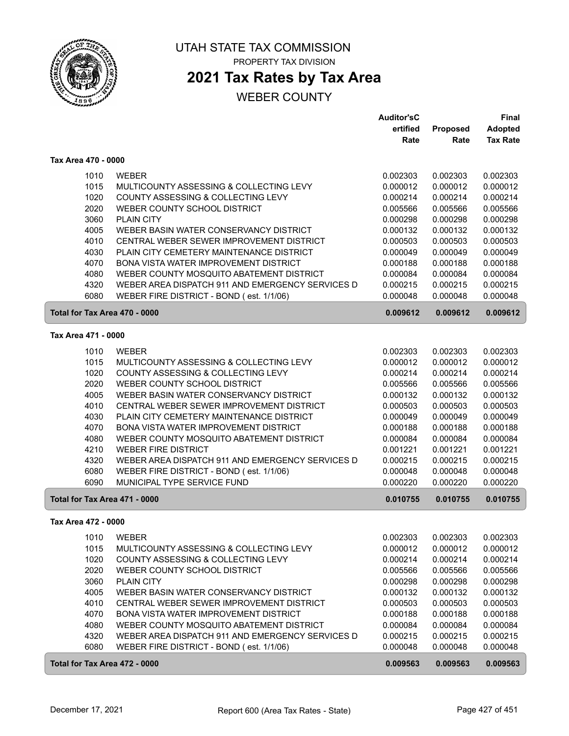

## **2021 Tax Rates by Tax Area**

|                               |                                                  | <b>Auditor'sC</b> |          | <b>Final</b>    |
|-------------------------------|--------------------------------------------------|-------------------|----------|-----------------|
|                               |                                                  | ertified          | Proposed | <b>Adopted</b>  |
|                               |                                                  | Rate              | Rate     | <b>Tax Rate</b> |
| Tax Area 470 - 0000           |                                                  |                   |          |                 |
| 1010                          | <b>WEBER</b>                                     | 0.002303          | 0.002303 | 0.002303        |
| 1015                          | MULTICOUNTY ASSESSING & COLLECTING LEVY          | 0.000012          | 0.000012 | 0.000012        |
| 1020                          | COUNTY ASSESSING & COLLECTING LEVY               | 0.000214          | 0.000214 | 0.000214        |
| 2020                          | WEBER COUNTY SCHOOL DISTRICT                     | 0.005566          | 0.005566 | 0.005566        |
| 3060                          | <b>PLAIN CITY</b>                                | 0.000298          | 0.000298 | 0.000298        |
| 4005                          | WEBER BASIN WATER CONSERVANCY DISTRICT           | 0.000132          | 0.000132 | 0.000132        |
| 4010                          | CENTRAL WEBER SEWER IMPROVEMENT DISTRICT         | 0.000503          | 0.000503 | 0.000503        |
| 4030                          | PLAIN CITY CEMETERY MAINTENANCE DISTRICT         | 0.000049          | 0.000049 | 0.000049        |
| 4070                          | BONA VISTA WATER IMPROVEMENT DISTRICT            | 0.000188          | 0.000188 | 0.000188        |
| 4080                          | WEBER COUNTY MOSQUITO ABATEMENT DISTRICT         | 0.000084          | 0.000084 | 0.000084        |
| 4320                          | WEBER AREA DISPATCH 911 AND EMERGENCY SERVICES D | 0.000215          | 0.000215 | 0.000215        |
| 6080                          | WEBER FIRE DISTRICT - BOND (est. 1/1/06)         | 0.000048          | 0.000048 | 0.000048        |
| Total for Tax Area 470 - 0000 |                                                  | 0.009612          | 0.009612 | 0.009612        |
| Tax Area 471 - 0000           |                                                  |                   |          |                 |
| 1010                          | <b>WEBER</b>                                     | 0.002303          | 0.002303 | 0.002303        |
| 1015                          | MULTICOUNTY ASSESSING & COLLECTING LEVY          | 0.000012          | 0.000012 | 0.000012        |
| 1020                          | COUNTY ASSESSING & COLLECTING LEVY               | 0.000214          | 0.000214 | 0.000214        |
| 2020                          | WEBER COUNTY SCHOOL DISTRICT                     | 0.005566          | 0.005566 | 0.005566        |
| 4005                          | WEBER BASIN WATER CONSERVANCY DISTRICT           | 0.000132          | 0.000132 | 0.000132        |
| 4010                          | CENTRAL WEBER SEWER IMPROVEMENT DISTRICT         | 0.000503          | 0.000503 | 0.000503        |
| 4030                          | PLAIN CITY CEMETERY MAINTENANCE DISTRICT         | 0.000049          | 0.000049 | 0.000049        |
| 4070                          | BONA VISTA WATER IMPROVEMENT DISTRICT            | 0.000188          | 0.000188 | 0.000188        |
| 4080                          | WEBER COUNTY MOSQUITO ABATEMENT DISTRICT         | 0.000084          | 0.000084 | 0.000084        |
| 4210                          | <b>WEBER FIRE DISTRICT</b>                       | 0.001221          | 0.001221 | 0.001221        |
| 4320                          | WEBER AREA DISPATCH 911 AND EMERGENCY SERVICES D | 0.000215          | 0.000215 | 0.000215        |
| 6080                          | WEBER FIRE DISTRICT - BOND (est. 1/1/06)         | 0.000048          | 0.000048 | 0.000048        |
| 6090                          | MUNICIPAL TYPE SERVICE FUND                      | 0.000220          | 0.000220 | 0.000220        |
| Total for Tax Area 471 - 0000 |                                                  | 0.010755          | 0.010755 | 0.010755        |
| Tax Area 472 - 0000           |                                                  |                   |          |                 |
| 1010                          | WEBER                                            | 0.002303          | 0.002303 | 0.002303        |
| 1015                          | MULTICOUNTY ASSESSING & COLLECTING LEVY          | 0.000012          | 0.000012 | 0.000012        |
| 1020                          | COUNTY ASSESSING & COLLECTING LEVY               | 0.000214          | 0.000214 | 0.000214        |
| 2020                          | WEBER COUNTY SCHOOL DISTRICT                     | 0.005566          | 0.005566 | 0.005566        |
| 3060                          | <b>PLAIN CITY</b>                                | 0.000298          | 0.000298 | 0.000298        |
| 4005                          | WEBER BASIN WATER CONSERVANCY DISTRICT           | 0.000132          | 0.000132 | 0.000132        |
| 4010                          | CENTRAL WEBER SEWER IMPROVEMENT DISTRICT         | 0.000503          | 0.000503 | 0.000503        |
| 4070                          | BONA VISTA WATER IMPROVEMENT DISTRICT            | 0.000188          | 0.000188 | 0.000188        |
| 4080                          | WEBER COUNTY MOSQUITO ABATEMENT DISTRICT         | 0.000084          | 0.000084 | 0.000084        |
| 4320                          | WEBER AREA DISPATCH 911 AND EMERGENCY SERVICES D | 0.000215          | 0.000215 | 0.000215        |
| 6080                          | WEBER FIRE DISTRICT - BOND (est. 1/1/06)         | 0.000048          | 0.000048 | 0.000048        |
| Total for Tax Area 472 - 0000 |                                                  | 0.009563          | 0.009563 | 0.009563        |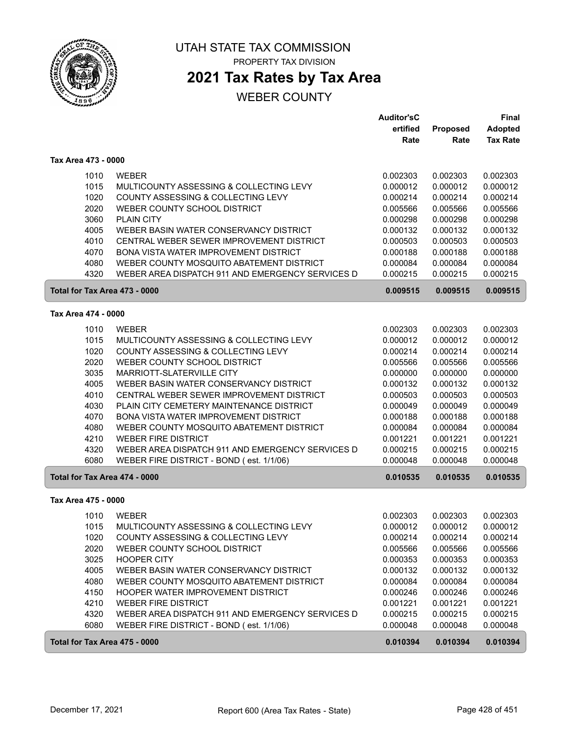

# **2021 Tax Rates by Tax Area**

|                               |                                                  | Auditor'sC |                 | <b>Final</b>    |
|-------------------------------|--------------------------------------------------|------------|-----------------|-----------------|
|                               |                                                  | ertified   | <b>Proposed</b> | <b>Adopted</b>  |
|                               |                                                  | Rate       | Rate            | <b>Tax Rate</b> |
| Tax Area 473 - 0000           |                                                  |            |                 |                 |
| 1010                          | <b>WEBER</b>                                     | 0.002303   | 0.002303        | 0.002303        |
| 1015                          | MULTICOUNTY ASSESSING & COLLECTING LEVY          | 0.000012   | 0.000012        | 0.000012        |
| 1020                          | COUNTY ASSESSING & COLLECTING LEVY               | 0.000214   | 0.000214        | 0.000214        |
| 2020                          | WEBER COUNTY SCHOOL DISTRICT                     | 0.005566   | 0.005566        | 0.005566        |
| 3060                          | <b>PLAIN CITY</b>                                | 0.000298   | 0.000298        | 0.000298        |
| 4005                          | WEBER BASIN WATER CONSERVANCY DISTRICT           | 0.000132   | 0.000132        | 0.000132        |
| 4010                          | CENTRAL WEBER SEWER IMPROVEMENT DISTRICT         | 0.000503   | 0.000503        | 0.000503        |
| 4070                          | BONA VISTA WATER IMPROVEMENT DISTRICT            | 0.000188   | 0.000188        | 0.000188        |
| 4080                          | WEBER COUNTY MOSQUITO ABATEMENT DISTRICT         | 0.000084   | 0.000084        | 0.000084        |
| 4320                          | WEBER AREA DISPATCH 911 AND EMERGENCY SERVICES D | 0.000215   | 0.000215        | 0.000215        |
| Total for Tax Area 473 - 0000 |                                                  | 0.009515   | 0.009515        | 0.009515        |
| Tax Area 474 - 0000           |                                                  |            |                 |                 |
|                               |                                                  |            |                 |                 |
| 1010                          | <b>WEBER</b>                                     | 0.002303   | 0.002303        | 0.002303        |
| 1015                          | MULTICOUNTY ASSESSING & COLLECTING LEVY          | 0.000012   | 0.000012        | 0.000012        |
| 1020                          | COUNTY ASSESSING & COLLECTING LEVY               | 0.000214   | 0.000214        | 0.000214        |
| 2020                          | WEBER COUNTY SCHOOL DISTRICT                     | 0.005566   | 0.005566        | 0.005566        |
| 3035                          | MARRIOTT-SLATERVILLE CITY                        | 0.000000   | 0.000000        | 0.000000        |
| 4005                          | WEBER BASIN WATER CONSERVANCY DISTRICT           | 0.000132   | 0.000132        | 0.000132        |
| 4010                          | CENTRAL WEBER SEWER IMPROVEMENT DISTRICT         | 0.000503   | 0.000503        | 0.000503        |
| 4030                          | PLAIN CITY CEMETERY MAINTENANCE DISTRICT         | 0.000049   | 0.000049        | 0.000049        |
| 4070                          | BONA VISTA WATER IMPROVEMENT DISTRICT            | 0.000188   | 0.000188        | 0.000188        |
| 4080                          | WEBER COUNTY MOSQUITO ABATEMENT DISTRICT         | 0.000084   | 0.000084        | 0.000084        |
| 4210                          | <b>WEBER FIRE DISTRICT</b>                       | 0.001221   | 0.001221        | 0.001221        |
| 4320                          | WEBER AREA DISPATCH 911 AND EMERGENCY SERVICES D | 0.000215   | 0.000215        | 0.000215        |
| 6080                          | WEBER FIRE DISTRICT - BOND (est. 1/1/06)         | 0.000048   | 0.000048        | 0.000048        |
| Total for Tax Area 474 - 0000 |                                                  | 0.010535   | 0.010535        | 0.010535        |
| Tax Area 475 - 0000           |                                                  |            |                 |                 |
| 1010                          | <b>WEBER</b>                                     | 0.002303   | 0.002303        | 0.002303        |
| 1015                          | MULTICOUNTY ASSESSING & COLLECTING LEVY          | 0.000012   | 0.000012        | 0.000012        |
| 1020                          | COUNTY ASSESSING & COLLECTING LEVY               | 0.000214   | 0.000214        | 0.000214        |
| 2020                          | WEBER COUNTY SCHOOL DISTRICT                     | 0.005566   | 0.005566        | 0.005566        |
| 3025                          | <b>HOOPER CITY</b>                               | 0.000353   | 0.000353        | 0.000353        |
| 4005                          | WEBER BASIN WATER CONSERVANCY DISTRICT           | 0.000132   | 0.000132        | 0.000132        |
| 4080                          | WEBER COUNTY MOSQUITO ABATEMENT DISTRICT         | 0.000084   | 0.000084        | 0.000084        |
| 4150                          | HOOPER WATER IMPROVEMENT DISTRICT                | 0.000246   | 0.000246        | 0.000246        |
| 4210                          | <b>WEBER FIRE DISTRICT</b>                       | 0.001221   | 0.001221        | 0.001221        |
| 4320                          | WEBER AREA DISPATCH 911 AND EMERGENCY SERVICES D | 0.000215   | 0.000215        | 0.000215        |
| 6080                          | WEBER FIRE DISTRICT - BOND (est. 1/1/06)         | 0.000048   | 0.000048        | 0.000048        |
| Total for Tax Area 475 - 0000 |                                                  | 0.010394   | 0.010394        | 0.010394        |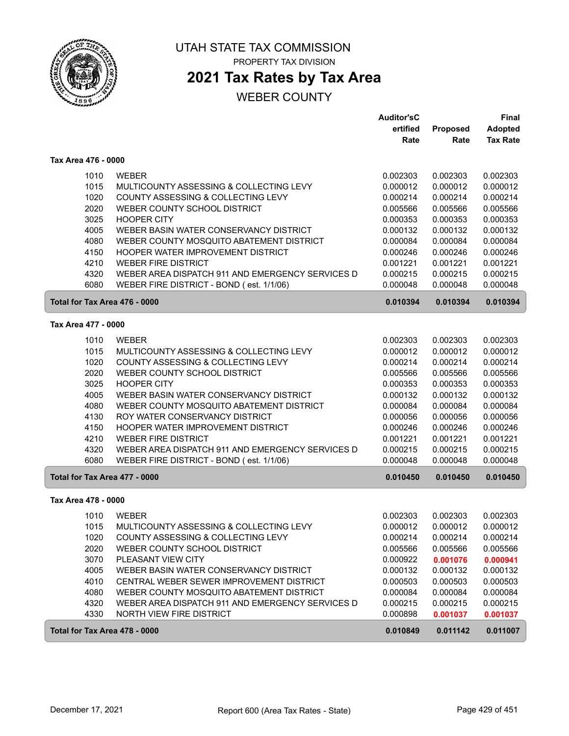

# UTAH STATE TAX COMMISSION

PROPERTY TAX DIVISION

# **2021 Tax Rates by Tax Area**

|                               |                                                                    | <b>Auditor'sC</b> |          | <b>Final</b>    |
|-------------------------------|--------------------------------------------------------------------|-------------------|----------|-----------------|
|                               |                                                                    | ertified          | Proposed | <b>Adopted</b>  |
|                               |                                                                    | Rate              | Rate     | <b>Tax Rate</b> |
| Tax Area 476 - 0000           |                                                                    |                   |          |                 |
| 1010                          | <b>WEBER</b>                                                       | 0.002303          | 0.002303 | 0.002303        |
| 1015                          | MULTICOUNTY ASSESSING & COLLECTING LEVY                            | 0.000012          | 0.000012 | 0.000012        |
| 1020                          | COUNTY ASSESSING & COLLECTING LEVY                                 | 0.000214          | 0.000214 | 0.000214        |
| 2020                          | WEBER COUNTY SCHOOL DISTRICT                                       | 0.005566          | 0.005566 | 0.005566        |
| 3025                          | <b>HOOPER CITY</b>                                                 | 0.000353          | 0.000353 | 0.000353        |
| 4005                          | WEBER BASIN WATER CONSERVANCY DISTRICT                             | 0.000132          | 0.000132 | 0.000132        |
| 4080                          | WEBER COUNTY MOSQUITO ABATEMENT DISTRICT                           | 0.000084          | 0.000084 | 0.000084        |
| 4150                          | HOOPER WATER IMPROVEMENT DISTRICT                                  | 0.000246          | 0.000246 | 0.000246        |
| 4210                          | <b>WEBER FIRE DISTRICT</b>                                         | 0.001221          | 0.001221 | 0.001221        |
| 4320                          | WEBER AREA DISPATCH 911 AND EMERGENCY SERVICES D                   | 0.000215          | 0.000215 | 0.000215        |
| 6080                          | WEBER FIRE DISTRICT - BOND (est. 1/1/06)                           | 0.000048          | 0.000048 | 0.000048        |
|                               |                                                                    |                   |          |                 |
| Total for Tax Area 476 - 0000 |                                                                    | 0.010394          | 0.010394 | 0.010394        |
| Tax Area 477 - 0000           |                                                                    |                   |          |                 |
| 1010                          | <b>WEBER</b>                                                       | 0.002303          | 0.002303 | 0.002303        |
| 1015                          | MULTICOUNTY ASSESSING & COLLECTING LEVY                            | 0.000012          | 0.000012 | 0.000012        |
| 1020                          | COUNTY ASSESSING & COLLECTING LEVY                                 | 0.000214          | 0.000214 | 0.000214        |
| 2020                          | WEBER COUNTY SCHOOL DISTRICT                                       | 0.005566          | 0.005566 | 0.005566        |
| 3025                          | <b>HOOPER CITY</b>                                                 | 0.000353          | 0.000353 | 0.000353        |
| 4005                          | WEBER BASIN WATER CONSERVANCY DISTRICT                             | 0.000132          | 0.000132 | 0.000132        |
| 4080                          | WEBER COUNTY MOSQUITO ABATEMENT DISTRICT                           | 0.000084          | 0.000084 | 0.000084        |
| 4130                          | ROY WATER CONSERVANCY DISTRICT                                     | 0.000056          | 0.000056 | 0.000056        |
| 4150                          | HOOPER WATER IMPROVEMENT DISTRICT                                  | 0.000246          | 0.000246 | 0.000246        |
| 4210                          | <b>WEBER FIRE DISTRICT</b>                                         | 0.001221          | 0.001221 | 0.001221        |
| 4320                          | WEBER AREA DISPATCH 911 AND EMERGENCY SERVICES D                   | 0.000215          | 0.000215 | 0.000215        |
| 6080                          | WEBER FIRE DISTRICT - BOND (est. 1/1/06)                           | 0.000048          | 0.000048 | 0.000048        |
| Total for Tax Area 477 - 0000 |                                                                    | 0.010450          | 0.010450 | 0.010450        |
| Tax Area 478 - 0000           |                                                                    |                   |          |                 |
| 1010                          | <b>WEBER</b>                                                       | 0.002303          | 0.002303 | 0.002303        |
|                               | MULTICOUNTY ASSESSING & COLLECTING LEVY                            | 0.000012          | 0.000012 | 0.000012        |
| 1015                          |                                                                    |                   |          |                 |
| 1020                          | COUNTY ASSESSING & COLLECTING LEVY<br>WEBER COUNTY SCHOOL DISTRICT | 0.000214          | 0.000214 | 0.000214        |
| 2020                          | PLEASANT VIEW CITY                                                 | 0.005566          | 0.005566 | 0.005566        |
| 3070                          |                                                                    | 0.000922          | 0.001076 | 0.000941        |
| 4005                          | WEBER BASIN WATER CONSERVANCY DISTRICT                             | 0.000132          | 0.000132 | 0.000132        |
| 4010                          | CENTRAL WEBER SEWER IMPROVEMENT DISTRICT                           | 0.000503          | 0.000503 | 0.000503        |
| 4080                          | WEBER COUNTY MOSQUITO ABATEMENT DISTRICT                           | 0.000084          | 0.000084 | 0.000084        |
| 4320                          | WEBER AREA DISPATCH 911 AND EMERGENCY SERVICES D                   | 0.000215          | 0.000215 | 0.000215        |
| 4330                          | NORTH VIEW FIRE DISTRICT                                           | 0.000898          | 0.001037 | 0.001037        |
| Total for Tax Area 478 - 0000 |                                                                    | 0.010849          | 0.011142 | 0.011007        |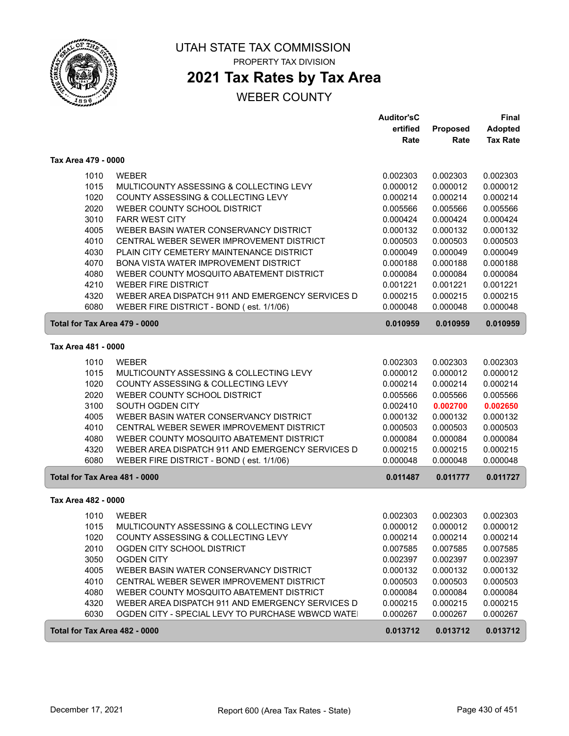

# **2021 Tax Rates by Tax Area**

|                               |                                                  | <b>Auditor'sC</b><br>ertified | <b>Proposed</b> | Final<br><b>Adopted</b> |
|-------------------------------|--------------------------------------------------|-------------------------------|-----------------|-------------------------|
|                               |                                                  | Rate                          | Rate            | <b>Tax Rate</b>         |
| Tax Area 479 - 0000           |                                                  |                               |                 |                         |
| 1010                          | <b>WEBER</b>                                     | 0.002303                      | 0.002303        | 0.002303                |
| 1015                          | MULTICOUNTY ASSESSING & COLLECTING LEVY          | 0.000012                      | 0.000012        | 0.000012                |
| 1020                          | COUNTY ASSESSING & COLLECTING LEVY               | 0.000214                      | 0.000214        | 0.000214                |
| 2020                          | WEBER COUNTY SCHOOL DISTRICT                     | 0.005566                      | 0.005566        | 0.005566                |
| 3010                          | <b>FARR WEST CITY</b>                            | 0.000424                      | 0.000424        | 0.000424                |
| 4005                          | WEBER BASIN WATER CONSERVANCY DISTRICT           | 0.000132                      | 0.000132        | 0.000132                |
| 4010                          | CENTRAL WEBER SEWER IMPROVEMENT DISTRICT         | 0.000503                      | 0.000503        | 0.000503                |
| 4030                          | PLAIN CITY CEMETERY MAINTENANCE DISTRICT         | 0.000049                      | 0.000049        | 0.000049                |
| 4070                          | BONA VISTA WATER IMPROVEMENT DISTRICT            | 0.000188                      | 0.000188        | 0.000188                |
| 4080                          | WEBER COUNTY MOSQUITO ABATEMENT DISTRICT         | 0.000084                      | 0.000084        | 0.000084                |
| 4210                          | <b>WEBER FIRE DISTRICT</b>                       | 0.001221                      | 0.001221        | 0.001221                |
| 4320                          | WEBER AREA DISPATCH 911 AND EMERGENCY SERVICES D | 0.000215                      | 0.000215        | 0.000215                |
| 6080                          | WEBER FIRE DISTRICT - BOND (est. 1/1/06)         | 0.000048                      | 0.000048        | 0.000048                |
| Total for Tax Area 479 - 0000 |                                                  | 0.010959                      | 0.010959        | 0.010959                |
| Tax Area 481 - 0000           |                                                  |                               |                 |                         |
| 1010                          | <b>WEBER</b>                                     | 0.002303                      | 0.002303        | 0.002303                |
| 1015                          | MULTICOUNTY ASSESSING & COLLECTING LEVY          | 0.000012                      | 0.000012        | 0.000012                |
| 1020                          | COUNTY ASSESSING & COLLECTING LEVY               | 0.000214                      | 0.000214        | 0.000214                |
| 2020                          | WEBER COUNTY SCHOOL DISTRICT                     | 0.005566                      | 0.005566        | 0.005566                |
| 3100                          | SOUTH OGDEN CITY                                 | 0.002410                      | 0.002700        | 0.002650                |
| 4005                          | WEBER BASIN WATER CONSERVANCY DISTRICT           | 0.000132                      | 0.000132        | 0.000132                |
| 4010                          | CENTRAL WEBER SEWER IMPROVEMENT DISTRICT         | 0.000503                      | 0.000503        | 0.000503                |
| 4080                          | WEBER COUNTY MOSQUITO ABATEMENT DISTRICT         | 0.000084                      | 0.000084        | 0.000084                |
| 4320                          | WEBER AREA DISPATCH 911 AND EMERGENCY SERVICES D | 0.000215                      | 0.000215        | 0.000215                |
| 6080                          | WEBER FIRE DISTRICT - BOND (est. 1/1/06)         | 0.000048                      | 0.000048        | 0.000048                |
| Total for Tax Area 481 - 0000 |                                                  | 0.011487                      | 0.011777        | 0.011727                |
| Tax Area 482 - 0000           |                                                  |                               |                 |                         |
| 1010                          | <b>WEBER</b>                                     | 0.002303                      | 0.002303        | 0.002303                |
| 1015                          | MULTICOUNTY ASSESSING & COLLECTING LEVY          | 0.000012                      | 0.000012        | 0.000012                |
| 1020                          | COUNTY ASSESSING & COLLECTING LEVY               | 0.000214                      | 0.000214        | 0.000214                |
| 2010                          | OGDEN CITY SCHOOL DISTRICT                       | 0.007585                      | 0.007585        | 0.007585                |
| 3050                          | <b>OGDEN CITY</b>                                | 0.002397                      | 0.002397        | 0.002397                |
| 4005                          | WEBER BASIN WATER CONSERVANCY DISTRICT           | 0.000132                      | 0.000132        | 0.000132                |
| 4010                          | CENTRAL WEBER SEWER IMPROVEMENT DISTRICT         | 0.000503                      | 0.000503        | 0.000503                |
| 4080                          | WEBER COUNTY MOSQUITO ABATEMENT DISTRICT         | 0.000084                      | 0.000084        | 0.000084                |
| 4320                          | WEBER AREA DISPATCH 911 AND EMERGENCY SERVICES D | 0.000215                      | 0.000215        | 0.000215                |
| 6030                          | OGDEN CITY - SPECIAL LEVY TO PURCHASE WBWCD WATE | 0.000267                      | 0.000267        | 0.000267                |
| Total for Tax Area 482 - 0000 |                                                  | 0.013712                      | 0.013712        | 0.013712                |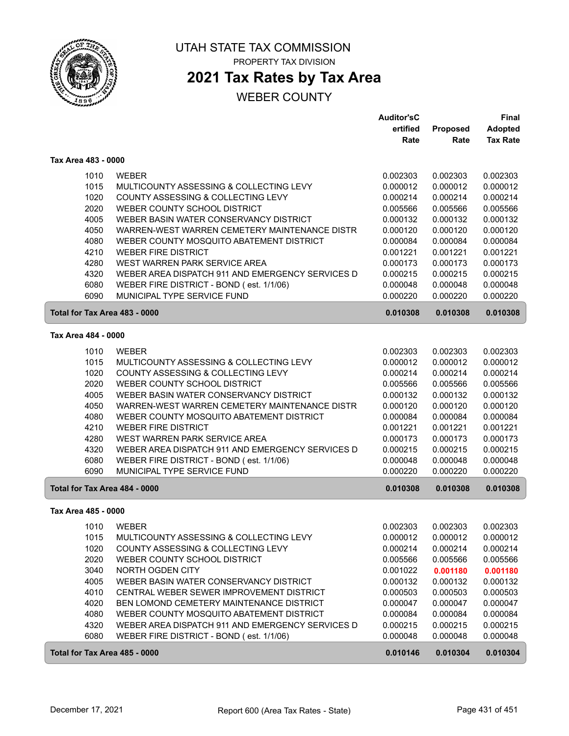

## **2021 Tax Rates by Tax Area**

|                               |                                                  | <b>Auditor'sC</b> |          | Final           |
|-------------------------------|--------------------------------------------------|-------------------|----------|-----------------|
|                               |                                                  | ertified          | Proposed | <b>Adopted</b>  |
|                               |                                                  | Rate              | Rate     | <b>Tax Rate</b> |
| Tax Area 483 - 0000           |                                                  |                   |          |                 |
| 1010                          | <b>WEBER</b>                                     | 0.002303          | 0.002303 | 0.002303        |
| 1015                          | MULTICOUNTY ASSESSING & COLLECTING LEVY          | 0.000012          | 0.000012 | 0.000012        |
| 1020                          | COUNTY ASSESSING & COLLECTING LEVY               | 0.000214          | 0.000214 | 0.000214        |
| 2020                          | WEBER COUNTY SCHOOL DISTRICT                     | 0.005566          | 0.005566 | 0.005566        |
| 4005                          | WEBER BASIN WATER CONSERVANCY DISTRICT           | 0.000132          | 0.000132 | 0.000132        |
| 4050                          | WARREN-WEST WARREN CEMETERY MAINTENANCE DISTR    | 0.000120          | 0.000120 | 0.000120        |
| 4080                          | WEBER COUNTY MOSQUITO ABATEMENT DISTRICT         | 0.000084          | 0.000084 | 0.000084        |
| 4210                          | <b>WEBER FIRE DISTRICT</b>                       | 0.001221          | 0.001221 | 0.001221        |
| 4280                          | WEST WARREN PARK SERVICE AREA                    | 0.000173          | 0.000173 | 0.000173        |
| 4320                          | WEBER AREA DISPATCH 911 AND EMERGENCY SERVICES D | 0.000215          | 0.000215 | 0.000215        |
| 6080                          | WEBER FIRE DISTRICT - BOND (est. 1/1/06)         | 0.000048          | 0.000048 | 0.000048        |
| 6090                          | MUNICIPAL TYPE SERVICE FUND                      | 0.000220          | 0.000220 | 0.000220        |
| Total for Tax Area 483 - 0000 |                                                  | 0.010308          | 0.010308 | 0.010308        |
| Tax Area 484 - 0000           |                                                  |                   |          |                 |
| 1010                          | <b>WEBER</b>                                     | 0.002303          | 0.002303 | 0.002303        |
| 1015                          | MULTICOUNTY ASSESSING & COLLECTING LEVY          | 0.000012          | 0.000012 | 0.000012        |
| 1020                          | COUNTY ASSESSING & COLLECTING LEVY               | 0.000214          | 0.000214 | 0.000214        |
| 2020                          | WEBER COUNTY SCHOOL DISTRICT                     | 0.005566          | 0.005566 | 0.005566        |
| 4005                          | WEBER BASIN WATER CONSERVANCY DISTRICT           | 0.000132          | 0.000132 | 0.000132        |
| 4050                          | WARREN-WEST WARREN CEMETERY MAINTENANCE DISTR    | 0.000120          | 0.000120 | 0.000120        |
| 4080                          | WEBER COUNTY MOSQUITO ABATEMENT DISTRICT         | 0.000084          | 0.000084 | 0.000084        |
| 4210                          | <b>WEBER FIRE DISTRICT</b>                       | 0.001221          | 0.001221 | 0.001221        |
| 4280                          | WEST WARREN PARK SERVICE AREA                    | 0.000173          | 0.000173 | 0.000173        |
| 4320                          | WEBER AREA DISPATCH 911 AND EMERGENCY SERVICES D | 0.000215          | 0.000215 | 0.000215        |
| 6080                          | WEBER FIRE DISTRICT - BOND (est. 1/1/06)         | 0.000048          | 0.000048 | 0.000048        |
| 6090                          | MUNICIPAL TYPE SERVICE FUND                      | 0.000220          | 0.000220 | 0.000220        |
| Total for Tax Area 484 - 0000 |                                                  | 0.010308          | 0.010308 | 0.010308        |
| Tax Area 485 - 0000           |                                                  |                   |          |                 |
| 1010                          | <b>WEBER</b>                                     | 0.002303          | 0.002303 | 0.002303        |
| 1015                          | MULTICOUNTY ASSESSING & COLLECTING LEVY          | 0.000012          | 0.000012 | 0.000012        |
| 1020                          | COUNTY ASSESSING & COLLECTING LEVY               | 0.000214          | 0.000214 | 0.000214        |
| 2020                          | WEBER COUNTY SCHOOL DISTRICT                     | 0.005566          | 0.005566 | 0.005566        |
| 3040                          | NORTH OGDEN CITY                                 | 0.001022          | 0.001180 | 0.001180        |
| 4005                          | WEBER BASIN WATER CONSERVANCY DISTRICT           | 0.000132          | 0.000132 | 0.000132        |
| 4010                          | CENTRAL WEBER SEWER IMPROVEMENT DISTRICT         | 0.000503          | 0.000503 | 0.000503        |
| 4020                          | BEN LOMOND CEMETERY MAINTENANCE DISTRICT         | 0.000047          | 0.000047 | 0.000047        |
| 4080                          | WEBER COUNTY MOSQUITO ABATEMENT DISTRICT         | 0.000084          | 0.000084 | 0.000084        |
| 4320                          | WEBER AREA DISPATCH 911 AND EMERGENCY SERVICES D | 0.000215          | 0.000215 | 0.000215        |
| 6080                          | WEBER FIRE DISTRICT - BOND (est. 1/1/06)         | 0.000048          | 0.000048 | 0.000048        |
| Total for Tax Area 485 - 0000 |                                                  | 0.010146          | 0.010304 | 0.010304        |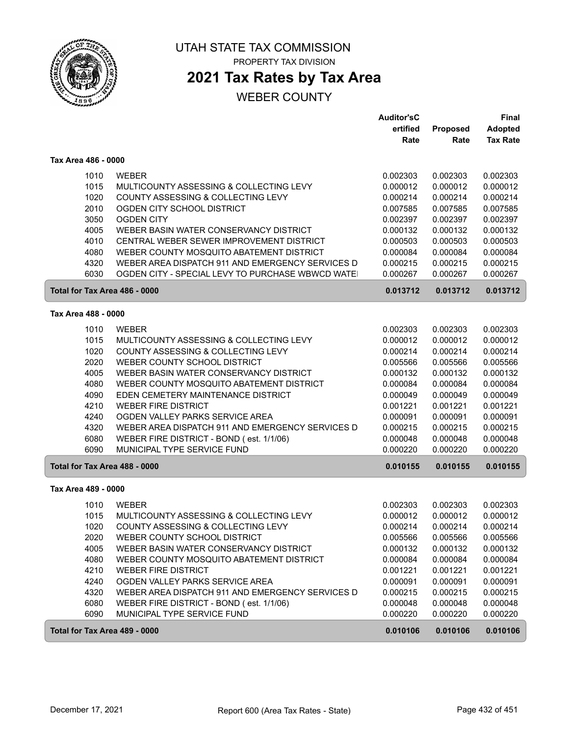

## **2021 Tax Rates by Tax Area**

|                               |                                                                                      | <b>Auditor'sC</b><br>ertified<br>Rate | Proposed<br>Rate     | <b>Final</b><br><b>Adopted</b><br><b>Tax Rate</b> |
|-------------------------------|--------------------------------------------------------------------------------------|---------------------------------------|----------------------|---------------------------------------------------|
| Tax Area 486 - 0000           |                                                                                      |                                       |                      |                                                   |
| 1010                          | <b>WEBER</b>                                                                         | 0.002303                              | 0.002303             | 0.002303                                          |
| 1015                          | MULTICOUNTY ASSESSING & COLLECTING LEVY                                              | 0.000012                              | 0.000012             | 0.000012                                          |
| 1020                          | COUNTY ASSESSING & COLLECTING LEVY                                                   | 0.000214                              | 0.000214             | 0.000214                                          |
| 2010                          | OGDEN CITY SCHOOL DISTRICT                                                           | 0.007585                              | 0.007585             | 0.007585                                          |
| 3050                          | <b>OGDEN CITY</b>                                                                    | 0.002397                              | 0.002397             | 0.002397                                          |
| 4005                          | WEBER BASIN WATER CONSERVANCY DISTRICT                                               | 0.000132                              | 0.000132             | 0.000132                                          |
| 4010<br>4080                  | CENTRAL WEBER SEWER IMPROVEMENT DISTRICT<br>WEBER COUNTY MOSQUITO ABATEMENT DISTRICT | 0.000503<br>0.000084                  | 0.000503<br>0.000084 | 0.000503<br>0.000084                              |
| 4320                          | WEBER AREA DISPATCH 911 AND EMERGENCY SERVICES D                                     | 0.000215                              | 0.000215             | 0.000215                                          |
| 6030                          | OGDEN CITY - SPECIAL LEVY TO PURCHASE WBWCD WATE                                     | 0.000267                              | 0.000267             | 0.000267                                          |
| Total for Tax Area 486 - 0000 |                                                                                      | 0.013712                              | 0.013712             | 0.013712                                          |
| Tax Area 488 - 0000           |                                                                                      |                                       |                      |                                                   |
| 1010                          | <b>WEBER</b>                                                                         | 0.002303                              | 0.002303             | 0.002303                                          |
| 1015                          | MULTICOUNTY ASSESSING & COLLECTING LEVY                                              | 0.000012                              | 0.000012             | 0.000012                                          |
| 1020                          | COUNTY ASSESSING & COLLECTING LEVY                                                   | 0.000214                              | 0.000214             | 0.000214                                          |
| 2020                          | WEBER COUNTY SCHOOL DISTRICT                                                         | 0.005566                              | 0.005566             | 0.005566                                          |
| 4005                          | WEBER BASIN WATER CONSERVANCY DISTRICT                                               | 0.000132                              | 0.000132             | 0.000132                                          |
| 4080                          | WEBER COUNTY MOSQUITO ABATEMENT DISTRICT                                             | 0.000084                              | 0.000084             | 0.000084                                          |
| 4090<br>4210                  | EDEN CEMETERY MAINTENANCE DISTRICT<br><b>WEBER FIRE DISTRICT</b>                     | 0.000049<br>0.001221                  | 0.000049<br>0.001221 | 0.000049<br>0.001221                              |
| 4240                          | OGDEN VALLEY PARKS SERVICE AREA                                                      | 0.000091                              | 0.000091             | 0.000091                                          |
| 4320                          | WEBER AREA DISPATCH 911 AND EMERGENCY SERVICES D                                     | 0.000215                              | 0.000215             | 0.000215                                          |
| 6080                          | WEBER FIRE DISTRICT - BOND (est. 1/1/06)                                             | 0.000048                              | 0.000048             | 0.000048                                          |
| 6090                          | MUNICIPAL TYPE SERVICE FUND                                                          | 0.000220                              | 0.000220             | 0.000220                                          |
| Total for Tax Area 488 - 0000 |                                                                                      | 0.010155                              | 0.010155             | 0.010155                                          |
| Tax Area 489 - 0000           |                                                                                      |                                       |                      |                                                   |
| 1010                          | <b>WEBER</b>                                                                         | 0.002303                              | 0.002303             | 0.002303                                          |
| 1015                          | MULTICOUNTY ASSESSING & COLLECTING LEVY                                              | 0.000012                              | 0.000012             | 0.000012                                          |
| 1020                          | COUNTY ASSESSING & COLLECTING LEVY                                                   | 0.000214                              | 0.000214             | 0.000214                                          |
| 2020                          | WEBER COUNTY SCHOOL DISTRICT                                                         | 0.005566                              | 0.005566             | 0.005566                                          |
| 4005                          | WEBER BASIN WATER CONSERVANCY DISTRICT                                               | 0.000132                              | 0.000132             | 0.000132                                          |
| 4080                          | WEBER COUNTY MOSQUITO ABATEMENT DISTRICT                                             | 0.000084                              | 0.000084             | 0.000084                                          |
| 4210<br>4240                  | <b>WEBER FIRE DISTRICT</b><br>OGDEN VALLEY PARKS SERVICE AREA                        | 0.001221                              | 0.001221<br>0.000091 | 0.001221<br>0.000091                              |
| 4320                          | WEBER AREA DISPATCH 911 AND EMERGENCY SERVICES D                                     | 0.000091<br>0.000215                  | 0.000215             | 0.000215                                          |
| 6080                          | WEBER FIRE DISTRICT - BOND (est. 1/1/06)                                             | 0.000048                              | 0.000048             | 0.000048                                          |
| 6090                          | MUNICIPAL TYPE SERVICE FUND                                                          | 0.000220                              | 0.000220             | 0.000220                                          |
| Total for Tax Area 489 - 0000 |                                                                                      | 0.010106                              | 0.010106             | 0.010106                                          |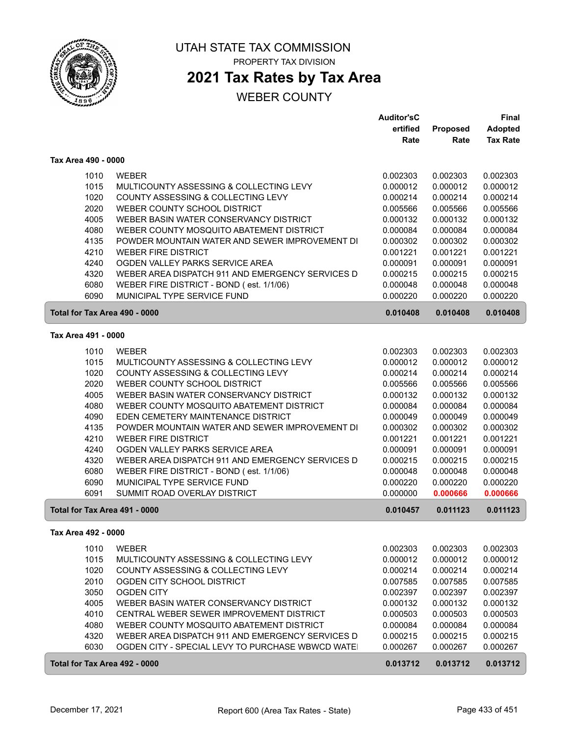

### **2021 Tax Rates by Tax Area**

|                               |                                                  | <b>Auditor'sC</b> |          | Final           |
|-------------------------------|--------------------------------------------------|-------------------|----------|-----------------|
|                               |                                                  | ertified          | Proposed | <b>Adopted</b>  |
|                               |                                                  | Rate              | Rate     | <b>Tax Rate</b> |
| Tax Area 490 - 0000           |                                                  |                   |          |                 |
| 1010                          | <b>WEBER</b>                                     | 0.002303          | 0.002303 | 0.002303        |
| 1015                          | MULTICOUNTY ASSESSING & COLLECTING LEVY          | 0.000012          | 0.000012 | 0.000012        |
| 1020                          | COUNTY ASSESSING & COLLECTING LEVY               | 0.000214          | 0.000214 | 0.000214        |
| 2020                          | WEBER COUNTY SCHOOL DISTRICT                     | 0.005566          | 0.005566 | 0.005566        |
| 4005                          | WEBER BASIN WATER CONSERVANCY DISTRICT           | 0.000132          | 0.000132 | 0.000132        |
| 4080                          | WEBER COUNTY MOSQUITO ABATEMENT DISTRICT         | 0.000084          | 0.000084 | 0.000084        |
| 4135                          | POWDER MOUNTAIN WATER AND SEWER IMPROVEMENT DI   | 0.000302          | 0.000302 | 0.000302        |
| 4210                          | <b>WEBER FIRE DISTRICT</b>                       | 0.001221          | 0.001221 | 0.001221        |
| 4240                          | OGDEN VALLEY PARKS SERVICE AREA                  | 0.000091          | 0.000091 | 0.000091        |
| 4320                          | WEBER AREA DISPATCH 911 AND EMERGENCY SERVICES D | 0.000215          | 0.000215 | 0.000215        |
| 6080                          | WEBER FIRE DISTRICT - BOND (est. 1/1/06)         | 0.000048          | 0.000048 | 0.000048        |
| 6090                          | MUNICIPAL TYPE SERVICE FUND                      | 0.000220          | 0.000220 | 0.000220        |
| Total for Tax Area 490 - 0000 |                                                  | 0.010408          | 0.010408 | 0.010408        |
| Tax Area 491 - 0000           |                                                  |                   |          |                 |
| 1010                          | <b>WEBER</b>                                     | 0.002303          | 0.002303 | 0.002303        |
| 1015                          | MULTICOUNTY ASSESSING & COLLECTING LEVY          | 0.000012          | 0.000012 | 0.000012        |
| 1020                          | COUNTY ASSESSING & COLLECTING LEVY               | 0.000214          | 0.000214 | 0.000214        |
| 2020                          | WEBER COUNTY SCHOOL DISTRICT                     | 0.005566          | 0.005566 | 0.005566        |
| 4005                          | WEBER BASIN WATER CONSERVANCY DISTRICT           | 0.000132          | 0.000132 | 0.000132        |
| 4080                          | WEBER COUNTY MOSQUITO ABATEMENT DISTRICT         | 0.000084          | 0.000084 | 0.000084        |
| 4090                          | EDEN CEMETERY MAINTENANCE DISTRICT               | 0.000049          | 0.000049 | 0.000049        |
| 4135                          | POWDER MOUNTAIN WATER AND SEWER IMPROVEMENT DI   | 0.000302          | 0.000302 | 0.000302        |
| 4210                          | <b>WEBER FIRE DISTRICT</b>                       | 0.001221          | 0.001221 | 0.001221        |
| 4240                          | OGDEN VALLEY PARKS SERVICE AREA                  | 0.000091          | 0.000091 | 0.000091        |
| 4320                          | WEBER AREA DISPATCH 911 AND EMERGENCY SERVICES D | 0.000215          | 0.000215 | 0.000215        |
| 6080                          | WEBER FIRE DISTRICT - BOND (est. 1/1/06)         | 0.000048          | 0.000048 | 0.000048        |
| 6090                          | MUNICIPAL TYPE SERVICE FUND                      | 0.000220          | 0.000220 | 0.000220        |
| 6091                          | SUMMIT ROAD OVERLAY DISTRICT                     | 0.000000          | 0.000666 | 0.000666        |
| Total for Tax Area 491 - 0000 |                                                  | 0.010457          | 0.011123 | 0.011123        |
| Tax Area 492 - 0000           |                                                  |                   |          |                 |
| 1010                          | WEBER                                            | 0.002303          | 0.002303 | 0.002303        |
| 1015                          | MULTICOUNTY ASSESSING & COLLECTING LEVY          | 0.000012          | 0.000012 | 0.000012        |
| 1020                          | COUNTY ASSESSING & COLLECTING LEVY               | 0.000214          | 0.000214 | 0.000214        |
| 2010                          | OGDEN CITY SCHOOL DISTRICT                       | 0.007585          | 0.007585 | 0.007585        |
| 3050                          | <b>OGDEN CITY</b>                                | 0.002397          | 0.002397 | 0.002397        |
| 4005                          | WEBER BASIN WATER CONSERVANCY DISTRICT           | 0.000132          | 0.000132 | 0.000132        |
| 4010                          | CENTRAL WEBER SEWER IMPROVEMENT DISTRICT         | 0.000503          | 0.000503 | 0.000503        |
| 4080                          | WEBER COUNTY MOSQUITO ABATEMENT DISTRICT         | 0.000084          | 0.000084 | 0.000084        |
| 4320                          | WEBER AREA DISPATCH 911 AND EMERGENCY SERVICES D | 0.000215          | 0.000215 | 0.000215        |
| 6030                          | OGDEN CITY - SPECIAL LEVY TO PURCHASE WBWCD WATE | 0.000267          | 0.000267 | 0.000267        |
| Total for Tax Area 492 - 0000 |                                                  | 0.013712          | 0.013712 | 0.013712        |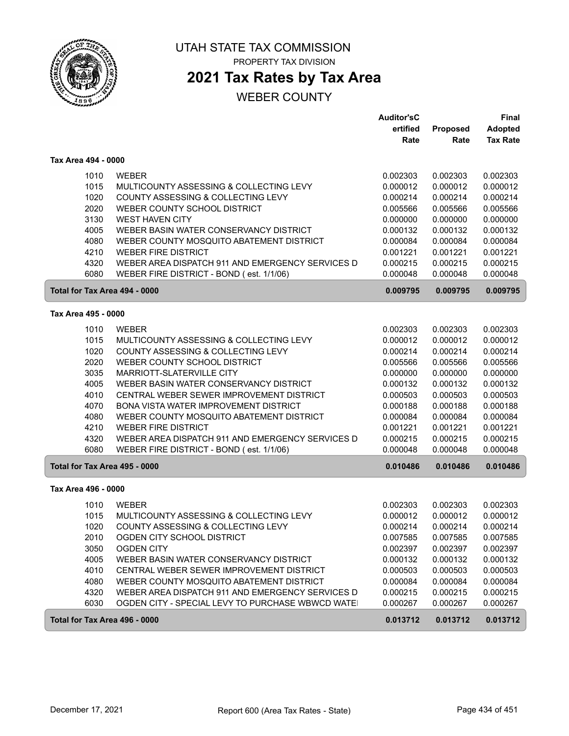

PROPERTY TAX DIVISION

# **2021 Tax Rates by Tax Area**

|                               |                                                  | <b>Auditor'sC</b> |          | Final           |
|-------------------------------|--------------------------------------------------|-------------------|----------|-----------------|
|                               |                                                  | ertified          | Proposed | <b>Adopted</b>  |
|                               |                                                  | Rate              | Rate     | <b>Tax Rate</b> |
| Tax Area 494 - 0000           |                                                  |                   |          |                 |
| 1010                          | <b>WEBER</b>                                     | 0.002303          | 0.002303 | 0.002303        |
| 1015                          | MULTICOUNTY ASSESSING & COLLECTING LEVY          | 0.000012          | 0.000012 | 0.000012        |
| 1020                          | COUNTY ASSESSING & COLLECTING LEVY               | 0.000214          | 0.000214 | 0.000214        |
| 2020                          | WEBER COUNTY SCHOOL DISTRICT                     | 0.005566          | 0.005566 | 0.005566        |
| 3130                          | <b>WEST HAVEN CITY</b>                           | 0.000000          | 0.000000 | 0.000000        |
| 4005                          | WEBER BASIN WATER CONSERVANCY DISTRICT           | 0.000132          | 0.000132 | 0.000132        |
| 4080                          | WEBER COUNTY MOSQUITO ABATEMENT DISTRICT         | 0.000084          | 0.000084 | 0.000084        |
| 4210                          | <b>WEBER FIRE DISTRICT</b>                       | 0.001221          | 0.001221 | 0.001221        |
| 4320                          | WEBER AREA DISPATCH 911 AND EMERGENCY SERVICES D | 0.000215          | 0.000215 | 0.000215        |
| 6080                          | WEBER FIRE DISTRICT - BOND (est. 1/1/06)         | 0.000048          | 0.000048 | 0.000048        |
| Total for Tax Area 494 - 0000 |                                                  | 0.009795          | 0.009795 | 0.009795        |
| Tax Area 495 - 0000           |                                                  |                   |          |                 |
| 1010                          | <b>WEBER</b>                                     | 0.002303          | 0.002303 | 0.002303        |
| 1015                          | MULTICOUNTY ASSESSING & COLLECTING LEVY          | 0.000012          | 0.000012 | 0.000012        |
| 1020                          | COUNTY ASSESSING & COLLECTING LEVY               | 0.000214          | 0.000214 | 0.000214        |
| 2020                          | WEBER COUNTY SCHOOL DISTRICT                     | 0.005566          | 0.005566 | 0.005566        |
| 3035                          | MARRIOTT-SLATERVILLE CITY                        | 0.000000          | 0.000000 | 0.000000        |
| 4005                          | WEBER BASIN WATER CONSERVANCY DISTRICT           | 0.000132          | 0.000132 | 0.000132        |
| 4010                          | CENTRAL WEBER SEWER IMPROVEMENT DISTRICT         | 0.000503          | 0.000503 | 0.000503        |
| 4070                          | BONA VISTA WATER IMPROVEMENT DISTRICT            | 0.000188          | 0.000188 | 0.000188        |
| 4080                          | WEBER COUNTY MOSQUITO ABATEMENT DISTRICT         | 0.000084          | 0.000084 | 0.000084        |
| 4210                          | <b>WEBER FIRE DISTRICT</b>                       | 0.001221          | 0.001221 | 0.001221        |
| 4320                          | WEBER AREA DISPATCH 911 AND EMERGENCY SERVICES D | 0.000215          | 0.000215 | 0.000215        |
| 6080                          | WEBER FIRE DISTRICT - BOND (est. 1/1/06)         | 0.000048          | 0.000048 | 0.000048        |
| Total for Tax Area 495 - 0000 |                                                  | 0.010486          | 0.010486 | 0.010486        |
| Tax Area 496 - 0000           |                                                  |                   |          |                 |
| 1010                          | <b>WEBER</b>                                     | 0.002303          | 0.002303 | 0.002303        |
| 1015                          | MULTICOUNTY ASSESSING & COLLECTING LEVY          | 0.000012          | 0.000012 | 0.000012        |
| 1020                          | COUNTY ASSESSING & COLLECTING LEVY               | 0.000214          | 0.000214 | 0.000214        |
| 2010                          | OGDEN CITY SCHOOL DISTRICT                       | 0.007585          | 0.007585 | 0.007585        |
| 3050                          | <b>OGDEN CITY</b>                                | 0.002397          | 0.002397 | 0.002397        |
| 4005                          | WEBER BASIN WATER CONSERVANCY DISTRICT           | 0.000132          | 0.000132 | 0.000132        |
| 4010                          | CENTRAL WEBER SEWER IMPROVEMENT DISTRICT         | 0.000503          | 0.000503 | 0.000503        |
| 4080                          | WEBER COUNTY MOSQUITO ABATEMENT DISTRICT         | 0.000084          | 0.000084 | 0.000084        |
| 4320                          | WEBER AREA DISPATCH 911 AND EMERGENCY SERVICES D | 0.000215          | 0.000215 | 0.000215        |
| 6030                          | OGDEN CITY - SPECIAL LEVY TO PURCHASE WBWCD WATE | 0.000267          | 0.000267 | 0.000267        |
| Total for Tax Area 496 - 0000 |                                                  | 0.013712          | 0.013712 | 0.013712        |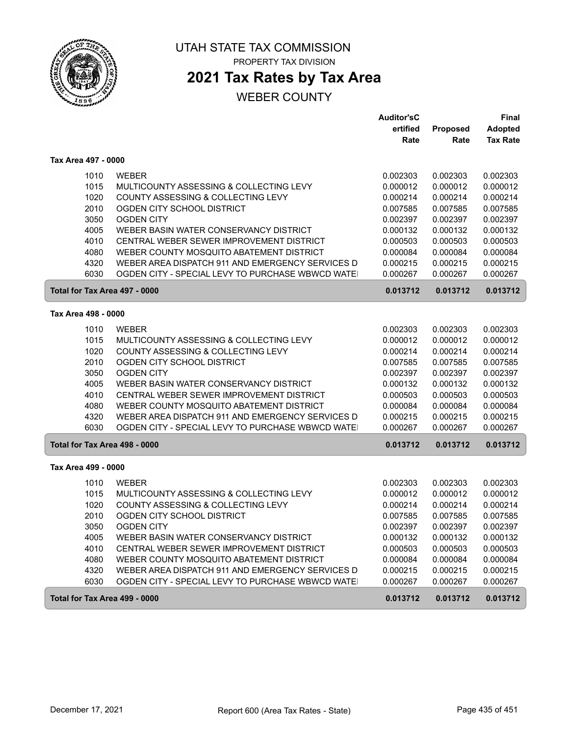

## **2021 Tax Rates by Tax Area**

|                               |                                                  | <b>Auditor'sC</b> |          | Final           |
|-------------------------------|--------------------------------------------------|-------------------|----------|-----------------|
|                               |                                                  | ertified          | Proposed | <b>Adopted</b>  |
|                               |                                                  | Rate              | Rate     | <b>Tax Rate</b> |
| Tax Area 497 - 0000           |                                                  |                   |          |                 |
| 1010                          | <b>WEBER</b>                                     | 0.002303          | 0.002303 | 0.002303        |
| 1015                          | MULTICOUNTY ASSESSING & COLLECTING LEVY          | 0.000012          | 0.000012 | 0.000012        |
| 1020                          | COUNTY ASSESSING & COLLECTING LEVY               | 0.000214          | 0.000214 | 0.000214        |
| 2010                          | OGDEN CITY SCHOOL DISTRICT                       | 0.007585          | 0.007585 | 0.007585        |
| 3050                          | <b>OGDEN CITY</b>                                | 0.002397          | 0.002397 | 0.002397        |
| 4005                          | WEBER BASIN WATER CONSERVANCY DISTRICT           | 0.000132          | 0.000132 | 0.000132        |
| 4010                          | CENTRAL WEBER SEWER IMPROVEMENT DISTRICT         | 0.000503          | 0.000503 | 0.000503        |
| 4080                          | WEBER COUNTY MOSQUITO ABATEMENT DISTRICT         | 0.000084          | 0.000084 | 0.000084        |
| 4320                          | WEBER AREA DISPATCH 911 AND EMERGENCY SERVICES D | 0.000215          | 0.000215 | 0.000215        |
| 6030                          | OGDEN CITY - SPECIAL LEVY TO PURCHASE WBWCD WATE | 0.000267          | 0.000267 | 0.000267        |
| Total for Tax Area 497 - 0000 |                                                  | 0.013712          | 0.013712 | 0.013712        |
| Tax Area 498 - 0000           |                                                  |                   |          |                 |
| 1010                          | <b>WEBER</b>                                     | 0.002303          | 0.002303 | 0.002303        |
| 1015                          | MULTICOUNTY ASSESSING & COLLECTING LEVY          | 0.000012          | 0.000012 | 0.000012        |
| 1020                          | COUNTY ASSESSING & COLLECTING LEVY               | 0.000214          | 0.000214 | 0.000214        |
| 2010                          | OGDEN CITY SCHOOL DISTRICT                       | 0.007585          | 0.007585 | 0.007585        |
| 3050                          | <b>OGDEN CITY</b>                                | 0.002397          | 0.002397 | 0.002397        |
| 4005                          | WEBER BASIN WATER CONSERVANCY DISTRICT           | 0.000132          | 0.000132 | 0.000132        |
| 4010                          | CENTRAL WEBER SEWER IMPROVEMENT DISTRICT         | 0.000503          | 0.000503 | 0.000503        |
| 4080                          | WEBER COUNTY MOSQUITO ABATEMENT DISTRICT         | 0.000084          | 0.000084 | 0.000084        |
| 4320                          | WEBER AREA DISPATCH 911 AND EMERGENCY SERVICES D | 0.000215          | 0.000215 | 0.000215        |
| 6030                          | OGDEN CITY - SPECIAL LEVY TO PURCHASE WBWCD WATE | 0.000267          | 0.000267 | 0.000267        |
| Total for Tax Area 498 - 0000 |                                                  | 0.013712          | 0.013712 | 0.013712        |
| Tax Area 499 - 0000           |                                                  |                   |          |                 |
| 1010                          | <b>WEBER</b>                                     | 0.002303          | 0.002303 | 0.002303        |
| 1015                          | MULTICOUNTY ASSESSING & COLLECTING LEVY          | 0.000012          | 0.000012 | 0.000012        |
| 1020                          | COUNTY ASSESSING & COLLECTING LEVY               | 0.000214          | 0.000214 | 0.000214        |
| 2010                          | OGDEN CITY SCHOOL DISTRICT                       | 0.007585          | 0.007585 | 0.007585        |
| 3050                          | <b>OGDEN CITY</b>                                | 0.002397          | 0.002397 | 0.002397        |
| 4005                          | WEBER BASIN WATER CONSERVANCY DISTRICT           | 0.000132          | 0.000132 | 0.000132        |
| 4010                          | CENTRAL WEBER SEWER IMPROVEMENT DISTRICT         | 0.000503          | 0.000503 | 0.000503        |
| 4080                          | WEBER COUNTY MOSQUITO ABATEMENT DISTRICT         | 0.000084          | 0.000084 | 0.000084        |
| 4320                          | WEBER AREA DISPATCH 911 AND EMERGENCY SERVICES D | 0.000215          | 0.000215 | 0.000215        |
| 6030                          | OGDEN CITY - SPECIAL LEVY TO PURCHASE WBWCD WATE | 0.000267          | 0.000267 | 0.000267        |
| Total for Tax Area 499 - 0000 |                                                  |                   |          |                 |
|                               |                                                  | 0.013712          | 0.013712 | 0.013712        |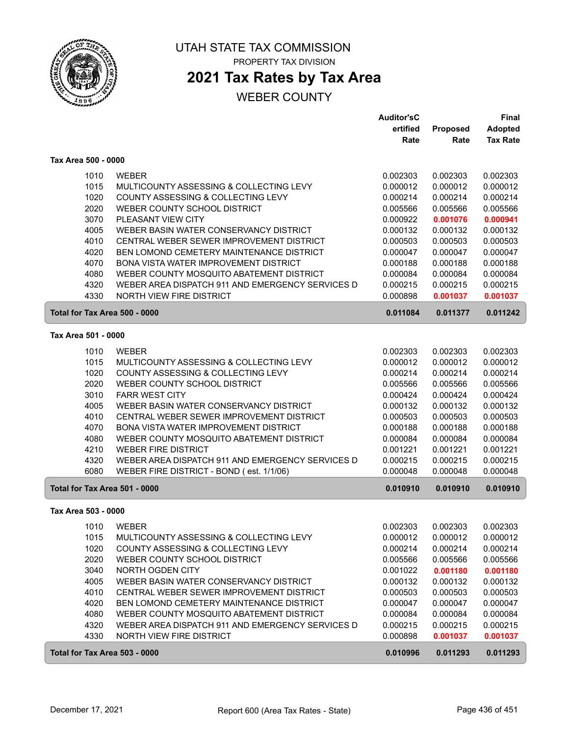

## **2021 Tax Rates by Tax Area**

|                               |                                                  | <b>Auditor'sC</b> |          | Final           |
|-------------------------------|--------------------------------------------------|-------------------|----------|-----------------|
|                               |                                                  | ertified          | Proposed | <b>Adopted</b>  |
|                               |                                                  | Rate              | Rate     | <b>Tax Rate</b> |
| Tax Area 500 - 0000           |                                                  |                   |          |                 |
| 1010                          | <b>WEBER</b>                                     | 0.002303          | 0.002303 | 0.002303        |
| 1015                          | MULTICOUNTY ASSESSING & COLLECTING LEVY          | 0.000012          | 0.000012 | 0.000012        |
| 1020                          | COUNTY ASSESSING & COLLECTING LEVY               | 0.000214          | 0.000214 | 0.000214        |
| 2020                          | WEBER COUNTY SCHOOL DISTRICT                     | 0.005566          | 0.005566 | 0.005566        |
| 3070                          | PLEASANT VIEW CITY                               | 0.000922          | 0.001076 | 0.000941        |
| 4005                          | WEBER BASIN WATER CONSERVANCY DISTRICT           | 0.000132          | 0.000132 | 0.000132        |
| 4010                          | CENTRAL WEBER SEWER IMPROVEMENT DISTRICT         | 0.000503          | 0.000503 | 0.000503        |
| 4020                          | BEN LOMOND CEMETERY MAINTENANCE DISTRICT         | 0.000047          | 0.000047 | 0.000047        |
| 4070                          | BONA VISTA WATER IMPROVEMENT DISTRICT            | 0.000188          | 0.000188 | 0.000188        |
| 4080                          | WEBER COUNTY MOSQUITO ABATEMENT DISTRICT         | 0.000084          | 0.000084 | 0.000084        |
| 4320                          | WEBER AREA DISPATCH 911 AND EMERGENCY SERVICES D | 0.000215          | 0.000215 | 0.000215        |
| 4330                          | NORTH VIEW FIRE DISTRICT                         | 0.000898          | 0.001037 | 0.001037        |
| Total for Tax Area 500 - 0000 |                                                  | 0.011084          | 0.011377 | 0.011242        |
| Tax Area 501 - 0000           |                                                  |                   |          |                 |
| 1010                          | <b>WEBER</b>                                     | 0.002303          | 0.002303 | 0.002303        |
| 1015                          | MULTICOUNTY ASSESSING & COLLECTING LEVY          | 0.000012          | 0.000012 | 0.000012        |
| 1020                          | COUNTY ASSESSING & COLLECTING LEVY               | 0.000214          | 0.000214 | 0.000214        |
| 2020                          | WEBER COUNTY SCHOOL DISTRICT                     | 0.005566          | 0.005566 | 0.005566        |
| 3010                          | <b>FARR WEST CITY</b>                            | 0.000424          | 0.000424 | 0.000424        |
| 4005                          | WEBER BASIN WATER CONSERVANCY DISTRICT           | 0.000132          | 0.000132 | 0.000132        |
| 4010                          | CENTRAL WEBER SEWER IMPROVEMENT DISTRICT         | 0.000503          | 0.000503 | 0.000503        |
| 4070                          | BONA VISTA WATER IMPROVEMENT DISTRICT            | 0.000188          | 0.000188 | 0.000188        |
| 4080                          | WEBER COUNTY MOSQUITO ABATEMENT DISTRICT         | 0.000084          | 0.000084 | 0.000084        |
| 4210                          | <b>WEBER FIRE DISTRICT</b>                       | 0.001221          | 0.001221 | 0.001221        |
| 4320                          | WEBER AREA DISPATCH 911 AND EMERGENCY SERVICES D | 0.000215          | 0.000215 | 0.000215        |
| 6080                          | WEBER FIRE DISTRICT - BOND (est. 1/1/06)         | 0.000048          | 0.000048 | 0.000048        |
| Total for Tax Area 501 - 0000 |                                                  | 0.010910          | 0.010910 | 0.010910        |
|                               |                                                  |                   |          |                 |
| Tax Area 503 - 0000           |                                                  |                   |          |                 |
| 1010                          | <b>WEBER</b>                                     | 0.002303          | 0.002303 | 0.002303        |
| 1015                          | MULTICOUNTY ASSESSING & COLLECTING LEVY          | 0.000012          | 0.000012 | 0.000012        |
| 1020                          | COUNTY ASSESSING & COLLECTING LEVY               | 0.000214          | 0.000214 | 0.000214        |
| 2020                          | WEBER COUNTY SCHOOL DISTRICT                     | 0.005566          | 0.005566 | 0.005566        |
| 3040                          | NORTH OGDEN CITY                                 | 0.001022          | 0.001180 | 0.001180        |
| 4005                          | WEBER BASIN WATER CONSERVANCY DISTRICT           | 0.000132          | 0.000132 | 0.000132        |
| 4010                          | CENTRAL WEBER SEWER IMPROVEMENT DISTRICT         | 0.000503          | 0.000503 | 0.000503        |
| 4020                          | BEN LOMOND CEMETERY MAINTENANCE DISTRICT         | 0.000047          | 0.000047 | 0.000047        |
| 4080                          | WEBER COUNTY MOSQUITO ABATEMENT DISTRICT         | 0.000084          | 0.000084 | 0.000084        |
| 4320                          | WEBER AREA DISPATCH 911 AND EMERGENCY SERVICES D | 0.000215          | 0.000215 | 0.000215        |
| 4330                          | NORTH VIEW FIRE DISTRICT                         | 0.000898          | 0.001037 | 0.001037        |
| Total for Tax Area 503 - 0000 |                                                  | 0.010996          | 0.011293 | 0.011293        |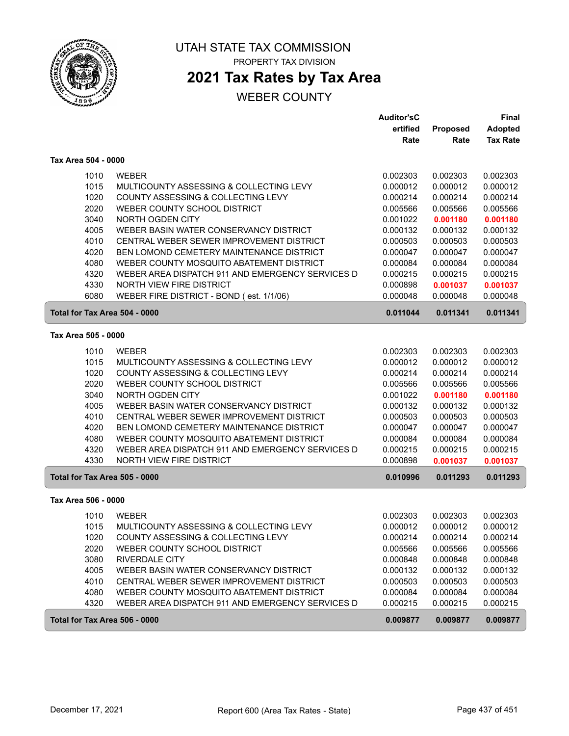

# **2021 Tax Rates by Tax Area**

|                               |                                                  | <b>Auditor'sC</b> |          | <b>Final</b>    |
|-------------------------------|--------------------------------------------------|-------------------|----------|-----------------|
|                               |                                                  | ertified          | Proposed | <b>Adopted</b>  |
|                               |                                                  | Rate              | Rate     | <b>Tax Rate</b> |
| Tax Area 504 - 0000           |                                                  |                   |          |                 |
| 1010                          | <b>WEBER</b>                                     | 0.002303          | 0.002303 | 0.002303        |
| 1015                          | MULTICOUNTY ASSESSING & COLLECTING LEVY          | 0.000012          | 0.000012 | 0.000012        |
| 1020                          | COUNTY ASSESSING & COLLECTING LEVY               | 0.000214          | 0.000214 | 0.000214        |
| 2020                          | WEBER COUNTY SCHOOL DISTRICT                     | 0.005566          | 0.005566 | 0.005566        |
| 3040                          | NORTH OGDEN CITY                                 | 0.001022          | 0.001180 | 0.001180        |
| 4005                          | WEBER BASIN WATER CONSERVANCY DISTRICT           | 0.000132          | 0.000132 | 0.000132        |
| 4010                          | CENTRAL WEBER SEWER IMPROVEMENT DISTRICT         | 0.000503          | 0.000503 | 0.000503        |
| 4020                          | BEN LOMOND CEMETERY MAINTENANCE DISTRICT         | 0.000047          | 0.000047 | 0.000047        |
| 4080                          | WEBER COUNTY MOSQUITO ABATEMENT DISTRICT         | 0.000084          | 0.000084 | 0.000084        |
| 4320                          | WEBER AREA DISPATCH 911 AND EMERGENCY SERVICES D | 0.000215          | 0.000215 | 0.000215        |
| 4330                          | NORTH VIEW FIRE DISTRICT                         | 0.000898          | 0.001037 | 0.001037        |
| 6080                          | WEBER FIRE DISTRICT - BOND (est. 1/1/06)         | 0.000048          | 0.000048 | 0.000048        |
| Total for Tax Area 504 - 0000 |                                                  | 0.011044          | 0.011341 | 0.011341        |
| Tax Area 505 - 0000           |                                                  |                   |          |                 |
| 1010                          | <b>WEBER</b>                                     | 0.002303          | 0.002303 | 0.002303        |
| 1015                          | MULTICOUNTY ASSESSING & COLLECTING LEVY          | 0.000012          | 0.000012 | 0.000012        |
| 1020                          | COUNTY ASSESSING & COLLECTING LEVY               | 0.000214          | 0.000214 | 0.000214        |
| 2020                          | WEBER COUNTY SCHOOL DISTRICT                     | 0.005566          | 0.005566 | 0.005566        |
| 3040                          | NORTH OGDEN CITY                                 | 0.001022          | 0.001180 | 0.001180        |
| 4005                          | WEBER BASIN WATER CONSERVANCY DISTRICT           | 0.000132          | 0.000132 | 0.000132        |
| 4010                          | CENTRAL WEBER SEWER IMPROVEMENT DISTRICT         | 0.000503          | 0.000503 | 0.000503        |
| 4020                          | BEN LOMOND CEMETERY MAINTENANCE DISTRICT         | 0.000047          | 0.000047 | 0.000047        |
| 4080                          | WEBER COUNTY MOSQUITO ABATEMENT DISTRICT         | 0.000084          | 0.000084 | 0.000084        |
| 4320                          | WEBER AREA DISPATCH 911 AND EMERGENCY SERVICES D | 0.000215          | 0.000215 | 0.000215        |
| 4330                          | NORTH VIEW FIRE DISTRICT                         | 0.000898          | 0.001037 | 0.001037        |
| Total for Tax Area 505 - 0000 |                                                  | 0.010996          | 0.011293 | 0.011293        |
| Tax Area 506 - 0000           |                                                  |                   |          |                 |
| 1010                          | <b>WEBER</b>                                     | 0.002303          | 0.002303 | 0.002303        |
| 1015                          | MULTICOUNTY ASSESSING & COLLECTING LEVY          | 0.000012          | 0.000012 | 0.000012        |
| 1020                          | COUNTY ASSESSING & COLLECTING LEVY               | 0.000214          | 0.000214 | 0.000214        |
| 2020                          | WEBER COUNTY SCHOOL DISTRICT                     | 0.005566          | 0.005566 | 0.005566        |
| 3080                          | <b>RIVERDALE CITY</b>                            | 0.000848          | 0.000848 | 0.000848        |
| 4005                          | WEBER BASIN WATER CONSERVANCY DISTRICT           | 0.000132          | 0.000132 | 0.000132        |
| 4010                          | CENTRAL WEBER SEWER IMPROVEMENT DISTRICT         | 0.000503          | 0.000503 | 0.000503        |
| 4080                          | WEBER COUNTY MOSQUITO ABATEMENT DISTRICT         | 0.000084          | 0.000084 | 0.000084        |
| 4320                          | WEBER AREA DISPATCH 911 AND EMERGENCY SERVICES D | 0.000215          | 0.000215 | 0.000215        |
| Total for Tax Area 506 - 0000 |                                                  | 0.009877          | 0.009877 | 0.009877        |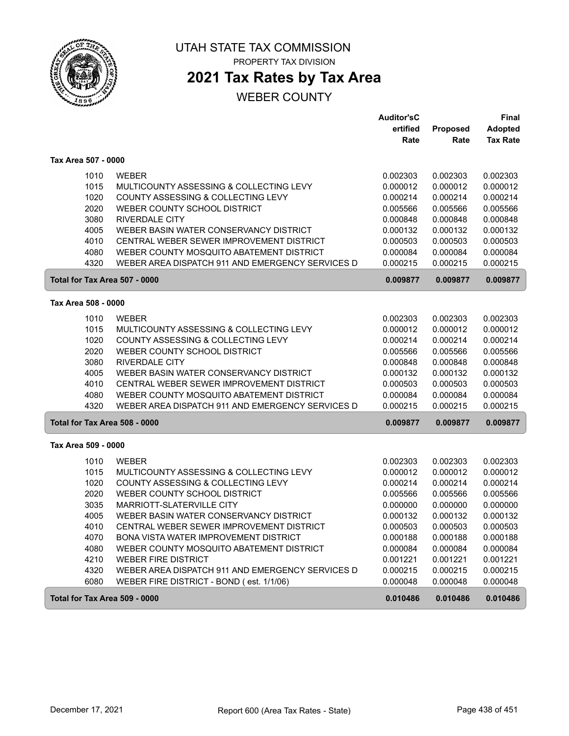

## **2021 Tax Rates by Tax Area**

|                               |                                                  | <b>Auditor'sC</b> |                 | <b>Final</b>    |
|-------------------------------|--------------------------------------------------|-------------------|-----------------|-----------------|
|                               |                                                  | ertified          | <b>Proposed</b> | <b>Adopted</b>  |
|                               |                                                  | Rate              | Rate            | <b>Tax Rate</b> |
| Tax Area 507 - 0000           |                                                  |                   |                 |                 |
| 1010                          | <b>WEBER</b>                                     | 0.002303          | 0.002303        | 0.002303        |
| 1015                          | MULTICOUNTY ASSESSING & COLLECTING LEVY          | 0.000012          | 0.000012        | 0.000012        |
| 1020                          | COUNTY ASSESSING & COLLECTING LEVY               | 0.000214          | 0.000214        | 0.000214        |
| 2020                          | WEBER COUNTY SCHOOL DISTRICT                     | 0.005566          | 0.005566        | 0.005566        |
| 3080                          | <b>RIVERDALE CITY</b>                            | 0.000848          | 0.000848        | 0.000848        |
| 4005                          | WEBER BASIN WATER CONSERVANCY DISTRICT           | 0.000132          | 0.000132        | 0.000132        |
| 4010                          | CENTRAL WEBER SEWER IMPROVEMENT DISTRICT         | 0.000503          | 0.000503        | 0.000503        |
| 4080                          | WEBER COUNTY MOSQUITO ABATEMENT DISTRICT         | 0.000084          | 0.000084        | 0.000084        |
| 4320                          | WEBER AREA DISPATCH 911 AND EMERGENCY SERVICES D | 0.000215          | 0.000215        | 0.000215        |
| Total for Tax Area 507 - 0000 |                                                  | 0.009877          | 0.009877        | 0.009877        |
| Tax Area 508 - 0000           |                                                  |                   |                 |                 |
| 1010                          | <b>WEBER</b>                                     | 0.002303          | 0.002303        | 0.002303        |
| 1015                          | MULTICOUNTY ASSESSING & COLLECTING LEVY          | 0.000012          | 0.000012        | 0.000012        |
| 1020                          | COUNTY ASSESSING & COLLECTING LEVY               | 0.000214          | 0.000214        | 0.000214        |
| 2020                          | WEBER COUNTY SCHOOL DISTRICT                     | 0.005566          | 0.005566        | 0.005566        |
| 3080                          | <b>RIVERDALE CITY</b>                            | 0.000848          | 0.000848        | 0.000848        |
| 4005                          | WEBER BASIN WATER CONSERVANCY DISTRICT           | 0.000132          | 0.000132        | 0.000132        |
| 4010                          | CENTRAL WEBER SEWER IMPROVEMENT DISTRICT         | 0.000503          | 0.000503        | 0.000503        |
| 4080                          | WEBER COUNTY MOSQUITO ABATEMENT DISTRICT         | 0.000084          | 0.000084        | 0.000084        |
| 4320                          | WEBER AREA DISPATCH 911 AND EMERGENCY SERVICES D | 0.000215          | 0.000215        | 0.000215        |
| Total for Tax Area 508 - 0000 |                                                  | 0.009877          | 0.009877        | 0.009877        |
| Tax Area 509 - 0000           |                                                  |                   |                 |                 |
| 1010                          | <b>WEBER</b>                                     | 0.002303          | 0.002303        | 0.002303        |
| 1015                          | MULTICOUNTY ASSESSING & COLLECTING LEVY          | 0.000012          | 0.000012        | 0.000012        |
| 1020                          | COUNTY ASSESSING & COLLECTING LEVY               | 0.000214          | 0.000214        | 0.000214        |
| 2020                          | WEBER COUNTY SCHOOL DISTRICT                     | 0.005566          | 0.005566        | 0.005566        |
| 3035                          | MARRIOTT-SLATERVILLE CITY                        | 0.000000          | 0.000000        | 0.000000        |
| 4005                          | WEBER BASIN WATER CONSERVANCY DISTRICT           | 0.000132          | 0.000132        | 0.000132        |
| 4010                          | CENTRAL WEBER SEWER IMPROVEMENT DISTRICT         | 0.000503          | 0.000503        | 0.000503        |
| 4070                          | BONA VISTA WATER IMPROVEMENT DISTRICT            | 0.000188          | 0.000188        | 0.000188        |
| 4080                          | WEBER COUNTY MOSQUITO ABATEMENT DISTRICT         | 0.000084          | 0.000084        | 0.000084        |
| 4210                          | <b>WEBER FIRE DISTRICT</b>                       | 0.001221          | 0.001221        | 0.001221        |
| 4320                          | WEBER AREA DISPATCH 911 AND EMERGENCY SERVICES D | 0.000215          | 0.000215        | 0.000215        |
| 6080                          | WEBER FIRE DISTRICT - BOND (est. 1/1/06)         | 0.000048          | 0.000048        | 0.000048        |
| Total for Tax Area 509 - 0000 |                                                  | 0.010486          | 0.010486        | 0.010486        |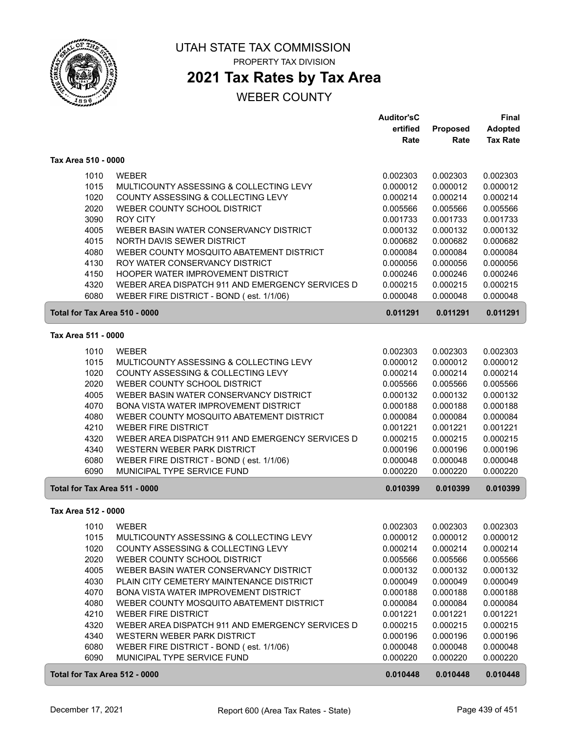

## **2021 Tax Rates by Tax Area**

|                               |                                                  | <b>Auditor'sC</b> |          | Final           |
|-------------------------------|--------------------------------------------------|-------------------|----------|-----------------|
|                               |                                                  | ertified          | Proposed | <b>Adopted</b>  |
|                               |                                                  | Rate              | Rate     | <b>Tax Rate</b> |
| Tax Area 510 - 0000           |                                                  |                   |          |                 |
| 1010                          | <b>WEBER</b>                                     | 0.002303          | 0.002303 | 0.002303        |
| 1015                          | MULTICOUNTY ASSESSING & COLLECTING LEVY          | 0.000012          | 0.000012 | 0.000012        |
| 1020                          | COUNTY ASSESSING & COLLECTING LEVY               | 0.000214          | 0.000214 | 0.000214        |
| 2020                          | WEBER COUNTY SCHOOL DISTRICT                     | 0.005566          | 0.005566 | 0.005566        |
| 3090                          | <b>ROY CITY</b>                                  | 0.001733          | 0.001733 | 0.001733        |
| 4005                          | WEBER BASIN WATER CONSERVANCY DISTRICT           | 0.000132          | 0.000132 | 0.000132        |
| 4015                          | NORTH DAVIS SEWER DISTRICT                       | 0.000682          | 0.000682 | 0.000682        |
| 4080                          | WEBER COUNTY MOSQUITO ABATEMENT DISTRICT         | 0.000084          | 0.000084 | 0.000084        |
| 4130                          | ROY WATER CONSERVANCY DISTRICT                   | 0.000056          | 0.000056 | 0.000056        |
| 4150                          | HOOPER WATER IMPROVEMENT DISTRICT                | 0.000246          | 0.000246 | 0.000246        |
| 4320                          | WEBER AREA DISPATCH 911 AND EMERGENCY SERVICES D | 0.000215          | 0.000215 | 0.000215        |
| 6080                          | WEBER FIRE DISTRICT - BOND (est. 1/1/06)         | 0.000048          | 0.000048 | 0.000048        |
| Total for Tax Area 510 - 0000 |                                                  | 0.011291          | 0.011291 | 0.011291        |
| Tax Area 511 - 0000           |                                                  |                   |          |                 |
| 1010                          | <b>WEBER</b>                                     | 0.002303          | 0.002303 | 0.002303        |
| 1015                          | MULTICOUNTY ASSESSING & COLLECTING LEVY          | 0.000012          | 0.000012 | 0.000012        |
| 1020                          | COUNTY ASSESSING & COLLECTING LEVY               | 0.000214          | 0.000214 | 0.000214        |
| 2020                          | WEBER COUNTY SCHOOL DISTRICT                     | 0.005566          | 0.005566 | 0.005566        |
| 4005                          | WEBER BASIN WATER CONSERVANCY DISTRICT           | 0.000132          | 0.000132 | 0.000132        |
| 4070                          | BONA VISTA WATER IMPROVEMENT DISTRICT            | 0.000188          | 0.000188 | 0.000188        |
| 4080                          | WEBER COUNTY MOSQUITO ABATEMENT DISTRICT         | 0.000084          | 0.000084 | 0.000084        |
| 4210                          | <b>WEBER FIRE DISTRICT</b>                       | 0.001221          | 0.001221 | 0.001221        |
| 4320                          | WEBER AREA DISPATCH 911 AND EMERGENCY SERVICES D | 0.000215          | 0.000215 | 0.000215        |
| 4340                          | WESTERN WEBER PARK DISTRICT                      | 0.000196          | 0.000196 | 0.000196        |
| 6080                          | WEBER FIRE DISTRICT - BOND (est. 1/1/06)         | 0.000048          | 0.000048 | 0.000048        |
| 6090                          | MUNICIPAL TYPE SERVICE FUND                      | 0.000220          | 0.000220 | 0.000220        |
| Total for Tax Area 511 - 0000 |                                                  | 0.010399          | 0.010399 | 0.010399        |
| Tax Area 512 - 0000           |                                                  |                   |          |                 |
| 1010                          | WEBER                                            | 0.002303          | 0.002303 | 0.002303        |
| 1015                          | MULTICOUNTY ASSESSING & COLLECTING LEVY          | 0.000012          | 0.000012 | 0.000012        |
| 1020                          | COUNTY ASSESSING & COLLECTING LEVY               | 0.000214          | 0.000214 | 0.000214        |
| 2020                          | WEBER COUNTY SCHOOL DISTRICT                     | 0.005566          | 0.005566 | 0.005566        |
| 4005                          | WEBER BASIN WATER CONSERVANCY DISTRICT           | 0.000132          | 0.000132 | 0.000132        |
| 4030                          | PLAIN CITY CEMETERY MAINTENANCE DISTRICT         | 0.000049          | 0.000049 | 0.000049        |
| 4070                          | BONA VISTA WATER IMPROVEMENT DISTRICT            | 0.000188          | 0.000188 | 0.000188        |
| 4080                          | WEBER COUNTY MOSQUITO ABATEMENT DISTRICT         | 0.000084          | 0.000084 | 0.000084        |
| 4210                          | <b>WEBER FIRE DISTRICT</b>                       | 0.001221          | 0.001221 | 0.001221        |
| 4320                          | WEBER AREA DISPATCH 911 AND EMERGENCY SERVICES D | 0.000215          | 0.000215 | 0.000215        |
| 4340                          | WESTERN WEBER PARK DISTRICT                      | 0.000196          | 0.000196 | 0.000196        |
| 6080                          | WEBER FIRE DISTRICT - BOND (est. 1/1/06)         | 0.000048          | 0.000048 | 0.000048        |
| 6090                          | MUNICIPAL TYPE SERVICE FUND                      | 0.000220          | 0.000220 | 0.000220        |
| Total for Tax Area 512 - 0000 |                                                  | 0.010448          | 0.010448 | 0.010448        |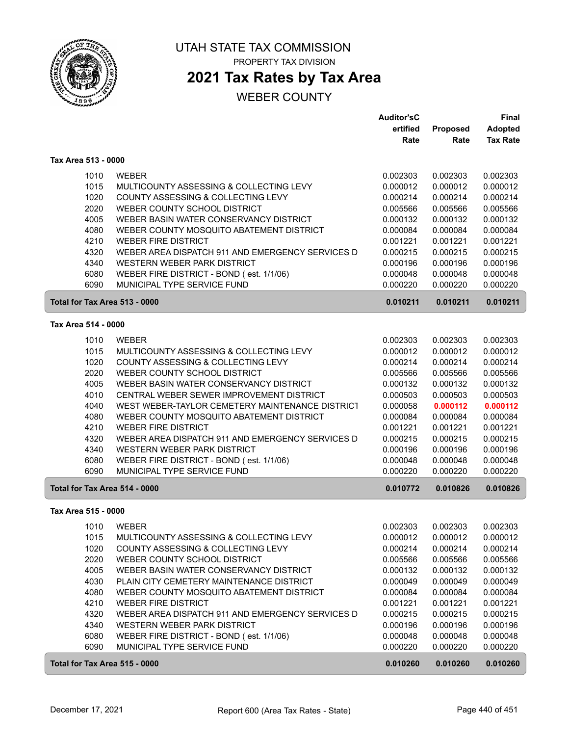

### **2021 Tax Rates by Tax Area**

|                     |                                                          | <b>Auditor'sC</b> |                 | <b>Final</b>    |
|---------------------|----------------------------------------------------------|-------------------|-----------------|-----------------|
|                     |                                                          | ertified          | <b>Proposed</b> | <b>Adopted</b>  |
|                     |                                                          | Rate              | Rate            | <b>Tax Rate</b> |
| Tax Area 513 - 0000 |                                                          |                   |                 |                 |
|                     | 1010<br><b>WEBER</b>                                     | 0.002303          | 0.002303        | 0.002303        |
|                     | 1015<br>MULTICOUNTY ASSESSING & COLLECTING LEVY          | 0.000012          | 0.000012        | 0.000012        |
|                     | 1020<br>COUNTY ASSESSING & COLLECTING LEVY               | 0.000214          | 0.000214        | 0.000214        |
|                     | 2020<br>WEBER COUNTY SCHOOL DISTRICT                     | 0.005566          | 0.005566        | 0.005566        |
|                     | 4005<br>WEBER BASIN WATER CONSERVANCY DISTRICT           | 0.000132          | 0.000132        | 0.000132        |
|                     | 4080<br>WEBER COUNTY MOSQUITO ABATEMENT DISTRICT         | 0.000084          | 0.000084        | 0.000084        |
|                     | 4210<br><b>WEBER FIRE DISTRICT</b>                       | 0.001221          | 0.001221        | 0.001221        |
|                     | 4320<br>WEBER AREA DISPATCH 911 AND EMERGENCY SERVICES D | 0.000215          | 0.000215        | 0.000215        |
|                     | 4340<br>WESTERN WEBER PARK DISTRICT                      | 0.000196          | 0.000196        | 0.000196        |
|                     | 6080<br>WEBER FIRE DISTRICT - BOND (est. 1/1/06)         | 0.000048          | 0.000048        | 0.000048        |
|                     | 6090<br>MUNICIPAL TYPE SERVICE FUND                      | 0.000220          | 0.000220        | 0.000220        |
|                     | Total for Tax Area 513 - 0000                            | 0.010211          | 0.010211        | 0.010211        |
| Tax Area 514 - 0000 |                                                          |                   |                 |                 |
|                     | 1010<br><b>WEBER</b>                                     | 0.002303          | 0.002303        | 0.002303        |
|                     | 1015<br>MULTICOUNTY ASSESSING & COLLECTING LEVY          | 0.000012          | 0.000012        | 0.000012        |
|                     | 1020<br>COUNTY ASSESSING & COLLECTING LEVY               | 0.000214          | 0.000214        | 0.000214        |
|                     | 2020<br>WEBER COUNTY SCHOOL DISTRICT                     | 0.005566          | 0.005566        | 0.005566        |
|                     | 4005<br>WEBER BASIN WATER CONSERVANCY DISTRICT           | 0.000132          | 0.000132        | 0.000132        |
|                     | 4010<br>CENTRAL WEBER SEWER IMPROVEMENT DISTRICT         | 0.000503          | 0.000503        | 0.000503        |
|                     | 4040<br>WEST WEBER-TAYLOR CEMETERY MAINTENANCE DISTRICT  | 0.000058          | 0.000112        | 0.000112        |
|                     | 4080<br>WEBER COUNTY MOSQUITO ABATEMENT DISTRICT         | 0.000084          | 0.000084        | 0.000084        |
|                     | 4210<br><b>WEBER FIRE DISTRICT</b>                       | 0.001221          | 0.001221        | 0.001221        |
|                     | 4320<br>WEBER AREA DISPATCH 911 AND EMERGENCY SERVICES D | 0.000215          | 0.000215        | 0.000215        |
|                     | 4340<br>WESTERN WEBER PARK DISTRICT                      | 0.000196          | 0.000196        | 0.000196        |
|                     | 6080<br>WEBER FIRE DISTRICT - BOND (est. 1/1/06)         | 0.000048          | 0.000048        | 0.000048        |
|                     | 6090<br>MUNICIPAL TYPE SERVICE FUND                      | 0.000220          | 0.000220        | 0.000220        |
|                     | Total for Tax Area 514 - 0000                            | 0.010772          | 0.010826        | 0.010826        |
| Tax Area 515 - 0000 |                                                          |                   |                 |                 |
|                     | WEBER<br>1010                                            | 0.002303          | 0.002303        | 0.002303        |
|                     | MULTICOUNTY ASSESSING & COLLECTING LEVY<br>1015          | 0.000012          | 0.000012        | 0.000012        |
|                     | 1020<br>COUNTY ASSESSING & COLLECTING LEVY               | 0.000214          | 0.000214        | 0.000214        |
|                     | 2020<br>WEBER COUNTY SCHOOL DISTRICT                     | 0.005566          | 0.005566        | 0.005566        |
|                     | 4005<br>WEBER BASIN WATER CONSERVANCY DISTRICT           | 0.000132          | 0.000132        | 0.000132        |
|                     | 4030<br>PLAIN CITY CEMETERY MAINTENANCE DISTRICT         | 0.000049          | 0.000049        | 0.000049        |
|                     | 4080<br>WEBER COUNTY MOSQUITO ABATEMENT DISTRICT         | 0.000084          | 0.000084        | 0.000084        |
|                     | 4210<br><b>WEBER FIRE DISTRICT</b>                       | 0.001221          | 0.001221        | 0.001221        |
|                     | 4320<br>WEBER AREA DISPATCH 911 AND EMERGENCY SERVICES D | 0.000215          | 0.000215        | 0.000215        |
|                     | 4340<br>WESTERN WEBER PARK DISTRICT                      | 0.000196          | 0.000196        | 0.000196        |
|                     | 6080<br>WEBER FIRE DISTRICT - BOND (est. 1/1/06)         | 0.000048          | 0.000048        | 0.000048        |
|                     | 6090<br>MUNICIPAL TYPE SERVICE FUND                      | 0.000220          | 0.000220        | 0.000220        |
|                     | Total for Tax Area 515 - 0000                            | 0.010260          | 0.010260        | 0.010260        |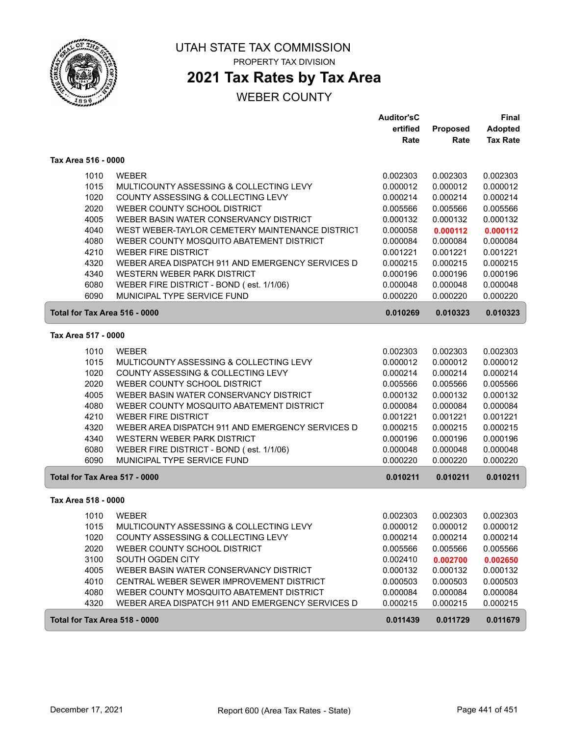

## **2021 Tax Rates by Tax Area**

|                               |                                                                        | <b>Auditor'sC</b>    |                      | <b>Final</b>         |
|-------------------------------|------------------------------------------------------------------------|----------------------|----------------------|----------------------|
|                               |                                                                        | ertified             | Proposed             | <b>Adopted</b>       |
|                               |                                                                        | Rate                 | Rate                 | <b>Tax Rate</b>      |
| Tax Area 516 - 0000           |                                                                        |                      |                      |                      |
| 1010                          | <b>WEBER</b>                                                           | 0.002303             | 0.002303             | 0.002303             |
| 1015                          | MULTICOUNTY ASSESSING & COLLECTING LEVY                                | 0.000012             | 0.000012             | 0.000012             |
| 1020                          | COUNTY ASSESSING & COLLECTING LEVY                                     | 0.000214             | 0.000214             | 0.000214             |
| 2020                          | WEBER COUNTY SCHOOL DISTRICT                                           | 0.005566             | 0.005566             | 0.005566             |
| 4005                          | WEBER BASIN WATER CONSERVANCY DISTRICT                                 | 0.000132             | 0.000132             | 0.000132             |
| 4040                          | WEST WEBER-TAYLOR CEMETERY MAINTENANCE DISTRICT                        | 0.000058             | 0.000112             | 0.000112             |
| 4080                          | WEBER COUNTY MOSQUITO ABATEMENT DISTRICT                               | 0.000084             | 0.000084             | 0.000084             |
| 4210                          | <b>WEBER FIRE DISTRICT</b>                                             | 0.001221             | 0.001221             | 0.001221             |
| 4320                          | WEBER AREA DISPATCH 911 AND EMERGENCY SERVICES D                       | 0.000215             | 0.000215             | 0.000215             |
| 4340                          | WESTERN WEBER PARK DISTRICT                                            | 0.000196             | 0.000196             | 0.000196             |
| 6080                          | WEBER FIRE DISTRICT - BOND (est. 1/1/06)                               | 0.000048             | 0.000048             | 0.000048             |
| 6090                          | MUNICIPAL TYPE SERVICE FUND                                            | 0.000220             | 0.000220             | 0.000220             |
| Total for Tax Area 516 - 0000 |                                                                        | 0.010269             | 0.010323             | 0.010323             |
| Tax Area 517 - 0000           |                                                                        |                      |                      |                      |
|                               |                                                                        |                      |                      |                      |
| 1010                          | <b>WEBER</b>                                                           | 0.002303             | 0.002303             | 0.002303             |
| 1015                          | MULTICOUNTY ASSESSING & COLLECTING LEVY                                | 0.000012             | 0.000012             | 0.000012             |
| 1020                          | COUNTY ASSESSING & COLLECTING LEVY                                     | 0.000214             | 0.000214             | 0.000214             |
| 2020                          | WEBER COUNTY SCHOOL DISTRICT                                           | 0.005566             | 0.005566             | 0.005566             |
| 4005<br>4080                  | WEBER BASIN WATER CONSERVANCY DISTRICT                                 | 0.000132             | 0.000132             | 0.000132             |
| 4210                          | WEBER COUNTY MOSQUITO ABATEMENT DISTRICT<br><b>WEBER FIRE DISTRICT</b> | 0.000084             | 0.000084             | 0.000084             |
| 4320                          | WEBER AREA DISPATCH 911 AND EMERGENCY SERVICES D                       | 0.001221<br>0.000215 | 0.001221<br>0.000215 | 0.001221<br>0.000215 |
| 4340                          | WESTERN WEBER PARK DISTRICT                                            | 0.000196             | 0.000196             | 0.000196             |
| 6080                          | WEBER FIRE DISTRICT - BOND (est. 1/1/06)                               | 0.000048             | 0.000048             | 0.000048             |
| 6090                          | MUNICIPAL TYPE SERVICE FUND                                            | 0.000220             | 0.000220             | 0.000220             |
| Total for Tax Area 517 - 0000 |                                                                        | 0.010211             | 0.010211             | 0.010211             |
|                               |                                                                        |                      |                      |                      |
| Tax Area 518 - 0000           |                                                                        |                      |                      |                      |
| 1010                          | <b>WEBER</b>                                                           | 0.002303             | 0.002303             | 0.002303             |
| 1015                          | MULTICOUNTY ASSESSING & COLLECTING LEVY                                | 0.000012             | 0.000012             | 0.000012             |
| 1020                          | COUNTY ASSESSING & COLLECTING LEVY                                     | 0.000214             | 0.000214             | 0.000214             |
| 2020                          | WEBER COUNTY SCHOOL DISTRICT                                           | 0.005566             | 0.005566             | 0.005566             |
| 3100                          | SOUTH OGDEN CITY                                                       | 0.002410             | 0.002700             | 0.002650             |
| 4005                          | WEBER BASIN WATER CONSERVANCY DISTRICT                                 | 0.000132             | 0.000132             | 0.000132             |
| 4010                          | CENTRAL WEBER SEWER IMPROVEMENT DISTRICT                               | 0.000503             | 0.000503             | 0.000503             |
| 4080                          | WEBER COUNTY MOSQUITO ABATEMENT DISTRICT                               | 0.000084             | 0.000084             | 0.000084             |
| 4320                          | WEBER AREA DISPATCH 911 AND EMERGENCY SERVICES D                       | 0.000215             | 0.000215             | 0.000215             |
| Total for Tax Area 518 - 0000 |                                                                        | 0.011439             | 0.011729             | 0.011679             |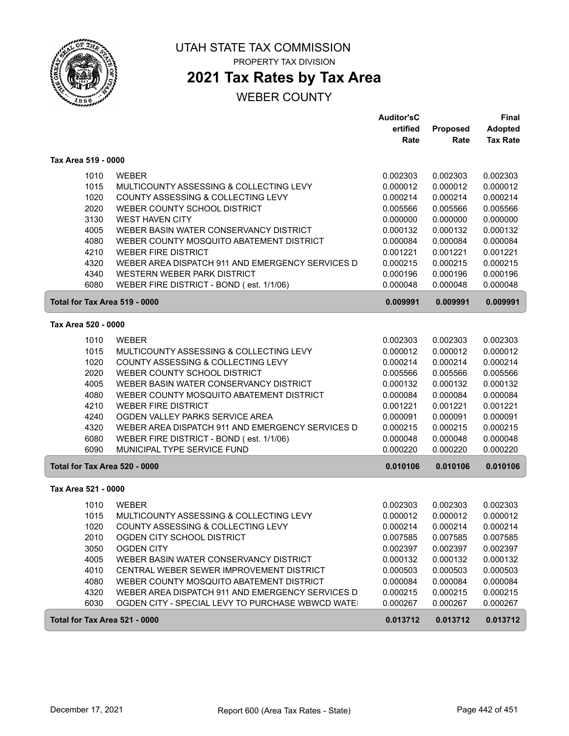

PROPERTY TAX DIVISION

## **2021 Tax Rates by Tax Area**

|                               |                                                  | <b>Auditor'sC</b> |          | Final           |
|-------------------------------|--------------------------------------------------|-------------------|----------|-----------------|
|                               |                                                  | ertified          | Proposed | <b>Adopted</b>  |
|                               |                                                  | Rate              | Rate     | <b>Tax Rate</b> |
| Tax Area 519 - 0000           |                                                  |                   |          |                 |
| 1010                          | <b>WEBER</b>                                     | 0.002303          | 0.002303 | 0.002303        |
| 1015                          | MULTICOUNTY ASSESSING & COLLECTING LEVY          | 0.000012          | 0.000012 | 0.000012        |
| 1020                          | COUNTY ASSESSING & COLLECTING LEVY               | 0.000214          | 0.000214 | 0.000214        |
| 2020                          | WEBER COUNTY SCHOOL DISTRICT                     | 0.005566          | 0.005566 | 0.005566        |
| 3130                          | <b>WEST HAVEN CITY</b>                           | 0.000000          | 0.000000 | 0.000000        |
| 4005                          | WEBER BASIN WATER CONSERVANCY DISTRICT           | 0.000132          | 0.000132 | 0.000132        |
| 4080                          | WEBER COUNTY MOSQUITO ABATEMENT DISTRICT         | 0.000084          | 0.000084 | 0.000084        |
| 4210                          | <b>WEBER FIRE DISTRICT</b>                       | 0.001221          | 0.001221 | 0.001221        |
| 4320                          | WEBER AREA DISPATCH 911 AND EMERGENCY SERVICES D | 0.000215          | 0.000215 | 0.000215        |
| 4340                          | WESTERN WEBER PARK DISTRICT                      | 0.000196          | 0.000196 | 0.000196        |
| 6080                          | WEBER FIRE DISTRICT - BOND (est. 1/1/06)         | 0.000048          | 0.000048 | 0.000048        |
| Total for Tax Area 519 - 0000 |                                                  | 0.009991          | 0.009991 | 0.009991        |
| Tax Area 520 - 0000           |                                                  |                   |          |                 |
|                               |                                                  |                   |          |                 |
| 1010                          | <b>WEBER</b>                                     | 0.002303          | 0.002303 | 0.002303        |
| 1015                          | MULTICOUNTY ASSESSING & COLLECTING LEVY          | 0.000012          | 0.000012 | 0.000012        |
| 1020                          | COUNTY ASSESSING & COLLECTING LEVY               | 0.000214          | 0.000214 | 0.000214        |
| 2020                          | WEBER COUNTY SCHOOL DISTRICT                     | 0.005566          | 0.005566 | 0.005566        |
| 4005                          | WEBER BASIN WATER CONSERVANCY DISTRICT           | 0.000132          | 0.000132 | 0.000132        |
| 4080                          | WEBER COUNTY MOSQUITO ABATEMENT DISTRICT         | 0.000084          | 0.000084 | 0.000084        |
| 4210                          | <b>WEBER FIRE DISTRICT</b>                       | 0.001221          | 0.001221 | 0.001221        |
| 4240                          | OGDEN VALLEY PARKS SERVICE AREA                  | 0.000091          | 0.000091 | 0.000091        |
| 4320                          | WEBER AREA DISPATCH 911 AND EMERGENCY SERVICES D | 0.000215          | 0.000215 | 0.000215        |
| 6080                          | WEBER FIRE DISTRICT - BOND (est. 1/1/06)         | 0.000048          | 0.000048 | 0.000048        |
| 6090                          | MUNICIPAL TYPE SERVICE FUND                      | 0.000220          | 0.000220 | 0.000220        |
| Total for Tax Area 520 - 0000 |                                                  | 0.010106          | 0.010106 | 0.010106        |
| Tax Area 521 - 0000           |                                                  |                   |          |                 |
| 1010                          | <b>WEBER</b>                                     | 0.002303          | 0.002303 | 0.002303        |
| 1015                          | MULTICOUNTY ASSESSING & COLLECTING LEVY          | 0.000012          | 0.000012 | 0.000012        |
| 1020                          | COUNTY ASSESSING & COLLECTING LEVY               | 0.000214          | 0.000214 | 0.000214        |
| 2010                          | OGDEN CITY SCHOOL DISTRICT                       | 0.007585          | 0.007585 | 0.007585        |
| 3050                          | <b>OGDEN CITY</b>                                | 0.002397          | 0.002397 | 0.002397        |
| 4005                          | WEBER BASIN WATER CONSERVANCY DISTRICT           | 0.000132          | 0.000132 | 0.000132        |
| 4010                          | CENTRAL WEBER SEWER IMPROVEMENT DISTRICT         | 0.000503          | 0.000503 | 0.000503        |
| 4080                          | WEBER COUNTY MOSQUITO ABATEMENT DISTRICT         | 0.000084          | 0.000084 | 0.000084        |
| 4320                          | WEBER AREA DISPATCH 911 AND EMERGENCY SERVICES D | 0.000215          | 0.000215 | 0.000215        |
| 6030                          | OGDEN CITY - SPECIAL LEVY TO PURCHASE WBWCD WATE | 0.000267          | 0.000267 | 0.000267        |
| Total for Tax Area 521 - 0000 |                                                  | 0.013712          | 0.013712 | 0.013712        |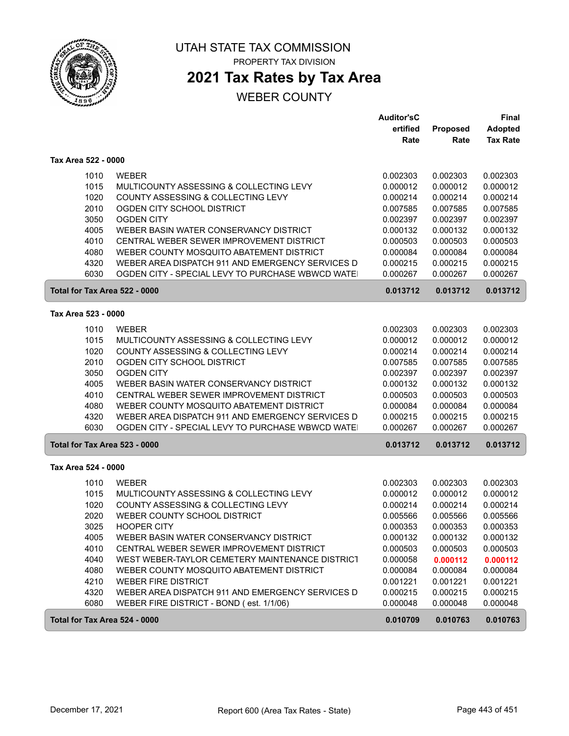

# **2021 Tax Rates by Tax Area**

#### WEBER COUNTY

|                               |                                                  | <b>Auditor'sC</b> |          | <b>Final</b>    |
|-------------------------------|--------------------------------------------------|-------------------|----------|-----------------|
|                               |                                                  | ertified          | Proposed | <b>Adopted</b>  |
|                               |                                                  | Rate              | Rate     | <b>Tax Rate</b> |
| Tax Area 522 - 0000           |                                                  |                   |          |                 |
| 1010                          | <b>WEBER</b>                                     | 0.002303          | 0.002303 | 0.002303        |
| 1015                          | MULTICOUNTY ASSESSING & COLLECTING LEVY          | 0.000012          | 0.000012 | 0.000012        |
| 1020                          | COUNTY ASSESSING & COLLECTING LEVY               | 0.000214          | 0.000214 | 0.000214        |
| 2010                          | OGDEN CITY SCHOOL DISTRICT                       | 0.007585          | 0.007585 | 0.007585        |
| 3050                          | <b>OGDEN CITY</b>                                | 0.002397          | 0.002397 | 0.002397        |
| 4005                          | WEBER BASIN WATER CONSERVANCY DISTRICT           | 0.000132          | 0.000132 | 0.000132        |
| 4010                          | CENTRAL WEBER SEWER IMPROVEMENT DISTRICT         | 0.000503          | 0.000503 | 0.000503        |
| 4080                          | WEBER COUNTY MOSQUITO ABATEMENT DISTRICT         | 0.000084          | 0.000084 | 0.000084        |
| 4320                          | WEBER AREA DISPATCH 911 AND EMERGENCY SERVICES D | 0.000215          | 0.000215 | 0.000215        |
| 6030                          | OGDEN CITY - SPECIAL LEVY TO PURCHASE WBWCD WATE | 0.000267          | 0.000267 | 0.000267        |
| Total for Tax Area 522 - 0000 |                                                  | 0.013712          | 0.013712 | 0.013712        |
| Tax Area 523 - 0000           |                                                  |                   |          |                 |
| 1010                          | <b>WEBER</b>                                     | 0.002303          | 0.002303 | 0.002303        |
| 1015                          | MULTICOUNTY ASSESSING & COLLECTING LEVY          | 0.000012          | 0.000012 | 0.000012        |
| 1020                          | COUNTY ASSESSING & COLLECTING LEVY               | 0.000214          | 0.000214 | 0.000214        |
| 2010                          | OGDEN CITY SCHOOL DISTRICT                       | 0.007585          | 0.007585 | 0.007585        |
| 3050                          | <b>OGDEN CITY</b>                                | 0.002397          | 0.002397 | 0.002397        |
| 4005                          | WEBER BASIN WATER CONSERVANCY DISTRICT           | 0.000132          | 0.000132 | 0.000132        |
| 4010                          | CENTRAL WEBER SEWER IMPROVEMENT DISTRICT         | 0.000503          | 0.000503 | 0.000503        |
| 4080                          | WEBER COUNTY MOSQUITO ABATEMENT DISTRICT         | 0.000084          | 0.000084 | 0.000084        |
| 4320                          | WEBER AREA DISPATCH 911 AND EMERGENCY SERVICES D | 0.000215          | 0.000215 | 0.000215        |
| 6030                          | OGDEN CITY - SPECIAL LEVY TO PURCHASE WBWCD WATE | 0.000267          | 0.000267 | 0.000267        |
| Total for Tax Area 523 - 0000 |                                                  | 0.013712          | 0.013712 | 0.013712        |
| Tax Area 524 - 0000           |                                                  |                   |          |                 |
| 1010                          | <b>WEBER</b>                                     | 0.002303          | 0.002303 | 0.002303        |
| 1015                          | MULTICOUNTY ASSESSING & COLLECTING LEVY          | 0.000012          | 0.000012 | 0.000012        |
| 1020                          | COUNTY ASSESSING & COLLECTING LEVY               | 0.000214          | 0.000214 | 0.000214        |
| 2020                          | WEBER COUNTY SCHOOL DISTRICT                     | 0.005566          | 0.005566 | 0.005566        |
| 3025                          | <b>HOOPER CITY</b>                               | 0.000353          | 0.000353 | 0.000353        |
| 4005                          | WEBER BASIN WATER CONSERVANCY DISTRICT           | 0.000132          | 0.000132 | 0.000132        |
| 4010                          | CENTRAL WEBER SEWER IMPROVEMENT DISTRICT         | 0.000503          | 0.000503 | 0.000503        |
| 4040                          | WEST WEBER-TAYLOR CEMETERY MAINTENANCE DISTRICT  | 0.000058          | 0.000112 | 0.000112        |
| 4080                          | WEBER COUNTY MOSQUITO ABATEMENT DISTRICT         | 0.000084          | 0.000084 | 0.000084        |
| 4210                          | <b>WEBER FIRE DISTRICT</b>                       | 0.001221          | 0.001221 | 0.001221        |
| 4320                          | WEBER AREA DISPATCH 911 AND EMERGENCY SERVICES D | 0.000215          | 0.000215 | 0.000215        |
| 6080                          | WEBER FIRE DISTRICT - BOND (est. 1/1/06)         | 0.000048          | 0.000048 | 0.000048        |
| Total for Tax Area 524 - 0000 |                                                  | 0.010709          | 0.010763 | 0.010763        |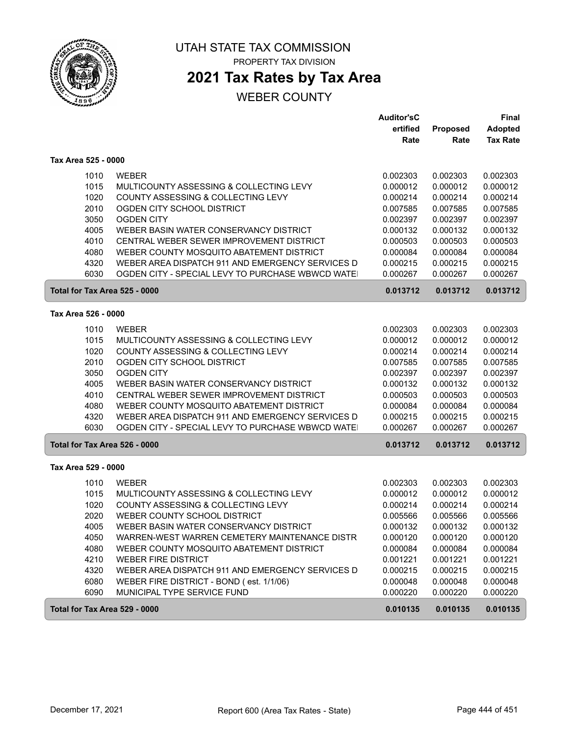

# **2021 Tax Rates by Tax Area**

|                               |                                                  | <b>Auditor'sC</b> |          | <b>Final</b>    |
|-------------------------------|--------------------------------------------------|-------------------|----------|-----------------|
|                               |                                                  | ertified          | Proposed | <b>Adopted</b>  |
|                               |                                                  | Rate              | Rate     | <b>Tax Rate</b> |
| Tax Area 525 - 0000           |                                                  |                   |          |                 |
| 1010                          | <b>WEBER</b>                                     | 0.002303          | 0.002303 | 0.002303        |
| 1015                          | MULTICOUNTY ASSESSING & COLLECTING LEVY          | 0.000012          | 0.000012 | 0.000012        |
| 1020                          | COUNTY ASSESSING & COLLECTING LEVY               | 0.000214          | 0.000214 | 0.000214        |
| 2010                          | OGDEN CITY SCHOOL DISTRICT                       | 0.007585          | 0.007585 | 0.007585        |
| 3050                          | <b>OGDEN CITY</b>                                | 0.002397          | 0.002397 | 0.002397        |
| 4005                          | WEBER BASIN WATER CONSERVANCY DISTRICT           | 0.000132          | 0.000132 | 0.000132        |
| 4010                          | CENTRAL WEBER SEWER IMPROVEMENT DISTRICT         | 0.000503          | 0.000503 | 0.000503        |
| 4080                          | WEBER COUNTY MOSQUITO ABATEMENT DISTRICT         | 0.000084          | 0.000084 | 0.000084        |
| 4320                          | WEBER AREA DISPATCH 911 AND EMERGENCY SERVICES D | 0.000215          | 0.000215 | 0.000215        |
| 6030                          | OGDEN CITY - SPECIAL LEVY TO PURCHASE WBWCD WATE | 0.000267          | 0.000267 | 0.000267        |
| Total for Tax Area 525 - 0000 |                                                  | 0.013712          | 0.013712 | 0.013712        |
| Tax Area 526 - 0000           |                                                  |                   |          |                 |
| 1010                          | <b>WEBER</b>                                     | 0.002303          | 0.002303 | 0.002303        |
| 1015                          | MULTICOUNTY ASSESSING & COLLECTING LEVY          | 0.000012          | 0.000012 | 0.000012        |
| 1020                          | COUNTY ASSESSING & COLLECTING LEVY               | 0.000214          | 0.000214 | 0.000214        |
| 2010                          | OGDEN CITY SCHOOL DISTRICT                       | 0.007585          | 0.007585 | 0.007585        |
| 3050                          | <b>OGDEN CITY</b>                                | 0.002397          | 0.002397 | 0.002397        |
| 4005                          | WEBER BASIN WATER CONSERVANCY DISTRICT           | 0.000132          | 0.000132 | 0.000132        |
| 4010                          | CENTRAL WEBER SEWER IMPROVEMENT DISTRICT         | 0.000503          | 0.000503 | 0.000503        |
| 4080                          | WEBER COUNTY MOSQUITO ABATEMENT DISTRICT         | 0.000084          | 0.000084 | 0.000084        |
| 4320                          | WEBER AREA DISPATCH 911 AND EMERGENCY SERVICES D | 0.000215          | 0.000215 | 0.000215        |
| 6030                          | OGDEN CITY - SPECIAL LEVY TO PURCHASE WBWCD WATE | 0.000267          | 0.000267 | 0.000267        |
| Total for Tax Area 526 - 0000 |                                                  | 0.013712          | 0.013712 | 0.013712        |
| Tax Area 529 - 0000           |                                                  |                   |          |                 |
| 1010                          | <b>WEBER</b>                                     | 0.002303          | 0.002303 | 0.002303        |
| 1015                          | MULTICOUNTY ASSESSING & COLLECTING LEVY          | 0.000012          | 0.000012 | 0.000012        |
| 1020                          | COUNTY ASSESSING & COLLECTING LEVY               | 0.000214          | 0.000214 | 0.000214        |
| 2020                          | WEBER COUNTY SCHOOL DISTRICT                     | 0.005566          | 0.005566 | 0.005566        |
| 4005                          | WEBER BASIN WATER CONSERVANCY DISTRICT           | 0.000132          | 0.000132 | 0.000132        |
| 4050                          | WARREN-WEST WARREN CEMETERY MAINTENANCE DISTR    | 0.000120          | 0.000120 | 0.000120        |
| 4080                          | WEBER COUNTY MOSQUITO ABATEMENT DISTRICT         | 0.000084          | 0.000084 | 0.000084        |
| 4210                          | <b>WEBER FIRE DISTRICT</b>                       | 0.001221          | 0.001221 | 0.001221        |
| 4320                          | WEBER AREA DISPATCH 911 AND EMERGENCY SERVICES D | 0.000215          | 0.000215 | 0.000215        |
| 6080                          | WEBER FIRE DISTRICT - BOND (est. 1/1/06)         | 0.000048          | 0.000048 | 0.000048        |
| 6090                          | MUNICIPAL TYPE SERVICE FUND                      | 0.000220          | 0.000220 | 0.000220        |
| Total for Tax Area 529 - 0000 |                                                  | 0.010135          | 0.010135 | 0.010135        |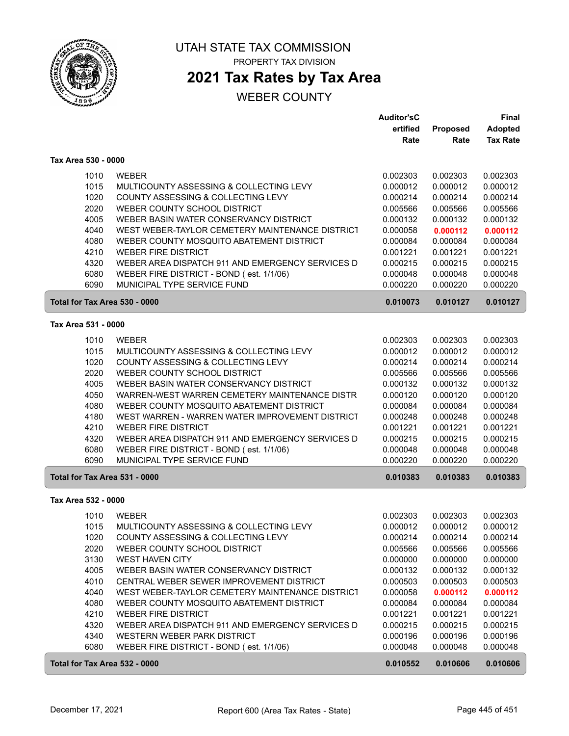

### **2021 Tax Rates by Tax Area**

|                               |                                                  | <b>Auditor'sC</b> |          | Final           |
|-------------------------------|--------------------------------------------------|-------------------|----------|-----------------|
|                               |                                                  | ertified          | Proposed | <b>Adopted</b>  |
|                               |                                                  | Rate              | Rate     | <b>Tax Rate</b> |
| Tax Area 530 - 0000           |                                                  |                   |          |                 |
| 1010                          | <b>WEBER</b>                                     | 0.002303          | 0.002303 | 0.002303        |
| 1015                          | MULTICOUNTY ASSESSING & COLLECTING LEVY          | 0.000012          | 0.000012 | 0.000012        |
| 1020                          | COUNTY ASSESSING & COLLECTING LEVY               | 0.000214          | 0.000214 | 0.000214        |
| 2020                          | WEBER COUNTY SCHOOL DISTRICT                     | 0.005566          | 0.005566 | 0.005566        |
| 4005                          | WEBER BASIN WATER CONSERVANCY DISTRICT           | 0.000132          | 0.000132 | 0.000132        |
| 4040                          | WEST WEBER-TAYLOR CEMETERY MAINTENANCE DISTRICT  | 0.000058          | 0.000112 | 0.000112        |
| 4080                          | WEBER COUNTY MOSQUITO ABATEMENT DISTRICT         | 0.000084          | 0.000084 | 0.000084        |
| 4210                          | <b>WEBER FIRE DISTRICT</b>                       | 0.001221          | 0.001221 | 0.001221        |
| 4320                          | WEBER AREA DISPATCH 911 AND EMERGENCY SERVICES D | 0.000215          | 0.000215 | 0.000215        |
| 6080                          | WEBER FIRE DISTRICT - BOND (est. 1/1/06)         | 0.000048          | 0.000048 | 0.000048        |
| 6090                          | MUNICIPAL TYPE SERVICE FUND                      | 0.000220          | 0.000220 | 0.000220        |
| Total for Tax Area 530 - 0000 |                                                  | 0.010073          | 0.010127 | 0.010127        |
| Tax Area 531 - 0000           |                                                  |                   |          |                 |
| 1010                          | <b>WEBER</b>                                     | 0.002303          | 0.002303 | 0.002303        |
| 1015                          | MULTICOUNTY ASSESSING & COLLECTING LEVY          | 0.000012          | 0.000012 | 0.000012        |
| 1020                          | COUNTY ASSESSING & COLLECTING LEVY               | 0.000214          | 0.000214 | 0.000214        |
| 2020                          | WEBER COUNTY SCHOOL DISTRICT                     | 0.005566          | 0.005566 | 0.005566        |
| 4005                          | WEBER BASIN WATER CONSERVANCY DISTRICT           | 0.000132          | 0.000132 | 0.000132        |
| 4050                          | WARREN-WEST WARREN CEMETERY MAINTENANCE DISTR    | 0.000120          | 0.000120 | 0.000120        |
| 4080                          | WEBER COUNTY MOSQUITO ABATEMENT DISTRICT         | 0.000084          | 0.000084 | 0.000084        |
| 4180                          | WEST WARREN - WARREN WATER IMPROVEMENT DISTRICT  | 0.000248          | 0.000248 | 0.000248        |
| 4210                          | <b>WEBER FIRE DISTRICT</b>                       | 0.001221          | 0.001221 | 0.001221        |
| 4320                          | WEBER AREA DISPATCH 911 AND EMERGENCY SERVICES D | 0.000215          | 0.000215 | 0.000215        |
| 6080                          | WEBER FIRE DISTRICT - BOND (est. 1/1/06)         | 0.000048          | 0.000048 | 0.000048        |
| 6090                          | MUNICIPAL TYPE SERVICE FUND                      | 0.000220          | 0.000220 | 0.000220        |
| Total for Tax Area 531 - 0000 |                                                  | 0.010383          | 0.010383 | 0.010383        |
| Tax Area 532 - 0000           |                                                  |                   |          |                 |
| 1010                          | <b>WEBER</b>                                     | 0.002303          | 0.002303 | 0.002303        |
| 1015                          | MULTICOUNTY ASSESSING & COLLECTING LEVY          | 0.000012          | 0.000012 | 0.000012        |
| 1020                          | COUNTY ASSESSING & COLLECTING LEVY               | 0.000214          | 0.000214 | 0.000214        |
| 2020                          | WEBER COUNTY SCHOOL DISTRICT                     | 0.005566          | 0.005566 | 0.005566        |
| 3130                          | <b>WEST HAVEN CITY</b>                           | 0.000000          | 0.000000 | 0.000000        |
| 4005                          | WEBER BASIN WATER CONSERVANCY DISTRICT           | 0.000132          | 0.000132 | 0.000132        |
| 4010                          | CENTRAL WEBER SEWER IMPROVEMENT DISTRICT         | 0.000503          | 0.000503 | 0.000503        |
| 4040                          | WEST WEBER-TAYLOR CEMETERY MAINTENANCE DISTRICT  | 0.000058          | 0.000112 | 0.000112        |
| 4080                          | WEBER COUNTY MOSQUITO ABATEMENT DISTRICT         | 0.000084          | 0.000084 | 0.000084        |
| 4210                          | <b>WEBER FIRE DISTRICT</b>                       | 0.001221          | 0.001221 | 0.001221        |
| 4320                          | WEBER AREA DISPATCH 911 AND EMERGENCY SERVICES D | 0.000215          | 0.000215 | 0.000215        |
| 4340                          | WESTERN WEBER PARK DISTRICT                      | 0.000196          | 0.000196 | 0.000196        |
| 6080                          | WEBER FIRE DISTRICT - BOND (est. 1/1/06)         | 0.000048          | 0.000048 | 0.000048        |
| Total for Tax Area 532 - 0000 |                                                  | 0.010552          | 0.010606 | 0.010606        |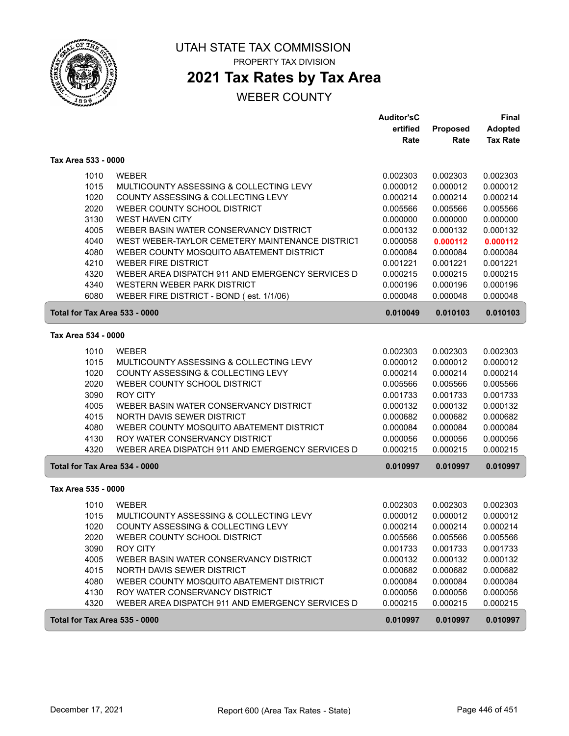

## **2021 Tax Rates by Tax Area**

|                               |                                                  | <b>Auditor'sC</b> |          | Final           |
|-------------------------------|--------------------------------------------------|-------------------|----------|-----------------|
|                               |                                                  | ertified          | Proposed | <b>Adopted</b>  |
|                               |                                                  | Rate              | Rate     | <b>Tax Rate</b> |
| Tax Area 533 - 0000           |                                                  |                   |          |                 |
| 1010                          | <b>WEBER</b>                                     | 0.002303          | 0.002303 | 0.002303        |
| 1015                          | MULTICOUNTY ASSESSING & COLLECTING LEVY          | 0.000012          | 0.000012 | 0.000012        |
| 1020                          | COUNTY ASSESSING & COLLECTING LEVY               | 0.000214          | 0.000214 | 0.000214        |
| 2020                          | WEBER COUNTY SCHOOL DISTRICT                     | 0.005566          | 0.005566 | 0.005566        |
| 3130                          | <b>WEST HAVEN CITY</b>                           | 0.000000          | 0.000000 | 0.000000        |
| 4005                          | WEBER BASIN WATER CONSERVANCY DISTRICT           | 0.000132          | 0.000132 | 0.000132        |
| 4040                          | WEST WEBER-TAYLOR CEMETERY MAINTENANCE DISTRICT  | 0.000058          | 0.000112 | 0.000112        |
| 4080                          | WEBER COUNTY MOSQUITO ABATEMENT DISTRICT         | 0.000084          | 0.000084 | 0.000084        |
| 4210                          | <b>WEBER FIRE DISTRICT</b>                       | 0.001221          | 0.001221 | 0.001221        |
| 4320                          | WEBER AREA DISPATCH 911 AND EMERGENCY SERVICES D | 0.000215          | 0.000215 | 0.000215        |
| 4340                          | WESTERN WEBER PARK DISTRICT                      | 0.000196          | 0.000196 | 0.000196        |
| 6080                          | WEBER FIRE DISTRICT - BOND (est. 1/1/06)         | 0.000048          | 0.000048 | 0.000048        |
| Total for Tax Area 533 - 0000 |                                                  | 0.010049          | 0.010103 | 0.010103        |
| Tax Area 534 - 0000           |                                                  |                   |          |                 |
| 1010                          | <b>WEBER</b>                                     | 0.002303          | 0.002303 | 0.002303        |
| 1015                          | MULTICOUNTY ASSESSING & COLLECTING LEVY          | 0.000012          | 0.000012 | 0.000012        |
| 1020                          | COUNTY ASSESSING & COLLECTING LEVY               | 0.000214          | 0.000214 | 0.000214        |
| 2020                          | WEBER COUNTY SCHOOL DISTRICT                     | 0.005566          | 0.005566 | 0.005566        |
| 3090                          | <b>ROY CITY</b>                                  | 0.001733          | 0.001733 | 0.001733        |
| 4005                          | WEBER BASIN WATER CONSERVANCY DISTRICT           | 0.000132          | 0.000132 | 0.000132        |
| 4015                          | NORTH DAVIS SEWER DISTRICT                       | 0.000682          | 0.000682 | 0.000682        |
| 4080                          | WEBER COUNTY MOSQUITO ABATEMENT DISTRICT         | 0.000084          | 0.000084 | 0.000084        |
| 4130                          | ROY WATER CONSERVANCY DISTRICT                   | 0.000056          | 0.000056 | 0.000056        |
| 4320                          | WEBER AREA DISPATCH 911 AND EMERGENCY SERVICES D | 0.000215          | 0.000215 | 0.000215        |
| Total for Tax Area 534 - 0000 |                                                  | 0.010997          | 0.010997 | 0.010997        |
| Tax Area 535 - 0000           |                                                  |                   |          |                 |
| 1010                          | <b>WEBER</b>                                     | 0.002303          | 0.002303 | 0.002303        |
| 1015                          | MULTICOUNTY ASSESSING & COLLECTING LEVY          | 0.000012          | 0.000012 | 0.000012        |
| 1020                          | COUNTY ASSESSING & COLLECTING LEVY               | 0.000214          | 0.000214 | 0.000214        |
| 2020                          | WEBER COUNTY SCHOOL DISTRICT                     | 0.005566          | 0.005566 | 0.005566        |
| 3090                          | <b>ROY CITY</b>                                  | 0.001733          | 0.001733 | 0.001733        |
| 4005                          | WEBER BASIN WATER CONSERVANCY DISTRICT           | 0.000132          | 0.000132 | 0.000132        |
| 4015                          | NORTH DAVIS SEWER DISTRICT                       | 0.000682          | 0.000682 | 0.000682        |
| 4080                          | WEBER COUNTY MOSQUITO ABATEMENT DISTRICT         | 0.000084          | 0.000084 | 0.000084        |
| 4130                          | ROY WATER CONSERVANCY DISTRICT                   | 0.000056          | 0.000056 | 0.000056        |
| 4320                          | WEBER AREA DISPATCH 911 AND EMERGENCY SERVICES D | 0.000215          | 0.000215 | 0.000215        |
| Total for Tax Area 535 - 0000 |                                                  | 0.010997          | 0.010997 | 0.010997        |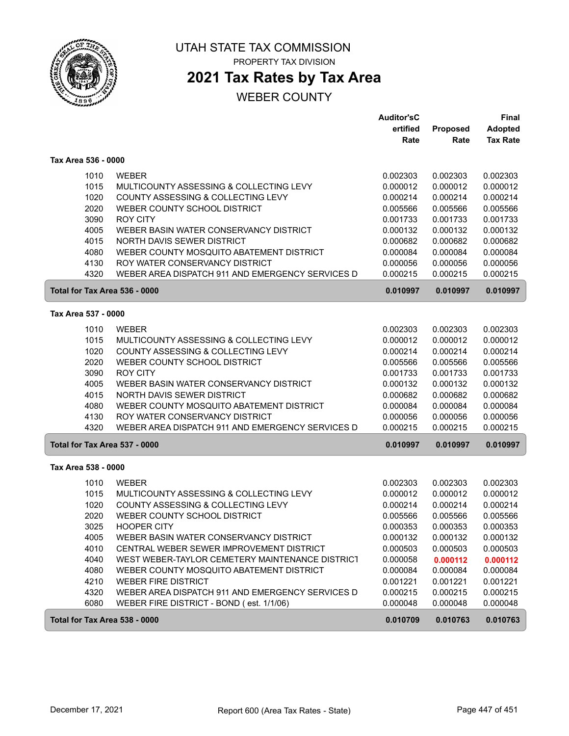

PROPERTY TAX DIVISION

# **2021 Tax Rates by Tax Area**

|                               |                                                  | <b>Auditor'sC</b> |          | <b>Final</b>    |  |
|-------------------------------|--------------------------------------------------|-------------------|----------|-----------------|--|
|                               |                                                  | ertified          | Proposed | <b>Adopted</b>  |  |
|                               |                                                  | Rate              | Rate     | <b>Tax Rate</b> |  |
| Tax Area 536 - 0000           |                                                  |                   |          |                 |  |
| 1010                          | <b>WEBER</b>                                     | 0.002303          | 0.002303 | 0.002303        |  |
| 1015                          | MULTICOUNTY ASSESSING & COLLECTING LEVY          | 0.000012          | 0.000012 | 0.000012        |  |
| 1020                          | COUNTY ASSESSING & COLLECTING LEVY               | 0.000214          | 0.000214 | 0.000214        |  |
| 2020                          | WEBER COUNTY SCHOOL DISTRICT                     | 0.005566          | 0.005566 | 0.005566        |  |
| 3090                          | <b>ROY CITY</b>                                  | 0.001733          | 0.001733 | 0.001733        |  |
| 4005                          | WEBER BASIN WATER CONSERVANCY DISTRICT           | 0.000132          | 0.000132 | 0.000132        |  |
| 4015                          | NORTH DAVIS SEWER DISTRICT                       | 0.000682          | 0.000682 | 0.000682        |  |
| 4080                          | WEBER COUNTY MOSQUITO ABATEMENT DISTRICT         | 0.000084          | 0.000084 | 0.000084        |  |
| 4130                          | ROY WATER CONSERVANCY DISTRICT                   | 0.000056          | 0.000056 | 0.000056        |  |
| 4320                          | WEBER AREA DISPATCH 911 AND EMERGENCY SERVICES D | 0.000215          | 0.000215 | 0.000215        |  |
| Total for Tax Area 536 - 0000 |                                                  | 0.010997          | 0.010997 | 0.010997        |  |
| Tax Area 537 - 0000           |                                                  |                   |          |                 |  |
| 1010                          | <b>WEBER</b>                                     | 0.002303          | 0.002303 | 0.002303        |  |
| 1015                          | MULTICOUNTY ASSESSING & COLLECTING LEVY          | 0.000012          | 0.000012 | 0.000012        |  |
| 1020                          | COUNTY ASSESSING & COLLECTING LEVY               | 0.000214          | 0.000214 | 0.000214        |  |
| 2020                          | WEBER COUNTY SCHOOL DISTRICT                     | 0.005566          | 0.005566 | 0.005566        |  |
| 3090                          | <b>ROY CITY</b>                                  | 0.001733          | 0.001733 | 0.001733        |  |
| 4005                          | WEBER BASIN WATER CONSERVANCY DISTRICT           | 0.000132          | 0.000132 | 0.000132        |  |
| 4015                          | NORTH DAVIS SEWER DISTRICT                       | 0.000682          | 0.000682 | 0.000682        |  |
| 4080                          | WEBER COUNTY MOSQUITO ABATEMENT DISTRICT         | 0.000084          | 0.000084 | 0.000084        |  |
| 4130                          | ROY WATER CONSERVANCY DISTRICT                   | 0.000056          | 0.000056 | 0.000056        |  |
| 4320                          | WEBER AREA DISPATCH 911 AND EMERGENCY SERVICES D | 0.000215          | 0.000215 | 0.000215        |  |
| Total for Tax Area 537 - 0000 |                                                  | 0.010997          | 0.010997 | 0.010997        |  |
| Tax Area 538 - 0000           |                                                  |                   |          |                 |  |
| 1010                          | <b>WEBER</b>                                     | 0.002303          | 0.002303 | 0.002303        |  |
| 1015                          | MULTICOUNTY ASSESSING & COLLECTING LEVY          | 0.000012          | 0.000012 | 0.000012        |  |
| 1020                          | COUNTY ASSESSING & COLLECTING LEVY               | 0.000214          | 0.000214 | 0.000214        |  |
| 2020                          | WEBER COUNTY SCHOOL DISTRICT                     | 0.005566          | 0.005566 | 0.005566        |  |
| 3025                          | <b>HOOPER CITY</b>                               | 0.000353          | 0.000353 | 0.000353        |  |
| 4005                          | WEBER BASIN WATER CONSERVANCY DISTRICT           | 0.000132          | 0.000132 | 0.000132        |  |
| 4010                          | CENTRAL WEBER SEWER IMPROVEMENT DISTRICT         | 0.000503          | 0.000503 | 0.000503        |  |
| 4040                          | WEST WEBER-TAYLOR CEMETERY MAINTENANCE DISTRICT  | 0.000058          | 0.000112 | 0.000112        |  |
| 4080                          | WEBER COUNTY MOSQUITO ABATEMENT DISTRICT         | 0.000084          | 0.000084 | 0.000084        |  |
| 4210                          | <b>WEBER FIRE DISTRICT</b>                       | 0.001221          | 0.001221 | 0.001221        |  |
| 4320                          | WEBER AREA DISPATCH 911 AND EMERGENCY SERVICES D | 0.000215          | 0.000215 | 0.000215        |  |
| 6080                          | WEBER FIRE DISTRICT - BOND (est. 1/1/06)         | 0.000048          | 0.000048 | 0.000048        |  |
| Total for Tax Area 538 - 0000 |                                                  | 0.010709          | 0.010763 | 0.010763        |  |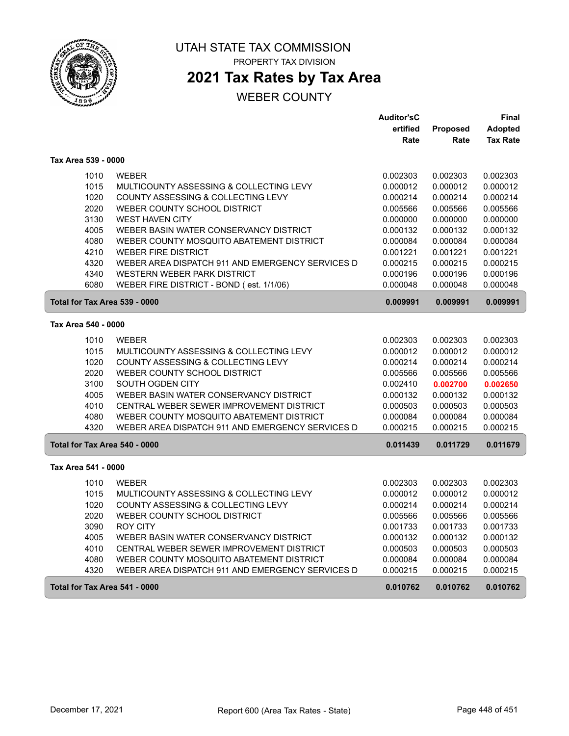

PROPERTY TAX DIVISION

# **2021 Tax Rates by Tax Area**

|                               |                                                  | <b>Auditor'sC</b> |          | <b>Final</b>    |
|-------------------------------|--------------------------------------------------|-------------------|----------|-----------------|
|                               |                                                  | ertified          | Proposed | <b>Adopted</b>  |
|                               |                                                  | Rate              | Rate     | <b>Tax Rate</b> |
| Tax Area 539 - 0000           |                                                  |                   |          |                 |
| 1010                          | <b>WEBER</b>                                     | 0.002303          | 0.002303 | 0.002303        |
| 1015                          | MULTICOUNTY ASSESSING & COLLECTING LEVY          | 0.000012          | 0.000012 | 0.000012        |
| 1020                          | COUNTY ASSESSING & COLLECTING LEVY               | 0.000214          | 0.000214 | 0.000214        |
| 2020                          | WEBER COUNTY SCHOOL DISTRICT                     | 0.005566          | 0.005566 | 0.005566        |
| 3130                          | <b>WEST HAVEN CITY</b>                           | 0.000000          | 0.000000 | 0.000000        |
| 4005                          | WEBER BASIN WATER CONSERVANCY DISTRICT           | 0.000132          | 0.000132 | 0.000132        |
| 4080                          | WEBER COUNTY MOSQUITO ABATEMENT DISTRICT         | 0.000084          | 0.000084 | 0.000084        |
| 4210                          | <b>WEBER FIRE DISTRICT</b>                       | 0.001221          | 0.001221 | 0.001221        |
| 4320                          | WEBER AREA DISPATCH 911 AND EMERGENCY SERVICES D | 0.000215          | 0.000215 | 0.000215        |
| 4340                          | <b>WESTERN WEBER PARK DISTRICT</b>               | 0.000196          | 0.000196 | 0.000196        |
| 6080                          | WEBER FIRE DISTRICT - BOND (est. 1/1/06)         | 0.000048          | 0.000048 | 0.000048        |
| Total for Tax Area 539 - 0000 |                                                  | 0.009991          | 0.009991 | 0.009991        |
| Tax Area 540 - 0000           |                                                  |                   |          |                 |
| 1010                          | <b>WEBER</b>                                     | 0.002303          | 0.002303 | 0.002303        |
| 1015                          | MULTICOUNTY ASSESSING & COLLECTING LEVY          | 0.000012          | 0.000012 | 0.000012        |
| 1020                          | COUNTY ASSESSING & COLLECTING LEVY               | 0.000214          | 0.000214 | 0.000214        |
| 2020                          | WEBER COUNTY SCHOOL DISTRICT                     | 0.005566          | 0.005566 | 0.005566        |
| 3100                          | SOUTH OGDEN CITY                                 | 0.002410          | 0.002700 | 0.002650        |
| 4005                          | WEBER BASIN WATER CONSERVANCY DISTRICT           | 0.000132          | 0.000132 | 0.000132        |
| 4010                          | CENTRAL WEBER SEWER IMPROVEMENT DISTRICT         | 0.000503          | 0.000503 | 0.000503        |
| 4080                          | WEBER COUNTY MOSQUITO ABATEMENT DISTRICT         | 0.000084          | 0.000084 | 0.000084        |
| 4320                          | WEBER AREA DISPATCH 911 AND EMERGENCY SERVICES D | 0.000215          | 0.000215 | 0.000215        |
|                               |                                                  |                   |          |                 |
| Total for Tax Area 540 - 0000 |                                                  | 0.011439          | 0.011729 | 0.011679        |
| Tax Area 541 - 0000           |                                                  |                   |          |                 |
| 1010                          | <b>WEBER</b>                                     | 0.002303          | 0.002303 | 0.002303        |
| 1015                          | MULTICOUNTY ASSESSING & COLLECTING LEVY          | 0.000012          | 0.000012 | 0.000012        |
| 1020                          | COUNTY ASSESSING & COLLECTING LEVY               | 0.000214          | 0.000214 | 0.000214        |
| 2020                          | WEBER COUNTY SCHOOL DISTRICT                     | 0.005566          | 0.005566 | 0.005566        |
| 3090                          | <b>ROY CITY</b>                                  | 0.001733          | 0.001733 | 0.001733        |
| 4005                          | WEBER BASIN WATER CONSERVANCY DISTRICT           | 0.000132          | 0.000132 | 0.000132        |
| 4010                          | CENTRAL WEBER SEWER IMPROVEMENT DISTRICT         | 0.000503          | 0.000503 | 0.000503        |
| 4080                          | WEBER COUNTY MOSQUITO ABATEMENT DISTRICT         | 0.000084          | 0.000084 | 0.000084        |
| 4320                          | WEBER AREA DISPATCH 911 AND EMERGENCY SERVICES D | 0.000215          | 0.000215 | 0.000215        |
| Total for Tax Area 541 - 0000 |                                                  | 0.010762          | 0.010762 | 0.010762        |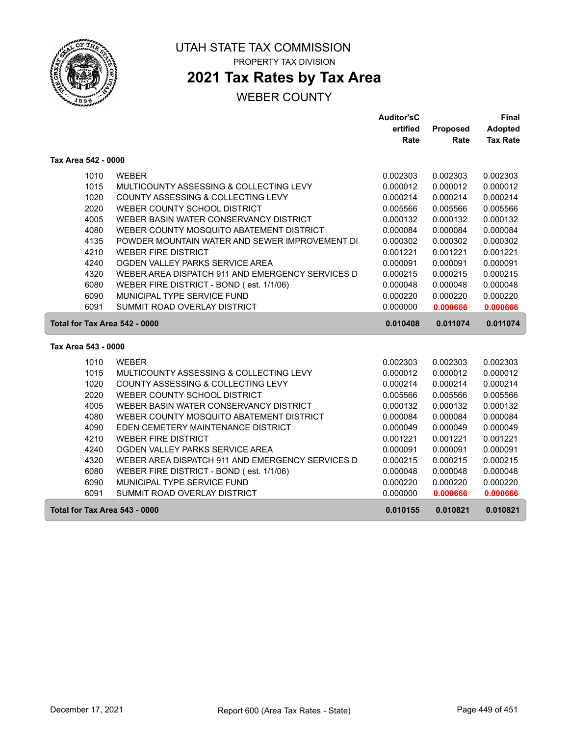

# **2021 Tax Rates by Tax Area**

|                     |      |                                                  | <b>Auditor'sC</b>    |                      | Final                |
|---------------------|------|--------------------------------------------------|----------------------|----------------------|----------------------|
|                     |      |                                                  | ertified             | Proposed             | <b>Adopted</b>       |
|                     |      |                                                  | Rate                 | Rate                 | <b>Tax Rate</b>      |
| Tax Area 542 - 0000 |      |                                                  |                      |                      |                      |
|                     | 1010 | <b>WEBER</b>                                     | 0.002303             | 0.002303             | 0.002303             |
|                     | 1015 | MULTICOUNTY ASSESSING & COLLECTING LEVY          | 0.000012             | 0.000012             | 0.000012             |
|                     | 1020 | COUNTY ASSESSING & COLLECTING LEVY               | 0.000214             | 0.000214             | 0.000214             |
|                     | 2020 | WEBER COUNTY SCHOOL DISTRICT                     | 0.005566             | 0.005566             | 0.005566             |
|                     | 4005 | WEBER BASIN WATER CONSERVANCY DISTRICT           | 0.000132             | 0.000132             | 0.000132             |
|                     | 4080 | WEBER COUNTY MOSQUITO ABATEMENT DISTRICT         | 0.000084             | 0.000084             | 0.000084             |
|                     | 4135 | POWDER MOUNTAIN WATER AND SEWER IMPROVEMENT DI   | 0.000302             | 0.000302             | 0.000302             |
|                     | 4210 | <b>WEBER FIRE DISTRICT</b>                       | 0.001221             | 0.001221             | 0.001221             |
|                     | 4240 | OGDEN VALLEY PARKS SERVICE AREA                  | 0.000091             | 0.000091             | 0.000091             |
|                     | 4320 | WEBER AREA DISPATCH 911 AND EMERGENCY SERVICES D | 0.000215             | 0.000215             | 0.000215             |
|                     | 6080 | WEBER FIRE DISTRICT - BOND (est. 1/1/06)         | 0.000048             | 0.000048             | 0.000048             |
|                     | 6090 | MUNICIPAL TYPE SERVICE FUND                      | 0.000220             | 0.000220             | 0.000220             |
|                     | 6091 | SUMMIT ROAD OVERLAY DISTRICT                     | 0.000000             | 0.000666             | 0.000666             |
|                     |      |                                                  |                      |                      |                      |
|                     |      | Total for Tax Area 542 - 0000                    | 0.010408             | 0.011074             | 0.011074             |
| Tax Area 543 - 0000 |      |                                                  |                      |                      |                      |
|                     | 1010 | <b>WEBER</b>                                     |                      |                      |                      |
|                     | 1015 | MULTICOUNTY ASSESSING & COLLECTING LEVY          | 0.002303<br>0.000012 | 0.002303<br>0.000012 | 0.002303<br>0.000012 |
|                     | 1020 | COUNTY ASSESSING & COLLECTING LEVY               | 0.000214             | 0.000214             | 0.000214             |
|                     | 2020 | WEBER COUNTY SCHOOL DISTRICT                     | 0.005566             | 0.005566             | 0.005566             |
|                     | 4005 | WEBER BASIN WATER CONSERVANCY DISTRICT           | 0.000132             | 0.000132             | 0.000132             |
|                     | 4080 | WEBER COUNTY MOSQUITO ABATEMENT DISTRICT         | 0.000084             | 0.000084             | 0.000084             |
|                     | 4090 | EDEN CEMETERY MAINTENANCE DISTRICT               | 0.000049             | 0.000049             | 0.000049             |
|                     | 4210 | <b>WEBER FIRE DISTRICT</b>                       | 0.001221             | 0.001221             | 0.001221             |
|                     | 4240 | OGDEN VALLEY PARKS SERVICE AREA                  | 0.000091             | 0.000091             | 0.000091             |
|                     | 4320 | WEBER AREA DISPATCH 911 AND EMERGENCY SERVICES D | 0.000215             | 0.000215             | 0.000215             |
|                     | 6080 | WEBER FIRE DISTRICT - BOND (est. 1/1/06)         | 0.000048             | 0.000048             | 0.000048             |
|                     | 6090 | MUNICIPAL TYPE SERVICE FUND                      | 0.000220             | 0.000220             | 0.000220             |
|                     | 6091 | SUMMIT ROAD OVERLAY DISTRICT                     | 0.000000             | 0.000666             | 0.000666             |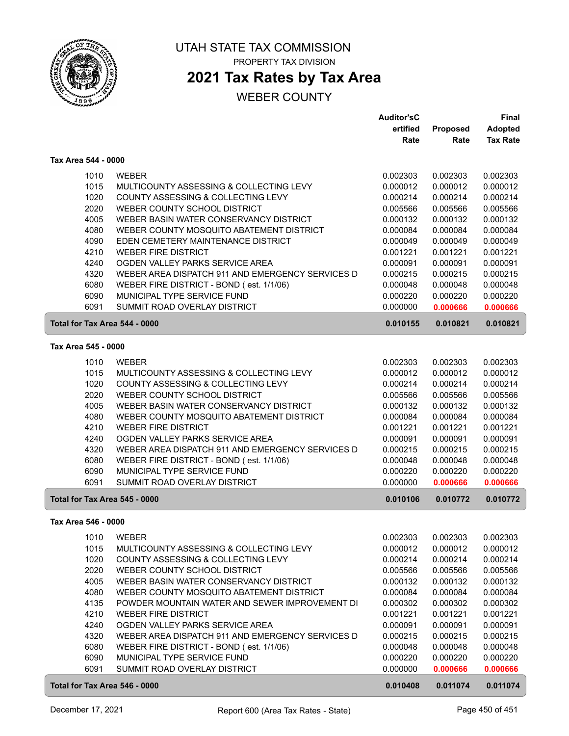

### **2021 Tax Rates by Tax Area**

|                               |                                                             | <b>Auditor'sC</b>    |                      | Final                |
|-------------------------------|-------------------------------------------------------------|----------------------|----------------------|----------------------|
|                               |                                                             | ertified             | Proposed             | <b>Adopted</b>       |
|                               |                                                             | Rate                 | Rate                 | <b>Tax Rate</b>      |
| Tax Area 544 - 0000           |                                                             |                      |                      |                      |
| 1010                          | <b>WEBER</b>                                                | 0.002303             | 0.002303             | 0.002303             |
| 1015                          | MULTICOUNTY ASSESSING & COLLECTING LEVY                     | 0.000012             | 0.000012             | 0.000012             |
| 1020                          | COUNTY ASSESSING & COLLECTING LEVY                          | 0.000214             | 0.000214             | 0.000214             |
| 2020                          | WEBER COUNTY SCHOOL DISTRICT                                | 0.005566             | 0.005566             | 0.005566             |
| 4005                          | WEBER BASIN WATER CONSERVANCY DISTRICT                      | 0.000132             | 0.000132             | 0.000132             |
| 4080                          | WEBER COUNTY MOSQUITO ABATEMENT DISTRICT                    | 0.000084             | 0.000084             | 0.000084             |
| 4090                          | EDEN CEMETERY MAINTENANCE DISTRICT                          | 0.000049             | 0.000049             | 0.000049             |
| 4210                          | <b>WEBER FIRE DISTRICT</b>                                  | 0.001221             | 0.001221             | 0.001221             |
| 4240                          | OGDEN VALLEY PARKS SERVICE AREA                             | 0.000091             | 0.000091             | 0.000091             |
| 4320                          | WEBER AREA DISPATCH 911 AND EMERGENCY SERVICES D            | 0.000215             | 0.000215             | 0.000215             |
| 6080                          | WEBER FIRE DISTRICT - BOND (est. 1/1/06)                    | 0.000048             | 0.000048             | 0.000048             |
| 6090                          | MUNICIPAL TYPE SERVICE FUND                                 | 0.000220             | 0.000220             | 0.000220             |
| 6091                          | <b>SUMMIT ROAD OVERLAY DISTRICT</b>                         | 0.000000             | 0.000666             | 0.000666             |
| Total for Tax Area 544 - 0000 |                                                             | 0.010155             | 0.010821             | 0.010821             |
| Tax Area 545 - 0000           |                                                             |                      |                      |                      |
|                               |                                                             |                      |                      |                      |
| 1010                          | <b>WEBER</b>                                                | 0.002303             | 0.002303             | 0.002303             |
| 1015                          | MULTICOUNTY ASSESSING & COLLECTING LEVY                     | 0.000012             | 0.000012             | 0.000012             |
| 1020                          | COUNTY ASSESSING & COLLECTING LEVY                          | 0.000214             | 0.000214             | 0.000214             |
| 2020                          | WEBER COUNTY SCHOOL DISTRICT                                | 0.005566             | 0.005566             | 0.005566             |
| 4005                          | WEBER BASIN WATER CONSERVANCY DISTRICT                      | 0.000132             | 0.000132             | 0.000132             |
| 4080                          | WEBER COUNTY MOSQUITO ABATEMENT DISTRICT                    | 0.000084             | 0.000084             | 0.000084             |
| 4210                          | <b>WEBER FIRE DISTRICT</b>                                  | 0.001221             | 0.001221             | 0.001221             |
| 4240                          | OGDEN VALLEY PARKS SERVICE AREA                             | 0.000091             | 0.000091             | 0.000091             |
| 4320                          | WEBER AREA DISPATCH 911 AND EMERGENCY SERVICES D            | 0.000215             | 0.000215             | 0.000215             |
| 6080                          | WEBER FIRE DISTRICT - BOND (est. 1/1/06)                    | 0.000048             | 0.000048             | 0.000048             |
| 6090<br>6091                  | MUNICIPAL TYPE SERVICE FUND<br>SUMMIT ROAD OVERLAY DISTRICT | 0.000220<br>0.000000 | 0.000220<br>0.000666 | 0.000220<br>0.000666 |
| Total for Tax Area 545 - 0000 |                                                             | 0.010106             | 0.010772             | 0.010772             |
|                               |                                                             |                      |                      |                      |
| Tax Area 546 - 0000           |                                                             |                      |                      |                      |
| 1010                          | WEBER                                                       | 0.002303             | 0.002303             | 0.002303             |
| 1015                          | MULTICOUNTY ASSESSING & COLLECTING LEVY                     | 0.000012             | 0.000012             | 0.000012             |
| 1020                          | COUNTY ASSESSING & COLLECTING LEVY                          | 0.000214             | 0.000214             | 0.000214             |
| 2020                          | WEBER COUNTY SCHOOL DISTRICT                                | 0.005566             | 0.005566             | 0.005566             |
| 4005                          | WEBER BASIN WATER CONSERVANCY DISTRICT                      | 0.000132             | 0.000132             | 0.000132             |
| 4080                          | WEBER COUNTY MOSQUITO ABATEMENT DISTRICT                    | 0.000084             | 0.000084             | 0.000084             |
| 4135                          | POWDER MOUNTAIN WATER AND SEWER IMPROVEMENT DI              | 0.000302             | 0.000302             | 0.000302             |
| 4210                          | <b>WEBER FIRE DISTRICT</b>                                  | 0.001221             | 0.001221             | 0.001221             |
| 4240                          | OGDEN VALLEY PARKS SERVICE AREA                             | 0.000091             | 0.000091             | 0.000091             |
| 4320                          | WEBER AREA DISPATCH 911 AND EMERGENCY SERVICES D            | 0.000215             | 0.000215             | 0.000215             |
| 6080                          | WEBER FIRE DISTRICT - BOND (est. 1/1/06)                    | 0.000048             | 0.000048             | 0.000048             |
| 6090                          | MUNICIPAL TYPE SERVICE FUND                                 | 0.000220             | 0.000220             | 0.000220             |
| 6091                          | SUMMIT ROAD OVERLAY DISTRICT                                | 0.000000             | 0.000666             | 0.000666             |
| Total for Tax Area 546 - 0000 |                                                             | 0.010408             | 0.011074             | 0.011074             |